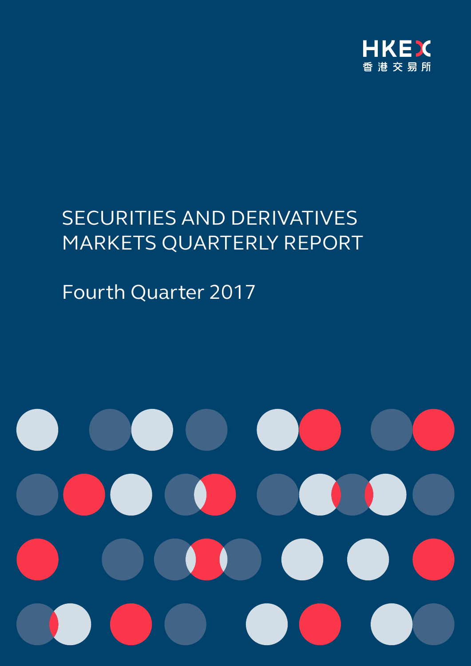

# SECURITIES AND DERIVATIVES MARKETS QUARTERLY REPORT

# Fourth Quarter 2017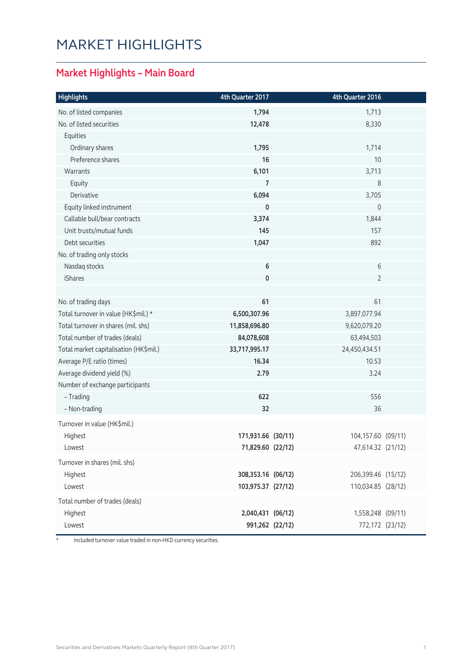### MARKET HIGHLIGHTS

#### **Market Highlights – Main Board**

| <b>Highlights</b>                      | 4th Quarter 2017   | 4th Quarter 2016   |  |
|----------------------------------------|--------------------|--------------------|--|
| No. of listed companies                | 1,794              | 1,713              |  |
| No. of listed securities               | 12,478             | 8,330              |  |
| Equities                               |                    |                    |  |
| Ordinary shares                        | 1,795              | 1,714              |  |
| Preference shares                      | 16                 | 10                 |  |
| Warrants                               | 6,101              | 3,713              |  |
| Equity                                 | 7                  | 8                  |  |
| Derivative                             | 6,094              | 3,705              |  |
| Equity linked instrument               | 0                  | $\mathbf 0$        |  |
| Callable bull/bear contracts           | 3,374              | 1,844              |  |
| Unit trusts/mutual funds               | 145                | 157                |  |
| Debt securities                        | 1,047              | 892                |  |
| No. of trading only stocks             |                    |                    |  |
| Nasdaq stocks                          | 6                  | 6                  |  |
| <b>iShares</b>                         | 0                  | $\overline{2}$     |  |
|                                        |                    |                    |  |
| No. of trading days                    | 61                 | 61                 |  |
| Total turnover in value (HK\$mil.) *   | 6,500,307.96       | 3,897,077.94       |  |
| Total turnover in shares (mil. shs)    | 11,858,696.80      | 9,620,079.20       |  |
| Total number of trades (deals)         | 84,078,608         | 63,494,503         |  |
| Total market capitalisation (HK\$mil.) | 33,717,995.17      | 24,450,434.51      |  |
| Average P/E ratio (times)              | 16.34              | 10.53              |  |
| Average dividend yield (%)             | 2.79               | 3.24               |  |
| Number of exchange participants        |                    |                    |  |
| - Trading                              | 622                | 556                |  |
| - Non-trading                          | 32                 | 36                 |  |
| Turnover in value (HK\$mil.)           |                    |                    |  |
| Highest                                | 171,931.66 (30/11) | 104,157.60 (09/11) |  |
| Lowest                                 | 71,829.60 (22/12)  | 47,614.32 (21/12)  |  |
| Turnover in shares (mil. shs)          |                    |                    |  |
| Highest                                | 308,353.16 (06/12) | 206,399.46 (15/12) |  |
| Lowest                                 | 103,975.37 (27/12) | 110,034.85 (28/12) |  |
| Total number of trades (deals)         |                    |                    |  |
| Highest                                | 2,040,431 (06/12)  | 1,558,248 (09/11)  |  |
| Lowest                                 | 991,262 (22/12)    | 772,172 (23/12)    |  |
|                                        |                    |                    |  |

\* Included turnover value traded in non-HKD currency securities.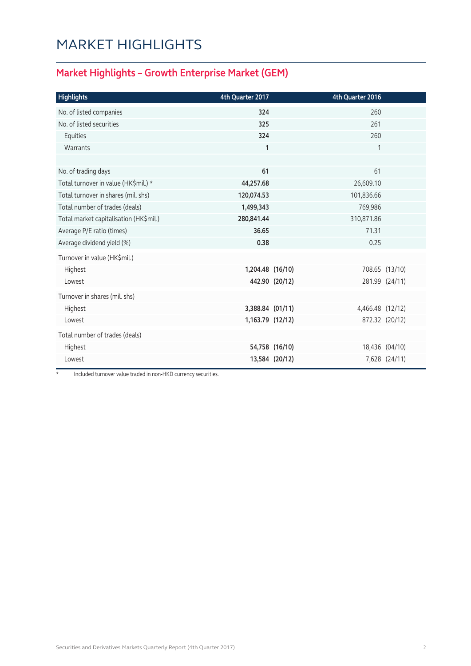### MARKET HIGHLIGHTS

#### **Market Highlights – Growth Enterprise Market (GEM)**

| <b>Highlights</b>                      | 4th Quarter 2017 |                | 4th Quarter 2016 |                |
|----------------------------------------|------------------|----------------|------------------|----------------|
| No. of listed companies                | 324              |                | 260              |                |
| No. of listed securities               | 325              |                | 261              |                |
| Equities                               | 324              |                | 260              |                |
| Warrants                               | $\mathbf{1}$     |                | 1                |                |
|                                        |                  |                |                  |                |
| No. of trading days                    | 61               |                | 61               |                |
| Total turnover in value (HK\$mil.) *   | 44,257.68        |                | 26,609.10        |                |
| Total turnover in shares (mil. shs)    | 120,074.53       |                | 101,836.66       |                |
| Total number of trades (deals)         | 1,499,343        |                | 769,986          |                |
| Total market capitalisation (HK\$mil.) | 280,841.44       |                | 310,871.86       |                |
| Average P/E ratio (times)              | 36.65            |                | 71.31            |                |
| Average dividend yield (%)             | 0.38             |                | 0.25             |                |
| Turnover in value (HK\$mil.)           |                  |                |                  |                |
| Highest                                | 1,204.48 (16/10) |                |                  | 708.65 (13/10) |
| Lowest                                 |                  | 442.90 (20/12) |                  | 281.99 (24/11) |
| Turnover in shares (mil. shs)          |                  |                |                  |                |
| Highest                                | 3,388.84 (01/11) |                | 4,466.48 (12/12) |                |
| Lowest                                 | 1,163.79 (12/12) |                |                  | 872.32 (20/12) |
| Total number of trades (deals)         |                  |                |                  |                |
| Highest                                |                  | 54,758 (16/10) |                  | 18,436 (04/10) |
| Lowest                                 |                  | 13,584 (20/12) |                  | 7,628 (24/11)  |
|                                        |                  |                |                  |                |

Included turnover value traded in non-HKD currency securities.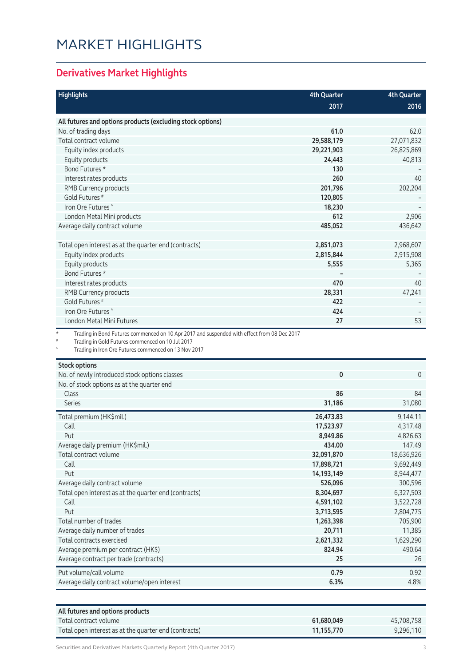### MARKET HIGHLIGHTS

#### **Derivatives Market Highlights**

| <b>Highlights</b>                                                                                       | <b>4th Quarter</b> | <b>4th Quarter</b> |
|---------------------------------------------------------------------------------------------------------|--------------------|--------------------|
|                                                                                                         | 2017               | 2016               |
|                                                                                                         |                    |                    |
| All futures and options products (excluding stock options)                                              |                    |                    |
| No. of trading days                                                                                     | 61.0               | 62.0               |
| Total contract volume                                                                                   | 29,588,179         | 27,071,832         |
| Equity index products                                                                                   | 29,221,903         | 26,825,869         |
| Equity products<br>Bond Futures *                                                                       | 24,443<br>130      | 40,813             |
|                                                                                                         | 260                | 40                 |
| Interest rates products                                                                                 |                    |                    |
| RMB Currency products                                                                                   | 201,796            | 202,204            |
| Gold Futures <sup>#</sup><br>Iron Ore Futures <sup>^</sup>                                              | 120,805            |                    |
|                                                                                                         | 18,230             |                    |
| London Metal Mini products                                                                              | 612                | 2,906              |
| Average daily contract volume                                                                           | 485,052            | 436,642            |
| Total open interest as at the quarter end (contracts)                                                   | 2,851,073          | 2,968,607          |
| Equity index products                                                                                   | 2,815,844          | 2,915,908          |
| Equity products                                                                                         | 5,555              | 5,365              |
| Bond Futures *                                                                                          |                    |                    |
| Interest rates products                                                                                 | 470                | 40                 |
| RMB Currency products                                                                                   | 28,331             | 47,241             |
| Gold Futures <sup>#</sup>                                                                               | 422                |                    |
| Iron Ore Futures <sup>^</sup>                                                                           | 424                |                    |
| London Metal Mini Futures                                                                               | 27                 | 53                 |
| $^\star$<br>Trading in Bond Futures commenced on 10 Apr 2017 and suspended with effect from 08 Dec 2017 |                    |                    |
| Trading in Gold Futures commenced on 10 Jul 2017                                                        |                    |                    |
| Trading in Iron Ore Futures commenced on 13 Nov 2017                                                    |                    |                    |
| <b>Stock options</b>                                                                                    |                    |                    |
| No. of newly introduced stock options classes                                                           | 0                  | $\overline{0}$     |
| No. of stock options as at the quarter end                                                              |                    |                    |
| Class                                                                                                   | 86                 | 84                 |
| <b>Series</b>                                                                                           | 31,186             | 31,080             |
| Total premium (HK\$mil.)                                                                                | 26,473.83          | 9,144.11           |
| Call                                                                                                    | 17,523.97          | 4,317.48           |
| Put                                                                                                     | 8,949.86           | 4,826.63           |
| Average daily premium (HK\$mil.)                                                                        | 434.00             | 147.49             |
| Total contract volume                                                                                   | 32,091,870         | 18,636,926         |
| Call                                                                                                    | 17,898,721         | 9,692,449          |
| Put                                                                                                     | 14,193,149         | 8,944,477          |
| Average daily contract volume                                                                           | 526,096            | 300,596            |
| Total open interest as at the quarter end (contracts)                                                   | 8,304,697          | 6,327,503          |
| Call                                                                                                    | 4,591,102          | 3,522,728          |
| Put                                                                                                     | 3,713,595          | 2,804,775          |
| Total number of trades                                                                                  | 1,263,398          | 705,900            |
| avorago daily numbor of trados                                                                          | 20711              | 11 2 2 5           |

| Average daily number of trades              | 20,711    | 11.385    |
|---------------------------------------------|-----------|-----------|
| Total contracts exercised                   | 2,621,332 | 1,629,290 |
| Average premium per contract (HK\$)         | 824.94    | 490.64    |
| Average contract per trade (contracts)      | 25        | 26        |
| Put volume/call volume                      | 0.79      | 0.92      |
| Average daily contract volume/open interest | 6.3%      | 4.8%      |
|                                             |           |           |

| All futures and options products                      |            |            |
|-------------------------------------------------------|------------|------------|
| $\sqrt{2}$ Total contract volume                      | 61.680.049 | 45.708.758 |
| Total open interest as at the quarter end (contracts) | 11.155.770 | 9.296.110  |

Securities and Derivatives Markets Quarterly Report (4th Quarter 2017) 33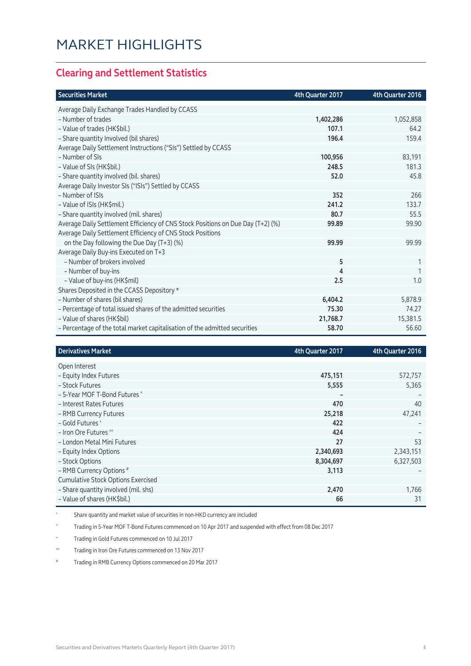#### **Clearing and Settlement Statistics**

| <b>Securities Market</b>                                                        | 4th Quarter 2017 | 4th Quarter 2016 |
|---------------------------------------------------------------------------------|------------------|------------------|
| Average Daily Exchange Trades Handled by CCASS                                  |                  |                  |
| - Number of trades                                                              | 1,402,286        | 1,052,858        |
| - Value of trades (HK\$bil.)                                                    | 107.1            | 64.2             |
| - Share quantity Involved (bil shares)                                          | 196.4            | 159.4            |
| Average Daily Settlement Instructions ("SIs") Settled by CCASS                  |                  |                  |
| - Number of SIs                                                                 | 100,956          | 83,191           |
| - Value of SIs (HK\$bil.)                                                       | 248.5            | 181.3            |
| - Share quantity involved (bil. shares)                                         | 52.0             | 45.8             |
| Average Daily Investor SIs ("ISIs") Settled by CCASS                            |                  |                  |
| - Number of ISIs                                                                | 352              | 266              |
| - Value of ISIs (HK\$mil.)                                                      | 241.2            | 133.7            |
| - Share quantity involved (mil. shares)                                         | 80.7             | 55.5             |
| Average Daily Settlement Efficiency of CNS Stock Positions on Due Day (T+2) (%) | 99.89            | 99.90            |
| Average Daily Settlement Efficiency of CNS Stock Positions                      |                  |                  |
| on the Day following the Due Day (T+3) (%)                                      | 99.99            | 99.99            |
| Average Daily Buy-ins Executed on T+3                                           |                  |                  |
| - Number of brokers involved                                                    | 5                | 1                |
| - Number of buy-ins                                                             | 4                |                  |
| - Value of buy-ins (HK\$mil)                                                    | 2.5              | 1.0              |
| Shares Deposited in the CCASS Depository *                                      |                  |                  |
| - Number of shares (bil shares)                                                 | 6,404.2          | 5,878.9          |
| - Percentage of total issued shares of the admitted securities                  | 75.30            | 74.27            |
| - Value of shares (HK\$bil)                                                     | 21,768.7         | 15,381.5         |
| - Percentage of the total market capitalisation of the admitted securities      | 58.70            | 56.60            |

| <b>Derivatives Market</b>                 | 4th Quarter 2017 | 4th Quarter 2016 |
|-------------------------------------------|------------------|------------------|
| Open Interest                             |                  |                  |
|                                           |                  |                  |
| - Equity Index Futures                    | 475,151          | 572,757          |
| - Stock Futures                           | 5,555            | 5,365            |
| - 5-Year MOF T-Bond Futures ^             |                  |                  |
| - Interest Rates Futures                  | 470              | 40               |
| - RMB Currency Futures                    | 25,218           | 47,241           |
| - Gold Futures +                          | 422              |                  |
| - Iron Ore Futures ^^                     | 424              |                  |
| - London Metal Mini Futures               | 27               | 53               |
| - Equity Index Options                    | 2,340,693        | 2,343,151        |
| - Stock Options                           | 8,304,697        | 6,327,503        |
| - RMB Currency Options #                  | 3,113            |                  |
| <b>Cumulative Stock Options Exercised</b> |                  |                  |
| - Share quantity involved (mil. shs)      | 2,470            | 1,766            |
| - Value of shares (HK\$bil.)              | 66               | 31               |

\* Share quantity and market value of securities in non-HKD currency are included

^ Trading in 5-Year MOF T-Bond Futures commenced on 10 Apr 2017 and suspended with effect from 08 Dec 2017

+ Trading in Gold Futures commenced on 10 Jul 2017

^^ Trading in Iron Ore Futures commenced on 13 Nov 2017

# Trading in RMB Currency Options commenced on 20 Mar 2017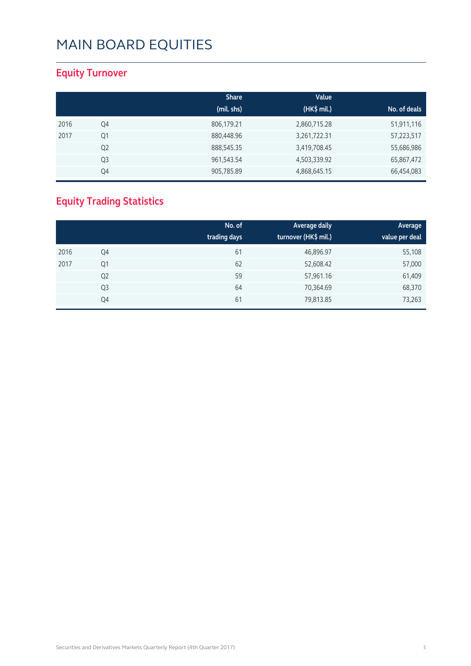#### **Equity Turnover**

|      |                | <b>Share</b><br>(mil. shs) | Value<br>(HK\$ mil.) | No. of deals |
|------|----------------|----------------------------|----------------------|--------------|
|      |                |                            |                      |              |
| 2016 | Q4             | 806,179.21                 | 2,860,715.28         | 51,911,116   |
| 2017 | Q1             | 880,448.96                 | 3,261,722.31         | 57,223,517   |
|      | Q <sub>2</sub> | 888,545.35                 | 3,419,708.45         | 55,686,986   |
|      | Q3             | 961,543.54                 | 4,503,339.92         | 65,867,472   |
|      | Q4             | 905,785.89                 | 4,868,645.15         | 66,454,083   |

### **Equity Trading Statistics**

|      |                | No. of<br>trading days | Average daily<br>turnover (HK\$ mil.) | Average<br>value per deal |
|------|----------------|------------------------|---------------------------------------|---------------------------|
| 2016 | Q4             | 61                     | 46,896.97                             | 55,108                    |
| 2017 | Q1             | 62                     | 52,608.42                             | 57,000                    |
|      | Q <sub>2</sub> | 59                     | 57,961.16                             | 61,409                    |
|      | Q <sub>3</sub> | 64                     | 70,364.69                             | 68,370                    |
|      | Q4             | 61                     | 79,813.85                             | 73,263                    |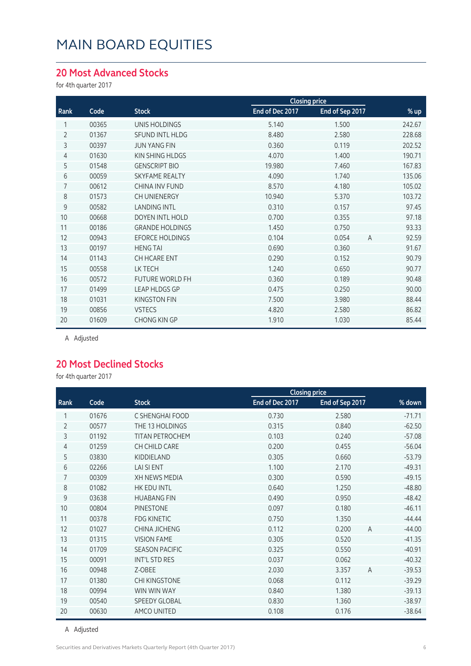#### **20 Most Advanced Stocks**

for 4th quarter 2017

|                |       |                        | <b>Closing price</b> |                 |                         |
|----------------|-------|------------------------|----------------------|-----------------|-------------------------|
| Rank           | Code  | <b>Stock</b>           | End of Dec 2017      | End of Sep 2017 | % up                    |
|                | 00365 | <b>UNIS HOLDINGS</b>   | 5.140                | 1.500           | 242.67                  |
| $\overline{2}$ | 01367 | SFUND INTL HLDG        | 8.480                | 2.580           | 228.68                  |
| 3              | 00397 | <b>JUN YANG FIN</b>    | 0.360                | 0.119           | 202.52                  |
| $\overline{4}$ | 01630 | KIN SHING HLDGS        | 4.070                | 1.400           | 190.71                  |
| 5              | 01548 | <b>GENSCRIPT BIO</b>   | 19.980               | 7.460           | 167.83                  |
| 6              | 00059 | <b>SKYFAME REALTY</b>  | 4.090                | 1.740           | 135.06                  |
| 7              | 00612 | <b>CHINA INV FUND</b>  | 8.570                | 4.180           | 105.02                  |
| 8              | 01573 | CH UNIENERGY           | 10.940               | 5.370           | 103.72                  |
| 9              | 00582 | <b>LANDING INTL</b>    | 0.310                | 0.157           | 97.45                   |
| 10             | 00668 | DOYEN INTL HOLD        | 0.700                | 0.355           | 97.18                   |
| 11             | 00186 | <b>GRANDE HOLDINGS</b> | 1.450                | 0.750           | 93.33                   |
| 12             | 00943 | <b>EFORCE HOLDINGS</b> | 0.104                | 0.054           | 92.59<br>$\overline{A}$ |
| 13             | 00197 | <b>HENG TAI</b>        | 0.690                | 0.360           | 91.67                   |
| 14             | 01143 | CH HCARE ENT           | 0.290                | 0.152           | 90.79                   |
| 15             | 00558 | LK TECH                | 1.240                | 0.650           | 90.77                   |
| 16             | 00572 | <b>FUTURE WORLD FH</b> | 0.360                | 0.189           | 90.48                   |
| 17             | 01499 | <b>LEAP HLDGS GP</b>   | 0.475                | 0.250           | 90.00                   |
| 18             | 01031 | <b>KINGSTON FIN</b>    | 7.500                | 3.980           | 88.44                   |
| 19             | 00856 | <b>VSTECS</b>          | 4.820                | 2.580           | 86.82                   |
| 20             | 01609 | <b>CHONG KIN GP</b>    | 1.910                | 1.030           | 85.44                   |

A Adjusted

#### **20 Most Declined Stocks**

for 4th quarter 2017

|                |       |                        |                 | <b>Closing price</b>    |          |  |
|----------------|-------|------------------------|-----------------|-------------------------|----------|--|
| Rank           | Code  | <b>Stock</b>           | End of Dec 2017 | End of Sep 2017         | % down   |  |
| 1              | 01676 | C SHENGHAI FOOD        | 0.730           | 2.580                   | $-71.71$ |  |
| $\overline{2}$ | 00577 | THE 13 HOLDINGS        | 0.315           | 0.840                   | $-62.50$ |  |
| 3              | 01192 | <b>TITAN PETROCHEM</b> | 0.103           | 0.240                   | $-57.08$ |  |
| 4              | 01259 | CH CHILD CARE          | 0.200           | 0.455                   | $-56.04$ |  |
| 5              | 03830 | KIDDIELAND             | 0.305           | 0.660                   | $-53.79$ |  |
| 6              | 02266 | <b>LAI SI ENT</b>      | 1.100           | 2.170                   | $-49.31$ |  |
| 7              | 00309 | <b>XH NEWS MEDIA</b>   | 0.300           | 0.590                   | $-49.15$ |  |
| 8              | 01082 | HK EDU INTL            | 0.640           | 1.250                   | $-48.80$ |  |
| 9              | 03638 | <b>HUABANG FIN</b>     | 0.490           | 0.950                   | $-48.42$ |  |
| 10             | 00804 | <b>PINESTONE</b>       | 0.097           | 0.180                   | $-46.11$ |  |
| 11             | 00378 | <b>FDG KINETIC</b>     | 0.750           | 1.350                   | $-44.44$ |  |
| 12             | 01027 | CHINA JICHENG          | 0.112           | 0.200<br>$\overline{A}$ | $-44.00$ |  |
| 13             | 01315 | <b>VISION FAME</b>     | 0.305           | 0.520                   | $-41.35$ |  |
| 14             | 01709 | <b>SEASON PACIFIC</b>  | 0.325           | 0.550                   | $-40.91$ |  |
| 15             | 00091 | INT'L STD RES          | 0.037           | 0.062                   | $-40.32$ |  |
| 16             | 00948 | Z-OBEE                 | 2.030           | 3.357<br>$\overline{A}$ | $-39.53$ |  |
| 17             | 01380 | <b>CHI KINGSTONE</b>   | 0.068           | 0.112                   | $-39.29$ |  |
| 18             | 00994 | WIN WIN WAY            | 0.840           | 1.380                   | $-39.13$ |  |
| 19             | 00540 | <b>SPEEDY GLOBAL</b>   | 0.830           | 1.360                   | $-38.97$ |  |
| 20             | 00630 | AMCO UNITED            | 0.108           | 0.176                   | $-38.64$ |  |

A Adjusted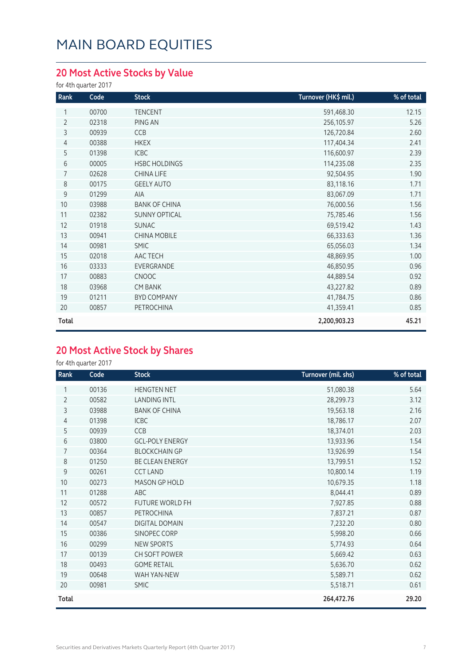### **20 Most Active Stocks by Value**

for 4th quarter 2017

| Rank           | Code  | <b>Stock</b>         | Turnover (HK\$ mil.) | % of total |
|----------------|-------|----------------------|----------------------|------------|
| 1              | 00700 | <b>TENCENT</b>       | 591,468.30           | 12.15      |
| $\overline{2}$ | 02318 | PING AN              | 256,105.97           | 5.26       |
| 3              | 00939 | CCB                  | 126,720.84           | 2.60       |
| 4              | 00388 | <b>HKEX</b>          | 117,404.34           | 2.41       |
| 5              | 01398 | <b>ICBC</b>          | 116,600.97           | 2.39       |
| 6              | 00005 | <b>HSBC HOLDINGS</b> | 114,235.08           | 2.35       |
| $\overline{7}$ | 02628 | CHINA LIFE           | 92,504.95            | 1.90       |
| 8              | 00175 | <b>GEELY AUTO</b>    | 83,118.16            | 1.71       |
| $\mathsf 9$    | 01299 | <b>AIA</b>           | 83,067.09            | 1.71       |
| 10             | 03988 | <b>BANK OF CHINA</b> | 76,000.56            | 1.56       |
| 11             | 02382 | <b>SUNNY OPTICAL</b> | 75,785.46            | 1.56       |
| 12             | 01918 | <b>SUNAC</b>         | 69,519.42            | 1.43       |
| 13             | 00941 | <b>CHINA MOBILE</b>  | 66,333.63            | 1.36       |
| 14             | 00981 | <b>SMIC</b>          | 65,056.03            | 1.34       |
| 15             | 02018 | AAC TECH             | 48,869.95            | 1.00       |
| 16             | 03333 | EVERGRANDE           | 46,850.95            | 0.96       |
| 17             | 00883 | <b>CNOOC</b>         | 44,889.54            | 0.92       |
| 18             | 03968 | <b>CM BANK</b>       | 43,227.82            | 0.89       |
| 19             | 01211 | <b>BYD COMPANY</b>   | 41,784.75            | 0.86       |
| 20             | 00857 | PETROCHINA           | 41,359.41            | 0.85       |
| Total          |       |                      | 2,200,903.23         | 45.21      |

#### **20 Most Active Stock by Shares**

for 4th quarter 2017

| Rank           | Code  | <b>Stock</b>           | Turnover (mil. shs) | % of total |
|----------------|-------|------------------------|---------------------|------------|
|                | 00136 | <b>HENGTEN NET</b>     | 51,080.38           | 5.64       |
| $\overline{2}$ | 00582 | <b>LANDING INTL</b>    | 28,299.73           | 3.12       |
| 3              | 03988 | <b>BANK OF CHINA</b>   | 19,563.18           | 2.16       |
| 4              | 01398 | <b>ICBC</b>            | 18,786.17           | 2.07       |
| 5              | 00939 | CCB                    | 18,374.01           | 2.03       |
| 6              | 03800 | <b>GCL-POLY ENERGY</b> | 13,933.96           | 1.54       |
| 7              | 00364 | <b>BLOCKCHAIN GP</b>   | 13,926.99           | 1.54       |
| 8              | 01250 | BE CLEAN ENERGY        | 13,799.51           | 1.52       |
| 9              | 00261 | <b>CCT LAND</b>        | 10,800.14           | 1.19       |
| 10             | 00273 | MASON GP HOLD          | 10,679.35           | 1.18       |
| 11             | 01288 | ABC                    | 8,044.41            | 0.89       |
| 12             | 00572 | <b>FUTURE WORLD FH</b> | 7,927.85            | 0.88       |
| 13             | 00857 | PETROCHINA             | 7,837.21            | 0.87       |
| 14             | 00547 | DIGITAL DOMAIN         | 7,232.20            | 0.80       |
| 15             | 00386 | SINOPEC CORP           | 5,998.20            | 0.66       |
| 16             | 00299 | <b>NEW SPORTS</b>      | 5,774.93            | 0.64       |
| 17             | 00139 | CH SOFT POWER          | 5,669.42            | 0.63       |
| 18             | 00493 | <b>GOME RETAIL</b>     | 5,636.70            | 0.62       |
| 19             | 00648 | WAH YAN-NEW            | 5,589.71            | 0.62       |
| 20             | 00981 | <b>SMIC</b>            | 5,518.71            | 0.61       |
| Total          |       |                        | 264,472.76          | 29.20      |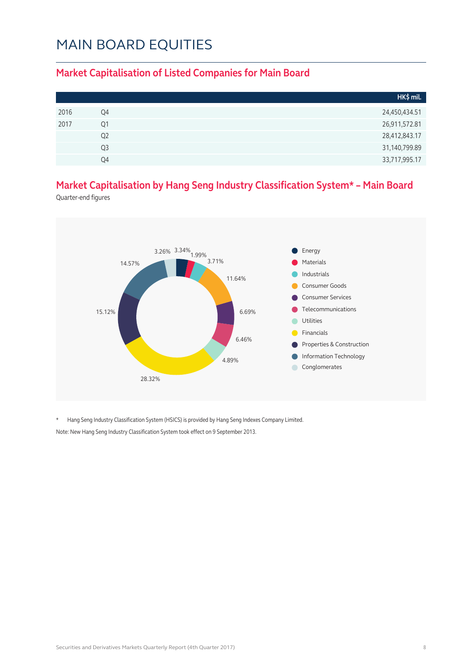#### **Market Capitalisation of Listed Companies for Main Board**

|      |                | HK\$ mil.     |
|------|----------------|---------------|
| 2016 | Q4             | 24,450,434.51 |
| 2017 | Q1             | 26,911,572.81 |
|      | Q <sub>2</sub> | 28,412,843.17 |
|      | Q3             | 31,140,799.89 |
|      | 04             | 33,717,995.17 |

#### **Market Capitalisation by Hang Seng Industry Classification System\* – Main Board**

Quarter-end figures



\* Hang Seng Industry Classification System (HSICS) is provided by Hang Seng Indexes Company Limited. Note: New Hang Seng Industry Classification System took effect on 9 September 2013.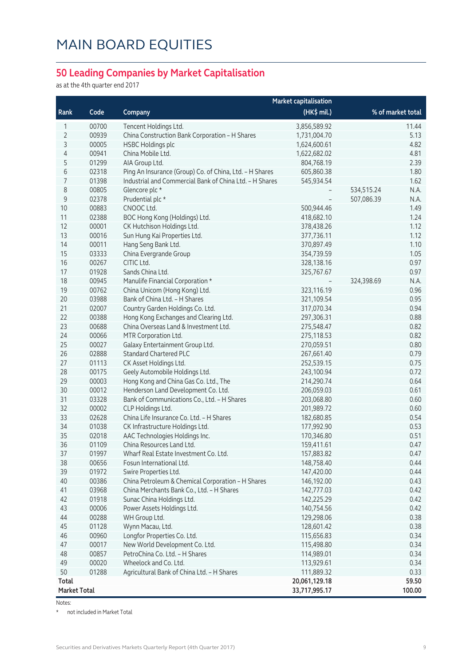#### **50 Leading Companies by Market Capitalisation**

as at the 4th quarter end 2017

|                     |       | <b>Market capitalisation</b>                            |               |                    |
|---------------------|-------|---------------------------------------------------------|---------------|--------------------|
| Rank                | Code  | Company                                                 | (HK\$ mil.)   | % of market total  |
| 1                   | 00700 | Tencent Holdings Ltd.                                   | 3,856,589.92  | 11.44              |
| $\overline{2}$      | 00939 | China Construction Bank Corporation - H Shares          | 1,731,004.70  | 5.13               |
| 3                   | 00005 | <b>HSBC Holdings plc</b>                                | 1,624,600.61  | 4.82               |
| 4                   | 00941 | China Mobile Ltd.                                       | 1,622,682.02  | 4.81               |
| 5                   | 01299 | AIA Group Ltd.                                          | 804,768.19    | 2.39               |
| 6                   | 02318 | Ping An Insurance (Group) Co. of China, Ltd. - H Shares | 605,860.38    | 1.80               |
| 7                   | 01398 | Industrial and Commercial Bank of China Ltd. - H Shares | 545,934.54    | 1.62               |
| 8                   | 00805 | Glencore plc *                                          |               | 534,515.24<br>N.A. |
| $\mathsf 9$         | 02378 | Prudential plc *                                        |               | 507,086.39<br>N.A. |
| 10                  | 00883 | CNOOC Ltd.                                              | 500,944.46    | 1.49               |
| 11                  | 02388 | BOC Hong Kong (Holdings) Ltd.                           | 418,682.10    | 1.24               |
| 12                  | 00001 | CK Hutchison Holdings Ltd.                              | 378,438.26    | 1.12               |
| 13                  | 00016 | Sun Hung Kai Properties Ltd.                            | 377,736.11    | 1.12               |
| 14                  | 00011 | Hang Seng Bank Ltd.                                     | 370,897.49    | 1.10               |
| 15                  | 03333 | China Evergrande Group                                  | 354,739.59    | 1.05               |
| 16                  | 00267 | CITIC Ltd.                                              | 328,138.16    | 0.97               |
| 17                  | 01928 | Sands China Ltd.                                        | 325,767.67    | 0.97               |
| 18                  | 00945 | Manulife Financial Corporation *                        |               | 324,398.69<br>N.A. |
| 19                  | 00762 | China Unicom (Hong Kong) Ltd.                           | 323,116.19    | 0.96               |
| 20                  | 03988 | Bank of China Ltd. - H Shares                           | 321,109.54    | 0.95               |
| 21                  | 02007 | Country Garden Holdings Co. Ltd.                        | 317,070.34    | 0.94               |
| 22                  | 00388 | Hong Kong Exchanges and Clearing Ltd.                   | 297,306.31    | 0.88               |
| 23                  | 00688 | China Overseas Land & Investment Ltd.                   | 275,548.47    | 0.82               |
| 24                  | 00066 | MTR Corporation Ltd.                                    | 275,118.53    | 0.82               |
| 25                  | 00027 | Galaxy Entertainment Group Ltd.                         | 270,059.51    | 0.80               |
| 26                  | 02888 | <b>Standard Chartered PLC</b>                           | 267,661.40    | 0.79               |
| 27                  | 01113 | CK Asset Holdings Ltd.                                  | 252,539.15    | 0.75               |
| 28                  | 00175 | Geely Automobile Holdings Ltd.                          | 243,100.94    | 0.72               |
| 29                  | 00003 | Hong Kong and China Gas Co. Ltd., The                   | 214,290.74    | 0.64               |
| 30                  | 00012 | Henderson Land Development Co. Ltd.                     | 206,059.03    | 0.61               |
| 31                  | 03328 | Bank of Communications Co., Ltd. - H Shares             | 203,068.80    | 0.60               |
| 32                  | 00002 | CLP Holdings Ltd.                                       | 201,989.72    | 0.60               |
| 33                  | 02628 | China Life Insurance Co. Ltd. - H Shares                | 182,680.85    | 0.54               |
| 34                  | 01038 | CK Infrastructure Holdings Ltd.                         | 177,992.90    | 0.53               |
| 35                  | 02018 | AAC Technologies Holdings Inc.                          | 170,346.80    | 0.51               |
| 36                  | 01109 | China Resources Land Ltd.                               | 159,411.61    | 0.47               |
| 37                  | 01997 | Wharf Real Estate Investment Co. Ltd.                   | 157,883.82    | 0.47               |
| 38                  | 00656 | Fosun International Ltd.                                | 148,758.40    | 0.44               |
| 39                  | 01972 | Swire Properties Ltd.                                   | 147,420.00    | 0.44               |
| 40                  | 00386 | China Petroleum & Chemical Corporation - H Shares       | 146,192.00    | 0.43               |
| 41                  | 03968 | China Merchants Bank Co., Ltd. - H Shares               | 142,777.03    | 0.42               |
| 42                  | 01918 | Sunac China Holdings Ltd.                               | 142,225.29    | 0.42               |
| 43                  | 00006 | Power Assets Holdings Ltd.                              | 140,754.56    | 0.42               |
| 44                  | 00288 | WH Group Ltd.                                           | 129,298.06    | 0.38               |
| 45                  | 01128 | Wynn Macau, Ltd.                                        | 128,601.42    | 0.38               |
| 46                  | 00960 | Longfor Properties Co. Ltd.                             | 115,656.83    | 0.34               |
| 47                  | 00017 | New World Development Co. Ltd.                          | 115,498.80    | 0.34               |
| 48                  | 00857 | PetroChina Co. Ltd. - H Shares                          | 114,989.01    | 0.34               |
| 49                  | 00020 | Wheelock and Co. Ltd.                                   | 113,929.61    | 0.34               |
| 50                  | 01288 | Agricultural Bank of China Ltd. - H Shares              | 111,889.32    | 0.33               |
| <b>Total</b>        |       |                                                         | 20,061,129.18 | 59.50              |
| <b>Market Total</b> |       |                                                         | 33,717,995.17 | 100.00             |

Notes:

\* not included in Market Total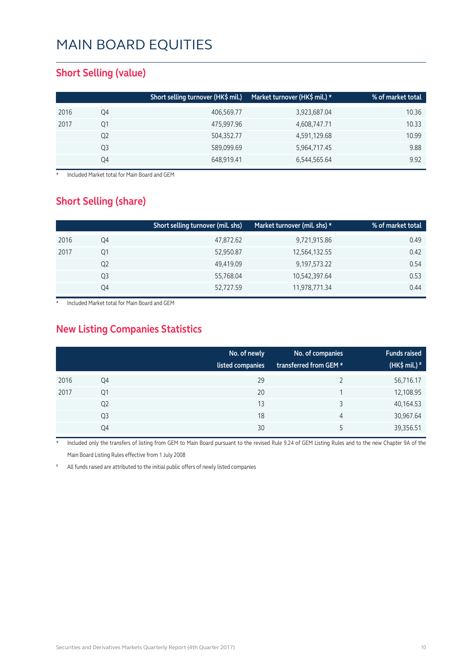#### **Short Selling (value)**

|      |    | Short selling turnover (HK\$ mil.) | Market turnover (HK\$ mil.) * | % of market total |
|------|----|------------------------------------|-------------------------------|-------------------|
| 2016 | Q4 | 406,569.77                         | 3,923,687.04                  | 10.36             |
| 2017 | Q1 | 475,997.96                         | 4,608,747.71                  | 10.33             |
|      | Q2 | 504,352.77                         | 4,591,129.68                  | 10.99             |
|      | Q3 | 589,099.69                         | 5,964,717.45                  | 9.88              |
|      | Q4 | 648,919.41                         | 6,544,565.64                  | 9.92              |

**Included Market total for Main Board and GEM** 

#### **Short Selling (share)**

|      |    | Short selling turnover (mil. shs) | Market turnover (mil. shs) $\star$ | % of market total |
|------|----|-----------------------------------|------------------------------------|-------------------|
| 2016 | Q4 | 47,872.62                         | 9,721,915.86                       | 0.49              |
| 2017 | Q1 | 52,950.87                         | 12,564,132.55                      | 0.42              |
|      | Q2 | 49,419.09                         | 9,197,573.22                       | 0.54              |
|      | Q3 | 55,768.04                         | 10,542,397.64                      | 0.53              |
|      | Q4 | 52,727.59                         | 11,978,771.34                      | 0.44              |

Included Market total for Main Board and GEM

#### **New Listing Companies Statistics**

|      |                | No. of newly<br>listed companies | No. of companies<br>transferred from GEM * | <b>Funds raised</b><br>(HK\$ mil.) $*$ |
|------|----------------|----------------------------------|--------------------------------------------|----------------------------------------|
| 2016 | Q4             | 29                               |                                            | 56,716.17                              |
| 2017 | Q1             | 20                               |                                            | 12,108.95                              |
|      | Q <sub>2</sub> | 13                               | 3                                          | 40,164.53                              |
|      | Q3             | 18                               | 4                                          | 30,967.64                              |
|      | Q4             | 30                               | 5                                          | 39,356.51                              |

Included only the transfers of listing from GEM to Main Board pursuant to the revised Rule 9.24 of GEM Listing Rules and to the new Chapter 9A of the Main Board Listing Rules effective from 1 July 2008

All funds raised are attributed to the initial public offers of newly listed companies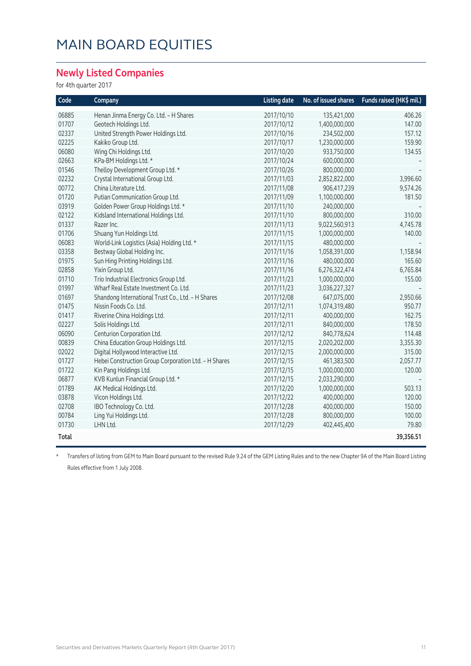#### **Newly Listed Companies**

for 4th quarter 2017

| Code  | Company                                              | <b>Listing date</b> | No. of issued shares | Funds raised (HK\$ mil.) |
|-------|------------------------------------------------------|---------------------|----------------------|--------------------------|
| 06885 | Henan Jinma Energy Co. Ltd. - H Shares               | 2017/10/10          | 135,421,000          | 406.26                   |
| 01707 | Geotech Holdings Ltd.                                | 2017/10/12          | 1,400,000,000        | 147.00                   |
| 02337 | United Strength Power Holdings Ltd.                  | 2017/10/16          | 234,502,000          | 157.12                   |
| 02225 | Kakiko Group Ltd.                                    | 2017/10/17          | 1,230,000,000        | 159.90                   |
| 06080 | Wing Chi Holdings Ltd.                               | 2017/10/20          | 933,750,000          | 134.55                   |
| 02663 | KPa-BM Holdings Ltd. *                               | 2017/10/24          | 600,000,000          |                          |
| 01546 | Thelloy Development Group Ltd. *                     | 2017/10/26          | 800,000,000          |                          |
| 02232 | Crystal International Group Ltd.                     | 2017/11/03          | 2,852,822,000        | 3,996.60                 |
| 00772 | China Literature Ltd.                                | 2017/11/08          | 906,417,239          | 9,574.26                 |
| 01720 | Putian Communication Group Ltd.                      | 2017/11/09          | 1,100,000,000        | 181.50                   |
| 03919 | Golden Power Group Holdings Ltd. *                   | 2017/11/10          | 240,000,000          |                          |
| 02122 | Kidsland International Holdings Ltd.                 | 2017/11/10          | 800,000,000          | 310.00                   |
| 01337 | Razer Inc.                                           | 2017/11/13          | 9,022,560,913        | 4,745.78                 |
| 01706 | Shuang Yun Holdings Ltd.                             | 2017/11/15          | 1,000,000,000        | 140.00                   |
| 06083 | World-Link Logistics (Asia) Holding Ltd. *           | 2017/11/15          | 480,000,000          |                          |
| 03358 | Bestway Global Holding Inc.                          | 2017/11/16          | 1,058,391,000        | 1,158.94                 |
| 01975 | Sun Hing Printing Holdings Ltd.                      | 2017/11/16          | 480,000,000          | 165.60                   |
| 02858 | Yixin Group Ltd.                                     | 2017/11/16          | 6,276,322,474        | 6,765.84                 |
| 01710 | Trio Industrial Electronics Group Ltd.               | 2017/11/23          | 1,000,000,000        | 155.00                   |
| 01997 | Wharf Real Estate Investment Co. Ltd.                | 2017/11/23          | 3,036,227,327        |                          |
| 01697 | Shandong International Trust Co., Ltd. - H Shares    | 2017/12/08          | 647,075,000          | 2,950.66                 |
| 01475 | Nissin Foods Co. Ltd.                                | 2017/12/11          | 1,074,319,480        | 950.77                   |
| 01417 | Riverine China Holdings Ltd.                         | 2017/12/11          | 400,000,000          | 162.75                   |
| 02227 | Solis Holdings Ltd.                                  | 2017/12/11          | 840,000,000          | 178.50                   |
| 06090 | Centurion Corporation Ltd.                           | 2017/12/12          | 840,778,624          | 114.48                   |
| 00839 | China Education Group Holdings Ltd.                  | 2017/12/15          | 2,020,202,000        | 3,355.30                 |
| 02022 | Digital Hollywood Interactive Ltd.                   | 2017/12/15          | 2,000,000,000        | 315.00                   |
| 01727 | Hebei Construction Group Corporation Ltd. - H Shares | 2017/12/15          | 461,383,500          | 2,057.77                 |
| 01722 | Kin Pang Holdings Ltd.                               | 2017/12/15          | 1,000,000,000        | 120.00                   |
| 06877 | KVB Kunlun Financial Group Ltd. *                    | 2017/12/15          | 2,033,290,000        |                          |
| 01789 | AK Medical Holdings Ltd.                             | 2017/12/20          | 1,000,000,000        | 503.13                   |
| 03878 | Vicon Holdings Ltd.                                  | 2017/12/22          | 400,000,000          | 120.00                   |
| 02708 | IBO Technology Co. Ltd.                              | 2017/12/28          | 400,000,000          | 150.00                   |
| 00784 | Ling Yui Holdings Ltd.                               | 2017/12/28          | 800,000,000          | 100.00                   |
| 01730 | LHN Ltd.                                             | 2017/12/29          | 402,445,400          | 79.80                    |
| Total |                                                      |                     |                      | 39,356.51                |

\* Transfers of listing from GEM to Main Board pursuant to the revised Rule 9.24 of the GEM Listing Rules and to the new Chapter 9A of the Main Board Listing Rules effective from 1 July 2008.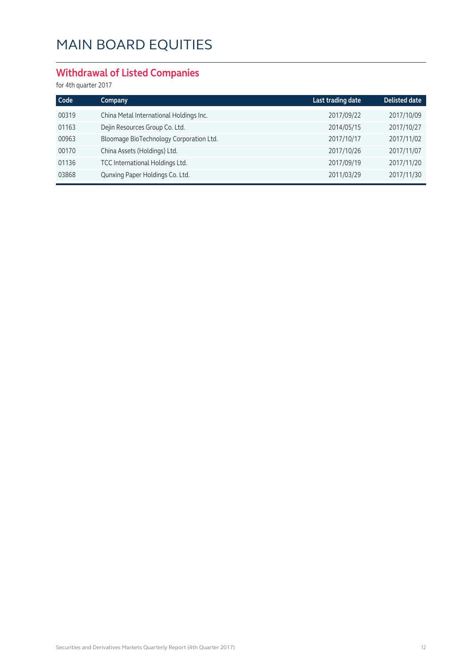#### **Withdrawal of Listed Companies**

for 4th quarter 2017

| Code  | Company                                 | Last trading date | <b>Delisted date</b> |
|-------|-----------------------------------------|-------------------|----------------------|
| 00319 | China Metal International Holdings Inc. | 2017/09/22        | 2017/10/09           |
| 01163 | Dejin Resources Group Co. Ltd.          | 2014/05/15        | 2017/10/27           |
| 00963 | Bloomage BioTechnology Corporation Ltd. | 2017/10/17        | 2017/11/02           |
| 00170 | China Assets (Holdings) Ltd.            | 2017/10/26        | 2017/11/07           |
| 01136 | TCC International Holdings Ltd.         | 2017/09/19        | 2017/11/20           |
| 03868 | Qunxing Paper Holdings Co. Ltd.         | 2011/03/29        | 2017/11/30           |
|       |                                         |                   |                      |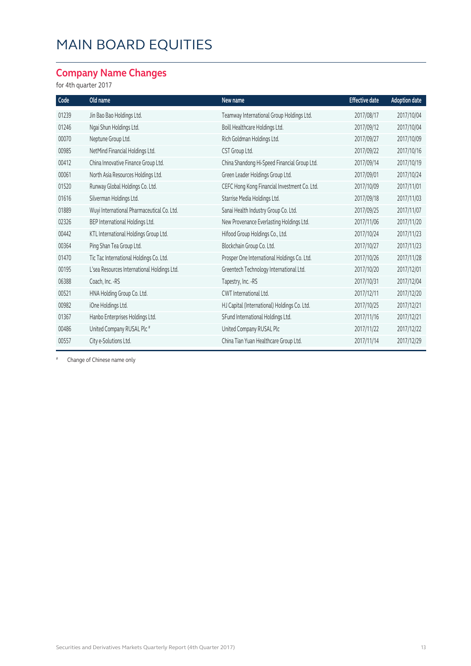#### **Company Name Changes**

for 4th quarter 2017

| Code  | Old name                                    | New name                                     | <b>Effective date</b> | <b>Adoption date</b> |
|-------|---------------------------------------------|----------------------------------------------|-----------------------|----------------------|
| 01239 | Jin Bao Bao Holdings Ltd.                   | Teamway International Group Holdings Ltd.    | 2017/08/17            | 2017/10/04           |
| 01246 | Ngai Shun Holdings Ltd.                     | Boill Healthcare Holdings Ltd.               | 2017/09/12            | 2017/10/04           |
| 00070 | Neptune Group Ltd.                          | Rich Goldman Holdings Ltd.                   | 2017/09/27            | 2017/10/09           |
| 00985 | NetMind Financial Holdings Ltd.             | CST Group Ltd.                               | 2017/09/22            | 2017/10/16           |
| 00412 | China Innovative Finance Group Ltd.         | China Shandong Hi-Speed Financial Group Ltd. | 2017/09/14            | 2017/10/19           |
| 00061 | North Asia Resources Holdings Ltd.          | Green Leader Holdings Group Ltd.             | 2017/09/01            | 2017/10/24           |
| 01520 | Runway Global Holdings Co. Ltd.             | CEFC Hong Kong Financial Investment Co. Ltd. | 2017/10/09            | 2017/11/01           |
| 01616 | Silverman Holdings Ltd.                     | Starrise Media Holdings Ltd.                 | 2017/09/18            | 2017/11/03           |
| 01889 | Wuyi International Pharmaceutical Co. Ltd.  | Sanai Health Industry Group Co. Ltd.         | 2017/09/25            | 2017/11/07           |
| 02326 | BEP International Holdings Ltd.             | New Provenance Everlasting Holdings Ltd.     | 2017/11/06            | 2017/11/20           |
| 00442 | KTL International Holdings Group Ltd.       | Hifood Group Holdings Co., Ltd.              | 2017/10/24            | 2017/11/23           |
| 00364 | Ping Shan Tea Group Ltd.                    | Blockchain Group Co. Ltd.                    | 2017/10/27            | 2017/11/23           |
| 01470 | Tic Tac International Holdings Co. Ltd.     | Prosper One International Holdings Co. Ltd.  | 2017/10/26            | 2017/11/28           |
| 00195 | L'sea Resources International Holdings Ltd. | Greentech Technology International Ltd.      | 2017/10/20            | 2017/12/01           |
| 06388 | Coach, Inc. -RS                             | Tapestry, Inc. -RS                           | 2017/10/31            | 2017/12/04           |
| 00521 | HNA Holding Group Co. Ltd.                  | CWT International Ltd.                       | 2017/12/11            | 2017/12/20           |
| 00982 | iOne Holdings Ltd.                          | HJ Capital (International) Holdings Co. Ltd. | 2017/10/25            | 2017/12/21           |
| 01367 | Hanbo Enterprises Holdings Ltd.             | SFund International Holdings Ltd.            | 2017/11/16            | 2017/12/21           |
| 00486 | United Company RUSAL Plc <sup>#</sup>       | United Company RUSAL Plc                     | 2017/11/22            | 2017/12/22           |
| 00557 | City e-Solutions Ltd.                       | China Tian Yuan Healthcare Group Ltd.        | 2017/11/14            | 2017/12/29           |

# Change of Chinese name only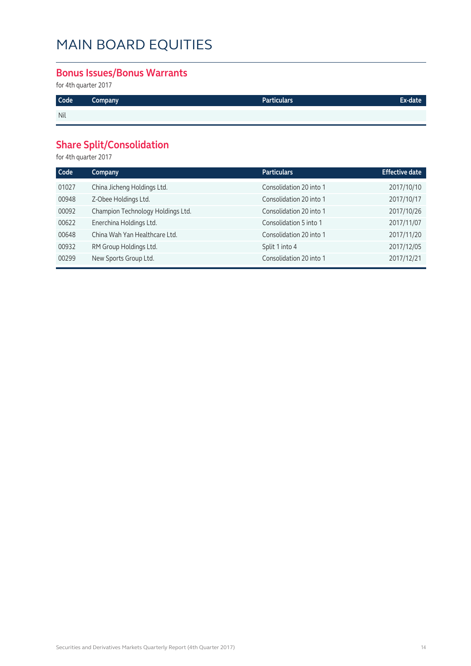#### **Bonus Issues/Bonus Warrants**

for 4th quarter 2017

| Code | Company | <b>Particulars</b> | Ex-date' |
|------|---------|--------------------|----------|
| Nil  |         |                    |          |

#### **Share Split/Consolidation**

for 4th quarter 2017

| Code  | Company                           | <b>Particulars</b>      | <b>Effective date</b> |
|-------|-----------------------------------|-------------------------|-----------------------|
| 01027 | China Jicheng Holdings Ltd.       | Consolidation 20 into 1 | 2017/10/10            |
| 00948 | Z-Obee Holdings Ltd.              | Consolidation 20 into 1 | 2017/10/17            |
| 00092 | Champion Technology Holdings Ltd. | Consolidation 20 into 1 | 2017/10/26            |
| 00622 | Enerchina Holdings Ltd.           | Consolidation 5 into 1  | 2017/11/07            |
| 00648 | China Wah Yan Healthcare Ltd.     | Consolidation 20 into 1 | 2017/11/20            |
| 00932 | RM Group Holdings Ltd.            | Split 1 into 4          | 2017/12/05            |
| 00299 | New Sports Group Ltd.             | Consolidation 20 into 1 | 2017/12/21            |
|       |                                   |                         |                       |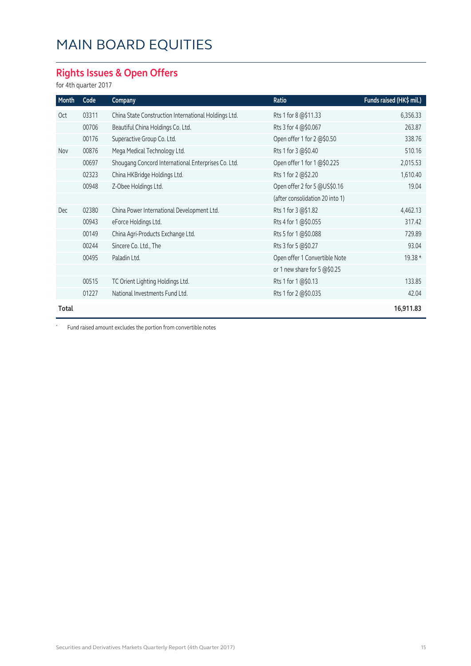#### **Rights Issues & Open Offers**

for 4th quarter 2017

| Month | Code  | Company                                              | Ratio                           | Funds raised (HK\$ mil.) |
|-------|-------|------------------------------------------------------|---------------------------------|--------------------------|
| Oct   | 03311 | China State Construction International Holdings Ltd. | Rts 1 for 8 @\$11.33            | 6,356.33                 |
|       | 00706 | Beautiful China Holdings Co. Ltd.                    | Rts 3 for 4 @\$0.067            | 263.87                   |
|       | 00176 | Superactive Group Co. Ltd.                           | Open offer 1 for 2 @\$0.50      | 338.76                   |
| Nov   | 00876 | Mega Medical Technology Ltd.                         | Rts 1 for 3 @\$0.40             | 510.16                   |
|       | 00697 | Shougang Concord International Enterprises Co. Ltd.  | Open offer 1 for 1 @\$0.225     | 2,015.53                 |
|       | 02323 | China HKBridge Holdings Ltd.                         | Rts 1 for 2 @\$2.20             | 1,610.40                 |
|       | 00948 | Z-Obee Holdings Ltd.                                 | Open offer 2 for 5 @US\$0.16    | 19.04                    |
|       |       |                                                      | (after consolidation 20 into 1) |                          |
| Dec   | 02380 | China Power International Development Ltd.           | Rts 1 for 3 @\$1.82             | 4,462.13                 |
|       | 00943 | eForce Holdings Ltd.                                 | Rts 4 for 1 @\$0.055            | 317.42                   |
|       | 00149 | China Agri-Products Exchange Ltd.                    | Rts 5 for 1 @\$0.088            | 729.89                   |
|       | 00244 | Sincere Co. Ltd., The                                | Rts 3 for 5 @\$0.27             | 93.04                    |
|       | 00495 | Paladin Ltd.                                         | Open offer 1 Convertible Note   | 19.38 *                  |
|       |       |                                                      | or 1 new share for 5 @\$0.25    |                          |
|       | 00515 | TC Orient Lighting Holdings Ltd.                     | Rts 1 for 1 @\$0.13             | 133.85                   |
|       | 01227 | National Investments Fund Ltd.                       | Rts 1 for 2 @\$0.035            | 42.04                    |
| Total |       |                                                      |                                 | 16,911.83                |

\* Fund raised amount excludes the portion from convertible notes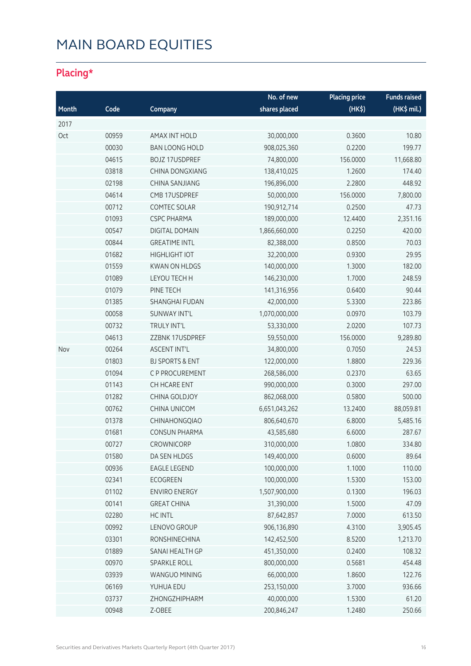### **Placing\***

|       |       |                            | No. of new    | <b>Placing price</b> | <b>Funds raised</b> |
|-------|-------|----------------------------|---------------|----------------------|---------------------|
| Month | Code  | Company                    | shares placed | (HK\$)               | (HK\$ mil.)         |
| 2017  |       |                            |               |                      |                     |
| Oct   | 00959 | <b>AMAX INT HOLD</b>       | 30,000,000    | 0.3600               | 10.80               |
|       | 00030 | <b>BAN LOONG HOLD</b>      | 908,025,360   | 0.2200               | 199.77              |
|       | 04615 | <b>BOJZ 17USDPREF</b>      | 74,800,000    | 156.0000             | 11,668.80           |
|       | 03818 | CHINA DONGXIANG            | 138,410,025   | 1.2600               | 174.40              |
|       | 02198 | <b>CHINA SANJIANG</b>      | 196,896,000   | 2.2800               | 448.92              |
|       | 04614 | CMB 17USDPREF              | 50,000,000    | 156.0000             | 7,800.00            |
|       | 00712 | <b>COMTEC SOLAR</b>        | 190,912,714   | 0.2500               | 47.73               |
|       | 01093 | <b>CSPC PHARMA</b>         | 189,000,000   | 12.4400              | 2,351.16            |
|       | 00547 | <b>DIGITAL DOMAIN</b>      | 1,866,660,000 | 0.2250               | 420.00              |
|       | 00844 | <b>GREATIME INTL</b>       | 82,388,000    | 0.8500               | 70.03               |
|       | 01682 | <b>HIGHLIGHT IOT</b>       | 32,200,000    | 0.9300               | 29.95               |
|       | 01559 | <b>KWAN ON HLDGS</b>       | 140,000,000   | 1.3000               | 182.00              |
|       | 01089 | LEYOU TECH H               | 146,230,000   | 1.7000               | 248.59              |
|       | 01079 | PINE TECH                  | 141,316,956   | 0.6400               | 90.44               |
|       | 01385 | <b>SHANGHAI FUDAN</b>      | 42,000,000    | 5.3300               | 223.86              |
|       | 00058 | <b>SUNWAY INT'L</b>        | 1,070,000,000 | 0.0970               | 103.79              |
|       | 00732 | TRULY INT'L                | 53,330,000    | 2.0200               | 107.73              |
|       | 04613 | ZZBNK 17USDPREF            | 59,550,000    | 156.0000             | 9,289.80            |
| Nov   | 00264 | <b>ASCENT INT'L</b>        | 34,800,000    | 0.7050               | 24.53               |
|       | 01803 | <b>BJ SPORTS &amp; ENT</b> | 122,000,000   | 1.8800               | 229.36              |
|       | 01094 | C P PROCUREMENT            | 268,586,000   | 0.2370               | 63.65               |
|       | 01143 | CH HCARE ENT               | 990,000,000   | 0.3000               | 297.00              |
|       | 01282 | CHINA GOLDJOY              | 862,068,000   | 0.5800               | 500.00              |
|       | 00762 | CHINA UNICOM               | 6,651,043,262 | 13.2400              | 88,059.81           |
|       | 01378 | CHINAHONGQIAO              | 806,640,670   | 6.8000               | 5,485.16            |
|       | 01681 | <b>CONSUN PHARMA</b>       | 43,585,680    | 6.6000               | 287.67              |
|       | 00727 | CROWNICORP                 | 310,000,000   | 1.0800               | 334.80              |
|       | 01580 | DA SEN HLDGS               | 149,400,000   | 0.6000               | 89.64               |
|       | 00936 | <b>EAGLE LEGEND</b>        | 100,000,000   | 1.1000               | 110.00              |
|       | 02341 | <b>ECOGREEN</b>            | 100,000,000   | 1.5300               | 153.00              |
|       | 01102 | <b>ENVIRO ENERGY</b>       | 1,507,900,000 | 0.1300               | 196.03              |
|       | 00141 | <b>GREAT CHINA</b>         | 31,390,000    | 1.5000               | 47.09               |
|       | 02280 | <b>HC INTL</b>             | 87,642,857    | 7.0000               | 613.50              |
|       | 00992 | LENOVO GROUP               | 906,136,890   | 4.3100               | 3,905.45            |
|       | 03301 | <b>RONSHINECHINA</b>       | 142,452,500   | 8.5200               | 1,213.70            |
|       | 01889 | SANAI HEALTH GP            | 451,350,000   | 0.2400               | 108.32              |
|       | 00970 | SPARKLE ROLL               | 800,000,000   | 0.5681               | 454.48              |
|       | 03939 | WANGUO MINING              | 66,000,000    | 1.8600               | 122.76              |
|       | 06169 | YUHUA EDU                  | 253,150,000   | 3.7000               | 936.66              |
|       | 03737 | ZHONGZHIPHARM              | 40,000,000    | 1.5300               | 61.20               |
|       | 00948 | Z-OBEE                     | 200,846,247   | 1.2480               | 250.66              |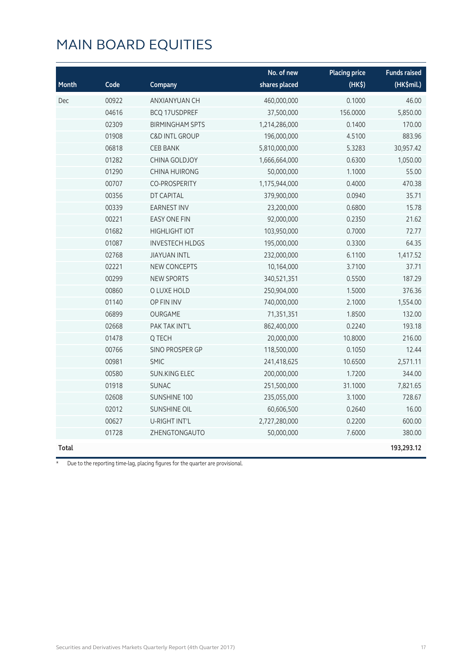|       |       |                           | No. of new    | <b>Placing price</b> | <b>Funds raised</b> |
|-------|-------|---------------------------|---------------|----------------------|---------------------|
| Month | Code  | Company                   | shares placed | (HK\$)               | (HK\$mil.)          |
| Dec   | 00922 | ANXIANYUAN CH             | 460,000,000   | 0.1000               | 46.00               |
|       | 04616 | <b>BCQ 17USDPREF</b>      | 37,500,000    | 156.0000             | 5,850.00            |
|       | 02309 | <b>BIRMINGHAM SPTS</b>    | 1,214,286,000 | 0.1400               | 170.00              |
|       | 01908 | <b>C&amp;D INTL GROUP</b> | 196,000,000   | 4.5100               | 883.96              |
|       | 06818 | <b>CEB BANK</b>           | 5,810,000,000 | 5.3283               | 30,957.42           |
|       | 01282 | <b>CHINA GOLDJOY</b>      | 1,666,664,000 | 0.6300               | 1,050.00            |
|       | 01290 | CHINA HUIRONG             | 50,000,000    | 1.1000               | 55.00               |
|       | 00707 | CO-PROSPERITY             | 1,175,944,000 | 0.4000               | 470.38              |
|       | 00356 | DT CAPITAL                | 379,900,000   | 0.0940               | 35.71               |
|       | 00339 | <b>EARNEST INV</b>        | 23,200,000    | 0.6800               | 15.78               |
|       | 00221 | <b>EASY ONE FIN</b>       | 92,000,000    | 0.2350               | 21.62               |
|       | 01682 | <b>HIGHLIGHT IOT</b>      | 103,950,000   | 0.7000               | 72.77               |
|       | 01087 | <b>INVESTECH HLDGS</b>    | 195,000,000   | 0.3300               | 64.35               |
|       | 02768 | <b>JIAYUAN INTL</b>       | 232,000,000   | 6.1100               | 1,417.52            |
|       | 02221 | <b>NEW CONCEPTS</b>       | 10,164,000    | 3.7100               | 37.71               |
|       | 00299 | <b>NEW SPORTS</b>         | 340,521,351   | 0.5500               | 187.29              |
|       | 00860 | O LUXE HOLD               | 250,904,000   | 1.5000               | 376.36              |
|       | 01140 | OP FIN INV                | 740,000,000   | 2.1000               | 1,554.00            |
|       | 06899 | OURGAME                   | 71,351,351    | 1.8500               | 132.00              |
|       | 02668 | PAK TAK INT'L             | 862,400,000   | 0.2240               | 193.18              |
|       | 01478 | Q TECH                    | 20,000,000    | 10.8000              | 216.00              |
|       | 00766 | SINO PROSPER GP           | 118,500,000   | 0.1050               | 12.44               |
|       | 00981 | <b>SMIC</b>               | 241,418,625   | 10.6500              | 2,571.11            |
|       | 00580 | <b>SUN.KING ELEC</b>      | 200,000,000   | 1.7200               | 344.00              |
|       | 01918 | <b>SUNAC</b>              | 251,500,000   | 31.1000              | 7,821.65            |
|       | 02608 | <b>SUNSHINE 100</b>       | 235,055,000   | 3.1000               | 728.67              |
|       | 02012 | <b>SUNSHINE OIL</b>       | 60,606,500    | 0.2640               | 16.00               |
|       | 00627 | U-RIGHT INT'L             | 2,727,280,000 | 0.2200               | 600.00              |
|       | 01728 | ZHENGTONGAUTO             | 50,000,000    | 7.6000               | 380.00              |
| Total |       |                           |               |                      | 193,293.12          |

\* Due to the reporting time-lag, placing figures for the quarter are provisional.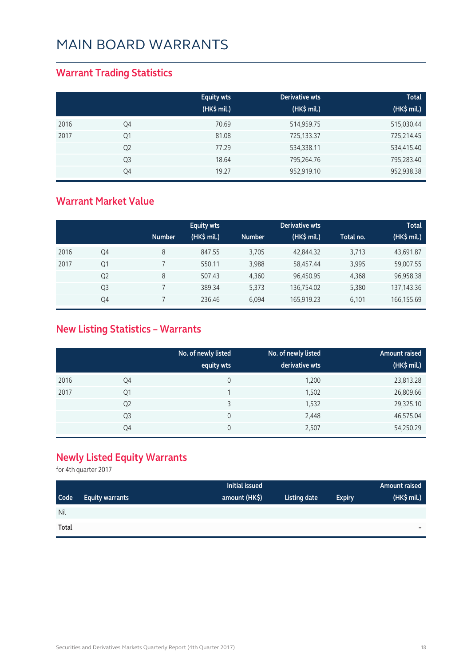#### **Warrant Trading Statistics**

|      |                | <b>Equity wts</b><br>(HK\$ mil.) | Derivative wts<br>(HK\$ mil.) | <b>Total</b><br>(HK\$ mil.) |
|------|----------------|----------------------------------|-------------------------------|-----------------------------|
| 2016 | Q4             | 70.69                            | 514,959.75                    | 515,030.44                  |
| 2017 | Q1             | 81.08                            | 725,133.37                    | 725,214.45                  |
|      | Q <sub>2</sub> | 77.29                            | 534,338.11                    | 534,415.40                  |
|      | Q <sub>3</sub> | 18.64                            | 795,264.76                    | 795,283.40                  |
|      | Q4             | 19.27                            | 952,919.10                    | 952,938.38                  |

#### **Warrant Market Value**

|      |                | <b>Number</b> | <b>Equity wts</b><br>(HK\$ mil.) | <b>Number</b> | Derivative wts<br>$(HK$$ mil.) | Total no. | <b>Total</b><br>(HK\$ mil.) |
|------|----------------|---------------|----------------------------------|---------------|--------------------------------|-----------|-----------------------------|
| 2016 | Q4             | 8             | 847.55                           | 3,705         | 42,844.32                      | 3,713     | 43,691.87                   |
| 2017 | Q1             |               | 550.11                           | 3,988         | 58,457.44                      | 3,995     | 59,007.55                   |
|      | Q <sub>2</sub> | 8             | 507.43                           | 4,360         | 96,450.95                      | 4,368     | 96,958.38                   |
|      | Q <sub>3</sub> |               | 389.34                           | 5,373         | 136,754.02                     | 5,380     | 137, 143. 36                |
|      | Q4             |               | 236.46                           | 6.094         | 165,919.23                     | 6.101     | 166,155.69                  |

#### **New Listing Statistics – Warrants**

|      |                | No. of newly listed<br>equity wts | No. of newly listed<br>derivative wts | Amount raised<br>(HK\$ mil.) |
|------|----------------|-----------------------------------|---------------------------------------|------------------------------|
| 2016 | Q4             | 0                                 | 1,200                                 | 23,813.28                    |
| 2017 | Q1             |                                   | 1,502                                 | 26,809.66                    |
|      | Q <sub>2</sub> |                                   | 1,532                                 | 29,325.10                    |
|      | Q <sub>3</sub> | 0                                 | 2,448                                 | 46,575.04                    |
|      | Q4             | 0                                 | 2,507                                 | 54,250.29                    |

#### **Newly Listed Equity Warrants**

for 4th quarter 2017

|             |                        | <b>Initial issued</b> |              |               | Amount raised            |
|-------------|------------------------|-----------------------|--------------|---------------|--------------------------|
| <b>Code</b> | <b>Equity warrants</b> | amount (HK\$)         | Listing date | <b>Expiry</b> | (HK\$ mil.)              |
| <b>Nil</b>  |                        |                       |              |               |                          |
| Total       |                        |                       |              |               | $\overline{\phantom{a}}$ |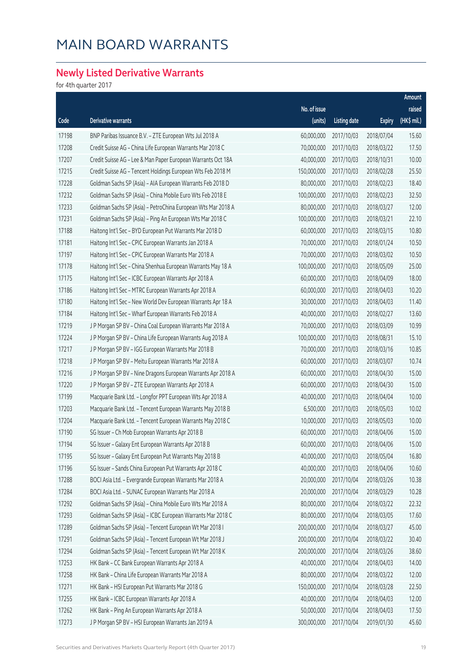#### **Newly Listed Derivative Warrants**

for 4th quarter 2017

|       |                                                              |              |                     |               | Amount      |
|-------|--------------------------------------------------------------|--------------|---------------------|---------------|-------------|
|       |                                                              | No. of issue |                     |               | raised      |
| Code  | Derivative warrants                                          | (units)      | <b>Listing date</b> | <b>Expiry</b> | (HK\$ mil.) |
| 17198 | BNP Paribas Issuance B.V. - ZTE European Wts Jul 2018 A      | 60,000,000   | 2017/10/03          | 2018/07/04    | 15.60       |
| 17208 | Credit Suisse AG - China Life European Warrants Mar 2018 C   | 70,000,000   | 2017/10/03          | 2018/03/22    | 17.50       |
| 17207 | Credit Suisse AG - Lee & Man Paper European Warrants Oct 18A | 40,000,000   | 2017/10/03          | 2018/10/31    | 10.00       |
| 17215 | Credit Suisse AG - Tencent Holdings European Wts Feb 2018 M  | 150,000,000  | 2017/10/03          | 2018/02/28    | 25.50       |
| 17228 | Goldman Sachs SP (Asia) - AIA European Warrants Feb 2018 D   | 80,000,000   | 2017/10/03          | 2018/02/23    | 18.40       |
| 17232 | Goldman Sachs SP (Asia) - China Mobile Euro Wts Feb 2018 E   | 100,000,000  | 2017/10/03          | 2018/02/23    | 32.50       |
| 17233 | Goldman Sachs SP (Asia) - PetroChina European Wts Mar 2018 A | 80,000,000   | 2017/10/03          | 2018/03/27    | 12.00       |
| 17231 | Goldman Sachs SP (Asia) - Ping An European Wts Mar 2018 C    | 100,000,000  | 2017/10/03          | 2018/03/21    | 22.10       |
| 17188 | Haitong Int'l Sec - BYD European Put Warrants Mar 2018 D     | 60,000,000   | 2017/10/03          | 2018/03/15    | 10.80       |
| 17181 | Haitong Int'l Sec - CPIC European Warrants Jan 2018 A        | 70,000,000   | 2017/10/03          | 2018/01/24    | 10.50       |
| 17197 | Haitong Int'l Sec - CPIC European Warrants Mar 2018 A        | 70,000,000   | 2017/10/03          | 2018/03/02    | 10.50       |
| 17178 | Haitong Int'l Sec - China Shenhua European Warrants May 18 A | 100,000,000  | 2017/10/03          | 2018/05/09    | 25.00       |
| 17175 | Haitong Int'l Sec - ICBC European Warrants Apr 2018 A        | 60,000,000   | 2017/10/03          | 2018/04/09    | 18.00       |
| 17186 | Haitong Int'l Sec - MTRC European Warrants Apr 2018 A        | 60,000,000   | 2017/10/03          | 2018/04/03    | 10.20       |
| 17180 | Haitong Int'l Sec - New World Dev European Warrants Apr 18 A | 30,000,000   | 2017/10/03          | 2018/04/03    | 11.40       |
| 17184 | Haitong Int'l Sec - Wharf European Warrants Feb 2018 A       | 40,000,000   | 2017/10/03          | 2018/02/27    | 13.60       |
| 17219 | J P Morgan SP BV - China Coal European Warrants Mar 2018 A   | 70,000,000   | 2017/10/03          | 2018/03/09    | 10.99       |
| 17224 | J P Morgan SP BV - China Life European Warrants Aug 2018 A   | 100,000,000  | 2017/10/03          | 2018/08/31    | 15.10       |
| 17217 | J P Morgan SP BV - IGG European Warrants Mar 2018 B          | 70,000,000   | 2017/10/03          | 2018/03/16    | 10.85       |
| 17218 | J P Morgan SP BV - Meitu European Warrants Mar 2018 A        | 60,000,000   | 2017/10/03          | 2018/03/07    | 10.74       |
| 17216 | J P Morgan SP BV - Nine Dragons European Warrants Apr 2018 A | 60,000,000   | 2017/10/03          | 2018/04/30    | 15.00       |
| 17220 | J P Morgan SP BV - ZTE European Warrants Apr 2018 A          | 60,000,000   | 2017/10/03          | 2018/04/30    | 15.00       |
| 17199 | Macquarie Bank Ltd. - Longfor PPT European Wts Apr 2018 A    | 40,000,000   | 2017/10/03          | 2018/04/04    | 10.00       |
| 17203 | Macquarie Bank Ltd. - Tencent European Warrants May 2018 B   | 6,500,000    | 2017/10/03          | 2018/05/03    | 10.02       |
| 17204 | Macquarie Bank Ltd. - Tencent European Warrants May 2018 C   | 10,000,000   | 2017/10/03          | 2018/05/03    | 10.00       |
| 17190 | SG Issuer - Ch Mob European Warrants Apr 2018 B              | 60,000,000   | 2017/10/03          | 2018/04/06    | 15.00       |
| 17194 | SG Issuer - Galaxy Ent European Warrants Apr 2018 B          | 60,000,000   | 2017/10/03          | 2018/04/06    | 15.00       |
| 17195 | SG Issuer - Galaxy Ent European Put Warrants May 2018 B      | 40,000,000   | 2017/10/03          | 2018/05/04    | 16.80       |
| 17196 | SG Issuer - Sands China European Put Warrants Apr 2018 C     | 40,000,000   | 2017/10/03          | 2018/04/06    | 10.60       |
| 17288 | BOCI Asia Ltd. - Evergrande European Warrants Mar 2018 A     | 20,000,000   | 2017/10/04          | 2018/03/26    | 10.38       |
| 17284 | BOCI Asia Ltd. - SUNAC European Warrants Mar 2018 A          | 20,000,000   | 2017/10/04          | 2018/03/29    | 10.28       |
| 17292 | Goldman Sachs SP (Asia) - China Mobile Euro Wts Mar 2018 A   | 80,000,000   | 2017/10/04          | 2018/03/22    | 22.32       |
| 17293 | Goldman Sachs SP (Asia) - ICBC European Warrants Mar 2018 C  | 80,000,000   | 2017/10/04          | 2018/03/05    | 17.60       |
| 17289 | Goldman Sachs SP (Asia) - Tencent European Wt Mar 2018 I     | 200,000,000  | 2017/10/04          | 2018/03/27    | 45.00       |
| 17291 | Goldman Sachs SP (Asia) - Tencent European Wt Mar 2018 J     | 200,000,000  | 2017/10/04          | 2018/03/22    | 30.40       |
| 17294 | Goldman Sachs SP (Asia) - Tencent European Wt Mar 2018 K     | 200,000,000  | 2017/10/04          | 2018/03/26    | 38.60       |
| 17253 | HK Bank - CC Bank European Warrants Apr 2018 A               | 40,000,000   | 2017/10/04          | 2018/04/03    | 14.00       |
| 17258 | HK Bank - China Life European Warrants Mar 2018 A            | 80,000,000   | 2017/10/04          | 2018/03/22    | 12.00       |
| 17271 | HK Bank - HSI European Put Warrants Mar 2018 G               | 150,000,000  | 2017/10/04          | 2018/03/28    | 22.50       |
| 17255 | HK Bank - ICBC European Warrants Apr 2018 A                  | 40,000,000   | 2017/10/04          | 2018/04/03    | 12.00       |
| 17262 | HK Bank - Ping An European Warrants Apr 2018 A               | 50,000,000   | 2017/10/04          | 2018/04/03    | 17.50       |
| 17273 | J P Morgan SP BV - HSI European Warrants Jan 2019 A          | 300,000,000  | 2017/10/04          | 2019/01/30    | 45.60       |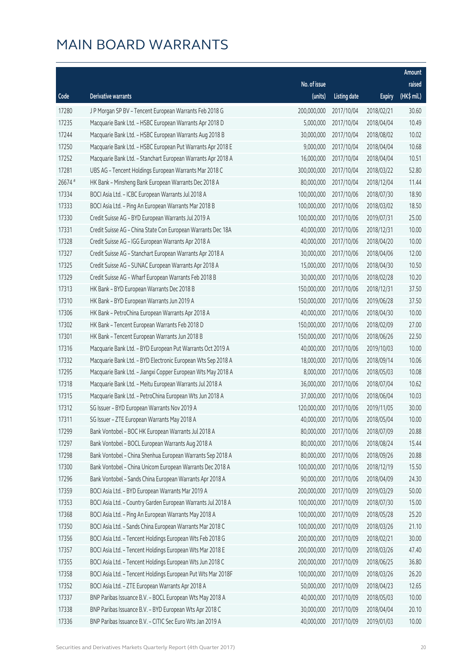|         |                                                              |              |                       |               | Amount      |
|---------|--------------------------------------------------------------|--------------|-----------------------|---------------|-------------|
|         |                                                              | No. of issue |                       |               | raised      |
| Code    | <b>Derivative warrants</b>                                   | (units)      | <b>Listing date</b>   | <b>Expiry</b> | (HK\$ mil.) |
| 17280   | J P Morgan SP BV - Tencent European Warrants Feb 2018 G      | 200,000,000  | 2017/10/04            | 2018/02/21    | 30.60       |
| 17235   | Macquarie Bank Ltd. - HSBC European Warrants Apr 2018 D      | 5,000,000    | 2017/10/04            | 2018/04/04    | 10.49       |
| 17244   | Macquarie Bank Ltd. - HSBC European Warrants Aug 2018 B      | 30,000,000   | 2017/10/04            | 2018/08/02    | 10.02       |
| 17250   | Macquarie Bank Ltd. - HSBC European Put Warrants Apr 2018 E  | 9,000,000    | 2017/10/04            | 2018/04/04    | 10.68       |
| 17252   | Macquarie Bank Ltd. - Stanchart European Warrants Apr 2018 A | 16,000,000   | 2017/10/04            | 2018/04/04    | 10.51       |
| 17281   | UBS AG - Tencent Holdings European Warrants Mar 2018 C       | 300,000,000  | 2017/10/04            | 2018/03/22    | 52.80       |
| 26674 # | HK Bank - Minsheng Bank European Warrants Dec 2018 A         | 80,000,000   | 2017/10/04            | 2018/12/04    | 11.44       |
| 17334   | BOCI Asia Ltd. - ICBC European Warrants Jul 2018 A           | 100,000,000  | 2017/10/06            | 2018/07/30    | 18.90       |
| 17333   | BOCI Asia Ltd. - Ping An European Warrants Mar 2018 B        | 100,000,000  | 2017/10/06            | 2018/03/02    | 18.50       |
| 17330   | Credit Suisse AG - BYD European Warrants Jul 2019 A          | 100,000,000  | 2017/10/06            | 2019/07/31    | 25.00       |
| 17331   | Credit Suisse AG - China State Con European Warrants Dec 18A | 40,000,000   | 2017/10/06            | 2018/12/31    | 10.00       |
| 17328   | Credit Suisse AG - IGG European Warrants Apr 2018 A          | 40,000,000   | 2017/10/06            | 2018/04/20    | 10.00       |
| 17327   | Credit Suisse AG - Stanchart European Warrants Apr 2018 A    | 30,000,000   | 2017/10/06            | 2018/04/06    | 12.00       |
| 17325   | Credit Suisse AG - SUNAC European Warrants Apr 2018 A        | 15,000,000   | 2017/10/06            | 2018/04/30    | 10.50       |
| 17329   | Credit Suisse AG - Wharf European Warrants Feb 2018 B        | 30,000,000   | 2017/10/06            | 2018/02/28    | 10.20       |
| 17313   | HK Bank - BYD European Warrants Dec 2018 B                   | 150,000,000  | 2017/10/06            | 2018/12/31    | 37.50       |
| 17310   | HK Bank - BYD European Warrants Jun 2019 A                   | 150,000,000  | 2017/10/06            | 2019/06/28    | 37.50       |
| 17306   | HK Bank - PetroChina European Warrants Apr 2018 A            | 40,000,000   | 2017/10/06            | 2018/04/30    | 10.00       |
| 17302   | HK Bank - Tencent European Warrants Feb 2018 D               | 150,000,000  | 2017/10/06            | 2018/02/09    | 27.00       |
| 17301   | HK Bank - Tencent European Warrants Jun 2018 B               | 150,000,000  | 2017/10/06            | 2018/06/26    | 22.50       |
| 17316   | Macquarie Bank Ltd. - BYD European Put Warrants Oct 2019 A   | 40,000,000   | 2017/10/06            | 2019/10/03    | 10.00       |
| 17332   | Macquarie Bank Ltd. - BYD Electronic European Wts Sep 2018 A | 18,000,000   | 2017/10/06            | 2018/09/14    | 10.06       |
| 17295   | Macquarie Bank Ltd. - Jiangxi Copper European Wts May 2018 A | 8,000,000    | 2017/10/06            | 2018/05/03    | 10.08       |
| 17318   | Macquarie Bank Ltd. - Meitu European Warrants Jul 2018 A     | 36,000,000   | 2017/10/06            | 2018/07/04    | 10.62       |
| 17315   | Macquarie Bank Ltd. - PetroChina European Wts Jun 2018 A     | 37,000,000   | 2017/10/06            | 2018/06/04    | 10.03       |
| 17312   | SG Issuer - BYD European Warrants Nov 2019 A                 | 120,000,000  | 2017/10/06            | 2019/11/05    | 30.00       |
| 17311   | SG Issuer - ZTE European Warrants May 2018 A                 |              | 40,000,000 2017/10/06 | 2018/05/04    | 10.00       |
| 17299   | Bank Vontobel - BOC HK European Warrants Jul 2018 A          | 80,000,000   | 2017/10/06            | 2018/07/09    | 20.88       |
| 17297   | Bank Vontobel - BOCL European Warrants Aug 2018 A            | 80,000,000   | 2017/10/06            | 2018/08/24    | 15.44       |
| 17298   | Bank Vontobel - China Shenhua European Warrants Sep 2018 A   | 80,000,000   | 2017/10/06            | 2018/09/26    | 20.88       |
| 17300   | Bank Vontobel - China Unicom European Warrants Dec 2018 A    | 100,000,000  | 2017/10/06            | 2018/12/19    | 15.50       |
| 17296   | Bank Vontobel - Sands China European Warrants Apr 2018 A     | 90,000,000   | 2017/10/06            | 2018/04/09    | 24.30       |
| 17359   | BOCI Asia Ltd. - BYD European Warrants Mar 2019 A            | 200,000,000  | 2017/10/09            | 2019/03/29    | 50.00       |
| 17353   | BOCI Asia Ltd. - Country Garden European Warrants Jul 2018 A | 100,000,000  | 2017/10/09            | 2018/07/30    | 15.00       |
| 17368   | BOCI Asia Ltd. - Ping An European Warrants May 2018 A        | 100,000,000  | 2017/10/09            | 2018/05/28    | 25.20       |
| 17350   | BOCI Asia Ltd. - Sands China European Warrants Mar 2018 C    | 100,000,000  | 2017/10/09            | 2018/03/26    | 21.10       |
| 17356   | BOCI Asia Ltd. - Tencent Holdings European Wts Feb 2018 G    | 200,000,000  | 2017/10/09            | 2018/02/21    | 30.00       |
| 17357   | BOCI Asia Ltd. - Tencent Holdings European Wts Mar 2018 E    | 200,000,000  | 2017/10/09            | 2018/03/26    | 47.40       |
| 17355   | BOCI Asia Ltd. - Tencent Holdings European Wts Jun 2018 C    | 200,000,000  | 2017/10/09            | 2018/06/25    | 36.80       |
| 17358   | BOCI Asia Ltd. - Tencent Holdings European Put Wts Mar 2018F | 100,000,000  | 2017/10/09            | 2018/03/26    | 26.20       |
| 17352   | BOCI Asia Ltd. - ZTE European Warrants Apr 2018 A            | 50,000,000   | 2017/10/09            | 2018/04/23    | 12.65       |
| 17337   | BNP Paribas Issuance B.V. - BOCL European Wts May 2018 A     | 40,000,000   | 2017/10/09            | 2018/05/03    | 10.00       |
| 17338   | BNP Paribas Issuance B.V. - BYD European Wts Apr 2018 C      | 30,000,000   | 2017/10/09            | 2018/04/04    | 20.10       |
| 17336   | BNP Paribas Issuance B.V. - CITIC Sec Euro Wts Jan 2019 A    | 40,000,000   | 2017/10/09            | 2019/01/03    | 10.00       |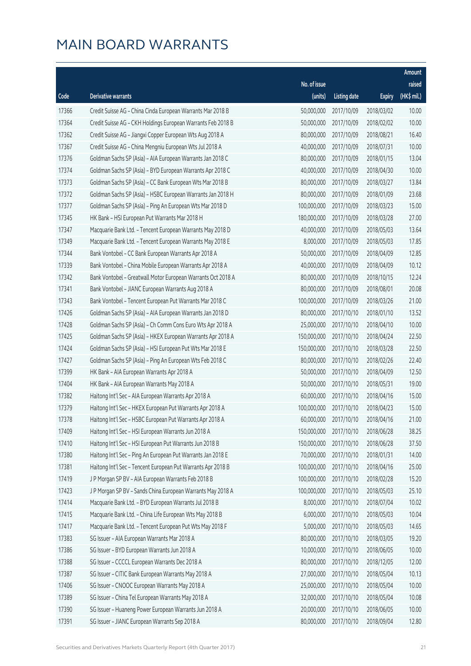|       |                                                              |              |                       |               | Amount      |
|-------|--------------------------------------------------------------|--------------|-----------------------|---------------|-------------|
|       |                                                              | No. of issue |                       |               | raised      |
| Code  | Derivative warrants                                          | (units)      | <b>Listing date</b>   | <b>Expiry</b> | (HK\$ mil.) |
| 17366 | Credit Suisse AG - China Cinda European Warrants Mar 2018 B  | 50,000,000   | 2017/10/09            | 2018/03/02    | 10.00       |
| 17364 | Credit Suisse AG - CKH Holdings European Warrants Feb 2018 B | 50,000,000   | 2017/10/09            | 2018/02/02    | 10.00       |
| 17362 | Credit Suisse AG - Jiangxi Copper European Wts Aug 2018 A    | 80,000,000   | 2017/10/09            | 2018/08/21    | 16.40       |
| 17367 | Credit Suisse AG - China Mengniu European Wts Jul 2018 A     | 40,000,000   | 2017/10/09            | 2018/07/31    | 10.00       |
| 17376 | Goldman Sachs SP (Asia) - AIA European Warrants Jan 2018 C   | 80,000,000   | 2017/10/09            | 2018/01/15    | 13.04       |
| 17374 | Goldman Sachs SP (Asia) - BYD European Warrants Apr 2018 C   | 40,000,000   | 2017/10/09            | 2018/04/30    | 10.00       |
| 17373 | Goldman Sachs SP (Asia) - CC Bank European Wts Mar 2018 B    | 80,000,000   | 2017/10/09            | 2018/03/27    | 13.84       |
| 17372 | Goldman Sachs SP (Asia) - HSBC European Warrants Jan 2018 H  | 80,000,000   | 2017/10/09            | 2018/01/09    | 23.68       |
| 17377 | Goldman Sachs SP (Asia) - Ping An European Wts Mar 2018 D    | 100,000,000  | 2017/10/09            | 2018/03/23    | 15.00       |
| 17345 | HK Bank - HSI European Put Warrants Mar 2018 H               | 180,000,000  | 2017/10/09            | 2018/03/28    | 27.00       |
| 17347 | Macquarie Bank Ltd. - Tencent European Warrants May 2018 D   | 40,000,000   | 2017/10/09            | 2018/05/03    | 13.64       |
| 17349 | Macquarie Bank Ltd. - Tencent European Warrants May 2018 E   | 8,000,000    | 2017/10/09            | 2018/05/03    | 17.85       |
| 17344 | Bank Vontobel - CC Bank European Warrants Apr 2018 A         | 50,000,000   | 2017/10/09            | 2018/04/09    | 12.85       |
| 17339 | Bank Vontobel - China Mobile European Warrants Apr 2018 A    | 40,000,000   | 2017/10/09            | 2018/04/09    | 10.12       |
| 17342 | Bank Vontobel - Greatwall Motor European Warrants Oct 2018 A | 80,000,000   | 2017/10/09            | 2018/10/15    | 12.24       |
| 17341 | Bank Vontobel - JIANC European Warrants Aug 2018 A           | 80,000,000   | 2017/10/09            | 2018/08/01    | 20.08       |
| 17343 | Bank Vontobel - Tencent European Put Warrants Mar 2018 C     | 100,000,000  | 2017/10/09            | 2018/03/26    | 21.00       |
| 17426 | Goldman Sachs SP (Asia) - AIA European Warrants Jan 2018 D   | 80,000,000   | 2017/10/10            | 2018/01/10    | 13.52       |
| 17428 | Goldman Sachs SP (Asia) - Ch Comm Cons Euro Wts Apr 2018 A   | 25,000,000   | 2017/10/10            | 2018/04/10    | 10.00       |
| 17425 | Goldman Sachs SP (Asia) - HKEX European Warrants Apr 2018 A  | 150,000,000  | 2017/10/10            | 2018/04/24    | 22.50       |
| 17424 | Goldman Sachs SP (Asia) - HSI European Put Wts Mar 2018 E    | 150,000,000  | 2017/10/10            | 2018/03/28    | 22.50       |
| 17427 | Goldman Sachs SP (Asia) - Ping An European Wts Feb 2018 C    | 80,000,000   | 2017/10/10            | 2018/02/26    | 22.40       |
| 17399 | HK Bank - AIA European Warrants Apr 2018 A                   | 50,000,000   | 2017/10/10            | 2018/04/09    | 12.50       |
| 17404 | HK Bank - AIA European Warrants May 2018 A                   | 50,000,000   | 2017/10/10            | 2018/05/31    | 19.00       |
| 17382 | Haitong Int'l Sec - AIA European Warrants Apr 2018 A         | 60,000,000   | 2017/10/10            | 2018/04/16    | 15.00       |
| 17379 | Haitong Int'l Sec - HKEX European Put Warrants Apr 2018 A    | 100,000,000  | 2017/10/10            | 2018/04/23    | 15.00       |
| 17378 | Haitong Int'l Sec - HSBC European Put Warrants Apr 2018 A    |              | 60,000,000 2017/10/10 | 2018/04/16    | 21.00       |
| 17409 | Haitong Int'l Sec - HSI European Warrants Jun 2018 A         | 150,000,000  | 2017/10/10            | 2018/06/28    | 38.25       |
| 17410 | Haitong Int'l Sec - HSI European Put Warrants Jun 2018 B     | 150,000,000  | 2017/10/10            | 2018/06/28    | 37.50       |
| 17380 | Haitong Int'l Sec - Ping An European Put Warrants Jan 2018 E | 70,000,000   | 2017/10/10            | 2018/01/31    | 14.00       |
| 17381 | Haitong Int'l Sec - Tencent European Put Warrants Apr 2018 B | 100,000,000  | 2017/10/10            | 2018/04/16    | 25.00       |
| 17419 | J P Morgan SP BV - AIA European Warrants Feb 2018 B          | 100,000,000  | 2017/10/10            | 2018/02/28    | 15.20       |
| 17423 | J P Morgan SP BV - Sands China European Warrants May 2018 A  | 100,000,000  | 2017/10/10            | 2018/05/03    | 25.10       |
| 17414 | Macquarie Bank Ltd. - BYD European Warrants Jul 2018 B       | 8,000,000    | 2017/10/10            | 2018/07/04    | 10.02       |
| 17415 | Macquarie Bank Ltd. - China Life European Wts May 2018 B     | 6,000,000    | 2017/10/10            | 2018/05/03    | 10.04       |
| 17417 | Macquarie Bank Ltd. - Tencent European Put Wts May 2018 F    | 5,000,000    | 2017/10/10            | 2018/05/03    | 14.65       |
| 17383 | SG Issuer - AIA European Warrants Mar 2018 A                 | 80,000,000   | 2017/10/10            | 2018/03/05    | 19.20       |
| 17386 | SG Issuer - BYD European Warrants Jun 2018 A                 | 10,000,000   | 2017/10/10            | 2018/06/05    | 10.00       |
| 17388 | SG Issuer - CCCCL European Warrants Dec 2018 A               | 80,000,000   | 2017/10/10            | 2018/12/05    | 12.00       |
| 17387 | SG Issuer - CITIC Bank European Warrants May 2018 A          | 27,000,000   | 2017/10/10            | 2018/05/04    | 10.13       |
| 17406 | SG Issuer - CNOOC European Warrants May 2018 A               | 25,000,000   | 2017/10/10            | 2018/05/04    | 10.00       |
| 17389 | SG Issuer - China Tel European Warrants May 2018 A           | 32,000,000   | 2017/10/10            | 2018/05/04    | 10.08       |
| 17390 | SG Issuer - Huaneng Power European Warrants Jun 2018 A       | 20,000,000   | 2017/10/10            | 2018/06/05    | 10.00       |
| 17391 | SG Issuer - JIANC European Warrants Sep 2018 A               | 80,000,000   | 2017/10/10            | 2018/09/04    | 12.80       |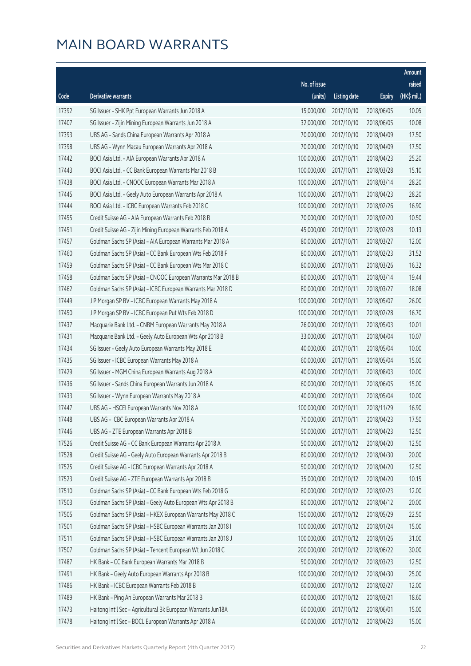|       |                                                              |              |                       |               | Amount      |
|-------|--------------------------------------------------------------|--------------|-----------------------|---------------|-------------|
|       |                                                              | No. of issue |                       |               | raised      |
| Code  | Derivative warrants                                          | (units)      | <b>Listing date</b>   | <b>Expiry</b> | (HK\$ mil.) |
| 17392 | SG Issuer - SHK Ppt European Warrants Jun 2018 A             | 15,000,000   | 2017/10/10            | 2018/06/05    | 10.05       |
| 17407 | SG Issuer - Zijin Mining European Warrants Jun 2018 A        | 32,000,000   | 2017/10/10            | 2018/06/05    | 10.08       |
| 17393 | UBS AG - Sands China European Warrants Apr 2018 A            | 70,000,000   | 2017/10/10            | 2018/04/09    | 17.50       |
| 17398 | UBS AG - Wynn Macau European Warrants Apr 2018 A             | 70,000,000   | 2017/10/10            | 2018/04/09    | 17.50       |
| 17442 | BOCI Asia Ltd. - AIA European Warrants Apr 2018 A            | 100,000,000  | 2017/10/11            | 2018/04/23    | 25.20       |
| 17443 | BOCI Asia Ltd. - CC Bank European Warrants Mar 2018 B        | 100,000,000  | 2017/10/11            | 2018/03/28    | 15.10       |
| 17438 | BOCI Asia Ltd. - CNOOC European Warrants Mar 2018 A          | 100,000,000  | 2017/10/11            | 2018/03/14    | 28.20       |
| 17445 | BOCI Asia Ltd. - Geely Auto European Warrants Apr 2018 A     | 100,000,000  | 2017/10/11            | 2018/04/23    | 28.20       |
| 17444 | BOCI Asia Ltd. - ICBC European Warrants Feb 2018 C           | 100,000,000  | 2017/10/11            | 2018/02/26    | 16.90       |
| 17455 | Credit Suisse AG - AIA European Warrants Feb 2018 B          | 70,000,000   | 2017/10/11            | 2018/02/20    | 10.50       |
| 17451 | Credit Suisse AG - Zijin Mining European Warrants Feb 2018 A | 45,000,000   | 2017/10/11            | 2018/02/28    | 10.13       |
| 17457 | Goldman Sachs SP (Asia) - AIA European Warrants Mar 2018 A   | 80,000,000   | 2017/10/11            | 2018/03/27    | 12.00       |
| 17460 | Goldman Sachs SP (Asia) - CC Bank European Wts Feb 2018 F    | 80,000,000   | 2017/10/11            | 2018/02/23    | 31.52       |
| 17459 | Goldman Sachs SP (Asia) - CC Bank European Wts Mar 2018 C    | 80,000,000   | 2017/10/11            | 2018/03/26    | 16.32       |
| 17458 | Goldman Sachs SP (Asia) - CNOOC European Warrants Mar 2018 B | 80,000,000   | 2017/10/11            | 2018/03/14    | 19.44       |
| 17462 | Goldman Sachs SP (Asia) - ICBC European Warrants Mar 2018 D  | 80,000,000   | 2017/10/11            | 2018/03/27    | 18.08       |
| 17449 | J P Morgan SP BV - ICBC European Warrants May 2018 A         | 100,000,000  | 2017/10/11            | 2018/05/07    | 26.00       |
| 17450 | J P Morgan SP BV - ICBC European Put Wts Feb 2018 D          | 100,000,000  | 2017/10/11            | 2018/02/28    | 16.70       |
| 17437 | Macquarie Bank Ltd. - CNBM European Warrants May 2018 A      | 26,000,000   | 2017/10/11            | 2018/05/03    | 10.01       |
| 17431 | Macquarie Bank Ltd. - Geely Auto European Wts Apr 2018 B     | 33,000,000   | 2017/10/11            | 2018/04/04    | 10.07       |
| 17434 | SG Issuer - Geely Auto European Warrants May 2018 E          | 40,000,000   | 2017/10/11            | 2018/05/04    | 10.00       |
| 17435 | SG Issuer - ICBC European Warrants May 2018 A                | 60,000,000   | 2017/10/11            | 2018/05/04    | 15.00       |
| 17429 | SG Issuer - MGM China European Warrants Aug 2018 A           | 40,000,000   | 2017/10/11            | 2018/08/03    | 10.00       |
| 17436 | SG Issuer - Sands China European Warrants Jun 2018 A         | 60,000,000   | 2017/10/11            | 2018/06/05    | 15.00       |
| 17433 | SG Issuer - Wynn European Warrants May 2018 A                | 40,000,000   | 2017/10/11            | 2018/05/04    | 10.00       |
| 17447 | UBS AG - HSCEI European Warrants Nov 2018 A                  | 100,000,000  | 2017/10/11            | 2018/11/29    | 16.90       |
| 17448 | UBS AG - ICBC European Warrants Apr 2018 A                   |              | 70,000,000 2017/10/11 | 2018/04/23    | 17.50       |
| 17446 | UBS AG - ZTE European Warrants Apr 2018 B                    | 50,000,000   | 2017/10/11            | 2018/04/23    | 12.50       |
| 17526 | Credit Suisse AG - CC Bank European Warrants Apr 2018 A      | 50,000,000   | 2017/10/12            | 2018/04/20    | 12.50       |
| 17528 | Credit Suisse AG - Geely Auto European Warrants Apr 2018 B   | 80,000,000   | 2017/10/12            | 2018/04/30    | 20.00       |
| 17525 | Credit Suisse AG - ICBC European Warrants Apr 2018 A         | 50,000,000   | 2017/10/12            | 2018/04/20    | 12.50       |
| 17523 | Credit Suisse AG - ZTE European Warrants Apr 2018 B          | 35,000,000   | 2017/10/12            | 2018/04/20    | 10.15       |
| 17510 | Goldman Sachs SP (Asia) - CC Bank European Wts Feb 2018 G    | 80,000,000   | 2017/10/12            | 2018/02/23    | 12.00       |
| 17503 | Goldman Sachs SP (Asia) - Geely Auto European Wts Apr 2018 B | 80,000,000   | 2017/10/12            | 2018/04/12    | 20.00       |
| 17505 | Goldman Sachs SP (Asia) - HKEX European Warrants May 2018 C  | 150,000,000  | 2017/10/12            | 2018/05/29    | 22.50       |
| 17501 | Goldman Sachs SP (Asia) - HSBC European Warrants Jan 2018 I  | 100,000,000  | 2017/10/12            | 2018/01/24    | 15.00       |
| 17511 | Goldman Sachs SP (Asia) - HSBC European Warrants Jan 2018 J  | 100,000,000  | 2017/10/12            | 2018/01/26    | 31.00       |
| 17507 | Goldman Sachs SP (Asia) - Tencent European Wt Jun 2018 C     | 200,000,000  | 2017/10/12            | 2018/06/22    | 30.00       |
| 17487 | HK Bank - CC Bank European Warrants Mar 2018 B               | 50,000,000   | 2017/10/12            | 2018/03/23    | 12.50       |
| 17491 | HK Bank - Geely Auto European Warrants Apr 2018 B            | 100,000,000  | 2017/10/12            | 2018/04/30    | 25.00       |
| 17486 | HK Bank - ICBC European Warrants Feb 2018 B                  | 60,000,000   | 2017/10/12            | 2018/02/27    | 12.00       |
| 17489 | HK Bank - Ping An European Warrants Mar 2018 B               | 60,000,000   | 2017/10/12            | 2018/03/21    | 18.60       |
| 17473 | Haitong Int'l Sec - Agricultural Bk European Warrants Jun18A | 60,000,000   | 2017/10/12            | 2018/06/01    | 15.00       |
| 17478 | Haitong Int'l Sec - BOCL European Warrants Apr 2018 A        | 60,000,000   | 2017/10/12            | 2018/04/23    | 15.00       |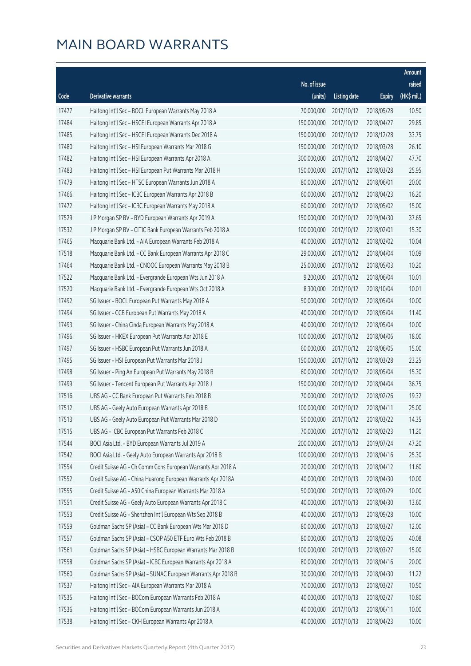|       |                                                              |              |                       |               | Amount      |
|-------|--------------------------------------------------------------|--------------|-----------------------|---------------|-------------|
|       |                                                              | No. of issue |                       |               | raised      |
| Code  | Derivative warrants                                          | (units)      | <b>Listing date</b>   | <b>Expiry</b> | (HK\$ mil.) |
| 17477 | Haitong Int'l Sec - BOCL European Warrants May 2018 A        | 70,000,000   | 2017/10/12            | 2018/05/28    | 10.50       |
| 17484 | Haitong Int'l Sec - HSCEI European Warrants Apr 2018 A       | 150,000,000  | 2017/10/12            | 2018/04/27    | 29.85       |
| 17485 | Haitong Int'l Sec - HSCEI European Warrants Dec 2018 A       | 150,000,000  | 2017/10/12            | 2018/12/28    | 33.75       |
| 17480 | Haitong Int'l Sec - HSI European Warrants Mar 2018 G         | 150,000,000  | 2017/10/12            | 2018/03/28    | 26.10       |
| 17482 | Haitong Int'l Sec - HSI European Warrants Apr 2018 A         | 300,000,000  | 2017/10/12            | 2018/04/27    | 47.70       |
| 17483 | Haitong Int'l Sec - HSI European Put Warrants Mar 2018 H     | 150,000,000  | 2017/10/12            | 2018/03/28    | 25.95       |
| 17479 | Haitong Int'l Sec - HTSC European Warrants Jun 2018 A        | 80,000,000   | 2017/10/12            | 2018/06/01    | 20.00       |
| 17466 | Haitong Int'l Sec - ICBC European Warrants Apr 2018 B        | 60,000,000   | 2017/10/12            | 2018/04/23    | 16.20       |
| 17472 | Haitong Int'l Sec - ICBC European Warrants May 2018 A        | 60,000,000   | 2017/10/12            | 2018/05/02    | 15.00       |
| 17529 | J P Morgan SP BV - BYD European Warrants Apr 2019 A          | 150,000,000  | 2017/10/12            | 2019/04/30    | 37.65       |
| 17532 | J P Morgan SP BV - CITIC Bank European Warrants Feb 2018 A   | 100,000,000  | 2017/10/12            | 2018/02/01    | 15.30       |
| 17465 | Macquarie Bank Ltd. - AIA European Warrants Feb 2018 A       | 40,000,000   | 2017/10/12            | 2018/02/02    | 10.04       |
| 17518 | Macquarie Bank Ltd. - CC Bank European Warrants Apr 2018 C   | 29,000,000   | 2017/10/12            | 2018/04/04    | 10.09       |
| 17464 | Macquarie Bank Ltd. - CNOOC European Warrants May 2018 B     | 25,000,000   | 2017/10/12            | 2018/05/03    | 10.20       |
| 17522 | Macquarie Bank Ltd. - Evergrande European Wts Jun 2018 A     | 9,200,000    | 2017/10/12            | 2018/06/04    | 10.01       |
| 17520 | Macquarie Bank Ltd. - Evergrande European Wts Oct 2018 A     | 8,300,000    | 2017/10/12            | 2018/10/04    | 10.01       |
| 17492 | SG Issuer - BOCL European Put Warrants May 2018 A            | 50,000,000   | 2017/10/12            | 2018/05/04    | 10.00       |
| 17494 | SG Issuer - CCB European Put Warrants May 2018 A             | 40,000,000   | 2017/10/12            | 2018/05/04    | 11.40       |
| 17493 | SG Issuer - China Cinda European Warrants May 2018 A         | 40,000,000   | 2017/10/12            | 2018/05/04    | 10.00       |
| 17496 | SG Issuer - HKEX European Put Warrants Apr 2018 E            | 100,000,000  | 2017/10/12            | 2018/04/06    | 18.00       |
| 17497 | SG Issuer - HSBC European Put Warrants Jun 2018 A            | 60,000,000   | 2017/10/12            | 2018/06/05    | 15.00       |
| 17495 | SG Issuer - HSI European Put Warrants Mar 2018 J             | 150,000,000  | 2017/10/12            | 2018/03/28    | 23.25       |
| 17498 | SG Issuer - Ping An European Put Warrants May 2018 B         | 60,000,000   | 2017/10/12            | 2018/05/04    | 15.30       |
| 17499 | SG Issuer - Tencent European Put Warrants Apr 2018 J         | 150,000,000  | 2017/10/12            | 2018/04/04    | 36.75       |
| 17516 | UBS AG - CC Bank European Put Warrants Feb 2018 B            | 70,000,000   | 2017/10/12            | 2018/02/26    | 19.32       |
| 17512 | UBS AG - Geely Auto European Warrants Apr 2018 B             | 100,000,000  | 2017/10/12            | 2018/04/11    | 25.00       |
| 17513 | UBS AG - Geely Auto European Put Warrants Mar 2018 D         |              | 50,000,000 2017/10/12 | 2018/03/22    | 14.35       |
| 17515 | UBS AG - ICBC European Put Warrants Feb 2018 C               | 70,000,000   | 2017/10/12            | 2018/02/23    | 11.20       |
| 17544 | BOCI Asia Ltd. - BYD European Warrants Jul 2019 A            | 200,000,000  | 2017/10/13            | 2019/07/24    | 47.20       |
| 17542 | BOCI Asia Ltd. - Geely Auto European Warrants Apr 2018 B     | 100,000,000  | 2017/10/13            | 2018/04/16    | 25.30       |
| 17554 | Credit Suisse AG - Ch Comm Cons European Warrants Apr 2018 A | 20,000,000   | 2017/10/13            | 2018/04/12    | 11.60       |
| 17552 | Credit Suisse AG - China Huarong European Warrants Apr 2018A | 40,000,000   | 2017/10/13            | 2018/04/30    | 10.00       |
| 17555 | Credit Suisse AG - A50 China European Warrants Mar 2018 A    | 50,000,000   | 2017/10/13            | 2018/03/29    | 10.00       |
| 17551 | Credit Suisse AG - Geely Auto European Warrants Apr 2018 C   | 40,000,000   | 2017/10/13            | 2018/04/30    | 13.60       |
| 17553 | Credit Suisse AG - Shenzhen Int'l European Wts Sep 2018 B    | 40,000,000   | 2017/10/13            | 2018/09/28    | 10.00       |
| 17559 | Goldman Sachs SP (Asia) - CC Bank European Wts Mar 2018 D    | 80,000,000   | 2017/10/13            | 2018/03/27    | 12.00       |
| 17557 | Goldman Sachs SP (Asia) - CSOP A50 ETF Euro Wts Feb 2018 B   | 80,000,000   | 2017/10/13            | 2018/02/26    | 40.08       |
| 17561 | Goldman Sachs SP (Asia) - HSBC European Warrants Mar 2018 B  | 100,000,000  | 2017/10/13            | 2018/03/27    | 15.00       |
| 17558 | Goldman Sachs SP (Asia) - ICBC European Warrants Apr 2018 A  | 80,000,000   | 2017/10/13            | 2018/04/16    | 20.00       |
| 17560 | Goldman Sachs SP (Asia) - SUNAC European Warrants Apr 2018 B | 30,000,000   | 2017/10/13            | 2018/04/30    | 11.22       |
| 17537 | Haitong Int'l Sec - AIA European Warrants Mar 2018 A         | 70,000,000   | 2017/10/13            | 2018/03/27    | 10.50       |
| 17535 | Haitong Int'l Sec - BOCom European Warrants Feb 2018 A       | 40,000,000   | 2017/10/13            | 2018/02/27    | 10.80       |
| 17536 | Haitong Int'l Sec - BOCom European Warrants Jun 2018 A       | 40,000,000   | 2017/10/13            | 2018/06/11    | 10.00       |
| 17538 | Haitong Int'l Sec - CKH European Warrants Apr 2018 A         | 40,000,000   | 2017/10/13            | 2018/04/23    | 10.00       |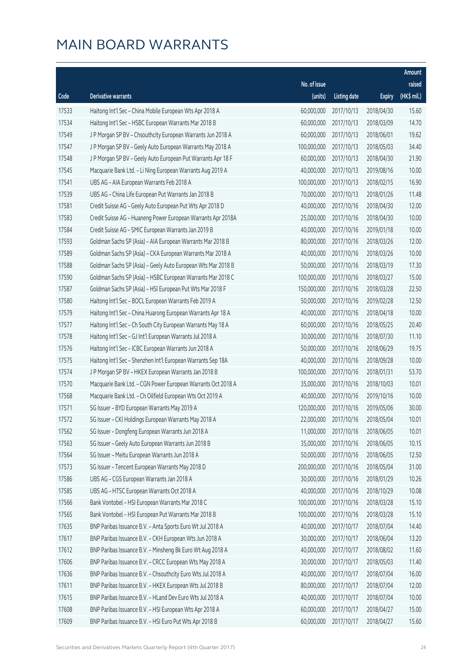|       |                                                              |              |                       |               | Amount      |
|-------|--------------------------------------------------------------|--------------|-----------------------|---------------|-------------|
|       |                                                              | No. of issue |                       |               | raised      |
| Code  | <b>Derivative warrants</b>                                   | (units)      | <b>Listing date</b>   | <b>Expiry</b> | (HK\$ mil.) |
| 17533 | Haitong Int'l Sec - China Mobile European Wts Apr 2018 A     | 60,000,000   | 2017/10/13            | 2018/04/30    | 15.60       |
| 17534 | Haitong Int'l Sec - HSBC European Warrants Mar 2018 B        | 60,000,000   | 2017/10/13            | 2018/03/09    | 14.70       |
| 17549 | J P Morgan SP BV - Chsouthcity European Warrants Jun 2018 A  | 60,000,000   | 2017/10/13            | 2018/06/01    | 19.62       |
| 17547 | J P Morgan SP BV - Geely Auto European Warrants May 2018 A   | 100,000,000  | 2017/10/13            | 2018/05/03    | 34.40       |
| 17548 | J P Morgan SP BV - Geely Auto European Put Warrants Apr 18 F | 60,000,000   | 2017/10/13            | 2018/04/30    | 21.90       |
| 17545 | Macquarie Bank Ltd. - Li Ning European Warrants Aug 2019 A   | 40,000,000   | 2017/10/13            | 2019/08/16    | 10.00       |
| 17541 | UBS AG - AIA European Warrants Feb 2018 A                    | 100,000,000  | 2017/10/13            | 2018/02/15    | 16.90       |
| 17539 | UBS AG - China Life European Put Warrants Jan 2018 B         | 70,000,000   | 2017/10/13            | 2018/01/26    | 11.48       |
| 17581 | Credit Suisse AG - Geely Auto European Put Wts Apr 2018 D    | 40,000,000   | 2017/10/16            | 2018/04/30    | 12.00       |
| 17583 | Credit Suisse AG - Huaneng Power European Warrants Apr 2018A | 25,000,000   | 2017/10/16            | 2018/04/30    | 10.00       |
| 17584 | Credit Suisse AG - SMIC European Warrants Jan 2019 B         | 40,000,000   | 2017/10/16            | 2019/01/18    | 10.00       |
| 17593 | Goldman Sachs SP (Asia) - AIA European Warrants Mar 2018 B   | 80,000,000   | 2017/10/16            | 2018/03/26    | 12.00       |
| 17589 | Goldman Sachs SP (Asia) - CKA European Warrants Mar 2018 A   | 40,000,000   | 2017/10/16            | 2018/03/26    | 10.00       |
| 17588 | Goldman Sachs SP (Asia) - Geely Auto European Wts Mar 2018 B | 50,000,000   | 2017/10/16            | 2018/03/19    | 17.30       |
| 17590 | Goldman Sachs SP (Asia) - HSBC European Warrants Mar 2018 C  | 100,000,000  | 2017/10/16            | 2018/03/27    | 15.00       |
| 17587 | Goldman Sachs SP (Asia) - HSI European Put Wts Mar 2018 F    | 150,000,000  | 2017/10/16            | 2018/03/28    | 22.50       |
| 17580 | Haitong Int'l Sec - BOCL European Warrants Feb 2019 A        | 50,000,000   | 2017/10/16            | 2019/02/28    | 12.50       |
| 17579 | Haitong Int'l Sec - China Huarong European Warrants Apr 18 A | 40,000,000   | 2017/10/16            | 2018/04/18    | 10.00       |
| 17577 | Haitong Int'l Sec - Ch South City European Warrants May 18 A | 60,000,000   | 2017/10/16            | 2018/05/25    | 20.40       |
| 17578 | Haitong Int'l Sec - GJ Int'l European Warrants Jul 2018 A    | 30,000,000   | 2017/10/16            | 2018/07/30    | 11.10       |
| 17576 | Haitong Int'l Sec - ICBC European Warrants Jun 2018 A        | 50,000,000   | 2017/10/16            | 2018/06/29    | 19.75       |
| 17575 | Haitong Int'l Sec - Shenzhen Int'l European Warrants Sep 18A | 40,000,000   | 2017/10/16            | 2018/09/28    | 10.00       |
| 17574 | J P Morgan SP BV - HKEX European Warrants Jan 2018 B         | 100,000,000  | 2017/10/16            | 2018/01/31    | 53.70       |
| 17570 | Macquarie Bank Ltd. - CGN Power European Warrants Oct 2018 A | 35,000,000   | 2017/10/16            | 2018/10/03    | 10.01       |
| 17568 | Macquarie Bank Ltd. - Ch Oilfield European Wts Oct 2019 A    | 40,000,000   | 2017/10/16            | 2019/10/16    | 10.00       |
| 17571 | SG Issuer - BYD European Warrants May 2019 A                 | 120,000,000  | 2017/10/16            | 2019/05/06    | 30.00       |
| 17572 | SG Issuer - CKI Holdings European Warrants May 2018 A        |              | 22,000,000 2017/10/16 | 2018/05/04    | 10.01       |
| 17562 | SG Issuer - Dongfeng European Warrants Jun 2018 A            | 11,000,000   | 2017/10/16            | 2018/06/05    | 10.01       |
| 17563 | SG Issuer - Geely Auto European Warrants Jun 2018 B          | 35,000,000   | 2017/10/16            | 2018/06/05    | 10.15       |
| 17564 | SG Issuer - Meitu European Warrants Jun 2018 A               | 50,000,000   | 2017/10/16            | 2018/06/05    | 12.50       |
| 17573 | SG Issuer - Tencent European Warrants May 2018 D             | 200,000,000  | 2017/10/16            | 2018/05/04    | 31.00       |
| 17586 | UBS AG - CGS European Warrants Jan 2018 A                    | 30,000,000   | 2017/10/16            | 2018/01/29    | 10.26       |
| 17585 | UBS AG - HTSC European Warrants Oct 2018 A                   | 40,000,000   | 2017/10/16            | 2018/10/29    | 10.08       |
| 17566 | Bank Vontobel - HSI European Warrants Mar 2018 C             | 100,000,000  | 2017/10/16            | 2018/03/28    | 15.10       |
| 17565 | Bank Vontobel - HSI European Put Warrants Mar 2018 B         | 100,000,000  | 2017/10/16            | 2018/03/28    | 15.10       |
| 17635 | BNP Paribas Issuance B.V. - Anta Sports Euro Wt Jul 2018 A   | 40,000,000   | 2017/10/17            | 2018/07/04    | 14.40       |
| 17617 | BNP Paribas Issuance B.V. - CKH European Wts Jun 2018 A      | 30,000,000   | 2017/10/17            | 2018/06/04    | 13.20       |
| 17612 | BNP Paribas Issuance B.V. - Minsheng Bk Euro Wt Aug 2018 A   | 40,000,000   | 2017/10/17            | 2018/08/02    | 11.60       |
| 17606 | BNP Paribas Issuance B.V. - CRCC European Wts May 2018 A     | 30,000,000   | 2017/10/17            | 2018/05/03    | 11.40       |
| 17636 | BNP Paribas Issuance B.V. - Chsouthcity Euro Wts Jul 2018 A  | 40,000,000   | 2017/10/17            | 2018/07/04    | 16.00       |
| 17611 | BNP Paribas Issuance B.V. - HKEX European Wts Jul 2018 B     | 80,000,000   | 2017/10/17            | 2018/07/04    | 12.00       |
| 17615 | BNP Paribas Issuance B.V. - HLand Dev Euro Wts Jul 2018 A    | 40,000,000   | 2017/10/17            | 2018/07/04    | 10.00       |
| 17608 | BNP Paribas Issuance B.V. - HSI European Wts Apr 2018 A      | 60,000,000   | 2017/10/17            | 2018/04/27    | 15.00       |
| 17609 | BNP Paribas Issuance B.V. - HSI Euro Put Wts Apr 2018 B      | 60,000,000   | 2017/10/17            | 2018/04/27    | 15.60       |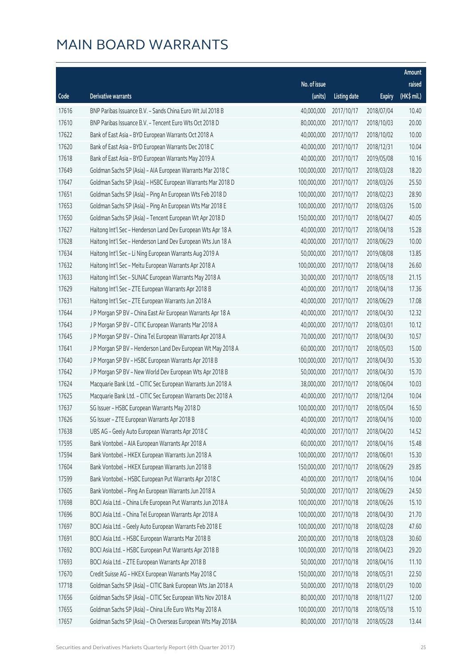|       |                                                              |              |                       |               | Amount      |
|-------|--------------------------------------------------------------|--------------|-----------------------|---------------|-------------|
|       |                                                              | No. of issue |                       |               | raised      |
| Code  | <b>Derivative warrants</b>                                   | (units)      | <b>Listing date</b>   | <b>Expiry</b> | (HK\$ mil.) |
| 17616 | BNP Paribas Issuance B.V. - Sands China Euro Wt Jul 2018 B   | 40,000,000   | 2017/10/17            | 2018/07/04    | 10.40       |
| 17610 | BNP Paribas Issuance B.V. - Tencent Euro Wts Oct 2018 D      | 80,000,000   | 2017/10/17            | 2018/10/03    | 20.00       |
| 17622 | Bank of East Asia - BYD European Warrants Oct 2018 A         | 40,000,000   | 2017/10/17            | 2018/10/02    | 10.00       |
| 17620 | Bank of East Asia - BYD European Warrants Dec 2018 C         | 40,000,000   | 2017/10/17            | 2018/12/31    | 10.04       |
| 17618 | Bank of East Asia - BYD European Warrants May 2019 A         | 40,000,000   | 2017/10/17            | 2019/05/08    | 10.16       |
| 17649 | Goldman Sachs SP (Asia) - AIA European Warrants Mar 2018 C   | 100,000,000  | 2017/10/17            | 2018/03/28    | 18.20       |
| 17647 | Goldman Sachs SP (Asia) - HSBC European Warrants Mar 2018 D  | 100,000,000  | 2017/10/17            | 2018/03/26    | 25.50       |
| 17651 | Goldman Sachs SP (Asia) - Ping An European Wts Feb 2018 D    | 100,000,000  | 2017/10/17            | 2018/02/23    | 28.90       |
| 17653 | Goldman Sachs SP (Asia) - Ping An European Wts Mar 2018 E    | 100,000,000  | 2017/10/17            | 2018/03/26    | 15.00       |
| 17650 | Goldman Sachs SP (Asia) - Tencent European Wt Apr 2018 D     | 150,000,000  | 2017/10/17            | 2018/04/27    | 40.05       |
| 17627 | Haitong Int'l Sec - Henderson Land Dev European Wts Apr 18 A | 40,000,000   | 2017/10/17            | 2018/04/18    | 15.28       |
| 17628 | Haitong Int'l Sec - Henderson Land Dev European Wts Jun 18 A | 40,000,000   | 2017/10/17            | 2018/06/29    | 10.00       |
| 17634 | Haitong Int'l Sec - Li Ning European Warrants Aug 2019 A     | 50,000,000   | 2017/10/17            | 2019/08/08    | 13.85       |
| 17632 | Haitong Int'l Sec - Meitu European Warrants Apr 2018 A       | 100,000,000  | 2017/10/17            | 2018/04/18    | 26.60       |
| 17633 | Haitong Int'l Sec - SUNAC European Warrants May 2018 A       | 30,000,000   | 2017/10/17            | 2018/05/18    | 21.15       |
| 17629 | Haitong Int'l Sec - ZTE European Warrants Apr 2018 B         | 40,000,000   | 2017/10/17            | 2018/04/18    | 17.36       |
| 17631 | Haitong Int'l Sec - ZTE European Warrants Jun 2018 A         | 40,000,000   | 2017/10/17            | 2018/06/29    | 17.08       |
| 17644 | J P Morgan SP BV - China East Air European Warrants Apr 18 A | 40,000,000   | 2017/10/17            | 2018/04/30    | 12.32       |
| 17643 | J P Morgan SP BV - CITIC European Warrants Mar 2018 A        | 40,000,000   | 2017/10/17            | 2018/03/01    | 10.12       |
| 17645 | J P Morgan SP BV - China Tel European Warrants Apr 2018 A    | 70,000,000   | 2017/10/17            | 2018/04/30    | 10.57       |
| 17641 | J P Morgan SP BV - Henderson Land Dev European Wt May 2018 A | 60,000,000   | 2017/10/17            | 2018/05/03    | 15.00       |
| 17640 | J P Morgan SP BV - HSBC European Warrants Apr 2018 B         | 100,000,000  | 2017/10/17            | 2018/04/30    | 15.30       |
| 17642 | J P Morgan SP BV - New World Dev European Wts Apr 2018 B     | 50,000,000   | 2017/10/17            | 2018/04/30    | 15.70       |
| 17624 | Macquarie Bank Ltd. - CITIC Sec European Warrants Jun 2018 A | 38,000,000   | 2017/10/17            | 2018/06/04    | 10.03       |
| 17625 | Macquarie Bank Ltd. - CITIC Sec European Warrants Dec 2018 A | 40,000,000   | 2017/10/17            | 2018/12/04    | 10.04       |
| 17637 | SG Issuer - HSBC European Warrants May 2018 D                | 100,000,000  | 2017/10/17            | 2018/05/04    | 16.50       |
| 17626 | SG Issuer - ZTE European Warrants Apr 2018 B                 |              | 40,000,000 2017/10/17 | 2018/04/16    | 10.00       |
| 17638 | UBS AG - Geely Auto European Warrants Apr 2018 C             | 40,000,000   | 2017/10/17            | 2018/04/20    | 14.52       |
| 17595 | Bank Vontobel - AIA European Warrants Apr 2018 A             | 60,000,000   | 2017/10/17            | 2018/04/16    | 15.48       |
| 17594 | Bank Vontobel - HKEX European Warrants Jun 2018 A            | 100,000,000  | 2017/10/17            | 2018/06/01    | 15.30       |
| 17604 | Bank Vontobel - HKEX European Warrants Jun 2018 B            | 150,000,000  | 2017/10/17            | 2018/06/29    | 29.85       |
| 17599 | Bank Vontobel - HSBC European Put Warrants Apr 2018 C        | 40,000,000   | 2017/10/17            | 2018/04/16    | 10.04       |
| 17605 | Bank Vontobel - Ping An European Warrants Jun 2018 A         | 50,000,000   | 2017/10/17            | 2018/06/29    | 24.50       |
| 17698 | BOCI Asia Ltd. - China Life European Put Warrants Jun 2018 A | 100,000,000  | 2017/10/18            | 2018/06/26    | 15.10       |
| 17696 | BOCI Asia Ltd. - China Tel European Warrants Apr 2018 A      | 100,000,000  | 2017/10/18            | 2018/04/30    | 21.70       |
| 17697 | BOCI Asia Ltd. - Geely Auto European Warrants Feb 2018 E     | 100,000,000  | 2017/10/18            | 2018/02/28    | 47.60       |
| 17691 | BOCI Asia Ltd. - HSBC European Warrants Mar 2018 B           | 200,000,000  | 2017/10/18            | 2018/03/28    | 30.60       |
| 17692 | BOCI Asia Ltd. - HSBC European Put Warrants Apr 2018 B       | 100,000,000  | 2017/10/18            | 2018/04/23    | 29.20       |
| 17693 | BOCI Asia Ltd. - ZTE European Warrants Apr 2018 B            | 50,000,000   | 2017/10/18            | 2018/04/16    | 11.10       |
| 17670 | Credit Suisse AG - HKEX European Warrants May 2018 C         | 150,000,000  | 2017/10/18            | 2018/05/31    | 22.50       |
| 17718 | Goldman Sachs SP (Asia) - CITIC Bank European Wts Jan 2018 A | 50,000,000   | 2017/10/18            | 2018/01/29    | 10.00       |
| 17656 | Goldman Sachs SP (Asia) - CITIC Sec European Wts Nov 2018 A  | 80,000,000   | 2017/10/18            | 2018/11/27    | 12.00       |
| 17655 | Goldman Sachs SP (Asia) - China Life Euro Wts May 2018 A     | 100,000,000  | 2017/10/18            | 2018/05/18    | 15.10       |
| 17657 | Goldman Sachs SP (Asia) - Ch Overseas European Wts May 2018A | 80,000,000   | 2017/10/18            | 2018/05/28    | 13.44       |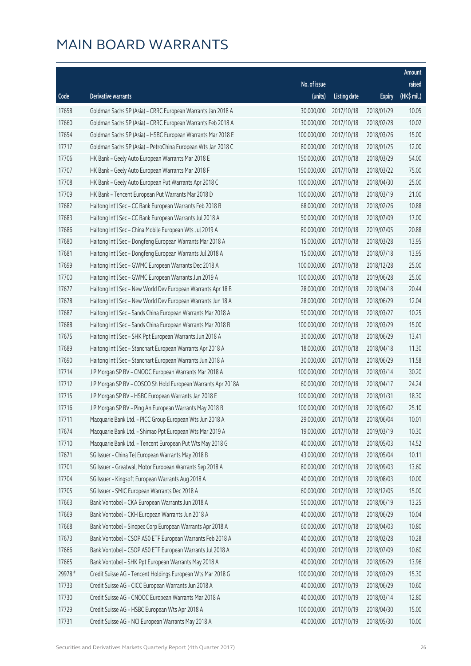|         |                                                              |              |                       |               | Amount      |
|---------|--------------------------------------------------------------|--------------|-----------------------|---------------|-------------|
|         |                                                              | No. of issue |                       |               | raised      |
| Code    | Derivative warrants                                          | (units)      | <b>Listing date</b>   | <b>Expiry</b> | (HK\$ mil.) |
| 17658   | Goldman Sachs SP (Asia) - CRRC European Warrants Jan 2018 A  | 30,000,000   | 2017/10/18            | 2018/01/29    | 10.05       |
| 17660   | Goldman Sachs SP (Asia) - CRRC European Warrants Feb 2018 A  | 30,000,000   | 2017/10/18            | 2018/02/28    | 10.02       |
| 17654   | Goldman Sachs SP (Asia) - HSBC European Warrants Mar 2018 E  | 100,000,000  | 2017/10/18            | 2018/03/26    | 15.00       |
| 17717   | Goldman Sachs SP (Asia) - PetroChina European Wts Jan 2018 C | 80,000,000   | 2017/10/18            | 2018/01/25    | 12.00       |
| 17706   | HK Bank - Geely Auto European Warrants Mar 2018 E            | 150,000,000  | 2017/10/18            | 2018/03/29    | 54.00       |
| 17707   | HK Bank - Geely Auto European Warrants Mar 2018 F            | 150,000,000  | 2017/10/18            | 2018/03/22    | 75.00       |
| 17708   | HK Bank - Geely Auto European Put Warrants Apr 2018 C        | 100,000,000  | 2017/10/18            | 2018/04/30    | 25.00       |
| 17709   | HK Bank - Tencent European Put Warrants Mar 2018 D           | 100,000,000  | 2017/10/18            | 2018/03/19    | 21.00       |
| 17682   | Haitong Int'l Sec - CC Bank European Warrants Feb 2018 B     | 68,000,000   | 2017/10/18            | 2018/02/26    | 10.88       |
| 17683   | Haitong Int'l Sec - CC Bank European Warrants Jul 2018 A     | 50,000,000   | 2017/10/18            | 2018/07/09    | 17.00       |
| 17686   | Haitong Int'l Sec - China Mobile European Wts Jul 2019 A     | 80,000,000   | 2017/10/18            | 2019/07/05    | 20.88       |
| 17680   | Haitong Int'l Sec - Dongfeng European Warrants Mar 2018 A    | 15,000,000   | 2017/10/18            | 2018/03/28    | 13.95       |
| 17681   | Haitong Int'l Sec - Dongfeng European Warrants Jul 2018 A    | 15,000,000   | 2017/10/18            | 2018/07/18    | 13.95       |
| 17699   | Haitong Int'l Sec - GWMC European Warrants Dec 2018 A        | 100,000,000  | 2017/10/18            | 2018/12/28    | 25.00       |
| 17700   | Haitong Int'l Sec - GWMC European Warrants Jun 2019 A        | 100,000,000  | 2017/10/18            | 2019/06/28    | 25.00       |
| 17677   | Haitong Int'l Sec - New World Dev European Warrants Apr 18 B | 28,000,000   | 2017/10/18            | 2018/04/18    | 20.44       |
| 17678   | Haitong Int'l Sec - New World Dev European Warrants Jun 18 A | 28,000,000   | 2017/10/18            | 2018/06/29    | 12.04       |
| 17687   | Haitong Int'l Sec - Sands China European Warrants Mar 2018 A | 50,000,000   | 2017/10/18            | 2018/03/27    | 10.25       |
| 17688   | Haitong Int'l Sec - Sands China European Warrants Mar 2018 B | 100,000,000  | 2017/10/18            | 2018/03/29    | 15.00       |
| 17675   | Haitong Int'l Sec - SHK Ppt European Warrants Jun 2018 A     | 30,000,000   | 2017/10/18            | 2018/06/29    | 13.41       |
| 17689   | Haitong Int'l Sec - Stanchart European Warrants Apr 2018 A   | 18,000,000   | 2017/10/18            | 2018/04/18    | 11.30       |
| 17690   | Haitong Int'l Sec - Stanchart European Warrants Jun 2018 A   | 30,000,000   | 2017/10/18            | 2018/06/29    | 11.58       |
| 17714   | J P Morgan SP BV - CNOOC European Warrants Mar 2018 A        | 100,000,000  | 2017/10/18            | 2018/03/14    | 30.20       |
| 17712   | J P Morgan SP BV - COSCO Sh Hold European Warrants Apr 2018A | 60,000,000   | 2017/10/18            | 2018/04/17    | 24.24       |
| 17715   | J P Morgan SP BV - HSBC European Warrants Jan 2018 E         | 100,000,000  | 2017/10/18            | 2018/01/31    | 18.30       |
| 17716   | J P Morgan SP BV - Ping An European Warrants May 2018 B      | 100,000,000  | 2017/10/18            | 2018/05/02    | 25.10       |
| 17711   | Macquarie Bank Ltd. - PICC Group European Wts Jun 2018 A     |              | 29,000,000 2017/10/18 | 2018/06/04    | 10.01       |
| 17674   | Macquarie Bank Ltd. - Shimao Ppt European Wts Mar 2019 A     | 19,000,000   | 2017/10/18            | 2019/03/19    | 10.30       |
| 17710   | Macquarie Bank Ltd. - Tencent European Put Wts May 2018 G    | 40,000,000   | 2017/10/18            | 2018/05/03    | 14.52       |
| 17671   | SG Issuer - China Tel European Warrants May 2018 B           | 43,000,000   | 2017/10/18            | 2018/05/04    | 10.11       |
| 17701   | SG Issuer - Greatwall Motor European Warrants Sep 2018 A     | 80,000,000   | 2017/10/18            | 2018/09/03    | 13.60       |
| 17704   | SG Issuer - Kingsoft European Warrants Aug 2018 A            | 40,000,000   | 2017/10/18            | 2018/08/03    | 10.00       |
| 17705   | SG Issuer - SMIC European Warrants Dec 2018 A                | 60,000,000   | 2017/10/18            | 2018/12/05    | 15.00       |
| 17663   | Bank Vontobel - CKA European Warrants Jun 2018 A             | 50,000,000   | 2017/10/18            | 2018/06/19    | 13.25       |
| 17669   | Bank Vontobel - CKH European Warrants Jun 2018 A             | 40,000,000   | 2017/10/18            | 2018/06/29    | 10.04       |
| 17668   | Bank Vontobel - Sinopec Corp European Warrants Apr 2018 A    | 60,000,000   | 2017/10/18            | 2018/04/03    | 10.80       |
| 17673   | Bank Vontobel - CSOP A50 ETF European Warrants Feb 2018 A    | 40,000,000   | 2017/10/18            | 2018/02/28    | 10.28       |
| 17666   | Bank Vontobel - CSOP A50 ETF European Warrants Jul 2018 A    | 40,000,000   | 2017/10/18            | 2018/07/09    | 10.60       |
| 17665   | Bank Vontobel - SHK Ppt European Warrants May 2018 A         | 40,000,000   | 2017/10/18            | 2018/05/29    | 13.96       |
| 29978 # | Credit Suisse AG - Tencent Holdings European Wts Mar 2018 G  | 100,000,000  | 2017/10/18            | 2018/03/29    | 15.30       |
| 17733   | Credit Suisse AG - CICC European Warrants Jun 2018 A         | 40,000,000   | 2017/10/19            | 2018/06/29    | 10.60       |
| 17730   | Credit Suisse AG - CNOOC European Warrants Mar 2018 A        | 40,000,000   | 2017/10/19            | 2018/03/14    | 12.80       |
| 17729   | Credit Suisse AG - HSBC European Wts Apr 2018 A              | 100,000,000  | 2017/10/19            | 2018/04/30    | 15.00       |
| 17731   | Credit Suisse AG - NCI European Warrants May 2018 A          | 40,000,000   | 2017/10/19            | 2018/05/30    | 10.00       |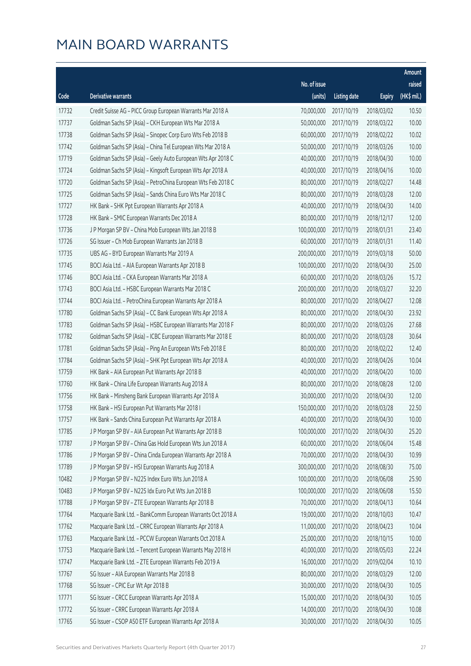|       |                                                              |              |                       |               | Amount      |
|-------|--------------------------------------------------------------|--------------|-----------------------|---------------|-------------|
|       |                                                              | No. of issue |                       |               | raised      |
| Code  | <b>Derivative warrants</b>                                   | (units)      | <b>Listing date</b>   | <b>Expiry</b> | (HK\$ mil.) |
| 17732 | Credit Suisse AG - PICC Group European Warrants Mar 2018 A   | 70,000,000   | 2017/10/19            | 2018/03/02    | 10.50       |
| 17737 | Goldman Sachs SP (Asia) - CKH European Wts Mar 2018 A        | 50,000,000   | 2017/10/19            | 2018/03/22    | 10.00       |
| 17738 | Goldman Sachs SP (Asia) - Sinopec Corp Euro Wts Feb 2018 B   | 60,000,000   | 2017/10/19            | 2018/02/22    | 10.02       |
| 17742 | Goldman Sachs SP (Asia) - China Tel European Wts Mar 2018 A  | 50,000,000   | 2017/10/19            | 2018/03/26    | 10.00       |
| 17719 | Goldman Sachs SP (Asia) - Geely Auto European Wts Apr 2018 C | 40,000,000   | 2017/10/19            | 2018/04/30    | 10.00       |
| 17724 | Goldman Sachs SP (Asia) - Kingsoft European Wts Apr 2018 A   | 40,000,000   | 2017/10/19            | 2018/04/16    | 10.00       |
| 17720 | Goldman Sachs SP (Asia) - PetroChina European Wts Feb 2018 C | 80,000,000   | 2017/10/19            | 2018/02/27    | 14.48       |
| 17725 | Goldman Sachs SP (Asia) - Sands China Euro Wts Mar 2018 C    | 80,000,000   | 2017/10/19            | 2018/03/28    | 12.00       |
| 17727 | HK Bank - SHK Ppt European Warrants Apr 2018 A               | 40,000,000   | 2017/10/19            | 2018/04/30    | 14.00       |
| 17728 | HK Bank - SMIC European Warrants Dec 2018 A                  | 80,000,000   | 2017/10/19            | 2018/12/17    | 12.00       |
| 17736 | J P Morgan SP BV - China Mob European Wts Jan 2018 B         | 100,000,000  | 2017/10/19            | 2018/01/31    | 23.40       |
| 17726 | SG Issuer - Ch Mob European Warrants Jan 2018 B              | 60,000,000   | 2017/10/19            | 2018/01/31    | 11.40       |
| 17735 | UBS AG - BYD European Warrants Mar 2019 A                    | 200,000,000  | 2017/10/19            | 2019/03/18    | 50.00       |
| 17745 | BOCI Asia Ltd. - AIA European Warrants Apr 2018 B            | 100,000,000  | 2017/10/20            | 2018/04/30    | 25.00       |
| 17746 | BOCI Asia Ltd. - CKA European Warrants Mar 2018 A            | 60,000,000   | 2017/10/20            | 2018/03/26    | 15.72       |
| 17743 | BOCI Asia Ltd. - HSBC European Warrants Mar 2018 C           | 200,000,000  | 2017/10/20            | 2018/03/27    | 32.20       |
| 17744 | BOCI Asia Ltd. - PetroChina European Warrants Apr 2018 A     | 80,000,000   | 2017/10/20            | 2018/04/27    | 12.08       |
| 17780 | Goldman Sachs SP (Asia) - CC Bank European Wts Apr 2018 A    | 80,000,000   | 2017/10/20            | 2018/04/30    | 23.92       |
| 17783 | Goldman Sachs SP (Asia) - HSBC European Warrants Mar 2018 F  | 80,000,000   | 2017/10/20            | 2018/03/26    | 27.68       |
| 17782 | Goldman Sachs SP (Asia) - ICBC European Warrants Mar 2018 E  | 80,000,000   | 2017/10/20            | 2018/03/28    | 30.64       |
| 17781 | Goldman Sachs SP (Asia) - Ping An European Wts Feb 2018 E    | 80,000,000   | 2017/10/20            | 2018/02/22    | 12.40       |
| 17784 | Goldman Sachs SP (Asia) - SHK Ppt European Wts Apr 2018 A    | 40,000,000   | 2017/10/20            | 2018/04/26    | 10.04       |
| 17759 | HK Bank - AIA European Put Warrants Apr 2018 B               | 40,000,000   | 2017/10/20            | 2018/04/20    | 10.00       |
| 17760 | HK Bank - China Life European Warrants Aug 2018 A            | 80,000,000   | 2017/10/20            | 2018/08/28    | 12.00       |
| 17756 | HK Bank - Minsheng Bank European Warrants Apr 2018 A         | 30,000,000   | 2017/10/20            | 2018/04/30    | 12.00       |
| 17758 | HK Bank - HSI European Put Warrants Mar 2018 I               | 150,000,000  | 2017/10/20            | 2018/03/28    | 22.50       |
| 17757 | HK Bank - Sands China European Put Warrants Apr 2018 A       |              | 40,000,000 2017/10/20 | 2018/04/30    | 10.00       |
| 17785 | J P Morgan SP BV - AIA European Put Warrants Apr 2018 B      | 100,000,000  | 2017/10/20            | 2018/04/30    | 25.20       |
| 17787 | J P Morgan SP BV - China Gas Hold European Wts Jun 2018 A    | 60,000,000   | 2017/10/20            | 2018/06/04    | 15.48       |
| 17786 | J P Morgan SP BV - China Cinda European Warrants Apr 2018 A  | 70,000,000   | 2017/10/20            | 2018/04/30    | 10.99       |
| 17789 | J P Morgan SP BV - HSI European Warrants Aug 2018 A          | 300,000,000  | 2017/10/20            | 2018/08/30    | 75.00       |
| 10482 | J P Morgan SP BV - N225 Index Euro Wts Jun 2018 A            | 100,000,000  | 2017/10/20            | 2018/06/08    | 25.90       |
| 10483 | J P Morgan SP BV - N225 Idx Euro Put Wts Jun 2018 B          | 100,000,000  | 2017/10/20            | 2018/06/08    | 15.50       |
| 17788 | J P Morgan SP BV - ZTE European Warrants Apr 2018 B          | 70,000,000   | 2017/10/20            | 2018/04/13    | 10.64       |
| 17764 | Macquarie Bank Ltd. - BankComm European Warrants Oct 2018 A  | 19,000,000   | 2017/10/20            | 2018/10/03    | 10.47       |
| 17762 | Macquarie Bank Ltd. - CRRC European Warrants Apr 2018 A      | 11,000,000   | 2017/10/20            | 2018/04/23    | 10.04       |
| 17763 | Macquarie Bank Ltd. - PCCW European Warrants Oct 2018 A      | 25,000,000   | 2017/10/20            | 2018/10/15    | 10.00       |
| 17753 | Macquarie Bank Ltd. - Tencent European Warrants May 2018 H   | 40,000,000   | 2017/10/20            | 2018/05/03    | 22.24       |
| 17747 | Macquarie Bank Ltd. - ZTE European Warrants Feb 2019 A       | 16,000,000   | 2017/10/20            | 2019/02/04    | 10.10       |
| 17767 | SG Issuer - AIA European Warrants Mar 2018 B                 | 80,000,000   | 2017/10/20            | 2018/03/29    | 12.00       |
| 17768 | SG Issuer - CPIC Eur Wt Apr 2018 B                           | 30,000,000   | 2017/10/20            | 2018/04/30    | 10.05       |
| 17771 | SG Issuer - CRCC European Warrants Apr 2018 A                | 15,000,000   | 2017/10/20            | 2018/04/30    | 10.05       |
| 17772 | SG Issuer - CRRC European Warrants Apr 2018 A                | 14,000,000   | 2017/10/20            | 2018/04/30    | 10.08       |
| 17765 | SG Issuer - CSOP A50 ETF European Warrants Apr 2018 A        | 30,000,000   | 2017/10/20            | 2018/04/30    | 10.05       |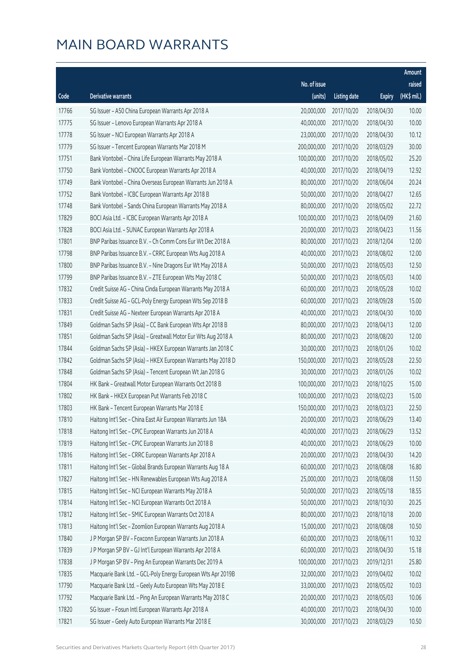|       |                                                              |              |                       |               | Amount      |
|-------|--------------------------------------------------------------|--------------|-----------------------|---------------|-------------|
|       |                                                              | No. of issue |                       |               | raised      |
| Code  | Derivative warrants                                          | (units)      | <b>Listing date</b>   | <b>Expiry</b> | (HK\$ mil.) |
| 17766 | SG Issuer - A50 China European Warrants Apr 2018 A           | 20,000,000   | 2017/10/20            | 2018/04/30    | 10.00       |
| 17775 | SG Issuer - Lenovo European Warrants Apr 2018 A              | 40,000,000   | 2017/10/20            | 2018/04/30    | 10.00       |
| 17778 | SG Issuer - NCI European Warrants Apr 2018 A                 | 23,000,000   | 2017/10/20            | 2018/04/30    | 10.12       |
| 17779 | SG Issuer - Tencent European Warrants Mar 2018 M             | 200,000,000  | 2017/10/20            | 2018/03/29    | 30.00       |
| 17751 | Bank Vontobel - China Life European Warrants May 2018 A      | 100,000,000  | 2017/10/20            | 2018/05/02    | 25.20       |
| 17750 | Bank Vontobel - CNOOC European Warrants Apr 2018 A           | 40,000,000   | 2017/10/20            | 2018/04/19    | 12.92       |
| 17749 | Bank Vontobel - China Overseas European Warrants Jun 2018 A  | 80,000,000   | 2017/10/20            | 2018/06/04    | 20.24       |
| 17752 | Bank Vontobel - ICBC European Warrants Apr 2018 B            | 50,000,000   | 2017/10/20            | 2018/04/27    | 12.65       |
| 17748 | Bank Vontobel - Sands China European Warrants May 2018 A     | 80,000,000   | 2017/10/20            | 2018/05/02    | 22.72       |
| 17829 | BOCI Asia Ltd. - ICBC European Warrants Apr 2018 A           | 100,000,000  | 2017/10/23            | 2018/04/09    | 21.60       |
| 17828 | BOCI Asia Ltd. - SUNAC European Warrants Apr 2018 A          | 20,000,000   | 2017/10/23            | 2018/04/23    | 11.56       |
| 17801 | BNP Paribas Issuance B.V. - Ch Comm Cons Eur Wt Dec 2018 A   | 80,000,000   | 2017/10/23            | 2018/12/04    | 12.00       |
| 17798 | BNP Paribas Issuance B.V. - CRRC European Wts Aug 2018 A     | 40,000,000   | 2017/10/23            | 2018/08/02    | 12.00       |
| 17800 | BNP Paribas Issuance B.V. - Nine Dragons Eur Wt May 2018 A   | 50,000,000   | 2017/10/23            | 2018/05/03    | 12.50       |
| 17799 | BNP Paribas Issuance B.V. - ZTE European Wts May 2018 C      | 50,000,000   | 2017/10/23            | 2018/05/03    | 14.00       |
| 17832 | Credit Suisse AG - China Cinda European Warrants May 2018 A  | 60,000,000   | 2017/10/23            | 2018/05/28    | 10.02       |
| 17833 | Credit Suisse AG - GCL-Poly Energy European Wts Sep 2018 B   | 60,000,000   | 2017/10/23            | 2018/09/28    | 15.00       |
| 17831 | Credit Suisse AG - Nexteer European Warrants Apr 2018 A      | 40,000,000   | 2017/10/23            | 2018/04/30    | 10.00       |
| 17849 | Goldman Sachs SP (Asia) - CC Bank European Wts Apr 2018 B    | 80,000,000   | 2017/10/23            | 2018/04/13    | 12.00       |
| 17851 | Goldman Sachs SP (Asia) - Greatwall Motor Eur Wts Aug 2018 A | 80,000,000   | 2017/10/23            | 2018/08/20    | 12.00       |
| 17844 | Goldman Sachs SP (Asia) - HKEX European Warrants Jan 2018 C  | 30,000,000   | 2017/10/23            | 2018/01/26    | 10.02       |
| 17842 | Goldman Sachs SP (Asia) - HKEX European Warrants May 2018 D  | 150,000,000  | 2017/10/23            | 2018/05/28    | 22.50       |
| 17848 | Goldman Sachs SP (Asia) - Tencent European Wt Jan 2018 G     | 30,000,000   | 2017/10/23            | 2018/01/26    | 10.02       |
| 17804 | HK Bank - Greatwall Motor European Warrants Oct 2018 B       | 100,000,000  | 2017/10/23            | 2018/10/25    | 15.00       |
| 17802 | HK Bank - HKEX European Put Warrants Feb 2018 C              | 100,000,000  | 2017/10/23            | 2018/02/23    | 15.00       |
| 17803 | HK Bank - Tencent European Warrants Mar 2018 E               | 150,000,000  | 2017/10/23            | 2018/03/23    | 22.50       |
| 17810 | Haitong Int'l Sec - China East Air European Warrants Jun 18A |              | 20,000,000 2017/10/23 | 2018/06/29    | 13.40       |
| 17818 | Haitong Int'l Sec - CPIC European Warrants Jun 2018 A        | 40,000,000   | 2017/10/23            | 2018/06/29    | 13.52       |
| 17819 | Haitong Int'l Sec - CPIC European Warrants Jun 2018 B        | 40,000,000   | 2017/10/23            | 2018/06/29    | 10.00       |
| 17816 | Haitong Int'l Sec - CRRC European Warrants Apr 2018 A        | 20,000,000   | 2017/10/23            | 2018/04/30    | 14.20       |
| 17811 | Haitong Int'l Sec - Global Brands European Warrants Aug 18 A | 60,000,000   | 2017/10/23            | 2018/08/08    | 16.80       |
| 17827 | Haitong Int'l Sec - HN Renewables European Wts Aug 2018 A    | 25,000,000   | 2017/10/23            | 2018/08/08    | 11.50       |
| 17815 | Haitong Int'l Sec - NCI European Warrants May 2018 A         | 50,000,000   | 2017/10/23            | 2018/05/18    | 18.55       |
| 17814 | Haitong Int'l Sec - NCI European Warrants Oct 2018 A         | 50,000,000   | 2017/10/23            | 2018/10/30    | 20.25       |
| 17812 | Haitong Int'l Sec - SMIC European Warrants Oct 2018 A        | 80,000,000   | 2017/10/23            | 2018/10/18    | 20.00       |
| 17813 | Haitong Int'l Sec - Zoomlion European Warrants Aug 2018 A    | 15,000,000   | 2017/10/23            | 2018/08/08    | 10.50       |
| 17840 | J P Morgan SP BV - Foxconn European Warrants Jun 2018 A      | 60,000,000   | 2017/10/23            | 2018/06/11    | 10.32       |
| 17839 | J P Morgan SP BV - GJ Int'l European Warrants Apr 2018 A     | 60,000,000   | 2017/10/23            | 2018/04/30    | 15.18       |
| 17838 | J P Morgan SP BV - Ping An European Warrants Dec 2019 A      | 100,000,000  | 2017/10/23            | 2019/12/31    | 25.80       |
| 17835 | Macquarie Bank Ltd. - GCL-Poly Energy European Wts Apr 2019B | 32,000,000   | 2017/10/23            | 2019/04/02    | 10.02       |
| 17790 | Macquarie Bank Ltd. - Geely Auto European Wts May 2018 E     | 33,000,000   | 2017/10/23            | 2018/05/02    | 10.03       |
| 17792 | Macquarie Bank Ltd. - Ping An European Warrants May 2018 C   | 20,000,000   | 2017/10/23            | 2018/05/03    | 10.06       |
| 17820 | SG Issuer - Fosun Intl European Warrants Apr 2018 A          | 40,000,000   | 2017/10/23            | 2018/04/30    | 10.00       |
| 17821 | SG Issuer - Geely Auto European Warrants Mar 2018 E          | 30,000,000   | 2017/10/23            | 2018/03/29    | 10.50       |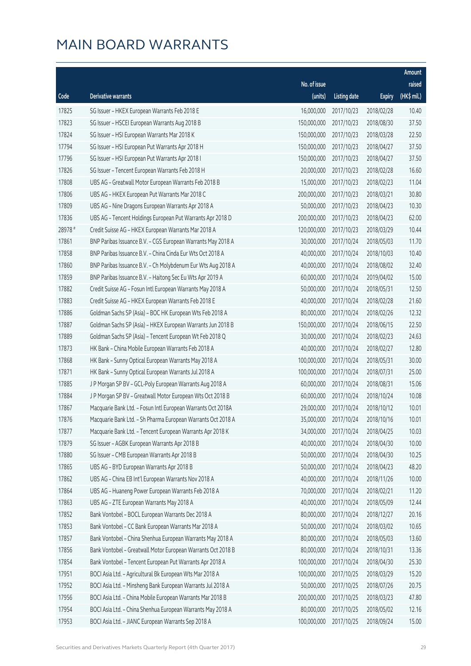|         |                                                              |              |                       |               | Amount      |
|---------|--------------------------------------------------------------|--------------|-----------------------|---------------|-------------|
|         |                                                              | No. of issue |                       |               | raised      |
| Code    | Derivative warrants                                          | (units)      | <b>Listing date</b>   | <b>Expiry</b> | (HK\$ mil.) |
| 17825   | SG Issuer - HKEX European Warrants Feb 2018 E                | 16,000,000   | 2017/10/23            | 2018/02/28    | 10.40       |
| 17823   | SG Issuer - HSCEI European Warrants Aug 2018 B               | 150,000,000  | 2017/10/23            | 2018/08/30    | 37.50       |
| 17824   | SG Issuer - HSI European Warrants Mar 2018 K                 | 150,000,000  | 2017/10/23            | 2018/03/28    | 22.50       |
| 17794   | SG Issuer - HSI European Put Warrants Apr 2018 H             | 150,000,000  | 2017/10/23            | 2018/04/27    | 37.50       |
| 17796   | SG Issuer - HSI European Put Warrants Apr 2018 I             | 150,000,000  | 2017/10/23            | 2018/04/27    | 37.50       |
| 17826   | SG Issuer - Tencent European Warrants Feb 2018 H             | 20,000,000   | 2017/10/23            | 2018/02/28    | 16.60       |
| 17808   | UBS AG - Greatwall Motor European Warrants Feb 2018 B        | 15,000,000   | 2017/10/23            | 2018/02/23    | 11.04       |
| 17806   | UBS AG - HKEX European Put Warrants Mar 2018 C               | 200,000,000  | 2017/10/23            | 2018/03/21    | 30.80       |
| 17809   | UBS AG - Nine Dragons European Warrants Apr 2018 A           | 50,000,000   | 2017/10/23            | 2018/04/23    | 10.30       |
| 17836   | UBS AG - Tencent Holdings European Put Warrants Apr 2018 D   | 200,000,000  | 2017/10/23            | 2018/04/23    | 62.00       |
| 28978 # | Credit Suisse AG - HKEX European Warrants Mar 2018 A         | 120,000,000  | 2017/10/23            | 2018/03/29    | 10.44       |
| 17861   | BNP Paribas Issuance B.V. - CGS European Warrants May 2018 A | 30,000,000   | 2017/10/24            | 2018/05/03    | 11.70       |
| 17858   | BNP Paribas Issuance B.V. - China Cinda Eur Wts Oct 2018 A   | 40,000,000   | 2017/10/24            | 2018/10/03    | 10.40       |
| 17860   | BNP Paribas Issuance B.V. - Ch Molybdenum Eur Wts Aug 2018 A | 40,000,000   | 2017/10/24            | 2018/08/02    | 32.40       |
| 17859   | BNP Paribas Issuance B.V. - Haitong Sec Eu Wts Apr 2019 A    | 60,000,000   | 2017/10/24            | 2019/04/02    | 15.00       |
| 17882   | Credit Suisse AG - Fosun Intl European Warrants May 2018 A   | 50,000,000   | 2017/10/24            | 2018/05/31    | 12.50       |
| 17883   | Credit Suisse AG - HKEX European Warrants Feb 2018 E         | 40,000,000   | 2017/10/24            | 2018/02/28    | 21.60       |
| 17886   | Goldman Sachs SP (Asia) - BOC HK European Wts Feb 2018 A     | 80,000,000   | 2017/10/24            | 2018/02/26    | 12.32       |
| 17887   | Goldman Sachs SP (Asia) - HKEX European Warrants Jun 2018 B  | 150,000,000  | 2017/10/24            | 2018/06/15    | 22.50       |
| 17889   | Goldman Sachs SP (Asia) - Tencent European Wt Feb 2018 Q     | 30,000,000   | 2017/10/24            | 2018/02/23    | 24.63       |
| 17873   | HK Bank - China Mobile European Warrants Feb 2018 A          | 40,000,000   | 2017/10/24            | 2018/02/27    | 12.80       |
| 17868   | HK Bank - Sunny Optical European Warrants May 2018 A         | 100,000,000  | 2017/10/24            | 2018/05/31    | 30.00       |
| 17871   | HK Bank - Sunny Optical European Warrants Jul 2018 A         | 100,000,000  | 2017/10/24            | 2018/07/31    | 25.00       |
| 17885   | J P Morgan SP BV - GCL-Poly European Warrants Aug 2018 A     | 60,000,000   | 2017/10/24            | 2018/08/31    | 15.06       |
| 17884   | J P Morgan SP BV - Greatwall Motor European Wts Oct 2018 B   | 60,000,000   | 2017/10/24            | 2018/10/24    | 10.08       |
| 17867   | Macquarie Bank Ltd. - Fosun Intl European Warrants Oct 2018A | 29,000,000   | 2017/10/24            | 2018/10/12    | 10.01       |
| 17876   | Macquarie Bank Ltd. - Sh Pharma European Warrants Oct 2018 A |              | 35,000,000 2017/10/24 | 2018/10/16    | 10.01       |
| 17877   | Macquarie Bank Ltd. - Tencent European Warrants Apr 2018 K   | 34,000,000   | 2017/10/24            | 2018/04/25    | 10.03       |
| 17879   | SG Issuer - AGBK European Warrants Apr 2018 B                | 40,000,000   | 2017/10/24            | 2018/04/30    | 10.00       |
| 17880   | SG Issuer - CMB European Warrants Apr 2018 B                 | 50,000,000   | 2017/10/24            | 2018/04/30    | 10.25       |
| 17865   | UBS AG - BYD European Warrants Apr 2018 B                    | 50,000,000   | 2017/10/24            | 2018/04/23    | 48.20       |
| 17862   | UBS AG - China EB Int'l European Warrants Nov 2018 A         | 40,000,000   | 2017/10/24            | 2018/11/26    | 10.00       |
| 17864   | UBS AG - Huaneng Power European Warrants Feb 2018 A          | 70,000,000   | 2017/10/24            | 2018/02/21    | 11.20       |
| 17863   | UBS AG - ZTE European Warrants May 2018 A                    | 40,000,000   | 2017/10/24            | 2018/05/09    | 12.44       |
| 17852   | Bank Vontobel - BOCL European Warrants Dec 2018 A            | 80,000,000   | 2017/10/24            | 2018/12/27    | 20.16       |
| 17853   | Bank Vontobel - CC Bank European Warrants Mar 2018 A         | 50,000,000   | 2017/10/24            | 2018/03/02    | 10.65       |
| 17857   | Bank Vontobel - China Shenhua European Warrants May 2018 A   | 80,000,000   | 2017/10/24            | 2018/05/03    | 13.60       |
| 17856   | Bank Vontobel - Greatwall Motor European Warrants Oct 2018 B | 80,000,000   | 2017/10/24            | 2018/10/31    | 13.36       |
| 17854   | Bank Vontobel - Tencent European Put Warrants Apr 2018 A     | 100,000,000  | 2017/10/24            | 2018/04/30    | 25.30       |
| 17951   | BOCI Asia Ltd. - Agricultural Bk European Wts Mar 2018 A     | 100,000,000  | 2017/10/25            | 2018/03/29    | 15.20       |
| 17952   | BOCI Asia Ltd. - Minsheng Bank European Warrants Jul 2018 A  | 50,000,000   | 2017/10/25            | 2018/07/26    | 20.75       |
| 17956   | BOCI Asia Ltd. - China Mobile European Warrants Mar 2018 B   | 200,000,000  | 2017/10/25            | 2018/03/23    | 47.80       |
| 17954   | BOCI Asia Ltd. - China Shenhua European Warrants May 2018 A  | 80,000,000   | 2017/10/25            | 2018/05/02    | 12.16       |
| 17953   | BOCI Asia Ltd. - JIANC European Warrants Sep 2018 A          | 100,000,000  | 2017/10/25            | 2018/09/24    | 15.00       |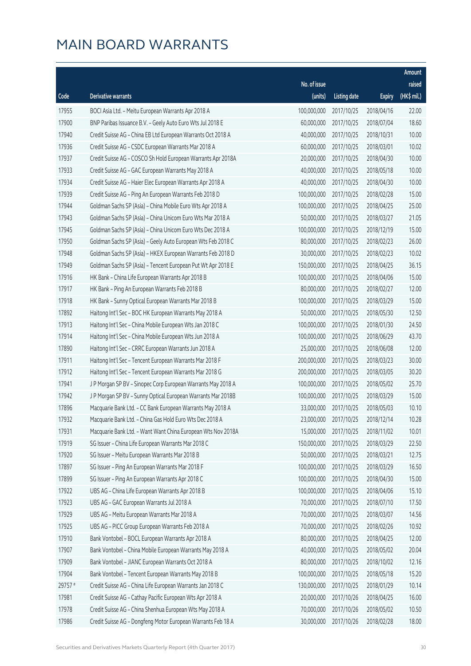|         |                                                              |              |                       |               | Amount      |
|---------|--------------------------------------------------------------|--------------|-----------------------|---------------|-------------|
|         |                                                              | No. of issue |                       |               | raised      |
| Code    | <b>Derivative warrants</b>                                   | (units)      | <b>Listing date</b>   | <b>Expiry</b> | (HK\$ mil.) |
| 17955   | BOCI Asia Ltd. - Meitu European Warrants Apr 2018 A          | 100,000,000  | 2017/10/25            | 2018/04/16    | 22.00       |
| 17900   | BNP Paribas Issuance B.V. - Geely Auto Euro Wts Jul 2018 E   | 60,000,000   | 2017/10/25            | 2018/07/04    | 18.60       |
| 17940   | Credit Suisse AG - China EB Ltd European Warrants Oct 2018 A | 40,000,000   | 2017/10/25            | 2018/10/31    | 10.00       |
| 17936   | Credit Suisse AG - CSDC European Warrants Mar 2018 A         | 60,000,000   | 2017/10/25            | 2018/03/01    | 10.02       |
| 17937   | Credit Suisse AG - COSCO Sh Hold European Warrants Apr 2018A | 20,000,000   | 2017/10/25            | 2018/04/30    | 10.00       |
| 17933   | Credit Suisse AG - GAC European Warrants May 2018 A          | 40,000,000   | 2017/10/25            | 2018/05/18    | 10.00       |
| 17934   | Credit Suisse AG - Haier Elec European Warrants Apr 2018 A   | 40,000,000   | 2017/10/25            | 2018/04/30    | 10.00       |
| 17939   | Credit Suisse AG - Ping An European Warrants Feb 2018 D      | 100,000,000  | 2017/10/25            | 2018/02/28    | 15.00       |
| 17944   | Goldman Sachs SP (Asia) - China Mobile Euro Wts Apr 2018 A   | 100,000,000  | 2017/10/25            | 2018/04/25    | 25.00       |
| 17943   | Goldman Sachs SP (Asia) - China Unicom Euro Wts Mar 2018 A   | 50,000,000   | 2017/10/25            | 2018/03/27    | 21.05       |
| 17945   | Goldman Sachs SP (Asia) - China Unicom Euro Wts Dec 2018 A   | 100,000,000  | 2017/10/25            | 2018/12/19    | 15.00       |
| 17950   | Goldman Sachs SP (Asia) - Geely Auto European Wts Feb 2018 C | 80,000,000   | 2017/10/25            | 2018/02/23    | 26.00       |
| 17948   | Goldman Sachs SP (Asia) - HKEX European Warrants Feb 2018 D  | 30,000,000   | 2017/10/25            | 2018/02/23    | 10.02       |
| 17949   | Goldman Sachs SP (Asia) - Tencent European Put Wt Apr 2018 E | 150,000,000  | 2017/10/25            | 2018/04/25    | 36.15       |
| 17916   | HK Bank - China Life European Warrants Apr 2018 B            | 100,000,000  | 2017/10/25            | 2018/04/06    | 15.00       |
| 17917   | HK Bank - Ping An European Warrants Feb 2018 B               | 80,000,000   | 2017/10/25            | 2018/02/27    | 12.00       |
| 17918   | HK Bank - Sunny Optical European Warrants Mar 2018 B         | 100,000,000  | 2017/10/25            | 2018/03/29    | 15.00       |
| 17892   | Haitong Int'l Sec - BOC HK European Warrants May 2018 A      | 50,000,000   | 2017/10/25            | 2018/05/30    | 12.50       |
| 17913   | Haitong Int'l Sec - China Mobile European Wts Jan 2018 C     | 100,000,000  | 2017/10/25            | 2018/01/30    | 24.50       |
| 17914   | Haitong Int'l Sec - China Mobile European Wts Jun 2018 A     | 100,000,000  | 2017/10/25            | 2018/06/29    | 43.70       |
| 17890   | Haitong Int'l Sec - CRRC European Warrants Jun 2018 A        | 25,000,000   | 2017/10/25            | 2018/06/08    | 12.00       |
| 17911   | Haitong Int'l Sec - Tencent European Warrants Mar 2018 F     | 200,000,000  | 2017/10/25            | 2018/03/23    | 30.00       |
| 17912   | Haitong Int'l Sec - Tencent European Warrants Mar 2018 G     | 200,000,000  | 2017/10/25            | 2018/03/05    | 30.20       |
| 17941   | J P Morgan SP BV - Sinopec Corp European Warrants May 2018 A | 100,000,000  | 2017/10/25            | 2018/05/02    | 25.70       |
| 17942   | J P Morgan SP BV - Sunny Optical European Warrants Mar 2018B | 100,000,000  | 2017/10/25            | 2018/03/29    | 15.00       |
| 17896   | Macquarie Bank Ltd. - CC Bank European Warrants May 2018 A   | 33,000,000   | 2017/10/25            | 2018/05/03    | 10.10       |
| 17932   | Macquarie Bank Ltd. - China Gas Hold Euro Wts Dec 2018 A     |              | 23,000,000 2017/10/25 | 2018/12/14    | 10.28       |
| 17931   | Macquarie Bank Ltd. - Want Want China European Wts Nov 2018A | 15,000,000   | 2017/10/25            | 2018/11/02    | 10.01       |
| 17919   | SG Issuer - China Life European Warrants Mar 2018 C          | 150,000,000  | 2017/10/25            | 2018/03/29    | 22.50       |
| 17920   | SG Issuer - Meitu European Warrants Mar 2018 B               | 50,000,000   | 2017/10/25            | 2018/03/21    | 12.75       |
| 17897   | SG Issuer - Ping An European Warrants Mar 2018 F             | 100,000,000  | 2017/10/25            | 2018/03/29    | 16.50       |
| 17899   | SG Issuer - Ping An European Warrants Apr 2018 C             | 100,000,000  | 2017/10/25            | 2018/04/30    | 15.00       |
| 17922   | UBS AG - China Life European Warrants Apr 2018 B             | 100,000,000  | 2017/10/25            | 2018/04/06    | 15.10       |
| 17923   | UBS AG - GAC European Warrants Jul 2018 A                    | 70,000,000   | 2017/10/25            | 2018/07/10    | 17.50       |
| 17929   | UBS AG - Meitu European Warrants Mar 2018 A                  | 70,000,000   | 2017/10/25            | 2018/03/07    | 14.56       |
| 17925   | UBS AG - PICC Group European Warrants Feb 2018 A             | 70,000,000   | 2017/10/25            | 2018/02/26    | 10.92       |
| 17910   | Bank Vontobel - BOCL European Warrants Apr 2018 A            | 80,000,000   | 2017/10/25            | 2018/04/25    | 12.00       |
| 17907   | Bank Vontobel - China Mobile European Warrants May 2018 A    | 40,000,000   | 2017/10/25            | 2018/05/02    | 20.04       |
| 17909   | Bank Vontobel - JIANC European Warrants Oct 2018 A           | 80,000,000   | 2017/10/25            | 2018/10/02    | 12.16       |
| 17904   | Bank Vontobel - Tencent European Warrants May 2018 B         | 100,000,000  | 2017/10/25            | 2018/05/18    | 15.20       |
| 29757 # | Credit Suisse AG - China Life European Warrants Jan 2018 C   | 130,000,000  | 2017/10/25            | 2018/01/29    | 10.14       |
| 17981   | Credit Suisse AG - Cathay Pacific European Wts Apr 2018 A    | 20,000,000   | 2017/10/26            | 2018/04/25    | 16.00       |
| 17978   | Credit Suisse AG - China Shenhua European Wts May 2018 A     | 70,000,000   | 2017/10/26            | 2018/05/02    | 10.50       |
| 17986   | Credit Suisse AG - Dongfeng Motor European Warrants Feb 18 A | 30,000,000   | 2017/10/26            | 2018/02/28    | 18.00       |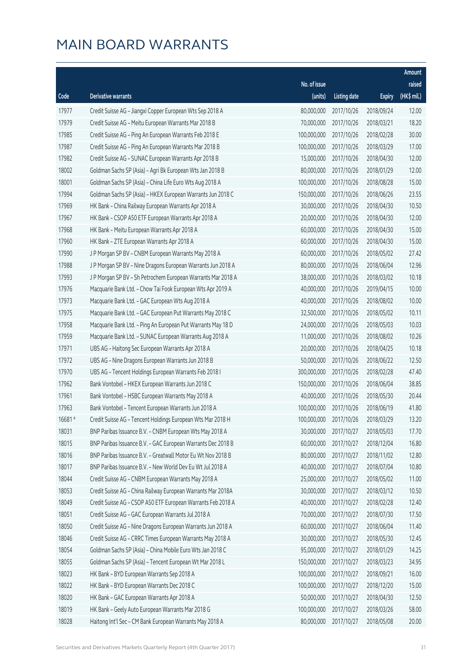|        |                                                              |              |                        |               | Amount      |
|--------|--------------------------------------------------------------|--------------|------------------------|---------------|-------------|
|        |                                                              | No. of issue |                        |               | raised      |
| Code   | Derivative warrants                                          | (units)      | <b>Listing date</b>    | <b>Expiry</b> | (HK\$ mil.) |
| 17977  | Credit Suisse AG - Jiangxi Copper European Wts Sep 2018 A    | 80,000,000   | 2017/10/26             | 2018/09/24    | 12.00       |
| 17979  | Credit Suisse AG - Meitu European Warrants Mar 2018 B        | 70,000,000   | 2017/10/26             | 2018/03/21    | 18.20       |
| 17985  | Credit Suisse AG - Ping An European Warrants Feb 2018 E      | 100,000,000  | 2017/10/26             | 2018/02/28    | 30.00       |
| 17987  | Credit Suisse AG - Ping An European Warrants Mar 2018 B      | 100,000,000  | 2017/10/26             | 2018/03/29    | 17.00       |
| 17982  | Credit Suisse AG - SUNAC European Warrants Apr 2018 B        | 15,000,000   | 2017/10/26             | 2018/04/30    | 12.00       |
| 18002  | Goldman Sachs SP (Asia) - Agri Bk European Wts Jan 2018 B    | 80,000,000   | 2017/10/26             | 2018/01/29    | 12.00       |
| 18001  | Goldman Sachs SP (Asia) - China Life Euro Wts Aug 2018 A     | 100,000,000  | 2017/10/26             | 2018/08/28    | 15.00       |
| 17994  | Goldman Sachs SP (Asia) - HKEX European Warrants Jun 2018 C  | 150,000,000  | 2017/10/26             | 2018/06/26    | 23.55       |
| 17969  | HK Bank - China Railway European Warrants Apr 2018 A         | 30,000,000   | 2017/10/26             | 2018/04/30    | 10.50       |
| 17967  | HK Bank - CSOP A50 ETF European Warrants Apr 2018 A          | 20,000,000   | 2017/10/26             | 2018/04/30    | 12.00       |
| 17968  | HK Bank - Meitu European Warrants Apr 2018 A                 | 60,000,000   | 2017/10/26             | 2018/04/30    | 15.00       |
| 17960  | HK Bank - ZTE European Warrants Apr 2018 A                   | 60,000,000   | 2017/10/26             | 2018/04/30    | 15.00       |
| 17990  | J P Morgan SP BV - CNBM European Warrants May 2018 A         | 60,000,000   | 2017/10/26             | 2018/05/02    | 27.42       |
| 17988  | J P Morgan SP BV - Nine Dragons European Warrants Jun 2018 A | 80,000,000   | 2017/10/26             | 2018/06/04    | 12.96       |
| 17993  | J P Morgan SP BV - Sh Petrochem European Warrants Mar 2018 A | 38,000,000   | 2017/10/26             | 2018/03/02    | 10.18       |
| 17976  | Macquarie Bank Ltd. - Chow Tai Fook European Wts Apr 2019 A  | 40,000,000   | 2017/10/26             | 2019/04/15    | 10.00       |
| 17973  | Macquarie Bank Ltd. - GAC European Wts Aug 2018 A            | 40,000,000   | 2017/10/26             | 2018/08/02    | 10.00       |
| 17975  | Macquarie Bank Ltd. - GAC European Put Warrants May 2018 C   | 32,500,000   | 2017/10/26             | 2018/05/02    | 10.11       |
| 17958  | Macquarie Bank Ltd. - Ping An European Put Warrants May 18 D | 24,000,000   | 2017/10/26             | 2018/05/03    | 10.03       |
| 17959  | Macquarie Bank Ltd. - SUNAC European Warrants Aug 2018 A     | 11,000,000   | 2017/10/26             | 2018/08/02    | 10.26       |
| 17971  | UBS AG - Haitong Sec European Warrants Apr 2018 A            | 20,000,000   | 2017/10/26             | 2018/04/25    | 10.18       |
| 17972  | UBS AG - Nine Dragons European Warrants Jun 2018 B           | 50,000,000   | 2017/10/26             | 2018/06/22    | 12.50       |
| 17970  | UBS AG - Tencent Holdings European Warrants Feb 2018 I       | 300,000,000  | 2017/10/26             | 2018/02/28    | 47.40       |
| 17962  | Bank Vontobel - HKEX European Warrants Jun 2018 C            | 150,000,000  | 2017/10/26             | 2018/06/04    | 38.85       |
| 17961  | Bank Vontobel - HSBC European Warrants May 2018 A            | 40,000,000   | 2017/10/26             | 2018/05/30    | 20.44       |
| 17963  | Bank Vontobel - Tencent European Warrants Jun 2018 A         | 100,000,000  | 2017/10/26             | 2018/06/19    | 41.80       |
| 16681# | Credit Suisse AG - Tencent Holdings European Wts Mar 2018 H  |              | 100,000,000 2017/10/26 | 2018/03/29    | 13.20       |
| 18031  | BNP Paribas Issuance B.V. - CNBM European Wts May 2018 A     | 30,000,000   | 2017/10/27             | 2018/05/03    | 17.70       |
| 18015  | BNP Paribas Issuance B.V. - GAC European Warrants Dec 2018 B | 60,000,000   | 2017/10/27             | 2018/12/04    | 16.80       |
| 18016  | BNP Paribas Issuance B.V. - Greatwall Motor Eu Wt Nov 2018 B | 80,000,000   | 2017/10/27             | 2018/11/02    | 12.80       |
| 18017  | BNP Paribas Issuance B.V. - New World Dev Eu Wt Jul 2018 A   | 40,000,000   | 2017/10/27             | 2018/07/04    | 10.80       |
| 18044  | Credit Suisse AG - CNBM European Warrants May 2018 A         | 25,000,000   | 2017/10/27             | 2018/05/02    | 11.00       |
| 18053  | Credit Suisse AG - China Railway European Warrants Mar 2018A | 30,000,000   | 2017/10/27             | 2018/03/12    | 10.50       |
| 18049  | Credit Suisse AG - CSOP A50 ETF European Warrants Feb 2018 A | 40,000,000   | 2017/10/27             | 2018/02/28    | 12.40       |
| 18051  | Credit Suisse AG - GAC European Warrants Jul 2018 A          | 70,000,000   | 2017/10/27             | 2018/07/30    | 17.50       |
| 18050  | Credit Suisse AG - Nine Dragons European Warrants Jun 2018 A | 60,000,000   | 2017/10/27             | 2018/06/04    | 11.40       |
| 18046  | Credit Suisse AG - CRRC Times European Warrants May 2018 A   | 30,000,000   | 2017/10/27             | 2018/05/30    | 12.45       |
| 18054  | Goldman Sachs SP (Asia) - China Mobile Euro Wts Jan 2018 C   | 95,000,000   | 2017/10/27             | 2018/01/29    | 14.25       |
| 18055  | Goldman Sachs SP (Asia) - Tencent European Wt Mar 2018 L     | 150,000,000  | 2017/10/27             | 2018/03/23    | 34.95       |
| 18023  | HK Bank - BYD European Warrants Sep 2018 A                   | 100,000,000  | 2017/10/27             | 2018/09/21    | 16.00       |
| 18022  | HK Bank - BYD European Warrants Dec 2018 C                   | 100,000,000  | 2017/10/27             | 2018/12/20    | 15.00       |
| 18020  | HK Bank - GAC European Warrants Apr 2018 A                   | 50,000,000   | 2017/10/27             | 2018/04/30    | 12.50       |
| 18019  | HK Bank - Geely Auto European Warrants Mar 2018 G            | 100,000,000  | 2017/10/27             | 2018/03/26    | 58.00       |
| 18028  | Haitong Int'l Sec - CM Bank European Warrants May 2018 A     | 80,000,000   | 2017/10/27             | 2018/05/08    | 20.00       |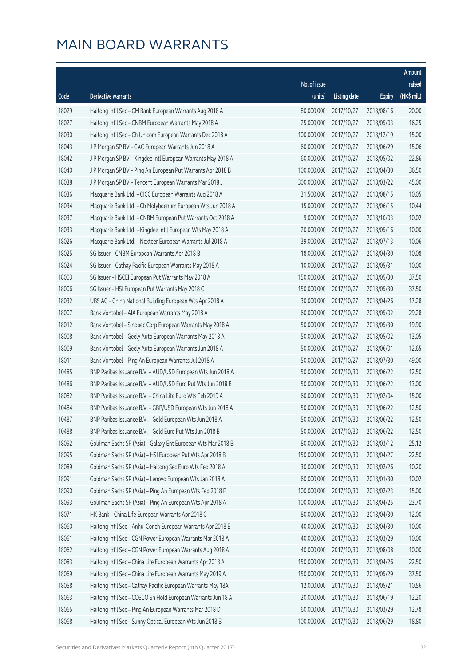|       |                                                              |              |                       |               | Amount      |
|-------|--------------------------------------------------------------|--------------|-----------------------|---------------|-------------|
|       |                                                              | No. of issue |                       |               | raised      |
| Code  | Derivative warrants                                          | (units)      | <b>Listing date</b>   | <b>Expiry</b> | (HK\$ mil.) |
| 18029 | Haitong Int'l Sec - CM Bank European Warrants Aug 2018 A     | 80,000,000   | 2017/10/27            | 2018/08/16    | 20.00       |
| 18027 | Haitong Int'l Sec - CNBM European Warrants May 2018 A        | 25,000,000   | 2017/10/27            | 2018/05/03    | 16.25       |
| 18030 | Haitong Int'l Sec - Ch Unicom European Warrants Dec 2018 A   | 100,000,000  | 2017/10/27            | 2018/12/19    | 15.00       |
| 18043 | J P Morgan SP BV - GAC European Warrants Jun 2018 A          | 60,000,000   | 2017/10/27            | 2018/06/29    | 15.06       |
| 18042 | J P Morgan SP BV - Kingdee Intl European Warrants May 2018 A | 60,000,000   | 2017/10/27            | 2018/05/02    | 22.86       |
| 18040 | J P Morgan SP BV - Ping An European Put Warrants Apr 2018 B  | 100,000,000  | 2017/10/27            | 2018/04/30    | 36.50       |
| 18038 | J P Morgan SP BV - Tencent European Warrants Mar 2018 J      | 300,000,000  | 2017/10/27            | 2018/03/22    | 45.00       |
| 18036 | Macquarie Bank Ltd. - CICC European Warrants Aug 2018 A      | 31,500,000   | 2017/10/27            | 2018/08/15    | 10.05       |
| 18034 | Macquarie Bank Ltd. - Ch Molybdenum European Wts Jun 2018 A  | 15,000,000   | 2017/10/27            | 2018/06/15    | 10.44       |
| 18037 | Macquarie Bank Ltd. - CNBM European Put Warrants Oct 2018 A  | 9,000,000    | 2017/10/27            | 2018/10/03    | 10.02       |
| 18033 | Macquarie Bank Ltd. - Kingdee Int'l European Wts May 2018 A  | 20,000,000   | 2017/10/27            | 2018/05/16    | 10.00       |
| 18026 | Macquarie Bank Ltd. - Nexteer European Warrants Jul 2018 A   | 39,000,000   | 2017/10/27            | 2018/07/13    | 10.06       |
| 18025 | SG Issuer - CNBM European Warrants Apr 2018 B                | 18,000,000   | 2017/10/27            | 2018/04/30    | 10.08       |
| 18024 | SG Issuer - Cathay Pacific European Warrants May 2018 A      | 10,000,000   | 2017/10/27            | 2018/05/31    | 10.00       |
| 18003 | SG Issuer - HSCEI European Put Warrants May 2018 A           | 150,000,000  | 2017/10/27            | 2018/05/30    | 37.50       |
| 18006 | SG Issuer - HSI European Put Warrants May 2018 C             | 150,000,000  | 2017/10/27            | 2018/05/30    | 37.50       |
| 18032 | UBS AG - China National Building European Wts Apr 2018 A     | 30,000,000   | 2017/10/27            | 2018/04/26    | 17.28       |
| 18007 | Bank Vontobel - AIA European Warrants May 2018 A             | 60,000,000   | 2017/10/27            | 2018/05/02    | 29.28       |
| 18012 | Bank Vontobel - Sinopec Corp European Warrants May 2018 A    | 50,000,000   | 2017/10/27            | 2018/05/30    | 19.90       |
| 18008 | Bank Vontobel - Geely Auto European Warrants May 2018 A      | 50,000,000   | 2017/10/27            | 2018/05/02    | 13.05       |
| 18009 | Bank Vontobel - Geely Auto European Warrants Jun 2018 A      | 50,000,000   | 2017/10/27            | 2018/06/01    | 12.65       |
| 18011 | Bank Vontobel - Ping An European Warrants Jul 2018 A         | 50,000,000   | 2017/10/27            | 2018/07/30    | 49.00       |
| 10485 | BNP Paribas Issuance B.V. - AUD/USD European Wts Jun 2018 A  | 50,000,000   | 2017/10/30            | 2018/06/22    | 12.50       |
| 10486 | BNP Paribas Issuance B.V. - AUD/USD Euro Put Wts Jun 2018 B  | 50,000,000   | 2017/10/30            | 2018/06/22    | 13.00       |
| 18082 | BNP Paribas Issuance B.V. - China Life Euro Wts Feb 2019 A   | 60,000,000   | 2017/10/30            | 2019/02/04    | 15.00       |
| 10484 | BNP Paribas Issuance B.V. - GBP/USD European Wts Jun 2018 A  | 50,000,000   | 2017/10/30            | 2018/06/22    | 12.50       |
| 10487 | BNP Paribas Issuance B.V. - Gold European Wts Jun 2018 A     |              | 50,000,000 2017/10/30 | 2018/06/22    | 12.50       |
| 10488 | BNP Paribas Issuance B.V. - Gold Euro Put Wts Jun 2018 B     | 50,000,000   | 2017/10/30            | 2018/06/22    | 12.50       |
| 18092 | Goldman Sachs SP (Asia) - Galaxy Ent European Wts Mar 2018 B | 80,000,000   | 2017/10/30            | 2018/03/12    | 25.12       |
| 18095 | Goldman Sachs SP (Asia) - HSI European Put Wts Apr 2018 B    | 150,000,000  | 2017/10/30            | 2018/04/27    | 22.50       |
| 18089 | Goldman Sachs SP (Asia) - Haitong Sec Euro Wts Feb 2018 A    | 30,000,000   | 2017/10/30            | 2018/02/26    | 10.20       |
| 18091 | Goldman Sachs SP (Asia) - Lenovo European Wts Jan 2018 A     | 60,000,000   | 2017/10/30            | 2018/01/30    | 10.02       |
| 18090 | Goldman Sachs SP (Asia) - Ping An European Wts Feb 2018 F    | 100,000,000  | 2017/10/30            | 2018/02/23    | 15.00       |
| 18093 | Goldman Sachs SP (Asia) - Ping An European Wts Apr 2018 A    | 100,000,000  | 2017/10/30            | 2018/04/25    | 23.70       |
| 18071 | HK Bank - China Life European Warrants Apr 2018 C            | 80,000,000   | 2017/10/30            | 2018/04/30    | 12.00       |
| 18060 | Haitong Int'l Sec - Anhui Conch European Warrants Apr 2018 B | 40,000,000   | 2017/10/30            | 2018/04/30    | 10.00       |
| 18061 | Haitong Int'l Sec - CGN Power European Warrants Mar 2018 A   | 40,000,000   | 2017/10/30            | 2018/03/29    | 10.00       |
| 18062 | Haitong Int'l Sec - CGN Power European Warrants Aug 2018 A   | 40,000,000   | 2017/10/30            | 2018/08/08    | 10.00       |
| 18083 | Haitong Int'l Sec - China Life European Warrants Apr 2018 A  | 150,000,000  | 2017/10/30            | 2018/04/26    | 22.50       |
| 18069 | Haitong Int'l Sec - China Life European Warrants May 2019 A  | 150,000,000  | 2017/10/30            | 2019/05/29    | 37.50       |
| 18058 | Haitong Int'l Sec - Cathay Pacific European Warrants May 18A | 12,000,000   | 2017/10/30            | 2018/05/21    | 10.56       |
| 18063 | Haitong Int'l Sec - COSCO Sh Hold European Warrants Jun 18 A | 20,000,000   | 2017/10/30            | 2018/06/19    | 12.20       |
| 18065 | Haitong Int'l Sec - Ping An European Warrants Mar 2018 D     | 60,000,000   | 2017/10/30            | 2018/03/29    | 12.78       |
| 18068 | Haitong Int'l Sec - Sunny Optical European Wts Jun 2018 B    | 100,000,000  | 2017/10/30            | 2018/06/29    | 18.80       |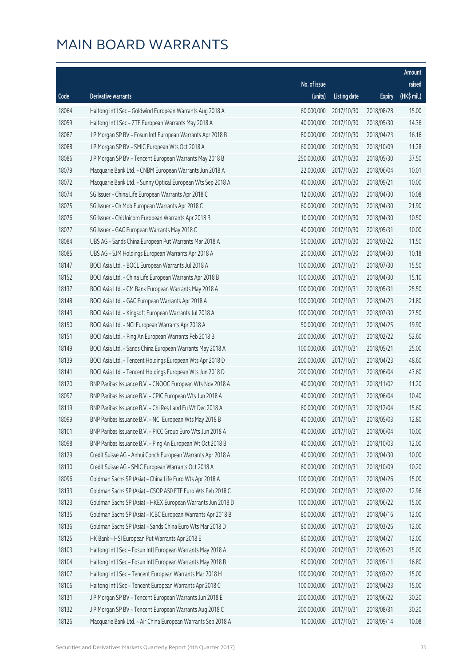|       |                                                              |              |                       |               | Amount      |
|-------|--------------------------------------------------------------|--------------|-----------------------|---------------|-------------|
|       |                                                              | No. of issue |                       |               | raised      |
| Code  | Derivative warrants                                          | (units)      | <b>Listing date</b>   | <b>Expiry</b> | (HK\$ mil.) |
| 18064 | Haitong Int'l Sec - Goldwind European Warrants Aug 2018 A    | 60,000,000   | 2017/10/30            | 2018/08/28    | 15.00       |
| 18059 | Haitong Int'l Sec - ZTE European Warrants May 2018 A         | 40,000,000   | 2017/10/30            | 2018/05/30    | 14.36       |
| 18087 | J P Morgan SP BV - Fosun Intl European Warrants Apr 2018 B   | 80,000,000   | 2017/10/30            | 2018/04/23    | 16.16       |
| 18088 | J P Morgan SP BV - SMIC European Wts Oct 2018 A              | 60,000,000   | 2017/10/30            | 2018/10/09    | 11.28       |
| 18086 | J P Morgan SP BV - Tencent European Warrants May 2018 B      | 250,000,000  | 2017/10/30            | 2018/05/30    | 37.50       |
| 18079 | Macquarie Bank Ltd. - CNBM European Warrants Jun 2018 A      | 22,000,000   | 2017/10/30            | 2018/06/04    | 10.01       |
| 18072 | Macquarie Bank Ltd. - Sunny Optical European Wts Sep 2018 A  | 40,000,000   | 2017/10/30            | 2018/09/21    | 10.00       |
| 18074 | SG Issuer - China Life European Warrants Apr 2018 C          | 12,000,000   | 2017/10/30            | 2018/04/30    | 10.08       |
| 18075 | SG Issuer - Ch Mob European Warrants Apr 2018 C              | 60,000,000   | 2017/10/30            | 2018/04/30    | 21.90       |
| 18076 | SG Issuer - ChiUnicom European Warrants Apr 2018 B           | 10,000,000   | 2017/10/30            | 2018/04/30    | 10.50       |
| 18077 | SG Issuer - GAC European Warrants May 2018 C                 | 40,000,000   | 2017/10/30            | 2018/05/31    | 10.00       |
| 18084 | UBS AG - Sands China European Put Warrants Mar 2018 A        | 50,000,000   | 2017/10/30            | 2018/03/22    | 11.50       |
| 18085 | UBS AG - SJM Holdings European Warrants Apr 2018 A           | 20,000,000   | 2017/10/30            | 2018/04/30    | 10.18       |
| 18147 | BOCI Asia Ltd. - BOCL European Warrants Jul 2018 A           | 100,000,000  | 2017/10/31            | 2018/07/30    | 15.50       |
| 18152 | BOCI Asia Ltd. - China Life European Warrants Apr 2018 B     | 100,000,000  | 2017/10/31            | 2018/04/30    | 15.10       |
| 18137 | BOCI Asia Ltd. - CM Bank European Warrants May 2018 A        | 100,000,000  | 2017/10/31            | 2018/05/31    | 25.50       |
| 18148 | BOCI Asia Ltd. - GAC European Warrants Apr 2018 A            | 100,000,000  | 2017/10/31            | 2018/04/23    | 21.80       |
| 18143 | BOCI Asia Ltd. - Kingsoft European Warrants Jul 2018 A       | 100,000,000  | 2017/10/31            | 2018/07/30    | 27.50       |
| 18150 | BOCI Asia Ltd. - NCI European Warrants Apr 2018 A            | 50,000,000   | 2017/10/31            | 2018/04/25    | 19.90       |
| 18151 | BOCI Asia Ltd. - Ping An European Warrants Feb 2018 B        | 200,000,000  | 2017/10/31            | 2018/02/22    | 52.60       |
| 18149 | BOCI Asia Ltd. - Sands China European Warrants May 2018 A    | 100,000,000  | 2017/10/31            | 2018/05/21    | 25.00       |
| 18139 | BOCI Asia Ltd. - Tencent Holdings European Wts Apr 2018 D    | 200,000,000  | 2017/10/31            | 2018/04/23    | 48.60       |
| 18141 | BOCI Asia Ltd. - Tencent Holdings European Wts Jun 2018 D    | 200,000,000  | 2017/10/31            | 2018/06/04    | 43.60       |
| 18120 | BNP Paribas Issuance B.V. - CNOOC European Wts Nov 2018 A    | 40,000,000   | 2017/10/31            | 2018/11/02    | 11.20       |
| 18097 | BNP Paribas Issuance B.V. - CPIC European Wts Jun 2018 A     | 40,000,000   | 2017/10/31            | 2018/06/04    | 10.40       |
| 18119 | BNP Paribas Issuance B.V. - Chi Res Land Eu Wt Dec 2018 A    | 60,000,000   | 2017/10/31            | 2018/12/04    | 15.60       |
| 18099 | BNP Paribas Issuance B.V. - NCI European Wts May 2018 B      |              | 40,000,000 2017/10/31 | 2018/05/03    | 12.80       |
| 18101 | BNP Paribas Issuance B.V. - PICC Group Euro Wts Jun 2018 A   | 40,000,000   | 2017/10/31            | 2018/06/04    | 10.00       |
| 18098 | BNP Paribas Issuance B.V. - Ping An European Wt Oct 2018 B   | 40,000,000   | 2017/10/31            | 2018/10/03    | 12.00       |
| 18129 | Credit Suisse AG - Anhui Conch European Warrants Apr 2018 A  | 40,000,000   | 2017/10/31            | 2018/04/30    | 10.00       |
| 18130 | Credit Suisse AG - SMIC European Warrants Oct 2018 A         | 60,000,000   | 2017/10/31            | 2018/10/09    | 10.20       |
| 18096 | Goldman Sachs SP (Asia) - China Life Euro Wts Apr 2018 A     | 100,000,000  | 2017/10/31            | 2018/04/26    | 15.00       |
| 18133 | Goldman Sachs SP (Asia) - CSOP A50 ETF Euro Wts Feb 2018 C   | 80,000,000   | 2017/10/31            | 2018/02/22    | 12.96       |
| 18123 | Goldman Sachs SP (Asia) - HKEX European Warrants Jun 2018 D  | 100,000,000  | 2017/10/31            | 2018/06/22    | 15.00       |
| 18135 | Goldman Sachs SP (Asia) - ICBC European Warrants Apr 2018 B  | 80,000,000   | 2017/10/31            | 2018/04/16    | 12.00       |
| 18136 | Goldman Sachs SP (Asia) - Sands China Euro Wts Mar 2018 D    | 80,000,000   | 2017/10/31            | 2018/03/26    | 12.00       |
| 18125 | HK Bank - HSI European Put Warrants Apr 2018 E               | 80,000,000   | 2017/10/31            | 2018/04/27    | 12.00       |
| 18103 | Haitong Int'l Sec - Fosun Intl European Warrants May 2018 A  | 60,000,000   | 2017/10/31            | 2018/05/23    | 15.00       |
| 18104 | Haitong Int'l Sec - Fosun Intl European Warrants May 2018 B  | 60,000,000   | 2017/10/31            | 2018/05/11    | 16.80       |
| 18107 | Haitong Int'l Sec - Tencent European Warrants Mar 2018 H     | 100,000,000  | 2017/10/31            | 2018/03/22    | 15.00       |
| 18106 | Haitong Int'l Sec - Tencent European Warrants Apr 2018 C     | 100,000,000  | 2017/10/31            | 2018/04/23    | 15.00       |
| 18131 | J P Morgan SP BV - Tencent European Warrants Jun 2018 E      | 200,000,000  | 2017/10/31            | 2018/06/22    | 30.20       |
| 18132 | J P Morgan SP BV - Tencent European Warrants Aug 2018 C      | 200,000,000  | 2017/10/31            | 2018/08/31    | 30.20       |
| 18126 | Macquarie Bank Ltd. - Air China European Warrants Sep 2018 A | 10,000,000   | 2017/10/31            | 2018/09/14    | 10.08       |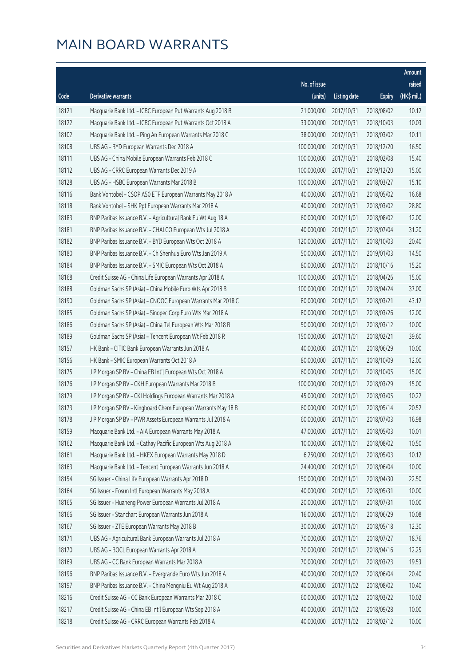|       |                                                              |              |                       |               | Amount      |
|-------|--------------------------------------------------------------|--------------|-----------------------|---------------|-------------|
|       |                                                              | No. of issue |                       |               | raised      |
| Code  | <b>Derivative warrants</b>                                   | (units)      | <b>Listing date</b>   | <b>Expiry</b> | (HK\$ mil.) |
| 18121 | Macquarie Bank Ltd. - ICBC European Put Warrants Aug 2018 B  | 21,000,000   | 2017/10/31            | 2018/08/02    | 10.12       |
| 18122 | Macquarie Bank Ltd. - ICBC European Put Warrants Oct 2018 A  | 33,000,000   | 2017/10/31            | 2018/10/03    | 10.03       |
| 18102 | Macquarie Bank Ltd. - Ping An European Warrants Mar 2018 C   | 38,000,000   | 2017/10/31            | 2018/03/02    | 10.11       |
| 18108 | UBS AG - BYD European Warrants Dec 2018 A                    | 100,000,000  | 2017/10/31            | 2018/12/20    | 16.50       |
| 18111 | UBS AG - China Mobile European Warrants Feb 2018 C           | 100,000,000  | 2017/10/31            | 2018/02/08    | 15.40       |
| 18112 | UBS AG - CRRC European Warrants Dec 2019 A                   | 100,000,000  | 2017/10/31            | 2019/12/20    | 15.00       |
| 18128 | UBS AG - HSBC European Warrants Mar 2018 B                   | 100,000,000  | 2017/10/31            | 2018/03/27    | 15.10       |
| 18116 | Bank Vontobel - CSOP A50 ETF European Warrants May 2018 A    | 40,000,000   | 2017/10/31            | 2018/05/02    | 16.68       |
| 18118 | Bank Vontobel - SHK Ppt European Warrants Mar 2018 A         | 40,000,000   | 2017/10/31            | 2018/03/02    | 28.80       |
| 18183 | BNP Paribas Issuance B.V. - Agricultural Bank Eu Wt Aug 18 A | 60,000,000   | 2017/11/01            | 2018/08/02    | 12.00       |
| 18181 | BNP Paribas Issuance B.V. - CHALCO European Wts Jul 2018 A   | 40,000,000   | 2017/11/01            | 2018/07/04    | 31.20       |
| 18182 | BNP Paribas Issuance B.V. - BYD European Wts Oct 2018 A      | 120,000,000  | 2017/11/01            | 2018/10/03    | 20.40       |
| 18180 | BNP Paribas Issuance B.V. - Ch Shenhua Euro Wts Jan 2019 A   | 50,000,000   | 2017/11/01            | 2019/01/03    | 14.50       |
| 18184 | BNP Paribas Issuance B.V. - SMIC European Wts Oct 2018 A     | 80,000,000   | 2017/11/01            | 2018/10/16    | 15.20       |
| 18168 | Credit Suisse AG - China Life European Warrants Apr 2018 A   | 100,000,000  | 2017/11/01            | 2018/04/26    | 15.00       |
| 18188 | Goldman Sachs SP (Asia) - China Mobile Euro Wts Apr 2018 B   | 100,000,000  | 2017/11/01            | 2018/04/24    | 37.00       |
| 18190 | Goldman Sachs SP (Asia) - CNOOC European Warrants Mar 2018 C | 80,000,000   | 2017/11/01            | 2018/03/21    | 43.12       |
| 18185 | Goldman Sachs SP (Asia) - Sinopec Corp Euro Wts Mar 2018 A   | 80,000,000   | 2017/11/01            | 2018/03/26    | 12.00       |
| 18186 | Goldman Sachs SP (Asia) - China Tel European Wts Mar 2018 B  | 50,000,000   | 2017/11/01            | 2018/03/12    | 10.00       |
| 18189 | Goldman Sachs SP (Asia) - Tencent European Wt Feb 2018 R     | 150,000,000  | 2017/11/01            | 2018/02/21    | 39.60       |
| 18157 | HK Bank - CITIC Bank European Warrants Jun 2018 A            | 40,000,000   | 2017/11/01            | 2018/06/29    | 10.00       |
| 18156 | HK Bank - SMIC European Warrants Oct 2018 A                  | 80,000,000   | 2017/11/01            | 2018/10/09    | 12.00       |
| 18175 | J P Morgan SP BV - China EB Int'l European Wts Oct 2018 A    | 60,000,000   | 2017/11/01            | 2018/10/05    | 15.00       |
| 18176 | J P Morgan SP BV - CKH European Warrants Mar 2018 B          | 100,000,000  | 2017/11/01            | 2018/03/29    | 15.00       |
| 18179 | J P Morgan SP BV - CKI Holdings European Warrants Mar 2018 A | 45,000,000   | 2017/11/01            | 2018/03/05    | 10.22       |
| 18173 | J P Morgan SP BV - Kingboard Chem European Warrants May 18 B | 60,000,000   | 2017/11/01            | 2018/05/14    | 20.52       |
| 18178 | J P Morgan SP BV - PWR Assets European Warrants Jul 2018 A   |              | 60,000,000 2017/11/01 | 2018/07/03    | 16.98       |
| 18159 | Macquarie Bank Ltd. - AIA European Warrants May 2018 A       | 47,000,000   | 2017/11/01            | 2018/05/03    | 10.01       |
| 18162 | Macquarie Bank Ltd. - Cathay Pacific European Wts Aug 2018 A | 10,000,000   | 2017/11/01            | 2018/08/02    | 10.50       |
| 18161 | Macquarie Bank Ltd. - HKEX European Warrants May 2018 D      | 6,250,000    | 2017/11/01            | 2018/05/03    | 10.12       |
| 18163 | Macquarie Bank Ltd. - Tencent European Warrants Jun 2018 A   | 24,400,000   | 2017/11/01            | 2018/06/04    | 10.00       |
| 18154 | SG Issuer - China Life European Warrants Apr 2018 D          | 150,000,000  | 2017/11/01            | 2018/04/30    | 22.50       |
| 18164 | SG Issuer - Fosun Intl European Warrants May 2018 A          | 40,000,000   | 2017/11/01            | 2018/05/31    | 10.00       |
| 18165 | SG Issuer - Huaneng Power European Warrants Jul 2018 A       | 20,000,000   | 2017/11/01            | 2018/07/31    | 10.00       |
| 18166 | SG Issuer - Stanchart European Warrants Jun 2018 A           | 16,000,000   | 2017/11/01            | 2018/06/29    | 10.08       |
| 18167 | SG Issuer - ZTE European Warrants May 2018 B                 | 30,000,000   | 2017/11/01            | 2018/05/18    | 12.30       |
| 18171 | UBS AG - Agricultural Bank European Warrants Jul 2018 A      | 70,000,000   | 2017/11/01            | 2018/07/27    | 18.76       |
| 18170 | UBS AG - BOCL European Warrants Apr 2018 A                   | 70,000,000   | 2017/11/01            | 2018/04/16    | 12.25       |
| 18169 | UBS AG - CC Bank European Warrants Mar 2018 A                | 70,000,000   | 2017/11/01            | 2018/03/23    | 19.53       |
| 18196 | BNP Paribas Issuance B.V. - Evergrande Euro Wts Jun 2018 A   | 40,000,000   | 2017/11/02            | 2018/06/04    | 20.40       |
| 18197 | BNP Paribas Issuance B.V. - China Mengniu Eu Wt Aug 2018 A   | 40,000,000   | 2017/11/02            | 2018/08/02    | 10.40       |
| 18216 | Credit Suisse AG - CC Bank European Warrants Mar 2018 C      | 60,000,000   | 2017/11/02            | 2018/03/22    | 10.02       |
| 18217 | Credit Suisse AG - China EB Int'l European Wts Sep 2018 A    | 40,000,000   | 2017/11/02            | 2018/09/28    | 10.00       |
| 18218 | Credit Suisse AG - CRRC European Warrants Feb 2018 A         | 40,000,000   | 2017/11/02            | 2018/02/12    | 10.00       |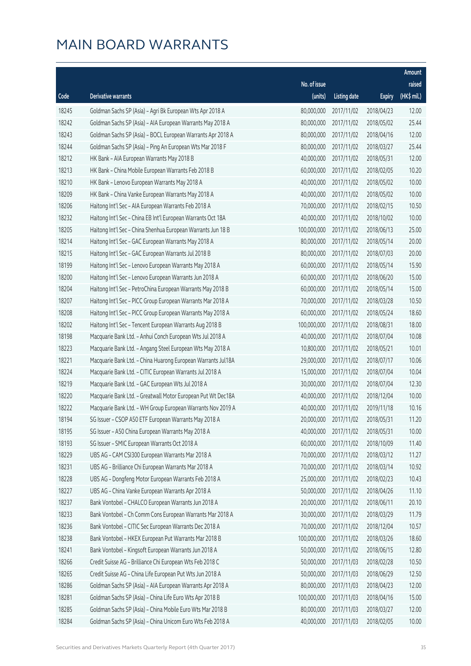|       |                                                              |              |                       |               | Amount      |
|-------|--------------------------------------------------------------|--------------|-----------------------|---------------|-------------|
|       |                                                              | No. of issue |                       |               | raised      |
| Code  | Derivative warrants                                          | (units)      | <b>Listing date</b>   | <b>Expiry</b> | (HK\$ mil.) |
| 18245 | Goldman Sachs SP (Asia) - Agri Bk European Wts Apr 2018 A    | 80,000,000   | 2017/11/02            | 2018/04/23    | 12.00       |
| 18242 | Goldman Sachs SP (Asia) - AIA European Warrants May 2018 A   | 80,000,000   | 2017/11/02            | 2018/05/02    | 25.44       |
| 18243 | Goldman Sachs SP (Asia) - BOCL European Warrants Apr 2018 A  | 80,000,000   | 2017/11/02            | 2018/04/16    | 12.00       |
| 18244 | Goldman Sachs SP (Asia) - Ping An European Wts Mar 2018 F    | 80,000,000   | 2017/11/02            | 2018/03/27    | 25.44       |
| 18212 | HK Bank - AIA European Warrants May 2018 B                   | 40,000,000   | 2017/11/02            | 2018/05/31    | 12.00       |
| 18213 | HK Bank - China Mobile European Warrants Feb 2018 B          | 60,000,000   | 2017/11/02            | 2018/02/05    | 10.20       |
| 18210 | HK Bank - Lenovo European Warrants May 2018 A                | 40,000,000   | 2017/11/02            | 2018/05/02    | 10.00       |
| 18209 | HK Bank - China Vanke European Warrants May 2018 A           | 40,000,000   | 2017/11/02            | 2018/05/02    | 10.00       |
| 18206 | Haitong Int'l Sec - AIA European Warrants Feb 2018 A         | 70,000,000   | 2017/11/02            | 2018/02/15    | 10.50       |
| 18232 | Haitong Int'l Sec - China EB Int'l European Warrants Oct 18A | 40,000,000   | 2017/11/02            | 2018/10/02    | 10.00       |
| 18205 | Haitong Int'l Sec - China Shenhua European Warrants Jun 18 B | 100,000,000  | 2017/11/02            | 2018/06/13    | 25.00       |
| 18214 | Haitong Int'l Sec - GAC European Warrants May 2018 A         | 80,000,000   | 2017/11/02            | 2018/05/14    | 20.00       |
| 18215 | Haitong Int'l Sec - GAC European Warrants Jul 2018 B         | 80,000,000   | 2017/11/02            | 2018/07/03    | 20.00       |
| 18199 | Haitong Int'l Sec - Lenovo European Warrants May 2018 A      | 60,000,000   | 2017/11/02            | 2018/05/14    | 15.90       |
| 18200 | Haitong Int'l Sec - Lenovo European Warrants Jun 2018 A      | 60,000,000   | 2017/11/02            | 2018/06/20    | 15.00       |
| 18204 | Haitong Int'l Sec - PetroChina European Warrants May 2018 B  | 60,000,000   | 2017/11/02            | 2018/05/14    | 15.00       |
| 18207 | Haitong Int'l Sec - PICC Group European Warrants Mar 2018 A  | 70,000,000   | 2017/11/02            | 2018/03/28    | 10.50       |
| 18208 | Haitong Int'l Sec - PICC Group European Warrants May 2018 A  | 60,000,000   | 2017/11/02            | 2018/05/24    | 18.60       |
| 18202 | Haitong Int'l Sec - Tencent European Warrants Aug 2018 B     | 100,000,000  | 2017/11/02            | 2018/08/31    | 18.00       |
| 18198 | Macquarie Bank Ltd. - Anhui Conch European Wts Jul 2018 A    | 40,000,000   | 2017/11/02            | 2018/07/04    | 10.08       |
| 18223 | Macquarie Bank Ltd. - Angang Steel European Wts May 2018 A   | 10,800,000   | 2017/11/02            | 2018/05/21    | 10.01       |
| 18221 | Macquarie Bank Ltd. - China Huarong European Warrants Jul18A | 29,000,000   | 2017/11/02            | 2018/07/17    | 10.06       |
| 18224 | Macquarie Bank Ltd. - CITIC European Warrants Jul 2018 A     | 15,000,000   | 2017/11/02            | 2018/07/04    | 10.04       |
| 18219 | Macquarie Bank Ltd. - GAC European Wts Jul 2018 A            | 30,000,000   | 2017/11/02            | 2018/07/04    | 12.30       |
| 18220 | Macquarie Bank Ltd. - Greatwall Motor European Put Wt Dec18A | 40,000,000   | 2017/11/02            | 2018/12/04    | 10.00       |
| 18222 | Macquarie Bank Ltd. - WH Group European Warrants Nov 2019 A  | 40,000,000   | 2017/11/02            | 2019/11/18    | 10.16       |
| 18194 | SG Issuer - CSOP A50 ETF European Warrants May 2018 A        |              | 20,000,000 2017/11/02 | 2018/05/31    | 11.20       |
| 18195 | SG Issuer - A50 China European Warrants May 2018 A           | 40,000,000   | 2017/11/02            | 2018/05/31    | 10.00       |
| 18193 | SG Issuer - SMIC European Warrants Oct 2018 A                | 60,000,000   | 2017/11/02            | 2018/10/09    | 11.40       |
| 18229 | UBS AG - CAM CSI300 European Warrants Mar 2018 A             | 70,000,000   | 2017/11/02            | 2018/03/12    | 11.27       |
| 18231 | UBS AG - Brilliance Chi European Warrants Mar 2018 A         | 70,000,000   | 2017/11/02            | 2018/03/14    | 10.92       |
| 18228 | UBS AG - Dongfeng Motor European Warrants Feb 2018 A         | 25,000,000   | 2017/11/02            | 2018/02/23    | 10.43       |
| 18227 | UBS AG - China Vanke European Warrants Apr 2018 A            | 50,000,000   | 2017/11/02            | 2018/04/26    | 11.10       |
| 18237 | Bank Vontobel - CHALCO European Warrants Jun 2018 A          | 20,000,000   | 2017/11/02            | 2018/06/11    | 20.10       |
| 18233 | Bank Vontobel - Ch Comm Cons European Warrants Mar 2018 A    | 30,000,000   | 2017/11/02            | 2018/03/29    | 11.79       |
| 18236 | Bank Vontobel - CITIC Sec European Warrants Dec 2018 A       | 70,000,000   | 2017/11/02            | 2018/12/04    | 10.57       |
| 18238 | Bank Vontobel - HKEX European Put Warrants Mar 2018 B        | 100,000,000  | 2017/11/02            | 2018/03/26    | 18.60       |
| 18241 | Bank Vontobel - Kingsoft European Warrants Jun 2018 A        | 50,000,000   | 2017/11/02            | 2018/06/15    | 12.80       |
| 18266 | Credit Suisse AG - Brilliance Chi European Wts Feb 2018 C    | 50,000,000   | 2017/11/03            | 2018/02/28    | 10.50       |
| 18265 | Credit Suisse AG - China Life European Put Wts Jun 2018 A    | 50,000,000   | 2017/11/03            | 2018/06/29    | 12.50       |
| 18286 | Goldman Sachs SP (Asia) - AIA European Warrants Apr 2018 A   | 80,000,000   | 2017/11/03            | 2018/04/23    | 12.00       |
| 18281 | Goldman Sachs SP (Asia) - China Life Euro Wts Apr 2018 B     | 100,000,000  | 2017/11/03            | 2018/04/16    | 15.00       |
| 18285 | Goldman Sachs SP (Asia) - China Mobile Euro Wts Mar 2018 B   | 80,000,000   | 2017/11/03            | 2018/03/27    | 12.00       |
| 18284 | Goldman Sachs SP (Asia) - China Unicom Euro Wts Feb 2018 A   | 40,000,000   | 2017/11/03            | 2018/02/05    | 10.00       |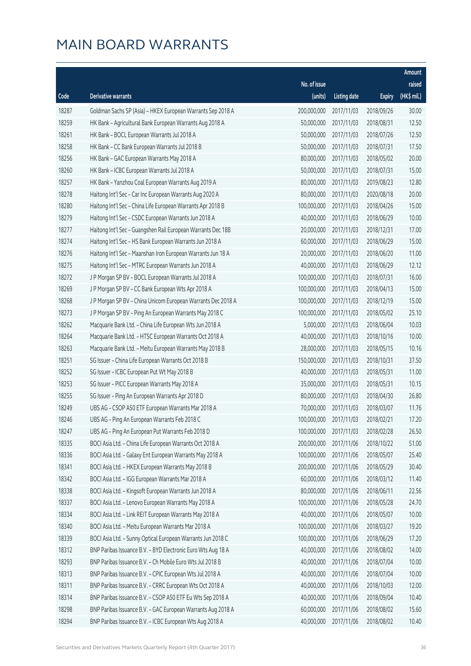|       |                                                              |                        |                     |               | <b>Amount</b> |
|-------|--------------------------------------------------------------|------------------------|---------------------|---------------|---------------|
|       |                                                              | No. of issue           |                     |               | raised        |
| Code  | Derivative warrants                                          | (units)                | <b>Listing date</b> | <b>Expiry</b> | (HK\$ mil.)   |
| 18287 | Goldman Sachs SP (Asia) - HKEX European Warrants Sep 2018 A  | 200,000,000            | 2017/11/03          | 2018/09/26    | 30.00         |
| 18259 | HK Bank - Agricultural Bank European Warrants Aug 2018 A     | 50,000,000             | 2017/11/03          | 2018/08/31    | 12.50         |
| 18261 | HK Bank - BOCL European Warrants Jul 2018 A                  | 50,000,000             | 2017/11/03          | 2018/07/26    | 12.50         |
| 18258 | HK Bank - CC Bank European Warrants Jul 2018 B               | 50,000,000             | 2017/11/03          | 2018/07/31    | 17.50         |
| 18256 | HK Bank - GAC European Warrants May 2018 A                   | 80,000,000             | 2017/11/03          | 2018/05/02    | 20.00         |
| 18260 | HK Bank - ICBC European Warrants Jul 2018 A                  | 50,000,000             | 2017/11/03          | 2018/07/31    | 15.00         |
| 18257 | HK Bank - Yanzhou Coal European Warrants Aug 2019 A          | 80,000,000             | 2017/11/03          | 2019/08/23    | 12.80         |
| 18278 | Haitong Int'l Sec - Car Inc European Warrants Aug 2020 A     | 80,000,000             | 2017/11/03          | 2020/08/18    | 20.00         |
| 18280 | Haitong Int'l Sec - China Life European Warrants Apr 2018 B  | 100,000,000            | 2017/11/03          | 2018/04/26    | 15.00         |
| 18279 | Haitong Int'l Sec - CSDC European Warrants Jun 2018 A        | 40,000,000             | 2017/11/03          | 2018/06/29    | 10.00         |
| 18277 | Haitong Int'l Sec - Guangshen Rail European Warrants Dec 18B | 20,000,000             | 2017/11/03          | 2018/12/31    | 17.00         |
| 18274 | Haitong Int'l Sec - HS Bank European Warrants Jun 2018 A     | 60,000,000             | 2017/11/03          | 2018/06/29    | 15.00         |
| 18276 | Haitong Int'l Sec - Maanshan Iron European Warrants Jun 18 A | 20,000,000             | 2017/11/03          | 2018/06/20    | 11.00         |
| 18275 | Haitong Int'l Sec - MTRC European Warrants Jun 2018 A        | 40,000,000             | 2017/11/03          | 2018/06/29    | 12.12         |
| 18272 | J P Morgan SP BV - BOCL European Warrants Jul 2018 A         | 100,000,000            | 2017/11/03          | 2018/07/31    | 16.00         |
| 18269 | J P Morgan SP BV - CC Bank European Wts Apr 2018 A           | 100,000,000            | 2017/11/03          | 2018/04/13    | 15.00         |
| 18268 | J P Morgan SP BV - China Unicom European Warrants Dec 2018 A | 100,000,000            | 2017/11/03          | 2018/12/19    | 15.00         |
| 18273 | J P Morgan SP BV - Ping An European Warrants May 2018 C      | 100,000,000            | 2017/11/03          | 2018/05/02    | 25.10         |
| 18262 | Macquarie Bank Ltd. - China Life European Wts Jun 2018 A     | 5,000,000              | 2017/11/03          | 2018/06/04    | 10.03         |
| 18264 | Macquarie Bank Ltd. - HTSC European Warrants Oct 2018 A      | 40,000,000             | 2017/11/03          | 2018/10/16    | 10.00         |
| 18263 | Macquarie Bank Ltd. - Meitu European Warrants May 2018 B     | 28,000,000             | 2017/11/03          | 2018/05/15    | 10.16         |
| 18251 | SG Issuer - China Life European Warrants Oct 2018 B          | 150,000,000            | 2017/11/03          | 2018/10/31    | 37.50         |
| 18252 | SG Issuer - ICBC European Put Wt May 2018 B                  | 40,000,000             | 2017/11/03          | 2018/05/31    | 11.00         |
| 18253 | SG Issuer - PICC European Warrants May 2018 A                | 35,000,000             | 2017/11/03          | 2018/05/31    | 10.15         |
| 18255 | SG Issuer - Ping An European Warrants Apr 2018 D             | 80,000,000             | 2017/11/03          | 2018/04/30    | 26.80         |
| 18249 | UBS AG - CSOP A50 ETF European Warrants Mar 2018 A           | 70,000,000             | 2017/11/03          | 2018/03/07    | 11.76         |
| 18246 | UBS AG - Ping An European Warrants Feb 2018 C                | 100,000,000 2017/11/03 |                     | 2018/02/21    | 17.20         |
| 18247 | UBS AG - Ping An European Put Warrants Feb 2018 D            | 100,000,000            | 2017/11/03          | 2018/02/28    | 26.50         |
| 18335 | BOCI Asia Ltd. - China Life European Warrants Oct 2018 A     | 200,000,000            | 2017/11/06          | 2018/10/22    | 51.00         |
| 18336 | BOCI Asia Ltd. - Galaxy Ent European Warrants May 2018 A     | 100,000,000            | 2017/11/06          | 2018/05/07    | 25.40         |
| 18341 | BOCI Asia Ltd. - HKEX European Warrants May 2018 B           | 200,000,000            | 2017/11/06          | 2018/05/29    | 30.40         |
| 18342 | BOCI Asia Ltd. - IGG European Warrants Mar 2018 A            | 60,000,000             | 2017/11/06          | 2018/03/12    | 11.40         |
| 18338 | BOCI Asia Ltd. - Kingsoft European Warrants Jun 2018 A       | 80,000,000             | 2017/11/06          | 2018/06/11    | 22.56         |
| 18337 | BOCI Asia Ltd. - Lenovo European Warrants May 2018 A         | 100,000,000            | 2017/11/06          | 2018/05/28    | 24.70         |
| 18334 | BOCI Asia Ltd. - Link REIT European Warrants May 2018 A      | 40,000,000             | 2017/11/06          | 2018/05/07    | 10.00         |
| 18340 | BOCI Asia Ltd. - Meitu European Warrants Mar 2018 A          | 100,000,000            | 2017/11/06          | 2018/03/27    | 19.20         |
| 18339 | BOCI Asia Ltd. - Sunny Optical European Warrants Jun 2018 C  | 100,000,000            | 2017/11/06          | 2018/06/29    | 17.20         |
| 18312 | BNP Paribas Issuance B.V. - BYD Electronic Euro Wts Aug 18 A | 40,000,000             | 2017/11/06          | 2018/08/02    | 14.00         |
| 18293 | BNP Paribas Issuance B.V. - Ch Mobile Euro Wts Jul 2018 B    | 40,000,000             | 2017/11/06          | 2018/07/04    | 10.00         |
| 18313 | BNP Paribas Issuance B.V. - CPIC European Wts Jul 2018 A     | 40,000,000             | 2017/11/06          | 2018/07/04    | 10.00         |
| 18311 | BNP Paribas Issuance B.V. - CRRC European Wts Oct 2018 A     | 40,000,000             | 2017/11/06          | 2018/10/03    | 12.00         |
| 18314 | BNP Paribas Issuance B.V. - CSOP A50 ETF Eu Wts Sep 2018 A   | 40,000,000             | 2017/11/06          | 2018/09/04    | 10.40         |
| 18298 | BNP Paribas Issuance B.V. - GAC European Warrants Aug 2018 A | 60,000,000             | 2017/11/06          | 2018/08/02    | 15.60         |
| 18294 | BNP Paribas Issuance B.V. - ICBC European Wts Aug 2018 A     | 40,000,000             | 2017/11/06          | 2018/08/02    | 10.40         |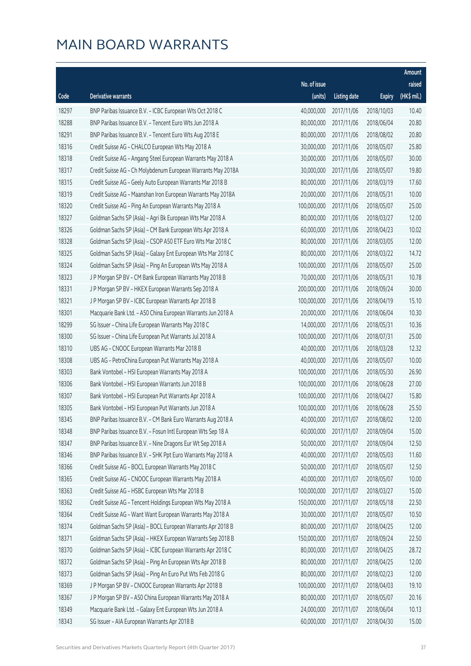|       |                                                              |              |                       |               | Amount      |
|-------|--------------------------------------------------------------|--------------|-----------------------|---------------|-------------|
|       |                                                              | No. of issue |                       |               | raised      |
| Code  | <b>Derivative warrants</b>                                   | (units)      | <b>Listing date</b>   | <b>Expiry</b> | (HK\$ mil.) |
| 18297 | BNP Paribas Issuance B.V. - ICBC European Wts Oct 2018 C     | 40,000,000   | 2017/11/06            | 2018/10/03    | 10.40       |
| 18288 | BNP Paribas Issuance B.V. - Tencent Euro Wts Jun 2018 A      | 80,000,000   | 2017/11/06            | 2018/06/04    | 20.80       |
| 18291 | BNP Paribas Issuance B.V. - Tencent Euro Wts Aug 2018 E      | 80,000,000   | 2017/11/06            | 2018/08/02    | 20.80       |
| 18316 | Credit Suisse AG - CHALCO European Wts May 2018 A            | 30,000,000   | 2017/11/06            | 2018/05/07    | 25.80       |
| 18318 | Credit Suisse AG - Angang Steel European Warrants May 2018 A | 30,000,000   | 2017/11/06            | 2018/05/07    | 30.00       |
| 18317 | Credit Suisse AG - Ch Molybdenum European Warrants May 2018A | 30,000,000   | 2017/11/06            | 2018/05/07    | 19.80       |
| 18315 | Credit Suisse AG - Geely Auto European Warrants Mar 2018 B   | 80,000,000   | 2017/11/06            | 2018/03/19    | 17.60       |
| 18319 | Credit Suisse AG - Maanshan Iron European Warrants May 2018A | 20,000,000   | 2017/11/06            | 2018/05/31    | 10.00       |
| 18320 | Credit Suisse AG - Ping An European Warrants May 2018 A      | 100,000,000  | 2017/11/06            | 2018/05/07    | 25.00       |
| 18327 | Goldman Sachs SP (Asia) - Agri Bk European Wts Mar 2018 A    | 80,000,000   | 2017/11/06            | 2018/03/27    | 12.00       |
| 18326 | Goldman Sachs SP (Asia) - CM Bank European Wts Apr 2018 A    | 60,000,000   | 2017/11/06            | 2018/04/23    | 10.02       |
| 18328 | Goldman Sachs SP (Asia) - CSOP A50 ETF Euro Wts Mar 2018 C   | 80,000,000   | 2017/11/06            | 2018/03/05    | 12.00       |
| 18325 | Goldman Sachs SP (Asia) - Galaxy Ent European Wts Mar 2018 C | 80,000,000   | 2017/11/06            | 2018/03/22    | 14.72       |
| 18324 | Goldman Sachs SP (Asia) - Ping An European Wts May 2018 A    | 100,000,000  | 2017/11/06            | 2018/05/07    | 25.00       |
| 18323 | J P Morgan SP BV - CM Bank European Warrants May 2018 B      | 70,000,000   | 2017/11/06            | 2018/05/31    | 10.78       |
| 18331 | J P Morgan SP BV - HKEX European Warrants Sep 2018 A         | 200,000,000  | 2017/11/06            | 2018/09/24    | 30.00       |
| 18321 | J P Morgan SP BV - ICBC European Warrants Apr 2018 B         | 100,000,000  | 2017/11/06            | 2018/04/19    | 15.10       |
| 18301 | Macquarie Bank Ltd. - A50 China European Warrants Jun 2018 A | 20,000,000   | 2017/11/06            | 2018/06/04    | 10.30       |
| 18299 | SG Issuer - China Life European Warrants May 2018 C          | 14,000,000   | 2017/11/06            | 2018/05/31    | 10.36       |
| 18300 | SG Issuer - China Life European Put Warrants Jul 2018 A      | 100,000,000  | 2017/11/06            | 2018/07/31    | 25.00       |
| 18310 | UBS AG - CNOOC European Warrants Mar 2018 B                  | 40,000,000   | 2017/11/06            | 2018/03/28    | 12.32       |
| 18308 | UBS AG - PetroChina European Put Warrants May 2018 A         | 40,000,000   | 2017/11/06            | 2018/05/07    | 10.00       |
| 18303 | Bank Vontobel - HSI European Warrants May 2018 A             | 100,000,000  | 2017/11/06            | 2018/05/30    | 26.90       |
| 18306 | Bank Vontobel - HSI European Warrants Jun 2018 B             | 100,000,000  | 2017/11/06            | 2018/06/28    | 27.00       |
| 18307 | Bank Vontobel - HSI European Put Warrants Apr 2018 A         | 100,000,000  | 2017/11/06            | 2018/04/27    | 15.80       |
| 18305 | Bank Vontobel - HSI European Put Warrants Jun 2018 A         | 100,000,000  | 2017/11/06            | 2018/06/28    | 25.50       |
| 18345 | BNP Paribas Issuance B.V. - CM Bank Euro Warrants Aug 2018 A |              | 40,000,000 2017/11/07 | 2018/08/02    | 12.00       |
| 18348 | BNP Paribas Issuance B.V. - Fosun Intl European Wts Sep 18 A | 60,000,000   | 2017/11/07            | 2018/09/04    | 15.00       |
| 18347 | BNP Paribas Issuance B.V. - Nine Dragons Eur Wt Sep 2018 A   | 50,000,000   | 2017/11/07            | 2018/09/04    | 12.50       |
| 18346 | BNP Paribas Issuance B.V. - SHK Ppt Euro Warrants May 2018 A | 40,000,000   | 2017/11/07            | 2018/05/03    | 11.60       |
| 18366 | Credit Suisse AG - BOCL European Warrants May 2018 C         | 50,000,000   | 2017/11/07            | 2018/05/07    | 12.50       |
| 18365 | Credit Suisse AG - CNOOC European Warrants May 2018 A        | 40,000,000   | 2017/11/07            | 2018/05/07    | 10.00       |
| 18363 | Credit Suisse AG - HSBC European Wts Mar 2018 B              | 100,000,000  | 2017/11/07            | 2018/03/27    | 15.00       |
| 18362 | Credit Suisse AG - Tencent Holdings European Wts May 2018 A  | 150,000,000  | 2017/11/07            | 2018/05/18    | 22.50       |
| 18364 | Credit Suisse AG - Want Want European Warrants May 2018 A    | 30,000,000   | 2017/11/07            | 2018/05/07    | 10.50       |
| 18374 | Goldman Sachs SP (Asia) - BOCL European Warrants Apr 2018 B  | 80,000,000   | 2017/11/07            | 2018/04/25    | 12.00       |
| 18371 | Goldman Sachs SP (Asia) - HKEX European Warrants Sep 2018 B  | 150,000,000  | 2017/11/07            | 2018/09/24    | 22.50       |
| 18370 | Goldman Sachs SP (Asia) - ICBC European Warrants Apr 2018 C  | 80,000,000   | 2017/11/07            | 2018/04/25    | 28.72       |
| 18372 | Goldman Sachs SP (Asia) - Ping An European Wts Apr 2018 B    | 80,000,000   | 2017/11/07            | 2018/04/25    | 12.00       |
| 18373 | Goldman Sachs SP (Asia) - Ping An Euro Put Wts Feb 2018 G    | 80,000,000   | 2017/11/07            | 2018/02/23    | 12.00       |
| 18369 | J P Morgan SP BV - CNOOC European Warrants Apr 2018 B        | 100,000,000  | 2017/11/07            | 2018/04/03    | 19.10       |
| 18367 | J P Morgan SP BV - A50 China European Warrants May 2018 A    | 80,000,000   | 2017/11/07            | 2018/05/07    | 20.16       |
| 18349 | Macquarie Bank Ltd. - Galaxy Ent European Wts Jun 2018 A     | 24,000,000   | 2017/11/07            | 2018/06/04    | 10.13       |
| 18343 | SG Issuer - AIA European Warrants Apr 2018 B                 | 60,000,000   | 2017/11/07            | 2018/04/30    | 15.00       |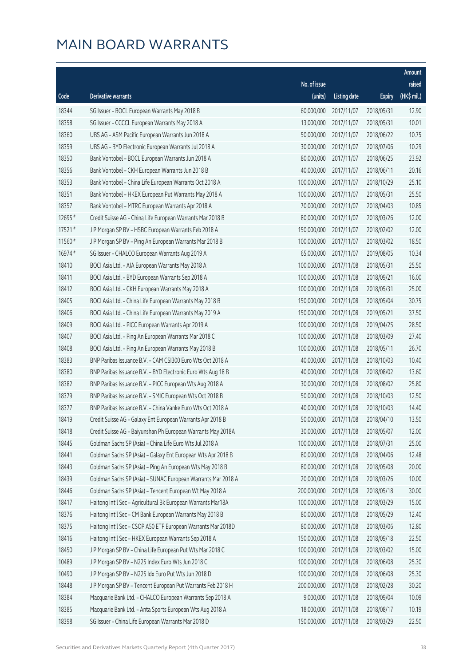|         |                                                              |              |                       |               | Amount      |
|---------|--------------------------------------------------------------|--------------|-----------------------|---------------|-------------|
|         |                                                              | No. of issue |                       |               | raised      |
| Code    | Derivative warrants                                          | (units)      | <b>Listing date</b>   | <b>Expiry</b> | (HK\$ mil.) |
| 18344   | SG Issuer - BOCL European Warrants May 2018 B                | 60,000,000   | 2017/11/07            | 2018/05/31    | 12.90       |
| 18358   | SG Issuer - CCCCL European Warrants May 2018 A               | 13,000,000   | 2017/11/07            | 2018/05/31    | 10.01       |
| 18360   | UBS AG - ASM Pacific European Warrants Jun 2018 A            | 50,000,000   | 2017/11/07            | 2018/06/22    | 10.75       |
| 18359   | UBS AG - BYD Electronic European Warrants Jul 2018 A         | 30,000,000   | 2017/11/07            | 2018/07/06    | 10.29       |
| 18350   | Bank Vontobel - BOCL European Warrants Jun 2018 A            | 80,000,000   | 2017/11/07            | 2018/06/25    | 23.92       |
| 18356   | Bank Vontobel - CKH European Warrants Jun 2018 B             | 40,000,000   | 2017/11/07            | 2018/06/11    | 20.16       |
| 18353   | Bank Vontobel - China Life European Warrants Oct 2018 A      | 100,000,000  | 2017/11/07            | 2018/10/29    | 25.10       |
| 18351   | Bank Vontobel - HKEX European Put Warrants May 2018 A        | 100,000,000  | 2017/11/07            | 2018/05/31    | 25.50       |
| 18357   | Bank Vontobel - MTRC European Warrants Apr 2018 A            | 70,000,000   | 2017/11/07            | 2018/04/03    | 10.85       |
| 12695 # | Credit Suisse AG - China Life European Warrants Mar 2018 B   | 80,000,000   | 2017/11/07            | 2018/03/26    | 12.00       |
| 17521#  | J P Morgan SP BV - HSBC European Warrants Feb 2018 A         | 150,000,000  | 2017/11/07            | 2018/02/02    | 12.00       |
| 11560 # | J P Morgan SP BV - Ping An European Warrants Mar 2018 B      | 100,000,000  | 2017/11/07            | 2018/03/02    | 18.50       |
| 16974 # | SG Issuer - CHALCO European Warrants Aug 2019 A              | 65,000,000   | 2017/11/07            | 2019/08/05    | 10.34       |
| 18410   | BOCI Asia Ltd. - AIA European Warrants May 2018 A            | 100,000,000  | 2017/11/08            | 2018/05/31    | 25.50       |
| 18411   | BOCI Asia Ltd. - BYD European Warrants Sep 2018 A            | 100,000,000  | 2017/11/08            | 2018/09/21    | 16.00       |
| 18412   | BOCI Asia Ltd. - CKH European Warrants May 2018 A            | 100,000,000  | 2017/11/08            | 2018/05/31    | 25.00       |
| 18405   | BOCI Asia Ltd. - China Life European Warrants May 2018 B     | 150,000,000  | 2017/11/08            | 2018/05/04    | 30.75       |
| 18406   | BOCI Asia Ltd. - China Life European Warrants May 2019 A     | 150,000,000  | 2017/11/08            | 2019/05/21    | 37.50       |
| 18409   | BOCI Asia Ltd. - PICC European Warrants Apr 2019 A           | 100,000,000  | 2017/11/08            | 2019/04/25    | 28.50       |
| 18407   | BOCI Asia Ltd. - Ping An European Warrants Mar 2018 C        | 100,000,000  | 2017/11/08            | 2018/03/09    | 27.40       |
| 18408   | BOCI Asia Ltd. - Ping An European Warrants May 2018 B        | 100,000,000  | 2017/11/08            | 2018/05/11    | 26.70       |
| 18383   | BNP Paribas Issuance B.V. - CAM CSI300 Euro Wts Oct 2018 A   | 40,000,000   | 2017/11/08            | 2018/10/03    | 10.40       |
| 18380   | BNP Paribas Issuance B.V. - BYD Electronic Euro Wts Aug 18 B | 40,000,000   | 2017/11/08            | 2018/08/02    | 13.60       |
| 18382   | BNP Paribas Issuance B.V. - PICC European Wts Aug 2018 A     | 30,000,000   | 2017/11/08            | 2018/08/02    | 25.80       |
| 18379   | BNP Paribas Issuance B.V. - SMIC European Wts Oct 2018 B     | 50,000,000   | 2017/11/08            | 2018/10/03    | 12.50       |
| 18377   | BNP Paribas Issuance B.V. - China Vanke Euro Wts Oct 2018 A  | 40,000,000   | 2017/11/08            | 2018/10/03    | 14.40       |
| 18419   | Credit Suisse AG - Galaxy Ent European Warrants Apr 2018 B   |              | 50,000,000 2017/11/08 | 2018/04/10    | 13.50       |
| 18418   | Credit Suisse AG - Baiyunshan Ph European Warrants May 2018A | 30,000,000   | 2017/11/08            | 2018/05/07    | 12.00       |
| 18445   | Goldman Sachs SP (Asia) - China Life Euro Wts Jul 2018 A     | 100,000,000  | 2017/11/08            | 2018/07/31    | 25.00       |
| 18441   | Goldman Sachs SP (Asia) - Galaxy Ent European Wts Apr 2018 B | 80,000,000   | 2017/11/08            | 2018/04/06    | 12.48       |
| 18443   | Goldman Sachs SP (Asia) - Ping An European Wts May 2018 B    | 80,000,000   | 2017/11/08            | 2018/05/08    | 20.00       |
| 18439   | Goldman Sachs SP (Asia) - SUNAC European Warrants Mar 2018 A | 20,000,000   | 2017/11/08            | 2018/03/26    | 10.00       |
| 18446   | Goldman Sachs SP (Asia) - Tencent European Wt May 2018 A     | 200,000,000  | 2017/11/08            | 2018/05/18    | 30.00       |
| 18417   | Haitong Int'l Sec - Agricultural Bk European Warrants Mar18A | 100,000,000  | 2017/11/08            | 2018/03/29    | 15.00       |
| 18376   | Haitong Int'l Sec - CM Bank European Warrants May 2018 B     | 80,000,000   | 2017/11/08            | 2018/05/29    | 12.40       |
| 18375   | Haitong Int'l Sec - CSOP A50 ETF European Warrants Mar 2018D | 80,000,000   | 2017/11/08            | 2018/03/06    | 12.80       |
| 18416   | Haitong Int'l Sec - HKEX European Warrants Sep 2018 A        | 150,000,000  | 2017/11/08            | 2018/09/18    | 22.50       |
| 18450   | J P Morgan SP BV - China Life European Put Wts Mar 2018 C    | 100,000,000  | 2017/11/08            | 2018/03/02    | 15.00       |
| 10489   | J P Morgan SP BV - N225 Index Euro Wts Jun 2018 C            | 100,000,000  | 2017/11/08            | 2018/06/08    | 25.30       |
| 10490   | J P Morgan SP BV - N225 Idx Euro Put Wts Jun 2018 D          | 100,000,000  | 2017/11/08            | 2018/06/08    | 25.30       |
| 18448   | J P Morgan SP BV - Tencent European Put Warrants Feb 2018 H  | 200,000,000  | 2017/11/08            | 2018/02/28    | 30.20       |
| 18384   | Macquarie Bank Ltd. - CHALCO European Warrants Sep 2018 A    | 9,000,000    | 2017/11/08            | 2018/09/04    | 10.09       |
| 18385   | Macquarie Bank Ltd. - Anta Sports European Wts Aug 2018 A    | 18,000,000   | 2017/11/08            | 2018/08/17    | 10.19       |
| 18398   | SG Issuer - China Life European Warrants Mar 2018 D          | 150,000,000  | 2017/11/08            | 2018/03/29    | 22.50       |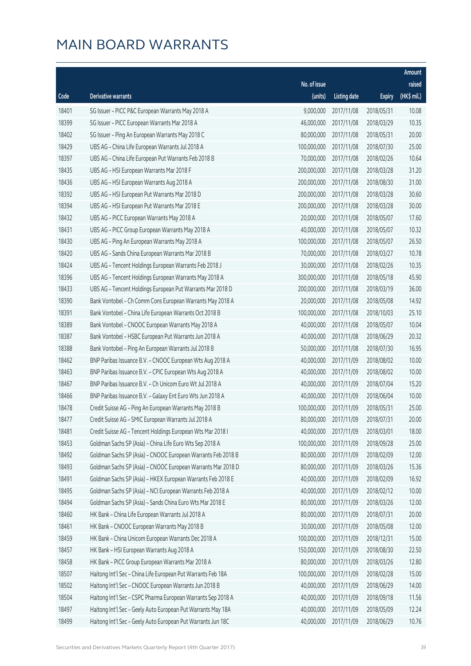|       |                                                              |              |                       |               | Amount      |
|-------|--------------------------------------------------------------|--------------|-----------------------|---------------|-------------|
|       |                                                              | No. of issue |                       |               | raised      |
| Code  | <b>Derivative warrants</b>                                   | (units)      | <b>Listing date</b>   | <b>Expiry</b> | (HK\$ mil.) |
| 18401 | SG Issuer - PICC P&C European Warrants May 2018 A            | 9,000,000    | 2017/11/08            | 2018/05/31    | 10.08       |
| 18399 | SG Issuer - PICC European Warrants Mar 2018 A                | 46,000,000   | 2017/11/08            | 2018/03/29    | 10.35       |
| 18402 | SG Issuer - Ping An European Warrants May 2018 C             | 80,000,000   | 2017/11/08            | 2018/05/31    | 20.00       |
| 18429 | UBS AG - China Life European Warrants Jul 2018 A             | 100,000,000  | 2017/11/08            | 2018/07/30    | 25.00       |
| 18397 | UBS AG - China Life European Put Warrants Feb 2018 B         | 70,000,000   | 2017/11/08            | 2018/02/26    | 10.64       |
| 18435 | UBS AG - HSI European Warrants Mar 2018 F                    | 200,000,000  | 2017/11/08            | 2018/03/28    | 31.20       |
| 18436 | UBS AG - HSI European Warrants Aug 2018 A                    | 200,000,000  | 2017/11/08            | 2018/08/30    | 31.00       |
| 18392 | UBS AG - HSI European Put Warrants Mar 2018 D                | 200,000,000  | 2017/11/08            | 2018/03/28    | 30.60       |
| 18394 | UBS AG - HSI European Put Warrants Mar 2018 E                | 200,000,000  | 2017/11/08            | 2018/03/28    | 30.00       |
| 18432 | UBS AG - PICC European Warrants May 2018 A                   | 20,000,000   | 2017/11/08            | 2018/05/07    | 17.60       |
| 18431 | UBS AG - PICC Group European Warrants May 2018 A             | 40,000,000   | 2017/11/08            | 2018/05/07    | 10.32       |
| 18430 | UBS AG - Ping An European Warrants May 2018 A                | 100,000,000  | 2017/11/08            | 2018/05/07    | 26.50       |
| 18420 | UBS AG - Sands China European Warrants Mar 2018 B            | 70,000,000   | 2017/11/08            | 2018/03/27    | 10.78       |
| 18424 | UBS AG - Tencent Holdings European Warrants Feb 2018 J       | 30,000,000   | 2017/11/08            | 2018/02/26    | 10.35       |
| 18396 | UBS AG - Tencent Holdings European Warrants May 2018 A       | 300,000,000  | 2017/11/08            | 2018/05/18    | 45.90       |
| 18433 | UBS AG - Tencent Holdings European Put Warrants Mar 2018 D   | 200,000,000  | 2017/11/08            | 2018/03/19    | 36.00       |
| 18390 | Bank Vontobel - Ch Comm Cons European Warrants May 2018 A    | 20,000,000   | 2017/11/08            | 2018/05/08    | 14.92       |
| 18391 | Bank Vontobel - China Life European Warrants Oct 2018 B      | 100,000,000  | 2017/11/08            | 2018/10/03    | 25.10       |
| 18389 | Bank Vontobel - CNOOC European Warrants May 2018 A           | 40,000,000   | 2017/11/08            | 2018/05/07    | 10.04       |
| 18387 | Bank Vontobel - HSBC European Put Warrants Jun 2018 A        | 40,000,000   | 2017/11/08            | 2018/06/29    | 20.32       |
| 18388 | Bank Vontobel - Ping An European Warrants Jul 2018 B         | 50,000,000   | 2017/11/08            | 2018/07/30    | 16.95       |
| 18462 | BNP Paribas Issuance B.V. - CNOOC European Wts Aug 2018 A    | 40,000,000   | 2017/11/09            | 2018/08/02    | 10.00       |
| 18463 | BNP Paribas Issuance B.V. - CPIC European Wts Aug 2018 A     | 40,000,000   | 2017/11/09            | 2018/08/02    | 10.00       |
| 18467 | BNP Paribas Issuance B.V. - Ch Unicom Euro Wt Jul 2018 A     | 40,000,000   | 2017/11/09            | 2018/07/04    | 15.20       |
| 18466 | BNP Paribas Issuance B.V. - Galaxy Ent Euro Wts Jun 2018 A   | 40,000,000   | 2017/11/09            | 2018/06/04    | 10.00       |
| 18478 | Credit Suisse AG - Ping An European Warrants May 2018 B      | 100,000,000  | 2017/11/09            | 2018/05/31    | 25.00       |
| 18477 | Credit Suisse AG - SMIC European Warrants Jul 2018 A         |              | 80,000,000 2017/11/09 | 2018/07/31    | 20.00       |
| 18481 | Credit Suisse AG - Tencent Holdings European Wts Mar 2018 I  | 40,000,000   | 2017/11/09            | 2018/03/01    | 18.00       |
| 18453 | Goldman Sachs SP (Asia) - China Life Euro Wts Sep 2018 A     | 100,000,000  | 2017/11/09            | 2018/09/28    | 25.00       |
| 18492 | Goldman Sachs SP (Asia) - CNOOC European Warrants Feb 2018 B | 80,000,000   | 2017/11/09            | 2018/02/09    | 12.00       |
| 18493 | Goldman Sachs SP (Asia) - CNOOC European Warrants Mar 2018 D | 80,000,000   | 2017/11/09            | 2018/03/26    | 15.36       |
| 18491 | Goldman Sachs SP (Asia) - HKEX European Warrants Feb 2018 E  | 40,000,000   | 2017/11/09            | 2018/02/09    | 16.92       |
| 18495 | Goldman Sachs SP (Asia) - NCI European Warrants Feb 2018 A   | 40,000,000   | 2017/11/09            | 2018/02/12    | 10.00       |
| 18494 | Goldman Sachs SP (Asia) - Sands China Euro Wts Mar 2018 E    | 80,000,000   | 2017/11/09            | 2018/03/26    | 12.00       |
| 18460 | HK Bank - China Life European Warrants Jul 2018 A            | 80,000,000   | 2017/11/09            | 2018/07/31    | 20.00       |
| 18461 | HK Bank - CNOOC European Warrants May 2018 B                 | 30,000,000   | 2017/11/09            | 2018/05/08    | 12.00       |
| 18459 | HK Bank - China Unicom European Warrants Dec 2018 A          | 100,000,000  | 2017/11/09            | 2018/12/31    | 15.00       |
| 18457 | HK Bank - HSI European Warrants Aug 2018 A                   | 150,000,000  | 2017/11/09            | 2018/08/30    | 22.50       |
| 18458 | HK Bank - PICC Group European Warrants Mar 2018 A            | 80,000,000   | 2017/11/09            | 2018/03/26    | 12.80       |
| 18507 | Haitong Int'l Sec - China Life European Put Warrants Feb 18A | 100,000,000  | 2017/11/09            | 2018/02/28    | 15.00       |
| 18502 | Haitong Int'l Sec - CNOOC European Warrants Jun 2018 B       | 40,000,000   | 2017/11/09            | 2018/06/29    | 14.00       |
| 18504 | Haitong Int'l Sec - CSPC Pharma European Warrants Sep 2018 A | 40,000,000   | 2017/11/09            | 2018/09/18    | 11.56       |
| 18497 | Haitong Int'l Sec - Geely Auto European Put Warrants May 18A | 40,000,000   | 2017/11/09            | 2018/05/09    | 12.24       |
| 18499 | Haitong Int'l Sec - Geely Auto European Put Warrants Jun 18C | 40,000,000   | 2017/11/09            | 2018/06/29    | 10.76       |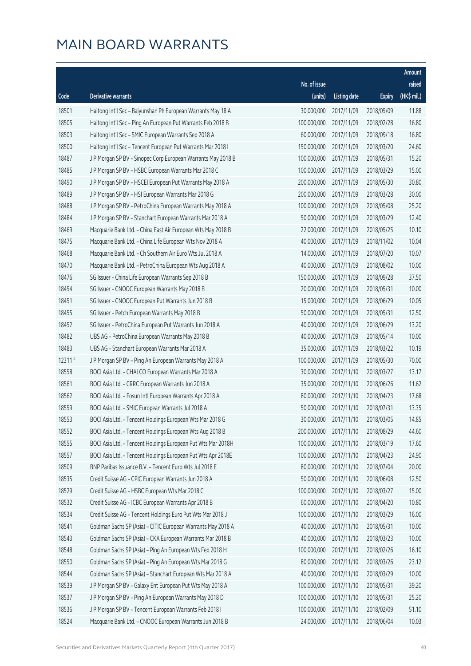|         |                                                              |              |                       |               | Amount      |
|---------|--------------------------------------------------------------|--------------|-----------------------|---------------|-------------|
|         |                                                              | No. of issue |                       |               | raised      |
| Code    | <b>Derivative warrants</b>                                   | (units)      | <b>Listing date</b>   | <b>Expiry</b> | (HK\$ mil.) |
| 18501   | Haitong Int'l Sec - Baiyunshan Ph European Warrants May 18 A | 30,000,000   | 2017/11/09            | 2018/05/09    | 11.88       |
| 18505   | Haitong Int'l Sec - Ping An European Put Warrants Feb 2018 B | 100,000,000  | 2017/11/09            | 2018/02/28    | 16.80       |
| 18503   | Haitong Int'l Sec - SMIC European Warrants Sep 2018 A        | 60,000,000   | 2017/11/09            | 2018/09/18    | 16.80       |
| 18500   | Haitong Int'l Sec - Tencent European Put Warrants Mar 2018 I | 150,000,000  | 2017/11/09            | 2018/03/20    | 24.60       |
| 18487   | J P Morgan SP BV - Sinopec Corp European Warrants May 2018 B | 100,000,000  | 2017/11/09            | 2018/05/31    | 15.20       |
| 18485   | J P Morgan SP BV - HSBC European Warrants Mar 2018 C         | 100,000,000  | 2017/11/09            | 2018/03/29    | 15.00       |
| 18490   | J P Morgan SP BV - HSCEI European Put Warrants May 2018 A    | 200,000,000  | 2017/11/09            | 2018/05/30    | 30.80       |
| 18489   | J P Morgan SP BV - HSI European Warrants Mar 2018 G          | 200,000,000  | 2017/11/09            | 2018/03/28    | 30.00       |
| 18488   | J P Morgan SP BV - PetroChina European Warrants May 2018 A   | 100,000,000  | 2017/11/09            | 2018/05/08    | 25.20       |
| 18484   | J P Morgan SP BV - Stanchart European Warrants Mar 2018 A    | 50,000,000   | 2017/11/09            | 2018/03/29    | 12.40       |
| 18469   | Macquarie Bank Ltd. - China East Air European Wts May 2018 B | 22,000,000   | 2017/11/09            | 2018/05/25    | 10.10       |
| 18475   | Macquarie Bank Ltd. - China Life European Wts Nov 2018 A     | 40,000,000   | 2017/11/09            | 2018/11/02    | 10.04       |
| 18468   | Macquarie Bank Ltd. - Ch Southern Air Euro Wts Jul 2018 A    | 14,000,000   | 2017/11/09            | 2018/07/20    | 10.07       |
| 18470   | Macquarie Bank Ltd. - PetroChina European Wts Aug 2018 A     | 40,000,000   | 2017/11/09            | 2018/08/02    | 10.00       |
| 18476   | SG Issuer - China Life European Warrants Sep 2018 B          | 150,000,000  | 2017/11/09            | 2018/09/28    | 37.50       |
| 18454   | SG Issuer - CNOOC European Warrants May 2018 B               | 20,000,000   | 2017/11/09            | 2018/05/31    | 10.00       |
| 18451   | SG Issuer - CNOOC European Put Warrants Jun 2018 B           | 15,000,000   | 2017/11/09            | 2018/06/29    | 10.05       |
| 18455   | SG Issuer - Petch European Warrants May 2018 B               | 50,000,000   | 2017/11/09            | 2018/05/31    | 12.50       |
| 18452   | SG Issuer - PetroChina European Put Warrants Jun 2018 A      | 40,000,000   | 2017/11/09            | 2018/06/29    | 13.20       |
| 18482   | UBS AG - PetroChina European Warrants May 2018 B             | 40,000,000   | 2017/11/09            | 2018/05/14    | 10.00       |
| 18483   | UBS AG - Stanchart European Warrants Mar 2018 A              | 35,000,000   | 2017/11/09            | 2018/03/22    | 10.19       |
| 12311 # | J P Morgan SP BV - Ping An European Warrants May 2018 A      | 100,000,000  | 2017/11/09            | 2018/05/30    | 70.00       |
| 18558   | BOCI Asia Ltd. - CHALCO European Warrants Mar 2018 A         | 30,000,000   | 2017/11/10            | 2018/03/27    | 13.17       |
| 18561   | BOCI Asia Ltd. - CRRC European Warrants Jun 2018 A           | 35,000,000   | 2017/11/10            | 2018/06/26    | 11.62       |
| 18562   | BOCI Asia Ltd. - Fosun Intl European Warrants Apr 2018 A     | 80,000,000   | 2017/11/10            | 2018/04/23    | 17.68       |
| 18559   | BOCI Asia Ltd. - SMIC European Warrants Jul 2018 A           | 50,000,000   | 2017/11/10            | 2018/07/31    | 13.35       |
| 18553   | BOCI Asia Ltd. - Tencent Holdings European Wts Mar 2018 G    |              | 30,000,000 2017/11/10 | 2018/03/05    | 14.85       |
| 18552   | BOCI Asia Ltd. - Tencent Holdings European Wts Aug 2018 B    | 200,000,000  | 2017/11/10            | 2018/08/29    | 44.60       |
| 18555   | BOCI Asia Ltd. - Tencent Holdings European Put Wts Mar 2018H | 100,000,000  | 2017/11/10            | 2018/03/19    | 17.60       |
| 18557   | BOCI Asia Ltd. - Tencent Holdings European Put Wts Apr 2018E | 100,000,000  | 2017/11/10            | 2018/04/23    | 24.90       |
| 18509   | BNP Paribas Issuance B.V. - Tencent Euro Wts Jul 2018 E      | 80,000,000   | 2017/11/10            | 2018/07/04    | 20.00       |
| 18535   | Credit Suisse AG - CPIC European Warrants Jun 2018 A         | 50,000,000   | 2017/11/10            | 2018/06/08    | 12.50       |
| 18529   | Credit Suisse AG - HSBC European Wts Mar 2018 C              | 100,000,000  | 2017/11/10            | 2018/03/27    | 15.00       |
| 18532   | Credit Suisse AG - ICBC European Warrants Apr 2018 B         | 60,000,000   | 2017/11/10            | 2018/04/20    | 10.80       |
| 18534   | Credit Suisse AG - Tencent Holdings Euro Put Wts Mar 2018 J  | 100,000,000  | 2017/11/10            | 2018/03/29    | 16.00       |
| 18541   | Goldman Sachs SP (Asia) - CITIC European Warrants May 2018 A | 40,000,000   | 2017/11/10            | 2018/05/31    | 10.00       |
| 18543   | Goldman Sachs SP (Asia) - CKA European Warrants Mar 2018 B   | 40,000,000   | 2017/11/10            | 2018/03/23    | 10.00       |
| 18548   | Goldman Sachs SP (Asia) - Ping An European Wts Feb 2018 H    | 100,000,000  | 2017/11/10            | 2018/02/26    | 16.10       |
| 18550   | Goldman Sachs SP (Asia) - Ping An European Wts Mar 2018 G    | 80,000,000   | 2017/11/10            | 2018/03/26    | 23.12       |
| 18544   | Goldman Sachs SP (Asia) - Stanchart European Wts Mar 2018 A  | 40,000,000   | 2017/11/10            | 2018/03/29    | 10.00       |
| 18539   | J P Morgan SP BV - Galaxy Ent European Put Wts May 2018 A    | 100,000,000  | 2017/11/10            | 2018/05/31    | 39.20       |
| 18537   | J P Morgan SP BV - Ping An European Warrants May 2018 D      | 100,000,000  | 2017/11/10            | 2018/05/31    | 25.20       |
| 18536   | J P Morgan SP BV - Tencent European Warrants Feb 2018 I      | 100,000,000  | 2017/11/10            | 2018/02/09    | 51.10       |
| 18524   | Macquarie Bank Ltd. - CNOOC European Warrants Jun 2018 B     | 24,000,000   | 2017/11/10            | 2018/06/04    | 10.03       |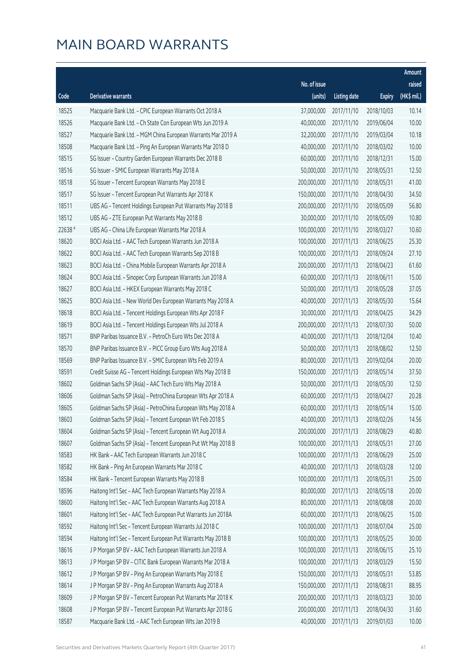|         |                                                              |              |                       |               | Amount      |
|---------|--------------------------------------------------------------|--------------|-----------------------|---------------|-------------|
|         |                                                              | No. of issue |                       |               | raised      |
| Code    | <b>Derivative warrants</b>                                   | (units)      | <b>Listing date</b>   | <b>Expiry</b> | (HK\$ mil.) |
| 18525   | Macquarie Bank Ltd. - CPIC European Warrants Oct 2018 A      | 37,000,000   | 2017/11/10            | 2018/10/03    | 10.14       |
| 18526   | Macquarie Bank Ltd. - Ch State Con European Wts Jun 2019 A   | 40,000,000   | 2017/11/10            | 2019/06/04    | 10.00       |
| 18527   | Macquarie Bank Ltd. - MGM China European Warrants Mar 2019 A | 32,200,000   | 2017/11/10            | 2019/03/04    | 10.18       |
| 18508   | Macquarie Bank Ltd. - Ping An European Warrants Mar 2018 D   | 40,000,000   | 2017/11/10            | 2018/03/02    | 10.00       |
| 18515   | SG Issuer - Country Garden European Warrants Dec 2018 B      | 60,000,000   | 2017/11/10            | 2018/12/31    | 15.00       |
| 18516   | SG Issuer - SMIC European Warrants May 2018 A                | 50,000,000   | 2017/11/10            | 2018/05/31    | 12.50       |
| 18518   | SG Issuer - Tencent European Warrants May 2018 E             | 200,000,000  | 2017/11/10            | 2018/05/31    | 41.00       |
| 18517   | SG Issuer - Tencent European Put Warrants Apr 2018 K         | 150,000,000  | 2017/11/10            | 2018/04/30    | 34.50       |
| 18511   | UBS AG - Tencent Holdings European Put Warrants May 2018 B   | 200,000,000  | 2017/11/10            | 2018/05/09    | 56.80       |
| 18512   | UBS AG - ZTE European Put Warrants May 2018 B                | 30,000,000   | 2017/11/10            | 2018/05/09    | 10.80       |
| 22638 # | UBS AG - China Life European Warrants Mar 2018 A             | 100,000,000  | 2017/11/10            | 2018/03/27    | 10.60       |
| 18620   | BOCI Asia Ltd. - AAC Tech European Warrants Jun 2018 A       | 100,000,000  | 2017/11/13            | 2018/06/25    | 25.30       |
| 18622   | BOCI Asia Ltd. - AAC Tech European Warrants Sep 2018 B       | 100,000,000  | 2017/11/13            | 2018/09/24    | 27.10       |
| 18623   | BOCI Asia Ltd. - China Mobile European Warrants Apr 2018 A   | 200,000,000  | 2017/11/13            | 2018/04/23    | 61.60       |
| 18624   | BOCI Asia Ltd. - Sinopec Corp European Warrants Jun 2018 A   | 60,000,000   | 2017/11/13            | 2018/06/11    | 15.00       |
| 18627   | BOCI Asia Ltd. - HKEX European Warrants May 2018 C           | 50,000,000   | 2017/11/13            | 2018/05/28    | 37.05       |
| 18625   | BOCI Asia Ltd. - New World Dev European Warrants May 2018 A  | 40,000,000   | 2017/11/13            | 2018/05/30    | 15.64       |
| 18618   | BOCI Asia Ltd. - Tencent Holdings European Wts Apr 2018 F    | 30,000,000   | 2017/11/13            | 2018/04/25    | 34.29       |
| 18619   | BOCI Asia Ltd. - Tencent Holdings European Wts Jul 2018 A    | 200,000,000  | 2017/11/13            | 2018/07/30    | 50.00       |
| 18571   | BNP Paribas Issuance B.V. - PetroCh Euro Wts Dec 2018 A      | 40,000,000   | 2017/11/13            | 2018/12/04    | 10.40       |
| 18570   | BNP Paribas Issuance B.V. - PICC Group Euro Wts Aug 2018 A   | 50,000,000   | 2017/11/13            | 2018/08/02    | 12.50       |
| 18569   | BNP Paribas Issuance B.V. - SMIC European Wts Feb 2019 A     | 80,000,000   | 2017/11/13            | 2019/02/04    | 20.00       |
| 18591   | Credit Suisse AG - Tencent Holdings European Wts May 2018 B  | 150,000,000  | 2017/11/13            | 2018/05/14    | 37.50       |
| 18602   | Goldman Sachs SP (Asia) - AAC Tech Euro Wts May 2018 A       | 50,000,000   | 2017/11/13            | 2018/05/30    | 12.50       |
| 18606   | Goldman Sachs SP (Asia) - PetroChina European Wts Apr 2018 A | 60,000,000   | 2017/11/13            | 2018/04/27    | 20.28       |
| 18605   | Goldman Sachs SP (Asia) - PetroChina European Wts May 2018 A | 60,000,000   | 2017/11/13            | 2018/05/14    | 15.00       |
| 18603   | Goldman Sachs SP (Asia) - Tencent European Wt Feb 2018 S     |              | 40,000,000 2017/11/13 | 2018/02/26    | 14.56       |
| 18604   | Goldman Sachs SP (Asia) - Tencent European Wt Aug 2018 A     | 200,000,000  | 2017/11/13            | 2018/08/29    | 40.80       |
| 18607   | Goldman Sachs SP (Asia) - Tencent European Put Wt May 2018 B | 100,000,000  | 2017/11/13            | 2018/05/31    | 27.00       |
| 18583   | HK Bank - AAC Tech European Warrants Jun 2018 C              | 100,000,000  | 2017/11/13            | 2018/06/29    | 25.00       |
| 18582   | HK Bank - Ping An European Warrants Mar 2018 C               | 40,000,000   | 2017/11/13            | 2018/03/28    | 12.00       |
| 18584   | HK Bank - Tencent European Warrants May 2018 B               | 100,000,000  | 2017/11/13            | 2018/05/31    | 25.00       |
| 18596   | Haitong Int'l Sec - AAC Tech European Warrants May 2018 A    | 80,000,000   | 2017/11/13            | 2018/05/18    | 20.00       |
| 18600   | Haitong Int'l Sec - AAC Tech European Warrants Aug 2018 A    | 80,000,000   | 2017/11/13            | 2018/08/08    | 20.00       |
| 18601   | Haitong Int'l Sec - AAC Tech European Put Warrants Jun 2018A | 60,000,000   | 2017/11/13            | 2018/06/25    | 15.00       |
| 18592   | Haitong Int'l Sec - Tencent European Warrants Jul 2018 C     | 100,000,000  | 2017/11/13            | 2018/07/04    | 25.00       |
| 18594   | Haitong Int'l Sec - Tencent European Put Warrants May 2018 B | 100,000,000  | 2017/11/13            | 2018/05/25    | 30.00       |
| 18616   | J P Morgan SP BV - AAC Tech European Warrants Jun 2018 A     | 100,000,000  | 2017/11/13            | 2018/06/15    | 25.10       |
| 18613   | J P Morgan SP BV - CITIC Bank European Warrants Mar 2018 A   | 100,000,000  | 2017/11/13            | 2018/03/29    | 15.50       |
| 18612   | J P Morgan SP BV - Ping An European Warrants May 2018 E      | 150,000,000  | 2017/11/13            | 2018/05/31    | 53.85       |
| 18614   | J P Morgan SP BV - Ping An European Warrants Aug 2018 A      | 150,000,000  | 2017/11/13            | 2018/08/31    | 88.95       |
| 18609   | J P Morgan SP BV - Tencent European Put Warrants Mar 2018 K  | 200,000,000  | 2017/11/13            | 2018/03/23    | 30.00       |
| 18608   | J P Morgan SP BV - Tencent European Put Warrants Apr 2018 G  | 200,000,000  | 2017/11/13            | 2018/04/30    | 31.60       |
| 18587   | Macquarie Bank Ltd. - AAC Tech European Wts Jan 2019 B       | 40,000,000   | 2017/11/13            | 2019/01/03    | 10.00       |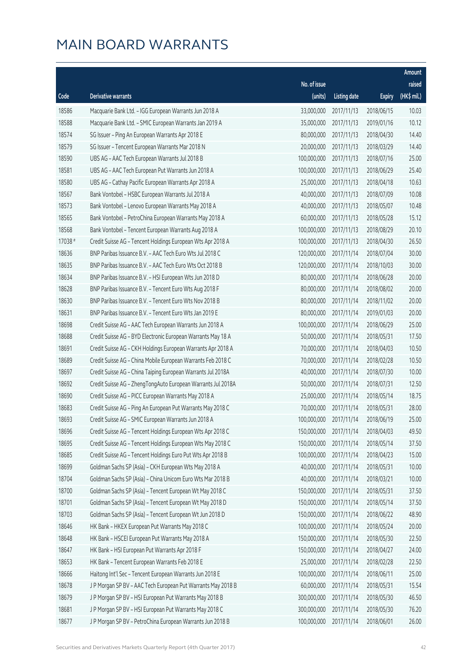|         |                                                              |              |                        |               | Amount      |
|---------|--------------------------------------------------------------|--------------|------------------------|---------------|-------------|
|         |                                                              | No. of issue |                        |               | raised      |
| Code    | <b>Derivative warrants</b>                                   | (units)      | <b>Listing date</b>    | <b>Expiry</b> | (HK\$ mil.) |
| 18586   | Macquarie Bank Ltd. - IGG European Warrants Jun 2018 A       | 33,000,000   | 2017/11/13             | 2018/06/15    | 10.03       |
| 18588   | Macquarie Bank Ltd. - SMIC European Warrants Jan 2019 A      | 35,000,000   | 2017/11/13             | 2019/01/16    | 10.12       |
| 18574   | SG Issuer - Ping An European Warrants Apr 2018 E             | 80,000,000   | 2017/11/13             | 2018/04/30    | 14.40       |
| 18579   | SG Issuer - Tencent European Warrants Mar 2018 N             | 20,000,000   | 2017/11/13             | 2018/03/29    | 14.40       |
| 18590   | UBS AG - AAC Tech European Warrants Jul 2018 B               | 100,000,000  | 2017/11/13             | 2018/07/16    | 25.00       |
| 18581   | UBS AG - AAC Tech European Put Warrants Jun 2018 A           | 100,000,000  | 2017/11/13             | 2018/06/29    | 25.40       |
| 18580   | UBS AG - Cathay Pacific European Warrants Apr 2018 A         | 25,000,000   | 2017/11/13             | 2018/04/18    | 10.63       |
| 18567   | Bank Vontobel - HSBC European Warrants Jul 2018 A            | 40,000,000   | 2017/11/13             | 2018/07/09    | 10.08       |
| 18573   | Bank Vontobel - Lenovo European Warrants May 2018 A          | 40,000,000   | 2017/11/13             | 2018/05/07    | 10.48       |
| 18565   | Bank Vontobel - PetroChina European Warrants May 2018 A      | 60,000,000   | 2017/11/13             | 2018/05/28    | 15.12       |
| 18568   | Bank Vontobel - Tencent European Warrants Aug 2018 A         | 100,000,000  | 2017/11/13             | 2018/08/29    | 20.10       |
| 17038 # | Credit Suisse AG - Tencent Holdings European Wts Apr 2018 A  | 100,000,000  | 2017/11/13             | 2018/04/30    | 26.50       |
| 18636   | BNP Paribas Issuance B.V. - AAC Tech Euro Wts Jul 2018 C     | 120,000,000  | 2017/11/14             | 2018/07/04    | 30.00       |
| 18635   | BNP Paribas Issuance B.V. - AAC Tech Euro Wts Oct 2018 B     | 120,000,000  | 2017/11/14             | 2018/10/03    | 30.00       |
| 18634   | BNP Paribas Issuance B.V. - HSI European Wts Jun 2018 D      | 80,000,000   | 2017/11/14             | 2018/06/28    | 20.00       |
| 18628   | BNP Paribas Issuance B.V. - Tencent Euro Wts Aug 2018 F      | 80,000,000   | 2017/11/14             | 2018/08/02    | 20.00       |
| 18630   | BNP Paribas Issuance B.V. - Tencent Euro Wts Nov 2018 B      | 80,000,000   | 2017/11/14             | 2018/11/02    | 20.00       |
| 18631   | BNP Paribas Issuance B.V. - Tencent Euro Wts Jan 2019 E      | 80,000,000   | 2017/11/14             | 2019/01/03    | 20.00       |
| 18698   | Credit Suisse AG - AAC Tech European Warrants Jun 2018 A     | 100,000,000  | 2017/11/14             | 2018/06/29    | 25.00       |
| 18688   | Credit Suisse AG - BYD Electronic European Warrants May 18 A | 50,000,000   | 2017/11/14             | 2018/05/31    | 17.50       |
| 18691   | Credit Suisse AG - CKH Holdings European Warrants Apr 2018 A | 70,000,000   | 2017/11/14             | 2018/04/03    | 10.50       |
| 18689   | Credit Suisse AG - China Mobile European Warrants Feb 2018 C | 70,000,000   | 2017/11/14             | 2018/02/28    | 10.50       |
| 18697   | Credit Suisse AG - China Taiping European Warrants Jul 2018A | 40,000,000   | 2017/11/14             | 2018/07/30    | 10.00       |
| 18692   | Credit Suisse AG - ZhengTongAuto European Warrants Jul 2018A | 50,000,000   | 2017/11/14             | 2018/07/31    | 12.50       |
| 18690   | Credit Suisse AG - PICC European Warrants May 2018 A         | 25,000,000   | 2017/11/14             | 2018/05/14    | 18.75       |
| 18683   | Credit Suisse AG - Ping An European Put Warrants May 2018 C  | 70,000,000   | 2017/11/14             | 2018/05/31    | 28.00       |
| 18693   | Credit Suisse AG - SMIC European Warrants Jun 2018 A         |              | 100,000,000 2017/11/14 | 2018/06/19    | 25.00       |
| 18696   | Credit Suisse AG - Tencent Holdings European Wts Apr 2018 C  | 150,000,000  | 2017/11/14             | 2018/04/03    | 49.50       |
| 18695   | Credit Suisse AG - Tencent Holdings European Wts May 2018 C  | 150,000,000  | 2017/11/14             | 2018/05/14    | 37.50       |
| 18685   | Credit Suisse AG - Tencent Holdings Euro Put Wts Apr 2018 B  | 100,000,000  | 2017/11/14             | 2018/04/23    | 15.00       |
| 18699   | Goldman Sachs SP (Asia) - CKH European Wts May 2018 A        | 40,000,000   | 2017/11/14             | 2018/05/31    | 10.00       |
| 18704   | Goldman Sachs SP (Asia) - China Unicom Euro Wts Mar 2018 B   | 40,000,000   | 2017/11/14             | 2018/03/21    | 10.00       |
| 18700   | Goldman Sachs SP (Asia) - Tencent European Wt May 2018 C     | 150,000,000  | 2017/11/14             | 2018/05/31    | 37.50       |
| 18701   | Goldman Sachs SP (Asia) - Tencent European Wt May 2018 D     | 150,000,000  | 2017/11/14             | 2018/05/14    | 37.50       |
| 18703   | Goldman Sachs SP (Asia) - Tencent European Wt Jun 2018 D     | 150,000,000  | 2017/11/14             | 2018/06/22    | 48.90       |
| 18646   | HK Bank - HKEX European Put Warrants May 2018 C              | 100,000,000  | 2017/11/14             | 2018/05/24    | 20.00       |
| 18648   | HK Bank - HSCEI European Put Warrants May 2018 A             | 150,000,000  | 2017/11/14             | 2018/05/30    | 22.50       |
| 18647   | HK Bank - HSI European Put Warrants Apr 2018 F               | 150,000,000  | 2017/11/14             | 2018/04/27    | 24.00       |
| 18653   | HK Bank - Tencent European Warrants Feb 2018 E               | 25,000,000   | 2017/11/14             | 2018/02/28    | 22.50       |
| 18666   | Haitong Int'l Sec - Tencent European Warrants Jun 2018 E     | 100,000,000  | 2017/11/14             | 2018/06/11    | 25.00       |
| 18678   | J P Morgan SP BV - AAC Tech European Put Warrants May 2018 B | 60,000,000   | 2017/11/14             | 2018/05/31    | 15.54       |
| 18679   | J P Morgan SP BV - HSI European Put Warrants May 2018 B      | 300,000,000  | 2017/11/14             | 2018/05/30    | 46.50       |
| 18681   | J P Morgan SP BV - HSI European Put Warrants May 2018 C      | 300,000,000  | 2017/11/14             | 2018/05/30    | 76.20       |
| 18677   | J P Morgan SP BV - PetroChina European Warrants Jun 2018 B   | 100,000,000  | 2017/11/14             | 2018/06/01    | 26.00       |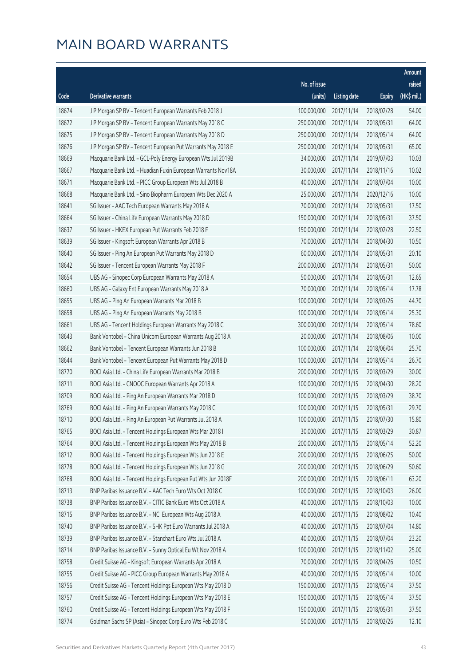|       |                                                              |                        |                     |               | Amount      |
|-------|--------------------------------------------------------------|------------------------|---------------------|---------------|-------------|
|       |                                                              | No. of issue           |                     |               | raised      |
| Code  | Derivative warrants                                          | (units)                | <b>Listing date</b> | <b>Expiry</b> | (HK\$ mil.) |
| 18674 | J P Morgan SP BV - Tencent European Warrants Feb 2018 J      | 100,000,000            | 2017/11/14          | 2018/02/28    | 54.00       |
| 18672 | J P Morgan SP BV - Tencent European Warrants May 2018 C      | 250,000,000            | 2017/11/14          | 2018/05/31    | 64.00       |
| 18675 | J P Morgan SP BV - Tencent European Warrants May 2018 D      | 250,000,000            | 2017/11/14          | 2018/05/14    | 64.00       |
| 18676 | J P Morgan SP BV - Tencent European Put Warrants May 2018 E  | 250,000,000            | 2017/11/14          | 2018/05/31    | 65.00       |
| 18669 | Macquarie Bank Ltd. - GCL-Poly Energy European Wts Jul 2019B | 34,000,000             | 2017/11/14          | 2019/07/03    | 10.03       |
| 18667 | Macquarie Bank Ltd. - Huadian Fuxin European Warrants Nov18A | 30,000,000             | 2017/11/14          | 2018/11/16    | 10.02       |
| 18671 | Macquarie Bank Ltd. - PICC Group European Wts Jul 2018 B     | 40,000,000             | 2017/11/14          | 2018/07/04    | 10.00       |
| 18668 | Macquarie Bank Ltd. - Sino Biopharm European Wts Dec 2020 A  | 25,000,000             | 2017/11/14          | 2020/12/16    | 10.00       |
| 18641 | SG Issuer - AAC Tech European Warrants May 2018 A            | 70,000,000             | 2017/11/14          | 2018/05/31    | 17.50       |
| 18664 | SG Issuer - China Life European Warrants May 2018 D          | 150,000,000            | 2017/11/14          | 2018/05/31    | 37.50       |
| 18637 | SG Issuer - HKEX European Put Warrants Feb 2018 F            | 150,000,000            | 2017/11/14          | 2018/02/28    | 22.50       |
| 18639 | SG Issuer - Kingsoft European Warrants Apr 2018 B            | 70,000,000             | 2017/11/14          | 2018/04/30    | 10.50       |
| 18640 | SG Issuer - Ping An European Put Warrants May 2018 D         | 60,000,000             | 2017/11/14          | 2018/05/31    | 20.10       |
| 18642 | SG Issuer - Tencent European Warrants May 2018 F             | 200,000,000            | 2017/11/14          | 2018/05/31    | 50.00       |
| 18654 | UBS AG - Sinopec Corp European Warrants May 2018 A           | 50,000,000             | 2017/11/14          | 2018/05/31    | 12.65       |
| 18660 | UBS AG - Galaxy Ent European Warrants May 2018 A             | 70,000,000             | 2017/11/14          | 2018/05/14    | 17.78       |
| 18655 | UBS AG - Ping An European Warrants Mar 2018 B                | 100,000,000            | 2017/11/14          | 2018/03/26    | 44.70       |
| 18658 | UBS AG - Ping An European Warrants May 2018 B                | 100,000,000            | 2017/11/14          | 2018/05/14    | 25.30       |
| 18661 | UBS AG - Tencent Holdings European Warrants May 2018 C       | 300,000,000            | 2017/11/14          | 2018/05/14    | 78.60       |
| 18643 | Bank Vontobel - China Unicom European Warrants Aug 2018 A    | 20,000,000             | 2017/11/14          | 2018/08/06    | 10.00       |
| 18662 | Bank Vontobel - Tencent European Warrants Jun 2018 B         | 100,000,000            | 2017/11/14          | 2018/06/04    | 25.70       |
| 18644 | Bank Vontobel - Tencent European Put Warrants May 2018 D     | 100,000,000            | 2017/11/14          | 2018/05/14    | 26.70       |
| 18770 | BOCI Asia Ltd. - China Life European Warrants Mar 2018 B     | 200,000,000            | 2017/11/15          | 2018/03/29    | 30.00       |
| 18711 | BOCI Asia Ltd. - CNOOC European Warrants Apr 2018 A          | 100,000,000            | 2017/11/15          | 2018/04/30    | 28.20       |
| 18709 | BOCI Asia Ltd. - Ping An European Warrants Mar 2018 D        | 100,000,000            | 2017/11/15          | 2018/03/29    | 38.70       |
| 18769 | BOCI Asia Ltd. - Ping An European Warrants May 2018 C        | 100,000,000            | 2017/11/15          | 2018/05/31    | 29.70       |
| 18710 | BOCI Asia Ltd. - Ping An European Put Warrants Jul 2018 A    | 100,000,000 2017/11/15 |                     | 2018/07/30    | 15.80       |
| 18765 | BOCI Asia Ltd. - Tencent Holdings European Wts Mar 2018 I    | 30,000,000             | 2017/11/15          | 2018/03/29    | 30.87       |
| 18764 | BOCI Asia Ltd. - Tencent Holdings European Wts May 2018 B    | 200,000,000            | 2017/11/15          | 2018/05/14    | 52.20       |
| 18712 | BOCI Asia Ltd. - Tencent Holdings European Wts Jun 2018 E    | 200,000,000            | 2017/11/15          | 2018/06/25    | 50.00       |
| 18778 | BOCI Asia Ltd. - Tencent Holdings European Wts Jun 2018 G    | 200,000,000            | 2017/11/15          | 2018/06/29    | 50.60       |
| 18768 | BOCI Asia Ltd. - Tencent Holdings European Put Wts Jun 2018F | 200,000,000            | 2017/11/15          | 2018/06/11    | 63.20       |
| 18713 | BNP Paribas Issuance B.V. - AAC Tech Euro Wts Oct 2018 C     | 100,000,000            | 2017/11/15          | 2018/10/03    | 26.00       |
| 18738 | BNP Paribas Issuance B.V. - CITIC Bank Euro Wts Oct 2018 A   | 40,000,000             | 2017/11/15          | 2018/10/03    | 10.00       |
| 18715 | BNP Paribas Issuance B.V. - NCI European Wts Aug 2018 A      | 40,000,000             | 2017/11/15          | 2018/08/02    | 10.40       |
| 18740 | BNP Paribas Issuance B.V. - SHK Ppt Euro Warrants Jul 2018 A | 40,000,000             | 2017/11/15          | 2018/07/04    | 14.80       |
| 18739 | BNP Paribas Issuance B.V. - Stanchart Euro Wts Jul 2018 A    | 40,000,000             | 2017/11/15          | 2018/07/04    | 23.20       |
| 18714 | BNP Paribas Issuance B.V. - Sunny Optical Eu Wt Nov 2018 A   | 100,000,000            | 2017/11/15          | 2018/11/02    | 25.00       |
| 18758 | Credit Suisse AG - Kingsoft European Warrants Apr 2018 A     | 70,000,000             | 2017/11/15          | 2018/04/26    | 10.50       |
| 18755 | Credit Suisse AG - PICC Group European Warrants May 2018 A   | 40,000,000             | 2017/11/15          | 2018/05/14    | 10.00       |
| 18756 | Credit Suisse AG - Tencent Holdings European Wts May 2018 D  | 150,000,000            | 2017/11/15          | 2018/05/14    | 37.50       |
| 18757 | Credit Suisse AG - Tencent Holdings European Wts May 2018 E  | 150,000,000            | 2017/11/15          | 2018/05/14    | 37.50       |
| 18760 | Credit Suisse AG - Tencent Holdings European Wts May 2018 F  | 150,000,000            | 2017/11/15          | 2018/05/31    | 37.50       |
| 18774 | Goldman Sachs SP (Asia) - Sinopec Corp Euro Wts Feb 2018 C   | 50,000,000             | 2017/11/15          | 2018/02/26    | 12.10       |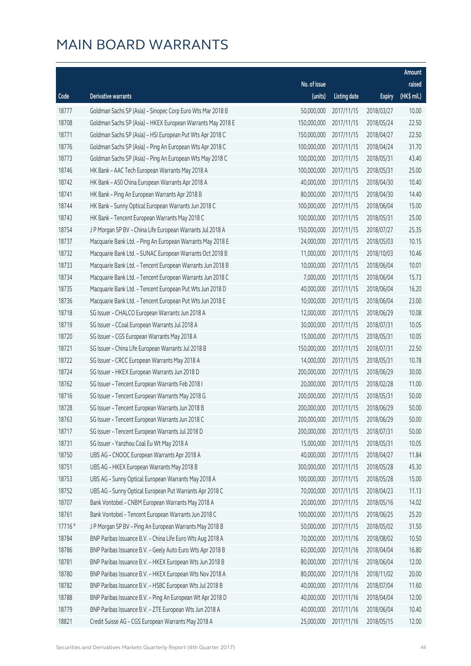|         |                                                             |                        |                     |               | Amount      |
|---------|-------------------------------------------------------------|------------------------|---------------------|---------------|-------------|
|         |                                                             | No. of issue           |                     |               | raised      |
| Code    | Derivative warrants                                         | (units)                | <b>Listing date</b> | <b>Expiry</b> | (HK\$ mil.) |
| 18777   | Goldman Sachs SP (Asia) - Sinopec Corp Euro Wts Mar 2018 B  | 50,000,000             | 2017/11/15          | 2018/03/27    | 10.00       |
| 18708   | Goldman Sachs SP (Asia) - HKEX European Warrants May 2018 E | 150,000,000            | 2017/11/15          | 2018/05/24    | 22.50       |
| 18771   | Goldman Sachs SP (Asia) - HSI European Put Wts Apr 2018 C   | 150,000,000            | 2017/11/15          | 2018/04/27    | 22.50       |
| 18776   | Goldman Sachs SP (Asia) - Ping An European Wts Apr 2018 C   | 100,000,000            | 2017/11/15          | 2018/04/24    | 31.70       |
| 18773   | Goldman Sachs SP (Asia) - Ping An European Wts May 2018 C   | 100,000,000            | 2017/11/15          | 2018/05/31    | 43.40       |
| 18746   | HK Bank - AAC Tech European Warrants May 2018 A             | 100,000,000            | 2017/11/15          | 2018/05/31    | 25.00       |
| 18742   | HK Bank - A50 China European Warrants Apr 2018 A            | 40,000,000             | 2017/11/15          | 2018/04/30    | 10.40       |
| 18741   | HK Bank - Ping An European Warrants Apr 2018 B              | 80,000,000             | 2017/11/15          | 2018/04/30    | 14.40       |
| 18744   | HK Bank - Sunny Optical European Warrants Jun 2018 C        | 100,000,000            | 2017/11/15          | 2018/06/04    | 15.00       |
| 18743   | HK Bank - Tencent European Warrants May 2018 C              | 100,000,000            | 2017/11/15          | 2018/05/31    | 25.00       |
| 18754   | J P Morgan SP BV - China Life European Warrants Jul 2018 A  | 150,000,000            | 2017/11/15          | 2018/07/27    | 25.35       |
| 18737   | Macquarie Bank Ltd. - Ping An European Warrants May 2018 E  | 24,000,000             | 2017/11/15          | 2018/05/03    | 10.15       |
| 18732   | Macquarie Bank Ltd. - SUNAC European Warrants Oct 2018 B    | 11,000,000             | 2017/11/15          | 2018/10/03    | 10.46       |
| 18733   | Macquarie Bank Ltd. - Tencent European Warrants Jun 2018 B  | 10,000,000             | 2017/11/15          | 2018/06/04    | 10.01       |
| 18734   | Macquarie Bank Ltd. - Tencent European Warrants Jun 2018 C  | 7,000,000              | 2017/11/15          | 2018/06/04    | 15.73       |
| 18735   | Macquarie Bank Ltd. - Tencent European Put Wts Jun 2018 D   | 40,000,000             | 2017/11/15          | 2018/06/04    | 16.20       |
| 18736   | Macquarie Bank Ltd. - Tencent European Put Wts Jun 2018 E   | 10,000,000             | 2017/11/15          | 2018/06/04    | 23.00       |
| 18718   | SG Issuer - CHALCO European Warrants Jun 2018 A             | 12,000,000             | 2017/11/15          | 2018/06/29    | 10.08       |
| 18719   | SG Issuer - CCoal European Warrants Jul 2018 A              | 30,000,000             | 2017/11/15          | 2018/07/31    | 10.05       |
| 18720   | SG Issuer - CGS European Warrants May 2018 A                | 15,000,000             | 2017/11/15          | 2018/05/31    | 10.05       |
| 18721   | SG Issuer - China Life European Warrants Jul 2018 B         | 150,000,000            | 2017/11/15          | 2018/07/31    | 22.50       |
| 18722   | SG Issuer - CRCC European Warrants May 2018 A               | 14,000,000             | 2017/11/15          | 2018/05/31    | 10.78       |
| 18724   | SG Issuer - HKEX European Warrants Jun 2018 D               | 200,000,000            | 2017/11/15          | 2018/06/29    | 30.00       |
| 18762   | SG Issuer - Tencent European Warrants Feb 2018 I            | 20,000,000             | 2017/11/15          | 2018/02/28    | 11.00       |
| 18716   | SG Issuer - Tencent European Warrants May 2018 G            | 200,000,000            | 2017/11/15          | 2018/05/31    | 50.00       |
| 18728   | SG Issuer - Tencent European Warrants Jun 2018 B            | 200,000,000            | 2017/11/15          | 2018/06/29    | 50.00       |
| 18763   | SG Issuer - Tencent European Warrants Jun 2018 C            | 200,000,000 2017/11/15 |                     | 2018/06/29    | 50.00       |
| 18717   | SG Issuer - Tencent European Warrants Jul 2018 D            | 200,000,000            | 2017/11/15          | 2018/07/31    | 50.00       |
| 18731   | SG Issuer - Yanzhou Coal Eu Wt May 2018 A                   | 15,000,000             | 2017/11/15          | 2018/05/31    | 10.05       |
| 18750   | UBS AG - CNOOC European Warrants Apr 2018 A                 | 40,000,000             | 2017/11/15          | 2018/04/27    | 11.84       |
| 18751   | UBS AG - HKEX European Warrants May 2018 B                  | 300,000,000            | 2017/11/15          | 2018/05/28    | 45.30       |
| 18753   | UBS AG - Sunny Optical European Warrants May 2018 A         | 100,000,000            | 2017/11/15          | 2018/05/28    | 15.00       |
| 18752   | UBS AG - Sunny Optical European Put Warrants Apr 2018 C     | 70,000,000             | 2017/11/15          | 2018/04/23    | 11.13       |
| 18707   | Bank Vontobel - CNBM European Warrants May 2018 A           | 20,000,000             | 2017/11/15          | 2018/05/16    | 14.02       |
| 18761   | Bank Vontobel - Tencent European Warrants Jun 2018 C        | 100,000,000            | 2017/11/15          | 2018/06/25    | 25.20       |
| 17716 # | J P Morgan SP BV - Ping An European Warrants May 2018 B     | 50,000,000             | 2017/11/15          | 2018/05/02    | 31.50       |
| 18784   | BNP Paribas Issuance B.V. - China Life Euro Wts Aug 2018 A  | 70,000,000             | 2017/11/16          | 2018/08/02    | 10.50       |
| 18786   | BNP Paribas Issuance B.V. - Geely Auto Euro Wts Apr 2018 B  | 60,000,000             | 2017/11/16          | 2018/04/04    | 16.80       |
| 18781   | BNP Paribas Issuance B.V. - HKEX European Wts Jun 2018 B    | 80,000,000             | 2017/11/16          | 2018/06/04    | 12.00       |
| 18780   | BNP Paribas Issuance B.V. - HKEX European Wts Nov 2018 A    | 80,000,000             | 2017/11/16          | 2018/11/02    | 20.00       |
| 18782   | BNP Paribas Issuance B.V. - HSBC European Wts Jul 2018 B    | 40,000,000             | 2017/11/16          | 2018/07/04    | 11.60       |
| 18788   | BNP Paribas Issuance B.V. - Ping An European Wt Apr 2018 D  | 40,000,000             | 2017/11/16          | 2018/04/04    | 12.00       |
| 18779   | BNP Paribas Issuance B.V. - ZTE European Wts Jun 2018 A     | 40,000,000             | 2017/11/16          | 2018/06/04    | 10.40       |
| 18821   | Credit Suisse AG - CGS European Warrants May 2018 A         | 25,000,000             | 2017/11/16          | 2018/05/15    | 12.00       |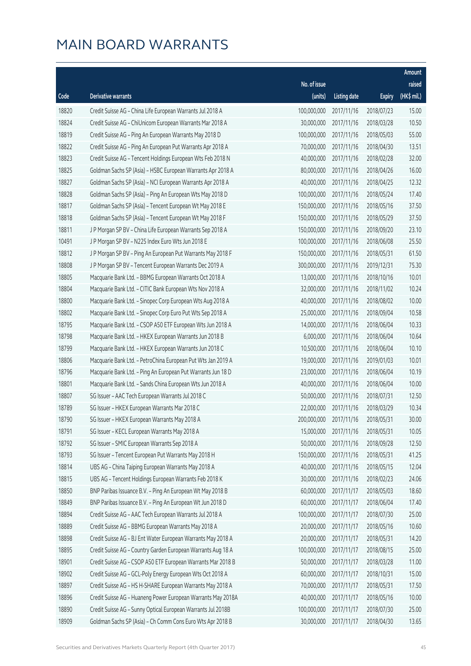|       |                                                              |              |                        |               | Amount      |
|-------|--------------------------------------------------------------|--------------|------------------------|---------------|-------------|
|       |                                                              | No. of issue |                        |               | raised      |
| Code  | Derivative warrants                                          | (units)      | <b>Listing date</b>    | <b>Expiry</b> | (HK\$ mil.) |
| 18820 | Credit Suisse AG - China Life European Warrants Jul 2018 A   | 100,000,000  | 2017/11/16             | 2018/07/23    | 15.00       |
| 18824 | Credit Suisse AG - ChiUnicom European Warrants Mar 2018 A    | 30,000,000   | 2017/11/16             | 2018/03/28    | 10.50       |
| 18819 | Credit Suisse AG - Ping An European Warrants May 2018 D      | 100,000,000  | 2017/11/16             | 2018/05/03    | 55.00       |
| 18822 | Credit Suisse AG - Ping An European Put Warrants Apr 2018 A  | 70,000,000   | 2017/11/16             | 2018/04/30    | 13.51       |
| 18823 | Credit Suisse AG - Tencent Holdings European Wts Feb 2018 N  | 40,000,000   | 2017/11/16             | 2018/02/28    | 32.00       |
| 18825 | Goldman Sachs SP (Asia) - HSBC European Warrants Apr 2018 A  | 80,000,000   | 2017/11/16             | 2018/04/26    | 16.00       |
| 18827 | Goldman Sachs SP (Asia) - NCI European Warrants Apr 2018 A   | 40,000,000   | 2017/11/16             | 2018/04/25    | 12.32       |
| 18828 | Goldman Sachs SP (Asia) - Ping An European Wts May 2018 D    | 100,000,000  | 2017/11/16             | 2018/05/24    | 17.40       |
| 18817 | Goldman Sachs SP (Asia) - Tencent European Wt May 2018 E     | 150,000,000  | 2017/11/16             | 2018/05/16    | 37.50       |
| 18818 | Goldman Sachs SP (Asia) - Tencent European Wt May 2018 F     | 150,000,000  | 2017/11/16             | 2018/05/29    | 37.50       |
| 18811 | J P Morgan SP BV - China Life European Warrants Sep 2018 A   | 150,000,000  | 2017/11/16             | 2018/09/20    | 23.10       |
| 10491 | J P Morgan SP BV - N225 Index Euro Wts Jun 2018 E            | 100,000,000  | 2017/11/16             | 2018/06/08    | 25.50       |
| 18812 | J P Morgan SP BV - Ping An European Put Warrants May 2018 F  | 150,000,000  | 2017/11/16             | 2018/05/31    | 61.50       |
| 18808 | J P Morgan SP BV - Tencent European Warrants Dec 2019 A      | 300,000,000  | 2017/11/16             | 2019/12/31    | 75.30       |
| 18805 | Macquarie Bank Ltd. - BBMG European Warrants Oct 2018 A      | 13,000,000   | 2017/11/16             | 2018/10/16    | 10.01       |
| 18804 | Macquarie Bank Ltd. - CITIC Bank European Wts Nov 2018 A     | 32,000,000   | 2017/11/16             | 2018/11/02    | 10.24       |
| 18800 | Macquarie Bank Ltd. - Sinopec Corp European Wts Aug 2018 A   | 40,000,000   | 2017/11/16             | 2018/08/02    | 10.00       |
| 18802 | Macquarie Bank Ltd. - Sinopec Corp Euro Put Wts Sep 2018 A   | 25,000,000   | 2017/11/16             | 2018/09/04    | 10.58       |
| 18795 | Macquarie Bank Ltd. - CSOP A50 ETF European Wts Jun 2018 A   | 14,000,000   | 2017/11/16             | 2018/06/04    | 10.33       |
| 18798 | Macquarie Bank Ltd. - HKEX European Warrants Jun 2018 B      | 6,000,000    | 2017/11/16             | 2018/06/04    | 10.64       |
| 18799 | Macquarie Bank Ltd. - HKEX European Warrants Jun 2018 C      | 10,500,000   | 2017/11/16             | 2018/06/04    | 10.10       |
| 18806 | Macquarie Bank Ltd. - PetroChina European Put Wts Jan 2019 A | 19,000,000   | 2017/11/16             | 2019/01/03    | 10.01       |
| 18796 | Macquarie Bank Ltd. - Ping An European Put Warrants Jun 18 D | 23,000,000   | 2017/11/16             | 2018/06/04    | 10.19       |
| 18801 | Macquarie Bank Ltd. - Sands China European Wts Jun 2018 A    | 40,000,000   | 2017/11/16             | 2018/06/04    | 10.00       |
| 18807 | SG Issuer - AAC Tech European Warrants Jul 2018 C            | 50,000,000   | 2017/11/16             | 2018/07/31    | 12.50       |
| 18789 | SG Issuer - HKEX European Warrants Mar 2018 C                | 22,000,000   | 2017/11/16             | 2018/03/29    | 10.34       |
| 18790 | SG Issuer - HKEX European Warrants May 2018 A                |              | 200,000,000 2017/11/16 | 2018/05/31    | 30.00       |
| 18791 | SG Issuer - KECL European Warrants May 2018 A                | 15,000,000   | 2017/11/16             | 2018/05/31    | 10.05       |
| 18792 | SG Issuer - SMIC European Warrants Sep 2018 A                | 50,000,000   | 2017/11/16             | 2018/09/28    | 12.50       |
| 18793 | SG Issuer - Tencent European Put Warrants May 2018 H         | 150,000,000  | 2017/11/16             | 2018/05/31    | 41.25       |
| 18814 | UBS AG - China Taiping European Warrants May 2018 A          | 40,000,000   | 2017/11/16             | 2018/05/15    | 12.04       |
| 18815 | UBS AG - Tencent Holdings European Warrants Feb 2018 K       | 30,000,000   | 2017/11/16             | 2018/02/23    | 24.06       |
| 18850 | BNP Paribas Issuance B.V. - Ping An European Wt May 2018 B   | 60,000,000   | 2017/11/17             | 2018/05/03    | 18.60       |
| 18849 | BNP Paribas Issuance B.V. - Ping An European Wt Jun 2018 D   | 60,000,000   | 2017/11/17             | 2018/06/04    | 17.40       |
| 18894 | Credit Suisse AG - AAC Tech European Warrants Jul 2018 A     | 100,000,000  | 2017/11/17             | 2018/07/30    | 25.00       |
| 18889 | Credit Suisse AG - BBMG European Warrants May 2018 A         | 20,000,000   | 2017/11/17             | 2018/05/16    | 10.60       |
| 18898 | Credit Suisse AG - BJ Ent Water European Warrants May 2018 A | 20,000,000   | 2017/11/17             | 2018/05/31    | 14.20       |
| 18895 | Credit Suisse AG - Country Garden European Warrants Aug 18 A | 100,000,000  | 2017/11/17             | 2018/08/15    | 25.00       |
| 18901 | Credit Suisse AG - CSOP A50 ETF European Warrants Mar 2018 B | 50,000,000   | 2017/11/17             | 2018/03/28    | 11.00       |
| 18902 | Credit Suisse AG - GCL-Poly Energy European Wts Oct 2018 A   | 60,000,000   | 2017/11/17             | 2018/10/31    | 15.00       |
| 18897 | Credit Suisse AG - HS H-SHARE European Warrants May 2018 A   | 70,000,000   | 2017/11/17             | 2018/05/31    | 17.50       |
| 18896 | Credit Suisse AG - Huaneng Power European Warrants May 2018A | 40,000,000   | 2017/11/17             | 2018/05/16    | 10.00       |
| 18890 | Credit Suisse AG - Sunny Optical European Warrants Jul 2018B | 100,000,000  | 2017/11/17             | 2018/07/30    | 25.00       |
| 18909 | Goldman Sachs SP (Asia) - Ch Comm Cons Euro Wts Apr 2018 B   | 30,000,000   | 2017/11/17             | 2018/04/30    | 13.65       |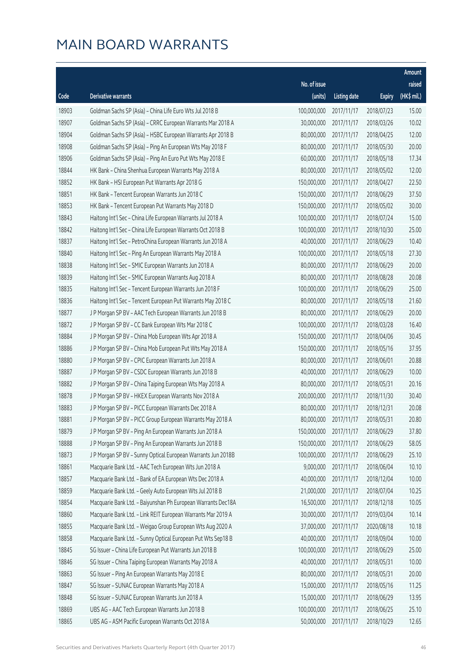|       |                                                              |              |                       |               | Amount      |
|-------|--------------------------------------------------------------|--------------|-----------------------|---------------|-------------|
|       |                                                              | No. of issue |                       |               | raised      |
| Code  | Derivative warrants                                          | (units)      | <b>Listing date</b>   | <b>Expiry</b> | (HK\$ mil.) |
| 18903 | Goldman Sachs SP (Asia) - China Life Euro Wts Jul 2018 B     | 100,000,000  | 2017/11/17            | 2018/07/23    | 15.00       |
| 18907 | Goldman Sachs SP (Asia) - CRRC European Warrants Mar 2018 A  | 30,000,000   | 2017/11/17            | 2018/03/26    | 10.02       |
| 18904 | Goldman Sachs SP (Asia) - HSBC European Warrants Apr 2018 B  | 80,000,000   | 2017/11/17            | 2018/04/25    | 12.00       |
| 18908 | Goldman Sachs SP (Asia) - Ping An European Wts May 2018 F    | 80,000,000   | 2017/11/17            | 2018/05/30    | 20.00       |
| 18906 | Goldman Sachs SP (Asia) - Ping An Euro Put Wts May 2018 E    | 60,000,000   | 2017/11/17            | 2018/05/18    | 17.34       |
| 18844 | HK Bank - China Shenhua European Warrants May 2018 A         | 80,000,000   | 2017/11/17            | 2018/05/02    | 12.00       |
| 18852 | HK Bank - HSI European Put Warrants Apr 2018 G               | 150,000,000  | 2017/11/17            | 2018/04/27    | 22.50       |
| 18851 | HK Bank - Tencent European Warrants Jun 2018 C               | 150,000,000  | 2017/11/17            | 2018/06/29    | 37.50       |
| 18853 | HK Bank - Tencent European Put Warrants May 2018 D           | 150,000,000  | 2017/11/17            | 2018/05/02    | 30.00       |
| 18843 | Haitong Int'l Sec - China Life European Warrants Jul 2018 A  | 100,000,000  | 2017/11/17            | 2018/07/24    | 15.00       |
| 18842 | Haitong Int'l Sec - China Life European Warrants Oct 2018 B  | 100,000,000  | 2017/11/17            | 2018/10/30    | 25.00       |
| 18837 | Haitong Int'l Sec - PetroChina European Warrants Jun 2018 A  | 40,000,000   | 2017/11/17            | 2018/06/29    | 10.40       |
| 18840 | Haitong Int'l Sec - Ping An European Warrants May 2018 A     | 100,000,000  | 2017/11/17            | 2018/05/18    | 27.30       |
| 18838 | Haitong Int'l Sec - SMIC European Warrants Jun 2018 A        | 80,000,000   | 2017/11/17            | 2018/06/29    | 20.00       |
| 18839 | Haitong Int'l Sec - SMIC European Warrants Aug 2018 A        | 80,000,000   | 2017/11/17            | 2018/08/28    | 20.08       |
| 18835 | Haitong Int'l Sec - Tencent European Warrants Jun 2018 F     | 100,000,000  | 2017/11/17            | 2018/06/29    | 25.00       |
| 18836 | Haitong Int'l Sec - Tencent European Put Warrants May 2018 C | 80,000,000   | 2017/11/17            | 2018/05/18    | 21.60       |
| 18877 | J P Morgan SP BV - AAC Tech European Warrants Jun 2018 B     | 80,000,000   | 2017/11/17            | 2018/06/29    | 20.00       |
| 18872 | J P Morgan SP BV - CC Bank European Wts Mar 2018 C           | 100,000,000  | 2017/11/17            | 2018/03/28    | 16.40       |
| 18884 | J P Morgan SP BV - China Mob European Wts Apr 2018 A         | 150,000,000  | 2017/11/17            | 2018/04/06    | 30.45       |
| 18886 | J P Morgan SP BV - China Mob European Put Wts May 2018 A     | 150,000,000  | 2017/11/17            | 2018/05/16    | 37.95       |
| 18880 | J P Morgan SP BV - CPIC European Warrants Jun 2018 A         | 80,000,000   | 2017/11/17            | 2018/06/01    | 20.88       |
| 18887 | J P Morgan SP BV - CSDC European Warrants Jun 2018 B         | 40,000,000   | 2017/11/17            | 2018/06/29    | 10.00       |
| 18882 | J P Morgan SP BV - China Taiping European Wts May 2018 A     | 80,000,000   | 2017/11/17            | 2018/05/31    | 20.16       |
| 18878 | J P Morgan SP BV - HKEX European Warrants Nov 2018 A         | 200,000,000  | 2017/11/17            | 2018/11/30    | 30.40       |
| 18883 | J P Morgan SP BV - PICC European Warrants Dec 2018 A         | 80,000,000   | 2017/11/17            | 2018/12/31    | 20.08       |
| 18881 | J P Morgan SP BV - PICC Group European Warrants May 2018 A   |              | 80,000,000 2017/11/17 | 2018/05/31    | 20.80       |
| 18879 | J P Morgan SP BV - Ping An European Warrants Jun 2018 A      | 150,000,000  | 2017/11/17            | 2018/06/29    | 37.80       |
| 18888 | J P Morgan SP BV - Ping An European Warrants Jun 2018 B      | 150,000,000  | 2017/11/17            | 2018/06/29    | 58.05       |
| 18873 | J P Morgan SP BV - Sunny Optical European Warrants Jun 2018B | 100,000,000  | 2017/11/17            | 2018/06/29    | 25.10       |
| 18861 | Macquarie Bank Ltd. - AAC Tech European Wts Jun 2018 A       | 9,000,000    | 2017/11/17            | 2018/06/04    | 10.10       |
| 18857 | Macquarie Bank Ltd. - Bank of EA European Wts Dec 2018 A     | 40,000,000   | 2017/11/17            | 2018/12/04    | 10.00       |
| 18859 | Macquarie Bank Ltd. - Geely Auto European Wts Jul 2018 B     | 21,000,000   | 2017/11/17            | 2018/07/04    | 10.25       |
| 18854 | Macquarie Bank Ltd. - Baiyunshan Ph European Warrants Dec18A | 16,500,000   | 2017/11/17            | 2018/12/18    | 10.05       |
| 18860 | Macquarie Bank Ltd. - Link REIT European Warrants Mar 2019 A | 30,000,000   | 2017/11/17            | 2019/03/04    | 10.14       |
| 18855 | Macquarie Bank Ltd. - Weigao Group European Wts Aug 2020 A   | 37,000,000   | 2017/11/17            | 2020/08/18    | 10.18       |
| 18858 | Macquarie Bank Ltd. - Sunny Optical European Put Wts Sep18 B | 40,000,000   | 2017/11/17            | 2018/09/04    | 10.00       |
| 18845 | SG Issuer - China Life European Put Warrants Jun 2018 B      | 100,000,000  | 2017/11/17            | 2018/06/29    | 25.00       |
| 18846 | SG Issuer - China Taiping European Warrants May 2018 A       | 40,000,000   | 2017/11/17            | 2018/05/31    | 10.00       |
| 18863 | SG Issuer - Ping An European Warrants May 2018 E             | 80,000,000   | 2017/11/17            | 2018/05/31    | 20.00       |
| 18847 | SG Issuer - SUNAC European Warrants May 2018 A               | 15,000,000   | 2017/11/17            | 2018/05/16    | 11.25       |
| 18848 | SG Issuer - SUNAC European Warrants Jun 2018 A               | 15,000,000   | 2017/11/17            | 2018/06/29    | 13.95       |
| 18869 | UBS AG - AAC Tech European Warrants Jun 2018 B               | 100,000,000  | 2017/11/17            | 2018/06/25    | 25.10       |
| 18865 | UBS AG - ASM Pacific European Warrants Oct 2018 A            | 50,000,000   | 2017/11/17            | 2018/10/29    | 12.65       |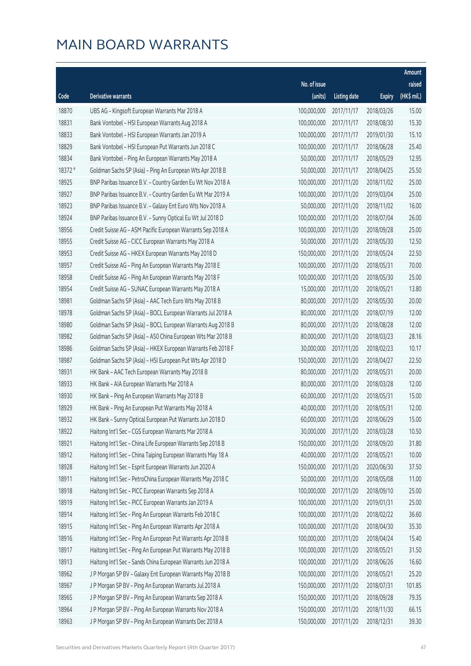|         |                                                              |              |                       |               | Amount      |
|---------|--------------------------------------------------------------|--------------|-----------------------|---------------|-------------|
|         |                                                              | No. of issue |                       |               | raised      |
| Code    | <b>Derivative warrants</b>                                   | (units)      | <b>Listing date</b>   | <b>Expiry</b> | (HK\$ mil.) |
| 18870   | UBS AG - Kingsoft European Warrants Mar 2018 A               | 100,000,000  | 2017/11/17            | 2018/03/26    | 15.00       |
| 18831   | Bank Vontobel - HSI European Warrants Aug 2018 A             | 100,000,000  | 2017/11/17            | 2018/08/30    | 15.30       |
| 18833   | Bank Vontobel - HSI European Warrants Jan 2019 A             | 100,000,000  | 2017/11/17            | 2019/01/30    | 15.10       |
| 18829   | Bank Vontobel - HSI European Put Warrants Jun 2018 C         | 100,000,000  | 2017/11/17            | 2018/06/28    | 25.40       |
| 18834   | Bank Vontobel - Ping An European Warrants May 2018 A         | 50,000,000   | 2017/11/17            | 2018/05/29    | 12.95       |
| 18372 # | Goldman Sachs SP (Asia) - Ping An European Wts Apr 2018 B    | 50,000,000   | 2017/11/17            | 2018/04/25    | 25.50       |
| 18925   | BNP Paribas Issuance B.V. - Country Garden Eu Wt Nov 2018 A  | 100,000,000  | 2017/11/20            | 2018/11/02    | 25.00       |
| 18927   | BNP Paribas Issuance B.V. - Country Garden Eu Wt Mar 2019 A  | 100,000,000  | 2017/11/20            | 2019/03/04    | 25.00       |
| 18923   | BNP Paribas Issuance B.V. - Galaxy Ent Euro Wts Nov 2018 A   | 50,000,000   | 2017/11/20            | 2018/11/02    | 16.00       |
| 18924   | BNP Paribas Issuance B.V. - Sunny Optical Eu Wt Jul 2018 D   | 100,000,000  | 2017/11/20            | 2018/07/04    | 26.00       |
| 18956   | Credit Suisse AG - ASM Pacific European Warrants Sep 2018 A  | 100,000,000  | 2017/11/20            | 2018/09/28    | 25.00       |
| 18955   | Credit Suisse AG - CICC European Warrants May 2018 A         | 50,000,000   | 2017/11/20            | 2018/05/30    | 12.50       |
| 18953   | Credit Suisse AG - HKEX European Warrants May 2018 D         | 150,000,000  | 2017/11/20            | 2018/05/24    | 22.50       |
| 18957   | Credit Suisse AG - Ping An European Warrants May 2018 E      | 100,000,000  | 2017/11/20            | 2018/05/31    | 70.00       |
| 18958   | Credit Suisse AG - Ping An European Warrants May 2018 F      | 100,000,000  | 2017/11/20            | 2018/05/30    | 25.00       |
| 18954   | Credit Suisse AG - SUNAC European Warrants May 2018 A        | 15,000,000   | 2017/11/20            | 2018/05/21    | 13.80       |
| 18981   | Goldman Sachs SP (Asia) - AAC Tech Euro Wts May 2018 B       | 80,000,000   | 2017/11/20            | 2018/05/30    | 20.00       |
| 18978   | Goldman Sachs SP (Asia) - BOCL European Warrants Jul 2018 A  | 80,000,000   | 2017/11/20            | 2018/07/19    | 12.00       |
| 18980   | Goldman Sachs SP (Asia) - BOCL European Warrants Aug 2018 B  | 80,000,000   | 2017/11/20            | 2018/08/28    | 12.00       |
| 18982   | Goldman Sachs SP (Asia) - A50 China European Wts Mar 2018 B  | 80,000,000   | 2017/11/20            | 2018/03/23    | 28.16       |
| 18986   | Goldman Sachs SP (Asia) - HKEX European Warrants Feb 2018 F  | 30,000,000   | 2017/11/20            | 2018/02/23    | 10.17       |
| 18987   | Goldman Sachs SP (Asia) - HSI European Put Wts Apr 2018 D    | 150,000,000  | 2017/11/20            | 2018/04/27    | 22.50       |
| 18931   | HK Bank - AAC Tech European Warrants May 2018 B              | 80,000,000   | 2017/11/20            | 2018/05/31    | 20.00       |
| 18933   | HK Bank - AIA European Warrants Mar 2018 A                   | 80,000,000   | 2017/11/20            | 2018/03/28    | 12.00       |
| 18930   | HK Bank - Ping An European Warrants May 2018 B               | 60,000,000   | 2017/11/20            | 2018/05/31    | 15.00       |
| 18929   | HK Bank - Ping An European Put Warrants May 2018 A           | 40,000,000   | 2017/11/20            | 2018/05/31    | 12.00       |
| 18932   | HK Bank - Sunny Optical European Put Warrants Jun 2018 D     |              | 60,000,000 2017/11/20 | 2018/06/29    | 15.00       |
| 18922   | Haitong Int'l Sec - CGS European Warrants Mar 2018 A         | 30,000,000   | 2017/11/20            | 2018/03/28    | 10.50       |
| 18921   | Haitong Int'l Sec - China Life European Warrants Sep 2018 B  | 150,000,000  | 2017/11/20            | 2018/09/20    | 31.80       |
| 18912   | Haitong Int'l Sec - China Taiping European Warrants May 18 A | 40,000,000   | 2017/11/20            | 2018/05/21    | 10.00       |
| 18928   | Haitong Int'l Sec - Esprit European Warrants Jun 2020 A      | 150,000,000  | 2017/11/20            | 2020/06/30    | 37.50       |
| 18911   | Haitong Int'l Sec - PetroChina European Warrants May 2018 C  | 50,000,000   | 2017/11/20            | 2018/05/08    | 11.00       |
| 18918   | Haitong Int'l Sec - PICC European Warrants Sep 2018 A        | 100,000,000  | 2017/11/20            | 2018/09/10    | 25.00       |
| 18919   | Haitong Int'l Sec - PICC European Warrants Jan 2019 A        | 100,000,000  | 2017/11/20            | 2019/01/31    | 25.00       |
| 18914   | Haitong Int'l Sec - Ping An European Warrants Feb 2018 C     | 100,000,000  | 2017/11/20            | 2018/02/22    | 36.60       |
| 18915   | Haitong Int'l Sec - Ping An European Warrants Apr 2018 A     | 100,000,000  | 2017/11/20            | 2018/04/30    | 35.30       |
| 18916   | Haitong Int'l Sec - Ping An European Put Warrants Apr 2018 B | 100,000,000  | 2017/11/20            | 2018/04/24    | 15.40       |
| 18917   | Haitong Int'l Sec - Ping An European Put Warrants May 2018 B | 100,000,000  | 2017/11/20            | 2018/05/21    | 31.50       |
| 18913   | Haitong Int'l Sec - Sands China European Warrants Jun 2018 A | 100,000,000  | 2017/11/20            | 2018/06/26    | 16.60       |
| 18962   | J P Morgan SP BV - Galaxy Ent European Warrants May 2018 B   | 100,000,000  | 2017/11/20            | 2018/05/21    | 25.20       |
| 18967   | J P Morgan SP BV - Ping An European Warrants Jul 2018 A      | 150,000,000  | 2017/11/20            | 2018/07/31    | 101.85      |
| 18965   | J P Morgan SP BV - Ping An European Warrants Sep 2018 A      | 150,000,000  | 2017/11/20            | 2018/09/28    | 79.35       |
| 18964   | J P Morgan SP BV - Ping An European Warrants Nov 2018 A      | 150,000,000  | 2017/11/20            | 2018/11/30    | 66.15       |
| 18963   | J P Morgan SP BV - Ping An European Warrants Dec 2018 A      | 150,000,000  | 2017/11/20            | 2018/12/31    | 39.30       |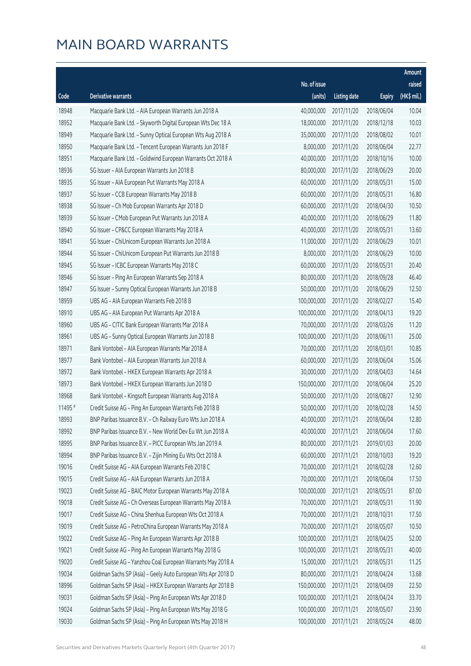|         |                                                              |              |                       |               | Amount      |
|---------|--------------------------------------------------------------|--------------|-----------------------|---------------|-------------|
|         |                                                              | No. of issue |                       |               | raised      |
| Code    | Derivative warrants                                          | (units)      | <b>Listing date</b>   | <b>Expiry</b> | (HK\$ mil.) |
| 18948   | Macquarie Bank Ltd. - AIA European Warrants Jun 2018 A       | 40,000,000   | 2017/11/20            | 2018/06/04    | 10.04       |
| 18952   | Macquarie Bank Ltd. - Skyworth Digital European Wts Dec 18 A | 18,000,000   | 2017/11/20            | 2018/12/18    | 10.03       |
| 18949   | Macquarie Bank Ltd. - Sunny Optical European Wts Aug 2018 A  | 35,000,000   | 2017/11/20            | 2018/08/02    | 10.01       |
| 18950   | Macquarie Bank Ltd. - Tencent European Warrants Jun 2018 F   | 8,000,000    | 2017/11/20            | 2018/06/04    | 22.77       |
| 18951   | Macquarie Bank Ltd. - Goldwind European Warrants Oct 2018 A  | 40,000,000   | 2017/11/20            | 2018/10/16    | 10.00       |
| 18936   | SG Issuer - AIA European Warrants Jun 2018 B                 | 80,000,000   | 2017/11/20            | 2018/06/29    | 20.00       |
| 18935   | SG Issuer - AIA European Put Warrants May 2018 A             | 60,000,000   | 2017/11/20            | 2018/05/31    | 15.00       |
| 18937   | SG Issuer - CCB European Warrants May 2018 B                 | 60,000,000   | 2017/11/20            | 2018/05/31    | 16.80       |
| 18938   | SG Issuer - Ch Mob European Warrants Apr 2018 D              | 60,000,000   | 2017/11/20            | 2018/04/30    | 10.50       |
| 18939   | SG Issuer - CMob European Put Warrants Jun 2018 A            | 40,000,000   | 2017/11/20            | 2018/06/29    | 11.80       |
| 18940   | SG Issuer - CP&CC European Warrants May 2018 A               | 40,000,000   | 2017/11/20            | 2018/05/31    | 13.60       |
| 18941   | SG Issuer - ChiUnicom European Warrants Jun 2018 A           | 11,000,000   | 2017/11/20            | 2018/06/29    | 10.01       |
| 18944   | SG Issuer - ChiUnicom European Put Warrants Jun 2018 B       | 8,000,000    | 2017/11/20            | 2018/06/29    | 10.00       |
| 18945   | SG Issuer - ICBC European Warrants May 2018 C                | 60,000,000   | 2017/11/20            | 2018/05/31    | 20.40       |
| 18946   | SG Issuer - Ping An European Warrants Sep 2018 A             | 80,000,000   | 2017/11/20            | 2018/09/28    | 46.40       |
| 18947   | SG Issuer - Sunny Optical European Warrants Jun 2018 B       | 50,000,000   | 2017/11/20            | 2018/06/29    | 12.50       |
| 18959   | UBS AG - AIA European Warrants Feb 2018 B                    | 100,000,000  | 2017/11/20            | 2018/02/27    | 15.40       |
| 18910   | UBS AG - AIA European Put Warrants Apr 2018 A                | 100,000,000  | 2017/11/20            | 2018/04/13    | 19.20       |
| 18960   | UBS AG - CITIC Bank European Warrants Mar 2018 A             | 70,000,000   | 2017/11/20            | 2018/03/26    | 11.20       |
| 18961   | UBS AG - Sunny Optical European Warrants Jun 2018 B          | 100,000,000  | 2017/11/20            | 2018/06/11    | 25.00       |
| 18971   | Bank Vontobel - AIA European Warrants Mar 2018 A             | 70,000,000   | 2017/11/20            | 2018/03/01    | 10.85       |
| 18977   | Bank Vontobel - AIA European Warrants Jun 2018 A             | 60,000,000   | 2017/11/20            | 2018/06/04    | 15.06       |
| 18972   | Bank Vontobel - HKEX European Warrants Apr 2018 A            | 30,000,000   | 2017/11/20            | 2018/04/03    | 14.64       |
| 18973   | Bank Vontobel - HKEX European Warrants Jun 2018 D            | 150,000,000  | 2017/11/20            | 2018/06/04    | 25.20       |
| 18968   | Bank Vontobel - Kingsoft European Warrants Aug 2018 A        | 50,000,000   | 2017/11/20            | 2018/08/27    | 12.90       |
| 11495 # | Credit Suisse AG - Ping An European Warrants Feb 2018 B      | 50,000,000   | 2017/11/20            | 2018/02/28    | 14.50       |
| 18993   | BNP Paribas Issuance B.V. - Ch Railway Euro Wts Jun 2018 A   |              | 40,000,000 2017/11/21 | 2018/06/04    | 12.80       |
| 18992   | BNP Paribas Issuance B.V. - New World Dev Eu Wt Jun 2018 A   | 40,000,000   | 2017/11/21            | 2018/06/04    | 17.60       |
| 18995   | BNP Paribas Issuance B.V. - PICC European Wts Jan 2019 A     | 80,000,000   | 2017/11/21            | 2019/01/03    | 20.00       |
| 18994   | BNP Paribas Issuance B.V. - Zijin Mining Eu Wts Oct 2018 A   | 60,000,000   | 2017/11/21            | 2018/10/03    | 19.20       |
| 19016   | Credit Suisse AG - AIA European Warrants Feb 2018 C          | 70,000,000   | 2017/11/21            | 2018/02/28    | 12.60       |
| 19015   | Credit Suisse AG - AIA European Warrants Jun 2018 A          | 70,000,000   | 2017/11/21            | 2018/06/04    | 17.50       |
| 19023   | Credit Suisse AG - BAIC Motor European Warrants May 2018 A   | 100,000,000  | 2017/11/21            | 2018/05/31    | 87.00       |
| 19018   | Credit Suisse AG - Ch Overseas European Warrants May 2018 A  | 70,000,000   | 2017/11/21            | 2018/05/31    | 11.90       |
| 19017   | Credit Suisse AG - China Shenhua European Wts Oct 2018 A     | 70,000,000   | 2017/11/21            | 2018/10/31    | 17.50       |
| 19019   | Credit Suisse AG - PetroChina European Warrants May 2018 A   | 70,000,000   | 2017/11/21            | 2018/05/07    | 10.50       |
| 19022   | Credit Suisse AG - Ping An European Warrants Apr 2018 B      | 100,000,000  | 2017/11/21            | 2018/04/25    | 52.00       |
| 19021   | Credit Suisse AG - Ping An European Warrants May 2018 G      | 100,000,000  | 2017/11/21            | 2018/05/31    | 40.00       |
| 19020   | Credit Suisse AG - Yanzhou Coal European Warrants May 2018 A | 15,000,000   | 2017/11/21            | 2018/05/31    | 11.25       |
| 19034   | Goldman Sachs SP (Asia) - Geely Auto European Wts Apr 2018 D | 80,000,000   | 2017/11/21            | 2018/04/24    | 13.68       |
| 18996   | Goldman Sachs SP (Asia) - HKEX European Warrants Apr 2018 B  | 150,000,000  | 2017/11/21            | 2018/04/09    | 22.50       |
| 19031   | Goldman Sachs SP (Asia) - Ping An European Wts Apr 2018 D    | 100,000,000  | 2017/11/21            | 2018/04/24    | 33.70       |
| 19024   | Goldman Sachs SP (Asia) - Ping An European Wts May 2018 G    | 100,000,000  | 2017/11/21            | 2018/05/07    | 23.90       |
| 19030   | Goldman Sachs SP (Asia) - Ping An European Wts May 2018 H    | 100,000,000  | 2017/11/21            | 2018/05/24    | 48.00       |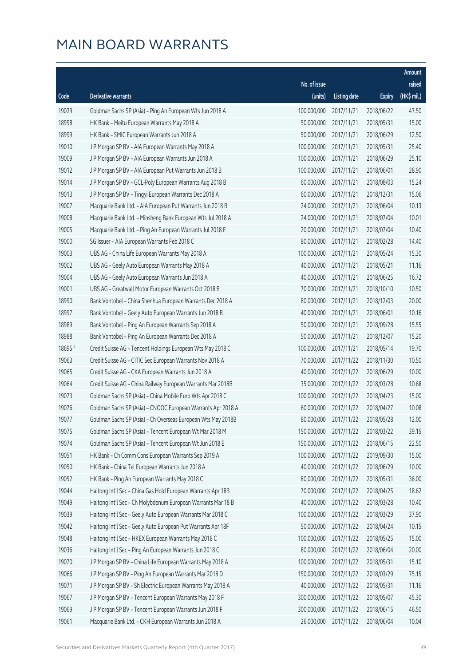|         |                                                              |              |                       |               | Amount      |
|---------|--------------------------------------------------------------|--------------|-----------------------|---------------|-------------|
|         |                                                              | No. of issue |                       |               | raised      |
| Code    | Derivative warrants                                          | (units)      | <b>Listing date</b>   | <b>Expiry</b> | (HK\$ mil.) |
| 19029   | Goldman Sachs SP (Asia) - Ping An European Wts Jun 2018 A    | 100,000,000  | 2017/11/21            | 2018/06/22    | 47.50       |
| 18998   | HK Bank - Meitu European Warrants May 2018 A                 | 50,000,000   | 2017/11/21            | 2018/05/31    | 15.00       |
| 18999   | HK Bank - SMIC European Warrants Jun 2018 A                  | 50,000,000   | 2017/11/21            | 2018/06/29    | 12.50       |
| 19010   | J P Morgan SP BV - AIA European Warrants May 2018 A          | 100,000,000  | 2017/11/21            | 2018/05/31    | 25.40       |
| 19009   | J P Morgan SP BV - AIA European Warrants Jun 2018 A          | 100,000,000  | 2017/11/21            | 2018/06/29    | 25.10       |
| 19012   | J P Morgan SP BV - AIA European Put Warrants Jun 2018 B      | 100,000,000  | 2017/11/21            | 2018/06/01    | 28.90       |
| 19014   | J P Morgan SP BV - GCL-Poly European Warrants Aug 2018 B     | 60,000,000   | 2017/11/21            | 2018/08/03    | 15.24       |
| 19013   | J P Morgan SP BV - Tingyi European Warrants Dec 2018 A       | 60,000,000   | 2017/11/21            | 2018/12/31    | 15.06       |
| 19007   | Macquarie Bank Ltd. - AIA European Put Warrants Jun 2018 B   | 24,000,000   | 2017/11/21            | 2018/06/04    | 10.13       |
| 19008   | Macquarie Bank Ltd. - Minsheng Bank European Wts Jul 2018 A  | 24,000,000   | 2017/11/21            | 2018/07/04    | 10.01       |
| 19005   | Macquarie Bank Ltd. - Ping An European Warrants Jul 2018 E   | 20,000,000   | 2017/11/21            | 2018/07/04    | 10.40       |
| 19000   | SG Issuer - AIA European Warrants Feb 2018 C                 | 80,000,000   | 2017/11/21            | 2018/02/28    | 14.40       |
| 19003   | UBS AG - China Life European Warrants May 2018 A             | 100,000,000  | 2017/11/21            | 2018/05/24    | 15.30       |
| 19002   | UBS AG - Geely Auto European Warrants May 2018 A             | 40,000,000   | 2017/11/21            | 2018/05/21    | 11.16       |
| 19004   | UBS AG - Geely Auto European Warrants Jun 2018 A             | 40,000,000   | 2017/11/21            | 2018/06/25    | 16.72       |
| 19001   | UBS AG - Greatwall Motor European Warrants Oct 2018 B        | 70,000,000   | 2017/11/21            | 2018/10/10    | 10.50       |
| 18990   | Bank Vontobel - China Shenhua European Warrants Dec 2018 A   | 80,000,000   | 2017/11/21            | 2018/12/03    | 20.00       |
| 18997   | Bank Vontobel - Geely Auto European Warrants Jun 2018 B      | 40,000,000   | 2017/11/21            | 2018/06/01    | 10.16       |
| 18989   | Bank Vontobel - Ping An European Warrants Sep 2018 A         | 50,000,000   | 2017/11/21            | 2018/09/28    | 15.55       |
| 18988   | Bank Vontobel - Ping An European Warrants Dec 2018 A         | 50,000,000   | 2017/11/21            | 2018/12/07    | 15.20       |
| 18695 # | Credit Suisse AG - Tencent Holdings European Wts May 2018 C  | 100,000,000  | 2017/11/21            | 2018/05/14    | 19.70       |
| 19063   | Credit Suisse AG - CITIC Sec European Warrants Nov 2018 A    | 70,000,000   | 2017/11/22            | 2018/11/30    | 10.50       |
| 19065   | Credit Suisse AG - CKA European Warrants Jun 2018 A          | 40,000,000   | 2017/11/22            | 2018/06/29    | 10.00       |
| 19064   | Credit Suisse AG - China Railway European Warrants Mar 2018B | 35,000,000   | 2017/11/22            | 2018/03/28    | 10.68       |
| 19073   | Goldman Sachs SP (Asia) - China Mobile Euro Wts Apr 2018 C   | 100,000,000  | 2017/11/22            | 2018/04/23    | 15.00       |
| 19076   | Goldman Sachs SP (Asia) - CNOOC European Warrants Apr 2018 A | 60,000,000   | 2017/11/22            | 2018/04/27    | 10.08       |
| 19077   | Goldman Sachs SP (Asia) - Ch Overseas European Wts May 2018B |              | 80,000,000 2017/11/22 | 2018/05/28    | 12.00       |
| 19075   | Goldman Sachs SP (Asia) - Tencent European Wt Mar 2018 M     | 150,000,000  | 2017/11/22            | 2018/03/22    | 39.15       |
| 19074   | Goldman Sachs SP (Asia) - Tencent European Wt Jun 2018 E     | 150,000,000  | 2017/11/22            | 2018/06/15    | 22.50       |
| 19051   | HK Bank - Ch Comm Cons European Warrants Sep 2019 A          | 100,000,000  | 2017/11/22            | 2019/09/30    | 15.00       |
| 19050   | HK Bank - China Tel European Warrants Jun 2018 A             | 40,000,000   | 2017/11/22            | 2018/06/29    | 10.00       |
| 19052   | HK Bank - Ping An European Warrants May 2018 C               | 80,000,000   | 2017/11/22            | 2018/05/31    | 36.00       |
| 19044   | Haitong Int'l Sec - China Gas Hold European Warrants Apr 18B | 70,000,000   | 2017/11/22            | 2018/04/25    | 18.62       |
| 19049   | Haitong Int'l Sec - Ch Molybdenum European Warrants Mar 18 B | 40,000,000   | 2017/11/22            | 2018/03/28    | 10.40       |
| 19039   | Haitong Int'l Sec - Geely Auto European Warrants Mar 2018 C  | 100,000,000  | 2017/11/22            | 2018/03/29    | 37.90       |
| 19042   | Haitong Int'l Sec - Geely Auto European Put Warrants Apr 18F | 50,000,000   | 2017/11/22            | 2018/04/24    | 10.15       |
| 19048   | Haitong Int'l Sec - HKEX European Warrants May 2018 C        | 100,000,000  | 2017/11/22            | 2018/05/25    | 15.00       |
| 19036   | Haitong Int'l Sec - Ping An European Warrants Jun 2018 C     | 80,000,000   | 2017/11/22            | 2018/06/04    | 20.00       |
| 19070   | J P Morgan SP BV - China Life European Warrants May 2018 A   | 100,000,000  | 2017/11/22            | 2018/05/31    | 15.10       |
| 19066   | J P Morgan SP BV - Ping An European Warrants Mar 2018 D      | 150,000,000  | 2017/11/22            | 2018/03/29    | 75.15       |
| 19071   | J P Morgan SP BV - Sh Electric European Warrants May 2018 A  | 40,000,000   | 2017/11/22            | 2018/05/31    | 11.16       |
| 19067   | J P Morgan SP BV - Tencent European Warrants May 2018 F      | 300,000,000  | 2017/11/22            | 2018/05/07    | 45.30       |
| 19069   | J P Morgan SP BV - Tencent European Warrants Jun 2018 F      | 300,000,000  | 2017/11/22            | 2018/06/15    | 46.50       |
| 19061   | Macquarie Bank Ltd. - CKH European Warrants Jun 2018 A       | 26,000,000   | 2017/11/22            | 2018/06/04    | 10.04       |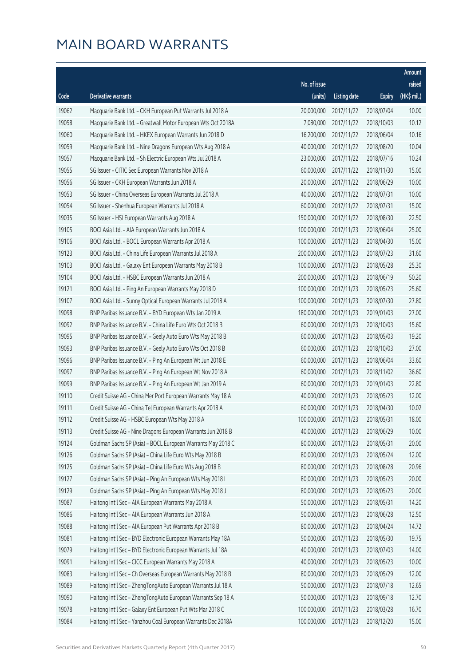|       |                                                              |                        |                     |               | Amount      |
|-------|--------------------------------------------------------------|------------------------|---------------------|---------------|-------------|
|       |                                                              | No. of issue           |                     |               | raised      |
| Code  | Derivative warrants                                          | (units)                | <b>Listing date</b> | <b>Expiry</b> | (HK\$ mil.) |
| 19062 | Macquarie Bank Ltd. - CKH European Put Warrants Jul 2018 A   | 20,000,000             | 2017/11/22          | 2018/07/04    | 10.00       |
| 19058 | Macquarie Bank Ltd. - Greatwall Motor European Wts Oct 2018A | 7,080,000              | 2017/11/22          | 2018/10/03    | 10.12       |
| 19060 | Macquarie Bank Ltd. - HKEX European Warrants Jun 2018 D      | 16,200,000             | 2017/11/22          | 2018/06/04    | 10.16       |
| 19059 | Macquarie Bank Ltd. - Nine Dragons European Wts Aug 2018 A   | 40,000,000             | 2017/11/22          | 2018/08/20    | 10.04       |
| 19057 | Macquarie Bank Ltd. - Sh Electric European Wts Jul 2018 A    | 23,000,000             | 2017/11/22          | 2018/07/16    | 10.24       |
| 19055 | SG Issuer - CITIC Sec European Warrants Nov 2018 A           | 60,000,000             | 2017/11/22          | 2018/11/30    | 15.00       |
| 19056 | SG Issuer - CKH European Warrants Jun 2018 A                 | 20,000,000             | 2017/11/22          | 2018/06/29    | 10.00       |
| 19053 | SG Issuer - China Overseas European Warrants Jul 2018 A      | 40,000,000             | 2017/11/22          | 2018/07/31    | 10.00       |
| 19054 | SG Issuer - Shenhua European Warrants Jul 2018 A             | 60,000,000             | 2017/11/22          | 2018/07/31    | 15.00       |
| 19035 | SG Issuer - HSI European Warrants Aug 2018 A                 | 150,000,000            | 2017/11/22          | 2018/08/30    | 22.50       |
| 19105 | BOCI Asia Ltd. - AIA European Warrants Jun 2018 A            | 100,000,000            | 2017/11/23          | 2018/06/04    | 25.00       |
| 19106 | BOCI Asia Ltd. - BOCL European Warrants Apr 2018 A           | 100,000,000            | 2017/11/23          | 2018/04/30    | 15.00       |
| 19123 | BOCI Asia Ltd. - China Life European Warrants Jul 2018 A     | 200,000,000            | 2017/11/23          | 2018/07/23    | 31.60       |
| 19103 | BOCI Asia Ltd. - Galaxy Ent European Warrants May 2018 B     | 100,000,000            | 2017/11/23          | 2018/05/28    | 25.30       |
| 19104 | BOCI Asia Ltd. - HSBC European Warrants Jun 2018 A           | 200,000,000            | 2017/11/23          | 2018/06/19    | 50.20       |
| 19121 | BOCI Asia Ltd. - Ping An European Warrants May 2018 D        | 100,000,000            | 2017/11/23          | 2018/05/23    | 25.60       |
| 19107 | BOCI Asia Ltd. - Sunny Optical European Warrants Jul 2018 A  | 100,000,000            | 2017/11/23          | 2018/07/30    | 27.80       |
| 19098 | BNP Paribas Issuance B.V. - BYD European Wts Jan 2019 A      | 180,000,000            | 2017/11/23          | 2019/01/03    | 27.00       |
| 19092 | BNP Paribas Issuance B.V. - China Life Euro Wts Oct 2018 B   | 60,000,000             | 2017/11/23          | 2018/10/03    | 15.60       |
| 19095 | BNP Paribas Issuance B.V. - Geely Auto Euro Wts May 2018 B   | 60,000,000             | 2017/11/23          | 2018/05/03    | 19.20       |
| 19093 | BNP Paribas Issuance B.V. - Geely Auto Euro Wts Oct 2018 B   | 60,000,000             | 2017/11/23          | 2018/10/03    | 27.00       |
| 19096 | BNP Paribas Issuance B.V. - Ping An European Wt Jun 2018 E   | 60,000,000             | 2017/11/23          | 2018/06/04    | 33.60       |
| 19097 | BNP Paribas Issuance B.V. - Ping An European Wt Nov 2018 A   | 60,000,000             | 2017/11/23          | 2018/11/02    | 36.60       |
| 19099 | BNP Paribas Issuance B.V. - Ping An European Wt Jan 2019 A   | 60,000,000             | 2017/11/23          | 2019/01/03    | 22.80       |
| 19110 | Credit Suisse AG - China Mer Port European Warrants May 18 A | 40,000,000             | 2017/11/23          | 2018/05/23    | 12.00       |
| 19111 | Credit Suisse AG - China Tel European Warrants Apr 2018 A    | 60,000,000             | 2017/11/23          | 2018/04/30    | 10.02       |
| 19112 | Credit Suisse AG - HSBC European Wts May 2018 A              | 100,000,000 2017/11/23 |                     | 2018/05/31    | 18.00       |
| 19113 | Credit Suisse AG - Nine Dragons European Warrants Jun 2018 B | 40,000,000             | 2017/11/23          | 2018/06/29    | 10.00       |
| 19124 | Goldman Sachs SP (Asia) - BOCL European Warrants May 2018 C  | 80,000,000             | 2017/11/23          | 2018/05/31    | 20.00       |
| 19126 | Goldman Sachs SP (Asia) - China Life Euro Wts May 2018 B     | 80,000,000             | 2017/11/23          | 2018/05/24    | 12.00       |
| 19125 | Goldman Sachs SP (Asia) - China Life Euro Wts Aug 2018 B     | 80,000,000             | 2017/11/23          | 2018/08/28    | 20.96       |
| 19127 | Goldman Sachs SP (Asia) - Ping An European Wts May 2018 I    | 80,000,000             | 2017/11/23          | 2018/05/23    | 20.00       |
| 19129 | Goldman Sachs SP (Asia) - Ping An European Wts May 2018 J    | 80,000,000             | 2017/11/23          | 2018/05/23    | 20.00       |
| 19087 | Haitong Int'l Sec - AIA European Warrants May 2018 A         | 50,000,000             | 2017/11/23          | 2018/05/31    | 14.20       |
| 19086 | Haitong Int'l Sec - AIA European Warrants Jun 2018 A         | 50,000,000             | 2017/11/23          | 2018/06/28    | 12.50       |
| 19088 | Haitong Int'l Sec - AIA European Put Warrants Apr 2018 B     | 80,000,000             | 2017/11/23          | 2018/04/24    | 14.72       |
| 19081 | Haitong Int'l Sec - BYD Electronic European Warrants May 18A | 50,000,000             | 2017/11/23          | 2018/05/30    | 19.75       |
| 19079 | Haitong Int'l Sec - BYD Electronic European Warrants Jul 18A | 40,000,000             | 2017/11/23          | 2018/07/03    | 14.00       |
| 19091 | Haitong Int'l Sec - CICC European Warrants May 2018 A        | 40,000,000             | 2017/11/23          | 2018/05/23    | 10.00       |
| 19083 | Haitong Int'l Sec - Ch Overseas European Warrants May 2018 B | 80,000,000             | 2017/11/23          | 2018/05/29    | 12.00       |
| 19089 | Haitong Int'l Sec - ZhengTongAuto European Warrants Jul 18 A | 50,000,000             | 2017/11/23          | 2018/07/18    | 12.65       |
| 19090 | Haitong Int'l Sec - ZhengTongAuto European Warrants Sep 18 A | 50,000,000             | 2017/11/23          | 2018/09/18    | 12.70       |
| 19078 | Haitong Int'l Sec - Galaxy Ent European Put Wts Mar 2018 C   | 100,000,000            | 2017/11/23          | 2018/03/28    | 16.70       |
| 19084 | Haitong Int'l Sec - Yanzhou Coal European Warrants Dec 2018A | 100,000,000            | 2017/11/23          | 2018/12/20    | 15.00       |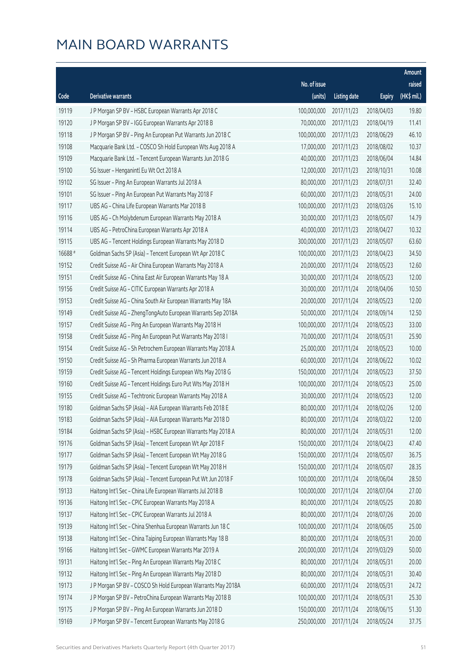|         |                                                              |              |                       |               | Amount      |
|---------|--------------------------------------------------------------|--------------|-----------------------|---------------|-------------|
|         |                                                              | No. of issue |                       |               | raised      |
| Code    | <b>Derivative warrants</b>                                   | (units)      | <b>Listing date</b>   | <b>Expiry</b> | (HK\$ mil.) |
| 19119   | J P Morgan SP BV - HSBC European Warrants Apr 2018 C         | 100,000,000  | 2017/11/23            | 2018/04/03    | 19.80       |
| 19120   | J P Morgan SP BV - IGG European Warrants Apr 2018 B          | 70,000,000   | 2017/11/23            | 2018/04/19    | 11.41       |
| 19118   | J P Morgan SP BV - Ping An European Put Warrants Jun 2018 C  | 100,000,000  | 2017/11/23            | 2018/06/29    | 46.10       |
| 19108   | Macquarie Bank Ltd. - COSCO Sh Hold European Wts Aug 2018 A  | 17,000,000   | 2017/11/23            | 2018/08/02    | 10.37       |
| 19109   | Macquarie Bank Ltd. - Tencent European Warrants Jun 2018 G   | 40,000,000   | 2017/11/23            | 2018/06/04    | 14.84       |
| 19100   | SG Issuer - Henganintl Eu Wt Oct 2018 A                      | 12,000,000   | 2017/11/23            | 2018/10/31    | 10.08       |
| 19102   | SG Issuer - Ping An European Warrants Jul 2018 A             | 80,000,000   | 2017/11/23            | 2018/07/31    | 32.40       |
| 19101   | SG Issuer - Ping An European Put Warrants May 2018 F         | 60,000,000   | 2017/11/23            | 2018/05/31    | 24.00       |
| 19117   | UBS AG - China Life European Warrants Mar 2018 B             | 100,000,000  | 2017/11/23            | 2018/03/26    | 15.10       |
| 19116   | UBS AG - Ch Molybdenum European Warrants May 2018 A          | 30,000,000   | 2017/11/23            | 2018/05/07    | 14.79       |
| 19114   | UBS AG - PetroChina European Warrants Apr 2018 A             | 40,000,000   | 2017/11/23            | 2018/04/27    | 10.32       |
| 19115   | UBS AG - Tencent Holdings European Warrants May 2018 D       | 300,000,000  | 2017/11/23            | 2018/05/07    | 63.60       |
| 16688 # | Goldman Sachs SP (Asia) - Tencent European Wt Apr 2018 C     | 100,000,000  | 2017/11/23            | 2018/04/23    | 34.50       |
| 19152   | Credit Suisse AG - Air China European Warrants May 2018 A    | 20,000,000   | 2017/11/24            | 2018/05/23    | 12.60       |
| 19151   | Credit Suisse AG - China East Air European Warrants May 18 A | 30,000,000   | 2017/11/24            | 2018/05/23    | 12.00       |
| 19156   | Credit Suisse AG - CITIC European Warrants Apr 2018 A        | 30,000,000   | 2017/11/24            | 2018/04/06    | 10.50       |
| 19153   | Credit Suisse AG - China South Air European Warrants May 18A | 20,000,000   | 2017/11/24            | 2018/05/23    | 12.00       |
| 19149   | Credit Suisse AG - ZhengTongAuto European Warrants Sep 2018A | 50,000,000   | 2017/11/24            | 2018/09/14    | 12.50       |
| 19157   | Credit Suisse AG - Ping An European Warrants May 2018 H      | 100,000,000  | 2017/11/24            | 2018/05/23    | 33.00       |
| 19158   | Credit Suisse AG - Ping An European Put Warrants May 2018 I  | 70,000,000   | 2017/11/24            | 2018/05/31    | 25.90       |
| 19154   | Credit Suisse AG - Sh Petrochem European Warrants May 2018 A | 25,000,000   | 2017/11/24            | 2018/05/23    | 10.00       |
| 19150   | Credit Suisse AG - Sh Pharma European Warrants Jun 2018 A    | 60,000,000   | 2017/11/24            | 2018/06/22    | 10.02       |
| 19159   | Credit Suisse AG - Tencent Holdings European Wts May 2018 G  | 150,000,000  | 2017/11/24            | 2018/05/23    | 37.50       |
| 19160   | Credit Suisse AG - Tencent Holdings Euro Put Wts May 2018 H  | 100,000,000  | 2017/11/24            | 2018/05/23    | 25.00       |
| 19155   | Credit Suisse AG - Techtronic European Warrants May 2018 A   | 30,000,000   | 2017/11/24            | 2018/05/23    | 12.00       |
| 19180   | Goldman Sachs SP (Asia) - AIA European Warrants Feb 2018 E   | 80,000,000   | 2017/11/24            | 2018/02/26    | 12.00       |
| 19183   | Goldman Sachs SP (Asia) - AIA European Warrants Mar 2018 D   |              | 80,000,000 2017/11/24 | 2018/03/22    | 12.00       |
| 19184   | Goldman Sachs SP (Asia) - HSBC European Warrants May 2018 A  | 80,000,000   | 2017/11/24            | 2018/05/31    | 12.00       |
| 19176   | Goldman Sachs SP (Asia) - Tencent European Wt Apr 2018 F     | 150,000,000  | 2017/11/24            | 2018/04/23    | 47.40       |
| 19177   | Goldman Sachs SP (Asia) - Tencent European Wt May 2018 G     | 150,000,000  | 2017/11/24            | 2018/05/07    | 36.75       |
| 19179   | Goldman Sachs SP (Asia) - Tencent European Wt May 2018 H     | 150,000,000  | 2017/11/24            | 2018/05/07    | 28.35       |
| 19178   | Goldman Sachs SP (Asia) - Tencent European Put Wt Jun 2018 F | 100,000,000  | 2017/11/24            | 2018/06/04    | 28.50       |
| 19133   | Haitong Int'l Sec - China Life European Warrants Jul 2018 B  | 100,000,000  | 2017/11/24            | 2018/07/04    | 27.00       |
| 19136   | Haitong Int'l Sec - CPIC European Warrants May 2018 A        | 80,000,000   | 2017/11/24            | 2018/05/25    | 20.80       |
| 19137   | Haitong Int'l Sec - CPIC European Warrants Jul 2018 A        | 80,000,000   | 2017/11/24            | 2018/07/26    | 20.00       |
| 19139   | Haitong Int'l Sec - China Shenhua European Warrants Jun 18 C | 100,000,000  | 2017/11/24            | 2018/06/05    | 25.00       |
| 19138   | Haitong Int'l Sec - China Taiping European Warrants May 18 B | 80,000,000   | 2017/11/24            | 2018/05/31    | 20.00       |
| 19166   | Haitong Int'l Sec - GWMC European Warrants Mar 2019 A        | 200,000,000  | 2017/11/24            | 2019/03/29    | 50.00       |
| 19131   | Haitong Int'l Sec - Ping An European Warrants May 2018 C     | 80,000,000   | 2017/11/24            | 2018/05/31    | 20.00       |
| 19132   | Haitong Int'l Sec - Ping An European Warrants May 2018 D     | 80,000,000   | 2017/11/24            | 2018/05/31    | 30.40       |
| 19173   | J P Morgan SP BV - COSCO Sh Hold European Warrants May 2018A | 60,000,000   | 2017/11/24            | 2018/05/31    | 24.72       |
| 19174   | J P Morgan SP BV - PetroChina European Warrants May 2018 B   | 100,000,000  | 2017/11/24            | 2018/05/31    | 25.30       |
| 19175   | J P Morgan SP BV - Ping An European Warrants Jun 2018 D      | 150,000,000  | 2017/11/24            | 2018/06/15    | 51.30       |
| 19169   | J P Morgan SP BV - Tencent European Warrants May 2018 G      | 250,000,000  | 2017/11/24            | 2018/05/24    | 37.75       |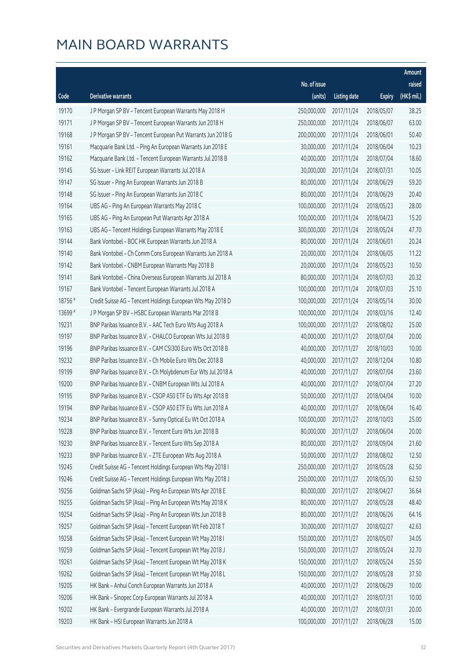|         |                                                              |                        |                     |               | Amount      |
|---------|--------------------------------------------------------------|------------------------|---------------------|---------------|-------------|
|         |                                                              | No. of issue           |                     |               | raised      |
| Code    | Derivative warrants                                          | (units)                | <b>Listing date</b> | <b>Expiry</b> | (HK\$ mil.) |
| 19170   | J P Morgan SP BV - Tencent European Warrants May 2018 H      | 250,000,000            | 2017/11/24          | 2018/05/07    | 38.25       |
| 19171   | J P Morgan SP BV - Tencent European Warrants Jun 2018 H      | 250,000,000            | 2017/11/24          | 2018/06/07    | 63.00       |
| 19168   | J P Morgan SP BV - Tencent European Put Warrants Jun 2018 G  | 200,000,000            | 2017/11/24          | 2018/06/01    | 50.40       |
| 19161   | Macquarie Bank Ltd. - Ping An European Warrants Jun 2018 E   | 30,000,000             | 2017/11/24          | 2018/06/04    | 10.23       |
| 19162   | Macquarie Bank Ltd. - Tencent European Warrants Jul 2018 B   | 40,000,000             | 2017/11/24          | 2018/07/04    | 18.60       |
| 19145   | SG Issuer - Link REIT European Warrants Jul 2018 A           | 30,000,000             | 2017/11/24          | 2018/07/31    | 10.05       |
| 19147   | SG Issuer - Ping An European Warrants Jun 2018 B             | 80,000,000             | 2017/11/24          | 2018/06/29    | 59.20       |
| 19148   | SG Issuer - Ping An European Warrants Jun 2018 C             | 80,000,000             | 2017/11/24          | 2018/06/29    | 20.40       |
| 19164   | UBS AG - Ping An European Warrants May 2018 C                | 100,000,000            | 2017/11/24          | 2018/05/23    | 28.00       |
| 19165   | UBS AG - Ping An European Put Warrants Apr 2018 A            | 100,000,000            | 2017/11/24          | 2018/04/23    | 15.20       |
| 19163   | UBS AG - Tencent Holdings European Warrants May 2018 E       | 300,000,000            | 2017/11/24          | 2018/05/24    | 47.70       |
| 19144   | Bank Vontobel - BOC HK European Warrants Jun 2018 A          | 80,000,000             | 2017/11/24          | 2018/06/01    | 20.24       |
| 19140   | Bank Vontobel - Ch Comm Cons European Warrants Jun 2018 A    | 20,000,000             | 2017/11/24          | 2018/06/05    | 11.22       |
| 19142   | Bank Vontobel - CNBM European Warrants May 2018 B            | 20,000,000             | 2017/11/24          | 2018/05/23    | 10.50       |
| 19141   | Bank Vontobel - China Overseas European Warrants Jul 2018 A  | 80,000,000             | 2017/11/24          | 2018/07/03    | 20.32       |
| 19167   | Bank Vontobel - Tencent European Warrants Jul 2018 A         | 100,000,000            | 2017/11/24          | 2018/07/03    | 25.10       |
| 18756 # | Credit Suisse AG - Tencent Holdings European Wts May 2018 D  | 100,000,000            | 2017/11/24          | 2018/05/14    | 30.00       |
| 13699 # | J P Morgan SP BV - HSBC European Warrants Mar 2018 B         | 100,000,000            | 2017/11/24          | 2018/03/16    | 12.40       |
| 19231   | BNP Paribas Issuance B.V. - AAC Tech Euro Wts Aug 2018 A     | 100,000,000            | 2017/11/27          | 2018/08/02    | 25.00       |
| 19197   | BNP Paribas Issuance B.V. - CHALCO European Wts Jul 2018 B   | 40,000,000             | 2017/11/27          | 2018/07/04    | 20.00       |
| 19196   | BNP Paribas Issuance B.V. - CAM CSI300 Euro Wts Oct 2018 B   | 40,000,000             | 2017/11/27          | 2018/10/03    | 10.00       |
| 19232   | BNP Paribas Issuance B.V. - Ch Mobile Euro Wts Dec 2018 B    | 40,000,000             | 2017/11/27          | 2018/12/04    | 10.80       |
| 19199   | BNP Paribas Issuance B.V. - Ch Molybdenum Eur Wts Jul 2018 A | 40,000,000             | 2017/11/27          | 2018/07/04    | 23.60       |
| 19200   | BNP Paribas Issuance B.V. - CNBM European Wts Jul 2018 A     | 40,000,000             | 2017/11/27          | 2018/07/04    | 27.20       |
| 19195   | BNP Paribas Issuance B.V. - CSOP A50 ETF Eu Wts Apr 2018 B   | 50,000,000             | 2017/11/27          | 2018/04/04    | 10.00       |
| 19194   | BNP Paribas Issuance B.V. - CSOP A50 ETF Eu Wts Jun 2018 A   | 40,000,000             | 2017/11/27          | 2018/06/04    | 16.40       |
| 19234   | BNP Paribas Issuance B.V. - Sunny Optical Eu Wt Oct 2018 A   | 100,000,000 2017/11/27 |                     | 2018/10/03    | 25.00       |
| 19228   | BNP Paribas Issuance B.V. - Tencent Euro Wts Jun 2018 B      | 80,000,000             | 2017/11/27          | 2018/06/04    | 20.00       |
| 19230   | BNP Paribas Issuance B.V. - Tencent Euro Wts Sep 2018 A      | 80,000,000             | 2017/11/27          | 2018/09/04    | 21.60       |
| 19233   | BNP Paribas Issuance B.V. - ZTE European Wts Aug 2018 A      | 50,000,000             | 2017/11/27          | 2018/08/02    | 12.50       |
| 19245   | Credit Suisse AG - Tencent Holdings European Wts May 2018 I  | 250,000,000            | 2017/11/27          | 2018/05/28    | 62.50       |
| 19246   | Credit Suisse AG - Tencent Holdings European Wts May 2018 J  | 250,000,000            | 2017/11/27          | 2018/05/30    | 62.50       |
| 19256   | Goldman Sachs SP (Asia) - Ping An European Wts Apr 2018 E    | 80,000,000             | 2017/11/27          | 2018/04/27    | 36.64       |
| 19255   | Goldman Sachs SP (Asia) - Ping An European Wts May 2018 K    | 80,000,000             | 2017/11/27          | 2018/05/28    | 48.40       |
| 19254   | Goldman Sachs SP (Asia) - Ping An European Wts Jun 2018 B    | 80,000,000             | 2017/11/27          | 2018/06/26    | 64.16       |
| 19257   | Goldman Sachs SP (Asia) - Tencent European Wt Feb 2018 T     | 30,000,000             | 2017/11/27          | 2018/02/27    | 42.63       |
| 19258   | Goldman Sachs SP (Asia) - Tencent European Wt May 2018 I     | 150,000,000            | 2017/11/27          | 2018/05/07    | 34.05       |
| 19259   | Goldman Sachs SP (Asia) - Tencent European Wt May 2018 J     | 150,000,000            | 2017/11/27          | 2018/05/24    | 32.70       |
| 19261   | Goldman Sachs SP (Asia) - Tencent European Wt May 2018 K     | 150,000,000            | 2017/11/27          | 2018/05/24    | 25.50       |
| 19262   | Goldman Sachs SP (Asia) - Tencent European Wt May 2018 L     | 150,000,000            | 2017/11/27          | 2018/05/28    | 37.50       |
| 19205   | HK Bank - Anhui Conch European Warrants Jun 2018 A           | 40,000,000             | 2017/11/27          | 2018/06/29    | 10.00       |
| 19206   | HK Bank - Sinopec Corp European Warrants Jul 2018 A          | 40,000,000             | 2017/11/27          | 2018/07/31    | 10.00       |
| 19202   | HK Bank - Evergrande European Warrants Jul 2018 A            | 40,000,000             | 2017/11/27          | 2018/07/31    | 20.00       |
| 19203   | HK Bank - HSI European Warrants Jun 2018 A                   | 100,000,000            | 2017/11/27          | 2018/06/28    | 15.00       |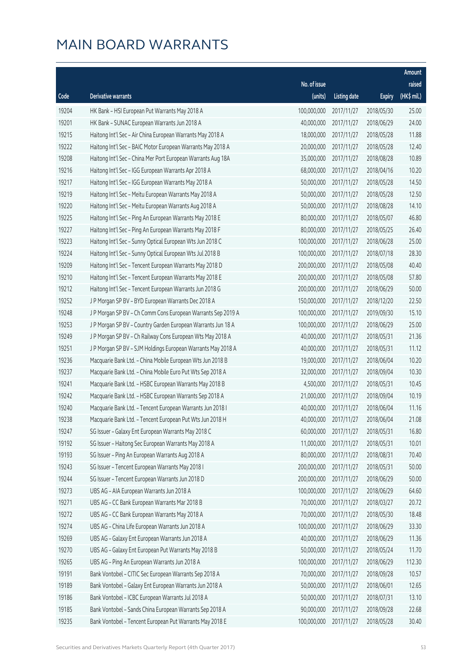|       |                                                              |              |                       |               | Amount      |
|-------|--------------------------------------------------------------|--------------|-----------------------|---------------|-------------|
|       |                                                              | No. of issue |                       |               | raised      |
| Code  | <b>Derivative warrants</b>                                   | (units)      | <b>Listing date</b>   | <b>Expiry</b> | (HK\$ mil.) |
| 19204 | HK Bank - HSI European Put Warrants May 2018 A               | 100,000,000  | 2017/11/27            | 2018/05/30    | 25.00       |
| 19201 | HK Bank - SUNAC European Warrants Jun 2018 A                 | 40,000,000   | 2017/11/27            | 2018/06/29    | 24.00       |
| 19215 | Haitong Int'l Sec - Air China European Warrants May 2018 A   | 18,000,000   | 2017/11/27            | 2018/05/28    | 11.88       |
| 19222 | Haitong Int'l Sec - BAIC Motor European Warrants May 2018 A  | 20,000,000   | 2017/11/27            | 2018/05/28    | 12.40       |
| 19208 | Haitong Int'l Sec - China Mer Port European Warrants Aug 18A | 35,000,000   | 2017/11/27            | 2018/08/28    | 10.89       |
| 19216 | Haitong Int'l Sec - IGG European Warrants Apr 2018 A         | 68,000,000   | 2017/11/27            | 2018/04/16    | 10.20       |
| 19217 | Haitong Int'l Sec - IGG European Warrants May 2018 A         | 50,000,000   | 2017/11/27            | 2018/05/28    | 14.50       |
| 19219 | Haitong Int'l Sec - Meitu European Warrants May 2018 A       | 50,000,000   | 2017/11/27            | 2018/05/28    | 12.50       |
| 19220 | Haitong Int'l Sec - Meitu European Warrants Aug 2018 A       | 50,000,000   | 2017/11/27            | 2018/08/28    | 14.10       |
| 19225 | Haitong Int'l Sec - Ping An European Warrants May 2018 E     | 80,000,000   | 2017/11/27            | 2018/05/07    | 46.80       |
| 19227 | Haitong Int'l Sec - Ping An European Warrants May 2018 F     | 80,000,000   | 2017/11/27            | 2018/05/25    | 26.40       |
| 19223 | Haitong Int'l Sec - Sunny Optical European Wts Jun 2018 C    | 100,000,000  | 2017/11/27            | 2018/06/28    | 25.00       |
| 19224 | Haitong Int'l Sec - Sunny Optical European Wts Jul 2018 B    | 100,000,000  | 2017/11/27            | 2018/07/18    | 28.30       |
| 19209 | Haitong Int'l Sec - Tencent European Warrants May 2018 D     | 200,000,000  | 2017/11/27            | 2018/05/08    | 40.40       |
| 19210 | Haitong Int'l Sec - Tencent European Warrants May 2018 E     | 200,000,000  | 2017/11/27            | 2018/05/08    | 57.80       |
| 19212 | Haitong Int'l Sec - Tencent European Warrants Jun 2018 G     | 200,000,000  | 2017/11/27            | 2018/06/29    | 50.00       |
| 19252 | J P Morgan SP BV - BYD European Warrants Dec 2018 A          | 150,000,000  | 2017/11/27            | 2018/12/20    | 22.50       |
| 19248 | J P Morgan SP BV - Ch Comm Cons European Warrants Sep 2019 A | 100,000,000  | 2017/11/27            | 2019/09/30    | 15.10       |
| 19253 | J P Morgan SP BV - Country Garden European Warrants Jun 18 A | 100,000,000  | 2017/11/27            | 2018/06/29    | 25.00       |
| 19249 | J P Morgan SP BV - Ch Railway Cons European Wts May 2018 A   | 40,000,000   | 2017/11/27            | 2018/05/31    | 21.36       |
| 19251 | J P Morgan SP BV - SJM Holdings European Warrants May 2018 A | 40,000,000   | 2017/11/27            | 2018/05/31    | 11.12       |
| 19236 | Macquarie Bank Ltd. - China Mobile European Wts Jun 2018 B   | 19,000,000   | 2017/11/27            | 2018/06/04    | 10.20       |
| 19237 | Macquarie Bank Ltd. - China Mobile Euro Put Wts Sep 2018 A   | 32,000,000   | 2017/11/27            | 2018/09/04    | 10.30       |
| 19241 | Macquarie Bank Ltd. - HSBC European Warrants May 2018 B      | 4,500,000    | 2017/11/27            | 2018/05/31    | 10.45       |
| 19242 | Macquarie Bank Ltd. - HSBC European Warrants Sep 2018 A      | 21,000,000   | 2017/11/27            | 2018/09/04    | 10.19       |
| 19240 | Macquarie Bank Ltd. - Tencent European Warrants Jun 2018 I   | 40,000,000   | 2017/11/27            | 2018/06/04    | 11.16       |
| 19238 | Macquarie Bank Ltd. - Tencent European Put Wts Jun 2018 H    |              | 40,000,000 2017/11/27 | 2018/06/04    | 21.08       |
| 19247 | SG Issuer - Galaxy Ent European Warrants May 2018 C          | 60,000,000   | 2017/11/27            | 2018/05/31    | 16.80       |
| 19192 | SG Issuer - Haitong Sec European Warrants May 2018 A         | 11,000,000   | 2017/11/27            | 2018/05/31    | 10.01       |
| 19193 | SG Issuer - Ping An European Warrants Aug 2018 A             | 80,000,000   | 2017/11/27            | 2018/08/31    | 70.40       |
| 19243 | SG Issuer - Tencent European Warrants May 2018 I             | 200,000,000  | 2017/11/27            | 2018/05/31    | 50.00       |
| 19244 | SG Issuer - Tencent European Warrants Jun 2018 D             | 200,000,000  | 2017/11/27            | 2018/06/29    | 50.00       |
| 19273 | UBS AG - AIA European Warrants Jun 2018 A                    | 100,000,000  | 2017/11/27            | 2018/06/29    | 64.60       |
| 19271 | UBS AG - CC Bank European Warrants Mar 2018 B                | 70,000,000   | 2017/11/27            | 2018/03/27    | 20.72       |
| 19272 | UBS AG - CC Bank European Warrants May 2018 A                | 70,000,000   | 2017/11/27            | 2018/05/30    | 18.48       |
| 19274 | UBS AG - China Life European Warrants Jun 2018 A             | 100,000,000  | 2017/11/27            | 2018/06/29    | 33.30       |
| 19269 | UBS AG - Galaxy Ent European Warrants Jun 2018 A             | 40,000,000   | 2017/11/27            | 2018/06/29    | 11.36       |
| 19270 | UBS AG - Galaxy Ent European Put Warrants May 2018 B         | 50,000,000   | 2017/11/27            | 2018/05/24    | 11.70       |
| 19265 | UBS AG - Ping An European Warrants Jun 2018 A                | 100,000,000  | 2017/11/27            | 2018/06/29    | 112.30      |
| 19191 | Bank Vontobel - CITIC Sec European Warrants Sep 2018 A       | 70,000,000   | 2017/11/27            | 2018/09/28    | 10.57       |
| 19189 | Bank Vontobel - Galaxy Ent European Warrants Jun 2018 A      | 50,000,000   | 2017/11/27            | 2018/06/01    | 12.65       |
| 19186 | Bank Vontobel - ICBC European Warrants Jul 2018 A            | 50,000,000   | 2017/11/27            | 2018/07/31    | 13.10       |
| 19185 | Bank Vontobel - Sands China European Warrants Sep 2018 A     | 90,000,000   | 2017/11/27            | 2018/09/28    | 22.68       |
| 19235 | Bank Vontobel - Tencent European Put Warrants May 2018 E     | 100,000,000  | 2017/11/27            | 2018/05/28    | 30.40       |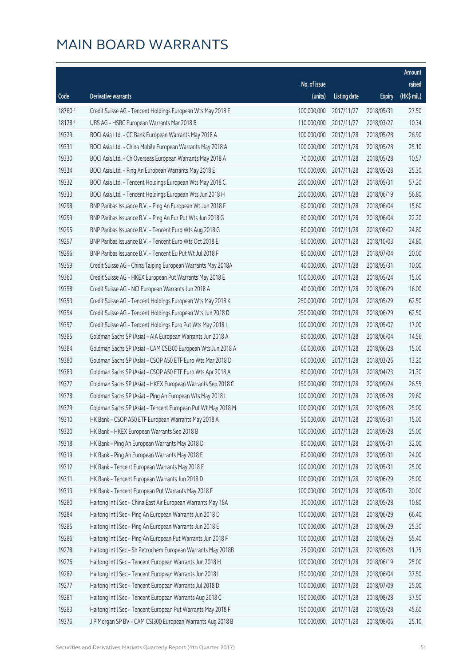|         |                                                              |              |                       |               | Amount      |
|---------|--------------------------------------------------------------|--------------|-----------------------|---------------|-------------|
|         |                                                              | No. of issue |                       |               | raised      |
| Code    | Derivative warrants                                          | (units)      | <b>Listing date</b>   | <b>Expiry</b> | (HK\$ mil.) |
| 18760 # | Credit Suisse AG - Tencent Holdings European Wts May 2018 F  | 100,000,000  | 2017/11/27            | 2018/05/31    | 27.50       |
| 18128 # | UBS AG - HSBC European Warrants Mar 2018 B                   | 110,000,000  | 2017/11/27            | 2018/03/27    | 10.34       |
| 19329   | BOCI Asia Ltd. - CC Bank European Warrants May 2018 A        | 100,000,000  | 2017/11/28            | 2018/05/28    | 26.90       |
| 19331   | BOCI Asia Ltd. - China Mobile European Warrants May 2018 A   | 100,000,000  | 2017/11/28            | 2018/05/28    | 25.10       |
| 19330   | BOCI Asia Ltd. - Ch Overseas European Warrants May 2018 A    | 70,000,000   | 2017/11/28            | 2018/05/28    | 10.57       |
| 19334   | BOCI Asia Ltd. - Ping An European Warrants May 2018 E        | 100,000,000  | 2017/11/28            | 2018/05/28    | 25.30       |
| 19332   | BOCI Asia Ltd. - Tencent Holdings European Wts May 2018 C    | 200,000,000  | 2017/11/28            | 2018/05/31    | 57.20       |
| 19333   | BOCI Asia Ltd. - Tencent Holdings European Wts Jun 2018 H    | 200,000,000  | 2017/11/28            | 2018/06/19    | 56.80       |
| 19298   | BNP Paribas Issuance B.V. - Ping An European Wt Jun 2018 F   | 60,000,000   | 2017/11/28            | 2018/06/04    | 15.60       |
| 19299   | BNP Paribas Issuance B.V. - Ping An Eur Put Wts Jun 2018 G   | 60,000,000   | 2017/11/28            | 2018/06/04    | 22.20       |
| 19295   | BNP Paribas Issuance B.V. - Tencent Euro Wts Aug 2018 G      | 80,000,000   | 2017/11/28            | 2018/08/02    | 24.80       |
| 19297   | BNP Paribas Issuance B.V. - Tencent Euro Wts Oct 2018 E      | 80,000,000   | 2017/11/28            | 2018/10/03    | 24.80       |
| 19296   | BNP Paribas Issuance B.V. - Tencent Eu Put Wt Jul 2018 F     | 80,000,000   | 2017/11/28            | 2018/07/04    | 20.00       |
| 19359   | Credit Suisse AG - China Taiping European Warrants May 2018A | 40,000,000   | 2017/11/28            | 2018/05/31    | 10.00       |
| 19360   | Credit Suisse AG - HKEX European Put Warrants May 2018 E     | 100,000,000  | 2017/11/28            | 2018/05/24    | 15.00       |
| 19358   | Credit Suisse AG - NCI European Warrants Jun 2018 A          | 40,000,000   | 2017/11/28            | 2018/06/29    | 16.00       |
| 19353   | Credit Suisse AG - Tencent Holdings European Wts May 2018 K  | 250,000,000  | 2017/11/28            | 2018/05/29    | 62.50       |
| 19354   | Credit Suisse AG - Tencent Holdings European Wts Jun 2018 D  | 250,000,000  | 2017/11/28            | 2018/06/29    | 62.50       |
| 19357   | Credit Suisse AG - Tencent Holdings Euro Put Wts May 2018 L  | 100,000,000  | 2017/11/28            | 2018/05/07    | 17.00       |
| 19385   | Goldman Sachs SP (Asia) - AIA European Warrants Jun 2018 A   | 80,000,000   | 2017/11/28            | 2018/06/04    | 14.56       |
| 19384   | Goldman Sachs SP (Asia) - CAM CSI300 European Wts Jun 2018 A | 60,000,000   | 2017/11/28            | 2018/06/28    | 15.00       |
| 19380   | Goldman Sachs SP (Asia) - CSOP A50 ETF Euro Wts Mar 2018 D   | 60,000,000   | 2017/11/28            | 2018/03/26    | 13.20       |
| 19383   | Goldman Sachs SP (Asia) - CSOP A50 ETF Euro Wts Apr 2018 A   | 60,000,000   | 2017/11/28            | 2018/04/23    | 21.30       |
| 19377   | Goldman Sachs SP (Asia) - HKEX European Warrants Sep 2018 C  | 150,000,000  | 2017/11/28            | 2018/09/24    | 26.55       |
| 19378   | Goldman Sachs SP (Asia) - Ping An European Wts May 2018 L    | 100,000,000  | 2017/11/28            | 2018/05/28    | 29.60       |
| 19379   | Goldman Sachs SP (Asia) - Tencent European Put Wt May 2018 M | 100,000,000  | 2017/11/28            | 2018/05/28    | 25.00       |
| 19310   | HK Bank - CSOP A50 ETF European Warrants May 2018 A          |              | 50,000,000 2017/11/28 | 2018/05/31    | 15.00       |
| 19320   | HK Bank - HKEX European Warrants Sep 2018 B                  | 100,000,000  | 2017/11/28            | 2018/09/28    | 25.00       |
| 19318   | HK Bank - Ping An European Warrants May 2018 D               | 80,000,000   | 2017/11/28            | 2018/05/31    | 32.00       |
| 19319   | HK Bank - Ping An European Warrants May 2018 E               | 80,000,000   | 2017/11/28            | 2018/05/31    | 24.00       |
| 19312   | HK Bank - Tencent European Warrants May 2018 E               | 100,000,000  | 2017/11/28            | 2018/05/31    | 25.00       |
| 19311   | HK Bank - Tencent European Warrants Jun 2018 D               | 100,000,000  | 2017/11/28            | 2018/06/29    | 25.00       |
| 19313   | HK Bank - Tencent European Put Warrants May 2018 F           | 100,000,000  | 2017/11/28            | 2018/05/31    | 30.00       |
| 19280   | Haitong Int'l Sec - China East Air European Warrants May 18A | 30,000,000   | 2017/11/28            | 2018/05/28    | 10.80       |
| 19284   | Haitong Int'l Sec - Ping An European Warrants Jun 2018 D     | 100,000,000  | 2017/11/28            | 2018/06/29    | 66.40       |
| 19285   | Haitong Int'l Sec - Ping An European Warrants Jun 2018 E     | 100,000,000  | 2017/11/28            | 2018/06/29    | 25.30       |
| 19286   | Haitong Int'l Sec - Ping An European Put Warrants Jun 2018 F | 100,000,000  | 2017/11/28            | 2018/06/29    | 55.40       |
| 19278   | Haitong Int'l Sec - Sh Petrochem European Warrants May 2018B | 25,000,000   | 2017/11/28            | 2018/05/28    | 11.75       |
| 19276   | Haitong Int'l Sec - Tencent European Warrants Jun 2018 H     | 100,000,000  | 2017/11/28            | 2018/06/19    | 25.00       |
| 19282   | Haitong Int'l Sec - Tencent European Warrants Jun 2018 I     | 150,000,000  | 2017/11/28            | 2018/06/04    | 37.50       |
| 19277   | Haitong Int'l Sec - Tencent European Warrants Jul 2018 D     | 100,000,000  | 2017/11/28            | 2018/07/09    | 25.00       |
| 19281   | Haitong Int'l Sec - Tencent European Warrants Aug 2018 C     | 150,000,000  | 2017/11/28            | 2018/08/28    | 37.50       |
| 19283   | Haitong Int'l Sec - Tencent European Put Warrants May 2018 F | 150,000,000  | 2017/11/28            | 2018/05/28    | 45.60       |
| 19376   | J P Morgan SP BV - CAM CSI300 European Warrants Aug 2018 B   | 100,000,000  | 2017/11/28            | 2018/08/06    | 25.10       |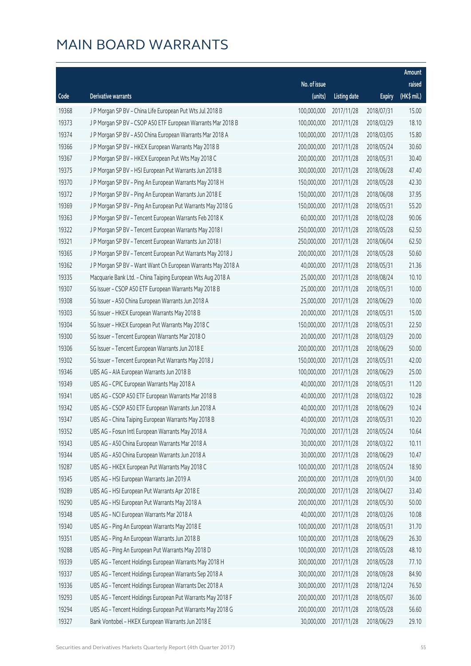|       |                                                              |              |                       |               | Amount       |
|-------|--------------------------------------------------------------|--------------|-----------------------|---------------|--------------|
|       |                                                              | No. of issue |                       |               | raised       |
| Code  | Derivative warrants                                          | (units)      | <b>Listing date</b>   | <b>Expiry</b> | $(HK$$ mil.) |
| 19368 | J P Morgan SP BV - China Life European Put Wts Jul 2018 B    | 100,000,000  | 2017/11/28            | 2018/07/31    | 15.00        |
| 19373 | J P Morgan SP BV - CSOP A50 ETF European Warrants Mar 2018 B | 100,000,000  | 2017/11/28            | 2018/03/29    | 18.10        |
| 19374 | J P Morgan SP BV - A50 China European Warrants Mar 2018 A    | 100,000,000  | 2017/11/28            | 2018/03/05    | 15.80        |
| 19366 | J P Morgan SP BV - HKEX European Warrants May 2018 B         | 200,000,000  | 2017/11/28            | 2018/05/24    | 30.60        |
| 19367 | J P Morgan SP BV - HKEX European Put Wts May 2018 C          | 200,000,000  | 2017/11/28            | 2018/05/31    | 30.40        |
| 19375 | J P Morgan SP BV - HSI European Put Warrants Jun 2018 B      | 300,000,000  | 2017/11/28            | 2018/06/28    | 47.40        |
| 19370 | J P Morgan SP BV - Ping An European Warrants May 2018 H      | 150,000,000  | 2017/11/28            | 2018/05/28    | 42.30        |
| 19372 | J P Morgan SP BV - Ping An European Warrants Jun 2018 E      | 150,000,000  | 2017/11/28            | 2018/06/08    | 37.95        |
| 19369 | J P Morgan SP BV - Ping An European Put Warrants May 2018 G  | 150,000,000  | 2017/11/28            | 2018/05/31    | 55.20        |
| 19363 | J P Morgan SP BV - Tencent European Warrants Feb 2018 K      | 60,000,000   | 2017/11/28            | 2018/02/28    | 90.06        |
| 19322 | J P Morgan SP BV - Tencent European Warrants May 2018 I      | 250,000,000  | 2017/11/28            | 2018/05/28    | 62.50        |
| 19321 | J P Morgan SP BV - Tencent European Warrants Jun 2018 I      | 250,000,000  | 2017/11/28            | 2018/06/04    | 62.50        |
| 19365 | J P Morgan SP BV - Tencent European Put Warrants May 2018 J  | 200,000,000  | 2017/11/28            | 2018/05/28    | 50.60        |
| 19362 | J P Morgan SP BV - Want Want Ch European Warrants May 2018 A | 40,000,000   | 2017/11/28            | 2018/05/31    | 21.36        |
| 19335 | Macquarie Bank Ltd. - China Taiping European Wts Aug 2018 A  | 25,000,000   | 2017/11/28            | 2018/08/24    | 10.10        |
| 19307 | SG Issuer - CSOP A50 ETF European Warrants May 2018 B        | 25,000,000   | 2017/11/28            | 2018/05/31    | 10.00        |
| 19308 | SG Issuer - A50 China European Warrants Jun 2018 A           | 25,000,000   | 2017/11/28            | 2018/06/29    | 10.00        |
| 19303 | SG Issuer - HKEX European Warrants May 2018 B                | 20,000,000   | 2017/11/28            | 2018/05/31    | 15.00        |
| 19304 | SG Issuer - HKEX European Put Warrants May 2018 C            | 150,000,000  | 2017/11/28            | 2018/05/31    | 22.50        |
| 19300 | SG Issuer - Tencent European Warrants Mar 2018 O             | 20,000,000   | 2017/11/28            | 2018/03/29    | 20.00        |
| 19306 | SG Issuer - Tencent European Warrants Jun 2018 E             | 200,000,000  | 2017/11/28            | 2018/06/29    | 50.00        |
| 19302 | SG Issuer - Tencent European Put Warrants May 2018 J         | 150,000,000  | 2017/11/28            | 2018/05/31    | 42.00        |
| 19346 | UBS AG - AIA European Warrants Jun 2018 B                    | 100,000,000  | 2017/11/28            | 2018/06/29    | 25.00        |
| 19349 | UBS AG - CPIC European Warrants May 2018 A                   | 40,000,000   | 2017/11/28            | 2018/05/31    | 11.20        |
| 19341 | UBS AG - CSOP A50 ETF European Warrants Mar 2018 B           | 40,000,000   | 2017/11/28            | 2018/03/22    | 10.28        |
| 19342 | UBS AG - CSOP A50 ETF European Warrants Jun 2018 A           | 40,000,000   | 2017/11/28            | 2018/06/29    | 10.24        |
| 19347 | UBS AG - China Taiping European Warrants May 2018 B          |              | 40,000,000 2017/11/28 | 2018/05/31    | 10.20        |
| 19352 | UBS AG - Fosun Intl European Warrants May 2018 A             | 70,000,000   | 2017/11/28            | 2018/05/24    | 10.64        |
| 19343 | UBS AG - A50 China European Warrants Mar 2018 A              | 30,000,000   | 2017/11/28            | 2018/03/22    | 10.11        |
| 19344 | UBS AG - A50 China European Warrants Jun 2018 A              | 30,000,000   | 2017/11/28            | 2018/06/29    | 10.47        |
| 19287 | UBS AG - HKEX European Put Warrants May 2018 C               | 100,000,000  | 2017/11/28            | 2018/05/24    | 18.90        |
| 19345 | UBS AG - HSI European Warrants Jan 2019 A                    | 200,000,000  | 2017/11/28            | 2019/01/30    | 34.00        |
| 19289 | UBS AG - HSI European Put Warrants Apr 2018 E                | 200,000,000  | 2017/11/28            | 2018/04/27    | 33.40        |
| 19290 | UBS AG - HSI European Put Warrants May 2018 A                | 200,000,000  | 2017/11/28            | 2018/05/30    | 50.00        |
| 19348 | UBS AG - NCI European Warrants Mar 2018 A                    | 40,000,000   | 2017/11/28            | 2018/03/26    | 10.08        |
| 19340 | UBS AG - Ping An European Warrants May 2018 E                | 100,000,000  | 2017/11/28            | 2018/05/31    | 31.70        |
| 19351 | UBS AG - Ping An European Warrants Jun 2018 B                | 100,000,000  | 2017/11/28            | 2018/06/29    | 26.30        |
| 19288 | UBS AG - Ping An European Put Warrants May 2018 D            | 100,000,000  | 2017/11/28            | 2018/05/28    | 48.10        |
| 19339 | UBS AG - Tencent Holdings European Warrants May 2018 H       | 300,000,000  | 2017/11/28            | 2018/05/28    | 77.10        |
| 19337 | UBS AG - Tencent Holdings European Warrants Sep 2018 A       | 300,000,000  | 2017/11/28            | 2018/09/28    | 84.90        |
| 19336 | UBS AG - Tencent Holdings European Warrants Dec 2018 A       | 300,000,000  | 2017/11/28            | 2018/12/24    | 76.50        |
| 19293 | UBS AG - Tencent Holdings European Put Warrants May 2018 F   | 200,000,000  | 2017/11/28            | 2018/05/07    | 36.00        |
| 19294 | UBS AG - Tencent Holdings European Put Warrants May 2018 G   | 200,000,000  | 2017/11/28            | 2018/05/28    | 56.60        |
| 19327 | Bank Vontobel - HKEX European Warrants Jun 2018 E            | 30,000,000   | 2017/11/28            | 2018/06/29    | 29.10        |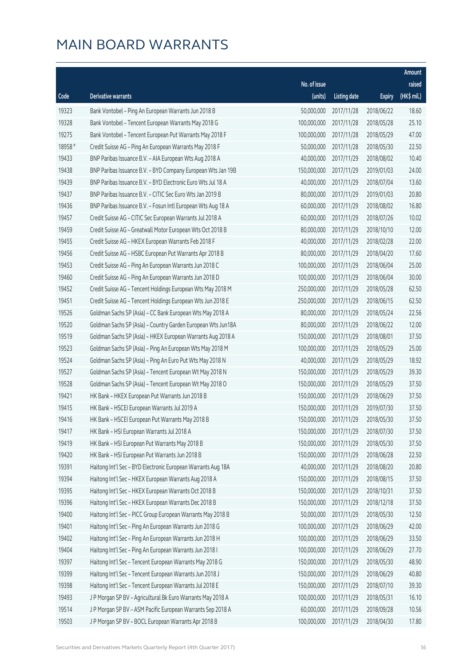|         |                                                              |                        |                     |               | Amount      |
|---------|--------------------------------------------------------------|------------------------|---------------------|---------------|-------------|
|         |                                                              | No. of issue           |                     |               | raised      |
| Code    | Derivative warrants                                          | (units)                | <b>Listing date</b> | <b>Expiry</b> | (HK\$ mil.) |
| 19323   | Bank Vontobel - Ping An European Warrants Jun 2018 B         | 50,000,000             | 2017/11/28          | 2018/06/22    | 18.60       |
| 19328   | Bank Vontobel - Tencent European Warrants May 2018 G         | 100,000,000            | 2017/11/28          | 2018/05/28    | 25.10       |
| 19275   | Bank Vontobel - Tencent European Put Warrants May 2018 F     | 100,000,000            | 2017/11/28          | 2018/05/29    | 47.00       |
| 18958 # | Credit Suisse AG - Ping An European Warrants May 2018 F      | 50,000,000             | 2017/11/28          | 2018/05/30    | 22.50       |
| 19433   | BNP Paribas Issuance B.V. - AIA European Wts Aug 2018 A      | 40,000,000             | 2017/11/29          | 2018/08/02    | 10.40       |
| 19438   | BNP Paribas Issuance B.V. - BYD Company European Wts Jan 19B | 150,000,000            | 2017/11/29          | 2019/01/03    | 24.00       |
| 19439   | BNP Paribas Issuance B.V. - BYD Electronic Euro Wts Jul 18 A | 40,000,000             | 2017/11/29          | 2018/07/04    | 13.60       |
| 19437   | BNP Paribas Issuance B.V. - CITIC Sec Euro Wts Jan 2019 B    | 80,000,000             | 2017/11/29          | 2019/01/03    | 20.80       |
| 19436   | BNP Paribas Issuance B.V. - Fosun Intl European Wts Aug 18 A | 60,000,000             | 2017/11/29          | 2018/08/02    | 16.80       |
| 19457   | Credit Suisse AG - CITIC Sec European Warrants Jul 2018 A    | 60,000,000             | 2017/11/29          | 2018/07/26    | 10.02       |
| 19459   | Credit Suisse AG - Greatwall Motor European Wts Oct 2018 B   | 80,000,000             | 2017/11/29          | 2018/10/10    | 12.00       |
| 19455   | Credit Suisse AG - HKEX European Warrants Feb 2018 F         | 40,000,000             | 2017/11/29          | 2018/02/28    | 22.00       |
| 19456   | Credit Suisse AG - HSBC European Put Warrants Apr 2018 B     | 80,000,000             | 2017/11/29          | 2018/04/20    | 17.60       |
| 19453   | Credit Suisse AG - Ping An European Warrants Jun 2018 C      | 100,000,000            | 2017/11/29          | 2018/06/04    | 25.00       |
| 19460   | Credit Suisse AG - Ping An European Warrants Jun 2018 D      | 100,000,000            | 2017/11/29          | 2018/06/04    | 30.00       |
| 19452   | Credit Suisse AG - Tencent Holdings European Wts May 2018 M  | 250,000,000            | 2017/11/29          | 2018/05/28    | 62.50       |
| 19451   | Credit Suisse AG - Tencent Holdings European Wts Jun 2018 E  | 250,000,000            | 2017/11/29          | 2018/06/15    | 62.50       |
| 19526   | Goldman Sachs SP (Asia) - CC Bank European Wts May 2018 A    | 80,000,000             | 2017/11/29          | 2018/05/24    | 22.56       |
| 19520   | Goldman Sachs SP (Asia) - Country Garden European Wts Jun18A | 80,000,000             | 2017/11/29          | 2018/06/22    | 12.00       |
| 19519   | Goldman Sachs SP (Asia) - HKEX European Warrants Aug 2018 A  | 150,000,000            | 2017/11/29          | 2018/08/01    | 37.50       |
| 19523   | Goldman Sachs SP (Asia) - Ping An European Wts May 2018 M    | 100,000,000            | 2017/11/29          | 2018/05/29    | 25.00       |
| 19524   | Goldman Sachs SP (Asia) - Ping An Euro Put Wts May 2018 N    | 40,000,000             | 2017/11/29          | 2018/05/29    | 18.92       |
| 19527   | Goldman Sachs SP (Asia) - Tencent European Wt May 2018 N     | 150,000,000            | 2017/11/29          | 2018/05/29    | 39.30       |
| 19528   | Goldman Sachs SP (Asia) - Tencent European Wt May 2018 O     | 150,000,000            | 2017/11/29          | 2018/05/29    | 37.50       |
| 19421   | HK Bank - HKEX European Put Warrants Jun 2018 B              | 150,000,000            | 2017/11/29          | 2018/06/29    | 37.50       |
| 19415   | HK Bank - HSCEI European Warrants Jul 2019 A                 | 150,000,000            | 2017/11/29          | 2019/07/30    | 37.50       |
| 19416   | HK Bank - HSCEI European Put Warrants May 2018 B             | 150,000,000 2017/11/29 |                     | 2018/05/30    | 37.50       |
| 19417   | HK Bank - HSI European Warrants Jul 2018 A                   | 150,000,000            | 2017/11/29          | 2018/07/30    | 37.50       |
| 19419   | HK Bank - HSI European Put Warrants May 2018 B               | 150,000,000            | 2017/11/29          | 2018/05/30    | 37.50       |
| 19420   | HK Bank - HSI European Put Warrants Jun 2018 B               | 150,000,000            | 2017/11/29          | 2018/06/28    | 22.50       |
| 19391   | Haitong Int'l Sec - BYD Electronic European Warrants Aug 18A | 40,000,000             | 2017/11/29          | 2018/08/20    | 20.80       |
| 19394   | Haitong Int'l Sec - HKEX European Warrants Aug 2018 A        | 150,000,000            | 2017/11/29          | 2018/08/15    | 37.50       |
| 19395   | Haitong Int'l Sec - HKEX European Warrants Oct 2018 B        | 150,000,000            | 2017/11/29          | 2018/10/31    | 37.50       |
| 19396   | Haitong Int'l Sec - HKEX European Warrants Dec 2018 B        | 150,000,000            | 2017/11/29          | 2018/12/18    | 37.50       |
| 19400   | Haitong Int'l Sec - PICC Group European Warrants May 2018 B  | 50,000,000             | 2017/11/29          | 2018/05/30    | 12.50       |
| 19401   | Haitong Int'l Sec - Ping An European Warrants Jun 2018 G     | 100,000,000            | 2017/11/29          | 2018/06/29    | 42.00       |
| 19402   | Haitong Int'l Sec - Ping An European Warrants Jun 2018 H     | 100,000,000            | 2017/11/29          | 2018/06/29    | 33.50       |
| 19404   | Haitong Int'l Sec - Ping An European Warrants Jun 2018 I     | 100,000,000            | 2017/11/29          | 2018/06/29    | 27.70       |
| 19397   | Haitong Int'l Sec - Tencent European Warrants May 2018 G     | 150,000,000            | 2017/11/29          | 2018/05/30    | 48.90       |
| 19399   | Haitong Int'l Sec - Tencent European Warrants Jun 2018 J     | 150,000,000            | 2017/11/29          | 2018/06/29    | 40.80       |
| 19398   | Haitong Int'l Sec - Tencent European Warrants Jul 2018 E     | 150,000,000            | 2017/11/29          | 2018/07/10    | 39.30       |
| 19493   | J P Morgan SP BV - Agricultural Bk Euro Warrants May 2018 A  | 100,000,000            | 2017/11/29          | 2018/05/31    | 16.10       |
| 19514   | J P Morgan SP BV - ASM Pacific European Warrants Sep 2018 A  | 60,000,000             | 2017/11/29          | 2018/09/28    | 10.56       |
| 19503   | J P Morgan SP BV - BOCL European Warrants Apr 2018 B         | 100,000,000            | 2017/11/29          | 2018/04/30    | 17.80       |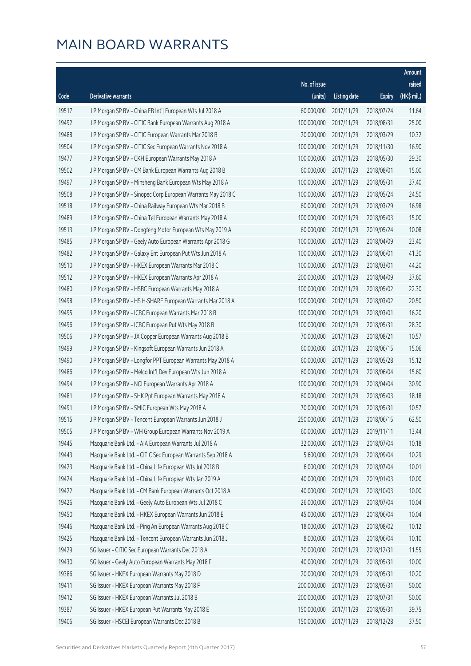|       |                                                              |                        |                     |               | Amount      |
|-------|--------------------------------------------------------------|------------------------|---------------------|---------------|-------------|
|       |                                                              | No. of issue           |                     |               | raised      |
| Code  | Derivative warrants                                          | (units)                | <b>Listing date</b> | <b>Expiry</b> | (HK\$ mil.) |
| 19517 | J P Morgan SP BV - China EB Int'l European Wts Jul 2018 A    | 60,000,000             | 2017/11/29          | 2018/07/24    | 11.64       |
| 19492 | J P Morgan SP BV - CITIC Bank European Warrants Aug 2018 A   | 100,000,000            | 2017/11/29          | 2018/08/31    | 25.00       |
| 19488 | J P Morgan SP BV - CITIC European Warrants Mar 2018 B        | 20,000,000             | 2017/11/29          | 2018/03/29    | 10.32       |
| 19504 | J P Morgan SP BV - CITIC Sec European Warrants Nov 2018 A    | 100,000,000            | 2017/11/29          | 2018/11/30    | 16.90       |
| 19477 | J P Morgan SP BV - CKH European Warrants May 2018 A          | 100,000,000            | 2017/11/29          | 2018/05/30    | 29.30       |
| 19502 | J P Morgan SP BV - CM Bank European Warrants Aug 2018 B      | 60,000,000             | 2017/11/29          | 2018/08/01    | 15.00       |
| 19497 | J P Morgan SP BV - Minsheng Bank European Wts May 2018 A     | 100,000,000            | 2017/11/29          | 2018/05/31    | 37.40       |
| 19508 | J P Morgan SP BV - Sinopec Corp European Warrants May 2018 C | 100,000,000            | 2017/11/29          | 2018/05/24    | 24.50       |
| 19518 | J P Morgan SP BV - China Railway European Wts Mar 2018 B     | 60,000,000             | 2017/11/29          | 2018/03/29    | 16.98       |
| 19489 | J P Morgan SP BV - China Tel European Warrants May 2018 A    | 100,000,000            | 2017/11/29          | 2018/05/03    | 15.00       |
| 19513 | J P Morgan SP BV - Dongfeng Motor European Wts May 2019 A    | 60,000,000             | 2017/11/29          | 2019/05/24    | 10.08       |
| 19485 | J P Morgan SP BV - Geely Auto European Warrants Apr 2018 G   | 100,000,000            | 2017/11/29          | 2018/04/09    | 23.40       |
| 19482 | J P Morgan SP BV - Galaxy Ent European Put Wts Jun 2018 A    | 100,000,000            | 2017/11/29          | 2018/06/01    | 41.30       |
| 19510 | J P Morgan SP BV - HKEX European Warrants Mar 2018 C         | 100,000,000            | 2017/11/29          | 2018/03/01    | 44.20       |
| 19512 | J P Morgan SP BV - HKEX European Warrants Apr 2018 A         | 200,000,000            | 2017/11/29          | 2018/04/09    | 37.60       |
| 19480 | J P Morgan SP BV - HSBC European Warrants May 2018 A         | 100,000,000            | 2017/11/29          | 2018/05/02    | 22.30       |
| 19498 | J P Morgan SP BV - HS H-SHARE European Warrants Mar 2018 A   | 100,000,000            | 2017/11/29          | 2018/03/02    | 20.50       |
| 19495 | J P Morgan SP BV - ICBC European Warrants Mar 2018 B         | 100,000,000            | 2017/11/29          | 2018/03/01    | 16.20       |
| 19496 | J P Morgan SP BV - ICBC European Put Wts May 2018 B          | 100,000,000            | 2017/11/29          | 2018/05/31    | 28.30       |
| 19506 | J P Morgan SP BV - JX Copper European Warrants Aug 2018 B    | 70,000,000             | 2017/11/29          | 2018/08/21    | 10.57       |
| 19499 | J P Morgan SP BV - Kingsoft European Warrants Jun 2018 A     | 60,000,000             | 2017/11/29          | 2018/06/15    | 15.06       |
| 19490 | J P Morgan SP BV - Longfor PPT European Warrants May 2018 A  | 60,000,000             | 2017/11/29          | 2018/05/28    | 15.12       |
| 19486 | J P Morgan SP BV - Melco Int'l Dev European Wts Jun 2018 A   | 60,000,000             | 2017/11/29          | 2018/06/04    | 15.60       |
| 19494 | J P Morgan SP BV - NCI European Warrants Apr 2018 A          | 100,000,000            | 2017/11/29          | 2018/04/04    | 30.90       |
| 19481 | J P Morgan SP BV - SHK Ppt European Warrants May 2018 A      | 60,000,000             | 2017/11/29          | 2018/05/03    | 18.18       |
| 19491 | J P Morgan SP BV - SMIC European Wts May 2018 A              | 70,000,000             | 2017/11/29          | 2018/05/31    | 10.57       |
| 19515 | J P Morgan SP BV - Tencent European Warrants Jun 2018 J      | 250,000,000 2017/11/29 |                     | 2018/06/15    | 62.50       |
| 19505 | J P Morgan SP BV - WH Group European Warrants Nov 2019 A     | 60,000,000             | 2017/11/29          | 2019/11/11    | 13.44       |
| 19445 | Macquarie Bank Ltd. - AIA European Warrants Jul 2018 A       | 32,000,000             | 2017/11/29          | 2018/07/04    | 10.18       |
| 19443 | Macquarie Bank Ltd. - CITIC Sec European Warrants Sep 2018 A | 5,600,000              | 2017/11/29          | 2018/09/04    | 10.29       |
| 19423 | Macquarie Bank Ltd. - China Life European Wts Jul 2018 B     | 6,000,000              | 2017/11/29          | 2018/07/04    | 10.01       |
| 19424 | Macquarie Bank Ltd. - China Life European Wts Jan 2019 A     | 40,000,000             | 2017/11/29          | 2019/01/03    | 10.00       |
| 19422 | Macquarie Bank Ltd. - CM Bank European Warrants Oct 2018 A   | 40,000,000             | 2017/11/29          | 2018/10/03    | 10.00       |
| 19426 | Macquarie Bank Ltd. - Geely Auto European Wts Jul 2018 C     | 26,000,000             | 2017/11/29          | 2018/07/04    | 10.04       |
| 19450 | Macquarie Bank Ltd. - HKEX European Warrants Jun 2018 E      | 45,000,000             | 2017/11/29          | 2018/06/04    | 10.04       |
| 19446 | Macquarie Bank Ltd. - Ping An European Warrants Aug 2018 C   | 18,000,000             | 2017/11/29          | 2018/08/02    | 10.12       |
| 19425 | Macquarie Bank Ltd. - Tencent European Warrants Jun 2018 J   | 8,000,000              | 2017/11/29          | 2018/06/04    | 10.10       |
| 19429 | SG Issuer - CITIC Sec European Warrants Dec 2018 A           | 70,000,000             | 2017/11/29          | 2018/12/31    | 11.55       |
| 19430 | SG Issuer - Geely Auto European Warrants May 2018 F          | 40,000,000             | 2017/11/29          | 2018/05/31    | 10.00       |
| 19386 | SG Issuer - HKEX European Warrants May 2018 D                | 20,000,000             | 2017/11/29          | 2018/05/31    | 10.20       |
| 19411 | SG Issuer - HKEX European Warrants May 2018 F                | 200,000,000            | 2017/11/29          | 2018/05/31    | 50.00       |
| 19412 | SG Issuer - HKEX European Warrants Jul 2018 B                | 200,000,000            | 2017/11/29          | 2018/07/31    | 50.00       |
| 19387 | SG Issuer - HKEX European Put Warrants May 2018 E            | 150,000,000            | 2017/11/29          | 2018/05/31    | 39.75       |
| 19406 | SG Issuer - HSCEI European Warrants Dec 2018 B               | 150,000,000            | 2017/11/29          | 2018/12/28    | 37.50       |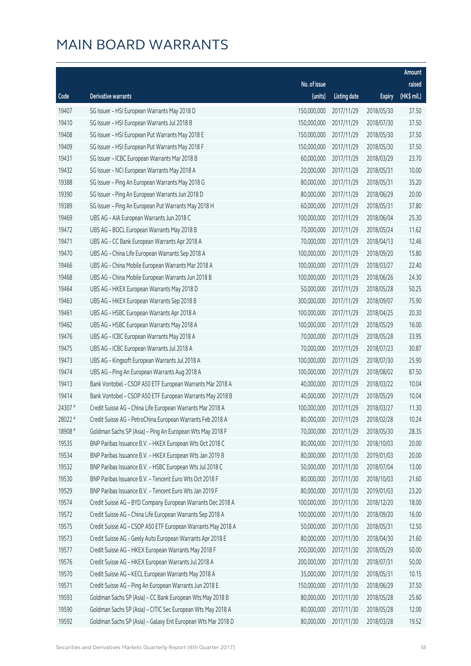|         |                                                              |              |                       |               | Amount      |
|---------|--------------------------------------------------------------|--------------|-----------------------|---------------|-------------|
|         |                                                              | No. of issue |                       |               | raised      |
| Code    | <b>Derivative warrants</b>                                   | (units)      | <b>Listing date</b>   | <b>Expiry</b> | (HK\$ mil.) |
| 19407   | SG Issuer - HSI European Warrants May 2018 D                 | 150,000,000  | 2017/11/29            | 2018/05/30    | 37.50       |
| 19410   | SG Issuer - HSI European Warrants Jul 2018 B                 | 150,000,000  | 2017/11/29            | 2018/07/30    | 37.50       |
| 19408   | SG Issuer - HSI European Put Warrants May 2018 E             | 150,000,000  | 2017/11/29            | 2018/05/30    | 37.50       |
| 19409   | SG Issuer - HSI European Put Warrants May 2018 F             | 150,000,000  | 2017/11/29            | 2018/05/30    | 37.50       |
| 19431   | SG Issuer - ICBC European Warrants Mar 2018 B                | 60,000,000   | 2017/11/29            | 2018/03/29    | 23.70       |
| 19432   | SG Issuer - NCI European Warrants May 2018 A                 | 20,000,000   | 2017/11/29            | 2018/05/31    | 10.00       |
| 19388   | SG Issuer - Ping An European Warrants May 2018 G             | 80,000,000   | 2017/11/29            | 2018/05/31    | 35.20       |
| 19390   | SG Issuer - Ping An European Warrants Jun 2018 D             | 80,000,000   | 2017/11/29            | 2018/06/29    | 20.00       |
| 19389   | SG Issuer - Ping An European Put Warrants May 2018 H         | 60,000,000   | 2017/11/29            | 2018/05/31    | 37.80       |
| 19469   | UBS AG - AIA European Warrants Jun 2018 C                    | 100,000,000  | 2017/11/29            | 2018/06/04    | 25.30       |
| 19472   | UBS AG - BOCL European Warrants May 2018 B                   | 70,000,000   | 2017/11/29            | 2018/05/24    | 11.62       |
| 19471   | UBS AG - CC Bank European Warrants Apr 2018 A                | 70,000,000   | 2017/11/29            | 2018/04/13    | 12.46       |
| 19470   | UBS AG - China Life European Warrants Sep 2018 A             | 100,000,000  | 2017/11/29            | 2018/09/20    | 15.80       |
| 19466   | UBS AG - China Mobile European Warrants Mar 2018 A           | 100,000,000  | 2017/11/29            | 2018/03/27    | 22.40       |
| 19468   | UBS AG - China Mobile European Warrants Jun 2018 B           | 100,000,000  | 2017/11/29            | 2018/06/26    | 24.30       |
| 19464   | UBS AG - HKEX European Warrants May 2018 D                   | 50,000,000   | 2017/11/29            | 2018/05/28    | 50.25       |
| 19463   | UBS AG - HKEX European Warrants Sep 2018 B                   | 300,000,000  | 2017/11/29            | 2018/09/07    | 75.90       |
| 19461   | UBS AG - HSBC European Warrants Apr 2018 A                   | 100,000,000  | 2017/11/29            | 2018/04/25    | 20.30       |
| 19462   | UBS AG - HSBC European Warrants May 2018 A                   | 100,000,000  | 2017/11/29            | 2018/05/29    | 16.00       |
| 19476   | UBS AG - ICBC European Warrants May 2018 A                   | 70,000,000   | 2017/11/29            | 2018/05/28    | 33.95       |
| 19475   | UBS AG - ICBC European Warrants Jul 2018 A                   | 70,000,000   | 2017/11/29            | 2018/07/23    | 30.87       |
| 19473   | UBS AG - Kingsoft European Warrants Jul 2018 A               | 100,000,000  | 2017/11/29            | 2018/07/30    | 25.90       |
| 19474   | UBS AG - Ping An European Warrants Aug 2018 A                | 100,000,000  | 2017/11/29            | 2018/08/02    | 87.50       |
| 19413   | Bank Vontobel - CSOP A50 ETF European Warrants Mar 2018 A    | 40,000,000   | 2017/11/29            | 2018/03/22    | 10.04       |
| 19414   | Bank Vontobel - CSOP A50 ETF European Warrants May 2018 B    | 40,000,000   | 2017/11/29            | 2018/05/29    | 10.04       |
| 24307 # | Credit Suisse AG - China Life European Warrants Mar 2018 A   | 100,000,000  | 2017/11/29            | 2018/03/27    | 11.30       |
| 28022 # | Credit Suisse AG - PetroChina European Warrants Feb 2018 A   |              | 80,000,000 2017/11/29 | 2018/02/28    | 10.24       |
| 18908 # | Goldman Sachs SP (Asia) - Ping An European Wts May 2018 F    | 70,000,000   | 2017/11/29            | 2018/05/30    | 28.35       |
| 19535   | BNP Paribas Issuance B.V. - HKEX European Wts Oct 2018 C     | 80,000,000   | 2017/11/30            | 2018/10/03    | 20.00       |
| 19534   | BNP Paribas Issuance B.V. - HKEX European Wts Jan 2019 B     | 80,000,000   | 2017/11/30            | 2019/01/03    | 20.00       |
| 19532   | BNP Paribas Issuance B.V. - HSBC European Wts Jul 2018 C     | 50,000,000   | 2017/11/30            | 2018/07/04    | 13.00       |
| 19530   | BNP Paribas Issuance B.V. - Tencent Euro Wts Oct 2018 F      | 80,000,000   | 2017/11/30            | 2018/10/03    | 21.60       |
| 19529   | BNP Paribas Issuance B.V. - Tencent Euro Wts Jan 2019 F      | 80,000,000   | 2017/11/30            | 2019/01/03    | 23.20       |
| 19574   | Credit Suisse AG - BYD Company European Warrants Dec 2018 A  | 100,000,000  | 2017/11/30            | 2018/12/20    | 18.00       |
| 19572   | Credit Suisse AG - China Life European Warrants Sep 2018 A   | 100,000,000  | 2017/11/30            | 2018/09/20    | 16.00       |
| 19575   | Credit Suisse AG - CSOP A50 ETF European Warrants May 2018 A | 50,000,000   | 2017/11/30            | 2018/05/31    | 12.50       |
| 19573   | Credit Suisse AG - Geely Auto European Warrants Apr 2018 E   | 80,000,000   | 2017/11/30            | 2018/04/30    | 21.60       |
| 19577   | Credit Suisse AG - HKEX European Warrants May 2018 F         | 200,000,000  | 2017/11/30            | 2018/05/29    | 50.00       |
| 19576   | Credit Suisse AG - HKEX European Warrants Jul 2018 A         | 200,000,000  | 2017/11/30            | 2018/07/31    | 50.00       |
| 19570   | Credit Suisse AG - KECL European Warrants May 2018 A         | 35,000,000   | 2017/11/30            | 2018/05/31    | 10.15       |
| 19571   | Credit Suisse AG - Ping An European Warrants Jun 2018 E      | 150,000,000  | 2017/11/30            | 2018/06/29    | 37.50       |
| 19593   | Goldman Sachs SP (Asia) - CC Bank European Wts May 2018 B    | 80,000,000   | 2017/11/30            | 2018/05/28    | 25.60       |
| 19590   | Goldman Sachs SP (Asia) - CITIC Sec European Wts May 2018 A  | 80,000,000   | 2017/11/30            | 2018/05/28    | 12.00       |
| 19592   | Goldman Sachs SP (Asia) - Galaxy Ent European Wts Mar 2018 D | 80,000,000   | 2017/11/30            | 2018/03/28    | 19.52       |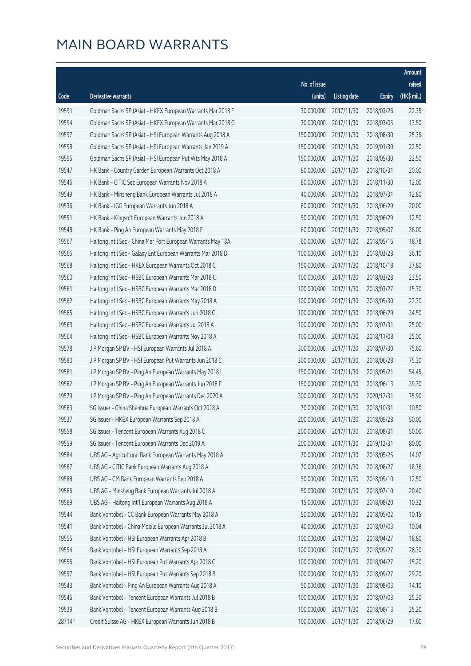|         |                                                              |                        |                     |               | Amount      |
|---------|--------------------------------------------------------------|------------------------|---------------------|---------------|-------------|
|         |                                                              | No. of issue           |                     |               | raised      |
| Code    | Derivative warrants                                          | (units)                | <b>Listing date</b> | <b>Expiry</b> | (HK\$ mil.) |
| 19591   | Goldman Sachs SP (Asia) - HKEX European Warrants Mar 2018 F  | 30,000,000             | 2017/11/30          | 2018/03/26    | 22.35       |
| 19594   | Goldman Sachs SP (Asia) - HKEX European Warrants Mar 2018 G  | 30,000,000             | 2017/11/30          | 2018/03/05    | 13.50       |
| 19597   | Goldman Sachs SP (Asia) - HSI European Warrants Aug 2018 A   | 150,000,000            | 2017/11/30          | 2018/08/30    | 25.35       |
| 19598   | Goldman Sachs SP (Asia) - HSI European Warrants Jan 2019 A   | 150,000,000            | 2017/11/30          | 2019/01/30    | 22.50       |
| 19595   | Goldman Sachs SP (Asia) - HSI European Put Wts May 2018 A    | 150,000,000            | 2017/11/30          | 2018/05/30    | 22.50       |
| 19547   | HK Bank - Country Garden European Warrants Oct 2018 A        | 80,000,000             | 2017/11/30          | 2018/10/31    | 20.00       |
| 19546   | HK Bank - CITIC Sec European Warrants Nov 2018 A             | 80,000,000             | 2017/11/30          | 2018/11/30    | 12.00       |
| 19549   | HK Bank - Minsheng Bank European Warrants Jul 2018 A         | 40,000,000             | 2017/11/30          | 2018/07/31    | 12.80       |
| 19536   | HK Bank - IGG European Warrants Jun 2018 A                   | 80,000,000             | 2017/11/30          | 2018/06/29    | 20.00       |
| 19551   | HK Bank - Kingsoft European Warrants Jun 2018 A              | 50,000,000             | 2017/11/30          | 2018/06/29    | 12.50       |
| 19548   | HK Bank - Ping An European Warrants May 2018 F               | 60,000,000             | 2017/11/30          | 2018/05/07    | 36.00       |
| 19567   | Haitong Int'l Sec - China Mer Port European Warrants May 18A | 60,000,000             | 2017/11/30          | 2018/05/16    | 18.78       |
| 19566   | Haitong Int'l Sec - Galaxy Ent European Warrants Mar 2018 D  | 100,000,000            | 2017/11/30          | 2018/03/28    | 36.10       |
| 19568   | Haitong Int'l Sec - HKEX European Warrants Oct 2018 C        | 150,000,000            | 2017/11/30          | 2018/10/18    | 37.80       |
| 19560   | Haitong Int'l Sec - HSBC European Warrants Mar 2018 C        | 100,000,000            | 2017/11/30          | 2018/03/28    | 23.50       |
| 19561   | Haitong Int'l Sec - HSBC European Warrants Mar 2018 D        | 100,000,000            | 2017/11/30          | 2018/03/27    | 15.30       |
| 19562   | Haitong Int'l Sec - HSBC European Warrants May 2018 A        | 100,000,000            | 2017/11/30          | 2018/05/30    | 22.30       |
| 19565   | Haitong Int'l Sec - HSBC European Warrants Jun 2018 C        | 100,000,000            | 2017/11/30          | 2018/06/29    | 34.50       |
| 19563   | Haitong Int'l Sec - HSBC European Warrants Jul 2018 A        | 100,000,000            | 2017/11/30          | 2018/07/31    | 25.00       |
| 19564   | Haitong Int'l Sec - HSBC European Warrants Nov 2018 A        | 100,000,000            | 2017/11/30          | 2018/11/08    | 25.00       |
| 19578   | J P Morgan SP BV - HSI European Warrants Jul 2018 A          | 300,000,000            | 2017/11/30          | 2018/07/30    | 75.60       |
| 19580   | J P Morgan SP BV - HSI European Put Warrants Jun 2018 C      | 300,000,000            | 2017/11/30          | 2018/06/28    | 75.30       |
| 19581   | J P Morgan SP BV - Ping An European Warrants May 2018 I      | 150,000,000            | 2017/11/30          | 2018/05/21    | 54.45       |
| 19582   | J P Morgan SP BV - Ping An European Warrants Jun 2018 F      | 150,000,000            | 2017/11/30          | 2018/06/13    | 39.30       |
| 19579   | J P Morgan SP BV - Ping An European Warrants Dec 2020 A      | 300,000,000            | 2017/11/30          | 2020/12/31    | 75.90       |
| 19583   | SG Issuer - China Shenhua European Warrants Oct 2018 A       | 70,000,000             | 2017/11/30          | 2018/10/31    | 10.50       |
| 19537   | SG Issuer - HKEX European Warrants Sep 2018 A                | 200,000,000 2017/11/30 |                     | 2018/09/28    | 50.00       |
| 19558   | SG Issuer - Tencent European Warrants Aug 2018 C             | 200,000,000            | 2017/11/30          | 2018/08/31    | 50.00       |
| 19559   | SG Issuer - Tencent European Warrants Dec 2019 A             | 200,000,000            | 2017/11/30          | 2019/12/31    | 80.00       |
| 19584   | UBS AG - Agricultural Bank European Warrants May 2018 A      | 70,000,000             | 2017/11/30          | 2018/05/25    | 14.07       |
| 19587   | UBS AG - CITIC Bank European Warrants Aug 2018 A             | 70,000,000             | 2017/11/30          | 2018/08/27    | 18.76       |
| 19588   | UBS AG - CM Bank European Warrants Sep 2018 A                | 50,000,000             | 2017/11/30          | 2018/09/10    | 12.50       |
| 19586   | UBS AG - Minsheng Bank European Warrants Jul 2018 A          | 50,000,000             | 2017/11/30          | 2018/07/10    | 20.40       |
| 19589   | UBS AG - Haitong Int'l European Warrants Aug 2018 A          | 15,000,000             | 2017/11/30          | 2018/08/20    | 10.32       |
| 19544   | Bank Vontobel - CC Bank European Warrants May 2018 A         | 50,000,000             | 2017/11/30          | 2018/05/02    | 10.15       |
| 19541   | Bank Vontobel - China Mobile European Warrants Jul 2018 A    | 40,000,000             | 2017/11/30          | 2018/07/03    | 10.04       |
| 19555   | Bank Vontobel - HSI European Warrants Apr 2018 B             | 100,000,000            | 2017/11/30          | 2018/04/27    | 18.80       |
| 19554   | Bank Vontobel - HSI European Warrants Sep 2018 A             | 100,000,000            | 2017/11/30          | 2018/09/27    | 26.30       |
| 19556   | Bank Vontobel - HSI European Put Warrants Apr 2018 C         | 100,000,000            | 2017/11/30          | 2018/04/27    | 15.20       |
| 19557   | Bank Vontobel - HSI European Put Warrants Sep 2018 B         | 100,000,000            | 2017/11/30          | 2018/09/27    | 29.20       |
| 19543   | Bank Vontobel - Ping An European Warrants Aug 2018 A         | 50,000,000             | 2017/11/30          | 2018/08/03    | 14.10       |
| 19545   | Bank Vontobel - Tencent European Warrants Jul 2018 B         | 100,000,000            | 2017/11/30          | 2018/07/03    | 25.20       |
| 19539   | Bank Vontobel - Tencent European Warrants Aug 2018 B         | 100,000,000            | 2017/11/30          | 2018/08/13    | 25.20       |
| 28714 # | Credit Suisse AG - HKEX European Warrants Jun 2018 B         | 100,000,000            | 2017/11/30          | 2018/06/29    | 17.60       |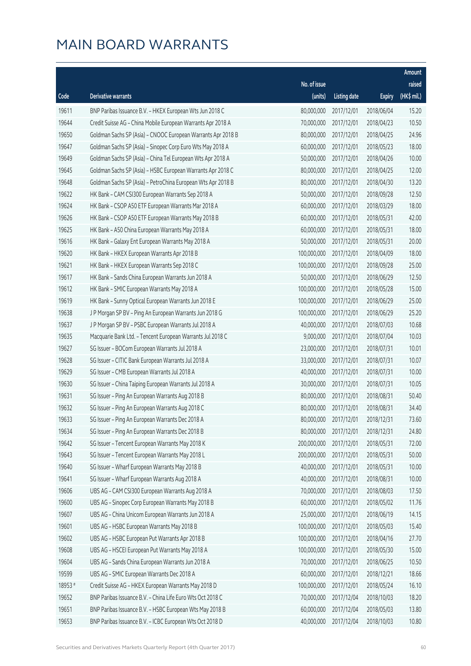|         |                                                              |              |                       |               | Amount      |
|---------|--------------------------------------------------------------|--------------|-----------------------|---------------|-------------|
|         |                                                              | No. of issue |                       |               | raised      |
| Code    | <b>Derivative warrants</b>                                   | (units)      | <b>Listing date</b>   | <b>Expiry</b> | (HK\$ mil.) |
| 19611   | BNP Paribas Issuance B.V. - HKEX European Wts Jun 2018 C     | 80,000,000   | 2017/12/01            | 2018/06/04    | 15.20       |
| 19644   | Credit Suisse AG - China Mobile European Warrants Apr 2018 A | 70,000,000   | 2017/12/01            | 2018/04/23    | 10.50       |
| 19650   | Goldman Sachs SP (Asia) - CNOOC European Warrants Apr 2018 B | 80,000,000   | 2017/12/01            | 2018/04/25    | 24.96       |
| 19647   | Goldman Sachs SP (Asia) - Sinopec Corp Euro Wts May 2018 A   | 60,000,000   | 2017/12/01            | 2018/05/23    | 18.00       |
| 19649   | Goldman Sachs SP (Asia) - China Tel European Wts Apr 2018 A  | 50,000,000   | 2017/12/01            | 2018/04/26    | 10.00       |
| 19645   | Goldman Sachs SP (Asia) - HSBC European Warrants Apr 2018 C  | 80,000,000   | 2017/12/01            | 2018/04/25    | 12.00       |
| 19648   | Goldman Sachs SP (Asia) - PetroChina European Wts Apr 2018 B | 80,000,000   | 2017/12/01            | 2018/04/30    | 13.20       |
| 19622   | HK Bank - CAM CSI300 European Warrants Sep 2018 A            | 50,000,000   | 2017/12/01            | 2018/09/28    | 12.50       |
| 19624   | HK Bank - CSOP A50 ETF European Warrants Mar 2018 A          | 60,000,000   | 2017/12/01            | 2018/03/29    | 18.00       |
| 19626   | HK Bank - CSOP A50 ETF European Warrants May 2018 B          | 60,000,000   | 2017/12/01            | 2018/05/31    | 42.00       |
| 19625   | HK Bank - A50 China European Warrants May 2018 A             | 60,000,000   | 2017/12/01            | 2018/05/31    | 18.00       |
| 19616   | HK Bank - Galaxy Ent European Warrants May 2018 A            | 50,000,000   | 2017/12/01            | 2018/05/31    | 20.00       |
| 19620   | HK Bank - HKEX European Warrants Apr 2018 B                  | 100,000,000  | 2017/12/01            | 2018/04/09    | 18.00       |
| 19621   | HK Bank - HKEX European Warrants Sep 2018 C                  | 100,000,000  | 2017/12/01            | 2018/09/28    | 25.00       |
| 19617   | HK Bank - Sands China European Warrants Jun 2018 A           | 50,000,000   | 2017/12/01            | 2018/06/29    | 12.50       |
| 19612   | HK Bank - SMIC European Warrants May 2018 A                  | 100,000,000  | 2017/12/01            | 2018/05/28    | 15.00       |
| 19619   | HK Bank - Sunny Optical European Warrants Jun 2018 E         | 100,000,000  | 2017/12/01            | 2018/06/29    | 25.00       |
| 19638   | J P Morgan SP BV - Ping An European Warrants Jun 2018 G      | 100,000,000  | 2017/12/01            | 2018/06/29    | 25.20       |
| 19637   | J P Morgan SP BV - PSBC European Warrants Jul 2018 A         | 40,000,000   | 2017/12/01            | 2018/07/03    | 10.68       |
| 19635   | Macquarie Bank Ltd. - Tencent European Warrants Jul 2018 C   | 9,000,000    | 2017/12/01            | 2018/07/04    | 10.03       |
| 19627   | SG Issuer - BOCom European Warrants Jul 2018 A               | 23,000,000   | 2017/12/01            | 2018/07/31    | 10.01       |
| 19628   | SG Issuer - CITIC Bank European Warrants Jul 2018 A          | 33,000,000   | 2017/12/01            | 2018/07/31    | 10.07       |
| 19629   | SG Issuer - CMB European Warrants Jul 2018 A                 | 40,000,000   | 2017/12/01            | 2018/07/31    | 10.00       |
| 19630   | SG Issuer - China Taiping European Warrants Jul 2018 A       | 30,000,000   | 2017/12/01            | 2018/07/31    | 10.05       |
| 19631   | SG Issuer - Ping An European Warrants Aug 2018 B             | 80,000,000   | 2017/12/01            | 2018/08/31    | 50.40       |
| 19632   | SG Issuer - Ping An European Warrants Aug 2018 C             | 80,000,000   | 2017/12/01            | 2018/08/31    | 34.40       |
| 19633   | SG Issuer - Ping An European Warrants Dec 2018 A             |              | 80,000,000 2017/12/01 | 2018/12/31    | 73.60       |
| 19634   | SG Issuer - Ping An European Warrants Dec 2018 B             | 80,000,000   | 2017/12/01            | 2018/12/31    | 24.80       |
| 19642   | SG Issuer - Tencent European Warrants May 2018 K             | 200,000,000  | 2017/12/01            | 2018/05/31    | 72.00       |
| 19643   | SG Issuer - Tencent European Warrants May 2018 L             | 200,000,000  | 2017/12/01            | 2018/05/31    | 50.00       |
| 19640   | SG Issuer - Wharf European Warrants May 2018 B               | 40,000,000   | 2017/12/01            | 2018/05/31    | 10.00       |
| 19641   | SG Issuer - Wharf European Warrants Aug 2018 A               | 40,000,000   | 2017/12/01            | 2018/08/31    | 10.00       |
| 19606   | UBS AG - CAM CSI300 European Warrants Aug 2018 A             | 70,000,000   | 2017/12/01            | 2018/08/03    | 17.50       |
| 19600   | UBS AG - Sinopec Corp European Warrants May 2018 B           | 60,000,000   | 2017/12/01            | 2018/05/02    | 11.76       |
| 19607   | UBS AG - China Unicom European Warrants Jun 2018 A           | 25,000,000   | 2017/12/01            | 2018/06/19    | 14.15       |
| 19601   | UBS AG - HSBC European Warrants May 2018 B                   | 100,000,000  | 2017/12/01            | 2018/05/03    | 15.40       |
| 19602   | UBS AG - HSBC European Put Warrants Apr 2018 B               | 100,000,000  | 2017/12/01            | 2018/04/16    | 27.70       |
| 19608   | UBS AG - HSCEI European Put Warrants May 2018 A              | 100,000,000  | 2017/12/01            | 2018/05/30    | 15.00       |
| 19604   | UBS AG - Sands China European Warrants Jun 2018 A            | 70,000,000   | 2017/12/01            | 2018/06/25    | 10.50       |
| 19599   | UBS AG - SMIC European Warrants Dec 2018 A                   | 60,000,000   | 2017/12/01            | 2018/12/21    | 18.66       |
| 18953 # | Credit Suisse AG - HKEX European Warrants May 2018 D         | 100,000,000  | 2017/12/01            | 2018/05/24    | 16.10       |
| 19652   | BNP Paribas Issuance B.V. - China Life Euro Wts Oct 2018 C   | 70,000,000   | 2017/12/04            | 2018/10/03    | 18.20       |
| 19651   | BNP Paribas Issuance B.V. - HSBC European Wts May 2018 B     | 60,000,000   | 2017/12/04            | 2018/05/03    | 13.80       |
| 19653   | BNP Paribas Issuance B.V. - ICBC European Wts Oct 2018 D     | 40,000,000   | 2017/12/04            | 2018/10/03    | 10.80       |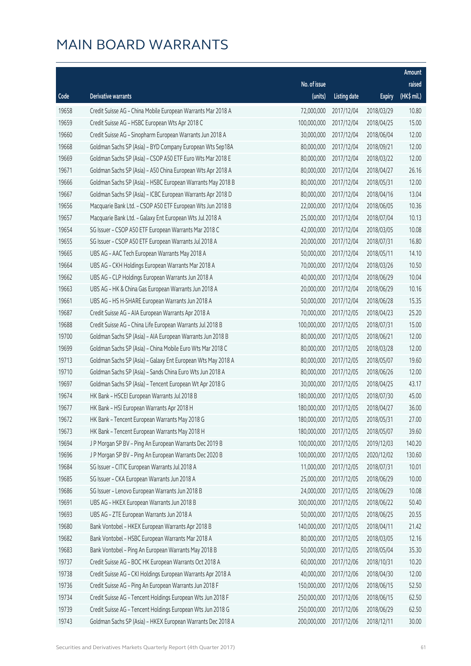|       |                                                              |                        |                     |               | Amount      |
|-------|--------------------------------------------------------------|------------------------|---------------------|---------------|-------------|
|       |                                                              | No. of issue           |                     |               | raised      |
| Code  | <b>Derivative warrants</b>                                   | (units)                | <b>Listing date</b> | <b>Expiry</b> | (HK\$ mil.) |
| 19658 | Credit Suisse AG - China Mobile European Warrants Mar 2018 A | 72,000,000             | 2017/12/04          | 2018/03/29    | 10.80       |
| 19659 | Credit Suisse AG - HSBC European Wts Apr 2018 C              | 100,000,000            | 2017/12/04          | 2018/04/25    | 15.00       |
| 19660 | Credit Suisse AG - Sinopharm European Warrants Jun 2018 A    | 30,000,000             | 2017/12/04          | 2018/06/04    | 12.00       |
| 19668 | Goldman Sachs SP (Asia) - BYD Company European Wts Sep18A    | 80,000,000             | 2017/12/04          | 2018/09/21    | 12.00       |
| 19669 | Goldman Sachs SP (Asia) - CSOP A50 ETF Euro Wts Mar 2018 E   | 80,000,000             | 2017/12/04          | 2018/03/22    | 12.00       |
| 19671 | Goldman Sachs SP (Asia) - A50 China European Wts Apr 2018 A  | 80,000,000             | 2017/12/04          | 2018/04/27    | 26.16       |
| 19666 | Goldman Sachs SP (Asia) - HSBC European Warrants May 2018 B  | 80,000,000             | 2017/12/04          | 2018/05/31    | 12.00       |
| 19667 | Goldman Sachs SP (Asia) - ICBC European Warrants Apr 2018 D  | 80,000,000             | 2017/12/04          | 2018/04/16    | 13.04       |
| 19656 | Macquarie Bank Ltd. - CSOP A50 ETF European Wts Jun 2018 B   | 22,000,000             | 2017/12/04          | 2018/06/05    | 10.36       |
| 19657 | Macquarie Bank Ltd. - Galaxy Ent European Wts Jul 2018 A     | 25,000,000             | 2017/12/04          | 2018/07/04    | 10.13       |
| 19654 | SG Issuer - CSOP A50 ETF European Warrants Mar 2018 C        | 42,000,000             | 2017/12/04          | 2018/03/05    | 10.08       |
| 19655 | SG Issuer - CSOP A50 ETF European Warrants Jul 2018 A        | 20,000,000             | 2017/12/04          | 2018/07/31    | 16.80       |
| 19665 | UBS AG - AAC Tech European Warrants May 2018 A               | 50,000,000             | 2017/12/04          | 2018/05/11    | 14.10       |
| 19664 | UBS AG - CKH Holdings European Warrants Mar 2018 A           | 70,000,000             | 2017/12/04          | 2018/03/26    | 10.50       |
| 19662 | UBS AG - CLP Holdings European Warrants Jun 2018 A           | 40,000,000             | 2017/12/04          | 2018/06/29    | 10.04       |
| 19663 | UBS AG - HK & China Gas European Warrants Jun 2018 A         | 20,000,000             | 2017/12/04          | 2018/06/29    | 10.16       |
| 19661 | UBS AG - HS H-SHARE European Warrants Jun 2018 A             | 50,000,000             | 2017/12/04          | 2018/06/28    | 15.35       |
| 19687 | Credit Suisse AG - AIA European Warrants Apr 2018 A          | 70,000,000             | 2017/12/05          | 2018/04/23    | 25.20       |
| 19688 | Credit Suisse AG - China Life European Warrants Jul 2018 B   | 100,000,000            | 2017/12/05          | 2018/07/31    | 15.00       |
| 19700 | Goldman Sachs SP (Asia) - AIA European Warrants Jun 2018 B   | 80,000,000             | 2017/12/05          | 2018/06/21    | 12.00       |
| 19699 | Goldman Sachs SP (Asia) - China Mobile Euro Wts Mar 2018 C   | 80,000,000             | 2017/12/05          | 2018/03/28    | 12.00       |
| 19713 | Goldman Sachs SP (Asia) - Galaxy Ent European Wts May 2018 A | 80,000,000             | 2017/12/05          | 2018/05/07    | 19.60       |
| 19710 | Goldman Sachs SP (Asia) - Sands China Euro Wts Jun 2018 A    | 80,000,000             | 2017/12/05          | 2018/06/26    | 12.00       |
| 19697 | Goldman Sachs SP (Asia) - Tencent European Wt Apr 2018 G     | 30,000,000             | 2017/12/05          | 2018/04/25    | 43.17       |
| 19674 | HK Bank - HSCEI European Warrants Jul 2018 B                 | 180,000,000            | 2017/12/05          | 2018/07/30    | 45.00       |
| 19677 | HK Bank - HSI European Warrants Apr 2018 H                   | 180,000,000            | 2017/12/05          | 2018/04/27    | 36.00       |
| 19672 | HK Bank - Tencent European Warrants May 2018 G               | 180,000,000 2017/12/05 |                     | 2018/05/31    | 27.00       |
| 19673 | HK Bank - Tencent European Warrants May 2018 H               | 180,000,000            | 2017/12/05          | 2018/05/07    | 39.60       |
| 19694 | J P Morgan SP BV - Ping An European Warrants Dec 2019 B      | 100,000,000            | 2017/12/05          | 2019/12/03    | 140.20      |
| 19696 | J P Morgan SP BV - Ping An European Warrants Dec 2020 B      | 100,000,000            | 2017/12/05          | 2020/12/02    | 130.60      |
| 19684 | SG Issuer - CITIC European Warrants Jul 2018 A               | 11,000,000             | 2017/12/05          | 2018/07/31    | 10.01       |
| 19685 | SG Issuer - CKA European Warrants Jun 2018 A                 | 25,000,000             | 2017/12/05          | 2018/06/29    | 10.00       |
| 19686 | SG Issuer - Lenovo European Warrants Jun 2018 B              | 24,000,000             | 2017/12/05          | 2018/06/29    | 10.08       |
| 19691 | UBS AG - HKEX European Warrants Jun 2018 B                   | 300,000,000            | 2017/12/05          | 2018/06/22    | 50.40       |
| 19693 | UBS AG - ZTE European Warrants Jun 2018 A                    | 50,000,000             | 2017/12/05          | 2018/06/25    | 20.55       |
| 19680 | Bank Vontobel - HKEX European Warrants Apr 2018 B            | 140,000,000            | 2017/12/05          | 2018/04/11    | 21.42       |
| 19682 | Bank Vontobel - HSBC European Warrants Mar 2018 A            | 80,000,000             | 2017/12/05          | 2018/03/05    | 12.16       |
| 19683 | Bank Vontobel - Ping An European Warrants May 2018 B         | 50,000,000             | 2017/12/05          | 2018/05/04    | 35.30       |
| 19737 | Credit Suisse AG - BOC HK European Warrants Oct 2018 A       | 60,000,000             | 2017/12/06          | 2018/10/31    | 10.20       |
| 19738 | Credit Suisse AG - CKI Holdings European Warrants Apr 2018 A | 40,000,000             | 2017/12/06          | 2018/04/30    | 12.00       |
| 19736 | Credit Suisse AG - Ping An European Warrants Jun 2018 F      | 150,000,000            | 2017/12/06          | 2018/06/15    | 52.50       |
| 19734 | Credit Suisse AG - Tencent Holdings European Wts Jun 2018 F  | 250,000,000            | 2017/12/06          | 2018/06/15    | 62.50       |
| 19739 | Credit Suisse AG - Tencent Holdings European Wts Jun 2018 G  | 250,000,000            | 2017/12/06          | 2018/06/29    | 62.50       |
| 19743 | Goldman Sachs SP (Asia) - HKEX European Warrants Dec 2018 A  | 200,000,000            | 2017/12/06          | 2018/12/11    | 30.00       |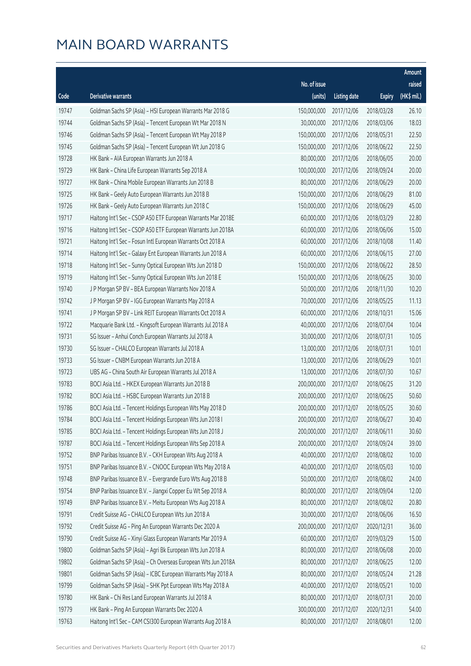|       |                                                              |                        |                     |               | Amount      |
|-------|--------------------------------------------------------------|------------------------|---------------------|---------------|-------------|
|       |                                                              | No. of issue           |                     |               | raised      |
| Code  | <b>Derivative warrants</b>                                   | (units)                | <b>Listing date</b> | <b>Expiry</b> | (HK\$ mil.) |
| 19747 | Goldman Sachs SP (Asia) - HSI European Warrants Mar 2018 G   | 150,000,000            | 2017/12/06          | 2018/03/28    | 26.10       |
| 19744 | Goldman Sachs SP (Asia) - Tencent European Wt Mar 2018 N     | 30,000,000             | 2017/12/06          | 2018/03/06    | 18.03       |
| 19746 | Goldman Sachs SP (Asia) - Tencent European Wt May 2018 P     | 150,000,000            | 2017/12/06          | 2018/05/31    | 22.50       |
| 19745 | Goldman Sachs SP (Asia) - Tencent European Wt Jun 2018 G     | 150,000,000            | 2017/12/06          | 2018/06/22    | 22.50       |
| 19728 | HK Bank - AIA European Warrants Jun 2018 A                   | 80,000,000             | 2017/12/06          | 2018/06/05    | 20.00       |
| 19729 | HK Bank - China Life European Warrants Sep 2018 A            | 100,000,000            | 2017/12/06          | 2018/09/24    | 20.00       |
| 19727 | HK Bank - China Mobile European Warrants Jun 2018 B          | 80,000,000             | 2017/12/06          | 2018/06/29    | 20.00       |
| 19725 | HK Bank - Geely Auto European Warrants Jun 2018 B            | 150,000,000            | 2017/12/06          | 2018/06/29    | 81.00       |
| 19726 | HK Bank - Geely Auto European Warrants Jun 2018 C            | 150,000,000            | 2017/12/06          | 2018/06/29    | 45.00       |
| 19717 | Haitong Int'l Sec - CSOP A50 ETF European Warrants Mar 2018E | 60,000,000             | 2017/12/06          | 2018/03/29    | 22.80       |
| 19716 | Haitong Int'l Sec - CSOP A50 ETF European Warrants Jun 2018A | 60,000,000             | 2017/12/06          | 2018/06/06    | 15.00       |
| 19721 | Haitong Int'l Sec - Fosun Intl European Warrants Oct 2018 A  | 60,000,000             | 2017/12/06          | 2018/10/08    | 11.40       |
| 19714 | Haitong Int'l Sec - Galaxy Ent European Warrants Jun 2018 A  | 60,000,000             | 2017/12/06          | 2018/06/15    | 27.00       |
| 19718 | Haitong Int'l Sec - Sunny Optical European Wts Jun 2018 D    | 150,000,000            | 2017/12/06          | 2018/06/22    | 28.50       |
| 19719 | Haitong Int'l Sec - Sunny Optical European Wts Jun 2018 E    | 150,000,000            | 2017/12/06          | 2018/06/25    | 30.00       |
| 19740 | J P Morgan SP BV - BEA European Warrants Nov 2018 A          | 50,000,000             | 2017/12/06          | 2018/11/30    | 10.20       |
| 19742 | J P Morgan SP BV - IGG European Warrants May 2018 A          | 70,000,000             | 2017/12/06          | 2018/05/25    | 11.13       |
| 19741 | J P Morgan SP BV - Link REIT European Warrants Oct 2018 A    | 60,000,000             | 2017/12/06          | 2018/10/31    | 15.06       |
| 19722 | Macquarie Bank Ltd. - Kingsoft European Warrants Jul 2018 A  | 40,000,000             | 2017/12/06          | 2018/07/04    | 10.04       |
| 19731 | SG Issuer - Anhui Conch European Warrants Jul 2018 A         | 30,000,000             | 2017/12/06          | 2018/07/31    | 10.05       |
| 19730 | SG Issuer - CHALCO European Warrants Jul 2018 A              | 13,000,000             | 2017/12/06          | 2018/07/31    | 10.01       |
| 19733 | SG Issuer - CNBM European Warrants Jun 2018 A                | 13,000,000             | 2017/12/06          | 2018/06/29    | 10.01       |
| 19723 | UBS AG - China South Air European Warrants Jul 2018 A        | 13,000,000             | 2017/12/06          | 2018/07/30    | 10.67       |
| 19783 | BOCI Asia Ltd. - HKEX European Warrants Jun 2018 B           | 200,000,000            | 2017/12/07          | 2018/06/25    | 31.20       |
| 19782 | BOCI Asia Ltd. - HSBC European Warrants Jun 2018 B           | 200,000,000            | 2017/12/07          | 2018/06/25    | 50.60       |
| 19786 | BOCI Asia Ltd. - Tencent Holdings European Wts May 2018 D    | 200,000,000            | 2017/12/07          | 2018/05/25    | 30.60       |
| 19784 | BOCI Asia Ltd. - Tencent Holdings European Wts Jun 2018 I    | 200,000,000 2017/12/07 |                     | 2018/06/27    | 30.40       |
| 19785 | BOCI Asia Ltd. - Tencent Holdings European Wts Jun 2018 J    | 200,000,000            | 2017/12/07          | 2018/06/11    | 30.60       |
| 19787 | BOCI Asia Ltd. - Tencent Holdings European Wts Sep 2018 A    | 200,000,000            | 2017/12/07          | 2018/09/24    | 39.00       |
| 19752 | BNP Paribas Issuance B.V. - CKH European Wts Aug 2018 A      | 40,000,000             | 2017/12/07          | 2018/08/02    | 10.00       |
| 19751 | BNP Paribas Issuance B.V. - CNOOC European Wts May 2018 A    | 40,000,000             | 2017/12/07          | 2018/05/03    | 10.00       |
| 19748 | BNP Paribas Issuance B.V. - Evergrande Euro Wts Aug 2018 B   | 50,000,000             | 2017/12/07          | 2018/08/02    | 24.00       |
| 19754 | BNP Paribas Issuance B.V. - Jiangxi Copper Eu Wt Sep 2018 A  | 80,000,000             | 2017/12/07          | 2018/09/04    | 12.00       |
| 19749 | BNP Paribas Issuance B.V. - Meitu European Wts Aug 2018 A    | 80,000,000             | 2017/12/07          | 2018/08/02    | 20.80       |
| 19791 | Credit Suisse AG - CHALCO European Wts Jun 2018 A            | 30,000,000             | 2017/12/07          | 2018/06/06    | 16.50       |
| 19792 | Credit Suisse AG - Ping An European Warrants Dec 2020 A      | 200,000,000            | 2017/12/07          | 2020/12/31    | 36.00       |
| 19790 | Credit Suisse AG - Xinyi Glass European Warrants Mar 2019 A  | 60,000,000             | 2017/12/07          | 2019/03/29    | 15.00       |
| 19800 | Goldman Sachs SP (Asia) - Agri Bk European Wts Jun 2018 A    | 80,000,000             | 2017/12/07          | 2018/06/08    | 20.00       |
| 19802 | Goldman Sachs SP (Asia) - Ch Overseas European Wts Jun 2018A | 80,000,000             | 2017/12/07          | 2018/06/25    | 12.00       |
| 19801 | Goldman Sachs SP (Asia) - ICBC European Warrants May 2018 A  | 80,000,000             | 2017/12/07          | 2018/05/24    | 21.28       |
| 19799 | Goldman Sachs SP (Asia) - SHK Ppt European Wts May 2018 A    | 40,000,000             | 2017/12/07          | 2018/05/21    | 10.00       |
| 19780 | HK Bank - Chi Res Land European Warrants Jul 2018 A          | 80,000,000             | 2017/12/07          | 2018/07/31    | 20.00       |
| 19779 | HK Bank - Ping An European Warrants Dec 2020 A               | 300,000,000            | 2017/12/07          | 2020/12/31    | 54.00       |
| 19763 | Haitong Int'l Sec - CAM CSI300 European Warrants Aug 2018 A  | 80,000,000             | 2017/12/07          | 2018/08/01    | 12.00       |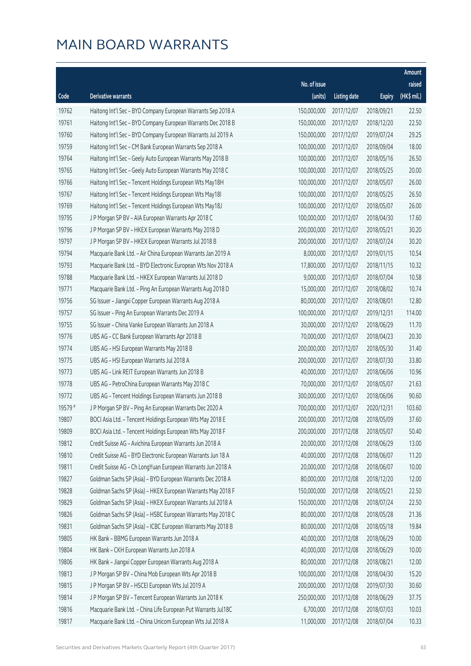|         |                                                               |                        |                     |               | Amount      |
|---------|---------------------------------------------------------------|------------------------|---------------------|---------------|-------------|
|         |                                                               | No. of issue           |                     |               | raised      |
| Code    | <b>Derivative warrants</b>                                    | (units)                | <b>Listing date</b> | <b>Expiry</b> | (HK\$ mil.) |
| 19762   | Haitong Int'l Sec - BYD Company European Warrants Sep 2018 A  | 150,000,000            | 2017/12/07          | 2018/09/21    | 22.50       |
| 19761   | Haitong Int'l Sec - BYD Company European Warrants Dec 2018 B  | 150,000,000            | 2017/12/07          | 2018/12/20    | 22.50       |
| 19760   | Haitong Int'l Sec - BYD Company European Warrants Jul 2019 A  | 150,000,000            | 2017/12/07          | 2019/07/24    | 29.25       |
| 19759   | Haitong Int'l Sec - CM Bank European Warrants Sep 2018 A      | 100,000,000            | 2017/12/07          | 2018/09/04    | 18.00       |
| 19764   | Haitong Int'l Sec - Geely Auto European Warrants May 2018 B   | 100,000,000            | 2017/12/07          | 2018/05/16    | 26.50       |
| 19765   | Haitong Int'l Sec - Geely Auto European Warrants May 2018 C   | 100,000,000            | 2017/12/07          | 2018/05/25    | 20.00       |
| 19766   | Haitong Int'l Sec - Tencent Holdings European Wts May18H      | 100,000,000            | 2017/12/07          | 2018/05/07    | 26.00       |
| 19767   | Haitong Int'l Sec - Tencent Holdings European Wts May18I      | 100,000,000            | 2017/12/07          | 2018/05/25    | 26.50       |
| 19769   | Haitong Int'l Sec - Tencent Holdings European Wts May18J      | 100,000,000            | 2017/12/07          | 2018/05/07    | 26.00       |
| 19795   | J P Morgan SP BV - AIA European Warrants Apr 2018 C           | 100,000,000            | 2017/12/07          | 2018/04/30    | 17.60       |
| 19796   | J P Morgan SP BV - HKEX European Warrants May 2018 D          | 200,000,000            | 2017/12/07          | 2018/05/21    | 30.20       |
| 19797   | J P Morgan SP BV - HKEX European Warrants Jul 2018 B          | 200,000,000            | 2017/12/07          | 2018/07/24    | 30.20       |
| 19794   | Macquarie Bank Ltd. - Air China European Warrants Jan 2019 A  | 8,000,000              | 2017/12/07          | 2019/01/15    | 10.54       |
| 19793   | Macquarie Bank Ltd. - BYD Electronic European Wts Nov 2018 A  | 17,800,000             | 2017/12/07          | 2018/11/15    | 10.32       |
| 19788   | Macquarie Bank Ltd. - HKEX European Warrants Jul 2018 D       | 9,000,000              | 2017/12/07          | 2018/07/04    | 10.58       |
| 19771   | Macquarie Bank Ltd. - Ping An European Warrants Aug 2018 D    | 15,000,000             | 2017/12/07          | 2018/08/02    | 10.74       |
| 19756   | SG Issuer - Jiangxi Copper European Warrants Aug 2018 A       | 80,000,000             | 2017/12/07          | 2018/08/01    | 12.80       |
| 19757   | SG Issuer - Ping An European Warrants Dec 2019 A              | 100,000,000            | 2017/12/07          | 2019/12/31    | 114.00      |
| 19755   | SG Issuer - China Vanke European Warrants Jun 2018 A          | 30,000,000             | 2017/12/07          | 2018/06/29    | 11.70       |
| 19776   | UBS AG - CC Bank European Warrants Apr 2018 B                 | 70,000,000             | 2017/12/07          | 2018/04/23    | 20.30       |
| 19774   | UBS AG - HSI European Warrants May 2018 B                     | 200,000,000            | 2017/12/07          | 2018/05/30    | 31.40       |
| 19775   | UBS AG - HSI European Warrants Jul 2018 A                     | 200,000,000            | 2017/12/07          | 2018/07/30    | 33.80       |
| 19773   | UBS AG - Link REIT European Warrants Jun 2018 B               | 40,000,000             | 2017/12/07          | 2018/06/06    | 10.96       |
| 19778   | UBS AG - PetroChina European Warrants May 2018 C              | 70,000,000             | 2017/12/07          | 2018/05/07    | 21.63       |
| 19772   | UBS AG - Tencent Holdings European Warrants Jun 2018 B        | 300,000,000            | 2017/12/07          | 2018/06/06    | 90.60       |
| 19579 # | J P Morgan SP BV - Ping An European Warrants Dec 2020 A       | 700,000,000            | 2017/12/07          | 2020/12/31    | 103.60      |
| 19807   | BOCI Asia Ltd. - Tencent Holdings European Wts May 2018 E     | 200,000,000 2017/12/08 |                     | 2018/05/09    | 37.60       |
| 19809   | BOCI Asia Ltd. - Tencent Holdings European Wts May 2018 F     | 200,000,000            | 2017/12/08          | 2018/05/07    | 50.40       |
| 19812   | Credit Suisse AG - Avichina European Warrants Jun 2018 A      | 20,000,000             | 2017/12/08          | 2018/06/29    | 13.00       |
| 19810   | Credit Suisse AG - BYD Electronic European Warrants Jun 18 A  | 40,000,000             | 2017/12/08          | 2018/06/07    | 11.20       |
| 19811   | Credit Suisse AG - Ch LongYuan European Warrants Jun 2018 A   | 20,000,000             | 2017/12/08          | 2018/06/07    | 10.00       |
| 19827   | Goldman Sachs SP (Asia) - BYD European Warrants Dec 2018 A    | 80,000,000             | 2017/12/08          | 2018/12/20    | 12.00       |
| 19828   | Goldman Sachs SP (Asia) - HKEX European Warrants May 2018 F   | 150,000,000            | 2017/12/08          | 2018/05/21    | 22.50       |
| 19829   | Goldman Sachs SP (Asia) - HKEX European Warrants Jul 2018 A   | 150,000,000            | 2017/12/08          | 2018/07/24    | 22.50       |
| 19826   | Goldman Sachs SP (Asia) - HSBC European Warrants May 2018 C   | 80,000,000             | 2017/12/08          | 2018/05/28    | 21.36       |
| 19831   | Goldman Sachs SP (Asia) - ICBC European Warrants May 2018 B   | 80,000,000             | 2017/12/08          | 2018/05/18    | 19.84       |
| 19805   | HK Bank - BBMG European Warrants Jun 2018 A                   | 40,000,000             | 2017/12/08          | 2018/06/29    | 10.00       |
| 19804   | HK Bank - CKH European Warrants Jun 2018 A                    | 40,000,000             | 2017/12/08          | 2018/06/29    | 10.00       |
| 19806   | HK Bank - Jiangxi Copper European Warrants Aug 2018 A         | 80,000,000             | 2017/12/08          | 2018/08/21    | 12.00       |
| 19813   | J P Morgan SP BV - China Mob European Wts Apr 2018 B          | 100,000,000            | 2017/12/08          | 2018/04/30    | 15.20       |
| 19815   | J P Morgan SP BV - HSCEI European Wts Jul 2019 A              | 200,000,000            | 2017/12/08          | 2019/07/30    | 30.60       |
| 19814   | J P Morgan SP BV - Tencent European Warrants Jun 2018 K       | 250,000,000            | 2017/12/08          | 2018/06/29    | 37.75       |
| 19816   | Macquarie Bank Ltd. - China Life European Put Warrants Jul18C | 6,700,000              | 2017/12/08          | 2018/07/03    | 10.03       |
| 19817   | Macquarie Bank Ltd. - China Unicom European Wts Jul 2018 A    | 11,000,000             | 2017/12/08          | 2018/07/04    | 10.33       |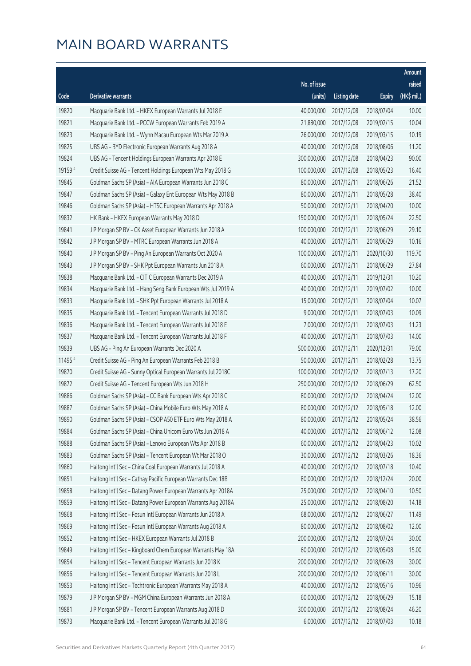|         |                                                              |              |                       |               | Amount      |
|---------|--------------------------------------------------------------|--------------|-----------------------|---------------|-------------|
|         |                                                              | No. of issue |                       |               | raised      |
| Code    | <b>Derivative warrants</b>                                   | (units)      | <b>Listing date</b>   | <b>Expiry</b> | (HK\$ mil.) |
| 19820   | Macquarie Bank Ltd. - HKEX European Warrants Jul 2018 E      | 40,000,000   | 2017/12/08            | 2018/07/04    | 10.00       |
| 19821   | Macquarie Bank Ltd. - PCCW European Warrants Feb 2019 A      | 21,880,000   | 2017/12/08            | 2019/02/15    | 10.04       |
| 19823   | Macquarie Bank Ltd. - Wynn Macau European Wts Mar 2019 A     | 26,000,000   | 2017/12/08            | 2019/03/15    | 10.19       |
| 19825   | UBS AG - BYD Electronic European Warrants Aug 2018 A         | 40,000,000   | 2017/12/08            | 2018/08/06    | 11.20       |
| 19824   | UBS AG - Tencent Holdings European Warrants Apr 2018 E       | 300,000,000  | 2017/12/08            | 2018/04/23    | 90.00       |
| 19159 # | Credit Suisse AG - Tencent Holdings European Wts May 2018 G  | 100,000,000  | 2017/12/08            | 2018/05/23    | 16.40       |
| 19845   | Goldman Sachs SP (Asia) - AIA European Warrants Jun 2018 C   | 80,000,000   | 2017/12/11            | 2018/06/26    | 21.52       |
| 19847   | Goldman Sachs SP (Asia) - Galaxy Ent European Wts May 2018 B | 80,000,000   | 2017/12/11            | 2018/05/28    | 38.40       |
| 19846   | Goldman Sachs SP (Asia) - HTSC European Warrants Apr 2018 A  | 50,000,000   | 2017/12/11            | 2018/04/20    | 10.00       |
| 19832   | HK Bank - HKEX European Warrants May 2018 D                  | 150,000,000  | 2017/12/11            | 2018/05/24    | 22.50       |
| 19841   | J P Morgan SP BV - CK Asset European Warrants Jun 2018 A     | 100,000,000  | 2017/12/11            | 2018/06/29    | 29.10       |
| 19842   | J P Morgan SP BV - MTRC European Warrants Jun 2018 A         | 40,000,000   | 2017/12/11            | 2018/06/29    | 10.16       |
| 19840   | J P Morgan SP BV - Ping An European Warrants Oct 2020 A      | 100,000,000  | 2017/12/11            | 2020/10/30    | 119.70      |
| 19843   | J P Morgan SP BV - SHK Ppt European Warrants Jun 2018 A      | 60,000,000   | 2017/12/11            | 2018/06/29    | 27.84       |
| 19838   | Macquarie Bank Ltd. - CITIC European Warrants Dec 2019 A     | 40,000,000   | 2017/12/11            | 2019/12/31    | 10.20       |
| 19834   | Macquarie Bank Ltd. - Hang Seng Bank European Wts Jul 2019 A | 40,000,000   | 2017/12/11            | 2019/07/02    | 10.00       |
| 19833   | Macquarie Bank Ltd. - SHK Ppt European Warrants Jul 2018 A   | 15,000,000   | 2017/12/11            | 2018/07/04    | 10.07       |
| 19835   | Macquarie Bank Ltd. - Tencent European Warrants Jul 2018 D   | 9,000,000    | 2017/12/11            | 2018/07/03    | 10.09       |
| 19836   | Macquarie Bank Ltd. - Tencent European Warrants Jul 2018 E   | 7,000,000    | 2017/12/11            | 2018/07/03    | 11.23       |
| 19837   | Macquarie Bank Ltd. - Tencent European Warrants Jul 2018 F   | 40,000,000   | 2017/12/11            | 2018/07/03    | 14.00       |
| 19839   | UBS AG - Ping An European Warrants Dec 2020 A                | 500,000,000  | 2017/12/11            | 2020/12/31    | 79.00       |
| 11495 # | Credit Suisse AG - Ping An European Warrants Feb 2018 B      | 50,000,000   | 2017/12/11            | 2018/02/28    | 13.75       |
| 19870   | Credit Suisse AG - Sunny Optical European Warrants Jul 2018C | 100,000,000  | 2017/12/12            | 2018/07/13    | 17.20       |
| 19872   | Credit Suisse AG - Tencent European Wts Jun 2018 H           | 250,000,000  | 2017/12/12            | 2018/06/29    | 62.50       |
| 19886   | Goldman Sachs SP (Asia) - CC Bank European Wts Apr 2018 C    | 80,000,000   | 2017/12/12            | 2018/04/24    | 12.00       |
| 19887   | Goldman Sachs SP (Asia) - China Mobile Euro Wts May 2018 A   | 80,000,000   | 2017/12/12            | 2018/05/18    | 12.00       |
| 19890   | Goldman Sachs SP (Asia) - CSOP A50 ETF Euro Wts May 2018 A   |              | 80,000,000 2017/12/12 | 2018/05/24    | 38.56       |
| 19884   | Goldman Sachs SP (Asia) - China Unicom Euro Wts Jun 2018 A   | 40,000,000   | 2017/12/12            | 2018/06/12    | 12.08       |
| 19888   | Goldman Sachs SP (Asia) - Lenovo European Wts Apr 2018 B     | 60,000,000   | 2017/12/12            | 2018/04/23    | 10.02       |
| 19883   | Goldman Sachs SP (Asia) - Tencent European Wt Mar 2018 O     | 30,000,000   | 2017/12/12            | 2018/03/26    | 18.36       |
| 19860   | Haitong Int'l Sec - China Coal European Warrants Jul 2018 A  | 40,000,000   | 2017/12/12            | 2018/07/18    | 10.40       |
| 19851   | Haitong Int'l Sec - Cathay Pacific European Warrants Dec 18B | 80,000,000   | 2017/12/12            | 2018/12/24    | 20.00       |
| 19858   | Haitong Int'l Sec - Datang Power European Warrants Apr 2018A | 25,000,000   | 2017/12/12            | 2018/04/10    | 10.50       |
| 19859   | Haitong Int'l Sec - Datang Power European Warrants Aug 2018A | 25,000,000   | 2017/12/12            | 2018/08/20    | 14.18       |
| 19868   | Haitong Int'l Sec - Fosun Intl European Warrants Jun 2018 A  | 68,000,000   | 2017/12/12            | 2018/06/27    | 11.49       |
| 19869   | Haitong Int'l Sec - Fosun Intl European Warrants Aug 2018 A  | 80,000,000   | 2017/12/12            | 2018/08/02    | 12.00       |
| 19852   | Haitong Int'l Sec - HKEX European Warrants Jul 2018 B        | 200,000,000  | 2017/12/12            | 2018/07/24    | 30.00       |
| 19849   | Haitong Int'l Sec - Kingboard Chem European Warrants May 18A | 60,000,000   | 2017/12/12            | 2018/05/08    | 15.00       |
| 19854   | Haitong Int'l Sec - Tencent European Warrants Jun 2018 K     | 200,000,000  | 2017/12/12            | 2018/06/28    | 30.00       |
| 19856   | Haitong Int'l Sec - Tencent European Warrants Jun 2018 L     | 200,000,000  | 2017/12/12            | 2018/06/11    | 30.00       |
| 19853   | Haitong Int'l Sec - Techtronic European Warrants May 2018 A  | 40,000,000   | 2017/12/12            | 2018/05/16    | 10.96       |
| 19879   | J P Morgan SP BV - MGM China European Warrants Jun 2018 A    | 60,000,000   | 2017/12/12            | 2018/06/29    | 15.18       |
| 19881   | J P Morgan SP BV - Tencent European Warrants Aug 2018 D      | 300,000,000  | 2017/12/12            | 2018/08/24    | 46.20       |
| 19873   | Macquarie Bank Ltd. - Tencent European Warrants Jul 2018 G   | 6,000,000    | 2017/12/12            | 2018/07/03    | 10.18       |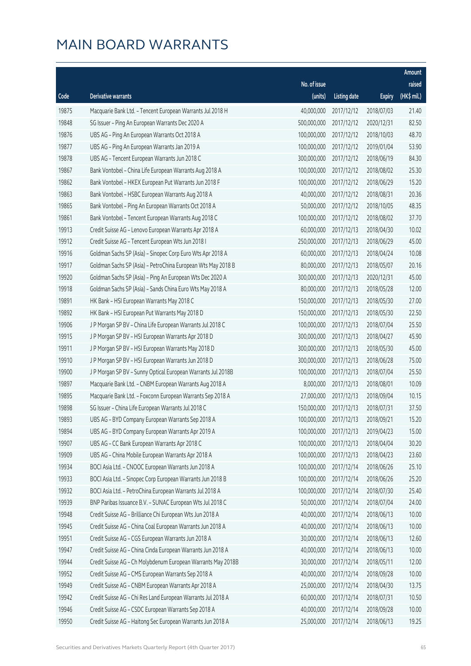|       |                                                              |                        |                     |               | Amount      |
|-------|--------------------------------------------------------------|------------------------|---------------------|---------------|-------------|
|       |                                                              | No. of issue           |                     |               | raised      |
| Code  | <b>Derivative warrants</b>                                   | (units)                | <b>Listing date</b> | <b>Expiry</b> | (HK\$ mil.) |
| 19875 | Macquarie Bank Ltd. - Tencent European Warrants Jul 2018 H   | 40,000,000             | 2017/12/12          | 2018/07/03    | 21.40       |
| 19848 | SG Issuer - Ping An European Warrants Dec 2020 A             | 500,000,000            | 2017/12/12          | 2020/12/31    | 82.50       |
| 19876 | UBS AG - Ping An European Warrants Oct 2018 A                | 100,000,000            | 2017/12/12          | 2018/10/03    | 48.70       |
| 19877 | UBS AG - Ping An European Warrants Jan 2019 A                | 100,000,000            | 2017/12/12          | 2019/01/04    | 53.90       |
| 19878 | UBS AG - Tencent European Warrants Jun 2018 C                | 300,000,000            | 2017/12/12          | 2018/06/19    | 84.30       |
| 19867 | Bank Vontobel - China Life European Warrants Aug 2018 A      | 100,000,000            | 2017/12/12          | 2018/08/02    | 25.30       |
| 19862 | Bank Vontobel - HKEX European Put Warrants Jun 2018 F        | 100,000,000            | 2017/12/12          | 2018/06/29    | 15.20       |
| 19863 | Bank Vontobel - HSBC European Warrants Aug 2018 A            | 40,000,000             | 2017/12/12          | 2018/08/31    | 20.36       |
| 19865 | Bank Vontobel - Ping An European Warrants Oct 2018 A         | 50,000,000             | 2017/12/12          | 2018/10/05    | 48.35       |
| 19861 | Bank Vontobel - Tencent European Warrants Aug 2018 C         | 100,000,000            | 2017/12/12          | 2018/08/02    | 37.70       |
| 19913 | Credit Suisse AG - Lenovo European Warrants Apr 2018 A       | 60,000,000             | 2017/12/13          | 2018/04/30    | 10.02       |
| 19912 | Credit Suisse AG - Tencent European Wts Jun 2018 I           | 250,000,000            | 2017/12/13          | 2018/06/29    | 45.00       |
| 19916 | Goldman Sachs SP (Asia) - Sinopec Corp Euro Wts Apr 2018 A   | 60,000,000             | 2017/12/13          | 2018/04/24    | 10.08       |
| 19917 | Goldman Sachs SP (Asia) - PetroChina European Wts May 2018 B | 80,000,000             | 2017/12/13          | 2018/05/07    | 20.16       |
| 19920 | Goldman Sachs SP (Asia) - Ping An European Wts Dec 2020 A    | 300,000,000            | 2017/12/13          | 2020/12/31    | 45.00       |
| 19918 | Goldman Sachs SP (Asia) - Sands China Euro Wts May 2018 A    | 80,000,000             | 2017/12/13          | 2018/05/28    | 12.00       |
| 19891 | HK Bank - HSI European Warrants May 2018 C                   | 150,000,000            | 2017/12/13          | 2018/05/30    | 27.00       |
| 19892 | HK Bank - HSI European Put Warrants May 2018 D               | 150,000,000            | 2017/12/13          | 2018/05/30    | 22.50       |
| 19906 | J P Morgan SP BV - China Life European Warrants Jul 2018 C   | 100,000,000            | 2017/12/13          | 2018/07/04    | 25.50       |
| 19915 | J P Morgan SP BV - HSI European Warrants Apr 2018 D          | 300,000,000            | 2017/12/13          | 2018/04/27    | 45.90       |
| 19911 | J P Morgan SP BV - HSI European Warrants May 2018 D          | 300,000,000            | 2017/12/13          | 2018/05/30    | 45.00       |
| 19910 | J P Morgan SP BV - HSI European Warrants Jun 2018 D          | 300,000,000            | 2017/12/13          | 2018/06/28    | 75.00       |
| 19900 | J P Morgan SP BV - Sunny Optical European Warrants Jul 2018B | 100,000,000            | 2017/12/13          | 2018/07/04    | 25.50       |
| 19897 | Macquarie Bank Ltd. - CNBM European Warrants Aug 2018 A      | 8,000,000              | 2017/12/13          | 2018/08/01    | 10.09       |
| 19895 | Macquarie Bank Ltd. - Foxconn European Warrants Sep 2018 A   | 27,000,000             | 2017/12/13          | 2018/09/04    | 10.15       |
| 19898 | SG Issuer - China Life European Warrants Jul 2018 C          | 150,000,000            | 2017/12/13          | 2018/07/31    | 37.50       |
| 19893 | UBS AG - BYD Company European Warrants Sep 2018 A            | 100,000,000 2017/12/13 |                     | 2018/09/21    | 15.20       |
| 19894 | UBS AG - BYD Company European Warrants Apr 2019 A            | 100,000,000            | 2017/12/13          | 2019/04/23    | 15.00       |
| 19907 | UBS AG - CC Bank European Warrants Apr 2018 C                | 100,000,000            | 2017/12/13          | 2018/04/04    | 30.20       |
| 19909 | UBS AG - China Mobile European Warrants Apr 2018 A           | 100,000,000            | 2017/12/13          | 2018/04/23    | 23.60       |
| 19934 | BOCI Asia Ltd. - CNOOC European Warrants Jun 2018 A          | 100,000,000            | 2017/12/14          | 2018/06/26    | 25.10       |
| 19933 | BOCI Asia Ltd. - Sinopec Corp European Warrants Jun 2018 B   | 100,000,000            | 2017/12/14          | 2018/06/26    | 25.20       |
| 19932 | BOCI Asia Ltd. - PetroChina European Warrants Jul 2018 A     | 100,000,000            | 2017/12/14          | 2018/07/30    | 25.40       |
| 19939 | BNP Paribas Issuance B.V. - SUNAC European Wts Jul 2018 C    | 50,000,000             | 2017/12/14          | 2018/07/04    | 24.00       |
| 19948 | Credit Suisse AG - Brilliance Chi European Wts Jun 2018 A    | 40,000,000             | 2017/12/14          | 2018/06/13    | 10.00       |
| 19945 | Credit Suisse AG - China Coal European Warrants Jun 2018 A   | 40,000,000             | 2017/12/14          | 2018/06/13    | 10.00       |
| 19951 | Credit Suisse AG - CGS European Warrants Jun 2018 A          | 30,000,000             | 2017/12/14          | 2018/06/13    | 12.60       |
| 19947 | Credit Suisse AG - China Cinda European Warrants Jun 2018 A  | 40,000,000             | 2017/12/14          | 2018/06/13    | 10.00       |
| 19944 | Credit Suisse AG - Ch Molybdenum European Warrants May 2018B | 30,000,000             | 2017/12/14          | 2018/05/11    | 12.00       |
| 19952 | Credit Suisse AG - CMS European Warrants Sep 2018 A          | 40,000,000             | 2017/12/14          | 2018/09/28    | 10.00       |
| 19949 | Credit Suisse AG - CNBM European Warrants Apr 2018 A         | 25,000,000             | 2017/12/14          | 2018/04/30    | 13.75       |
| 19942 | Credit Suisse AG - Chi Res Land European Warrants Jul 2018 A | 60,000,000             | 2017/12/14          | 2018/07/31    | 10.50       |
| 19946 | Credit Suisse AG - CSDC European Warrants Sep 2018 A         | 40,000,000             | 2017/12/14          | 2018/09/28    | 10.00       |
| 19950 | Credit Suisse AG - Haitong Sec European Warrants Jun 2018 A  | 25,000,000             | 2017/12/14          | 2018/06/13    | 19.25       |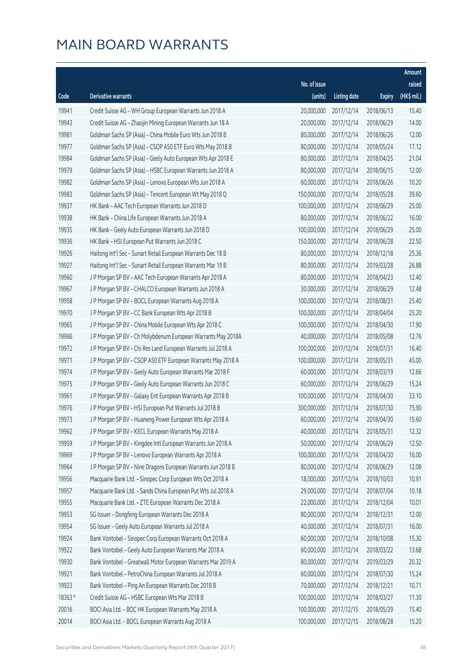|         |                                                               |              |                       |               | Amount      |
|---------|---------------------------------------------------------------|--------------|-----------------------|---------------|-------------|
|         |                                                               | No. of issue |                       |               | raised      |
| Code    | Derivative warrants                                           | (units)      | <b>Listing date</b>   | <b>Expiry</b> | (HK\$ mil.) |
| 19941   | Credit Suisse AG - WH Group European Warrants Jun 2018 A      | 20,000,000   | 2017/12/14            | 2018/06/13    | 15.40       |
| 19943   | Credit Suisse AG - Zhaojin Mining European Warrants Jun 18 A  | 20,000,000   | 2017/12/14            | 2018/06/29    | 14.00       |
| 19981   | Goldman Sachs SP (Asia) - China Mobile Euro Wts Jun 2018 B    | 80,000,000   | 2017/12/14            | 2018/06/26    | 12.00       |
| 19977   | Goldman Sachs SP (Asia) - CSOP A50 ETF Euro Wts May 2018 B    | 80,000,000   | 2017/12/14            | 2018/05/24    | 17.12       |
| 19984   | Goldman Sachs SP (Asia) - Geely Auto European Wts Apr 2018 E  | 80,000,000   | 2017/12/14            | 2018/04/25    | 21.04       |
| 19979   | Goldman Sachs SP (Asia) - HSBC European Warrants Jun 2018 A   | 80,000,000   | 2017/12/14            | 2018/06/15    | 12.00       |
| 19982   | Goldman Sachs SP (Asia) - Lenovo European Wts Jun 2018 A      | 60,000,000   | 2017/12/14            | 2018/06/26    | 10.20       |
| 19983   | Goldman Sachs SP (Asia) - Tencent European Wt May 2018 Q      | 150,000,000  | 2017/12/14            | 2018/05/28    | 39.60       |
| 19937   | HK Bank - AAC Tech European Warrants Jun 2018 D               | 100,000,000  | 2017/12/14            | 2018/06/29    | 25.00       |
| 19938   | HK Bank - China Life European Warrants Jun 2018 A             | 80,000,000   | 2017/12/14            | 2018/06/22    | 16.00       |
| 19935   | HK Bank - Geely Auto European Warrants Jun 2018 D             | 100,000,000  | 2017/12/14            | 2018/06/29    | 25.00       |
| 19936   | HK Bank - HSI European Put Warrants Jun 2018 C                | 150,000,000  | 2017/12/14            | 2018/06/28    | 22.50       |
| 19926   | Haitong Int'l Sec - Sunart Retail European Warrants Dec 18 B  | 80,000,000   | 2017/12/14            | 2018/12/18    | 25.36       |
| 19927   | Haitong Int'l Sec - Sunart Retail European Warrants Mar 19 B  | 80,000,000   | 2017/12/14            | 2019/03/28    | 26.88       |
| 19960   | J P Morgan SP BV - AAC Tech European Warrants Apr 2018 A      | 80,000,000   | 2017/12/14            | 2018/04/23    | 12.40       |
| 19967   | J P Morgan SP BV - CHALCO European Warrants Jun 2018 A        | 30,000,000   | 2017/12/14            | 2018/06/29    | 12.48       |
| 19958   | J P Morgan SP BV - BOCL European Warrants Aug 2018 A          | 100,000,000  | 2017/12/14            | 2018/08/31    | 25.40       |
| 19970   | J P Morgan SP BV - CC Bank European Wts Apr 2018 B            | 100,000,000  | 2017/12/14            | 2018/04/04    | 25.20       |
| 19965   | J P Morgan SP BV - China Mobile European Wts Apr 2018 C       | 100,000,000  | 2017/12/14            | 2018/04/30    | 17.90       |
| 19966   | J P Morgan SP BV - Ch Molybdenum European Warrants May 2018A  | 40,000,000   | 2017/12/14            | 2018/05/08    | 12.76       |
| 19972   | J P Morgan SP BV - Chi Res Land European Warrants Jul 2018 A  | 100,000,000  | 2017/12/14            | 2018/07/31    | 16.40       |
| 19971   | J P Morgan SP BV - CSOP A50 ETF European Warrants May 2018 A  | 100,000,000  | 2017/12/14            | 2018/05/31    | 45.00       |
| 19974   | J P Morgan SP BV - Geely Auto European Warrants Mar 2018 F    | 60,000,000   | 2017/12/14            | 2018/03/19    | 12.66       |
| 19975   | J P Morgan SP BV - Geely Auto European Warrants Jun 2018 C    | 60,000,000   | 2017/12/14            | 2018/06/29    | 15.24       |
| 19961   | J P Morgan SP BV - Galaxy Ent European Warrants Apr 2018 B    | 100,000,000  | 2017/12/14            | 2018/04/30    | 33.10       |
| 19976   | J P Morgan SP BV - HSI European Put Warrants Jul 2018 B       | 300,000,000  | 2017/12/14            | 2018/07/30    | 75.90       |
| 19973   | J P Morgan SP BV - Huaneng Power European Wts Apr 2018 A      |              | 60,000,000 2017/12/14 | 2018/04/30    | 15.60       |
| 19962   | J P Morgan SP BV - KECL European Warrants May 2018 A          | 40,000,000   | 2017/12/14            | 2018/05/31    | 12.32       |
| 19959   | J P Morgan SP BV - Kingdee Intl European Warrants Jun 2018 A  | 50,000,000   | 2017/12/14            | 2018/06/29    | 12.50       |
| 19969   | J P Morgan SP BV - Lenovo European Warrants Apr 2018 A        | 100,000,000  | 2017/12/14            | 2018/04/30    | 16.00       |
| 19964   | J P Morgan SP BV - Nine Dragons European Warrants Jun 2018 B  | 80,000,000   | 2017/12/14            | 2018/06/29    | 12.08       |
| 19956   | Macquarie Bank Ltd. - Sinopec Corp European Wts Oct 2018 A    | 18,000,000   | 2017/12/14            | 2018/10/03    | 10.91       |
| 19957   | Macquarie Bank Ltd. - Sands China European Put Wts Jul 2018 A | 29,000,000   | 2017/12/14            | 2018/07/04    | 10.18       |
| 19955   | Macquarie Bank Ltd. - ZTE European Warrants Dec 2018 A        | 22,000,000   | 2017/12/14            | 2018/12/04    | 10.01       |
| 19953   | SG Issuer - Dongfeng European Warrants Dec 2018 A             | 80,000,000   | 2017/12/14            | 2018/12/31    | 12.00       |
| 19954   | SG Issuer - Geely Auto European Warrants Jul 2018 A           | 40,000,000   | 2017/12/14            | 2018/07/31    | 16.00       |
| 19924   | Bank Vontobel - Sinopec Corp European Warrants Oct 2018 A     | 60,000,000   | 2017/12/14            | 2018/10/08    | 15.30       |
| 19922   | Bank Vontobel - Geely Auto European Warrants Mar 2018 A       | 60,000,000   | 2017/12/14            | 2018/03/22    | 13.68       |
| 19930   | Bank Vontobel - Greatwall Motor European Warrants Mar 2019 A  | 80,000,000   | 2017/12/14            | 2019/03/29    | 20.32       |
| 19921   | Bank Vontobel - PetroChina European Warrants Jul 2018 A       | 60,000,000   | 2017/12/14            | 2018/07/30    | 15.24       |
| 19923   | Bank Vontobel - Ping An European Warrants Dec 2018 B          | 70,000,000   | 2017/12/14            | 2018/12/21    | 10.71       |
| 18363 # | Credit Suisse AG - HSBC European Wts Mar 2018 B               | 100,000,000  | 2017/12/14            | 2018/03/27    | 11.30       |
| 20016   | BOCI Asia Ltd. - BOC HK European Warrants May 2018 A          | 100,000,000  | 2017/12/15            | 2018/05/29    | 15.40       |
| 20014   | BOCI Asia Ltd. - BOCL European Warrants Aug 2018 A            | 100,000,000  | 2017/12/15            | 2018/08/28    | 15.20       |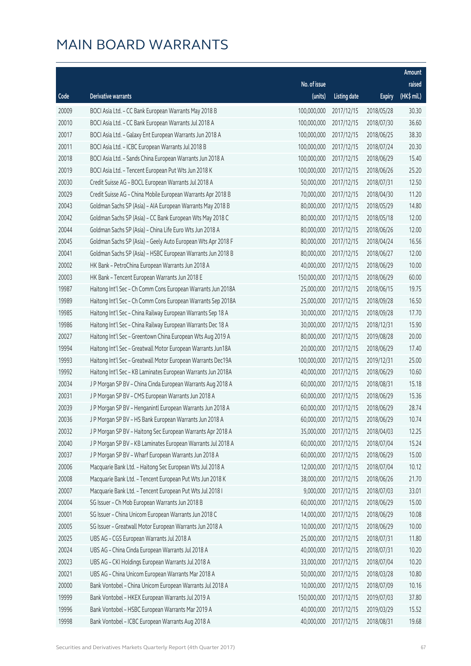|       |                                                              |              |                       |               | Amount      |
|-------|--------------------------------------------------------------|--------------|-----------------------|---------------|-------------|
|       |                                                              | No. of issue |                       |               | raised      |
| Code  | <b>Derivative warrants</b>                                   | (units)      | <b>Listing date</b>   | <b>Expiry</b> | (HK\$ mil.) |
| 20009 | BOCI Asia Ltd. - CC Bank European Warrants May 2018 B        | 100,000,000  | 2017/12/15            | 2018/05/28    | 30.30       |
| 20010 | BOCI Asia Ltd. - CC Bank European Warrants Jul 2018 A        | 100,000,000  | 2017/12/15            | 2018/07/30    | 36.60       |
| 20017 | BOCI Asia Ltd. - Galaxy Ent European Warrants Jun 2018 A     | 100,000,000  | 2017/12/15            | 2018/06/25    | 38.30       |
| 20011 | BOCI Asia Ltd. - ICBC European Warrants Jul 2018 B           | 100,000,000  | 2017/12/15            | 2018/07/24    | 20.30       |
| 20018 | BOCI Asia Ltd. - Sands China European Warrants Jun 2018 A    | 100,000,000  | 2017/12/15            | 2018/06/29    | 15.40       |
| 20019 | BOCI Asia Ltd. - Tencent European Put Wts Jun 2018 K         | 100,000,000  | 2017/12/15            | 2018/06/26    | 25.20       |
| 20030 | Credit Suisse AG - BOCL European Warrants Jul 2018 A         | 50,000,000   | 2017/12/15            | 2018/07/31    | 12.50       |
| 20029 | Credit Suisse AG - China Mobile European Warrants Apr 2018 B | 70,000,000   | 2017/12/15            | 2018/04/30    | 11.20       |
| 20043 | Goldman Sachs SP (Asia) - AIA European Warrants May 2018 B   | 80,000,000   | 2017/12/15            | 2018/05/29    | 14.80       |
| 20042 | Goldman Sachs SP (Asia) - CC Bank European Wts May 2018 C    | 80,000,000   | 2017/12/15            | 2018/05/18    | 12.00       |
| 20044 | Goldman Sachs SP (Asia) - China Life Euro Wts Jun 2018 A     | 80,000,000   | 2017/12/15            | 2018/06/26    | 12.00       |
| 20045 | Goldman Sachs SP (Asia) - Geely Auto European Wts Apr 2018 F | 80,000,000   | 2017/12/15            | 2018/04/24    | 16.56       |
| 20041 | Goldman Sachs SP (Asia) - HSBC European Warrants Jun 2018 B  | 80,000,000   | 2017/12/15            | 2018/06/27    | 12.00       |
| 20002 | HK Bank - PetroChina European Warrants Jun 2018 A            | 40,000,000   | 2017/12/15            | 2018/06/29    | 10.00       |
| 20003 | HK Bank - Tencent European Warrants Jun 2018 E               | 150,000,000  | 2017/12/15            | 2018/06/29    | 60.00       |
| 19987 | Haitong Int'l Sec - Ch Comm Cons European Warrants Jun 2018A | 25,000,000   | 2017/12/15            | 2018/06/15    | 19.75       |
| 19989 | Haitong Int'l Sec - Ch Comm Cons European Warrants Sep 2018A | 25,000,000   | 2017/12/15            | 2018/09/28    | 16.50       |
| 19985 | Haitong Int'l Sec - China Railway European Warrants Sep 18 A | 30,000,000   | 2017/12/15            | 2018/09/28    | 17.70       |
| 19986 | Haitong Int'l Sec - China Railway European Warrants Dec 18 A | 30,000,000   | 2017/12/15            | 2018/12/31    | 15.90       |
| 20027 | Haitong Int'l Sec - Greentown China European Wts Aug 2019 A  | 80,000,000   | 2017/12/15            | 2019/08/28    | 20.00       |
| 19994 | Haitong Int'l Sec - Greatwall Motor European Warrants Jun18A | 20,000,000   | 2017/12/15            | 2018/06/29    | 17.40       |
| 19993 | Haitong Int'l Sec - Greatwall Motor European Warrants Dec19A | 100,000,000  | 2017/12/15            | 2019/12/31    | 25.00       |
| 19992 | Haitong Int'l Sec - KB Laminates European Warrants Jun 2018A | 40,000,000   | 2017/12/15            | 2018/06/29    | 10.60       |
| 20034 | J P Morgan SP BV - China Cinda European Warrants Aug 2018 A  | 60,000,000   | 2017/12/15            | 2018/08/31    | 15.18       |
| 20031 | J P Morgan SP BV - CMS European Warrants Jun 2018 A          | 60,000,000   | 2017/12/15            | 2018/06/29    | 15.36       |
| 20039 | J P Morgan SP BV - Henganintl European Warrants Jun 2018 A   | 60,000,000   | 2017/12/15            | 2018/06/29    | 28.74       |
| 20036 | J P Morgan SP BV - HS Bank European Warrants Jun 2018 A      |              | 60,000,000 2017/12/15 | 2018/06/29    | 10.74       |
| 20032 | J P Morgan SP BV - Haitong Sec European Warrants Apr 2018 A  | 35,000,000   | 2017/12/15            | 2018/04/03    | 12.25       |
| 20040 | J P Morgan SP BV - KB Laminates European Warrants Jul 2018 A | 60,000,000   | 2017/12/15            | 2018/07/04    | 15.24       |
| 20037 | J P Morgan SP BV - Wharf European Warrants Jun 2018 A        | 60,000,000   | 2017/12/15            | 2018/06/29    | 15.00       |
| 20006 | Macquarie Bank Ltd. - Haitong Sec European Wts Jul 2018 A    | 12,000,000   | 2017/12/15            | 2018/07/04    | 10.12       |
| 20008 | Macquarie Bank Ltd. - Tencent European Put Wts Jun 2018 K    | 38,000,000   | 2017/12/15            | 2018/06/26    | 21.70       |
| 20007 | Macquarie Bank Ltd. - Tencent European Put Wts Jul 2018 I    | 9,000,000    | 2017/12/15            | 2018/07/03    | 33.01       |
| 20004 | SG Issuer - Ch Mob European Warrants Jun 2018 B              | 60,000,000   | 2017/12/15            | 2018/06/29    | 15.00       |
| 20001 | SG Issuer - China Unicom European Warrants Jun 2018 C        | 14,000,000   | 2017/12/15            | 2018/06/29    | 10.08       |
| 20005 | SG Issuer - Greatwall Motor European Warrants Jun 2018 A     | 10,000,000   | 2017/12/15            | 2018/06/29    | 10.00       |
| 20025 | UBS AG - CGS European Warrants Jul 2018 A                    | 25,000,000   | 2017/12/15            | 2018/07/31    | 11.80       |
| 20024 | UBS AG - China Cinda European Warrants Jul 2018 A            | 40,000,000   | 2017/12/15            | 2018/07/31    | 10.20       |
| 20023 | UBS AG - CKI Holdings European Warrants Jul 2018 A           | 33,000,000   | 2017/12/15            | 2018/07/04    | 10.20       |
| 20021 | UBS AG - China Unicom European Warrants Mar 2018 A           | 50,000,000   | 2017/12/15            | 2018/03/28    | 10.80       |
| 20000 | Bank Vontobel - China Unicom European Warrants Jul 2018 A    | 10,000,000   | 2017/12/15            | 2018/07/09    | 10.16       |
| 19999 | Bank Vontobel - HKEX European Warrants Jul 2019 A            | 150,000,000  | 2017/12/15            | 2019/07/03    | 37.80       |
| 19996 | Bank Vontobel - HSBC European Warrants Mar 2019 A            | 40,000,000   | 2017/12/15            | 2019/03/29    | 15.52       |
| 19998 | Bank Vontobel - ICBC European Warrants Aug 2018 A            | 40,000,000   | 2017/12/15            | 2018/08/31    | 19.68       |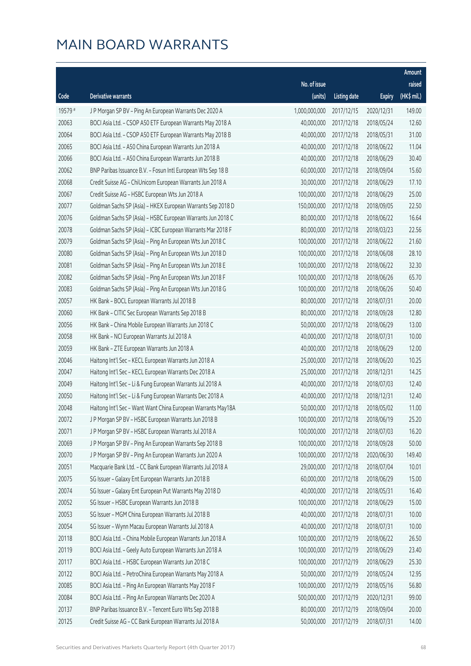|         |                                                              |                        |                     |               | Amount       |
|---------|--------------------------------------------------------------|------------------------|---------------------|---------------|--------------|
|         |                                                              | No. of issue           |                     |               | raised       |
| Code    | Derivative warrants                                          | (units)                | <b>Listing date</b> | <b>Expiry</b> | $(HK\$ mil.) |
| 19579 # | J P Morgan SP BV - Ping An European Warrants Dec 2020 A      | 1,000,000,000          | 2017/12/15          | 2020/12/31    | 149.00       |
| 20063   | BOCI Asia Ltd. - CSOP A50 ETF European Warrants May 2018 A   | 40,000,000             | 2017/12/18          | 2018/05/24    | 12.60        |
| 20064   | BOCI Asia Ltd. - CSOP A50 ETF European Warrants May 2018 B   | 40,000,000             | 2017/12/18          | 2018/05/31    | 31.00        |
| 20065   | BOCI Asia Ltd. - A50 China European Warrants Jun 2018 A      | 40,000,000             | 2017/12/18          | 2018/06/22    | 11.04        |
| 20066   | BOCI Asia Ltd. - A50 China European Warrants Jun 2018 B      | 40,000,000             | 2017/12/18          | 2018/06/29    | 30.40        |
| 20062   | BNP Paribas Issuance B.V. - Fosun Intl European Wts Sep 18 B | 60,000,000             | 2017/12/18          | 2018/09/04    | 15.60        |
| 20068   | Credit Suisse AG - ChiUnicom European Warrants Jun 2018 A    | 30,000,000             | 2017/12/18          | 2018/06/29    | 17.10        |
| 20067   | Credit Suisse AG - HSBC European Wts Jun 2018 A              | 100,000,000            | 2017/12/18          | 2018/06/29    | 25.00        |
| 20077   | Goldman Sachs SP (Asia) - HKEX European Warrants Sep 2018 D  | 150,000,000            | 2017/12/18          | 2018/09/05    | 22.50        |
| 20076   | Goldman Sachs SP (Asia) - HSBC European Warrants Jun 2018 C  | 80,000,000             | 2017/12/18          | 2018/06/22    | 16.64        |
| 20078   | Goldman Sachs SP (Asia) - ICBC European Warrants Mar 2018 F  | 80,000,000             | 2017/12/18          | 2018/03/23    | 22.56        |
| 20079   | Goldman Sachs SP (Asia) - Ping An European Wts Jun 2018 C    | 100,000,000            | 2017/12/18          | 2018/06/22    | 21.60        |
| 20080   | Goldman Sachs SP (Asia) - Ping An European Wts Jun 2018 D    | 100,000,000            | 2017/12/18          | 2018/06/08    | 28.10        |
| 20081   | Goldman Sachs SP (Asia) - Ping An European Wts Jun 2018 E    | 100,000,000            | 2017/12/18          | 2018/06/22    | 32.30        |
| 20082   | Goldman Sachs SP (Asia) - Ping An European Wts Jun 2018 F    | 100,000,000            | 2017/12/18          | 2018/06/26    | 65.70        |
| 20083   | Goldman Sachs SP (Asia) - Ping An European Wts Jun 2018 G    | 100,000,000            | 2017/12/18          | 2018/06/26    | 50.40        |
| 20057   | HK Bank - BOCL European Warrants Jul 2018 B                  | 80,000,000             | 2017/12/18          | 2018/07/31    | 20.00        |
| 20060   | HK Bank - CITIC Sec European Warrants Sep 2018 B             | 80,000,000             | 2017/12/18          | 2018/09/28    | 12.80        |
| 20056   | HK Bank - China Mobile European Warrants Jun 2018 C          | 50,000,000             | 2017/12/18          | 2018/06/29    | 13.00        |
| 20058   | HK Bank - NCI European Warrants Jul 2018 A                   | 40,000,000             | 2017/12/18          | 2018/07/31    | 10.00        |
| 20059   | HK Bank - ZTE European Warrants Jun 2018 A                   | 40,000,000             | 2017/12/18          | 2018/06/29    | 12.00        |
| 20046   | Haitong Int'l Sec - KECL European Warrants Jun 2018 A        | 25,000,000             | 2017/12/18          | 2018/06/20    | 10.25        |
| 20047   | Haitong Int'l Sec - KECL European Warrants Dec 2018 A        | 25,000,000             | 2017/12/18          | 2018/12/31    | 14.25        |
| 20049   | Haitong Int'l Sec - Li & Fung European Warrants Jul 2018 A   | 40,000,000             | 2017/12/18          | 2018/07/03    | 12.40        |
| 20050   | Haitong Int'l Sec - Li & Fung European Warrants Dec 2018 A   | 40,000,000             | 2017/12/18          | 2018/12/31    | 12.40        |
| 20048   | Haitong Int'l Sec - Want Want China European Warrants May18A | 50,000,000             | 2017/12/18          | 2018/05/02    | 11.00        |
| 20072   | J P Morgan SP BV - HSBC European Warrants Jun 2018 B         | 100,000,000 2017/12/18 |                     | 2018/06/19    | 25.20        |
| 20071   | J P Morgan SP BV - HSBC European Warrants Jul 2018 A         | 100,000,000            | 2017/12/18          | 2018/07/03    | 16.20        |
| 20069   | J P Morgan SP BV - Ping An European Warrants Sep 2018 B      | 100,000,000            | 2017/12/18          | 2018/09/28    | 50.00        |
| 20070   | J P Morgan SP BV - Ping An European Warrants Jun 2020 A      | 100,000,000            | 2017/12/18          | 2020/06/30    | 149.40       |
| 20051   | Macquarie Bank Ltd. - CC Bank European Warrants Jul 2018 A   | 29,000,000             | 2017/12/18          | 2018/07/04    | 10.01        |
| 20075   | SG Issuer - Galaxy Ent European Warrants Jun 2018 B          | 60,000,000             | 2017/12/18          | 2018/06/29    | 15.00        |
| 20074   | SG Issuer - Galaxy Ent European Put Warrants May 2018 D      | 40,000,000             | 2017/12/18          | 2018/05/31    | 16.40        |
| 20052   | SG Issuer - HSBC European Warrants Jun 2018 B                | 100,000,000            | 2017/12/18          | 2018/06/29    | 15.00        |
| 20053   | SG Issuer - MGM China European Warrants Jul 2018 B           | 40,000,000             | 2017/12/18          | 2018/07/31    | 10.00        |
| 20054   | SG Issuer - Wynn Macau European Warrants Jul 2018 A          | 40,000,000             | 2017/12/18          | 2018/07/31    | 10.00        |
| 20118   | BOCI Asia Ltd. - China Mobile European Warrants Jun 2018 A   | 100,000,000            | 2017/12/19          | 2018/06/22    | 26.50        |
| 20119   | BOCI Asia Ltd. - Geely Auto European Warrants Jun 2018 A     | 100,000,000            | 2017/12/19          | 2018/06/29    | 23.40        |
| 20117   | BOCI Asia Ltd. - HSBC European Warrants Jun 2018 C           | 100,000,000            | 2017/12/19          | 2018/06/29    | 25.30        |
| 20122   | BOCI Asia Ltd. - PetroChina European Warrants May 2018 A     | 50,000,000             | 2017/12/19          | 2018/05/24    | 12.95        |
| 20085   | BOCI Asia Ltd. - Ping An European Warrants May 2018 F        | 100,000,000            | 2017/12/19          | 2018/05/16    | 56.80        |
| 20084   | BOCI Asia Ltd. - Ping An European Warrants Dec 2020 A        | 500,000,000            | 2017/12/19          | 2020/12/31    | 99.00        |
| 20137   | BNP Paribas Issuance B.V. - Tencent Euro Wts Sep 2018 B      | 80,000,000             | 2017/12/19          | 2018/09/04    | 20.00        |
| 20125   | Credit Suisse AG - CC Bank European Warrants Jul 2018 A      | 50,000,000             | 2017/12/19          | 2018/07/31    | 14.00        |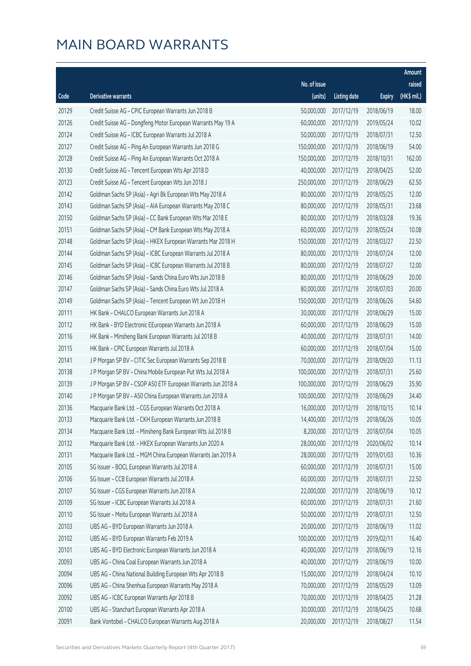|       |                                                              |              |                       |               | <b>Amount</b> |
|-------|--------------------------------------------------------------|--------------|-----------------------|---------------|---------------|
|       |                                                              | No. of issue |                       |               | raised        |
| Code  | Derivative warrants                                          | (units)      | <b>Listing date</b>   | <b>Expiry</b> | (HK\$ mil.)   |
| 20129 | Credit Suisse AG - CPIC European Warrants Jun 2018 B         | 50,000,000   | 2017/12/19            | 2018/06/19    | 18.00         |
| 20126 | Credit Suisse AG - Dongfeng Motor European Warrants May 19 A | 60,000,000   | 2017/12/19            | 2019/05/24    | 10.02         |
| 20124 | Credit Suisse AG - ICBC European Warrants Jul 2018 A         | 50,000,000   | 2017/12/19            | 2018/07/31    | 12.50         |
| 20127 | Credit Suisse AG - Ping An European Warrants Jun 2018 G      | 150,000,000  | 2017/12/19            | 2018/06/19    | 54.00         |
| 20128 | Credit Suisse AG - Ping An European Warrants Oct 2018 A      | 150,000,000  | 2017/12/19            | 2018/10/31    | 162.00        |
| 20130 | Credit Suisse AG - Tencent European Wts Apr 2018 D           | 40,000,000   | 2017/12/19            | 2018/04/25    | 52.00         |
| 20123 | Credit Suisse AG - Tencent European Wts Jun 2018 J           | 250,000,000  | 2017/12/19            | 2018/06/29    | 62.50         |
| 20142 | Goldman Sachs SP (Asia) - Agri Bk European Wts May 2018 A    | 80,000,000   | 2017/12/19            | 2018/05/25    | 12.00         |
| 20143 | Goldman Sachs SP (Asia) - AIA European Warrants May 2018 C   | 80,000,000   | 2017/12/19            | 2018/05/31    | 23.68         |
| 20150 | Goldman Sachs SP (Asia) - CC Bank European Wts Mar 2018 E    | 80,000,000   | 2017/12/19            | 2018/03/28    | 19.36         |
| 20151 | Goldman Sachs SP (Asia) - CM Bank European Wts May 2018 A    | 60,000,000   | 2017/12/19            | 2018/05/24    | 10.08         |
| 20148 | Goldman Sachs SP (Asia) - HKEX European Warrants Mar 2018 H  | 150,000,000  | 2017/12/19            | 2018/03/27    | 22.50         |
| 20144 | Goldman Sachs SP (Asia) - ICBC European Warrants Jul 2018 A  | 80,000,000   | 2017/12/19            | 2018/07/24    | 12.00         |
| 20145 | Goldman Sachs SP (Asia) - ICBC European Warrants Jul 2018 B  | 80,000,000   | 2017/12/19            | 2018/07/27    | 12.00         |
| 20146 | Goldman Sachs SP (Asia) - Sands China Euro Wts Jun 2018 B    | 80,000,000   | 2017/12/19            | 2018/06/29    | 20.00         |
| 20147 | Goldman Sachs SP (Asia) - Sands China Euro Wts Jul 2018 A    | 80,000,000   | 2017/12/19            | 2018/07/03    | 20.00         |
| 20149 | Goldman Sachs SP (Asia) - Tencent European Wt Jun 2018 H     | 150,000,000  | 2017/12/19            | 2018/06/26    | 54.60         |
| 20111 | HK Bank - CHALCO European Warrants Jun 2018 A                | 30,000,000   | 2017/12/19            | 2018/06/29    | 15.00         |
| 20112 | HK Bank - BYD Electronic EEuropean Warrants Jun 2018 A       | 60,000,000   | 2017/12/19            | 2018/06/29    | 15.00         |
| 20116 | HK Bank - Minsheng Bank European Warrants Jul 2018 B         | 40,000,000   | 2017/12/19            | 2018/07/31    | 14.00         |
| 20115 | HK Bank - CPIC European Warrants Jul 2018 A                  | 60,000,000   | 2017/12/19            | 2018/07/04    | 15.00         |
| 20141 | J P Morgan SP BV - CITIC Sec European Warrants Sep 2018 B    | 70,000,000   | 2017/12/19            | 2018/09/20    | 11.13         |
| 20138 | J P Morgan SP BV - China Mobile European Put Wts Jul 2018 A  | 100,000,000  | 2017/12/19            | 2018/07/31    | 25.60         |
| 20139 | J P Morgan SP BV - CSOP A50 ETF European Warrants Jun 2018 A | 100,000,000  | 2017/12/19            | 2018/06/29    | 35.90         |
| 20140 | J P Morgan SP BV - A50 China European Warrants Jun 2018 A    | 100,000,000  | 2017/12/19            | 2018/06/29    | 34.40         |
| 20136 | Macquarie Bank Ltd. - CGS European Warrants Oct 2018 A       | 16,000,000   | 2017/12/19            | 2018/10/15    | 10.14         |
| 20133 | Macquarie Bank Ltd. - CKH European Warrants Jun 2018 B       |              | 14,400,000 2017/12/19 | 2018/06/26    | 10.05         |
| 20134 | Macquarie Bank Ltd. - Minsheng Bank European Wts Jul 2018 B  | 8,200,000    | 2017/12/19            | 2018/07/04    | 10.05         |
| 20132 | Macquarie Bank Ltd. - HKEX European Warrants Jun 2020 A      | 28,000,000   | 2017/12/19            | 2020/06/02    | 10.14         |
| 20131 | Macquarie Bank Ltd. - MGM China European Warrants Jan 2019 A | 28,000,000   | 2017/12/19            | 2019/01/03    | 10.36         |
| 20105 | SG Issuer - BOCL European Warrants Jul 2018 A                | 60,000,000   | 2017/12/19            | 2018/07/31    | 15.00         |
| 20106 | SG Issuer - CCB European Warrants Jul 2018 A                 | 60,000,000   | 2017/12/19            | 2018/07/31    | 22.50         |
| 20107 | SG Issuer - CGS European Warrants Jun 2018 A                 | 22,000,000   | 2017/12/19            | 2018/06/19    | 10.12         |
| 20109 | SG Issuer - ICBC European Warrants Jul 2018 A                | 60,000,000   | 2017/12/19            | 2018/07/31    | 21.60         |
| 20110 | SG Issuer - Meitu European Warrants Jul 2018 A               | 50,000,000   | 2017/12/19            | 2018/07/31    | 12.50         |
| 20103 | UBS AG - BYD European Warrants Jun 2018 A                    | 20,000,000   | 2017/12/19            | 2018/06/19    | 11.02         |
| 20102 | UBS AG - BYD European Warrants Feb 2019 A                    | 100,000,000  | 2017/12/19            | 2019/02/11    | 16.40         |
| 20101 | UBS AG - BYD Electronic European Warrants Jun 2018 A         | 40,000,000   | 2017/12/19            | 2018/06/19    | 12.16         |
| 20093 | UBS AG - China Coal European Warrants Jun 2018 A             | 40,000,000   | 2017/12/19            | 2018/06/19    | 10.00         |
| 20094 | UBS AG - China National Building European Wts Apr 2018 B     | 15,000,000   | 2017/12/19            | 2018/04/24    | 10.10         |
| 20096 | UBS AG - China Shenhua European Warrants May 2018 A          | 70,000,000   | 2017/12/19            | 2018/05/29    | 13.09         |
| 20092 | UBS AG - ICBC European Warrants Apr 2018 B                   | 70,000,000   | 2017/12/19            | 2018/04/25    | 21.28         |
| 20100 | UBS AG - Stanchart European Warrants Apr 2018 A              | 30,000,000   | 2017/12/19            | 2018/04/25    | 10.68         |
| 20091 | Bank Vontobel - CHALCO European Warrants Aug 2018 A          | 20,000,000   | 2017/12/19            | 2018/08/27    | 11.54         |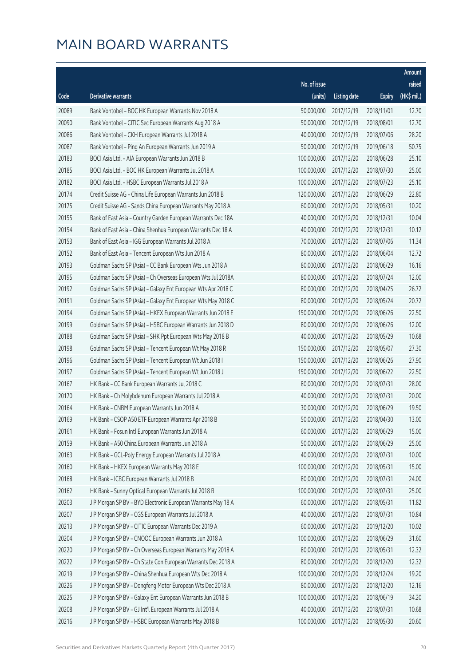|       |                                                              |              |                       |               | Amount      |
|-------|--------------------------------------------------------------|--------------|-----------------------|---------------|-------------|
|       |                                                              | No. of issue |                       |               | raised      |
| Code  | Derivative warrants                                          | (units)      | <b>Listing date</b>   | <b>Expiry</b> | (HK\$ mil.) |
| 20089 | Bank Vontobel - BOC HK European Warrants Nov 2018 A          | 50,000,000   | 2017/12/19            | 2018/11/01    | 12.70       |
| 20090 | Bank Vontobel - CITIC Sec European Warrants Aug 2018 A       | 50,000,000   | 2017/12/19            | 2018/08/01    | 12.70       |
| 20086 | Bank Vontobel - CKH European Warrants Jul 2018 A             | 40,000,000   | 2017/12/19            | 2018/07/06    | 28.20       |
| 20087 | Bank Vontobel - Ping An European Warrants Jun 2019 A         | 50,000,000   | 2017/12/19            | 2019/06/18    | 50.75       |
| 20183 | BOCI Asia Ltd. - AIA European Warrants Jun 2018 B            | 100,000,000  | 2017/12/20            | 2018/06/28    | 25.10       |
| 20185 | BOCI Asia Ltd. - BOC HK European Warrants Jul 2018 A         | 100,000,000  | 2017/12/20            | 2018/07/30    | 25.00       |
| 20182 | BOCI Asia Ltd. - HSBC European Warrants Jul 2018 A           | 100,000,000  | 2017/12/20            | 2018/07/23    | 25.10       |
| 20174 | Credit Suisse AG - China Life European Warrants Jun 2018 B   | 120,000,000  | 2017/12/20            | 2018/06/29    | 22.80       |
| 20175 | Credit Suisse AG - Sands China European Warrants May 2018 A  | 60,000,000   | 2017/12/20            | 2018/05/31    | 10.20       |
| 20155 | Bank of East Asia - Country Garden European Warrants Dec 18A | 40,000,000   | 2017/12/20            | 2018/12/31    | 10.04       |
| 20154 | Bank of East Asia - China Shenhua European Warrants Dec 18 A | 40,000,000   | 2017/12/20            | 2018/12/31    | 10.12       |
| 20153 | Bank of East Asia - IGG European Warrants Jul 2018 A         | 70,000,000   | 2017/12/20            | 2018/07/06    | 11.34       |
| 20152 | Bank of East Asia - Tencent European Wts Jun 2018 A          | 80,000,000   | 2017/12/20            | 2018/06/04    | 12.72       |
| 20193 | Goldman Sachs SP (Asia) - CC Bank European Wts Jun 2018 A    | 80,000,000   | 2017/12/20            | 2018/06/29    | 16.16       |
| 20195 | Goldman Sachs SP (Asia) - Ch Overseas European Wts Jul 2018A | 80,000,000   | 2017/12/20            | 2018/07/24    | 12.00       |
| 20192 | Goldman Sachs SP (Asia) - Galaxy Ent European Wts Apr 2018 C | 80,000,000   | 2017/12/20            | 2018/04/25    | 26.72       |
| 20191 | Goldman Sachs SP (Asia) - Galaxy Ent European Wts May 2018 C | 80,000,000   | 2017/12/20            | 2018/05/24    | 20.72       |
| 20194 | Goldman Sachs SP (Asia) - HKEX European Warrants Jun 2018 E  | 150,000,000  | 2017/12/20            | 2018/06/26    | 22.50       |
| 20199 | Goldman Sachs SP (Asia) - HSBC European Warrants Jun 2018 D  | 80,000,000   | 2017/12/20            | 2018/06/26    | 12.00       |
| 20188 | Goldman Sachs SP (Asia) - SHK Ppt European Wts May 2018 B    | 40,000,000   | 2017/12/20            | 2018/05/29    | 10.68       |
| 20198 | Goldman Sachs SP (Asia) - Tencent European Wt May 2018 R     | 150,000,000  | 2017/12/20            | 2018/05/07    | 27.30       |
| 20196 | Goldman Sachs SP (Asia) - Tencent European Wt Jun 2018 I     | 150,000,000  | 2017/12/20            | 2018/06/26    | 27.90       |
| 20197 | Goldman Sachs SP (Asia) - Tencent European Wt Jun 2018 J     | 150,000,000  | 2017/12/20            | 2018/06/22    | 22.50       |
| 20167 | HK Bank - CC Bank European Warrants Jul 2018 C               | 80,000,000   | 2017/12/20            | 2018/07/31    | 28.00       |
| 20170 | HK Bank - Ch Molybdenum European Warrants Jul 2018 A         | 40,000,000   | 2017/12/20            | 2018/07/31    | 20.00       |
| 20164 | HK Bank - CNBM European Warrants Jun 2018 A                  | 30,000,000   | 2017/12/20            | 2018/06/29    | 19.50       |
| 20169 | HK Bank - CSOP A50 ETF European Warrants Apr 2018 B          |              | 50,000,000 2017/12/20 | 2018/04/30    | 13.00       |
| 20161 | HK Bank - Fosun Intl European Warrants Jun 2018 A            | 60,000,000   | 2017/12/20            | 2018/06/29    | 15.00       |
| 20159 | HK Bank - A50 China European Warrants Jun 2018 A             | 50,000,000   | 2017/12/20            | 2018/06/29    | 25.00       |
| 20163 | HK Bank - GCL-Poly Energy European Warrants Jul 2018 A       | 40,000,000   | 2017/12/20            | 2018/07/31    | 10.00       |
| 20160 | HK Bank - HKEX European Warrants May 2018 E                  | 100,000,000  | 2017/12/20            | 2018/05/31    | 15.00       |
| 20168 | HK Bank - ICBC European Warrants Jul 2018 B                  | 80,000,000   | 2017/12/20            | 2018/07/31    | 24.00       |
| 20162 | HK Bank - Sunny Optical European Warrants Jul 2018 B         | 100,000,000  | 2017/12/20            | 2018/07/31    | 25.00       |
| 20203 | J P Morgan SP BV - BYD Electronic European Warrants May 18 A | 60,000,000   | 2017/12/20            | 2018/05/31    | 11.82       |
| 20207 | J P Morgan SP BV - CGS European Warrants Jul 2018 A          | 40,000,000   | 2017/12/20            | 2018/07/31    | 10.84       |
| 20213 | J P Morgan SP BV - CITIC European Warrants Dec 2019 A        | 60,000,000   | 2017/12/20            | 2019/12/20    | 10.02       |
| 20204 | J P Morgan SP BV - CNOOC European Warrants Jun 2018 A        | 100,000,000  | 2017/12/20            | 2018/06/29    | 31.60       |
| 20220 | J P Morgan SP BV - Ch Overseas European Warrants May 2018 A  | 80,000,000   | 2017/12/20            | 2018/05/31    | 12.32       |
| 20222 | J P Morgan SP BV - Ch State Con European Warrants Dec 2018 A | 80,000,000   | 2017/12/20            | 2018/12/20    | 12.32       |
| 20219 | J P Morgan SP BV - China Shenhua European Wts Dec 2018 A     | 100,000,000  | 2017/12/20            | 2018/12/24    | 19.20       |
| 20226 | J P Morgan SP BV - Dongfeng Motor European Wts Dec 2018 A    | 80,000,000   | 2017/12/20            | 2018/12/20    | 12.16       |
| 20225 | J P Morgan SP BV - Galaxy Ent European Warrants Jun 2018 B   | 100,000,000  | 2017/12/20            | 2018/06/19    | 34.20       |
| 20208 | J P Morgan SP BV - GJ Int'l European Warrants Jul 2018 A     | 40,000,000   | 2017/12/20            | 2018/07/31    | 10.68       |
| 20216 | J P Morgan SP BV - HSBC European Warrants May 2018 B         | 100,000,000  | 2017/12/20            | 2018/05/30    | 20.60       |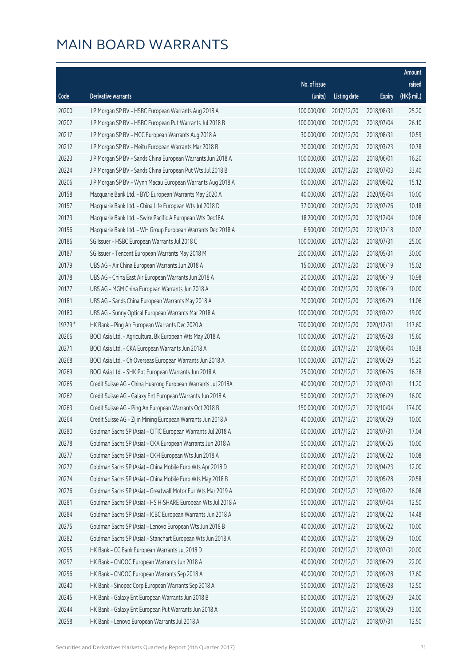|         |                                                              |              |                       |               | Amount      |
|---------|--------------------------------------------------------------|--------------|-----------------------|---------------|-------------|
|         |                                                              | No. of issue |                       |               | raised      |
| Code    | Derivative warrants                                          | (units)      | <b>Listing date</b>   | <b>Expiry</b> | (HK\$ mil.) |
| 20200   | J P Morgan SP BV - HSBC European Warrants Aug 2018 A         | 100,000,000  | 2017/12/20            | 2018/08/31    | 25.20       |
| 20202   | J P Morgan SP BV - HSBC European Put Warrants Jul 2018 B     | 100,000,000  | 2017/12/20            | 2018/07/04    | 26.10       |
| 20217   | J P Morgan SP BV - MCC European Warrants Aug 2018 A          | 30,000,000   | 2017/12/20            | 2018/08/31    | 10.59       |
| 20212   | J P Morgan SP BV - Meitu European Warrants Mar 2018 B        | 70,000,000   | 2017/12/20            | 2018/03/23    | 10.78       |
| 20223   | J P Morgan SP BV - Sands China European Warrants Jun 2018 A  | 100,000,000  | 2017/12/20            | 2018/06/01    | 16.20       |
| 20224   | J P Morgan SP BV - Sands China European Put Wts Jul 2018 B   | 100,000,000  | 2017/12/20            | 2018/07/03    | 33.40       |
| 20206   | J P Morgan SP BV - Wynn Macau European Warrants Aug 2018 A   | 60,000,000   | 2017/12/20            | 2018/08/02    | 15.12       |
| 20158   | Macquarie Bank Ltd. - BYD European Warrants May 2020 A       | 40,000,000   | 2017/12/20            | 2020/05/04    | 10.00       |
| 20157   | Macquarie Bank Ltd. - China Life European Wts Jul 2018 D     | 37,000,000   | 2017/12/20            | 2018/07/26    | 10.18       |
| 20173   | Macquarie Bank Ltd. - Swire Pacific A European Wts Dec18A    | 18,200,000   | 2017/12/20            | 2018/12/04    | 10.08       |
| 20156   | Macquarie Bank Ltd. - WH Group European Warrants Dec 2018 A  | 6,900,000    | 2017/12/20            | 2018/12/18    | 10.07       |
| 20186   | SG Issuer - HSBC European Warrants Jul 2018 C                | 100,000,000  | 2017/12/20            | 2018/07/31    | 25.00       |
| 20187   | SG Issuer - Tencent European Warrants May 2018 M             | 200,000,000  | 2017/12/20            | 2018/05/31    | 30.00       |
| 20179   | UBS AG - Air China European Warrants Jun 2018 A              | 15,000,000   | 2017/12/20            | 2018/06/19    | 15.02       |
| 20178   | UBS AG - China East Air European Warrants Jun 2018 A         | 20,000,000   | 2017/12/20            | 2018/06/19    | 10.98       |
| 20177   | UBS AG - MGM China European Warrants Jun 2018 A              | 40,000,000   | 2017/12/20            | 2018/06/19    | 10.00       |
| 20181   | UBS AG - Sands China European Warrants May 2018 A            | 70,000,000   | 2017/12/20            | 2018/05/29    | 11.06       |
| 20180   | UBS AG - Sunny Optical European Warrants Mar 2018 A          | 100,000,000  | 2017/12/20            | 2018/03/22    | 19.00       |
| 19779 # | HK Bank - Ping An European Warrants Dec 2020 A               | 700,000,000  | 2017/12/20            | 2020/12/31    | 117.60      |
| 20266   | BOCI Asia Ltd. - Agricultural Bk European Wts May 2018 A     | 100,000,000  | 2017/12/21            | 2018/05/28    | 15.60       |
| 20271   | BOCI Asia Ltd. - CKA European Warrants Jun 2018 A            | 60,000,000   | 2017/12/21            | 2018/06/04    | 10.38       |
| 20268   | BOCI Asia Ltd. - Ch Overseas European Warrants Jun 2018 A    | 100,000,000  | 2017/12/21            | 2018/06/29    | 15.20       |
| 20269   | BOCI Asia Ltd. - SHK Ppt European Warrants Jun 2018 A        | 25,000,000   | 2017/12/21            | 2018/06/26    | 16.38       |
| 20265   | Credit Suisse AG - China Huarong European Warrants Jul 2018A | 40,000,000   | 2017/12/21            | 2018/07/31    | 11.20       |
| 20262   | Credit Suisse AG - Galaxy Ent European Warrants Jun 2018 A   | 50,000,000   | 2017/12/21            | 2018/06/29    | 16.00       |
| 20263   | Credit Suisse AG - Ping An European Warrants Oct 2018 B      | 150,000,000  | 2017/12/21            | 2018/10/04    | 174.00      |
| 20264   | Credit Suisse AG - Zijin Mining European Warrants Jun 2018 A |              | 40,000,000 2017/12/21 | 2018/06/29    | 10.00       |
| 20280   | Goldman Sachs SP (Asia) - CITIC European Warrants Jul 2018 A | 60,000,000   | 2017/12/21            | 2018/07/31    | 17.04       |
| 20278   | Goldman Sachs SP (Asia) - CKA European Warrants Jun 2018 A   | 50,000,000   | 2017/12/21            | 2018/06/26    | 10.00       |
| 20277   | Goldman Sachs SP (Asia) - CKH European Wts Jun 2018 A        | 60,000,000   | 2017/12/21            | 2018/06/22    | 10.08       |
| 20272   | Goldman Sachs SP (Asia) - China Mobile Euro Wts Apr 2018 D   | 80,000,000   | 2017/12/21            | 2018/04/23    | 12.00       |
| 20274   | Goldman Sachs SP (Asia) - China Mobile Euro Wts May 2018 B   | 60,000,000   | 2017/12/21            | 2018/05/28    | 20.58       |
| 20276   | Goldman Sachs SP (Asia) - Greatwall Motor Eur Wts Mar 2019 A | 80,000,000   | 2017/12/21            | 2019/03/22    | 16.08       |
| 20281   | Goldman Sachs SP (Asia) - HS H-SHARE European Wts Jul 2018 A | 50,000,000   | 2017/12/21            | 2018/07/04    | 12.50       |
| 20284   | Goldman Sachs SP (Asia) - ICBC European Warrants Jun 2018 A  | 80,000,000   | 2017/12/21            | 2018/06/22    | 14.48       |
| 20275   | Goldman Sachs SP (Asia) - Lenovo European Wts Jun 2018 B     | 40,000,000   | 2017/12/21            | 2018/06/22    | 10.00       |
| 20282   | Goldman Sachs SP (Asia) - Stanchart European Wts Jun 2018 A  | 40,000,000   | 2017/12/21            | 2018/06/29    | 10.00       |
| 20255   | HK Bank - CC Bank European Warrants Jul 2018 D               | 80,000,000   | 2017/12/21            | 2018/07/31    | 20.00       |
| 20257   | HK Bank - CNOOC European Warrants Jun 2018 A                 | 40,000,000   | 2017/12/21            | 2018/06/29    | 22.00       |
| 20256   | HK Bank - CNOOC European Warrants Sep 2018 A                 | 40,000,000   | 2017/12/21            | 2018/09/28    | 17.60       |
| 20240   | HK Bank - Sinopec Corp European Warrants Sep 2018 A          | 50,000,000   | 2017/12/21            | 2018/09/28    | 12.50       |
| 20245   | HK Bank - Galaxy Ent European Warrants Jun 2018 B            | 80,000,000   | 2017/12/21            | 2018/06/29    | 24.00       |
| 20244   | HK Bank - Galaxy Ent European Put Warrants Jun 2018 A        | 50,000,000   | 2017/12/21            | 2018/06/29    | 13.00       |
| 20258   | HK Bank - Lenovo European Warrants Jul 2018 A                | 50,000,000   | 2017/12/21            | 2018/07/31    | 12.50       |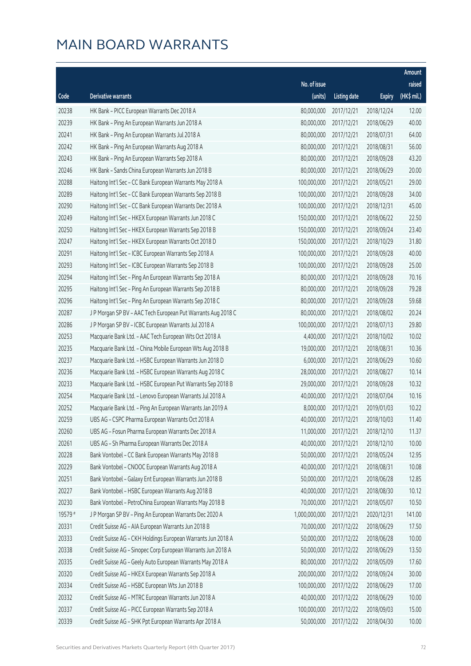|         |                                                              |               |                       |               | Amount      |
|---------|--------------------------------------------------------------|---------------|-----------------------|---------------|-------------|
|         |                                                              | No. of issue  |                       |               | raised      |
| Code    | <b>Derivative warrants</b>                                   | (units)       | <b>Listing date</b>   | <b>Expiry</b> | (HK\$ mil.) |
| 20238   | HK Bank - PICC European Warrants Dec 2018 A                  | 80,000,000    | 2017/12/21            | 2018/12/24    | 12.00       |
| 20239   | HK Bank - Ping An European Warrants Jun 2018 A               | 80,000,000    | 2017/12/21            | 2018/06/29    | 40.00       |
| 20241   | HK Bank - Ping An European Warrants Jul 2018 A               | 80,000,000    | 2017/12/21            | 2018/07/31    | 64.00       |
| 20242   | HK Bank - Ping An European Warrants Aug 2018 A               | 80,000,000    | 2017/12/21            | 2018/08/31    | 56.00       |
| 20243   | HK Bank - Ping An European Warrants Sep 2018 A               | 80,000,000    | 2017/12/21            | 2018/09/28    | 43.20       |
| 20246   | HK Bank - Sands China European Warrants Jun 2018 B           | 80,000,000    | 2017/12/21            | 2018/06/29    | 20.00       |
| 20288   | Haitong Int'l Sec - CC Bank European Warrants May 2018 A     | 100,000,000   | 2017/12/21            | 2018/05/21    | 29.00       |
| 20289   | Haitong Int'l Sec - CC Bank European Warrants Sep 2018 B     | 100,000,000   | 2017/12/21            | 2018/09/28    | 34.00       |
| 20290   | Haitong Int'l Sec - CC Bank European Warrants Dec 2018 A     | 100,000,000   | 2017/12/21            | 2018/12/31    | 45.00       |
| 20249   | Haitong Int'l Sec - HKEX European Warrants Jun 2018 C        | 150,000,000   | 2017/12/21            | 2018/06/22    | 22.50       |
| 20250   | Haitong Int'l Sec - HKEX European Warrants Sep 2018 B        | 150,000,000   | 2017/12/21            | 2018/09/24    | 23.40       |
| 20247   | Haitong Int'l Sec - HKEX European Warrants Oct 2018 D        | 150,000,000   | 2017/12/21            | 2018/10/29    | 31.80       |
| 20291   | Haitong Int'l Sec - ICBC European Warrants Sep 2018 A        | 100,000,000   | 2017/12/21            | 2018/09/28    | 40.00       |
| 20293   | Haitong Int'l Sec - ICBC European Warrants Sep 2018 B        | 100,000,000   | 2017/12/21            | 2018/09/28    | 25.00       |
| 20294   | Haitong Int'l Sec - Ping An European Warrants Sep 2018 A     | 80,000,000    | 2017/12/21            | 2018/09/28    | 70.16       |
| 20295   | Haitong Int'l Sec - Ping An European Warrants Sep 2018 B     | 80,000,000    | 2017/12/21            | 2018/09/28    | 79.28       |
| 20296   | Haitong Int'l Sec - Ping An European Warrants Sep 2018 C     | 80,000,000    | 2017/12/21            | 2018/09/28    | 59.68       |
| 20287   | J P Morgan SP BV - AAC Tech European Put Warrants Aug 2018 C | 80,000,000    | 2017/12/21            | 2018/08/02    | 20.24       |
| 20286   | J P Morgan SP BV - ICBC European Warrants Jul 2018 A         | 100,000,000   | 2017/12/21            | 2018/07/13    | 29.80       |
| 20253   | Macquarie Bank Ltd. - AAC Tech European Wts Oct 2018 A       | 4,400,000     | 2017/12/21            | 2018/10/02    | 10.02       |
| 20235   | Macquarie Bank Ltd. - China Mobile European Wts Aug 2018 B   | 19,000,000    | 2017/12/21            | 2018/08/31    | 10.36       |
| 20237   | Macquarie Bank Ltd. - HSBC European Warrants Jun 2018 D      | 6,000,000     | 2017/12/21            | 2018/06/29    | 10.60       |
| 20236   | Macquarie Bank Ltd. - HSBC European Warrants Aug 2018 C      | 28,000,000    | 2017/12/21            | 2018/08/27    | 10.14       |
| 20233   | Macquarie Bank Ltd. - HSBC European Put Warrants Sep 2018 B  | 29,000,000    | 2017/12/21            | 2018/09/28    | 10.32       |
| 20254   | Macquarie Bank Ltd. - Lenovo European Warrants Jul 2018 A    | 40,000,000    | 2017/12/21            | 2018/07/04    | 10.16       |
| 20252   | Macquarie Bank Ltd. - Ping An European Warrants Jan 2019 A   | 8,000,000     | 2017/12/21            | 2019/01/03    | 10.22       |
| 20259   | UBS AG - CSPC Pharma European Warrants Oct 2018 A            |               | 40,000,000 2017/12/21 | 2018/10/03    | 11.40       |
| 20260   | UBS AG - Fosun Pharma European Warrants Dec 2018 A           | 11,000,000    | 2017/12/21            | 2018/12/10    | 11.37       |
| 20261   | UBS AG - Sh Pharma European Warrants Dec 2018 A              | 40,000,000    | 2017/12/21            | 2018/12/10    | 10.00       |
| 20228   | Bank Vontobel - CC Bank European Warrants May 2018 B         | 50,000,000    | 2017/12/21            | 2018/05/24    | 12.95       |
| 20229   | Bank Vontobel - CNOOC European Warrants Aug 2018 A           | 40,000,000    | 2017/12/21            | 2018/08/31    | 10.08       |
| 20251   | Bank Vontobel - Galaxy Ent European Warrants Jun 2018 B      | 50,000,000    | 2017/12/21            | 2018/06/28    | 12.85       |
| 20227   | Bank Vontobel - HSBC European Warrants Aug 2018 B            | 40,000,000    | 2017/12/21            | 2018/08/30    | 10.12       |
| 20230   | Bank Vontobel - PetroChina European Warrants May 2018 B      | 70,000,000    | 2017/12/21            | 2018/05/07    | 10.50       |
| 19579 # | J P Morgan SP BV - Ping An European Warrants Dec 2020 A      | 1,000,000,000 | 2017/12/21            | 2020/12/31    | 141.00      |
| 20331   | Credit Suisse AG - AIA European Warrants Jun 2018 B          | 70,000,000    | 2017/12/22            | 2018/06/29    | 17.50       |
| 20333   | Credit Suisse AG - CKH Holdings European Warrants Jun 2018 A | 50,000,000    | 2017/12/22            | 2018/06/28    | 10.00       |
| 20338   | Credit Suisse AG - Sinopec Corp European Warrants Jun 2018 A | 50,000,000    | 2017/12/22            | 2018/06/29    | 13.50       |
| 20335   | Credit Suisse AG - Geely Auto European Warrants May 2018 A   | 80,000,000    | 2017/12/22            | 2018/05/09    | 17.60       |
| 20320   | Credit Suisse AG - HKEX European Warrants Sep 2018 A         | 200,000,000   | 2017/12/22            | 2018/09/24    | 30.00       |
| 20334   | Credit Suisse AG - HSBC European Wts Jun 2018 B              | 100,000,000   | 2017/12/22            | 2018/06/29    | 17.00       |
| 20332   | Credit Suisse AG - MTRC European Warrants Jun 2018 A         | 40,000,000    | 2017/12/22            | 2018/06/29    | 10.00       |
| 20337   | Credit Suisse AG - PICC European Warrants Sep 2018 A         | 100,000,000   | 2017/12/22            | 2018/09/03    | 15.00       |
| 20339   | Credit Suisse AG - SHK Ppt European Warrants Apr 2018 A      | 50,000,000    | 2017/12/22            | 2018/04/30    | 10.00       |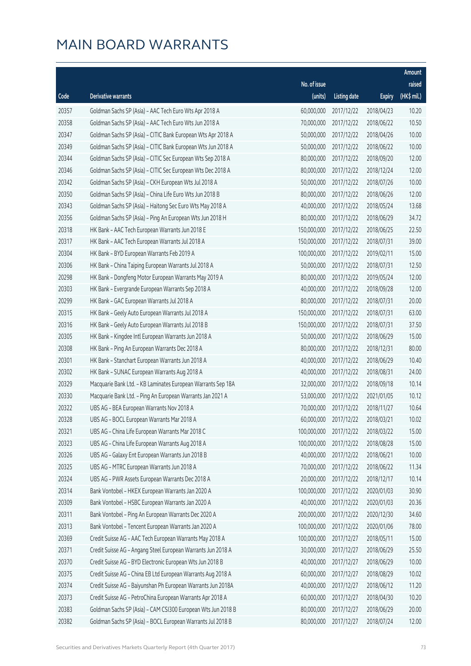|       |                                                              |              |                       |               | Amount      |
|-------|--------------------------------------------------------------|--------------|-----------------------|---------------|-------------|
|       |                                                              | No. of issue |                       |               | raised      |
| Code  | <b>Derivative warrants</b>                                   | (units)      | <b>Listing date</b>   | <b>Expiry</b> | (HK\$ mil.) |
| 20357 | Goldman Sachs SP (Asia) - AAC Tech Euro Wts Apr 2018 A       | 60,000,000   | 2017/12/22            | 2018/04/23    | 10.20       |
| 20358 | Goldman Sachs SP (Asia) - AAC Tech Euro Wts Jun 2018 A       | 70,000,000   | 2017/12/22            | 2018/06/22    | 10.50       |
| 20347 | Goldman Sachs SP (Asia) - CITIC Bank European Wts Apr 2018 A | 50,000,000   | 2017/12/22            | 2018/04/26    | 10.00       |
| 20349 | Goldman Sachs SP (Asia) - CITIC Bank European Wts Jun 2018 A | 50,000,000   | 2017/12/22            | 2018/06/22    | 10.00       |
| 20344 | Goldman Sachs SP (Asia) - CITIC Sec European Wts Sep 2018 A  | 80,000,000   | 2017/12/22            | 2018/09/20    | 12.00       |
| 20346 | Goldman Sachs SP (Asia) - CITIC Sec European Wts Dec 2018 A  | 80,000,000   | 2017/12/22            | 2018/12/24    | 12.00       |
| 20342 | Goldman Sachs SP (Asia) - CKH European Wts Jul 2018 A        | 50,000,000   | 2017/12/22            | 2018/07/26    | 10.00       |
| 20350 | Goldman Sachs SP (Asia) - China Life Euro Wts Jun 2018 B     | 80,000,000   | 2017/12/22            | 2018/06/26    | 12.00       |
| 20343 | Goldman Sachs SP (Asia) - Haitong Sec Euro Wts May 2018 A    | 40,000,000   | 2017/12/22            | 2018/05/24    | 13.68       |
| 20356 | Goldman Sachs SP (Asia) - Ping An European Wts Jun 2018 H    | 80,000,000   | 2017/12/22            | 2018/06/29    | 34.72       |
| 20318 | HK Bank - AAC Tech European Warrants Jun 2018 E              | 150,000,000  | 2017/12/22            | 2018/06/25    | 22.50       |
| 20317 | HK Bank - AAC Tech European Warrants Jul 2018 A              | 150,000,000  | 2017/12/22            | 2018/07/31    | 39.00       |
| 20304 | HK Bank - BYD European Warrants Feb 2019 A                   | 100,000,000  | 2017/12/22            | 2019/02/11    | 15.00       |
| 20306 | HK Bank - China Taiping European Warrants Jul 2018 A         | 50,000,000   | 2017/12/22            | 2018/07/31    | 12.50       |
| 20298 | HK Bank - Dongfeng Motor European Warrants May 2019 A        | 80,000,000   | 2017/12/22            | 2019/05/24    | 12.00       |
| 20303 | HK Bank - Evergrande European Warrants Sep 2018 A            | 40,000,000   | 2017/12/22            | 2018/09/28    | 12.00       |
| 20299 | HK Bank - GAC European Warrants Jul 2018 A                   | 80,000,000   | 2017/12/22            | 2018/07/31    | 20.00       |
| 20315 | HK Bank - Geely Auto European Warrants Jul 2018 A            | 150,000,000  | 2017/12/22            | 2018/07/31    | 63.00       |
| 20316 | HK Bank - Geely Auto European Warrants Jul 2018 B            | 150,000,000  | 2017/12/22            | 2018/07/31    | 37.50       |
| 20305 | HK Bank - Kingdee Intl European Warrants Jun 2018 A          | 50,000,000   | 2017/12/22            | 2018/06/29    | 15.00       |
| 20308 | HK Bank - Ping An European Warrants Dec 2018 A               | 80,000,000   | 2017/12/22            | 2018/12/31    | 80.00       |
| 20301 | HK Bank - Stanchart European Warrants Jun 2018 A             | 40,000,000   | 2017/12/22            | 2018/06/29    | 10.40       |
| 20302 | HK Bank - SUNAC European Warrants Aug 2018 A                 | 40,000,000   | 2017/12/22            | 2018/08/31    | 24.00       |
| 20329 | Macquarie Bank Ltd. - KB Laminates European Warrants Sep 18A | 32,000,000   | 2017/12/22            | 2018/09/18    | 10.14       |
| 20330 | Macquarie Bank Ltd. - Ping An European Warrants Jan 2021 A   | 53,000,000   | 2017/12/22            | 2021/01/05    | 10.12       |
| 20322 | UBS AG - BEA European Warrants Nov 2018 A                    | 70,000,000   | 2017/12/22            | 2018/11/27    | 10.64       |
| 20328 | UBS AG - BOCL European Warrants Mar 2018 A                   |              | 60,000,000 2017/12/22 | 2018/03/21    | 10.02       |
| 20321 | UBS AG - China Life European Warrants Mar 2018 C             | 100,000,000  | 2017/12/22            | 2018/03/22    | 15.00       |
| 20323 | UBS AG - China Life European Warrants Aug 2018 A             | 100,000,000  | 2017/12/22            | 2018/08/28    | 15.00       |
| 20326 | UBS AG - Galaxy Ent European Warrants Jun 2018 B             | 40,000,000   | 2017/12/22            | 2018/06/21    | 10.00       |
| 20325 | UBS AG - MTRC European Warrants Jun 2018 A                   | 70,000,000   | 2017/12/22            | 2018/06/22    | 11.34       |
| 20324 | UBS AG - PWR Assets European Warrants Dec 2018 A             | 20,000,000   | 2017/12/22            | 2018/12/17    | 10.14       |
| 20314 | Bank Vontobel - HKEX European Warrants Jan 2020 A            | 100,000,000  | 2017/12/22            | 2020/01/03    | 30.90       |
| 20309 | Bank Vontobel - HSBC European Warrants Jan 2020 A            | 40,000,000   | 2017/12/22            | 2020/01/03    | 20.36       |
| 20311 | Bank Vontobel - Ping An European Warrants Dec 2020 A         | 200,000,000  | 2017/12/22            | 2020/12/30    | 34.60       |
| 20313 | Bank Vontobel - Tencent European Warrants Jan 2020 A         | 100,000,000  | 2017/12/22            | 2020/01/06    | 78.00       |
| 20369 | Credit Suisse AG - AAC Tech European Warrants May 2018 A     | 100,000,000  | 2017/12/27            | 2018/05/11    | 15.00       |
| 20371 | Credit Suisse AG - Angang Steel European Warrants Jun 2018 A | 30,000,000   | 2017/12/27            | 2018/06/29    | 25.50       |
| 20370 | Credit Suisse AG - BYD Electronic European Wts Jun 2018 B    | 40,000,000   | 2017/12/27            | 2018/06/29    | 10.00       |
| 20375 | Credit Suisse AG - China EB Ltd European Warrants Aug 2018 A | 60,000,000   | 2017/12/27            | 2018/08/29    | 10.02       |
| 20374 | Credit Suisse AG - Baiyunshan Ph European Warrants Jun 2018A | 40,000,000   | 2017/12/27            | 2018/06/12    | 11.20       |
| 20373 | Credit Suisse AG - PetroChina European Warrants Apr 2018 A   | 60,000,000   | 2017/12/27            | 2018/04/30    | 10.20       |
| 20383 | Goldman Sachs SP (Asia) - CAM CSI300 European Wts Jun 2018 B | 80,000,000   | 2017/12/27            | 2018/06/29    | 20.00       |
| 20382 | Goldman Sachs SP (Asia) - BOCL European Warrants Jul 2018 B  | 80,000,000   | 2017/12/27            | 2018/07/24    | 12.00       |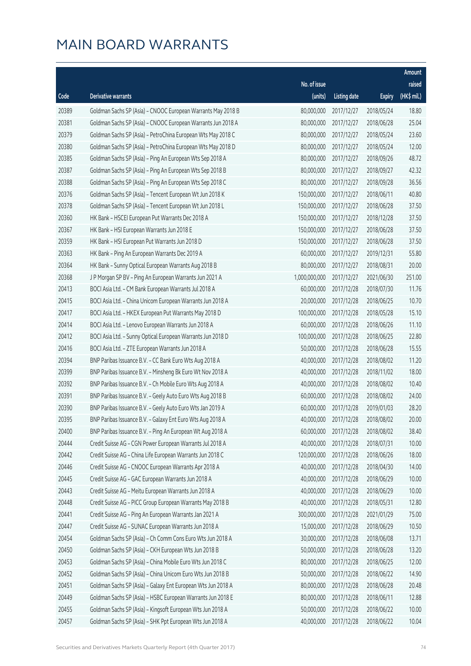|       |                                                              |               |                       |               | Amount      |
|-------|--------------------------------------------------------------|---------------|-----------------------|---------------|-------------|
|       |                                                              | No. of issue  |                       |               | raised      |
| Code  | Derivative warrants                                          | (units)       | <b>Listing date</b>   | <b>Expiry</b> | (HK\$ mil.) |
| 20389 | Goldman Sachs SP (Asia) - CNOOC European Warrants May 2018 B | 80,000,000    | 2017/12/27            | 2018/05/24    | 18.80       |
| 20381 | Goldman Sachs SP (Asia) - CNOOC European Warrants Jun 2018 A | 80,000,000    | 2017/12/27            | 2018/06/28    | 25.04       |
| 20379 | Goldman Sachs SP (Asia) - PetroChina European Wts May 2018 C | 80,000,000    | 2017/12/27            | 2018/05/24    | 23.60       |
| 20380 | Goldman Sachs SP (Asia) - PetroChina European Wts May 2018 D | 80,000,000    | 2017/12/27            | 2018/05/24    | 12.00       |
| 20385 | Goldman Sachs SP (Asia) - Ping An European Wts Sep 2018 A    | 80,000,000    | 2017/12/27            | 2018/09/26    | 48.72       |
| 20387 | Goldman Sachs SP (Asia) - Ping An European Wts Sep 2018 B    | 80,000,000    | 2017/12/27            | 2018/09/27    | 42.32       |
| 20388 | Goldman Sachs SP (Asia) - Ping An European Wts Sep 2018 C    | 80,000,000    | 2017/12/27            | 2018/09/28    | 36.56       |
| 20376 | Goldman Sachs SP (Asia) - Tencent European Wt Jun 2018 K     | 150,000,000   | 2017/12/27            | 2018/06/11    | 40.80       |
| 20378 | Goldman Sachs SP (Asia) - Tencent European Wt Jun 2018 L     | 150,000,000   | 2017/12/27            | 2018/06/28    | 37.50       |
| 20360 | HK Bank - HSCEI European Put Warrants Dec 2018 A             | 150,000,000   | 2017/12/27            | 2018/12/28    | 37.50       |
| 20367 | HK Bank - HSI European Warrants Jun 2018 E                   | 150,000,000   | 2017/12/27            | 2018/06/28    | 37.50       |
| 20359 | HK Bank - HSI European Put Warrants Jun 2018 D               | 150,000,000   | 2017/12/27            | 2018/06/28    | 37.50       |
| 20363 | HK Bank - Ping An European Warrants Dec 2019 A               | 60,000,000    | 2017/12/27            | 2019/12/31    | 55.80       |
| 20364 | HK Bank - Sunny Optical European Warrants Aug 2018 B         | 80,000,000    | 2017/12/27            | 2018/08/31    | 20.00       |
| 20368 | J P Morgan SP BV - Ping An European Warrants Jun 2021 A      | 1,000,000,000 | 2017/12/27            | 2021/06/30    | 251.00      |
| 20413 | BOCI Asia Ltd. - CM Bank European Warrants Jul 2018 A        | 60,000,000    | 2017/12/28            | 2018/07/30    | 11.76       |
| 20415 | BOCI Asia Ltd. - China Unicom European Warrants Jun 2018 A   | 20,000,000    | 2017/12/28            | 2018/06/25    | 10.70       |
| 20417 | BOCI Asia Ltd. - HKEX European Put Warrants May 2018 D       | 100,000,000   | 2017/12/28            | 2018/05/28    | 15.10       |
| 20414 | BOCI Asia Ltd. - Lenovo European Warrants Jun 2018 A         | 60,000,000    | 2017/12/28            | 2018/06/26    | 11.10       |
| 20412 | BOCI Asia Ltd. - Sunny Optical European Warrants Jun 2018 D  | 100,000,000   | 2017/12/28            | 2018/06/25    | 22.80       |
| 20416 | BOCI Asia Ltd. - ZTE European Warrants Jun 2018 A            | 50,000,000    | 2017/12/28            | 2018/06/28    | 15.55       |
| 20394 | BNP Paribas Issuance B.V. - CC Bank Euro Wts Aug 2018 A      | 40,000,000    | 2017/12/28            | 2018/08/02    | 11.20       |
| 20399 | BNP Paribas Issuance B.V. - Minsheng Bk Euro Wt Nov 2018 A   | 40,000,000    | 2017/12/28            | 2018/11/02    | 18.00       |
| 20392 | BNP Paribas Issuance B.V. - Ch Mobile Euro Wts Aug 2018 A    | 40,000,000    | 2017/12/28            | 2018/08/02    | 10.40       |
| 20391 | BNP Paribas Issuance B.V. - Geely Auto Euro Wts Aug 2018 B   | 60,000,000    | 2017/12/28            | 2018/08/02    | 24.00       |
| 20390 | BNP Paribas Issuance B.V. - Geely Auto Euro Wts Jan 2019 A   | 60,000,000    | 2017/12/28            | 2019/01/03    | 28.20       |
| 20395 | BNP Paribas Issuance B.V. - Galaxy Ent Euro Wts Aug 2018 A   |               | 40,000,000 2017/12/28 | 2018/08/02    | 20.00       |
| 20400 | BNP Paribas Issuance B.V. - Ping An European Wt Aug 2018 A   | 60,000,000    | 2017/12/28            | 2018/08/02    | 38.40       |
| 20444 | Credit Suisse AG - CGN Power European Warrants Jul 2018 A    | 40,000,000    | 2017/12/28            | 2018/07/31    | 10.00       |
| 20442 | Credit Suisse AG - China Life European Warrants Jun 2018 C   | 120,000,000   | 2017/12/28            | 2018/06/26    | 18.00       |
| 20446 | Credit Suisse AG - CNOOC European Warrants Apr 2018 A        | 40,000,000    | 2017/12/28            | 2018/04/30    | 14.00       |
| 20445 | Credit Suisse AG - GAC European Warrants Jun 2018 A          | 40,000,000    | 2017/12/28            | 2018/06/29    | 10.00       |
| 20443 | Credit Suisse AG - Meitu European Warrants Jun 2018 A        | 40,000,000    | 2017/12/28            | 2018/06/29    | 10.00       |
| 20448 | Credit Suisse AG - PICC Group European Warrants May 2018 B   | 40,000,000    | 2017/12/28            | 2018/05/31    | 12.80       |
| 20441 | Credit Suisse AG - Ping An European Warrants Jan 2021 A      | 300,000,000   | 2017/12/28            | 2021/01/29    | 75.00       |
| 20447 | Credit Suisse AG - SUNAC European Warrants Jun 2018 A        | 15,000,000    | 2017/12/28            | 2018/06/29    | 10.50       |
| 20454 | Goldman Sachs SP (Asia) - Ch Comm Cons Euro Wts Jun 2018 A   | 30,000,000    | 2017/12/28            | 2018/06/08    | 13.71       |
| 20450 | Goldman Sachs SP (Asia) - CKH European Wts Jun 2018 B        | 50,000,000    | 2017/12/28            | 2018/06/28    | 13.20       |
| 20453 | Goldman Sachs SP (Asia) - China Mobile Euro Wts Jun 2018 C   | 80,000,000    | 2017/12/28            | 2018/06/25    | 12.00       |
| 20452 | Goldman Sachs SP (Asia) - China Unicom Euro Wts Jun 2018 B   | 50,000,000    | 2017/12/28            | 2018/06/22    | 14.90       |
| 20451 | Goldman Sachs SP (Asia) - Galaxy Ent European Wts Jun 2018 A | 80,000,000    | 2017/12/28            | 2018/06/28    | 20.48       |
| 20449 | Goldman Sachs SP (Asia) - HSBC European Warrants Jun 2018 E  | 80,000,000    | 2017/12/28            | 2018/06/11    | 12.88       |
| 20455 | Goldman Sachs SP (Asia) - Kingsoft European Wts Jun 2018 A   | 50,000,000    | 2017/12/28            | 2018/06/22    | 10.00       |
| 20457 | Goldman Sachs SP (Asia) - SHK Ppt European Wts Jun 2018 A    | 40,000,000    | 2017/12/28            | 2018/06/22    | 10.04       |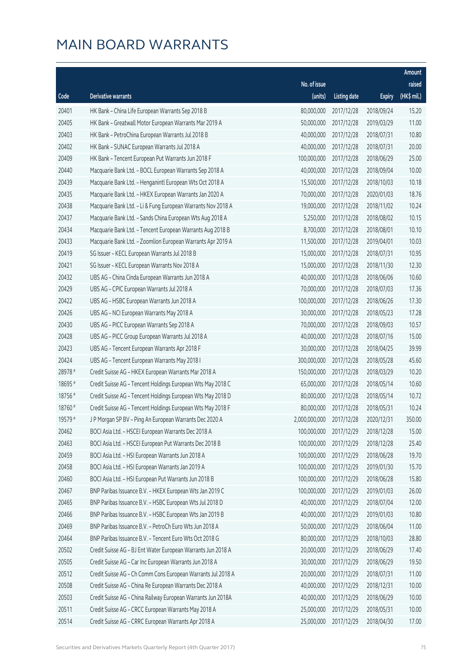|         |                                                              |                          |                     |               | Amount      |
|---------|--------------------------------------------------------------|--------------------------|---------------------|---------------|-------------|
|         |                                                              | No. of issue             |                     |               | raised      |
| Code    | Derivative warrants                                          | (units)                  | <b>Listing date</b> | <b>Expiry</b> | (HK\$ mil.) |
| 20401   | HK Bank - China Life European Warrants Sep 2018 B            | 80,000,000               | 2017/12/28          | 2018/09/24    | 15.20       |
| 20405   | HK Bank - Greatwall Motor European Warrants Mar 2019 A       | 50,000,000               | 2017/12/28          | 2019/03/29    | 11.00       |
| 20403   | HK Bank - PetroChina European Warrants Jul 2018 B            | 40,000,000               | 2017/12/28          | 2018/07/31    | 10.80       |
| 20402   | HK Bank - SUNAC European Warrants Jul 2018 A                 | 40,000,000               | 2017/12/28          | 2018/07/31    | 20.00       |
| 20409   | HK Bank - Tencent European Put Warrants Jun 2018 F           | 100,000,000              | 2017/12/28          | 2018/06/29    | 25.00       |
| 20440   | Macquarie Bank Ltd. - BOCL European Warrants Sep 2018 A      | 40,000,000               | 2017/12/28          | 2018/09/04    | 10.00       |
| 20439   | Macquarie Bank Ltd. - Henganintl European Wts Oct 2018 A     | 15,500,000               | 2017/12/28          | 2018/10/03    | 10.18       |
| 20435   | Macquarie Bank Ltd. - HKEX European Warrants Jan 2020 A      | 70,000,000               | 2017/12/28          | 2020/01/03    | 18.76       |
| 20438   | Macquarie Bank Ltd. - Li & Fung European Warrants Nov 2018 A | 19,000,000               | 2017/12/28          | 2018/11/02    | 10.24       |
| 20437   | Macquarie Bank Ltd. - Sands China European Wts Aug 2018 A    | 5,250,000                | 2017/12/28          | 2018/08/02    | 10.15       |
| 20434   | Macquarie Bank Ltd. - Tencent European Warrants Aug 2018 B   | 8,700,000                | 2017/12/28          | 2018/08/01    | 10.10       |
| 20433   | Macquarie Bank Ltd. - Zoomlion European Warrants Apr 2019 A  | 11,500,000               | 2017/12/28          | 2019/04/01    | 10.03       |
| 20419   | SG Issuer - KECL European Warrants Jul 2018 B                | 15,000,000               | 2017/12/28          | 2018/07/31    | 10.95       |
| 20421   | SG Issuer - KECL European Warrants Nov 2018 A                | 15,000,000               | 2017/12/28          | 2018/11/30    | 12.30       |
| 20432   | UBS AG - China Cinda European Warrants Jun 2018 A            | 40,000,000               | 2017/12/28          | 2018/06/06    | 10.60       |
| 20429   | UBS AG - CPIC European Warrants Jul 2018 A                   | 70,000,000               | 2017/12/28          | 2018/07/03    | 17.36       |
| 20422   | UBS AG - HSBC European Warrants Jun 2018 A                   | 100,000,000              | 2017/12/28          | 2018/06/26    | 17.30       |
| 20426   | UBS AG - NCI European Warrants May 2018 A                    | 30,000,000               | 2017/12/28          | 2018/05/23    | 17.28       |
| 20430   | UBS AG - PICC European Warrants Sep 2018 A                   | 70,000,000               | 2017/12/28          | 2018/09/03    | 10.57       |
| 20428   | UBS AG - PICC Group European Warrants Jul 2018 A             | 40,000,000               | 2017/12/28          | 2018/07/16    | 15.00       |
| 20423   | UBS AG - Tencent European Warrants Apr 2018 F                | 30,000,000               | 2017/12/28          | 2018/04/25    | 39.99       |
| 20424   | UBS AG - Tencent European Warrants May 2018 I                | 300,000,000              | 2017/12/28          | 2018/05/28    | 45.60       |
| 28978 # | Credit Suisse AG - HKEX European Warrants Mar 2018 A         | 150,000,000              | 2017/12/28          | 2018/03/29    | 10.20       |
| 18695 # | Credit Suisse AG - Tencent Holdings European Wts May 2018 C  | 65,000,000               | 2017/12/28          | 2018/05/14    | 10.60       |
| 18756 # | Credit Suisse AG - Tencent Holdings European Wts May 2018 D  | 80,000,000               | 2017/12/28          | 2018/05/14    | 10.72       |
| 18760 # | Credit Suisse AG - Tencent Holdings European Wts May 2018 F  | 80,000,000               | 2017/12/28          | 2018/05/31    | 10.24       |
| 19579 # | J P Morgan SP BV - Ping An European Warrants Dec 2020 A      | 2,000,000,000 2017/12/28 |                     | 2020/12/31    | 350.00      |
| 20462   | BOCI Asia Ltd. - HSCEI European Warrants Dec 2018 A          | 100,000,000              | 2017/12/29          | 2018/12/28    | 15.00       |
| 20463   | BOCI Asia Ltd. - HSCEI European Put Warrants Dec 2018 B      | 100,000,000              | 2017/12/29          | 2018/12/28    | 25.40       |
| 20459   | BOCI Asia Ltd. - HSI European Warrants Jun 2018 A            | 100,000,000              | 2017/12/29          | 2018/06/28    | 19.70       |
| 20458   | BOCI Asia Ltd. - HSI European Warrants Jan 2019 A            | 100,000,000              | 2017/12/29          | 2019/01/30    | 15.70       |
| 20460   | BOCI Asia Ltd. - HSI European Put Warrants Jun 2018 B        | 100,000,000              | 2017/12/29          | 2018/06/28    | 15.80       |
| 20467   | BNP Paribas Issuance B.V. - HKEX European Wts Jan 2019 C     | 100,000,000              | 2017/12/29          | 2019/01/03    | 26.00       |
| 20465   | BNP Paribas Issuance B.V. - HSBC European Wts Jul 2018 D     | 40,000,000               | 2017/12/29          | 2018/07/04    | 12.00       |
| 20466   | BNP Paribas Issuance B.V. - HSBC European Wts Jan 2019 B     | 40,000,000               | 2017/12/29          | 2019/01/03    | 10.80       |
| 20469   | BNP Paribas Issuance B.V. - PetroCh Euro Wts Jun 2018 A      | 50,000,000               | 2017/12/29          | 2018/06/04    | 11.00       |
| 20464   | BNP Paribas Issuance B.V. - Tencent Euro Wts Oct 2018 G      | 80,000,000               | 2017/12/29          | 2018/10/03    | 28.80       |
| 20502   | Credit Suisse AG - BJ Ent Water European Warrants Jun 2018 A | 20,000,000               | 2017/12/29          | 2018/06/29    | 17.40       |
| 20505   | Credit Suisse AG - Car Inc European Warrants Jun 2018 A      | 30,000,000               | 2017/12/29          | 2018/06/29    | 19.50       |
| 20512   | Credit Suisse AG - Ch Comm Cons European Warrants Jul 2018 A | 20,000,000               | 2017/12/29          | 2018/07/31    | 11.00       |
| 20508   | Credit Suisse AG - China Re European Warrants Dec 2018 A     | 40,000,000               | 2017/12/29          | 2018/12/31    | 10.00       |
| 20503   | Credit Suisse AG - China Railway European Warrants Jun 2018A | 40,000,000               | 2017/12/29          | 2018/06/29    | 10.00       |
| 20511   | Credit Suisse AG - CRCC European Warrants May 2018 A         | 25,000,000               | 2017/12/29          | 2018/05/31    | 10.00       |
| 20514   | Credit Suisse AG - CRRC European Warrants Apr 2018 A         | 25,000,000               | 2017/12/29          | 2018/04/30    | 17.00       |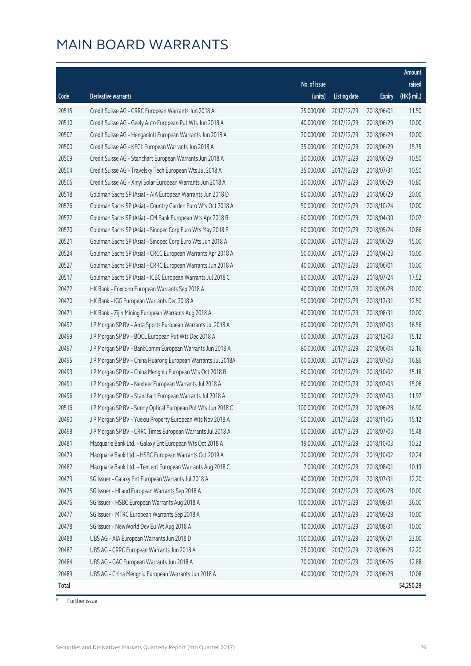|       |                                                              |              |                       |               | Amount                |
|-------|--------------------------------------------------------------|--------------|-----------------------|---------------|-----------------------|
|       |                                                              | No. of issue |                       |               | raised                |
| Code  | <b>Derivative warrants</b>                                   | (units)      | <b>Listing date</b>   | <b>Expiry</b> | $(HK\frac{1}{2}mil.)$ |
| 20515 | Credit Suisse AG - CRRC European Warrants Jun 2018 A         | 25,000,000   | 2017/12/29            | 2018/06/01    | 11.50                 |
| 20510 | Credit Suisse AG - Geely Auto European Put Wts Jun 2018 A    | 40,000,000   | 2017/12/29            | 2018/06/29    | 10.00                 |
| 20507 | Credit Suisse AG - Henganintl European Warrants Jun 2018 A   | 20,000,000   | 2017/12/29            | 2018/06/29    | 10.00                 |
| 20500 | Credit Suisse AG - KECL European Warrants Jun 2018 A         | 35,000,000   | 2017/12/29            | 2018/06/29    | 15.75                 |
| 20509 | Credit Suisse AG - Stanchart European Warrants Jun 2018 A    | 30,000,000   | 2017/12/29            | 2018/06/29    | 10.50                 |
| 20504 | Credit Suisse AG - Travelsky Tech European Wts Jul 2018 A    | 35,000,000   | 2017/12/29            | 2018/07/31    | 10.50                 |
| 20506 | Credit Suisse AG - Xinyi Solar European Warrants Jun 2018 A  | 30,000,000   | 2017/12/29            | 2018/06/29    | 10.80                 |
| 20518 | Goldman Sachs SP (Asia) - AIA European Warrants Jun 2018 D   | 80,000,000   | 2017/12/29            | 2018/06/29    | 20.00                 |
| 20526 | Goldman Sachs SP (Asia) - Country Garden Euro Wts Oct 2018 A | 50,000,000   | 2017/12/29            | 2018/10/24    | 10.00                 |
| 20522 | Goldman Sachs SP (Asia) - CM Bank European Wts Apr 2018 B    | 60,000,000   | 2017/12/29            | 2018/04/30    | 10.02                 |
| 20520 | Goldman Sachs SP (Asia) - Sinopec Corp Euro Wts May 2018 B   | 60,000,000   | 2017/12/29            | 2018/05/24    | 10.86                 |
| 20521 | Goldman Sachs SP (Asia) - Sinopec Corp Euro Wts Jun 2018 A   | 60,000,000   | 2017/12/29            | 2018/06/29    | 15.00                 |
| 20524 | Goldman Sachs SP (Asia) - CRCC European Warrants Apr 2018 A  | 50,000,000   | 2017/12/29            | 2018/04/23    | 10.00                 |
| 20527 | Goldman Sachs SP (Asia) - CRRC European Warrants Jun 2018 A  | 40,000,000   | 2017/12/29            | 2018/06/01    | 10.00                 |
| 20517 | Goldman Sachs SP (Asia) - ICBC European Warrants Jul 2018 C  | 80,000,000   | 2017/12/29            | 2018/07/24    | 17.52                 |
| 20472 | HK Bank - Foxconn European Warrants Sep 2018 A               | 40,000,000   | 2017/12/29            | 2018/09/28    | 10.00                 |
| 20470 | HK Bank - IGG European Warrants Dec 2018 A                   | 50,000,000   | 2017/12/29            | 2018/12/31    | 12.50                 |
| 20471 | HK Bank - Zijin Mining European Warrants Aug 2018 A          | 40,000,000   | 2017/12/29            | 2018/08/31    | 10.00                 |
| 20492 | J P Morgan SP BV - Anta Sports European Warrants Jul 2018 A  | 60,000,000   | 2017/12/29            | 2018/07/03    | 16.56                 |
| 20499 | J P Morgan SP BV - BOCL European Put Wts Dec 2018 A          | 60,000,000   | 2017/12/29            | 2018/12/03    | 15.12                 |
| 20497 | J P Morgan SP BV - BankComm European Warrants Jun 2018 A     | 80,000,000   | 2017/12/29            | 2018/06/04    | 12.16                 |
| 20495 | J P Morgan SP BV - China Huarong European Warrants Jul 2018A | 60,000,000   | 2017/12/29            | 2018/07/03    | 16.86                 |
| 20493 | J P Morgan SP BV - China Mengniu European Wts Oct 2018 B     | 60,000,000   | 2017/12/29            | 2018/10/02    | 15.18                 |
| 20491 | J P Morgan SP BV - Nexteer European Warrants Jul 2018 A      | 60,000,000   | 2017/12/29            | 2018/07/03    | 15.06                 |
| 20496 | J P Morgan SP BV - Stanchart European Warrants Jul 2018 A    | 30,000,000   | 2017/12/29            | 2018/07/03    | 11.97                 |
| 20516 | J P Morgan SP BV - Sunny Optical European Put Wts Jun 2018 C | 100,000,000  | 2017/12/29            | 2018/06/28    | 16.90                 |
| 20490 | J P Morgan SP BV - Yuexiu Property European Wts Nov 2018 A   |              | 60,000,000 2017/12/29 | 2018/11/05    | 15.12                 |
| 20498 | J P Morgan SP BV - CRRC Times European Warrants Jul 2018 A   | 60,000,000   | 2017/12/29            | 2018/07/03    | 15.48                 |
| 20481 | Macquarie Bank Ltd. - Galaxy Ent European Wts Oct 2018 A     | 19,000,000   | 2017/12/29            | 2018/10/03    | 10.22                 |
| 20479 | Macquarie Bank Ltd. - HSBC European Warrants Oct 2019 A      | 20,000,000   | 2017/12/29            | 2019/10/02    | 10.24                 |
| 20482 | Macquarie Bank Ltd. - Tencent European Warrants Aug 2018 C   | 7,000,000    | 2017/12/29            | 2018/08/01    | 10.13                 |
| 20473 | SG Issuer - Galaxy Ent European Warrants Jul 2018 A          | 40,000,000   | 2017/12/29            | 2018/07/31    | 12.20                 |
| 20475 | SG Issuer - HLand European Warrants Sep 2018 A               | 20,000,000   | 2017/12/29            | 2018/09/28    | 10.00                 |
| 20476 | SG Issuer - HSBC European Warrants Aug 2018 A                | 100,000,000  | 2017/12/29            | 2018/08/31    | 36.00                 |
| 20477 | SG Issuer - MTRC European Warrants Sep 2018 A                | 40,000,000   | 2017/12/29            | 2018/09/28    | 10.00                 |
| 20478 | SG Issuer - NewWorld Dev Eu Wt Aug 2018 A                    | 10,000,000   | 2017/12/29            | 2018/08/31    | 10.00                 |
| 20488 | UBS AG - AIA European Warrants Jun 2018 D                    | 100,000,000  | 2017/12/29            | 2018/06/21    | 23.00                 |
| 20487 | UBS AG - CRRC European Warrants Jun 2018 A                   | 25,000,000   | 2017/12/29            | 2018/06/28    | 12.20                 |
| 20484 | UBS AG - GAC European Warrants Jun 2018 A                    | 70,000,000   | 2017/12/29            | 2018/06/26    | 12.88                 |
| 20489 | UBS AG - China Mengniu European Warrants Jun 2018 A          | 40,000,000   | 2017/12/29            | 2018/06/28    | 10.08                 |
| Total |                                                              |              |                       |               | 54,250.29             |

# Further issue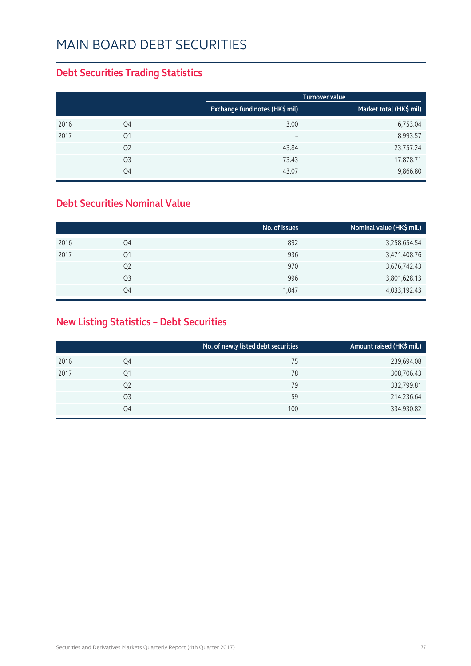#### **Debt Securities Trading Statistics**

|      |                |                                | <b>Turnover value</b>   |
|------|----------------|--------------------------------|-------------------------|
|      |                | Exchange fund notes (HK\$ mil) | Market total (HK\$ mil) |
| 2016 | Q4             | 3.00                           | 6,753.04                |
| 2017 | Q1             | $\qquad \qquad -$              | 8,993.57                |
|      | Q <sub>2</sub> | 43.84                          | 23,757.24               |
|      | Q <sub>3</sub> | 73.43                          | 17,878.71               |
|      | Q4             | 43.07                          | 9,866.80                |

#### **Debt Securities Nominal Value**

|                | No. of issues | Nominal value (HK\$ mil.) |
|----------------|---------------|---------------------------|
| Q4             | 892           | 3,258,654.54              |
| Q1             | 936           | 3,471,408.76              |
| Q <sub>2</sub> | 970           | 3,676,742.43              |
| Q <sub>3</sub> | 996           | 3,801,628.13              |
| Q4             | 1,047         | 4,033,192.43              |
|                |               |                           |

#### **New Listing Statistics – Debt Securities**

|      |                | No. of newly listed debt securities | Amount raised (HK\$ mil.) |
|------|----------------|-------------------------------------|---------------------------|
| 2016 | Q4             | 75                                  | 239,694.08                |
| 2017 | Q1             | 78                                  | 308,706.43                |
|      | Q <sub>2</sub> | 79                                  | 332,799.81                |
|      | Q3             | 59                                  | 214,236.64                |
|      | Q4             | 100                                 | 334,930.82                |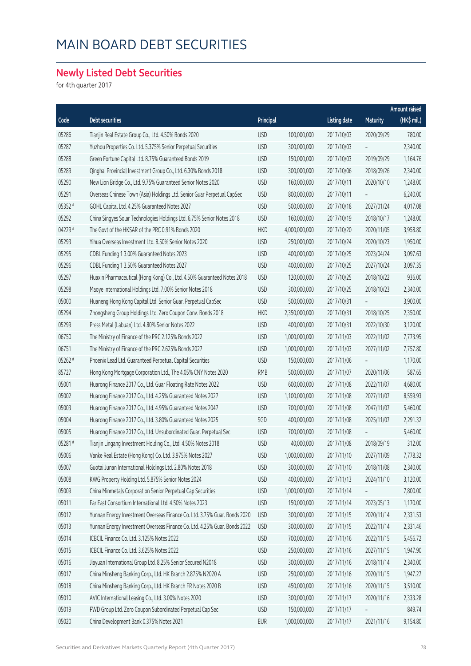#### **Newly Listed Debt Securities**

for 4th quarter 2017

|         |                                                                           |            |               |                     |            | Amount raised |
|---------|---------------------------------------------------------------------------|------------|---------------|---------------------|------------|---------------|
| Code    | Debt securities                                                           | Principal  |               | <b>Listing date</b> | Maturity   | (HK\$ mil.)   |
| 05286   | Tianjin Real Estate Group Co., Ltd. 4.50% Bonds 2020                      | <b>USD</b> | 100,000,000   | 2017/10/03          | 2020/09/29 | 780.00        |
| 05287   | Yuzhou Properties Co. Ltd. 5.375% Senior Perpetual Securities             | <b>USD</b> | 300,000,000   | 2017/10/03          |            | 2,340.00      |
| 05288   | Green Fortune Capital Ltd. 8.75% Guaranteed Bonds 2019                    | <b>USD</b> | 150,000,000   | 2017/10/03          | 2019/09/29 | 1,164.76      |
| 05289   | Qinghai Provincial Investment Group Co., Ltd. 6.30% Bonds 2018            | <b>USD</b> | 300,000,000   | 2017/10/06          | 2018/09/26 | 2,340.00      |
| 05290   | New Lion Bridge Co., Ltd. 9.75% Guaranteed Senior Notes 2020              | <b>USD</b> | 160,000,000   | 2017/10/11          | 2020/10/10 | 1,248.00      |
| 05291   | Overseas Chinese Town (Asia) Holdings Ltd. Senior Guar Perpetual CapSec   | <b>USD</b> | 800,000,000   | 2017/10/11          |            | 6,240.00      |
| 05352 # | GOHL Capital Ltd. 4.25% Guaranteed Notes 2027                             | <b>USD</b> | 500,000,000   | 2017/10/18          | 2027/01/24 | 4,017.08      |
| 05292   | China Singyes Solar Technologies Holdings Ltd. 6.75% Senior Notes 2018    | <b>USD</b> | 160,000,000   | 2017/10/19          | 2018/10/17 | 1,248.00      |
| 04229 # | The Govt of the HKSAR of the PRC 0.91% Bonds 2020                         | <b>HKD</b> | 4,000,000,000 | 2017/10/20          | 2020/11/05 | 3,958.80      |
| 05293   | Yihua Overseas Investment Ltd. 8.50% Senior Notes 2020                    | <b>USD</b> | 250,000,000   | 2017/10/24          | 2020/10/23 | 1,950.00      |
| 05295   | CDBL Funding 1 3.00% Guaranteed Notes 2023                                | <b>USD</b> | 400,000,000   | 2017/10/25          | 2023/04/24 | 3,097.63      |
| 05296   | CDBL Funding 1 3.50% Guaranteed Notes 2027                                | <b>USD</b> | 400,000,000   | 2017/10/25          | 2027/10/24 | 3,097.35      |
| 05297   | Huaxin Pharmaceutical (Hong Kong) Co., Ltd. 4.50% Guaranteed Notes 2018   | <b>USD</b> | 120,000,000   | 2017/10/25          | 2018/10/22 | 936.00        |
| 05298   | Maoye International Holdings Ltd. 7.00% Senior Notes 2018                 | <b>USD</b> | 300,000,000   | 2017/10/25          | 2018/10/23 | 2,340.00      |
| 05000   | Huaneng Hong Kong Capital Ltd. Senior Guar. Perpetual CapSec              | <b>USD</b> | 500,000,000   | 2017/10/31          |            | 3,900.00      |
| 05294   | Zhongsheng Group Holdings Ltd. Zero Coupon Conv. Bonds 2018               | <b>HKD</b> | 2,350,000,000 | 2017/10/31          | 2018/10/25 | 2,350.00      |
| 05299   | Press Metal (Labuan) Ltd. 4.80% Senior Notes 2022                         | <b>USD</b> | 400,000,000   | 2017/10/31          | 2022/10/30 | 3,120.00      |
| 06750   | The Ministry of Finance of the PRC 2.125% Bonds 2022                      | <b>USD</b> | 1,000,000,000 | 2017/11/03          | 2022/11/02 | 7,773.95      |
| 06751   | The Ministry of Finance of the PRC 2.625% Bonds 2027                      | <b>USD</b> | 1,000,000,000 | 2017/11/03          | 2027/11/02 | 7,757.80      |
| 05262 # | Phoenix Lead Ltd. Guaranteed Perpetual Capital Securities                 | <b>USD</b> | 150,000,000   | 2017/11/06          |            | 1,170.00      |
| 85727   | Hong Kong Mortgage Corporation Ltd., The 4.05% CNY Notes 2020             | <b>RMB</b> | 500,000,000   | 2017/11/07          | 2020/11/06 | 587.65        |
| 05001   | Huarong Finance 2017 Co., Ltd. Guar Floating Rate Notes 2022              | <b>USD</b> | 600,000,000   | 2017/11/08          | 2022/11/07 | 4,680.00      |
| 05002   | Huarong Finance 2017 Co., Ltd. 4.25% Guaranteed Notes 2027                | <b>USD</b> | 1,100,000,000 | 2017/11/08          | 2027/11/07 | 8,559.93      |
| 05003   | Huarong Finance 2017 Co., Ltd. 4.95% Guaranteed Notes 2047                | <b>USD</b> | 700,000,000   | 2017/11/08          | 2047/11/07 | 5,460.00      |
| 05004   | Huarong Finance 2017 Co., Ltd. 3.80% Guaranteed Notes 2025                | SGD        | 400,000,000   | 2017/11/08          | 2025/11/07 | 2,291.32      |
| 05005   | Huarong Finance 2017 Co., Ltd. Unsubordinated Guar. Perpetual Sec         | <b>USD</b> | 700,000,000   | 2017/11/08          |            | 5,460.00      |
| 05281#  | Tianjin Lingang Investment Holding Co., Ltd. 4.50% Notes 2018             | <b>USD</b> | 40,000,000    | 2017/11/08          | 2018/09/19 | 312.00        |
| 05006   | Vanke Real Estate (Hong Kong) Co. Ltd. 3.975% Notes 2027                  | <b>USD</b> | 1,000,000,000 | 2017/11/10          | 2027/11/09 | 7,778.32      |
| 05007   | Guotai Junan International Holdings Ltd. 2.80% Notes 2018                 | <b>USD</b> | 300,000,000   | 2017/11/10          | 2018/11/08 | 2,340.00      |
| 05008   | KWG Property Holding Ltd. 5.875% Senior Notes 2024                        | <b>USD</b> | 400,000,000   | 2017/11/13          | 2024/11/10 | 3,120.00      |
| 05009   | China Minmetals Corporation Senior Perpetual Cap Securities               | <b>USD</b> | 1,000,000,000 | 2017/11/14          |            | 7,800.00      |
| 05011   | Far East Consortium International Ltd. 4.50% Notes 2023                   | <b>USD</b> | 150,000,000   | 2017/11/14          | 2023/05/13 | 1,170.00      |
| 05012   | Yunnan Energy Investment Overseas Finance Co. Ltd. 3.75% Guar. Bonds 2020 | <b>USD</b> | 300,000,000   | 2017/11/15          | 2020/11/14 | 2,331.53      |
| 05013   | Yunnan Energy Investment Overseas Finance Co. Ltd. 4.25% Guar. Bonds 2022 | <b>USD</b> | 300,000,000   | 2017/11/15          | 2022/11/14 | 2,331.46      |
| 05014   | ICBCIL Finance Co. Ltd. 3.125% Notes 2022                                 | <b>USD</b> | 700,000,000   | 2017/11/16          | 2022/11/15 | 5,456.72      |
| 05015   | ICBCIL Finance Co. Ltd. 3.625% Notes 2022                                 | <b>USD</b> | 250,000,000   | 2017/11/16          | 2027/11/15 | 1,947.90      |
| 05016   | Jiayuan International Group Ltd. 8.25% Senior Secured N2018               | <b>USD</b> | 300,000,000   | 2017/11/16          | 2018/11/14 | 2,340.00      |
| 05017   | China Minsheng Banking Corp., Ltd. HK Branch 2.875% N2020 A               | <b>USD</b> | 250,000,000   | 2017/11/16          | 2020/11/15 | 1,947.27      |
| 05018   | China Minsheng Banking Corp., Ltd. HK Branch FR Notes 2020 B              | <b>USD</b> | 450,000,000   | 2017/11/16          | 2020/11/15 | 3,510.00      |
| 05010   | AVIC International Leasing Co., Ltd. 3.00% Notes 2020                     | <b>USD</b> | 300,000,000   | 2017/11/17          | 2020/11/16 | 2,333.28      |
| 05019   | FWD Group Ltd. Zero Coupon Subordinated Perpetual Cap Sec                 | <b>USD</b> | 150,000,000   | 2017/11/17          |            | 849.74        |
| 05020   | China Development Bank 0.375% Notes 2021                                  | EUR        | 1,000,000,000 | 2017/11/17          | 2021/11/16 | 9,154.80      |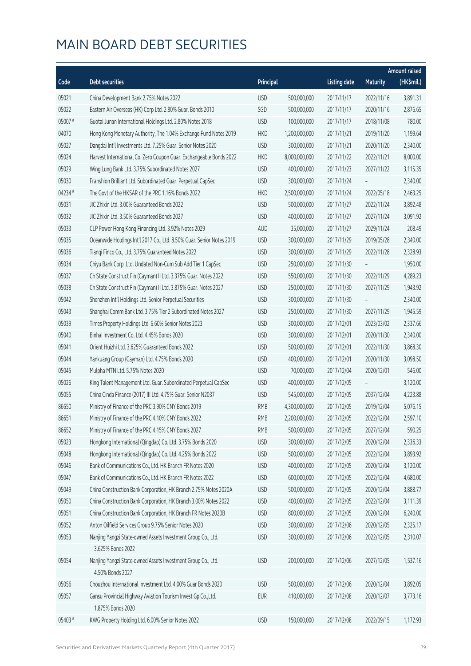|         |                                                                       |            |               |                     |                 | <b>Amount raised</b> |
|---------|-----------------------------------------------------------------------|------------|---------------|---------------------|-----------------|----------------------|
| Code    | <b>Debt securities</b>                                                | Principal  |               | <b>Listing date</b> | <b>Maturity</b> | (HK\$mil.)           |
| 05021   | China Development Bank 2.75% Notes 2022                               | <b>USD</b> | 500,000,000   | 2017/11/17          | 2022/11/16      | 3,891.31             |
| 05022   | Eastern Air Overseas (HK) Corp Ltd. 2.80% Guar. Bonds 2010            | SGD        | 500,000,000   | 2017/11/17          | 2020/11/16      | 2,876.65             |
| 05007#  | Guotai Junan International Holdings Ltd. 2.80% Notes 2018             | <b>USD</b> | 100,000,000   | 2017/11/17          | 2018/11/08      | 780.00               |
| 04070   | Hong Kong Monetary Authority, The 1.04% Exchange Fund Notes 2019      | <b>HKD</b> | 1,200,000,000 | 2017/11/21          | 2019/11/20      | 1,199.64             |
| 05027   | Dangdai Int'l Investments Ltd. 7.25% Guar. Senior Notes 2020          | <b>USD</b> | 300,000,000   | 2017/11/21          | 2020/11/20      | 2,340.00             |
| 05024   | Harvest International Co. Zero Coupon Guar. Exchangeable Bonds 2022   | <b>HKD</b> | 8,000,000,000 | 2017/11/22          | 2022/11/21      | 8,000.00             |
| 05029   | Wing Lung Bank Ltd. 3.75% Subordinated Notes 2027                     | <b>USD</b> | 400,000,000   | 2017/11/23          | 2027/11/22      | 3,115.35             |
| 05030   | Franshion Brilliant Ltd. Subordinated Guar. Perpetual CapSec          | <b>USD</b> | 300,000,000   | 2017/11/24          |                 | 2,340.00             |
| 04234 # | The Govt of the HKSAR of the PRC 1.16% Bonds 2022                     | <b>HKD</b> | 2,500,000,000 | 2017/11/24          | 2022/05/18      | 2,463.25             |
| 05031   | JIC Zhixin Ltd. 3.00% Guaranteed Bonds 2022                           | <b>USD</b> | 500,000,000   | 2017/11/27          | 2022/11/24      | 3,892.48             |
| 05032   | JIC Zhixin Ltd. 3.50% Guaranteed Bonds 2027                           | <b>USD</b> | 400,000,000   | 2017/11/27          | 2027/11/24      | 3,091.92             |
| 05033   | CLP Power Hong Kong Financing Ltd. 3.92% Notes 2029                   | <b>AUD</b> | 35,000,000    | 2017/11/27          | 2029/11/24      | 208.49               |
| 05035   | Oceanwide Holdings Int'l 2017 Co., Ltd. 8.50% Guar. Senior Notes 2019 | <b>USD</b> | 300,000,000   | 2017/11/29          | 2019/05/28      | 2,340.00             |
| 05036   | Tiangi Finco Co., Ltd. 3.75% Guaranteed Notes 2022                    | <b>USD</b> | 300,000,000   | 2017/11/29          | 2022/11/28      | 2,328.93             |
| 05034   | Chiyu Bank Corp. Ltd. Undated Non-Cum Sub Add Tier 1 CapSec           | <b>USD</b> | 250,000,000   | 2017/11/30          |                 | 1,950.00             |
| 05037   | Ch State Construct Fin (Cayman) II Ltd. 3.375% Guar. Notes 2022       | <b>USD</b> | 550,000,000   | 2017/11/30          | 2022/11/29      | 4,289.23             |
| 05038   | Ch State Construct Fin (Cayman) II Ltd. 3.875% Guar. Notes 2027       | <b>USD</b> | 250,000,000   | 2017/11/30          | 2027/11/29      | 1,943.92             |
| 05042   | Shenzhen Int'l Holdings Ltd. Senior Perpetual Securities              | <b>USD</b> | 300,000,000   | 2017/11/30          |                 | 2,340.00             |
| 05043   | Shanghai Comm Bank Ltd. 3.75% Tier 2 Subordinated Notes 2027          | <b>USD</b> | 250,000,000   | 2017/11/30          | 2027/11/29      | 1,945.59             |
| 05039   | Times Property Holdings Ltd. 6.60% Senior Notes 2023                  | <b>USD</b> | 300,000,000   | 2017/12/01          | 2023/03/02      | 2,337.66             |
| 05040   | Binhai Investment Co. Ltd. 4.45% Bonds 2020                           | <b>USD</b> | 300,000,000   | 2017/12/01          | 2020/11/30      | 2,340.00             |
| 05041   | Orient Huizhi Ltd. 3.625% Guaranteed Bonds 2022                       | <b>USD</b> | 500,000,000   | 2017/12/01          | 2022/11/30      | 3,868.30             |
| 05044   | Yankuang Group (Cayman) Ltd. 4.75% Bonds 2020                         | <b>USD</b> | 400,000,000   | 2017/12/01          | 2020/11/30      | 3,098.50             |
| 05045   | Mulpha MTN Ltd. 5.75% Notes 2020                                      | <b>USD</b> | 70,000,000    | 2017/12/04          | 2020/12/01      | 546.00               |
| 05026   | King Talent Management Ltd. Guar. Subordinated Perpetual CapSec       | <b>USD</b> | 400,000,000   | 2017/12/05          |                 | 3,120.00             |
| 05055   | China Cinda Finance (2017) III Ltd. 4.75% Guar. Senior N2037          | <b>USD</b> | 545,000,000   | 2017/12/05          | 2037/12/04      | 4,223.88             |
| 86650   | Ministry of Finance of the PRC 3.90% CNY Bonds 2019                   | <b>RMB</b> | 4,300,000,000 | 2017/12/05          | 2019/12/04      | 5,076.15             |
| 86651   | Ministry of Finance of the PRC 4.10% CNY Bonds 2022                   | <b>RMB</b> | 2,200,000,000 | 2017/12/05          | 2022/12/04      | 2,597.10             |
| 86652   | Ministry of Finance of the PRC 4.15% CNY Bonds 2027                   | <b>RMB</b> | 500,000,000   | 2017/12/05          | 2027/12/04      | 590.25               |
| 05023   | Hongkong International (Qingdao) Co. Ltd. 3.75% Bonds 2020            | <b>USD</b> | 300,000,000   | 2017/12/05          | 2020/12/04      | 2,336.33             |
| 05048   | Hongkong International (Qingdao) Co. Ltd. 4.25% Bonds 2022            | <b>USD</b> | 500,000,000   | 2017/12/05          | 2022/12/04      | 3,893.92             |
| 05046   | Bank of Communications Co., Ltd. HK Branch FR Notes 2020              | <b>USD</b> | 400,000,000   | 2017/12/05          | 2020/12/04      | 3,120.00             |
| 05047   | Bank of Communications Co., Ltd. HK Branch FR Notes 2022              | <b>USD</b> | 600,000,000   | 2017/12/05          | 2022/12/04      | 4,680.00             |
| 05049   | China Construction Bank Corporation, HK Branch 2.75% Notes 2020A      | <b>USD</b> | 500,000,000   | 2017/12/05          | 2020/12/04      | 3,888.77             |
| 05050   | China Construction Bank Corporation, HK Branch 3.00% Notes 2022       | <b>USD</b> | 400,000,000   | 2017/12/05          | 2022/12/04      | 3,111.39             |
| 05051   | China Construction Bank Corporation, HK Branch FR Notes 2020B         | <b>USD</b> | 800,000,000   | 2017/12/05          | 2020/12/04      | 6,240.00             |
| 05052   | Anton Oilfield Services Group 9.75% Senior Notes 2020                 | <b>USD</b> | 300,000,000   | 2017/12/06          | 2020/12/05      | 2,325.17             |
| 05053   | Nanjing Yangzi State-owned Assets Investment Group Co., Ltd.          | <b>USD</b> | 300,000,000   | 2017/12/06          | 2022/12/05      | 2,310.07             |
|         | 3.625% Bonds 2022                                                     |            |               |                     |                 |                      |
| 05054   | Nanjing Yangzi State-owned Assets Investment Group Co., Ltd.          | <b>USD</b> | 200,000,000   | 2017/12/06          | 2027/12/05      | 1,537.16             |
|         | 4.50% Bonds 2027                                                      |            |               |                     |                 |                      |
| 05056   | Chouzhou International Investment Ltd. 4.00% Guar Bonds 2020          | <b>USD</b> | 500,000,000   | 2017/12/06          | 2020/12/04      | 3,892.05             |
| 05057   | Gansu Provincial Highway Aviation Tourism Invest Gp Co., Ltd.         | <b>EUR</b> | 410,000,000   | 2017/12/08          | 2020/12/07      | 3,773.16             |
|         | 1.875% Bonds 2020                                                     |            |               |                     |                 |                      |
| 05403 # | KWG Property Holding Ltd. 6.00% Senior Notes 2022                     | <b>USD</b> | 150,000,000   | 2017/12/08          | 2022/09/15      | 1,172.93             |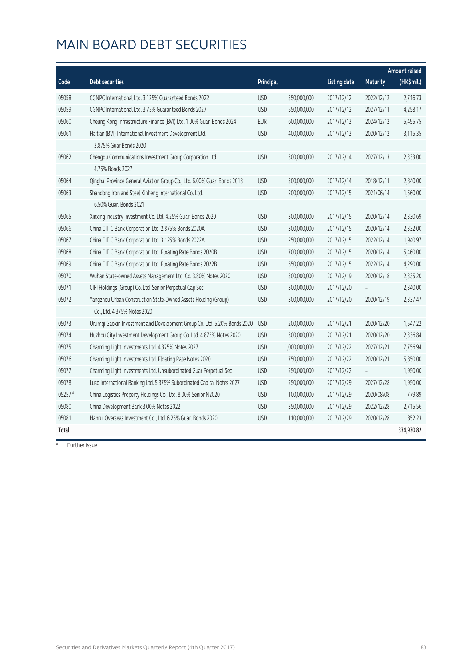|         |                                                                          |            |               |                     |                 | <b>Amount raised</b> |
|---------|--------------------------------------------------------------------------|------------|---------------|---------------------|-----------------|----------------------|
| Code    | <b>Debt securities</b>                                                   | Principal  |               | <b>Listing date</b> | <b>Maturity</b> | (HK\$mil.)           |
| 05058   | CGNPC International Ltd. 3.125% Guaranteed Bonds 2022                    | <b>USD</b> | 350,000,000   | 2017/12/12          | 2022/12/12      | 2,716.73             |
| 05059   | CGNPC International Ltd. 3.75% Guaranteed Bonds 2027                     | <b>USD</b> | 550,000,000   | 2017/12/12          | 2027/12/11      | 4,258.17             |
| 05060   | Cheung Kong Infrastructure Finance (BVI) Ltd. 1.00% Guar. Bonds 2024     | <b>EUR</b> | 600,000,000   | 2017/12/13          | 2024/12/12      | 5,495.75             |
| 05061   | Haitian (BVI) International Investment Development Ltd.                  | <b>USD</b> | 400,000,000   | 2017/12/13          | 2020/12/12      | 3,115.35             |
|         | 3.875% Guar Bonds 2020                                                   |            |               |                     |                 |                      |
| 05062   | Chengdu Communications Investment Group Corporation Ltd.                 | <b>USD</b> | 300,000,000   | 2017/12/14          | 2027/12/13      | 2,333.00             |
|         | 4.75% Bonds 2027                                                         |            |               |                     |                 |                      |
| 05064   | Qinghai Province General Aviation Group Co., Ltd. 6.00% Guar. Bonds 2018 | <b>USD</b> | 300,000,000   | 2017/12/14          | 2018/12/11      | 2,340.00             |
| 05063   | Shandong Iron and Steel Xinheng International Co. Ltd.                   | <b>USD</b> | 200,000,000   | 2017/12/15          | 2021/06/14      | 1,560.00             |
|         | 6.50% Guar, Bonds 2021                                                   |            |               |                     |                 |                      |
| 05065   | Xinxing Industry Investment Co. Ltd. 4.25% Guar. Bonds 2020              | <b>USD</b> | 300,000,000   | 2017/12/15          | 2020/12/14      | 2,330.69             |
| 05066   | China CITIC Bank Corporation Ltd. 2.875% Bonds 2020A                     | <b>USD</b> | 300,000,000   | 2017/12/15          | 2020/12/14      | 2,332.00             |
| 05067   | China CITIC Bank Corporation Ltd. 3.125% Bonds 2022A                     | <b>USD</b> | 250,000,000   | 2017/12/15          | 2022/12/14      | 1,940.97             |
| 05068   | China CITIC Bank Corporation Ltd. Floating Rate Bonds 2020B              | <b>USD</b> | 700,000,000   | 2017/12/15          | 2020/12/14      | 5,460.00             |
| 05069   | China CITIC Bank Corporation Ltd. Floating Rate Bonds 2022B              | <b>USD</b> | 550,000,000   | 2017/12/15          | 2022/12/14      | 4,290.00             |
| 05070   | Wuhan State-owned Assets Management Ltd. Co. 3.80% Notes 2020            | <b>USD</b> | 300,000,000   | 2017/12/19          | 2020/12/18      | 2,335.20             |
| 05071   | CIFI Holdings (Group) Co. Ltd. Senior Perpetual Cap Sec                  | <b>USD</b> | 300,000,000   | 2017/12/20          |                 | 2,340.00             |
| 05072   | Yangzhou Urban Construction State-Owned Assets Holding (Group)           | <b>USD</b> | 300,000,000   | 2017/12/20          | 2020/12/19      | 2,337.47             |
|         | Co., Ltd. 4.375% Notes 2020                                              |            |               |                     |                 |                      |
| 05073   | Urumqi Gaoxin Investment and Development Group Co. Ltd. 5.20% Bonds 2020 | <b>USD</b> | 200,000,000   | 2017/12/21          | 2020/12/20      | 1,547.22             |
| 05074   | Huzhou City Investment Development Group Co. Ltd. 4.875% Notes 2020      | <b>USD</b> | 300,000,000   | 2017/12/21          | 2020/12/20      | 2,336.84             |
| 05075   | Charming Light Investments Ltd. 4.375% Notes 2027                        | <b>USD</b> | 1,000,000,000 | 2017/12/22          | 2027/12/21      | 7,756.94             |
| 05076   | Charming Light Investments Ltd. Floating Rate Notes 2020                 | <b>USD</b> | 750,000,000   | 2017/12/22          | 2020/12/21      | 5,850.00             |
| 05077   | Charming Light Investments Ltd. Unsubordinated Guar Perpetual Sec        | <b>USD</b> | 250,000,000   | 2017/12/22          |                 | 1,950.00             |
| 05078   | Luso International Banking Ltd. 5.375% Subordinated Capital Notes 2027   | <b>USD</b> | 250,000,000   | 2017/12/29          | 2027/12/28      | 1,950.00             |
| 05257 # | China Logistics Property Holdings Co., Ltd. 8.00% Senior N2020           | <b>USD</b> | 100,000,000   | 2017/12/29          | 2020/08/08      | 779.89               |
| 05080   | China Development Bank 3.00% Notes 2022                                  | <b>USD</b> | 350,000,000   | 2017/12/29          | 2022/12/28      | 2,715.56             |
| 05081   | Hanrui Overseas Investment Co., Ltd. 6.25% Guar. Bonds 2020              | <b>USD</b> | 110,000,000   | 2017/12/29          | 2020/12/28      | 852.23               |
| Total   |                                                                          |            |               |                     |                 | 334,930.82           |

# Further issue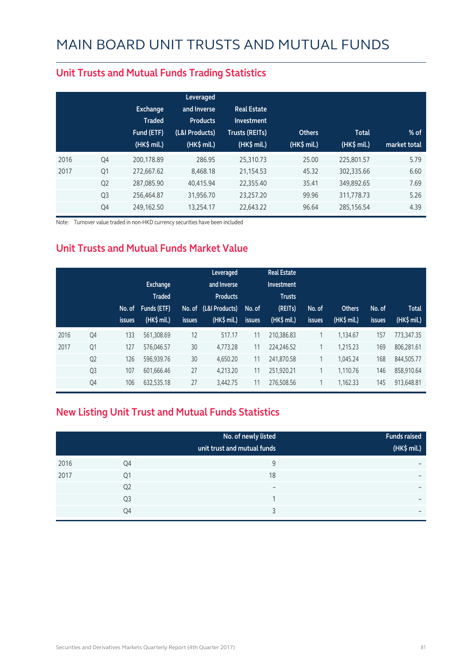|                | <b>Exchange</b><br><b>Traded</b><br>Fund (ETF)<br>$(HK\$ mil.) | Leveraged<br>and Inverse<br><b>Products</b><br>(L&I Products)<br>(HK\$ mil.) | <b>Real Estate</b><br>Investment<br><b>Trusts (REITs)</b><br>(HK\$ mil.) | <b>Others</b><br>(HK\$ mil.) | <b>Total</b><br>(HK\$ mil.) | $%$ of<br>market total |
|----------------|----------------------------------------------------------------|------------------------------------------------------------------------------|--------------------------------------------------------------------------|------------------------------|-----------------------------|------------------------|
| Q4             | 200.178.89                                                     | 286.95                                                                       | 25.310.73                                                                | 25.00                        | 225,801.57                  | 5.79                   |
| Q1             | 272.667.62                                                     | 8.468.18                                                                     | 21,154.53                                                                | 45.32                        | 302,335.66                  | 6.60                   |
| Q <sub>2</sub> | 287,085.90                                                     | 40,415.94                                                                    | 22,355.40                                                                | 35.41                        | 349,892.65                  | 7.69                   |
| Q <sub>3</sub> | 256,464.87                                                     | 31,956.70                                                                    | 23,257.20                                                                | 99.96                        | 311,778.73                  | 5.26                   |
| Q4             | 249,162.50                                                     | 13,254.17                                                                    | 22,643.22                                                                | 96.64                        | 285,156.54                  | 4.39                   |
|                |                                                                |                                                                              |                                                                          |                              |                             |                        |

#### **Unit Trusts and Mutual Funds Trading Statistics**

Note: Turnover value traded in non-HKD currency securities have been included

#### **Unit Trusts and Mutual Funds Market Value**

|      |                | No. of<br><i>issues</i> | <b>Exchange</b><br><b>Traded</b><br>Funds (ETF)<br>$(HK$$ mil.) | <b>issues</b> | Leveraged<br>and Inverse<br><b>Products</b><br>No. of (L&I Products)<br>$(HK\$ mil.) | No. of<br>issues | <b>Real Estate</b><br>Investment<br><b>Trusts</b><br>(REITs)<br>$(HK$$ mil.) | No. of<br><b>issues</b>  | <b>Others</b><br>(HK\$ mil.) | No. of<br>issues | <b>Total</b><br>(HK\$ mil.) |
|------|----------------|-------------------------|-----------------------------------------------------------------|---------------|--------------------------------------------------------------------------------------|------------------|------------------------------------------------------------------------------|--------------------------|------------------------------|------------------|-----------------------------|
| 2016 | Q4             | 133                     | 561,308.69                                                      | 12            | 517.17                                                                               | 11               | 210.386.83                                                                   | 1                        | 1.134.67                     | 157              | 773,347.35                  |
| 2017 | Q <sub>1</sub> | 127                     | 576,046.57                                                      | 30            | 4,773.28                                                                             | 11               | 224,246.52                                                                   | $\mathbf{\overline{1}}$  | 1,215.23                     | 169              | 806,281.61                  |
|      | Q <sub>2</sub> | 126                     | 596,939.76                                                      | 30            | 4,650.20                                                                             | 11               | 241,870.58                                                                   | 1                        | 1.045.24                     | 168              | 844,505.77                  |
|      | Q <sub>3</sub> | 107                     | 601.666.46                                                      | 27            | 4.213.20                                                                             | 11               | 251.920.21                                                                   |                          | 1.110.76                     | 146              | 858.910.64                  |
|      | Q4             | 106                     | 632,535.18                                                      | 27            | 3,442.75                                                                             | 11               | 276,508.56                                                                   | $\overline{\phantom{a}}$ | 1,162.33                     | 145              | 913,648.81                  |

#### **New Listing Unit Trust and Mutual Funds Statistics**

|      |                | No. of newly listed<br>unit trust and mutual funds | <b>Funds raised</b><br>(HK\$ mil.) |
|------|----------------|----------------------------------------------------|------------------------------------|
| 2016 | Q4             | 9                                                  | $\overline{\phantom{0}}$           |
| 2017 | Q1             | 18                                                 | $\overline{\phantom{0}}$           |
|      | Q <sub>2</sub> | $\qquad \qquad$                                    | $\overline{\phantom{0}}$           |
|      | Q <sub>3</sub> |                                                    | $\overline{\phantom{0}}$           |
|      | Q4             |                                                    | $\overline{\phantom{0}}$           |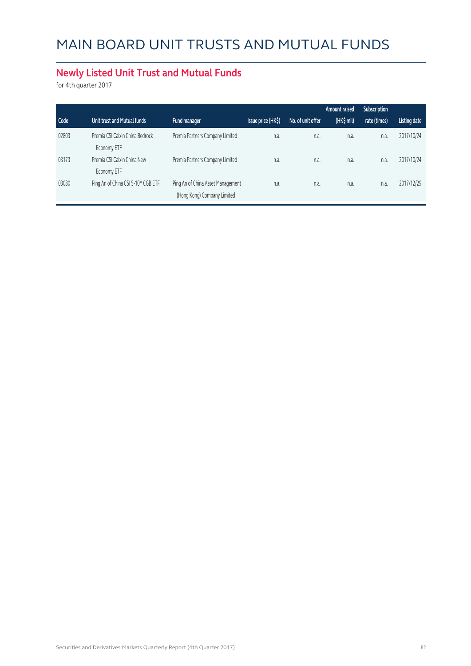#### **Newly Listed Unit Trust and Mutual Funds**

for 4th quarter 2017

|       |                                                |                                                                  |                    |                   | Amount raised | Subscription |                     |
|-------|------------------------------------------------|------------------------------------------------------------------|--------------------|-------------------|---------------|--------------|---------------------|
| Code  | Unit trust and Mutual funds                    | Fund manager                                                     | Issue price (HK\$) | No. of unit offer | (HK\$ mil)    | rate (times) | <b>Listing date</b> |
| 02803 | Premia CSI Caixin China Bedrock<br>Economy ETF | Premia Partners Company Limited                                  | n.a.               | n.a.              | n.a.          | n.a.         | 2017/10/24          |
| 03173 | Premia CSI Caixin China New<br>Economy ETF     | Premia Partners Company Limited                                  | n.a.               | n.a.              | n.a.          | n.a.         | 2017/10/24          |
| 03080 | Ping An of China CSI 5-10Y CGB ETF             | Ping An of China Asset Management<br>(Hong Kong) Company Limited | n.a.               | n.a.              | n.a.          | n.a.         | 2017/12/29          |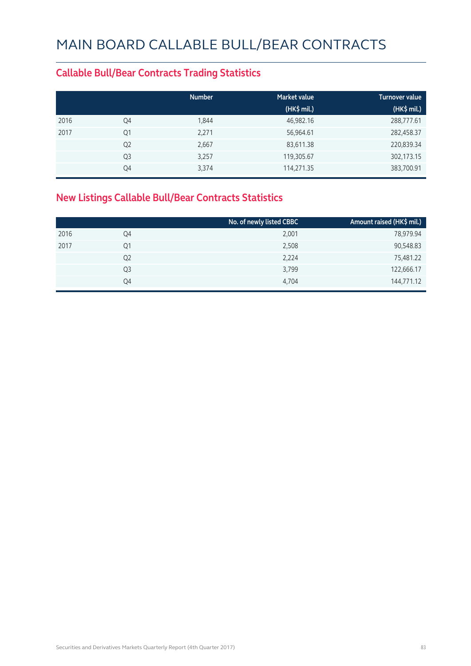#### **Callable Bull/Bear Contracts Trading Statistics**

|      |                | <b>Number</b> | <b>Market value</b> | <b>Turnover value</b> |
|------|----------------|---------------|---------------------|-----------------------|
|      |                |               | (HK\$ mil.)         | (HK\$ mil.)           |
| 2016 | Q4             | 1,844         | 46,982.16           | 288,777.61            |
| 2017 | Q1             | 2,271         | 56,964.61           | 282,458.37            |
|      | Q <sub>2</sub> | 2,667         | 83,611.38           | 220,839.34            |
|      | Q <sub>3</sub> | 3,257         | 119,305.67          | 302,173.15            |
|      | Q4             | 3,374         | 114,271.35          | 383,700.91            |

#### **New Listings Callable Bull/Bear Contracts Statistics**

|                | No. of newly listed CBBC | Amount raised (HK\$ mil.) |
|----------------|--------------------------|---------------------------|
| Q4             | 2,001                    | 78,979.94                 |
| Q1             | 2,508                    | 90,548.83                 |
| Q <sub>2</sub> | 2,224                    | 75,481.22                 |
| Q3             | 3,799                    | 122,666.17                |
| Q4             | 4,704                    | 144,771.12                |
|                |                          |                           |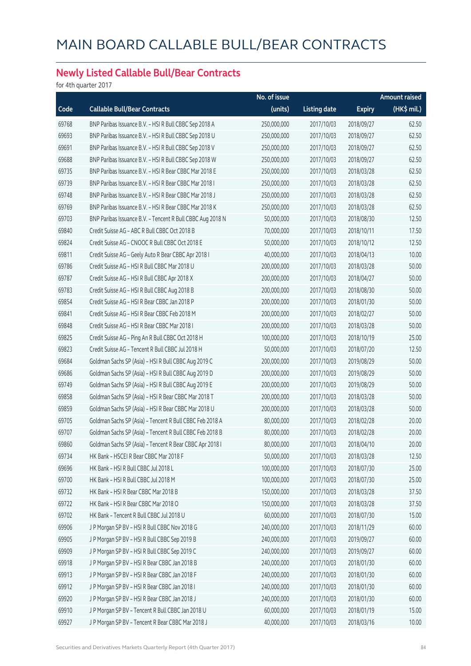#### **Newly Listed Callable Bull/Bear Contracts**

for 4th quarter 2017

|       |                                                            | No. of issue |                     |               | Amount raised |
|-------|------------------------------------------------------------|--------------|---------------------|---------------|---------------|
| Code  | <b>Callable Bull/Bear Contracts</b>                        | (units)      | <b>Listing date</b> | <b>Expiry</b> | (HK\$ mil.)   |
| 69768 | BNP Paribas Issuance B.V. - HSI R Bull CBBC Sep 2018 A     | 250,000,000  | 2017/10/03          | 2018/09/27    | 62.50         |
| 69693 | BNP Paribas Issuance B.V. - HSI R Bull CBBC Sep 2018 U     | 250,000,000  | 2017/10/03          | 2018/09/27    | 62.50         |
| 69691 | BNP Paribas Issuance B.V. - HSI R Bull CBBC Sep 2018 V     | 250,000,000  | 2017/10/03          | 2018/09/27    | 62.50         |
| 69688 | BNP Paribas Issuance B.V. - HSI R Bull CBBC Sep 2018 W     | 250,000,000  | 2017/10/03          | 2018/09/27    | 62.50         |
| 69735 | BNP Paribas Issuance B.V. - HSI R Bear CBBC Mar 2018 E     | 250,000,000  | 2017/10/03          | 2018/03/28    | 62.50         |
| 69739 | BNP Paribas Issuance B.V. - HSI R Bear CBBC Mar 2018 I     | 250,000,000  | 2017/10/03          | 2018/03/28    | 62.50         |
| 69748 | BNP Paribas Issuance B.V. - HSI R Bear CBBC Mar 2018 J     | 250,000,000  | 2017/10/03          | 2018/03/28    | 62.50         |
| 69769 | BNP Paribas Issuance B.V. - HSI R Bear CBBC Mar 2018 K     | 250,000,000  | 2017/10/03          | 2018/03/28    | 62.50         |
| 69703 | BNP Paribas Issuance B.V. - Tencent R Bull CBBC Aug 2018 N | 50,000,000   | 2017/10/03          | 2018/08/30    | 12.50         |
| 69840 | Credit Suisse AG - ABC R Bull CBBC Oct 2018 B              | 70,000,000   | 2017/10/03          | 2018/10/11    | 17.50         |
| 69824 | Credit Suisse AG - CNOOC R Bull CBBC Oct 2018 E            | 50,000,000   | 2017/10/03          | 2018/10/12    | 12.50         |
| 69811 | Credit Suisse AG - Geely Auto R Bear CBBC Apr 2018 I       | 40,000,000   | 2017/10/03          | 2018/04/13    | 10.00         |
| 69786 | Credit Suisse AG - HSI R Bull CBBC Mar 2018 U              | 200,000,000  | 2017/10/03          | 2018/03/28    | 50.00         |
| 69787 | Credit Suisse AG - HSI R Bull CBBC Apr 2018 X              | 200,000,000  | 2017/10/03          | 2018/04/27    | 50.00         |
| 69783 | Credit Suisse AG - HSI R Bull CBBC Aug 2018 B              | 200,000,000  | 2017/10/03          | 2018/08/30    | 50.00         |
| 69854 | Credit Suisse AG - HSI R Bear CBBC Jan 2018 P              | 200,000,000  | 2017/10/03          | 2018/01/30    | 50.00         |
| 69841 | Credit Suisse AG - HSI R Bear CBBC Feb 2018 M              | 200,000,000  | 2017/10/03          | 2018/02/27    | 50.00         |
| 69848 | Credit Suisse AG - HSI R Bear CBBC Mar 2018 I              | 200,000,000  | 2017/10/03          | 2018/03/28    | 50.00         |
| 69825 | Credit Suisse AG - Ping An R Bull CBBC Oct 2018 H          | 100,000,000  | 2017/10/03          | 2018/10/19    | 25.00         |
| 69823 | Credit Suisse AG - Tencent R Bull CBBC Jul 2018 H          | 50,000,000   | 2017/10/03          | 2018/07/20    | 12.50         |
| 69684 | Goldman Sachs SP (Asia) - HSI R Bull CBBC Aug 2019 C       | 200,000,000  | 2017/10/03          | 2019/08/29    | 50.00         |
| 69686 | Goldman Sachs SP (Asia) - HSI R Bull CBBC Aug 2019 D       | 200,000,000  | 2017/10/03          | 2019/08/29    | 50.00         |
| 69749 | Goldman Sachs SP (Asia) - HSI R Bull CBBC Aug 2019 E       | 200,000,000  | 2017/10/03          | 2019/08/29    | 50.00         |
| 69858 | Goldman Sachs SP (Asia) - HSI R Bear CBBC Mar 2018 T       | 200,000,000  | 2017/10/03          | 2018/03/28    | 50.00         |
| 69859 | Goldman Sachs SP (Asia) - HSI R Bear CBBC Mar 2018 U       | 200,000,000  | 2017/10/03          | 2018/03/28    | 50.00         |
| 69705 | Goldman Sachs SP (Asia) - Tencent R Bull CBBC Feb 2018 A   | 80,000,000   | 2017/10/03          | 2018/02/28    | 20.00         |
| 69707 | Goldman Sachs SP (Asia) - Tencent R Bull CBBC Feb 2018 B   | 80,000,000   | 2017/10/03          | 2018/02/28    | 20.00         |
| 69860 | Goldman Sachs SP (Asia) - Tencent R Bear CBBC Apr 2018 I   | 80,000,000   | 2017/10/03          | 2018/04/10    | 20.00         |
| 69734 | HK Bank - HSCEI R Bear CBBC Mar 2018 F                     | 50,000,000   | 2017/10/03          | 2018/03/28    | 12.50         |
| 69696 | HK Bank - HSI R Bull CBBC Jul 2018 L                       | 100,000,000  | 2017/10/03          | 2018/07/30    | 25.00         |
| 69700 | HK Bank - HSI R Bull CBBC Jul 2018 M                       | 100,000,000  | 2017/10/03          | 2018/07/30    | 25.00         |
| 69732 | HK Bank - HSI R Bear CBBC Mar 2018 B                       | 150,000,000  | 2017/10/03          | 2018/03/28    | 37.50         |
| 69722 | HK Bank - HSI R Bear CBBC Mar 2018 O                       | 150,000,000  | 2017/10/03          | 2018/03/28    | 37.50         |
| 69702 | HK Bank - Tencent R Bull CBBC Jul 2018 U                   | 60,000,000   | 2017/10/03          | 2018/07/30    | 15.00         |
| 69906 | J P Morgan SP BV - HSI R Bull CBBC Nov 2018 G              | 240,000,000  | 2017/10/03          | 2018/11/29    | 60.00         |
| 69905 | J P Morgan SP BV - HSI R Bull CBBC Sep 2019 B              | 240,000,000  | 2017/10/03          | 2019/09/27    | 60.00         |
| 69909 | J P Morgan SP BV - HSI R Bull CBBC Sep 2019 C              | 240,000,000  | 2017/10/03          | 2019/09/27    | 60.00         |
| 69918 | J P Morgan SP BV - HSI R Bear CBBC Jan 2018 B              | 240,000,000  | 2017/10/03          | 2018/01/30    | 60.00         |
| 69913 | J P Morgan SP BV - HSI R Bear CBBC Jan 2018 F              | 240,000,000  | 2017/10/03          | 2018/01/30    | 60.00         |
| 69912 | J P Morgan SP BV - HSI R Bear CBBC Jan 2018 I              | 240,000,000  | 2017/10/03          | 2018/01/30    | 60.00         |
| 69920 | J P Morgan SP BV - HSI R Bear CBBC Jan 2018 J              | 240,000,000  | 2017/10/03          | 2018/01/30    | 60.00         |
| 69910 | J P Morgan SP BV - Tencent R Bull CBBC Jan 2018 U          | 60,000,000   | 2017/10/03          | 2018/01/19    | 15.00         |
| 69927 | J P Morgan SP BV - Tencent R Bear CBBC Mar 2018 J          | 40,000,000   | 2017/10/03          | 2018/03/16    | 10.00         |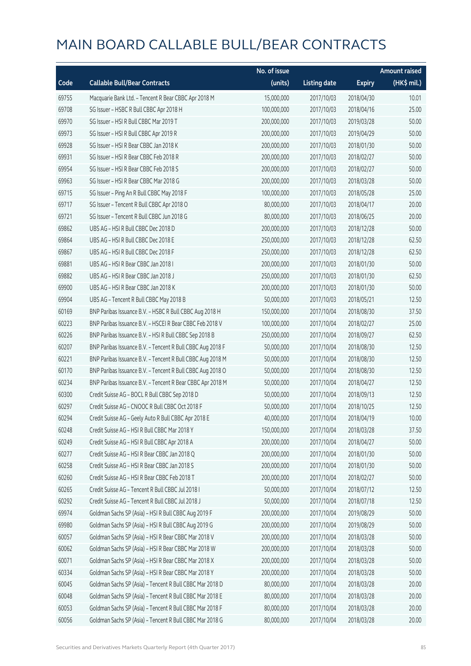|       |                                                            | No. of issue |                     |               | <b>Amount raised</b> |
|-------|------------------------------------------------------------|--------------|---------------------|---------------|----------------------|
| Code  | <b>Callable Bull/Bear Contracts</b>                        | (units)      | <b>Listing date</b> | <b>Expiry</b> | (HK\$ mil.)          |
| 69755 | Macquarie Bank Ltd. - Tencent R Bear CBBC Apr 2018 M       | 15,000,000   | 2017/10/03          | 2018/04/30    | 10.01                |
| 69708 | SG Issuer - HSBC R Bull CBBC Apr 2018 H                    | 100,000,000  | 2017/10/03          | 2018/04/16    | 25.00                |
| 69970 | SG Issuer - HSI R Bull CBBC Mar 2019 T                     | 200,000,000  | 2017/10/03          | 2019/03/28    | 50.00                |
| 69973 | SG Issuer - HSI R Bull CBBC Apr 2019 R                     | 200,000,000  | 2017/10/03          | 2019/04/29    | 50.00                |
| 69928 | SG Issuer - HSI R Bear CBBC Jan 2018 K                     | 200,000,000  | 2017/10/03          | 2018/01/30    | 50.00                |
| 69931 | SG Issuer - HSI R Bear CBBC Feb 2018 R                     | 200,000,000  | 2017/10/03          | 2018/02/27    | 50.00                |
| 69954 | SG Issuer - HSI R Bear CBBC Feb 2018 S                     | 200,000,000  | 2017/10/03          | 2018/02/27    | 50.00                |
| 69963 | SG Issuer - HSI R Bear CBBC Mar 2018 G                     | 200,000,000  | 2017/10/03          | 2018/03/28    | 50.00                |
| 69715 | SG Issuer - Ping An R Bull CBBC May 2018 F                 | 100,000,000  | 2017/10/03          | 2018/05/28    | 25.00                |
| 69717 | SG Issuer - Tencent R Bull CBBC Apr 2018 O                 | 80,000,000   | 2017/10/03          | 2018/04/17    | 20.00                |
| 69721 | SG Issuer - Tencent R Bull CBBC Jun 2018 G                 | 80,000,000   | 2017/10/03          | 2018/06/25    | 20.00                |
| 69862 | UBS AG - HSI R Bull CBBC Dec 2018 D                        | 200,000,000  | 2017/10/03          | 2018/12/28    | 50.00                |
| 69864 | UBS AG - HSI R Bull CBBC Dec 2018 E                        | 250,000,000  | 2017/10/03          | 2018/12/28    | 62.50                |
| 69867 | UBS AG - HSI R Bull CBBC Dec 2018 F                        | 250,000,000  | 2017/10/03          | 2018/12/28    | 62.50                |
| 69881 | UBS AG - HSI R Bear CBBC Jan 2018 I                        | 200,000,000  | 2017/10/03          | 2018/01/30    | 50.00                |
| 69882 | UBS AG - HSI R Bear CBBC Jan 2018 J                        | 250,000,000  | 2017/10/03          | 2018/01/30    | 62.50                |
| 69900 | UBS AG - HSI R Bear CBBC Jan 2018 K                        | 200,000,000  | 2017/10/03          | 2018/01/30    | 50.00                |
| 69904 | UBS AG - Tencent R Bull CBBC May 2018 B                    | 50,000,000   | 2017/10/03          | 2018/05/21    | 12.50                |
| 60169 | BNP Paribas Issuance B.V. - HSBC R Bull CBBC Aug 2018 H    | 150,000,000  | 2017/10/04          | 2018/08/30    | 37.50                |
| 60223 | BNP Paribas Issuance B.V. - HSCEI R Bear CBBC Feb 2018 V   | 100,000,000  | 2017/10/04          | 2018/02/27    | 25.00                |
| 60226 | BNP Paribas Issuance B.V. - HSI R Bull CBBC Sep 2018 B     | 250,000,000  | 2017/10/04          | 2018/09/27    | 62.50                |
| 60207 | BNP Paribas Issuance B.V. - Tencent R Bull CBBC Aug 2018 F | 50,000,000   | 2017/10/04          | 2018/08/30    | 12.50                |
| 60221 | BNP Paribas Issuance B.V. - Tencent R Bull CBBC Aug 2018 M | 50,000,000   | 2017/10/04          | 2018/08/30    | 12.50                |
| 60170 | BNP Paribas Issuance B.V. - Tencent R Bull CBBC Aug 2018 O | 50,000,000   | 2017/10/04          | 2018/08/30    | 12.50                |
| 60234 | BNP Paribas Issuance B.V. - Tencent R Bear CBBC Apr 2018 M | 50,000,000   | 2017/10/04          | 2018/04/27    | 12.50                |
| 60300 | Credit Suisse AG - BOCL R Bull CBBC Sep 2018 D             | 50,000,000   | 2017/10/04          | 2018/09/13    | 12.50                |
| 60297 | Credit Suisse AG - CNOOC R Bull CBBC Oct 2018 F            | 50,000,000   | 2017/10/04          | 2018/10/25    | 12.50                |
| 60294 | Credit Suisse AG - Geely Auto R Bull CBBC Apr 2018 E       | 40,000,000   | 2017/10/04          | 2018/04/19    | 10.00                |
| 60248 | Credit Suisse AG - HSI R Bull CBBC Mar 2018 Y              | 150,000,000  | 2017/10/04          | 2018/03/28    | 37.50                |
| 60249 | Credit Suisse AG - HSI R Bull CBBC Apr 2018 A              | 200,000,000  | 2017/10/04          | 2018/04/27    | 50.00                |
| 60277 | Credit Suisse AG - HSI R Bear CBBC Jan 2018 Q              | 200,000,000  | 2017/10/04          | 2018/01/30    | 50.00                |
| 60258 | Credit Suisse AG - HSI R Bear CBBC Jan 2018 S              | 200,000,000  | 2017/10/04          | 2018/01/30    | 50.00                |
| 60260 | Credit Suisse AG - HSI R Bear CBBC Feb 2018 T              | 200,000,000  | 2017/10/04          | 2018/02/27    | 50.00                |
| 60265 | Credit Suisse AG - Tencent R Bull CBBC Jul 2018 I          | 50,000,000   | 2017/10/04          | 2018/07/12    | 12.50                |
| 60292 | Credit Suisse AG - Tencent R Bull CBBC Jul 2018 J          | 50,000,000   | 2017/10/04          | 2018/07/18    | 12.50                |
| 69974 | Goldman Sachs SP (Asia) - HSI R Bull CBBC Aug 2019 F       | 200,000,000  | 2017/10/04          | 2019/08/29    | 50.00                |
| 69980 | Goldman Sachs SP (Asia) - HSI R Bull CBBC Aug 2019 G       | 200,000,000  | 2017/10/04          | 2019/08/29    | 50.00                |
| 60057 | Goldman Sachs SP (Asia) - HSI R Bear CBBC Mar 2018 V       | 200,000,000  | 2017/10/04          | 2018/03/28    | 50.00                |
| 60062 | Goldman Sachs SP (Asia) - HSI R Bear CBBC Mar 2018 W       | 200,000,000  | 2017/10/04          | 2018/03/28    | 50.00                |
| 60071 | Goldman Sachs SP (Asia) - HSI R Bear CBBC Mar 2018 X       | 200,000,000  | 2017/10/04          | 2018/03/28    | 50.00                |
| 60334 | Goldman Sachs SP (Asia) - HSI R Bear CBBC Mar 2018 Y       | 200,000,000  | 2017/10/04          | 2018/03/28    | 50.00                |
| 60045 | Goldman Sachs SP (Asia) - Tencent R Bull CBBC Mar 2018 D   | 80,000,000   | 2017/10/04          | 2018/03/28    | 20.00                |
| 60048 | Goldman Sachs SP (Asia) - Tencent R Bull CBBC Mar 2018 E   | 80,000,000   | 2017/10/04          | 2018/03/28    | 20.00                |
| 60053 | Goldman Sachs SP (Asia) - Tencent R Bull CBBC Mar 2018 F   | 80,000,000   | 2017/10/04          | 2018/03/28    | 20.00                |
| 60056 | Goldman Sachs SP (Asia) - Tencent R Bull CBBC Mar 2018 G   | 80,000,000   | 2017/10/04          | 2018/03/28    | 20.00                |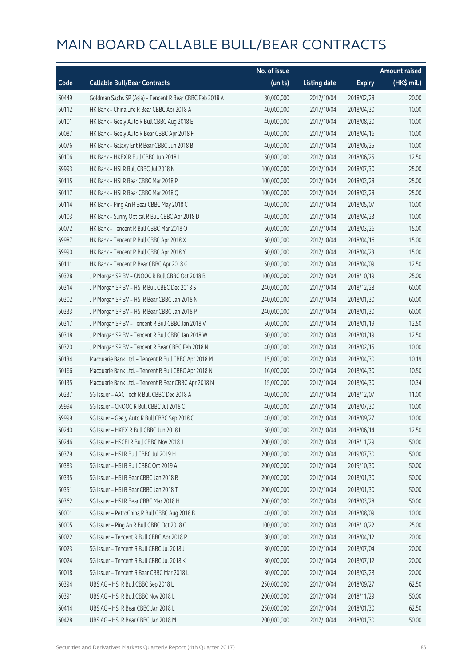|       |                                                          | No. of issue |                     |               | <b>Amount raised</b> |
|-------|----------------------------------------------------------|--------------|---------------------|---------------|----------------------|
| Code  | <b>Callable Bull/Bear Contracts</b>                      | (units)      | <b>Listing date</b> | <b>Expiry</b> | $(HK\$ mil.)         |
| 60449 | Goldman Sachs SP (Asia) - Tencent R Bear CBBC Feb 2018 A | 80,000,000   | 2017/10/04          | 2018/02/28    | 20.00                |
| 60112 | HK Bank - China Life R Bear CBBC Apr 2018 A              | 40,000,000   | 2017/10/04          | 2018/04/30    | 10.00                |
| 60101 | HK Bank - Geely Auto R Bull CBBC Aug 2018 E              | 40,000,000   | 2017/10/04          | 2018/08/20    | 10.00                |
| 60087 | HK Bank - Geely Auto R Bear CBBC Apr 2018 F              | 40,000,000   | 2017/10/04          | 2018/04/16    | 10.00                |
| 60076 | HK Bank - Galaxy Ent R Bear CBBC Jun 2018 B              | 40,000,000   | 2017/10/04          | 2018/06/25    | 10.00                |
| 60106 | HK Bank - HKEX R Bull CBBC Jun 2018 L                    | 50,000,000   | 2017/10/04          | 2018/06/25    | 12.50                |
| 69993 | HK Bank - HSI R Bull CBBC Jul 2018 N                     | 100,000,000  | 2017/10/04          | 2018/07/30    | 25.00                |
| 60115 | HK Bank - HSI R Bear CBBC Mar 2018 P                     | 100,000,000  | 2017/10/04          | 2018/03/28    | 25.00                |
| 60117 | HK Bank - HSI R Bear CBBC Mar 2018 Q                     | 100,000,000  | 2017/10/04          | 2018/03/28    | 25.00                |
| 60114 | HK Bank - Ping An R Bear CBBC May 2018 C                 | 40,000,000   | 2017/10/04          | 2018/05/07    | 10.00                |
| 60103 | HK Bank - Sunny Optical R Bull CBBC Apr 2018 D           | 40,000,000   | 2017/10/04          | 2018/04/23    | 10.00                |
| 60072 | HK Bank - Tencent R Bull CBBC Mar 2018 O                 | 60,000,000   | 2017/10/04          | 2018/03/26    | 15.00                |
| 69987 | HK Bank - Tencent R Bull CBBC Apr 2018 X                 | 60,000,000   | 2017/10/04          | 2018/04/16    | 15.00                |
| 69990 | HK Bank - Tencent R Bull CBBC Apr 2018 Y                 | 60,000,000   | 2017/10/04          | 2018/04/23    | 15.00                |
| 60111 | HK Bank - Tencent R Bear CBBC Apr 2018 G                 | 50,000,000   | 2017/10/04          | 2018/04/09    | 12.50                |
| 60328 | J P Morgan SP BV - CNOOC R Bull CBBC Oct 2018 B          | 100,000,000  | 2017/10/04          | 2018/10/19    | 25.00                |
| 60314 | J P Morgan SP BV - HSI R Bull CBBC Dec 2018 S            | 240,000,000  | 2017/10/04          | 2018/12/28    | 60.00                |
| 60302 | J P Morgan SP BV - HSI R Bear CBBC Jan 2018 N            | 240,000,000  | 2017/10/04          | 2018/01/30    | 60.00                |
| 60333 | J P Morgan SP BV - HSI R Bear CBBC Jan 2018 P            | 240,000,000  | 2017/10/04          | 2018/01/30    | 60.00                |
| 60317 | J P Morgan SP BV - Tencent R Bull CBBC Jan 2018 V        | 50,000,000   | 2017/10/04          | 2018/01/19    | 12.50                |
| 60318 | J P Morgan SP BV - Tencent R Bull CBBC Jan 2018 W        | 50,000,000   | 2017/10/04          | 2018/01/19    | 12.50                |
| 60320 | J P Morgan SP BV - Tencent R Bear CBBC Feb 2018 N        | 40,000,000   | 2017/10/04          | 2018/02/15    | 10.00                |
| 60134 | Macquarie Bank Ltd. - Tencent R Bull CBBC Apr 2018 M     | 15,000,000   | 2017/10/04          | 2018/04/30    | 10.19                |
| 60166 | Macquarie Bank Ltd. - Tencent R Bull CBBC Apr 2018 N     | 16,000,000   | 2017/10/04          | 2018/04/30    | 10.50                |
| 60135 | Macquarie Bank Ltd. - Tencent R Bear CBBC Apr 2018 N     | 15,000,000   | 2017/10/04          | 2018/04/30    | 10.34                |
| 60237 | SG Issuer - AAC Tech R Bull CBBC Dec 2018 A              | 40,000,000   | 2017/10/04          | 2018/12/07    | 11.00                |
| 69994 | SG Issuer - CNOOC R Bull CBBC Jul 2018 C                 | 40,000,000   | 2017/10/04          | 2018/07/30    | 10.00                |
| 69999 | SG Issuer - Geely Auto R Bull CBBC Sep 2018 C            | 40,000,000   | 2017/10/04          | 2018/09/27    | 10.00                |
| 60240 | SG Issuer - HKEX R Bull CBBC Jun 2018 I                  | 50,000,000   | 2017/10/04          | 2018/06/14    | 12.50                |
| 60246 | SG Issuer - HSCEI R Bull CBBC Nov 2018 J                 | 200,000,000  | 2017/10/04          | 2018/11/29    | 50.00                |
| 60379 | SG Issuer - HSI R Bull CBBC Jul 2019 H                   | 200,000,000  | 2017/10/04          | 2019/07/30    | 50.00                |
| 60383 | SG Issuer - HSI R Bull CBBC Oct 2019 A                   | 200,000,000  | 2017/10/04          | 2019/10/30    | 50.00                |
| 60335 | SG Issuer - HSI R Bear CBBC Jan 2018 R                   | 200,000,000  | 2017/10/04          | 2018/01/30    | 50.00                |
| 60351 | SG Issuer - HSI R Bear CBBC Jan 2018 T                   | 200,000,000  | 2017/10/04          | 2018/01/30    | 50.00                |
| 60362 | SG Issuer - HSI R Bear CBBC Mar 2018 H                   | 200,000,000  | 2017/10/04          | 2018/03/28    | 50.00                |
| 60001 | SG Issuer - PetroChina R Bull CBBC Aug 2018 B            | 40,000,000   | 2017/10/04          | 2018/08/09    | 10.00                |
| 60005 | SG Issuer - Ping An R Bull CBBC Oct 2018 C               | 100,000,000  | 2017/10/04          | 2018/10/22    | 25.00                |
| 60022 | SG Issuer - Tencent R Bull CBBC Apr 2018 P               | 80,000,000   | 2017/10/04          | 2018/04/12    | 20.00                |
| 60023 | SG Issuer - Tencent R Bull CBBC Jul 2018 J               | 80,000,000   | 2017/10/04          | 2018/07/04    | 20.00                |
| 60024 | SG Issuer - Tencent R Bull CBBC Jul 2018 K               | 80,000,000   | 2017/10/04          | 2018/07/12    | 20.00                |
| 60018 | SG Issuer - Tencent R Bear CBBC Mar 2018 L               | 80,000,000   | 2017/10/04          | 2018/03/28    | 20.00                |
| 60394 | UBS AG - HSI R Bull CBBC Sep 2018 L                      | 250,000,000  | 2017/10/04          | 2018/09/27    | 62.50                |
| 60391 | UBS AG - HSI R Bull CBBC Nov 2018 L                      | 200,000,000  | 2017/10/04          | 2018/11/29    | 50.00                |
| 60414 | UBS AG - HSI R Bear CBBC Jan 2018 L                      | 250,000,000  | 2017/10/04          | 2018/01/30    | 62.50                |
| 60428 | UBS AG - HSI R Bear CBBC Jan 2018 M                      | 200,000,000  | 2017/10/04          | 2018/01/30    | 50.00                |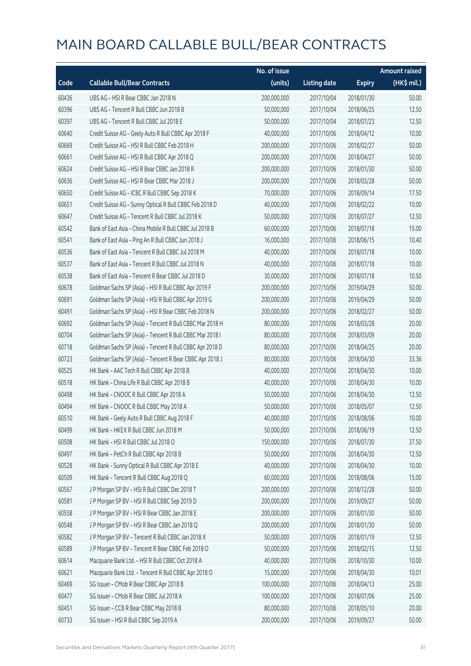|       |                                                          | No. of issue |                     |               | <b>Amount raised</b> |
|-------|----------------------------------------------------------|--------------|---------------------|---------------|----------------------|
| Code  | <b>Callable Bull/Bear Contracts</b>                      | (units)      | <b>Listing date</b> | <b>Expiry</b> | (HK\$ mil.)          |
| 60436 | UBS AG - HSI R Bear CBBC Jan 2018 N                      | 200,000,000  | 2017/10/04          | 2018/01/30    | 50.00                |
| 60396 | UBS AG - Tencent R Bull CBBC Jun 2018 B                  | 50,000,000   | 2017/10/04          | 2018/06/25    | 12.50                |
| 60397 | UBS AG - Tencent R Bull CBBC Jul 2018 E                  | 50,000,000   | 2017/10/04          | 2018/07/23    | 12.50                |
| 60640 | Credit Suisse AG - Geely Auto R Bull CBBC Apr 2018 F     | 40,000,000   | 2017/10/06          | 2018/04/12    | 10.00                |
| 60669 | Credit Suisse AG - HSI R Bull CBBC Feb 2018 H            | 200,000,000  | 2017/10/06          | 2018/02/27    | 50.00                |
| 60661 | Credit Suisse AG - HSI R Bull CBBC Apr 2018 Q            | 200,000,000  | 2017/10/06          | 2018/04/27    | 50.00                |
| 60624 | Credit Suisse AG - HSI R Bear CBBC Jan 2018 R            | 200,000,000  | 2017/10/06          | 2018/01/30    | 50.00                |
| 60636 | Credit Suisse AG - HSI R Bear CBBC Mar 2018 J            | 200,000,000  | 2017/10/06          | 2018/03/28    | 50.00                |
| 60650 | Credit Suisse AG - ICBC R Bull CBBC Sep 2018 K           | 70,000,000   | 2017/10/06          | 2018/09/14    | 17.50                |
| 60651 | Credit Suisse AG - Sunny Optical R Bull CBBC Feb 2018 D  | 40,000,000   | 2017/10/06          | 2018/02/22    | 10.00                |
| 60647 | Credit Suisse AG - Tencent R Bull CBBC Jul 2018 K        | 50,000,000   | 2017/10/06          | 2018/07/27    | 12.50                |
| 60542 | Bank of East Asia - China Mobile R Bull CBBC Jul 2018 B  | 60,000,000   | 2017/10/06          | 2018/07/18    | 15.00                |
| 60541 | Bank of East Asia - Ping An R Bull CBBC Jun 2018 J       | 16,000,000   | 2017/10/06          | 2018/06/15    | 10.40                |
| 60536 | Bank of East Asia - Tencent R Bull CBBC Jul 2018 M       | 40,000,000   | 2017/10/06          | 2018/07/18    | 10.00                |
| 60537 | Bank of East Asia - Tencent R Bull CBBC Jul 2018 N       | 40,000,000   | 2017/10/06          | 2018/07/18    | 10.00                |
| 60538 | Bank of East Asia - Tencent R Bear CBBC Jul 2018 D       | 30,000,000   | 2017/10/06          | 2018/07/18    | 10.50                |
| 60678 | Goldman Sachs SP (Asia) - HSI R Bull CBBC Apr 2019 F     | 200,000,000  | 2017/10/06          | 2019/04/29    | 50.00                |
| 60691 | Goldman Sachs SP (Asia) - HSI R Bull CBBC Apr 2019 G     | 200,000,000  | 2017/10/06          | 2019/04/29    | 50.00                |
| 60491 | Goldman Sachs SP (Asia) - HSI R Bear CBBC Feb 2018 N     | 200,000,000  | 2017/10/06          | 2018/02/27    | 50.00                |
| 60692 | Goldman Sachs SP (Asia) - Tencent R Bull CBBC Mar 2018 H | 80,000,000   | 2017/10/06          | 2018/03/28    | 20.00                |
| 60704 | Goldman Sachs SP (Asia) - Tencent R Bull CBBC Mar 2018 I | 80,000,000   | 2017/10/06          | 2018/03/09    | 20.00                |
| 60718 | Goldman Sachs SP (Asia) - Tencent R Bull CBBC Apr 2018 D | 80,000,000   | 2017/10/06          | 2018/04/25    | 20.00                |
| 60723 | Goldman Sachs SP (Asia) - Tencent R Bear CBBC Apr 2018 J | 80,000,000   | 2017/10/06          | 2018/04/30    | 33.36                |
| 60525 | HK Bank - AAC Tech R Bull CBBC Apr 2018 B                | 40,000,000   | 2017/10/06          | 2018/04/30    | 10.00                |
| 60518 | HK Bank - China Life R Bull CBBC Apr 2018 B              | 40,000,000   | 2017/10/06          | 2018/04/30    | 10.00                |
| 60498 | HK Bank - CNOOC R Bull CBBC Apr 2018 A                   | 50,000,000   | 2017/10/06          | 2018/04/30    | 12.50                |
| 60494 | HK Bank - CNOOC R Bull CBBC May 2018 A                   | 50,000,000   | 2017/10/06          | 2018/05/07    | 12.50                |
| 60510 | HK Bank - Geely Auto R Bull CBBC Aug 2018 F              | 40,000,000   | 2017/10/06          | 2018/08/06    | 10.00                |
| 60499 | HK Bank - HKEX R Bull CBBC Jun 2018 M                    | 50,000,000   | 2017/10/06          | 2018/06/19    | 12.50                |
| 60508 | HK Bank - HSI R Bull CBBC Jul 2018 O                     | 150,000,000  | 2017/10/06          | 2018/07/30    | 37.50                |
| 60497 | HK Bank - PetCh R Bull CBBC Apr 2018 B                   | 50,000,000   | 2017/10/06          | 2018/04/30    | 12.50                |
| 60528 | HK Bank - Sunny Optical R Bull CBBC Apr 2018 E           | 40,000,000   | 2017/10/06          | 2018/04/30    | 10.00                |
| 60509 | HK Bank - Tencent R Bull CBBC Aug 2018 Q                 | 60,000,000   | 2017/10/06          | 2018/08/06    | 15.00                |
| 60567 | J P Morgan SP BV - HSI R Bull CBBC Dec 2018 T            | 200,000,000  | 2017/10/06          | 2018/12/28    | 50.00                |
| 60581 | J P Morgan SP BV - HSI R Bull CBBC Sep 2019 D            | 200,000,000  | 2017/10/06          | 2019/09/27    | 50.00                |
| 60558 | J P Morgan SP BV - HSI R Bear CBBC Jan 2018 E            | 200,000,000  | 2017/10/06          | 2018/01/30    | 50.00                |
| 60548 | J P Morgan SP BV - HSI R Bear CBBC Jan 2018 Q            | 200,000,000  | 2017/10/06          | 2018/01/30    | 50.00                |
| 60582 | J P Morgan SP BV - Tencent R Bull CBBC Jan 2018 X        | 50,000,000   | 2017/10/06          | 2018/01/19    | 12.50                |
| 60589 | J P Morgan SP BV - Tencent R Bear CBBC Feb 2018 O        | 50,000,000   | 2017/10/06          | 2018/02/15    | 12.50                |
| 60614 | Macquarie Bank Ltd. - HSI R Bull CBBC Oct 2018 A         | 40,000,000   | 2017/10/06          | 2018/10/30    | 10.00                |
| 60621 | Macquarie Bank Ltd. - Tencent R Bull CBBC Apr 2018 O     | 15,000,000   | 2017/10/06          | 2018/04/30    | 10.01                |
| 60469 | SG Issuer - CMob R Bear CBBC Apr 2018 B                  | 100,000,000  | 2017/10/06          | 2018/04/13    | 25.00                |
| 60477 | SG Issuer - CMob R Bear CBBC Jul 2018 A                  | 100,000,000  | 2017/10/06          | 2018/07/06    | 25.00                |
| 60451 | SG Issuer - CCB R Bear CBBC May 2018 B                   | 80,000,000   | 2017/10/06          | 2018/05/10    | 20.00                |
| 60733 | SG Issuer - HSI R Bull CBBC Sep 2019 A                   | 200,000,000  | 2017/10/06          | 2019/09/27    | 50.00                |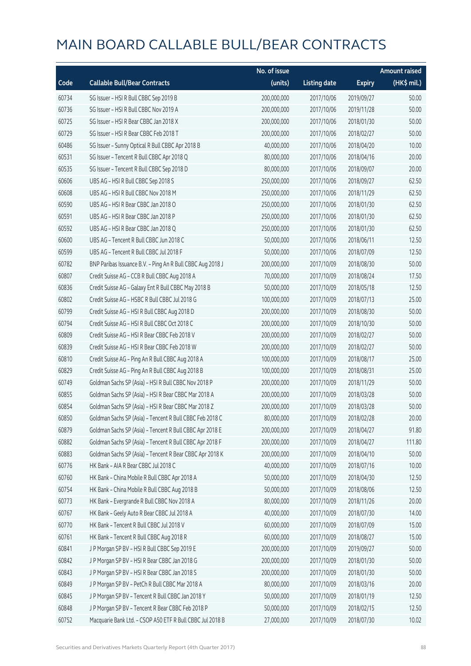|       |                                                            | No. of issue |                     |               | <b>Amount raised</b> |
|-------|------------------------------------------------------------|--------------|---------------------|---------------|----------------------|
| Code  | <b>Callable Bull/Bear Contracts</b>                        | (units)      | <b>Listing date</b> | <b>Expiry</b> | (HK\$ mil.)          |
| 60734 | SG Issuer - HSI R Bull CBBC Sep 2019 B                     | 200,000,000  | 2017/10/06          | 2019/09/27    | 50.00                |
| 60736 | SG Issuer - HSI R Bull CBBC Nov 2019 A                     | 200,000,000  | 2017/10/06          | 2019/11/28    | 50.00                |
| 60725 | SG Issuer - HSI R Bear CBBC Jan 2018 X                     | 200,000,000  | 2017/10/06          | 2018/01/30    | 50.00                |
| 60729 | SG Issuer - HSI R Bear CBBC Feb 2018 T                     | 200,000,000  | 2017/10/06          | 2018/02/27    | 50.00                |
| 60486 | SG Issuer - Sunny Optical R Bull CBBC Apr 2018 B           | 40,000,000   | 2017/10/06          | 2018/04/20    | 10.00                |
| 60531 | SG Issuer - Tencent R Bull CBBC Apr 2018 Q                 | 80,000,000   | 2017/10/06          | 2018/04/16    | 20.00                |
| 60535 | SG Issuer - Tencent R Bull CBBC Sep 2018 D                 | 80,000,000   | 2017/10/06          | 2018/09/07    | 20.00                |
| 60606 | UBS AG - HSI R Bull CBBC Sep 2018 S                        | 250,000,000  | 2017/10/06          | 2018/09/27    | 62.50                |
| 60608 | UBS AG - HSI R Bull CBBC Nov 2018 M                        | 250,000,000  | 2017/10/06          | 2018/11/29    | 62.50                |
| 60590 | UBS AG - HSI R Bear CBBC Jan 2018 O                        | 250,000,000  | 2017/10/06          | 2018/01/30    | 62.50                |
| 60591 | UBS AG - HSI R Bear CBBC Jan 2018 P                        | 250,000,000  | 2017/10/06          | 2018/01/30    | 62.50                |
| 60592 | UBS AG - HSI R Bear CBBC Jan 2018 Q                        | 250,000,000  | 2017/10/06          | 2018/01/30    | 62.50                |
| 60600 | UBS AG - Tencent R Bull CBBC Jun 2018 C                    | 50,000,000   | 2017/10/06          | 2018/06/11    | 12.50                |
| 60599 | UBS AG - Tencent R Bull CBBC Jul 2018 F                    | 50,000,000   | 2017/10/06          | 2018/07/09    | 12.50                |
| 60782 | BNP Paribas Issuance B.V. - Ping An R Bull CBBC Aug 2018 J | 200,000,000  | 2017/10/09          | 2018/08/30    | 50.00                |
| 60807 | Credit Suisse AG - CCB R Bull CBBC Aug 2018 A              | 70,000,000   | 2017/10/09          | 2018/08/24    | 17.50                |
| 60836 | Credit Suisse AG - Galaxy Ent R Bull CBBC May 2018 B       | 50,000,000   | 2017/10/09          | 2018/05/18    | 12.50                |
| 60802 | Credit Suisse AG - HSBC R Bull CBBC Jul 2018 G             | 100,000,000  | 2017/10/09          | 2018/07/13    | 25.00                |
| 60799 | Credit Suisse AG - HSI R Bull CBBC Aug 2018 D              | 200,000,000  | 2017/10/09          | 2018/08/30    | 50.00                |
| 60794 | Credit Suisse AG - HSI R Bull CBBC Oct 2018 C              | 200,000,000  | 2017/10/09          | 2018/10/30    | 50.00                |
| 60809 | Credit Suisse AG - HSI R Bear CBBC Feb 2018 V              | 200,000,000  | 2017/10/09          | 2018/02/27    | 50.00                |
| 60839 | Credit Suisse AG - HSI R Bear CBBC Feb 2018 W              | 200,000,000  | 2017/10/09          | 2018/02/27    | 50.00                |
| 60810 | Credit Suisse AG - Ping An R Bull CBBC Aug 2018 A          | 100,000,000  | 2017/10/09          | 2018/08/17    | 25.00                |
| 60829 | Credit Suisse AG - Ping An R Bull CBBC Aug 2018 B          | 100,000,000  | 2017/10/09          | 2018/08/31    | 25.00                |
| 60749 | Goldman Sachs SP (Asia) - HSI R Bull CBBC Nov 2018 P       | 200,000,000  | 2017/10/09          | 2018/11/29    | 50.00                |
| 60855 | Goldman Sachs SP (Asia) - HSI R Bear CBBC Mar 2018 A       | 200,000,000  | 2017/10/09          | 2018/03/28    | 50.00                |
| 60854 | Goldman Sachs SP (Asia) - HSI R Bear CBBC Mar 2018 Z       | 200,000,000  | 2017/10/09          | 2018/03/28    | 50.00                |
| 60850 | Goldman Sachs SP (Asia) - Tencent R Bull CBBC Feb 2018 C   | 80,000,000   | 2017/10/09          | 2018/02/28    | 20.00                |
| 60879 | Goldman Sachs SP (Asia) - Tencent R Bull CBBC Apr 2018 E   | 200,000,000  | 2017/10/09          | 2018/04/27    | 91.80                |
| 60882 | Goldman Sachs SP (Asia) - Tencent R Bull CBBC Apr 2018 F   | 200,000,000  | 2017/10/09          | 2018/04/27    | 111.80               |
| 60883 | Goldman Sachs SP (Asia) - Tencent R Bear CBBC Apr 2018 K   | 200,000,000  | 2017/10/09          | 2018/04/10    | 50.00                |
| 60776 | HK Bank - AIA R Bear CBBC Jul 2018 C                       | 40,000,000   | 2017/10/09          | 2018/07/16    | 10.00                |
| 60760 | HK Bank - China Mobile R Bull CBBC Apr 2018 A              | 50,000,000   | 2017/10/09          | 2018/04/30    | 12.50                |
| 60754 | HK Bank - China Mobile R Bull CBBC Aug 2018 B              | 50,000,000   | 2017/10/09          | 2018/08/06    | 12.50                |
| 60773 | HK Bank - Evergrande R Bull CBBC Nov 2018 A                | 80,000,000   | 2017/10/09          | 2018/11/26    | 20.00                |
| 60767 | HK Bank - Geely Auto R Bear CBBC Jul 2018 A                | 40,000,000   | 2017/10/09          | 2018/07/30    | 14.00                |
| 60770 | HK Bank - Tencent R Bull CBBC Jul 2018 V                   | 60,000,000   | 2017/10/09          | 2018/07/09    | 15.00                |
| 60761 | HK Bank - Tencent R Bull CBBC Aug 2018 R                   | 60,000,000   | 2017/10/09          | 2018/08/27    | 15.00                |
| 60841 | J P Morgan SP BV - HSI R Bull CBBC Sep 2019 E              | 200,000,000  | 2017/10/09          | 2019/09/27    | 50.00                |
| 60842 | J P Morgan SP BV - HSI R Bear CBBC Jan 2018 G              | 200,000,000  | 2017/10/09          | 2018/01/30    | 50.00                |
| 60843 | J P Morgan SP BV - HSI R Bear CBBC Jan 2018 S              | 200,000,000  | 2017/10/09          | 2018/01/30    | 50.00                |
| 60849 | J P Morgan SP BV - PetCh R Bull CBBC Mar 2018 A            | 80,000,000   | 2017/10/09          | 2018/03/16    | 20.00                |
| 60845 | J P Morgan SP BV - Tencent R Bull CBBC Jan 2018 Y          | 50,000,000   | 2017/10/09          | 2018/01/19    | 12.50                |
| 60848 | J P Morgan SP BV - Tencent R Bear CBBC Feb 2018 P          | 50,000,000   | 2017/10/09          | 2018/02/15    | 12.50                |
| 60752 | Macquarie Bank Ltd. - CSOP A50 ETF R Bull CBBC Jul 2018 B  | 27,000,000   | 2017/10/09          | 2018/07/30    | 10.02                |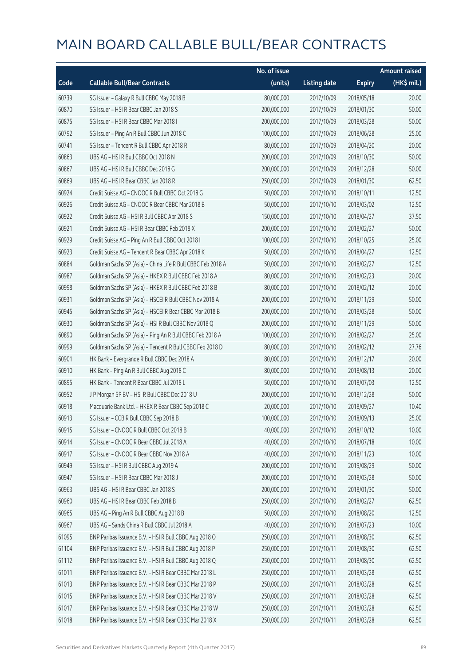|       |                                                             | No. of issue |                     |               | <b>Amount raised</b> |
|-------|-------------------------------------------------------------|--------------|---------------------|---------------|----------------------|
| Code  | <b>Callable Bull/Bear Contracts</b>                         | (units)      | <b>Listing date</b> | <b>Expiry</b> | (HK\$ mil.)          |
| 60739 | SG Issuer - Galaxy R Bull CBBC May 2018 B                   | 80,000,000   | 2017/10/09          | 2018/05/18    | 20.00                |
| 60870 | SG Issuer - HSI R Bear CBBC Jan 2018 S                      | 200,000,000  | 2017/10/09          | 2018/01/30    | 50.00                |
| 60875 | SG Issuer - HSI R Bear CBBC Mar 2018 I                      | 200,000,000  | 2017/10/09          | 2018/03/28    | 50.00                |
| 60792 | SG Issuer - Ping An R Bull CBBC Jun 2018 C                  | 100,000,000  | 2017/10/09          | 2018/06/28    | 25.00                |
| 60741 | SG Issuer - Tencent R Bull CBBC Apr 2018 R                  | 80,000,000   | 2017/10/09          | 2018/04/20    | 20.00                |
| 60863 | UBS AG - HSI R Bull CBBC Oct 2018 N                         | 200,000,000  | 2017/10/09          | 2018/10/30    | 50.00                |
| 60867 | UBS AG - HSI R Bull CBBC Dec 2018 G                         | 200,000,000  | 2017/10/09          | 2018/12/28    | 50.00                |
| 60869 | UBS AG - HSI R Bear CBBC Jan 2018 R                         | 250,000,000  | 2017/10/09          | 2018/01/30    | 62.50                |
| 60924 | Credit Suisse AG - CNOOC R Bull CBBC Oct 2018 G             | 50,000,000   | 2017/10/10          | 2018/10/11    | 12.50                |
| 60926 | Credit Suisse AG - CNOOC R Bear CBBC Mar 2018 B             | 50,000,000   | 2017/10/10          | 2018/03/02    | 12.50                |
| 60922 | Credit Suisse AG - HSI R Bull CBBC Apr 2018 S               | 150,000,000  | 2017/10/10          | 2018/04/27    | 37.50                |
| 60921 | Credit Suisse AG - HSI R Bear CBBC Feb 2018 X               | 200,000,000  | 2017/10/10          | 2018/02/27    | 50.00                |
| 60929 | Credit Suisse AG - Ping An R Bull CBBC Oct 2018 I           | 100,000,000  | 2017/10/10          | 2018/10/25    | 25.00                |
| 60923 | Credit Suisse AG - Tencent R Bear CBBC Apr 2018 K           | 50,000,000   | 2017/10/10          | 2018/04/27    | 12.50                |
| 60884 | Goldman Sachs SP (Asia) - China Life R Bull CBBC Feb 2018 A | 50,000,000   | 2017/10/10          | 2018/02/27    | 12.50                |
| 60987 | Goldman Sachs SP (Asia) - HKEX R Bull CBBC Feb 2018 A       | 80,000,000   | 2017/10/10          | 2018/02/23    | 20.00                |
| 60998 | Goldman Sachs SP (Asia) - HKEX R Bull CBBC Feb 2018 B       | 80,000,000   | 2017/10/10          | 2018/02/12    | 20.00                |
| 60931 | Goldman Sachs SP (Asia) - HSCEI R Bull CBBC Nov 2018 A      | 200,000,000  | 2017/10/10          | 2018/11/29    | 50.00                |
| 60945 | Goldman Sachs SP (Asia) - HSCEI R Bear CBBC Mar 2018 B      | 200,000,000  | 2017/10/10          | 2018/03/28    | 50.00                |
| 60930 | Goldman Sachs SP (Asia) - HSI R Bull CBBC Nov 2018 Q        | 200,000,000  | 2017/10/10          | 2018/11/29    | 50.00                |
| 60890 | Goldman Sachs SP (Asia) - Ping An R Bull CBBC Feb 2018 A    | 100,000,000  | 2017/10/10          | 2018/02/27    | 25.00                |
| 60999 | Goldman Sachs SP (Asia) - Tencent R Bull CBBC Feb 2018 D    | 80,000,000   | 2017/10/10          | 2018/02/12    | 27.76                |
| 60901 | HK Bank - Evergrande R Bull CBBC Dec 2018 A                 | 80,000,000   | 2017/10/10          | 2018/12/17    | 20.00                |
| 60910 | HK Bank - Ping An R Bull CBBC Aug 2018 C                    | 80,000,000   | 2017/10/10          | 2018/08/13    | 20.00                |
| 60895 | HK Bank - Tencent R Bear CBBC Jul 2018 L                    | 50,000,000   | 2017/10/10          | 2018/07/03    | 12.50                |
| 60952 | J P Morgan SP BV - HSI R Bull CBBC Dec 2018 U               | 200,000,000  | 2017/10/10          | 2018/12/28    | 50.00                |
| 60918 | Macquarie Bank Ltd. - HKEX R Bear CBBC Sep 2018 C           | 20,000,000   | 2017/10/10          | 2018/09/27    | 10.40                |
| 60913 | SG Issuer - CCB R Bull CBBC Sep 2018 B                      | 100,000,000  | 2017/10/10          | 2018/09/13    | 25.00                |
| 60915 | SG Issuer - CNOOC R Bull CBBC Oct 2018 B                    | 40,000,000   | 2017/10/10          | 2018/10/12    | 10.00                |
| 60914 | SG Issuer - CNOOC R Bear CBBC Jul 2018 A                    | 40,000,000   | 2017/10/10          | 2018/07/18    | 10.00                |
| 60917 | SG Issuer - CNOOC R Bear CBBC Nov 2018 A                    | 40,000,000   | 2017/10/10          | 2018/11/23    | 10.00                |
| 60949 | SG Issuer - HSI R Bull CBBC Aug 2019 A                      | 200,000,000  | 2017/10/10          | 2019/08/29    | 50.00                |
| 60947 | SG Issuer - HSI R Bear CBBC Mar 2018 J                      | 200,000,000  | 2017/10/10          | 2018/03/28    | 50.00                |
| 60963 | UBS AG - HSI R Bear CBBC Jan 2018 S                         | 200,000,000  | 2017/10/10          | 2018/01/30    | 50.00                |
| 60960 | UBS AG - HSI R Bear CBBC Feb 2018 B                         | 250,000,000  | 2017/10/10          | 2018/02/27    | 62.50                |
| 60965 | UBS AG - Ping An R Bull CBBC Aug 2018 B                     | 50,000,000   | 2017/10/10          | 2018/08/20    | 12.50                |
| 60967 | UBS AG - Sands China R Bull CBBC Jul 2018 A                 | 40,000,000   | 2017/10/10          | 2018/07/23    | 10.00                |
| 61095 | BNP Paribas Issuance B.V. - HSI R Bull CBBC Aug 2018 O      | 250,000,000  | 2017/10/11          | 2018/08/30    | 62.50                |
| 61104 | BNP Paribas Issuance B.V. - HSI R Bull CBBC Aug 2018 P      | 250,000,000  | 2017/10/11          | 2018/08/30    | 62.50                |
| 61112 | BNP Paribas Issuance B.V. - HSI R Bull CBBC Aug 2018 Q      | 250,000,000  | 2017/10/11          | 2018/08/30    | 62.50                |
| 61011 | BNP Paribas Issuance B.V. - HSI R Bear CBBC Mar 2018 L      | 250,000,000  | 2017/10/11          | 2018/03/28    | 62.50                |
| 61013 | BNP Paribas Issuance B.V. - HSI R Bear CBBC Mar 2018 P      | 250,000,000  | 2017/10/11          | 2018/03/28    | 62.50                |
| 61015 | BNP Paribas Issuance B.V. - HSI R Bear CBBC Mar 2018 V      | 250,000,000  | 2017/10/11          | 2018/03/28    | 62.50                |
| 61017 | BNP Paribas Issuance B.V. - HSI R Bear CBBC Mar 2018 W      | 250,000,000  | 2017/10/11          | 2018/03/28    | 62.50                |
| 61018 | BNP Paribas Issuance B.V. - HSI R Bear CBBC Mar 2018 X      | 250,000,000  | 2017/10/11          | 2018/03/28    | 62.50                |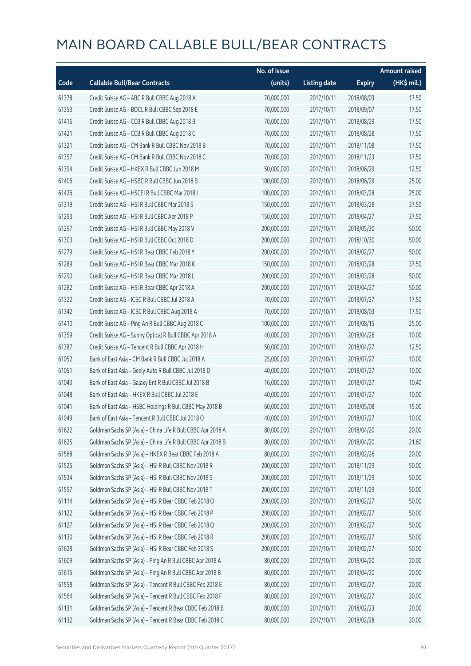|       |                                                             | No. of issue |                     |               | <b>Amount raised</b> |
|-------|-------------------------------------------------------------|--------------|---------------------|---------------|----------------------|
| Code  | <b>Callable Bull/Bear Contracts</b>                         | (units)      | <b>Listing date</b> | <b>Expiry</b> | (HK\$ mil.)          |
| 61378 | Credit Suisse AG - ABC R Bull CBBC Aug 2018 A               | 70,000,000   | 2017/10/11          | 2018/08/03    | 17.50                |
| 61353 | Credit Suisse AG - BOCL R Bull CBBC Sep 2018 E              | 70,000,000   | 2017/10/11          | 2018/09/07    | 17.50                |
| 61416 | Credit Suisse AG - CCB R Bull CBBC Aug 2018 B               | 70,000,000   | 2017/10/11          | 2018/08/29    | 17.50                |
| 61421 | Credit Suisse AG - CCB R Bull CBBC Aug 2018 C               | 70,000,000   | 2017/10/11          | 2018/08/28    | 17.50                |
| 61321 | Credit Suisse AG - CM Bank R Bull CBBC Nov 2018 B           | 70,000,000   | 2017/10/11          | 2018/11/08    | 17.50                |
| 61357 | Credit Suisse AG - CM Bank R Bull CBBC Nov 2018 C           | 70,000,000   | 2017/10/11          | 2018/11/23    | 17.50                |
| 61394 | Credit Suisse AG - HKEX R Bull CBBC Jun 2018 M              | 50,000,000   | 2017/10/11          | 2018/06/29    | 12.50                |
| 61406 | Credit Suisse AG - HSBC R Bull CBBC Jun 2018 B              | 100,000,000  | 2017/10/11          | 2018/06/29    | 25.00                |
| 61426 | Credit Suisse AG - HSCEI R Bull CBBC Mar 2018 I             | 100,000,000  | 2017/10/11          | 2018/03/28    | 25.00                |
| 61319 | Credit Suisse AG - HSI R Bull CBBC Mar 2018 S               | 150,000,000  | 2017/10/11          | 2018/03/28    | 37.50                |
| 61293 | Credit Suisse AG - HSI R Bull CBBC Apr 2018 P               | 150,000,000  | 2017/10/11          | 2018/04/27    | 37.50                |
| 61297 | Credit Suisse AG - HSI R Bull CBBC May 2018 V               | 200,000,000  | 2017/10/11          | 2018/05/30    | 50.00                |
| 61303 | Credit Suisse AG - HSI R Bull CBBC Oct 2018 D               | 200,000,000  | 2017/10/11          | 2018/10/30    | 50.00                |
| 61279 | Credit Suisse AG - HSI R Bear CBBC Feb 2018 Y               | 200,000,000  | 2017/10/11          | 2018/02/27    | 50.00                |
| 61289 | Credit Suisse AG - HSI R Bear CBBC Mar 2018 K               | 150,000,000  | 2017/10/11          | 2018/03/28    | 37.50                |
| 61290 | Credit Suisse AG - HSI R Bear CBBC Mar 2018 L               | 200,000,000  | 2017/10/11          | 2018/03/28    | 50.00                |
| 61282 | Credit Suisse AG - HSI R Bear CBBC Apr 2018 A               | 200,000,000  | 2017/10/11          | 2018/04/27    | 50.00                |
| 61322 | Credit Suisse AG - ICBC R Bull CBBC Jul 2018 A              | 70,000,000   | 2017/10/11          | 2018/07/27    | 17.50                |
| 61342 | Credit Suisse AG - ICBC R Bull CBBC Aug 2018 A              | 70,000,000   | 2017/10/11          | 2018/08/03    | 17.50                |
| 61410 | Credit Suisse AG - Ping An R Bull CBBC Aug 2018 C           | 100,000,000  | 2017/10/11          | 2018/08/15    | 25.00                |
| 61359 | Credit Suisse AG - Sunny Optical R Bull CBBC Apr 2018 A     | 40,000,000   | 2017/10/11          | 2018/04/26    | 10.00                |
| 61387 | Credit Suisse AG - Tencent R Bull CBBC Apr 2018 H           | 50,000,000   | 2017/10/11          | 2018/04/27    | 12.50                |
| 61052 | Bank of East Asia - CM Bank R Bull CBBC Jul 2018 A          | 25,000,000   | 2017/10/11          | 2018/07/27    | 10.00                |
| 61051 | Bank of East Asia - Geely Auto R Bull CBBC Jul 2018 D       | 40,000,000   | 2017/10/11          | 2018/07/27    | 10.00                |
| 61043 | Bank of East Asia - Galaxy Ent R Bull CBBC Jul 2018 B       | 16,000,000   | 2017/10/11          | 2018/07/27    | 10.40                |
| 61048 | Bank of East Asia - HKEX R Bull CBBC Jul 2018 E             | 40,000,000   | 2017/10/11          | 2018/07/27    | 10.00                |
| 61041 | Bank of East Asia - HSBC Holdings R Bull CBBC May 2018 B    | 60,000,000   | 2017/10/11          | 2018/05/08    | 15.00                |
| 61049 | Bank of East Asia - Tencent R Bull CBBC Jul 2018 O          | 40,000,000   | 2017/10/11          | 2018/07/27    | 10.00                |
| 61622 | Goldman Sachs SP (Asia) - China Life R Bull CBBC Apr 2018 A | 80,000,000   | 2017/10/11          | 2018/04/20    | 20.00                |
| 61625 | Goldman Sachs SP (Asia) - China Life R Bull CBBC Apr 2018 B | 80,000,000   | 2017/10/11          | 2018/04/20    | 21.60                |
| 61568 | Goldman Sachs SP (Asia) - HKEX R Bear CBBC Feb 2018 A       | 80,000,000   | 2017/10/11          | 2018/02/26    | 20.00                |
| 61525 | Goldman Sachs SP (Asia) - HSI R Bull CBBC Nov 2018 R        | 200,000,000  | 2017/10/11          | 2018/11/29    | 50.00                |
| 61534 | Goldman Sachs SP (Asia) - HSI R Bull CBBC Nov 2018 S        | 200,000,000  | 2017/10/11          | 2018/11/29    | 50.00                |
| 61557 | Goldman Sachs SP (Asia) - HSI R Bull CBBC Nov 2018 T        | 200,000,000  | 2017/10/11          | 2018/11/29    | 50.00                |
| 61114 | Goldman Sachs SP (Asia) - HSI R Bear CBBC Feb 2018 O        | 200,000,000  | 2017/10/11          | 2018/02/27    | 50.00                |
| 61122 | Goldman Sachs SP (Asia) - HSI R Bear CBBC Feb 2018 P        | 200,000,000  | 2017/10/11          | 2018/02/27    | 50.00                |
| 61127 | Goldman Sachs SP (Asia) - HSI R Bear CBBC Feb 2018 Q        | 200,000,000  | 2017/10/11          | 2018/02/27    | 50.00                |
| 61130 | Goldman Sachs SP (Asia) - HSI R Bear CBBC Feb 2018 R        | 200,000,000  | 2017/10/11          | 2018/02/27    | 50.00                |
| 61628 | Goldman Sachs SP (Asia) - HSI R Bear CBBC Feb 2018 S        | 200,000,000  | 2017/10/11          | 2018/02/27    | 50.00                |
| 61609 | Goldman Sachs SP (Asia) - Ping An R Bull CBBC Apr 2018 A    | 80,000,000   | 2017/10/11          | 2018/04/20    | 20.00                |
| 61615 | Goldman Sachs SP (Asia) - Ping An R Bull CBBC Apr 2018 B    | 80,000,000   | 2017/10/11          | 2018/04/20    | 20.00                |
| 61558 | Goldman Sachs SP (Asia) - Tencent R Bull CBBC Feb 2018 E    | 80,000,000   | 2017/10/11          | 2018/02/27    | 20.00                |
| 61564 | Goldman Sachs SP (Asia) - Tencent R Bull CBBC Feb 2018 F    | 80,000,000   | 2017/10/11          | 2018/02/27    | 20.00                |
| 61131 | Goldman Sachs SP (Asia) - Tencent R Bear CBBC Feb 2018 B    | 80,000,000   | 2017/10/11          | 2018/02/23    | 20.00                |
| 61132 | Goldman Sachs SP (Asia) - Tencent R Bear CBBC Feb 2018 C    | 80,000,000   | 2017/10/11          | 2018/02/28    | 20.00                |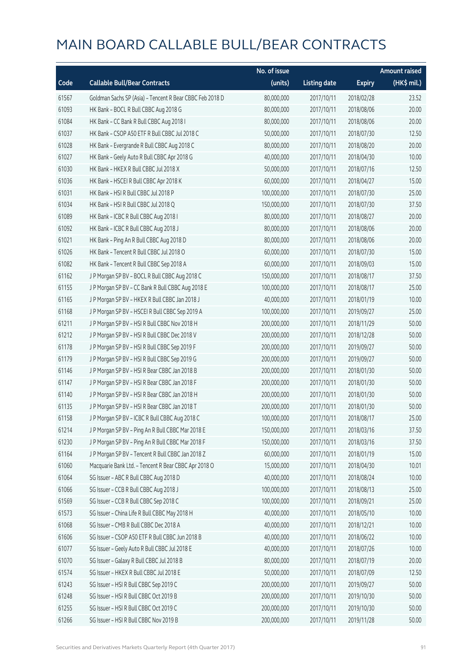|       |                                                          | No. of issue |                     |               | <b>Amount raised</b> |
|-------|----------------------------------------------------------|--------------|---------------------|---------------|----------------------|
| Code  | <b>Callable Bull/Bear Contracts</b>                      | (units)      | <b>Listing date</b> | <b>Expiry</b> | $(HK\$ mil.)         |
| 61567 | Goldman Sachs SP (Asia) - Tencent R Bear CBBC Feb 2018 D | 80,000,000   | 2017/10/11          | 2018/02/28    | 23.52                |
| 61093 | HK Bank - BOCL R Bull CBBC Aug 2018 G                    | 80,000,000   | 2017/10/11          | 2018/08/06    | 20.00                |
| 61084 | HK Bank - CC Bank R Bull CBBC Aug 2018 I                 | 80,000,000   | 2017/10/11          | 2018/08/06    | 20.00                |
| 61037 | HK Bank - CSOP A50 ETF R Bull CBBC Jul 2018 C            | 50,000,000   | 2017/10/11          | 2018/07/30    | 12.50                |
| 61028 | HK Bank - Evergrande R Bull CBBC Aug 2018 C              | 80,000,000   | 2017/10/11          | 2018/08/20    | 20.00                |
| 61027 | HK Bank - Geely Auto R Bull CBBC Apr 2018 G              | 40,000,000   | 2017/10/11          | 2018/04/30    | 10.00                |
| 61030 | HK Bank - HKEX R Bull CBBC Jul 2018 X                    | 50,000,000   | 2017/10/11          | 2018/07/16    | 12.50                |
| 61036 | HK Bank - HSCEI R Bull CBBC Apr 2018 K                   | 60,000,000   | 2017/10/11          | 2018/04/27    | 15.00                |
| 61031 | HK Bank - HSI R Bull CBBC Jul 2018 P                     | 100,000,000  | 2017/10/11          | 2018/07/30    | 25.00                |
| 61034 | HK Bank - HSI R Bull CBBC Jul 2018 Q                     | 150,000,000  | 2017/10/11          | 2018/07/30    | 37.50                |
| 61089 | HK Bank - ICBC R Bull CBBC Aug 2018 I                    | 80,000,000   | 2017/10/11          | 2018/08/27    | 20.00                |
| 61092 | HK Bank - ICBC R Bull CBBC Aug 2018 J                    | 80,000,000   | 2017/10/11          | 2018/08/06    | 20.00                |
| 61021 | HK Bank - Ping An R Bull CBBC Aug 2018 D                 | 80,000,000   | 2017/10/11          | 2018/08/06    | 20.00                |
| 61026 | HK Bank - Tencent R Bull CBBC Jul 2018 O                 | 60,000,000   | 2017/10/11          | 2018/07/30    | 15.00                |
| 61082 | HK Bank - Tencent R Bull CBBC Sep 2018 A                 | 60,000,000   | 2017/10/11          | 2018/09/03    | 15.00                |
| 61162 | J P Morgan SP BV - BOCL R Bull CBBC Aug 2018 C           | 150,000,000  | 2017/10/11          | 2018/08/17    | 37.50                |
| 61155 | J P Morgan SP BV - CC Bank R Bull CBBC Aug 2018 E        | 100,000,000  | 2017/10/11          | 2018/08/17    | 25.00                |
| 61165 | J P Morgan SP BV - HKEX R Bull CBBC Jan 2018 J           | 40,000,000   | 2017/10/11          | 2018/01/19    | 10.00                |
| 61168 | J P Morgan SP BV - HSCEI R Bull CBBC Sep 2019 A          | 100,000,000  | 2017/10/11          | 2019/09/27    | 25.00                |
| 61211 | J P Morgan SP BV - HSI R Bull CBBC Nov 2018 H            | 200,000,000  | 2017/10/11          | 2018/11/29    | 50.00                |
| 61212 | J P Morgan SP BV - HSI R Bull CBBC Dec 2018 V            | 200,000,000  | 2017/10/11          | 2018/12/28    | 50.00                |
| 61178 | J P Morgan SP BV - HSI R Bull CBBC Sep 2019 F            | 200,000,000  | 2017/10/11          | 2019/09/27    | 50.00                |
| 61179 | J P Morgan SP BV - HSI R Bull CBBC Sep 2019 G            | 200,000,000  | 2017/10/11          | 2019/09/27    | 50.00                |
| 61146 | J P Morgan SP BV - HSI R Bear CBBC Jan 2018 B            | 200,000,000  | 2017/10/11          | 2018/01/30    | 50.00                |
| 61147 | J P Morgan SP BV - HSI R Bear CBBC Jan 2018 F            | 200,000,000  | 2017/10/11          | 2018/01/30    | 50.00                |
| 61140 | J P Morgan SP BV - HSI R Bear CBBC Jan 2018 H            | 200,000,000  | 2017/10/11          | 2018/01/30    | 50.00                |
| 61135 | J P Morgan SP BV - HSI R Bear CBBC Jan 2018 T            | 200,000,000  | 2017/10/11          | 2018/01/30    | 50.00                |
| 61158 | J P Morgan SP BV - ICBC R Bull CBBC Aug 2018 C           | 100,000,000  | 2017/10/11          | 2018/08/17    | 25.00                |
| 61214 | J P Morgan SP BV - Ping An R Bull CBBC Mar 2018 E        | 150,000,000  | 2017/10/11          | 2018/03/16    | 37.50                |
| 61230 | J P Morgan SP BV - Ping An R Bull CBBC Mar 2018 F        | 150,000,000  | 2017/10/11          | 2018/03/16    | 37.50                |
| 61164 | J P Morgan SP BV - Tencent R Bull CBBC Jan 2018 Z        | 60,000,000   | 2017/10/11          | 2018/01/19    | 15.00                |
| 61060 | Macquarie Bank Ltd. - Tencent R Bear CBBC Apr 2018 O     | 15,000,000   | 2017/10/11          | 2018/04/30    | 10.01                |
| 61064 | SG Issuer - ABC R Bull CBBC Aug 2018 D                   | 40,000,000   | 2017/10/11          | 2018/08/24    | 10.00                |
| 61066 | SG Issuer - CCB R Bull CBBC Aug 2018 J                   | 100,000,000  | 2017/10/11          | 2018/08/13    | 25.00                |
| 61569 | SG Issuer - CCB R Bull CBBC Sep 2018 C                   | 100,000,000  | 2017/10/11          | 2018/09/21    | 25.00                |
| 61573 | SG Issuer - China Life R Bull CBBC May 2018 H            | 40,000,000   | 2017/10/11          | 2018/05/10    | 10.00                |
| 61068 | SG Issuer - CMB R Bull CBBC Dec 2018 A                   | 40,000,000   | 2017/10/11          | 2018/12/21    | 10.00                |
| 61606 | SG Issuer - CSOP A50 ETF R Bull CBBC Jun 2018 B          | 40,000,000   | 2017/10/11          | 2018/06/22    | 10.00                |
| 61077 | SG Issuer - Geely Auto R Bull CBBC Jul 2018 E            | 40,000,000   | 2017/10/11          | 2018/07/26    | 10.00                |
| 61070 | SG Issuer - Galaxy R Bull CBBC Jul 2018 B                | 80,000,000   | 2017/10/11          | 2018/07/19    | 20.00                |
| 61574 | SG Issuer - HKEX R Bull CBBC Jul 2018 E                  | 50,000,000   | 2017/10/11          | 2018/07/09    | 12.50                |
| 61243 | SG Issuer - HSI R Bull CBBC Sep 2019 C                   | 200,000,000  | 2017/10/11          | 2019/09/27    | 50.00                |
| 61248 | SG Issuer - HSI R Bull CBBC Oct 2019 B                   | 200,000,000  | 2017/10/11          | 2019/10/30    | 50.00                |
| 61255 | SG Issuer - HSI R Bull CBBC Oct 2019 C                   | 200,000,000  | 2017/10/11          | 2019/10/30    | 50.00                |
| 61266 | SG Issuer - HSI R Bull CBBC Nov 2019 B                   | 200,000,000  | 2017/10/11          | 2019/11/28    | 50.00                |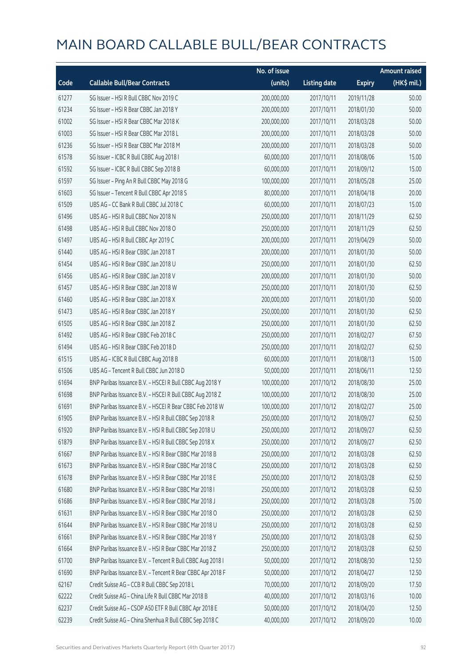|       |                                                            | No. of issue |                     |               | <b>Amount raised</b> |
|-------|------------------------------------------------------------|--------------|---------------------|---------------|----------------------|
| Code  | <b>Callable Bull/Bear Contracts</b>                        | (units)      | <b>Listing date</b> | <b>Expiry</b> | (HK\$ mil.)          |
| 61277 | SG Issuer - HSI R Bull CBBC Nov 2019 C                     | 200,000,000  | 2017/10/11          | 2019/11/28    | 50.00                |
| 61234 | SG Issuer - HSI R Bear CBBC Jan 2018 Y                     | 200,000,000  | 2017/10/11          | 2018/01/30    | 50.00                |
| 61002 | SG Issuer - HSI R Bear CBBC Mar 2018 K                     | 200,000,000  | 2017/10/11          | 2018/03/28    | 50.00                |
| 61003 | SG Issuer - HSI R Bear CBBC Mar 2018 L                     | 200,000,000  | 2017/10/11          | 2018/03/28    | 50.00                |
| 61236 | SG Issuer - HSI R Bear CBBC Mar 2018 M                     | 200,000,000  | 2017/10/11          | 2018/03/28    | 50.00                |
| 61578 | SG Issuer - ICBC R Bull CBBC Aug 2018 I                    | 60,000,000   | 2017/10/11          | 2018/08/06    | 15.00                |
| 61592 | SG Issuer - ICBC R Bull CBBC Sep 2018 B                    | 60,000,000   | 2017/10/11          | 2018/09/12    | 15.00                |
| 61597 | SG Issuer - Ping An R Bull CBBC May 2018 G                 | 100,000,000  | 2017/10/11          | 2018/05/28    | 25.00                |
| 61603 | SG Issuer - Tencent R Bull CBBC Apr 2018 S                 | 80,000,000   | 2017/10/11          | 2018/04/18    | 20.00                |
| 61509 | UBS AG - CC Bank R Bull CBBC Jul 2018 C                    | 60,000,000   | 2017/10/11          | 2018/07/23    | 15.00                |
| 61496 | UBS AG - HSI R Bull CBBC Nov 2018 N                        | 250,000,000  | 2017/10/11          | 2018/11/29    | 62.50                |
| 61498 | UBS AG - HSI R Bull CBBC Nov 2018 O                        | 250,000,000  | 2017/10/11          | 2018/11/29    | 62.50                |
| 61497 | UBS AG - HSI R Bull CBBC Apr 2019 C                        | 200,000,000  | 2017/10/11          | 2019/04/29    | 50.00                |
| 61440 | UBS AG - HSI R Bear CBBC Jan 2018 T                        | 200,000,000  | 2017/10/11          | 2018/01/30    | 50.00                |
| 61454 | UBS AG - HSI R Bear CBBC Jan 2018 U                        | 250,000,000  | 2017/10/11          | 2018/01/30    | 62.50                |
| 61456 | UBS AG - HSI R Bear CBBC Jan 2018 V                        | 200,000,000  | 2017/10/11          | 2018/01/30    | 50.00                |
| 61457 | UBS AG - HSI R Bear CBBC Jan 2018 W                        | 250,000,000  | 2017/10/11          | 2018/01/30    | 62.50                |
| 61460 | UBS AG - HSI R Bear CBBC Jan 2018 X                        | 200,000,000  | 2017/10/11          | 2018/01/30    | 50.00                |
| 61473 | UBS AG - HSI R Bear CBBC Jan 2018 Y                        | 250,000,000  | 2017/10/11          | 2018/01/30    | 62.50                |
| 61505 | UBS AG - HSI R Bear CBBC Jan 2018 Z                        | 250,000,000  | 2017/10/11          | 2018/01/30    | 62.50                |
| 61492 | UBS AG - HSI R Bear CBBC Feb 2018 C                        | 250,000,000  | 2017/10/11          | 2018/02/27    | 67.50                |
| 61494 | UBS AG - HSI R Bear CBBC Feb 2018 D                        | 250,000,000  | 2017/10/11          | 2018/02/27    | 62.50                |
| 61515 | UBS AG - ICBC R Bull CBBC Aug 2018 B                       | 60,000,000   | 2017/10/11          | 2018/08/13    | 15.00                |
| 61506 | UBS AG - Tencent R Bull CBBC Jun 2018 D                    | 50,000,000   | 2017/10/11          | 2018/06/11    | 12.50                |
| 61694 | BNP Paribas Issuance B.V. - HSCEI R Bull CBBC Aug 2018 Y   | 100,000,000  | 2017/10/12          | 2018/08/30    | 25.00                |
| 61698 | BNP Paribas Issuance B.V. - HSCEI R Bull CBBC Aug 2018 Z   | 100,000,000  | 2017/10/12          | 2018/08/30    | 25.00                |
| 61691 | BNP Paribas Issuance B.V. - HSCEI R Bear CBBC Feb 2018 W   | 100,000,000  | 2017/10/12          | 2018/02/27    | 25.00                |
| 61905 | BNP Paribas Issuance B.V. - HSI R Bull CBBC Sep 2018 R     | 250,000,000  | 2017/10/12          | 2018/09/27    | 62.50                |
| 61920 | BNP Paribas Issuance B.V. - HSI R Bull CBBC Sep 2018 U     | 250,000,000  | 2017/10/12          | 2018/09/27    | 62.50                |
| 61879 | BNP Paribas Issuance B.V. - HSI R Bull CBBC Sep 2018 X     | 250,000,000  | 2017/10/12          | 2018/09/27    | 62.50                |
| 61667 | BNP Paribas Issuance B.V. - HSI R Bear CBBC Mar 2018 B     | 250,000,000  | 2017/10/12          | 2018/03/28    | 62.50                |
| 61673 | BNP Paribas Issuance B.V. - HSI R Bear CBBC Mar 2018 C     | 250,000,000  | 2017/10/12          | 2018/03/28    | 62.50                |
| 61678 | BNP Paribas Issuance B.V. - HSI R Bear CBBC Mar 2018 E     | 250,000,000  | 2017/10/12          | 2018/03/28    | 62.50                |
| 61680 | BNP Paribas Issuance B.V. - HSI R Bear CBBC Mar 2018 I     | 250,000,000  | 2017/10/12          | 2018/03/28    | 62.50                |
| 61686 | BNP Paribas Issuance B.V. - HSI R Bear CBBC Mar 2018 J     | 250,000,000  | 2017/10/12          | 2018/03/28    | 75.00                |
| 61631 | BNP Paribas Issuance B.V. - HSI R Bear CBBC Mar 2018 O     | 250,000,000  | 2017/10/12          | 2018/03/28    | 62.50                |
| 61644 | BNP Paribas Issuance B.V. - HSI R Bear CBBC Mar 2018 U     | 250,000,000  | 2017/10/12          | 2018/03/28    | 62.50                |
| 61661 | BNP Paribas Issuance B.V. - HSI R Bear CBBC Mar 2018 Y     | 250,000,000  | 2017/10/12          | 2018/03/28    | 62.50                |
| 61664 | BNP Paribas Issuance B.V. - HSI R Bear CBBC Mar 2018 Z     | 250,000,000  | 2017/10/12          | 2018/03/28    | 62.50                |
| 61700 | BNP Paribas Issuance B.V. - Tencent R Bull CBBC Aug 2018 I | 50,000,000   | 2017/10/12          | 2018/08/30    | 12.50                |
| 61690 | BNP Paribas Issuance B.V. - Tencent R Bear CBBC Apr 2018 F | 50,000,000   | 2017/10/12          | 2018/04/27    | 12.50                |
| 62167 | Credit Suisse AG - CCB R Bull CBBC Sep 2018 L              | 70,000,000   | 2017/10/12          | 2018/09/20    | 17.50                |
| 62222 | Credit Suisse AG - China Life R Bull CBBC Mar 2018 B       | 40,000,000   | 2017/10/12          | 2018/03/16    | 10.00                |
| 62237 | Credit Suisse AG - CSOP A50 ETF R Bull CBBC Apr 2018 E     | 50,000,000   | 2017/10/12          | 2018/04/20    | 12.50                |
| 62239 | Credit Suisse AG - China Shenhua R Bull CBBC Sep 2018 C    | 40,000,000   | 2017/10/12          | 2018/09/20    | 10.00                |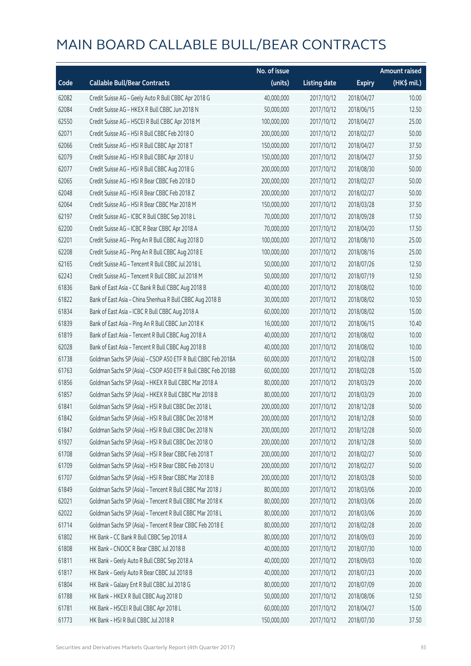|       |                                                              | No. of issue |                     |               | <b>Amount raised</b> |
|-------|--------------------------------------------------------------|--------------|---------------------|---------------|----------------------|
| Code  | <b>Callable Bull/Bear Contracts</b>                          | (units)      | <b>Listing date</b> | <b>Expiry</b> | (HK\$ mil.)          |
| 62082 | Credit Suisse AG - Geely Auto R Bull CBBC Apr 2018 G         | 40,000,000   | 2017/10/12          | 2018/04/27    | 10.00                |
| 62084 | Credit Suisse AG - HKEX R Bull CBBC Jun 2018 N               | 50,000,000   | 2017/10/12          | 2018/06/15    | 12.50                |
| 62550 | Credit Suisse AG - HSCEI R Bull CBBC Apr 2018 M              | 100,000,000  | 2017/10/12          | 2018/04/27    | 25.00                |
| 62071 | Credit Suisse AG - HSI R Bull CBBC Feb 2018 O                | 200,000,000  | 2017/10/12          | 2018/02/27    | 50.00                |
| 62066 | Credit Suisse AG - HSI R Bull CBBC Apr 2018 T                | 150,000,000  | 2017/10/12          | 2018/04/27    | 37.50                |
| 62079 | Credit Suisse AG - HSI R Bull CBBC Apr 2018 U                | 150,000,000  | 2017/10/12          | 2018/04/27    | 37.50                |
| 62077 | Credit Suisse AG - HSI R Bull CBBC Aug 2018 G                | 200,000,000  | 2017/10/12          | 2018/08/30    | 50.00                |
| 62065 | Credit Suisse AG - HSI R Bear CBBC Feb 2018 D                | 200,000,000  | 2017/10/12          | 2018/02/27    | 50.00                |
| 62048 | Credit Suisse AG - HSI R Bear CBBC Feb 2018 Z                | 200,000,000  | 2017/10/12          | 2018/02/27    | 50.00                |
| 62064 | Credit Suisse AG - HSI R Bear CBBC Mar 2018 M                | 150,000,000  | 2017/10/12          | 2018/03/28    | 37.50                |
| 62197 | Credit Suisse AG - ICBC R Bull CBBC Sep 2018 L               | 70,000,000   | 2017/10/12          | 2018/09/28    | 17.50                |
| 62200 | Credit Suisse AG - ICBC R Bear CBBC Apr 2018 A               | 70,000,000   | 2017/10/12          | 2018/04/20    | 17.50                |
| 62201 | Credit Suisse AG - Ping An R Bull CBBC Aug 2018 D            | 100,000,000  | 2017/10/12          | 2018/08/10    | 25.00                |
| 62208 | Credit Suisse AG - Ping An R Bull CBBC Aug 2018 E            | 100,000,000  | 2017/10/12          | 2018/08/16    | 25.00                |
| 62165 | Credit Suisse AG - Tencent R Bull CBBC Jul 2018 L            | 50,000,000   | 2017/10/12          | 2018/07/26    | 12.50                |
| 62243 | Credit Suisse AG - Tencent R Bull CBBC Jul 2018 M            | 50,000,000   | 2017/10/12          | 2018/07/19    | 12.50                |
| 61836 | Bank of East Asia - CC Bank R Bull CBBC Aug 2018 B           | 40,000,000   | 2017/10/12          | 2018/08/02    | 10.00                |
| 61822 | Bank of East Asia - China Shenhua R Bull CBBC Aug 2018 B     | 30,000,000   | 2017/10/12          | 2018/08/02    | 10.50                |
| 61834 | Bank of East Asia - ICBC R Bull CBBC Aug 2018 A              | 60,000,000   | 2017/10/12          | 2018/08/02    | 15.00                |
| 61839 | Bank of East Asia - Ping An R Bull CBBC Jun 2018 K           | 16,000,000   | 2017/10/12          | 2018/06/15    | 10.40                |
| 61819 | Bank of East Asia - Tencent R Bull CBBC Aug 2018 A           | 40,000,000   | 2017/10/12          | 2018/08/02    | 10.00                |
| 62028 | Bank of East Asia - Tencent R Bull CBBC Aug 2018 B           | 40,000,000   | 2017/10/12          | 2018/08/02    | 10.00                |
| 61738 | Goldman Sachs SP (Asia) - CSOP A50 ETF R Bull CBBC Feb 2018A | 60,000,000   | 2017/10/12          | 2018/02/28    | 15.00                |
| 61763 | Goldman Sachs SP (Asia) - CSOP A50 ETF R Bull CBBC Feb 2018B | 60,000,000   | 2017/10/12          | 2018/02/28    | 15.00                |
| 61856 | Goldman Sachs SP (Asia) - HKEX R Bull CBBC Mar 2018 A        | 80,000,000   | 2017/10/12          | 2018/03/29    | 20.00                |
| 61857 | Goldman Sachs SP (Asia) - HKEX R Bull CBBC Mar 2018 B        | 80,000,000   | 2017/10/12          | 2018/03/29    | 20.00                |
| 61841 | Goldman Sachs SP (Asia) - HSI R Bull CBBC Dec 2018 L         | 200,000,000  | 2017/10/12          | 2018/12/28    | 50.00                |
| 61842 | Goldman Sachs SP (Asia) - HSI R Bull CBBC Dec 2018 M         | 200,000,000  | 2017/10/12          | 2018/12/28    | 50.00                |
| 61847 | Goldman Sachs SP (Asia) - HSI R Bull CBBC Dec 2018 N         | 200,000,000  | 2017/10/12          | 2018/12/28    | 50.00                |
| 61927 | Goldman Sachs SP (Asia) - HSI R Bull CBBC Dec 2018 O         | 200,000,000  | 2017/10/12          | 2018/12/28    | 50.00                |
| 61708 | Goldman Sachs SP (Asia) - HSI R Bear CBBC Feb 2018 T         | 200,000,000  | 2017/10/12          | 2018/02/27    | 50.00                |
| 61709 | Goldman Sachs SP (Asia) - HSI R Bear CBBC Feb 2018 U         | 200,000,000  | 2017/10/12          | 2018/02/27    | 50.00                |
| 61707 | Goldman Sachs SP (Asia) - HSI R Bear CBBC Mar 2018 B         | 200,000,000  | 2017/10/12          | 2018/03/28    | 50.00                |
| 61849 | Goldman Sachs SP (Asia) - Tencent R Bull CBBC Mar 2018 J     | 80,000,000   | 2017/10/12          | 2018/03/06    | 20.00                |
| 62021 | Goldman Sachs SP (Asia) - Tencent R Bull CBBC Mar 2018 K     | 80,000,000   | 2017/10/12          | 2018/03/06    | 20.00                |
| 62022 | Goldman Sachs SP (Asia) - Tencent R Bull CBBC Mar 2018 L     | 80,000,000   | 2017/10/12          | 2018/03/06    | 20.00                |
| 61714 | Goldman Sachs SP (Asia) - Tencent R Bear CBBC Feb 2018 E     | 80,000,000   | 2017/10/12          | 2018/02/28    | 20.00                |
| 61802 | HK Bank - CC Bank R Bull CBBC Sep 2018 A                     | 80,000,000   | 2017/10/12          | 2018/09/03    | 20.00                |
| 61808 | HK Bank - CNOOC R Bear CBBC Jul 2018 B                       | 40,000,000   | 2017/10/12          | 2018/07/30    | 10.00                |
| 61811 | HK Bank - Geely Auto R Bull CBBC Sep 2018 A                  | 40,000,000   | 2017/10/12          | 2018/09/03    | 10.00                |
| 61817 | HK Bank - Geely Auto R Bear CBBC Jul 2018 B                  | 40,000,000   | 2017/10/12          | 2018/07/23    | 20.00                |
| 61804 | HK Bank - Galaxy Ent R Bull CBBC Jul 2018 G                  | 80,000,000   | 2017/10/12          | 2018/07/09    | 20.00                |
| 61788 | HK Bank - HKEX R Bull CBBC Aug 2018 D                        | 50,000,000   | 2017/10/12          | 2018/08/06    | 12.50                |
| 61781 | HK Bank - HSCEI R Bull CBBC Apr 2018 L                       | 60,000,000   | 2017/10/12          | 2018/04/27    | 15.00                |
| 61773 | HK Bank - HSI R Bull CBBC Jul 2018 R                         | 150,000,000  | 2017/10/12          | 2018/07/30    | 37.50                |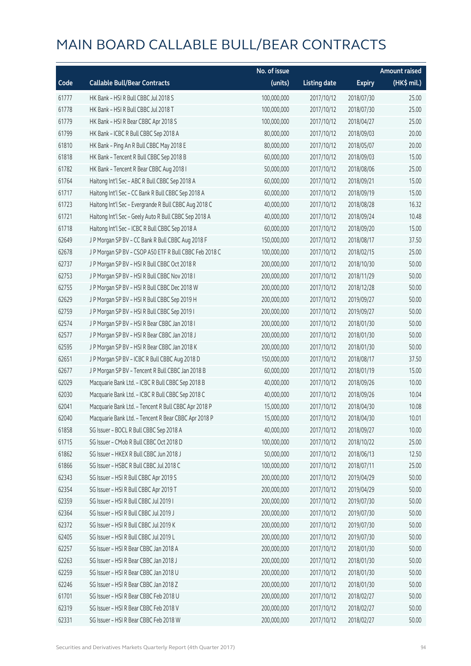|       |                                                        | No. of issue |                     |               | <b>Amount raised</b> |
|-------|--------------------------------------------------------|--------------|---------------------|---------------|----------------------|
| Code  | <b>Callable Bull/Bear Contracts</b>                    | (units)      | <b>Listing date</b> | <b>Expiry</b> | (HK\$ mil.)          |
| 61777 | HK Bank - HSI R Bull CBBC Jul 2018 S                   | 100,000,000  | 2017/10/12          | 2018/07/30    | 25.00                |
| 61778 | HK Bank - HSI R Bull CBBC Jul 2018 T                   | 100,000,000  | 2017/10/12          | 2018/07/30    | 25.00                |
| 61779 | HK Bank - HSI R Bear CBBC Apr 2018 S                   | 100,000,000  | 2017/10/12          | 2018/04/27    | 25.00                |
| 61799 | HK Bank - ICBC R Bull CBBC Sep 2018 A                  | 80,000,000   | 2017/10/12          | 2018/09/03    | 20.00                |
| 61810 | HK Bank - Ping An R Bull CBBC May 2018 E               | 80,000,000   | 2017/10/12          | 2018/05/07    | 20.00                |
| 61818 | HK Bank - Tencent R Bull CBBC Sep 2018 B               | 60,000,000   | 2017/10/12          | 2018/09/03    | 15.00                |
| 61782 | HK Bank - Tencent R Bear CBBC Aug 2018 I               | 50,000,000   | 2017/10/12          | 2018/08/06    | 25.00                |
| 61764 | Haitong Int'l Sec - ABC R Bull CBBC Sep 2018 A         | 60,000,000   | 2017/10/12          | 2018/09/21    | 15.00                |
| 61717 | Haitong Int'l Sec - CC Bank R Bull CBBC Sep 2018 A     | 60,000,000   | 2017/10/12          | 2018/09/19    | 15.00                |
| 61723 | Haitong Int'l Sec - Evergrande R Bull CBBC Aug 2018 C  | 40,000,000   | 2017/10/12          | 2018/08/28    | 16.32                |
| 61721 | Haitong Int'l Sec - Geely Auto R Bull CBBC Sep 2018 A  | 40,000,000   | 2017/10/12          | 2018/09/24    | 10.48                |
| 61718 | Haitong Int'l Sec - ICBC R Bull CBBC Sep 2018 A        | 60,000,000   | 2017/10/12          | 2018/09/20    | 15.00                |
| 62649 | J P Morgan SP BV - CC Bank R Bull CBBC Aug 2018 F      | 150,000,000  | 2017/10/12          | 2018/08/17    | 37.50                |
| 62678 | J P Morgan SP BV - CSOP A50 ETF R Bull CBBC Feb 2018 C | 100,000,000  | 2017/10/12          | 2018/02/15    | 25.00                |
| 62737 | J P Morgan SP BV - HSI R Bull CBBC Oct 2018 R          | 200,000,000  | 2017/10/12          | 2018/10/30    | 50.00                |
| 62753 | J P Morgan SP BV - HSI R Bull CBBC Nov 2018 I          | 200,000,000  | 2017/10/12          | 2018/11/29    | 50.00                |
| 62755 | J P Morgan SP BV - HSI R Bull CBBC Dec 2018 W          | 200,000,000  | 2017/10/12          | 2018/12/28    | 50.00                |
| 62629 | J P Morgan SP BV - HSI R Bull CBBC Sep 2019 H          | 200,000,000  | 2017/10/12          | 2019/09/27    | 50.00                |
| 62759 | J P Morgan SP BV - HSI R Bull CBBC Sep 2019 I          | 200,000,000  | 2017/10/12          | 2019/09/27    | 50.00                |
| 62574 | J P Morgan SP BV - HSI R Bear CBBC Jan 2018 I          | 200,000,000  | 2017/10/12          | 2018/01/30    | 50.00                |
| 62577 | J P Morgan SP BV - HSI R Bear CBBC Jan 2018 J          | 200,000,000  | 2017/10/12          | 2018/01/30    | 50.00                |
| 62595 | J P Morgan SP BV - HSI R Bear CBBC Jan 2018 K          | 200,000,000  | 2017/10/12          | 2018/01/30    | 50.00                |
| 62651 | J P Morgan SP BV - ICBC R Bull CBBC Aug 2018 D         | 150,000,000  | 2017/10/12          | 2018/08/17    | 37.50                |
| 62677 | J P Morgan SP BV - Tencent R Bull CBBC Jan 2018 B      | 60,000,000   | 2017/10/12          | 2018/01/19    | 15.00                |
| 62029 | Macquarie Bank Ltd. - ICBC R Bull CBBC Sep 2018 B      | 40,000,000   | 2017/10/12          | 2018/09/26    | 10.00                |
| 62030 | Macquarie Bank Ltd. - ICBC R Bull CBBC Sep 2018 C      | 40,000,000   | 2017/10/12          | 2018/09/26    | 10.04                |
| 62041 | Macquarie Bank Ltd. - Tencent R Bull CBBC Apr 2018 P   | 15,000,000   | 2017/10/12          | 2018/04/30    | 10.08                |
| 62040 | Macquarie Bank Ltd. - Tencent R Bear CBBC Apr 2018 P   | 15,000,000   | 2017/10/12          | 2018/04/30    | 10.01                |
| 61858 | SG Issuer - BOCL R Bull CBBC Sep 2018 A                | 40,000,000   | 2017/10/12          | 2018/09/27    | 10.00                |
| 61715 | SG Issuer - CMob R Bull CBBC Oct 2018 D                | 100,000,000  | 2017/10/12          | 2018/10/22    | 25.00                |
| 61862 | SG Issuer - HKEX R Bull CBBC Jun 2018 J                | 50,000,000   | 2017/10/12          | 2018/06/13    | 12.50                |
| 61866 | SG Issuer - HSBC R Bull CBBC Jul 2018 C                | 100,000,000  | 2017/10/12          | 2018/07/11    | 25.00                |
| 62343 | SG Issuer - HSI R Bull CBBC Apr 2019 S                 | 200,000,000  | 2017/10/12          | 2019/04/29    | 50.00                |
| 62354 | SG Issuer - HSI R Bull CBBC Apr 2019 T                 | 200,000,000  | 2017/10/12          | 2019/04/29    | 50.00                |
| 62359 | SG Issuer - HSI R Bull CBBC Jul 2019 I                 | 200,000,000  | 2017/10/12          | 2019/07/30    | 50.00                |
| 62364 | SG Issuer - HSI R Bull CBBC Jul 2019 J                 | 200,000,000  | 2017/10/12          | 2019/07/30    | 50.00                |
| 62372 | SG Issuer - HSI R Bull CBBC Jul 2019 K                 | 200,000,000  | 2017/10/12          | 2019/07/30    | 50.00                |
| 62405 | SG Issuer - HSI R Bull CBBC Jul 2019 L                 | 200,000,000  | 2017/10/12          | 2019/07/30    | 50.00                |
| 62257 | SG Issuer - HSI R Bear CBBC Jan 2018 A                 | 200,000,000  | 2017/10/12          | 2018/01/30    | 50.00                |
| 62263 | SG Issuer - HSI R Bear CBBC Jan 2018 J                 | 200,000,000  | 2017/10/12          | 2018/01/30    | 50.00                |
| 62259 | SG Issuer - HSI R Bear CBBC Jan 2018 U                 | 200,000,000  | 2017/10/12          | 2018/01/30    | 50.00                |
| 62246 | SG Issuer - HSI R Bear CBBC Jan 2018 Z                 | 200,000,000  | 2017/10/12          | 2018/01/30    | 50.00                |
| 61701 | SG Issuer - HSI R Bear CBBC Feb 2018 U                 | 200,000,000  | 2017/10/12          | 2018/02/27    | 50.00                |
| 62319 | SG Issuer - HSI R Bear CBBC Feb 2018 V                 | 200,000,000  | 2017/10/12          | 2018/02/27    | 50.00                |
| 62331 | SG Issuer - HSI R Bear CBBC Feb 2018 W                 | 200,000,000  | 2017/10/12          | 2018/02/27    | 50.00                |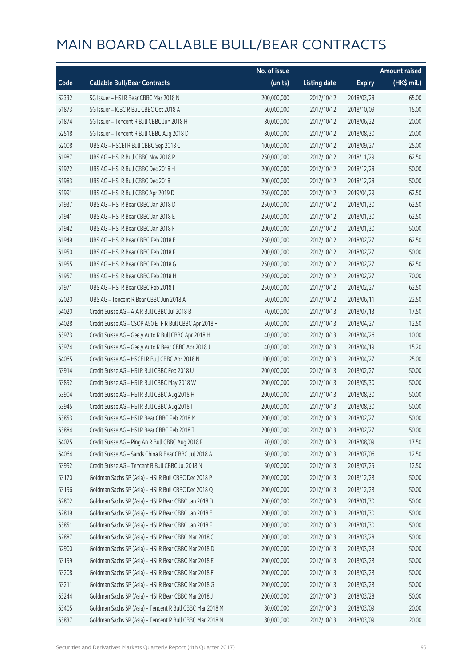|       |                                                          | No. of issue |                     |               | <b>Amount raised</b> |
|-------|----------------------------------------------------------|--------------|---------------------|---------------|----------------------|
| Code  | <b>Callable Bull/Bear Contracts</b>                      | (units)      | <b>Listing date</b> | <b>Expiry</b> | (HK\$ mil.)          |
| 62332 | SG Issuer - HSI R Bear CBBC Mar 2018 N                   | 200,000,000  | 2017/10/12          | 2018/03/28    | 65.00                |
| 61873 | SG Issuer - ICBC R Bull CBBC Oct 2018 A                  | 60,000,000   | 2017/10/12          | 2018/10/09    | 15.00                |
| 61874 | SG Issuer - Tencent R Bull CBBC Jun 2018 H               | 80,000,000   | 2017/10/12          | 2018/06/22    | 20.00                |
| 62518 | SG Issuer - Tencent R Bull CBBC Aug 2018 D               | 80,000,000   | 2017/10/12          | 2018/08/30    | 20.00                |
| 62008 | UBS AG - HSCEI R Bull CBBC Sep 2018 C                    | 100,000,000  | 2017/10/12          | 2018/09/27    | 25.00                |
| 61987 | UBS AG - HSI R Bull CBBC Nov 2018 P                      | 250,000,000  | 2017/10/12          | 2018/11/29    | 62.50                |
| 61972 | UBS AG - HSI R Bull CBBC Dec 2018 H                      | 200,000,000  | 2017/10/12          | 2018/12/28    | 50.00                |
| 61983 | UBS AG - HSI R Bull CBBC Dec 2018 I                      | 200,000,000  | 2017/10/12          | 2018/12/28    | 50.00                |
| 61991 | UBS AG - HSI R Bull CBBC Apr 2019 D                      | 250,000,000  | 2017/10/12          | 2019/04/29    | 62.50                |
| 61937 | UBS AG - HSI R Bear CBBC Jan 2018 D                      | 250,000,000  | 2017/10/12          | 2018/01/30    | 62.50                |
| 61941 | UBS AG - HSI R Bear CBBC Jan 2018 E                      | 250,000,000  | 2017/10/12          | 2018/01/30    | 62.50                |
| 61942 | UBS AG - HSI R Bear CBBC Jan 2018 F                      | 200,000,000  | 2017/10/12          | 2018/01/30    | 50.00                |
| 61949 | UBS AG - HSI R Bear CBBC Feb 2018 E                      | 250,000,000  | 2017/10/12          | 2018/02/27    | 62.50                |
| 61950 | UBS AG - HSI R Bear CBBC Feb 2018 F                      | 200,000,000  | 2017/10/12          | 2018/02/27    | 50.00                |
| 61955 | UBS AG - HSI R Bear CBBC Feb 2018 G                      | 250,000,000  | 2017/10/12          | 2018/02/27    | 62.50                |
| 61957 | UBS AG - HSI R Bear CBBC Feb 2018 H                      | 250,000,000  | 2017/10/12          | 2018/02/27    | 70.00                |
| 61971 | UBS AG - HSI R Bear CBBC Feb 2018 I                      | 250,000,000  | 2017/10/12          | 2018/02/27    | 62.50                |
| 62020 | UBS AG - Tencent R Bear CBBC Jun 2018 A                  | 50,000,000   | 2017/10/12          | 2018/06/11    | 22.50                |
| 64020 | Credit Suisse AG - AIA R Bull CBBC Jul 2018 B            | 70,000,000   | 2017/10/13          | 2018/07/13    | 17.50                |
| 64028 | Credit Suisse AG - CSOP A50 ETF R Bull CBBC Apr 2018 F   | 50,000,000   | 2017/10/13          | 2018/04/27    | 12.50                |
| 63973 | Credit Suisse AG - Geely Auto R Bull CBBC Apr 2018 H     | 40,000,000   | 2017/10/13          | 2018/04/26    | 10.00                |
| 63974 | Credit Suisse AG - Geely Auto R Bear CBBC Apr 2018 J     | 40,000,000   | 2017/10/13          | 2018/04/19    | 15.20                |
| 64065 | Credit Suisse AG - HSCEI R Bull CBBC Apr 2018 N          | 100,000,000  | 2017/10/13          | 2018/04/27    | 25.00                |
| 63914 | Credit Suisse AG - HSI R Bull CBBC Feb 2018 U            | 200,000,000  | 2017/10/13          | 2018/02/27    | 50.00                |
| 63892 | Credit Suisse AG - HSI R Bull CBBC May 2018 W            | 200,000,000  | 2017/10/13          | 2018/05/30    | 50.00                |
| 63904 | Credit Suisse AG - HSI R Bull CBBC Aug 2018 H            | 200,000,000  | 2017/10/13          | 2018/08/30    | 50.00                |
| 63945 | Credit Suisse AG - HSI R Bull CBBC Aug 2018 I            | 200,000,000  | 2017/10/13          | 2018/08/30    | 50.00                |
| 63853 | Credit Suisse AG - HSI R Bear CBBC Feb 2018 M            | 200,000,000  | 2017/10/13          | 2018/02/27    | 50.00                |
| 63884 | Credit Suisse AG - HSI R Bear CBBC Feb 2018 T            | 200,000,000  | 2017/10/13          | 2018/02/27    | 50.00                |
| 64025 | Credit Suisse AG - Ping An R Bull CBBC Aug 2018 F        | 70,000,000   | 2017/10/13          | 2018/08/09    | 17.50                |
| 64064 | Credit Suisse AG - Sands China R Bear CBBC Jul 2018 A    | 50,000,000   | 2017/10/13          | 2018/07/06    | 12.50                |
| 63992 | Credit Suisse AG - Tencent R Bull CBBC Jul 2018 N        | 50,000,000   | 2017/10/13          | 2018/07/25    | 12.50                |
| 63170 | Goldman Sachs SP (Asia) - HSI R Bull CBBC Dec 2018 P     | 200,000,000  | 2017/10/13          | 2018/12/28    | 50.00                |
| 63196 | Goldman Sachs SP (Asia) - HSI R Bull CBBC Dec 2018 Q     | 200,000,000  | 2017/10/13          | 2018/12/28    | 50.00                |
| 62802 | Goldman Sachs SP (Asia) - HSI R Bear CBBC Jan 2018 D     | 200,000,000  | 2017/10/13          | 2018/01/30    | 50.00                |
| 62819 | Goldman Sachs SP (Asia) - HSI R Bear CBBC Jan 2018 E     | 200,000,000  | 2017/10/13          | 2018/01/30    | 50.00                |
| 63851 | Goldman Sachs SP (Asia) - HSI R Bear CBBC Jan 2018 F     | 200,000,000  | 2017/10/13          | 2018/01/30    | 50.00                |
| 62887 | Goldman Sachs SP (Asia) - HSI R Bear CBBC Mar 2018 C     | 200,000,000  | 2017/10/13          | 2018/03/28    | 50.00                |
| 62900 | Goldman Sachs SP (Asia) - HSI R Bear CBBC Mar 2018 D     | 200,000,000  | 2017/10/13          | 2018/03/28    | 50.00                |
| 63199 | Goldman Sachs SP (Asia) - HSI R Bear CBBC Mar 2018 E     | 200,000,000  | 2017/10/13          | 2018/03/28    | 50.00                |
| 63208 | Goldman Sachs SP (Asia) - HSI R Bear CBBC Mar 2018 F     | 200,000,000  | 2017/10/13          | 2018/03/28    | 50.00                |
| 63211 | Goldman Sachs SP (Asia) - HSI R Bear CBBC Mar 2018 G     | 200,000,000  | 2017/10/13          | 2018/03/28    | 50.00                |
| 63244 | Goldman Sachs SP (Asia) - HSI R Bear CBBC Mar 2018 J     | 200,000,000  | 2017/10/13          | 2018/03/28    | 50.00                |
| 63405 | Goldman Sachs SP (Asia) - Tencent R Bull CBBC Mar 2018 M | 80,000,000   | 2017/10/13          | 2018/03/09    | 20.00                |
| 63837 | Goldman Sachs SP (Asia) - Tencent R Bull CBBC Mar 2018 N | 80,000,000   | 2017/10/13          | 2018/03/09    | 20.00                |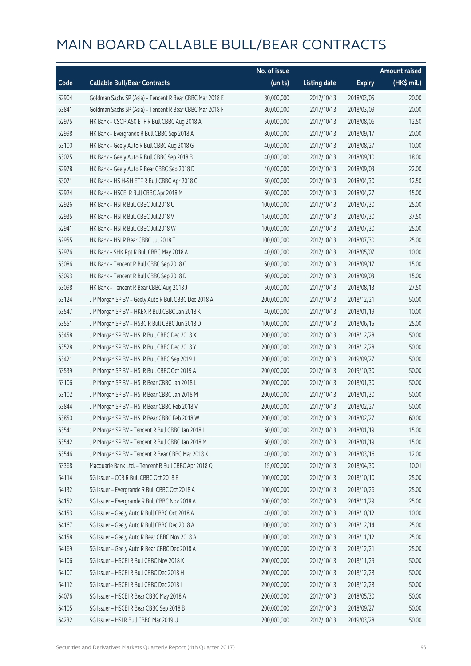|       |                                                          | No. of issue |                     |               | <b>Amount raised</b> |
|-------|----------------------------------------------------------|--------------|---------------------|---------------|----------------------|
| Code  | <b>Callable Bull/Bear Contracts</b>                      | (units)      | <b>Listing date</b> | <b>Expiry</b> | (HK\$ mil.)          |
| 62904 | Goldman Sachs SP (Asia) - Tencent R Bear CBBC Mar 2018 E | 80,000,000   | 2017/10/13          | 2018/03/05    | 20.00                |
| 63841 | Goldman Sachs SP (Asia) - Tencent R Bear CBBC Mar 2018 F | 80,000,000   | 2017/10/13          | 2018/03/09    | 20.00                |
| 62975 | HK Bank - CSOP A50 ETF R Bull CBBC Aug 2018 A            | 50,000,000   | 2017/10/13          | 2018/08/06    | 12.50                |
| 62998 | HK Bank - Evergrande R Bull CBBC Sep 2018 A              | 80,000,000   | 2017/10/13          | 2018/09/17    | 20.00                |
| 63100 | HK Bank - Geely Auto R Bull CBBC Aug 2018 G              | 40,000,000   | 2017/10/13          | 2018/08/27    | 10.00                |
| 63025 | HK Bank - Geely Auto R Bull CBBC Sep 2018 B              | 40,000,000   | 2017/10/13          | 2018/09/10    | 18.00                |
| 62978 | HK Bank - Geely Auto R Bear CBBC Sep 2018 D              | 40,000,000   | 2017/10/13          | 2018/09/03    | 22.00                |
| 63071 | HK Bank - HS H-SH ETF R Bull CBBC Apr 2018 C             | 50,000,000   | 2017/10/13          | 2018/04/30    | 12.50                |
| 62924 | HK Bank - HSCEI R Bull CBBC Apr 2018 M                   | 60,000,000   | 2017/10/13          | 2018/04/27    | 15.00                |
| 62926 | HK Bank - HSI R Bull CBBC Jul 2018 U                     | 100,000,000  | 2017/10/13          | 2018/07/30    | 25.00                |
| 62935 | HK Bank - HSI R Bull CBBC Jul 2018 V                     | 150,000,000  | 2017/10/13          | 2018/07/30    | 37.50                |
| 62941 | HK Bank - HSI R Bull CBBC Jul 2018 W                     | 100,000,000  | 2017/10/13          | 2018/07/30    | 25.00                |
| 62955 | HK Bank - HSI R Bear CBBC Jul 2018 T                     | 100,000,000  | 2017/10/13          | 2018/07/30    | 25.00                |
| 62976 | HK Bank - SHK Ppt R Bull CBBC May 2018 A                 | 40,000,000   | 2017/10/13          | 2018/05/07    | 10.00                |
| 63086 | HK Bank - Tencent R Bull CBBC Sep 2018 C                 | 60,000,000   | 2017/10/13          | 2018/09/17    | 15.00                |
| 63093 | HK Bank - Tencent R Bull CBBC Sep 2018 D                 | 60,000,000   | 2017/10/13          | 2018/09/03    | 15.00                |
| 63098 | HK Bank - Tencent R Bear CBBC Aug 2018 J                 | 50,000,000   | 2017/10/13          | 2018/08/13    | 27.50                |
| 63124 | J P Morgan SP BV - Geely Auto R Bull CBBC Dec 2018 A     | 200,000,000  | 2017/10/13          | 2018/12/21    | 50.00                |
| 63547 | J P Morgan SP BV - HKEX R Bull CBBC Jan 2018 K           | 40,000,000   | 2017/10/13          | 2018/01/19    | 10.00                |
| 63551 | J P Morgan SP BV - HSBC R Bull CBBC Jun 2018 D           | 100,000,000  | 2017/10/13          | 2018/06/15    | 25.00                |
| 63458 | J P Morgan SP BV - HSI R Bull CBBC Dec 2018 X            | 200,000,000  | 2017/10/13          | 2018/12/28    | 50.00                |
| 63528 | J P Morgan SP BV - HSI R Bull CBBC Dec 2018 Y            | 200,000,000  | 2017/10/13          | 2018/12/28    | 50.00                |
| 63421 | J P Morgan SP BV - HSI R Bull CBBC Sep 2019 J            | 200,000,000  | 2017/10/13          | 2019/09/27    | 50.00                |
| 63539 | J P Morgan SP BV - HSI R Bull CBBC Oct 2019 A            | 200,000,000  | 2017/10/13          | 2019/10/30    | 50.00                |
| 63106 | J P Morgan SP BV - HSI R Bear CBBC Jan 2018 L            | 200,000,000  | 2017/10/13          | 2018/01/30    | 50.00                |
| 63102 | J P Morgan SP BV - HSI R Bear CBBC Jan 2018 M            | 200,000,000  | 2017/10/13          | 2018/01/30    | 50.00                |
| 63844 | J P Morgan SP BV - HSI R Bear CBBC Feb 2018 V            | 200,000,000  | 2017/10/13          | 2018/02/27    | 50.00                |
| 63850 | J P Morgan SP BV - HSI R Bear CBBC Feb 2018 W            | 200,000,000  | 2017/10/13          | 2018/02/27    | 60.00                |
| 63541 | JP Morgan SP BV - Tencent R Bull CBBC Jan 2018 I         | 60,000,000   | 2017/10/13          | 2018/01/19    | 15.00                |
| 63542 | J P Morgan SP BV - Tencent R Bull CBBC Jan 2018 M        | 60,000,000   | 2017/10/13          | 2018/01/19    | 15.00                |
| 63546 | J P Morgan SP BV - Tencent R Bear CBBC Mar 2018 K        | 40,000,000   | 2017/10/13          | 2018/03/16    | 12.00                |
| 63368 | Macquarie Bank Ltd. - Tencent R Bull CBBC Apr 2018 Q     | 15,000,000   | 2017/10/13          | 2018/04/30    | 10.01                |
| 64114 | SG Issuer - CCB R Bull CBBC Oct 2018 B                   | 100,000,000  | 2017/10/13          | 2018/10/10    | 25.00                |
| 64132 | SG Issuer - Evergrande R Bull CBBC Oct 2018 A            | 100,000,000  | 2017/10/13          | 2018/10/26    | 25.00                |
| 64152 | SG Issuer - Evergrande R Bull CBBC Nov 2018 A            | 100,000,000  | 2017/10/13          | 2018/11/29    | 25.00                |
| 64153 | SG Issuer - Geely Auto R Bull CBBC Oct 2018 A            | 40,000,000   | 2017/10/13          | 2018/10/12    | 10.00                |
| 64167 | SG Issuer - Geely Auto R Bull CBBC Dec 2018 A            | 100,000,000  | 2017/10/13          | 2018/12/14    | 25.00                |
| 64158 | SG Issuer - Geely Auto R Bear CBBC Nov 2018 A            | 100,000,000  | 2017/10/13          | 2018/11/12    | 25.00                |
| 64169 | SG Issuer - Geely Auto R Bear CBBC Dec 2018 A            | 100,000,000  | 2017/10/13          | 2018/12/21    | 25.00                |
| 64106 | SG Issuer - HSCEI R Bull CBBC Nov 2018 K                 | 200,000,000  | 2017/10/13          | 2018/11/29    | 50.00                |
| 64107 | SG Issuer - HSCEI R Bull CBBC Dec 2018 H                 | 200,000,000  | 2017/10/13          | 2018/12/28    | 50.00                |
| 64112 | SG Issuer - HSCEI R Bull CBBC Dec 2018 I                 | 200,000,000  | 2017/10/13          | 2018/12/28    | 50.00                |
| 64076 | SG Issuer - HSCEI R Bear CBBC May 2018 A                 | 200,000,000  | 2017/10/13          | 2018/05/30    | 50.00                |
| 64105 | SG Issuer - HSCEI R Bear CBBC Sep 2018 B                 | 200,000,000  | 2017/10/13          | 2018/09/27    | 50.00                |
| 64232 | SG Issuer - HSI R Bull CBBC Mar 2019 U                   | 200,000,000  | 2017/10/13          | 2019/03/28    | 50.00                |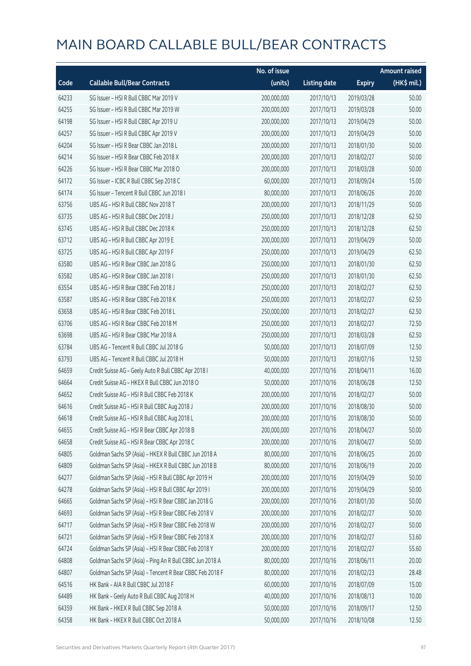|       |                                                          | No. of issue |                     |               | <b>Amount raised</b> |
|-------|----------------------------------------------------------|--------------|---------------------|---------------|----------------------|
| Code  | <b>Callable Bull/Bear Contracts</b>                      | (units)      | <b>Listing date</b> | <b>Expiry</b> | (HK\$ mil.)          |
| 64233 | SG Issuer - HSI R Bull CBBC Mar 2019 V                   | 200,000,000  | 2017/10/13          | 2019/03/28    | 50.00                |
| 64255 | SG Issuer - HSI R Bull CBBC Mar 2019 W                   | 200,000,000  | 2017/10/13          | 2019/03/28    | 50.00                |
| 64198 | SG Issuer - HSI R Bull CBBC Apr 2019 U                   | 200,000,000  | 2017/10/13          | 2019/04/29    | 50.00                |
| 64257 | SG Issuer - HSI R Bull CBBC Apr 2019 V                   | 200,000,000  | 2017/10/13          | 2019/04/29    | 50.00                |
| 64204 | SG Issuer - HSI R Bear CBBC Jan 2018 L                   | 200,000,000  | 2017/10/13          | 2018/01/30    | 50.00                |
| 64214 | SG Issuer - HSI R Bear CBBC Feb 2018 X                   | 200,000,000  | 2017/10/13          | 2018/02/27    | 50.00                |
| 64226 | SG Issuer - HSI R Bear CBBC Mar 2018 O                   | 200,000,000  | 2017/10/13          | 2018/03/28    | 50.00                |
| 64172 | SG Issuer - ICBC R Bull CBBC Sep 2018 C                  | 60,000,000   | 2017/10/13          | 2018/09/24    | 15.00                |
| 64174 | SG Issuer - Tencent R Bull CBBC Jun 2018 I               | 80,000,000   | 2017/10/13          | 2018/06/26    | 20.00                |
| 63756 | UBS AG - HSI R Bull CBBC Nov 2018 T                      | 200,000,000  | 2017/10/13          | 2018/11/29    | 50.00                |
| 63735 | UBS AG - HSI R Bull CBBC Dec 2018 J                      | 250,000,000  | 2017/10/13          | 2018/12/28    | 62.50                |
| 63745 | UBS AG - HSI R Bull CBBC Dec 2018 K                      | 250,000,000  | 2017/10/13          | 2018/12/28    | 62.50                |
| 63712 | UBS AG - HSI R Bull CBBC Apr 2019 E                      | 200,000,000  | 2017/10/13          | 2019/04/29    | 50.00                |
| 63725 | UBS AG - HSI R Bull CBBC Apr 2019 F                      | 250,000,000  | 2017/10/13          | 2019/04/29    | 62.50                |
| 63580 | UBS AG - HSI R Bear CBBC Jan 2018 G                      | 250,000,000  | 2017/10/13          | 2018/01/30    | 62.50                |
| 63582 | UBS AG - HSI R Bear CBBC Jan 2018 I                      | 250,000,000  | 2017/10/13          | 2018/01/30    | 62.50                |
| 63554 | UBS AG - HSI R Bear CBBC Feb 2018 J                      | 250,000,000  | 2017/10/13          | 2018/02/27    | 62.50                |
| 63587 | UBS AG - HSI R Bear CBBC Feb 2018 K                      | 250,000,000  | 2017/10/13          | 2018/02/27    | 62.50                |
| 63658 | UBS AG - HSI R Bear CBBC Feb 2018 L                      | 250,000,000  | 2017/10/13          | 2018/02/27    | 62.50                |
| 63706 | UBS AG - HSI R Bear CBBC Feb 2018 M                      | 250,000,000  | 2017/10/13          | 2018/02/27    | 72.50                |
| 63698 | UBS AG - HSI R Bear CBBC Mar 2018 A                      | 250,000,000  | 2017/10/13          | 2018/03/28    | 62.50                |
| 63784 | UBS AG - Tencent R Bull CBBC Jul 2018 G                  | 50,000,000   | 2017/10/13          | 2018/07/09    | 12.50                |
| 63793 | UBS AG - Tencent R Bull CBBC Jul 2018 H                  | 50,000,000   | 2017/10/13          | 2018/07/16    | 12.50                |
| 64659 | Credit Suisse AG - Geely Auto R Bull CBBC Apr 2018 I     | 40,000,000   | 2017/10/16          | 2018/04/11    | 16.00                |
| 64664 | Credit Suisse AG - HKEX R Bull CBBC Jun 2018 O           | 50,000,000   | 2017/10/16          | 2018/06/28    | 12.50                |
| 64652 | Credit Suisse AG - HSI R Bull CBBC Feb 2018 K            | 200,000,000  | 2017/10/16          | 2018/02/27    | 50.00                |
| 64616 | Credit Suisse AG - HSI R Bull CBBC Aug 2018 J            | 200,000,000  | 2017/10/16          | 2018/08/30    | 50.00                |
| 64618 | Credit Suisse AG - HSI R Bull CBBC Aug 2018 L            | 200,000,000  | 2017/10/16          | 2018/08/30    | 50.00                |
| 64655 | Credit Suisse AG - HSI R Bear CBBC Apr 2018 B            | 200,000,000  | 2017/10/16          | 2018/04/27    | 50.00                |
| 64658 | Credit Suisse AG - HSI R Bear CBBC Apr 2018 C            | 200,000,000  | 2017/10/16          | 2018/04/27    | 50.00                |
| 64805 | Goldman Sachs SP (Asia) - HKEX R Bull CBBC Jun 2018 A    | 80,000,000   | 2017/10/16          | 2018/06/25    | 20.00                |
| 64809 | Goldman Sachs SP (Asia) - HKEX R Bull CBBC Jun 2018 B    | 80,000,000   | 2017/10/16          | 2018/06/19    | 20.00                |
| 64277 | Goldman Sachs SP (Asia) - HSI R Bull CBBC Apr 2019 H     | 200,000,000  | 2017/10/16          | 2019/04/29    | 50.00                |
| 64278 | Goldman Sachs SP (Asia) - HSI R Bull CBBC Apr 2019 I     | 200,000,000  | 2017/10/16          | 2019/04/29    | 50.00                |
| 64665 | Goldman Sachs SP (Asia) - HSI R Bear CBBC Jan 2018 G     | 200,000,000  | 2017/10/16          | 2018/01/30    | 50.00                |
| 64693 | Goldman Sachs SP (Asia) - HSI R Bear CBBC Feb 2018 V     | 200,000,000  | 2017/10/16          | 2018/02/27    | 50.00                |
| 64717 | Goldman Sachs SP (Asia) - HSI R Bear CBBC Feb 2018 W     | 200,000,000  | 2017/10/16          | 2018/02/27    | 50.00                |
| 64721 | Goldman Sachs SP (Asia) - HSI R Bear CBBC Feb 2018 X     | 200,000,000  | 2017/10/16          | 2018/02/27    | 53.60                |
| 64724 | Goldman Sachs SP (Asia) - HSI R Bear CBBC Feb 2018 Y     | 200,000,000  | 2017/10/16          | 2018/02/27    | 55.60                |
| 64808 | Goldman Sachs SP (Asia) - Ping An R Bull CBBC Jun 2018 A | 80,000,000   | 2017/10/16          | 2018/06/11    | 20.00                |
| 64807 | Goldman Sachs SP (Asia) - Tencent R Bear CBBC Feb 2018 F | 80,000,000   | 2017/10/16          | 2018/02/23    | 28.48                |
| 64516 | HK Bank - AIA R Bull CBBC Jul 2018 F                     | 60,000,000   | 2017/10/16          | 2018/07/09    | 15.00                |
| 64489 | HK Bank - Geely Auto R Bull CBBC Aug 2018 H              | 40,000,000   | 2017/10/16          | 2018/08/13    | 10.00                |
| 64359 | HK Bank - HKEX R Bull CBBC Sep 2018 A                    | 50,000,000   | 2017/10/16          | 2018/09/17    | 12.50                |
| 64358 | HK Bank - HKEX R Bull CBBC Oct 2018 A                    | 50,000,000   | 2017/10/16          | 2018/10/08    | 12.50                |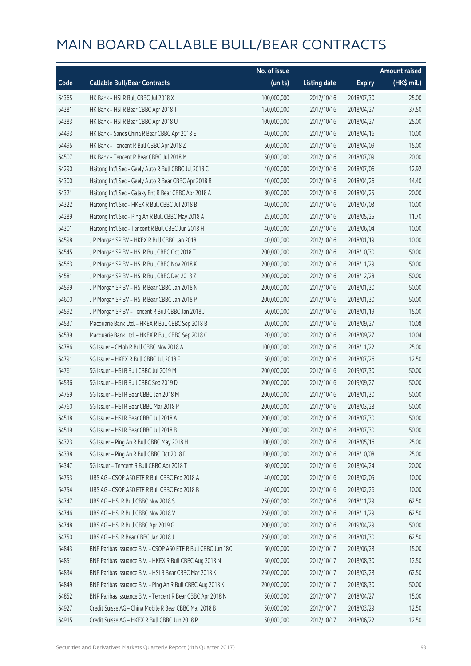|       |                                                              | No. of issue |                     |               | <b>Amount raised</b> |
|-------|--------------------------------------------------------------|--------------|---------------------|---------------|----------------------|
| Code  | <b>Callable Bull/Bear Contracts</b>                          | (units)      | <b>Listing date</b> | <b>Expiry</b> | (HK\$ mil.)          |
| 64365 | HK Bank - HSI R Bull CBBC Jul 2018 X                         | 100,000,000  | 2017/10/16          | 2018/07/30    | 25.00                |
| 64381 | HK Bank - HSI R Bear CBBC Apr 2018 T                         | 150,000,000  | 2017/10/16          | 2018/04/27    | 37.50                |
| 64383 | HK Bank - HSI R Bear CBBC Apr 2018 U                         | 100,000,000  | 2017/10/16          | 2018/04/27    | 25.00                |
| 64493 | HK Bank - Sands China R Bear CBBC Apr 2018 E                 | 40,000,000   | 2017/10/16          | 2018/04/16    | 10.00                |
| 64495 | HK Bank - Tencent R Bull CBBC Apr 2018 Z                     | 60,000,000   | 2017/10/16          | 2018/04/09    | 15.00                |
| 64507 | HK Bank - Tencent R Bear CBBC Jul 2018 M                     | 50,000,000   | 2017/10/16          | 2018/07/09    | 20.00                |
| 64290 | Haitong Int'l Sec - Geely Auto R Bull CBBC Jul 2018 C        | 40,000,000   | 2017/10/16          | 2018/07/06    | 12.92                |
| 64300 | Haitong Int'l Sec - Geely Auto R Bear CBBC Apr 2018 B        | 40,000,000   | 2017/10/16          | 2018/04/26    | 14.40                |
| 64321 | Haitong Int'l Sec - Galaxy Ent R Bear CBBC Apr 2018 A        | 80,000,000   | 2017/10/16          | 2018/04/25    | 20.00                |
| 64322 | Haitong Int'l Sec - HKEX R Bull CBBC Jul 2018 B              | 40,000,000   | 2017/10/16          | 2018/07/03    | 10.00                |
| 64289 | Haitong Int'l Sec - Ping An R Bull CBBC May 2018 A           | 25,000,000   | 2017/10/16          | 2018/05/25    | 11.70                |
| 64301 | Haitong Int'l Sec - Tencent R Bull CBBC Jun 2018 H           | 40,000,000   | 2017/10/16          | 2018/06/04    | 10.00                |
| 64598 | J P Morgan SP BV - HKEX R Bull CBBC Jan 2018 L               | 40,000,000   | 2017/10/16          | 2018/01/19    | 10.00                |
| 64545 | J P Morgan SP BV - HSI R Bull CBBC Oct 2018 T                | 200,000,000  | 2017/10/16          | 2018/10/30    | 50.00                |
| 64563 | J P Morgan SP BV - HSI R Bull CBBC Nov 2018 K                | 200,000,000  | 2017/10/16          | 2018/11/29    | 50.00                |
| 64581 | J P Morgan SP BV - HSI R Bull CBBC Dec 2018 Z                | 200,000,000  | 2017/10/16          | 2018/12/28    | 50.00                |
| 64599 | J P Morgan SP BV - HSI R Bear CBBC Jan 2018 N                | 200,000,000  | 2017/10/16          | 2018/01/30    | 50.00                |
| 64600 | J P Morgan SP BV - HSI R Bear CBBC Jan 2018 P                | 200,000,000  | 2017/10/16          | 2018/01/30    | 50.00                |
| 64592 | J P Morgan SP BV - Tencent R Bull CBBC Jan 2018 J            | 60,000,000   | 2017/10/16          | 2018/01/19    | 15.00                |
| 64537 | Macquarie Bank Ltd. - HKEX R Bull CBBC Sep 2018 B            | 20,000,000   | 2017/10/16          | 2018/09/27    | 10.08                |
| 64539 | Macquarie Bank Ltd. - HKEX R Bull CBBC Sep 2018 C            | 20,000,000   | 2017/10/16          | 2018/09/27    | 10.04                |
| 64786 | SG Issuer - CMob R Bull CBBC Nov 2018 A                      | 100,000,000  | 2017/10/16          | 2018/11/22    | 25.00                |
| 64791 | SG Issuer - HKEX R Bull CBBC Jul 2018 F                      | 50,000,000   | 2017/10/16          | 2018/07/26    | 12.50                |
| 64761 | SG Issuer - HSI R Bull CBBC Jul 2019 M                       | 200,000,000  | 2017/10/16          | 2019/07/30    | 50.00                |
| 64536 | SG Issuer - HSI R Bull CBBC Sep 2019 D                       | 200,000,000  | 2017/10/16          | 2019/09/27    | 50.00                |
| 64759 | SG Issuer - HSI R Bear CBBC Jan 2018 M                       | 200,000,000  | 2017/10/16          | 2018/01/30    | 50.00                |
| 64760 | SG Issuer - HSI R Bear CBBC Mar 2018 P                       | 200,000,000  | 2017/10/16          | 2018/03/28    | 50.00                |
| 64518 | SG Issuer - HSI R Bear CBBC Jul 2018 A                       | 200,000,000  | 2017/10/16          | 2018/07/30    | 50.00                |
| 64519 | SG Issuer - HSI R Bear CBBC Jul 2018 B                       | 200,000,000  | 2017/10/16          | 2018/07/30    | 50.00                |
| 64323 | SG Issuer - Ping An R Bull CBBC May 2018 H                   | 100,000,000  | 2017/10/16          | 2018/05/16    | 25.00                |
| 64338 | SG Issuer - Ping An R Bull CBBC Oct 2018 D                   | 100,000,000  | 2017/10/16          | 2018/10/08    | 25.00                |
| 64347 | SG Issuer - Tencent R Bull CBBC Apr 2018 T                   | 80,000,000   | 2017/10/16          | 2018/04/24    | 20.00                |
| 64753 | UBS AG - CSOP A50 ETF R Bull CBBC Feb 2018 A                 | 40,000,000   | 2017/10/16          | 2018/02/05    | 10.00                |
| 64754 | UBS AG - CSOP A50 ETF R Bull CBBC Feb 2018 B                 | 40,000,000   | 2017/10/16          | 2018/02/26    | 10.00                |
| 64747 | UBS AG - HSI R Bull CBBC Nov 2018 S                          | 250,000,000  | 2017/10/16          | 2018/11/29    | 62.50                |
| 64746 | UBS AG - HSI R Bull CBBC Nov 2018 V                          | 250,000,000  | 2017/10/16          | 2018/11/29    | 62.50                |
| 64748 | UBS AG - HSI R Bull CBBC Apr 2019 G                          | 200,000,000  | 2017/10/16          | 2019/04/29    | 50.00                |
| 64750 | UBS AG - HSI R Bear CBBC Jan 2018 J                          | 250,000,000  | 2017/10/16          | 2018/01/30    | 62.50                |
| 64843 | BNP Paribas Issuance B.V. - CSOP A50 ETF R Bull CBBC Jun 18C | 60,000,000   | 2017/10/17          | 2018/06/28    | 15.00                |
| 64851 | BNP Paribas Issuance B.V. - HKEX R Bull CBBC Aug 2018 N      | 50,000,000   | 2017/10/17          | 2018/08/30    | 12.50                |
| 64834 | BNP Paribas Issuance B.V. - HSI R Bear CBBC Mar 2018 K       | 250,000,000  | 2017/10/17          | 2018/03/28    | 62.50                |
| 64849 | BNP Paribas Issuance B.V. - Ping An R Bull CBBC Aug 2018 K   | 200,000,000  | 2017/10/17          | 2018/08/30    | 50.00                |
| 64852 | BNP Paribas Issuance B.V. - Tencent R Bear CBBC Apr 2018 N   | 50,000,000   | 2017/10/17          | 2018/04/27    | 15.00                |
| 64927 | Credit Suisse AG - China Mobile R Bear CBBC Mar 2018 B       | 50,000,000   | 2017/10/17          | 2018/03/29    | 12.50                |
| 64915 | Credit Suisse AG - HKEX R Bull CBBC Jun 2018 P               | 50,000,000   | 2017/10/17          | 2018/06/22    | 12.50                |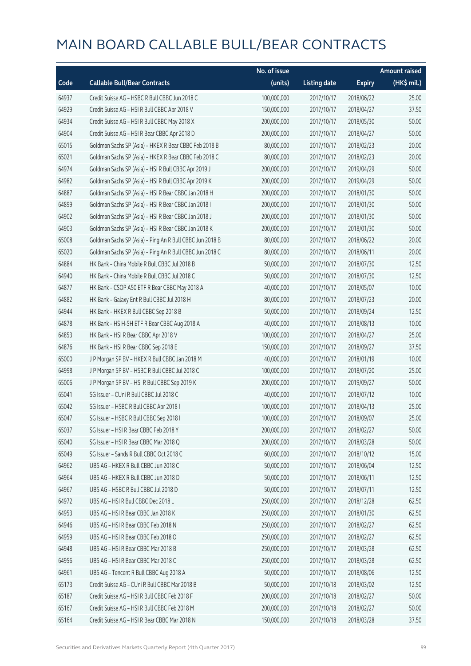|       |                                                          | No. of issue |                     |               | <b>Amount raised</b> |
|-------|----------------------------------------------------------|--------------|---------------------|---------------|----------------------|
| Code  | <b>Callable Bull/Bear Contracts</b>                      | (units)      | <b>Listing date</b> | <b>Expiry</b> | (HK\$ mil.)          |
| 64937 | Credit Suisse AG - HSBC R Bull CBBC Jun 2018 C           | 100,000,000  | 2017/10/17          | 2018/06/22    | 25.00                |
| 64929 | Credit Suisse AG - HSI R Bull CBBC Apr 2018 V            | 150,000,000  | 2017/10/17          | 2018/04/27    | 37.50                |
| 64934 | Credit Suisse AG - HSI R Bull CBBC May 2018 X            | 200,000,000  | 2017/10/17          | 2018/05/30    | 50.00                |
| 64904 | Credit Suisse AG - HSI R Bear CBBC Apr 2018 D            | 200,000,000  | 2017/10/17          | 2018/04/27    | 50.00                |
| 65015 | Goldman Sachs SP (Asia) - HKEX R Bear CBBC Feb 2018 B    | 80,000,000   | 2017/10/17          | 2018/02/23    | 20.00                |
| 65021 | Goldman Sachs SP (Asia) - HKEX R Bear CBBC Feb 2018 C    | 80,000,000   | 2017/10/17          | 2018/02/23    | 20.00                |
| 64974 | Goldman Sachs SP (Asia) - HSI R Bull CBBC Apr 2019 J     | 200,000,000  | 2017/10/17          | 2019/04/29    | 50.00                |
| 64982 | Goldman Sachs SP (Asia) - HSI R Bull CBBC Apr 2019 K     | 200,000,000  | 2017/10/17          | 2019/04/29    | 50.00                |
| 64887 | Goldman Sachs SP (Asia) - HSI R Bear CBBC Jan 2018 H     | 200,000,000  | 2017/10/17          | 2018/01/30    | 50.00                |
| 64899 | Goldman Sachs SP (Asia) - HSI R Bear CBBC Jan 2018 I     | 200,000,000  | 2017/10/17          | 2018/01/30    | 50.00                |
| 64902 | Goldman Sachs SP (Asia) - HSI R Bear CBBC Jan 2018 J     | 200,000,000  | 2017/10/17          | 2018/01/30    | 50.00                |
| 64903 | Goldman Sachs SP (Asia) - HSI R Bear CBBC Jan 2018 K     | 200,000,000  | 2017/10/17          | 2018/01/30    | 50.00                |
| 65008 | Goldman Sachs SP (Asia) - Ping An R Bull CBBC Jun 2018 B | 80,000,000   | 2017/10/17          | 2018/06/22    | 20.00                |
| 65020 | Goldman Sachs SP (Asia) - Ping An R Bull CBBC Jun 2018 C | 80,000,000   | 2017/10/17          | 2018/06/11    | 20.00                |
| 64884 | HK Bank - China Mobile R Bull CBBC Jul 2018 B            | 50,000,000   | 2017/10/17          | 2018/07/30    | 12.50                |
| 64940 | HK Bank - China Mobile R Bull CBBC Jul 2018 C            | 50,000,000   | 2017/10/17          | 2018/07/30    | 12.50                |
| 64877 | HK Bank - CSOP A50 ETF R Bear CBBC May 2018 A            | 40,000,000   | 2017/10/17          | 2018/05/07    | 10.00                |
| 64882 | HK Bank - Galaxy Ent R Bull CBBC Jul 2018 H              | 80,000,000   | 2017/10/17          | 2018/07/23    | 20.00                |
| 64944 | HK Bank - HKEX R Bull CBBC Sep 2018 B                    | 50,000,000   | 2017/10/17          | 2018/09/24    | 12.50                |
| 64878 | HK Bank - HS H-SH ETF R Bear CBBC Aug 2018 A             | 40,000,000   | 2017/10/17          | 2018/08/13    | 10.00                |
| 64853 | HK Bank - HSI R Bear CBBC Apr 2018 V                     | 100,000,000  | 2017/10/17          | 2018/04/27    | 25.00                |
| 64876 | HK Bank - HSI R Bear CBBC Sep 2018 E                     | 150,000,000  | 2017/10/17          | 2018/09/27    | 37.50                |
| 65000 | J P Morgan SP BV - HKEX R Bull CBBC Jan 2018 M           | 40,000,000   | 2017/10/17          | 2018/01/19    | 10.00                |
| 64998 | J P Morgan SP BV - HSBC R Bull CBBC Jul 2018 C           | 100,000,000  | 2017/10/17          | 2018/07/20    | 25.00                |
| 65006 | J P Morgan SP BV - HSI R Bull CBBC Sep 2019 K            | 200,000,000  | 2017/10/17          | 2019/09/27    | 50.00                |
| 65041 | SG Issuer - CUni R Bull CBBC Jul 2018 C                  | 40,000,000   | 2017/10/17          | 2018/07/12    | 10.00                |
| 65042 | SG Issuer - HSBC R Bull CBBC Apr 2018 I                  | 100,000,000  | 2017/10/17          | 2018/04/13    | 25.00                |
| 65047 | SG Issuer - HSBC R Bull CBBC Sep 2018 I                  | 100,000,000  | 2017/10/17          | 2018/09/07    | 25.00                |
| 65037 | SG Issuer - HSI R Bear CBBC Feb 2018 Y                   | 200,000,000  | 2017/10/17          | 2018/02/27    | 50.00                |
| 65040 | SG Issuer - HSI R Bear CBBC Mar 2018 Q                   | 200,000,000  | 2017/10/17          | 2018/03/28    | 50.00                |
| 65049 | SG Issuer - Sands R Bull CBBC Oct 2018 C                 | 60,000,000   | 2017/10/17          | 2018/10/12    | 15.00                |
| 64962 | UBS AG - HKEX R Bull CBBC Jun 2018 C                     | 50,000,000   | 2017/10/17          | 2018/06/04    | 12.50                |
| 64964 | UBS AG - HKEX R Bull CBBC Jun 2018 D                     | 50,000,000   | 2017/10/17          | 2018/06/11    | 12.50                |
| 64967 | UBS AG - HSBC R Bull CBBC Jul 2018 D                     | 50,000,000   | 2017/10/17          | 2018/07/11    | 12.50                |
| 64972 | UBS AG - HSI R Bull CBBC Dec 2018 L                      | 250,000,000  | 2017/10/17          | 2018/12/28    | 62.50                |
| 64953 | UBS AG - HSI R Bear CBBC Jan 2018 K                      | 250,000,000  | 2017/10/17          | 2018/01/30    | 62.50                |
| 64946 | UBS AG - HSI R Bear CBBC Feb 2018 N                      | 250,000,000  | 2017/10/17          | 2018/02/27    | 62.50                |
| 64959 | UBS AG - HSI R Bear CBBC Feb 2018 O                      | 250,000,000  | 2017/10/17          | 2018/02/27    | 62.50                |
| 64948 | UBS AG - HSI R Bear CBBC Mar 2018 B                      | 250,000,000  | 2017/10/17          | 2018/03/28    | 62.50                |
| 64956 | UBS AG - HSI R Bear CBBC Mar 2018 C                      | 250,000,000  | 2017/10/17          | 2018/03/28    | 62.50                |
| 64961 | UBS AG - Tencent R Bull CBBC Aug 2018 A                  | 50,000,000   | 2017/10/17          | 2018/08/06    | 12.50                |
| 65173 | Credit Suisse AG - CUni R Bull CBBC Mar 2018 B           | 50,000,000   | 2017/10/18          | 2018/03/02    | 12.50                |
| 65187 | Credit Suisse AG - HSI R Bull CBBC Feb 2018 F            | 200,000,000  | 2017/10/18          | 2018/02/27    | 50.00                |
| 65167 | Credit Suisse AG - HSI R Bull CBBC Feb 2018 M            | 200,000,000  | 2017/10/18          | 2018/02/27    | 50.00                |
| 65164 | Credit Suisse AG - HSI R Bear CBBC Mar 2018 N            | 150,000,000  | 2017/10/18          | 2018/03/28    | 37.50                |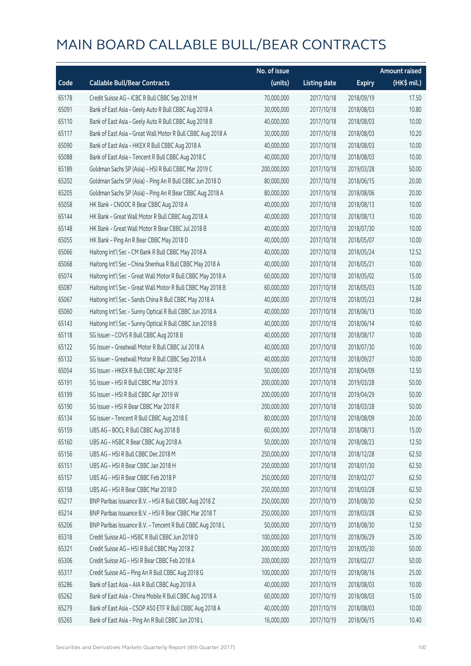|       |                                                             | No. of issue |                     |               | <b>Amount raised</b> |
|-------|-------------------------------------------------------------|--------------|---------------------|---------------|----------------------|
| Code  | <b>Callable Bull/Bear Contracts</b>                         | (units)      | <b>Listing date</b> | <b>Expiry</b> | (HK\$ mil.)          |
| 65178 | Credit Suisse AG - ICBC R Bull CBBC Sep 2018 M              | 70,000,000   | 2017/10/18          | 2018/09/19    | 17.50                |
| 65091 | Bank of East Asia - Geely Auto R Bull CBBC Aug 2018 A       | 30,000,000   | 2017/10/18          | 2018/08/03    | 10.80                |
| 65110 | Bank of East Asia - Geely Auto R Bull CBBC Aug 2018 B       | 40,000,000   | 2017/10/18          | 2018/08/03    | 10.00                |
| 65117 | Bank of East Asia - Great Wall Motor R Bull CBBC Aug 2018 A | 30,000,000   | 2017/10/18          | 2018/08/03    | 10.20                |
| 65090 | Bank of East Asia - HKEX R Bull CBBC Aug 2018 A             | 40,000,000   | 2017/10/18          | 2018/08/03    | 10.00                |
| 65088 | Bank of East Asia - Tencent R Bull CBBC Aug 2018 C          | 40,000,000   | 2017/10/18          | 2018/08/03    | 10.00                |
| 65189 | Goldman Sachs SP (Asia) - HSI R Bull CBBC Mar 2019 C        | 200,000,000  | 2017/10/18          | 2019/03/28    | 50.00                |
| 65202 | Goldman Sachs SP (Asia) - Ping An R Bull CBBC Jun 2018 D    | 80,000,000   | 2017/10/18          | 2018/06/15    | 20.00                |
| 65205 | Goldman Sachs SP (Asia) - Ping An R Bear CBBC Aug 2018 A    | 80,000,000   | 2017/10/18          | 2018/08/06    | 20.00                |
| 65058 | HK Bank - CNOOC R Bear CBBC Aug 2018 A                      | 40,000,000   | 2017/10/18          | 2018/08/13    | 10.00                |
| 65144 | HK Bank - Great Wall Motor R Bull CBBC Aug 2018 A           | 40,000,000   | 2017/10/18          | 2018/08/13    | 10.00                |
| 65148 | HK Bank - Great Wall Motor R Bear CBBC Jul 2018 B           | 40,000,000   | 2017/10/18          | 2018/07/30    | 10.00                |
| 65055 | HK Bank - Ping An R Bear CBBC May 2018 D                    | 40,000,000   | 2017/10/18          | 2018/05/07    | 10.00                |
| 65066 | Haitong Int'l Sec - CM Bank R Bull CBBC May 2018 A          | 40,000,000   | 2017/10/18          | 2018/05/24    | 12.52                |
| 65068 | Haitong Int'l Sec - China Shenhua R Bull CBBC May 2018 A    | 40,000,000   | 2017/10/18          | 2018/05/21    | 10.00                |
| 65074 | Haitong Int'l Sec - Great Wall Motor R Bull CBBC May 2018 A | 60,000,000   | 2017/10/18          | 2018/05/02    | 15.00                |
| 65087 | Haitong Int'l Sec - Great Wall Motor R Bull CBBC May 2018 B | 60,000,000   | 2017/10/18          | 2018/05/03    | 15.00                |
| 65067 | Haitong Int'l Sec - Sands China R Bull CBBC May 2018 A      | 40,000,000   | 2017/10/18          | 2018/05/23    | 12.84                |
| 65060 | Haitong Int'l Sec - Sunny Optical R Bull CBBC Jun 2018 A    | 40,000,000   | 2017/10/18          | 2018/06/13    | 10.00                |
| 65143 | Haitong Int'l Sec - Sunny Optical R Bull CBBC Jun 2018 B    | 40,000,000   | 2017/10/18          | 2018/06/14    | 10.60                |
| 65118 | SG Issuer - COVS R Bull CBBC Aug 2018 B                     | 40,000,000   | 2017/10/18          | 2018/08/17    | 10.00                |
| 65122 | SG Issuer - Greatwall Motor R Bull CBBC Jul 2018 A          | 40,000,000   | 2017/10/18          | 2018/07/30    | 10.00                |
| 65132 | SG Issuer - Greatwall Motor R Bull CBBC Sep 2018 A          | 40,000,000   | 2017/10/18          | 2018/09/27    | 10.00                |
| 65054 | SG Issuer - HKEX R Bull CBBC Apr 2018 F                     | 50,000,000   | 2017/10/18          | 2018/04/09    | 12.50                |
| 65191 | SG Issuer - HSI R Bull CBBC Mar 2019 X                      | 200,000,000  | 2017/10/18          | 2019/03/28    | 50.00                |
| 65199 | SG Issuer - HSI R Bull CBBC Apr 2019 W                      | 200,000,000  | 2017/10/18          | 2019/04/29    | 50.00                |
| 65190 | SG Issuer - HSI R Bear CBBC Mar 2018 R                      | 200,000,000  | 2017/10/18          | 2018/03/28    | 50.00                |
| 65134 | SG Issuer - Tencent R Bull CBBC Aug 2018 E                  | 80,000,000   | 2017/10/18          | 2018/08/09    | 20.00                |
| 65159 | UBS AG - BOCL R Bull CBBC Aug 2018 B                        | 60,000,000   | 2017/10/18          | 2018/08/13    | 15.00                |
| 65160 | UBS AG - HSBC R Bear CBBC Aug 2018 A                        | 50,000,000   | 2017/10/18          | 2018/08/23    | 12.50                |
| 65156 | UBS AG - HSI R Bull CBBC Dec 2018 M                         | 250,000,000  | 2017/10/18          | 2018/12/28    | 62.50                |
| 65151 | UBS AG - HSI R Bear CBBC Jan 2018 H                         | 250,000,000  | 2017/10/18          | 2018/01/30    | 62.50                |
| 65157 | UBS AG - HSI R Bear CBBC Feb 2018 P                         | 250,000,000  | 2017/10/18          | 2018/02/27    | 62.50                |
| 65158 | UBS AG - HSI R Bear CBBC Mar 2018 D                         | 250,000,000  | 2017/10/18          | 2018/03/28    | 62.50                |
| 65217 | BNP Paribas Issuance B.V. - HSI R Bull CBBC Aug 2018 Z      | 250,000,000  | 2017/10/19          | 2018/08/30    | 62.50                |
| 65214 | BNP Paribas Issuance B.V. - HSI R Bear CBBC Mar 2018 T      | 250,000,000  | 2017/10/19          | 2018/03/28    | 62.50                |
| 65206 | BNP Paribas Issuance B.V. - Tencent R Bull CBBC Aug 2018 L  | 50,000,000   | 2017/10/19          | 2018/08/30    | 12.50                |
| 65318 | Credit Suisse AG - HSBC R Bull CBBC Jun 2018 D              | 100,000,000  | 2017/10/19          | 2018/06/29    | 25.00                |
| 65321 | Credit Suisse AG - HSI R Bull CBBC May 2018 Z               | 200,000,000  | 2017/10/19          | 2018/05/30    | 50.00                |
| 65306 | Credit Suisse AG - HSI R Bear CBBC Feb 2018 A               | 200,000,000  | 2017/10/19          | 2018/02/27    | 50.00                |
| 65317 | Credit Suisse AG - Ping An R Bull CBBC Aug 2018 G           | 100,000,000  | 2017/10/19          | 2018/08/16    | 25.00                |
| 65286 | Bank of East Asia - AIA R Bull CBBC Aug 2018 A              | 40,000,000   | 2017/10/19          | 2018/08/03    | 10.00                |
| 65262 | Bank of East Asia - China Mobile R Bull CBBC Aug 2018 A     | 60,000,000   | 2017/10/19          | 2018/08/03    | 15.00                |
| 65279 | Bank of East Asia - CSOP A50 ETF R Bull CBBC Aug 2018 A     | 40,000,000   | 2017/10/19          | 2018/08/03    | 10.00                |
| 65265 | Bank of East Asia - Ping An R Bull CBBC Jun 2018 L          | 16,000,000   | 2017/10/19          | 2018/06/15    | 10.40                |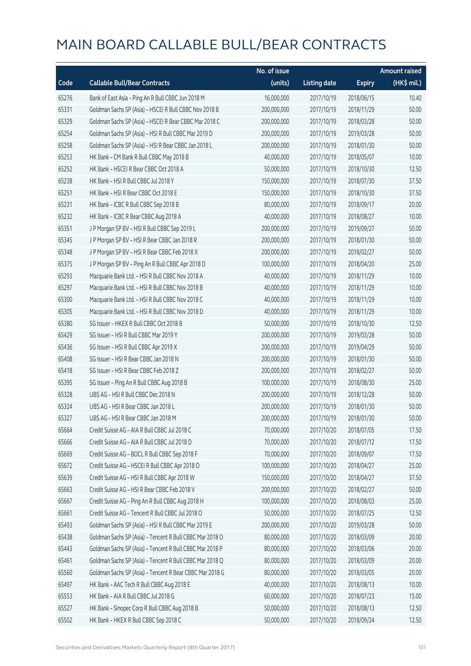|       |                                                          | No. of issue |                     |               | <b>Amount raised</b> |
|-------|----------------------------------------------------------|--------------|---------------------|---------------|----------------------|
| Code  | <b>Callable Bull/Bear Contracts</b>                      | (units)      | <b>Listing date</b> | <b>Expiry</b> | (HK\$ mil.)          |
| 65276 | Bank of East Asia - Ping An R Bull CBBC Jun 2018 M       | 16,000,000   | 2017/10/19          | 2018/06/15    | 10.40                |
| 65331 | Goldman Sachs SP (Asia) - HSCEI R Bull CBBC Nov 2018 B   | 200,000,000  | 2017/10/19          | 2018/11/29    | 50.00                |
| 65329 | Goldman Sachs SP (Asia) - HSCEI R Bear CBBC Mar 2018 C   | 200,000,000  | 2017/10/19          | 2018/03/28    | 50.00                |
| 65254 | Goldman Sachs SP (Asia) - HSI R Bull CBBC Mar 2019 D     | 200,000,000  | 2017/10/19          | 2019/03/28    | 50.00                |
| 65258 | Goldman Sachs SP (Asia) - HSI R Bear CBBC Jan 2018 L     | 200,000,000  | 2017/10/19          | 2018/01/30    | 50.00                |
| 65253 | HK Bank - CM Bank R Bull CBBC May 2018 B                 | 40,000,000   | 2017/10/19          | 2018/05/07    | 10.00                |
| 65252 | HK Bank - HSCEI R Bear CBBC Oct 2018 A                   | 50,000,000   | 2017/10/19          | 2018/10/30    | 12.50                |
| 65238 | HK Bank - HSI R Bull CBBC Jul 2018 Y                     | 150,000,000  | 2017/10/19          | 2018/07/30    | 37.50                |
| 65251 | HK Bank - HSI R Bear CBBC Oct 2018 E                     | 150,000,000  | 2017/10/19          | 2018/10/30    | 37.50                |
| 65231 | HK Bank - ICBC R Bull CBBC Sep 2018 B                    | 80,000,000   | 2017/10/19          | 2018/09/17    | 20.00                |
| 65232 | HK Bank - ICBC R Bear CBBC Aug 2018 A                    | 40,000,000   | 2017/10/19          | 2018/08/27    | 10.00                |
| 65351 | J P Morgan SP BV - HSI R Bull CBBC Sep 2019 L            | 200,000,000  | 2017/10/19          | 2019/09/27    | 50.00                |
| 65345 | J P Morgan SP BV - HSI R Bear CBBC Jan 2018 R            | 200,000,000  | 2017/10/19          | 2018/01/30    | 50.00                |
| 65348 | J P Morgan SP BV - HSI R Bear CBBC Feb 2018 X            | 200,000,000  | 2017/10/19          | 2018/02/27    | 50.00                |
| 65375 | J P Morgan SP BV - Ping An R Bull CBBC Apr 2018 D        | 100,000,000  | 2017/10/19          | 2018/04/20    | 25.00                |
| 65293 | Macquarie Bank Ltd. - HSI R Bull CBBC Nov 2018 A         | 40,000,000   | 2017/10/19          | 2018/11/29    | 10.00                |
| 65297 | Macquarie Bank Ltd. - HSI R Bull CBBC Nov 2018 B         | 40,000,000   | 2017/10/19          | 2018/11/29    | 10.00                |
| 65300 | Macquarie Bank Ltd. - HSI R Bull CBBC Nov 2018 C         | 40,000,000   | 2017/10/19          | 2018/11/29    | 10.00                |
| 65305 | Macquarie Bank Ltd. - HSI R Bull CBBC Nov 2018 D         | 40,000,000   | 2017/10/19          | 2018/11/29    | 10.00                |
| 65380 | SG Issuer - HKEX R Bull CBBC Oct 2018 B                  | 50,000,000   | 2017/10/19          | 2018/10/30    | 12.50                |
| 65429 | SG Issuer - HSI R Bull CBBC Mar 2019 Y                   | 200,000,000  | 2017/10/19          | 2019/03/28    | 50.00                |
| 65436 | SG Issuer - HSI R Bull CBBC Apr 2019 X                   | 200,000,000  | 2017/10/19          | 2019/04/29    | 50.00                |
| 65408 | SG Issuer - HSI R Bear CBBC Jan 2018 N                   | 200,000,000  | 2017/10/19          | 2018/01/30    | 50.00                |
| 65418 | SG Issuer - HSI R Bear CBBC Feb 2018 Z                   | 200,000,000  | 2017/10/19          | 2018/02/27    | 50.00                |
| 65395 | SG Issuer - Ping An R Bull CBBC Aug 2018 B               | 100,000,000  | 2017/10/19          | 2018/08/30    | 25.00                |
| 65328 | UBS AG - HSI R Bull CBBC Dec 2018 N                      | 200,000,000  | 2017/10/19          | 2018/12/28    | 50.00                |
| 65324 | UBS AG - HSI R Bear CBBC Jan 2018 L                      | 200,000,000  | 2017/10/19          | 2018/01/30    | 50.00                |
| 65327 | UBS AG - HSI R Bear CBBC Jan 2018 M                      | 200,000,000  | 2017/10/19          | 2018/01/30    | 50.00                |
| 65664 | Credit Suisse AG - AIA R Bull CBBC Jul 2018 C            | 70,000,000   | 2017/10/20          | 2018/07/05    | 17.50                |
| 65666 | Credit Suisse AG - AIA R Bull CBBC Jul 2018 D            | 70,000,000   | 2017/10/20          | 2018/07/12    | 17.50                |
| 65669 | Credit Suisse AG - BOCL R Bull CBBC Sep 2018 F           | 70,000,000   | 2017/10/20          | 2018/09/07    | 17.50                |
| 65672 | Credit Suisse AG - HSCEI R Bull CBBC Apr 2018 O          | 100,000,000  | 2017/10/20          | 2018/04/27    | 25.00                |
| 65639 | Credit Suisse AG - HSI R Bull CBBC Apr 2018 W            | 150,000,000  | 2017/10/20          | 2018/04/27    | 37.50                |
| 65663 | Credit Suisse AG - HSI R Bear CBBC Feb 2018 V            | 200,000,000  | 2017/10/20          | 2018/02/27    | 50.00                |
| 65667 | Credit Suisse AG - Ping An R Bull CBBC Aug 2018 H        | 100,000,000  | 2017/10/20          | 2018/08/03    | 25.00                |
| 65661 | Credit Suisse AG - Tencent R Bull CBBC Jul 2018 O        | 50,000,000   | 2017/10/20          | 2018/07/25    | 12.50                |
| 65493 | Goldman Sachs SP (Asia) - HSI R Bull CBBC Mar 2019 E     | 200,000,000  | 2017/10/20          | 2019/03/28    | 50.00                |
| 65438 | Goldman Sachs SP (Asia) - Tencent R Bull CBBC Mar 2018 O | 80,000,000   | 2017/10/20          | 2018/03/09    | 20.00                |
| 65443 | Goldman Sachs SP (Asia) - Tencent R Bull CBBC Mar 2018 P | 80,000,000   | 2017/10/20          | 2018/03/06    | 20.00                |
| 65461 | Goldman Sachs SP (Asia) - Tencent R Bull CBBC Mar 2018 Q | 80,000,000   | 2017/10/20          | 2018/03/09    | 20.00                |
| 65560 | Goldman Sachs SP (Asia) - Tencent R Bear CBBC Mar 2018 G | 80,000,000   | 2017/10/20          | 2018/03/05    | 20.00                |
| 65497 | HK Bank - AAC Tech R Bull CBBC Aug 2018 E                | 40,000,000   | 2017/10/20          | 2018/08/13    | 10.00                |
| 65553 | HK Bank - AIA R Bull CBBC Jul 2018 G                     | 60,000,000   | 2017/10/20          | 2018/07/23    | 15.00                |
| 65527 | HK Bank - Sinopec Corp R Bull CBBC Aug 2018 B            | 50,000,000   | 2017/10/20          | 2018/08/13    | 12.50                |
| 65502 | HK Bank - HKEX R Bull CBBC Sep 2018 C                    | 50,000,000   | 2017/10/20          | 2018/09/24    | 12.50                |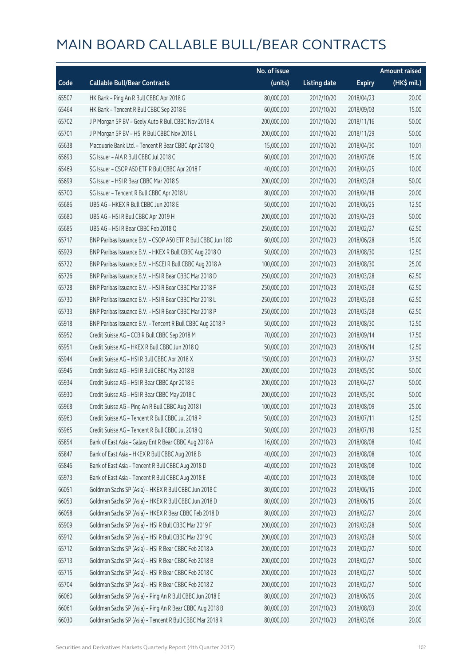|       |                                                              | No. of issue |                     |               | <b>Amount raised</b>  |
|-------|--------------------------------------------------------------|--------------|---------------------|---------------|-----------------------|
| Code  | <b>Callable Bull/Bear Contracts</b>                          | (units)      | <b>Listing date</b> | <b>Expiry</b> | $(HK\frac{1}{2}mil.)$ |
| 65507 | HK Bank - Ping An R Bull CBBC Apr 2018 G                     | 80,000,000   | 2017/10/20          | 2018/04/23    | 20.00                 |
| 65464 | HK Bank - Tencent R Bull CBBC Sep 2018 E                     | 60,000,000   | 2017/10/20          | 2018/09/03    | 15.00                 |
| 65702 | J P Morgan SP BV - Geely Auto R Bull CBBC Nov 2018 A         | 200,000,000  | 2017/10/20          | 2018/11/16    | 50.00                 |
| 65701 | J P Morgan SP BV - HSI R Bull CBBC Nov 2018 L                | 200,000,000  | 2017/10/20          | 2018/11/29    | 50.00                 |
| 65638 | Macquarie Bank Ltd. - Tencent R Bear CBBC Apr 2018 Q         | 15,000,000   | 2017/10/20          | 2018/04/30    | 10.01                 |
| 65693 | SG Issuer - AIA R Bull CBBC Jul 2018 C                       | 60,000,000   | 2017/10/20          | 2018/07/06    | 15.00                 |
| 65469 | SG Issuer - CSOP A50 ETF R Bull CBBC Apr 2018 F              | 40,000,000   | 2017/10/20          | 2018/04/25    | 10.00                 |
| 65699 | SG Issuer - HSI R Bear CBBC Mar 2018 S                       | 200,000,000  | 2017/10/20          | 2018/03/28    | 50.00                 |
| 65700 | SG Issuer - Tencent R Bull CBBC Apr 2018 U                   | 80,000,000   | 2017/10/20          | 2018/04/18    | 20.00                 |
| 65686 | UBS AG - HKEX R Bull CBBC Jun 2018 E                         | 50,000,000   | 2017/10/20          | 2018/06/25    | 12.50                 |
| 65680 | UBS AG - HSI R Bull CBBC Apr 2019 H                          | 200,000,000  | 2017/10/20          | 2019/04/29    | 50.00                 |
| 65685 | UBS AG - HSI R Bear CBBC Feb 2018 Q                          | 250,000,000  | 2017/10/20          | 2018/02/27    | 62.50                 |
| 65717 | BNP Paribas Issuance B.V. - CSOP A50 ETF R Bull CBBC Jun 18D | 60,000,000   | 2017/10/23          | 2018/06/28    | 15.00                 |
| 65929 | BNP Paribas Issuance B.V. - HKEX R Bull CBBC Aug 2018 O      | 50,000,000   | 2017/10/23          | 2018/08/30    | 12.50                 |
| 65722 | BNP Paribas Issuance B.V. - HSCEI R Bull CBBC Aug 2018 A     | 100,000,000  | 2017/10/23          | 2018/08/30    | 25.00                 |
| 65726 | BNP Paribas Issuance B.V. - HSI R Bear CBBC Mar 2018 D       | 250,000,000  | 2017/10/23          | 2018/03/28    | 62.50                 |
| 65728 | BNP Paribas Issuance B.V. - HSI R Bear CBBC Mar 2018 F       | 250,000,000  | 2017/10/23          | 2018/03/28    | 62.50                 |
| 65730 | BNP Paribas Issuance B.V. - HSI R Bear CBBC Mar 2018 L       | 250,000,000  | 2017/10/23          | 2018/03/28    | 62.50                 |
| 65733 | BNP Paribas Issuance B.V. - HSI R Bear CBBC Mar 2018 P       | 250,000,000  | 2017/10/23          | 2018/03/28    | 62.50                 |
| 65918 | BNP Paribas Issuance B.V. - Tencent R Bull CBBC Aug 2018 P   | 50,000,000   | 2017/10/23          | 2018/08/30    | 12.50                 |
| 65952 | Credit Suisse AG - CCB R Bull CBBC Sep 2018 M                | 70,000,000   | 2017/10/23          | 2018/09/14    | 17.50                 |
| 65951 | Credit Suisse AG - HKEX R Bull CBBC Jun 2018 Q               | 50,000,000   | 2017/10/23          | 2018/06/14    | 12.50                 |
| 65944 | Credit Suisse AG - HSI R Bull CBBC Apr 2018 X                | 150,000,000  | 2017/10/23          | 2018/04/27    | 37.50                 |
| 65945 | Credit Suisse AG - HSI R Bull CBBC May 2018 B                | 200,000,000  | 2017/10/23          | 2018/05/30    | 50.00                 |
| 65934 | Credit Suisse AG - HSI R Bear CBBC Apr 2018 E                | 200,000,000  | 2017/10/23          | 2018/04/27    | 50.00                 |
| 65930 | Credit Suisse AG - HSI R Bear CBBC May 2018 C                | 200,000,000  | 2017/10/23          | 2018/05/30    | 50.00                 |
| 65968 | Credit Suisse AG - Ping An R Bull CBBC Aug 2018 I            | 100,000,000  | 2017/10/23          | 2018/08/09    | 25.00                 |
| 65963 | Credit Suisse AG - Tencent R Bull CBBC Jul 2018 P            | 50,000,000   | 2017/10/23          | 2018/07/11    | 12.50                 |
| 65965 | Credit Suisse AG - Tencent R Bull CBBC Jul 2018 Q            | 50,000,000   | 2017/10/23          | 2018/07/19    | 12.50                 |
| 65854 | Bank of East Asia - Galaxy Ent R Bear CBBC Aug 2018 A        | 16,000,000   | 2017/10/23          | 2018/08/08    | 10.40                 |
| 65847 | Bank of East Asia - HKEX R Bull CBBC Aug 2018 B              | 40,000,000   | 2017/10/23          | 2018/08/08    | 10.00                 |
| 65846 | Bank of East Asia - Tencent R Bull CBBC Aug 2018 D           | 40,000,000   | 2017/10/23          | 2018/08/08    | 10.00                 |
| 65973 | Bank of East Asia - Tencent R Bull CBBC Aug 2018 E           | 40,000,000   | 2017/10/23          | 2018/08/08    | 10.00                 |
| 66051 | Goldman Sachs SP (Asia) - HKEX R Bull CBBC Jun 2018 C        | 80,000,000   | 2017/10/23          | 2018/06/15    | 20.00                 |
| 66053 | Goldman Sachs SP (Asia) - HKEX R Bull CBBC Jun 2018 D        | 80,000,000   | 2017/10/23          | 2018/06/15    | 20.00                 |
| 66058 | Goldman Sachs SP (Asia) - HKEX R Bear CBBC Feb 2018 D        | 80,000,000   | 2017/10/23          | 2018/02/27    | 20.00                 |
| 65909 | Goldman Sachs SP (Asia) - HSI R Bull CBBC Mar 2019 F         | 200,000,000  | 2017/10/23          | 2019/03/28    | 50.00                 |
| 65912 | Goldman Sachs SP (Asia) - HSI R Bull CBBC Mar 2019 G         | 200,000,000  | 2017/10/23          | 2019/03/28    | 50.00                 |
| 65712 | Goldman Sachs SP (Asia) - HSI R Bear CBBC Feb 2018 A         | 200,000,000  | 2017/10/23          | 2018/02/27    | 50.00                 |
| 65713 | Goldman Sachs SP (Asia) - HSI R Bear CBBC Feb 2018 B         | 200,000,000  | 2017/10/23          | 2018/02/27    | 50.00                 |
| 65715 | Goldman Sachs SP (Asia) - HSI R Bear CBBC Feb 2018 C         | 200,000,000  | 2017/10/23          | 2018/02/27    | 50.00                 |
| 65704 | Goldman Sachs SP (Asia) - HSI R Bear CBBC Feb 2018 Z         | 200,000,000  | 2017/10/23          | 2018/02/27    | 50.00                 |
| 66060 | Goldman Sachs SP (Asia) - Ping An R Bull CBBC Jun 2018 E     | 80,000,000   | 2017/10/23          | 2018/06/05    | 20.00                 |
| 66061 | Goldman Sachs SP (Asia) - Ping An R Bear CBBC Aug 2018 B     | 80,000,000   | 2017/10/23          | 2018/08/03    | 20.00                 |
| 66030 | Goldman Sachs SP (Asia) - Tencent R Bull CBBC Mar 2018 R     | 80,000,000   | 2017/10/23          | 2018/03/06    | 20.00                 |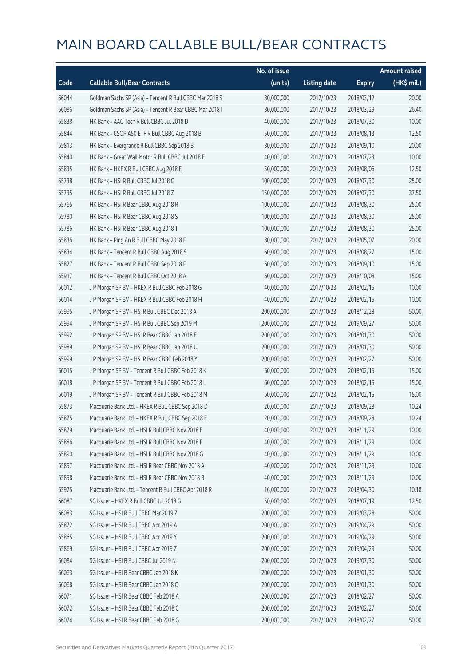|       |                                                          | No. of issue |                     |               | <b>Amount raised</b> |
|-------|----------------------------------------------------------|--------------|---------------------|---------------|----------------------|
| Code  | <b>Callable Bull/Bear Contracts</b>                      | (units)      | <b>Listing date</b> | <b>Expiry</b> | (HK\$ mil.)          |
| 66044 | Goldman Sachs SP (Asia) - Tencent R Bull CBBC Mar 2018 S | 80,000,000   | 2017/10/23          | 2018/03/12    | 20.00                |
| 66086 | Goldman Sachs SP (Asia) - Tencent R Bear CBBC Mar 2018 I | 80,000,000   | 2017/10/23          | 2018/03/29    | 26.40                |
| 65838 | HK Bank - AAC Tech R Bull CBBC Jul 2018 D                | 40,000,000   | 2017/10/23          | 2018/07/30    | 10.00                |
| 65844 | HK Bank - CSOP A50 ETF R Bull CBBC Aug 2018 B            | 50,000,000   | 2017/10/23          | 2018/08/13    | 12.50                |
| 65813 | HK Bank - Evergrande R Bull CBBC Sep 2018 B              | 80,000,000   | 2017/10/23          | 2018/09/10    | 20.00                |
| 65840 | HK Bank - Great Wall Motor R Bull CBBC Jul 2018 E        | 40,000,000   | 2017/10/23          | 2018/07/23    | 10.00                |
| 65835 | HK Bank - HKEX R Bull CBBC Aug 2018 E                    | 50,000,000   | 2017/10/23          | 2018/08/06    | 12.50                |
| 65738 | HK Bank - HSI R Bull CBBC Jul 2018 G                     | 100,000,000  | 2017/10/23          | 2018/07/30    | 25.00                |
| 65735 | HK Bank - HSI R Bull CBBC Jul 2018 Z                     | 150,000,000  | 2017/10/23          | 2018/07/30    | 37.50                |
| 65765 | HK Bank - HSI R Bear CBBC Aug 2018 R                     | 100,000,000  | 2017/10/23          | 2018/08/30    | 25.00                |
| 65780 | HK Bank - HSI R Bear CBBC Aug 2018 S                     | 100,000,000  | 2017/10/23          | 2018/08/30    | 25.00                |
| 65786 | HK Bank - HSI R Bear CBBC Aug 2018 T                     | 100,000,000  | 2017/10/23          | 2018/08/30    | 25.00                |
| 65836 | HK Bank - Ping An R Bull CBBC May 2018 F                 | 80,000,000   | 2017/10/23          | 2018/05/07    | 20.00                |
| 65834 | HK Bank - Tencent R Bull CBBC Aug 2018 S                 | 60,000,000   | 2017/10/23          | 2018/08/27    | 15.00                |
| 65827 | HK Bank - Tencent R Bull CBBC Sep 2018 F                 | 60,000,000   | 2017/10/23          | 2018/09/10    | 15.00                |
| 65917 | HK Bank - Tencent R Bull CBBC Oct 2018 A                 | 60,000,000   | 2017/10/23          | 2018/10/08    | 15.00                |
| 66012 | J P Morgan SP BV - HKEX R Bull CBBC Feb 2018 G           | 40,000,000   | 2017/10/23          | 2018/02/15    | 10.00                |
| 66014 | J P Morgan SP BV - HKEX R Bull CBBC Feb 2018 H           | 40,000,000   | 2017/10/23          | 2018/02/15    | 10.00                |
| 65995 | J P Morgan SP BV - HSI R Bull CBBC Dec 2018 A            | 200,000,000  | 2017/10/23          | 2018/12/28    | 50.00                |
| 65994 | J P Morgan SP BV - HSI R Bull CBBC Sep 2019 M            | 200,000,000  | 2017/10/23          | 2019/09/27    | 50.00                |
| 65992 | J P Morgan SP BV - HSI R Bear CBBC Jan 2018 E            | 200,000,000  | 2017/10/23          | 2018/01/30    | 50.00                |
| 65989 | J P Morgan SP BV - HSI R Bear CBBC Jan 2018 U            | 200,000,000  | 2017/10/23          | 2018/01/30    | 50.00                |
| 65999 | J P Morgan SP BV - HSI R Bear CBBC Feb 2018 Y            | 200,000,000  | 2017/10/23          | 2018/02/27    | 50.00                |
| 66015 | J P Morgan SP BV - Tencent R Bull CBBC Feb 2018 K        | 60,000,000   | 2017/10/23          | 2018/02/15    | 15.00                |
| 66018 | JP Morgan SP BV - Tencent R Bull CBBC Feb 2018 L         | 60,000,000   | 2017/10/23          | 2018/02/15    | 15.00                |
| 66019 | J P Morgan SP BV - Tencent R Bull CBBC Feb 2018 M        | 60,000,000   | 2017/10/23          | 2018/02/15    | 15.00                |
| 65873 | Macquarie Bank Ltd. - HKEX R Bull CBBC Sep 2018 D        | 20,000,000   | 2017/10/23          | 2018/09/28    | 10.24                |
| 65875 | Macquarie Bank Ltd. - HKEX R Bull CBBC Sep 2018 E        | 20,000,000   | 2017/10/23          | 2018/09/28    | 10.24                |
| 65879 | Macquarie Bank Ltd. - HSI R Bull CBBC Nov 2018 E         | 40,000,000   | 2017/10/23          | 2018/11/29    | 10.00                |
| 65886 | Macquarie Bank Ltd. - HSI R Bull CBBC Nov 2018 F         | 40,000,000   | 2017/10/23          | 2018/11/29    | 10.00                |
| 65890 | Macquarie Bank Ltd. - HSI R Bull CBBC Nov 2018 G         | 40,000,000   | 2017/10/23          | 2018/11/29    | 10.00                |
| 65897 | Macquarie Bank Ltd. - HSI R Bear CBBC Nov 2018 A         | 40,000,000   | 2017/10/23          | 2018/11/29    | 10.00                |
| 65898 | Macquarie Bank Ltd. - HSI R Bear CBBC Nov 2018 B         | 40,000,000   | 2017/10/23          | 2018/11/29    | 10.00                |
| 65975 | Macquarie Bank Ltd. - Tencent R Bull CBBC Apr 2018 R     | 16,000,000   | 2017/10/23          | 2018/04/30    | 10.18                |
| 66087 | SG Issuer - HKEX R Bull CBBC Jul 2018 G                  | 50,000,000   | 2017/10/23          | 2018/07/19    | 12.50                |
| 66083 | SG Issuer - HSI R Bull CBBC Mar 2019 Z                   | 200,000,000  | 2017/10/23          | 2019/03/28    | 50.00                |
| 65872 | SG Issuer - HSI R Bull CBBC Apr 2019 A                   | 200,000,000  | 2017/10/23          | 2019/04/29    | 50.00                |
| 65865 | SG Issuer - HSI R Bull CBBC Apr 2019 Y                   | 200,000,000  | 2017/10/23          | 2019/04/29    | 50.00                |
| 65869 | SG Issuer - HSI R Bull CBBC Apr 2019 Z                   | 200,000,000  | 2017/10/23          | 2019/04/29    | 50.00                |
| 66084 | SG Issuer - HSI R Bull CBBC Jul 2019 N                   | 200,000,000  | 2017/10/23          | 2019/07/30    | 50.00                |
| 66063 | SG Issuer - HSI R Bear CBBC Jan 2018 K                   | 200,000,000  | 2017/10/23          | 2018/01/30    | 50.00                |
| 66068 | SG Issuer - HSI R Bear CBBC Jan 2018 O                   | 200,000,000  | 2017/10/23          | 2018/01/30    | 50.00                |
| 66071 | SG Issuer - HSI R Bear CBBC Feb 2018 A                   | 200,000,000  | 2017/10/23          | 2018/02/27    | 50.00                |
| 66072 | SG Issuer - HSI R Bear CBBC Feb 2018 C                   | 200,000,000  | 2017/10/23          | 2018/02/27    | 50.00                |
| 66074 | SG Issuer - HSI R Bear CBBC Feb 2018 G                   | 200,000,000  | 2017/10/23          | 2018/02/27    | 50.00                |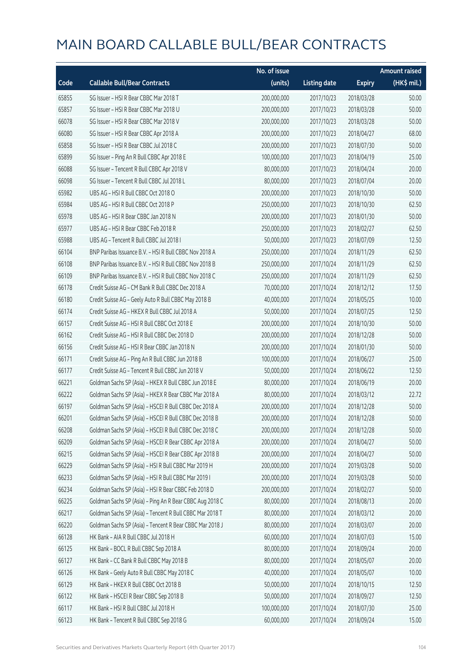|       |                                                          | No. of issue |                     |               | <b>Amount raised</b> |
|-------|----------------------------------------------------------|--------------|---------------------|---------------|----------------------|
| Code  | <b>Callable Bull/Bear Contracts</b>                      | (units)      | <b>Listing date</b> | <b>Expiry</b> | (HK\$ mil.)          |
| 65855 | SG Issuer - HSI R Bear CBBC Mar 2018 T                   | 200,000,000  | 2017/10/23          | 2018/03/28    | 50.00                |
| 65857 | SG Issuer - HSI R Bear CBBC Mar 2018 U                   | 200,000,000  | 2017/10/23          | 2018/03/28    | 50.00                |
| 66078 | SG Issuer - HSI R Bear CBBC Mar 2018 V                   | 200,000,000  | 2017/10/23          | 2018/03/28    | 50.00                |
| 66080 | SG Issuer - HSI R Bear CBBC Apr 2018 A                   | 200,000,000  | 2017/10/23          | 2018/04/27    | 68.00                |
| 65858 | SG Issuer - HSI R Bear CBBC Jul 2018 C                   | 200,000,000  | 2017/10/23          | 2018/07/30    | 50.00                |
| 65899 | SG Issuer - Ping An R Bull CBBC Apr 2018 E               | 100,000,000  | 2017/10/23          | 2018/04/19    | 25.00                |
| 66088 | SG Issuer - Tencent R Bull CBBC Apr 2018 V               | 80,000,000   | 2017/10/23          | 2018/04/24    | 20.00                |
| 66098 | SG Issuer - Tencent R Bull CBBC Jul 2018 L               | 80,000,000   | 2017/10/23          | 2018/07/04    | 20.00                |
| 65982 | UBS AG - HSI R Bull CBBC Oct 2018 O                      | 200,000,000  | 2017/10/23          | 2018/10/30    | 50.00                |
| 65984 | UBS AG - HSI R Bull CBBC Oct 2018 P                      | 250,000,000  | 2017/10/23          | 2018/10/30    | 62.50                |
| 65978 | UBS AG - HSI R Bear CBBC Jan 2018 N                      | 200,000,000  | 2017/10/23          | 2018/01/30    | 50.00                |
| 65977 | UBS AG - HSI R Bear CBBC Feb 2018 R                      | 250,000,000  | 2017/10/23          | 2018/02/27    | 62.50                |
| 65988 | UBS AG - Tencent R Bull CBBC Jul 2018 I                  | 50,000,000   | 2017/10/23          | 2018/07/09    | 12.50                |
| 66104 | BNP Paribas Issuance B.V. - HSI R Bull CBBC Nov 2018 A   | 250,000,000  | 2017/10/24          | 2018/11/29    | 62.50                |
| 66108 | BNP Paribas Issuance B.V. - HSI R Bull CBBC Nov 2018 B   | 250,000,000  | 2017/10/24          | 2018/11/29    | 62.50                |
| 66109 | BNP Paribas Issuance B.V. - HSI R Bull CBBC Nov 2018 C   | 250,000,000  | 2017/10/24          | 2018/11/29    | 62.50                |
| 66178 | Credit Suisse AG - CM Bank R Bull CBBC Dec 2018 A        | 70,000,000   | 2017/10/24          | 2018/12/12    | 17.50                |
| 66180 | Credit Suisse AG - Geely Auto R Bull CBBC May 2018 B     | 40,000,000   | 2017/10/24          | 2018/05/25    | 10.00                |
| 66174 | Credit Suisse AG - HKEX R Bull CBBC Jul 2018 A           | 50,000,000   | 2017/10/24          | 2018/07/25    | 12.50                |
| 66157 | Credit Suisse AG - HSI R Bull CBBC Oct 2018 E            | 200,000,000  | 2017/10/24          | 2018/10/30    | 50.00                |
| 66162 | Credit Suisse AG - HSI R Bull CBBC Dec 2018 D            | 200,000,000  | 2017/10/24          | 2018/12/28    | 50.00                |
| 66156 | Credit Suisse AG - HSI R Bear CBBC Jan 2018 N            | 200,000,000  | 2017/10/24          | 2018/01/30    | 50.00                |
| 66171 | Credit Suisse AG - Ping An R Bull CBBC Jun 2018 B        | 100,000,000  | 2017/10/24          | 2018/06/27    | 25.00                |
| 66177 | Credit Suisse AG - Tencent R Bull CBBC Jun 2018 V        | 50,000,000   | 2017/10/24          | 2018/06/22    | 12.50                |
| 66221 | Goldman Sachs SP (Asia) - HKEX R Bull CBBC Jun 2018 E    | 80,000,000   | 2017/10/24          | 2018/06/19    | 20.00                |
| 66222 | Goldman Sachs SP (Asia) - HKEX R Bear CBBC Mar 2018 A    | 80,000,000   | 2017/10/24          | 2018/03/12    | 22.72                |
| 66197 | Goldman Sachs SP (Asia) - HSCEI R Bull CBBC Dec 2018 A   | 200,000,000  | 2017/10/24          | 2018/12/28    | 50.00                |
| 66201 | Goldman Sachs SP (Asia) - HSCEI R Bull CBBC Dec 2018 B   | 200,000,000  | 2017/10/24          | 2018/12/28    | 50.00                |
| 66208 | Goldman Sachs SP (Asia) - HSCEI R Bull CBBC Dec 2018 C   | 200,000,000  | 2017/10/24          | 2018/12/28    | 50.00                |
| 66209 | Goldman Sachs SP (Asia) - HSCEI R Bear CBBC Apr 2018 A   | 200,000,000  | 2017/10/24          | 2018/04/27    | 50.00                |
| 66215 | Goldman Sachs SP (Asia) - HSCEI R Bear CBBC Apr 2018 B   | 200,000,000  | 2017/10/24          | 2018/04/27    | 50.00                |
| 66229 | Goldman Sachs SP (Asia) - HSI R Bull CBBC Mar 2019 H     | 200,000,000  | 2017/10/24          | 2019/03/28    | 50.00                |
| 66233 | Goldman Sachs SP (Asia) - HSI R Bull CBBC Mar 2019 I     | 200,000,000  | 2017/10/24          | 2019/03/28    | 50.00                |
| 66234 | Goldman Sachs SP (Asia) - HSI R Bear CBBC Feb 2018 D     | 200,000,000  | 2017/10/24          | 2018/02/27    | 50.00                |
| 66225 | Goldman Sachs SP (Asia) - Ping An R Bear CBBC Aug 2018 C | 80,000,000   | 2017/10/24          | 2018/08/13    | 20.00                |
| 66217 | Goldman Sachs SP (Asia) - Tencent R Bull CBBC Mar 2018 T | 80,000,000   | 2017/10/24          | 2018/03/12    | 20.00                |
| 66220 | Goldman Sachs SP (Asia) - Tencent R Bear CBBC Mar 2018 J | 80,000,000   | 2017/10/24          | 2018/03/07    | 20.00                |
| 66128 | HK Bank - AIA R Bull CBBC Jul 2018 H                     | 60,000,000   | 2017/10/24          | 2018/07/03    | 15.00                |
| 66125 | HK Bank - BOCL R Bull CBBC Sep 2018 A                    | 80,000,000   | 2017/10/24          | 2018/09/24    | 20.00                |
| 66127 | HK Bank - CC Bank R Bull CBBC May 2018 B                 | 80,000,000   | 2017/10/24          | 2018/05/07    | 20.00                |
| 66126 | HK Bank - Geely Auto R Bull CBBC May 2018 C              | 40,000,000   | 2017/10/24          | 2018/05/07    | 10.00                |
| 66129 | HK Bank - HKEX R Bull CBBC Oct 2018 B                    | 50,000,000   | 2017/10/24          | 2018/10/15    | 12.50                |
| 66122 | HK Bank - HSCEI R Bear CBBC Sep 2018 B                   | 50,000,000   | 2017/10/24          | 2018/09/27    | 12.50                |
| 66117 | HK Bank - HSI R Bull CBBC Jul 2018 H                     | 100,000,000  | 2017/10/24          | 2018/07/30    | 25.00                |
| 66123 | HK Bank - Tencent R Bull CBBC Sep 2018 G                 | 60,000,000   | 2017/10/24          | 2018/09/24    | 15.00                |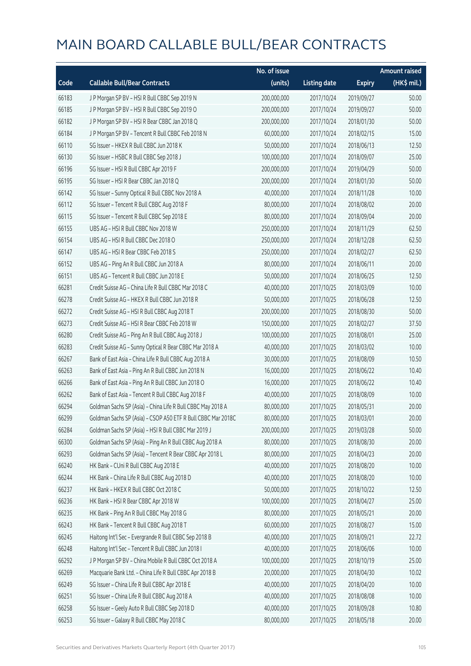|       |                                                              | No. of issue |                     |               | <b>Amount raised</b> |
|-------|--------------------------------------------------------------|--------------|---------------------|---------------|----------------------|
| Code  | <b>Callable Bull/Bear Contracts</b>                          | (units)      | <b>Listing date</b> | <b>Expiry</b> | (HK\$ mil.)          |
| 66183 | J P Morgan SP BV - HSI R Bull CBBC Sep 2019 N                | 200,000,000  | 2017/10/24          | 2019/09/27    | 50.00                |
| 66185 | J P Morgan SP BV - HSI R Bull CBBC Sep 2019 O                | 200,000,000  | 2017/10/24          | 2019/09/27    | 50.00                |
| 66182 | J P Morgan SP BV - HSI R Bear CBBC Jan 2018 Q                | 200,000,000  | 2017/10/24          | 2018/01/30    | 50.00                |
| 66184 | J P Morgan SP BV - Tencent R Bull CBBC Feb 2018 N            | 60,000,000   | 2017/10/24          | 2018/02/15    | 15.00                |
| 66110 | SG Issuer - HKEX R Bull CBBC Jun 2018 K                      | 50,000,000   | 2017/10/24          | 2018/06/13    | 12.50                |
| 66130 | SG Issuer - HSBC R Bull CBBC Sep 2018 J                      | 100,000,000  | 2017/10/24          | 2018/09/07    | 25.00                |
| 66196 | SG Issuer - HSI R Bull CBBC Apr 2019 F                       | 200,000,000  | 2017/10/24          | 2019/04/29    | 50.00                |
| 66195 | SG Issuer - HSI R Bear CBBC Jan 2018 Q                       | 200,000,000  | 2017/10/24          | 2018/01/30    | 50.00                |
| 66142 | SG Issuer - Sunny Optical R Bull CBBC Nov 2018 A             | 40,000,000   | 2017/10/24          | 2018/11/28    | 10.00                |
| 66112 | SG Issuer - Tencent R Bull CBBC Aug 2018 F                   | 80,000,000   | 2017/10/24          | 2018/08/02    | 20.00                |
| 66115 | SG Issuer - Tencent R Bull CBBC Sep 2018 E                   | 80,000,000   | 2017/10/24          | 2018/09/04    | 20.00                |
| 66155 | UBS AG - HSI R Bull CBBC Nov 2018 W                          | 250,000,000  | 2017/10/24          | 2018/11/29    | 62.50                |
| 66154 | UBS AG - HSI R Bull CBBC Dec 2018 O                          | 250,000,000  | 2017/10/24          | 2018/12/28    | 62.50                |
| 66147 | UBS AG - HSI R Bear CBBC Feb 2018 S                          | 250,000,000  | 2017/10/24          | 2018/02/27    | 62.50                |
| 66152 | UBS AG - Ping An R Bull CBBC Jun 2018 A                      | 80,000,000   | 2017/10/24          | 2018/06/11    | 20.00                |
| 66151 | UBS AG - Tencent R Bull CBBC Jun 2018 E                      | 50,000,000   | 2017/10/24          | 2018/06/25    | 12.50                |
| 66281 | Credit Suisse AG - China Life R Bull CBBC Mar 2018 C         | 40,000,000   | 2017/10/25          | 2018/03/09    | 10.00                |
| 66278 | Credit Suisse AG - HKEX R Bull CBBC Jun 2018 R               | 50,000,000   | 2017/10/25          | 2018/06/28    | 12.50                |
| 66272 | Credit Suisse AG - HSI R Bull CBBC Aug 2018 T                | 200,000,000  | 2017/10/25          | 2018/08/30    | 50.00                |
| 66273 | Credit Suisse AG - HSI R Bear CBBC Feb 2018 W                | 150,000,000  | 2017/10/25          | 2018/02/27    | 37.50                |
| 66280 | Credit Suisse AG - Ping An R Bull CBBC Aug 2018 J            | 100,000,000  | 2017/10/25          | 2018/08/01    | 25.00                |
| 66283 | Credit Suisse AG - Sunny Optical R Bear CBBC Mar 2018 A      | 40,000,000   | 2017/10/25          | 2018/03/02    | 10.00                |
| 66267 | Bank of East Asia - China Life R Bull CBBC Aug 2018 A        | 30,000,000   | 2017/10/25          | 2018/08/09    | 10.50                |
| 66263 | Bank of East Asia - Ping An R Bull CBBC Jun 2018 N           | 16,000,000   | 2017/10/25          | 2018/06/22    | 10.40                |
| 66266 | Bank of East Asia - Ping An R Bull CBBC Jun 2018 O           | 16,000,000   | 2017/10/25          | 2018/06/22    | 10.40                |
| 66262 | Bank of East Asia - Tencent R Bull CBBC Aug 2018 F           | 40,000,000   | 2017/10/25          | 2018/08/09    | 10.00                |
| 66294 | Goldman Sachs SP (Asia) - China Life R Bull CBBC May 2018 A  | 80,000,000   | 2017/10/25          | 2018/05/31    | 20.00                |
| 66299 | Goldman Sachs SP (Asia) - CSOP A50 ETF R Bull CBBC Mar 2018C | 80,000,000   | 2017/10/25          | 2018/03/01    | 20.00                |
| 66284 | Goldman Sachs SP (Asia) - HSI R Bull CBBC Mar 2019 J         | 200,000,000  | 2017/10/25          | 2019/03/28    | 50.00                |
| 66300 | Goldman Sachs SP (Asia) - Ping An R Bull CBBC Aug 2018 A     | 80,000,000   | 2017/10/25          | 2018/08/30    | 20.00                |
| 66293 | Goldman Sachs SP (Asia) - Tencent R Bear CBBC Apr 2018 L     | 80,000,000   | 2017/10/25          | 2018/04/23    | 20.00                |
| 66240 | HK Bank - CUni R Bull CBBC Aug 2018 E                        | 40,000,000   | 2017/10/25          | 2018/08/20    | 10.00                |
| 66244 | HK Bank - China Life R Bull CBBC Aug 2018 D                  | 40,000,000   | 2017/10/25          | 2018/08/20    | 10.00                |
| 66237 | HK Bank - HKEX R Bull CBBC Oct 2018 C                        | 50,000,000   | 2017/10/25          | 2018/10/22    | 12.50                |
| 66236 | HK Bank - HSI R Bear CBBC Apr 2018 W                         | 100,000,000  | 2017/10/25          | 2018/04/27    | 25.00                |
| 66235 | HK Bank - Ping An R Bull CBBC May 2018 G                     | 80,000,000   | 2017/10/25          | 2018/05/21    | 20.00                |
| 66243 | HK Bank - Tencent R Bull CBBC Aug 2018 T                     | 60,000,000   | 2017/10/25          | 2018/08/27    | 15.00                |
| 66245 | Haitong Int'l Sec - Evergrande R Bull CBBC Sep 2018 B        | 40,000,000   | 2017/10/25          | 2018/09/21    | 22.72                |
| 66248 | Haitong Int'l Sec - Tencent R Bull CBBC Jun 2018 I           | 40,000,000   | 2017/10/25          | 2018/06/06    | 10.00                |
| 66292 | J P Morgan SP BV - China Mobile R Bull CBBC Oct 2018 A       | 100,000,000  | 2017/10/25          | 2018/10/19    | 25.00                |
| 66269 | Macquarie Bank Ltd. - China Life R Bull CBBC Apr 2018 B      | 20,000,000   | 2017/10/25          | 2018/04/30    | 10.02                |
| 66249 | SG Issuer - China Life R Bull CBBC Apr 2018 E                | 40,000,000   | 2017/10/25          | 2018/04/20    | 10.00                |
| 66251 | SG Issuer - China Life R Bull CBBC Aug 2018 A                | 40,000,000   | 2017/10/25          | 2018/08/08    | 10.00                |
| 66258 | SG Issuer - Geely Auto R Bull CBBC Sep 2018 D                | 40,000,000   | 2017/10/25          | 2018/09/28    | 10.80                |
| 66253 | SG Issuer - Galaxy R Bull CBBC May 2018 C                    | 80,000,000   | 2017/10/25          | 2018/05/18    | 20.00                |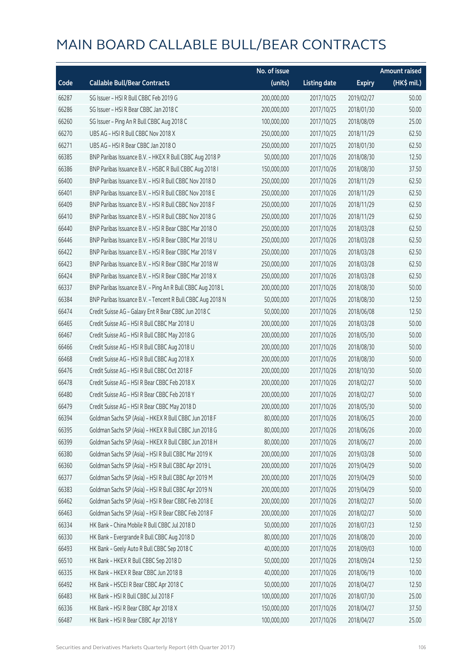|       |                                                            | No. of issue |                     |               | <b>Amount raised</b> |
|-------|------------------------------------------------------------|--------------|---------------------|---------------|----------------------|
| Code  | <b>Callable Bull/Bear Contracts</b>                        | (units)      | <b>Listing date</b> | <b>Expiry</b> | (HK\$ mil.)          |
| 66287 | SG Issuer - HSI R Bull CBBC Feb 2019 G                     | 200,000,000  | 2017/10/25          | 2019/02/27    | 50.00                |
| 66286 | SG Issuer - HSI R Bear CBBC Jan 2018 C                     | 200,000,000  | 2017/10/25          | 2018/01/30    | 50.00                |
| 66260 | SG Issuer - Ping An R Bull CBBC Aug 2018 C                 | 100,000,000  | 2017/10/25          | 2018/08/09    | 25.00                |
| 66270 | UBS AG - HSI R Bull CBBC Nov 2018 X                        | 250,000,000  | 2017/10/25          | 2018/11/29    | 62.50                |
| 66271 | UBS AG - HSI R Bear CBBC Jan 2018 O                        | 250,000,000  | 2017/10/25          | 2018/01/30    | 62.50                |
| 66385 | BNP Paribas Issuance B.V. - HKEX R Bull CBBC Aug 2018 P    | 50,000,000   | 2017/10/26          | 2018/08/30    | 12.50                |
| 66386 | BNP Paribas Issuance B.V. - HSBC R Bull CBBC Aug 2018 I    | 150,000,000  | 2017/10/26          | 2018/08/30    | 37.50                |
| 66400 | BNP Paribas Issuance B.V. - HSI R Bull CBBC Nov 2018 D     | 250,000,000  | 2017/10/26          | 2018/11/29    | 62.50                |
| 66401 | BNP Paribas Issuance B.V. - HSI R Bull CBBC Nov 2018 E     | 250,000,000  | 2017/10/26          | 2018/11/29    | 62.50                |
| 66409 | BNP Paribas Issuance B.V. - HSI R Bull CBBC Nov 2018 F     | 250,000,000  | 2017/10/26          | 2018/11/29    | 62.50                |
| 66410 | BNP Paribas Issuance B.V. - HSI R Bull CBBC Nov 2018 G     | 250,000,000  | 2017/10/26          | 2018/11/29    | 62.50                |
| 66440 | BNP Paribas Issuance B.V. - HSI R Bear CBBC Mar 2018 O     | 250,000,000  | 2017/10/26          | 2018/03/28    | 62.50                |
| 66446 | BNP Paribas Issuance B.V. - HSI R Bear CBBC Mar 2018 U     | 250,000,000  | 2017/10/26          | 2018/03/28    | 62.50                |
| 66422 | BNP Paribas Issuance B.V. - HSI R Bear CBBC Mar 2018 V     | 250,000,000  | 2017/10/26          | 2018/03/28    | 62.50                |
| 66423 | BNP Paribas Issuance B.V. - HSI R Bear CBBC Mar 2018 W     | 250,000,000  | 2017/10/26          | 2018/03/28    | 62.50                |
| 66424 | BNP Paribas Issuance B.V. - HSI R Bear CBBC Mar 2018 X     | 250,000,000  | 2017/10/26          | 2018/03/28    | 62.50                |
| 66337 | BNP Paribas Issuance B.V. - Ping An R Bull CBBC Aug 2018 L | 200,000,000  | 2017/10/26          | 2018/08/30    | 50.00                |
| 66384 | BNP Paribas Issuance B.V. - Tencent R Bull CBBC Aug 2018 N | 50,000,000   | 2017/10/26          | 2018/08/30    | 12.50                |
| 66474 | Credit Suisse AG - Galaxy Ent R Bear CBBC Jun 2018 C       | 50,000,000   | 2017/10/26          | 2018/06/08    | 12.50                |
| 66465 | Credit Suisse AG - HSI R Bull CBBC Mar 2018 U              | 200,000,000  | 2017/10/26          | 2018/03/28    | 50.00                |
| 66467 | Credit Suisse AG - HSI R Bull CBBC May 2018 G              | 200,000,000  | 2017/10/26          | 2018/05/30    | 50.00                |
| 66466 | Credit Suisse AG - HSI R Bull CBBC Aug 2018 U              | 200,000,000  | 2017/10/26          | 2018/08/30    | 50.00                |
| 66468 | Credit Suisse AG - HSI R Bull CBBC Aug 2018 X              | 200,000,000  | 2017/10/26          | 2018/08/30    | 50.00                |
| 66476 | Credit Suisse AG - HSI R Bull CBBC Oct 2018 F              | 200,000,000  | 2017/10/26          | 2018/10/30    | 50.00                |
| 66478 | Credit Suisse AG - HSI R Bear CBBC Feb 2018 X              | 200,000,000  | 2017/10/26          | 2018/02/27    | 50.00                |
| 66480 | Credit Suisse AG - HSI R Bear CBBC Feb 2018 Y              | 200,000,000  | 2017/10/26          | 2018/02/27    | 50.00                |
| 66479 | Credit Suisse AG - HSI R Bear CBBC May 2018 D              | 200,000,000  | 2017/10/26          | 2018/05/30    | 50.00                |
| 66394 | Goldman Sachs SP (Asia) - HKEX R Bull CBBC Jun 2018 F      | 80,000,000   | 2017/10/26          | 2018/06/25    | 20.00                |
| 66395 | Goldman Sachs SP (Asia) - HKEX R Bull CBBC Jun 2018 G      | 80,000,000   | 2017/10/26          | 2018/06/26    | 20.00                |
| 66399 | Goldman Sachs SP (Asia) - HKEX R Bull CBBC Jun 2018 H      | 80,000,000   | 2017/10/26          | 2018/06/27    | 20.00                |
| 66380 | Goldman Sachs SP (Asia) - HSI R Bull CBBC Mar 2019 K       | 200,000,000  | 2017/10/26          | 2019/03/28    | 50.00                |
| 66360 | Goldman Sachs SP (Asia) - HSI R Bull CBBC Apr 2019 L       | 200,000,000  | 2017/10/26          | 2019/04/29    | 50.00                |
| 66377 | Goldman Sachs SP (Asia) - HSI R Bull CBBC Apr 2019 M       | 200,000,000  | 2017/10/26          | 2019/04/29    | 50.00                |
| 66383 | Goldman Sachs SP (Asia) - HSI R Bull CBBC Apr 2019 N       | 200,000,000  | 2017/10/26          | 2019/04/29    | 50.00                |
| 66462 | Goldman Sachs SP (Asia) - HSI R Bear CBBC Feb 2018 E       | 200,000,000  | 2017/10/26          | 2018/02/27    | 50.00                |
| 66463 | Goldman Sachs SP (Asia) - HSI R Bear CBBC Feb 2018 F       | 200,000,000  | 2017/10/26          | 2018/02/27    | 50.00                |
| 66334 | HK Bank - China Mobile R Bull CBBC Jul 2018 D              | 50,000,000   | 2017/10/26          | 2018/07/23    | 12.50                |
| 66330 | HK Bank - Evergrande R Bull CBBC Aug 2018 D                | 80,000,000   | 2017/10/26          | 2018/08/20    | 20.00                |
| 66493 | HK Bank - Geely Auto R Bull CBBC Sep 2018 C                | 40,000,000   | 2017/10/26          | 2018/09/03    | 10.00                |
| 66510 | HK Bank - HKEX R Bull CBBC Sep 2018 D                      | 50,000,000   | 2017/10/26          | 2018/09/24    | 12.50                |
| 66335 | HK Bank - HKEX R Bear CBBC Jun 2018 B                      | 40,000,000   | 2017/10/26          | 2018/06/19    | 10.00                |
| 66492 | HK Bank - HSCEI R Bear CBBC Apr 2018 C                     | 50,000,000   | 2017/10/26          | 2018/04/27    | 12.50                |
| 66483 | HK Bank - HSI R Bull CBBC Jul 2018 F                       | 100,000,000  | 2017/10/26          | 2018/07/30    | 25.00                |
| 66336 | HK Bank - HSI R Bear CBBC Apr 2018 X                       | 150,000,000  | 2017/10/26          | 2018/04/27    | 37.50                |
| 66487 | HK Bank - HSI R Bear CBBC Apr 2018 Y                       | 100,000,000  | 2017/10/26          | 2018/04/27    | 25.00                |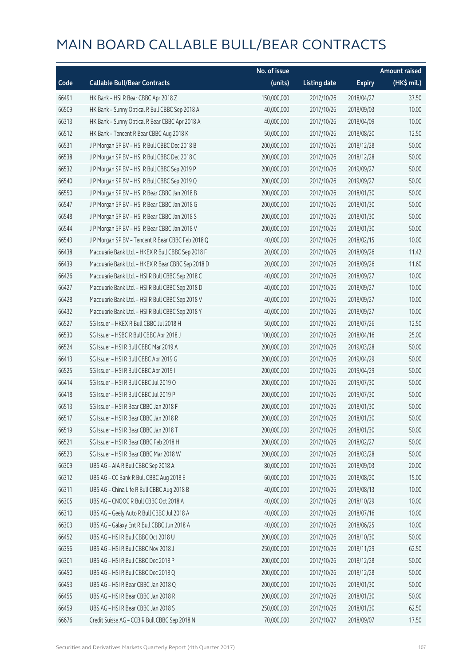|       |                                                   | No. of issue |                     |               | <b>Amount raised</b> |
|-------|---------------------------------------------------|--------------|---------------------|---------------|----------------------|
| Code  | <b>Callable Bull/Bear Contracts</b>               | (units)      | <b>Listing date</b> | <b>Expiry</b> | (HK\$ mil.)          |
| 66491 | HK Bank - HSI R Bear CBBC Apr 2018 Z              | 150,000,000  | 2017/10/26          | 2018/04/27    | 37.50                |
| 66509 | HK Bank - Sunny Optical R Bull CBBC Sep 2018 A    | 40,000,000   | 2017/10/26          | 2018/09/03    | 10.00                |
| 66313 | HK Bank - Sunny Optical R Bear CBBC Apr 2018 A    | 40,000,000   | 2017/10/26          | 2018/04/09    | 10.00                |
| 66512 | HK Bank - Tencent R Bear CBBC Aug 2018 K          | 50,000,000   | 2017/10/26          | 2018/08/20    | 12.50                |
| 66531 | J P Morgan SP BV - HSI R Bull CBBC Dec 2018 B     | 200,000,000  | 2017/10/26          | 2018/12/28    | 50.00                |
| 66538 | J P Morgan SP BV - HSI R Bull CBBC Dec 2018 C     | 200,000,000  | 2017/10/26          | 2018/12/28    | 50.00                |
| 66532 | J P Morgan SP BV - HSI R Bull CBBC Sep 2019 P     | 200,000,000  | 2017/10/26          | 2019/09/27    | 50.00                |
| 66540 | J P Morgan SP BV - HSI R Bull CBBC Sep 2019 Q     | 200,000,000  | 2017/10/26          | 2019/09/27    | 50.00                |
| 66550 | J P Morgan SP BV - HSI R Bear CBBC Jan 2018 B     | 200,000,000  | 2017/10/26          | 2018/01/30    | 50.00                |
| 66547 | J P Morgan SP BV - HSI R Bear CBBC Jan 2018 G     | 200,000,000  | 2017/10/26          | 2018/01/30    | 50.00                |
| 66548 | J P Morgan SP BV - HSI R Bear CBBC Jan 2018 S     | 200,000,000  | 2017/10/26          | 2018/01/30    | 50.00                |
| 66544 | J P Morgan SP BV - HSI R Bear CBBC Jan 2018 V     | 200,000,000  | 2017/10/26          | 2018/01/30    | 50.00                |
| 66543 | J P Morgan SP BV - Tencent R Bear CBBC Feb 2018 Q | 40,000,000   | 2017/10/26          | 2018/02/15    | 10.00                |
| 66438 | Macquarie Bank Ltd. - HKEX R Bull CBBC Sep 2018 F | 20,000,000   | 2017/10/26          | 2018/09/26    | 11.42                |
| 66439 | Macquarie Bank Ltd. - HKEX R Bear CBBC Sep 2018 D | 20,000,000   | 2017/10/26          | 2018/09/26    | 11.60                |
| 66426 | Macquarie Bank Ltd. - HSI R Bull CBBC Sep 2018 C  | 40,000,000   | 2017/10/26          | 2018/09/27    | 10.00                |
| 66427 | Macquarie Bank Ltd. - HSI R Bull CBBC Sep 2018 D  | 40,000,000   | 2017/10/26          | 2018/09/27    | 10.00                |
| 66428 | Macquarie Bank Ltd. - HSI R Bull CBBC Sep 2018 V  | 40,000,000   | 2017/10/26          | 2018/09/27    | 10.00                |
| 66432 | Macquarie Bank Ltd. - HSI R Bull CBBC Sep 2018 Y  | 40,000,000   | 2017/10/26          | 2018/09/27    | 10.00                |
| 66527 | SG Issuer - HKEX R Bull CBBC Jul 2018 H           | 50,000,000   | 2017/10/26          | 2018/07/26    | 12.50                |
| 66530 | SG Issuer - HSBC R Bull CBBC Apr 2018 J           | 100,000,000  | 2017/10/26          | 2018/04/16    | 25.00                |
| 66524 | SG Issuer - HSI R Bull CBBC Mar 2019 A            | 200,000,000  | 2017/10/26          | 2019/03/28    | 50.00                |
| 66413 | SG Issuer - HSI R Bull CBBC Apr 2019 G            | 200,000,000  | 2017/10/26          | 2019/04/29    | 50.00                |
| 66525 | SG Issuer - HSI R Bull CBBC Apr 2019 I            | 200,000,000  | 2017/10/26          | 2019/04/29    | 50.00                |
| 66414 | SG Issuer - HSI R Bull CBBC Jul 2019 O            | 200,000,000  | 2017/10/26          | 2019/07/30    | 50.00                |
| 66418 | SG Issuer - HSI R Bull CBBC Jul 2019 P            | 200,000,000  | 2017/10/26          | 2019/07/30    | 50.00                |
| 66513 | SG Issuer - HSI R Bear CBBC Jan 2018 F            | 200,000,000  | 2017/10/26          | 2018/01/30    | 50.00                |
| 66517 | SG Issuer – HSI R Bear CBBC Jan 2018 R            | 200,000,000  | 2017/10/26          | 2018/01/30    | 50.00                |
| 66519 | SG Issuer - HSI R Bear CBBC Jan 2018 T            | 200,000,000  | 2017/10/26          | 2018/01/30    | 50.00                |
| 66521 | SG Issuer - HSI R Bear CBBC Feb 2018 H            | 200,000,000  | 2017/10/26          | 2018/02/27    | 50.00                |
| 66523 | SG Issuer - HSI R Bear CBBC Mar 2018 W            | 200,000,000  | 2017/10/26          | 2018/03/28    | 50.00                |
| 66309 | UBS AG - AIA R Bull CBBC Sep 2018 A               | 80,000,000   | 2017/10/26          | 2018/09/03    | 20.00                |
| 66312 | UBS AG - CC Bank R Bull CBBC Aug 2018 E           | 60,000,000   | 2017/10/26          | 2018/08/20    | 15.00                |
| 66311 | UBS AG - China Life R Bull CBBC Aug 2018 B        | 40,000,000   | 2017/10/26          | 2018/08/13    | 10.00                |
| 66305 | UBS AG - CNOOC R Bull CBBC Oct 2018 A             | 40,000,000   | 2017/10/26          | 2018/10/29    | 10.00                |
| 66310 | UBS AG - Geely Auto R Bull CBBC Jul 2018 A        | 40,000,000   | 2017/10/26          | 2018/07/16    | 10.00                |
| 66303 | UBS AG - Galaxy Ent R Bull CBBC Jun 2018 A        | 40,000,000   | 2017/10/26          | 2018/06/25    | 10.00                |
| 66452 | UBS AG - HSI R Bull CBBC Oct 2018 U               | 200,000,000  | 2017/10/26          | 2018/10/30    | 50.00                |
| 66356 | UBS AG - HSI R Bull CBBC Nov 2018 J               | 250,000,000  | 2017/10/26          | 2018/11/29    | 62.50                |
| 66301 | UBS AG - HSI R Bull CBBC Dec 2018 P               | 200,000,000  | 2017/10/26          | 2018/12/28    | 50.00                |
| 66450 | UBS AG - HSI R Bull CBBC Dec 2018 Q               | 200,000,000  | 2017/10/26          | 2018/12/28    | 50.00                |
| 66453 | UBS AG - HSI R Bear CBBC Jan 2018 Q               | 200,000,000  | 2017/10/26          | 2018/01/30    | 50.00                |
| 66455 | UBS AG - HSI R Bear CBBC Jan 2018 R               | 200,000,000  | 2017/10/26          | 2018/01/30    | 50.00                |
| 66459 | UBS AG - HSI R Bear CBBC Jan 2018 S               | 250,000,000  | 2017/10/26          | 2018/01/30    | 62.50                |
| 66676 | Credit Suisse AG - CCB R Bull CBBC Sep 2018 N     | 70,000,000   | 2017/10/27          | 2018/09/07    | 17.50                |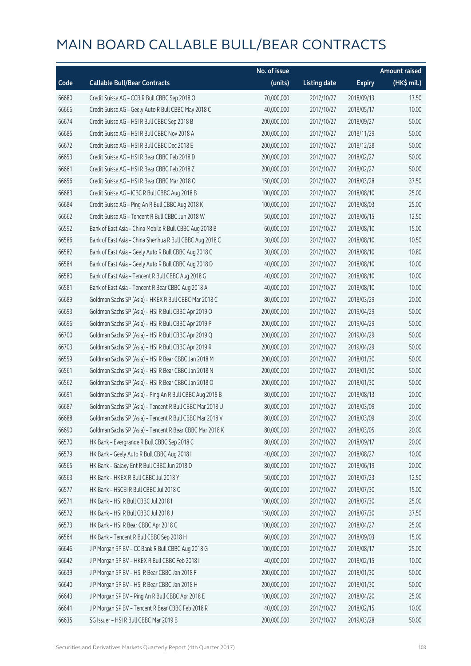|       |                                                          | No. of issue |                     |               | <b>Amount raised</b> |
|-------|----------------------------------------------------------|--------------|---------------------|---------------|----------------------|
| Code  | <b>Callable Bull/Bear Contracts</b>                      | (units)      | <b>Listing date</b> | <b>Expiry</b> | (HK\$ mil.)          |
| 66680 | Credit Suisse AG - CCB R Bull CBBC Sep 2018 O            | 70,000,000   | 2017/10/27          | 2018/09/13    | 17.50                |
| 66666 | Credit Suisse AG - Geely Auto R Bull CBBC May 2018 C     | 40,000,000   | 2017/10/27          | 2018/05/17    | 10.00                |
| 66674 | Credit Suisse AG - HSI R Bull CBBC Sep 2018 B            | 200,000,000  | 2017/10/27          | 2018/09/27    | 50.00                |
| 66685 | Credit Suisse AG - HSI R Bull CBBC Nov 2018 A            | 200,000,000  | 2017/10/27          | 2018/11/29    | 50.00                |
| 66672 | Credit Suisse AG - HSI R Bull CBBC Dec 2018 E            | 200,000,000  | 2017/10/27          | 2018/12/28    | 50.00                |
| 66653 | Credit Suisse AG - HSI R Bear CBBC Feb 2018 D            | 200,000,000  | 2017/10/27          | 2018/02/27    | 50.00                |
| 66661 | Credit Suisse AG - HSI R Bear CBBC Feb 2018 Z            | 200,000,000  | 2017/10/27          | 2018/02/27    | 50.00                |
| 66656 | Credit Suisse AG - HSI R Bear CBBC Mar 2018 O            | 150,000,000  | 2017/10/27          | 2018/03/28    | 37.50                |
| 66683 | Credit Suisse AG - ICBC R Bull CBBC Aug 2018 B           | 100,000,000  | 2017/10/27          | 2018/08/10    | 25.00                |
| 66684 | Credit Suisse AG - Ping An R Bull CBBC Aug 2018 K        | 100,000,000  | 2017/10/27          | 2018/08/03    | 25.00                |
| 66662 | Credit Suisse AG - Tencent R Bull CBBC Jun 2018 W        | 50,000,000   | 2017/10/27          | 2018/06/15    | 12.50                |
| 66592 | Bank of East Asia - China Mobile R Bull CBBC Aug 2018 B  | 60,000,000   | 2017/10/27          | 2018/08/10    | 15.00                |
| 66586 | Bank of East Asia - China Shenhua R Bull CBBC Aug 2018 C | 30,000,000   | 2017/10/27          | 2018/08/10    | 10.50                |
| 66582 | Bank of East Asia - Geely Auto R Bull CBBC Aug 2018 C    | 30,000,000   | 2017/10/27          | 2018/08/10    | 10.80                |
| 66584 | Bank of East Asia - Geely Auto R Bull CBBC Aug 2018 D    | 40,000,000   | 2017/10/27          | 2018/08/10    | 10.00                |
| 66580 | Bank of East Asia - Tencent R Bull CBBC Aug 2018 G       | 40,000,000   | 2017/10/27          | 2018/08/10    | 10.00                |
| 66581 | Bank of East Asia - Tencent R Bear CBBC Aug 2018 A       | 40,000,000   | 2017/10/27          | 2018/08/10    | 10.00                |
| 66689 | Goldman Sachs SP (Asia) - HKEX R Bull CBBC Mar 2018 C    | 80,000,000   | 2017/10/27          | 2018/03/29    | 20.00                |
| 66693 | Goldman Sachs SP (Asia) - HSI R Bull CBBC Apr 2019 O     | 200,000,000  | 2017/10/27          | 2019/04/29    | 50.00                |
| 66696 | Goldman Sachs SP (Asia) - HSI R Bull CBBC Apr 2019 P     | 200,000,000  | 2017/10/27          | 2019/04/29    | 50.00                |
| 66700 | Goldman Sachs SP (Asia) - HSI R Bull CBBC Apr 2019 Q     | 200,000,000  | 2017/10/27          | 2019/04/29    | 50.00                |
| 66703 | Goldman Sachs SP (Asia) - HSI R Bull CBBC Apr 2019 R     | 200,000,000  | 2017/10/27          | 2019/04/29    | 50.00                |
| 66559 | Goldman Sachs SP (Asia) - HSI R Bear CBBC Jan 2018 M     | 200,000,000  | 2017/10/27          | 2018/01/30    | 50.00                |
| 66561 | Goldman Sachs SP (Asia) - HSI R Bear CBBC Jan 2018 N     | 200,000,000  | 2017/10/27          | 2018/01/30    | 50.00                |
| 66562 | Goldman Sachs SP (Asia) - HSI R Bear CBBC Jan 2018 O     | 200,000,000  | 2017/10/27          | 2018/01/30    | 50.00                |
| 66691 | Goldman Sachs SP (Asia) - Ping An R Bull CBBC Aug 2018 B | 80,000,000   | 2017/10/27          | 2018/08/13    | 20.00                |
| 66687 | Goldman Sachs SP (Asia) - Tencent R Bull CBBC Mar 2018 U | 80,000,000   | 2017/10/27          | 2018/03/09    | 20.00                |
| 66688 | Goldman Sachs SP (Asia) - Tencent R Bull CBBC Mar 2018 V | 80,000,000   | 2017/10/27          | 2018/03/09    | 20.00                |
| 66690 | Goldman Sachs SP (Asia) - Tencent R Bear CBBC Mar 2018 K | 80,000,000   | 2017/10/27          | 2018/03/05    | 20.00                |
| 66570 | HK Bank - Evergrande R Bull CBBC Sep 2018 C              | 80,000,000   | 2017/10/27          | 2018/09/17    | 20.00                |
| 66579 | HK Bank - Geely Auto R Bull CBBC Aug 2018 I              | 40,000,000   | 2017/10/27          | 2018/08/27    | 10.00                |
| 66565 | HK Bank - Galaxy Ent R Bull CBBC Jun 2018 D              | 80,000,000   | 2017/10/27          | 2018/06/19    | 20.00                |
| 66563 | HK Bank - HKEX R Bull CBBC Jul 2018 Y                    | 50,000,000   | 2017/10/27          | 2018/07/23    | 12.50                |
| 66577 | HK Bank - HSCEI R Bull CBBC Jul 2018 C                   | 60,000,000   | 2017/10/27          | 2018/07/30    | 15.00                |
| 66571 | HK Bank - HSI R Bull CBBC Jul 2018 I                     | 100,000,000  | 2017/10/27          | 2018/07/30    | 25.00                |
| 66572 | HK Bank - HSI R Bull CBBC Jul 2018 J                     | 150,000,000  | 2017/10/27          | 2018/07/30    | 37.50                |
| 66573 | HK Bank - HSI R Bear CBBC Apr 2018 C                     | 100,000,000  | 2017/10/27          | 2018/04/27    | 25.00                |
| 66564 | HK Bank - Tencent R Bull CBBC Sep 2018 H                 | 60,000,000   | 2017/10/27          | 2018/09/03    | 15.00                |
| 66646 | J P Morgan SP BV - CC Bank R Bull CBBC Aug 2018 G        | 100,000,000  | 2017/10/27          | 2018/08/17    | 25.00                |
| 66642 | J P Morgan SP BV - HKEX R Bull CBBC Feb 2018 I           | 40,000,000   | 2017/10/27          | 2018/02/15    | 10.00                |
| 66639 | J P Morgan SP BV - HSI R Bear CBBC Jan 2018 F            | 200,000,000  | 2017/10/27          | 2018/01/30    | 50.00                |
| 66640 | J P Morgan SP BV - HSI R Bear CBBC Jan 2018 H            | 200,000,000  | 2017/10/27          | 2018/01/30    | 50.00                |
| 66643 | J P Morgan SP BV - Ping An R Bull CBBC Apr 2018 E        | 100,000,000  | 2017/10/27          | 2018/04/20    | 25.00                |
| 66641 | J P Morgan SP BV - Tencent R Bear CBBC Feb 2018 R        | 40,000,000   | 2017/10/27          | 2018/02/15    | 10.00                |
| 66635 | SG Issuer - HSI R Bull CBBC Mar 2019 B                   | 200,000,000  | 2017/10/27          | 2019/03/28    | 50.00                |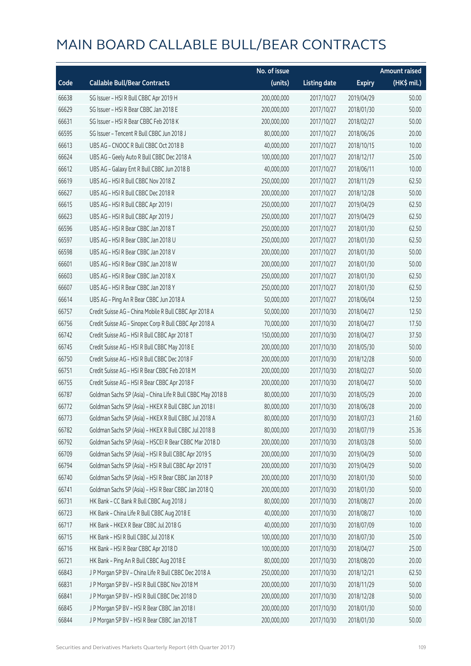|       |                                                             | No. of issue |                     |               | <b>Amount raised</b> |
|-------|-------------------------------------------------------------|--------------|---------------------|---------------|----------------------|
| Code  | <b>Callable Bull/Bear Contracts</b>                         | (units)      | <b>Listing date</b> | <b>Expiry</b> | (HK\$ mil.)          |
| 66638 | SG Issuer - HSI R Bull CBBC Apr 2019 H                      | 200,000,000  | 2017/10/27          | 2019/04/29    | 50.00                |
| 66629 | SG Issuer - HSI R Bear CBBC Jan 2018 E                      | 200,000,000  | 2017/10/27          | 2018/01/30    | 50.00                |
| 66631 | SG Issuer - HSI R Bear CBBC Feb 2018 K                      | 200,000,000  | 2017/10/27          | 2018/02/27    | 50.00                |
| 66595 | SG Issuer - Tencent R Bull CBBC Jun 2018 J                  | 80,000,000   | 2017/10/27          | 2018/06/26    | 20.00                |
| 66613 | UBS AG - CNOOC R Bull CBBC Oct 2018 B                       | 40,000,000   | 2017/10/27          | 2018/10/15    | 10.00                |
| 66624 | UBS AG - Geely Auto R Bull CBBC Dec 2018 A                  | 100,000,000  | 2017/10/27          | 2018/12/17    | 25.00                |
| 66612 | UBS AG - Galaxy Ent R Bull CBBC Jun 2018 B                  | 40,000,000   | 2017/10/27          | 2018/06/11    | 10.00                |
| 66619 | UBS AG - HSI R Bull CBBC Nov 2018 Z                         | 250,000,000  | 2017/10/27          | 2018/11/29    | 62.50                |
| 66627 | UBS AG - HSI R Bull CBBC Dec 2018 R                         | 200,000,000  | 2017/10/27          | 2018/12/28    | 50.00                |
| 66615 | UBS AG - HSI R Bull CBBC Apr 2019 I                         | 250,000,000  | 2017/10/27          | 2019/04/29    | 62.50                |
| 66623 | UBS AG - HSI R Bull CBBC Apr 2019 J                         | 250,000,000  | 2017/10/27          | 2019/04/29    | 62.50                |
| 66596 | UBS AG - HSI R Bear CBBC Jan 2018 T                         | 250,000,000  | 2017/10/27          | 2018/01/30    | 62.50                |
| 66597 | UBS AG - HSI R Bear CBBC Jan 2018 U                         | 250,000,000  | 2017/10/27          | 2018/01/30    | 62.50                |
| 66598 | UBS AG - HSI R Bear CBBC Jan 2018 V                         | 200,000,000  | 2017/10/27          | 2018/01/30    | 50.00                |
| 66601 | UBS AG - HSI R Bear CBBC Jan 2018 W                         | 200,000,000  | 2017/10/27          | 2018/01/30    | 50.00                |
| 66603 | UBS AG - HSI R Bear CBBC Jan 2018 X                         | 250,000,000  | 2017/10/27          | 2018/01/30    | 62.50                |
| 66607 | UBS AG - HSI R Bear CBBC Jan 2018 Y                         | 250,000,000  | 2017/10/27          | 2018/01/30    | 62.50                |
| 66614 | UBS AG - Ping An R Bear CBBC Jun 2018 A                     | 50,000,000   | 2017/10/27          | 2018/06/04    | 12.50                |
| 66757 | Credit Suisse AG - China Mobile R Bull CBBC Apr 2018 A      | 50,000,000   | 2017/10/30          | 2018/04/27    | 12.50                |
| 66756 | Credit Suisse AG - Sinopec Corp R Bull CBBC Apr 2018 A      | 70,000,000   | 2017/10/30          | 2018/04/27    | 17.50                |
| 66742 | Credit Suisse AG - HSI R Bull CBBC Apr 2018 T               | 150,000,000  | 2017/10/30          | 2018/04/27    | 37.50                |
| 66745 | Credit Suisse AG - HSI R Bull CBBC May 2018 E               | 200,000,000  | 2017/10/30          | 2018/05/30    | 50.00                |
| 66750 | Credit Suisse AG - HSI R Bull CBBC Dec 2018 F               | 200,000,000  | 2017/10/30          | 2018/12/28    | 50.00                |
| 66751 | Credit Suisse AG - HSI R Bear CBBC Feb 2018 M               | 200,000,000  | 2017/10/30          | 2018/02/27    | 50.00                |
| 66755 | Credit Suisse AG - HSI R Bear CBBC Apr 2018 F               | 200,000,000  | 2017/10/30          | 2018/04/27    | 50.00                |
| 66787 | Goldman Sachs SP (Asia) - China Life R Bull CBBC May 2018 B | 80,000,000   | 2017/10/30          | 2018/05/29    | 20.00                |
| 66772 | Goldman Sachs SP (Asia) - HKEX R Bull CBBC Jun 2018 I       | 80,000,000   | 2017/10/30          | 2018/06/28    | 20.00                |
| 66773 | Goldman Sachs SP (Asia) - HKEX R Bull CBBC Jul 2018 A       | 80,000,000   | 2017/10/30          | 2018/07/23    | 21.60                |
| 66782 | Goldman Sachs SP (Asia) - HKEX R Bull CBBC Jul 2018 B       | 80,000,000   | 2017/10/30          | 2018/07/19    | 25.36                |
| 66792 | Goldman Sachs SP (Asia) - HSCEI R Bear CBBC Mar 2018 D      | 200,000,000  | 2017/10/30          | 2018/03/28    | 50.00                |
| 66709 | Goldman Sachs SP (Asia) - HSI R Bull CBBC Apr 2019 S        | 200,000,000  | 2017/10/30          | 2019/04/29    | 50.00                |
| 66794 | Goldman Sachs SP (Asia) - HSI R Bull CBBC Apr 2019 T        | 200,000,000  | 2017/10/30          | 2019/04/29    | 50.00                |
| 66740 | Goldman Sachs SP (Asia) - HSI R Bear CBBC Jan 2018 P        | 200,000,000  | 2017/10/30          | 2018/01/30    | 50.00                |
| 66741 | Goldman Sachs SP (Asia) - HSI R Bear CBBC Jan 2018 Q        | 200,000,000  | 2017/10/30          | 2018/01/30    | 50.00                |
| 66731 | HK Bank - CC Bank R Bull CBBC Aug 2018 J                    | 80,000,000   | 2017/10/30          | 2018/08/27    | 20.00                |
| 66723 | HK Bank - China Life R Bull CBBC Aug 2018 E                 | 40,000,000   | 2017/10/30          | 2018/08/27    | 10.00                |
| 66717 | HK Bank - HKEX R Bear CBBC Jul 2018 G                       | 40,000,000   | 2017/10/30          | 2018/07/09    | 10.00                |
| 66715 | HK Bank - HSI R Bull CBBC Jul 2018 K                        | 100,000,000  | 2017/10/30          | 2018/07/30    | 25.00                |
| 66716 | HK Bank - HSI R Bear CBBC Apr 2018 D                        | 100,000,000  | 2017/10/30          | 2018/04/27    | 25.00                |
| 66721 | HK Bank - Ping An R Bull CBBC Aug 2018 E                    | 80,000,000   | 2017/10/30          | 2018/08/20    | 20.00                |
| 66843 | J P Morgan SP BV - China Life R Bull CBBC Dec 2018 A        | 250,000,000  | 2017/10/30          | 2018/12/21    | 62.50                |
| 66831 | J P Morgan SP BV - HSI R Bull CBBC Nov 2018 M               | 200,000,000  | 2017/10/30          | 2018/11/29    | 50.00                |
| 66841 | J P Morgan SP BV - HSI R Bull CBBC Dec 2018 D               | 200,000,000  | 2017/10/30          | 2018/12/28    | 50.00                |
| 66845 | J P Morgan SP BV - HSI R Bear CBBC Jan 2018 I               | 200,000,000  | 2017/10/30          | 2018/01/30    | 50.00                |
| 66844 | J P Morgan SP BV - HSI R Bear CBBC Jan 2018 T               | 200,000,000  | 2017/10/30          | 2018/01/30    | 50.00                |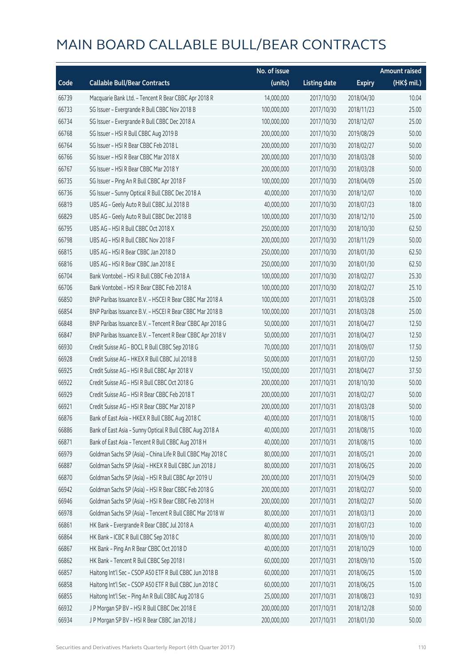|       |                                                             | No. of issue |                     |               | <b>Amount raised</b> |
|-------|-------------------------------------------------------------|--------------|---------------------|---------------|----------------------|
| Code  | <b>Callable Bull/Bear Contracts</b>                         | (units)      | <b>Listing date</b> | <b>Expiry</b> | (HK\$ mil.)          |
| 66739 | Macquarie Bank Ltd. - Tencent R Bear CBBC Apr 2018 R        | 14,000,000   | 2017/10/30          | 2018/04/30    | 10.04                |
| 66733 | SG Issuer - Evergrande R Bull CBBC Nov 2018 B               | 100,000,000  | 2017/10/30          | 2018/11/23    | 25.00                |
| 66734 | SG Issuer - Evergrande R Bull CBBC Dec 2018 A               | 100,000,000  | 2017/10/30          | 2018/12/07    | 25.00                |
| 66768 | SG Issuer - HSI R Bull CBBC Aug 2019 B                      | 200,000,000  | 2017/10/30          | 2019/08/29    | 50.00                |
| 66764 | SG Issuer - HSI R Bear CBBC Feb 2018 L                      | 200,000,000  | 2017/10/30          | 2018/02/27    | 50.00                |
| 66766 | SG Issuer - HSI R Bear CBBC Mar 2018 X                      | 200,000,000  | 2017/10/30          | 2018/03/28    | 50.00                |
| 66767 | SG Issuer - HSI R Bear CBBC Mar 2018 Y                      | 200,000,000  | 2017/10/30          | 2018/03/28    | 50.00                |
| 66735 | SG Issuer - Ping An R Bull CBBC Apr 2018 F                  | 100,000,000  | 2017/10/30          | 2018/04/09    | 25.00                |
| 66736 | SG Issuer - Sunny Optical R Bull CBBC Dec 2018 A            | 40,000,000   | 2017/10/30          | 2018/12/07    | 10.00                |
| 66819 | UBS AG - Geely Auto R Bull CBBC Jul 2018 B                  | 40,000,000   | 2017/10/30          | 2018/07/23    | 18.00                |
| 66829 | UBS AG - Geely Auto R Bull CBBC Dec 2018 B                  | 100,000,000  | 2017/10/30          | 2018/12/10    | 25.00                |
| 66795 | UBS AG - HSI R Bull CBBC Oct 2018 X                         | 250,000,000  | 2017/10/30          | 2018/10/30    | 62.50                |
| 66798 | UBS AG - HSI R Bull CBBC Nov 2018 F                         | 200,000,000  | 2017/10/30          | 2018/11/29    | 50.00                |
| 66815 | UBS AG - HSI R Bear CBBC Jan 2018 D                         | 250,000,000  | 2017/10/30          | 2018/01/30    | 62.50                |
| 66816 | UBS AG - HSI R Bear CBBC Jan 2018 E                         | 250,000,000  | 2017/10/30          | 2018/01/30    | 62.50                |
| 66704 | Bank Vontobel - HSI R Bull CBBC Feb 2018 A                  | 100,000,000  | 2017/10/30          | 2018/02/27    | 25.30                |
| 66706 | Bank Vontobel - HSI R Bear CBBC Feb 2018 A                  | 100,000,000  | 2017/10/30          | 2018/02/27    | 25.10                |
| 66850 | BNP Paribas Issuance B.V. - HSCEI R Bear CBBC Mar 2018 A    | 100,000,000  | 2017/10/31          | 2018/03/28    | 25.00                |
| 66854 | BNP Paribas Issuance B.V. - HSCEI R Bear CBBC Mar 2018 B    | 100,000,000  | 2017/10/31          | 2018/03/28    | 25.00                |
| 66848 | BNP Paribas Issuance B.V. - Tencent R Bear CBBC Apr 2018 G  | 50,000,000   | 2017/10/31          | 2018/04/27    | 12.50                |
| 66847 | BNP Paribas Issuance B.V. - Tencent R Bear CBBC Apr 2018 V  | 50,000,000   | 2017/10/31          | 2018/04/27    | 12.50                |
| 66930 | Credit Suisse AG - BOCL R Bull CBBC Sep 2018 G              | 70,000,000   | 2017/10/31          | 2018/09/07    | 17.50                |
| 66928 | Credit Suisse AG - HKEX R Bull CBBC Jul 2018 B              | 50,000,000   | 2017/10/31          | 2018/07/20    | 12.50                |
| 66925 | Credit Suisse AG - HSI R Bull CBBC Apr 2018 V               | 150,000,000  | 2017/10/31          | 2018/04/27    | 37.50                |
| 66922 | Credit Suisse AG - HSI R Bull CBBC Oct 2018 G               | 200,000,000  | 2017/10/31          | 2018/10/30    | 50.00                |
| 66929 | Credit Suisse AG - HSI R Bear CBBC Feb 2018 T               | 200,000,000  | 2017/10/31          | 2018/02/27    | 50.00                |
| 66921 | Credit Suisse AG - HSI R Bear CBBC Mar 2018 P               | 200,000,000  | 2017/10/31          | 2018/03/28    | 50.00                |
| 66876 | Bank of East Asia - HKEX R Bull CBBC Aug 2018 C             | 40,000,000   | 2017/10/31          | 2018/08/15    | 10.00                |
| 66886 | Bank of East Asia - Sunny Optical R Bull CBBC Aug 2018 A    | 40,000,000   | 2017/10/31          | 2018/08/15    | 10.00                |
| 66871 | Bank of East Asia - Tencent R Bull CBBC Aug 2018 H          | 40,000,000   | 2017/10/31          | 2018/08/15    | 10.00                |
| 66979 | Goldman Sachs SP (Asia) - China Life R Bull CBBC May 2018 C | 80,000,000   | 2017/10/31          | 2018/05/21    | 20.00                |
| 66887 | Goldman Sachs SP (Asia) - HKEX R Bull CBBC Jun 2018 J       | 80,000,000   | 2017/10/31          | 2018/06/25    | 20.00                |
| 66870 | Goldman Sachs SP (Asia) - HSI R Bull CBBC Apr 2019 U        | 200,000,000  | 2017/10/31          | 2019/04/29    | 50.00                |
| 66942 | Goldman Sachs SP (Asia) - HSI R Bear CBBC Feb 2018 G        | 200,000,000  | 2017/10/31          | 2018/02/27    | 50.00                |
| 66946 | Goldman Sachs SP (Asia) - HSI R Bear CBBC Feb 2018 H        | 200,000,000  | 2017/10/31          | 2018/02/27    | 50.00                |
| 66978 | Goldman Sachs SP (Asia) - Tencent R Bull CBBC Mar 2018 W    | 80,000,000   | 2017/10/31          | 2018/03/13    | 20.00                |
| 66861 | HK Bank - Evergrande R Bear CBBC Jul 2018 A                 | 40,000,000   | 2017/10/31          | 2018/07/23    | 10.00                |
| 66864 | HK Bank - ICBC R Bull CBBC Sep 2018 C                       | 80,000,000   | 2017/10/31          | 2018/09/10    | 20.00                |
| 66867 | HK Bank - Ping An R Bear CBBC Oct 2018 D                    | 40,000,000   | 2017/10/31          | 2018/10/29    | 10.00                |
| 66862 | HK Bank - Tencent R Bull CBBC Sep 2018 I                    | 60,000,000   | 2017/10/31          | 2018/09/10    | 15.00                |
| 66857 | Haitong Int'l Sec - CSOP A50 ETF R Bull CBBC Jun 2018 B     | 60,000,000   | 2017/10/31          | 2018/06/25    | 15.00                |
| 66858 | Haitong Int'l Sec - CSOP A50 ETF R Bull CBBC Jun 2018 C     | 60,000,000   | 2017/10/31          | 2018/06/25    | 15.00                |
| 66855 | Haitong Int'l Sec - Ping An R Bull CBBC Aug 2018 G          | 25,000,000   | 2017/10/31          | 2018/08/23    | 10.93                |
| 66932 | J P Morgan SP BV - HSI R Bull CBBC Dec 2018 E               | 200,000,000  | 2017/10/31          | 2018/12/28    | 50.00                |
| 66934 | J P Morgan SP BV - HSI R Bear CBBC Jan 2018 J               | 200,000,000  | 2017/10/31          | 2018/01/30    | 50.00                |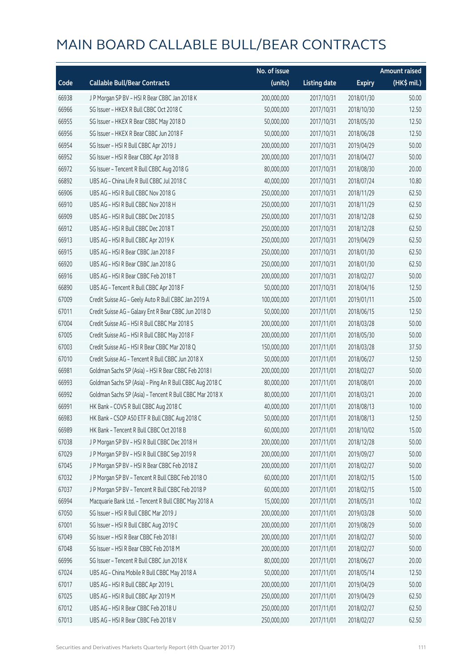|       |                                                          | No. of issue |                     |               | <b>Amount raised</b> |
|-------|----------------------------------------------------------|--------------|---------------------|---------------|----------------------|
| Code  | <b>Callable Bull/Bear Contracts</b>                      | (units)      | <b>Listing date</b> | <b>Expiry</b> | (HK\$ mil.)          |
| 66938 | J P Morgan SP BV - HSI R Bear CBBC Jan 2018 K            | 200,000,000  | 2017/10/31          | 2018/01/30    | 50.00                |
| 66966 | SG Issuer - HKEX R Bull CBBC Oct 2018 C                  | 50,000,000   | 2017/10/31          | 2018/10/30    | 12.50                |
| 66955 | SG Issuer - HKEX R Bear CBBC May 2018 D                  | 50,000,000   | 2017/10/31          | 2018/05/30    | 12.50                |
| 66956 | SG Issuer - HKEX R Bear CBBC Jun 2018 F                  | 50,000,000   | 2017/10/31          | 2018/06/28    | 12.50                |
| 66954 | SG Issuer - HSI R Bull CBBC Apr 2019 J                   | 200,000,000  | 2017/10/31          | 2019/04/29    | 50.00                |
| 66952 | SG Issuer - HSI R Bear CBBC Apr 2018 B                   | 200,000,000  | 2017/10/31          | 2018/04/27    | 50.00                |
| 66972 | SG Issuer - Tencent R Bull CBBC Aug 2018 G               | 80,000,000   | 2017/10/31          | 2018/08/30    | 20.00                |
| 66892 | UBS AG - China Life R Bull CBBC Jul 2018 C               | 40,000,000   | 2017/10/31          | 2018/07/24    | 10.80                |
| 66906 | UBS AG - HSI R Bull CBBC Nov 2018 G                      | 250,000,000  | 2017/10/31          | 2018/11/29    | 62.50                |
| 66910 | UBS AG - HSI R Bull CBBC Nov 2018 H                      | 250,000,000  | 2017/10/31          | 2018/11/29    | 62.50                |
| 66909 | UBS AG - HSI R Bull CBBC Dec 2018 S                      | 250,000,000  | 2017/10/31          | 2018/12/28    | 62.50                |
| 66912 | UBS AG - HSI R Bull CBBC Dec 2018 T                      | 250,000,000  | 2017/10/31          | 2018/12/28    | 62.50                |
| 66913 | UBS AG - HSI R Bull CBBC Apr 2019 K                      | 250,000,000  | 2017/10/31          | 2019/04/29    | 62.50                |
| 66915 | UBS AG - HSI R Bear CBBC Jan 2018 F                      | 250,000,000  | 2017/10/31          | 2018/01/30    | 62.50                |
| 66920 | UBS AG - HSI R Bear CBBC Jan 2018 G                      | 250,000,000  | 2017/10/31          | 2018/01/30    | 62.50                |
| 66916 | UBS AG - HSI R Bear CBBC Feb 2018 T                      | 200,000,000  | 2017/10/31          | 2018/02/27    | 50.00                |
| 66890 | UBS AG - Tencent R Bull CBBC Apr 2018 F                  | 50,000,000   | 2017/10/31          | 2018/04/16    | 12.50                |
| 67009 | Credit Suisse AG - Geely Auto R Bull CBBC Jan 2019 A     | 100,000,000  | 2017/11/01          | 2019/01/11    | 25.00                |
| 67011 | Credit Suisse AG - Galaxy Ent R Bear CBBC Jun 2018 D     | 50,000,000   | 2017/11/01          | 2018/06/15    | 12.50                |
| 67004 | Credit Suisse AG - HSI R Bull CBBC Mar 2018 S            | 200,000,000  | 2017/11/01          | 2018/03/28    | 50.00                |
| 67005 | Credit Suisse AG - HSI R Bull CBBC May 2018 F            | 200,000,000  | 2017/11/01          | 2018/05/30    | 50.00                |
| 67003 | Credit Suisse AG - HSI R Bear CBBC Mar 2018 Q            | 150,000,000  | 2017/11/01          | 2018/03/28    | 37.50                |
| 67010 | Credit Suisse AG - Tencent R Bull CBBC Jun 2018 X        | 50,000,000   | 2017/11/01          | 2018/06/27    | 12.50                |
| 66981 | Goldman Sachs SP (Asia) - HSI R Bear CBBC Feb 2018 I     | 200,000,000  | 2017/11/01          | 2018/02/27    | 50.00                |
| 66993 | Goldman Sachs SP (Asia) - Ping An R Bull CBBC Aug 2018 C | 80,000,000   | 2017/11/01          | 2018/08/01    | 20.00                |
| 66992 | Goldman Sachs SP (Asia) - Tencent R Bull CBBC Mar 2018 X | 80,000,000   | 2017/11/01          | 2018/03/21    | 20.00                |
| 66991 | HK Bank - COVS R Bull CBBC Aug 2018 C                    | 40,000,000   | 2017/11/01          | 2018/08/13    | 10.00                |
| 66983 | HK Bank - CSOP A50 ETF R Bull CBBC Aug 2018 C            | 50,000,000   | 2017/11/01          | 2018/08/13    | 12.50                |
| 66989 | HK Bank - Tencent R Bull CBBC Oct 2018 B                 | 60,000,000   | 2017/11/01          | 2018/10/02    | 15.00                |
| 67038 | J P Morgan SP BV - HSI R Bull CBBC Dec 2018 H            | 200,000,000  | 2017/11/01          | 2018/12/28    | 50.00                |
| 67029 | J P Morgan SP BV - HSI R Bull CBBC Sep 2019 R            | 200,000,000  | 2017/11/01          | 2019/09/27    | 50.00                |
| 67045 | J P Morgan SP BV - HSI R Bear CBBC Feb 2018 Z            | 200,000,000  | 2017/11/01          | 2018/02/27    | 50.00                |
| 67032 | J P Morgan SP BV - Tencent R Bull CBBC Feb 2018 O        | 60,000,000   | 2017/11/01          | 2018/02/15    | 15.00                |
| 67037 | J P Morgan SP BV - Tencent R Bull CBBC Feb 2018 P        | 60,000,000   | 2017/11/01          | 2018/02/15    | 15.00                |
| 66994 | Macquarie Bank Ltd. - Tencent R Bull CBBC May 2018 A     | 15,000,000   | 2017/11/01          | 2018/05/31    | 10.02                |
| 67050 | SG Issuer - HSI R Bull CBBC Mar 2019 J                   | 200,000,000  | 2017/11/01          | 2019/03/28    | 50.00                |
| 67001 | SG Issuer - HSI R Bull CBBC Aug 2019 C                   | 200,000,000  | 2017/11/01          | 2019/08/29    | 50.00                |
| 67049 | SG Issuer - HSI R Bear CBBC Feb 2018 I                   | 200,000,000  | 2017/11/01          | 2018/02/27    | 50.00                |
| 67048 | SG Issuer - HSI R Bear CBBC Feb 2018 M                   | 200,000,000  | 2017/11/01          | 2018/02/27    | 50.00                |
| 66996 | SG Issuer - Tencent R Bull CBBC Jun 2018 K               | 80,000,000   | 2017/11/01          | 2018/06/27    | 20.00                |
| 67024 | UBS AG - China Mobile R Bull CBBC May 2018 A             | 50,000,000   | 2017/11/01          | 2018/05/14    | 12.50                |
| 67017 | UBS AG - HSI R Bull CBBC Apr 2019 L                      | 200,000,000  | 2017/11/01          | 2019/04/29    | 50.00                |
| 67025 | UBS AG - HSI R Bull CBBC Apr 2019 M                      | 250,000,000  | 2017/11/01          | 2019/04/29    | 62.50                |
| 67012 | UBS AG - HSI R Bear CBBC Feb 2018 U                      | 250,000,000  | 2017/11/01          | 2018/02/27    | 62.50                |
| 67013 | UBS AG - HSI R Bear CBBC Feb 2018 V                      | 250,000,000  | 2017/11/01          | 2018/02/27    | 62.50                |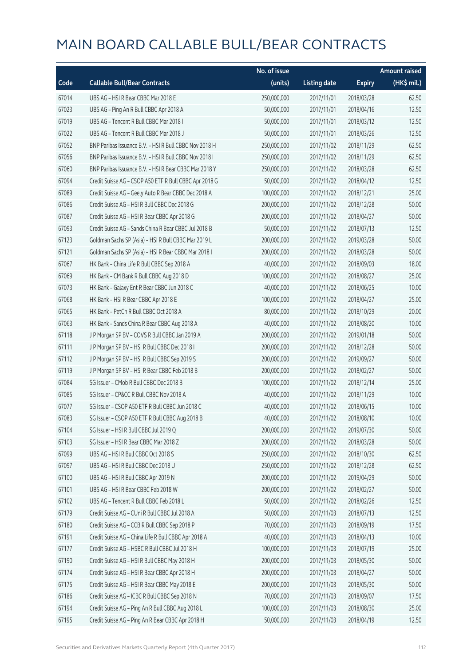|       |                                                        | No. of issue |                     |               | <b>Amount raised</b> |
|-------|--------------------------------------------------------|--------------|---------------------|---------------|----------------------|
| Code  | <b>Callable Bull/Bear Contracts</b>                    | (units)      | <b>Listing date</b> | <b>Expiry</b> | (HK\$ mil.)          |
| 67014 | UBS AG - HSI R Bear CBBC Mar 2018 E                    | 250,000,000  | 2017/11/01          | 2018/03/28    | 62.50                |
| 67023 | UBS AG - Ping An R Bull CBBC Apr 2018 A                | 50,000,000   | 2017/11/01          | 2018/04/16    | 12.50                |
| 67019 | UBS AG - Tencent R Bull CBBC Mar 2018 I                | 50,000,000   | 2017/11/01          | 2018/03/12    | 12.50                |
| 67022 | UBS AG - Tencent R Bull CBBC Mar 2018 J                | 50,000,000   | 2017/11/01          | 2018/03/26    | 12.50                |
| 67052 | BNP Paribas Issuance B.V. - HSI R Bull CBBC Nov 2018 H | 250,000,000  | 2017/11/02          | 2018/11/29    | 62.50                |
| 67056 | BNP Paribas Issuance B.V. - HSI R Bull CBBC Nov 2018 I | 250,000,000  | 2017/11/02          | 2018/11/29    | 62.50                |
| 67060 | BNP Paribas Issuance B.V. - HSI R Bear CBBC Mar 2018 Y | 250,000,000  | 2017/11/02          | 2018/03/28    | 62.50                |
| 67094 | Credit Suisse AG - CSOP A50 ETF R Bull CBBC Apr 2018 G | 50,000,000   | 2017/11/02          | 2018/04/12    | 12.50                |
| 67089 | Credit Suisse AG - Geely Auto R Bear CBBC Dec 2018 A   | 100,000,000  | 2017/11/02          | 2018/12/21    | 25.00                |
| 67086 | Credit Suisse AG - HSI R Bull CBBC Dec 2018 G          | 200,000,000  | 2017/11/02          | 2018/12/28    | 50.00                |
| 67087 | Credit Suisse AG - HSI R Bear CBBC Apr 2018 G          | 200,000,000  | 2017/11/02          | 2018/04/27    | 50.00                |
| 67093 | Credit Suisse AG - Sands China R Bear CBBC Jul 2018 B  | 50,000,000   | 2017/11/02          | 2018/07/13    | 12.50                |
| 67123 | Goldman Sachs SP (Asia) - HSI R Bull CBBC Mar 2019 L   | 200,000,000  | 2017/11/02          | 2019/03/28    | 50.00                |
| 67121 | Goldman Sachs SP (Asia) - HSI R Bear CBBC Mar 2018 I   | 200,000,000  | 2017/11/02          | 2018/03/28    | 50.00                |
| 67067 | HK Bank - China Life R Bull CBBC Sep 2018 A            | 40,000,000   | 2017/11/02          | 2018/09/03    | 18.00                |
| 67069 | HK Bank - CM Bank R Bull CBBC Aug 2018 D               | 100,000,000  | 2017/11/02          | 2018/08/27    | 25.00                |
| 67073 | HK Bank - Galaxy Ent R Bear CBBC Jun 2018 C            | 40,000,000   | 2017/11/02          | 2018/06/25    | 10.00                |
| 67068 | HK Bank - HSI R Bear CBBC Apr 2018 E                   | 100,000,000  | 2017/11/02          | 2018/04/27    | 25.00                |
| 67065 | HK Bank - PetCh R Bull CBBC Oct 2018 A                 | 80,000,000   | 2017/11/02          | 2018/10/29    | 20.00                |
| 67063 | HK Bank - Sands China R Bear CBBC Aug 2018 A           | 40,000,000   | 2017/11/02          | 2018/08/20    | 10.00                |
| 67118 | J P Morgan SP BV - COVS R Bull CBBC Jan 2019 A         | 200,000,000  | 2017/11/02          | 2019/01/18    | 50.00                |
| 67111 | JP Morgan SP BV - HSIR Bull CBBC Dec 2018 I            | 200,000,000  | 2017/11/02          | 2018/12/28    | 50.00                |
| 67112 | JP Morgan SP BV - HSIR Bull CBBC Sep 2019 S            | 200,000,000  | 2017/11/02          | 2019/09/27    | 50.00                |
| 67119 | J P Morgan SP BV - HSI R Bear CBBC Feb 2018 B          | 200,000,000  | 2017/11/02          | 2018/02/27    | 50.00                |
| 67084 | SG Issuer - CMob R Bull CBBC Dec 2018 B                | 100,000,000  | 2017/11/02          | 2018/12/14    | 25.00                |
| 67085 | SG Issuer - CP&CC R Bull CBBC Nov 2018 A               | 40,000,000   | 2017/11/02          | 2018/11/29    | 10.00                |
| 67077 | SG Issuer - CSOP A50 ETF R Bull CBBC Jun 2018 C        | 40,000,000   | 2017/11/02          | 2018/06/15    | 10.00                |
| 67083 | SG Issuer - CSOP A50 ETF R Bull CBBC Aug 2018 B        | 40,000,000   | 2017/11/02          | 2018/08/10    | 10.00                |
| 67104 | SG Issuer - HSI R Bull CBBC Jul 2019 Q                 | 200,000,000  | 2017/11/02          | 2019/07/30    | 50.00                |
| 67103 | SG Issuer - HSI R Bear CBBC Mar 2018 Z                 | 200,000,000  | 2017/11/02          | 2018/03/28    | 50.00                |
| 67099 | UBS AG - HSI R Bull CBBC Oct 2018 S                    | 250,000,000  | 2017/11/02          | 2018/10/30    | 62.50                |
| 67097 | UBS AG - HSI R Bull CBBC Dec 2018 U                    | 250,000,000  | 2017/11/02          | 2018/12/28    | 62.50                |
| 67100 | UBS AG - HSI R Bull CBBC Apr 2019 N                    | 200,000,000  | 2017/11/02          | 2019/04/29    | 50.00                |
| 67101 | UBS AG - HSI R Bear CBBC Feb 2018 W                    | 200,000,000  | 2017/11/02          | 2018/02/27    | 50.00                |
| 67102 | UBS AG - Tencent R Bull CBBC Feb 2018 L                | 50,000,000   | 2017/11/02          | 2018/02/26    | 12.50                |
| 67179 | Credit Suisse AG - CUni R Bull CBBC Jul 2018 A         | 50,000,000   | 2017/11/03          | 2018/07/13    | 12.50                |
| 67180 | Credit Suisse AG - CCB R Bull CBBC Sep 2018 P          | 70,000,000   | 2017/11/03          | 2018/09/19    | 17.50                |
| 67191 | Credit Suisse AG - China Life R Bull CBBC Apr 2018 A   | 40,000,000   | 2017/11/03          | 2018/04/13    | 10.00                |
| 67177 | Credit Suisse AG - HSBC R Bull CBBC Jul 2018 H         | 100,000,000  | 2017/11/03          | 2018/07/19    | 25.00                |
| 67190 | Credit Suisse AG - HSI R Bull CBBC May 2018 H          | 200,000,000  | 2017/11/03          | 2018/05/30    | 50.00                |
| 67174 | Credit Suisse AG - HSI R Bear CBBC Apr 2018 H          | 200,000,000  | 2017/11/03          | 2018/04/27    | 50.00                |
| 67175 | Credit Suisse AG - HSI R Bear CBBC May 2018 E          | 200,000,000  | 2017/11/03          | 2018/05/30    | 50.00                |
| 67186 | Credit Suisse AG - ICBC R Bull CBBC Sep 2018 N         | 70,000,000   | 2017/11/03          | 2018/09/07    | 17.50                |
| 67194 | Credit Suisse AG - Ping An R Bull CBBC Aug 2018 L      | 100,000,000  | 2017/11/03          | 2018/08/30    | 25.00                |
| 67195 | Credit Suisse AG - Ping An R Bear CBBC Apr 2018 H      | 50,000,000   | 2017/11/03          | 2018/04/19    | 12.50                |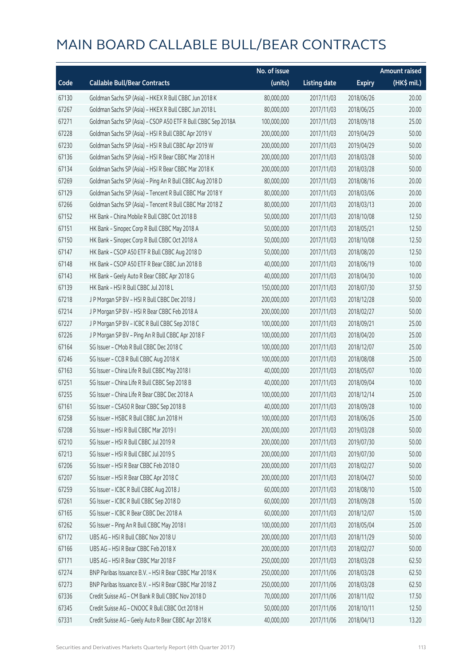|       |                                                              | No. of issue |                     |               | <b>Amount raised</b> |
|-------|--------------------------------------------------------------|--------------|---------------------|---------------|----------------------|
| Code  | <b>Callable Bull/Bear Contracts</b>                          | (units)      | <b>Listing date</b> | <b>Expiry</b> | (HK\$ mil.)          |
| 67130 | Goldman Sachs SP (Asia) - HKEX R Bull CBBC Jun 2018 K        | 80,000,000   | 2017/11/03          | 2018/06/26    | 20.00                |
| 67267 | Goldman Sachs SP (Asia) - HKEX R Bull CBBC Jun 2018 L        | 80,000,000   | 2017/11/03          | 2018/06/25    | 20.00                |
| 67271 | Goldman Sachs SP (Asia) - CSOP A50 ETF R Bull CBBC Sep 2018A | 100,000,000  | 2017/11/03          | 2018/09/18    | 25.00                |
| 67228 | Goldman Sachs SP (Asia) - HSI R Bull CBBC Apr 2019 V         | 200,000,000  | 2017/11/03          | 2019/04/29    | 50.00                |
| 67230 | Goldman Sachs SP (Asia) - HSI R Bull CBBC Apr 2019 W         | 200,000,000  | 2017/11/03          | 2019/04/29    | 50.00                |
| 67136 | Goldman Sachs SP (Asia) - HSI R Bear CBBC Mar 2018 H         | 200,000,000  | 2017/11/03          | 2018/03/28    | 50.00                |
| 67134 | Goldman Sachs SP (Asia) - HSI R Bear CBBC Mar 2018 K         | 200,000,000  | 2017/11/03          | 2018/03/28    | 50.00                |
| 67269 | Goldman Sachs SP (Asia) - Ping An R Bull CBBC Aug 2018 D     | 80,000,000   | 2017/11/03          | 2018/08/16    | 20.00                |
| 67129 | Goldman Sachs SP (Asia) - Tencent R Bull CBBC Mar 2018 Y     | 80,000,000   | 2017/11/03          | 2018/03/06    | 20.00                |
| 67266 | Goldman Sachs SP (Asia) - Tencent R Bull CBBC Mar 2018 Z     | 80,000,000   | 2017/11/03          | 2018/03/13    | 20.00                |
| 67152 | HK Bank - China Mobile R Bull CBBC Oct 2018 B                | 50,000,000   | 2017/11/03          | 2018/10/08    | 12.50                |
| 67151 | HK Bank - Sinopec Corp R Bull CBBC May 2018 A                | 50,000,000   | 2017/11/03          | 2018/05/21    | 12.50                |
| 67150 | HK Bank - Sinopec Corp R Bull CBBC Oct 2018 A                | 50,000,000   | 2017/11/03          | 2018/10/08    | 12.50                |
| 67147 | HK Bank - CSOP A50 ETF R Bull CBBC Aug 2018 D                | 50,000,000   | 2017/11/03          | 2018/08/20    | 12.50                |
| 67148 | HK Bank - CSOP A50 ETF R Bear CBBC Jun 2018 B                | 40,000,000   | 2017/11/03          | 2018/06/19    | 10.00                |
| 67143 | HK Bank - Geely Auto R Bear CBBC Apr 2018 G                  | 40,000,000   | 2017/11/03          | 2018/04/30    | 10.00                |
| 67139 | HK Bank - HSI R Bull CBBC Jul 2018 L                         | 150,000,000  | 2017/11/03          | 2018/07/30    | 37.50                |
| 67218 | J P Morgan SP BV - HSI R Bull CBBC Dec 2018 J                | 200,000,000  | 2017/11/03          | 2018/12/28    | 50.00                |
| 67214 | J P Morgan SP BV - HSI R Bear CBBC Feb 2018 A                | 200,000,000  | 2017/11/03          | 2018/02/27    | 50.00                |
| 67227 | J P Morgan SP BV - ICBC R Bull CBBC Sep 2018 C               | 100,000,000  | 2017/11/03          | 2018/09/21    | 25.00                |
| 67226 | J P Morgan SP BV - Ping An R Bull CBBC Apr 2018 F            | 100,000,000  | 2017/11/03          | 2018/04/20    | 25.00                |
| 67164 | SG Issuer - CMob R Bull CBBC Dec 2018 C                      | 100,000,000  | 2017/11/03          | 2018/12/07    | 25.00                |
| 67246 | SG Issuer - CCB R Bull CBBC Aug 2018 K                       | 100,000,000  | 2017/11/03          | 2018/08/08    | 25.00                |
| 67163 | SG Issuer - China Life R Bull CBBC May 2018 I                | 40,000,000   | 2017/11/03          | 2018/05/07    | 10.00                |
| 67251 | SG Issuer - China Life R Bull CBBC Sep 2018 B                | 40,000,000   | 2017/11/03          | 2018/09/04    | 10.00                |
| 67255 | SG Issuer - China Life R Bear CBBC Dec 2018 A                | 100,000,000  | 2017/11/03          | 2018/12/14    | 25.00                |
| 67161 | SG Issuer - CSA50 R Bear CBBC Sep 2018 B                     | 40,000,000   | 2017/11/03          | 2018/09/28    | 10.00                |
| 67258 | SG Issuer – HSBC R Bull CBBC Jun 2018 H                      | 100,000,000  | 2017/11/03          | 2018/06/26    | 25.00                |
| 67208 | SG Issuer - HSI R Bull CBBC Mar 2019 I                       | 200,000,000  | 2017/11/03          | 2019/03/28    | 50.00                |
| 67210 | SG Issuer - HSI R Bull CBBC Jul 2019 R                       | 200,000,000  | 2017/11/03          | 2019/07/30    | 50.00                |
| 67213 | SG Issuer - HSI R Bull CBBC Jul 2019 S                       | 200,000,000  | 2017/11/03          | 2019/07/30    | 50.00                |
| 67206 | SG Issuer - HSI R Bear CBBC Feb 2018 O                       | 200,000,000  | 2017/11/03          | 2018/02/27    | 50.00                |
| 67207 | SG Issuer - HSI R Bear CBBC Apr 2018 C                       | 200,000,000  | 2017/11/03          | 2018/04/27    | 50.00                |
| 67259 | SG Issuer - ICBC R Bull CBBC Aug 2018 J                      | 60,000,000   | 2017/11/03          | 2018/08/10    | 15.00                |
| 67261 | SG Issuer - ICBC R Bull CBBC Sep 2018 D                      | 60,000,000   | 2017/11/03          | 2018/09/28    | 15.00                |
| 67165 | SG Issuer - ICBC R Bear CBBC Dec 2018 A                      | 60,000,000   | 2017/11/03          | 2018/12/07    | 15.00                |
| 67262 | SG Issuer - Ping An R Bull CBBC May 2018 I                   | 100,000,000  | 2017/11/03          | 2018/05/04    | 25.00                |
| 67172 | UBS AG - HSI R Bull CBBC Nov 2018 U                          | 200,000,000  | 2017/11/03          | 2018/11/29    | 50.00                |
| 67166 | UBS AG - HSI R Bear CBBC Feb 2018 X                          | 200,000,000  | 2017/11/03          | 2018/02/27    | 50.00                |
| 67171 | UBS AG - HSI R Bear CBBC Mar 2018 F                          | 250,000,000  | 2017/11/03          | 2018/03/28    | 62.50                |
| 67274 | BNP Paribas Issuance B.V. - HSI R Bear CBBC Mar 2018 K       | 250,000,000  | 2017/11/06          | 2018/03/28    | 62.50                |
| 67273 | BNP Paribas Issuance B.V. - HSI R Bear CBBC Mar 2018 Z       | 250,000,000  | 2017/11/06          | 2018/03/28    | 62.50                |
| 67336 | Credit Suisse AG - CM Bank R Bull CBBC Nov 2018 D            | 70,000,000   | 2017/11/06          | 2018/11/02    | 17.50                |
| 67345 | Credit Suisse AG - CNOOC R Bull CBBC Oct 2018 H              | 50,000,000   | 2017/11/06          | 2018/10/11    | 12.50                |
| 67331 | Credit Suisse AG - Geely Auto R Bear CBBC Apr 2018 K         | 40,000,000   | 2017/11/06          | 2018/04/13    | 13.20                |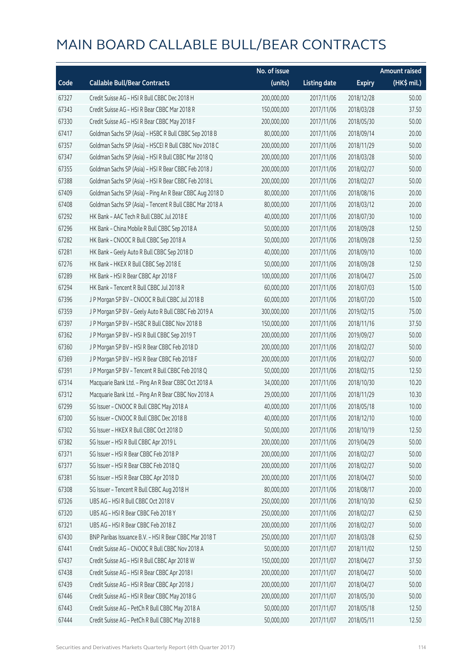|       |                                                          | No. of issue |                     |               | <b>Amount raised</b> |
|-------|----------------------------------------------------------|--------------|---------------------|---------------|----------------------|
| Code  | <b>Callable Bull/Bear Contracts</b>                      | (units)      | <b>Listing date</b> | <b>Expiry</b> | (HK\$ mil.)          |
| 67327 | Credit Suisse AG - HSI R Bull CBBC Dec 2018 H            | 200,000,000  | 2017/11/06          | 2018/12/28    | 50.00                |
| 67343 | Credit Suisse AG - HSI R Bear CBBC Mar 2018 R            | 150,000,000  | 2017/11/06          | 2018/03/28    | 37.50                |
| 67330 | Credit Suisse AG - HSI R Bear CBBC May 2018 F            | 200,000,000  | 2017/11/06          | 2018/05/30    | 50.00                |
| 67417 | Goldman Sachs SP (Asia) - HSBC R Bull CBBC Sep 2018 B    | 80,000,000   | 2017/11/06          | 2018/09/14    | 20.00                |
| 67357 | Goldman Sachs SP (Asia) - HSCEI R Bull CBBC Nov 2018 C   | 200,000,000  | 2017/11/06          | 2018/11/29    | 50.00                |
| 67347 | Goldman Sachs SP (Asia) - HSI R Bull CBBC Mar 2018 Q     | 200,000,000  | 2017/11/06          | 2018/03/28    | 50.00                |
| 67355 | Goldman Sachs SP (Asia) - HSI R Bear CBBC Feb 2018 J     | 200,000,000  | 2017/11/06          | 2018/02/27    | 50.00                |
| 67388 | Goldman Sachs SP (Asia) - HSI R Bear CBBC Feb 2018 L     | 200,000,000  | 2017/11/06          | 2018/02/27    | 50.00                |
| 67409 | Goldman Sachs SP (Asia) - Ping An R Bear CBBC Aug 2018 D | 80,000,000   | 2017/11/06          | 2018/08/16    | 20.00                |
| 67408 | Goldman Sachs SP (Asia) - Tencent R Bull CBBC Mar 2018 A | 80,000,000   | 2017/11/06          | 2018/03/12    | 20.00                |
| 67292 | HK Bank - AAC Tech R Bull CBBC Jul 2018 E                | 40,000,000   | 2017/11/06          | 2018/07/30    | 10.00                |
| 67296 | HK Bank - China Mobile R Bull CBBC Sep 2018 A            | 50,000,000   | 2017/11/06          | 2018/09/28    | 12.50                |
| 67282 | HK Bank - CNOOC R Bull CBBC Sep 2018 A                   | 50,000,000   | 2017/11/06          | 2018/09/28    | 12.50                |
| 67281 | HK Bank - Geely Auto R Bull CBBC Sep 2018 D              | 40,000,000   | 2017/11/06          | 2018/09/10    | 10.00                |
| 67276 | HK Bank - HKEX R Bull CBBC Sep 2018 E                    | 50,000,000   | 2017/11/06          | 2018/09/28    | 12.50                |
| 67289 | HK Bank - HSI R Bear CBBC Apr 2018 F                     | 100,000,000  | 2017/11/06          | 2018/04/27    | 25.00                |
| 67294 | HK Bank - Tencent R Bull CBBC Jul 2018 R                 | 60,000,000   | 2017/11/06          | 2018/07/03    | 15.00                |
| 67396 | J P Morgan SP BV - CNOOC R Bull CBBC Jul 2018 B          | 60,000,000   | 2017/11/06          | 2018/07/20    | 15.00                |
| 67359 | J P Morgan SP BV - Geely Auto R Bull CBBC Feb 2019 A     | 300,000,000  | 2017/11/06          | 2019/02/15    | 75.00                |
| 67397 | J P Morgan SP BV - HSBC R Bull CBBC Nov 2018 B           | 150,000,000  | 2017/11/06          | 2018/11/16    | 37.50                |
| 67362 | J P Morgan SP BV - HSI R Bull CBBC Sep 2019 T            | 200,000,000  | 2017/11/06          | 2019/09/27    | 50.00                |
| 67360 | J P Morgan SP BV - HSI R Bear CBBC Feb 2018 D            | 200,000,000  | 2017/11/06          | 2018/02/27    | 50.00                |
| 67369 | J P Morgan SP BV - HSI R Bear CBBC Feb 2018 F            | 200,000,000  | 2017/11/06          | 2018/02/27    | 50.00                |
| 67391 | J P Morgan SP BV - Tencent R Bull CBBC Feb 2018 Q        | 50,000,000   | 2017/11/06          | 2018/02/15    | 12.50                |
| 67314 | Macquarie Bank Ltd. - Ping An R Bear CBBC Oct 2018 A     | 34,000,000   | 2017/11/06          | 2018/10/30    | 10.20                |
| 67312 | Macquarie Bank Ltd. - Ping An R Bear CBBC Nov 2018 A     | 29,000,000   | 2017/11/06          | 2018/11/29    | 10.30                |
| 67299 | SG Issuer - CNOOC R Bull CBBC May 2018 A                 | 40,000,000   | 2017/11/06          | 2018/05/18    | 10.00                |
| 67300 | SG Issuer - CNOOC R Bull CBBC Dec 2018 B                 | 40,000,000   | 2017/11/06          | 2018/12/10    | 10.00                |
| 67302 | SG Issuer - HKEX R Bull CBBC Oct 2018 D                  | 50,000,000   | 2017/11/06          | 2018/10/19    | 12.50                |
| 67382 | SG Issuer - HSI R Bull CBBC Apr 2019 L                   | 200,000,000  | 2017/11/06          | 2019/04/29    | 50.00                |
| 67371 | SG Issuer - HSI R Bear CBBC Feb 2018 P                   | 200,000,000  | 2017/11/06          | 2018/02/27    | 50.00                |
| 67377 | SG Issuer - HSI R Bear CBBC Feb 2018 Q                   | 200,000,000  | 2017/11/06          | 2018/02/27    | 50.00                |
| 67381 | SG Issuer - HSI R Bear CBBC Apr 2018 D                   | 200,000,000  | 2017/11/06          | 2018/04/27    | 50.00                |
| 67308 | SG Issuer - Tencent R Bull CBBC Aug 2018 H               | 80,000,000   | 2017/11/06          | 2018/08/17    | 20.00                |
| 67326 | UBS AG - HSI R Bull CBBC Oct 2018 V                      | 250,000,000  | 2017/11/06          | 2018/10/30    | 62.50                |
| 67320 | UBS AG - HSI R Bear CBBC Feb 2018 Y                      | 250,000,000  | 2017/11/06          | 2018/02/27    | 62.50                |
| 67321 | UBS AG - HSI R Bear CBBC Feb 2018 Z                      | 200,000,000  | 2017/11/06          | 2018/02/27    | 50.00                |
| 67430 | BNP Paribas Issuance B.V. - HSI R Bear CBBC Mar 2018 T   | 250,000,000  | 2017/11/07          | 2018/03/28    | 62.50                |
| 67441 | Credit Suisse AG - CNOOC R Bull CBBC Nov 2018 A          | 50,000,000   | 2017/11/07          | 2018/11/02    | 12.50                |
| 67437 | Credit Suisse AG - HSI R Bull CBBC Apr 2018 W            | 150,000,000  | 2017/11/07          | 2018/04/27    | 37.50                |
| 67438 | Credit Suisse AG - HSI R Bear CBBC Apr 2018 I            | 200,000,000  | 2017/11/07          | 2018/04/27    | 50.00                |
| 67439 | Credit Suisse AG - HSI R Bear CBBC Apr 2018 J            | 200,000,000  | 2017/11/07          | 2018/04/27    | 50.00                |
| 67446 | Credit Suisse AG - HSI R Bear CBBC May 2018 G            | 200,000,000  | 2017/11/07          | 2018/05/30    | 50.00                |
| 67443 | Credit Suisse AG - PetCh R Bull CBBC May 2018 A          | 50,000,000   | 2017/11/07          | 2018/05/18    | 12.50                |
| 67444 | Credit Suisse AG - PetCh R Bull CBBC May 2018 B          | 50,000,000   | 2017/11/07          | 2018/05/11    | 12.50                |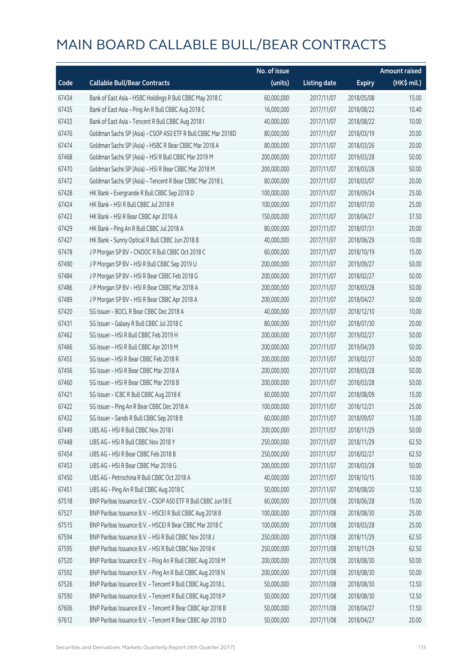|       |                                                              | No. of issue |                     |               | <b>Amount raised</b> |
|-------|--------------------------------------------------------------|--------------|---------------------|---------------|----------------------|
| Code  | <b>Callable Bull/Bear Contracts</b>                          | (units)      | <b>Listing date</b> | <b>Expiry</b> | (HK\$ mil.)          |
| 67434 | Bank of East Asia - HSBC Holdings R Bull CBBC May 2018 C     | 60,000,000   | 2017/11/07          | 2018/05/08    | 15.00                |
| 67435 | Bank of East Asia - Ping An R Bull CBBC Aug 2018 C           | 16,000,000   | 2017/11/07          | 2018/08/22    | 10.40                |
| 67433 | Bank of East Asia - Tencent R Bull CBBC Aug 2018 I           | 40,000,000   | 2017/11/07          | 2018/08/22    | 10.00                |
| 67476 | Goldman Sachs SP (Asia) - CSOP A50 ETF R Bull CBBC Mar 2018D | 80,000,000   | 2017/11/07          | 2018/03/19    | 20.00                |
| 67474 | Goldman Sachs SP (Asia) - HSBC R Bear CBBC Mar 2018 A        | 80,000,000   | 2017/11/07          | 2018/03/26    | 20.00                |
| 67468 | Goldman Sachs SP (Asia) - HSI R Bull CBBC Mar 2019 M         | 200,000,000  | 2017/11/07          | 2019/03/28    | 50.00                |
| 67470 | Goldman Sachs SP (Asia) - HSI R Bear CBBC Mar 2018 M         | 200,000,000  | 2017/11/07          | 2018/03/28    | 50.00                |
| 67472 | Goldman Sachs SP (Asia) - Tencent R Bear CBBC Mar 2018 L     | 80,000,000   | 2017/11/07          | 2018/03/07    | 20.00                |
| 67428 | HK Bank - Evergrande R Bull CBBC Sep 2018 D                  | 100,000,000  | 2017/11/07          | 2018/09/24    | 25.00                |
| 67424 | HK Bank - HSI R Bull CBBC Jul 2018 R                         | 100,000,000  | 2017/11/07          | 2018/07/30    | 25.00                |
| 67423 | HK Bank - HSI R Bear CBBC Apr 2018 A                         | 150,000,000  | 2017/11/07          | 2018/04/27    | 37.50                |
| 67429 | HK Bank - Ping An R Bull CBBC Jul 2018 A                     | 80,000,000   | 2017/11/07          | 2018/07/31    | 20.00                |
| 67427 | HK Bank - Sunny Optical R Bull CBBC Jun 2018 B               | 40,000,000   | 2017/11/07          | 2018/06/29    | 10.00                |
| 67478 | J P Morgan SP BV - CNOOC R Bull CBBC Oct 2018 C              | 60,000,000   | 2017/11/07          | 2018/10/19    | 15.00                |
| 67490 | J P Morgan SP BV - HSI R Bull CBBC Sep 2019 U                | 200,000,000  | 2017/11/07          | 2019/09/27    | 50.00                |
| 67484 | J P Morgan SP BV - HSI R Bear CBBC Feb 2018 G                | 200,000,000  | 2017/11/07          | 2018/02/27    | 50.00                |
| 67486 | J P Morgan SP BV - HSI R Bear CBBC Mar 2018 A                | 200,000,000  | 2017/11/07          | 2018/03/28    | 50.00                |
| 67489 | J P Morgan SP BV - HSI R Bear CBBC Apr 2018 A                | 200,000,000  | 2017/11/07          | 2018/04/27    | 50.00                |
| 67420 | SG Issuer - BOCL R Bear CBBC Dec 2018 A                      | 40,000,000   | 2017/11/07          | 2018/12/10    | 10.00                |
| 67431 | SG Issuer - Galaxy R Bull CBBC Jul 2018 C                    | 80,000,000   | 2017/11/07          | 2018/07/30    | 20.00                |
| 67462 | SG Issuer - HSI R Bull CBBC Feb 2019 H                       | 200,000,000  | 2017/11/07          | 2019/02/27    | 50.00                |
| 67466 | SG Issuer - HSI R Bull CBBC Apr 2019 M                       | 200,000,000  | 2017/11/07          | 2019/04/29    | 50.00                |
| 67455 | SG Issuer - HSI R Bear CBBC Feb 2018 R                       | 200,000,000  | 2017/11/07          | 2018/02/27    | 50.00                |
| 67456 | SG Issuer - HSI R Bear CBBC Mar 2018 A                       | 200,000,000  | 2017/11/07          | 2018/03/28    | 50.00                |
| 67460 | SG Issuer - HSI R Bear CBBC Mar 2018 B                       | 200,000,000  | 2017/11/07          | 2018/03/28    | 50.00                |
| 67421 | SG Issuer - ICBC R Bull CBBC Aug 2018 K                      | 60,000,000   | 2017/11/07          | 2018/08/09    | 15.00                |
| 67422 | SG Issuer - Ping An R Bear CBBC Dec 2018 A                   | 100,000,000  | 2017/11/07          | 2018/12/21    | 25.00                |
| 67432 | SG Issuer - Sands R Bull CBBC Sep 2018 B                     | 60,000,000   | 2017/11/07          | 2018/09/07    | 15.00                |
| 67449 | UBS AG - HSI R Bull CBBC Nov 2018 I                          | 200,000,000  | 2017/11/07          | 2018/11/29    | 50.00                |
| 67448 | UBS AG - HSI R Bull CBBC Nov 2018 Y                          | 250,000,000  | 2017/11/07          | 2018/11/29    | 62.50                |
| 67454 | UBS AG - HSI R Bear CBBC Feb 2018 B                          | 250,000,000  | 2017/11/07          | 2018/02/27    | 62.50                |
| 67453 | UBS AG - HSI R Bear CBBC Mar 2018 G                          | 200,000,000  | 2017/11/07          | 2018/03/28    | 50.00                |
| 67450 | UBS AG - Petrochina R Bull CBBC Oct 2018 A                   | 40,000,000   | 2017/11/07          | 2018/10/15    | 10.00                |
| 67451 | UBS AG - Ping An R Bull CBBC Aug 2018 C                      | 50,000,000   | 2017/11/07          | 2018/08/20    | 12.50                |
| 67518 | BNP Paribas Issuance B.V. - CSOP A50 ETF R Bull CBBC Jun18 E | 60,000,000   | 2017/11/08          | 2018/06/28    | 15.00                |
| 67527 | BNP Paribas Issuance B.V. - HSCEI R Bull CBBC Aug 2018 B     | 100,000,000  | 2017/11/08          | 2018/08/30    | 25.00                |
| 67515 | BNP Paribas Issuance B.V. - HSCEI R Bear CBBC Mar 2018 C     | 100,000,000  | 2017/11/08          | 2018/03/28    | 25.00                |
| 67594 | BNP Paribas Issuance B.V. - HSI R Bull CBBC Nov 2018 J       | 250,000,000  | 2017/11/08          | 2018/11/29    | 62.50                |
| 67595 | BNP Paribas Issuance B.V. - HSI R Bull CBBC Nov 2018 K       | 250,000,000  | 2017/11/08          | 2018/11/29    | 62.50                |
| 67520 | BNP Paribas Issuance B.V. - Ping An R Bull CBBC Aug 2018 M   | 200,000,000  | 2017/11/08          | 2018/08/30    | 50.00                |
| 67592 | BNP Paribas Issuance B.V. - Ping An R Bull CBBC Aug 2018 N   | 200,000,000  | 2017/11/08          | 2018/08/30    | 50.00                |
| 67526 | BNP Paribas Issuance B.V. - Tencent R Bull CBBC Aug 2018 L   | 50,000,000   | 2017/11/08          | 2018/08/30    | 12.50                |
| 67590 | BNP Paribas Issuance B.V. - Tencent R Bull CBBC Aug 2018 P   | 50,000,000   | 2017/11/08          | 2018/08/30    | 12.50                |
| 67606 | BNP Paribas Issuance B.V. - Tencent R Bear CBBC Apr 2018 B   | 50,000,000   | 2017/11/08          | 2018/04/27    | 17.50                |
| 67612 | BNP Paribas Issuance B.V. - Tencent R Bear CBBC Apr 2018 D   | 50,000,000   | 2017/11/08          | 2018/04/27    | 20.00                |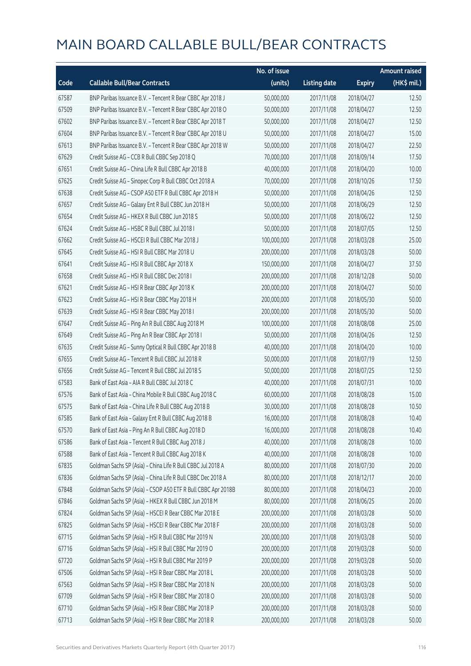|       |                                                              | No. of issue |                     |               | <b>Amount raised</b> |
|-------|--------------------------------------------------------------|--------------|---------------------|---------------|----------------------|
| Code  | <b>Callable Bull/Bear Contracts</b>                          | (units)      | <b>Listing date</b> | <b>Expiry</b> | $(HK$$ mil.)         |
| 67587 | BNP Paribas Issuance B.V. - Tencent R Bear CBBC Apr 2018 J   | 50,000,000   | 2017/11/08          | 2018/04/27    | 12.50                |
| 67509 | BNP Paribas Issuance B.V. - Tencent R Bear CBBC Apr 2018 O   | 50,000,000   | 2017/11/08          | 2018/04/27    | 12.50                |
| 67602 | BNP Paribas Issuance B.V. - Tencent R Bear CBBC Apr 2018 T   | 50,000,000   | 2017/11/08          | 2018/04/27    | 12.50                |
| 67604 | BNP Paribas Issuance B.V. - Tencent R Bear CBBC Apr 2018 U   | 50,000,000   | 2017/11/08          | 2018/04/27    | 15.00                |
| 67613 | BNP Paribas Issuance B.V. - Tencent R Bear CBBC Apr 2018 W   | 50,000,000   | 2017/11/08          | 2018/04/27    | 22.50                |
| 67629 | Credit Suisse AG - CCB R Bull CBBC Sep 2018 Q                | 70,000,000   | 2017/11/08          | 2018/09/14    | 17.50                |
| 67651 | Credit Suisse AG - China Life R Bull CBBC Apr 2018 B         | 40,000,000   | 2017/11/08          | 2018/04/20    | 10.00                |
| 67625 | Credit Suisse AG - Sinopec Corp R Bull CBBC Oct 2018 A       | 70,000,000   | 2017/11/08          | 2018/10/26    | 17.50                |
| 67638 | Credit Suisse AG - CSOP A50 ETF R Bull CBBC Apr 2018 H       | 50,000,000   | 2017/11/08          | 2018/04/26    | 12.50                |
| 67657 | Credit Suisse AG - Galaxy Ent R Bull CBBC Jun 2018 H         | 50,000,000   | 2017/11/08          | 2018/06/29    | 12.50                |
| 67654 | Credit Suisse AG - HKEX R Bull CBBC Jun 2018 S               | 50,000,000   | 2017/11/08          | 2018/06/22    | 12.50                |
| 67624 | Credit Suisse AG - HSBC R Bull CBBC Jul 2018 I               | 50,000,000   | 2017/11/08          | 2018/07/05    | 12.50                |
| 67662 | Credit Suisse AG - HSCEI R Bull CBBC Mar 2018 J              | 100,000,000  | 2017/11/08          | 2018/03/28    | 25.00                |
| 67645 | Credit Suisse AG - HSI R Bull CBBC Mar 2018 U                | 200,000,000  | 2017/11/08          | 2018/03/28    | 50.00                |
| 67641 | Credit Suisse AG - HSI R Bull CBBC Apr 2018 X                | 150,000,000  | 2017/11/08          | 2018/04/27    | 37.50                |
| 67658 | Credit Suisse AG - HSI R Bull CBBC Dec 2018 I                | 200,000,000  | 2017/11/08          | 2018/12/28    | 50.00                |
| 67621 | Credit Suisse AG - HSI R Bear CBBC Apr 2018 K                | 200,000,000  | 2017/11/08          | 2018/04/27    | 50.00                |
| 67623 | Credit Suisse AG - HSI R Bear CBBC May 2018 H                | 200,000,000  | 2017/11/08          | 2018/05/30    | 50.00                |
| 67639 | Credit Suisse AG - HSI R Bear CBBC May 2018 I                | 200,000,000  | 2017/11/08          | 2018/05/30    | 50.00                |
| 67647 | Credit Suisse AG - Ping An R Bull CBBC Aug 2018 M            | 100,000,000  | 2017/11/08          | 2018/08/08    | 25.00                |
| 67649 | Credit Suisse AG - Ping An R Bear CBBC Apr 2018 I            | 50,000,000   | 2017/11/08          | 2018/04/26    | 12.50                |
| 67635 | Credit Suisse AG - Sunny Optical R Bull CBBC Apr 2018 B      | 40,000,000   | 2017/11/08          | 2018/04/20    | 10.00                |
| 67655 | Credit Suisse AG - Tencent R Bull CBBC Jul 2018 R            | 50,000,000   | 2017/11/08          | 2018/07/19    | 12.50                |
| 67656 | Credit Suisse AG - Tencent R Bull CBBC Jul 2018 S            | 50,000,000   | 2017/11/08          | 2018/07/25    | 12.50                |
| 67583 | Bank of East Asia - AIA R Bull CBBC Jul 2018 C               | 40,000,000   | 2017/11/08          | 2018/07/31    | 10.00                |
| 67576 | Bank of East Asia - China Mobile R Bull CBBC Aug 2018 C      | 60,000,000   | 2017/11/08          | 2018/08/28    | 15.00                |
| 67575 | Bank of East Asia - China Life R Bull CBBC Aug 2018 B        | 30,000,000   | 2017/11/08          | 2018/08/28    | 10.50                |
| 67585 | Bank of East Asia - Galaxy Ent R Bull CBBC Aug 2018 B        | 16,000,000   | 2017/11/08          | 2018/08/28    | 10.40                |
| 67570 | Bank of East Asia - Ping An R Bull CBBC Aug 2018 D           | 16,000,000   | 2017/11/08          | 2018/08/28    | 10.40                |
| 67586 | Bank of East Asia - Tencent R Bull CBBC Aug 2018 J           | 40,000,000   | 2017/11/08          | 2018/08/28    | 10.00                |
| 67588 | Bank of East Asia - Tencent R Bull CBBC Aug 2018 K           | 40,000,000   | 2017/11/08          | 2018/08/28    | 10.00                |
| 67835 | Goldman Sachs SP (Asia) - China Life R Bull CBBC Jul 2018 A  | 80,000,000   | 2017/11/08          | 2018/07/30    | 20.00                |
| 67836 | Goldman Sachs SP (Asia) - China Life R Bull CBBC Dec 2018 A  | 80,000,000   | 2017/11/08          | 2018/12/17    | 20.00                |
| 67848 | Goldman Sachs SP (Asia) - CSOP A50 ETF R Bull CBBC Apr 2018B | 80,000,000   | 2017/11/08          | 2018/04/23    | 20.00                |
| 67846 | Goldman Sachs SP (Asia) - HKEX R Bull CBBC Jun 2018 M        | 80,000,000   | 2017/11/08          | 2018/06/25    | 20.00                |
| 67824 | Goldman Sachs SP (Asia) - HSCEI R Bear CBBC Mar 2018 E       | 200,000,000  | 2017/11/08          | 2018/03/28    | 50.00                |
| 67825 | Goldman Sachs SP (Asia) - HSCEI R Bear CBBC Mar 2018 F       | 200,000,000  | 2017/11/08          | 2018/03/28    | 50.00                |
| 67715 | Goldman Sachs SP (Asia) - HSI R Bull CBBC Mar 2019 N         | 200,000,000  | 2017/11/08          | 2019/03/28    | 50.00                |
| 67716 | Goldman Sachs SP (Asia) - HSI R Bull CBBC Mar 2019 O         | 200,000,000  | 2017/11/08          | 2019/03/28    | 50.00                |
| 67720 | Goldman Sachs SP (Asia) - HSI R Bull CBBC Mar 2019 P         | 200,000,000  | 2017/11/08          | 2019/03/28    | 50.00                |
| 67506 | Goldman Sachs SP (Asia) - HSI R Bear CBBC Mar 2018 L         | 200,000,000  | 2017/11/08          | 2018/03/28    | 50.00                |
| 67563 | Goldman Sachs SP (Asia) - HSI R Bear CBBC Mar 2018 N         | 200,000,000  | 2017/11/08          | 2018/03/28    | 50.00                |
| 67709 | Goldman Sachs SP (Asia) - HSI R Bear CBBC Mar 2018 O         | 200,000,000  | 2017/11/08          | 2018/03/28    | 50.00                |
| 67710 | Goldman Sachs SP (Asia) - HSI R Bear CBBC Mar 2018 P         | 200,000,000  | 2017/11/08          | 2018/03/28    | 50.00                |
| 67713 | Goldman Sachs SP (Asia) - HSI R Bear CBBC Mar 2018 R         | 200,000,000  | 2017/11/08          | 2018/03/28    | 50.00                |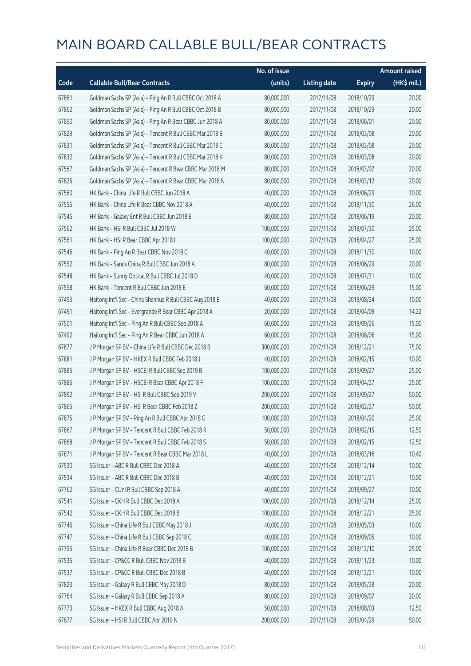|       |                                                          | No. of issue |                     |               | Amount raised         |
|-------|----------------------------------------------------------|--------------|---------------------|---------------|-----------------------|
| Code  | <b>Callable Bull/Bear Contracts</b>                      | (units)      | <b>Listing date</b> | <b>Expiry</b> | $(HK\frac{1}{2}mil.)$ |
| 67861 | Goldman Sachs SP (Asia) - Ping An R Bull CBBC Oct 2018 A | 80,000,000   | 2017/11/08          | 2018/10/29    | 20.00                 |
| 67862 | Goldman Sachs SP (Asia) - Ping An R Bull CBBC Oct 2018 B | 80,000,000   | 2017/11/08          | 2018/10/29    | 20.00                 |
| 67850 | Goldman Sachs SP (Asia) - Ping An R Bear CBBC Jun 2018 A | 80,000,000   | 2017/11/08          | 2018/06/01    | 20.00                 |
| 67829 | Goldman Sachs SP (Asia) - Tencent R Bull CBBC Mar 2018 B | 80,000,000   | 2017/11/08          | 2018/03/08    | 20.00                 |
| 67831 | Goldman Sachs SP (Asia) - Tencent R Bull CBBC Mar 2018 C | 80,000,000   | 2017/11/08          | 2018/03/08    | 20.00                 |
| 67832 | Goldman Sachs SP (Asia) - Tencent R Bull CBBC Mar 2018 K | 80,000,000   | 2017/11/08          | 2018/03/08    | 20.00                 |
| 67567 | Goldman Sachs SP (Asia) - Tencent R Bear CBBC Mar 2018 M | 80,000,000   | 2017/11/08          | 2018/03/07    | 20.00                 |
| 67826 | Goldman Sachs SP (Asia) - Tencent R Bear CBBC Mar 2018 N | 80,000,000   | 2017/11/08          | 2018/03/12    | 20.00                 |
| 67560 | HK Bank - China Life R Bull CBBC Jun 2018 A              | 40,000,000   | 2017/11/08          | 2018/06/29    | 10.00                 |
| 67556 | HK Bank - China Life R Bear CBBC Nov 2018 A              | 40,000,000   | 2017/11/08          | 2018/11/30    | 26.00                 |
| 67545 | HK Bank - Galaxy Ent R Bull CBBC Jun 2018 E              | 80,000,000   | 2017/11/08          | 2018/06/19    | 20.00                 |
| 67562 | HK Bank - HSI R Bull CBBC Jul 2018 W                     | 100,000,000  | 2017/11/08          | 2018/07/30    | 25.00                 |
| 67561 | HK Bank - HSI R Bear CBBC Apr 2018 I                     | 100,000,000  | 2017/11/08          | 2018/04/27    | 25.00                 |
| 67546 | HK Bank - Ping An R Bear CBBC Nov 2018 C                 | 40,000,000   | 2017/11/08          | 2018/11/30    | 10.00                 |
| 67552 | HK Bank - Sands China R Bull CBBC Jun 2018 A             | 80,000,000   | 2017/11/08          | 2018/06/29    | 20.00                 |
| 67548 | HK Bank - Sunny Optical R Bull CBBC Jul 2018 D           | 40,000,000   | 2017/11/08          | 2018/07/31    | 10.00                 |
| 67558 | HK Bank - Tencent R Bull CBBC Jun 2018 E                 | 60,000,000   | 2017/11/08          | 2018/06/29    | 15.00                 |
| 67493 | Haitong Int'l Sec - China Shenhua R Bull CBBC Aug 2018 B | 40,000,000   | 2017/11/08          | 2018/08/24    | 10.00                 |
| 67491 | Haitong Int'l Sec - Evergrande R Bear CBBC Apr 2018 A    | 20,000,000   | 2017/11/08          | 2018/04/09    | 14.22                 |
| 67501 | Haitong Int'l Sec - Ping An R Bull CBBC Sep 2018 A       | 60,000,000   | 2017/11/08          | 2018/09/26    | 15.00                 |
| 67492 | Haitong Int'l Sec - Ping An R Bear CBBC Jun 2018 A       | 60,000,000   | 2017/11/08          | 2018/06/06    | 15.00                 |
| 67877 | J P Morgan SP BV - China Life R Bull CBBC Dec 2018 B     | 300,000,000  | 2017/11/08          | 2018/12/21    | 75.00                 |
| 67881 | J P Morgan SP BV - HKEX R Bull CBBC Feb 2018 J           | 40,000,000   | 2017/11/08          | 2018/02/15    | 10.00                 |
| 67885 | J P Morgan SP BV - HSCEI R Bull CBBC Sep 2019 B          | 100,000,000  | 2017/11/08          | 2019/09/27    | 25.00                 |
| 67886 | J P Morgan SP BV - HSCEI R Bear CBBC Apr 2018 F          | 100,000,000  | 2017/11/08          | 2018/04/27    | 25.00                 |
| 67892 | J P Morgan SP BV - HSI R Bull CBBC Sep 2019 V            | 200,000,000  | 2017/11/08          | 2019/09/27    | 50.00                 |
| 67865 | J P Morgan SP BV - HSI R Bear CBBC Feb 2018 Z            | 200,000,000  | 2017/11/08          | 2018/02/27    | 50.00                 |
| 67875 | J P Morgan SP BV - Ping An R Bull CBBC Apr 2018 G        | 100,000,000  | 2017/11/08          | 2018/04/20    | 25.00                 |
| 67867 | J P Morgan SP BV - Tencent R Bull CBBC Feb 2018 R        | 50,000,000   | 2017/11/08          | 2018/02/15    | 12.50                 |
| 67868 | J P Morgan SP BV - Tencent R Bull CBBC Feb 2018 S        | 50,000,000   | 2017/11/08          | 2018/02/15    | 12.50                 |
| 67871 | J P Morgan SP BV - Tencent R Bear CBBC Mar 2018 L        | 40,000,000   | 2017/11/08          | 2018/03/16    | 10.40                 |
| 67530 | SG Issuer - ABC R Bull CBBC Dec 2018 A                   | 40,000,000   | 2017/11/08          | 2018/12/14    | 10.00                 |
| 67534 | SG Issuer - ABC R Bull CBBC Dec 2018 B                   | 40,000,000   | 2017/11/08          | 2018/12/21    | 10.00                 |
| 67762 | SG Issuer - CUni R Bull CBBC Sep 2018 A                  | 40,000,000   | 2017/11/08          | 2018/09/27    | 10.00                 |
| 67541 | SG Issuer - CKH R Bull CBBC Dec 2018 A                   | 100,000,000  | 2017/11/08          | 2018/12/14    | 25.00                 |
| 67542 | SG Issuer - CKH R Bull CBBC Dec 2018 B                   | 100,000,000  | 2017/11/08          | 2018/12/21    | 25.00                 |
| 67746 | SG Issuer - China Life R Bull CBBC May 2018 J            | 40,000,000   | 2017/11/08          | 2018/05/03    | 10.00                 |
| 67747 | SG Issuer - China Life R Bull CBBC Sep 2018 C            | 40,000,000   | 2017/11/08          | 2018/09/05    | 10.00                 |
| 67755 | SG Issuer - China Life R Bear CBBC Dec 2018 B            | 100,000,000  | 2017/11/08          | 2018/12/10    | 25.00                 |
| 67536 | SG Issuer - CP&CC R Bull CBBC Nov 2018 B                 | 40,000,000   | 2017/11/08          | 2018/11/23    | 10.00                 |
| 67537 | SG Issuer - CP&CC R Bull CBBC Dec 2018 B                 | 40,000,000   | 2017/11/08          | 2018/12/21    | 10.00                 |
| 67823 | SG Issuer - Galaxy R Bull CBBC May 2018 D                | 80,000,000   | 2017/11/08          | 2018/05/28    | 20.00                 |
| 67764 | SG Issuer - Galaxy R Bull CBBC Sep 2018 A                | 80,000,000   | 2017/11/08          | 2018/09/07    | 20.00                 |
| 67773 | SG Issuer - HKEX R Bull CBBC Aug 2018 A                  | 50,000,000   | 2017/11/08          | 2018/08/03    | 12.50                 |
| 67677 | SG Issuer - HSI R Bull CBBC Apr 2019 N                   | 200,000,000  | 2017/11/08          | 2019/04/29    | 50.00                 |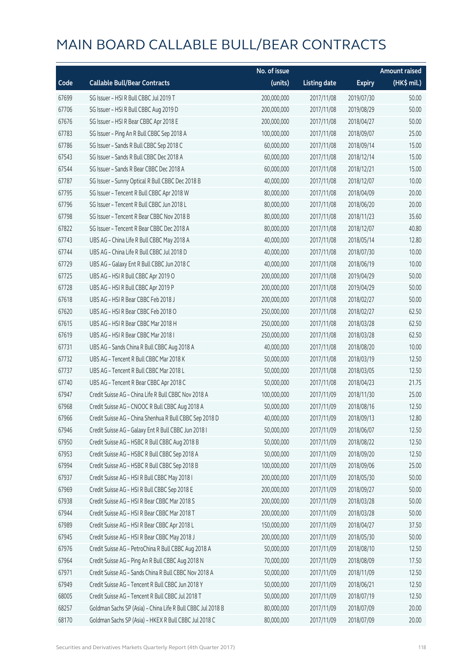|       |                                                             | No. of issue |                     |               | <b>Amount raised</b> |
|-------|-------------------------------------------------------------|--------------|---------------------|---------------|----------------------|
| Code  | <b>Callable Bull/Bear Contracts</b>                         | (units)      | <b>Listing date</b> | <b>Expiry</b> | (HK\$ mil.)          |
| 67699 | SG Issuer - HSI R Bull CBBC Jul 2019 T                      | 200,000,000  | 2017/11/08          | 2019/07/30    | 50.00                |
| 67706 | SG Issuer - HSI R Bull CBBC Aug 2019 D                      | 200,000,000  | 2017/11/08          | 2019/08/29    | 50.00                |
| 67676 | SG Issuer - HSI R Bear CBBC Apr 2018 E                      | 200,000,000  | 2017/11/08          | 2018/04/27    | 50.00                |
| 67783 | SG Issuer - Ping An R Bull CBBC Sep 2018 A                  | 100,000,000  | 2017/11/08          | 2018/09/07    | 25.00                |
| 67786 | SG Issuer - Sands R Bull CBBC Sep 2018 C                    | 60,000,000   | 2017/11/08          | 2018/09/14    | 15.00                |
| 67543 | SG Issuer - Sands R Bull CBBC Dec 2018 A                    | 60,000,000   | 2017/11/08          | 2018/12/14    | 15.00                |
| 67544 | SG Issuer - Sands R Bear CBBC Dec 2018 A                    | 60,000,000   | 2017/11/08          | 2018/12/21    | 15.00                |
| 67787 | SG Issuer - Sunny Optical R Bull CBBC Dec 2018 B            | 40,000,000   | 2017/11/08          | 2018/12/07    | 10.00                |
| 67795 | SG Issuer - Tencent R Bull CBBC Apr 2018 W                  | 80,000,000   | 2017/11/08          | 2018/04/09    | 20.00                |
| 67796 | SG Issuer - Tencent R Bull CBBC Jun 2018 L                  | 80,000,000   | 2017/11/08          | 2018/06/20    | 20.00                |
| 67798 | SG Issuer - Tencent R Bear CBBC Nov 2018 B                  | 80,000,000   | 2017/11/08          | 2018/11/23    | 35.60                |
| 67822 | SG Issuer - Tencent R Bear CBBC Dec 2018 A                  | 80,000,000   | 2017/11/08          | 2018/12/07    | 40.80                |
| 67743 | UBS AG - China Life R Bull CBBC May 2018 A                  | 40,000,000   | 2017/11/08          | 2018/05/14    | 12.80                |
| 67744 | UBS AG - China Life R Bull CBBC Jul 2018 D                  | 40,000,000   | 2017/11/08          | 2018/07/30    | 10.00                |
| 67729 | UBS AG - Galaxy Ent R Bull CBBC Jun 2018 C                  | 40,000,000   | 2017/11/08          | 2018/06/19    | 10.00                |
| 67725 | UBS AG - HSI R Bull CBBC Apr 2019 O                         | 200,000,000  | 2017/11/08          | 2019/04/29    | 50.00                |
| 67728 | UBS AG - HSI R Bull CBBC Apr 2019 P                         | 200,000,000  | 2017/11/08          | 2019/04/29    | 50.00                |
| 67618 | UBS AG - HSI R Bear CBBC Feb 2018 J                         | 200,000,000  | 2017/11/08          | 2018/02/27    | 50.00                |
| 67620 | UBS AG - HSI R Bear CBBC Feb 2018 O                         | 250,000,000  | 2017/11/08          | 2018/02/27    | 62.50                |
| 67615 | UBS AG - HSI R Bear CBBC Mar 2018 H                         | 250,000,000  | 2017/11/08          | 2018/03/28    | 62.50                |
| 67619 | UBS AG - HSI R Bear CBBC Mar 2018 I                         | 250,000,000  | 2017/11/08          | 2018/03/28    | 62.50                |
| 67731 | UBS AG - Sands China R Bull CBBC Aug 2018 A                 | 40,000,000   | 2017/11/08          | 2018/08/20    | 10.00                |
| 67732 | UBS AG - Tencent R Bull CBBC Mar 2018 K                     | 50,000,000   | 2017/11/08          | 2018/03/19    | 12.50                |
| 67737 | UBS AG - Tencent R Bull CBBC Mar 2018 L                     | 50,000,000   | 2017/11/08          | 2018/03/05    | 12.50                |
| 67740 | UBS AG - Tencent R Bear CBBC Apr 2018 C                     | 50,000,000   | 2017/11/08          | 2018/04/23    | 21.75                |
| 67947 | Credit Suisse AG - China Life R Bull CBBC Nov 2018 A        | 100,000,000  | 2017/11/09          | 2018/11/30    | 25.00                |
| 67968 | Credit Suisse AG - CNOOC R Bull CBBC Aug 2018 A             | 50,000,000   | 2017/11/09          | 2018/08/16    | 12.50                |
| 67966 | Credit Suisse AG - China Shenhua R Bull CBBC Sep 2018 D     | 40,000,000   | 2017/11/09          | 2018/09/13    | 12.80                |
| 67946 | Credit Suisse AG - Galaxy Ent R Bull CBBC Jun 2018 I        | 50,000,000   | 2017/11/09          | 2018/06/07    | 12.50                |
| 67950 | Credit Suisse AG - HSBC R Bull CBBC Aug 2018 B              | 50,000,000   | 2017/11/09          | 2018/08/22    | 12.50                |
| 67953 | Credit Suisse AG - HSBC R Bull CBBC Sep 2018 A              | 50,000,000   | 2017/11/09          | 2018/09/20    | 12.50                |
| 67994 | Credit Suisse AG - HSBC R Bull CBBC Sep 2018 B              | 100,000,000  | 2017/11/09          | 2018/09/06    | 25.00                |
| 67937 | Credit Suisse AG - HSI R Bull CBBC May 2018 I               | 200,000,000  | 2017/11/09          | 2018/05/30    | 50.00                |
| 67969 | Credit Suisse AG - HSI R Bull CBBC Sep 2018 E               | 200,000,000  | 2017/11/09          | 2018/09/27    | 50.00                |
| 67938 | Credit Suisse AG - HSI R Bear CBBC Mar 2018 S               | 200,000,000  | 2017/11/09          | 2018/03/28    | 50.00                |
| 67944 | Credit Suisse AG - HSI R Bear CBBC Mar 2018 T               | 200,000,000  | 2017/11/09          | 2018/03/28    | 50.00                |
| 67989 | Credit Suisse AG - HSI R Bear CBBC Apr 2018 L               | 150,000,000  | 2017/11/09          | 2018/04/27    | 37.50                |
| 67945 | Credit Suisse AG - HSI R Bear CBBC May 2018 J               | 200,000,000  | 2017/11/09          | 2018/05/30    | 50.00                |
| 67976 | Credit Suisse AG - PetroChina R Bull CBBC Aug 2018 A        | 50,000,000   | 2017/11/09          | 2018/08/10    | 12.50                |
| 67964 | Credit Suisse AG - Ping An R Bull CBBC Aug 2018 N           | 70,000,000   | 2017/11/09          | 2018/08/09    | 17.50                |
| 67971 | Credit Suisse AG - Sands China R Bull CBBC Nov 2018 A       | 50,000,000   | 2017/11/09          | 2018/11/09    | 12.50                |
| 67949 | Credit Suisse AG - Tencent R Bull CBBC Jun 2018 Y           | 50,000,000   | 2017/11/09          | 2018/06/21    | 12.50                |
| 68005 | Credit Suisse AG - Tencent R Bull CBBC Jul 2018 T           | 50,000,000   | 2017/11/09          | 2018/07/19    | 12.50                |
| 68257 | Goldman Sachs SP (Asia) - China Life R Bull CBBC Jul 2018 B | 80,000,000   | 2017/11/09          | 2018/07/09    | 20.00                |
| 68170 | Goldman Sachs SP (Asia) - HKEX R Bull CBBC Jul 2018 C       | 80,000,000   | 2017/11/09          | 2018/07/09    | 20.00                |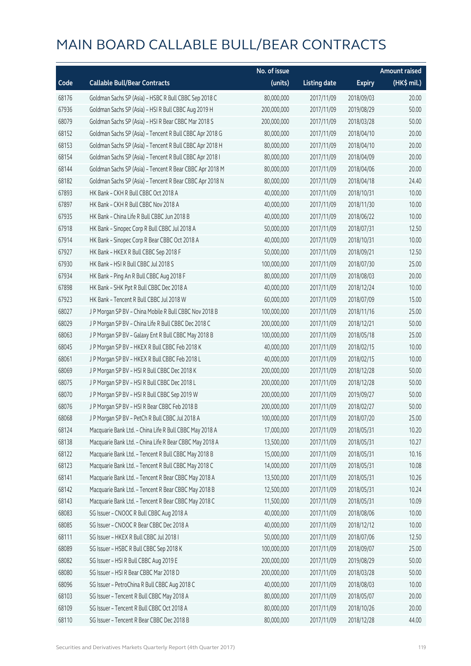|       |                                                          | No. of issue |                     |               | <b>Amount raised</b>  |
|-------|----------------------------------------------------------|--------------|---------------------|---------------|-----------------------|
| Code  | <b>Callable Bull/Bear Contracts</b>                      | (units)      | <b>Listing date</b> | <b>Expiry</b> | $(HK\frac{1}{2}mil.)$ |
| 68176 | Goldman Sachs SP (Asia) - HSBC R Bull CBBC Sep 2018 C    | 80,000,000   | 2017/11/09          | 2018/09/03    | 20.00                 |
| 67936 | Goldman Sachs SP (Asia) - HSI R Bull CBBC Aug 2019 H     | 200,000,000  | 2017/11/09          | 2019/08/29    | 50.00                 |
| 68079 | Goldman Sachs SP (Asia) - HSI R Bear CBBC Mar 2018 S     | 200,000,000  | 2017/11/09          | 2018/03/28    | 50.00                 |
| 68152 | Goldman Sachs SP (Asia) - Tencent R Bull CBBC Apr 2018 G | 80,000,000   | 2017/11/09          | 2018/04/10    | 20.00                 |
| 68153 | Goldman Sachs SP (Asia) - Tencent R Bull CBBC Apr 2018 H | 80,000,000   | 2017/11/09          | 2018/04/10    | 20.00                 |
| 68154 | Goldman Sachs SP (Asia) - Tencent R Bull CBBC Apr 2018 I | 80,000,000   | 2017/11/09          | 2018/04/09    | 20.00                 |
| 68144 | Goldman Sachs SP (Asia) - Tencent R Bear CBBC Apr 2018 M | 80,000,000   | 2017/11/09          | 2018/04/06    | 20.00                 |
| 68182 | Goldman Sachs SP (Asia) - Tencent R Bear CBBC Apr 2018 N | 80,000,000   | 2017/11/09          | 2018/04/18    | 24.40                 |
| 67893 | HK Bank - CKH R Bull CBBC Oct 2018 A                     | 40,000,000   | 2017/11/09          | 2018/10/31    | 10.00                 |
| 67897 | HK Bank - CKH R Bull CBBC Nov 2018 A                     | 40,000,000   | 2017/11/09          | 2018/11/30    | 10.00                 |
| 67935 | HK Bank - China Life R Bull CBBC Jun 2018 B              | 40,000,000   | 2017/11/09          | 2018/06/22    | 10.00                 |
| 67918 | HK Bank - Sinopec Corp R Bull CBBC Jul 2018 A            | 50,000,000   | 2017/11/09          | 2018/07/31    | 12.50                 |
| 67914 | HK Bank - Sinopec Corp R Bear CBBC Oct 2018 A            | 40,000,000   | 2017/11/09          | 2018/10/31    | 10.00                 |
| 67927 | HK Bank - HKEX R Bull CBBC Sep 2018 F                    | 50,000,000   | 2017/11/09          | 2018/09/21    | 12.50                 |
| 67930 | HK Bank - HSI R Bull CBBC Jul 2018 S                     | 100,000,000  | 2017/11/09          | 2018/07/30    | 25.00                 |
| 67934 | HK Bank - Ping An R Bull CBBC Aug 2018 F                 | 80,000,000   | 2017/11/09          | 2018/08/03    | 20.00                 |
| 67898 | HK Bank - SHK Ppt R Bull CBBC Dec 2018 A                 | 40,000,000   | 2017/11/09          | 2018/12/24    | 10.00                 |
| 67923 | HK Bank - Tencent R Bull CBBC Jul 2018 W                 | 60,000,000   | 2017/11/09          | 2018/07/09    | 15.00                 |
| 68027 | J P Morgan SP BV - China Mobile R Bull CBBC Nov 2018 B   | 100,000,000  | 2017/11/09          | 2018/11/16    | 25.00                 |
| 68029 | J P Morgan SP BV - China Life R Bull CBBC Dec 2018 C     | 200,000,000  | 2017/11/09          | 2018/12/21    | 50.00                 |
| 68063 | J P Morgan SP BV - Galaxy Ent R Bull CBBC May 2018 B     | 100,000,000  | 2017/11/09          | 2018/05/18    | 25.00                 |
| 68045 | J P Morgan SP BV - HKEX R Bull CBBC Feb 2018 K           | 40,000,000   | 2017/11/09          | 2018/02/15    | 10.00                 |
| 68061 | J P Morgan SP BV - HKEX R Bull CBBC Feb 2018 L           | 40,000,000   | 2017/11/09          | 2018/02/15    | 10.00                 |
| 68069 | J P Morgan SP BV - HSI R Bull CBBC Dec 2018 K            | 200,000,000  | 2017/11/09          | 2018/12/28    | 50.00                 |
| 68075 | J P Morgan SP BV - HSI R Bull CBBC Dec 2018 L            | 200,000,000  | 2017/11/09          | 2018/12/28    | 50.00                 |
| 68070 | J P Morgan SP BV - HSI R Bull CBBC Sep 2019 W            | 200,000,000  | 2017/11/09          | 2019/09/27    | 50.00                 |
| 68076 | J P Morgan SP BV - HSI R Bear CBBC Feb 2018 B            | 200,000,000  | 2017/11/09          | 2018/02/27    | 50.00                 |
| 68068 | J P Morgan SP BV - PetCh R Bull CBBC Jul 2018 A          | 100,000,000  | 2017/11/09          | 2018/07/20    | 25.00                 |
| 68124 | Macquarie Bank Ltd. - China Life R Bull CBBC May 2018 A  | 17,000,000   | 2017/11/09          | 2018/05/31    | 10.20                 |
| 68138 | Macquarie Bank Ltd. - China Life R Bear CBBC May 2018 A  | 13,500,000   | 2017/11/09          | 2018/05/31    | 10.27                 |
| 68122 | Macquarie Bank Ltd. - Tencent R Bull CBBC May 2018 B     | 15,000,000   | 2017/11/09          | 2018/05/31    | 10.16                 |
| 68123 | Macquarie Bank Ltd. - Tencent R Bull CBBC May 2018 C     | 14,000,000   | 2017/11/09          | 2018/05/31    | 10.08                 |
| 68141 | Macquarie Bank Ltd. - Tencent R Bear CBBC May 2018 A     | 13,500,000   | 2017/11/09          | 2018/05/31    | 10.26                 |
| 68142 | Macquarie Bank Ltd. - Tencent R Bear CBBC May 2018 B     | 12,500,000   | 2017/11/09          | 2018/05/31    | 10.24                 |
| 68143 | Macquarie Bank Ltd. - Tencent R Bear CBBC May 2018 C     | 11,500,000   | 2017/11/09          | 2018/05/31    | 10.09                 |
| 68083 | SG Issuer - CNOOC R Bull CBBC Aug 2018 A                 | 40,000,000   | 2017/11/09          | 2018/08/06    | 10.00                 |
| 68085 | SG Issuer - CNOOC R Bear CBBC Dec 2018 A                 | 40,000,000   | 2017/11/09          | 2018/12/12    | 10.00                 |
| 68111 | SG Issuer - HKEX R Bull CBBC Jul 2018 I                  | 50,000,000   | 2017/11/09          | 2018/07/06    | 12.50                 |
| 68089 | SG Issuer - HSBC R Bull CBBC Sep 2018 K                  | 100,000,000  | 2017/11/09          | 2018/09/07    | 25.00                 |
| 68082 | SG Issuer - HSI R Bull CBBC Aug 2019 E                   | 200,000,000  | 2017/11/09          | 2019/08/29    | 50.00                 |
| 68080 | SG Issuer - HSI R Bear CBBC Mar 2018 D                   | 200,000,000  | 2017/11/09          | 2018/03/28    | 50.00                 |
| 68096 | SG Issuer - PetroChina R Bull CBBC Aug 2018 C            | 40,000,000   | 2017/11/09          | 2018/08/03    | 10.00                 |
| 68103 | SG Issuer - Tencent R Bull CBBC May 2018 A               | 80,000,000   | 2017/11/09          | 2018/05/07    | 20.00                 |
| 68109 | SG Issuer - Tencent R Bull CBBC Oct 2018 A               | 80,000,000   | 2017/11/09          | 2018/10/26    | 20.00                 |
| 68110 | SG Issuer - Tencent R Bear CBBC Dec 2018 B               | 80,000,000   | 2017/11/09          | 2018/12/28    | 44.00                 |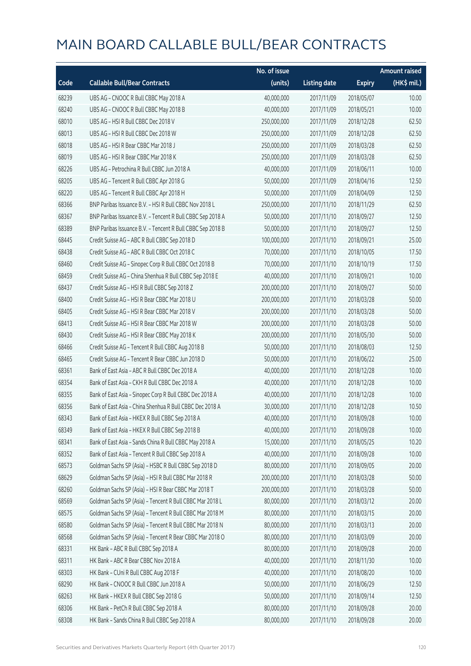|       |                                                            | No. of issue |                     |               | <b>Amount raised</b>  |
|-------|------------------------------------------------------------|--------------|---------------------|---------------|-----------------------|
| Code  | <b>Callable Bull/Bear Contracts</b>                        | (units)      | <b>Listing date</b> | <b>Expiry</b> | $(HK\frac{1}{2}mil.)$ |
| 68239 | UBS AG - CNOOC R Bull CBBC May 2018 A                      | 40,000,000   | 2017/11/09          | 2018/05/07    | 10.00                 |
| 68240 | UBS AG - CNOOC R Bull CBBC May 2018 B                      | 40,000,000   | 2017/11/09          | 2018/05/21    | 10.00                 |
| 68010 | UBS AG - HSI R Bull CBBC Dec 2018 V                        | 250,000,000  | 2017/11/09          | 2018/12/28    | 62.50                 |
| 68013 | UBS AG - HSI R Bull CBBC Dec 2018 W                        | 250,000,000  | 2017/11/09          | 2018/12/28    | 62.50                 |
| 68018 | UBS AG - HSI R Bear CBBC Mar 2018 J                        | 250,000,000  | 2017/11/09          | 2018/03/28    | 62.50                 |
| 68019 | UBS AG - HSI R Bear CBBC Mar 2018 K                        | 250,000,000  | 2017/11/09          | 2018/03/28    | 62.50                 |
| 68226 | UBS AG - Petrochina R Bull CBBC Jun 2018 A                 | 40,000,000   | 2017/11/09          | 2018/06/11    | 10.00                 |
| 68205 | UBS AG - Tencent R Bull CBBC Apr 2018 G                    | 50,000,000   | 2017/11/09          | 2018/04/16    | 12.50                 |
| 68220 | UBS AG - Tencent R Bull CBBC Apr 2018 H                    | 50,000,000   | 2017/11/09          | 2018/04/09    | 12.50                 |
| 68366 | BNP Paribas Issuance B.V. - HSI R Bull CBBC Nov 2018 L     | 250,000,000  | 2017/11/10          | 2018/11/29    | 62.50                 |
| 68367 | BNP Paribas Issuance B.V. - Tencent R Bull CBBC Sep 2018 A | 50,000,000   | 2017/11/10          | 2018/09/27    | 12.50                 |
| 68389 | BNP Paribas Issuance B.V. - Tencent R Bull CBBC Sep 2018 B | 50,000,000   | 2017/11/10          | 2018/09/27    | 12.50                 |
| 68445 | Credit Suisse AG - ABC R Bull CBBC Sep 2018 D              | 100,000,000  | 2017/11/10          | 2018/09/21    | 25.00                 |
| 68438 | Credit Suisse AG - ABC R Bull CBBC Oct 2018 C              | 70,000,000   | 2017/11/10          | 2018/10/05    | 17.50                 |
| 68460 | Credit Suisse AG - Sinopec Corp R Bull CBBC Oct 2018 B     | 70,000,000   | 2017/11/10          | 2018/10/19    | 17.50                 |
| 68459 | Credit Suisse AG - China Shenhua R Bull CBBC Sep 2018 E    | 40,000,000   | 2017/11/10          | 2018/09/21    | 10.00                 |
| 68437 | Credit Suisse AG - HSI R Bull CBBC Sep 2018 Z              | 200,000,000  | 2017/11/10          | 2018/09/27    | 50.00                 |
| 68400 | Credit Suisse AG - HSI R Bear CBBC Mar 2018 U              | 200,000,000  | 2017/11/10          | 2018/03/28    | 50.00                 |
| 68405 | Credit Suisse AG - HSI R Bear CBBC Mar 2018 V              | 200,000,000  | 2017/11/10          | 2018/03/28    | 50.00                 |
| 68413 | Credit Suisse AG - HSI R Bear CBBC Mar 2018 W              | 200,000,000  | 2017/11/10          | 2018/03/28    | 50.00                 |
| 68430 | Credit Suisse AG - HSI R Bear CBBC May 2018 K              | 200,000,000  | 2017/11/10          | 2018/05/30    | 50.00                 |
| 68466 | Credit Suisse AG - Tencent R Bull CBBC Aug 2018 B          | 50,000,000   | 2017/11/10          | 2018/08/03    | 12.50                 |
| 68465 | Credit Suisse AG - Tencent R Bear CBBC Jun 2018 D          | 50,000,000   | 2017/11/10          | 2018/06/22    | 25.00                 |
| 68361 | Bank of East Asia - ABC R Bull CBBC Dec 2018 A             | 40,000,000   | 2017/11/10          | 2018/12/28    | 10.00                 |
| 68354 | Bank of East Asia - CKH R Bull CBBC Dec 2018 A             | 40,000,000   | 2017/11/10          | 2018/12/28    | 10.00                 |
| 68355 | Bank of East Asia - Sinopec Corp R Bull CBBC Dec 2018 A    | 40,000,000   | 2017/11/10          | 2018/12/28    | 10.00                 |
| 68356 | Bank of East Asia - China Shenhua R Bull CBBC Dec 2018 A   | 30,000,000   | 2017/11/10          | 2018/12/28    | 10.50                 |
| 68343 | Bank of East Asia - HKEX R Bull CBBC Sep 2018 A            | 40,000,000   | 2017/11/10          | 2018/09/28    | 10.00                 |
| 68349 | Bank of East Asia - HKEX R Bull CBBC Sep 2018 B            | 40,000,000   | 2017/11/10          | 2018/09/28    | 10.00                 |
| 68341 | Bank of East Asia - Sands China R Bull CBBC May 2018 A     | 15,000,000   | 2017/11/10          | 2018/05/25    | 10.20                 |
| 68352 | Bank of East Asia - Tencent R Bull CBBC Sep 2018 A         | 40,000,000   | 2017/11/10          | 2018/09/28    | 10.00                 |
| 68573 | Goldman Sachs SP (Asia) - HSBC R Bull CBBC Sep 2018 D      | 80,000,000   | 2017/11/10          | 2018/09/05    | 20.00                 |
| 68629 | Goldman Sachs SP (Asia) - HSI R Bull CBBC Mar 2018 R       | 200,000,000  | 2017/11/10          | 2018/03/28    | 50.00                 |
| 68260 | Goldman Sachs SP (Asia) - HSI R Bear CBBC Mar 2018 T       | 200,000,000  | 2017/11/10          | 2018/03/28    | 50.00                 |
| 68569 | Goldman Sachs SP (Asia) - Tencent R Bull CBBC Mar 2018 L   | 80,000,000   | 2017/11/10          | 2018/03/12    | 20.00                 |
| 68575 | Goldman Sachs SP (Asia) - Tencent R Bull CBBC Mar 2018 M   | 80,000,000   | 2017/11/10          | 2018/03/15    | 20.00                 |
| 68580 | Goldman Sachs SP (Asia) - Tencent R Bull CBBC Mar 2018 N   | 80,000,000   | 2017/11/10          | 2018/03/13    | 20.00                 |
| 68568 | Goldman Sachs SP (Asia) - Tencent R Bear CBBC Mar 2018 O   | 80,000,000   | 2017/11/10          | 2018/03/09    | 20.00                 |
| 68331 | HK Bank - ABC R Bull CBBC Sep 2018 A                       | 80,000,000   | 2017/11/10          | 2018/09/28    | 20.00                 |
| 68311 | HK Bank - ABC R Bear CBBC Nov 2018 A                       | 40,000,000   | 2017/11/10          | 2018/11/30    | 10.00                 |
| 68303 | HK Bank - CUni R Bull CBBC Aug 2018 F                      | 40,000,000   | 2017/11/10          | 2018/08/20    | 10.00                 |
| 68290 | HK Bank - CNOOC R Bull CBBC Jun 2018 A                     | 50,000,000   | 2017/11/10          | 2018/06/29    | 12.50                 |
| 68263 | HK Bank - HKEX R Bull CBBC Sep 2018 G                      | 50,000,000   | 2017/11/10          | 2018/09/14    | 12.50                 |
| 68306 | HK Bank - PetCh R Bull CBBC Sep 2018 A                     | 80,000,000   | 2017/11/10          | 2018/09/28    | 20.00                 |
| 68308 | HK Bank - Sands China R Bull CBBC Sep 2018 A               | 80,000,000   | 2017/11/10          | 2018/09/28    | 20.00                 |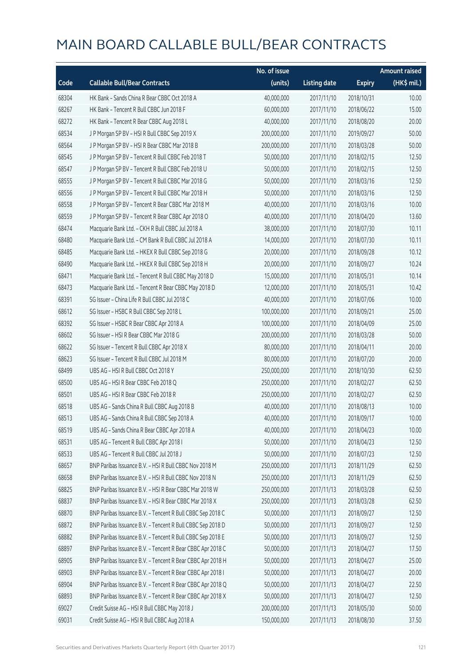|       |                                                            | No. of issue |                     |               | <b>Amount raised</b> |
|-------|------------------------------------------------------------|--------------|---------------------|---------------|----------------------|
| Code  | <b>Callable Bull/Bear Contracts</b>                        | (units)      | <b>Listing date</b> | <b>Expiry</b> | (HK\$ mil.)          |
| 68304 | HK Bank - Sands China R Bear CBBC Oct 2018 A               | 40,000,000   | 2017/11/10          | 2018/10/31    | 10.00                |
| 68267 | HK Bank - Tencent R Bull CBBC Jun 2018 F                   | 60,000,000   | 2017/11/10          | 2018/06/22    | 15.00                |
| 68272 | HK Bank - Tencent R Bear CBBC Aug 2018 L                   | 40,000,000   | 2017/11/10          | 2018/08/20    | 20.00                |
| 68534 | J P Morgan SP BV - HSI R Bull CBBC Sep 2019 X              | 200,000,000  | 2017/11/10          | 2019/09/27    | 50.00                |
| 68564 | J P Morgan SP BV - HSI R Bear CBBC Mar 2018 B              | 200,000,000  | 2017/11/10          | 2018/03/28    | 50.00                |
| 68545 | JP Morgan SP BV - Tencent R Bull CBBC Feb 2018 T           | 50,000,000   | 2017/11/10          | 2018/02/15    | 12.50                |
| 68547 | J P Morgan SP BV - Tencent R Bull CBBC Feb 2018 U          | 50,000,000   | 2017/11/10          | 2018/02/15    | 12.50                |
| 68555 | J P Morgan SP BV - Tencent R Bull CBBC Mar 2018 G          | 50,000,000   | 2017/11/10          | 2018/03/16    | 12.50                |
| 68556 | J P Morgan SP BV - Tencent R Bull CBBC Mar 2018 H          | 50,000,000   | 2017/11/10          | 2018/03/16    | 12.50                |
| 68558 | J P Morgan SP BV - Tencent R Bear CBBC Mar 2018 M          | 40,000,000   | 2017/11/10          | 2018/03/16    | 10.00                |
| 68559 | J P Morgan SP BV - Tencent R Bear CBBC Apr 2018 O          | 40,000,000   | 2017/11/10          | 2018/04/20    | 13.60                |
| 68474 | Macquarie Bank Ltd. - CKH R Bull CBBC Jul 2018 A           | 38,000,000   | 2017/11/10          | 2018/07/30    | 10.11                |
| 68480 | Macquarie Bank Ltd. - CM Bank R Bull CBBC Jul 2018 A       | 14,000,000   | 2017/11/10          | 2018/07/30    | 10.11                |
| 68485 | Macquarie Bank Ltd. - HKEX R Bull CBBC Sep 2018 G          | 20,000,000   | 2017/11/10          | 2018/09/28    | 10.12                |
| 68490 | Macquarie Bank Ltd. - HKEX R Bull CBBC Sep 2018 H          | 20,000,000   | 2017/11/10          | 2018/09/27    | 10.24                |
| 68471 | Macquarie Bank Ltd. - Tencent R Bull CBBC May 2018 D       | 15,000,000   | 2017/11/10          | 2018/05/31    | 10.14                |
| 68473 | Macquarie Bank Ltd. - Tencent R Bear CBBC May 2018 D       | 12,000,000   | 2017/11/10          | 2018/05/31    | 10.42                |
| 68391 | SG Issuer - China Life R Bull CBBC Jul 2018 C              | 40,000,000   | 2017/11/10          | 2018/07/06    | 10.00                |
| 68612 | SG Issuer - HSBC R Bull CBBC Sep 2018 L                    | 100,000,000  | 2017/11/10          | 2018/09/21    | 25.00                |
| 68392 | SG Issuer - HSBC R Bear CBBC Apr 2018 A                    | 100,000,000  | 2017/11/10          | 2018/04/09    | 25.00                |
| 68602 | SG Issuer - HSI R Bear CBBC Mar 2018 G                     | 200,000,000  | 2017/11/10          | 2018/03/28    | 50.00                |
| 68622 | SG Issuer - Tencent R Bull CBBC Apr 2018 X                 | 80,000,000   | 2017/11/10          | 2018/04/11    | 20.00                |
| 68623 | SG Issuer - Tencent R Bull CBBC Jul 2018 M                 | 80,000,000   | 2017/11/10          | 2018/07/20    | 20.00                |
| 68499 | UBS AG - HSI R Bull CBBC Oct 2018 Y                        | 250,000,000  | 2017/11/10          | 2018/10/30    | 62.50                |
| 68500 | UBS AG - HSI R Bear CBBC Feb 2018 Q                        | 250,000,000  | 2017/11/10          | 2018/02/27    | 62.50                |
| 68501 | UBS AG - HSI R Bear CBBC Feb 2018 R                        | 250,000,000  | 2017/11/10          | 2018/02/27    | 62.50                |
| 68518 | UBS AG - Sands China R Bull CBBC Aug 2018 B                | 40,000,000   | 2017/11/10          | 2018/08/13    | 10.00                |
| 68513 | UBS AG - Sands China R Bull CBBC Sep 2018 A                | 40,000,000   | 2017/11/10          | 2018/09/17    | 10.00                |
| 68519 | UBS AG - Sands China R Bear CBBC Apr 2018 A                | 40,000,000   | 2017/11/10          | 2018/04/23    | 10.00                |
| 68531 | UBS AG - Tencent R Bull CBBC Apr 2018 I                    | 50,000,000   | 2017/11/10          | 2018/04/23    | 12.50                |
| 68533 | UBS AG - Tencent R Bull CBBC Jul 2018 J                    | 50,000,000   | 2017/11/10          | 2018/07/23    | 12.50                |
| 68657 | BNP Paribas Issuance B.V. - HSI R Bull CBBC Nov 2018 M     | 250,000,000  | 2017/11/13          | 2018/11/29    | 62.50                |
| 68658 | BNP Paribas Issuance B.V. - HSI R Bull CBBC Nov 2018 N     | 250,000,000  | 2017/11/13          | 2018/11/29    | 62.50                |
| 68825 | BNP Paribas Issuance B.V. - HSI R Bear CBBC Mar 2018 W     | 250,000,000  | 2017/11/13          | 2018/03/28    | 62.50                |
| 68837 | BNP Paribas Issuance B.V. - HSI R Bear CBBC Mar 2018 X     | 250,000,000  | 2017/11/13          | 2018/03/28    | 62.50                |
| 68870 | BNP Paribas Issuance B.V. - Tencent R Bull CBBC Sep 2018 C | 50,000,000   | 2017/11/13          | 2018/09/27    | 12.50                |
| 68872 | BNP Paribas Issuance B.V. - Tencent R Bull CBBC Sep 2018 D | 50,000,000   | 2017/11/13          | 2018/09/27    | 12.50                |
| 68882 | BNP Paribas Issuance B.V. - Tencent R Bull CBBC Sep 2018 E | 50,000,000   | 2017/11/13          | 2018/09/27    | 12.50                |
| 68897 | BNP Paribas Issuance B.V. - Tencent R Bear CBBC Apr 2018 C | 50,000,000   | 2017/11/13          | 2018/04/27    | 17.50                |
| 68905 | BNP Paribas Issuance B.V. - Tencent R Bear CBBC Apr 2018 H | 50,000,000   | 2017/11/13          | 2018/04/27    | 25.00                |
| 68903 | BNP Paribas Issuance B.V. - Tencent R Bear CBBC Apr 2018 I | 50,000,000   | 2017/11/13          | 2018/04/27    | 20.00                |
| 68904 | BNP Paribas Issuance B.V. - Tencent R Bear CBBC Apr 2018 Q | 50,000,000   | 2017/11/13          | 2018/04/27    | 22.50                |
| 68893 | BNP Paribas Issuance B.V. - Tencent R Bear CBBC Apr 2018 X | 50,000,000   | 2017/11/13          | 2018/04/27    | 12.50                |
| 69027 | Credit Suisse AG - HSI R Bull CBBC May 2018 J              | 200,000,000  | 2017/11/13          | 2018/05/30    | 50.00                |
| 69031 | Credit Suisse AG - HSI R Bull CBBC Aug 2018 A              | 150,000,000  | 2017/11/13          | 2018/08/30    | 37.50                |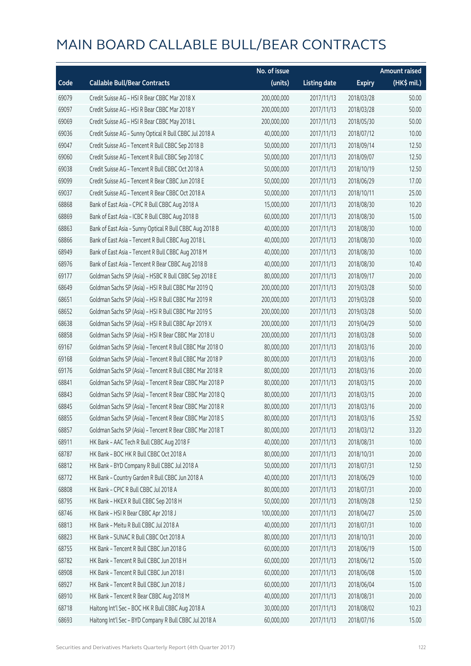|       |                                                          | No. of issue |                     |               | <b>Amount raised</b> |
|-------|----------------------------------------------------------|--------------|---------------------|---------------|----------------------|
| Code  | <b>Callable Bull/Bear Contracts</b>                      | (units)      | <b>Listing date</b> | <b>Expiry</b> | (HK\$ mil.)          |
| 69079 | Credit Suisse AG - HSI R Bear CBBC Mar 2018 X            | 200,000,000  | 2017/11/13          | 2018/03/28    | 50.00                |
| 69097 | Credit Suisse AG - HSI R Bear CBBC Mar 2018 Y            | 200,000,000  | 2017/11/13          | 2018/03/28    | 50.00                |
| 69069 | Credit Suisse AG - HSI R Bear CBBC May 2018 L            | 200,000,000  | 2017/11/13          | 2018/05/30    | 50.00                |
| 69036 | Credit Suisse AG - Sunny Optical R Bull CBBC Jul 2018 A  | 40,000,000   | 2017/11/13          | 2018/07/12    | 10.00                |
| 69047 | Credit Suisse AG - Tencent R Bull CBBC Sep 2018 B        | 50,000,000   | 2017/11/13          | 2018/09/14    | 12.50                |
| 69060 | Credit Suisse AG - Tencent R Bull CBBC Sep 2018 C        | 50,000,000   | 2017/11/13          | 2018/09/07    | 12.50                |
| 69038 | Credit Suisse AG - Tencent R Bull CBBC Oct 2018 A        | 50,000,000   | 2017/11/13          | 2018/10/19    | 12.50                |
| 69099 | Credit Suisse AG - Tencent R Bear CBBC Jun 2018 E        | 50,000,000   | 2017/11/13          | 2018/06/29    | 17.00                |
| 69037 | Credit Suisse AG - Tencent R Bear CBBC Oct 2018 A        | 50,000,000   | 2017/11/13          | 2018/10/11    | 25.00                |
| 68868 | Bank of East Asia - CPIC R Bull CBBC Aug 2018 A          | 15,000,000   | 2017/11/13          | 2018/08/30    | 10.20                |
| 68869 | Bank of East Asia - ICBC R Bull CBBC Aug 2018 B          | 60,000,000   | 2017/11/13          | 2018/08/30    | 15.00                |
| 68863 | Bank of East Asia - Sunny Optical R Bull CBBC Aug 2018 B | 40,000,000   | 2017/11/13          | 2018/08/30    | 10.00                |
| 68866 | Bank of East Asia - Tencent R Bull CBBC Aug 2018 L       | 40,000,000   | 2017/11/13          | 2018/08/30    | 10.00                |
| 68949 | Bank of East Asia - Tencent R Bull CBBC Aug 2018 M       | 40,000,000   | 2017/11/13          | 2018/08/30    | 10.00                |
| 68976 | Bank of East Asia - Tencent R Bear CBBC Aug 2018 B       | 40,000,000   | 2017/11/13          | 2018/08/30    | 10.40                |
| 69177 | Goldman Sachs SP (Asia) - HSBC R Bull CBBC Sep 2018 E    | 80,000,000   | 2017/11/13          | 2018/09/17    | 20.00                |
| 68649 | Goldman Sachs SP (Asia) - HSI R Bull CBBC Mar 2019 Q     | 200,000,000  | 2017/11/13          | 2019/03/28    | 50.00                |
| 68651 | Goldman Sachs SP (Asia) - HSI R Bull CBBC Mar 2019 R     | 200,000,000  | 2017/11/13          | 2019/03/28    | 50.00                |
| 68652 | Goldman Sachs SP (Asia) - HSI R Bull CBBC Mar 2019 S     | 200,000,000  | 2017/11/13          | 2019/03/28    | 50.00                |
| 68638 | Goldman Sachs SP (Asia) - HSI R Bull CBBC Apr 2019 X     | 200,000,000  | 2017/11/13          | 2019/04/29    | 50.00                |
| 68858 | Goldman Sachs SP (Asia) - HSI R Bear CBBC Mar 2018 U     | 200,000,000  | 2017/11/13          | 2018/03/28    | 50.00                |
| 69167 | Goldman Sachs SP (Asia) - Tencent R Bull CBBC Mar 2018 O | 80,000,000   | 2017/11/13          | 2018/03/16    | 20.00                |
| 69168 | Goldman Sachs SP (Asia) - Tencent R Bull CBBC Mar 2018 P | 80,000,000   | 2017/11/13          | 2018/03/16    | 20.00                |
| 69176 | Goldman Sachs SP (Asia) - Tencent R Bull CBBC Mar 2018 R | 80,000,000   | 2017/11/13          | 2018/03/16    | 20.00                |
| 68841 | Goldman Sachs SP (Asia) - Tencent R Bear CBBC Mar 2018 P | 80,000,000   | 2017/11/13          | 2018/03/15    | 20.00                |
| 68843 | Goldman Sachs SP (Asia) - Tencent R Bear CBBC Mar 2018 Q | 80,000,000   | 2017/11/13          | 2018/03/15    | 20.00                |
| 68845 | Goldman Sachs SP (Asia) - Tencent R Bear CBBC Mar 2018 R | 80,000,000   | 2017/11/13          | 2018/03/16    | 20.00                |
| 68855 | Goldman Sachs SP (Asia) - Tencent R Bear CBBC Mar 2018 S | 80,000,000   | 2017/11/13          | 2018/03/16    | 25.92                |
| 68857 | Goldman Sachs SP (Asia) - Tencent R Bear CBBC Mar 2018 T | 80,000,000   | 2017/11/13          | 2018/03/12    | 33.20                |
| 68911 | HK Bank - AAC Tech R Bull CBBC Aug 2018 F                | 40,000,000   | 2017/11/13          | 2018/08/31    | 10.00                |
| 68787 | HK Bank - BOC HK R Bull CBBC Oct 2018 A                  | 80,000,000   | 2017/11/13          | 2018/10/31    | 20.00                |
| 68812 | HK Bank - BYD Company R Bull CBBC Jul 2018 A             | 50,000,000   | 2017/11/13          | 2018/07/31    | 12.50                |
| 68772 | HK Bank - Country Garden R Bull CBBC Jun 2018 A          | 40,000,000   | 2017/11/13          | 2018/06/29    | 10.00                |
| 68808 | HK Bank - CPIC R Bull CBBC Jul 2018 A                    | 80,000,000   | 2017/11/13          | 2018/07/31    | 20.00                |
| 68795 | HK Bank - HKEX R Bull CBBC Sep 2018 H                    | 50,000,000   | 2017/11/13          | 2018/09/28    | 12.50                |
| 68746 | HK Bank - HSI R Bear CBBC Apr 2018 J                     | 100,000,000  | 2017/11/13          | 2018/04/27    | 25.00                |
| 68813 | HK Bank - Meitu R Bull CBBC Jul 2018 A                   | 40,000,000   | 2017/11/13          | 2018/07/31    | 10.00                |
| 68823 | HK Bank - SUNAC R Bull CBBC Oct 2018 A                   | 80,000,000   | 2017/11/13          | 2018/10/31    | 20.00                |
| 68755 | HK Bank - Tencent R Bull CBBC Jun 2018 G                 | 60,000,000   | 2017/11/13          | 2018/06/19    | 15.00                |
| 68782 | HK Bank - Tencent R Bull CBBC Jun 2018 H                 | 60,000,000   | 2017/11/13          | 2018/06/12    | 15.00                |
| 68908 | HK Bank - Tencent R Bull CBBC Jun 2018 I                 | 60,000,000   | 2017/11/13          | 2018/06/08    | 15.00                |
| 68927 | HK Bank - Tencent R Bull CBBC Jun 2018 J                 | 60,000,000   | 2017/11/13          | 2018/06/04    | 15.00                |
| 68910 | HK Bank - Tencent R Bear CBBC Aug 2018 M                 | 40,000,000   | 2017/11/13          | 2018/08/31    | 20.00                |
| 68718 | Haitong Int'l Sec - BOC HK R Bull CBBC Aug 2018 A        | 30,000,000   | 2017/11/13          | 2018/08/02    | 10.23                |
| 68693 | Haitong Int'l Sec - BYD Company R Bull CBBC Jul 2018 A   | 60,000,000   | 2017/11/13          | 2018/07/16    | 15.00                |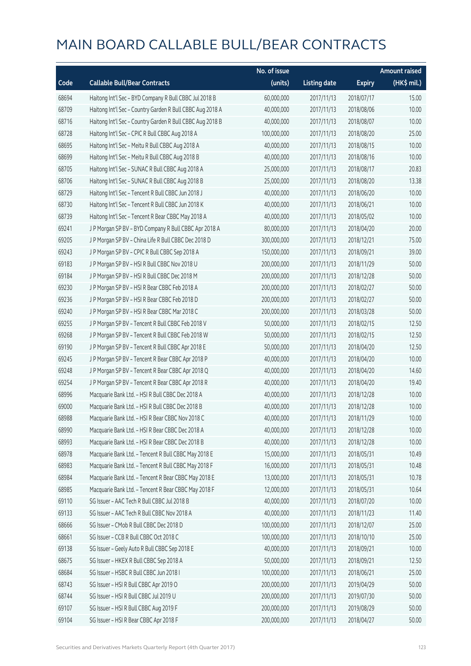|       |                                                           | No. of issue |                     |               | <b>Amount raised</b>  |
|-------|-----------------------------------------------------------|--------------|---------------------|---------------|-----------------------|
| Code  | <b>Callable Bull/Bear Contracts</b>                       | (units)      | <b>Listing date</b> | <b>Expiry</b> | $(HK\frac{1}{2}mil.)$ |
| 68694 | Haitong Int'l Sec - BYD Company R Bull CBBC Jul 2018 B    | 60,000,000   | 2017/11/13          | 2018/07/17    | 15.00                 |
| 68709 | Haitong Int'l Sec - Country Garden R Bull CBBC Aug 2018 A | 40,000,000   | 2017/11/13          | 2018/08/06    | 10.00                 |
| 68716 | Haitong Int'l Sec - Country Garden R Bull CBBC Aug 2018 B | 40,000,000   | 2017/11/13          | 2018/08/07    | 10.00                 |
| 68728 | Haitong Int'l Sec - CPIC R Bull CBBC Aug 2018 A           | 100,000,000  | 2017/11/13          | 2018/08/20    | 25.00                 |
| 68695 | Haitong Int'l Sec - Meitu R Bull CBBC Aug 2018 A          | 40,000,000   | 2017/11/13          | 2018/08/15    | 10.00                 |
| 68699 | Haitong Int'l Sec - Meitu R Bull CBBC Aug 2018 B          | 40,000,000   | 2017/11/13          | 2018/08/16    | 10.00                 |
| 68705 | Haitong Int'l Sec - SUNAC R Bull CBBC Aug 2018 A          | 25,000,000   | 2017/11/13          | 2018/08/17    | 20.83                 |
| 68706 | Haitong Int'l Sec - SUNAC R Bull CBBC Aug 2018 B          | 25,000,000   | 2017/11/13          | 2018/08/20    | 13.38                 |
| 68729 | Haitong Int'l Sec - Tencent R Bull CBBC Jun 2018 J        | 40,000,000   | 2017/11/13          | 2018/06/20    | 10.00                 |
| 68730 | Haitong Int'l Sec - Tencent R Bull CBBC Jun 2018 K        | 40,000,000   | 2017/11/13          | 2018/06/21    | 10.00                 |
| 68739 | Haitong Int'l Sec - Tencent R Bear CBBC May 2018 A        | 40,000,000   | 2017/11/13          | 2018/05/02    | 10.00                 |
| 69241 | J P Morgan SP BV - BYD Company R Bull CBBC Apr 2018 A     | 80,000,000   | 2017/11/13          | 2018/04/20    | 20.00                 |
| 69205 | J P Morgan SP BV - China Life R Bull CBBC Dec 2018 D      | 300,000,000  | 2017/11/13          | 2018/12/21    | 75.00                 |
| 69243 | J P Morgan SP BV - CPIC R Bull CBBC Sep 2018 A            | 150,000,000  | 2017/11/13          | 2018/09/21    | 39.00                 |
| 69183 | J P Morgan SP BV - HSI R Bull CBBC Nov 2018 U             | 200,000,000  | 2017/11/13          | 2018/11/29    | 50.00                 |
| 69184 | JP Morgan SP BV - HSIR Bull CBBC Dec 2018 M               | 200,000,000  | 2017/11/13          | 2018/12/28    | 50.00                 |
| 69230 | J P Morgan SP BV - HSI R Bear CBBC Feb 2018 A             | 200,000,000  | 2017/11/13          | 2018/02/27    | 50.00                 |
| 69236 | J P Morgan SP BV - HSI R Bear CBBC Feb 2018 D             | 200,000,000  | 2017/11/13          | 2018/02/27    | 50.00                 |
| 69240 | J P Morgan SP BV - HSI R Bear CBBC Mar 2018 C             | 200,000,000  | 2017/11/13          | 2018/03/28    | 50.00                 |
| 69255 | J P Morgan SP BV - Tencent R Bull CBBC Feb 2018 V         | 50,000,000   | 2017/11/13          | 2018/02/15    | 12.50                 |
| 69268 | J P Morgan SP BV - Tencent R Bull CBBC Feb 2018 W         | 50,000,000   | 2017/11/13          | 2018/02/15    | 12.50                 |
| 69190 | J P Morgan SP BV - Tencent R Bull CBBC Apr 2018 E         | 50,000,000   | 2017/11/13          | 2018/04/20    | 12.50                 |
| 69245 | J P Morgan SP BV - Tencent R Bear CBBC Apr 2018 P         | 40,000,000   | 2017/11/13          | 2018/04/20    | 10.00                 |
| 69248 | J P Morgan SP BV - Tencent R Bear CBBC Apr 2018 Q         | 40,000,000   | 2017/11/13          | 2018/04/20    | 14.60                 |
| 69254 | J P Morgan SP BV - Tencent R Bear CBBC Apr 2018 R         | 40,000,000   | 2017/11/13          | 2018/04/20    | 19.40                 |
| 68996 | Macquarie Bank Ltd. - HSI R Bull CBBC Dec 2018 A          | 40,000,000   | 2017/11/13          | 2018/12/28    | 10.00                 |
| 69000 | Macquarie Bank Ltd. - HSI R Bull CBBC Dec 2018 B          | 40,000,000   | 2017/11/13          | 2018/12/28    | 10.00                 |
| 68988 | Macquarie Bank Ltd. - HSI R Bear CBBC Nov 2018 C          | 40,000,000   | 2017/11/13          | 2018/11/29    | 10.00                 |
| 68990 | Macquarie Bank Ltd. - HSI R Bear CBBC Dec 2018 A          | 40,000,000   | 2017/11/13          | 2018/12/28    | 10.00                 |
| 68993 | Macquarie Bank Ltd. - HSI R Bear CBBC Dec 2018 B          | 40,000,000   | 2017/11/13          | 2018/12/28    | 10.00                 |
| 68978 | Macquarie Bank Ltd. - Tencent R Bull CBBC May 2018 E      | 15,000,000   | 2017/11/13          | 2018/05/31    | 10.49                 |
| 68983 | Macquarie Bank Ltd. - Tencent R Bull CBBC May 2018 F      | 16,000,000   | 2017/11/13          | 2018/05/31    | 10.48                 |
| 68984 | Macquarie Bank Ltd. - Tencent R Bear CBBC May 2018 E      | 13,000,000   | 2017/11/13          | 2018/05/31    | 10.78                 |
| 68985 | Macquarie Bank Ltd. - Tencent R Bear CBBC May 2018 F      | 12,000,000   | 2017/11/13          | 2018/05/31    | 10.64                 |
| 69110 | SG Issuer - AAC Tech R Bull CBBC Jul 2018 B               | 40,000,000   | 2017/11/13          | 2018/07/20    | 10.00                 |
| 69133 | SG Issuer - AAC Tech R Bull CBBC Nov 2018 A               | 40,000,000   | 2017/11/13          | 2018/11/23    | 11.40                 |
| 68666 | SG Issuer - CMob R Bull CBBC Dec 2018 D                   | 100,000,000  | 2017/11/13          | 2018/12/07    | 25.00                 |
| 68661 | SG Issuer - CCB R Bull CBBC Oct 2018 C                    | 100,000,000  | 2017/11/13          | 2018/10/10    | 25.00                 |
| 69138 | SG Issuer - Geely Auto R Bull CBBC Sep 2018 E             | 40,000,000   | 2017/11/13          | 2018/09/21    | 10.00                 |
| 68675 | SG Issuer - HKEX R Bull CBBC Sep 2018 A                   | 50,000,000   | 2017/11/13          | 2018/09/21    | 12.50                 |
| 68684 | SG Issuer - HSBC R Bull CBBC Jun 2018 I                   | 100,000,000  | 2017/11/13          | 2018/06/21    | 25.00                 |
| 68743 | SG Issuer - HSI R Bull CBBC Apr 2019 O                    | 200,000,000  | 2017/11/13          | 2019/04/29    | 50.00                 |
| 68744 | SG Issuer - HSI R Bull CBBC Jul 2019 U                    | 200,000,000  | 2017/11/13          | 2019/07/30    | 50.00                 |
| 69107 | SG Issuer - HSI R Bull CBBC Aug 2019 F                    | 200,000,000  | 2017/11/13          | 2019/08/29    | 50.00                 |
| 69104 | SG Issuer - HSI R Bear CBBC Apr 2018 F                    | 200,000,000  | 2017/11/13          | 2018/04/27    | 50.00                 |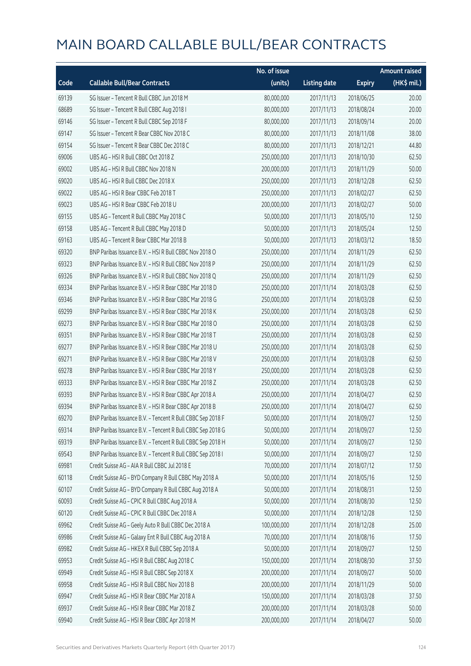|       |                                                            | No. of issue |                     |               | <b>Amount raised</b> |
|-------|------------------------------------------------------------|--------------|---------------------|---------------|----------------------|
| Code  | <b>Callable Bull/Bear Contracts</b>                        | (units)      | <b>Listing date</b> | <b>Expiry</b> | (HK\$ mil.)          |
| 69139 | SG Issuer - Tencent R Bull CBBC Jun 2018 M                 | 80,000,000   | 2017/11/13          | 2018/06/25    | 20.00                |
| 68689 | SG Issuer - Tencent R Bull CBBC Aug 2018 I                 | 80,000,000   | 2017/11/13          | 2018/08/24    | 20.00                |
| 69146 | SG Issuer - Tencent R Bull CBBC Sep 2018 F                 | 80,000,000   | 2017/11/13          | 2018/09/14    | 20.00                |
| 69147 | SG Issuer - Tencent R Bear CBBC Nov 2018 C                 | 80,000,000   | 2017/11/13          | 2018/11/08    | 38.00                |
| 69154 | SG Issuer - Tencent R Bear CBBC Dec 2018 C                 | 80,000,000   | 2017/11/13          | 2018/12/21    | 44.80                |
| 69006 | UBS AG - HSI R Bull CBBC Oct 2018 Z                        | 250,000,000  | 2017/11/13          | 2018/10/30    | 62.50                |
| 69002 | UBS AG - HSI R Bull CBBC Nov 2018 N                        | 200,000,000  | 2017/11/13          | 2018/11/29    | 50.00                |
| 69020 | UBS AG - HSI R Bull CBBC Dec 2018 X                        | 250,000,000  | 2017/11/13          | 2018/12/28    | 62.50                |
| 69022 | UBS AG - HSI R Bear CBBC Feb 2018 T                        | 250,000,000  | 2017/11/13          | 2018/02/27    | 62.50                |
| 69023 | UBS AG - HSI R Bear CBBC Feb 2018 U                        | 200,000,000  | 2017/11/13          | 2018/02/27    | 50.00                |
| 69155 | UBS AG - Tencent R Bull CBBC May 2018 C                    | 50,000,000   | 2017/11/13          | 2018/05/10    | 12.50                |
| 69158 | UBS AG - Tencent R Bull CBBC May 2018 D                    | 50,000,000   | 2017/11/13          | 2018/05/24    | 12.50                |
| 69163 | UBS AG - Tencent R Bear CBBC Mar 2018 B                    | 50,000,000   | 2017/11/13          | 2018/03/12    | 18.50                |
| 69320 | BNP Paribas Issuance B.V. - HSI R Bull CBBC Nov 2018 O     | 250,000,000  | 2017/11/14          | 2018/11/29    | 62.50                |
| 69323 | BNP Paribas Issuance B.V. - HSI R Bull CBBC Nov 2018 P     | 250,000,000  | 2017/11/14          | 2018/11/29    | 62.50                |
| 69326 | BNP Paribas Issuance B.V. - HSI R Bull CBBC Nov 2018 Q     | 250,000,000  | 2017/11/14          | 2018/11/29    | 62.50                |
| 69334 | BNP Paribas Issuance B.V. - HSI R Bear CBBC Mar 2018 D     | 250,000,000  | 2017/11/14          | 2018/03/28    | 62.50                |
| 69346 | BNP Paribas Issuance B.V. - HSI R Bear CBBC Mar 2018 G     | 250,000,000  | 2017/11/14          | 2018/03/28    | 62.50                |
| 69299 | BNP Paribas Issuance B.V. - HSI R Bear CBBC Mar 2018 K     | 250,000,000  | 2017/11/14          | 2018/03/28    | 62.50                |
| 69273 | BNP Paribas Issuance B.V. - HSI R Bear CBBC Mar 2018 O     | 250,000,000  | 2017/11/14          | 2018/03/28    | 62.50                |
| 69351 | BNP Paribas Issuance B.V. - HSI R Bear CBBC Mar 2018 T     | 250,000,000  | 2017/11/14          | 2018/03/28    | 62.50                |
| 69277 | BNP Paribas Issuance B.V. - HSI R Bear CBBC Mar 2018 U     | 250,000,000  | 2017/11/14          | 2018/03/28    | 62.50                |
| 69271 | BNP Paribas Issuance B.V. - HSI R Bear CBBC Mar 2018 V     | 250,000,000  | 2017/11/14          | 2018/03/28    | 62.50                |
| 69278 | BNP Paribas Issuance B.V. - HSI R Bear CBBC Mar 2018 Y     | 250,000,000  | 2017/11/14          | 2018/03/28    | 62.50                |
| 69333 | BNP Paribas Issuance B.V. - HSI R Bear CBBC Mar 2018 Z     | 250,000,000  | 2017/11/14          | 2018/03/28    | 62.50                |
| 69393 | BNP Paribas Issuance B.V. - HSI R Bear CBBC Apr 2018 A     | 250,000,000  | 2017/11/14          | 2018/04/27    | 62.50                |
| 69394 | BNP Paribas Issuance B.V. - HSI R Bear CBBC Apr 2018 B     | 250,000,000  | 2017/11/14          | 2018/04/27    | 62.50                |
| 69270 | BNP Paribas Issuance B.V. - Tencent R Bull CBBC Sep 2018 F | 50,000,000   | 2017/11/14          | 2018/09/27    | 12.50                |
| 69314 | BNP Paribas Issuance B.V. - Tencent R Bull CBBC Sep 2018 G | 50,000,000   | 2017/11/14          | 2018/09/27    | 12.50                |
| 69319 | BNP Paribas Issuance B.V. - Tencent R Bull CBBC Sep 2018 H | 50,000,000   | 2017/11/14          | 2018/09/27    | 12.50                |
| 69543 | BNP Paribas Issuance B.V. - Tencent R Bull CBBC Sep 2018 I | 50,000,000   | 2017/11/14          | 2018/09/27    | 12.50                |
| 69981 | Credit Suisse AG - AIA R Bull CBBC Jul 2018 E              | 70,000,000   | 2017/11/14          | 2018/07/12    | 17.50                |
| 60118 | Credit Suisse AG - BYD Company R Bull CBBC May 2018 A      | 50,000,000   | 2017/11/14          | 2018/05/16    | 12.50                |
| 60107 | Credit Suisse AG - BYD Company R Bull CBBC Aug 2018 A      | 50,000,000   | 2017/11/14          | 2018/08/31    | 12.50                |
| 60093 | Credit Suisse AG - CPIC R Bull CBBC Aug 2018 A             | 50,000,000   | 2017/11/14          | 2018/08/30    | 12.50                |
| 60120 | Credit Suisse AG - CPIC R Bull CBBC Dec 2018 A             | 50,000,000   | 2017/11/14          | 2018/12/28    | 12.50                |
| 69962 | Credit Suisse AG - Geely Auto R Bull CBBC Dec 2018 A       | 100,000,000  | 2017/11/14          | 2018/12/28    | 25.00                |
| 69986 | Credit Suisse AG - Galaxy Ent R Bull CBBC Aug 2018 A       | 70,000,000   | 2017/11/14          | 2018/08/16    | 17.50                |
| 69982 | Credit Suisse AG - HKEX R Bull CBBC Sep 2018 A             | 50,000,000   | 2017/11/14          | 2018/09/27    | 12.50                |
| 69953 | Credit Suisse AG - HSI R Bull CBBC Aug 2018 C              | 150,000,000  | 2017/11/14          | 2018/08/30    | 37.50                |
| 69949 | Credit Suisse AG - HSI R Bull CBBC Sep 2018 X              | 200,000,000  | 2017/11/14          | 2018/09/27    | 50.00                |
| 69958 | Credit Suisse AG - HSI R Bull CBBC Nov 2018 B              | 200,000,000  | 2017/11/14          | 2018/11/29    | 50.00                |
| 69947 | Credit Suisse AG - HSI R Bear CBBC Mar 2018 A              | 150,000,000  | 2017/11/14          | 2018/03/28    | 37.50                |
| 69937 | Credit Suisse AG - HSI R Bear CBBC Mar 2018 Z              | 200,000,000  | 2017/11/14          | 2018/03/28    | 50.00                |
| 69940 | Credit Suisse AG - HSI R Bear CBBC Apr 2018 M              | 200,000,000  | 2017/11/14          | 2018/04/27    | 50.00                |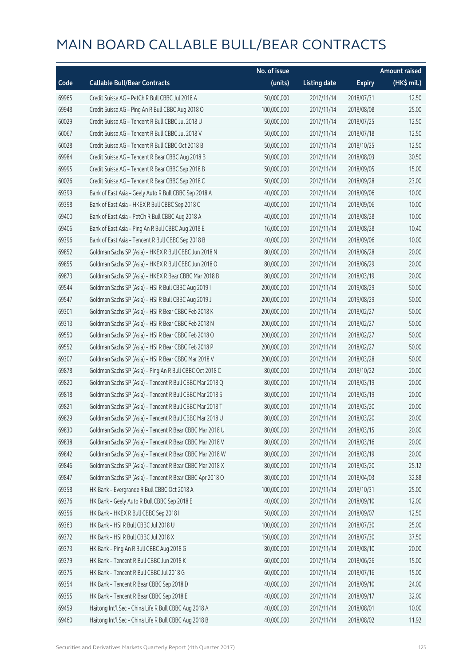|       |                                                          | No. of issue |                     |               | <b>Amount raised</b>  |
|-------|----------------------------------------------------------|--------------|---------------------|---------------|-----------------------|
| Code  | <b>Callable Bull/Bear Contracts</b>                      | (units)      | <b>Listing date</b> | <b>Expiry</b> | $(HK\frac{1}{2}mil.)$ |
| 69965 | Credit Suisse AG - PetCh R Bull CBBC Jul 2018 A          | 50,000,000   | 2017/11/14          | 2018/07/31    | 12.50                 |
| 69948 | Credit Suisse AG - Ping An R Bull CBBC Aug 2018 O        | 100,000,000  | 2017/11/14          | 2018/08/08    | 25.00                 |
| 60029 | Credit Suisse AG - Tencent R Bull CBBC Jul 2018 U        | 50,000,000   | 2017/11/14          | 2018/07/25    | 12.50                 |
| 60067 | Credit Suisse AG - Tencent R Bull CBBC Jul 2018 V        | 50,000,000   | 2017/11/14          | 2018/07/18    | 12.50                 |
| 60028 | Credit Suisse AG - Tencent R Bull CBBC Oct 2018 B        | 50,000,000   | 2017/11/14          | 2018/10/25    | 12.50                 |
| 69984 | Credit Suisse AG - Tencent R Bear CBBC Aug 2018 B        | 50,000,000   | 2017/11/14          | 2018/08/03    | 30.50                 |
| 69995 | Credit Suisse AG - Tencent R Bear CBBC Sep 2018 B        | 50,000,000   | 2017/11/14          | 2018/09/05    | 15.00                 |
| 60026 | Credit Suisse AG - Tencent R Bear CBBC Sep 2018 C        | 50,000,000   | 2017/11/14          | 2018/09/28    | 23.00                 |
| 69399 | Bank of East Asia - Geely Auto R Bull CBBC Sep 2018 A    | 40,000,000   | 2017/11/14          | 2018/09/06    | 10.00                 |
| 69398 | Bank of East Asia - HKEX R Bull CBBC Sep 2018 C          | 40,000,000   | 2017/11/14          | 2018/09/06    | 10.00                 |
| 69400 | Bank of East Asia - PetCh R Bull CBBC Aug 2018 A         | 40,000,000   | 2017/11/14          | 2018/08/28    | 10.00                 |
| 69406 | Bank of East Asia - Ping An R Bull CBBC Aug 2018 E       | 16,000,000   | 2017/11/14          | 2018/08/28    | 10.40                 |
| 69396 | Bank of East Asia - Tencent R Bull CBBC Sep 2018 B       | 40,000,000   | 2017/11/14          | 2018/09/06    | 10.00                 |
| 69852 | Goldman Sachs SP (Asia) - HKEX R Bull CBBC Jun 2018 N    | 80,000,000   | 2017/11/14          | 2018/06/28    | 20.00                 |
| 69855 | Goldman Sachs SP (Asia) - HKEX R Bull CBBC Jun 2018 O    | 80,000,000   | 2017/11/14          | 2018/06/29    | 20.00                 |
| 69873 | Goldman Sachs SP (Asia) - HKEX R Bear CBBC Mar 2018 B    | 80,000,000   | 2017/11/14          | 2018/03/19    | 20.00                 |
| 69544 | Goldman Sachs SP (Asia) - HSI R Bull CBBC Aug 2019 I     | 200,000,000  | 2017/11/14          | 2019/08/29    | 50.00                 |
| 69547 | Goldman Sachs SP (Asia) - HSI R Bull CBBC Aug 2019 J     | 200,000,000  | 2017/11/14          | 2019/08/29    | 50.00                 |
| 69301 | Goldman Sachs SP (Asia) - HSI R Bear CBBC Feb 2018 K     | 200,000,000  | 2017/11/14          | 2018/02/27    | 50.00                 |
| 69313 | Goldman Sachs SP (Asia) - HSI R Bear CBBC Feb 2018 N     | 200,000,000  | 2017/11/14          | 2018/02/27    | 50.00                 |
| 69550 | Goldman Sachs SP (Asia) - HSI R Bear CBBC Feb 2018 O     | 200,000,000  | 2017/11/14          | 2018/02/27    | 50.00                 |
| 69552 | Goldman Sachs SP (Asia) - HSI R Bear CBBC Feb 2018 P     | 200,000,000  | 2017/11/14          | 2018/02/27    | 50.00                 |
| 69307 | Goldman Sachs SP (Asia) - HSI R Bear CBBC Mar 2018 V     | 200,000,000  | 2017/11/14          | 2018/03/28    | 50.00                 |
| 69878 | Goldman Sachs SP (Asia) - Ping An R Bull CBBC Oct 2018 C | 80,000,000   | 2017/11/14          | 2018/10/22    | 20.00                 |
| 69820 | Goldman Sachs SP (Asia) - Tencent R Bull CBBC Mar 2018 Q | 80,000,000   | 2017/11/14          | 2018/03/19    | 20.00                 |
| 69818 | Goldman Sachs SP (Asia) - Tencent R Bull CBBC Mar 2018 S | 80,000,000   | 2017/11/14          | 2018/03/19    | 20.00                 |
| 69821 | Goldman Sachs SP (Asia) - Tencent R Bull CBBC Mar 2018 T | 80,000,000   | 2017/11/14          | 2018/03/20    | 20.00                 |
| 69829 | Goldman Sachs SP (Asia) - Tencent R Bull CBBC Mar 2018 U | 80,000,000   | 2017/11/14          | 2018/03/20    | 20.00                 |
| 69830 | Goldman Sachs SP (Asia) - Tencent R Bear CBBC Mar 2018 U | 80,000,000   | 2017/11/14          | 2018/03/15    | 20.00                 |
| 69838 | Goldman Sachs SP (Asia) - Tencent R Bear CBBC Mar 2018 V | 80,000,000   | 2017/11/14          | 2018/03/16    | 20.00                 |
| 69842 | Goldman Sachs SP (Asia) - Tencent R Bear CBBC Mar 2018 W | 80,000,000   | 2017/11/14          | 2018/03/19    | 20.00                 |
| 69846 | Goldman Sachs SP (Asia) - Tencent R Bear CBBC Mar 2018 X | 80,000,000   | 2017/11/14          | 2018/03/20    | 25.12                 |
| 69847 | Goldman Sachs SP (Asia) - Tencent R Bear CBBC Apr 2018 O | 80,000,000   | 2017/11/14          | 2018/04/03    | 32.88                 |
| 69358 | HK Bank - Evergrande R Bull CBBC Oct 2018 A              | 100,000,000  | 2017/11/14          | 2018/10/31    | 25.00                 |
| 69376 | HK Bank - Geely Auto R Bull CBBC Sep 2018 E              | 40,000,000   | 2017/11/14          | 2018/09/10    | 12.00                 |
| 69356 | HK Bank - HKEX R Bull CBBC Sep 2018 I                    | 50,000,000   | 2017/11/14          | 2018/09/07    | 12.50                 |
| 69363 | HK Bank - HSI R Bull CBBC Jul 2018 U                     | 100,000,000  | 2017/11/14          | 2018/07/30    | 25.00                 |
| 69372 | HK Bank - HSI R Bull CBBC Jul 2018 X                     | 150,000,000  | 2017/11/14          | 2018/07/30    | 37.50                 |
| 69373 | HK Bank - Ping An R Bull CBBC Aug 2018 G                 | 80,000,000   | 2017/11/14          | 2018/08/10    | 20.00                 |
| 69379 | HK Bank - Tencent R Bull CBBC Jun 2018 K                 | 60,000,000   | 2017/11/14          | 2018/06/26    | 15.00                 |
| 69375 | HK Bank - Tencent R Bull CBBC Jul 2018 G                 | 60,000,000   | 2017/11/14          | 2018/07/16    | 15.00                 |
| 69354 | HK Bank - Tencent R Bear CBBC Sep 2018 D                 | 40,000,000   | 2017/11/14          | 2018/09/10    | 24.00                 |
| 69355 | HK Bank - Tencent R Bear CBBC Sep 2018 E                 | 40,000,000   | 2017/11/14          | 2018/09/17    | 32.00                 |
| 69459 | Haitong Int'l Sec - China Life R Bull CBBC Aug 2018 A    | 40,000,000   | 2017/11/14          | 2018/08/01    | 10.00                 |
| 69460 | Haitong Int'l Sec - China Life R Bull CBBC Aug 2018 B    | 40,000,000   | 2017/11/14          | 2018/08/02    | 11.92                 |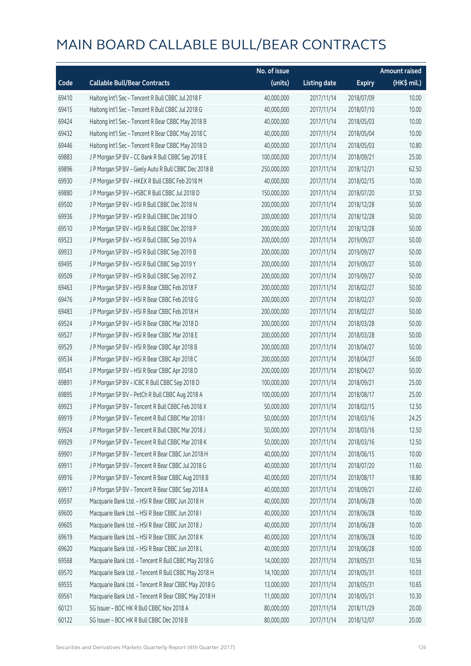|       |                                                      | No. of issue |                     |               | <b>Amount raised</b> |
|-------|------------------------------------------------------|--------------|---------------------|---------------|----------------------|
| Code  | <b>Callable Bull/Bear Contracts</b>                  | (units)      | <b>Listing date</b> | <b>Expiry</b> | (HK\$ mil.)          |
| 69410 | Haitong Int'l Sec - Tencent R Bull CBBC Jul 2018 F   | 40,000,000   | 2017/11/14          | 2018/07/09    | 10.00                |
| 69415 | Haitong Int'l Sec - Tencent R Bull CBBC Jul 2018 G   | 40,000,000   | 2017/11/14          | 2018/07/10    | 10.00                |
| 69424 | Haitong Int'l Sec - Tencent R Bear CBBC May 2018 B   | 40,000,000   | 2017/11/14          | 2018/05/03    | 10.00                |
| 69432 | Haitong Int'l Sec - Tencent R Bear CBBC May 2018 C   | 40,000,000   | 2017/11/14          | 2018/05/04    | 10.00                |
| 69446 | Haitong Int'l Sec - Tencent R Bear CBBC May 2018 D   | 40,000,000   | 2017/11/14          | 2018/05/03    | 10.80                |
| 69883 | J P Morgan SP BV - CC Bank R Bull CBBC Sep 2018 E    | 100,000,000  | 2017/11/14          | 2018/09/21    | 25.00                |
| 69896 | J P Morgan SP BV - Geely Auto R Bull CBBC Dec 2018 B | 250,000,000  | 2017/11/14          | 2018/12/21    | 62.50                |
| 69930 | J P Morgan SP BV - HKEX R Bull CBBC Feb 2018 M       | 40,000,000   | 2017/11/14          | 2018/02/15    | 10.00                |
| 69880 | J P Morgan SP BV - HSBC R Bull CBBC Jul 2018 D       | 150,000,000  | 2017/11/14          | 2018/07/20    | 37.50                |
| 69500 | J P Morgan SP BV - HSI R Bull CBBC Dec 2018 N        | 200,000,000  | 2017/11/14          | 2018/12/28    | 50.00                |
| 69936 | J P Morgan SP BV - HSI R Bull CBBC Dec 2018 O        | 200,000,000  | 2017/11/14          | 2018/12/28    | 50.00                |
| 69510 | J P Morgan SP BV - HSI R Bull CBBC Dec 2018 P        | 200,000,000  | 2017/11/14          | 2018/12/28    | 50.00                |
| 69523 | J P Morgan SP BV - HSI R Bull CBBC Sep 2019 A        | 200,000,000  | 2017/11/14          | 2019/09/27    | 50.00                |
| 69933 | J P Morgan SP BV - HSI R Bull CBBC Sep 2019 B        | 200,000,000  | 2017/11/14          | 2019/09/27    | 50.00                |
| 69495 | J P Morgan SP BV - HSI R Bull CBBC Sep 2019 Y        | 200,000,000  | 2017/11/14          | 2019/09/27    | 50.00                |
| 69509 | J P Morgan SP BV - HSI R Bull CBBC Sep 2019 Z        | 200,000,000  | 2017/11/14          | 2019/09/27    | 50.00                |
| 69463 | J P Morgan SP BV - HSI R Bear CBBC Feb 2018 F        | 200,000,000  | 2017/11/14          | 2018/02/27    | 50.00                |
| 69476 | J P Morgan SP BV - HSI R Bear CBBC Feb 2018 G        | 200,000,000  | 2017/11/14          | 2018/02/27    | 50.00                |
| 69483 | J P Morgan SP BV - HSI R Bear CBBC Feb 2018 H        | 200,000,000  | 2017/11/14          | 2018/02/27    | 50.00                |
| 69524 | J P Morgan SP BV - HSI R Bear CBBC Mar 2018 D        | 200,000,000  | 2017/11/14          | 2018/03/28    | 50.00                |
| 69527 | J P Morgan SP BV - HSI R Bear CBBC Mar 2018 E        | 200,000,000  | 2017/11/14          | 2018/03/28    | 50.00                |
| 69529 | J P Morgan SP BV - HSI R Bear CBBC Apr 2018 B        | 200,000,000  | 2017/11/14          | 2018/04/27    | 50.00                |
| 69534 | J P Morgan SP BV - HSI R Bear CBBC Apr 2018 C        | 200,000,000  | 2017/11/14          | 2018/04/27    | 56.00                |
| 69541 | J P Morgan SP BV - HSI R Bear CBBC Apr 2018 D        | 200,000,000  | 2017/11/14          | 2018/04/27    | 50.00                |
| 69891 | J P Morgan SP BV - ICBC R Bull CBBC Sep 2018 D       | 100,000,000  | 2017/11/14          | 2018/09/21    | 25.00                |
| 69895 | J P Morgan SP BV - PetCh R Bull CBBC Aug 2018 A      | 100,000,000  | 2017/11/14          | 2018/08/17    | 25.00                |
| 69923 | J P Morgan SP BV - Tencent R Bull CBBC Feb 2018 X    | 50,000,000   | 2017/11/14          | 2018/02/15    | 12.50                |
| 69919 | J P Morgan SP BV - Tencent R Bull CBBC Mar 2018 I    | 50,000,000   | 2017/11/14          | 2018/03/16    | 24.25                |
| 69924 | J P Morgan SP BV - Tencent R Bull CBBC Mar 2018 J    | 50,000,000   | 2017/11/14          | 2018/03/16    | 12.50                |
| 69929 | J P Morgan SP BV - Tencent R Bull CBBC Mar 2018 K    | 50,000,000   | 2017/11/14          | 2018/03/16    | 12.50                |
| 69901 | J P Morgan SP BV - Tencent R Bear CBBC Jun 2018 H    | 40,000,000   | 2017/11/14          | 2018/06/15    | 10.00                |
| 69911 | J P Morgan SP BV - Tencent R Bear CBBC Jul 2018 G    | 40,000,000   | 2017/11/14          | 2018/07/20    | 11.60                |
| 69916 | J P Morgan SP BV - Tencent R Bear CBBC Aug 2018 B    | 40,000,000   | 2017/11/14          | 2018/08/17    | 18.80                |
| 69917 | J P Morgan SP BV - Tencent R Bear CBBC Sep 2018 A    | 40,000,000   | 2017/11/14          | 2018/09/21    | 22.60                |
| 69597 | Macquarie Bank Ltd. - HSI R Bear CBBC Jun 2018 H     | 40,000,000   | 2017/11/14          | 2018/06/28    | 10.00                |
| 69600 | Macquarie Bank Ltd. - HSI R Bear CBBC Jun 2018 I     | 40,000,000   | 2017/11/14          | 2018/06/28    | 10.00                |
| 69605 | Macquarie Bank Ltd. - HSI R Bear CBBC Jun 2018 J     | 40,000,000   | 2017/11/14          | 2018/06/28    | 10.00                |
| 69619 | Macquarie Bank Ltd. - HSI R Bear CBBC Jun 2018 K     | 40,000,000   | 2017/11/14          | 2018/06/28    | 10.00                |
| 69620 | Macquarie Bank Ltd. - HSI R Bear CBBC Jun 2018 L     | 40,000,000   | 2017/11/14          | 2018/06/28    | 10.00                |
| 69568 | Macquarie Bank Ltd. - Tencent R Bull CBBC May 2018 G | 14,000,000   | 2017/11/14          | 2018/05/31    | 10.56                |
| 69570 | Macquarie Bank Ltd. - Tencent R Bull CBBC May 2018 H | 14,100,000   | 2017/11/14          | 2018/05/31    | 10.03                |
| 69555 | Macquarie Bank Ltd. - Tencent R Bear CBBC May 2018 G | 13,000,000   | 2017/11/14          | 2018/05/31    | 10.65                |
| 69561 | Macquarie Bank Ltd. - Tencent R Bear CBBC May 2018 H | 11,000,000   | 2017/11/14          | 2018/05/31    | 10.30                |
| 60121 | SG Issuer - BOC HK R Bull CBBC Nov 2018 A            | 80,000,000   | 2017/11/14          | 2018/11/29    | 20.00                |
| 60122 | SG Issuer - BOC HK R Bull CBBC Dec 2018 B            | 80,000,000   | 2017/11/14          | 2018/12/07    | 20.00                |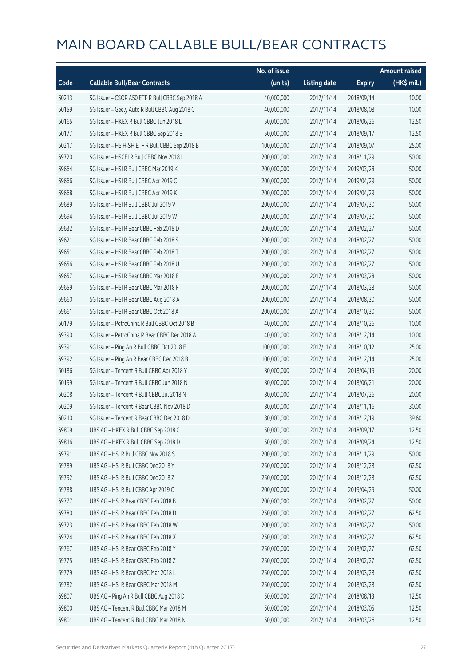|       |                                                 | No. of issue |                     |               | <b>Amount raised</b> |
|-------|-------------------------------------------------|--------------|---------------------|---------------|----------------------|
| Code  | <b>Callable Bull/Bear Contracts</b>             | (units)      | <b>Listing date</b> | <b>Expiry</b> | (HK\$ mil.)          |
| 60213 | SG Issuer - CSOP A50 ETF R Bull CBBC Sep 2018 A | 40,000,000   | 2017/11/14          | 2018/09/14    | 10.00                |
| 60159 | SG Issuer - Geely Auto R Bull CBBC Aug 2018 C   | 40,000,000   | 2017/11/14          | 2018/08/08    | 10.00                |
| 60165 | SG Issuer - HKEX R Bull CBBC Jun 2018 L         | 50,000,000   | 2017/11/14          | 2018/06/26    | 12.50                |
| 60177 | SG Issuer - HKEX R Bull CBBC Sep 2018 B         | 50,000,000   | 2017/11/14          | 2018/09/17    | 12.50                |
| 60217 | SG Issuer - HS H-SH ETF R Bull CBBC Sep 2018 B  | 100,000,000  | 2017/11/14          | 2018/09/07    | 25.00                |
| 69720 | SG Issuer - HSCEI R Bull CBBC Nov 2018 L        | 200,000,000  | 2017/11/14          | 2018/11/29    | 50.00                |
| 69664 | SG Issuer - HSI R Bull CBBC Mar 2019 K          | 200,000,000  | 2017/11/14          | 2019/03/28    | 50.00                |
| 69666 | SG Issuer - HSI R Bull CBBC Apr 2019 C          | 200,000,000  | 2017/11/14          | 2019/04/29    | 50.00                |
| 69668 | SG Issuer - HSI R Bull CBBC Apr 2019 K          | 200,000,000  | 2017/11/14          | 2019/04/29    | 50.00                |
| 69689 | SG Issuer - HSI R Bull CBBC Jul 2019 V          | 200,000,000  | 2017/11/14          | 2019/07/30    | 50.00                |
| 69694 | SG Issuer - HSI R Bull CBBC Jul 2019 W          | 200,000,000  | 2017/11/14          | 2019/07/30    | 50.00                |
| 69632 | SG Issuer - HSI R Bear CBBC Feb 2018 D          | 200,000,000  | 2017/11/14          | 2018/02/27    | 50.00                |
| 69621 | SG Issuer - HSI R Bear CBBC Feb 2018 S          | 200,000,000  | 2017/11/14          | 2018/02/27    | 50.00                |
| 69651 | SG Issuer - HSI R Bear CBBC Feb 2018 T          | 200,000,000  | 2017/11/14          | 2018/02/27    | 50.00                |
| 69656 | SG Issuer - HSI R Bear CBBC Feb 2018 U          | 200,000,000  | 2017/11/14          | 2018/02/27    | 50.00                |
| 69657 | SG Issuer - HSI R Bear CBBC Mar 2018 E          | 200,000,000  | 2017/11/14          | 2018/03/28    | 50.00                |
| 69659 | SG Issuer - HSI R Bear CBBC Mar 2018 F          | 200,000,000  | 2017/11/14          | 2018/03/28    | 50.00                |
| 69660 | SG Issuer - HSI R Bear CBBC Aug 2018 A          | 200,000,000  | 2017/11/14          | 2018/08/30    | 50.00                |
| 69661 | SG Issuer - HSI R Bear CBBC Oct 2018 A          | 200,000,000  | 2017/11/14          | 2018/10/30    | 50.00                |
| 60179 | SG Issuer - PetroChina R Bull CBBC Oct 2018 B   | 40,000,000   | 2017/11/14          | 2018/10/26    | 10.00                |
| 69390 | SG Issuer - PetroChina R Bear CBBC Dec 2018 A   | 40,000,000   | 2017/11/14          | 2018/12/14    | 10.00                |
| 69391 | SG Issuer - Ping An R Bull CBBC Oct 2018 E      | 100,000,000  | 2017/11/14          | 2018/10/12    | 25.00                |
| 69392 | SG Issuer - Ping An R Bear CBBC Dec 2018 B      | 100,000,000  | 2017/11/14          | 2018/12/14    | 25.00                |
| 60186 | SG Issuer - Tencent R Bull CBBC Apr 2018 Y      | 80,000,000   | 2017/11/14          | 2018/04/19    | 20.00                |
| 60199 | SG Issuer - Tencent R Bull CBBC Jun 2018 N      | 80,000,000   | 2017/11/14          | 2018/06/21    | 20.00                |
| 60208 | SG Issuer - Tencent R Bull CBBC Jul 2018 N      | 80,000,000   | 2017/11/14          | 2018/07/26    | 20.00                |
| 60209 | SG Issuer - Tencent R Bear CBBC Nov 2018 D      | 80,000,000   | 2017/11/14          | 2018/11/16    | 30.00                |
| 60210 | SG Issuer - Tencent R Bear CBBC Dec 2018 D      | 80,000,000   | 2017/11/14          | 2018/12/19    | 39.60                |
| 69809 | UBS AG - HKEX R Bull CBBC Sep 2018 C            | 50,000,000   | 2017/11/14          | 2018/09/17    | 12.50                |
| 69816 | UBS AG - HKEX R Bull CBBC Sep 2018 D            | 50,000,000   | 2017/11/14          | 2018/09/24    | 12.50                |
| 69791 | UBS AG - HSI R Bull CBBC Nov 2018 S             | 200,000,000  | 2017/11/14          | 2018/11/29    | 50.00                |
| 69789 | UBS AG - HSI R Bull CBBC Dec 2018 Y             | 250,000,000  | 2017/11/14          | 2018/12/28    | 62.50                |
| 69792 | UBS AG - HSI R Bull CBBC Dec 2018 Z             | 250,000,000  | 2017/11/14          | 2018/12/28    | 62.50                |
| 69788 | UBS AG - HSI R Bull CBBC Apr 2019 Q             | 200,000,000  | 2017/11/14          | 2019/04/29    | 50.00                |
| 69777 | UBS AG - HSI R Bear CBBC Feb 2018 B             | 200,000,000  | 2017/11/14          | 2018/02/27    | 50.00                |
| 69780 | UBS AG - HSI R Bear CBBC Feb 2018 D             | 250,000,000  | 2017/11/14          | 2018/02/27    | 62.50                |
| 69723 | UBS AG - HSI R Bear CBBC Feb 2018 W             | 200,000,000  | 2017/11/14          | 2018/02/27    | 50.00                |
| 69724 | UBS AG - HSI R Bear CBBC Feb 2018 X             | 250,000,000  | 2017/11/14          | 2018/02/27    | 62.50                |
| 69767 | UBS AG - HSI R Bear CBBC Feb 2018 Y             | 250,000,000  | 2017/11/14          | 2018/02/27    | 62.50                |
| 69775 | UBS AG - HSI R Bear CBBC Feb 2018 Z             | 250,000,000  | 2017/11/14          | 2018/02/27    | 62.50                |
| 69779 | UBS AG - HSI R Bear CBBC Mar 2018 L             | 250,000,000  | 2017/11/14          | 2018/03/28    | 62.50                |
| 69782 | UBS AG - HSI R Bear CBBC Mar 2018 M             | 250,000,000  | 2017/11/14          | 2018/03/28    | 62.50                |
| 69807 | UBS AG - Ping An R Bull CBBC Aug 2018 D         | 50,000,000   | 2017/11/14          | 2018/08/13    | 12.50                |
| 69800 | UBS AG - Tencent R Bull CBBC Mar 2018 M         | 50,000,000   | 2017/11/14          | 2018/03/05    | 12.50                |
| 69801 | UBS AG - Tencent R Bull CBBC Mar 2018 N         | 50,000,000   | 2017/11/14          | 2018/03/26    | 12.50                |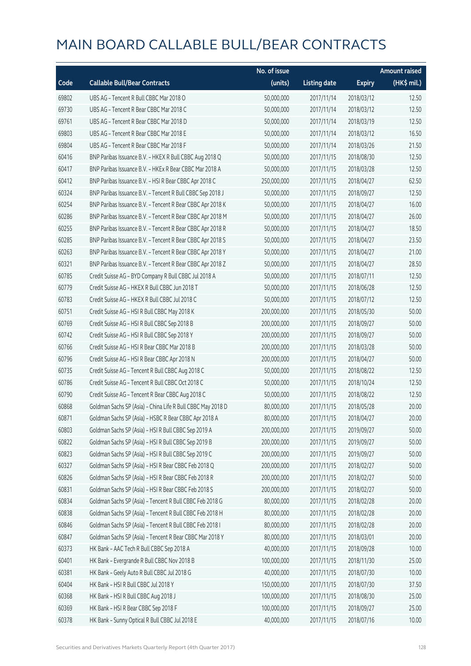|       |                                                             | No. of issue |                     |               | <b>Amount raised</b> |
|-------|-------------------------------------------------------------|--------------|---------------------|---------------|----------------------|
| Code  | <b>Callable Bull/Bear Contracts</b>                         | (units)      | <b>Listing date</b> | <b>Expiry</b> | (HK\$ mil.)          |
| 69802 | UBS AG - Tencent R Bull CBBC Mar 2018 O                     | 50,000,000   | 2017/11/14          | 2018/03/12    | 12.50                |
| 69730 | UBS AG - Tencent R Bear CBBC Mar 2018 C                     | 50,000,000   | 2017/11/14          | 2018/03/12    | 12.50                |
| 69761 | UBS AG - Tencent R Bear CBBC Mar 2018 D                     | 50,000,000   | 2017/11/14          | 2018/03/19    | 12.50                |
| 69803 | UBS AG - Tencent R Bear CBBC Mar 2018 E                     | 50,000,000   | 2017/11/14          | 2018/03/12    | 16.50                |
| 69804 | UBS AG - Tencent R Bear CBBC Mar 2018 F                     | 50,000,000   | 2017/11/14          | 2018/03/26    | 21.50                |
| 60416 | BNP Paribas Issuance B.V. - HKEX R Bull CBBC Aug 2018 Q     | 50,000,000   | 2017/11/15          | 2018/08/30    | 12.50                |
| 60417 | BNP Paribas Issuance B.V. - HKEx R Bear CBBC Mar 2018 A     | 50,000,000   | 2017/11/15          | 2018/03/28    | 12.50                |
| 60412 | BNP Paribas Issuance B.V. - HSI R Bear CBBC Apr 2018 C      | 250,000,000  | 2017/11/15          | 2018/04/27    | 62.50                |
| 60324 | BNP Paribas Issuance B.V. - Tencent R Bull CBBC Sep 2018 J  | 50,000,000   | 2017/11/15          | 2018/09/27    | 12.50                |
| 60254 | BNP Paribas Issuance B.V. - Tencent R Bear CBBC Apr 2018 K  | 50,000,000   | 2017/11/15          | 2018/04/27    | 16.00                |
| 60286 | BNP Paribas Issuance B.V. - Tencent R Bear CBBC Apr 2018 M  | 50,000,000   | 2017/11/15          | 2018/04/27    | 26.00                |
| 60255 | BNP Paribas Issuance B.V. - Tencent R Bear CBBC Apr 2018 R  | 50,000,000   | 2017/11/15          | 2018/04/27    | 18.50                |
| 60285 | BNP Paribas Issuance B.V. - Tencent R Bear CBBC Apr 2018 S  | 50,000,000   | 2017/11/15          | 2018/04/27    | 23.50                |
| 60263 | BNP Paribas Issuance B.V. - Tencent R Bear CBBC Apr 2018 Y  | 50,000,000   | 2017/11/15          | 2018/04/27    | 21.00                |
| 60321 | BNP Paribas Issuance B.V. - Tencent R Bear CBBC Apr 2018 Z  | 50,000,000   | 2017/11/15          | 2018/04/27    | 28.50                |
| 60785 | Credit Suisse AG - BYD Company R Bull CBBC Jul 2018 A       | 50,000,000   | 2017/11/15          | 2018/07/11    | 12.50                |
| 60779 | Credit Suisse AG - HKEX R Bull CBBC Jun 2018 T              | 50,000,000   | 2017/11/15          | 2018/06/28    | 12.50                |
| 60783 | Credit Suisse AG - HKEX R Bull CBBC Jul 2018 C              | 50,000,000   | 2017/11/15          | 2018/07/12    | 12.50                |
| 60751 | Credit Suisse AG - HSI R Bull CBBC May 2018 K               | 200,000,000  | 2017/11/15          | 2018/05/30    | 50.00                |
| 60769 | Credit Suisse AG - HSI R Bull CBBC Sep 2018 B               | 200,000,000  | 2017/11/15          | 2018/09/27    | 50.00                |
| 60742 | Credit Suisse AG - HSI R Bull CBBC Sep 2018 Y               | 200,000,000  | 2017/11/15          | 2018/09/27    | 50.00                |
| 60766 | Credit Suisse AG - HSI R Bear CBBC Mar 2018 B               | 200,000,000  | 2017/11/15          | 2018/03/28    | 50.00                |
| 60796 | Credit Suisse AG - HSI R Bear CBBC Apr 2018 N               | 200,000,000  | 2017/11/15          | 2018/04/27    | 50.00                |
| 60735 | Credit Suisse AG - Tencent R Bull CBBC Aug 2018 C           | 50,000,000   | 2017/11/15          | 2018/08/22    | 12.50                |
| 60786 | Credit Suisse AG - Tencent R Bull CBBC Oct 2018 C           | 50,000,000   | 2017/11/15          | 2018/10/24    | 12.50                |
| 60790 | Credit Suisse AG - Tencent R Bear CBBC Aug 2018 C           | 50,000,000   | 2017/11/15          | 2018/08/22    | 12.50                |
| 60868 | Goldman Sachs SP (Asia) - China Life R Bull CBBC May 2018 D | 80,000,000   | 2017/11/15          | 2018/05/28    | 20.00                |
| 60871 | Goldman Sachs SP (Asia) - HSBC R Bear CBBC Apr 2018 A       | 80,000,000   | 2017/11/15          | 2018/04/27    | 20.00                |
| 60803 | Goldman Sachs SP (Asia) - HSI R Bull CBBC Sep 2019 A        | 200,000,000  | 2017/11/15          | 2019/09/27    | 50.00                |
| 60822 | Goldman Sachs SP (Asia) - HSI R Bull CBBC Sep 2019 B        | 200,000,000  | 2017/11/15          | 2019/09/27    | 50.00                |
| 60823 | Goldman Sachs SP (Asia) - HSI R Bull CBBC Sep 2019 C        | 200,000,000  | 2017/11/15          | 2019/09/27    | 50.00                |
| 60327 | Goldman Sachs SP (Asia) - HSI R Bear CBBC Feb 2018 Q        | 200,000,000  | 2017/11/15          | 2018/02/27    | 50.00                |
| 60826 | Goldman Sachs SP (Asia) - HSI R Bear CBBC Feb 2018 R        | 200,000,000  | 2017/11/15          | 2018/02/27    | 50.00                |
| 60831 | Goldman Sachs SP (Asia) - HSI R Bear CBBC Feb 2018 S        | 200,000,000  | 2017/11/15          | 2018/02/27    | 50.00                |
| 60834 | Goldman Sachs SP (Asia) - Tencent R Bull CBBC Feb 2018 G    | 80,000,000   | 2017/11/15          | 2018/02/28    | 20.00                |
| 60838 | Goldman Sachs SP (Asia) - Tencent R Bull CBBC Feb 2018 H    | 80,000,000   | 2017/11/15          | 2018/02/28    | 20.00                |
| 60846 | Goldman Sachs SP (Asia) - Tencent R Bull CBBC Feb 2018 I    | 80,000,000   | 2017/11/15          | 2018/02/28    | 20.00                |
| 60847 | Goldman Sachs SP (Asia) - Tencent R Bear CBBC Mar 2018 Y    | 80,000,000   | 2017/11/15          | 2018/03/01    | 20.00                |
| 60373 | HK Bank - AAC Tech R Bull CBBC Sep 2018 A                   | 40,000,000   | 2017/11/15          | 2018/09/28    | 10.00                |
| 60401 | HK Bank - Evergrande R Bull CBBC Nov 2018 B                 | 100,000,000  | 2017/11/15          | 2018/11/30    | 25.00                |
| 60381 | HK Bank - Geely Auto R Bull CBBC Jul 2018 G                 | 40,000,000   | 2017/11/15          | 2018/07/30    | 10.00                |
| 60404 | HK Bank - HSI R Bull CBBC Jul 2018 Y                        | 150,000,000  | 2017/11/15          | 2018/07/30    | 37.50                |
| 60368 | HK Bank - HSI R Bull CBBC Aug 2018 J                        | 100,000,000  | 2017/11/15          | 2018/08/30    | 25.00                |
| 60369 | HK Bank - HSI R Bear CBBC Sep 2018 F                        | 100,000,000  | 2017/11/15          | 2018/09/27    | 25.00                |
| 60378 | HK Bank - Sunny Optical R Bull CBBC Jul 2018 E              | 40,000,000   | 2017/11/15          | 2018/07/16    | 10.00                |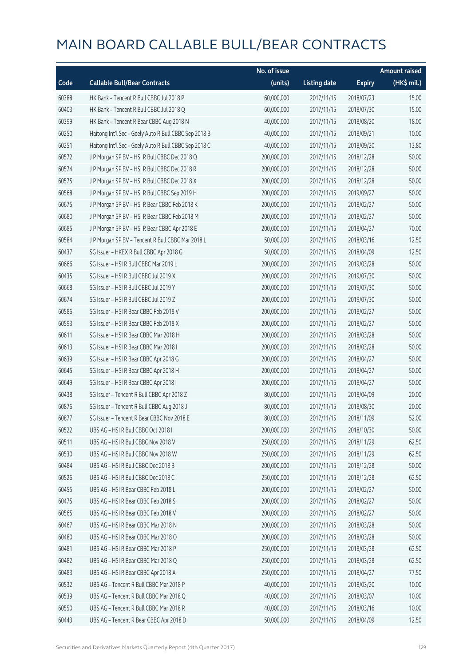|       |                                                       | No. of issue |                     |               | <b>Amount raised</b> |
|-------|-------------------------------------------------------|--------------|---------------------|---------------|----------------------|
| Code  | <b>Callable Bull/Bear Contracts</b>                   | (units)      | <b>Listing date</b> | <b>Expiry</b> | (HK\$ mil.)          |
| 60388 | HK Bank - Tencent R Bull CBBC Jul 2018 P              | 60,000,000   | 2017/11/15          | 2018/07/23    | 15.00                |
| 60403 | HK Bank - Tencent R Bull CBBC Jul 2018 Q              | 60,000,000   | 2017/11/15          | 2018/07/30    | 15.00                |
| 60399 | HK Bank - Tencent R Bear CBBC Aug 2018 N              | 40,000,000   | 2017/11/15          | 2018/08/20    | 18.00                |
| 60250 | Haitong Int'l Sec - Geely Auto R Bull CBBC Sep 2018 B | 40,000,000   | 2017/11/15          | 2018/09/21    | 10.00                |
| 60251 | Haitong Int'l Sec - Geely Auto R Bull CBBC Sep 2018 C | 40,000,000   | 2017/11/15          | 2018/09/20    | 13.80                |
| 60572 | J P Morgan SP BV - HSI R Bull CBBC Dec 2018 Q         | 200,000,000  | 2017/11/15          | 2018/12/28    | 50.00                |
| 60574 | J P Morgan SP BV - HSI R Bull CBBC Dec 2018 R         | 200,000,000  | 2017/11/15          | 2018/12/28    | 50.00                |
| 60575 | J P Morgan SP BV - HSI R Bull CBBC Dec 2018 X         | 200,000,000  | 2017/11/15          | 2018/12/28    | 50.00                |
| 60568 | J P Morgan SP BV - HSI R Bull CBBC Sep 2019 H         | 200,000,000  | 2017/11/15          | 2019/09/27    | 50.00                |
| 60675 | J P Morgan SP BV - HSI R Bear CBBC Feb 2018 K         | 200,000,000  | 2017/11/15          | 2018/02/27    | 50.00                |
| 60680 | J P Morgan SP BV - HSI R Bear CBBC Feb 2018 M         | 200,000,000  | 2017/11/15          | 2018/02/27    | 50.00                |
| 60685 | J P Morgan SP BV - HSI R Bear CBBC Apr 2018 E         | 200,000,000  | 2017/11/15          | 2018/04/27    | 70.00                |
| 60584 | J P Morgan SP BV - Tencent R Bull CBBC Mar 2018 L     | 50,000,000   | 2017/11/15          | 2018/03/16    | 12.50                |
| 60437 | SG Issuer - HKEX R Bull CBBC Apr 2018 G               | 50,000,000   | 2017/11/15          | 2018/04/09    | 12.50                |
| 60666 | SG Issuer - HSI R Bull CBBC Mar 2019 L                | 200,000,000  | 2017/11/15          | 2019/03/28    | 50.00                |
| 60435 | SG Issuer - HSI R Bull CBBC Jul 2019 X                | 200,000,000  | 2017/11/15          | 2019/07/30    | 50.00                |
| 60668 | SG Issuer - HSI R Bull CBBC Jul 2019 Y                | 200,000,000  | 2017/11/15          | 2019/07/30    | 50.00                |
| 60674 | SG Issuer - HSI R Bull CBBC Jul 2019 Z                | 200,000,000  | 2017/11/15          | 2019/07/30    | 50.00                |
| 60586 | SG Issuer - HSI R Bear CBBC Feb 2018 V                | 200,000,000  | 2017/11/15          | 2018/02/27    | 50.00                |
| 60593 | SG Issuer - HSI R Bear CBBC Feb 2018 X                | 200,000,000  | 2017/11/15          | 2018/02/27    | 50.00                |
| 60611 | SG Issuer - HSI R Bear CBBC Mar 2018 H                | 200,000,000  | 2017/11/15          | 2018/03/28    | 50.00                |
| 60613 | SG Issuer - HSI R Bear CBBC Mar 2018 I                | 200,000,000  | 2017/11/15          | 2018/03/28    | 50.00                |
| 60639 | SG Issuer - HSI R Bear CBBC Apr 2018 G                | 200,000,000  | 2017/11/15          | 2018/04/27    | 50.00                |
| 60645 | SG Issuer - HSI R Bear CBBC Apr 2018 H                | 200,000,000  | 2017/11/15          | 2018/04/27    | 50.00                |
| 60649 | SG Issuer - HSI R Bear CBBC Apr 2018 I                | 200,000,000  | 2017/11/15          | 2018/04/27    | 50.00                |
| 60438 | SG Issuer - Tencent R Bull CBBC Apr 2018 Z            | 80,000,000   | 2017/11/15          | 2018/04/09    | 20.00                |
| 60876 | SG Issuer - Tencent R Bull CBBC Aug 2018 J            | 80,000,000   | 2017/11/15          | 2018/08/30    | 20.00                |
| 60877 | SG Issuer - Tencent R Bear CBBC Nov 2018 E            | 80,000,000   | 2017/11/15          | 2018/11/09    | 52.00                |
| 60522 | UBS AG - HSI R Bull CBBC Oct 2018 I                   | 200,000,000  | 2017/11/15          | 2018/10/30    | 50.00                |
| 60511 | UBS AG - HSI R Bull CBBC Nov 2018 V                   | 250,000,000  | 2017/11/15          | 2018/11/29    | 62.50                |
| 60530 | UBS AG - HSI R Bull CBBC Nov 2018 W                   | 250,000,000  | 2017/11/15          | 2018/11/29    | 62.50                |
| 60484 | UBS AG - HSI R Bull CBBC Dec 2018 B                   | 200,000,000  | 2017/11/15          | 2018/12/28    | 50.00                |
| 60526 | UBS AG - HSI R Bull CBBC Dec 2018 C                   | 250,000,000  | 2017/11/15          | 2018/12/28    | 62.50                |
| 60455 | UBS AG - HSI R Bear CBBC Feb 2018 L                   | 200,000,000  | 2017/11/15          | 2018/02/27    | 50.00                |
| 60475 | UBS AG - HSI R Bear CBBC Feb 2018 S                   | 200,000,000  | 2017/11/15          | 2018/02/27    | 50.00                |
| 60565 | UBS AG - HSI R Bear CBBC Feb 2018 V                   | 200,000,000  | 2017/11/15          | 2018/02/27    | 50.00                |
| 60467 | UBS AG - HSI R Bear CBBC Mar 2018 N                   | 200,000,000  | 2017/11/15          | 2018/03/28    | 50.00                |
| 60480 | UBS AG - HSI R Bear CBBC Mar 2018 O                   | 200,000,000  | 2017/11/15          | 2018/03/28    | 50.00                |
| 60481 | UBS AG - HSI R Bear CBBC Mar 2018 P                   | 250,000,000  | 2017/11/15          | 2018/03/28    | 62.50                |
| 60482 | UBS AG - HSI R Bear CBBC Mar 2018 Q                   | 250,000,000  | 2017/11/15          | 2018/03/28    | 62.50                |
| 60483 | UBS AG - HSI R Bear CBBC Apr 2018 A                   | 250,000,000  | 2017/11/15          | 2018/04/27    | 77.50                |
| 60532 | UBS AG - Tencent R Bull CBBC Mar 2018 P               | 40,000,000   | 2017/11/15          | 2018/03/20    | 10.00                |
| 60539 | UBS AG - Tencent R Bull CBBC Mar 2018 Q               | 40,000,000   | 2017/11/15          | 2018/03/07    | 10.00                |
| 60550 | UBS AG - Tencent R Bull CBBC Mar 2018 R               | 40,000,000   | 2017/11/15          | 2018/03/16    | 10.00                |
| 60443 | UBS AG - Tencent R Bear CBBC Apr 2018 D               | 50,000,000   | 2017/11/15          | 2018/04/09    | 12.50                |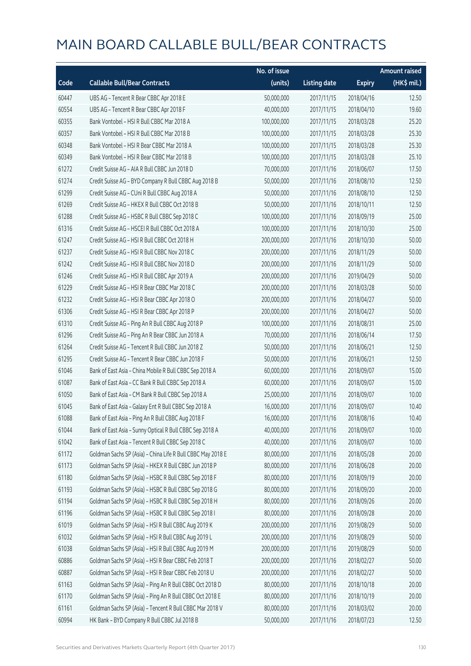|       |                                                             | No. of issue |                     |               | <b>Amount raised</b> |
|-------|-------------------------------------------------------------|--------------|---------------------|---------------|----------------------|
| Code  | <b>Callable Bull/Bear Contracts</b>                         | (units)      | <b>Listing date</b> | <b>Expiry</b> | (HK\$ mil.)          |
| 60447 | UBS AG - Tencent R Bear CBBC Apr 2018 E                     | 50,000,000   | 2017/11/15          | 2018/04/16    | 12.50                |
| 60554 | UBS AG - Tencent R Bear CBBC Apr 2018 F                     | 40,000,000   | 2017/11/15          | 2018/04/10    | 19.60                |
| 60355 | Bank Vontobel - HSI R Bull CBBC Mar 2018 A                  | 100,000,000  | 2017/11/15          | 2018/03/28    | 25.20                |
| 60357 | Bank Vontobel - HSI R Bull CBBC Mar 2018 B                  | 100,000,000  | 2017/11/15          | 2018/03/28    | 25.30                |
| 60348 | Bank Vontobel - HSI R Bear CBBC Mar 2018 A                  | 100,000,000  | 2017/11/15          | 2018/03/28    | 25.30                |
| 60349 | Bank Vontobel - HSI R Bear CBBC Mar 2018 B                  | 100,000,000  | 2017/11/15          | 2018/03/28    | 25.10                |
| 61272 | Credit Suisse AG - AIA R Bull CBBC Jun 2018 D               | 70,000,000   | 2017/11/16          | 2018/06/07    | 17.50                |
| 61274 | Credit Suisse AG - BYD Company R Bull CBBC Aug 2018 B       | 50,000,000   | 2017/11/16          | 2018/08/10    | 12.50                |
| 61299 | Credit Suisse AG - CUni R Bull CBBC Aug 2018 A              | 50,000,000   | 2017/11/16          | 2018/08/10    | 12.50                |
| 61269 | Credit Suisse AG - HKEX R Bull CBBC Oct 2018 B              | 50,000,000   | 2017/11/16          | 2018/10/11    | 12.50                |
| 61288 | Credit Suisse AG - HSBC R Bull CBBC Sep 2018 C              | 100,000,000  | 2017/11/16          | 2018/09/19    | 25.00                |
| 61316 | Credit Suisse AG - HSCEI R Bull CBBC Oct 2018 A             | 100,000,000  | 2017/11/16          | 2018/10/30    | 25.00                |
| 61247 | Credit Suisse AG - HSI R Bull CBBC Oct 2018 H               | 200,000,000  | 2017/11/16          | 2018/10/30    | 50.00                |
| 61237 | Credit Suisse AG - HSI R Bull CBBC Nov 2018 C               | 200,000,000  | 2017/11/16          | 2018/11/29    | 50.00                |
| 61242 | Credit Suisse AG - HSI R Bull CBBC Nov 2018 D               | 200,000,000  | 2017/11/16          | 2018/11/29    | 50.00                |
| 61246 | Credit Suisse AG - HSI R Bull CBBC Apr 2019 A               | 200,000,000  | 2017/11/16          | 2019/04/29    | 50.00                |
| 61229 | Credit Suisse AG - HSI R Bear CBBC Mar 2018 C               | 200,000,000  | 2017/11/16          | 2018/03/28    | 50.00                |
| 61232 | Credit Suisse AG - HSI R Bear CBBC Apr 2018 O               | 200,000,000  | 2017/11/16          | 2018/04/27    | 50.00                |
| 61306 | Credit Suisse AG - HSI R Bear CBBC Apr 2018 P               | 200,000,000  | 2017/11/16          | 2018/04/27    | 50.00                |
| 61310 | Credit Suisse AG - Ping An R Bull CBBC Aug 2018 P           | 100,000,000  | 2017/11/16          | 2018/08/31    | 25.00                |
| 61296 | Credit Suisse AG - Ping An R Bear CBBC Jun 2018 A           | 70,000,000   | 2017/11/16          | 2018/06/14    | 17.50                |
| 61264 | Credit Suisse AG - Tencent R Bull CBBC Jun 2018 Z           | 50,000,000   | 2017/11/16          | 2018/06/21    | 12.50                |
| 61295 | Credit Suisse AG - Tencent R Bear CBBC Jun 2018 F           | 50,000,000   | 2017/11/16          | 2018/06/21    | 12.50                |
| 61046 | Bank of East Asia - China Mobile R Bull CBBC Sep 2018 A     | 60,000,000   | 2017/11/16          | 2018/09/07    | 15.00                |
| 61087 | Bank of East Asia - CC Bank R Bull CBBC Sep 2018 A          | 60,000,000   | 2017/11/16          | 2018/09/07    | 15.00                |
| 61050 | Bank of East Asia - CM Bank R Bull CBBC Sep 2018 A          | 25,000,000   | 2017/11/16          | 2018/09/07    | 10.00                |
| 61045 | Bank of East Asia - Galaxy Ent R Bull CBBC Sep 2018 A       | 16,000,000   | 2017/11/16          | 2018/09/07    | 10.40                |
| 61088 | Bank of East Asia - Ping An R Bull CBBC Aug 2018 F          | 16,000,000   | 2017/11/16          | 2018/08/16    | 10.40                |
| 61044 | Bank of East Asia - Sunny Optical R Bull CBBC Sep 2018 A    | 40,000,000   | 2017/11/16          | 2018/09/07    | 10.00                |
| 61042 | Bank of East Asia - Tencent R Bull CBBC Sep 2018 C          | 40,000,000   | 2017/11/16          | 2018/09/07    | 10.00                |
| 61172 | Goldman Sachs SP (Asia) - China Life R Bull CBBC May 2018 E | 80,000,000   | 2017/11/16          | 2018/05/28    | 20.00                |
| 61173 | Goldman Sachs SP (Asia) - HKEX R Bull CBBC Jun 2018 P       | 80,000,000   | 2017/11/16          | 2018/06/28    | 20.00                |
| 61180 | Goldman Sachs SP (Asia) - HSBC R Bull CBBC Sep 2018 F       | 80,000,000   | 2017/11/16          | 2018/09/19    | 20.00                |
| 61193 | Goldman Sachs SP (Asia) - HSBC R Bull CBBC Sep 2018 G       | 80,000,000   | 2017/11/16          | 2018/09/20    | 20.00                |
| 61194 | Goldman Sachs SP (Asia) - HSBC R Bull CBBC Sep 2018 H       | 80,000,000   | 2017/11/16          | 2018/09/26    | 20.00                |
| 61196 | Goldman Sachs SP (Asia) - HSBC R Bull CBBC Sep 2018 I       | 80,000,000   | 2017/11/16          | 2018/09/28    | 20.00                |
| 61019 | Goldman Sachs SP (Asia) - HSI R Bull CBBC Aug 2019 K        | 200,000,000  | 2017/11/16          | 2019/08/29    | 50.00                |
| 61032 | Goldman Sachs SP (Asia) - HSI R Bull CBBC Aug 2019 L        | 200,000,000  | 2017/11/16          | 2019/08/29    | 50.00                |
| 61038 | Goldman Sachs SP (Asia) - HSI R Bull CBBC Aug 2019 M        | 200,000,000  | 2017/11/16          | 2019/08/29    | 50.00                |
| 60886 | Goldman Sachs SP (Asia) - HSI R Bear CBBC Feb 2018 T        | 200,000,000  | 2017/11/16          | 2018/02/27    | 50.00                |
| 60887 | Goldman Sachs SP (Asia) - HSI R Bear CBBC Feb 2018 U        | 200,000,000  | 2017/11/16          | 2018/02/27    | 50.00                |
| 61163 | Goldman Sachs SP (Asia) - Ping An R Bull CBBC Oct 2018 D    | 80,000,000   | 2017/11/16          | 2018/10/18    | 20.00                |
| 61170 | Goldman Sachs SP (Asia) - Ping An R Bull CBBC Oct 2018 E    | 80,000,000   | 2017/11/16          | 2018/10/19    | 20.00                |
| 61161 | Goldman Sachs SP (Asia) - Tencent R Bull CBBC Mar 2018 V    | 80,000,000   | 2017/11/16          | 2018/03/02    | 20.00                |
| 60994 | HK Bank - BYD Company R Bull CBBC Jul 2018 B                | 50,000,000   | 2017/11/16          | 2018/07/23    | 12.50                |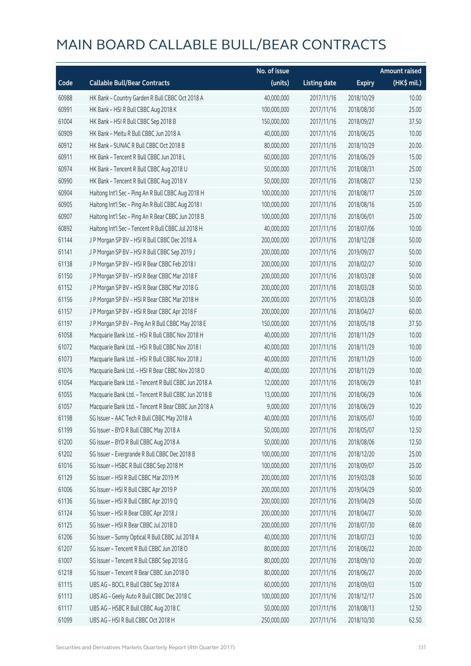|       |                                                      | No. of issue |                     |               | <b>Amount raised</b> |
|-------|------------------------------------------------------|--------------|---------------------|---------------|----------------------|
| Code  | <b>Callable Bull/Bear Contracts</b>                  | (units)      | <b>Listing date</b> | <b>Expiry</b> | (HK\$ mil.)          |
| 60988 | HK Bank - Country Garden R Bull CBBC Oct 2018 A      | 40,000,000   | 2017/11/16          | 2018/10/29    | 10.00                |
| 60991 | HK Bank - HSI R Bull CBBC Aug 2018 K                 | 100,000,000  | 2017/11/16          | 2018/08/30    | 25.00                |
| 61004 | HK Bank - HSI R Bull CBBC Sep 2018 B                 | 150,000,000  | 2017/11/16          | 2018/09/27    | 37.50                |
| 60909 | HK Bank - Meitu R Bull CBBC Jun 2018 A               | 40,000,000   | 2017/11/16          | 2018/06/25    | 10.00                |
| 60912 | HK Bank - SUNAC R Bull CBBC Oct 2018 B               | 80,000,000   | 2017/11/16          | 2018/10/29    | 20.00                |
| 60911 | HK Bank - Tencent R Bull CBBC Jun 2018 L             | 60,000,000   | 2017/11/16          | 2018/06/29    | 15.00                |
| 60974 | HK Bank - Tencent R Bull CBBC Aug 2018 U             | 50,000,000   | 2017/11/16          | 2018/08/31    | 25.00                |
| 60990 | HK Bank - Tencent R Bull CBBC Aug 2018 V             | 50,000,000   | 2017/11/16          | 2018/08/27    | 12.50                |
| 60904 | Haitong Int'l Sec - Ping An R Bull CBBC Aug 2018 H   | 100,000,000  | 2017/11/16          | 2018/08/17    | 25.00                |
| 60905 | Haitong Int'l Sec - Ping An R Bull CBBC Aug 2018 I   | 100,000,000  | 2017/11/16          | 2018/08/16    | 25.00                |
| 60907 | Haitong Int'l Sec - Ping An R Bear CBBC Jun 2018 B   | 100,000,000  | 2017/11/16          | 2018/06/01    | 25.00                |
| 60892 | Haitong Int'l Sec - Tencent R Bull CBBC Jul 2018 H   | 40,000,000   | 2017/11/16          | 2018/07/06    | 10.00                |
| 61144 | J P Morgan SP BV - HSI R Bull CBBC Dec 2018 A        | 200,000,000  | 2017/11/16          | 2018/12/28    | 50.00                |
| 61141 | J P Morgan SP BV - HSI R Bull CBBC Sep 2019 J        | 200,000,000  | 2017/11/16          | 2019/09/27    | 50.00                |
| 61138 | JP Morgan SP BV - HSIR Bear CBBC Feb 2018 I          | 200,000,000  | 2017/11/16          | 2018/02/27    | 50.00                |
| 61150 | J P Morgan SP BV - HSI R Bear CBBC Mar 2018 F        | 200,000,000  | 2017/11/16          | 2018/03/28    | 50.00                |
| 61152 | J P Morgan SP BV - HSI R Bear CBBC Mar 2018 G        | 200,000,000  | 2017/11/16          | 2018/03/28    | 50.00                |
| 61156 | J P Morgan SP BV - HSI R Bear CBBC Mar 2018 H        | 200,000,000  | 2017/11/16          | 2018/03/28    | 50.00                |
| 61157 | J P Morgan SP BV - HSI R Bear CBBC Apr 2018 F        | 200,000,000  | 2017/11/16          | 2018/04/27    | 60.00                |
| 61197 | J P Morgan SP BV - Ping An R Bull CBBC May 2018 E    | 150,000,000  | 2017/11/16          | 2018/05/18    | 37.50                |
| 61058 | Macquarie Bank Ltd. - HSI R Bull CBBC Nov 2018 H     | 40,000,000   | 2017/11/16          | 2018/11/29    | 10.00                |
| 61072 | Macquarie Bank Ltd. - HSI R Bull CBBC Nov 2018 I     | 40,000,000   | 2017/11/16          | 2018/11/29    | 10.00                |
| 61073 | Macquarie Bank Ltd. - HSI R Bull CBBC Nov 2018 J     | 40,000,000   | 2017/11/16          | 2018/11/29    | 10.00                |
| 61076 | Macquarie Bank Ltd. - HSI R Bear CBBC Nov 2018 D     | 40,000,000   | 2017/11/16          | 2018/11/29    | 10.00                |
| 61054 | Macquarie Bank Ltd. - Tencent R Bull CBBC Jun 2018 A | 12,000,000   | 2017/11/16          | 2018/06/29    | 10.81                |
| 61055 | Macquarie Bank Ltd. - Tencent R Bull CBBC Jun 2018 B | 13,000,000   | 2017/11/16          | 2018/06/29    | 10.06                |
| 61057 | Macquarie Bank Ltd. - Tencent R Bear CBBC Jun 2018 A | 9,000,000    | 2017/11/16          | 2018/06/29    | 10.20                |
| 61198 | SG Issuer - AAC Tech R Bull CBBC May 2018 A          | 40,000,000   | 2017/11/16          | 2018/05/07    | 10.00                |
| 61199 | SG Issuer - BYD R Bull CBBC May 2018 A               | 50,000,000   | 2017/11/16          | 2018/05/07    | 12.50                |
| 61200 | SG Issuer - BYD R Bull CBBC Aug 2018 A               | 50,000,000   | 2017/11/16          | 2018/08/06    | 12.50                |
| 61202 | SG Issuer - Evergrande R Bull CBBC Dec 2018 B        | 100,000,000  | 2017/11/16          | 2018/12/20    | 25.00                |
| 61016 | SG Issuer - HSBC R Bull CBBC Sep 2018 M              | 100,000,000  | 2017/11/16          | 2018/09/07    | 25.00                |
| 61129 | SG Issuer - HSI R Bull CBBC Mar 2019 M               | 200,000,000  | 2017/11/16          | 2019/03/28    | 50.00                |
| 61006 | SG Issuer - HSI R Bull CBBC Apr 2019 P               | 200,000,000  | 2017/11/16          | 2019/04/29    | 50.00                |
| 61136 | SG Issuer - HSI R Bull CBBC Apr 2019 Q               | 200,000,000  | 2017/11/16          | 2019/04/29    | 50.00                |
| 61124 | SG Issuer - HSI R Bear CBBC Apr 2018 J               | 200,000,000  | 2017/11/16          | 2018/04/27    | 50.00                |
| 61125 | SG Issuer - HSI R Bear CBBC Jul 2018 D               | 200,000,000  | 2017/11/16          | 2018/07/30    | 68.00                |
| 61206 | SG Issuer - Sunny Optical R Bull CBBC Jul 2018 A     | 40,000,000   | 2017/11/16          | 2018/07/23    | 10.00                |
| 61207 | SG Issuer - Tencent R Bull CBBC Jun 2018 O           | 80,000,000   | 2017/11/16          | 2018/06/22    | 20.00                |
| 61007 | SG Issuer - Tencent R Bull CBBC Sep 2018 G           | 80,000,000   | 2017/11/16          | 2018/09/10    | 20.00                |
| 61218 | SG Issuer - Tencent R Bear CBBC Jun 2018 D           | 80,000,000   | 2017/11/16          | 2018/06/27    | 20.00                |
| 61115 | UBS AG - BOCL R Bull CBBC Sep 2018 A                 | 60,000,000   | 2017/11/16          | 2018/09/03    | 15.00                |
| 61113 | UBS AG - Geely Auto R Bull CBBC Dec 2018 C           | 100,000,000  | 2017/11/16          | 2018/12/17    | 25.00                |
| 61117 | UBS AG - HSBC R Bull CBBC Aug 2018 C                 | 50,000,000   | 2017/11/16          | 2018/08/13    | 12.50                |
| 61099 | UBS AG - HSI R Bull CBBC Oct 2018 H                  | 250,000,000  | 2017/11/16          | 2018/10/30    | 62.50                |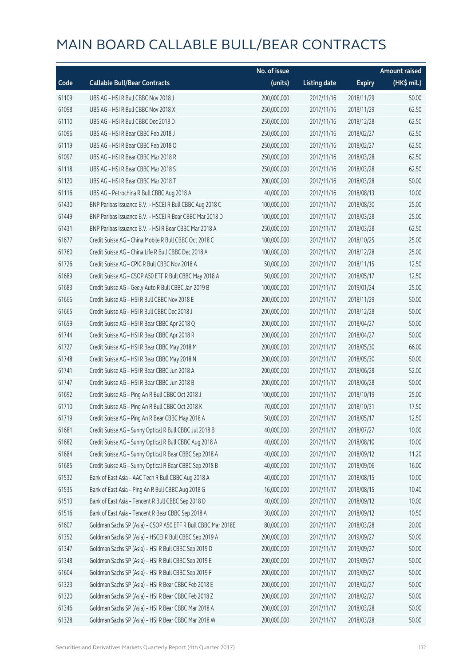|       |                                                              | No. of issue |                     |               | <b>Amount raised</b> |
|-------|--------------------------------------------------------------|--------------|---------------------|---------------|----------------------|
| Code  | <b>Callable Bull/Bear Contracts</b>                          | (units)      | <b>Listing date</b> | <b>Expiry</b> | (HK\$ mil.)          |
| 61109 | UBS AG - HSI R Bull CBBC Nov 2018 J                          | 200,000,000  | 2017/11/16          | 2018/11/29    | 50.00                |
| 61098 | UBS AG - HSI R Bull CBBC Nov 2018 X                          | 250,000,000  | 2017/11/16          | 2018/11/29    | 62.50                |
| 61110 | UBS AG - HSI R Bull CBBC Dec 2018 D                          | 250,000,000  | 2017/11/16          | 2018/12/28    | 62.50                |
| 61096 | UBS AG - HSI R Bear CBBC Feb 2018 J                          | 250,000,000  | 2017/11/16          | 2018/02/27    | 62.50                |
| 61119 | UBS AG - HSI R Bear CBBC Feb 2018 O                          | 250,000,000  | 2017/11/16          | 2018/02/27    | 62.50                |
| 61097 | UBS AG - HSI R Bear CBBC Mar 2018 R                          | 250,000,000  | 2017/11/16          | 2018/03/28    | 62.50                |
| 61118 | UBS AG - HSI R Bear CBBC Mar 2018 S                          | 250,000,000  | 2017/11/16          | 2018/03/28    | 62.50                |
| 61120 | UBS AG - HSI R Bear CBBC Mar 2018 T                          | 200,000,000  | 2017/11/16          | 2018/03/28    | 50.00                |
| 61116 | UBS AG - Petrochina R Bull CBBC Aug 2018 A                   | 40,000,000   | 2017/11/16          | 2018/08/13    | 10.00                |
| 61430 | BNP Paribas Issuance B.V. - HSCEI R Bull CBBC Aug 2018 C     | 100,000,000  | 2017/11/17          | 2018/08/30    | 25.00                |
| 61449 | BNP Paribas Issuance B.V. - HSCEI R Bear CBBC Mar 2018 D     | 100,000,000  | 2017/11/17          | 2018/03/28    | 25.00                |
| 61431 | BNP Paribas Issuance B.V. - HSI R Bear CBBC Mar 2018 A       | 250,000,000  | 2017/11/17          | 2018/03/28    | 62.50                |
| 61677 | Credit Suisse AG - China Mobile R Bull CBBC Oct 2018 C       | 100,000,000  | 2017/11/17          | 2018/10/25    | 25.00                |
| 61760 | Credit Suisse AG - China Life R Bull CBBC Dec 2018 A         | 100,000,000  | 2017/11/17          | 2018/12/28    | 25.00                |
| 61726 | Credit Suisse AG - CPIC R Bull CBBC Nov 2018 A               | 50,000,000   | 2017/11/17          | 2018/11/15    | 12.50                |
| 61689 | Credit Suisse AG - CSOP A50 ETF R Bull CBBC May 2018 A       | 50,000,000   | 2017/11/17          | 2018/05/17    | 12.50                |
| 61683 | Credit Suisse AG - Geely Auto R Bull CBBC Jan 2019 B         | 100,000,000  | 2017/11/17          | 2019/01/24    | 25.00                |
| 61666 | Credit Suisse AG - HSI R Bull CBBC Nov 2018 E                | 200,000,000  | 2017/11/17          | 2018/11/29    | 50.00                |
| 61665 | Credit Suisse AG - HSI R Bull CBBC Dec 2018 J                | 200,000,000  | 2017/11/17          | 2018/12/28    | 50.00                |
| 61659 | Credit Suisse AG - HSI R Bear CBBC Apr 2018 Q                | 200,000,000  | 2017/11/17          | 2018/04/27    | 50.00                |
| 61744 | Credit Suisse AG - HSI R Bear CBBC Apr 2018 R                | 200,000,000  | 2017/11/17          | 2018/04/27    | 50.00                |
| 61727 | Credit Suisse AG - HSI R Bear CBBC May 2018 M                | 200,000,000  | 2017/11/17          | 2018/05/30    | 66.00                |
| 61748 | Credit Suisse AG - HSI R Bear CBBC May 2018 N                | 200,000,000  | 2017/11/17          | 2018/05/30    | 50.00                |
| 61741 | Credit Suisse AG - HSI R Bear CBBC Jun 2018 A                | 200,000,000  | 2017/11/17          | 2018/06/28    | 52.00                |
| 61747 | Credit Suisse AG - HSI R Bear CBBC Jun 2018 B                | 200,000,000  | 2017/11/17          | 2018/06/28    | 50.00                |
| 61692 | Credit Suisse AG - Ping An R Bull CBBC Oct 2018 J            | 100,000,000  | 2017/11/17          | 2018/10/19    | 25.00                |
| 61710 | Credit Suisse AG - Ping An R Bull CBBC Oct 2018 K            | 70,000,000   | 2017/11/17          | 2018/10/31    | 17.50                |
| 61719 | Credit Suisse AG - Ping An R Bear CBBC May 2018 A            | 50,000,000   | 2017/11/17          | 2018/05/17    | 12.50                |
| 61681 | Credit Suisse AG - Sunny Optical R Bull CBBC Jul 2018 B      | 40,000,000   | 2017/11/17          | 2018/07/27    | 10.00                |
| 61682 | Credit Suisse AG - Sunny Optical R Bull CBBC Aug 2018 A      | 40,000,000   | 2017/11/17          | 2018/08/10    | 10.00                |
| 61684 | Credit Suisse AG - Sunny Optical R Bear CBBC Sep 2018 A      | 40,000,000   | 2017/11/17          | 2018/09/12    | 11.20                |
| 61685 | Credit Suisse AG - Sunny Optical R Bear CBBC Sep 2018 B      | 40,000,000   | 2017/11/17          | 2018/09/06    | 16.00                |
| 61532 | Bank of East Asia - AAC Tech R Bull CBBC Aug 2018 A          | 40,000,000   | 2017/11/17          | 2018/08/15    | 10.00                |
| 61535 | Bank of East Asia - Ping An R Bull CBBC Aug 2018 G           | 16,000,000   | 2017/11/17          | 2018/08/15    | 10.40                |
| 61513 | Bank of East Asia - Tencent R Bull CBBC Sep 2018 D           | 40,000,000   | 2017/11/17          | 2018/09/12    | 10.00                |
| 61516 | Bank of East Asia - Tencent R Bear CBBC Sep 2018 A           | 30,000,000   | 2017/11/17          | 2018/09/12    | 10.50                |
| 61607 | Goldman Sachs SP (Asia) - CSOP A50 ETF R Bull CBBC Mar 2018E | 80,000,000   | 2017/11/17          | 2018/03/28    | 20.00                |
| 61352 | Goldman Sachs SP (Asia) - HSCEI R Bull CBBC Sep 2019 A       | 200,000,000  | 2017/11/17          | 2019/09/27    | 50.00                |
| 61347 | Goldman Sachs SP (Asia) - HSI R Bull CBBC Sep 2019 D         | 200,000,000  | 2017/11/17          | 2019/09/27    | 50.00                |
| 61348 | Goldman Sachs SP (Asia) - HSI R Bull CBBC Sep 2019 E         | 200,000,000  | 2017/11/17          | 2019/09/27    | 50.00                |
| 61604 | Goldman Sachs SP (Asia) - HSI R Bull CBBC Sep 2019 F         | 200,000,000  | 2017/11/17          | 2019/09/27    | 50.00                |
| 61323 | Goldman Sachs SP (Asia) - HSI R Bear CBBC Feb 2018 E         | 200,000,000  | 2017/11/17          | 2018/02/27    | 50.00                |
| 61320 | Goldman Sachs SP (Asia) - HSI R Bear CBBC Feb 2018 Z         | 200,000,000  | 2017/11/17          | 2018/02/27    | 50.00                |
| 61346 | Goldman Sachs SP (Asia) - HSI R Bear CBBC Mar 2018 A         | 200,000,000  | 2017/11/17          | 2018/03/28    | 50.00                |
| 61328 | Goldman Sachs SP (Asia) - HSI R Bear CBBC Mar 2018 W         | 200,000,000  | 2017/11/17          | 2018/03/28    | 50.00                |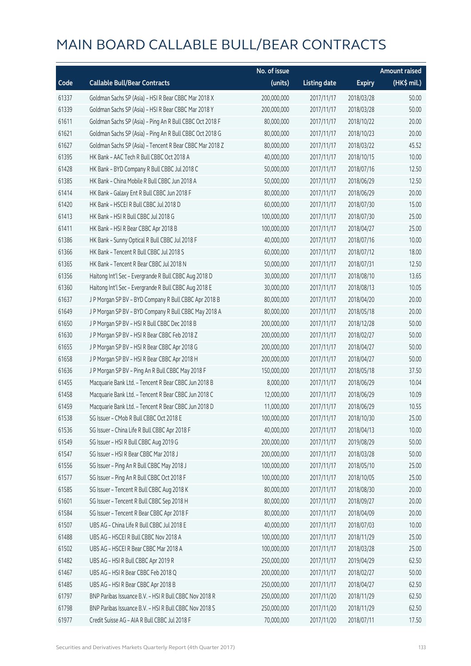|       |                                                          | No. of issue |                     |               | <b>Amount raised</b> |
|-------|----------------------------------------------------------|--------------|---------------------|---------------|----------------------|
| Code  | <b>Callable Bull/Bear Contracts</b>                      | (units)      | <b>Listing date</b> | <b>Expiry</b> | $(HK\$ mil.)         |
| 61337 | Goldman Sachs SP (Asia) - HSI R Bear CBBC Mar 2018 X     | 200,000,000  | 2017/11/17          | 2018/03/28    | 50.00                |
| 61339 | Goldman Sachs SP (Asia) - HSI R Bear CBBC Mar 2018 Y     | 200,000,000  | 2017/11/17          | 2018/03/28    | 50.00                |
| 61611 | Goldman Sachs SP (Asia) - Ping An R Bull CBBC Oct 2018 F | 80,000,000   | 2017/11/17          | 2018/10/22    | 20.00                |
| 61621 | Goldman Sachs SP (Asia) - Ping An R Bull CBBC Oct 2018 G | 80,000,000   | 2017/11/17          | 2018/10/23    | 20.00                |
| 61627 | Goldman Sachs SP (Asia) - Tencent R Bear CBBC Mar 2018 Z | 80,000,000   | 2017/11/17          | 2018/03/22    | 45.52                |
| 61395 | HK Bank - AAC Tech R Bull CBBC Oct 2018 A                | 40,000,000   | 2017/11/17          | 2018/10/15    | 10.00                |
| 61428 | HK Bank - BYD Company R Bull CBBC Jul 2018 C             | 50,000,000   | 2017/11/17          | 2018/07/16    | 12.50                |
| 61385 | HK Bank - China Mobile R Bull CBBC Jun 2018 A            | 50,000,000   | 2017/11/17          | 2018/06/29    | 12.50                |
| 61414 | HK Bank - Galaxy Ent R Bull CBBC Jun 2018 F              | 80,000,000   | 2017/11/17          | 2018/06/29    | 20.00                |
| 61420 | HK Bank - HSCEI R Bull CBBC Jul 2018 D                   | 60,000,000   | 2017/11/17          | 2018/07/30    | 15.00                |
| 61413 | HK Bank - HSI R Bull CBBC Jul 2018 G                     | 100,000,000  | 2017/11/17          | 2018/07/30    | 25.00                |
| 61411 | HK Bank - HSI R Bear CBBC Apr 2018 B                     | 100,000,000  | 2017/11/17          | 2018/04/27    | 25.00                |
| 61386 | HK Bank - Sunny Optical R Bull CBBC Jul 2018 F           | 40,000,000   | 2017/11/17          | 2018/07/16    | 10.00                |
| 61366 | HK Bank - Tencent R Bull CBBC Jul 2018 S                 | 60,000,000   | 2017/11/17          | 2018/07/12    | 18.00                |
| 61365 | HK Bank - Tencent R Bear CBBC Jul 2018 N                 | 50,000,000   | 2017/11/17          | 2018/07/31    | 12.50                |
| 61356 | Haitong Int'l Sec - Evergrande R Bull CBBC Aug 2018 D    | 30,000,000   | 2017/11/17          | 2018/08/10    | 13.65                |
| 61360 | Haitong Int'l Sec - Evergrande R Bull CBBC Aug 2018 E    | 30,000,000   | 2017/11/17          | 2018/08/13    | 10.05                |
| 61637 | J P Morgan SP BV - BYD Company R Bull CBBC Apr 2018 B    | 80,000,000   | 2017/11/17          | 2018/04/20    | 20.00                |
| 61649 | J P Morgan SP BV - BYD Company R Bull CBBC May 2018 A    | 80,000,000   | 2017/11/17          | 2018/05/18    | 20.00                |
| 61650 | J P Morgan SP BV - HSI R Bull CBBC Dec 2018 B            | 200,000,000  | 2017/11/17          | 2018/12/28    | 50.00                |
| 61630 | J P Morgan SP BV - HSI R Bear CBBC Feb 2018 Z            | 200,000,000  | 2017/11/17          | 2018/02/27    | 50.00                |
| 61655 | J P Morgan SP BV - HSI R Bear CBBC Apr 2018 G            | 200,000,000  | 2017/11/17          | 2018/04/27    | 50.00                |
| 61658 | J P Morgan SP BV - HSI R Bear CBBC Apr 2018 H            | 200,000,000  | 2017/11/17          | 2018/04/27    | 50.00                |
| 61636 | J P Morgan SP BV - Ping An R Bull CBBC May 2018 F        | 150,000,000  | 2017/11/17          | 2018/05/18    | 37.50                |
| 61455 | Macquarie Bank Ltd. - Tencent R Bear CBBC Jun 2018 B     | 8,000,000    | 2017/11/17          | 2018/06/29    | 10.04                |
| 61458 | Macquarie Bank Ltd. - Tencent R Bear CBBC Jun 2018 C     | 12,000,000   | 2017/11/17          | 2018/06/29    | 10.09                |
| 61459 | Macquarie Bank Ltd. - Tencent R Bear CBBC Jun 2018 D     | 11,000,000   | 2017/11/17          | 2018/06/29    | 10.55                |
| 61538 | SG Issuer - CMob R Bull CBBC Oct 2018 E                  | 100,000,000  | 2017/11/17          | 2018/10/30    | 25.00                |
| 61536 | SG Issuer - China Life R Bull CBBC Apr 2018 F            | 40,000,000   | 2017/11/17          | 2018/04/13    | 10.00                |
| 61549 | SG Issuer - HSI R Bull CBBC Aug 2019 G                   | 200,000,000  | 2017/11/17          | 2019/08/29    | 50.00                |
| 61547 | SG Issuer - HSI R Bear CBBC Mar 2018 J                   | 200,000,000  | 2017/11/17          | 2018/03/28    | 50.00                |
| 61556 | SG Issuer - Ping An R Bull CBBC May 2018 J               | 100,000,000  | 2017/11/17          | 2018/05/10    | 25.00                |
| 61577 | SG Issuer - Ping An R Bull CBBC Oct 2018 F               | 100,000,000  | 2017/11/17          | 2018/10/05    | 25.00                |
| 61585 | SG Issuer - Tencent R Bull CBBC Aug 2018 K               | 80,000,000   | 2017/11/17          | 2018/08/30    | 20.00                |
| 61601 | SG Issuer - Tencent R Bull CBBC Sep 2018 H               | 80,000,000   | 2017/11/17          | 2018/09/27    | 20.00                |
| 61584 | SG Issuer - Tencent R Bear CBBC Apr 2018 F               | 80,000,000   | 2017/11/17          | 2018/04/09    | 20.00                |
| 61507 | UBS AG - China Life R Bull CBBC Jul 2018 E               | 40,000,000   | 2017/11/17          | 2018/07/03    | 10.00                |
| 61488 | UBS AG - HSCEI R Bull CBBC Nov 2018 A                    | 100,000,000  | 2017/11/17          | 2018/11/29    | 25.00                |
| 61502 | UBS AG - HSCEI R Bear CBBC Mar 2018 A                    | 100,000,000  | 2017/11/17          | 2018/03/28    | 25.00                |
| 61482 | UBS AG - HSI R Bull CBBC Apr 2019 R                      | 250,000,000  | 2017/11/17          | 2019/04/29    | 62.50                |
| 61467 | UBS AG - HSI R Bear CBBC Feb 2018 Q                      | 200,000,000  | 2017/11/17          | 2018/02/27    | 50.00                |
| 61485 | UBS AG - HSI R Bear CBBC Apr 2018 B                      | 250,000,000  | 2017/11/17          | 2018/04/27    | 62.50                |
| 61797 | BNP Paribas Issuance B.V. - HSI R Bull CBBC Nov 2018 R   | 250,000,000  | 2017/11/20          | 2018/11/29    | 62.50                |
| 61798 | BNP Paribas Issuance B.V. - HSI R Bull CBBC Nov 2018 S   | 250,000,000  | 2017/11/20          | 2018/11/29    | 62.50                |
| 61977 | Credit Suisse AG - AIA R Bull CBBC Jul 2018 F            | 70,000,000   | 2017/11/20          | 2018/07/11    | 17.50                |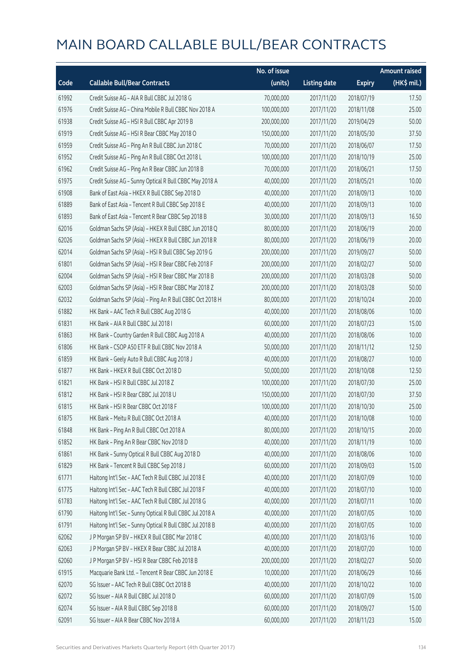|       |                                                          | No. of issue |                     |               | <b>Amount raised</b> |
|-------|----------------------------------------------------------|--------------|---------------------|---------------|----------------------|
| Code  | <b>Callable Bull/Bear Contracts</b>                      | (units)      | <b>Listing date</b> | <b>Expiry</b> | (HK\$ mil.)          |
| 61992 | Credit Suisse AG - AIA R Bull CBBC Jul 2018 G            | 70,000,000   | 2017/11/20          | 2018/07/19    | 17.50                |
| 61976 | Credit Suisse AG - China Mobile R Bull CBBC Nov 2018 A   | 100,000,000  | 2017/11/20          | 2018/11/08    | 25.00                |
| 61938 | Credit Suisse AG - HSI R Bull CBBC Apr 2019 B            | 200,000,000  | 2017/11/20          | 2019/04/29    | 50.00                |
| 61919 | Credit Suisse AG - HSI R Bear CBBC May 2018 O            | 150,000,000  | 2017/11/20          | 2018/05/30    | 37.50                |
| 61959 | Credit Suisse AG - Ping An R Bull CBBC Jun 2018 C        | 70,000,000   | 2017/11/20          | 2018/06/07    | 17.50                |
| 61952 | Credit Suisse AG - Ping An R Bull CBBC Oct 2018 L        | 100,000,000  | 2017/11/20          | 2018/10/19    | 25.00                |
| 61962 | Credit Suisse AG - Ping An R Bear CBBC Jun 2018 B        | 70,000,000   | 2017/11/20          | 2018/06/21    | 17.50                |
| 61975 | Credit Suisse AG - Sunny Optical R Bull CBBC May 2018 A  | 40,000,000   | 2017/11/20          | 2018/05/21    | 10.00                |
| 61908 | Bank of East Asia - HKEX R Bull CBBC Sep 2018 D          | 40,000,000   | 2017/11/20          | 2018/09/13    | 10.00                |
| 61889 | Bank of East Asia - Tencent R Bull CBBC Sep 2018 E       | 40,000,000   | 2017/11/20          | 2018/09/13    | 10.00                |
| 61893 | Bank of East Asia - Tencent R Bear CBBC Sep 2018 B       | 30,000,000   | 2017/11/20          | 2018/09/13    | 16.50                |
| 62016 | Goldman Sachs SP (Asia) - HKEX R Bull CBBC Jun 2018 Q    | 80,000,000   | 2017/11/20          | 2018/06/19    | 20.00                |
| 62026 | Goldman Sachs SP (Asia) - HKEX R Bull CBBC Jun 2018 R    | 80,000,000   | 2017/11/20          | 2018/06/19    | 20.00                |
| 62014 | Goldman Sachs SP (Asia) - HSI R Bull CBBC Sep 2019 G     | 200,000,000  | 2017/11/20          | 2019/09/27    | 50.00                |
| 61801 | Goldman Sachs SP (Asia) - HSI R Bear CBBC Feb 2018 F     | 200,000,000  | 2017/11/20          | 2018/02/27    | 50.00                |
| 62004 | Goldman Sachs SP (Asia) - HSI R Bear CBBC Mar 2018 B     | 200,000,000  | 2017/11/20          | 2018/03/28    | 50.00                |
| 62003 | Goldman Sachs SP (Asia) - HSI R Bear CBBC Mar 2018 Z     | 200,000,000  | 2017/11/20          | 2018/03/28    | 50.00                |
| 62032 | Goldman Sachs SP (Asia) - Ping An R Bull CBBC Oct 2018 H | 80,000,000   | 2017/11/20          | 2018/10/24    | 20.00                |
| 61882 | HK Bank - AAC Tech R Bull CBBC Aug 2018 G                | 40,000,000   | 2017/11/20          | 2018/08/06    | 10.00                |
| 61831 | HK Bank - AIA R Bull CBBC Jul 2018 I                     | 60,000,000   | 2017/11/20          | 2018/07/23    | 15.00                |
| 61863 | HK Bank - Country Garden R Bull CBBC Aug 2018 A          | 40,000,000   | 2017/11/20          | 2018/08/06    | 10.00                |
| 61806 | HK Bank - CSOP A50 ETF R Bull CBBC Nov 2018 A            | 50,000,000   | 2017/11/20          | 2018/11/12    | 12.50                |
| 61859 | HK Bank - Geely Auto R Bull CBBC Aug 2018 J              | 40,000,000   | 2017/11/20          | 2018/08/27    | 10.00                |
| 61877 | HK Bank - HKEX R Bull CBBC Oct 2018 D                    | 50,000,000   | 2017/11/20          | 2018/10/08    | 12.50                |
| 61821 | HK Bank - HSI R Bull CBBC Jul 2018 Z                     | 100,000,000  | 2017/11/20          | 2018/07/30    | 25.00                |
| 61812 | HK Bank - HSI R Bear CBBC Jul 2018 U                     | 150,000,000  | 2017/11/20          | 2018/07/30    | 37.50                |
| 61815 | HK Bank - HSI R Bear CBBC Oct 2018 F                     | 100,000,000  | 2017/11/20          | 2018/10/30    | 25.00                |
| 61875 | HK Bank - Meitu R Bull CBBC Oct 2018 A                   | 40,000,000   | 2017/11/20          | 2018/10/08    | 10.00                |
| 61848 | HK Bank - Ping An R Bull CBBC Oct 2018 A                 | 80,000,000   | 2017/11/20          | 2018/10/15    | 20.00                |
| 61852 | HK Bank - Ping An R Bear CBBC Nov 2018 D                 | 40,000,000   | 2017/11/20          | 2018/11/19    | 10.00                |
| 61861 | HK Bank - Sunny Optical R Bull CBBC Aug 2018 D           | 40,000,000   | 2017/11/20          | 2018/08/06    | 10.00                |
| 61829 | HK Bank - Tencent R Bull CBBC Sep 2018 J                 | 60,000,000   | 2017/11/20          | 2018/09/03    | 15.00                |
| 61771 | Haitong Int'l Sec - AAC Tech R Bull CBBC Jul 2018 E      | 40,000,000   | 2017/11/20          | 2018/07/09    | 10.00                |
| 61775 | Haitong Int'l Sec - AAC Tech R Bull CBBC Jul 2018 F      | 40,000,000   | 2017/11/20          | 2018/07/10    | 10.00                |
| 61783 | Haitong Int'l Sec - AAC Tech R Bull CBBC Jul 2018 G      | 40,000,000   | 2017/11/20          | 2018/07/11    | 10.00                |
| 61790 | Haitong Int'l Sec - Sunny Optical R Bull CBBC Jul 2018 A | 40,000,000   | 2017/11/20          | 2018/07/05    | 10.00                |
| 61791 | Haitong Int'l Sec - Sunny Optical R Bull CBBC Jul 2018 B | 40,000,000   | 2017/11/20          | 2018/07/05    | 10.00                |
| 62062 | J P Morgan SP BV - HKEX R Bull CBBC Mar 2018 C           | 40,000,000   | 2017/11/20          | 2018/03/16    | 10.00                |
| 62063 | J P Morgan SP BV - HKEX R Bear CBBC Jul 2018 A           | 40,000,000   | 2017/11/20          | 2018/07/20    | 10.00                |
| 62060 | J P Morgan SP BV - HSI R Bear CBBC Feb 2018 B            | 200,000,000  | 2017/11/20          | 2018/02/27    | 50.00                |
| 61915 | Macquarie Bank Ltd. - Tencent R Bear CBBC Jun 2018 E     | 10,000,000   | 2017/11/20          | 2018/06/29    | 10.66                |
| 62070 | SG Issuer - AAC Tech R Bull CBBC Oct 2018 B              | 40,000,000   | 2017/11/20          | 2018/10/22    | 10.00                |
| 62072 | SG Issuer - AIA R Bull CBBC Jul 2018 D                   | 60,000,000   | 2017/11/20          | 2018/07/09    | 15.00                |
| 62074 | SG Issuer - AIA R Bull CBBC Sep 2018 B                   | 60,000,000   | 2017/11/20          | 2018/09/27    | 15.00                |
| 62091 | SG Issuer - AIA R Bear CBBC Nov 2018 A                   | 60,000,000   | 2017/11/20          | 2018/11/23    | 15.00                |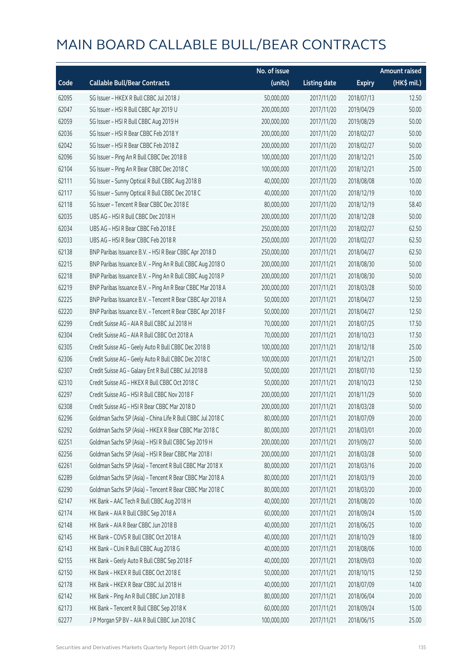|       |                                                             | No. of issue |                     |               | <b>Amount raised</b> |
|-------|-------------------------------------------------------------|--------------|---------------------|---------------|----------------------|
| Code  | <b>Callable Bull/Bear Contracts</b>                         | (units)      | <b>Listing date</b> | <b>Expiry</b> | (HK\$ mil.)          |
| 62095 | SG Issuer - HKEX R Bull CBBC Jul 2018 J                     | 50,000,000   | 2017/11/20          | 2018/07/13    | 12.50                |
| 62047 | SG Issuer - HSI R Bull CBBC Apr 2019 U                      | 200,000,000  | 2017/11/20          | 2019/04/29    | 50.00                |
| 62059 | SG Issuer - HSI R Bull CBBC Aug 2019 H                      | 200,000,000  | 2017/11/20          | 2019/08/29    | 50.00                |
| 62036 | SG Issuer - HSI R Bear CBBC Feb 2018 Y                      | 200,000,000  | 2017/11/20          | 2018/02/27    | 50.00                |
| 62042 | SG Issuer - HSI R Bear CBBC Feb 2018 Z                      | 200,000,000  | 2017/11/20          | 2018/02/27    | 50.00                |
| 62096 | SG Issuer - Ping An R Bull CBBC Dec 2018 B                  | 100,000,000  | 2017/11/20          | 2018/12/21    | 25.00                |
| 62104 | SG Issuer - Ping An R Bear CBBC Dec 2018 C                  | 100,000,000  | 2017/11/20          | 2018/12/21    | 25.00                |
| 62111 | SG Issuer - Sunny Optical R Bull CBBC Aug 2018 B            | 40,000,000   | 2017/11/20          | 2018/08/08    | 10.00                |
| 62117 | SG Issuer - Sunny Optical R Bull CBBC Dec 2018 C            | 40,000,000   | 2017/11/20          | 2018/12/19    | 10.00                |
| 62118 | SG Issuer - Tencent R Bear CBBC Dec 2018 E                  | 80,000,000   | 2017/11/20          | 2018/12/19    | 58.40                |
| 62035 | UBS AG - HSI R Bull CBBC Dec 2018 H                         | 200,000,000  | 2017/11/20          | 2018/12/28    | 50.00                |
| 62034 | UBS AG - HSI R Bear CBBC Feb 2018 E                         | 250,000,000  | 2017/11/20          | 2018/02/27    | 62.50                |
| 62033 | UBS AG - HSI R Bear CBBC Feb 2018 R                         | 250,000,000  | 2017/11/20          | 2018/02/27    | 62.50                |
| 62138 | BNP Paribas Issuance B.V. - HSI R Bear CBBC Apr 2018 D      | 250,000,000  | 2017/11/21          | 2018/04/27    | 62.50                |
| 62215 | BNP Paribas Issuance B.V. - Ping An R Bull CBBC Aug 2018 O  | 200,000,000  | 2017/11/21          | 2018/08/30    | 50.00                |
| 62218 | BNP Paribas Issuance B.V. - Ping An R Bull CBBC Aug 2018 P  | 200,000,000  | 2017/11/21          | 2018/08/30    | 50.00                |
| 62219 | BNP Paribas Issuance B.V. - Ping An R Bear CBBC Mar 2018 A  | 200,000,000  | 2017/11/21          | 2018/03/28    | 50.00                |
| 62225 | BNP Paribas Issuance B.V. - Tencent R Bear CBBC Apr 2018 A  | 50,000,000   | 2017/11/21          | 2018/04/27    | 12.50                |
| 62220 | BNP Paribas Issuance B.V. - Tencent R Bear CBBC Apr 2018 F  | 50,000,000   | 2017/11/21          | 2018/04/27    | 12.50                |
| 62299 | Credit Suisse AG - AIA R Bull CBBC Jul 2018 H               | 70,000,000   | 2017/11/21          | 2018/07/25    | 17.50                |
| 62304 | Credit Suisse AG - AIA R Bull CBBC Oct 2018 A               | 70,000,000   | 2017/11/21          | 2018/10/23    | 17.50                |
| 62305 | Credit Suisse AG - Geely Auto R Bull CBBC Dec 2018 B        | 100,000,000  | 2017/11/21          | 2018/12/18    | 25.00                |
| 62306 | Credit Suisse AG - Geely Auto R Bull CBBC Dec 2018 C        | 100,000,000  | 2017/11/21          | 2018/12/21    | 25.00                |
| 62307 | Credit Suisse AG - Galaxy Ent R Bull CBBC Jul 2018 B        | 50,000,000   | 2017/11/21          | 2018/07/10    | 12.50                |
| 62310 | Credit Suisse AG - HKEX R Bull CBBC Oct 2018 C              | 50,000,000   | 2017/11/21          | 2018/10/23    | 12.50                |
| 62297 | Credit Suisse AG - HSI R Bull CBBC Nov 2018 F               | 200,000,000  | 2017/11/21          | 2018/11/29    | 50.00                |
| 62308 | Credit Suisse AG - HSI R Bear CBBC Mar 2018 D               | 200,000,000  | 2017/11/21          | 2018/03/28    | 50.00                |
| 62296 | Goldman Sachs SP (Asia) - China Life R Bull CBBC Jul 2018 C | 80,000,000   | 2017/11/21          | 2018/07/09    | 20.00                |
| 62292 | Goldman Sachs SP (Asia) - HKEX R Bear CBBC Mar 2018 C       | 80,000,000   | 2017/11/21          | 2018/03/01    | 20.00                |
| 62251 | Goldman Sachs SP (Asia) - HSI R Bull CBBC Sep 2019 H        | 200,000,000  | 2017/11/21          | 2019/09/27    | 50.00                |
| 62256 | Goldman Sachs SP (Asia) - HSI R Bear CBBC Mar 2018 I        | 200,000,000  | 2017/11/21          | 2018/03/28    | 50.00                |
| 62261 | Goldman Sachs SP (Asia) - Tencent R Bull CBBC Mar 2018 X    | 80,000,000   | 2017/11/21          | 2018/03/16    | 20.00                |
| 62289 | Goldman Sachs SP (Asia) - Tencent R Bear CBBC Mar 2018 A    | 80,000,000   | 2017/11/21          | 2018/03/19    | 20.00                |
| 62290 | Goldman Sachs SP (Asia) - Tencent R Bear CBBC Mar 2018 C    | 80,000,000   | 2017/11/21          | 2018/03/20    | 20.00                |
| 62147 | HK Bank - AAC Tech R Bull CBBC Aug 2018 H                   | 40,000,000   | 2017/11/21          | 2018/08/20    | 10.00                |
| 62174 | HK Bank - AIA R Bull CBBC Sep 2018 A                        | 60,000,000   | 2017/11/21          | 2018/09/24    | 15.00                |
| 62148 | HK Bank - AIA R Bear CBBC Jun 2018 B                        | 40,000,000   | 2017/11/21          | 2018/06/25    | 10.00                |
| 62145 | HK Bank - COVS R Bull CBBC Oct 2018 A                       | 40,000,000   | 2017/11/21          | 2018/10/29    | 18.00                |
| 62143 | HK Bank - CUni R Bull CBBC Aug 2018 G                       | 40,000,000   | 2017/11/21          | 2018/08/06    | 10.00                |
| 62155 | HK Bank - Geely Auto R Bull CBBC Sep 2018 F                 | 40,000,000   | 2017/11/21          | 2018/09/03    | 10.00                |
| 62150 | HK Bank - HKEX R Bull CBBC Oct 2018 E                       | 50,000,000   | 2017/11/21          | 2018/10/15    | 12.50                |
| 62178 | HK Bank - HKEX R Bear CBBC Jul 2018 H                       | 40,000,000   | 2017/11/21          | 2018/07/09    | 14.00                |
| 62142 | HK Bank - Ping An R Bull CBBC Jun 2018 B                    | 80,000,000   | 2017/11/21          | 2018/06/04    | 20.00                |
| 62173 | HK Bank - Tencent R Bull CBBC Sep 2018 K                    | 60,000,000   | 2017/11/21          | 2018/09/24    | 15.00                |
| 62277 | J P Morgan SP BV - AIA R Bull CBBC Jun 2018 C               | 100,000,000  | 2017/11/21          | 2018/06/15    | 25.00                |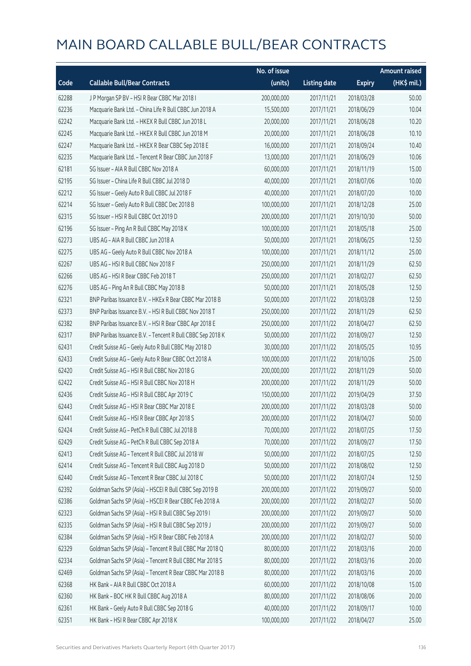|       |                                                            | No. of issue |                     |               | Amount raised |
|-------|------------------------------------------------------------|--------------|---------------------|---------------|---------------|
| Code  | <b>Callable Bull/Bear Contracts</b>                        | (units)      | <b>Listing date</b> | <b>Expiry</b> | (HK\$ mil.)   |
| 62288 | J P Morgan SP BV - HSI R Bear CBBC Mar 2018 I              | 200,000,000  | 2017/11/21          | 2018/03/28    | 50.00         |
| 62236 | Macquarie Bank Ltd. - China Life R Bull CBBC Jun 2018 A    | 15,500,000   | 2017/11/21          | 2018/06/29    | 10.04         |
| 62242 | Macquarie Bank Ltd. - HKEX R Bull CBBC Jun 2018 L          | 20,000,000   | 2017/11/21          | 2018/06/28    | 10.20         |
| 62245 | Macquarie Bank Ltd. - HKEX R Bull CBBC Jun 2018 M          | 20,000,000   | 2017/11/21          | 2018/06/28    | 10.10         |
| 62247 | Macquarie Bank Ltd. - HKEX R Bear CBBC Sep 2018 E          | 16,000,000   | 2017/11/21          | 2018/09/24    | 10.40         |
| 62235 | Macquarie Bank Ltd. - Tencent R Bear CBBC Jun 2018 F       | 13,000,000   | 2017/11/21          | 2018/06/29    | 10.06         |
| 62181 | SG Issuer - AIA R Bull CBBC Nov 2018 A                     | 60,000,000   | 2017/11/21          | 2018/11/19    | 15.00         |
| 62195 | SG Issuer - China Life R Bull CBBC Jul 2018 D              | 40,000,000   | 2017/11/21          | 2018/07/06    | 10.00         |
| 62212 | SG Issuer - Geely Auto R Bull CBBC Jul 2018 F              | 40,000,000   | 2017/11/21          | 2018/07/20    | 10.00         |
| 62214 | SG Issuer - Geely Auto R Bull CBBC Dec 2018 B              | 100,000,000  | 2017/11/21          | 2018/12/28    | 25.00         |
| 62315 | SG Issuer - HSI R Bull CBBC Oct 2019 D                     | 200,000,000  | 2017/11/21          | 2019/10/30    | 50.00         |
| 62196 | SG Issuer - Ping An R Bull CBBC May 2018 K                 | 100,000,000  | 2017/11/21          | 2018/05/18    | 25.00         |
| 62273 | UBS AG - AIA R Bull CBBC Jun 2018 A                        | 50,000,000   | 2017/11/21          | 2018/06/25    | 12.50         |
| 62275 | UBS AG - Geely Auto R Bull CBBC Nov 2018 A                 | 100,000,000  | 2017/11/21          | 2018/11/12    | 25.00         |
| 62267 | UBS AG - HSI R Bull CBBC Nov 2018 F                        | 250,000,000  | 2017/11/21          | 2018/11/29    | 62.50         |
| 62266 | UBS AG - HSI R Bear CBBC Feb 2018 T                        | 250,000,000  | 2017/11/21          | 2018/02/27    | 62.50         |
| 62276 | UBS AG - Ping An R Bull CBBC May 2018 B                    | 50,000,000   | 2017/11/21          | 2018/05/28    | 12.50         |
| 62321 | BNP Paribas Issuance B.V. - HKEx R Bear CBBC Mar 2018 B    | 50,000,000   | 2017/11/22          | 2018/03/28    | 12.50         |
| 62373 | BNP Paribas Issuance B.V. - HSI R Bull CBBC Nov 2018 T     | 250,000,000  | 2017/11/22          | 2018/11/29    | 62.50         |
| 62382 | BNP Paribas Issuance B.V. - HSI R Bear CBBC Apr 2018 E     | 250,000,000  | 2017/11/22          | 2018/04/27    | 62.50         |
| 62317 | BNP Paribas Issuance B.V. - Tencent R Bull CBBC Sep 2018 K | 50,000,000   | 2017/11/22          | 2018/09/27    | 12.50         |
| 62431 | Credit Suisse AG - Geely Auto R Bull CBBC May 2018 D       | 30,000,000   | 2017/11/22          | 2018/05/25    | 10.95         |
| 62433 | Credit Suisse AG - Geely Auto R Bear CBBC Oct 2018 A       | 100,000,000  | 2017/11/22          | 2018/10/26    | 25.00         |
| 62420 | Credit Suisse AG - HSI R Bull CBBC Nov 2018 G              | 200,000,000  | 2017/11/22          | 2018/11/29    | 50.00         |
| 62422 | Credit Suisse AG - HSI R Bull CBBC Nov 2018 H              | 200,000,000  | 2017/11/22          | 2018/11/29    | 50.00         |
| 62436 | Credit Suisse AG - HSI R Bull CBBC Apr 2019 C              | 150,000,000  | 2017/11/22          | 2019/04/29    | 37.50         |
| 62443 | Credit Suisse AG - HSI R Bear CBBC Mar 2018 E              | 200,000,000  | 2017/11/22          | 2018/03/28    | 50.00         |
| 62441 | Credit Suisse AG - HSI R Bear CBBC Apr 2018 S              | 200,000,000  | 2017/11/22          | 2018/04/27    | 50.00         |
| 62424 | Credit Suisse AG - PetCh R Bull CBBC Jul 2018 B            | 70,000,000   | 2017/11/22          | 2018/07/25    | 17.50         |
| 62429 | Credit Suisse AG - PetCh R Bull CBBC Sep 2018 A            | 70,000,000   | 2017/11/22          | 2018/09/27    | 17.50         |
| 62413 | Credit Suisse AG - Tencent R Bull CBBC Jul 2018 W          | 50,000,000   | 2017/11/22          | 2018/07/25    | 12.50         |
| 62414 | Credit Suisse AG - Tencent R Bull CBBC Aug 2018 D          | 50,000,000   | 2017/11/22          | 2018/08/02    | 12.50         |
| 62440 | Credit Suisse AG - Tencent R Bear CBBC Jul 2018 C          | 50,000,000   | 2017/11/22          | 2018/07/24    | 12.50         |
| 62392 | Goldman Sachs SP (Asia) - HSCEI R Bull CBBC Sep 2019 B     | 200,000,000  | 2017/11/22          | 2019/09/27    | 50.00         |
| 62386 | Goldman Sachs SP (Asia) - HSCEI R Bear CBBC Feb 2018 A     | 200,000,000  | 2017/11/22          | 2018/02/27    | 50.00         |
| 62323 | Goldman Sachs SP (Asia) - HSI R Bull CBBC Sep 2019 I       | 200,000,000  | 2017/11/22          | 2019/09/27    | 50.00         |
| 62335 | Goldman Sachs SP (Asia) - HSI R Bull CBBC Sep 2019 J       | 200,000,000  | 2017/11/22          | 2019/09/27    | 50.00         |
| 62384 | Goldman Sachs SP (Asia) - HSI R Bear CBBC Feb 2018 A       | 200,000,000  | 2017/11/22          | 2018/02/27    | 50.00         |
| 62329 | Goldman Sachs SP (Asia) - Tencent R Bull CBBC Mar 2018 Q   | 80,000,000   | 2017/11/22          | 2018/03/16    | 20.00         |
| 62334 | Goldman Sachs SP (Asia) - Tencent R Bull CBBC Mar 2018 S   | 80,000,000   | 2017/11/22          | 2018/03/16    | 20.00         |
| 62469 | Goldman Sachs SP (Asia) - Tencent R Bear CBBC Mar 2018 B   | 80,000,000   | 2017/11/22          | 2018/03/16    | 20.00         |
| 62368 | HK Bank - AIA R Bull CBBC Oct 2018 A                       | 60,000,000   | 2017/11/22          | 2018/10/08    | 15.00         |
| 62360 | HK Bank - BOC HK R Bull CBBC Aug 2018 A                    | 80,000,000   | 2017/11/22          | 2018/08/06    | 20.00         |
| 62361 | HK Bank - Geely Auto R Bull CBBC Sep 2018 G                | 40,000,000   | 2017/11/22          | 2018/09/17    | 10.00         |
| 62351 | HK Bank - HSI R Bear CBBC Apr 2018 K                       | 100,000,000  | 2017/11/22          | 2018/04/27    | 25.00         |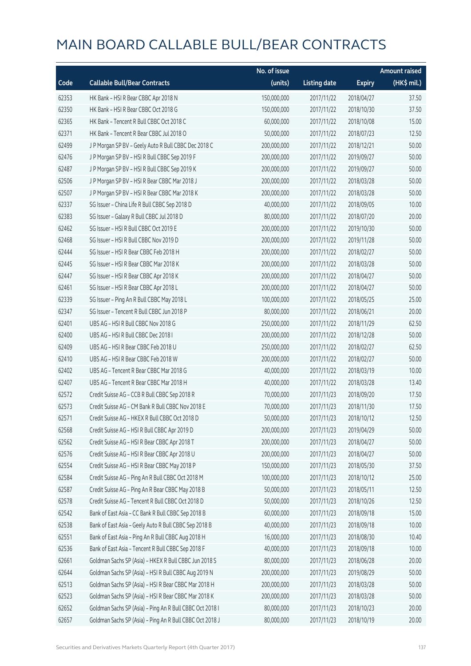|       |                                                          | No. of issue |                     |               | <b>Amount raised</b> |
|-------|----------------------------------------------------------|--------------|---------------------|---------------|----------------------|
| Code  | <b>Callable Bull/Bear Contracts</b>                      | (units)      | <b>Listing date</b> | <b>Expiry</b> | (HK\$ mil.)          |
| 62353 | HK Bank - HSI R Bear CBBC Apr 2018 N                     | 150,000,000  | 2017/11/22          | 2018/04/27    | 37.50                |
| 62350 | HK Bank - HSI R Bear CBBC Oct 2018 G                     | 150,000,000  | 2017/11/22          | 2018/10/30    | 37.50                |
| 62365 | HK Bank - Tencent R Bull CBBC Oct 2018 C                 | 60,000,000   | 2017/11/22          | 2018/10/08    | 15.00                |
| 62371 | HK Bank - Tencent R Bear CBBC Jul 2018 O                 | 50,000,000   | 2017/11/22          | 2018/07/23    | 12.50                |
| 62499 | J P Morgan SP BV - Geely Auto R Bull CBBC Dec 2018 C     | 200,000,000  | 2017/11/22          | 2018/12/21    | 50.00                |
| 62476 | J P Morgan SP BV - HSI R Bull CBBC Sep 2019 F            | 200,000,000  | 2017/11/22          | 2019/09/27    | 50.00                |
| 62487 | J P Morgan SP BV - HSI R Bull CBBC Sep 2019 K            | 200,000,000  | 2017/11/22          | 2019/09/27    | 50.00                |
| 62506 | J P Morgan SP BV - HSI R Bear CBBC Mar 2018 J            | 200,000,000  | 2017/11/22          | 2018/03/28    | 50.00                |
| 62507 | J P Morgan SP BV - HSI R Bear CBBC Mar 2018 K            | 200,000,000  | 2017/11/22          | 2018/03/28    | 50.00                |
| 62337 | SG Issuer - China Life R Bull CBBC Sep 2018 D            | 40,000,000   | 2017/11/22          | 2018/09/05    | 10.00                |
| 62383 | SG Issuer - Galaxy R Bull CBBC Jul 2018 D                | 80,000,000   | 2017/11/22          | 2018/07/20    | 20.00                |
| 62462 | SG Issuer - HSI R Bull CBBC Oct 2019 E                   | 200,000,000  | 2017/11/22          | 2019/10/30    | 50.00                |
| 62468 | SG Issuer - HSI R Bull CBBC Nov 2019 D                   | 200,000,000  | 2017/11/22          | 2019/11/28    | 50.00                |
| 62444 | SG Issuer - HSI R Bear CBBC Feb 2018 H                   | 200,000,000  | 2017/11/22          | 2018/02/27    | 50.00                |
| 62445 | SG Issuer - HSI R Bear CBBC Mar 2018 K                   | 200,000,000  | 2017/11/22          | 2018/03/28    | 50.00                |
| 62447 | SG Issuer - HSI R Bear CBBC Apr 2018 K                   | 200,000,000  | 2017/11/22          | 2018/04/27    | 50.00                |
| 62461 | SG Issuer - HSI R Bear CBBC Apr 2018 L                   | 200,000,000  | 2017/11/22          | 2018/04/27    | 50.00                |
| 62339 | SG Issuer - Ping An R Bull CBBC May 2018 L               | 100,000,000  | 2017/11/22          | 2018/05/25    | 25.00                |
| 62347 | SG Issuer - Tencent R Bull CBBC Jun 2018 P               | 80,000,000   | 2017/11/22          | 2018/06/21    | 20.00                |
| 62401 | UBS AG - HSI R Bull CBBC Nov 2018 G                      | 250,000,000  | 2017/11/22          | 2018/11/29    | 62.50                |
| 62400 | UBS AG - HSI R Bull CBBC Dec 2018 I                      | 200,000,000  | 2017/11/22          | 2018/12/28    | 50.00                |
| 62409 | UBS AG - HSI R Bear CBBC Feb 2018 U                      | 250,000,000  | 2017/11/22          | 2018/02/27    | 62.50                |
| 62410 | UBS AG - HSI R Bear CBBC Feb 2018 W                      | 200,000,000  | 2017/11/22          | 2018/02/27    | 50.00                |
| 62402 | UBS AG - Tencent R Bear CBBC Mar 2018 G                  | 40,000,000   | 2017/11/22          | 2018/03/19    | 10.00                |
| 62407 | UBS AG - Tencent R Bear CBBC Mar 2018 H                  | 40,000,000   | 2017/11/22          | 2018/03/28    | 13.40                |
| 62572 | Credit Suisse AG - CCB R Bull CBBC Sep 2018 R            | 70,000,000   | 2017/11/23          | 2018/09/20    | 17.50                |
| 62573 | Credit Suisse AG - CM Bank R Bull CBBC Nov 2018 E        | 70,000,000   | 2017/11/23          | 2018/11/30    | 17.50                |
| 62571 | Credit Suisse AG - HKEX R Bull CBBC Oct 2018 D           | 50,000,000   | 2017/11/23          | 2018/10/12    | 12.50                |
| 62568 | Credit Suisse AG - HSI R Bull CBBC Apr 2019 D            | 200,000,000  | 2017/11/23          | 2019/04/29    | 50.00                |
| 62562 | Credit Suisse AG - HSI R Bear CBBC Apr 2018 T            | 200,000,000  | 2017/11/23          | 2018/04/27    | 50.00                |
| 62576 | Credit Suisse AG - HSI R Bear CBBC Apr 2018 U            | 200,000,000  | 2017/11/23          | 2018/04/27    | 50.00                |
| 62554 | Credit Suisse AG - HSI R Bear CBBC May 2018 P            | 150,000,000  | 2017/11/23          | 2018/05/30    | 37.50                |
| 62584 | Credit Suisse AG - Ping An R Bull CBBC Oct 2018 M        | 100,000,000  | 2017/11/23          | 2018/10/12    | 25.00                |
| 62587 | Credit Suisse AG - Ping An R Bear CBBC May 2018 B        | 50,000,000   | 2017/11/23          | 2018/05/11    | 12.50                |
| 62578 | Credit Suisse AG - Tencent R Bull CBBC Oct 2018 D        | 50,000,000   | 2017/11/23          | 2018/10/26    | 12.50                |
| 62542 | Bank of East Asia - CC Bank R Bull CBBC Sep 2018 B       | 60,000,000   | 2017/11/23          | 2018/09/18    | 15.00                |
| 62538 | Bank of East Asia - Geely Auto R Bull CBBC Sep 2018 B    | 40,000,000   | 2017/11/23          | 2018/09/18    | 10.00                |
| 62551 | Bank of East Asia - Ping An R Bull CBBC Aug 2018 H       | 16,000,000   | 2017/11/23          | 2018/08/30    | 10.40                |
| 62536 | Bank of East Asia - Tencent R Bull CBBC Sep 2018 F       | 40,000,000   | 2017/11/23          | 2018/09/18    | 10.00                |
| 62661 | Goldman Sachs SP (Asia) - HKEX R Bull CBBC Jun 2018 S    | 80,000,000   | 2017/11/23          | 2018/06/28    | 20.00                |
| 62644 | Goldman Sachs SP (Asia) - HSI R Bull CBBC Aug 2019 N     | 200,000,000  | 2017/11/23          | 2019/08/29    | 50.00                |
| 62513 | Goldman Sachs SP (Asia) - HSI R Bear CBBC Mar 2018 H     | 200,000,000  | 2017/11/23          | 2018/03/28    | 50.00                |
| 62523 | Goldman Sachs SP (Asia) - HSI R Bear CBBC Mar 2018 K     | 200,000,000  | 2017/11/23          | 2018/03/28    | 50.00                |
| 62652 | Goldman Sachs SP (Asia) - Ping An R Bull CBBC Oct 2018 I | 80,000,000   | 2017/11/23          | 2018/10/23    | 20.00                |
| 62657 | Goldman Sachs SP (Asia) - Ping An R Bull CBBC Oct 2018 J | 80,000,000   | 2017/11/23          | 2018/10/19    | 20.00                |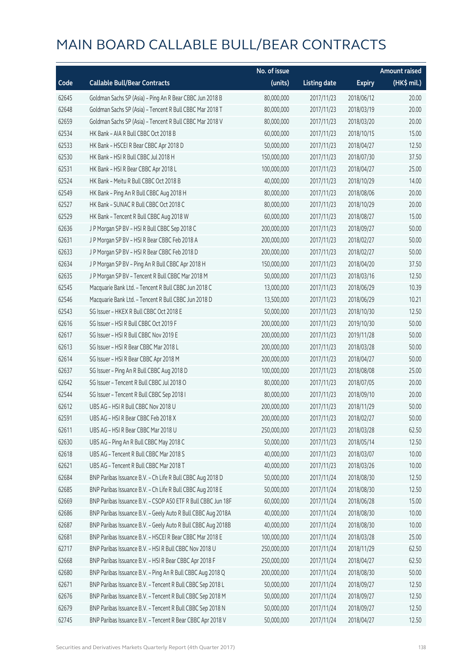|       |                                                              | No. of issue |                     |               | <b>Amount raised</b> |
|-------|--------------------------------------------------------------|--------------|---------------------|---------------|----------------------|
| Code  | <b>Callable Bull/Bear Contracts</b>                          | (units)      | <b>Listing date</b> | <b>Expiry</b> | $(HK\$ mil.)         |
| 62645 | Goldman Sachs SP (Asia) - Ping An R Bear CBBC Jun 2018 B     | 80,000,000   | 2017/11/23          | 2018/06/12    | 20.00                |
| 62648 | Goldman Sachs SP (Asia) - Tencent R Bull CBBC Mar 2018 T     | 80,000,000   | 2017/11/23          | 2018/03/19    | 20.00                |
| 62659 | Goldman Sachs SP (Asia) - Tencent R Bull CBBC Mar 2018 V     | 80,000,000   | 2017/11/23          | 2018/03/20    | 20.00                |
| 62534 | HK Bank - AIA R Bull CBBC Oct 2018 B                         | 60,000,000   | 2017/11/23          | 2018/10/15    | 15.00                |
| 62533 | HK Bank - HSCEI R Bear CBBC Apr 2018 D                       | 50,000,000   | 2017/11/23          | 2018/04/27    | 12.50                |
| 62530 | HK Bank - HSI R Bull CBBC Jul 2018 H                         | 150,000,000  | 2017/11/23          | 2018/07/30    | 37.50                |
| 62531 | HK Bank - HSI R Bear CBBC Apr 2018 L                         | 100,000,000  | 2017/11/23          | 2018/04/27    | 25.00                |
| 62524 | HK Bank - Meitu R Bull CBBC Oct 2018 B                       | 40,000,000   | 2017/11/23          | 2018/10/29    | 14.00                |
| 62549 | HK Bank - Ping An R Bull CBBC Aug 2018 H                     | 80,000,000   | 2017/11/23          | 2018/08/06    | 20.00                |
| 62527 | HK Bank - SUNAC R Bull CBBC Oct 2018 C                       | 80,000,000   | 2017/11/23          | 2018/10/29    | 20.00                |
| 62529 | HK Bank - Tencent R Bull CBBC Aug 2018 W                     | 60,000,000   | 2017/11/23          | 2018/08/27    | 15.00                |
| 62636 | J P Morgan SP BV - HSI R Bull CBBC Sep 2018 C                | 200,000,000  | 2017/11/23          | 2018/09/27    | 50.00                |
| 62631 | J P Morgan SP BV - HSI R Bear CBBC Feb 2018 A                | 200,000,000  | 2017/11/23          | 2018/02/27    | 50.00                |
| 62633 | J P Morgan SP BV - HSI R Bear CBBC Feb 2018 D                | 200,000,000  | 2017/11/23          | 2018/02/27    | 50.00                |
| 62634 | J P Morgan SP BV - Ping An R Bull CBBC Apr 2018 H            | 150,000,000  | 2017/11/23          | 2018/04/20    | 37.50                |
| 62635 | J P Morgan SP BV - Tencent R Bull CBBC Mar 2018 M            | 50,000,000   | 2017/11/23          | 2018/03/16    | 12.50                |
| 62545 | Macquarie Bank Ltd. - Tencent R Bull CBBC Jun 2018 C         | 13,000,000   | 2017/11/23          | 2018/06/29    | 10.39                |
| 62546 | Macquarie Bank Ltd. - Tencent R Bull CBBC Jun 2018 D         | 13,500,000   | 2017/11/23          | 2018/06/29    | 10.21                |
| 62543 | SG Issuer - HKEX R Bull CBBC Oct 2018 E                      | 50,000,000   | 2017/11/23          | 2018/10/30    | 12.50                |
| 62616 | SG Issuer - HSI R Bull CBBC Oct 2019 F                       | 200,000,000  | 2017/11/23          | 2019/10/30    | 50.00                |
| 62617 | SG Issuer - HSI R Bull CBBC Nov 2019 E                       | 200,000,000  | 2017/11/23          | 2019/11/28    | 50.00                |
| 62613 | SG Issuer - HSI R Bear CBBC Mar 2018 L                       | 200,000,000  | 2017/11/23          | 2018/03/28    | 50.00                |
| 62614 | SG Issuer - HSI R Bear CBBC Apr 2018 M                       | 200,000,000  | 2017/11/23          | 2018/04/27    | 50.00                |
| 62637 | SG Issuer - Ping An R Bull CBBC Aug 2018 D                   | 100,000,000  | 2017/11/23          | 2018/08/08    | 25.00                |
| 62642 | SG Issuer - Tencent R Bull CBBC Jul 2018 O                   | 80,000,000   | 2017/11/23          | 2018/07/05    | 20.00                |
| 62544 | SG Issuer - Tencent R Bull CBBC Sep 2018 I                   | 80,000,000   | 2017/11/23          | 2018/09/10    | 20.00                |
| 62612 | UBS AG - HSI R Bull CBBC Nov 2018 U                          | 200,000,000  | 2017/11/23          | 2018/11/29    | 50.00                |
| 62591 | UBS AG - HSI R Bear CBBC Feb 2018 X                          | 200,000,000  | 2017/11/23          | 2018/02/27    | 50.00                |
| 62611 | UBS AG - HSI R Bear CBBC Mar 2018 U                          | 250,000,000  | 2017/11/23          | 2018/03/28    | 62.50                |
| 62630 | UBS AG - Ping An R Bull CBBC May 2018 C                      | 50,000,000   | 2017/11/23          | 2018/05/14    | 12.50                |
| 62618 | UBS AG - Tencent R Bull CBBC Mar 2018 S                      | 40,000,000   | 2017/11/23          | 2018/03/07    | 10.00                |
| 62621 | UBS AG - Tencent R Bull CBBC Mar 2018 T                      | 40,000,000   | 2017/11/23          | 2018/03/26    | 10.00                |
| 62684 | BNP Paribas Issuance B.V. - Ch Life R Bull CBBC Aug 2018 D   | 50,000,000   | 2017/11/24          | 2018/08/30    | 12.50                |
| 62685 | BNP Paribas Issuance B.V. - Ch Life R Bull CBBC Aug 2018 E   | 50,000,000   | 2017/11/24          | 2018/08/30    | 12.50                |
| 62669 | BNP Paribas Issuance B.V. - CSOP A50 ETF R Bull CBBC Jun 18F | 60,000,000   | 2017/11/24          | 2018/06/28    | 15.00                |
| 62686 | BNP Paribas Issuance B.V. - Geely Auto R Bull CBBC Aug 2018A | 40,000,000   | 2017/11/24          | 2018/08/30    | 10.00                |
| 62687 | BNP Paribas Issuance B.V. - Geely Auto R Bull CBBC Aug 2018B | 40,000,000   | 2017/11/24          | 2018/08/30    | 10.00                |
| 62681 | BNP Paribas Issuance B.V. - HSCEI R Bear CBBC Mar 2018 E     | 100,000,000  | 2017/11/24          | 2018/03/28    | 25.00                |
| 62717 | BNP Paribas Issuance B.V. - HSI R Bull CBBC Nov 2018 U       | 250,000,000  | 2017/11/24          | 2018/11/29    | 62.50                |
| 62668 | BNP Paribas Issuance B.V. - HSI R Bear CBBC Apr 2018 F       | 250,000,000  | 2017/11/24          | 2018/04/27    | 62.50                |
| 62680 | BNP Paribas Issuance B.V. - Ping An R Bull CBBC Aug 2018 Q   | 200,000,000  | 2017/11/24          | 2018/08/30    | 50.00                |
| 62671 | BNP Paribas Issuance B.V. - Tencent R Bull CBBC Sep 2018 L   | 50,000,000   | 2017/11/24          | 2018/09/27    | 12.50                |
| 62676 | BNP Paribas Issuance B.V. - Tencent R Bull CBBC Sep 2018 M   | 50,000,000   | 2017/11/24          | 2018/09/27    | 12.50                |
| 62679 | BNP Paribas Issuance B.V. - Tencent R Bull CBBC Sep 2018 N   | 50,000,000   | 2017/11/24          | 2018/09/27    | 12.50                |
| 62745 | BNP Paribas Issuance B.V. - Tencent R Bear CBBC Apr 2018 V   | 50,000,000   | 2017/11/24          | 2018/04/27    | 12.50                |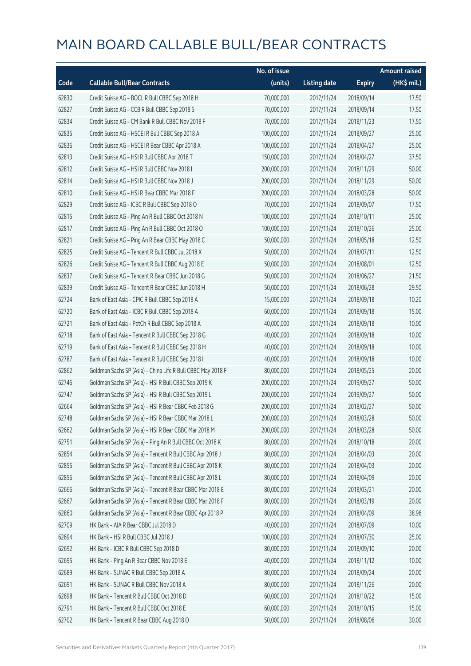|       |                                                             | No. of issue |                     |               | <b>Amount raised</b>  |
|-------|-------------------------------------------------------------|--------------|---------------------|---------------|-----------------------|
| Code  | <b>Callable Bull/Bear Contracts</b>                         | (units)      | <b>Listing date</b> | <b>Expiry</b> | $(HK\frac{1}{2}mil.)$ |
| 62830 | Credit Suisse AG - BOCL R Bull CBBC Sep 2018 H              | 70,000,000   | 2017/11/24          | 2018/09/14    | 17.50                 |
| 62827 | Credit Suisse AG - CCB R Bull CBBC Sep 2018 S               | 70,000,000   | 2017/11/24          | 2018/09/14    | 17.50                 |
| 62834 | Credit Suisse AG - CM Bank R Bull CBBC Nov 2018 F           | 70,000,000   | 2017/11/24          | 2018/11/23    | 17.50                 |
| 62835 | Credit Suisse AG - HSCEI R Bull CBBC Sep 2018 A             | 100,000,000  | 2017/11/24          | 2018/09/27    | 25.00                 |
| 62836 | Credit Suisse AG - HSCEI R Bear CBBC Apr 2018 A             | 100,000,000  | 2017/11/24          | 2018/04/27    | 25.00                 |
| 62813 | Credit Suisse AG - HSI R Bull CBBC Apr 2018 T               | 150,000,000  | 2017/11/24          | 2018/04/27    | 37.50                 |
| 62812 | Credit Suisse AG - HSI R Bull CBBC Nov 2018 I               | 200,000,000  | 2017/11/24          | 2018/11/29    | 50.00                 |
| 62814 | Credit Suisse AG - HSI R Bull CBBC Nov 2018 J               | 200,000,000  | 2017/11/24          | 2018/11/29    | 50.00                 |
| 62810 | Credit Suisse AG - HSI R Bear CBBC Mar 2018 F               | 200,000,000  | 2017/11/24          | 2018/03/28    | 50.00                 |
| 62829 | Credit Suisse AG - ICBC R Bull CBBC Sep 2018 O              | 70,000,000   | 2017/11/24          | 2018/09/07    | 17.50                 |
| 62815 | Credit Suisse AG - Ping An R Bull CBBC Oct 2018 N           | 100,000,000  | 2017/11/24          | 2018/10/11    | 25.00                 |
| 62817 | Credit Suisse AG - Ping An R Bull CBBC Oct 2018 O           | 100,000,000  | 2017/11/24          | 2018/10/26    | 25.00                 |
| 62821 | Credit Suisse AG - Ping An R Bear CBBC May 2018 C           | 50,000,000   | 2017/11/24          | 2018/05/18    | 12.50                 |
| 62825 | Credit Suisse AG - Tencent R Bull CBBC Jul 2018 X           | 50,000,000   | 2017/11/24          | 2018/07/11    | 12.50                 |
| 62826 | Credit Suisse AG - Tencent R Bull CBBC Aug 2018 E           | 50,000,000   | 2017/11/24          | 2018/08/01    | 12.50                 |
| 62837 | Credit Suisse AG - Tencent R Bear CBBC Jun 2018 G           | 50,000,000   | 2017/11/24          | 2018/06/27    | 21.50                 |
| 62839 | Credit Suisse AG - Tencent R Bear CBBC Jun 2018 H           | 50,000,000   | 2017/11/24          | 2018/06/28    | 29.50                 |
| 62724 | Bank of East Asia - CPIC R Bull CBBC Sep 2018 A             | 15,000,000   | 2017/11/24          | 2018/09/18    | 10.20                 |
| 62720 | Bank of East Asia - ICBC R Bull CBBC Sep 2018 A             | 60,000,000   | 2017/11/24          | 2018/09/18    | 15.00                 |
| 62721 | Bank of East Asia - PetCh R Bull CBBC Sep 2018 A            | 40,000,000   | 2017/11/24          | 2018/09/18    | 10.00                 |
| 62718 | Bank of East Asia - Tencent R Bull CBBC Sep 2018 G          | 40,000,000   | 2017/11/24          | 2018/09/18    | 10.00                 |
| 62719 | Bank of East Asia - Tencent R Bull CBBC Sep 2018 H          | 40,000,000   | 2017/11/24          | 2018/09/18    | 10.00                 |
| 62787 | Bank of East Asia - Tencent R Bull CBBC Sep 2018 I          | 40,000,000   | 2017/11/24          | 2018/09/18    | 10.00                 |
| 62862 | Goldman Sachs SP (Asia) - China Life R Bull CBBC May 2018 F | 80,000,000   | 2017/11/24          | 2018/05/25    | 20.00                 |
| 62746 | Goldman Sachs SP (Asia) - HSI R Bull CBBC Sep 2019 K        | 200,000,000  | 2017/11/24          | 2019/09/27    | 50.00                 |
| 62747 | Goldman Sachs SP (Asia) - HSI R Bull CBBC Sep 2019 L        | 200,000,000  | 2017/11/24          | 2019/09/27    | 50.00                 |
| 62664 | Goldman Sachs SP (Asia) - HSI R Bear CBBC Feb 2018 G        | 200,000,000  | 2017/11/24          | 2018/02/27    | 50.00                 |
| 62748 | Goldman Sachs SP (Asia) - HSI R Bear CBBC Mar 2018 L        | 200,000,000  | 2017/11/24          | 2018/03/28    | 50.00                 |
| 62662 | Goldman Sachs SP (Asia) - HSI R Bear CBBC Mar 2018 M        | 200,000,000  | 2017/11/24          | 2018/03/28    | 50.00                 |
| 62751 | Goldman Sachs SP (Asia) - Ping An R Bull CBBC Oct 2018 K    | 80,000,000   | 2017/11/24          | 2018/10/18    | 20.00                 |
| 62854 | Goldman Sachs SP (Asia) - Tencent R Bull CBBC Apr 2018 J    | 80,000,000   | 2017/11/24          | 2018/04/03    | 20.00                 |
| 62855 | Goldman Sachs SP (Asia) - Tencent R Bull CBBC Apr 2018 K    | 80,000,000   | 2017/11/24          | 2018/04/03    | 20.00                 |
| 62856 | Goldman Sachs SP (Asia) - Tencent R Bull CBBC Apr 2018 L    | 80,000,000   | 2017/11/24          | 2018/04/09    | 20.00                 |
| 62666 | Goldman Sachs SP (Asia) - Tencent R Bear CBBC Mar 2018 E    | 80,000,000   | 2017/11/24          | 2018/03/21    | 20.00                 |
| 62667 | Goldman Sachs SP (Asia) - Tencent R Bear CBBC Mar 2018 F    | 80,000,000   | 2017/11/24          | 2018/03/19    | 20.00                 |
| 62860 | Goldman Sachs SP (Asia) - Tencent R Bear CBBC Apr 2018 P    | 80,000,000   | 2017/11/24          | 2018/04/09    | 38.96                 |
| 62709 | HK Bank - AIA R Bear CBBC Jul 2018 D                        | 40,000,000   | 2017/11/24          | 2018/07/09    | 10.00                 |
| 62694 | HK Bank - HSI R Bull CBBC Jul 2018 J                        | 100,000,000  | 2017/11/24          | 2018/07/30    | 25.00                 |
| 62692 | HK Bank - ICBC R Bull CBBC Sep 2018 D                       | 80,000,000   | 2017/11/24          | 2018/09/10    | 20.00                 |
| 62695 | HK Bank - Ping An R Bear CBBC Nov 2018 E                    | 40,000,000   | 2017/11/24          | 2018/11/12    | 10.00                 |
| 62689 | HK Bank - SUNAC R Bull CBBC Sep 2018 A                      | 80,000,000   | 2017/11/24          | 2018/09/24    | 20.00                 |
| 62691 | HK Bank - SUNAC R Bull CBBC Nov 2018 A                      | 80,000,000   | 2017/11/24          | 2018/11/26    | 20.00                 |
| 62698 | HK Bank - Tencent R Bull CBBC Oct 2018 D                    | 60,000,000   | 2017/11/24          | 2018/10/22    | 15.00                 |
| 62791 | HK Bank - Tencent R Bull CBBC Oct 2018 E                    | 60,000,000   | 2017/11/24          | 2018/10/15    | 15.00                 |
| 62702 | HK Bank - Tencent R Bear CBBC Aug 2018 O                    | 50,000,000   | 2017/11/24          | 2018/08/06    | 30.00                 |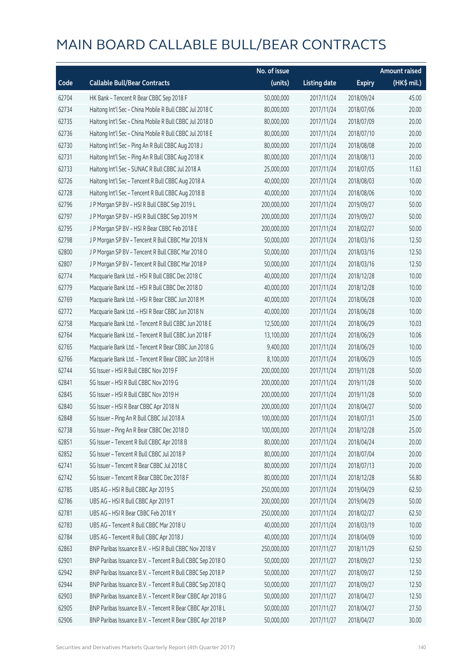|       |                                                            | No. of issue |                     |               | <b>Amount raised</b> |
|-------|------------------------------------------------------------|--------------|---------------------|---------------|----------------------|
| Code  | <b>Callable Bull/Bear Contracts</b>                        | (units)      | <b>Listing date</b> | <b>Expiry</b> | (HK\$ mil.)          |
| 62704 | HK Bank - Tencent R Bear CBBC Sep 2018 F                   | 50,000,000   | 2017/11/24          | 2018/09/24    | 45.00                |
| 62734 | Haitong Int'l Sec - China Mobile R Bull CBBC Jul 2018 C    | 80,000,000   | 2017/11/24          | 2018/07/06    | 20.00                |
| 62735 | Haitong Int'l Sec - China Mobile R Bull CBBC Jul 2018 D    | 80,000,000   | 2017/11/24          | 2018/07/09    | 20.00                |
| 62736 | Haitong Int'l Sec - China Mobile R Bull CBBC Jul 2018 E    | 80,000,000   | 2017/11/24          | 2018/07/10    | 20.00                |
| 62730 | Haitong Int'l Sec - Ping An R Bull CBBC Aug 2018 J         | 80,000,000   | 2017/11/24          | 2018/08/08    | 20.00                |
| 62731 | Haitong Int'l Sec - Ping An R Bull CBBC Aug 2018 K         | 80,000,000   | 2017/11/24          | 2018/08/13    | 20.00                |
| 62733 | Haitong Int'l Sec - SUNAC R Bull CBBC Jul 2018 A           | 25,000,000   | 2017/11/24          | 2018/07/05    | 11.63                |
| 62726 | Haitong Int'l Sec - Tencent R Bull CBBC Aug 2018 A         | 40,000,000   | 2017/11/24          | 2018/08/03    | 10.00                |
| 62728 | Haitong Int'l Sec - Tencent R Bull CBBC Aug 2018 B         | 40,000,000   | 2017/11/24          | 2018/08/06    | 10.00                |
| 62796 | J P Morgan SP BV - HSI R Bull CBBC Sep 2019 L              | 200,000,000  | 2017/11/24          | 2019/09/27    | 50.00                |
| 62797 | J P Morgan SP BV - HSI R Bull CBBC Sep 2019 M              | 200,000,000  | 2017/11/24          | 2019/09/27    | 50.00                |
| 62795 | J P Morgan SP BV - HSI R Bear CBBC Feb 2018 E              | 200,000,000  | 2017/11/24          | 2018/02/27    | 50.00                |
| 62798 | J P Morgan SP BV - Tencent R Bull CBBC Mar 2018 N          | 50,000,000   | 2017/11/24          | 2018/03/16    | 12.50                |
| 62800 | J P Morgan SP BV - Tencent R Bull CBBC Mar 2018 O          | 50,000,000   | 2017/11/24          | 2018/03/16    | 12.50                |
| 62807 | J P Morgan SP BV - Tencent R Bull CBBC Mar 2018 P          | 50,000,000   | 2017/11/24          | 2018/03/16    | 12.50                |
| 62774 | Macquarie Bank Ltd. - HSI R Bull CBBC Dec 2018 C           | 40,000,000   | 2017/11/24          | 2018/12/28    | 10.00                |
| 62779 | Macquarie Bank Ltd. - HSI R Bull CBBC Dec 2018 D           | 40,000,000   | 2017/11/24          | 2018/12/28    | 10.00                |
| 62769 | Macquarie Bank Ltd. - HSI R Bear CBBC Jun 2018 M           | 40,000,000   | 2017/11/24          | 2018/06/28    | 10.00                |
| 62772 | Macquarie Bank Ltd. - HSI R Bear CBBC Jun 2018 N           | 40,000,000   | 2017/11/24          | 2018/06/28    | 10.00                |
| 62758 | Macquarie Bank Ltd. - Tencent R Bull CBBC Jun 2018 E       | 12,500,000   | 2017/11/24          | 2018/06/29    | 10.03                |
| 62764 | Macquarie Bank Ltd. - Tencent R Bull CBBC Jun 2018 F       | 13,100,000   | 2017/11/24          | 2018/06/29    | 10.06                |
| 62765 | Macquarie Bank Ltd. - Tencent R Bear CBBC Jun 2018 G       | 9,400,000    | 2017/11/24          | 2018/06/29    | 10.00                |
| 62766 | Macquarie Bank Ltd. - Tencent R Bear CBBC Jun 2018 H       | 8,100,000    | 2017/11/24          | 2018/06/29    | 10.05                |
| 62744 | SG Issuer - HSI R Bull CBBC Nov 2019 F                     | 200,000,000  | 2017/11/24          | 2019/11/28    | 50.00                |
| 62841 | SG Issuer - HSI R Bull CBBC Nov 2019 G                     | 200,000,000  | 2017/11/24          | 2019/11/28    | 50.00                |
| 62845 | SG Issuer - HSI R Bull CBBC Nov 2019 H                     | 200,000,000  | 2017/11/24          | 2019/11/28    | 50.00                |
| 62840 | SG Issuer - HSI R Bear CBBC Apr 2018 N                     | 200,000,000  | 2017/11/24          | 2018/04/27    | 50.00                |
| 62848 | SG Issuer - Ping An R Bull CBBC Jul 2018 A                 | 100,000,000  | 2017/11/24          | 2018/07/31    | 25.00                |
| 62738 | SG Issuer - Ping An R Bear CBBC Dec 2018 D                 | 100,000,000  | 2017/11/24          | 2018/12/28    | 25.00                |
| 62851 | SG Issuer - Tencent R Bull CBBC Apr 2018 B                 | 80,000,000   | 2017/11/24          | 2018/04/24    | 20.00                |
| 62852 | SG Issuer - Tencent R Bull CBBC Jul 2018 P                 | 80,000,000   | 2017/11/24          | 2018/07/04    | 20.00                |
| 62741 | SG Issuer - Tencent R Bear CBBC Jul 2018 C                 | 80,000,000   | 2017/11/24          | 2018/07/13    | 20.00                |
| 62742 | SG Issuer - Tencent R Bear CBBC Dec 2018 F                 | 80,000,000   | 2017/11/24          | 2018/12/28    | 56.80                |
| 62785 | UBS AG - HSI R Bull CBBC Apr 2019 S                        | 250,000,000  | 2017/11/24          | 2019/04/29    | 62.50                |
| 62786 | UBS AG - HSI R Bull CBBC Apr 2019 T                        | 200,000,000  | 2017/11/24          | 2019/04/29    | 50.00                |
| 62781 | UBS AG - HSI R Bear CBBC Feb 2018 Y                        | 250,000,000  | 2017/11/24          | 2018/02/27    | 62.50                |
| 62783 | UBS AG - Tencent R Bull CBBC Mar 2018 U                    | 40,000,000   | 2017/11/24          | 2018/03/19    | 10.00                |
| 62784 | UBS AG - Tencent R Bull CBBC Apr 2018 J                    | 40,000,000   | 2017/11/24          | 2018/04/09    | 10.00                |
| 62863 | BNP Paribas Issuance B.V. - HSI R Bull CBBC Nov 2018 V     | 250,000,000  | 2017/11/27          | 2018/11/29    | 62.50                |
| 62901 | BNP Paribas Issuance B.V. - Tencent R Bull CBBC Sep 2018 O | 50,000,000   | 2017/11/27          | 2018/09/27    | 12.50                |
| 62942 | BNP Paribas Issuance B.V. - Tencent R Bull CBBC Sep 2018 P | 50,000,000   | 2017/11/27          | 2018/09/27    | 12.50                |
| 62944 | BNP Paribas Issuance B.V. - Tencent R Bull CBBC Sep 2018 Q | 50,000,000   | 2017/11/27          | 2018/09/27    | 12.50                |
| 62903 | BNP Paribas Issuance B.V. - Tencent R Bear CBBC Apr 2018 G | 50,000,000   | 2017/11/27          | 2018/04/27    | 12.50                |
| 62905 | BNP Paribas Issuance B.V. - Tencent R Bear CBBC Apr 2018 L | 50,000,000   | 2017/11/27          | 2018/04/27    | 27.50                |
| 62906 | BNP Paribas Issuance B.V. - Tencent R Bear CBBC Apr 2018 P | 50,000,000   | 2017/11/27          | 2018/04/27    | 30.00                |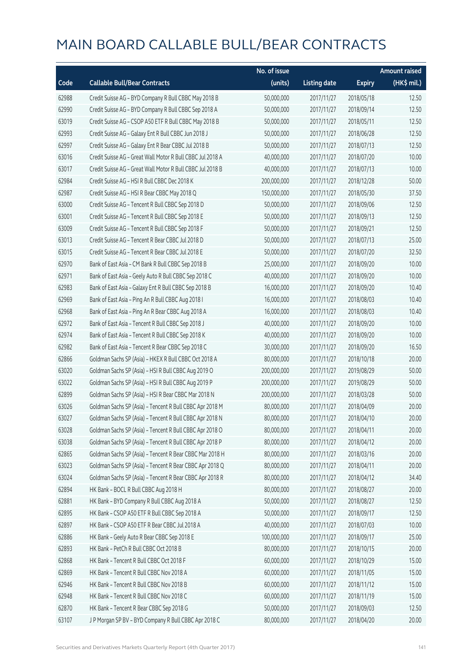|       |                                                            | No. of issue |                     |               | <b>Amount raised</b> |
|-------|------------------------------------------------------------|--------------|---------------------|---------------|----------------------|
| Code  | <b>Callable Bull/Bear Contracts</b>                        | (units)      | <b>Listing date</b> | <b>Expiry</b> | $(HK$$ mil.)         |
| 62988 | Credit Suisse AG - BYD Company R Bull CBBC May 2018 B      | 50,000,000   | 2017/11/27          | 2018/05/18    | 12.50                |
| 62990 | Credit Suisse AG - BYD Company R Bull CBBC Sep 2018 A      | 50,000,000   | 2017/11/27          | 2018/09/14    | 12.50                |
| 63019 | Credit Suisse AG - CSOP A50 ETF R Bull CBBC May 2018 B     | 50,000,000   | 2017/11/27          | 2018/05/11    | 12.50                |
| 62993 | Credit Suisse AG - Galaxy Ent R Bull CBBC Jun 2018 J       | 50,000,000   | 2017/11/27          | 2018/06/28    | 12.50                |
| 62997 | Credit Suisse AG - Galaxy Ent R Bear CBBC Jul 2018 B       | 50,000,000   | 2017/11/27          | 2018/07/13    | 12.50                |
| 63016 | Credit Suisse AG - Great Wall Motor R Bull CBBC Jul 2018 A | 40,000,000   | 2017/11/27          | 2018/07/20    | 10.00                |
| 63017 | Credit Suisse AG - Great Wall Motor R Bull CBBC Jul 2018 B | 40,000,000   | 2017/11/27          | 2018/07/13    | 10.00                |
| 62984 | Credit Suisse AG - HSI R Bull CBBC Dec 2018 K              | 200,000,000  | 2017/11/27          | 2018/12/28    | 50.00                |
| 62987 | Credit Suisse AG - HSI R Bear CBBC May 2018 Q              | 150,000,000  | 2017/11/27          | 2018/05/30    | 37.50                |
| 63000 | Credit Suisse AG - Tencent R Bull CBBC Sep 2018 D          | 50,000,000   | 2017/11/27          | 2018/09/06    | 12.50                |
| 63001 | Credit Suisse AG - Tencent R Bull CBBC Sep 2018 E          | 50,000,000   | 2017/11/27          | 2018/09/13    | 12.50                |
| 63009 | Credit Suisse AG - Tencent R Bull CBBC Sep 2018 F          | 50,000,000   | 2017/11/27          | 2018/09/21    | 12.50                |
| 63013 | Credit Suisse AG - Tencent R Bear CBBC Jul 2018 D          | 50,000,000   | 2017/11/27          | 2018/07/13    | 25.00                |
| 63015 | Credit Suisse AG - Tencent R Bear CBBC Jul 2018 E          | 50,000,000   | 2017/11/27          | 2018/07/20    | 32.50                |
| 62970 | Bank of East Asia - CM Bank R Bull CBBC Sep 2018 B         | 25,000,000   | 2017/11/27          | 2018/09/20    | 10.00                |
| 62971 | Bank of East Asia - Geely Auto R Bull CBBC Sep 2018 C      | 40,000,000   | 2017/11/27          | 2018/09/20    | 10.00                |
| 62983 | Bank of East Asia - Galaxy Ent R Bull CBBC Sep 2018 B      | 16,000,000   | 2017/11/27          | 2018/09/20    | 10.40                |
| 62969 | Bank of East Asia - Ping An R Bull CBBC Aug 2018 I         | 16,000,000   | 2017/11/27          | 2018/08/03    | 10.40                |
| 62968 | Bank of East Asia - Ping An R Bear CBBC Aug 2018 A         | 16,000,000   | 2017/11/27          | 2018/08/03    | 10.40                |
| 62972 | Bank of East Asia - Tencent R Bull CBBC Sep 2018 J         | 40,000,000   | 2017/11/27          | 2018/09/20    | 10.00                |
| 62974 | Bank of East Asia - Tencent R Bull CBBC Sep 2018 K         | 40,000,000   | 2017/11/27          | 2018/09/20    | 10.00                |
| 62982 | Bank of East Asia - Tencent R Bear CBBC Sep 2018 C         | 30,000,000   | 2017/11/27          | 2018/09/20    | 16.50                |
| 62866 | Goldman Sachs SP (Asia) - HKEX R Bull CBBC Oct 2018 A      | 80,000,000   | 2017/11/27          | 2018/10/18    | 20.00                |
| 63020 | Goldman Sachs SP (Asia) - HSI R Bull CBBC Aug 2019 O       | 200,000,000  | 2017/11/27          | 2019/08/29    | 50.00                |
| 63022 | Goldman Sachs SP (Asia) - HSI R Bull CBBC Aug 2019 P       | 200,000,000  | 2017/11/27          | 2019/08/29    | 50.00                |
| 62899 | Goldman Sachs SP (Asia) - HSI R Bear CBBC Mar 2018 N       | 200,000,000  | 2017/11/27          | 2018/03/28    | 50.00                |
| 63026 | Goldman Sachs SP (Asia) - Tencent R Bull CBBC Apr 2018 M   | 80,000,000   | 2017/11/27          | 2018/04/09    | 20.00                |
| 63027 | Goldman Sachs SP (Asia) - Tencent R Bull CBBC Apr 2018 N   | 80,000,000   | 2017/11/27          | 2018/04/10    | 20.00                |
| 63028 | Goldman Sachs SP (Asia) - Tencent R Bull CBBC Apr 2018 O   | 80,000,000   | 2017/11/27          | 2018/04/11    | 20.00                |
| 63038 | Goldman Sachs SP (Asia) - Tencent R Bull CBBC Apr 2018 P   | 80,000,000   | 2017/11/27          | 2018/04/12    | 20.00                |
| 62865 | Goldman Sachs SP (Asia) - Tencent R Bear CBBC Mar 2018 H   | 80,000,000   | 2017/11/27          | 2018/03/16    | 20.00                |
| 63023 | Goldman Sachs SP (Asia) - Tencent R Bear CBBC Apr 2018 Q   | 80,000,000   | 2017/11/27          | 2018/04/11    | 20.00                |
| 63024 | Goldman Sachs SP (Asia) - Tencent R Bear CBBC Apr 2018 R   | 80,000,000   | 2017/11/27          | 2018/04/12    | 34.40                |
| 62894 | HK Bank - BOCL R Bull CBBC Aug 2018 H                      | 80,000,000   | 2017/11/27          | 2018/08/27    | 20.00                |
| 62881 | HK Bank - BYD Company R Bull CBBC Aug 2018 A               | 50,000,000   | 2017/11/27          | 2018/08/27    | 12.50                |
| 62895 | HK Bank - CSOP A50 ETF R Bull CBBC Sep 2018 A              | 50,000,000   | 2017/11/27          | 2018/09/17    | 12.50                |
| 62897 | HK Bank - CSOP A50 ETF R Bear CBBC Jul 2018 A              | 40,000,000   | 2017/11/27          | 2018/07/03    | 10.00                |
| 62886 | HK Bank - Geely Auto R Bear CBBC Sep 2018 E                | 100,000,000  | 2017/11/27          | 2018/09/17    | 25.00                |
| 62893 | HK Bank - PetCh R Bull CBBC Oct 2018 B                     | 80,000,000   | 2017/11/27          | 2018/10/15    | 20.00                |
| 62868 | HK Bank - Tencent R Bull CBBC Oct 2018 F                   | 60,000,000   | 2017/11/27          | 2018/10/29    | 15.00                |
| 62869 | HK Bank - Tencent R Bull CBBC Nov 2018 A                   | 60,000,000   | 2017/11/27          | 2018/11/05    | 15.00                |
| 62946 | HK Bank - Tencent R Bull CBBC Nov 2018 B                   | 60,000,000   | 2017/11/27          | 2018/11/12    | 15.00                |
| 62948 | HK Bank - Tencent R Bull CBBC Nov 2018 C                   | 60,000,000   | 2017/11/27          | 2018/11/19    | 15.00                |
| 62870 | HK Bank - Tencent R Bear CBBC Sep 2018 G                   | 50,000,000   | 2017/11/27          | 2018/09/03    | 12.50                |
| 63107 | J P Morgan SP BV - BYD Company R Bull CBBC Apr 2018 C      | 80,000,000   | 2017/11/27          | 2018/04/20    | 20.00                |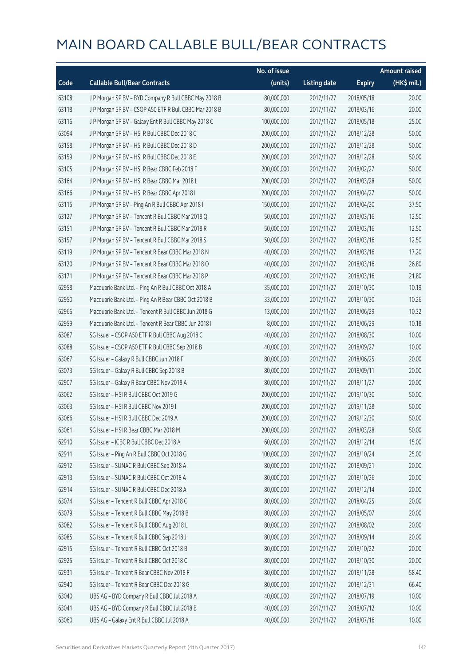|       |                                                        | No. of issue |                     |               | <b>Amount raised</b> |
|-------|--------------------------------------------------------|--------------|---------------------|---------------|----------------------|
| Code  | <b>Callable Bull/Bear Contracts</b>                    | (units)      | <b>Listing date</b> | <b>Expiry</b> | (HK\$ mil.)          |
| 63108 | J P Morgan SP BV - BYD Company R Bull CBBC May 2018 B  | 80,000,000   | 2017/11/27          | 2018/05/18    | 20.00                |
| 63118 | J P Morgan SP BV - CSOP A50 ETF R Bull CBBC Mar 2018 B | 80,000,000   | 2017/11/27          | 2018/03/16    | 20.00                |
| 63116 | J P Morgan SP BV - Galaxy Ent R Bull CBBC May 2018 C   | 100,000,000  | 2017/11/27          | 2018/05/18    | 25.00                |
| 63094 | J P Morgan SP BV - HSI R Bull CBBC Dec 2018 C          | 200,000,000  | 2017/11/27          | 2018/12/28    | 50.00                |
| 63158 | J P Morgan SP BV - HSI R Bull CBBC Dec 2018 D          | 200,000,000  | 2017/11/27          | 2018/12/28    | 50.00                |
| 63159 | J P Morgan SP BV - HSI R Bull CBBC Dec 2018 E          | 200,000,000  | 2017/11/27          | 2018/12/28    | 50.00                |
| 63105 | J P Morgan SP BV - HSI R Bear CBBC Feb 2018 F          | 200,000,000  | 2017/11/27          | 2018/02/27    | 50.00                |
| 63164 | J P Morgan SP BV - HSI R Bear CBBC Mar 2018 L          | 200,000,000  | 2017/11/27          | 2018/03/28    | 50.00                |
| 63166 | J P Morgan SP BV - HSI R Bear CBBC Apr 2018 I          | 200,000,000  | 2017/11/27          | 2018/04/27    | 50.00                |
| 63115 | J P Morgan SP BV - Ping An R Bull CBBC Apr 2018 I      | 150,000,000  | 2017/11/27          | 2018/04/20    | 37.50                |
| 63127 | J P Morgan SP BV - Tencent R Bull CBBC Mar 2018 Q      | 50,000,000   | 2017/11/27          | 2018/03/16    | 12.50                |
| 63151 | J P Morgan SP BV - Tencent R Bull CBBC Mar 2018 R      | 50,000,000   | 2017/11/27          | 2018/03/16    | 12.50                |
| 63157 | JP Morgan SP BV - Tencent R Bull CBBC Mar 2018 S       | 50,000,000   | 2017/11/27          | 2018/03/16    | 12.50                |
| 63119 | J P Morgan SP BV - Tencent R Bear CBBC Mar 2018 N      | 40,000,000   | 2017/11/27          | 2018/03/16    | 17.20                |
| 63120 | J P Morgan SP BV - Tencent R Bear CBBC Mar 2018 O      | 40,000,000   | 2017/11/27          | 2018/03/16    | 26.80                |
| 63171 | J P Morgan SP BV - Tencent R Bear CBBC Mar 2018 P      | 40,000,000   | 2017/11/27          | 2018/03/16    | 21.80                |
| 62958 | Macquarie Bank Ltd. - Ping An R Bull CBBC Oct 2018 A   | 35,000,000   | 2017/11/27          | 2018/10/30    | 10.19                |
| 62950 | Macquarie Bank Ltd. - Ping An R Bear CBBC Oct 2018 B   | 33,000,000   | 2017/11/27          | 2018/10/30    | 10.26                |
| 62966 | Macquarie Bank Ltd. - Tencent R Bull CBBC Jun 2018 G   | 13,000,000   | 2017/11/27          | 2018/06/29    | 10.32                |
| 62959 | Macquarie Bank Ltd. - Tencent R Bear CBBC Jun 2018 I   | 8,000,000    | 2017/11/27          | 2018/06/29    | 10.18                |
| 63087 | SG Issuer - CSOP A50 ETF R Bull CBBC Aug 2018 C        | 40,000,000   | 2017/11/27          | 2018/08/30    | 10.00                |
| 63088 | SG Issuer - CSOP A50 ETF R Bull CBBC Sep 2018 B        | 40,000,000   | 2017/11/27          | 2018/09/27    | 10.00                |
| 63067 | SG Issuer - Galaxy R Bull CBBC Jun 2018 F              | 80,000,000   | 2017/11/27          | 2018/06/25    | 20.00                |
| 63073 | SG Issuer - Galaxy R Bull CBBC Sep 2018 B              | 80,000,000   | 2017/11/27          | 2018/09/11    | 20.00                |
| 62907 | SG Issuer - Galaxy R Bear CBBC Nov 2018 A              | 80,000,000   | 2017/11/27          | 2018/11/27    | 20.00                |
| 63062 | SG Issuer - HSI R Bull CBBC Oct 2019 G                 | 200,000,000  | 2017/11/27          | 2019/10/30    | 50.00                |
| 63063 | SG Issuer - HSI R Bull CBBC Nov 2019 I                 | 200,000,000  | 2017/11/27          | 2019/11/28    | 50.00                |
| 63066 | SG Issuer - HSI R Bull CBBC Dec 2019 A                 | 200,000,000  | 2017/11/27          | 2019/12/30    | 50.00                |
| 63061 | SG Issuer - HSI R Bear CBBC Mar 2018 M                 | 200,000,000  | 2017/11/27          | 2018/03/28    | 50.00                |
| 62910 | SG Issuer - ICBC R Bull CBBC Dec 2018 A                | 60,000,000   | 2017/11/27          | 2018/12/14    | 15.00                |
| 62911 | SG Issuer - Ping An R Bull CBBC Oct 2018 G             | 100,000,000  | 2017/11/27          | 2018/10/24    | 25.00                |
| 62912 | SG Issuer - SUNAC R Bull CBBC Sep 2018 A               | 80,000,000   | 2017/11/27          | 2018/09/21    | 20.00                |
| 62913 | SG Issuer - SUNAC R Bull CBBC Oct 2018 A               | 80,000,000   | 2017/11/27          | 2018/10/26    | 20.00                |
| 62914 | SG Issuer - SUNAC R Bull CBBC Dec 2018 A               | 80,000,000   | 2017/11/27          | 2018/12/14    | 20.00                |
| 63074 | SG Issuer - Tencent R Bull CBBC Apr 2018 C             | 80,000,000   | 2017/11/27          | 2018/04/25    | 20.00                |
| 63079 | SG Issuer - Tencent R Bull CBBC May 2018 B             | 80,000,000   | 2017/11/27          | 2018/05/07    | 20.00                |
| 63082 | SG Issuer - Tencent R Bull CBBC Aug 2018 L             | 80,000,000   | 2017/11/27          | 2018/08/02    | 20.00                |
| 63085 | SG Issuer - Tencent R Bull CBBC Sep 2018 J             | 80,000,000   | 2017/11/27          | 2018/09/14    | 20.00                |
| 62915 | SG Issuer - Tencent R Bull CBBC Oct 2018 B             | 80,000,000   | 2017/11/27          | 2018/10/22    | 20.00                |
| 62925 | SG Issuer - Tencent R Bull CBBC Oct 2018 C             | 80,000,000   | 2017/11/27          | 2018/10/30    | 20.00                |
| 62931 | SG Issuer - Tencent R Bear CBBC Nov 2018 F             | 80,000,000   | 2017/11/27          | 2018/11/28    | 58.40                |
| 62940 | SG Issuer - Tencent R Bear CBBC Dec 2018 G             | 80,000,000   | 2017/11/27          | 2018/12/31    | 66.40                |
| 63040 | UBS AG - BYD Company R Bull CBBC Jul 2018 A            | 40,000,000   | 2017/11/27          | 2018/07/19    | 10.00                |
| 63041 | UBS AG - BYD Company R Bull CBBC Jul 2018 B            | 40,000,000   | 2017/11/27          | 2018/07/12    | 10.00                |
| 63060 | UBS AG - Galaxy Ent R Bull CBBC Jul 2018 A             | 40,000,000   | 2017/11/27          | 2018/07/16    | 10.00                |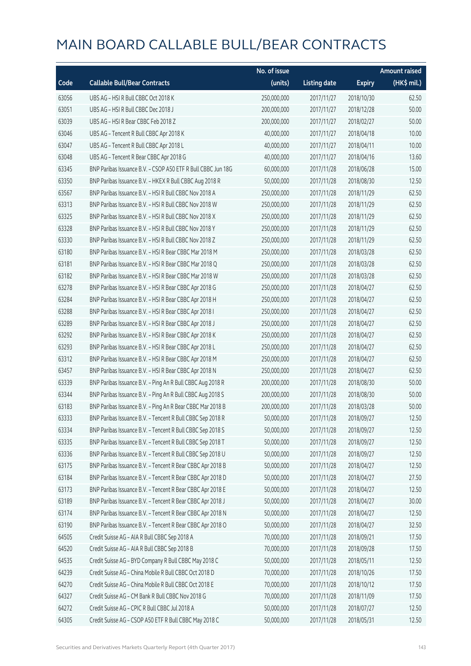|       |                                                              | No. of issue |                     |               | <b>Amount raised</b> |
|-------|--------------------------------------------------------------|--------------|---------------------|---------------|----------------------|
| Code  | <b>Callable Bull/Bear Contracts</b>                          | (units)      | <b>Listing date</b> | <b>Expiry</b> | (HK\$ mil.)          |
| 63056 | UBS AG - HSI R Bull CBBC Oct 2018 K                          | 250,000,000  | 2017/11/27          | 2018/10/30    | 62.50                |
| 63051 | UBS AG - HSI R Bull CBBC Dec 2018 J                          | 200,000,000  | 2017/11/27          | 2018/12/28    | 50.00                |
| 63039 | UBS AG - HSI R Bear CBBC Feb 2018 Z                          | 200,000,000  | 2017/11/27          | 2018/02/27    | 50.00                |
| 63046 | UBS AG - Tencent R Bull CBBC Apr 2018 K                      | 40,000,000   | 2017/11/27          | 2018/04/18    | 10.00                |
| 63047 | UBS AG - Tencent R Bull CBBC Apr 2018 L                      | 40,000,000   | 2017/11/27          | 2018/04/11    | 10.00                |
| 63048 | UBS AG - Tencent R Bear CBBC Apr 2018 G                      | 40,000,000   | 2017/11/27          | 2018/04/16    | 13.60                |
| 63345 | BNP Paribas Issuance B.V. - CSOP A50 ETF R Bull CBBC Jun 18G | 60,000,000   | 2017/11/28          | 2018/06/28    | 15.00                |
| 63350 | BNP Paribas Issuance B.V. - HKEX R Bull CBBC Aug 2018 R      | 50,000,000   | 2017/11/28          | 2018/08/30    | 12.50                |
| 63567 | BNP Paribas Issuance B.V. - HSI R Bull CBBC Nov 2018 A       | 250,000,000  | 2017/11/28          | 2018/11/29    | 62.50                |
| 63313 | BNP Paribas Issuance B.V. - HSI R Bull CBBC Nov 2018 W       | 250,000,000  | 2017/11/28          | 2018/11/29    | 62.50                |
| 63325 | BNP Paribas Issuance B.V. - HSI R Bull CBBC Nov 2018 X       | 250,000,000  | 2017/11/28          | 2018/11/29    | 62.50                |
| 63328 | BNP Paribas Issuance B.V. - HSI R Bull CBBC Nov 2018 Y       | 250,000,000  | 2017/11/28          | 2018/11/29    | 62.50                |
| 63330 | BNP Paribas Issuance B.V. - HSI R Bull CBBC Nov 2018 Z       | 250,000,000  | 2017/11/28          | 2018/11/29    | 62.50                |
| 63180 | BNP Paribas Issuance B.V. - HSI R Bear CBBC Mar 2018 M       | 250,000,000  | 2017/11/28          | 2018/03/28    | 62.50                |
| 63181 | BNP Paribas Issuance B.V. - HSI R Bear CBBC Mar 2018 Q       | 250,000,000  | 2017/11/28          | 2018/03/28    | 62.50                |
| 63182 | BNP Paribas Issuance B.V. - HSI R Bear CBBC Mar 2018 W       | 250,000,000  | 2017/11/28          | 2018/03/28    | 62.50                |
| 63278 | BNP Paribas Issuance B.V. - HSI R Bear CBBC Apr 2018 G       | 250,000,000  | 2017/11/28          | 2018/04/27    | 62.50                |
| 63284 | BNP Paribas Issuance B.V. - HSI R Bear CBBC Apr 2018 H       | 250,000,000  | 2017/11/28          | 2018/04/27    | 62.50                |
| 63288 | BNP Paribas Issuance B.V. - HSI R Bear CBBC Apr 2018 I       | 250,000,000  | 2017/11/28          | 2018/04/27    | 62.50                |
| 63289 | BNP Paribas Issuance B.V. - HSI R Bear CBBC Apr 2018 J       | 250,000,000  | 2017/11/28          | 2018/04/27    | 62.50                |
| 63292 | BNP Paribas Issuance B.V. - HSI R Bear CBBC Apr 2018 K       | 250,000,000  | 2017/11/28          | 2018/04/27    | 62.50                |
| 63293 | BNP Paribas Issuance B.V. - HSI R Bear CBBC Apr 2018 L       | 250,000,000  | 2017/11/28          | 2018/04/27    | 62.50                |
| 63312 | BNP Paribas Issuance B.V. - HSI R Bear CBBC Apr 2018 M       | 250,000,000  | 2017/11/28          | 2018/04/27    | 62.50                |
| 63457 | BNP Paribas Issuance B.V. - HSI R Bear CBBC Apr 2018 N       | 250,000,000  | 2017/11/28          | 2018/04/27    | 62.50                |
| 63339 | BNP Paribas Issuance B.V. - Ping An R Bull CBBC Aug 2018 R   | 200,000,000  | 2017/11/28          | 2018/08/30    | 50.00                |
| 63344 | BNP Paribas Issuance B.V. - Ping An R Bull CBBC Aug 2018 S   | 200,000,000  | 2017/11/28          | 2018/08/30    | 50.00                |
| 63183 | BNP Paribas Issuance B.V. - Ping An R Bear CBBC Mar 2018 B   | 200,000,000  | 2017/11/28          | 2018/03/28    | 50.00                |
| 63333 | BNP Paribas Issuance B.V. - Tencent R Bull CBBC Sep 2018 R   | 50,000,000   | 2017/11/28          | 2018/09/27    | 12.50                |
| 63334 | BNP Paribas Issuance B.V. - Tencent R Bull CBBC Sep 2018 S   | 50,000,000   | 2017/11/28          | 2018/09/27    | 12.50                |
| 63335 | BNP Paribas Issuance B.V. - Tencent R Bull CBBC Sep 2018 T   | 50,000,000   | 2017/11/28          | 2018/09/27    | 12.50                |
| 63336 | BNP Paribas Issuance B.V. - Tencent R Bull CBBC Sep 2018 U   | 50,000,000   | 2017/11/28          | 2018/09/27    | 12.50                |
| 63175 | BNP Paribas Issuance B.V. - Tencent R Bear CBBC Apr 2018 B   | 50,000,000   | 2017/11/28          | 2018/04/27    | 12.50                |
| 63184 | BNP Paribas Issuance B.V. - Tencent R Bear CBBC Apr 2018 D   | 50,000,000   | 2017/11/28          | 2018/04/27    | 27.50                |
| 63173 | BNP Paribas Issuance B.V. - Tencent R Bear CBBC Apr 2018 E   | 50,000,000   | 2017/11/28          | 2018/04/27    | 12.50                |
| 63189 | BNP Paribas Issuance B.V. - Tencent R Bear CBBC Apr 2018 J   | 50,000,000   | 2017/11/28          | 2018/04/27    | 30.00                |
| 63174 | BNP Paribas Issuance B.V. - Tencent R Bear CBBC Apr 2018 N   | 50,000,000   | 2017/11/28          | 2018/04/27    | 12.50                |
| 63190 | BNP Paribas Issuance B.V. - Tencent R Bear CBBC Apr 2018 O   | 50,000,000   | 2017/11/28          | 2018/04/27    | 32.50                |
| 64505 | Credit Suisse AG - AIA R Bull CBBC Sep 2018 A                | 70,000,000   | 2017/11/28          | 2018/09/21    | 17.50                |
| 64520 | Credit Suisse AG - AIA R Bull CBBC Sep 2018 B                | 70,000,000   | 2017/11/28          | 2018/09/28    | 17.50                |
| 64535 | Credit Suisse AG - BYD Company R Bull CBBC May 2018 C        | 50,000,000   | 2017/11/28          | 2018/05/11    | 12.50                |
| 64239 | Credit Suisse AG - China Mobile R Bull CBBC Oct 2018 D       | 70,000,000   | 2017/11/28          | 2018/10/26    | 17.50                |
| 64270 | Credit Suisse AG - China Mobile R Bull CBBC Oct 2018 E       | 70,000,000   | 2017/11/28          | 2018/10/12    | 17.50                |
| 64327 | Credit Suisse AG - CM Bank R Bull CBBC Nov 2018 G            | 70,000,000   | 2017/11/28          | 2018/11/09    | 17.50                |
| 64272 | Credit Suisse AG - CPIC R Bull CBBC Jul 2018 A               | 50,000,000   | 2017/11/28          | 2018/07/27    | 12.50                |
| 64305 | Credit Suisse AG - CSOP A50 ETF R Bull CBBC May 2018 C       | 50,000,000   | 2017/11/28          | 2018/05/31    | 12.50                |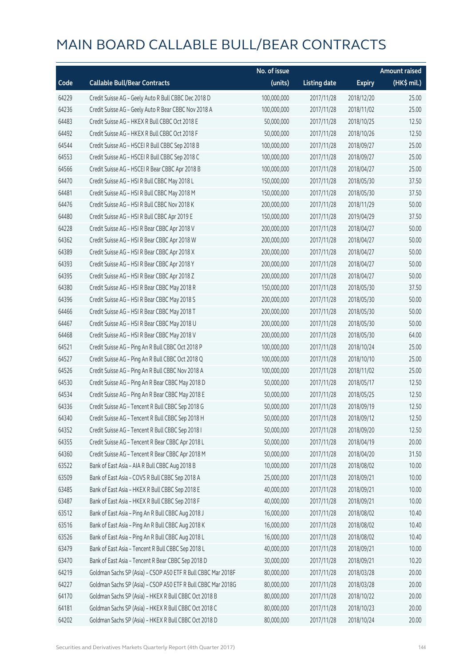|       |                                                              | No. of issue |                     |               | <b>Amount raised</b> |
|-------|--------------------------------------------------------------|--------------|---------------------|---------------|----------------------|
| Code  | <b>Callable Bull/Bear Contracts</b>                          | (units)      | <b>Listing date</b> | <b>Expiry</b> | (HK\$ mil.)          |
| 64229 | Credit Suisse AG - Geely Auto R Bull CBBC Dec 2018 D         | 100,000,000  | 2017/11/28          | 2018/12/20    | 25.00                |
| 64236 | Credit Suisse AG - Geely Auto R Bear CBBC Nov 2018 A         | 100,000,000  | 2017/11/28          | 2018/11/02    | 25.00                |
| 64483 | Credit Suisse AG - HKEX R Bull CBBC Oct 2018 E               | 50,000,000   | 2017/11/28          | 2018/10/25    | 12.50                |
| 64492 | Credit Suisse AG - HKEX R Bull CBBC Oct 2018 F               | 50,000,000   | 2017/11/28          | 2018/10/26    | 12.50                |
| 64544 | Credit Suisse AG - HSCEI R Bull CBBC Sep 2018 B              | 100,000,000  | 2017/11/28          | 2018/09/27    | 25.00                |
| 64553 | Credit Suisse AG - HSCEI R Bull CBBC Sep 2018 C              | 100,000,000  | 2017/11/28          | 2018/09/27    | 25.00                |
| 64566 | Credit Suisse AG - HSCEI R Bear CBBC Apr 2018 B              | 100,000,000  | 2017/11/28          | 2018/04/27    | 25.00                |
| 64470 | Credit Suisse AG - HSI R Bull CBBC May 2018 L                | 150,000,000  | 2017/11/28          | 2018/05/30    | 37.50                |
| 64481 | Credit Suisse AG - HSI R Bull CBBC May 2018 M                | 150,000,000  | 2017/11/28          | 2018/05/30    | 37.50                |
| 64476 | Credit Suisse AG - HSI R Bull CBBC Nov 2018 K                | 200,000,000  | 2017/11/28          | 2018/11/29    | 50.00                |
| 64480 | Credit Suisse AG - HSI R Bull CBBC Apr 2019 E                | 150,000,000  | 2017/11/28          | 2019/04/29    | 37.50                |
| 64228 | Credit Suisse AG - HSI R Bear CBBC Apr 2018 V                | 200,000,000  | 2017/11/28          | 2018/04/27    | 50.00                |
| 64362 | Credit Suisse AG - HSI R Bear CBBC Apr 2018 W                | 200,000,000  | 2017/11/28          | 2018/04/27    | 50.00                |
| 64389 | Credit Suisse AG - HSI R Bear CBBC Apr 2018 X                | 200,000,000  | 2017/11/28          | 2018/04/27    | 50.00                |
| 64393 | Credit Suisse AG - HSI R Bear CBBC Apr 2018 Y                | 200,000,000  | 2017/11/28          | 2018/04/27    | 50.00                |
| 64395 | Credit Suisse AG - HSI R Bear CBBC Apr 2018 Z                | 200,000,000  | 2017/11/28          | 2018/04/27    | 50.00                |
| 64380 | Credit Suisse AG - HSI R Bear CBBC May 2018 R                | 150,000,000  | 2017/11/28          | 2018/05/30    | 37.50                |
| 64396 | Credit Suisse AG - HSI R Bear CBBC May 2018 S                | 200,000,000  | 2017/11/28          | 2018/05/30    | 50.00                |
| 64466 | Credit Suisse AG - HSI R Bear CBBC May 2018 T                | 200,000,000  | 2017/11/28          | 2018/05/30    | 50.00                |
| 64467 | Credit Suisse AG - HSI R Bear CBBC May 2018 U                | 200,000,000  | 2017/11/28          | 2018/05/30    | 50.00                |
| 64468 | Credit Suisse AG - HSI R Bear CBBC May 2018 V                | 200,000,000  | 2017/11/28          | 2018/05/30    | 64.00                |
| 64521 | Credit Suisse AG - Ping An R Bull CBBC Oct 2018 P            | 100,000,000  | 2017/11/28          | 2018/10/24    | 25.00                |
| 64527 | Credit Suisse AG - Ping An R Bull CBBC Oct 2018 Q            | 100,000,000  | 2017/11/28          | 2018/10/10    | 25.00                |
| 64526 | Credit Suisse AG - Ping An R Bull CBBC Nov 2018 A            | 100,000,000  | 2017/11/28          | 2018/11/02    | 25.00                |
| 64530 | Credit Suisse AG - Ping An R Bear CBBC May 2018 D            | 50,000,000   | 2017/11/28          | 2018/05/17    | 12.50                |
| 64534 | Credit Suisse AG - Ping An R Bear CBBC May 2018 E            | 50,000,000   | 2017/11/28          | 2018/05/25    | 12.50                |
| 64336 | Credit Suisse AG - Tencent R Bull CBBC Sep 2018 G            | 50,000,000   | 2017/11/28          | 2018/09/19    | 12.50                |
| 64340 | Credit Suisse AG - Tencent R Bull CBBC Sep 2018 H            | 50,000,000   | 2017/11/28          | 2018/09/12    | 12.50                |
| 64352 | Credit Suisse AG - Tencent R Bull CBBC Sep 2018 I            | 50,000,000   | 2017/11/28          | 2018/09/20    | 12.50                |
| 64355 | Credit Suisse AG - Tencent R Bear CBBC Apr 2018 L            | 50,000,000   | 2017/11/28          | 2018/04/19    | 20.00                |
| 64360 | Credit Suisse AG - Tencent R Bear CBBC Apr 2018 M            | 50,000,000   | 2017/11/28          | 2018/04/20    | 31.50                |
| 63522 | Bank of East Asia - AIA R Bull CBBC Aug 2018 B               | 10,000,000   | 2017/11/28          | 2018/08/02    | 10.00                |
| 63509 | Bank of East Asia - COVS R Bull CBBC Sep 2018 A              | 25,000,000   | 2017/11/28          | 2018/09/21    | 10.00                |
| 63485 | Bank of East Asia - HKEX R Bull CBBC Sep 2018 E              | 40,000,000   | 2017/11/28          | 2018/09/21    | 10.00                |
| 63487 | Bank of East Asia - HKEX R Bull CBBC Sep 2018 F              | 40,000,000   | 2017/11/28          | 2018/09/21    | 10.00                |
| 63512 | Bank of East Asia - Ping An R Bull CBBC Aug 2018 J           | 16,000,000   | 2017/11/28          | 2018/08/02    | 10.40                |
| 63516 | Bank of East Asia - Ping An R Bull CBBC Aug 2018 K           | 16,000,000   | 2017/11/28          | 2018/08/02    | 10.40                |
| 63526 | Bank of East Asia - Ping An R Bull CBBC Aug 2018 L           | 16,000,000   | 2017/11/28          | 2018/08/02    | 10.40                |
| 63479 | Bank of East Asia - Tencent R Bull CBBC Sep 2018 L           | 40,000,000   | 2017/11/28          | 2018/09/21    | 10.00                |
| 63470 | Bank of East Asia - Tencent R Bear CBBC Sep 2018 D           | 30,000,000   | 2017/11/28          | 2018/09/21    | 10.20                |
| 64219 | Goldman Sachs SP (Asia) - CSOP A50 ETF R Bull CBBC Mar 2018F | 80,000,000   | 2017/11/28          | 2018/03/28    | 20.00                |
| 64227 | Goldman Sachs SP (Asia) - CSOP A50 ETF R Bull CBBC Mar 2018G | 80,000,000   | 2017/11/28          | 2018/03/28    | 20.00                |
| 64170 | Goldman Sachs SP (Asia) - HKEX R Bull CBBC Oct 2018 B        | 80,000,000   | 2017/11/28          | 2018/10/22    | 20.00                |
| 64181 | Goldman Sachs SP (Asia) - HKEX R Bull CBBC Oct 2018 C        | 80,000,000   | 2017/11/28          | 2018/10/23    | 20.00                |
| 64202 | Goldman Sachs SP (Asia) - HKEX R Bull CBBC Oct 2018 D        | 80,000,000   | 2017/11/28          | 2018/10/24    | 20.00                |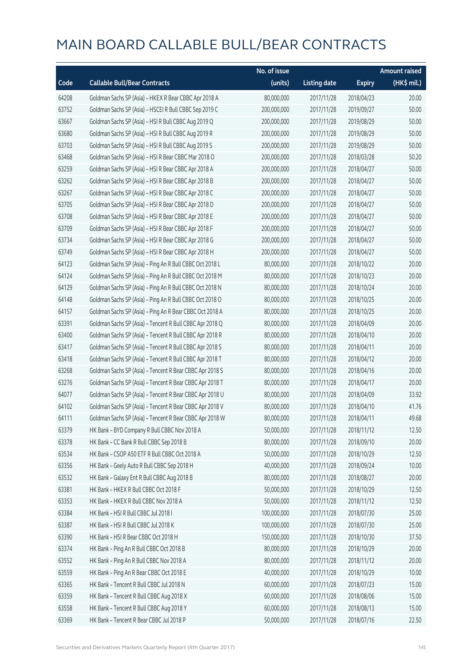|       |                                                          | No. of issue |                     |               | <b>Amount raised</b> |
|-------|----------------------------------------------------------|--------------|---------------------|---------------|----------------------|
| Code  | <b>Callable Bull/Bear Contracts</b>                      | (units)      | <b>Listing date</b> | <b>Expiry</b> | $(HK$$ mil.)         |
| 64208 | Goldman Sachs SP (Asia) - HKEX R Bear CBBC Apr 2018 A    | 80,000,000   | 2017/11/28          | 2018/04/23    | 20.00                |
| 63752 | Goldman Sachs SP (Asia) - HSCEI R Bull CBBC Sep 2019 C   | 200,000,000  | 2017/11/28          | 2019/09/27    | 50.00                |
| 63667 | Goldman Sachs SP (Asia) - HSI R Bull CBBC Aug 2019 Q     | 200,000,000  | 2017/11/28          | 2019/08/29    | 50.00                |
| 63680 | Goldman Sachs SP (Asia) - HSI R Bull CBBC Aug 2019 R     | 200,000,000  | 2017/11/28          | 2019/08/29    | 50.00                |
| 63703 | Goldman Sachs SP (Asia) - HSI R Bull CBBC Aug 2019 S     | 200,000,000  | 2017/11/28          | 2019/08/29    | 50.00                |
| 63468 | Goldman Sachs SP (Asia) - HSI R Bear CBBC Mar 2018 O     | 200,000,000  | 2017/11/28          | 2018/03/28    | 50.20                |
| 63259 | Goldman Sachs SP (Asia) - HSI R Bear CBBC Apr 2018 A     | 200,000,000  | 2017/11/28          | 2018/04/27    | 50.00                |
| 63262 | Goldman Sachs SP (Asia) - HSI R Bear CBBC Apr 2018 B     | 200,000,000  | 2017/11/28          | 2018/04/27    | 50.00                |
| 63267 | Goldman Sachs SP (Asia) - HSI R Bear CBBC Apr 2018 C     | 200,000,000  | 2017/11/28          | 2018/04/27    | 50.00                |
| 63705 | Goldman Sachs SP (Asia) - HSI R Bear CBBC Apr 2018 D     | 200,000,000  | 2017/11/28          | 2018/04/27    | 50.00                |
| 63708 | Goldman Sachs SP (Asia) - HSI R Bear CBBC Apr 2018 E     | 200,000,000  | 2017/11/28          | 2018/04/27    | 50.00                |
| 63709 | Goldman Sachs SP (Asia) - HSI R Bear CBBC Apr 2018 F     | 200,000,000  | 2017/11/28          | 2018/04/27    | 50.00                |
| 63734 | Goldman Sachs SP (Asia) - HSI R Bear CBBC Apr 2018 G     | 200,000,000  | 2017/11/28          | 2018/04/27    | 50.00                |
| 63749 | Goldman Sachs SP (Asia) - HSI R Bear CBBC Apr 2018 H     | 200,000,000  | 2017/11/28          | 2018/04/27    | 50.00                |
| 64123 | Goldman Sachs SP (Asia) - Ping An R Bull CBBC Oct 2018 L | 80,000,000   | 2017/11/28          | 2018/10/22    | 20.00                |
| 64124 | Goldman Sachs SP (Asia) - Ping An R Bull CBBC Oct 2018 M | 80,000,000   | 2017/11/28          | 2018/10/23    | 20.00                |
| 64129 | Goldman Sachs SP (Asia) - Ping An R Bull CBBC Oct 2018 N | 80,000,000   | 2017/11/28          | 2018/10/24    | 20.00                |
| 64148 | Goldman Sachs SP (Asia) - Ping An R Bull CBBC Oct 2018 O | 80,000,000   | 2017/11/28          | 2018/10/25    | 20.00                |
| 64157 | Goldman Sachs SP (Asia) - Ping An R Bear CBBC Oct 2018 A | 80,000,000   | 2017/11/28          | 2018/10/25    | 20.00                |
| 63391 | Goldman Sachs SP (Asia) - Tencent R Bull CBBC Apr 2018 Q | 80,000,000   | 2017/11/28          | 2018/04/09    | 20.00                |
| 63400 | Goldman Sachs SP (Asia) - Tencent R Bull CBBC Apr 2018 R | 80,000,000   | 2017/11/28          | 2018/04/10    | 20.00                |
| 63417 | Goldman Sachs SP (Asia) - Tencent R Bull CBBC Apr 2018 S | 80,000,000   | 2017/11/28          | 2018/04/11    | 20.00                |
| 63418 | Goldman Sachs SP (Asia) - Tencent R Bull CBBC Apr 2018 T | 80,000,000   | 2017/11/28          | 2018/04/12    | 20.00                |
| 63268 | Goldman Sachs SP (Asia) - Tencent R Bear CBBC Apr 2018 S | 80,000,000   | 2017/11/28          | 2018/04/16    | 20.00                |
| 63276 | Goldman Sachs SP (Asia) - Tencent R Bear CBBC Apr 2018 T | 80,000,000   | 2017/11/28          | 2018/04/17    | 20.00                |
| 64077 | Goldman Sachs SP (Asia) - Tencent R Bear CBBC Apr 2018 U | 80,000,000   | 2017/11/28          | 2018/04/09    | 33.92                |
| 64102 | Goldman Sachs SP (Asia) - Tencent R Bear CBBC Apr 2018 V | 80,000,000   | 2017/11/28          | 2018/04/10    | 41.76                |
| 64111 | Goldman Sachs SP (Asia) - Tencent R Bear CBBC Apr 2018 W | 80,000,000   | 2017/11/28          | 2018/04/11    | 49.68                |
| 63379 | HK Bank - BYD Company R Bull CBBC Nov 2018 A             | 50,000,000   | 2017/11/28          | 2018/11/12    | 12.50                |
| 63378 | HK Bank - CC Bank R Bull CBBC Sep 2018 B                 | 80,000,000   | 2017/11/28          | 2018/09/10    | 20.00                |
| 63534 | HK Bank - CSOP A50 ETF R Bull CBBC Oct 2018 A            | 50,000,000   | 2017/11/28          | 2018/10/29    | 12.50                |
| 63356 | HK Bank - Geely Auto R Bull CBBC Sep 2018 H              | 40,000,000   | 2017/11/28          | 2018/09/24    | 10.00                |
| 63532 | HK Bank - Galaxy Ent R Bull CBBC Aug 2018 B              | 80,000,000   | 2017/11/28          | 2018/08/27    | 20.00                |
| 63381 | HK Bank - HKEX R Bull CBBC Oct 2018 F                    | 50,000,000   | 2017/11/28          | 2018/10/29    | 12.50                |
| 63353 | HK Bank - HKEX R Bull CBBC Nov 2018 A                    | 50,000,000   | 2017/11/28          | 2018/11/12    | 12.50                |
| 63384 | HK Bank - HSI R Bull CBBC Jul 2018 I                     | 100,000,000  | 2017/11/28          | 2018/07/30    | 25.00                |
| 63387 | HK Bank - HSI R Bull CBBC Jul 2018 K                     | 100,000,000  | 2017/11/28          | 2018/07/30    | 25.00                |
| 63390 | HK Bank - HSI R Bear CBBC Oct 2018 H                     | 150,000,000  | 2017/11/28          | 2018/10/30    | 37.50                |
| 63374 | HK Bank - Ping An R Bull CBBC Oct 2018 B                 | 80,000,000   | 2017/11/28          | 2018/10/29    | 20.00                |
| 63552 | HK Bank - Ping An R Bull CBBC Nov 2018 A                 | 80,000,000   | 2017/11/28          | 2018/11/12    | 20.00                |
| 63559 | HK Bank - Ping An R Bear CBBC Oct 2018 E                 | 40,000,000   | 2017/11/28          | 2018/10/29    | 10.00                |
| 63365 | HK Bank - Tencent R Bull CBBC Jul 2018 N                 | 60,000,000   | 2017/11/28          | 2018/07/23    | 15.00                |
| 63359 | HK Bank - Tencent R Bull CBBC Aug 2018 X                 | 60,000,000   | 2017/11/28          | 2018/08/06    | 15.00                |
| 63558 | HK Bank - Tencent R Bull CBBC Aug 2018 Y                 | 60,000,000   | 2017/11/28          | 2018/08/13    | 15.00                |
| 63369 | HK Bank - Tencent R Bear CBBC Jul 2018 P                 | 50,000,000   | 2017/11/28          | 2018/07/16    | 22.50                |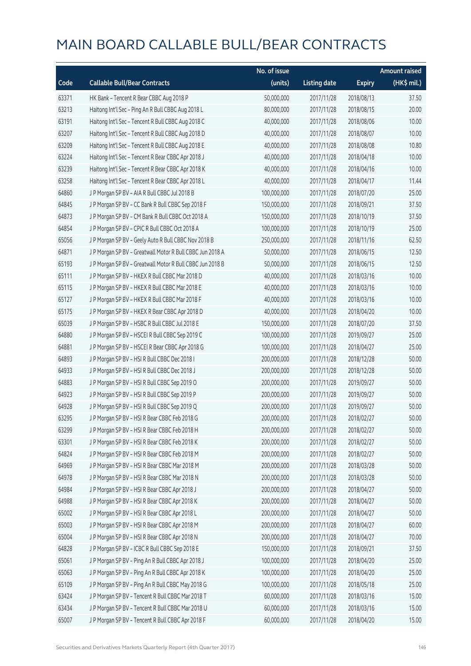|       |                                                           | No. of issue |                     |               | <b>Amount raised</b> |
|-------|-----------------------------------------------------------|--------------|---------------------|---------------|----------------------|
| Code  | <b>Callable Bull/Bear Contracts</b>                       | (units)      | <b>Listing date</b> | <b>Expiry</b> | (HK\$ mil.)          |
| 63371 | HK Bank - Tencent R Bear CBBC Aug 2018 P                  | 50,000,000   | 2017/11/28          | 2018/08/13    | 37.50                |
| 63213 | Haitong Int'l Sec - Ping An R Bull CBBC Aug 2018 L        | 80,000,000   | 2017/11/28          | 2018/08/15    | 20.00                |
| 63191 | Haitong Int'l Sec - Tencent R Bull CBBC Aug 2018 C        | 40,000,000   | 2017/11/28          | 2018/08/06    | 10.00                |
| 63207 | Haitong Int'l Sec - Tencent R Bull CBBC Aug 2018 D        | 40,000,000   | 2017/11/28          | 2018/08/07    | 10.00                |
| 63209 | Haitong Int'l Sec - Tencent R Bull CBBC Aug 2018 E        | 40,000,000   | 2017/11/28          | 2018/08/08    | 10.80                |
| 63224 | Haitong Int'l Sec - Tencent R Bear CBBC Apr 2018 J        | 40,000,000   | 2017/11/28          | 2018/04/18    | 10.00                |
| 63239 | Haitong Int'l Sec - Tencent R Bear CBBC Apr 2018 K        | 40,000,000   | 2017/11/28          | 2018/04/16    | 10.00                |
| 63258 | Haitong Int'l Sec - Tencent R Bear CBBC Apr 2018 L        | 40,000,000   | 2017/11/28          | 2018/04/17    | 11.44                |
| 64860 | J P Morgan SP BV - AIA R Bull CBBC Jul 2018 B             | 100,000,000  | 2017/11/28          | 2018/07/20    | 25.00                |
| 64845 | J P Morgan SP BV - CC Bank R Bull CBBC Sep 2018 F         | 150,000,000  | 2017/11/28          | 2018/09/21    | 37.50                |
| 64873 | J P Morgan SP BV - CM Bank R Bull CBBC Oct 2018 A         | 150,000,000  | 2017/11/28          | 2018/10/19    | 37.50                |
| 64854 | J P Morgan SP BV - CPIC R Bull CBBC Oct 2018 A            | 100,000,000  | 2017/11/28          | 2018/10/19    | 25.00                |
| 65056 | J P Morgan SP BV - Geely Auto R Bull CBBC Nov 2018 B      | 250,000,000  | 2017/11/28          | 2018/11/16    | 62.50                |
| 64871 | J P Morgan SP BV - Greatwall Motor R Bull CBBC Jun 2018 A | 50,000,000   | 2017/11/28          | 2018/06/15    | 12.50                |
| 65193 | J P Morgan SP BV - Greatwall Motor R Bull CBBC Jun 2018 B | 50,000,000   | 2017/11/28          | 2018/06/15    | 12.50                |
| 65111 | J P Morgan SP BV - HKEX R Bull CBBC Mar 2018 D            | 40,000,000   | 2017/11/28          | 2018/03/16    | 10.00                |
| 65115 | J P Morgan SP BV - HKEX R Bull CBBC Mar 2018 E            | 40,000,000   | 2017/11/28          | 2018/03/16    | 10.00                |
| 65127 | J P Morgan SP BV - HKEX R Bull CBBC Mar 2018 F            | 40,000,000   | 2017/11/28          | 2018/03/16    | 10.00                |
| 65175 | J P Morgan SP BV - HKEX R Bear CBBC Apr 2018 D            | 40,000,000   | 2017/11/28          | 2018/04/20    | 10.00                |
| 65039 | J P Morgan SP BV - HSBC R Bull CBBC Jul 2018 E            | 150,000,000  | 2017/11/28          | 2018/07/20    | 37.50                |
| 64880 | J P Morgan SP BV - HSCEI R Bull CBBC Sep 2019 C           | 100,000,000  | 2017/11/28          | 2019/09/27    | 25.00                |
| 64881 | J P Morgan SP BV - HSCEI R Bear CBBC Apr 2018 G           | 100,000,000  | 2017/11/28          | 2018/04/27    | 25.00                |
| 64893 | J P Morgan SP BV - HSI R Bull CBBC Dec 2018 I             | 200,000,000  | 2017/11/28          | 2018/12/28    | 50.00                |
| 64933 | J P Morgan SP BV - HSI R Bull CBBC Dec 2018 J             | 200,000,000  | 2017/11/28          | 2018/12/28    | 50.00                |
| 64883 | J P Morgan SP BV - HSI R Bull CBBC Sep 2019 O             | 200,000,000  | 2017/11/28          | 2019/09/27    | 50.00                |
| 64923 | J P Morgan SP BV - HSI R Bull CBBC Sep 2019 P             | 200,000,000  | 2017/11/28          | 2019/09/27    | 50.00                |
| 64928 | J P Morgan SP BV - HSI R Bull CBBC Sep 2019 Q             | 200,000,000  | 2017/11/28          | 2019/09/27    | 50.00                |
| 63295 | J P Morgan SP BV - HSI R Bear CBBC Feb 2018 G             | 200,000,000  | 2017/11/28          | 2018/02/27    | 50.00                |
| 63299 | J P Morgan SP BV - HSI R Bear CBBC Feb 2018 H             | 200,000,000  | 2017/11/28          | 2018/02/27    | 50.00                |
| 63301 | J P Morgan SP BV - HSI R Bear CBBC Feb 2018 K             | 200,000,000  | 2017/11/28          | 2018/02/27    | 50.00                |
| 64824 | J P Morgan SP BV - HSI R Bear CBBC Feb 2018 M             | 200,000,000  | 2017/11/28          | 2018/02/27    | 50.00                |
| 64969 | J P Morgan SP BV - HSI R Bear CBBC Mar 2018 M             | 200,000,000  | 2017/11/28          | 2018/03/28    | 50.00                |
| 64978 | J P Morgan SP BV - HSI R Bear CBBC Mar 2018 N             | 200,000,000  | 2017/11/28          | 2018/03/28    | 50.00                |
| 64984 | J P Morgan SP BV - HSI R Bear CBBC Apr 2018 J             | 200,000,000  | 2017/11/28          | 2018/04/27    | 50.00                |
| 64988 | J P Morgan SP BV - HSI R Bear CBBC Apr 2018 K             | 200,000,000  | 2017/11/28          | 2018/04/27    | 50.00                |
| 65002 | J P Morgan SP BV - HSI R Bear CBBC Apr 2018 L             | 200,000,000  | 2017/11/28          | 2018/04/27    | 50.00                |
| 65003 | J P Morgan SP BV - HSI R Bear CBBC Apr 2018 M             | 200,000,000  | 2017/11/28          | 2018/04/27    | 60.00                |
| 65004 | J P Morgan SP BV - HSI R Bear CBBC Apr 2018 N             | 200,000,000  | 2017/11/28          | 2018/04/27    | 70.00                |
| 64828 | J P Morgan SP BV - ICBC R Bull CBBC Sep 2018 E            | 150,000,000  | 2017/11/28          | 2018/09/21    | 37.50                |
| 65061 | J P Morgan SP BV - Ping An R Bull CBBC Apr 2018 J         | 100,000,000  | 2017/11/28          | 2018/04/20    | 25.00                |
| 65063 | J P Morgan SP BV - Ping An R Bull CBBC Apr 2018 K         | 100,000,000  | 2017/11/28          | 2018/04/20    | 25.00                |
| 65109 | J P Morgan SP BV - Ping An R Bull CBBC May 2018 G         | 100,000,000  | 2017/11/28          | 2018/05/18    | 25.00                |
| 63424 | JP Morgan SP BV - Tencent R Bull CBBC Mar 2018 T          | 60,000,000   | 2017/11/28          | 2018/03/16    | 15.00                |
| 63434 | J P Morgan SP BV - Tencent R Bull CBBC Mar 2018 U         | 60,000,000   | 2017/11/28          | 2018/03/16    | 15.00                |
| 65007 | J P Morgan SP BV - Tencent R Bull CBBC Apr 2018 F         | 60,000,000   | 2017/11/28          | 2018/04/20    | 15.00                |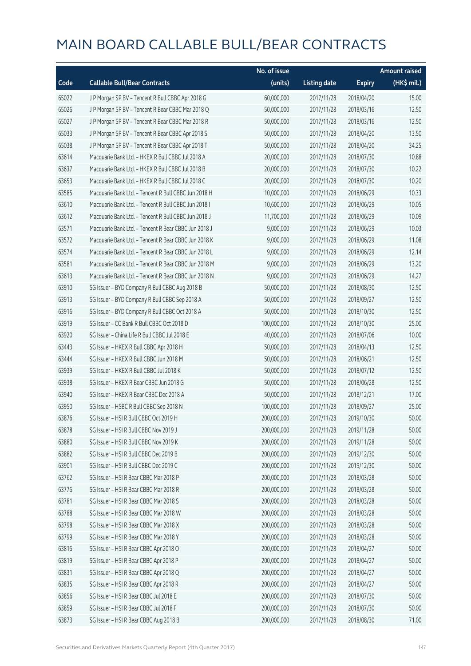|       |                                                      | No. of issue |                     |               | <b>Amount raised</b> |
|-------|------------------------------------------------------|--------------|---------------------|---------------|----------------------|
| Code  | <b>Callable Bull/Bear Contracts</b>                  | (units)      | <b>Listing date</b> | <b>Expiry</b> | (HK\$ mil.)          |
| 65022 | J P Morgan SP BV - Tencent R Bull CBBC Apr 2018 G    | 60,000,000   | 2017/11/28          | 2018/04/20    | 15.00                |
| 65026 | J P Morgan SP BV - Tencent R Bear CBBC Mar 2018 Q    | 50,000,000   | 2017/11/28          | 2018/03/16    | 12.50                |
| 65027 | J P Morgan SP BV - Tencent R Bear CBBC Mar 2018 R    | 50,000,000   | 2017/11/28          | 2018/03/16    | 12.50                |
| 65033 | J P Morgan SP BV - Tencent R Bear CBBC Apr 2018 S    | 50,000,000   | 2017/11/28          | 2018/04/20    | 13.50                |
| 65038 | J P Morgan SP BV - Tencent R Bear CBBC Apr 2018 T    | 50,000,000   | 2017/11/28          | 2018/04/20    | 34.25                |
| 63614 | Macquarie Bank Ltd. - HKEX R Bull CBBC Jul 2018 A    | 20,000,000   | 2017/11/28          | 2018/07/30    | 10.88                |
| 63637 | Macquarie Bank Ltd. - HKEX R Bull CBBC Jul 2018 B    | 20,000,000   | 2017/11/28          | 2018/07/30    | 10.22                |
| 63653 | Macquarie Bank Ltd. - HKEX R Bull CBBC Jul 2018 C    | 20,000,000   | 2017/11/28          | 2018/07/30    | 10.20                |
| 63585 | Macquarie Bank Ltd. - Tencent R Bull CBBC Jun 2018 H | 10,000,000   | 2017/11/28          | 2018/06/29    | 10.33                |
| 63610 | Macquarie Bank Ltd. - Tencent R Bull CBBC Jun 2018 I | 10,600,000   | 2017/11/28          | 2018/06/29    | 10.05                |
| 63612 | Macquarie Bank Ltd. - Tencent R Bull CBBC Jun 2018 J | 11,700,000   | 2017/11/28          | 2018/06/29    | 10.09                |
| 63571 | Macquarie Bank Ltd. - Tencent R Bear CBBC Jun 2018 J | 9,000,000    | 2017/11/28          | 2018/06/29    | 10.03                |
| 63572 | Macquarie Bank Ltd. - Tencent R Bear CBBC Jun 2018 K | 9,000,000    | 2017/11/28          | 2018/06/29    | 11.08                |
| 63574 | Macquarie Bank Ltd. - Tencent R Bear CBBC Jun 2018 L | 9,000,000    | 2017/11/28          | 2018/06/29    | 12.14                |
| 63581 | Macquarie Bank Ltd. - Tencent R Bear CBBC Jun 2018 M | 9,000,000    | 2017/11/28          | 2018/06/29    | 13.20                |
| 63613 | Macquarie Bank Ltd. - Tencent R Bear CBBC Jun 2018 N | 9,000,000    | 2017/11/28          | 2018/06/29    | 14.27                |
| 63910 | SG Issuer - BYD Company R Bull CBBC Aug 2018 B       | 50,000,000   | 2017/11/28          | 2018/08/30    | 12.50                |
| 63913 | SG Issuer - BYD Company R Bull CBBC Sep 2018 A       | 50,000,000   | 2017/11/28          | 2018/09/27    | 12.50                |
| 63916 | SG Issuer - BYD Company R Bull CBBC Oct 2018 A       | 50,000,000   | 2017/11/28          | 2018/10/30    | 12.50                |
| 63919 | SG Issuer - CC Bank R Bull CBBC Oct 2018 D           | 100,000,000  | 2017/11/28          | 2018/10/30    | 25.00                |
| 63920 | SG Issuer - China Life R Bull CBBC Jul 2018 E        | 40,000,000   | 2017/11/28          | 2018/07/06    | 10.00                |
| 63443 | SG Issuer - HKEX R Bull CBBC Apr 2018 H              | 50,000,000   | 2017/11/28          | 2018/04/13    | 12.50                |
| 63444 | SG Issuer - HKEX R Bull CBBC Jun 2018 M              | 50,000,000   | 2017/11/28          | 2018/06/21    | 12.50                |
| 63939 | SG Issuer - HKEX R Bull CBBC Jul 2018 K              | 50,000,000   | 2017/11/28          | 2018/07/12    | 12.50                |
| 63938 | SG Issuer - HKEX R Bear CBBC Jun 2018 G              | 50,000,000   | 2017/11/28          | 2018/06/28    | 12.50                |
| 63940 | SG Issuer - HKEX R Bear CBBC Dec 2018 A              | 50,000,000   | 2017/11/28          | 2018/12/21    | 17.00                |
| 63950 | SG Issuer - HSBC R Bull CBBC Sep 2018 N              | 100,000,000  | 2017/11/28          | 2018/09/27    | 25.00                |
| 63876 | SG Issuer - HSI R Bull CBBC Oct 2019 H               | 200,000,000  | 2017/11/28          | 2019/10/30    | 50.00                |
| 63878 | SG Issuer - HSI R Bull CBBC Nov 2019 J               | 200,000,000  | 2017/11/28          | 2019/11/28    | 50.00                |
| 63880 | SG Issuer - HSI R Bull CBBC Nov 2019 K               | 200,000,000  | 2017/11/28          | 2019/11/28    | 50.00                |
| 63882 | SG Issuer - HSI R Bull CBBC Dec 2019 B               | 200,000,000  | 2017/11/28          | 2019/12/30    | 50.00                |
| 63901 | SG Issuer - HSI R Bull CBBC Dec 2019 C               | 200,000,000  | 2017/11/28          | 2019/12/30    | 50.00                |
| 63762 | SG Issuer - HSI R Bear CBBC Mar 2018 P               | 200,000,000  | 2017/11/28          | 2018/03/28    | 50.00                |
| 63776 | SG Issuer - HSI R Bear CBBC Mar 2018 R               | 200,000,000  | 2017/11/28          | 2018/03/28    | 50.00                |
| 63781 | SG Issuer - HSI R Bear CBBC Mar 2018 S               | 200,000,000  | 2017/11/28          | 2018/03/28    | 50.00                |
| 63788 | SG Issuer - HSI R Bear CBBC Mar 2018 W               | 200,000,000  | 2017/11/28          | 2018/03/28    | 50.00                |
| 63798 | SG Issuer - HSI R Bear CBBC Mar 2018 X               | 200,000,000  | 2017/11/28          | 2018/03/28    | 50.00                |
| 63799 | SG Issuer - HSI R Bear CBBC Mar 2018 Y               | 200,000,000  | 2017/11/28          | 2018/03/28    | 50.00                |
| 63816 | SG Issuer - HSI R Bear CBBC Apr 2018 O               | 200,000,000  | 2017/11/28          | 2018/04/27    | 50.00                |
| 63819 | SG Issuer - HSI R Bear CBBC Apr 2018 P               | 200,000,000  | 2017/11/28          | 2018/04/27    | 50.00                |
| 63831 | SG Issuer - HSI R Bear CBBC Apr 2018 Q               | 200,000,000  | 2017/11/28          | 2018/04/27    | 50.00                |
| 63835 | SG Issuer - HSI R Bear CBBC Apr 2018 R               | 200,000,000  | 2017/11/28          | 2018/04/27    | 50.00                |
| 63856 | SG Issuer - HSI R Bear CBBC Jul 2018 E               | 200,000,000  | 2017/11/28          | 2018/07/30    | 50.00                |
| 63859 | SG Issuer - HSI R Bear CBBC Jul 2018 F               | 200,000,000  | 2017/11/28          | 2018/07/30    | 50.00                |
| 63873 | SG Issuer - HSI R Bear CBBC Aug 2018 B               | 200,000,000  | 2017/11/28          | 2018/08/30    | 71.00                |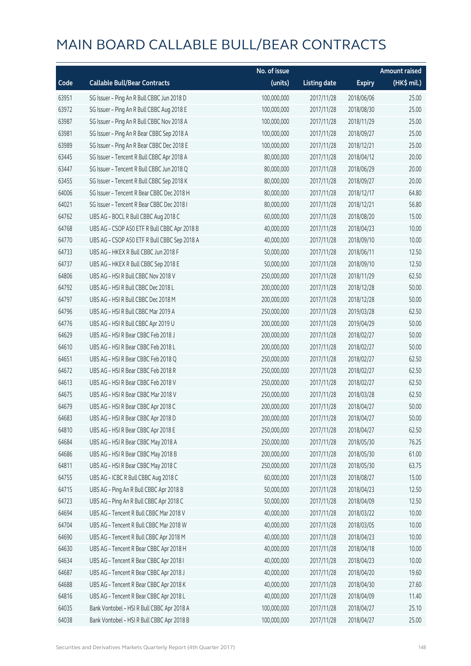|       |                                              | No. of issue |                     |               | <b>Amount raised</b> |
|-------|----------------------------------------------|--------------|---------------------|---------------|----------------------|
| Code  | <b>Callable Bull/Bear Contracts</b>          | (units)      | <b>Listing date</b> | <b>Expiry</b> | (HK\$ mil.)          |
| 63951 | SG Issuer - Ping An R Bull CBBC Jun 2018 D   | 100,000,000  | 2017/11/28          | 2018/06/06    | 25.00                |
| 63972 | SG Issuer - Ping An R Bull CBBC Aug 2018 E   | 100,000,000  | 2017/11/28          | 2018/08/30    | 25.00                |
| 63987 | SG Issuer - Ping An R Bull CBBC Nov 2018 A   | 100,000,000  | 2017/11/28          | 2018/11/29    | 25.00                |
| 63981 | SG Issuer - Ping An R Bear CBBC Sep 2018 A   | 100,000,000  | 2017/11/28          | 2018/09/27    | 25.00                |
| 63989 | SG Issuer - Ping An R Bear CBBC Dec 2018 E   | 100,000,000  | 2017/11/28          | 2018/12/21    | 25.00                |
| 63445 | SG Issuer - Tencent R Bull CBBC Apr 2018 A   | 80,000,000   | 2017/11/28          | 2018/04/12    | 20.00                |
| 63447 | SG Issuer - Tencent R Bull CBBC Jun 2018 Q   | 80,000,000   | 2017/11/28          | 2018/06/29    | 20.00                |
| 63455 | SG Issuer - Tencent R Bull CBBC Sep 2018 K   | 80,000,000   | 2017/11/28          | 2018/09/27    | 20.00                |
| 64006 | SG Issuer - Tencent R Bear CBBC Dec 2018 H   | 80,000,000   | 2017/11/28          | 2018/12/17    | 64.80                |
| 64021 | SG Issuer - Tencent R Bear CBBC Dec 2018 I   | 80,000,000   | 2017/11/28          | 2018/12/21    | 56.80                |
| 64762 | UBS AG - BOCL R Bull CBBC Aug 2018 C         | 60,000,000   | 2017/11/28          | 2018/08/20    | 15.00                |
| 64768 | UBS AG - CSOP A50 ETF R Bull CBBC Apr 2018 B | 40,000,000   | 2017/11/28          | 2018/04/23    | 10.00                |
| 64770 | UBS AG - CSOP A50 ETF R Bull CBBC Sep 2018 A | 40,000,000   | 2017/11/28          | 2018/09/10    | 10.00                |
| 64733 | UBS AG - HKEX R Bull CBBC Jun 2018 F         | 50,000,000   | 2017/11/28          | 2018/06/11    | 12.50                |
| 64737 | UBS AG - HKEX R Bull CBBC Sep 2018 E         | 50,000,000   | 2017/11/28          | 2018/09/10    | 12.50                |
| 64806 | UBS AG - HSI R Bull CBBC Nov 2018 V          | 250,000,000  | 2017/11/28          | 2018/11/29    | 62.50                |
| 64792 | UBS AG - HSI R Bull CBBC Dec 2018 L          | 200,000,000  | 2017/11/28          | 2018/12/28    | 50.00                |
| 64797 | UBS AG - HSI R Bull CBBC Dec 2018 M          | 200,000,000  | 2017/11/28          | 2018/12/28    | 50.00                |
| 64796 | UBS AG - HSI R Bull CBBC Mar 2019 A          | 250,000,000  | 2017/11/28          | 2019/03/28    | 62.50                |
| 64776 | UBS AG - HSI R Bull CBBC Apr 2019 U          | 200,000,000  | 2017/11/28          | 2019/04/29    | 50.00                |
| 64629 | UBS AG - HSI R Bear CBBC Feb 2018 J          | 200,000,000  | 2017/11/28          | 2018/02/27    | 50.00                |
| 64610 | UBS AG - HSI R Bear CBBC Feb 2018 L          | 200,000,000  | 2017/11/28          | 2018/02/27    | 50.00                |
| 64651 | UBS AG - HSI R Bear CBBC Feb 2018 Q          | 250,000,000  | 2017/11/28          | 2018/02/27    | 62.50                |
| 64672 | UBS AG - HSI R Bear CBBC Feb 2018 R          | 250,000,000  | 2017/11/28          | 2018/02/27    | 62.50                |
| 64613 | UBS AG - HSI R Bear CBBC Feb 2018 V          | 250,000,000  | 2017/11/28          | 2018/02/27    | 62.50                |
| 64675 | UBS AG - HSI R Bear CBBC Mar 2018 V          | 250,000,000  | 2017/11/28          | 2018/03/28    | 62.50                |
| 64679 | UBS AG - HSI R Bear CBBC Apr 2018 C          | 200,000,000  | 2017/11/28          | 2018/04/27    | 50.00                |
| 64683 | UBS AG - HSI R Bear CBBC Apr 2018 D          | 200,000,000  | 2017/11/28          | 2018/04/27    | 50.00                |
| 64810 | UBS AG - HSI R Bear CBBC Apr 2018 E          | 250,000,000  | 2017/11/28          | 2018/04/27    | 62.50                |
| 64684 | UBS AG - HSI R Bear CBBC May 2018 A          | 250,000,000  | 2017/11/28          | 2018/05/30    | 76.25                |
| 64686 | UBS AG - HSI R Bear CBBC May 2018 B          | 200,000,000  | 2017/11/28          | 2018/05/30    | 61.00                |
| 64811 | UBS AG - HSI R Bear CBBC May 2018 C          | 250,000,000  | 2017/11/28          | 2018/05/30    | 63.75                |
| 64755 | UBS AG - ICBC R Bull CBBC Aug 2018 C         | 60,000,000   | 2017/11/28          | 2018/08/27    | 15.00                |
| 64715 | UBS AG - Ping An R Bull CBBC Apr 2018 B      | 50,000,000   | 2017/11/28          | 2018/04/23    | 12.50                |
| 64723 | UBS AG - Ping An R Bull CBBC Apr 2018 C      | 50,000,000   | 2017/11/28          | 2018/04/09    | 12.50                |
| 64694 | UBS AG - Tencent R Bull CBBC Mar 2018 V      | 40,000,000   | 2017/11/28          | 2018/03/22    | 10.00                |
| 64704 | UBS AG - Tencent R Bull CBBC Mar 2018 W      | 40,000,000   | 2017/11/28          | 2018/03/05    | 10.00                |
| 64690 | UBS AG - Tencent R Bull CBBC Apr 2018 M      | 40,000,000   | 2017/11/28          | 2018/04/23    | 10.00                |
| 64630 | UBS AG - Tencent R Bear CBBC Apr 2018 H      | 40,000,000   | 2017/11/28          | 2018/04/18    | 10.00                |
| 64634 | UBS AG - Tencent R Bear CBBC Apr 2018 I      | 40,000,000   | 2017/11/28          | 2018/04/23    | 10.00                |
| 64687 | UBS AG - Tencent R Bear CBBC Apr 2018 J      | 40,000,000   | 2017/11/28          | 2018/04/20    | 19.60                |
| 64688 | UBS AG - Tencent R Bear CBBC Apr 2018 K      | 40,000,000   | 2017/11/28          | 2018/04/30    | 27.60                |
| 64816 | UBS AG - Tencent R Bear CBBC Apr 2018 L      | 40,000,000   | 2017/11/28          | 2018/04/09    | 11.40                |
| 64035 | Bank Vontobel - HSI R Bull CBBC Apr 2018 A   | 100,000,000  | 2017/11/28          | 2018/04/27    | 25.10                |
| 64038 | Bank Vontobel - HSI R Bull CBBC Apr 2018 B   | 100,000,000  | 2017/11/28          | 2018/04/27    | 25.00                |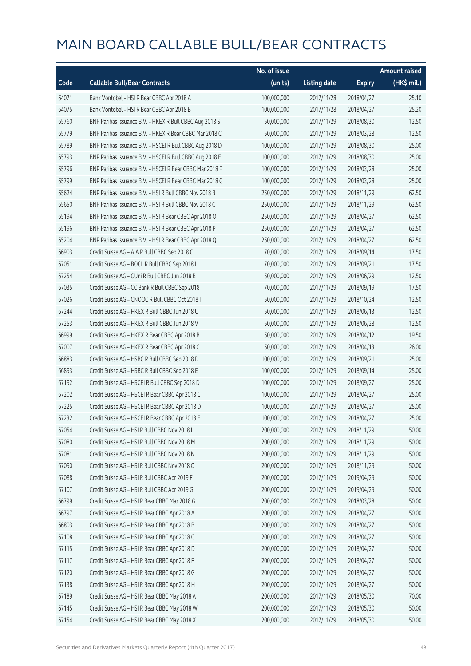|       |                                                          | No. of issue |                     |               | <b>Amount raised</b> |
|-------|----------------------------------------------------------|--------------|---------------------|---------------|----------------------|
| Code  | <b>Callable Bull/Bear Contracts</b>                      | (units)      | <b>Listing date</b> | <b>Expiry</b> | (HK\$ mil.)          |
| 64071 | Bank Vontobel - HSI R Bear CBBC Apr 2018 A               | 100,000,000  | 2017/11/28          | 2018/04/27    | 25.10                |
| 64075 | Bank Vontobel - HSI R Bear CBBC Apr 2018 B               | 100,000,000  | 2017/11/28          | 2018/04/27    | 25.20                |
| 65760 | BNP Paribas Issuance B.V. - HKEX R Bull CBBC Aug 2018 S  | 50,000,000   | 2017/11/29          | 2018/08/30    | 12.50                |
| 65779 | BNP Paribas Issuance B.V. - HKEX R Bear CBBC Mar 2018 C  | 50,000,000   | 2017/11/29          | 2018/03/28    | 12.50                |
| 65789 | BNP Paribas Issuance B.V. - HSCEI R Bull CBBC Aug 2018 D | 100,000,000  | 2017/11/29          | 2018/08/30    | 25.00                |
| 65793 | BNP Paribas Issuance B.V. - HSCEI R Bull CBBC Aug 2018 E | 100,000,000  | 2017/11/29          | 2018/08/30    | 25.00                |
| 65796 | BNP Paribas Issuance B.V. - HSCEI R Bear CBBC Mar 2018 F | 100,000,000  | 2017/11/29          | 2018/03/28    | 25.00                |
| 65799 | BNP Paribas Issuance B.V. - HSCEI R Bear CBBC Mar 2018 G | 100,000,000  | 2017/11/29          | 2018/03/28    | 25.00                |
| 65624 | BNP Paribas Issuance B.V. - HSI R Bull CBBC Nov 2018 B   | 250,000,000  | 2017/11/29          | 2018/11/29    | 62.50                |
| 65650 | BNP Paribas Issuance B.V. - HSI R Bull CBBC Nov 2018 C   | 250,000,000  | 2017/11/29          | 2018/11/29    | 62.50                |
| 65194 | BNP Paribas Issuance B.V. - HSI R Bear CBBC Apr 2018 O   | 250,000,000  | 2017/11/29          | 2018/04/27    | 62.50                |
| 65196 | BNP Paribas Issuance B.V. - HSI R Bear CBBC Apr 2018 P   | 250,000,000  | 2017/11/29          | 2018/04/27    | 62.50                |
| 65204 | BNP Paribas Issuance B.V. - HSI R Bear CBBC Apr 2018 Q   | 250,000,000  | 2017/11/29          | 2018/04/27    | 62.50                |
| 66903 | Credit Suisse AG - AIA R Bull CBBC Sep 2018 C            | 70,000,000   | 2017/11/29          | 2018/09/14    | 17.50                |
| 67051 | Credit Suisse AG - BOCL R Bull CBBC Sep 2018 I           | 70,000,000   | 2017/11/29          | 2018/09/21    | 17.50                |
| 67254 | Credit Suisse AG - CUni R Bull CBBC Jun 2018 B           | 50,000,000   | 2017/11/29          | 2018/06/29    | 12.50                |
| 67035 | Credit Suisse AG - CC Bank R Bull CBBC Sep 2018 T        | 70,000,000   | 2017/11/29          | 2018/09/19    | 17.50                |
| 67026 | Credit Suisse AG - CNOOC R Bull CBBC Oct 2018 I          | 50,000,000   | 2017/11/29          | 2018/10/24    | 12.50                |
| 67244 | Credit Suisse AG - HKEX R Bull CBBC Jun 2018 U           | 50,000,000   | 2017/11/29          | 2018/06/13    | 12.50                |
| 67253 | Credit Suisse AG - HKEX R Bull CBBC Jun 2018 V           | 50,000,000   | 2017/11/29          | 2018/06/28    | 12.50                |
| 66999 | Credit Suisse AG - HKEX R Bear CBBC Apr 2018 B           | 50,000,000   | 2017/11/29          | 2018/04/12    | 19.50                |
| 67007 | Credit Suisse AG - HKEX R Bear CBBC Apr 2018 C           | 50,000,000   | 2017/11/29          | 2018/04/13    | 26.00                |
| 66883 | Credit Suisse AG - HSBC R Bull CBBC Sep 2018 D           | 100,000,000  | 2017/11/29          | 2018/09/21    | 25.00                |
| 66893 | Credit Suisse AG - HSBC R Bull CBBC Sep 2018 E           | 100,000,000  | 2017/11/29          | 2018/09/14    | 25.00                |
| 67192 | Credit Suisse AG - HSCEI R Bull CBBC Sep 2018 D          | 100,000,000  | 2017/11/29          | 2018/09/27    | 25.00                |
| 67202 | Credit Suisse AG - HSCEI R Bear CBBC Apr 2018 C          | 100,000,000  | 2017/11/29          | 2018/04/27    | 25.00                |
| 67225 | Credit Suisse AG - HSCEI R Bear CBBC Apr 2018 D          | 100,000,000  | 2017/11/29          | 2018/04/27    | 25.00                |
| 67232 | Credit Suisse AG - HSCEI R Bear CBBC Apr 2018 E          | 100,000,000  | 2017/11/29          | 2018/04/27    | 25.00                |
| 67054 | Credit Suisse AG - HSI R Bull CBBC Nov 2018 L            | 200,000,000  | 2017/11/29          | 2018/11/29    | 50.00                |
| 67080 | Credit Suisse AG - HSI R Bull CBBC Nov 2018 M            | 200,000,000  | 2017/11/29          | 2018/11/29    | 50.00                |
| 67081 | Credit Suisse AG - HSI R Bull CBBC Nov 2018 N            | 200,000,000  | 2017/11/29          | 2018/11/29    | 50.00                |
| 67090 | Credit Suisse AG - HSI R Bull CBBC Nov 2018 O            | 200,000,000  | 2017/11/29          | 2018/11/29    | 50.00                |
| 67088 | Credit Suisse AG - HSI R Bull CBBC Apr 2019 F            | 200,000,000  | 2017/11/29          | 2019/04/29    | 50.00                |
| 67107 | Credit Suisse AG - HSI R Bull CBBC Apr 2019 G            | 200,000,000  | 2017/11/29          | 2019/04/29    | 50.00                |
| 66799 | Credit Suisse AG - HSI R Bear CBBC Mar 2018 G            | 200,000,000  | 2017/11/29          | 2018/03/28    | 50.00                |
| 66797 | Credit Suisse AG - HSI R Bear CBBC Apr 2018 A            | 200,000,000  | 2017/11/29          | 2018/04/27    | 50.00                |
| 66803 | Credit Suisse AG - HSI R Bear CBBC Apr 2018 B            | 200,000,000  | 2017/11/29          | 2018/04/27    | 50.00                |
| 67108 | Credit Suisse AG - HSI R Bear CBBC Apr 2018 C            | 200,000,000  | 2017/11/29          | 2018/04/27    | 50.00                |
| 67115 | Credit Suisse AG - HSI R Bear CBBC Apr 2018 D            | 200,000,000  | 2017/11/29          | 2018/04/27    | 50.00                |
| 67117 | Credit Suisse AG - HSI R Bear CBBC Apr 2018 F            | 200,000,000  | 2017/11/29          | 2018/04/27    | 50.00                |
| 67120 | Credit Suisse AG - HSI R Bear CBBC Apr 2018 G            | 200,000,000  | 2017/11/29          | 2018/04/27    | 50.00                |
| 67138 | Credit Suisse AG - HSI R Bear CBBC Apr 2018 H            | 200,000,000  | 2017/11/29          | 2018/04/27    | 50.00                |
| 67189 | Credit Suisse AG - HSI R Bear CBBC May 2018 A            | 200,000,000  | 2017/11/29          | 2018/05/30    | 70.00                |
| 67145 | Credit Suisse AG - HSI R Bear CBBC May 2018 W            | 200,000,000  | 2017/11/29          | 2018/05/30    | 50.00                |
| 67154 | Credit Suisse AG - HSI R Bear CBBC May 2018 X            | 200,000,000  | 2017/11/29          | 2018/05/30    | 50.00                |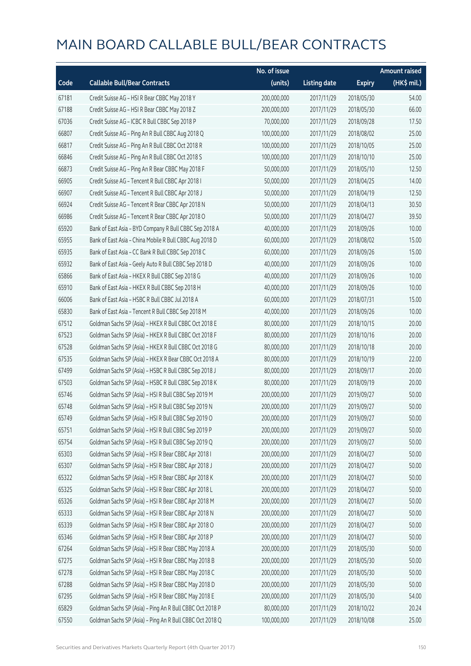|       |                                                          | No. of issue |                     |               | <b>Amount raised</b> |
|-------|----------------------------------------------------------|--------------|---------------------|---------------|----------------------|
| Code  | <b>Callable Bull/Bear Contracts</b>                      | (units)      | <b>Listing date</b> | <b>Expiry</b> | (HK\$ mil.)          |
| 67181 | Credit Suisse AG - HSI R Bear CBBC May 2018 Y            | 200,000,000  | 2017/11/29          | 2018/05/30    | 54.00                |
| 67188 | Credit Suisse AG - HSI R Bear CBBC May 2018 Z            | 200,000,000  | 2017/11/29          | 2018/05/30    | 66.00                |
| 67036 | Credit Suisse AG - ICBC R Bull CBBC Sep 2018 P           | 70,000,000   | 2017/11/29          | 2018/09/28    | 17.50                |
| 66807 | Credit Suisse AG - Ping An R Bull CBBC Aug 2018 Q        | 100,000,000  | 2017/11/29          | 2018/08/02    | 25.00                |
| 66817 | Credit Suisse AG - Ping An R Bull CBBC Oct 2018 R        | 100,000,000  | 2017/11/29          | 2018/10/05    | 25.00                |
| 66846 | Credit Suisse AG - Ping An R Bull CBBC Oct 2018 S        | 100,000,000  | 2017/11/29          | 2018/10/10    | 25.00                |
| 66873 | Credit Suisse AG - Ping An R Bear CBBC May 2018 F        | 50,000,000   | 2017/11/29          | 2018/05/10    | 12.50                |
| 66905 | Credit Suisse AG - Tencent R Bull CBBC Apr 2018 I        | 50,000,000   | 2017/11/29          | 2018/04/25    | 14.00                |
| 66907 | Credit Suisse AG - Tencent R Bull CBBC Apr 2018 J        | 50,000,000   | 2017/11/29          | 2018/04/19    | 12.50                |
| 66924 | Credit Suisse AG - Tencent R Bear CBBC Apr 2018 N        | 50,000,000   | 2017/11/29          | 2018/04/13    | 30.50                |
| 66986 | Credit Suisse AG - Tencent R Bear CBBC Apr 2018 O        | 50,000,000   | 2017/11/29          | 2018/04/27    | 39.50                |
| 65920 | Bank of East Asia - BYD Company R Bull CBBC Sep 2018 A   | 40,000,000   | 2017/11/29          | 2018/09/26    | 10.00                |
| 65955 | Bank of East Asia - China Mobile R Bull CBBC Aug 2018 D  | 60,000,000   | 2017/11/29          | 2018/08/02    | 15.00                |
| 65935 | Bank of East Asia - CC Bank R Bull CBBC Sep 2018 C       | 60,000,000   | 2017/11/29          | 2018/09/26    | 15.00                |
| 65932 | Bank of East Asia - Geely Auto R Bull CBBC Sep 2018 D    | 40,000,000   | 2017/11/29          | 2018/09/26    | 10.00                |
| 65866 | Bank of East Asia - HKEX R Bull CBBC Sep 2018 G          | 40,000,000   | 2017/11/29          | 2018/09/26    | 10.00                |
| 65910 | Bank of East Asia - HKEX R Bull CBBC Sep 2018 H          | 40,000,000   | 2017/11/29          | 2018/09/26    | 10.00                |
| 66006 | Bank of East Asia - HSBC R Bull CBBC Jul 2018 A          | 60,000,000   | 2017/11/29          | 2018/07/31    | 15.00                |
| 65830 | Bank of East Asia - Tencent R Bull CBBC Sep 2018 M       | 40,000,000   | 2017/11/29          | 2018/09/26    | 10.00                |
| 67512 | Goldman Sachs SP (Asia) - HKEX R Bull CBBC Oct 2018 E    | 80,000,000   | 2017/11/29          | 2018/10/15    | 20.00                |
| 67523 | Goldman Sachs SP (Asia) - HKEX R Bull CBBC Oct 2018 F    | 80,000,000   | 2017/11/29          | 2018/10/16    | 20.00                |
| 67528 | Goldman Sachs SP (Asia) - HKEX R Bull CBBC Oct 2018 G    | 80,000,000   | 2017/11/29          | 2018/10/18    | 20.00                |
| 67535 | Goldman Sachs SP (Asia) - HKEX R Bear CBBC Oct 2018 A    | 80,000,000   | 2017/11/29          | 2018/10/19    | 22.00                |
| 67499 | Goldman Sachs SP (Asia) - HSBC R Bull CBBC Sep 2018 J    | 80,000,000   | 2017/11/29          | 2018/09/17    | 20.00                |
| 67503 | Goldman Sachs SP (Asia) - HSBC R Bull CBBC Sep 2018 K    | 80,000,000   | 2017/11/29          | 2018/09/19    | 20.00                |
| 65746 | Goldman Sachs SP (Asia) - HSI R Bull CBBC Sep 2019 M     | 200,000,000  | 2017/11/29          | 2019/09/27    | 50.00                |
| 65748 | Goldman Sachs SP (Asia) - HSI R Bull CBBC Sep 2019 N     | 200,000,000  | 2017/11/29          | 2019/09/27    | 50.00                |
| 65749 | Goldman Sachs SP (Asia) - HSI R Bull CBBC Sep 2019 O     | 200,000,000  | 2017/11/29          | 2019/09/27    | 50.00                |
| 65751 | Goldman Sachs SP (Asia) - HSI R Bull CBBC Sep 2019 P     | 200,000,000  | 2017/11/29          | 2019/09/27    | 50.00                |
| 65754 | Goldman Sachs SP (Asia) - HSI R Bull CBBC Sep 2019 Q     | 200,000,000  | 2017/11/29          | 2019/09/27    | 50.00                |
| 65303 | Goldman Sachs SP (Asia) - HSI R Bear CBBC Apr 2018 I     | 200,000,000  | 2017/11/29          | 2018/04/27    | 50.00                |
| 65307 | Goldman Sachs SP (Asia) - HSI R Bear CBBC Apr 2018 J     | 200,000,000  | 2017/11/29          | 2018/04/27    | 50.00                |
| 65322 | Goldman Sachs SP (Asia) - HSI R Bear CBBC Apr 2018 K     | 200,000,000  | 2017/11/29          | 2018/04/27    | 50.00                |
| 65325 | Goldman Sachs SP (Asia) - HSI R Bear CBBC Apr 2018 L     | 200,000,000  | 2017/11/29          | 2018/04/27    | 50.00                |
| 65326 | Goldman Sachs SP (Asia) - HSI R Bear CBBC Apr 2018 M     | 200,000,000  | 2017/11/29          | 2018/04/27    | 50.00                |
| 65333 | Goldman Sachs SP (Asia) - HSI R Bear CBBC Apr 2018 N     | 200,000,000  | 2017/11/29          | 2018/04/27    | 50.00                |
| 65339 | Goldman Sachs SP (Asia) - HSI R Bear CBBC Apr 2018 O     | 200,000,000  | 2017/11/29          | 2018/04/27    | 50.00                |
| 65346 | Goldman Sachs SP (Asia) - HSI R Bear CBBC Apr 2018 P     | 200,000,000  | 2017/11/29          | 2018/04/27    | 50.00                |
| 67264 | Goldman Sachs SP (Asia) - HSI R Bear CBBC May 2018 A     | 200,000,000  | 2017/11/29          | 2018/05/30    | 50.00                |
| 67275 | Goldman Sachs SP (Asia) - HSI R Bear CBBC May 2018 B     | 200,000,000  | 2017/11/29          | 2018/05/30    | 50.00                |
| 67278 | Goldman Sachs SP (Asia) - HSI R Bear CBBC May 2018 C     | 200,000,000  | 2017/11/29          | 2018/05/30    | 50.00                |
| 67288 | Goldman Sachs SP (Asia) - HSI R Bear CBBC May 2018 D     | 200,000,000  | 2017/11/29          | 2018/05/30    | 50.00                |
| 67295 | Goldman Sachs SP (Asia) - HSI R Bear CBBC May 2018 E     | 200,000,000  | 2017/11/29          | 2018/05/30    | 54.00                |
| 65829 | Goldman Sachs SP (Asia) - Ping An R Bull CBBC Oct 2018 P | 80,000,000   | 2017/11/29          | 2018/10/22    | 20.24                |
| 67550 | Goldman Sachs SP (Asia) - Ping An R Bull CBBC Oct 2018 Q | 100,000,000  | 2017/11/29          | 2018/10/08    | 25.00                |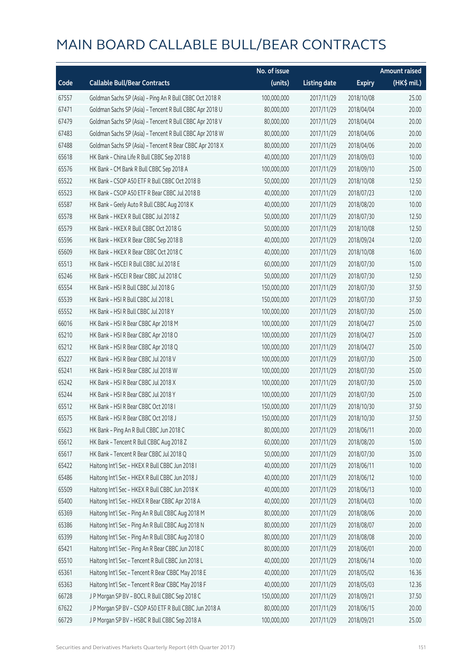|       |                                                          | No. of issue |                     |               | <b>Amount raised</b>  |
|-------|----------------------------------------------------------|--------------|---------------------|---------------|-----------------------|
| Code  | <b>Callable Bull/Bear Contracts</b>                      | (units)      | <b>Listing date</b> | <b>Expiry</b> | $(HK\frac{1}{2}mil.)$ |
| 67557 | Goldman Sachs SP (Asia) - Ping An R Bull CBBC Oct 2018 R | 100,000,000  | 2017/11/29          | 2018/10/08    | 25.00                 |
| 67471 | Goldman Sachs SP (Asia) - Tencent R Bull CBBC Apr 2018 U | 80,000,000   | 2017/11/29          | 2018/04/04    | 20.00                 |
| 67479 | Goldman Sachs SP (Asia) - Tencent R Bull CBBC Apr 2018 V | 80,000,000   | 2017/11/29          | 2018/04/04    | 20.00                 |
| 67483 | Goldman Sachs SP (Asia) - Tencent R Bull CBBC Apr 2018 W | 80,000,000   | 2017/11/29          | 2018/04/06    | 20.00                 |
| 67488 | Goldman Sachs SP (Asia) - Tencent R Bear CBBC Apr 2018 X | 80,000,000   | 2017/11/29          | 2018/04/06    | 20.00                 |
| 65618 | HK Bank - China Life R Bull CBBC Sep 2018 B              | 40,000,000   | 2017/11/29          | 2018/09/03    | 10.00                 |
| 65576 | HK Bank - CM Bank R Bull CBBC Sep 2018 A                 | 100,000,000  | 2017/11/29          | 2018/09/10    | 25.00                 |
| 65522 | HK Bank - CSOP A50 ETF R Bull CBBC Oct 2018 B            | 50,000,000   | 2017/11/29          | 2018/10/08    | 12.50                 |
| 65523 | HK Bank - CSOP A50 ETF R Bear CBBC Jul 2018 B            | 40,000,000   | 2017/11/29          | 2018/07/23    | 12.00                 |
| 65587 | HK Bank - Geely Auto R Bull CBBC Aug 2018 K              | 40,000,000   | 2017/11/29          | 2018/08/20    | 10.00                 |
| 65578 | HK Bank - HKEX R Bull CBBC Jul 2018 Z                    | 50,000,000   | 2017/11/29          | 2018/07/30    | 12.50                 |
| 65579 | HK Bank - HKEX R Bull CBBC Oct 2018 G                    | 50,000,000   | 2017/11/29          | 2018/10/08    | 12.50                 |
| 65596 | HK Bank - HKEX R Bear CBBC Sep 2018 B                    | 40,000,000   | 2017/11/29          | 2018/09/24    | 12.00                 |
| 65609 | HK Bank - HKEX R Bear CBBC Oct 2018 C                    | 40,000,000   | 2017/11/29          | 2018/10/08    | 16.00                 |
| 65513 | HK Bank - HSCEI R Bull CBBC Jul 2018 E                   | 60,000,000   | 2017/11/29          | 2018/07/30    | 15.00                 |
| 65246 | HK Bank - HSCEI R Bear CBBC Jul 2018 C                   | 50,000,000   | 2017/11/29          | 2018/07/30    | 12.50                 |
| 65554 | HK Bank - HSI R Bull CBBC Jul 2018 G                     | 150,000,000  | 2017/11/29          | 2018/07/30    | 37.50                 |
| 65539 | HK Bank - HSI R Bull CBBC Jul 2018 L                     | 150,000,000  | 2017/11/29          | 2018/07/30    | 37.50                 |
| 65552 | HK Bank - HSI R Bull CBBC Jul 2018 Y                     | 100,000,000  | 2017/11/29          | 2018/07/30    | 25.00                 |
| 66016 | HK Bank - HSI R Bear CBBC Apr 2018 M                     | 100,000,000  | 2017/11/29          | 2018/04/27    | 25.00                 |
| 65210 | HK Bank - HSI R Bear CBBC Apr 2018 O                     | 100,000,000  | 2017/11/29          | 2018/04/27    | 25.00                 |
| 65212 | HK Bank - HSI R Bear CBBC Apr 2018 Q                     | 100,000,000  | 2017/11/29          | 2018/04/27    | 25.00                 |
| 65227 | HK Bank - HSI R Bear CBBC Jul 2018 V                     | 100,000,000  | 2017/11/29          | 2018/07/30    | 25.00                 |
| 65241 | HK Bank - HSI R Bear CBBC Jul 2018 W                     | 100,000,000  | 2017/11/29          | 2018/07/30    | 25.00                 |
| 65242 | HK Bank - HSI R Bear CBBC Jul 2018 X                     | 100,000,000  | 2017/11/29          | 2018/07/30    | 25.00                 |
| 65244 | HK Bank - HSI R Bear CBBC Jul 2018 Y                     | 100,000,000  | 2017/11/29          | 2018/07/30    | 25.00                 |
| 65512 | HK Bank - HSI R Bear CBBC Oct 2018 I                     | 150,000,000  | 2017/11/29          | 2018/10/30    | 37.50                 |
| 65575 | HK Bank - HSI R Bear CBBC Oct 2018 J                     | 150,000,000  | 2017/11/29          | 2018/10/30    | 37.50                 |
| 65623 | HK Bank - Ping An R Bull CBBC Jun 2018 C                 | 80,000,000   | 2017/11/29          | 2018/06/11    | 20.00                 |
| 65612 | HK Bank - Tencent R Bull CBBC Aug 2018 Z                 | 60,000,000   | 2017/11/29          | 2018/08/20    | 15.00                 |
| 65617 | HK Bank - Tencent R Bear CBBC Jul 2018 Q                 | 50,000,000   | 2017/11/29          | 2018/07/30    | 35.00                 |
| 65422 | Haitong Int'l Sec - HKEX R Bull CBBC Jun 2018 I          | 40,000,000   | 2017/11/29          | 2018/06/11    | 10.00                 |
| 65486 | Haitong Int'l Sec - HKEX R Bull CBBC Jun 2018 J          | 40,000,000   | 2017/11/29          | 2018/06/12    | 10.00                 |
| 65509 | Haitong Int'l Sec - HKEX R Bull CBBC Jun 2018 K          | 40,000,000   | 2017/11/29          | 2018/06/13    | 10.00                 |
| 65400 | Haitong Int'l Sec - HKEX R Bear CBBC Apr 2018 A          | 40,000,000   | 2017/11/29          | 2018/04/03    | 10.00                 |
| 65369 | Haitong Int'l Sec - Ping An R Bull CBBC Aug 2018 M       | 80,000,000   | 2017/11/29          | 2018/08/06    | 20.00                 |
| 65386 | Haitong Int'l Sec - Ping An R Bull CBBC Aug 2018 N       | 80,000,000   | 2017/11/29          | 2018/08/07    | 20.00                 |
| 65399 | Haitong Int'l Sec - Ping An R Bull CBBC Aug 2018 O       | 80,000,000   | 2017/11/29          | 2018/08/08    | 20.00                 |
| 65421 | Haitong Int'l Sec - Ping An R Bear CBBC Jun 2018 C       | 80,000,000   | 2017/11/29          | 2018/06/01    | 20.00                 |
| 65510 | Haitong Int'l Sec - Tencent R Bull CBBC Jun 2018 L       | 40,000,000   | 2017/11/29          | 2018/06/14    | 10.00                 |
| 65361 | Haitong Int'l Sec - Tencent R Bear CBBC May 2018 E       | 40,000,000   | 2017/11/29          | 2018/05/02    | 16.36                 |
| 65363 | Haitong Int'l Sec - Tencent R Bear CBBC May 2018 F       | 40,000,000   | 2017/11/29          | 2018/05/03    | 12.36                 |
| 66728 | J P Morgan SP BV - BOCL R Bull CBBC Sep 2018 C           | 150,000,000  | 2017/11/29          | 2018/09/21    | 37.50                 |
| 67622 | J P Morgan SP BV - CSOP A50 ETF R Bull CBBC Jun 2018 A   | 80,000,000   | 2017/11/29          | 2018/06/15    | 20.00                 |
| 66729 | J P Morgan SP BV - HSBC R Bull CBBC Sep 2018 A           | 100,000,000  | 2017/11/29          | 2018/09/21    | 25.00                 |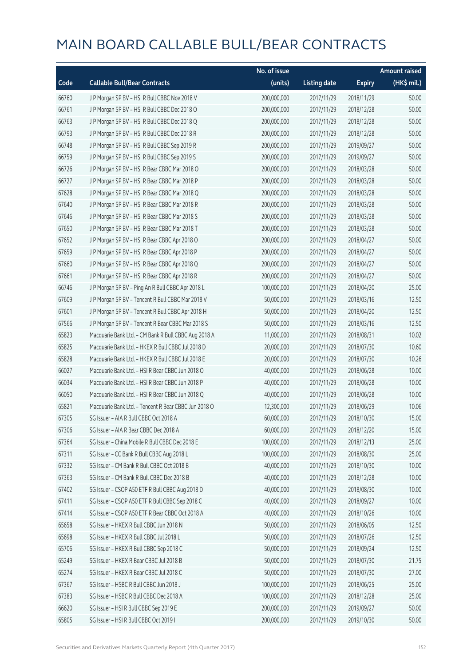|       |                                                      | No. of issue |                     |               | <b>Amount raised</b> |
|-------|------------------------------------------------------|--------------|---------------------|---------------|----------------------|
| Code  | <b>Callable Bull/Bear Contracts</b>                  | (units)      | <b>Listing date</b> | <b>Expiry</b> | (HK\$ mil.)          |
| 66760 | J P Morgan SP BV - HSI R Bull CBBC Nov 2018 V        | 200,000,000  | 2017/11/29          | 2018/11/29    | 50.00                |
| 66761 | J P Morgan SP BV - HSI R Bull CBBC Dec 2018 O        | 200,000,000  | 2017/11/29          | 2018/12/28    | 50.00                |
| 66763 | J P Morgan SP BV - HSI R Bull CBBC Dec 2018 Q        | 200,000,000  | 2017/11/29          | 2018/12/28    | 50.00                |
| 66793 | J P Morgan SP BV - HSI R Bull CBBC Dec 2018 R        | 200,000,000  | 2017/11/29          | 2018/12/28    | 50.00                |
| 66748 | J P Morgan SP BV - HSI R Bull CBBC Sep 2019 R        | 200,000,000  | 2017/11/29          | 2019/09/27    | 50.00                |
| 66759 | JP Morgan SP BV - HSIR Bull CBBC Sep 2019 S          | 200,000,000  | 2017/11/29          | 2019/09/27    | 50.00                |
| 66726 | J P Morgan SP BV - HSI R Bear CBBC Mar 2018 O        | 200,000,000  | 2017/11/29          | 2018/03/28    | 50.00                |
| 66727 | J P Morgan SP BV - HSI R Bear CBBC Mar 2018 P        | 200,000,000  | 2017/11/29          | 2018/03/28    | 50.00                |
| 67628 | J P Morgan SP BV - HSI R Bear CBBC Mar 2018 Q        | 200,000,000  | 2017/11/29          | 2018/03/28    | 50.00                |
| 67640 | J P Morgan SP BV - HSI R Bear CBBC Mar 2018 R        | 200,000,000  | 2017/11/29          | 2018/03/28    | 50.00                |
| 67646 | J P Morgan SP BV - HSI R Bear CBBC Mar 2018 S        | 200,000,000  | 2017/11/29          | 2018/03/28    | 50.00                |
| 67650 | J P Morgan SP BV - HSI R Bear CBBC Mar 2018 T        | 200,000,000  | 2017/11/29          | 2018/03/28    | 50.00                |
| 67652 | J P Morgan SP BV - HSI R Bear CBBC Apr 2018 O        | 200,000,000  | 2017/11/29          | 2018/04/27    | 50.00                |
| 67659 | J P Morgan SP BV - HSI R Bear CBBC Apr 2018 P        | 200,000,000  | 2017/11/29          | 2018/04/27    | 50.00                |
| 67660 | J P Morgan SP BV - HSI R Bear CBBC Apr 2018 Q        | 200,000,000  | 2017/11/29          | 2018/04/27    | 50.00                |
| 67661 | J P Morgan SP BV - HSI R Bear CBBC Apr 2018 R        | 200,000,000  | 2017/11/29          | 2018/04/27    | 50.00                |
| 66746 | J P Morgan SP BV - Ping An R Bull CBBC Apr 2018 L    | 100,000,000  | 2017/11/29          | 2018/04/20    | 25.00                |
| 67609 | J P Morgan SP BV - Tencent R Bull CBBC Mar 2018 V    | 50,000,000   | 2017/11/29          | 2018/03/16    | 12.50                |
| 67601 | J P Morgan SP BV - Tencent R Bull CBBC Apr 2018 H    | 50,000,000   | 2017/11/29          | 2018/04/20    | 12.50                |
| 67566 | J P Morgan SP BV - Tencent R Bear CBBC Mar 2018 S    | 50,000,000   | 2017/11/29          | 2018/03/16    | 12.50                |
| 65823 | Macquarie Bank Ltd. - CM Bank R Bull CBBC Aug 2018 A | 11,000,000   | 2017/11/29          | 2018/08/31    | 10.02                |
| 65825 | Macquarie Bank Ltd. - HKEX R Bull CBBC Jul 2018 D    | 20,000,000   | 2017/11/29          | 2018/07/30    | 10.60                |
| 65828 | Macquarie Bank Ltd. - HKEX R Bull CBBC Jul 2018 E    | 20,000,000   | 2017/11/29          | 2018/07/30    | 10.26                |
| 66027 | Macquarie Bank Ltd. - HSI R Bear CBBC Jun 2018 O     | 40,000,000   | 2017/11/29          | 2018/06/28    | 10.00                |
| 66034 | Macquarie Bank Ltd. - HSI R Bear CBBC Jun 2018 P     | 40,000,000   | 2017/11/29          | 2018/06/28    | 10.00                |
| 66050 | Macquarie Bank Ltd. - HSI R Bear CBBC Jun 2018 Q     | 40,000,000   | 2017/11/29          | 2018/06/28    | 10.00                |
| 65821 | Macquarie Bank Ltd. - Tencent R Bear CBBC Jun 2018 O | 12,300,000   | 2017/11/29          | 2018/06/29    | 10.06                |
| 67305 | SG Issuer - AIA R Bull CBBC Oct 2018 A               | 60,000,000   | 2017/11/29          | 2018/10/30    | 15.00                |
| 67306 | SG Issuer - AIA R Bear CBBC Dec 2018 A               | 60,000,000   | 2017/11/29          | 2018/12/20    | 15.00                |
| 67364 | SG Issuer - China Mobile R Bull CBBC Dec 2018 E      | 100,000,000  | 2017/11/29          | 2018/12/13    | 25.00                |
| 67311 | SG Issuer - CC Bank R Bull CBBC Aug 2018 L           | 100,000,000  | 2017/11/29          | 2018/08/30    | 25.00                |
| 67332 | SG Issuer - CM Bank R Bull CBBC Oct 2018 B           | 40,000,000   | 2017/11/29          | 2018/10/30    | 10.00                |
| 67363 | SG Issuer - CM Bank R Bull CBBC Dec 2018 B           | 40,000,000   | 2017/11/29          | 2018/12/28    | 10.00                |
| 67402 | SG Issuer - CSOP A50 ETF R Bull CBBC Aug 2018 D      | 40,000,000   | 2017/11/29          | 2018/08/30    | 10.00                |
| 67411 | SG Issuer - CSOP A50 ETF R Bull CBBC Sep 2018 C      | 40,000,000   | 2017/11/29          | 2018/09/27    | 10.00                |
| 67414 | SG Issuer - CSOP A50 ETF R Bear CBBC Oct 2018 A      | 40,000,000   | 2017/11/29          | 2018/10/26    | 10.00                |
| 65658 | SG Issuer - HKEX R Bull CBBC Jun 2018 N              | 50,000,000   | 2017/11/29          | 2018/06/05    | 12.50                |
| 65698 | SG Issuer - HKEX R Bull CBBC Jul 2018 L              | 50,000,000   | 2017/11/29          | 2018/07/26    | 12.50                |
| 65706 | SG Issuer - HKEX R Bull CBBC Sep 2018 C              | 50,000,000   | 2017/11/29          | 2018/09/24    | 12.50                |
| 65249 | SG Issuer - HKEX R Bear CBBC Jul 2018 B              | 50,000,000   | 2017/11/29          | 2018/07/30    | 21.75                |
| 65274 | SG Issuer - HKEX R Bear CBBC Jul 2018 C              | 50,000,000   | 2017/11/29          | 2018/07/30    | 27.00                |
| 67367 | SG Issuer - HSBC R Bull CBBC Jun 2018 J              | 100,000,000  | 2017/11/29          | 2018/06/25    | 25.00                |
| 67383 | SG Issuer - HSBC R Bull CBBC Dec 2018 A              | 100,000,000  | 2017/11/29          | 2018/12/28    | 25.00                |
| 66620 | SG Issuer - HSI R Bull CBBC Sep 2019 E               | 200,000,000  | 2017/11/29          | 2019/09/27    | 50.00                |
| 65805 | SG Issuer - HSI R Bull CBBC Oct 2019 I               | 200,000,000  | 2017/11/29          | 2019/10/30    | 50.00                |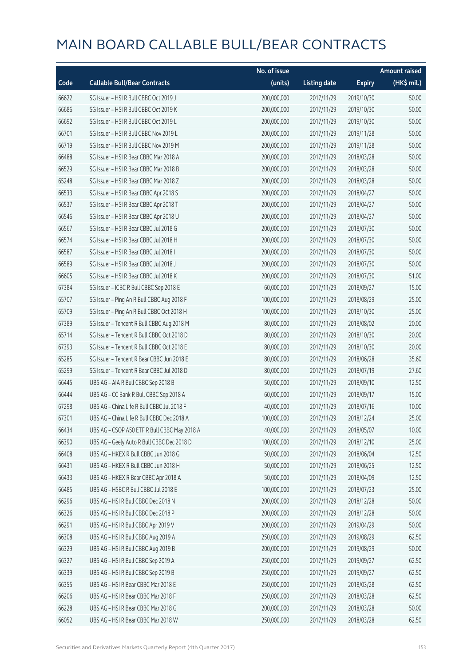|       |                                              | No. of issue |                     |               | <b>Amount raised</b> |
|-------|----------------------------------------------|--------------|---------------------|---------------|----------------------|
| Code  | <b>Callable Bull/Bear Contracts</b>          | (units)      | <b>Listing date</b> | <b>Expiry</b> | (HK\$ mil.)          |
| 66622 | SG Issuer - HSI R Bull CBBC Oct 2019 J       | 200,000,000  | 2017/11/29          | 2019/10/30    | 50.00                |
| 66686 | SG Issuer - HSI R Bull CBBC Oct 2019 K       | 200,000,000  | 2017/11/29          | 2019/10/30    | 50.00                |
| 66692 | SG Issuer - HSI R Bull CBBC Oct 2019 L       | 200,000,000  | 2017/11/29          | 2019/10/30    | 50.00                |
| 66701 | SG Issuer - HSI R Bull CBBC Nov 2019 L       | 200,000,000  | 2017/11/29          | 2019/11/28    | 50.00                |
| 66719 | SG Issuer - HSI R Bull CBBC Nov 2019 M       | 200,000,000  | 2017/11/29          | 2019/11/28    | 50.00                |
| 66488 | SG Issuer - HSI R Bear CBBC Mar 2018 A       | 200,000,000  | 2017/11/29          | 2018/03/28    | 50.00                |
| 66529 | SG Issuer - HSI R Bear CBBC Mar 2018 B       | 200,000,000  | 2017/11/29          | 2018/03/28    | 50.00                |
| 65248 | SG Issuer - HSI R Bear CBBC Mar 2018 Z       | 200,000,000  | 2017/11/29          | 2018/03/28    | 50.00                |
| 66533 | SG Issuer - HSI R Bear CBBC Apr 2018 S       | 200,000,000  | 2017/11/29          | 2018/04/27    | 50.00                |
| 66537 | SG Issuer - HSI R Bear CBBC Apr 2018 T       | 200,000,000  | 2017/11/29          | 2018/04/27    | 50.00                |
| 66546 | SG Issuer - HSI R Bear CBBC Apr 2018 U       | 200,000,000  | 2017/11/29          | 2018/04/27    | 50.00                |
| 66567 | SG Issuer - HSI R Bear CBBC Jul 2018 G       | 200,000,000  | 2017/11/29          | 2018/07/30    | 50.00                |
| 66574 | SG Issuer - HSI R Bear CBBC Jul 2018 H       | 200,000,000  | 2017/11/29          | 2018/07/30    | 50.00                |
| 66587 | SG Issuer - HSI R Bear CBBC Jul 2018 I       | 200,000,000  | 2017/11/29          | 2018/07/30    | 50.00                |
| 66589 | SG Issuer - HSI R Bear CBBC Jul 2018 J       | 200,000,000  | 2017/11/29          | 2018/07/30    | 50.00                |
| 66605 | SG Issuer - HSI R Bear CBBC Jul 2018 K       | 200,000,000  | 2017/11/29          | 2018/07/30    | 51.00                |
| 67384 | SG Issuer - ICBC R Bull CBBC Sep 2018 E      | 60,000,000   | 2017/11/29          | 2018/09/27    | 15.00                |
| 65707 | SG Issuer - Ping An R Bull CBBC Aug 2018 F   | 100,000,000  | 2017/11/29          | 2018/08/29    | 25.00                |
| 65709 | SG Issuer - Ping An R Bull CBBC Oct 2018 H   | 100,000,000  | 2017/11/29          | 2018/10/30    | 25.00                |
| 67389 | SG Issuer - Tencent R Bull CBBC Aug 2018 M   | 80,000,000   | 2017/11/29          | 2018/08/02    | 20.00                |
| 65714 | SG Issuer - Tencent R Bull CBBC Oct 2018 D   | 80,000,000   | 2017/11/29          | 2018/10/30    | 20.00                |
| 67393 | SG Issuer - Tencent R Bull CBBC Oct 2018 E   | 80,000,000   | 2017/11/29          | 2018/10/30    | 20.00                |
| 65285 | SG Issuer - Tencent R Bear CBBC Jun 2018 E   | 80,000,000   | 2017/11/29          | 2018/06/28    | 35.60                |
| 65299 | SG Issuer - Tencent R Bear CBBC Jul 2018 D   | 80,000,000   | 2017/11/29          | 2018/07/19    | 27.60                |
| 66445 | UBS AG - AIA R Bull CBBC Sep 2018 B          | 50,000,000   | 2017/11/29          | 2018/09/10    | 12.50                |
| 66444 | UBS AG - CC Bank R Bull CBBC Sep 2018 A      | 60,000,000   | 2017/11/29          | 2018/09/17    | 15.00                |
| 67298 | UBS AG - China Life R Bull CBBC Jul 2018 F   | 40,000,000   | 2017/11/29          | 2018/07/16    | 10.00                |
| 67301 | UBS AG - China Life R Bull CBBC Dec 2018 A   | 100,000,000  | 2017/11/29          | 2018/12/24    | 25.00                |
| 66434 | UBS AG - CSOP A50 ETF R Bull CBBC May 2018 A | 40,000,000   | 2017/11/29          | 2018/05/07    | 10.00                |
| 66390 | UBS AG - Geely Auto R Bull CBBC Dec 2018 D   | 100,000,000  | 2017/11/29          | 2018/12/10    | 25.00                |
| 66408 | UBS AG - HKEX R Bull CBBC Jun 2018 G         | 50,000,000   | 2017/11/29          | 2018/06/04    | 12.50                |
| 66431 | UBS AG - HKEX R Bull CBBC Jun 2018 H         | 50,000,000   | 2017/11/29          | 2018/06/25    | 12.50                |
| 66433 | UBS AG - HKEX R Bear CBBC Apr 2018 A         | 50,000,000   | 2017/11/29          | 2018/04/09    | 12.50                |
| 66485 | UBS AG - HSBC R Bull CBBC Jul 2018 E         | 100,000,000  | 2017/11/29          | 2018/07/23    | 25.00                |
| 66296 | UBS AG - HSI R Bull CBBC Dec 2018 N          | 200,000,000  | 2017/11/29          | 2018/12/28    | 50.00                |
| 66326 | UBS AG - HSI R Bull CBBC Dec 2018 P          | 200,000,000  | 2017/11/29          | 2018/12/28    | 50.00                |
| 66291 | UBS AG - HSI R Bull CBBC Apr 2019 V          | 200,000,000  | 2017/11/29          | 2019/04/29    | 50.00                |
| 66308 | UBS AG - HSI R Bull CBBC Aug 2019 A          | 250,000,000  | 2017/11/29          | 2019/08/29    | 62.50                |
| 66329 | UBS AG - HSI R Bull CBBC Aug 2019 B          | 200,000,000  | 2017/11/29          | 2019/08/29    | 50.00                |
| 66327 | UBS AG - HSI R Bull CBBC Sep 2019 A          | 250,000,000  | 2017/11/29          | 2019/09/27    | 62.50                |
| 66339 | UBS AG - HSI R Bull CBBC Sep 2019 B          | 250,000,000  | 2017/11/29          | 2019/09/27    | 62.50                |
| 66355 | UBS AG - HSI R Bear CBBC Mar 2018 E          | 250,000,000  | 2017/11/29          | 2018/03/28    | 62.50                |
| 66206 | UBS AG - HSI R Bear CBBC Mar 2018 F          | 250,000,000  | 2017/11/29          | 2018/03/28    | 62.50                |
| 66228 | UBS AG - HSI R Bear CBBC Mar 2018 G          | 200,000,000  | 2017/11/29          | 2018/03/28    | 50.00                |
| 66052 | UBS AG - HSI R Bear CBBC Mar 2018 W          | 250,000,000  | 2017/11/29          | 2018/03/28    | 62.50                |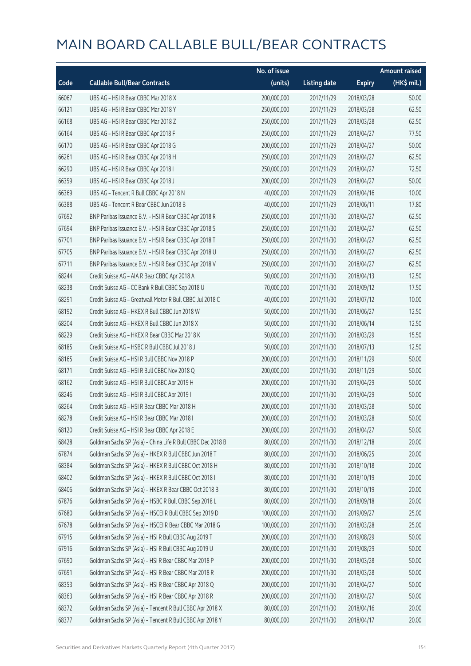|       |                                                             | No. of issue |                     |               | <b>Amount raised</b> |
|-------|-------------------------------------------------------------|--------------|---------------------|---------------|----------------------|
| Code  | <b>Callable Bull/Bear Contracts</b>                         | (units)      | <b>Listing date</b> | <b>Expiry</b> | (HK\$ mil.)          |
| 66067 | UBS AG - HSI R Bear CBBC Mar 2018 X                         | 200,000,000  | 2017/11/29          | 2018/03/28    | 50.00                |
| 66121 | UBS AG - HSI R Bear CBBC Mar 2018 Y                         | 250,000,000  | 2017/11/29          | 2018/03/28    | 62.50                |
| 66168 | UBS AG - HSI R Bear CBBC Mar 2018 Z                         | 250,000,000  | 2017/11/29          | 2018/03/28    | 62.50                |
| 66164 | UBS AG - HSI R Bear CBBC Apr 2018 F                         | 250,000,000  | 2017/11/29          | 2018/04/27    | 77.50                |
| 66170 | UBS AG - HSI R Bear CBBC Apr 2018 G                         | 200,000,000  | 2017/11/29          | 2018/04/27    | 50.00                |
| 66261 | UBS AG - HSI R Bear CBBC Apr 2018 H                         | 250,000,000  | 2017/11/29          | 2018/04/27    | 62.50                |
| 66290 | UBS AG - HSI R Bear CBBC Apr 2018 I                         | 250,000,000  | 2017/11/29          | 2018/04/27    | 72.50                |
| 66359 | UBS AG - HSI R Bear CBBC Apr 2018 J                         | 200,000,000  | 2017/11/29          | 2018/04/27    | 50.00                |
| 66369 | UBS AG - Tencent R Bull CBBC Apr 2018 N                     | 40,000,000   | 2017/11/29          | 2018/04/16    | 10.00                |
| 66388 | UBS AG - Tencent R Bear CBBC Jun 2018 B                     | 40,000,000   | 2017/11/29          | 2018/06/11    | 17.80                |
| 67692 | BNP Paribas Issuance B.V. - HSI R Bear CBBC Apr 2018 R      | 250,000,000  | 2017/11/30          | 2018/04/27    | 62.50                |
| 67694 | BNP Paribas Issuance B.V. - HSI R Bear CBBC Apr 2018 S      | 250,000,000  | 2017/11/30          | 2018/04/27    | 62.50                |
| 67701 | BNP Paribas Issuance B.V. - HSI R Bear CBBC Apr 2018 T      | 250,000,000  | 2017/11/30          | 2018/04/27    | 62.50                |
| 67705 | BNP Paribas Issuance B.V. - HSI R Bear CBBC Apr 2018 U      | 250,000,000  | 2017/11/30          | 2018/04/27    | 62.50                |
| 67711 | BNP Paribas Issuance B.V. - HSI R Bear CBBC Apr 2018 V      | 250,000,000  | 2017/11/30          | 2018/04/27    | 62.50                |
| 68244 | Credit Suisse AG - AIA R Bear CBBC Apr 2018 A               | 50,000,000   | 2017/11/30          | 2018/04/13    | 12.50                |
| 68238 | Credit Suisse AG - CC Bank R Bull CBBC Sep 2018 U           | 70,000,000   | 2017/11/30          | 2018/09/12    | 17.50                |
| 68291 | Credit Suisse AG - Greatwall Motor R Bull CBBC Jul 2018 C   | 40,000,000   | 2017/11/30          | 2018/07/12    | 10.00                |
| 68192 | Credit Suisse AG - HKEX R Bull CBBC Jun 2018 W              | 50,000,000   | 2017/11/30          | 2018/06/27    | 12.50                |
| 68204 | Credit Suisse AG - HKEX R Bull CBBC Jun 2018 X              | 50,000,000   | 2017/11/30          | 2018/06/14    | 12.50                |
| 68229 | Credit Suisse AG - HKEX R Bear CBBC Mar 2018 K              | 50,000,000   | 2017/11/30          | 2018/03/29    | 15.50                |
| 68185 | Credit Suisse AG - HSBC R Bull CBBC Jul 2018 J              | 50,000,000   | 2017/11/30          | 2018/07/13    | 12.50                |
| 68165 | Credit Suisse AG - HSI R Bull CBBC Nov 2018 P               | 200,000,000  | 2017/11/30          | 2018/11/29    | 50.00                |
| 68171 | Credit Suisse AG - HSI R Bull CBBC Nov 2018 Q               | 200,000,000  | 2017/11/30          | 2018/11/29    | 50.00                |
| 68162 | Credit Suisse AG - HSI R Bull CBBC Apr 2019 H               | 200,000,000  | 2017/11/30          | 2019/04/29    | 50.00                |
| 68246 | Credit Suisse AG - HSI R Bull CBBC Apr 2019 I               | 200,000,000  | 2017/11/30          | 2019/04/29    | 50.00                |
| 68264 | Credit Suisse AG - HSI R Bear CBBC Mar 2018 H               | 200,000,000  | 2017/11/30          | 2018/03/28    | 50.00                |
| 68278 | Credit Suisse AG - HSI R Bear CBBC Mar 2018 I               | 200,000,000  | 2017/11/30          | 2018/03/28    | 50.00                |
| 68120 | Credit Suisse AG - HSI R Bear CBBC Apr 2018 E               | 200,000,000  | 2017/11/30          | 2018/04/27    | 50.00                |
| 68428 | Goldman Sachs SP (Asia) - China Life R Bull CBBC Dec 2018 B | 80,000,000   | 2017/11/30          | 2018/12/18    | 20.00                |
| 67874 | Goldman Sachs SP (Asia) - HKEX R Bull CBBC Jun 2018 T       | 80,000,000   | 2017/11/30          | 2018/06/25    | 20.00                |
| 68384 | Goldman Sachs SP (Asia) - HKEX R Bull CBBC Oct 2018 H       | 80,000,000   | 2017/11/30          | 2018/10/18    | 20.00                |
| 68402 | Goldman Sachs SP (Asia) - HKEX R Bull CBBC Oct 2018 I       | 80,000,000   | 2017/11/30          | 2018/10/19    | 20.00                |
| 68406 | Goldman Sachs SP (Asia) - HKEX R Bear CBBC Oct 2018 B       | 80,000,000   | 2017/11/30          | 2018/10/19    | 20.00                |
| 67876 | Goldman Sachs SP (Asia) - HSBC R Bull CBBC Sep 2018 L       | 80,000,000   | 2017/11/30          | 2018/09/18    | 20.00                |
| 67680 | Goldman Sachs SP (Asia) - HSCEI R Bull CBBC Sep 2019 D      | 100,000,000  | 2017/11/30          | 2019/09/27    | 25.00                |
| 67678 | Goldman Sachs SP (Asia) - HSCEI R Bear CBBC Mar 2018 G      | 100,000,000  | 2017/11/30          | 2018/03/28    | 25.00                |
| 67915 | Goldman Sachs SP (Asia) - HSI R Bull CBBC Aug 2019 T        | 200,000,000  | 2017/11/30          | 2019/08/29    | 50.00                |
| 67916 | Goldman Sachs SP (Asia) - HSI R Bull CBBC Aug 2019 U        | 200,000,000  | 2017/11/30          | 2019/08/29    | 50.00                |
| 67690 | Goldman Sachs SP (Asia) - HSI R Bear CBBC Mar 2018 P        | 200,000,000  | 2017/11/30          | 2018/03/28    | 50.00                |
| 67691 | Goldman Sachs SP (Asia) - HSI R Bear CBBC Mar 2018 R        | 200,000,000  | 2017/11/30          | 2018/03/28    | 50.00                |
| 68353 | Goldman Sachs SP (Asia) - HSI R Bear CBBC Apr 2018 Q        | 200,000,000  | 2017/11/30          | 2018/04/27    | 50.00                |
| 68363 | Goldman Sachs SP (Asia) - HSI R Bear CBBC Apr 2018 R        | 200,000,000  | 2017/11/30          | 2018/04/27    | 50.00                |
| 68372 | Goldman Sachs SP (Asia) - Tencent R Bull CBBC Apr 2018 X    | 80,000,000   | 2017/11/30          | 2018/04/16    | 20.00                |
| 68377 | Goldman Sachs SP (Asia) - Tencent R Bull CBBC Apr 2018 Y    | 80,000,000   | 2017/11/30          | 2018/04/17    | 20.00                |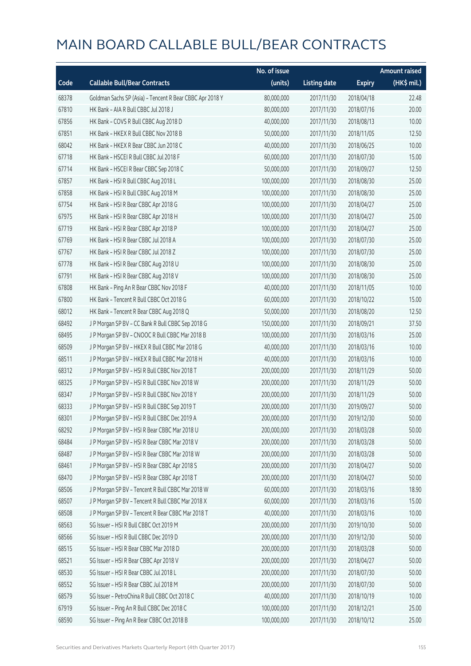|       |                                                          | No. of issue |                     |               | <b>Amount raised</b> |
|-------|----------------------------------------------------------|--------------|---------------------|---------------|----------------------|
| Code  | <b>Callable Bull/Bear Contracts</b>                      | (units)      | <b>Listing date</b> | <b>Expiry</b> | (HK\$ mil.)          |
| 68378 | Goldman Sachs SP (Asia) - Tencent R Bear CBBC Apr 2018 Y | 80,000,000   | 2017/11/30          | 2018/04/18    | 22.48                |
| 67810 | HK Bank - AIA R Bull CBBC Jul 2018 J                     | 80,000,000   | 2017/11/30          | 2018/07/16    | 20.00                |
| 67856 | HK Bank - COVS R Bull CBBC Aug 2018 D                    | 40,000,000   | 2017/11/30          | 2018/08/13    | 10.00                |
| 67851 | HK Bank - HKEX R Bull CBBC Nov 2018 B                    | 50,000,000   | 2017/11/30          | 2018/11/05    | 12.50                |
| 68042 | HK Bank - HKEX R Bear CBBC Jun 2018 C                    | 40,000,000   | 2017/11/30          | 2018/06/25    | 10.00                |
| 67718 | HK Bank - HSCEI R Bull CBBC Jul 2018 F                   | 60,000,000   | 2017/11/30          | 2018/07/30    | 15.00                |
| 67714 | HK Bank - HSCEI R Bear CBBC Sep 2018 C                   | 50,000,000   | 2017/11/30          | 2018/09/27    | 12.50                |
| 67857 | HK Bank - HSI R Bull CBBC Aug 2018 L                     | 100,000,000  | 2017/11/30          | 2018/08/30    | 25.00                |
| 67858 | HK Bank - HSI R Bull CBBC Aug 2018 M                     | 100,000,000  | 2017/11/30          | 2018/08/30    | 25.00                |
| 67754 | HK Bank - HSI R Bear CBBC Apr 2018 G                     | 100,000,000  | 2017/11/30          | 2018/04/27    | 25.00                |
| 67975 | HK Bank - HSI R Bear CBBC Apr 2018 H                     | 100,000,000  | 2017/11/30          | 2018/04/27    | 25.00                |
| 67719 | HK Bank - HSI R Bear CBBC Apr 2018 P                     | 100,000,000  | 2017/11/30          | 2018/04/27    | 25.00                |
| 67769 | HK Bank - HSI R Bear CBBC Jul 2018 A                     | 100,000,000  | 2017/11/30          | 2018/07/30    | 25.00                |
| 67767 | HK Bank - HSI R Bear CBBC Jul 2018 Z                     | 100,000,000  | 2017/11/30          | 2018/07/30    | 25.00                |
| 67778 | HK Bank - HSI R Bear CBBC Aug 2018 U                     | 100,000,000  | 2017/11/30          | 2018/08/30    | 25.00                |
| 67791 | HK Bank - HSI R Bear CBBC Aug 2018 V                     | 100,000,000  | 2017/11/30          | 2018/08/30    | 25.00                |
| 67808 | HK Bank - Ping An R Bear CBBC Nov 2018 F                 | 40,000,000   | 2017/11/30          | 2018/11/05    | 10.00                |
| 67800 | HK Bank - Tencent R Bull CBBC Oct 2018 G                 | 60,000,000   | 2017/11/30          | 2018/10/22    | 15.00                |
| 68012 | HK Bank - Tencent R Bear CBBC Aug 2018 Q                 | 50,000,000   | 2017/11/30          | 2018/08/20    | 12.50                |
| 68492 | J P Morgan SP BV - CC Bank R Bull CBBC Sep 2018 G        | 150,000,000  | 2017/11/30          | 2018/09/21    | 37.50                |
| 68495 | J P Morgan SP BV - CNOOC R Bull CBBC Mar 2018 B          | 100,000,000  | 2017/11/30          | 2018/03/16    | 25.00                |
| 68509 | J P Morgan SP BV - HKEX R Bull CBBC Mar 2018 G           | 40,000,000   | 2017/11/30          | 2018/03/16    | 10.00                |
| 68511 | J P Morgan SP BV - HKEX R Bull CBBC Mar 2018 H           | 40,000,000   | 2017/11/30          | 2018/03/16    | 10.00                |
| 68312 | J P Morgan SP BV - HSI R Bull CBBC Nov 2018 T            | 200,000,000  | 2017/11/30          | 2018/11/29    | 50.00                |
| 68325 | J P Morgan SP BV - HSI R Bull CBBC Nov 2018 W            | 200,000,000  | 2017/11/30          | 2018/11/29    | 50.00                |
| 68347 | J P Morgan SP BV - HSI R Bull CBBC Nov 2018 Y            | 200,000,000  | 2017/11/30          | 2018/11/29    | 50.00                |
| 68333 | J P Morgan SP BV - HSI R Bull CBBC Sep 2019 T            | 200,000,000  | 2017/11/30          | 2019/09/27    | 50.00                |
| 68301 | J P Morgan SP BV - HSI R Bull CBBC Dec 2019 A            | 200,000,000  | 2017/11/30          | 2019/12/30    | 50.00                |
| 68292 | J P Morgan SP BV - HSI R Bear CBBC Mar 2018 U            | 200,000,000  | 2017/11/30          | 2018/03/28    | 50.00                |
| 68484 | J P Morgan SP BV - HSI R Bear CBBC Mar 2018 V            | 200,000,000  | 2017/11/30          | 2018/03/28    | 50.00                |
| 68487 | J P Morgan SP BV - HSI R Bear CBBC Mar 2018 W            | 200,000,000  | 2017/11/30          | 2018/03/28    | 50.00                |
| 68461 | J P Morgan SP BV - HSI R Bear CBBC Apr 2018 S            | 200,000,000  | 2017/11/30          | 2018/04/27    | 50.00                |
| 68470 | J P Morgan SP BV - HSI R Bear CBBC Apr 2018 T            | 200,000,000  | 2017/11/30          | 2018/04/27    | 50.00                |
| 68506 | J P Morgan SP BV - Tencent R Bull CBBC Mar 2018 W        | 60,000,000   | 2017/11/30          | 2018/03/16    | 18.90                |
| 68507 | J P Morgan SP BV - Tencent R Bull CBBC Mar 2018 X        | 60,000,000   | 2017/11/30          | 2018/03/16    | 15.00                |
| 68508 | J P Morgan SP BV - Tencent R Bear CBBC Mar 2018 T        | 40,000,000   | 2017/11/30          | 2018/03/16    | 10.00                |
| 68563 | SG Issuer - HSI R Bull CBBC Oct 2019 M                   | 200,000,000  | 2017/11/30          | 2019/10/30    | 50.00                |
| 68566 | SG Issuer - HSI R Bull CBBC Dec 2019 D                   | 200,000,000  | 2017/11/30          | 2019/12/30    | 50.00                |
| 68515 | SG Issuer - HSI R Bear CBBC Mar 2018 D                   | 200,000,000  | 2017/11/30          | 2018/03/28    | 50.00                |
| 68521 | SG Issuer - HSI R Bear CBBC Apr 2018 V                   | 200,000,000  | 2017/11/30          | 2018/04/27    | 50.00                |
| 68530 | SG Issuer - HSI R Bear CBBC Jul 2018 L                   | 200,000,000  | 2017/11/30          | 2018/07/30    | 50.00                |
| 68552 | SG Issuer - HSI R Bear CBBC Jul 2018 M                   | 200,000,000  | 2017/11/30          | 2018/07/30    | 50.00                |
| 68579 | SG Issuer - PetroChina R Bull CBBC Oct 2018 C            | 40,000,000   | 2017/11/30          | 2018/10/19    | 10.00                |
| 67919 | SG Issuer - Ping An R Bull CBBC Dec 2018 C               | 100,000,000  | 2017/11/30          | 2018/12/21    | 25.00                |
| 68590 | SG Issuer - Ping An R Bear CBBC Oct 2018 B               | 100,000,000  | 2017/11/30          | 2018/10/12    | 25.00                |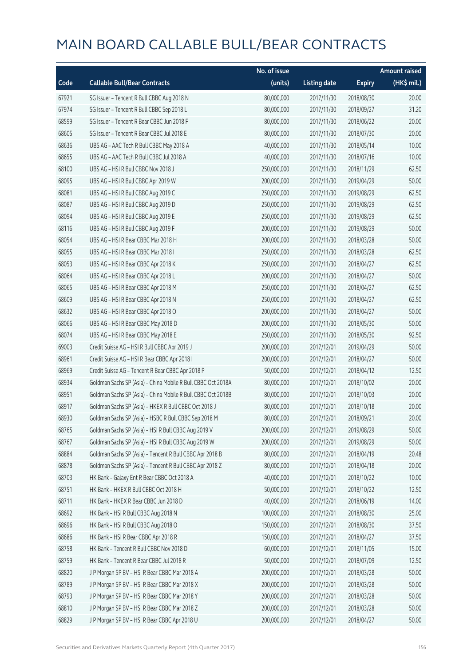|       |                                                              | No. of issue |                     |               | <b>Amount raised</b> |
|-------|--------------------------------------------------------------|--------------|---------------------|---------------|----------------------|
| Code  | <b>Callable Bull/Bear Contracts</b>                          | (units)      | <b>Listing date</b> | <b>Expiry</b> | (HK\$ mil.)          |
| 67921 | SG Issuer - Tencent R Bull CBBC Aug 2018 N                   | 80,000,000   | 2017/11/30          | 2018/08/30    | 20.00                |
| 67974 | SG Issuer - Tencent R Bull CBBC Sep 2018 L                   | 80,000,000   | 2017/11/30          | 2018/09/27    | 31.20                |
| 68599 | SG Issuer - Tencent R Bear CBBC Jun 2018 F                   | 80,000,000   | 2017/11/30          | 2018/06/22    | 20.00                |
| 68605 | SG Issuer - Tencent R Bear CBBC Jul 2018 E                   | 80,000,000   | 2017/11/30          | 2018/07/30    | 20.00                |
| 68636 | UBS AG - AAC Tech R Bull CBBC May 2018 A                     | 40,000,000   | 2017/11/30          | 2018/05/14    | 10.00                |
| 68655 | UBS AG - AAC Tech R Bull CBBC Jul 2018 A                     | 40,000,000   | 2017/11/30          | 2018/07/16    | 10.00                |
| 68100 | UBS AG - HSI R Bull CBBC Nov 2018 J                          | 250,000,000  | 2017/11/30          | 2018/11/29    | 62.50                |
| 68095 | UBS AG - HSI R Bull CBBC Apr 2019 W                          | 200,000,000  | 2017/11/30          | 2019/04/29    | 50.00                |
| 68081 | UBS AG - HSI R Bull CBBC Aug 2019 C                          | 250,000,000  | 2017/11/30          | 2019/08/29    | 62.50                |
| 68087 | UBS AG - HSI R Bull CBBC Aug 2019 D                          | 250,000,000  | 2017/11/30          | 2019/08/29    | 62.50                |
| 68094 | UBS AG - HSI R Bull CBBC Aug 2019 E                          | 250,000,000  | 2017/11/30          | 2019/08/29    | 62.50                |
| 68116 | UBS AG - HSI R Bull CBBC Aug 2019 F                          | 200,000,000  | 2017/11/30          | 2019/08/29    | 50.00                |
| 68054 | UBS AG - HSI R Bear CBBC Mar 2018 H                          | 200,000,000  | 2017/11/30          | 2018/03/28    | 50.00                |
| 68055 | UBS AG - HSI R Bear CBBC Mar 2018 I                          | 250,000,000  | 2017/11/30          | 2018/03/28    | 62.50                |
| 68053 | UBS AG - HSI R Bear CBBC Apr 2018 K                          | 250,000,000  | 2017/11/30          | 2018/04/27    | 62.50                |
| 68064 | UBS AG - HSI R Bear CBBC Apr 2018 L                          | 200,000,000  | 2017/11/30          | 2018/04/27    | 50.00                |
| 68065 | UBS AG - HSI R Bear CBBC Apr 2018 M                          | 250,000,000  | 2017/11/30          | 2018/04/27    | 62.50                |
| 68609 | UBS AG - HSI R Bear CBBC Apr 2018 N                          | 250,000,000  | 2017/11/30          | 2018/04/27    | 62.50                |
| 68632 | UBS AG - HSI R Bear CBBC Apr 2018 O                          | 200,000,000  | 2017/11/30          | 2018/04/27    | 50.00                |
| 68066 | UBS AG - HSI R Bear CBBC May 2018 D                          | 200,000,000  | 2017/11/30          | 2018/05/30    | 50.00                |
| 68074 | UBS AG - HSI R Bear CBBC May 2018 E                          | 250,000,000  | 2017/11/30          | 2018/05/30    | 92.50                |
| 69003 | Credit Suisse AG - HSI R Bull CBBC Apr 2019 J                | 200,000,000  | 2017/12/01          | 2019/04/29    | 50.00                |
| 68961 | Credit Suisse AG - HSI R Bear CBBC Apr 2018 I                | 200,000,000  | 2017/12/01          | 2018/04/27    | 50.00                |
| 68969 | Credit Suisse AG - Tencent R Bear CBBC Apr 2018 P            | 50,000,000   | 2017/12/01          | 2018/04/12    | 12.50                |
| 68934 | Goldman Sachs SP (Asia) - China Mobile R Bull CBBC Oct 2018A | 80,000,000   | 2017/12/01          | 2018/10/02    | 20.00                |
| 68951 | Goldman Sachs SP (Asia) - China Mobile R Bull CBBC Oct 2018B | 80,000,000   | 2017/12/01          | 2018/10/03    | 20.00                |
| 68917 | Goldman Sachs SP (Asia) - HKEX R Bull CBBC Oct 2018 J        | 80,000,000   | 2017/12/01          | 2018/10/18    | 20.00                |
| 68930 | Goldman Sachs SP (Asia) - HSBC R Bull CBBC Sep 2018 M        | 80,000,000   | 2017/12/01          | 2018/09/21    | 20.00                |
| 68765 | Goldman Sachs SP (Asia) - HSI R Bull CBBC Aug 2019 V         | 200,000,000  | 2017/12/01          | 2019/08/29    | 50.00                |
| 68767 | Goldman Sachs SP (Asia) - HSI R Bull CBBC Aug 2019 W         | 200,000,000  | 2017/12/01          | 2019/08/29    | 50.00                |
| 68884 | Goldman Sachs SP (Asia) - Tencent R Bull CBBC Apr 2018 B     | 80,000,000   | 2017/12/01          | 2018/04/19    | 20.48                |
| 68878 | Goldman Sachs SP (Asia) - Tencent R Bull CBBC Apr 2018 Z     | 80,000,000   | 2017/12/01          | 2018/04/18    | 20.00                |
| 68703 | HK Bank - Galaxy Ent R Bear CBBC Oct 2018 A                  | 40,000,000   | 2017/12/01          | 2018/10/22    | 10.00                |
| 68751 | HK Bank - HKEX R Bull CBBC Oct 2018 H                        | 50,000,000   | 2017/12/01          | 2018/10/22    | 12.50                |
| 68711 | HK Bank - HKEX R Bear CBBC Jun 2018 D                        | 40,000,000   | 2017/12/01          | 2018/06/19    | 14.00                |
| 68692 | HK Bank - HSI R Bull CBBC Aug 2018 N                         | 100,000,000  | 2017/12/01          | 2018/08/30    | 25.00                |
| 68696 | HK Bank - HSI R Bull CBBC Aug 2018 O                         | 150,000,000  | 2017/12/01          | 2018/08/30    | 37.50                |
| 68686 | HK Bank - HSI R Bear CBBC Apr 2018 R                         | 150,000,000  | 2017/12/01          | 2018/04/27    | 37.50                |
| 68758 | HK Bank - Tencent R Bull CBBC Nov 2018 D                     | 60,000,000   | 2017/12/01          | 2018/11/05    | 15.00                |
| 68759 | HK Bank - Tencent R Bear CBBC Jul 2018 R                     | 50,000,000   | 2017/12/01          | 2018/07/09    | 12.50                |
| 68820 | J P Morgan SP BV - HSI R Bear CBBC Mar 2018 A                | 200,000,000  | 2017/12/01          | 2018/03/28    | 50.00                |
| 68789 | J P Morgan SP BV - HSI R Bear CBBC Mar 2018 X                | 200,000,000  | 2017/12/01          | 2018/03/28    | 50.00                |
| 68793 | J P Morgan SP BV - HSI R Bear CBBC Mar 2018 Y                | 200,000,000  | 2017/12/01          | 2018/03/28    | 50.00                |
| 68810 | J P Morgan SP BV - HSI R Bear CBBC Mar 2018 Z                | 200,000,000  | 2017/12/01          | 2018/03/28    | 50.00                |
| 68829 | J P Morgan SP BV - HSI R Bear CBBC Apr 2018 U                | 200,000,000  | 2017/12/01          | 2018/04/27    | 50.00                |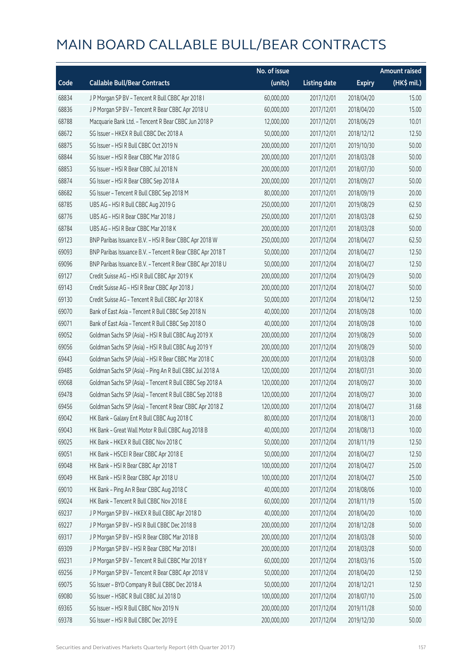|       |                                                            | No. of issue |                     |               | Amount raised |
|-------|------------------------------------------------------------|--------------|---------------------|---------------|---------------|
| Code  | <b>Callable Bull/Bear Contracts</b>                        | (units)      | <b>Listing date</b> | <b>Expiry</b> | (HK\$ mil.)   |
| 68834 | J P Morgan SP BV - Tencent R Bull CBBC Apr 2018 I          | 60,000,000   | 2017/12/01          | 2018/04/20    | 15.00         |
| 68836 | J P Morgan SP BV - Tencent R Bear CBBC Apr 2018 U          | 60,000,000   | 2017/12/01          | 2018/04/20    | 15.00         |
| 68788 | Macquarie Bank Ltd. - Tencent R Bear CBBC Jun 2018 P       | 12,000,000   | 2017/12/01          | 2018/06/29    | 10.01         |
| 68672 | SG Issuer - HKEX R Bull CBBC Dec 2018 A                    | 50,000,000   | 2017/12/01          | 2018/12/12    | 12.50         |
| 68875 | SG Issuer - HSI R Bull CBBC Oct 2019 N                     | 200,000,000  | 2017/12/01          | 2019/10/30    | 50.00         |
| 68844 | SG Issuer - HSI R Bear CBBC Mar 2018 G                     | 200,000,000  | 2017/12/01          | 2018/03/28    | 50.00         |
| 68853 | SG Issuer - HSI R Bear CBBC Jul 2018 N                     | 200,000,000  | 2017/12/01          | 2018/07/30    | 50.00         |
| 68874 | SG Issuer - HSI R Bear CBBC Sep 2018 A                     | 200,000,000  | 2017/12/01          | 2018/09/27    | 50.00         |
| 68682 | SG Issuer - Tencent R Bull CBBC Sep 2018 M                 | 80,000,000   | 2017/12/01          | 2018/09/19    | 20.00         |
| 68785 | UBS AG - HSI R Bull CBBC Aug 2019 G                        | 250,000,000  | 2017/12/01          | 2019/08/29    | 62.50         |
| 68776 | UBS AG - HSI R Bear CBBC Mar 2018 J                        | 250,000,000  | 2017/12/01          | 2018/03/28    | 62.50         |
| 68784 | UBS AG - HSI R Bear CBBC Mar 2018 K                        | 200,000,000  | 2017/12/01          | 2018/03/28    | 50.00         |
| 69123 | BNP Paribas Issuance B.V. - HSI R Bear CBBC Apr 2018 W     | 250,000,000  | 2017/12/04          | 2018/04/27    | 62.50         |
| 69093 | BNP Paribas Issuance B.V. - Tencent R Bear CBBC Apr 2018 T | 50,000,000   | 2017/12/04          | 2018/04/27    | 12.50         |
| 69096 | BNP Paribas Issuance B.V. - Tencent R Bear CBBC Apr 2018 U | 50,000,000   | 2017/12/04          | 2018/04/27    | 12.50         |
| 69127 | Credit Suisse AG - HSI R Bull CBBC Apr 2019 K              | 200,000,000  | 2017/12/04          | 2019/04/29    | 50.00         |
| 69143 | Credit Suisse AG - HSI R Bear CBBC Apr 2018 J              | 200,000,000  | 2017/12/04          | 2018/04/27    | 50.00         |
| 69130 | Credit Suisse AG - Tencent R Bull CBBC Apr 2018 K          | 50,000,000   | 2017/12/04          | 2018/04/12    | 12.50         |
| 69070 | Bank of East Asia - Tencent R Bull CBBC Sep 2018 N         | 40,000,000   | 2017/12/04          | 2018/09/28    | 10.00         |
| 69071 | Bank of East Asia - Tencent R Bull CBBC Sep 2018 O         | 40,000,000   | 2017/12/04          | 2018/09/28    | 10.00         |
| 69052 | Goldman Sachs SP (Asia) - HSI R Bull CBBC Aug 2019 X       | 200,000,000  | 2017/12/04          | 2019/08/29    | 50.00         |
| 69056 | Goldman Sachs SP (Asia) - HSI R Bull CBBC Aug 2019 Y       | 200,000,000  | 2017/12/04          | 2019/08/29    | 50.00         |
| 69443 | Goldman Sachs SP (Asia) - HSI R Bear CBBC Mar 2018 C       | 200,000,000  | 2017/12/04          | 2018/03/28    | 50.00         |
| 69485 | Goldman Sachs SP (Asia) - Ping An R Bull CBBC Jul 2018 A   | 120,000,000  | 2017/12/04          | 2018/07/31    | 30.00         |
| 69068 | Goldman Sachs SP (Asia) - Tencent R Bull CBBC Sep 2018 A   | 120,000,000  | 2017/12/04          | 2018/09/27    | 30.00         |
| 69478 | Goldman Sachs SP (Asia) - Tencent R Bull CBBC Sep 2018 B   | 120,000,000  | 2017/12/04          | 2018/09/27    | 30.00         |
| 69456 | Goldman Sachs SP (Asia) - Tencent R Bear CBBC Apr 2018 Z   | 120,000,000  | 2017/12/04          | 2018/04/27    | 31.68         |
| 69042 | HK Bank - Galaxy Ent R Bull CBBC Aug 2018 C                | 80,000,000   | 2017/12/04          | 2018/08/13    | 20.00         |
| 69043 | HK Bank - Great Wall Motor R Bull CBBC Aug 2018 B          | 40,000,000   | 2017/12/04          | 2018/08/13    | 10.00         |
| 69025 | HK Bank - HKEX R Bull CBBC Nov 2018 C                      | 50,000,000   | 2017/12/04          | 2018/11/19    | 12.50         |
| 69051 | HK Bank - HSCEI R Bear CBBC Apr 2018 E                     | 50,000,000   | 2017/12/04          | 2018/04/27    | 12.50         |
| 69048 | HK Bank - HSI R Bear CBBC Apr 2018 T                       | 100,000,000  | 2017/12/04          | 2018/04/27    | 25.00         |
| 69049 | HK Bank - HSI R Bear CBBC Apr 2018 U                       | 100,000,000  | 2017/12/04          | 2018/04/27    | 25.00         |
| 69010 | HK Bank - Ping An R Bear CBBC Aug 2018 C                   | 40,000,000   | 2017/12/04          | 2018/08/06    | 10.00         |
| 69024 | HK Bank - Tencent R Bull CBBC Nov 2018 E                   | 60,000,000   | 2017/12/04          | 2018/11/19    | 15.00         |
| 69237 | J P Morgan SP BV - HKEX R Bull CBBC Apr 2018 D             | 40,000,000   | 2017/12/04          | 2018/04/20    | 10.00         |
| 69227 | J P Morgan SP BV - HSI R Bull CBBC Dec 2018 B              | 200,000,000  | 2017/12/04          | 2018/12/28    | 50.00         |
| 69317 | J P Morgan SP BV - HSI R Bear CBBC Mar 2018 B              | 200,000,000  | 2017/12/04          | 2018/03/28    | 50.00         |
| 69309 | J P Morgan SP BV - HSI R Bear CBBC Mar 2018 I              | 200,000,000  | 2017/12/04          | 2018/03/28    | 50.00         |
| 69231 | J P Morgan SP BV - Tencent R Bull CBBC Mar 2018 Y          | 60,000,000   | 2017/12/04          | 2018/03/16    | 15.00         |
| 69256 | J P Morgan SP BV - Tencent R Bear CBBC Apr 2018 V          | 50,000,000   | 2017/12/04          | 2018/04/20    | 12.50         |
| 69075 | SG Issuer - BYD Company R Bull CBBC Dec 2018 A             | 50,000,000   | 2017/12/04          | 2018/12/21    | 12.50         |
| 69080 | SG Issuer - HSBC R Bull CBBC Jul 2018 D                    | 100,000,000  | 2017/12/04          | 2018/07/10    | 25.00         |
| 69365 | SG Issuer - HSI R Bull CBBC Nov 2019 N                     | 200,000,000  | 2017/12/04          | 2019/11/28    | 50.00         |
| 69378 | SG Issuer - HSI R Bull CBBC Dec 2019 E                     | 200,000,000  | 2017/12/04          | 2019/12/30    | 50.00         |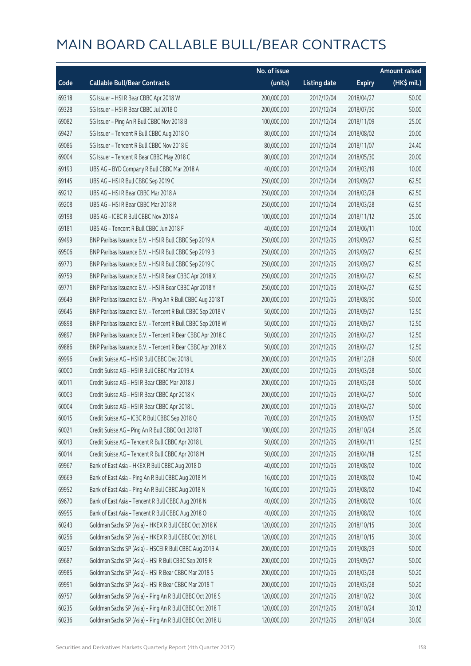|       |                                                            | No. of issue |                     |               | <b>Amount raised</b> |
|-------|------------------------------------------------------------|--------------|---------------------|---------------|----------------------|
| Code  | <b>Callable Bull/Bear Contracts</b>                        | (units)      | <b>Listing date</b> | <b>Expiry</b> | (HK\$ mil.)          |
| 69318 | SG Issuer - HSI R Bear CBBC Apr 2018 W                     | 200,000,000  | 2017/12/04          | 2018/04/27    | 50.00                |
| 69328 | SG Issuer - HSI R Bear CBBC Jul 2018 O                     | 200,000,000  | 2017/12/04          | 2018/07/30    | 50.00                |
| 69082 | SG Issuer - Ping An R Bull CBBC Nov 2018 B                 | 100,000,000  | 2017/12/04          | 2018/11/09    | 25.00                |
| 69427 | SG Issuer - Tencent R Bull CBBC Aug 2018 O                 | 80,000,000   | 2017/12/04          | 2018/08/02    | 20.00                |
| 69086 | SG Issuer - Tencent R Bull CBBC Nov 2018 E                 | 80,000,000   | 2017/12/04          | 2018/11/07    | 24.40                |
| 69004 | SG Issuer - Tencent R Bear CBBC May 2018 C                 | 80,000,000   | 2017/12/04          | 2018/05/30    | 20.00                |
| 69193 | UBS AG - BYD Company R Bull CBBC Mar 2018 A                | 40,000,000   | 2017/12/04          | 2018/03/19    | 10.00                |
| 69145 | UBS AG - HSI R Bull CBBC Sep 2019 C                        | 250,000,000  | 2017/12/04          | 2019/09/27    | 62.50                |
| 69212 | UBS AG - HSI R Bear CBBC Mar 2018 A                        | 250,000,000  | 2017/12/04          | 2018/03/28    | 62.50                |
| 69208 | UBS AG - HSI R Bear CBBC Mar 2018 R                        | 250,000,000  | 2017/12/04          | 2018/03/28    | 62.50                |
| 69198 | UBS AG - ICBC R Bull CBBC Nov 2018 A                       | 100,000,000  | 2017/12/04          | 2018/11/12    | 25.00                |
| 69181 | UBS AG - Tencent R Bull CBBC Jun 2018 F                    | 40,000,000   | 2017/12/04          | 2018/06/11    | 10.00                |
| 69499 | BNP Paribas Issuance B.V. - HSI R Bull CBBC Sep 2019 A     | 250,000,000  | 2017/12/05          | 2019/09/27    | 62.50                |
| 69506 | BNP Paribas Issuance B.V. - HSI R Bull CBBC Sep 2019 B     | 250,000,000  | 2017/12/05          | 2019/09/27    | 62.50                |
| 69773 | BNP Paribas Issuance B.V. - HSI R Bull CBBC Sep 2019 C     | 250,000,000  | 2017/12/05          | 2019/09/27    | 62.50                |
| 69759 | BNP Paribas Issuance B.V. - HSI R Bear CBBC Apr 2018 X     | 250,000,000  | 2017/12/05          | 2018/04/27    | 62.50                |
| 69771 | BNP Paribas Issuance B.V. - HSI R Bear CBBC Apr 2018 Y     | 250,000,000  | 2017/12/05          | 2018/04/27    | 62.50                |
| 69649 | BNP Paribas Issuance B.V. - Ping An R Bull CBBC Aug 2018 T | 200,000,000  | 2017/12/05          | 2018/08/30    | 50.00                |
| 69645 | BNP Paribas Issuance B.V. - Tencent R Bull CBBC Sep 2018 V | 50,000,000   | 2017/12/05          | 2018/09/27    | 12.50                |
| 69898 | BNP Paribas Issuance B.V. - Tencent R Bull CBBC Sep 2018 W | 50,000,000   | 2017/12/05          | 2018/09/27    | 12.50                |
| 69897 | BNP Paribas Issuance B.V. - Tencent R Bear CBBC Apr 2018 C | 50,000,000   | 2017/12/05          | 2018/04/27    | 12.50                |
| 69886 | BNP Paribas Issuance B.V. - Tencent R Bear CBBC Apr 2018 X | 50,000,000   | 2017/12/05          | 2018/04/27    | 12.50                |
| 69996 | Credit Suisse AG - HSI R Bull CBBC Dec 2018 L              | 200,000,000  | 2017/12/05          | 2018/12/28    | 50.00                |
| 60000 | Credit Suisse AG - HSI R Bull CBBC Mar 2019 A              | 200,000,000  | 2017/12/05          | 2019/03/28    | 50.00                |
| 60011 | Credit Suisse AG - HSI R Bear CBBC Mar 2018 J              | 200,000,000  | 2017/12/05          | 2018/03/28    | 50.00                |
| 60003 | Credit Suisse AG - HSI R Bear CBBC Apr 2018 K              | 200,000,000  | 2017/12/05          | 2018/04/27    | 50.00                |
| 60004 | Credit Suisse AG - HSI R Bear CBBC Apr 2018 L              | 200,000,000  | 2017/12/05          | 2018/04/27    | 50.00                |
| 60015 | Credit Suisse AG - ICBC R Bull CBBC Sep 2018 Q             | 70,000,000   | 2017/12/05          | 2018/09/07    | 17.50                |
| 60021 | Credit Suisse AG - Ping An R Bull CBBC Oct 2018 T          | 100,000,000  | 2017/12/05          | 2018/10/24    | 25.00                |
| 60013 | Credit Suisse AG - Tencent R Bull CBBC Apr 2018 L          | 50,000,000   | 2017/12/05          | 2018/04/11    | 12.50                |
| 60014 | Credit Suisse AG - Tencent R Bull CBBC Apr 2018 M          | 50,000,000   | 2017/12/05          | 2018/04/18    | 12.50                |
| 69967 | Bank of East Asia - HKEX R Bull CBBC Aug 2018 D            | 40,000,000   | 2017/12/05          | 2018/08/02    | 10.00                |
| 69669 | Bank of East Asia - Ping An R Bull CBBC Aug 2018 M         | 16,000,000   | 2017/12/05          | 2018/08/02    | 10.40                |
| 69952 | Bank of East Asia - Ping An R Bull CBBC Aug 2018 N         | 16,000,000   | 2017/12/05          | 2018/08/02    | 10.40                |
| 69670 | Bank of East Asia - Tencent R Bull CBBC Aug 2018 N         | 40,000,000   | 2017/12/05          | 2018/08/02    | 10.00                |
| 69955 | Bank of East Asia - Tencent R Bull CBBC Aug 2018 O         | 40,000,000   | 2017/12/05          | 2018/08/02    | 10.00                |
| 60243 | Goldman Sachs SP (Asia) - HKEX R Bull CBBC Oct 2018 K      | 120,000,000  | 2017/12/05          | 2018/10/15    | 30.00                |
| 60256 | Goldman Sachs SP (Asia) - HKEX R Bull CBBC Oct 2018 L      | 120,000,000  | 2017/12/05          | 2018/10/15    | 30.00                |
| 60257 | Goldman Sachs SP (Asia) - HSCEI R Bull CBBC Aug 2019 A     | 200,000,000  | 2017/12/05          | 2019/08/29    | 50.00                |
| 69687 | Goldman Sachs SP (Asia) - HSI R Bull CBBC Sep 2019 R       | 200,000,000  | 2017/12/05          | 2019/09/27    | 50.00                |
| 69985 | Goldman Sachs SP (Asia) - HSI R Bear CBBC Mar 2018 S       | 200,000,000  | 2017/12/05          | 2018/03/28    | 50.20                |
| 69991 | Goldman Sachs SP (Asia) - HSI R Bear CBBC Mar 2018 T       | 200,000,000  | 2017/12/05          | 2018/03/28    | 50.20                |
| 69757 | Goldman Sachs SP (Asia) - Ping An R Bull CBBC Oct 2018 S   | 120,000,000  | 2017/12/05          | 2018/10/22    | 30.00                |
| 60235 | Goldman Sachs SP (Asia) - Ping An R Bull CBBC Oct 2018 T   | 120,000,000  | 2017/12/05          | 2018/10/24    | 30.12                |
| 60236 | Goldman Sachs SP (Asia) - Ping An R Bull CBBC Oct 2018 U   | 120,000,000  | 2017/12/05          | 2018/10/24    | 30.00                |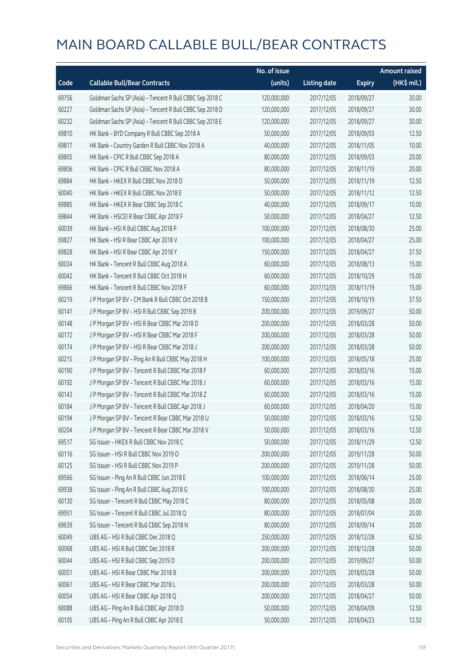|       |                                                          | No. of issue |                     |               | <b>Amount raised</b>  |
|-------|----------------------------------------------------------|--------------|---------------------|---------------|-----------------------|
| Code  | <b>Callable Bull/Bear Contracts</b>                      | (units)      | <b>Listing date</b> | <b>Expiry</b> | $(HK\frac{1}{2}mil.)$ |
| 69756 | Goldman Sachs SP (Asia) - Tencent R Bull CBBC Sep 2018 C | 120,000,000  | 2017/12/05          | 2018/09/27    | 30.00                 |
| 60227 | Goldman Sachs SP (Asia) - Tencent R Bull CBBC Sep 2018 D | 120,000,000  | 2017/12/05          | 2018/09/27    | 30.00                 |
| 60232 | Goldman Sachs SP (Asia) - Tencent R Bull CBBC Sep 2018 E | 120,000,000  | 2017/12/05          | 2018/09/27    | 30.00                 |
| 69810 | HK Bank - BYD Company R Bull CBBC Sep 2018 A             | 50,000,000   | 2017/12/05          | 2018/09/03    | 12.50                 |
| 69817 | HK Bank - Country Garden R Bull CBBC Nov 2018 A          | 40,000,000   | 2017/12/05          | 2018/11/05    | 10.00                 |
| 69805 | HK Bank - CPIC R Bull CBBC Sep 2018 A                    | 80,000,000   | 2017/12/05          | 2018/09/03    | 20.00                 |
| 69806 | HK Bank - CPIC R Bull CBBC Nov 2018 A                    | 80,000,000   | 2017/12/05          | 2018/11/19    | 20.00                 |
| 69884 | HK Bank - HKEX R Bull CBBC Nov 2018 D                    | 50,000,000   | 2017/12/05          | 2018/11/19    | 12.50                 |
| 60040 | HK Bank - HKEX R Bull CBBC Nov 2018 E                    | 50,000,000   | 2017/12/05          | 2018/11/12    | 12.50                 |
| 69885 | HK Bank - HKEX R Bear CBBC Sep 2018 C                    | 40,000,000   | 2017/12/05          | 2018/09/17    | 10.00                 |
| 69844 | HK Bank - HSCEI R Bear CBBC Apr 2018 F                   | 50,000,000   | 2017/12/05          | 2018/04/27    | 12.50                 |
| 60039 | HK Bank - HSI R Bull CBBC Aug 2018 P                     | 100,000,000  | 2017/12/05          | 2018/08/30    | 25.00                 |
| 69827 | HK Bank - HSI R Bear CBBC Apr 2018 V                     | 100,000,000  | 2017/12/05          | 2018/04/27    | 25.00                 |
| 69828 | HK Bank - HSI R Bear CBBC Apr 2018 Y                     | 150,000,000  | 2017/12/05          | 2018/04/27    | 37.50                 |
| 60034 | HK Bank - Tencent R Bull CBBC Aug 2018 A                 | 60,000,000   | 2017/12/05          | 2018/08/13    | 15.00                 |
| 60042 | HK Bank - Tencent R Bull CBBC Oct 2018 H                 | 60,000,000   | 2017/12/05          | 2018/10/29    | 15.00                 |
| 69866 | HK Bank - Tencent R Bull CBBC Nov 2018 F                 | 60,000,000   | 2017/12/05          | 2018/11/19    | 15.00                 |
| 60219 | J P Morgan SP BV - CM Bank R Bull CBBC Oct 2018 B        | 150,000,000  | 2017/12/05          | 2018/10/19    | 37.50                 |
| 60141 | J P Morgan SP BV - HSI R Bull CBBC Sep 2019 B            | 200,000,000  | 2017/12/05          | 2019/09/27    | 50.00                 |
| 60148 | J P Morgan SP BV - HSI R Bear CBBC Mar 2018 D            | 200,000,000  | 2017/12/05          | 2018/03/28    | 50.00                 |
| 60172 | J P Morgan SP BV - HSI R Bear CBBC Mar 2018 F            | 200,000,000  | 2017/12/05          | 2018/03/28    | 50.00                 |
| 60174 | J P Morgan SP BV - HSI R Bear CBBC Mar 2018 J            | 200,000,000  | 2017/12/05          | 2018/03/28    | 50.00                 |
| 60215 | J P Morgan SP BV - Ping An R Bull CBBC May 2018 H        | 100,000,000  | 2017/12/05          | 2018/05/18    | 25.00                 |
| 60190 | J P Morgan SP BV - Tencent R Bull CBBC Mar 2018 F        | 60,000,000   | 2017/12/05          | 2018/03/16    | 15.00                 |
| 60192 | JP Morgan SP BV - Tencent R Bull CBBC Mar 2018 J         | 60,000,000   | 2017/12/05          | 2018/03/16    | 15.00                 |
| 60143 | J P Morgan SP BV - Tencent R Bull CBBC Mar 2018 Z        | 60,000,000   | 2017/12/05          | 2018/03/16    | 15.00                 |
| 60184 | J P Morgan SP BV - Tencent R Bull CBBC Apr 2018 J        | 60,000,000   | 2017/12/05          | 2018/04/20    | 15.00                 |
| 60194 | J P Morgan SP BV - Tencent R Bear CBBC Mar 2018 U        | 50,000,000   | 2017/12/05          | 2018/03/16    | 12.50                 |
| 60204 | J P Morgan SP BV - Tencent R Bear CBBC Mar 2018 V        | 50,000,000   | 2017/12/05          | 2018/03/16    | 12.50                 |
| 69517 | SG Issuer - HKEX R Bull CBBC Nov 2018 C                  | 50,000,000   | 2017/12/05          | 2018/11/29    | 12.50                 |
| 60116 | SG Issuer - HSI R Bull CBBC Nov 2019 O                   | 200,000,000  | 2017/12/05          | 2019/11/28    | 50.00                 |
| 60125 | SG Issuer - HSI R Bull CBBC Nov 2019 P                   | 200,000,000  | 2017/12/05          | 2019/11/28    | 50.00                 |
| 69566 | SG Issuer - Ping An R Bull CBBC Jun 2018 E               | 100,000,000  | 2017/12/05          | 2018/06/14    | 25.00                 |
| 69938 | SG Issuer - Ping An R Bull CBBC Aug 2018 G               | 100,000,000  | 2017/12/05          | 2018/08/30    | 25.00                 |
| 60130 | SG Issuer - Tencent R Bull CBBC May 2018 C               | 80,000,000   | 2017/12/05          | 2018/05/08    | 20.00                 |
| 69951 | SG Issuer - Tencent R Bull CBBC Jul 2018 Q               | 80,000,000   | 2017/12/05          | 2018/07/04    | 20.00                 |
| 69639 | SG Issuer - Tencent R Bull CBBC Sep 2018 N               | 80,000,000   | 2017/12/05          | 2018/09/14    | 20.00                 |
| 60049 | UBS AG - HSI R Bull CBBC Dec 2018 Q                      | 250,000,000  | 2017/12/05          | 2018/12/28    | 62.50                 |
| 60068 | UBS AG - HSI R Bull CBBC Dec 2018 R                      | 200,000,000  | 2017/12/05          | 2018/12/28    | 50.00                 |
| 60044 | UBS AG - HSI R Bull CBBC Sep 2019 D                      | 200,000,000  | 2017/12/05          | 2019/09/27    | 50.00                 |
| 60051 | UBS AG - HSI R Bear CBBC Mar 2018 B                      | 200,000,000  | 2017/12/05          | 2018/03/28    | 50.00                 |
| 60061 | UBS AG - HSI R Bear CBBC Mar 2018 L                      | 200,000,000  | 2017/12/05          | 2018/03/28    | 50.00                 |
| 60054 | UBS AG - HSI R Bear CBBC Apr 2018 Q                      | 200,000,000  | 2017/12/05          | 2018/04/27    | 50.00                 |
| 60088 | UBS AG - Ping An R Bull CBBC Apr 2018 D                  | 50,000,000   | 2017/12/05          | 2018/04/09    | 12.50                 |
| 60105 | UBS AG - Ping An R Bull CBBC Apr 2018 E                  | 50,000,000   | 2017/12/05          | 2018/04/23    | 12.50                 |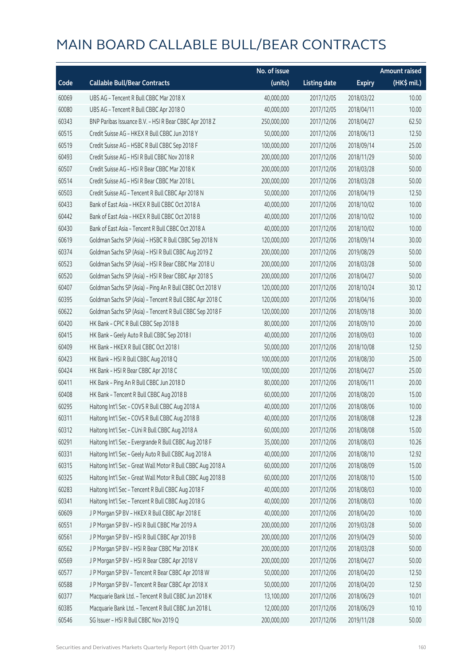|       |                                                             | No. of issue |                     |               | Amount raised         |
|-------|-------------------------------------------------------------|--------------|---------------------|---------------|-----------------------|
| Code  | <b>Callable Bull/Bear Contracts</b>                         | (units)      | <b>Listing date</b> | <b>Expiry</b> | $(HK\frac{1}{2}mil.)$ |
| 60069 | UBS AG - Tencent R Bull CBBC Mar 2018 X                     | 40,000,000   | 2017/12/05          | 2018/03/22    | 10.00                 |
| 60080 | UBS AG - Tencent R Bull CBBC Apr 2018 O                     | 40,000,000   | 2017/12/05          | 2018/04/11    | 10.00                 |
| 60343 | BNP Paribas Issuance B.V. - HSI R Bear CBBC Apr 2018 Z      | 250,000,000  | 2017/12/06          | 2018/04/27    | 62.50                 |
| 60515 | Credit Suisse AG - HKEX R Bull CBBC Jun 2018 Y              | 50,000,000   | 2017/12/06          | 2018/06/13    | 12.50                 |
| 60519 | Credit Suisse AG - HSBC R Bull CBBC Sep 2018 F              | 100,000,000  | 2017/12/06          | 2018/09/14    | 25.00                 |
| 60493 | Credit Suisse AG - HSI R Bull CBBC Nov 2018 R               | 200,000,000  | 2017/12/06          | 2018/11/29    | 50.00                 |
| 60507 | Credit Suisse AG - HSI R Bear CBBC Mar 2018 K               | 200,000,000  | 2017/12/06          | 2018/03/28    | 50.00                 |
| 60514 | Credit Suisse AG - HSI R Bear CBBC Mar 2018 L               | 200,000,000  | 2017/12/06          | 2018/03/28    | 50.00                 |
| 60503 | Credit Suisse AG - Tencent R Bull CBBC Apr 2018 N           | 50,000,000   | 2017/12/06          | 2018/04/19    | 12.50                 |
| 60433 | Bank of East Asia - HKEX R Bull CBBC Oct 2018 A             | 40,000,000   | 2017/12/06          | 2018/10/02    | 10.00                 |
| 60442 | Bank of East Asia - HKEX R Bull CBBC Oct 2018 B             | 40,000,000   | 2017/12/06          | 2018/10/02    | 10.00                 |
| 60430 | Bank of East Asia - Tencent R Bull CBBC Oct 2018 A          | 40,000,000   | 2017/12/06          | 2018/10/02    | 10.00                 |
| 60619 | Goldman Sachs SP (Asia) - HSBC R Bull CBBC Sep 2018 N       | 120,000,000  | 2017/12/06          | 2018/09/14    | 30.00                 |
| 60374 | Goldman Sachs SP (Asia) - HSI R Bull CBBC Aug 2019 Z        | 200,000,000  | 2017/12/06          | 2019/08/29    | 50.00                 |
| 60523 | Goldman Sachs SP (Asia) - HSI R Bear CBBC Mar 2018 U        | 200,000,000  | 2017/12/06          | 2018/03/28    | 50.00                 |
| 60520 | Goldman Sachs SP (Asia) - HSI R Bear CBBC Apr 2018 S        | 200,000,000  | 2017/12/06          | 2018/04/27    | 50.00                 |
| 60407 | Goldman Sachs SP (Asia) - Ping An R Bull CBBC Oct 2018 V    | 120,000,000  | 2017/12/06          | 2018/10/24    | 30.12                 |
| 60395 | Goldman Sachs SP (Asia) - Tencent R Bull CBBC Apr 2018 C    | 120,000,000  | 2017/12/06          | 2018/04/16    | 30.00                 |
| 60622 | Goldman Sachs SP (Asia) - Tencent R Bull CBBC Sep 2018 F    | 120,000,000  | 2017/12/06          | 2018/09/18    | 30.00                 |
| 60420 | HK Bank - CPIC R Bull CBBC Sep 2018 B                       | 80,000,000   | 2017/12/06          | 2018/09/10    | 20.00                 |
| 60415 | HK Bank - Geely Auto R Bull CBBC Sep 2018 I                 | 40,000,000   | 2017/12/06          | 2018/09/03    | 10.00                 |
| 60409 | HK Bank - HKEX R Bull CBBC Oct 2018 I                       | 50,000,000   | 2017/12/06          | 2018/10/08    | 12.50                 |
| 60423 | HK Bank - HSI R Bull CBBC Aug 2018 Q                        | 100,000,000  | 2017/12/06          | 2018/08/30    | 25.00                 |
| 60424 | HK Bank - HSI R Bear CBBC Apr 2018 C                        | 100,000,000  | 2017/12/06          | 2018/04/27    | 25.00                 |
| 60411 | HK Bank - Ping An R Bull CBBC Jun 2018 D                    | 80,000,000   | 2017/12/06          | 2018/06/11    | 20.00                 |
| 60408 | HK Bank - Tencent R Bull CBBC Aug 2018 B                    | 60,000,000   | 2017/12/06          | 2018/08/20    | 15.00                 |
| 60295 | Haitong Int'l Sec - COVS R Bull CBBC Aug 2018 A             | 40,000,000   | 2017/12/06          | 2018/08/06    | 10.00                 |
| 60311 | Haitong Int'l Sec - COVS R Bull CBBC Aug 2018 B             | 40,000,000   | 2017/12/06          | 2018/08/08    | 12.28                 |
| 60312 | Haitong Int'l Sec - CUni R Bull CBBC Aug 2018 A             | 60,000,000   | 2017/12/06          | 2018/08/08    | 15.00                 |
| 60291 | Haitong Int'l Sec - Evergrande R Bull CBBC Aug 2018 F       | 35,000,000   | 2017/12/06          | 2018/08/03    | 10.26                 |
| 60331 | Haitong Int'l Sec - Geely Auto R Bull CBBC Aug 2018 A       | 40,000,000   | 2017/12/06          | 2018/08/10    | 12.92                 |
| 60315 | Haitong Int'l Sec - Great Wall Motor R Bull CBBC Aug 2018 A | 60,000,000   | 2017/12/06          | 2018/08/09    | 15.00                 |
| 60325 | Haitong Int'l Sec - Great Wall Motor R Bull CBBC Aug 2018 B | 60,000,000   | 2017/12/06          | 2018/08/10    | 15.00                 |
| 60283 | Haitong Int'l Sec - Tencent R Bull CBBC Aug 2018 F          | 40,000,000   | 2017/12/06          | 2018/08/03    | 10.00                 |
| 60341 | Haitong Int'l Sec - Tencent R Bull CBBC Aug 2018 G          | 40,000,000   | 2017/12/06          | 2018/08/03    | 10.00                 |
| 60609 | J P Morgan SP BV - HKEX R Bull CBBC Apr 2018 E              | 40,000,000   | 2017/12/06          | 2018/04/20    | 10.00                 |
| 60551 | J P Morgan SP BV - HSI R Bull CBBC Mar 2019 A               | 200,000,000  | 2017/12/06          | 2019/03/28    | 50.00                 |
| 60561 | J P Morgan SP BV - HSI R Bull CBBC Apr 2019 B               | 200,000,000  | 2017/12/06          | 2019/04/29    | 50.00                 |
| 60562 | J P Morgan SP BV - HSI R Bear CBBC Mar 2018 K               | 200,000,000  | 2017/12/06          | 2018/03/28    | 50.00                 |
| 60569 | J P Morgan SP BV - HSI R Bear CBBC Apr 2018 V               | 200,000,000  | 2017/12/06          | 2018/04/27    | 50.00                 |
| 60577 | J P Morgan SP BV - Tencent R Bear CBBC Apr 2018 W           | 50,000,000   | 2017/12/06          | 2018/04/20    | 12.50                 |
| 60588 | J P Morgan SP BV - Tencent R Bear CBBC Apr 2018 X           | 50,000,000   | 2017/12/06          | 2018/04/20    | 12.50                 |
| 60377 | Macquarie Bank Ltd. - Tencent R Bull CBBC Jun 2018 K        | 13,100,000   | 2017/12/06          | 2018/06/29    | 10.01                 |
| 60385 | Macquarie Bank Ltd. - Tencent R Bull CBBC Jun 2018 L        | 12,000,000   | 2017/12/06          | 2018/06/29    | 10.10                 |
| 60546 | SG Issuer - HSI R Bull CBBC Nov 2019 Q                      | 200,000,000  | 2017/12/06          | 2019/11/28    | 50.00                 |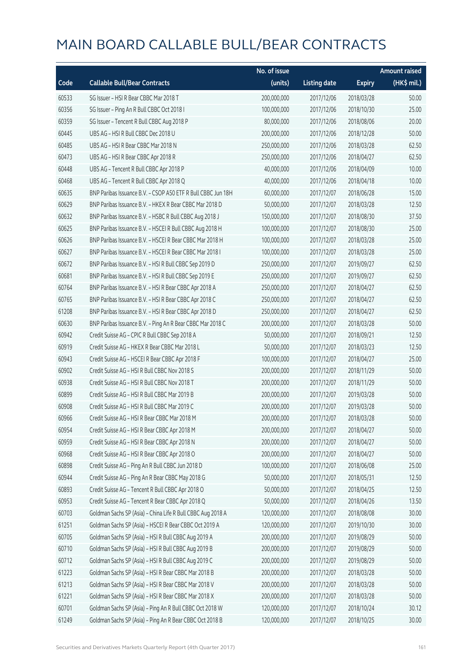|       |                                                              | No. of issue |                     |               | <b>Amount raised</b> |
|-------|--------------------------------------------------------------|--------------|---------------------|---------------|----------------------|
| Code  | <b>Callable Bull/Bear Contracts</b>                          | (units)      | <b>Listing date</b> | <b>Expiry</b> | (HK\$ mil.)          |
| 60533 | SG Issuer - HSI R Bear CBBC Mar 2018 T                       | 200,000,000  | 2017/12/06          | 2018/03/28    | 50.00                |
| 60356 | SG Issuer - Ping An R Bull CBBC Oct 2018 I                   | 100,000,000  | 2017/12/06          | 2018/10/30    | 25.00                |
| 60359 | SG Issuer - Tencent R Bull CBBC Aug 2018 P                   | 80,000,000   | 2017/12/06          | 2018/08/06    | 20.00                |
| 60445 | UBS AG - HSI R Bull CBBC Dec 2018 U                          | 200,000,000  | 2017/12/06          | 2018/12/28    | 50.00                |
| 60485 | UBS AG - HSI R Bear CBBC Mar 2018 N                          | 250,000,000  | 2017/12/06          | 2018/03/28    | 62.50                |
| 60473 | UBS AG - HSI R Bear CBBC Apr 2018 R                          | 250,000,000  | 2017/12/06          | 2018/04/27    | 62.50                |
| 60448 | UBS AG - Tencent R Bull CBBC Apr 2018 P                      | 40,000,000   | 2017/12/06          | 2018/04/09    | 10.00                |
| 60468 | UBS AG - Tencent R Bull CBBC Apr 2018 Q                      | 40,000,000   | 2017/12/06          | 2018/04/18    | 10.00                |
| 60635 | BNP Paribas Issuance B.V. - CSOP A50 ETF R Bull CBBC Jun 18H | 60,000,000   | 2017/12/07          | 2018/06/28    | 15.00                |
| 60629 | BNP Paribas Issuance B.V. - HKEX R Bear CBBC Mar 2018 D      | 50,000,000   | 2017/12/07          | 2018/03/28    | 12.50                |
| 60632 | BNP Paribas Issuance B.V. - HSBC R Bull CBBC Aug 2018 J      | 150,000,000  | 2017/12/07          | 2018/08/30    | 37.50                |
| 60625 | BNP Paribas Issuance B.V. - HSCEI R Bull CBBC Aug 2018 H     | 100,000,000  | 2017/12/07          | 2018/08/30    | 25.00                |
| 60626 | BNP Paribas Issuance B.V. - HSCEI R Bear CBBC Mar 2018 H     | 100,000,000  | 2017/12/07          | 2018/03/28    | 25.00                |
| 60627 | BNP Paribas Issuance B.V. - HSCEI R Bear CBBC Mar 2018 I     | 100,000,000  | 2017/12/07          | 2018/03/28    | 25.00                |
| 60672 | BNP Paribas Issuance B.V. - HSI R Bull CBBC Sep 2019 D       | 250,000,000  | 2017/12/07          | 2019/09/27    | 62.50                |
| 60681 | BNP Paribas Issuance B.V. - HSI R Bull CBBC Sep 2019 E       | 250,000,000  | 2017/12/07          | 2019/09/27    | 62.50                |
| 60764 | BNP Paribas Issuance B.V. - HSI R Bear CBBC Apr 2018 A       | 250,000,000  | 2017/12/07          | 2018/04/27    | 62.50                |
| 60765 | BNP Paribas Issuance B.V. - HSI R Bear CBBC Apr 2018 C       | 250,000,000  | 2017/12/07          | 2018/04/27    | 62.50                |
| 61208 | BNP Paribas Issuance B.V. - HSI R Bear CBBC Apr 2018 D       | 250,000,000  | 2017/12/07          | 2018/04/27    | 62.50                |
| 60630 | BNP Paribas Issuance B.V. - Ping An R Bear CBBC Mar 2018 C   | 200,000,000  | 2017/12/07          | 2018/03/28    | 50.00                |
| 60942 | Credit Suisse AG - CPIC R Bull CBBC Sep 2018 A               | 50,000,000   | 2017/12/07          | 2018/09/21    | 12.50                |
| 60919 | Credit Suisse AG - HKEX R Bear CBBC Mar 2018 L               | 50,000,000   | 2017/12/07          | 2018/03/23    | 12.50                |
| 60943 | Credit Suisse AG - HSCEI R Bear CBBC Apr 2018 F              | 100,000,000  | 2017/12/07          | 2018/04/27    | 25.00                |
| 60902 | Credit Suisse AG - HSI R Bull CBBC Nov 2018 S                | 200,000,000  | 2017/12/07          | 2018/11/29    | 50.00                |
| 60938 | Credit Suisse AG - HSI R Bull CBBC Nov 2018 T                | 200,000,000  | 2017/12/07          | 2018/11/29    | 50.00                |
| 60899 | Credit Suisse AG - HSI R Bull CBBC Mar 2019 B                | 200,000,000  | 2017/12/07          | 2019/03/28    | 50.00                |
| 60908 | Credit Suisse AG - HSI R Bull CBBC Mar 2019 C                | 200,000,000  | 2017/12/07          | 2019/03/28    | 50.00                |
| 60966 | Credit Suisse AG - HSI R Bear CBBC Mar 2018 M                | 200,000,000  | 2017/12/07          | 2018/03/28    | 50.00                |
| 60954 | Credit Suisse AG - HSI R Bear CBBC Apr 2018 M                | 200,000,000  | 2017/12/07          | 2018/04/27    | 50.00                |
| 60959 | Credit Suisse AG - HSI R Bear CBBC Apr 2018 N                | 200,000,000  | 2017/12/07          | 2018/04/27    | 50.00                |
| 60968 | Credit Suisse AG - HSI R Bear CBBC Apr 2018 O                | 200,000,000  | 2017/12/07          | 2018/04/27    | 50.00                |
| 60898 | Credit Suisse AG - Ping An R Bull CBBC Jun 2018 D            | 100,000,000  | 2017/12/07          | 2018/06/08    | 25.00                |
| 60944 | Credit Suisse AG - Ping An R Bear CBBC May 2018 G            | 50,000,000   | 2017/12/07          | 2018/05/31    | 12.50                |
| 60893 | Credit Suisse AG - Tencent R Bull CBBC Apr 2018 O            | 50,000,000   | 2017/12/07          | 2018/04/25    | 12.50                |
| 60953 | Credit Suisse AG - Tencent R Bear CBBC Apr 2018 Q            | 50,000,000   | 2017/12/07          | 2018/04/26    | 13.50                |
| 60703 | Goldman Sachs SP (Asia) - China Life R Bull CBBC Aug 2018 A  | 120,000,000  | 2017/12/07          | 2018/08/08    | 30.00                |
| 61251 | Goldman Sachs SP (Asia) - HSCEI R Bear CBBC Oct 2019 A       | 120,000,000  | 2017/12/07          | 2019/10/30    | 30.00                |
| 60705 | Goldman Sachs SP (Asia) - HSI R Bull CBBC Aug 2019 A         | 200,000,000  | 2017/12/07          | 2019/08/29    | 50.00                |
| 60710 | Goldman Sachs SP (Asia) - HSI R Bull CBBC Aug 2019 B         | 200,000,000  | 2017/12/07          | 2019/08/29    | 50.00                |
| 60712 | Goldman Sachs SP (Asia) - HSI R Bull CBBC Aug 2019 C         | 200,000,000  | 2017/12/07          | 2019/08/29    | 50.00                |
| 61223 | Goldman Sachs SP (Asia) - HSI R Bear CBBC Mar 2018 B         | 200,000,000  | 2017/12/07          | 2018/03/28    | 50.00                |
| 61213 | Goldman Sachs SP (Asia) - HSI R Bear CBBC Mar 2018 V         | 200,000,000  | 2017/12/07          | 2018/03/28    | 50.00                |
| 61221 | Goldman Sachs SP (Asia) - HSI R Bear CBBC Mar 2018 X         | 200,000,000  | 2017/12/07          | 2018/03/28    | 50.00                |
| 60701 | Goldman Sachs SP (Asia) - Ping An R Bull CBBC Oct 2018 W     | 120,000,000  | 2017/12/07          | 2018/10/24    | 30.12                |
| 61249 | Goldman Sachs SP (Asia) - Ping An R Bear CBBC Oct 2018 B     | 120,000,000  | 2017/12/07          | 2018/10/25    | 30.00                |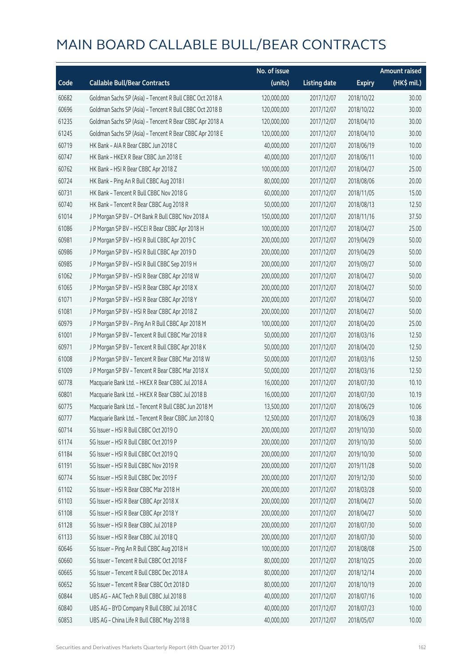|       |                                                          | No. of issue |                     |               | <b>Amount raised</b> |
|-------|----------------------------------------------------------|--------------|---------------------|---------------|----------------------|
| Code  | <b>Callable Bull/Bear Contracts</b>                      | (units)      | <b>Listing date</b> | <b>Expiry</b> | $(HK\$ mil.)         |
| 60682 | Goldman Sachs SP (Asia) - Tencent R Bull CBBC Oct 2018 A | 120,000,000  | 2017/12/07          | 2018/10/22    | 30.00                |
| 60696 | Goldman Sachs SP (Asia) - Tencent R Bull CBBC Oct 2018 B | 120,000,000  | 2017/12/07          | 2018/10/22    | 30.00                |
| 61235 | Goldman Sachs SP (Asia) - Tencent R Bear CBBC Apr 2018 A | 120,000,000  | 2017/12/07          | 2018/04/10    | 30.00                |
| 61245 | Goldman Sachs SP (Asia) - Tencent R Bear CBBC Apr 2018 E | 120,000,000  | 2017/12/07          | 2018/04/10    | 30.00                |
| 60719 | HK Bank - AIA R Bear CBBC Jun 2018 C                     | 40,000,000   | 2017/12/07          | 2018/06/19    | 10.00                |
| 60747 | HK Bank - HKEX R Bear CBBC Jun 2018 E                    | 40,000,000   | 2017/12/07          | 2018/06/11    | 10.00                |
| 60762 | HK Bank - HSI R Bear CBBC Apr 2018 Z                     | 100,000,000  | 2017/12/07          | 2018/04/27    | 25.00                |
| 60724 | HK Bank - Ping An R Bull CBBC Aug 2018 I                 | 80,000,000   | 2017/12/07          | 2018/08/06    | 20.00                |
| 60731 | HK Bank - Tencent R Bull CBBC Nov 2018 G                 | 60,000,000   | 2017/12/07          | 2018/11/05    | 15.00                |
| 60740 | HK Bank - Tencent R Bear CBBC Aug 2018 R                 | 50,000,000   | 2017/12/07          | 2018/08/13    | 12.50                |
| 61014 | J P Morgan SP BV - CM Bank R Bull CBBC Nov 2018 A        | 150,000,000  | 2017/12/07          | 2018/11/16    | 37.50                |
| 61086 | J P Morgan SP BV - HSCEI R Bear CBBC Apr 2018 H          | 100,000,000  | 2017/12/07          | 2018/04/27    | 25.00                |
| 60981 | J P Morgan SP BV - HSI R Bull CBBC Apr 2019 C            | 200,000,000  | 2017/12/07          | 2019/04/29    | 50.00                |
| 60986 | J P Morgan SP BV - HSI R Bull CBBC Apr 2019 D            | 200,000,000  | 2017/12/07          | 2019/04/29    | 50.00                |
| 60985 | J P Morgan SP BV - HSI R Bull CBBC Sep 2019 H            | 200,000,000  | 2017/12/07          | 2019/09/27    | 50.00                |
| 61062 | J P Morgan SP BV - HSI R Bear CBBC Apr 2018 W            | 200,000,000  | 2017/12/07          | 2018/04/27    | 50.00                |
| 61065 | J P Morgan SP BV - HSI R Bear CBBC Apr 2018 X            | 200,000,000  | 2017/12/07          | 2018/04/27    | 50.00                |
| 61071 | J P Morgan SP BV - HSI R Bear CBBC Apr 2018 Y            | 200,000,000  | 2017/12/07          | 2018/04/27    | 50.00                |
| 61081 | J P Morgan SP BV - HSI R Bear CBBC Apr 2018 Z            | 200,000,000  | 2017/12/07          | 2018/04/27    | 50.00                |
| 60979 | J P Morgan SP BV - Ping An R Bull CBBC Apr 2018 M        | 100,000,000  | 2017/12/07          | 2018/04/20    | 25.00                |
| 61001 | J P Morgan SP BV - Tencent R Bull CBBC Mar 2018 R        | 50,000,000   | 2017/12/07          | 2018/03/16    | 12.50                |
| 60971 | J P Morgan SP BV - Tencent R Bull CBBC Apr 2018 K        | 50,000,000   | 2017/12/07          | 2018/04/20    | 12.50                |
| 61008 | J P Morgan SP BV - Tencent R Bear CBBC Mar 2018 W        | 50,000,000   | 2017/12/07          | 2018/03/16    | 12.50                |
| 61009 | J P Morgan SP BV - Tencent R Bear CBBC Mar 2018 X        | 50,000,000   | 2017/12/07          | 2018/03/16    | 12.50                |
| 60778 | Macquarie Bank Ltd. - HKEX R Bear CBBC Jul 2018 A        | 16,000,000   | 2017/12/07          | 2018/07/30    | 10.10                |
| 60801 | Macquarie Bank Ltd. - HKEX R Bear CBBC Jul 2018 B        | 16,000,000   | 2017/12/07          | 2018/07/30    | 10.19                |
| 60775 | Macquarie Bank Ltd. - Tencent R Bull CBBC Jun 2018 M     | 13,500,000   | 2017/12/07          | 2018/06/29    | 10.06                |
| 60777 | Macquarie Bank Ltd. - Tencent R Bear CBBC Jun 2018 Q     | 12,500,000   | 2017/12/07          | 2018/06/29    | 10.38                |
| 60714 | SG Issuer - HSI R Bull CBBC Oct 2019 O                   | 200,000,000  | 2017/12/07          | 2019/10/30    | 50.00                |
| 61174 | SG Issuer - HSI R Bull CBBC Oct 2019 P                   | 200,000,000  | 2017/12/07          | 2019/10/30    | 50.00                |
| 61184 | SG Issuer - HSI R Bull CBBC Oct 2019 Q                   | 200,000,000  | 2017/12/07          | 2019/10/30    | 50.00                |
| 61191 | SG Issuer - HSI R Bull CBBC Nov 2019 R                   | 200,000,000  | 2017/12/07          | 2019/11/28    | 50.00                |
| 60774 | SG Issuer - HSI R Bull CBBC Dec 2019 F                   | 200,000,000  | 2017/12/07          | 2019/12/30    | 50.00                |
| 61102 | SG Issuer - HSI R Bear CBBC Mar 2018 H                   | 200,000,000  | 2017/12/07          | 2018/03/28    | 50.00                |
| 61103 | SG Issuer - HSI R Bear CBBC Apr 2018 X                   | 200,000,000  | 2017/12/07          | 2018/04/27    | 50.00                |
| 61108 | SG Issuer - HSI R Bear CBBC Apr 2018 Y                   | 200,000,000  | 2017/12/07          | 2018/04/27    | 50.00                |
| 61128 | SG Issuer - HSI R Bear CBBC Jul 2018 P                   | 200,000,000  | 2017/12/07          | 2018/07/30    | 50.00                |
| 61133 | SG Issuer - HSI R Bear CBBC Jul 2018 Q                   | 200,000,000  | 2017/12/07          | 2018/07/30    | 50.00                |
| 60646 | SG Issuer - Ping An R Bull CBBC Aug 2018 H               | 100,000,000  | 2017/12/07          | 2018/08/08    | 25.00                |
| 60660 | SG Issuer - Tencent R Bull CBBC Oct 2018 F               | 80,000,000   | 2017/12/07          | 2018/10/25    | 20.00                |
| 60665 | SG Issuer - Tencent R Bull CBBC Dec 2018 A               | 80,000,000   | 2017/12/07          | 2018/12/14    | 20.00                |
| 60652 | SG Issuer - Tencent R Bear CBBC Oct 2018 D               | 80,000,000   | 2017/12/07          | 2018/10/19    | 20.00                |
| 60844 | UBS AG - AAC Tech R Bull CBBC Jul 2018 B                 | 40,000,000   | 2017/12/07          | 2018/07/16    | 10.00                |
| 60840 | UBS AG - BYD Company R Bull CBBC Jul 2018 C              | 40,000,000   | 2017/12/07          | 2018/07/23    | 10.00                |
| 60853 | UBS AG - China Life R Bull CBBC May 2018 B               | 40,000,000   | 2017/12/07          | 2018/05/07    | 10.00                |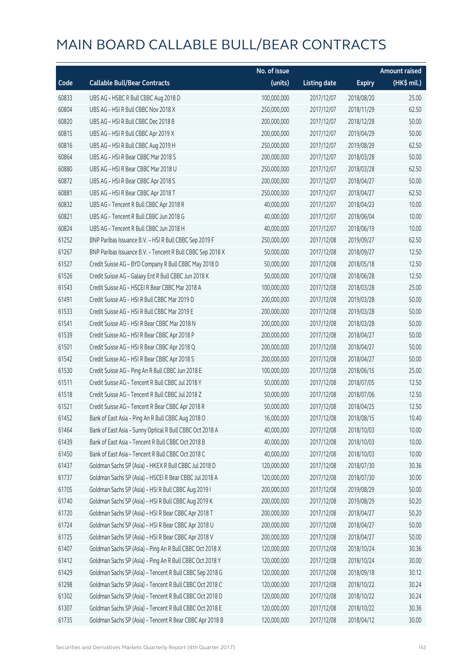|       |                                                            | No. of issue |                     |               | <b>Amount raised</b> |
|-------|------------------------------------------------------------|--------------|---------------------|---------------|----------------------|
| Code  | <b>Callable Bull/Bear Contracts</b>                        | (units)      | <b>Listing date</b> | <b>Expiry</b> | (HK\$ mil.)          |
| 60833 | UBS AG - HSBC R Bull CBBC Aug 2018 D                       | 100,000,000  | 2017/12/07          | 2018/08/20    | 25.00                |
| 60804 | UBS AG - HSI R Bull CBBC Nov 2018 X                        | 250,000,000  | 2017/12/07          | 2018/11/29    | 62.50                |
| 60820 | UBS AG - HSI R Bull CBBC Dec 2018 B                        | 200,000,000  | 2017/12/07          | 2018/12/28    | 50.00                |
| 60815 | UBS AG - HSI R Bull CBBC Apr 2019 X                        | 200,000,000  | 2017/12/07          | 2019/04/29    | 50.00                |
| 60816 | UBS AG - HSI R Bull CBBC Aug 2019 H                        | 250,000,000  | 2017/12/07          | 2019/08/29    | 62.50                |
| 60864 | UBS AG - HSI R Bear CBBC Mar 2018 S                        | 200,000,000  | 2017/12/07          | 2018/03/28    | 50.00                |
| 60880 | UBS AG - HSI R Bear CBBC Mar 2018 U                        | 250,000,000  | 2017/12/07          | 2018/03/28    | 62.50                |
| 60872 | UBS AG - HSI R Bear CBBC Apr 2018 S                        | 200,000,000  | 2017/12/07          | 2018/04/27    | 50.00                |
| 60881 | UBS AG - HSI R Bear CBBC Apr 2018 T                        | 250,000,000  | 2017/12/07          | 2018/04/27    | 62.50                |
| 60832 | UBS AG - Tencent R Bull CBBC Apr 2018 R                    | 40,000,000   | 2017/12/07          | 2018/04/23    | 10.00                |
| 60821 | UBS AG - Tencent R Bull CBBC Jun 2018 G                    | 40,000,000   | 2017/12/07          | 2018/06/04    | 10.00                |
| 60824 | UBS AG - Tencent R Bull CBBC Jun 2018 H                    | 40,000,000   | 2017/12/07          | 2018/06/19    | 10.00                |
| 61252 | BNP Paribas Issuance B.V. - HSI R Bull CBBC Sep 2019 F     | 250,000,000  | 2017/12/08          | 2019/09/27    | 62.50                |
| 61267 | BNP Paribas Issuance B.V. - Tencent R Bull CBBC Sep 2018 X | 50,000,000   | 2017/12/08          | 2018/09/27    | 12.50                |
| 61527 | Credit Suisse AG - BYD Company R Bull CBBC May 2018 D      | 50,000,000   | 2017/12/08          | 2018/05/18    | 12.50                |
| 61526 | Credit Suisse AG - Galaxy Ent R Bull CBBC Jun 2018 K       | 50,000,000   | 2017/12/08          | 2018/06/28    | 12.50                |
| 61543 | Credit Suisse AG - HSCEI R Bear CBBC Mar 2018 A            | 100,000,000  | 2017/12/08          | 2018/03/28    | 25.00                |
| 61491 | Credit Suisse AG - HSI R Bull CBBC Mar 2019 D              | 200,000,000  | 2017/12/08          | 2019/03/28    | 50.00                |
| 61533 | Credit Suisse AG - HSI R Bull CBBC Mar 2019 E              | 200,000,000  | 2017/12/08          | 2019/03/28    | 50.00                |
| 61541 | Credit Suisse AG - HSI R Bear CBBC Mar 2018 N              | 200,000,000  | 2017/12/08          | 2018/03/28    | 50.00                |
| 61539 | Credit Suisse AG - HSI R Bear CBBC Apr 2018 P              | 200,000,000  | 2017/12/08          | 2018/04/27    | 50.00                |
| 61501 | Credit Suisse AG - HSI R Bear CBBC Apr 2018 Q              | 200,000,000  | 2017/12/08          | 2018/04/27    | 50.00                |
| 61542 | Credit Suisse AG - HSI R Bear CBBC Apr 2018 S              | 200,000,000  | 2017/12/08          | 2018/04/27    | 50.00                |
| 61530 | Credit Suisse AG - Ping An R Bull CBBC Jun 2018 E          | 100,000,000  | 2017/12/08          | 2018/06/15    | 25.00                |
| 61511 | Credit Suisse AG - Tencent R Bull CBBC Jul 2018 Y          | 50,000,000   | 2017/12/08          | 2018/07/05    | 12.50                |
| 61518 | Credit Suisse AG - Tencent R Bull CBBC Jul 2018 Z          | 50,000,000   | 2017/12/08          | 2018/07/06    | 12.50                |
| 61521 | Credit Suisse AG - Tencent R Bear CBBC Apr 2018 R          | 50,000,000   | 2017/12/08          | 2018/04/25    | 12.50                |
| 61452 | Bank of East Asia - Ping An R Bull CBBC Aug 2018 O         | 16,000,000   | 2017/12/08          | 2018/08/15    | 10.40                |
| 61464 | Bank of East Asia - Sunny Optical R Bull CBBC Oct 2018 A   | 40,000,000   | 2017/12/08          | 2018/10/03    | 10.00                |
| 61439 | Bank of East Asia - Tencent R Bull CBBC Oct 2018 B         | 40,000,000   | 2017/12/08          | 2018/10/03    | 10.00                |
| 61450 | Bank of East Asia - Tencent R Bull CBBC Oct 2018 C         | 40,000,000   | 2017/12/08          | 2018/10/03    | 10.00                |
| 61437 | Goldman Sachs SP (Asia) - HKEX R Bull CBBC Jul 2018 D      | 120,000,000  | 2017/12/08          | 2018/07/30    | 30.36                |
| 61737 | Goldman Sachs SP (Asia) - HSCEI R Bear CBBC Jul 2018 A     | 120,000,000  | 2017/12/08          | 2018/07/30    | 30.00                |
| 61705 | Goldman Sachs SP (Asia) - HSI R Bull CBBC Aug 2019 I       | 200,000,000  | 2017/12/08          | 2019/08/29    | 50.00                |
| 61740 | Goldman Sachs SP (Asia) - HSI R Bull CBBC Aug 2019 K       | 200,000,000  | 2017/12/08          | 2019/08/29    | 50.20                |
| 61720 | Goldman Sachs SP (Asia) - HSI R Bear CBBC Apr 2018 T       | 200,000,000  | 2017/12/08          | 2018/04/27    | 50.20                |
| 61724 | Goldman Sachs SP (Asia) - HSI R Bear CBBC Apr 2018 U       | 200,000,000  | 2017/12/08          | 2018/04/27    | 50.00                |
| 61725 | Goldman Sachs SP (Asia) - HSI R Bear CBBC Apr 2018 V       | 200,000,000  | 2017/12/08          | 2018/04/27    | 50.00                |
| 61407 | Goldman Sachs SP (Asia) - Ping An R Bull CBBC Oct 2018 X   | 120,000,000  | 2017/12/08          | 2018/10/24    | 30.36                |
| 61412 | Goldman Sachs SP (Asia) - Ping An R Bull CBBC Oct 2018 Y   | 120,000,000  | 2017/12/08          | 2018/10/24    | 30.00                |
| 61429 | Goldman Sachs SP (Asia) - Tencent R Bull CBBC Sep 2018 G   | 120,000,000  | 2017/12/08          | 2018/09/18    | 30.12                |
| 61298 | Goldman Sachs SP (Asia) - Tencent R Bull CBBC Oct 2018 C   | 120,000,000  | 2017/12/08          | 2018/10/22    | 30.24                |
| 61302 | Goldman Sachs SP (Asia) - Tencent R Bull CBBC Oct 2018 D   | 120,000,000  | 2017/12/08          | 2018/10/22    | 30.24                |
| 61307 | Goldman Sachs SP (Asia) - Tencent R Bull CBBC Oct 2018 E   | 120,000,000  | 2017/12/08          | 2018/10/22    | 30.36                |
| 61735 | Goldman Sachs SP (Asia) - Tencent R Bear CBBC Apr 2018 B   | 120,000,000  | 2017/12/08          | 2018/04/12    | 30.00                |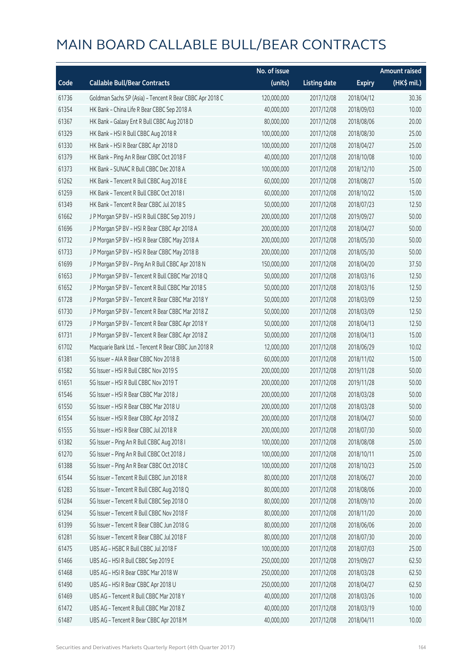|       |                                                          | No. of issue |                     |               | <b>Amount raised</b> |
|-------|----------------------------------------------------------|--------------|---------------------|---------------|----------------------|
| Code  | <b>Callable Bull/Bear Contracts</b>                      | (units)      | <b>Listing date</b> | <b>Expiry</b> | $(HK\$ mil.)         |
| 61736 | Goldman Sachs SP (Asia) - Tencent R Bear CBBC Apr 2018 C | 120,000,000  | 2017/12/08          | 2018/04/12    | 30.36                |
| 61354 | HK Bank - China Life R Bear CBBC Sep 2018 A              | 40,000,000   | 2017/12/08          | 2018/09/03    | 10.00                |
| 61367 | HK Bank - Galaxy Ent R Bull CBBC Aug 2018 D              | 80,000,000   | 2017/12/08          | 2018/08/06    | 20.00                |
| 61329 | HK Bank - HSI R Bull CBBC Aug 2018 R                     | 100,000,000  | 2017/12/08          | 2018/08/30    | 25.00                |
| 61330 | HK Bank - HSI R Bear CBBC Apr 2018 D                     | 100,000,000  | 2017/12/08          | 2018/04/27    | 25.00                |
| 61379 | HK Bank - Ping An R Bear CBBC Oct 2018 F                 | 40,000,000   | 2017/12/08          | 2018/10/08    | 10.00                |
| 61373 | HK Bank - SUNAC R Bull CBBC Dec 2018 A                   | 100,000,000  | 2017/12/08          | 2018/12/10    | 25.00                |
| 61262 | HK Bank - Tencent R Bull CBBC Aug 2018 E                 | 60,000,000   | 2017/12/08          | 2018/08/27    | 15.00                |
| 61259 | HK Bank - Tencent R Bull CBBC Oct 2018 I                 | 60,000,000   | 2017/12/08          | 2018/10/22    | 15.00                |
| 61349 | HK Bank - Tencent R Bear CBBC Jul 2018 S                 | 50,000,000   | 2017/12/08          | 2018/07/23    | 12.50                |
| 61662 | J P Morgan SP BV - HSI R Bull CBBC Sep 2019 J            | 200,000,000  | 2017/12/08          | 2019/09/27    | 50.00                |
| 61696 | J P Morgan SP BV - HSI R Bear CBBC Apr 2018 A            | 200,000,000  | 2017/12/08          | 2018/04/27    | 50.00                |
| 61732 | J P Morgan SP BV - HSI R Bear CBBC May 2018 A            | 200,000,000  | 2017/12/08          | 2018/05/30    | 50.00                |
| 61733 | J P Morgan SP BV - HSI R Bear CBBC May 2018 B            | 200,000,000  | 2017/12/08          | 2018/05/30    | 50.00                |
| 61699 | J P Morgan SP BV - Ping An R Bull CBBC Apr 2018 N        | 150,000,000  | 2017/12/08          | 2018/04/20    | 37.50                |
| 61653 | J P Morgan SP BV - Tencent R Bull CBBC Mar 2018 Q        | 50,000,000   | 2017/12/08          | 2018/03/16    | 12.50                |
| 61652 | J P Morgan SP BV - Tencent R Bull CBBC Mar 2018 S        | 50,000,000   | 2017/12/08          | 2018/03/16    | 12.50                |
| 61728 | J P Morgan SP BV - Tencent R Bear CBBC Mar 2018 Y        | 50,000,000   | 2017/12/08          | 2018/03/09    | 12.50                |
| 61730 | J P Morgan SP BV - Tencent R Bear CBBC Mar 2018 Z        | 50,000,000   | 2017/12/08          | 2018/03/09    | 12.50                |
| 61729 | J P Morgan SP BV - Tencent R Bear CBBC Apr 2018 Y        | 50,000,000   | 2017/12/08          | 2018/04/13    | 12.50                |
| 61731 | JP Morgan SP BV - Tencent R Bear CBBC Apr 2018 Z         | 50,000,000   | 2017/12/08          | 2018/04/13    | 15.00                |
| 61702 | Macquarie Bank Ltd. - Tencent R Bear CBBC Jun 2018 R     | 12,000,000   | 2017/12/08          | 2018/06/29    | 10.02                |
| 61381 | SG Issuer - AIA R Bear CBBC Nov 2018 B                   | 60,000,000   | 2017/12/08          | 2018/11/02    | 15.00                |
| 61582 | SG Issuer - HSI R Bull CBBC Nov 2019 S                   | 200,000,000  | 2017/12/08          | 2019/11/28    | 50.00                |
| 61651 | SG Issuer - HSI R Bull CBBC Nov 2019 T                   | 200,000,000  | 2017/12/08          | 2019/11/28    | 50.00                |
| 61546 | SG Issuer - HSI R Bear CBBC Mar 2018 J                   | 200,000,000  | 2017/12/08          | 2018/03/28    | 50.00                |
| 61550 | SG Issuer - HSI R Bear CBBC Mar 2018 U                   | 200,000,000  | 2017/12/08          | 2018/03/28    | 50.00                |
| 61554 | SG Issuer - HSI R Bear CBBC Apr 2018 Z                   | 200,000,000  | 2017/12/08          | 2018/04/27    | 50.00                |
| 61555 | SG Issuer - HSI R Bear CBBC Jul 2018 R                   | 200,000,000  | 2017/12/08          | 2018/07/30    | 50.00                |
| 61382 | SG Issuer - Ping An R Bull CBBC Aug 2018 I               | 100,000,000  | 2017/12/08          | 2018/08/08    | 25.00                |
| 61270 | SG Issuer - Ping An R Bull CBBC Oct 2018 J               | 100,000,000  | 2017/12/08          | 2018/10/11    | 25.00                |
| 61388 | SG Issuer - Ping An R Bear CBBC Oct 2018 C               | 100,000,000  | 2017/12/08          | 2018/10/23    | 25.00                |
| 61544 | SG Issuer - Tencent R Bull CBBC Jun 2018 R               | 80,000,000   | 2017/12/08          | 2018/06/27    | 20.00                |
| 61283 | SG Issuer - Tencent R Bull CBBC Aug 2018 Q               | 80,000,000   | 2017/12/08          | 2018/08/06    | 20.00                |
| 61284 | SG Issuer - Tencent R Bull CBBC Sep 2018 O               | 80,000,000   | 2017/12/08          | 2018/09/10    | 20.00                |
| 61294 | SG Issuer - Tencent R Bull CBBC Nov 2018 F               | 80,000,000   | 2017/12/08          | 2018/11/20    | 20.00                |
| 61399 | SG Issuer - Tencent R Bear CBBC Jun 2018 G               | 80,000,000   | 2017/12/08          | 2018/06/06    | 20.00                |
| 61281 | SG Issuer - Tencent R Bear CBBC Jul 2018 F               | 80,000,000   | 2017/12/08          | 2018/07/30    | 20.00                |
| 61475 | UBS AG - HSBC R Bull CBBC Jul 2018 F                     | 100,000,000  | 2017/12/08          | 2018/07/03    | 25.00                |
| 61466 | UBS AG - HSI R Bull CBBC Sep 2019 E                      | 250,000,000  | 2017/12/08          | 2019/09/27    | 62.50                |
| 61468 | UBS AG - HSI R Bear CBBC Mar 2018 W                      | 250,000,000  | 2017/12/08          | 2018/03/28    | 62.50                |
| 61490 | UBS AG - HSI R Bear CBBC Apr 2018 U                      | 250,000,000  | 2017/12/08          | 2018/04/27    | 62.50                |
| 61469 | UBS AG - Tencent R Bull CBBC Mar 2018 Y                  | 40,000,000   | 2017/12/08          | 2018/03/26    | 10.00                |
| 61472 | UBS AG - Tencent R Bull CBBC Mar 2018 Z                  | 40,000,000   | 2017/12/08          | 2018/03/19    | 10.00                |
| 61487 | UBS AG - Tencent R Bear CBBC Apr 2018 M                  | 40,000,000   | 2017/12/08          | 2018/04/11    | 10.00                |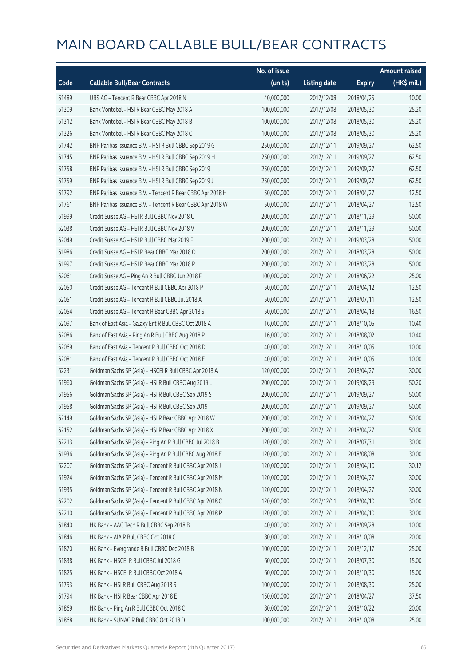|       |                                                            | No. of issue |                     |               | <b>Amount raised</b> |
|-------|------------------------------------------------------------|--------------|---------------------|---------------|----------------------|
| Code  | <b>Callable Bull/Bear Contracts</b>                        | (units)      | <b>Listing date</b> | <b>Expiry</b> | $(HK$$ mil.)         |
| 61489 | UBS AG - Tencent R Bear CBBC Apr 2018 N                    | 40,000,000   | 2017/12/08          | 2018/04/25    | 10.00                |
| 61309 | Bank Vontobel - HSI R Bear CBBC May 2018 A                 | 100,000,000  | 2017/12/08          | 2018/05/30    | 25.20                |
| 61312 | Bank Vontobel - HSI R Bear CBBC May 2018 B                 | 100,000,000  | 2017/12/08          | 2018/05/30    | 25.20                |
| 61326 | Bank Vontobel - HSI R Bear CBBC May 2018 C                 | 100,000,000  | 2017/12/08          | 2018/05/30    | 25.20                |
| 61742 | BNP Paribas Issuance B.V. - HSI R Bull CBBC Sep 2019 G     | 250,000,000  | 2017/12/11          | 2019/09/27    | 62.50                |
| 61745 | BNP Paribas Issuance B.V. - HSI R Bull CBBC Sep 2019 H     | 250,000,000  | 2017/12/11          | 2019/09/27    | 62.50                |
| 61758 | BNP Paribas Issuance B.V. - HSI R Bull CBBC Sep 2019 I     | 250,000,000  | 2017/12/11          | 2019/09/27    | 62.50                |
| 61759 | BNP Paribas Issuance B.V. - HSI R Bull CBBC Sep 2019 J     | 250,000,000  | 2017/12/11          | 2019/09/27    | 62.50                |
| 61792 | BNP Paribas Issuance B.V. - Tencent R Bear CBBC Apr 2018 H | 50,000,000   | 2017/12/11          | 2018/04/27    | 12.50                |
| 61761 | BNP Paribas Issuance B.V. - Tencent R Bear CBBC Apr 2018 W | 50,000,000   | 2017/12/11          | 2018/04/27    | 12.50                |
| 61999 | Credit Suisse AG - HSI R Bull CBBC Nov 2018 U              | 200,000,000  | 2017/12/11          | 2018/11/29    | 50.00                |
| 62038 | Credit Suisse AG - HSI R Bull CBBC Nov 2018 V              | 200,000,000  | 2017/12/11          | 2018/11/29    | 50.00                |
| 62049 | Credit Suisse AG - HSI R Bull CBBC Mar 2019 F              | 200,000,000  | 2017/12/11          | 2019/03/28    | 50.00                |
| 61986 | Credit Suisse AG - HSI R Bear CBBC Mar 2018 O              | 200,000,000  | 2017/12/11          | 2018/03/28    | 50.00                |
| 61997 | Credit Suisse AG - HSI R Bear CBBC Mar 2018 P              | 200,000,000  | 2017/12/11          | 2018/03/28    | 50.00                |
| 62061 | Credit Suisse AG - Ping An R Bull CBBC Jun 2018 F          | 100,000,000  | 2017/12/11          | 2018/06/22    | 25.00                |
| 62050 | Credit Suisse AG - Tencent R Bull CBBC Apr 2018 P          | 50,000,000   | 2017/12/11          | 2018/04/12    | 12.50                |
| 62051 | Credit Suisse AG - Tencent R Bull CBBC Jul 2018 A          | 50,000,000   | 2017/12/11          | 2018/07/11    | 12.50                |
| 62054 | Credit Suisse AG - Tencent R Bear CBBC Apr 2018 S          | 50,000,000   | 2017/12/11          | 2018/04/18    | 16.50                |
| 62097 | Bank of East Asia - Galaxy Ent R Bull CBBC Oct 2018 A      | 16,000,000   | 2017/12/11          | 2018/10/05    | 10.40                |
| 62086 | Bank of East Asia - Ping An R Bull CBBC Aug 2018 P         | 16,000,000   | 2017/12/11          | 2018/08/02    | 10.40                |
| 62069 | Bank of East Asia - Tencent R Bull CBBC Oct 2018 D         | 40,000,000   | 2017/12/11          | 2018/10/05    | 10.00                |
| 62081 | Bank of East Asia - Tencent R Bull CBBC Oct 2018 E         | 40,000,000   | 2017/12/11          | 2018/10/05    | 10.00                |
| 62231 | Goldman Sachs SP (Asia) - HSCEI R Bull CBBC Apr 2018 A     | 120,000,000  | 2017/12/11          | 2018/04/27    | 30.00                |
| 61960 | Goldman Sachs SP (Asia) - HSI R Bull CBBC Aug 2019 L       | 200,000,000  | 2017/12/11          | 2019/08/29    | 50.20                |
| 61956 | Goldman Sachs SP (Asia) - HSI R Bull CBBC Sep 2019 S       | 200,000,000  | 2017/12/11          | 2019/09/27    | 50.00                |
| 61958 | Goldman Sachs SP (Asia) - HSI R Bull CBBC Sep 2019 T       | 200,000,000  | 2017/12/11          | 2019/09/27    | 50.00                |
| 62149 | Goldman Sachs SP (Asia) - HSI R Bear CBBC Apr 2018 W       | 200,000,000  | 2017/12/11          | 2018/04/27    | 50.00                |
| 62152 | Goldman Sachs SP (Asia) - HSI R Bear CBBC Apr 2018 X       | 200,000,000  | 2017/12/11          | 2018/04/27    | 50.00                |
| 62213 | Goldman Sachs SP (Asia) - Ping An R Bull CBBC Jul 2018 B   | 120,000,000  | 2017/12/11          | 2018/07/31    | 30.00                |
| 61936 | Goldman Sachs SP (Asia) - Ping An R Bull CBBC Aug 2018 E   | 120,000,000  | 2017/12/11          | 2018/08/08    | 30.00                |
| 62207 | Goldman Sachs SP (Asia) - Tencent R Bull CBBC Apr 2018 J   | 120,000,000  | 2017/12/11          | 2018/04/10    | 30.12                |
| 61924 | Goldman Sachs SP (Asia) - Tencent R Bull CBBC Apr 2018 M   | 120,000,000  | 2017/12/11          | 2018/04/27    | 30.00                |
| 61935 | Goldman Sachs SP (Asia) - Tencent R Bull CBBC Apr 2018 N   | 120,000,000  | 2017/12/11          | 2018/04/27    | 30.00                |
| 62202 | Goldman Sachs SP (Asia) - Tencent R Bull CBBC Apr 2018 O   | 120,000,000  | 2017/12/11          | 2018/04/10    | 30.00                |
| 62210 | Goldman Sachs SP (Asia) - Tencent R Bull CBBC Apr 2018 P   | 120,000,000  | 2017/12/11          | 2018/04/10    | 30.00                |
| 61840 | HK Bank - AAC Tech R Bull CBBC Sep 2018 B                  | 40,000,000   | 2017/12/11          | 2018/09/28    | 10.00                |
| 61846 | HK Bank - AIA R Bull CBBC Oct 2018 C                       | 80,000,000   | 2017/12/11          | 2018/10/08    | 20.00                |
| 61870 | HK Bank - Evergrande R Bull CBBC Dec 2018 B                | 100,000,000  | 2017/12/11          | 2018/12/17    | 25.00                |
| 61838 | HK Bank - HSCEI R Bull CBBC Jul 2018 G                     | 60,000,000   | 2017/12/11          | 2018/07/30    | 15.00                |
| 61825 | HK Bank - HSCEI R Bull CBBC Oct 2018 A                     | 60,000,000   | 2017/12/11          | 2018/10/30    | 15.00                |
| 61793 | HK Bank - HSI R Bull CBBC Aug 2018 S                       | 100,000,000  | 2017/12/11          | 2018/08/30    | 25.00                |
| 61794 | HK Bank - HSI R Bear CBBC Apr 2018 E                       | 150,000,000  | 2017/12/11          | 2018/04/27    | 37.50                |
| 61869 | HK Bank - Ping An R Bull CBBC Oct 2018 C                   | 80,000,000   | 2017/12/11          | 2018/10/22    | 20.00                |
| 61868 | HK Bank - SUNAC R Bull CBBC Oct 2018 D                     | 100,000,000  | 2017/12/11          | 2018/10/08    | 25.00                |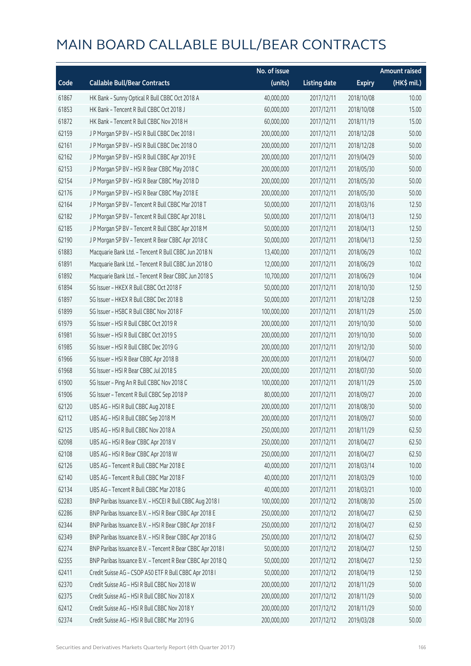|       |                                                            | No. of issue |                     |               | <b>Amount raised</b> |
|-------|------------------------------------------------------------|--------------|---------------------|---------------|----------------------|
| Code  | <b>Callable Bull/Bear Contracts</b>                        | (units)      | <b>Listing date</b> | <b>Expiry</b> | (HK\$ mil.)          |
| 61867 | HK Bank - Sunny Optical R Bull CBBC Oct 2018 A             | 40,000,000   | 2017/12/11          | 2018/10/08    | 10.00                |
| 61853 | HK Bank - Tencent R Bull CBBC Oct 2018 J                   | 60,000,000   | 2017/12/11          | 2018/10/08    | 15.00                |
| 61872 | HK Bank - Tencent R Bull CBBC Nov 2018 H                   | 60,000,000   | 2017/12/11          | 2018/11/19    | 15.00                |
| 62159 | J P Morgan SP BV - HSI R Bull CBBC Dec 2018 I              | 200,000,000  | 2017/12/11          | 2018/12/28    | 50.00                |
| 62161 | J P Morgan SP BV - HSI R Bull CBBC Dec 2018 O              | 200,000,000  | 2017/12/11          | 2018/12/28    | 50.00                |
| 62162 | J P Morgan SP BV - HSI R Bull CBBC Apr 2019 E              | 200,000,000  | 2017/12/11          | 2019/04/29    | 50.00                |
| 62153 | J P Morgan SP BV - HSI R Bear CBBC May 2018 C              | 200,000,000  | 2017/12/11          | 2018/05/30    | 50.00                |
| 62154 | J P Morgan SP BV - HSI R Bear CBBC May 2018 D              | 200,000,000  | 2017/12/11          | 2018/05/30    | 50.00                |
| 62176 | J P Morgan SP BV - HSI R Bear CBBC May 2018 E              | 200,000,000  | 2017/12/11          | 2018/05/30    | 50.00                |
| 62164 | J P Morgan SP BV - Tencent R Bull CBBC Mar 2018 T          | 50,000,000   | 2017/12/11          | 2018/03/16    | 12.50                |
| 62182 | J P Morgan SP BV - Tencent R Bull CBBC Apr 2018 L          | 50,000,000   | 2017/12/11          | 2018/04/13    | 12.50                |
| 62185 | J P Morgan SP BV - Tencent R Bull CBBC Apr 2018 M          | 50,000,000   | 2017/12/11          | 2018/04/13    | 12.50                |
| 62190 | J P Morgan SP BV - Tencent R Bear CBBC Apr 2018 C          | 50,000,000   | 2017/12/11          | 2018/04/13    | 12.50                |
| 61883 | Macquarie Bank Ltd. - Tencent R Bull CBBC Jun 2018 N       | 13,400,000   | 2017/12/11          | 2018/06/29    | 10.02                |
| 61891 | Macquarie Bank Ltd. - Tencent R Bull CBBC Jun 2018 O       | 12,000,000   | 2017/12/11          | 2018/06/29    | 10.02                |
| 61892 | Macquarie Bank Ltd. - Tencent R Bear CBBC Jun 2018 S       | 10,700,000   | 2017/12/11          | 2018/06/29    | 10.04                |
| 61894 | SG Issuer - HKEX R Bull CBBC Oct 2018 F                    | 50,000,000   | 2017/12/11          | 2018/10/30    | 12.50                |
| 61897 | SG Issuer - HKEX R Bull CBBC Dec 2018 B                    | 50,000,000   | 2017/12/11          | 2018/12/28    | 12.50                |
| 61899 | SG Issuer - HSBC R Bull CBBC Nov 2018 F                    | 100,000,000  | 2017/12/11          | 2018/11/29    | 25.00                |
| 61979 | SG Issuer - HSI R Bull CBBC Oct 2019 R                     | 200,000,000  | 2017/12/11          | 2019/10/30    | 50.00                |
| 61981 | SG Issuer - HSI R Bull CBBC Oct 2019 S                     | 200,000,000  | 2017/12/11          | 2019/10/30    | 50.00                |
| 61985 | SG Issuer - HSI R Bull CBBC Dec 2019 G                     | 200,000,000  | 2017/12/11          | 2019/12/30    | 50.00                |
| 61966 | SG Issuer - HSI R Bear CBBC Apr 2018 B                     | 200,000,000  | 2017/12/11          | 2018/04/27    | 50.00                |
| 61968 | SG Issuer - HSI R Bear CBBC Jul 2018 S                     | 200,000,000  | 2017/12/11          | 2018/07/30    | 50.00                |
| 61900 | SG Issuer - Ping An R Bull CBBC Nov 2018 C                 | 100,000,000  | 2017/12/11          | 2018/11/29    | 25.00                |
| 61906 | SG Issuer - Tencent R Bull CBBC Sep 2018 P                 | 80,000,000   | 2017/12/11          | 2018/09/27    | 20.00                |
| 62120 | UBS AG - HSI R Bull CBBC Aug 2018 E                        | 200,000,000  | 2017/12/11          | 2018/08/30    | 50.00                |
| 62112 | UBS AG - HSI R Bull CBBC Sep 2018 M                        | 200,000,000  | 2017/12/11          | 2018/09/27    | 50.00                |
| 62125 | UBS AG - HSI R Bull CBBC Nov 2018 A                        | 250,000,000  | 2017/12/11          | 2018/11/29    | 62.50                |
| 62098 | UBS AG - HSI R Bear CBBC Apr 2018 V                        | 250,000,000  | 2017/12/11          | 2018/04/27    | 62.50                |
| 62108 | UBS AG - HSI R Bear CBBC Apr 2018 W                        | 250,000,000  | 2017/12/11          | 2018/04/27    | 62.50                |
| 62126 | UBS AG - Tencent R Bull CBBC Mar 2018 E                    | 40,000,000   | 2017/12/11          | 2018/03/14    | 10.00                |
| 62140 | UBS AG - Tencent R Bull CBBC Mar 2018 F                    | 40,000,000   | 2017/12/11          | 2018/03/29    | 10.00                |
| 62134 | UBS AG - Tencent R Bull CBBC Mar 2018 G                    | 40,000,000   | 2017/12/11          | 2018/03/21    | 10.00                |
| 62283 | BNP Paribas Issuance B.V. - HSCEI R Bull CBBC Aug 2018 I   | 100,000,000  | 2017/12/12          | 2018/08/30    | 25.00                |
| 62286 | BNP Paribas Issuance B.V. - HSI R Bear CBBC Apr 2018 E     | 250,000,000  | 2017/12/12          | 2018/04/27    | 62.50                |
| 62344 | BNP Paribas Issuance B.V. - HSI R Bear CBBC Apr 2018 F     | 250,000,000  | 2017/12/12          | 2018/04/27    | 62.50                |
| 62349 | BNP Paribas Issuance B.V. - HSI R Bear CBBC Apr 2018 G     | 250,000,000  | 2017/12/12          | 2018/04/27    | 62.50                |
| 62274 | BNP Paribas Issuance B.V. - Tencent R Bear CBBC Apr 2018 I | 50,000,000   | 2017/12/12          | 2018/04/27    | 12.50                |
| 62355 | BNP Paribas Issuance B.V. - Tencent R Bear CBBC Apr 2018 Q | 50,000,000   | 2017/12/12          | 2018/04/27    | 12.50                |
| 62411 | Credit Suisse AG - CSOP A50 ETF R Bull CBBC Apr 2018 I     | 50,000,000   | 2017/12/12          | 2018/04/19    | 12.50                |
| 62370 | Credit Suisse AG - HSI R Bull CBBC Nov 2018 W              | 200,000,000  | 2017/12/12          | 2018/11/29    | 50.00                |
| 62375 | Credit Suisse AG - HSI R Bull CBBC Nov 2018 X              | 200,000,000  | 2017/12/12          | 2018/11/29    | 50.00                |
| 62412 | Credit Suisse AG - HSI R Bull CBBC Nov 2018 Y              | 200,000,000  | 2017/12/12          | 2018/11/29    | 50.00                |
| 62374 | Credit Suisse AG - HSI R Bull CBBC Mar 2019 G              | 200,000,000  | 2017/12/12          | 2019/03/28    | 50.00                |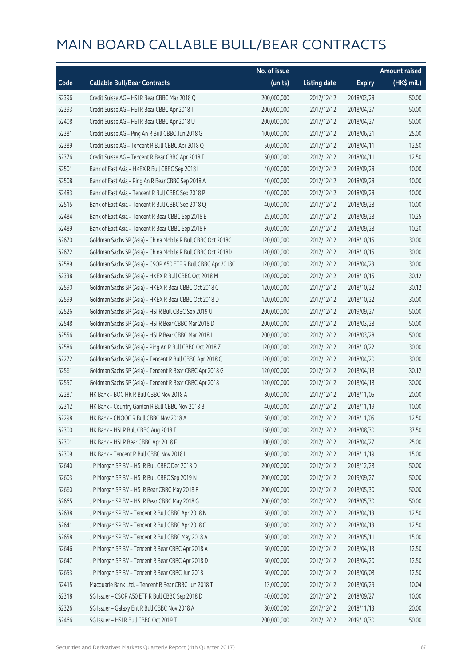|       |                                                              | No. of issue |                     |               | <b>Amount raised</b> |
|-------|--------------------------------------------------------------|--------------|---------------------|---------------|----------------------|
| Code  | <b>Callable Bull/Bear Contracts</b>                          | (units)      | <b>Listing date</b> | <b>Expiry</b> | $(HK\$ mil.)         |
| 62396 | Credit Suisse AG - HSI R Bear CBBC Mar 2018 Q                | 200,000,000  | 2017/12/12          | 2018/03/28    | 50.00                |
| 62393 | Credit Suisse AG - HSI R Bear CBBC Apr 2018 T                | 200,000,000  | 2017/12/12          | 2018/04/27    | 50.00                |
| 62408 | Credit Suisse AG - HSI R Bear CBBC Apr 2018 U                | 200,000,000  | 2017/12/12          | 2018/04/27    | 50.00                |
| 62381 | Credit Suisse AG - Ping An R Bull CBBC Jun 2018 G            | 100,000,000  | 2017/12/12          | 2018/06/21    | 25.00                |
| 62389 | Credit Suisse AG - Tencent R Bull CBBC Apr 2018 Q            | 50,000,000   | 2017/12/12          | 2018/04/11    | 12.50                |
| 62376 | Credit Suisse AG - Tencent R Bear CBBC Apr 2018 T            | 50,000,000   | 2017/12/12          | 2018/04/11    | 12.50                |
| 62501 | Bank of East Asia - HKEX R Bull CBBC Sep 2018 I              | 40,000,000   | 2017/12/12          | 2018/09/28    | 10.00                |
| 62508 | Bank of East Asia - Ping An R Bear CBBC Sep 2018 A           | 40,000,000   | 2017/12/12          | 2018/09/28    | 10.00                |
| 62483 | Bank of East Asia - Tencent R Bull CBBC Sep 2018 P           | 40,000,000   | 2017/12/12          | 2018/09/28    | 10.00                |
| 62515 | Bank of East Asia - Tencent R Bull CBBC Sep 2018 Q           | 40,000,000   | 2017/12/12          | 2018/09/28    | 10.00                |
| 62484 | Bank of East Asia - Tencent R Bear CBBC Sep 2018 E           | 25,000,000   | 2017/12/12          | 2018/09/28    | 10.25                |
| 62489 | Bank of East Asia - Tencent R Bear CBBC Sep 2018 F           | 30,000,000   | 2017/12/12          | 2018/09/28    | 10.20                |
| 62670 | Goldman Sachs SP (Asia) - China Mobile R Bull CBBC Oct 2018C | 120,000,000  | 2017/12/12          | 2018/10/15    | 30.00                |
| 62672 | Goldman Sachs SP (Asia) - China Mobile R Bull CBBC Oct 2018D | 120,000,000  | 2017/12/12          | 2018/10/15    | 30.00                |
| 62589 | Goldman Sachs SP (Asia) - CSOP A50 ETF R Bull CBBC Apr 2018C | 120,000,000  | 2017/12/12          | 2018/04/23    | 30.00                |
| 62338 | Goldman Sachs SP (Asia) - HKEX R Bull CBBC Oct 2018 M        | 120,000,000  | 2017/12/12          | 2018/10/15    | 30.12                |
| 62590 | Goldman Sachs SP (Asia) - HKEX R Bear CBBC Oct 2018 C        | 120,000,000  | 2017/12/12          | 2018/10/22    | 30.12                |
| 62599 | Goldman Sachs SP (Asia) - HKEX R Bear CBBC Oct 2018 D        | 120,000,000  | 2017/12/12          | 2018/10/22    | 30.00                |
| 62526 | Goldman Sachs SP (Asia) - HSI R Bull CBBC Sep 2019 U         | 200,000,000  | 2017/12/12          | 2019/09/27    | 50.00                |
| 62548 | Goldman Sachs SP (Asia) - HSI R Bear CBBC Mar 2018 D         | 200,000,000  | 2017/12/12          | 2018/03/28    | 50.00                |
| 62556 | Goldman Sachs SP (Asia) - HSI R Bear CBBC Mar 2018 I         | 200,000,000  | 2017/12/12          | 2018/03/28    | 50.00                |
| 62586 | Goldman Sachs SP (Asia) - Ping An R Bull CBBC Oct 2018 Z     | 120,000,000  | 2017/12/12          | 2018/10/22    | 30.00                |
| 62272 | Goldman Sachs SP (Asia) - Tencent R Bull CBBC Apr 2018 Q     | 120,000,000  | 2017/12/12          | 2018/04/20    | 30.00                |
| 62561 | Goldman Sachs SP (Asia) - Tencent R Bear CBBC Apr 2018 G     | 120,000,000  | 2017/12/12          | 2018/04/18    | 30.12                |
| 62557 | Goldman Sachs SP (Asia) - Tencent R Bear CBBC Apr 2018 I     | 120,000,000  | 2017/12/12          | 2018/04/18    | 30.00                |
| 62287 | HK Bank - BOC HK R Bull CBBC Nov 2018 A                      | 80,000,000   | 2017/12/12          | 2018/11/05    | 20.00                |
| 62312 | HK Bank - Country Garden R Bull CBBC Nov 2018 B              | 40,000,000   | 2017/12/12          | 2018/11/19    | 10.00                |
| 62298 | HK Bank - CNOOC R Bull CBBC Nov 2018 A                       | 50,000,000   | 2017/12/12          | 2018/11/05    | 12.50                |
| 62300 | HK Bank - HSI R Bull CBBC Aug 2018 T                         | 150,000,000  | 2017/12/12          | 2018/08/30    | 37.50                |
| 62301 | HK Bank - HSI R Bear CBBC Apr 2018 F                         | 100,000,000  | 2017/12/12          | 2018/04/27    | 25.00                |
| 62309 | HK Bank - Tencent R Bull CBBC Nov 2018 I                     | 60,000,000   | 2017/12/12          | 2018/11/19    | 15.00                |
| 62640 | J P Morgan SP BV - HSI R Bull CBBC Dec 2018 D                | 200,000,000  | 2017/12/12          | 2018/12/28    | 50.00                |
| 62603 | J P Morgan SP BV - HSI R Bull CBBC Sep 2019 N                | 200,000,000  | 2017/12/12          | 2019/09/27    | 50.00                |
| 62660 | J P Morgan SP BV - HSI R Bear CBBC May 2018 F                | 200,000,000  | 2017/12/12          | 2018/05/30    | 50.00                |
| 62665 | J P Morgan SP BV - HSI R Bear CBBC May 2018 G                | 200,000,000  | 2017/12/12          | 2018/05/30    | 50.00                |
| 62638 | J P Morgan SP BV - Tencent R Bull CBBC Apr 2018 N            | 50,000,000   | 2017/12/12          | 2018/04/13    | 12.50                |
| 62641 | J P Morgan SP BV - Tencent R Bull CBBC Apr 2018 O            | 50,000,000   | 2017/12/12          | 2018/04/13    | 12.50                |
| 62658 | J P Morgan SP BV - Tencent R Bull CBBC May 2018 A            | 50,000,000   | 2017/12/12          | 2018/05/11    | 15.00                |
| 62646 | J P Morgan SP BV - Tencent R Bear CBBC Apr 2018 A            | 50,000,000   | 2017/12/12          | 2018/04/13    | 12.50                |
| 62647 | J P Morgan SP BV - Tencent R Bear CBBC Apr 2018 D            | 50,000,000   | 2017/12/12          | 2018/04/20    | 12.50                |
| 62653 | J P Morgan SP BV - Tencent R Bear CBBC Jun 2018 I            | 50,000,000   | 2017/12/12          | 2018/06/08    | 12.50                |
| 62415 | Macquarie Bank Ltd. - Tencent R Bear CBBC Jun 2018 T         | 13,000,000   | 2017/12/12          | 2018/06/29    | 10.04                |
| 62318 | SG Issuer - CSOP A50 ETF R Bull CBBC Sep 2018 D              | 40,000,000   | 2017/12/12          | 2018/09/27    | 10.00                |
| 62326 | SG Issuer - Galaxy Ent R Bull CBBC Nov 2018 A                | 80,000,000   | 2017/12/12          | 2018/11/13    | 20.00                |
| 62466 | SG Issuer - HSI R Bull CBBC Oct 2019 T                       | 200,000,000  | 2017/12/12          | 2019/10/30    | 50.00                |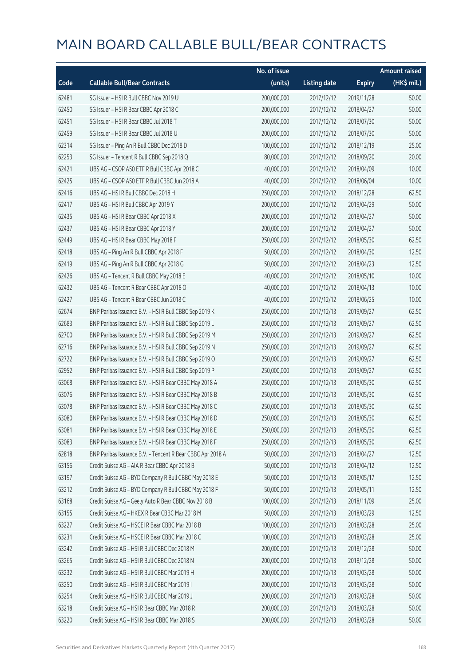|       |                                                            | No. of issue |                     |               | <b>Amount raised</b> |
|-------|------------------------------------------------------------|--------------|---------------------|---------------|----------------------|
| Code  | <b>Callable Bull/Bear Contracts</b>                        | (units)      | <b>Listing date</b> | <b>Expiry</b> | (HK\$ mil.)          |
| 62481 | SG Issuer - HSI R Bull CBBC Nov 2019 U                     | 200,000,000  | 2017/12/12          | 2019/11/28    | 50.00                |
| 62450 | SG Issuer - HSI R Bear CBBC Apr 2018 C                     | 200,000,000  | 2017/12/12          | 2018/04/27    | 50.00                |
| 62451 | SG Issuer - HSI R Bear CBBC Jul 2018 T                     | 200,000,000  | 2017/12/12          | 2018/07/30    | 50.00                |
| 62459 | SG Issuer - HSI R Bear CBBC Jul 2018 U                     | 200,000,000  | 2017/12/12          | 2018/07/30    | 50.00                |
| 62314 | SG Issuer - Ping An R Bull CBBC Dec 2018 D                 | 100,000,000  | 2017/12/12          | 2018/12/19    | 25.00                |
| 62253 | SG Issuer - Tencent R Bull CBBC Sep 2018 Q                 | 80,000,000   | 2017/12/12          | 2018/09/20    | 20.00                |
| 62421 | UBS AG - CSOP A50 ETF R Bull CBBC Apr 2018 C               | 40,000,000   | 2017/12/12          | 2018/04/09    | 10.00                |
| 62425 | UBS AG - CSOP A50 ETF R Bull CBBC Jun 2018 A               | 40,000,000   | 2017/12/12          | 2018/06/04    | 10.00                |
| 62416 | UBS AG - HSI R Bull CBBC Dec 2018 H                        | 250,000,000  | 2017/12/12          | 2018/12/28    | 62.50                |
| 62417 | UBS AG - HSI R Bull CBBC Apr 2019 Y                        | 200,000,000  | 2017/12/12          | 2019/04/29    | 50.00                |
| 62435 | UBS AG - HSI R Bear CBBC Apr 2018 X                        | 200,000,000  | 2017/12/12          | 2018/04/27    | 50.00                |
| 62437 | UBS AG - HSI R Bear CBBC Apr 2018 Y                        | 200,000,000  | 2017/12/12          | 2018/04/27    | 50.00                |
| 62449 | UBS AG - HSI R Bear CBBC May 2018 F                        | 250,000,000  | 2017/12/12          | 2018/05/30    | 62.50                |
| 62418 | UBS AG - Ping An R Bull CBBC Apr 2018 F                    | 50,000,000   | 2017/12/12          | 2018/04/30    | 12.50                |
| 62419 | UBS AG - Ping An R Bull CBBC Apr 2018 G                    | 50,000,000   | 2017/12/12          | 2018/04/23    | 12.50                |
| 62426 | UBS AG - Tencent R Bull CBBC May 2018 E                    | 40,000,000   | 2017/12/12          | 2018/05/10    | 10.00                |
| 62432 | UBS AG - Tencent R Bear CBBC Apr 2018 O                    | 40,000,000   | 2017/12/12          | 2018/04/13    | 10.00                |
| 62427 | UBS AG - Tencent R Bear CBBC Jun 2018 C                    | 40,000,000   | 2017/12/12          | 2018/06/25    | 10.00                |
| 62674 | BNP Paribas Issuance B.V. - HSI R Bull CBBC Sep 2019 K     | 250,000,000  | 2017/12/13          | 2019/09/27    | 62.50                |
| 62683 | BNP Paribas Issuance B.V. - HSI R Bull CBBC Sep 2019 L     | 250,000,000  | 2017/12/13          | 2019/09/27    | 62.50                |
| 62700 | BNP Paribas Issuance B.V. - HSI R Bull CBBC Sep 2019 M     | 250,000,000  | 2017/12/13          | 2019/09/27    | 62.50                |
| 62716 | BNP Paribas Issuance B.V. - HSI R Bull CBBC Sep 2019 N     | 250,000,000  | 2017/12/13          | 2019/09/27    | 62.50                |
| 62722 | BNP Paribas Issuance B.V. - HSI R Bull CBBC Sep 2019 O     | 250,000,000  | 2017/12/13          | 2019/09/27    | 62.50                |
| 62952 | BNP Paribas Issuance B.V. - HSI R Bull CBBC Sep 2019 P     | 250,000,000  | 2017/12/13          | 2019/09/27    | 62.50                |
| 63068 | BNP Paribas Issuance B.V. - HSI R Bear CBBC May 2018 A     | 250,000,000  | 2017/12/13          | 2018/05/30    | 62.50                |
| 63076 | BNP Paribas Issuance B.V. - HSI R Bear CBBC May 2018 B     | 250,000,000  | 2017/12/13          | 2018/05/30    | 62.50                |
| 63078 | BNP Paribas Issuance B.V. - HSI R Bear CBBC May 2018 C     | 250,000,000  | 2017/12/13          | 2018/05/30    | 62.50                |
| 63080 | BNP Paribas Issuance B.V. - HSI R Bear CBBC May 2018 D     | 250,000,000  | 2017/12/13          | 2018/05/30    | 62.50                |
| 63081 | BNP Paribas Issuance B.V. - HSI R Bear CBBC May 2018 E     | 250,000,000  | 2017/12/13          | 2018/05/30    | 62.50                |
| 63083 | BNP Paribas Issuance B.V. - HSI R Bear CBBC May 2018 F     | 250,000,000  | 2017/12/13          | 2018/05/30    | 62.50                |
| 62818 | BNP Paribas Issuance B.V. - Tencent R Bear CBBC Apr 2018 A | 50,000,000   | 2017/12/13          | 2018/04/27    | 12.50                |
| 63156 | Credit Suisse AG - AIA R Bear CBBC Apr 2018 B              | 50,000,000   | 2017/12/13          | 2018/04/12    | 12.50                |
| 63197 | Credit Suisse AG - BYD Company R Bull CBBC May 2018 E      | 50,000,000   | 2017/12/13          | 2018/05/17    | 12.50                |
| 63212 | Credit Suisse AG - BYD Company R Bull CBBC May 2018 F      | 50,000,000   | 2017/12/13          | 2018/05/11    | 12.50                |
| 63168 | Credit Suisse AG - Geely Auto R Bear CBBC Nov 2018 B       | 100,000,000  | 2017/12/13          | 2018/11/09    | 25.00                |
| 63155 | Credit Suisse AG - HKEX R Bear CBBC Mar 2018 M             | 50,000,000   | 2017/12/13          | 2018/03/29    | 12.50                |
| 63227 | Credit Suisse AG - HSCEI R Bear CBBC Mar 2018 B            | 100,000,000  | 2017/12/13          | 2018/03/28    | 25.00                |
| 63231 | Credit Suisse AG - HSCEI R Bear CBBC Mar 2018 C            | 100,000,000  | 2017/12/13          | 2018/03/28    | 25.00                |
| 63242 | Credit Suisse AG - HSI R Bull CBBC Dec 2018 M              | 200,000,000  | 2017/12/13          | 2018/12/28    | 50.00                |
| 63265 | Credit Suisse AG - HSI R Bull CBBC Dec 2018 N              | 200,000,000  | 2017/12/13          | 2018/12/28    | 50.00                |
| 63232 | Credit Suisse AG - HSI R Bull CBBC Mar 2019 H              | 200,000,000  | 2017/12/13          | 2019/03/28    | 50.00                |
| 63250 | Credit Suisse AG - HSI R Bull CBBC Mar 2019 I              | 200,000,000  | 2017/12/13          | 2019/03/28    | 50.00                |
| 63254 | Credit Suisse AG - HSI R Bull CBBC Mar 2019 J              | 200,000,000  | 2017/12/13          | 2019/03/28    | 50.00                |
| 63218 | Credit Suisse AG - HSI R Bear CBBC Mar 2018 R              | 200,000,000  | 2017/12/13          | 2018/03/28    | 50.00                |
| 63220 | Credit Suisse AG - HSI R Bear CBBC Mar 2018 S              | 200,000,000  | 2017/12/13          | 2018/03/28    | 50.00                |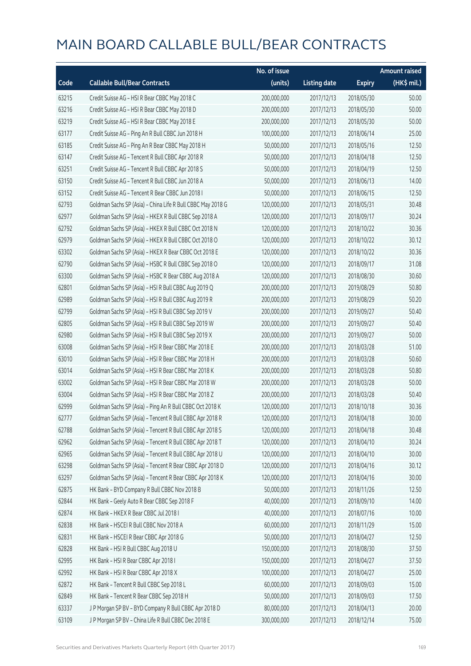|       |                                                             | No. of issue |                     |               | <b>Amount raised</b>  |
|-------|-------------------------------------------------------------|--------------|---------------------|---------------|-----------------------|
| Code  | <b>Callable Bull/Bear Contracts</b>                         | (units)      | <b>Listing date</b> | <b>Expiry</b> | $(HK\frac{1}{2}mil.)$ |
| 63215 | Credit Suisse AG - HSI R Bear CBBC May 2018 C               | 200,000,000  | 2017/12/13          | 2018/05/30    | 50.00                 |
| 63216 | Credit Suisse AG - HSI R Bear CBBC May 2018 D               | 200,000,000  | 2017/12/13          | 2018/05/30    | 50.00                 |
| 63219 | Credit Suisse AG - HSI R Bear CBBC May 2018 E               | 200,000,000  | 2017/12/13          | 2018/05/30    | 50.00                 |
| 63177 | Credit Suisse AG - Ping An R Bull CBBC Jun 2018 H           | 100,000,000  | 2017/12/13          | 2018/06/14    | 25.00                 |
| 63185 | Credit Suisse AG - Ping An R Bear CBBC May 2018 H           | 50,000,000   | 2017/12/13          | 2018/05/16    | 12.50                 |
| 63147 | Credit Suisse AG - Tencent R Bull CBBC Apr 2018 R           | 50,000,000   | 2017/12/13          | 2018/04/18    | 12.50                 |
| 63251 | Credit Suisse AG - Tencent R Bull CBBC Apr 2018 S           | 50,000,000   | 2017/12/13          | 2018/04/19    | 12.50                 |
| 63150 | Credit Suisse AG - Tencent R Bull CBBC Jun 2018 A           | 50,000,000   | 2017/12/13          | 2018/06/13    | 14.00                 |
| 63152 | Credit Suisse AG - Tencent R Bear CBBC Jun 2018 I           | 50,000,000   | 2017/12/13          | 2018/06/15    | 12.50                 |
| 62793 | Goldman Sachs SP (Asia) - China Life R Bull CBBC May 2018 G | 120,000,000  | 2017/12/13          | 2018/05/31    | 30.48                 |
| 62977 | Goldman Sachs SP (Asia) - HKEX R Bull CBBC Sep 2018 A       | 120,000,000  | 2017/12/13          | 2018/09/17    | 30.24                 |
| 62792 | Goldman Sachs SP (Asia) - HKEX R Bull CBBC Oct 2018 N       | 120,000,000  | 2017/12/13          | 2018/10/22    | 30.36                 |
| 62979 | Goldman Sachs SP (Asia) - HKEX R Bull CBBC Oct 2018 O       | 120,000,000  | 2017/12/13          | 2018/10/22    | 30.12                 |
| 63302 | Goldman Sachs SP (Asia) - HKEX R Bear CBBC Oct 2018 E       | 120,000,000  | 2017/12/13          | 2018/10/22    | 30.36                 |
| 62790 | Goldman Sachs SP (Asia) - HSBC R Bull CBBC Sep 2018 O       | 120,000,000  | 2017/12/13          | 2018/09/17    | 31.08                 |
| 63300 | Goldman Sachs SP (Asia) - HSBC R Bear CBBC Aug 2018 A       | 120,000,000  | 2017/12/13          | 2018/08/30    | 30.60                 |
| 62801 | Goldman Sachs SP (Asia) - HSI R Bull CBBC Aug 2019 Q        | 200,000,000  | 2017/12/13          | 2019/08/29    | 50.80                 |
| 62989 | Goldman Sachs SP (Asia) - HSI R Bull CBBC Aug 2019 R        | 200,000,000  | 2017/12/13          | 2019/08/29    | 50.20                 |
| 62799 | Goldman Sachs SP (Asia) - HSI R Bull CBBC Sep 2019 V        | 200,000,000  | 2017/12/13          | 2019/09/27    | 50.40                 |
| 62805 | Goldman Sachs SP (Asia) - HSI R Bull CBBC Sep 2019 W        | 200,000,000  | 2017/12/13          | 2019/09/27    | 50.40                 |
| 62980 | Goldman Sachs SP (Asia) - HSI R Bull CBBC Sep 2019 X        | 200,000,000  | 2017/12/13          | 2019/09/27    | 50.00                 |
| 63008 | Goldman Sachs SP (Asia) - HSI R Bear CBBC Mar 2018 E        | 200,000,000  | 2017/12/13          | 2018/03/28    | 51.00                 |
| 63010 | Goldman Sachs SP (Asia) - HSI R Bear CBBC Mar 2018 H        | 200,000,000  | 2017/12/13          | 2018/03/28    | 50.60                 |
| 63014 | Goldman Sachs SP (Asia) - HSI R Bear CBBC Mar 2018 K        | 200,000,000  | 2017/12/13          | 2018/03/28    | 50.80                 |
| 63002 | Goldman Sachs SP (Asia) - HSI R Bear CBBC Mar 2018 W        | 200,000,000  | 2017/12/13          | 2018/03/28    | 50.00                 |
| 63004 | Goldman Sachs SP (Asia) - HSI R Bear CBBC Mar 2018 Z        | 200,000,000  | 2017/12/13          | 2018/03/28    | 50.40                 |
| 62999 | Goldman Sachs SP (Asia) - Ping An R Bull CBBC Oct 2018 K    | 120,000,000  | 2017/12/13          | 2018/10/18    | 30.36                 |
| 62777 | Goldman Sachs SP (Asia) - Tencent R Bull CBBC Apr 2018 R    | 120,000,000  | 2017/12/13          | 2018/04/18    | 30.00                 |
| 62788 | Goldman Sachs SP (Asia) - Tencent R Bull CBBC Apr 2018 S    | 120,000,000  | 2017/12/13          | 2018/04/18    | 30.48                 |
| 62962 | Goldman Sachs SP (Asia) - Tencent R Bull CBBC Apr 2018 T    | 120,000,000  | 2017/12/13          | 2018/04/10    | 30.24                 |
| 62965 | Goldman Sachs SP (Asia) - Tencent R Bull CBBC Apr 2018 U    | 120,000,000  | 2017/12/13          | 2018/04/10    | 30.00                 |
| 63298 | Goldman Sachs SP (Asia) - Tencent R Bear CBBC Apr 2018 D    | 120,000,000  | 2017/12/13          | 2018/04/16    | 30.12                 |
| 63297 | Goldman Sachs SP (Asia) - Tencent R Bear CBBC Apr 2018 K    | 120,000,000  | 2017/12/13          | 2018/04/16    | 30.00                 |
| 62875 | HK Bank - BYD Company R Bull CBBC Nov 2018 B                | 50,000,000   | 2017/12/13          | 2018/11/26    | 12.50                 |
| 62844 | HK Bank - Geely Auto R Bear CBBC Sep 2018 F                 | 40,000,000   | 2017/12/13          | 2018/09/10    | 14.00                 |
| 62874 | HK Bank - HKEX R Bear CBBC Jul 2018 I                       | 40,000,000   | 2017/12/13          | 2018/07/16    | 10.00                 |
| 62838 | HK Bank - HSCEI R Bull CBBC Nov 2018 A                      | 60,000,000   | 2017/12/13          | 2018/11/29    | 15.00                 |
| 62831 | HK Bank - HSCEI R Bear CBBC Apr 2018 G                      | 50,000,000   | 2017/12/13          | 2018/04/27    | 12.50                 |
| 62828 | HK Bank - HSI R Bull CBBC Aug 2018 U                        | 150,000,000  | 2017/12/13          | 2018/08/30    | 37.50                 |
| 62995 | HK Bank - HSI R Bear CBBC Apr 2018 I                        | 150,000,000  | 2017/12/13          | 2018/04/27    | 37.50                 |
| 62992 | HK Bank - HSI R Bear CBBC Apr 2018 X                        | 100,000,000  | 2017/12/13          | 2018/04/27    | 25.00                 |
| 62872 | HK Bank - Tencent R Bull CBBC Sep 2018 L                    | 60,000,000   | 2017/12/13          | 2018/09/03    | 15.00                 |
| 62849 | HK Bank - Tencent R Bear CBBC Sep 2018 H                    | 50,000,000   | 2017/12/13          | 2018/09/03    | 17.50                 |
| 63337 | J P Morgan SP BV - BYD Company R Bull CBBC Apr 2018 D       | 80,000,000   | 2017/12/13          | 2018/04/13    | 20.00                 |
| 63109 | J P Morgan SP BV - China Life R Bull CBBC Dec 2018 E        | 300,000,000  | 2017/12/13          | 2018/12/14    | 75.00                 |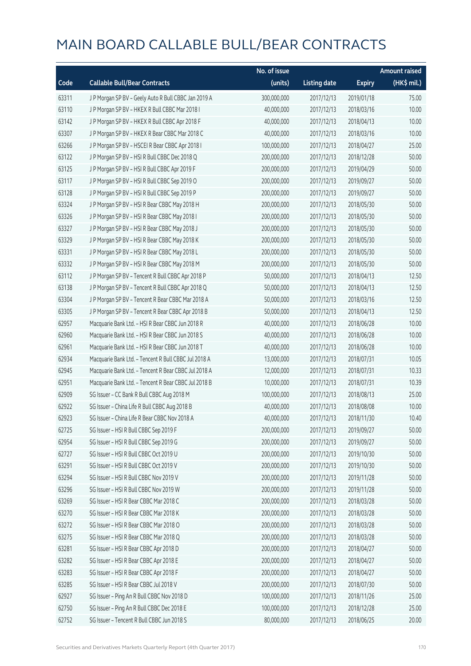|       |                                                      | No. of issue |                     |               | <b>Amount raised</b> |
|-------|------------------------------------------------------|--------------|---------------------|---------------|----------------------|
| Code  | <b>Callable Bull/Bear Contracts</b>                  | (units)      | <b>Listing date</b> | <b>Expiry</b> | (HK\$ mil.)          |
| 63311 | J P Morgan SP BV - Geely Auto R Bull CBBC Jan 2019 A | 300,000,000  | 2017/12/13          | 2019/01/18    | 75.00                |
| 63110 | JP Morgan SP BV - HKEX R Bull CBBC Mar 2018 I        | 40,000,000   | 2017/12/13          | 2018/03/16    | 10.00                |
| 63142 | J P Morgan SP BV - HKEX R Bull CBBC Apr 2018 F       | 40,000,000   | 2017/12/13          | 2018/04/13    | 10.00                |
| 63307 | J P Morgan SP BV - HKEX R Bear CBBC Mar 2018 C       | 40,000,000   | 2017/12/13          | 2018/03/16    | 10.00                |
| 63266 | JP Morgan SP BV - HSCEIR Bear CBBC Apr 2018 I        | 100,000,000  | 2017/12/13          | 2018/04/27    | 25.00                |
| 63122 | J P Morgan SP BV - HSI R Bull CBBC Dec 2018 Q        | 200,000,000  | 2017/12/13          | 2018/12/28    | 50.00                |
| 63125 | J P Morgan SP BV - HSI R Bull CBBC Apr 2019 F        | 200,000,000  | 2017/12/13          | 2019/04/29    | 50.00                |
| 63117 | J P Morgan SP BV - HSI R Bull CBBC Sep 2019 O        | 200,000,000  | 2017/12/13          | 2019/09/27    | 50.00                |
| 63128 | J P Morgan SP BV - HSI R Bull CBBC Sep 2019 P        | 200,000,000  | 2017/12/13          | 2019/09/27    | 50.00                |
| 63324 | J P Morgan SP BV - HSI R Bear CBBC May 2018 H        | 200,000,000  | 2017/12/13          | 2018/05/30    | 50.00                |
| 63326 | J P Morgan SP BV - HSI R Bear CBBC May 2018 I        | 200,000,000  | 2017/12/13          | 2018/05/30    | 50.00                |
| 63327 | J P Morgan SP BV - HSI R Bear CBBC May 2018 J        | 200,000,000  | 2017/12/13          | 2018/05/30    | 50.00                |
| 63329 | J P Morgan SP BV - HSI R Bear CBBC May 2018 K        | 200,000,000  | 2017/12/13          | 2018/05/30    | 50.00                |
| 63331 | J P Morgan SP BV - HSI R Bear CBBC May 2018 L        | 200,000,000  | 2017/12/13          | 2018/05/30    | 50.00                |
| 63332 | J P Morgan SP BV - HSI R Bear CBBC May 2018 M        | 200,000,000  | 2017/12/13          | 2018/05/30    | 50.00                |
| 63112 | J P Morgan SP BV - Tencent R Bull CBBC Apr 2018 P    | 50,000,000   | 2017/12/13          | 2018/04/13    | 12.50                |
| 63138 | J P Morgan SP BV - Tencent R Bull CBBC Apr 2018 Q    | 50,000,000   | 2017/12/13          | 2018/04/13    | 12.50                |
| 63304 | J P Morgan SP BV - Tencent R Bear CBBC Mar 2018 A    | 50,000,000   | 2017/12/13          | 2018/03/16    | 12.50                |
| 63305 | J P Morgan SP BV - Tencent R Bear CBBC Apr 2018 B    | 50,000,000   | 2017/12/13          | 2018/04/13    | 12.50                |
| 62957 | Macquarie Bank Ltd. - HSI R Bear CBBC Jun 2018 R     | 40,000,000   | 2017/12/13          | 2018/06/28    | 10.00                |
| 62960 | Macquarie Bank Ltd. - HSI R Bear CBBC Jun 2018 S     | 40,000,000   | 2017/12/13          | 2018/06/28    | 10.00                |
| 62961 | Macquarie Bank Ltd. - HSI R Bear CBBC Jun 2018 T     | 40,000,000   | 2017/12/13          | 2018/06/28    | 10.00                |
| 62934 | Macquarie Bank Ltd. - Tencent R Bull CBBC Jul 2018 A | 13,000,000   | 2017/12/13          | 2018/07/31    | 10.05                |
| 62945 | Macquarie Bank Ltd. - Tencent R Bear CBBC Jul 2018 A | 12,000,000   | 2017/12/13          | 2018/07/31    | 10.33                |
| 62951 | Macquarie Bank Ltd. - Tencent R Bear CBBC Jul 2018 B | 10,000,000   | 2017/12/13          | 2018/07/31    | 10.39                |
| 62909 | SG Issuer - CC Bank R Bull CBBC Aug 2018 M           | 100,000,000  | 2017/12/13          | 2018/08/13    | 25.00                |
| 62922 | SG Issuer - China Life R Bull CBBC Aug 2018 B        | 40,000,000   | 2017/12/13          | 2018/08/08    | 10.00                |
| 62923 | SG Issuer - China Life R Bear CBBC Nov 2018 A        | 40,000,000   | 2017/12/13          | 2018/11/30    | 10.40                |
| 62725 | SG Issuer - HSI R Bull CBBC Sep 2019 F               | 200,000,000  | 2017/12/13          | 2019/09/27    | 50.00                |
| 62954 | SG Issuer - HSI R Bull CBBC Sep 2019 G               | 200,000,000  | 2017/12/13          | 2019/09/27    | 50.00                |
| 62727 | SG Issuer - HSI R Bull CBBC Oct 2019 U               | 200,000,000  | 2017/12/13          | 2019/10/30    | 50.00                |
| 63291 | SG Issuer - HSI R Bull CBBC Oct 2019 V               | 200,000,000  | 2017/12/13          | 2019/10/30    | 50.00                |
| 63294 | SG Issuer - HSI R Bull CBBC Nov 2019 V               | 200,000,000  | 2017/12/13          | 2019/11/28    | 50.00                |
| 63296 | SG Issuer - HSI R Bull CBBC Nov 2019 W               | 200,000,000  | 2017/12/13          | 2019/11/28    | 50.00                |
| 63269 | SG Issuer - HSI R Bear CBBC Mar 2018 C               | 200,000,000  | 2017/12/13          | 2018/03/28    | 50.00                |
| 63270 | SG Issuer - HSI R Bear CBBC Mar 2018 K               | 200,000,000  | 2017/12/13          | 2018/03/28    | 50.00                |
| 63272 | SG Issuer - HSI R Bear CBBC Mar 2018 O               | 200,000,000  | 2017/12/13          | 2018/03/28    | 50.00                |
| 63275 | SG Issuer - HSI R Bear CBBC Mar 2018 Q               | 200,000,000  | 2017/12/13          | 2018/03/28    | 50.00                |
| 63281 | SG Issuer - HSI R Bear CBBC Apr 2018 D               | 200,000,000  | 2017/12/13          | 2018/04/27    | 50.00                |
| 63282 | SG Issuer - HSI R Bear CBBC Apr 2018 E               | 200,000,000  | 2017/12/13          | 2018/04/27    | 50.00                |
| 63283 | SG Issuer - HSI R Bear CBBC Apr 2018 F               | 200,000,000  | 2017/12/13          | 2018/04/27    | 50.00                |
| 63285 | SG Issuer - HSI R Bear CBBC Jul 2018 V               | 200,000,000  | 2017/12/13          | 2018/07/30    | 50.00                |
| 62927 | SG Issuer - Ping An R Bull CBBC Nov 2018 D           | 100,000,000  | 2017/12/13          | 2018/11/26    | 25.00                |
| 62750 | SG Issuer - Ping An R Bull CBBC Dec 2018 E           | 100,000,000  | 2017/12/13          | 2018/12/28    | 25.00                |
| 62752 | SG Issuer - Tencent R Bull CBBC Jun 2018 S           | 80,000,000   | 2017/12/13          | 2018/06/25    | 20.00                |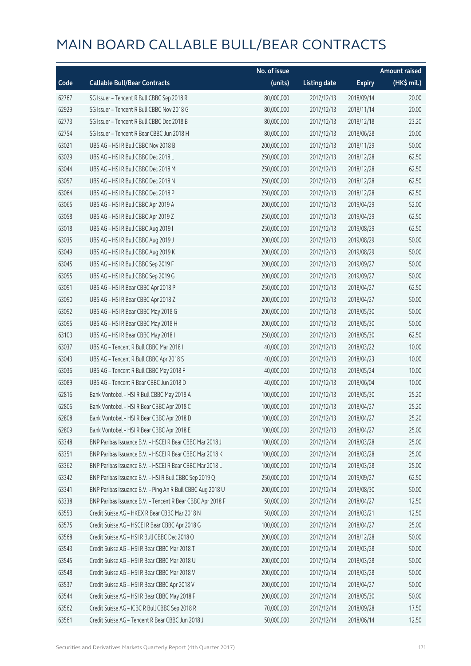|       |                                                            | No. of issue |                     |               | <b>Amount raised</b> |
|-------|------------------------------------------------------------|--------------|---------------------|---------------|----------------------|
| Code  | <b>Callable Bull/Bear Contracts</b>                        | (units)      | <b>Listing date</b> | <b>Expiry</b> | (HK\$ mil.)          |
| 62767 | SG Issuer - Tencent R Bull CBBC Sep 2018 R                 | 80,000,000   | 2017/12/13          | 2018/09/14    | 20.00                |
| 62929 | SG Issuer - Tencent R Bull CBBC Nov 2018 G                 | 80,000,000   | 2017/12/13          | 2018/11/14    | 20.00                |
| 62773 | SG Issuer - Tencent R Bull CBBC Dec 2018 B                 | 80,000,000   | 2017/12/13          | 2018/12/18    | 23.20                |
| 62754 | SG Issuer - Tencent R Bear CBBC Jun 2018 H                 | 80,000,000   | 2017/12/13          | 2018/06/28    | 20.00                |
| 63021 | UBS AG - HSI R Bull CBBC Nov 2018 B                        | 200,000,000  | 2017/12/13          | 2018/11/29    | 50.00                |
| 63029 | UBS AG - HSI R Bull CBBC Dec 2018 L                        | 250,000,000  | 2017/12/13          | 2018/12/28    | 62.50                |
| 63044 | UBS AG - HSI R Bull CBBC Dec 2018 M                        | 250,000,000  | 2017/12/13          | 2018/12/28    | 62.50                |
| 63057 | UBS AG - HSI R Bull CBBC Dec 2018 N                        | 250,000,000  | 2017/12/13          | 2018/12/28    | 62.50                |
| 63064 | UBS AG - HSI R Bull CBBC Dec 2018 P                        | 250,000,000  | 2017/12/13          | 2018/12/28    | 62.50                |
| 63065 | UBS AG - HSI R Bull CBBC Apr 2019 A                        | 200,000,000  | 2017/12/13          | 2019/04/29    | 52.00                |
| 63058 | UBS AG - HSI R Bull CBBC Apr 2019 Z                        | 250,000,000  | 2017/12/13          | 2019/04/29    | 62.50                |
| 63018 | UBS AG - HSI R Bull CBBC Aug 2019 I                        | 250,000,000  | 2017/12/13          | 2019/08/29    | 62.50                |
| 63035 | UBS AG - HSI R Bull CBBC Aug 2019 J                        | 200,000,000  | 2017/12/13          | 2019/08/29    | 50.00                |
| 63049 | UBS AG - HSI R Bull CBBC Aug 2019 K                        | 200,000,000  | 2017/12/13          | 2019/08/29    | 50.00                |
| 63045 | UBS AG - HSI R Bull CBBC Sep 2019 F                        | 200,000,000  | 2017/12/13          | 2019/09/27    | 50.00                |
| 63055 | UBS AG - HSI R Bull CBBC Sep 2019 G                        | 200,000,000  | 2017/12/13          | 2019/09/27    | 50.00                |
| 63091 | UBS AG - HSI R Bear CBBC Apr 2018 P                        | 250,000,000  | 2017/12/13          | 2018/04/27    | 62.50                |
| 63090 | UBS AG - HSI R Bear CBBC Apr 2018 Z                        | 200,000,000  | 2017/12/13          | 2018/04/27    | 50.00                |
| 63092 | UBS AG - HSI R Bear CBBC May 2018 G                        | 200,000,000  | 2017/12/13          | 2018/05/30    | 50.00                |
| 63095 | UBS AG - HSI R Bear CBBC May 2018 H                        | 200,000,000  | 2017/12/13          | 2018/05/30    | 50.00                |
| 63103 | UBS AG - HSI R Bear CBBC May 2018 I                        | 250,000,000  | 2017/12/13          | 2018/05/30    | 62.50                |
| 63037 | UBS AG - Tencent R Bull CBBC Mar 2018 I                    | 40,000,000   | 2017/12/13          | 2018/03/22    | 10.00                |
| 63043 | UBS AG - Tencent R Bull CBBC Apr 2018 S                    | 40,000,000   | 2017/12/13          | 2018/04/23    | 10.00                |
| 63036 | UBS AG - Tencent R Bull CBBC May 2018 F                    | 40,000,000   | 2017/12/13          | 2018/05/24    | 10.00                |
| 63089 | UBS AG - Tencent R Bear CBBC Jun 2018 D                    | 40,000,000   | 2017/12/13          | 2018/06/04    | 10.00                |
| 62816 | Bank Vontobel - HSI R Bull CBBC May 2018 A                 | 100,000,000  | 2017/12/13          | 2018/05/30    | 25.20                |
| 62806 | Bank Vontobel - HSI R Bear CBBC Apr 2018 C                 | 100,000,000  | 2017/12/13          | 2018/04/27    | 25.20                |
| 62808 | Bank Vontobel - HSI R Bear CBBC Apr 2018 D                 | 100,000,000  | 2017/12/13          | 2018/04/27    | 25.20                |
| 62809 | Bank Vontobel - HSI R Bear CBBC Apr 2018 E                 | 100,000,000  | 2017/12/13          | 2018/04/27    | 25.00                |
| 63348 | BNP Paribas Issuance B.V. - HSCEI R Bear CBBC Mar 2018 J   | 100,000,000  | 2017/12/14          | 2018/03/28    | 25.00                |
| 63351 | BNP Paribas Issuance B.V. - HSCEI R Bear CBBC Mar 2018 K   | 100,000,000  | 2017/12/14          | 2018/03/28    | 25.00                |
| 63362 | BNP Paribas Issuance B.V. - HSCEI R Bear CBBC Mar 2018 L   | 100,000,000  | 2017/12/14          | 2018/03/28    | 25.00                |
| 63342 | BNP Paribas Issuance B.V. - HSI R Bull CBBC Sep 2019 Q     | 250,000,000  | 2017/12/14          | 2019/09/27    | 62.50                |
| 63341 | BNP Paribas Issuance B.V. - Ping An R Bull CBBC Aug 2018 U | 200,000,000  | 2017/12/14          | 2018/08/30    | 50.00                |
| 63338 | BNP Paribas Issuance B.V. - Tencent R Bear CBBC Apr 2018 F | 50,000,000   | 2017/12/14          | 2018/04/27    | 12.50                |
| 63553 | Credit Suisse AG - HKEX R Bear CBBC Mar 2018 N             | 50,000,000   | 2017/12/14          | 2018/03/21    | 12.50                |
| 63575 | Credit Suisse AG - HSCEI R Bear CBBC Apr 2018 G            | 100,000,000  | 2017/12/14          | 2018/04/27    | 25.00                |
| 63568 | Credit Suisse AG - HSI R Bull CBBC Dec 2018 O              | 200,000,000  | 2017/12/14          | 2018/12/28    | 50.00                |
| 63543 | Credit Suisse AG - HSI R Bear CBBC Mar 2018 T              | 200,000,000  | 2017/12/14          | 2018/03/28    | 50.00                |
| 63545 | Credit Suisse AG - HSI R Bear CBBC Mar 2018 U              | 200,000,000  | 2017/12/14          | 2018/03/28    | 50.00                |
| 63548 | Credit Suisse AG - HSI R Bear CBBC Mar 2018 V              | 200,000,000  | 2017/12/14          | 2018/03/28    | 50.00                |
| 63537 | Credit Suisse AG - HSI R Bear CBBC Apr 2018 V              | 200,000,000  | 2017/12/14          | 2018/04/27    | 50.00                |
| 63544 | Credit Suisse AG - HSI R Bear CBBC May 2018 F              | 200,000,000  | 2017/12/14          | 2018/05/30    | 50.00                |
| 63562 | Credit Suisse AG - ICBC R Bull CBBC Sep 2018 R             | 70,000,000   | 2017/12/14          | 2018/09/28    | 17.50                |
| 63561 | Credit Suisse AG - Tencent R Bear CBBC Jun 2018 J          | 50,000,000   | 2017/12/14          | 2018/06/14    | 12.50                |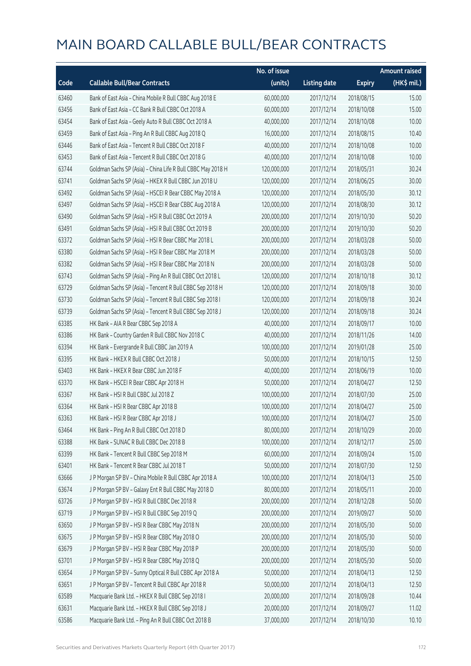|       |                                                             | No. of issue |                     |               | <b>Amount raised</b> |
|-------|-------------------------------------------------------------|--------------|---------------------|---------------|----------------------|
| Code  | <b>Callable Bull/Bear Contracts</b>                         | (units)      | <b>Listing date</b> | <b>Expiry</b> | (HK\$ mil.)          |
| 63460 | Bank of East Asia - China Mobile R Bull CBBC Aug 2018 E     | 60,000,000   | 2017/12/14          | 2018/08/15    | 15.00                |
| 63456 | Bank of East Asia - CC Bank R Bull CBBC Oct 2018 A          | 60,000,000   | 2017/12/14          | 2018/10/08    | 15.00                |
| 63454 | Bank of East Asia - Geely Auto R Bull CBBC Oct 2018 A       | 40,000,000   | 2017/12/14          | 2018/10/08    | 10.00                |
| 63459 | Bank of East Asia - Ping An R Bull CBBC Aug 2018 Q          | 16,000,000   | 2017/12/14          | 2018/08/15    | 10.40                |
| 63446 | Bank of East Asia - Tencent R Bull CBBC Oct 2018 F          | 40,000,000   | 2017/12/14          | 2018/10/08    | 10.00                |
| 63453 | Bank of East Asia - Tencent R Bull CBBC Oct 2018 G          | 40,000,000   | 2017/12/14          | 2018/10/08    | 10.00                |
| 63744 | Goldman Sachs SP (Asia) - China Life R Bull CBBC May 2018 H | 120,000,000  | 2017/12/14          | 2018/05/31    | 30.24                |
| 63741 | Goldman Sachs SP (Asia) - HKEX R Bull CBBC Jun 2018 U       | 120,000,000  | 2017/12/14          | 2018/06/25    | 30.00                |
| 63492 | Goldman Sachs SP (Asia) - HSCEI R Bear CBBC May 2018 A      | 120,000,000  | 2017/12/14          | 2018/05/30    | 30.12                |
| 63497 | Goldman Sachs SP (Asia) - HSCEI R Bear CBBC Aug 2018 A      | 120,000,000  | 2017/12/14          | 2018/08/30    | 30.12                |
| 63490 | Goldman Sachs SP (Asia) - HSI R Bull CBBC Oct 2019 A        | 200,000,000  | 2017/12/14          | 2019/10/30    | 50.20                |
| 63491 | Goldman Sachs SP (Asia) - HSI R Bull CBBC Oct 2019 B        | 200,000,000  | 2017/12/14          | 2019/10/30    | 50.20                |
| 63372 | Goldman Sachs SP (Asia) - HSI R Bear CBBC Mar 2018 L        | 200,000,000  | 2017/12/14          | 2018/03/28    | 50.00                |
| 63380 | Goldman Sachs SP (Asia) - HSI R Bear CBBC Mar 2018 M        | 200,000,000  | 2017/12/14          | 2018/03/28    | 50.00                |
| 63382 | Goldman Sachs SP (Asia) - HSI R Bear CBBC Mar 2018 N        | 200,000,000  | 2017/12/14          | 2018/03/28    | 50.00                |
| 63743 | Goldman Sachs SP (Asia) - Ping An R Bull CBBC Oct 2018 L    | 120,000,000  | 2017/12/14          | 2018/10/18    | 30.12                |
| 63729 | Goldman Sachs SP (Asia) - Tencent R Bull CBBC Sep 2018 H    | 120,000,000  | 2017/12/14          | 2018/09/18    | 30.00                |
| 63730 | Goldman Sachs SP (Asia) - Tencent R Bull CBBC Sep 2018 I    | 120,000,000  | 2017/12/14          | 2018/09/18    | 30.24                |
| 63739 | Goldman Sachs SP (Asia) - Tencent R Bull CBBC Sep 2018 J    | 120,000,000  | 2017/12/14          | 2018/09/18    | 30.24                |
| 63385 | HK Bank - AIA R Bear CBBC Sep 2018 A                        | 40,000,000   | 2017/12/14          | 2018/09/17    | 10.00                |
| 63386 | HK Bank - Country Garden R Bull CBBC Nov 2018 C             | 40,000,000   | 2017/12/14          | 2018/11/26    | 14.00                |
| 63394 | HK Bank - Evergrande R Bull CBBC Jan 2019 A                 | 100,000,000  | 2017/12/14          | 2019/01/28    | 25.00                |
| 63395 | HK Bank - HKEX R Bull CBBC Oct 2018 J                       | 50,000,000   | 2017/12/14          | 2018/10/15    | 12.50                |
| 63403 | HK Bank - HKEX R Bear CBBC Jun 2018 F                       | 40,000,000   | 2017/12/14          | 2018/06/19    | 10.00                |
| 63370 | HK Bank - HSCEI R Bear CBBC Apr 2018 H                      | 50,000,000   | 2017/12/14          | 2018/04/27    | 12.50                |
| 63367 | HK Bank - HSI R Bull CBBC Jul 2018 Z                        | 100,000,000  | 2017/12/14          | 2018/07/30    | 25.00                |
| 63364 | HK Bank - HSI R Bear CBBC Apr 2018 B                        | 100,000,000  | 2017/12/14          | 2018/04/27    | 25.00                |
| 63363 | HK Bank - HSI R Bear CBBC Apr 2018 J                        | 100,000,000  | 2017/12/14          | 2018/04/27    | 25.00                |
| 63464 | HK Bank - Ping An R Bull CBBC Oct 2018 D                    | 80,000,000   | 2017/12/14          | 2018/10/29    | 20.00                |
| 63388 | HK Bank - SUNAC R Bull CBBC Dec 2018 B                      | 100,000,000  | 2017/12/14          | 2018/12/17    | 25.00                |
| 63399 | HK Bank - Tencent R Bull CBBC Sep 2018 M                    | 60,000,000   | 2017/12/14          | 2018/09/24    | 15.00                |
| 63401 | HK Bank - Tencent R Bear CBBC Jul 2018 T                    | 50,000,000   | 2017/12/14          | 2018/07/30    | 12.50                |
| 63666 | J P Morgan SP BV - China Mobile R Bull CBBC Apr 2018 A      | 100,000,000  | 2017/12/14          | 2018/04/13    | 25.00                |
| 63674 | J P Morgan SP BV - Galaxy Ent R Bull CBBC May 2018 D        | 80,000,000   | 2017/12/14          | 2018/05/11    | 20.00                |
| 63726 | J P Morgan SP BV - HSI R Bull CBBC Dec 2018 R               | 200,000,000  | 2017/12/14          | 2018/12/28    | 50.00                |
| 63719 | J P Morgan SP BV - HSI R Bull CBBC Sep 2019 Q               | 200,000,000  | 2017/12/14          | 2019/09/27    | 50.00                |
| 63650 | J P Morgan SP BV - HSI R Bear CBBC May 2018 N               | 200,000,000  | 2017/12/14          | 2018/05/30    | 50.00                |
| 63675 | J P Morgan SP BV - HSI R Bear CBBC May 2018 O               | 200,000,000  | 2017/12/14          | 2018/05/30    | 50.00                |
| 63679 | J P Morgan SP BV - HSI R Bear CBBC May 2018 P               | 200,000,000  | 2017/12/14          | 2018/05/30    | 50.00                |
| 63701 | J P Morgan SP BV - HSI R Bear CBBC May 2018 Q               | 200,000,000  | 2017/12/14          | 2018/05/30    | 50.00                |
| 63654 | J P Morgan SP BV - Sunny Optical R Bull CBBC Apr 2018 A     | 50,000,000   | 2017/12/14          | 2018/04/13    | 12.50                |
| 63651 | J P Morgan SP BV - Tencent R Bull CBBC Apr 2018 R           | 50,000,000   | 2017/12/14          | 2018/04/13    | 12.50                |
| 63589 | Macquarie Bank Ltd. - HKEX R Bull CBBC Sep 2018 I           | 20,000,000   | 2017/12/14          | 2018/09/28    | 10.44                |
| 63631 | Macquarie Bank Ltd. - HKEX R Bull CBBC Sep 2018 J           | 20,000,000   | 2017/12/14          | 2018/09/27    | 11.02                |
| 63586 | Macquarie Bank Ltd. - Ping An R Bull CBBC Oct 2018 B        | 37,000,000   | 2017/12/14          | 2018/10/30    | 10.10                |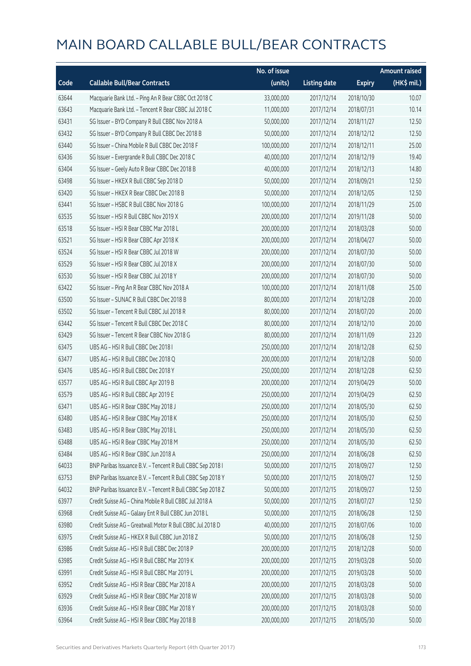|       |                                                            | No. of issue |                     |               | <b>Amount raised</b> |
|-------|------------------------------------------------------------|--------------|---------------------|---------------|----------------------|
| Code  | <b>Callable Bull/Bear Contracts</b>                        | (units)      | <b>Listing date</b> | <b>Expiry</b> | (HK\$ mil.)          |
| 63644 | Macquarie Bank Ltd. - Ping An R Bear CBBC Oct 2018 C       | 33,000,000   | 2017/12/14          | 2018/10/30    | 10.07                |
| 63643 | Macquarie Bank Ltd. - Tencent R Bear CBBC Jul 2018 C       | 11,000,000   | 2017/12/14          | 2018/07/31    | 10.14                |
| 63431 | SG Issuer - BYD Company R Bull CBBC Nov 2018 A             | 50,000,000   | 2017/12/14          | 2018/11/27    | 12.50                |
| 63432 | SG Issuer - BYD Company R Bull CBBC Dec 2018 B             | 50,000,000   | 2017/12/14          | 2018/12/12    | 12.50                |
| 63440 | SG Issuer - China Mobile R Bull CBBC Dec 2018 F            | 100,000,000  | 2017/12/14          | 2018/12/11    | 25.00                |
| 63436 | SG Issuer - Evergrande R Bull CBBC Dec 2018 C              | 40,000,000   | 2017/12/14          | 2018/12/19    | 19.40                |
| 63404 | SG Issuer - Geely Auto R Bear CBBC Dec 2018 B              | 40,000,000   | 2017/12/14          | 2018/12/13    | 14.80                |
| 63498 | SG Issuer - HKEX R Bull CBBC Sep 2018 D                    | 50,000,000   | 2017/12/14          | 2018/09/21    | 12.50                |
| 63420 | SG Issuer - HKEX R Bear CBBC Dec 2018 B                    | 50,000,000   | 2017/12/14          | 2018/12/05    | 12.50                |
| 63441 | SG Issuer - HSBC R Bull CBBC Nov 2018 G                    | 100,000,000  | 2017/12/14          | 2018/11/29    | 25.00                |
| 63535 | SG Issuer - HSI R Bull CBBC Nov 2019 X                     | 200,000,000  | 2017/12/14          | 2019/11/28    | 50.00                |
| 63518 | SG Issuer - HSI R Bear CBBC Mar 2018 L                     | 200,000,000  | 2017/12/14          | 2018/03/28    | 50.00                |
| 63521 | SG Issuer - HSI R Bear CBBC Apr 2018 K                     | 200,000,000  | 2017/12/14          | 2018/04/27    | 50.00                |
| 63524 | SG Issuer - HSI R Bear CBBC Jul 2018 W                     | 200,000,000  | 2017/12/14          | 2018/07/30    | 50.00                |
| 63529 | SG Issuer - HSI R Bear CBBC Jul 2018 X                     | 200,000,000  | 2017/12/14          | 2018/07/30    | 50.00                |
| 63530 | SG Issuer - HSI R Bear CBBC Jul 2018 Y                     | 200,000,000  | 2017/12/14          | 2018/07/30    | 50.00                |
| 63422 | SG Issuer - Ping An R Bear CBBC Nov 2018 A                 | 100,000,000  | 2017/12/14          | 2018/11/08    | 25.00                |
| 63500 | SG Issuer - SUNAC R Bull CBBC Dec 2018 B                   | 80,000,000   | 2017/12/14          | 2018/12/28    | 20.00                |
| 63502 | SG Issuer - Tencent R Bull CBBC Jul 2018 R                 | 80,000,000   | 2017/12/14          | 2018/07/20    | 20.00                |
| 63442 | SG Issuer - Tencent R Bull CBBC Dec 2018 C                 | 80,000,000   | 2017/12/14          | 2018/12/10    | 20.00                |
| 63429 | SG Issuer - Tencent R Bear CBBC Nov 2018 G                 | 80,000,000   | 2017/12/14          | 2018/11/09    | 23.20                |
| 63475 | UBS AG - HSI R Bull CBBC Dec 2018 I                        | 250,000,000  | 2017/12/14          | 2018/12/28    | 62.50                |
| 63477 | UBS AG - HSI R Bull CBBC Dec 2018 Q                        | 200,000,000  | 2017/12/14          | 2018/12/28    | 50.00                |
| 63476 | UBS AG - HSI R Bull CBBC Dec 2018 Y                        | 250,000,000  | 2017/12/14          | 2018/12/28    | 62.50                |
| 63577 | UBS AG - HSI R Bull CBBC Apr 2019 B                        | 200,000,000  | 2017/12/14          | 2019/04/29    | 50.00                |
| 63579 | UBS AG - HSI R Bull CBBC Apr 2019 E                        | 250,000,000  | 2017/12/14          | 2019/04/29    | 62.50                |
| 63471 | UBS AG - HSI R Bear CBBC May 2018 J                        | 250,000,000  | 2017/12/14          | 2018/05/30    | 62.50                |
| 63480 | UBS AG - HSI R Bear CBBC May 2018 K                        | 250,000,000  | 2017/12/14          | 2018/05/30    | 62.50                |
| 63483 | UBS AG - HSI R Bear CBBC May 2018 L                        | 250,000,000  | 2017/12/14          | 2018/05/30    | 62.50                |
| 63488 | UBS AG - HSI R Bear CBBC May 2018 M                        | 250,000,000  | 2017/12/14          | 2018/05/30    | 62.50                |
| 63484 | UBS AG - HSI R Bear CBBC Jun 2018 A                        | 250,000,000  | 2017/12/14          | 2018/06/28    | 62.50                |
| 64033 | BNP Paribas Issuance B.V. - Tencent R Bull CBBC Sep 2018 I | 50,000,000   | 2017/12/15          | 2018/09/27    | 12.50                |
| 63753 | BNP Paribas Issuance B.V. - Tencent R Bull CBBC Sep 2018 Y | 50,000,000   | 2017/12/15          | 2018/09/27    | 12.50                |
| 64032 | BNP Paribas Issuance B.V. - Tencent R Bull CBBC Sep 2018 Z | 50,000,000   | 2017/12/15          | 2018/09/27    | 12.50                |
| 63977 | Credit Suisse AG - China Mobile R Bull CBBC Jul 2018 A     | 50,000,000   | 2017/12/15          | 2018/07/27    | 12.50                |
| 63968 | Credit Suisse AG - Galaxy Ent R Bull CBBC Jun 2018 L       | 50,000,000   | 2017/12/15          | 2018/06/28    | 12.50                |
| 63980 | Credit Suisse AG - Greatwall Motor R Bull CBBC Jul 2018 D  | 40,000,000   | 2017/12/15          | 2018/07/06    | 10.00                |
| 63975 | Credit Suisse AG - HKEX R Bull CBBC Jun 2018 Z             | 50,000,000   | 2017/12/15          | 2018/06/28    | 12.50                |
| 63986 | Credit Suisse AG - HSI R Bull CBBC Dec 2018 P              | 200,000,000  | 2017/12/15          | 2018/12/28    | 50.00                |
| 63985 | Credit Suisse AG - HSI R Bull CBBC Mar 2019 K              | 200,000,000  | 2017/12/15          | 2019/03/28    | 50.00                |
| 63991 | Credit Suisse AG - HSI R Bull CBBC Mar 2019 L              | 200,000,000  | 2017/12/15          | 2019/03/28    | 50.00                |
| 63952 | Credit Suisse AG - HSI R Bear CBBC Mar 2018 A              | 200,000,000  | 2017/12/15          | 2018/03/28    | 50.00                |
| 63929 | Credit Suisse AG - HSI R Bear CBBC Mar 2018 W              | 200,000,000  | 2017/12/15          | 2018/03/28    | 50.00                |
| 63936 | Credit Suisse AG - HSI R Bear CBBC Mar 2018 Y              | 200,000,000  | 2017/12/15          | 2018/03/28    | 50.00                |
| 63964 | Credit Suisse AG - HSI R Bear CBBC May 2018 B              | 200,000,000  | 2017/12/15          | 2018/05/30    | 50.00                |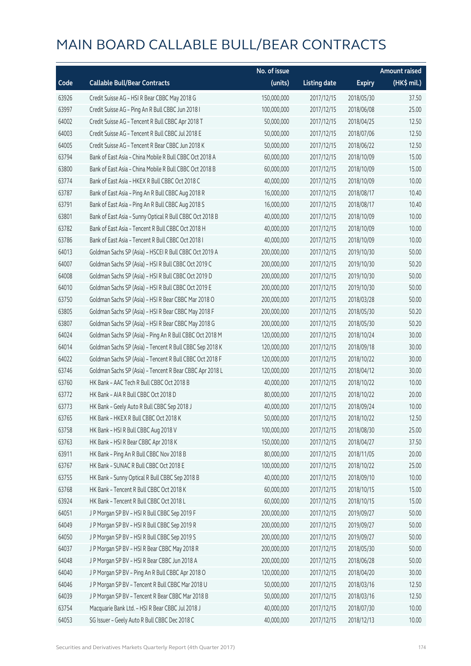|       |                                                          | No. of issue |                     |               | <b>Amount raised</b> |
|-------|----------------------------------------------------------|--------------|---------------------|---------------|----------------------|
| Code  | <b>Callable Bull/Bear Contracts</b>                      | (units)      | <b>Listing date</b> | <b>Expiry</b> | (HK\$ mil.)          |
| 63926 | Credit Suisse AG - HSI R Bear CBBC May 2018 G            | 150,000,000  | 2017/12/15          | 2018/05/30    | 37.50                |
| 63997 | Credit Suisse AG - Ping An R Bull CBBC Jun 2018 I        | 100,000,000  | 2017/12/15          | 2018/06/08    | 25.00                |
| 64002 | Credit Suisse AG - Tencent R Bull CBBC Apr 2018 T        | 50,000,000   | 2017/12/15          | 2018/04/25    | 12.50                |
| 64003 | Credit Suisse AG - Tencent R Bull CBBC Jul 2018 E        | 50,000,000   | 2017/12/15          | 2018/07/06    | 12.50                |
| 64005 | Credit Suisse AG - Tencent R Bear CBBC Jun 2018 K        | 50,000,000   | 2017/12/15          | 2018/06/22    | 12.50                |
| 63794 | Bank of East Asia - China Mobile R Bull CBBC Oct 2018 A  | 60,000,000   | 2017/12/15          | 2018/10/09    | 15.00                |
| 63800 | Bank of East Asia - China Mobile R Bull CBBC Oct 2018 B  | 60,000,000   | 2017/12/15          | 2018/10/09    | 15.00                |
| 63774 | Bank of East Asia - HKEX R Bull CBBC Oct 2018 C          | 40,000,000   | 2017/12/15          | 2018/10/09    | 10.00                |
| 63787 | Bank of East Asia - Ping An R Bull CBBC Aug 2018 R       | 16,000,000   | 2017/12/15          | 2018/08/17    | 10.40                |
| 63791 | Bank of East Asia - Ping An R Bull CBBC Aug 2018 S       | 16,000,000   | 2017/12/15          | 2018/08/17    | 10.40                |
| 63801 | Bank of East Asia - Sunny Optical R Bull CBBC Oct 2018 B | 40,000,000   | 2017/12/15          | 2018/10/09    | 10.00                |
| 63782 | Bank of East Asia - Tencent R Bull CBBC Oct 2018 H       | 40,000,000   | 2017/12/15          | 2018/10/09    | 10.00                |
| 63786 | Bank of East Asia - Tencent R Bull CBBC Oct 2018 I       | 40,000,000   | 2017/12/15          | 2018/10/09    | 10.00                |
| 64013 | Goldman Sachs SP (Asia) - HSCEI R Bull CBBC Oct 2019 A   | 200,000,000  | 2017/12/15          | 2019/10/30    | 50.00                |
| 64007 | Goldman Sachs SP (Asia) - HSI R Bull CBBC Oct 2019 C     | 200,000,000  | 2017/12/15          | 2019/10/30    | 50.20                |
| 64008 | Goldman Sachs SP (Asia) - HSI R Bull CBBC Oct 2019 D     | 200,000,000  | 2017/12/15          | 2019/10/30    | 50.00                |
| 64010 | Goldman Sachs SP (Asia) - HSI R Bull CBBC Oct 2019 E     | 200,000,000  | 2017/12/15          | 2019/10/30    | 50.00                |
| 63750 | Goldman Sachs SP (Asia) - HSI R Bear CBBC Mar 2018 O     | 200,000,000  | 2017/12/15          | 2018/03/28    | 50.00                |
| 63805 | Goldman Sachs SP (Asia) - HSI R Bear CBBC May 2018 F     | 200,000,000  | 2017/12/15          | 2018/05/30    | 50.20                |
| 63807 | Goldman Sachs SP (Asia) - HSI R Bear CBBC May 2018 G     | 200,000,000  | 2017/12/15          | 2018/05/30    | 50.20                |
| 64024 | Goldman Sachs SP (Asia) - Ping An R Bull CBBC Oct 2018 M | 120,000,000  | 2017/12/15          | 2018/10/24    | 30.00                |
| 64014 | Goldman Sachs SP (Asia) - Tencent R Bull CBBC Sep 2018 K | 120,000,000  | 2017/12/15          | 2018/09/18    | 30.00                |
| 64022 | Goldman Sachs SP (Asia) - Tencent R Bull CBBC Oct 2018 F | 120,000,000  | 2017/12/15          | 2018/10/22    | 30.00                |
| 63746 | Goldman Sachs SP (Asia) - Tencent R Bear CBBC Apr 2018 L | 120,000,000  | 2017/12/15          | 2018/04/12    | 30.00                |
| 63760 | HK Bank - AAC Tech R Bull CBBC Oct 2018 B                | 40,000,000   | 2017/12/15          | 2018/10/22    | 10.00                |
| 63772 | HK Bank - AIA R Bull CBBC Oct 2018 D                     | 80,000,000   | 2017/12/15          | 2018/10/22    | 20.00                |
| 63773 | HK Bank - Geely Auto R Bull CBBC Sep 2018 J              | 40,000,000   | 2017/12/15          | 2018/09/24    | 10.00                |
| 63765 | HK Bank - HKEX R Bull CBBC Oct 2018 K                    | 50,000,000   | 2017/12/15          | 2018/10/22    | 12.50                |
| 63758 | HK Bank - HSI R Bull CBBC Aug 2018 V                     | 100,000,000  | 2017/12/15          | 2018/08/30    | 25.00                |
| 63763 | HK Bank - HSI R Bear CBBC Apr 2018 K                     | 150,000,000  | 2017/12/15          | 2018/04/27    | 37.50                |
| 63911 | HK Bank - Ping An R Bull CBBC Nov 2018 B                 | 80,000,000   | 2017/12/15          | 2018/11/05    | 20.00                |
| 63767 | HK Bank - SUNAC R Bull CBBC Oct 2018 E                   | 100,000,000  | 2017/12/15          | 2018/10/22    | 25.00                |
| 63755 | HK Bank - Sunny Optical R Bull CBBC Sep 2018 B           | 40,000,000   | 2017/12/15          | 2018/09/10    | 10.00                |
| 63768 | HK Bank - Tencent R Bull CBBC Oct 2018 K                 | 60,000,000   | 2017/12/15          | 2018/10/15    | 15.00                |
| 63924 | HK Bank - Tencent R Bull CBBC Oct 2018 L                 | 60,000,000   | 2017/12/15          | 2018/10/15    | 15.00                |
| 64051 | J P Morgan SP BV - HSI R Bull CBBC Sep 2019 F            | 200,000,000  | 2017/12/15          | 2019/09/27    | 50.00                |
| 64049 | J P Morgan SP BV - HSI R Bull CBBC Sep 2019 R            | 200,000,000  | 2017/12/15          | 2019/09/27    | 50.00                |
| 64050 | JP Morgan SP BV - HSIR Bull CBBC Sep 2019 S              | 200,000,000  | 2017/12/15          | 2019/09/27    | 50.00                |
| 64037 | J P Morgan SP BV - HSI R Bear CBBC May 2018 R            | 200,000,000  | 2017/12/15          | 2018/05/30    | 50.00                |
| 64048 | J P Morgan SP BV - HSI R Bear CBBC Jun 2018 A            | 200,000,000  | 2017/12/15          | 2018/06/28    | 50.00                |
| 64040 | J P Morgan SP BV - Ping An R Bull CBBC Apr 2018 O        | 120,000,000  | 2017/12/15          | 2018/04/20    | 30.00                |
| 64046 | J P Morgan SP BV - Tencent R Bull CBBC Mar 2018 U        | 50,000,000   | 2017/12/15          | 2018/03/16    | 12.50                |
| 64039 | J P Morgan SP BV - Tencent R Bear CBBC Mar 2018 B        | 50,000,000   | 2017/12/15          | 2018/03/16    | 12.50                |
| 63754 | Macquarie Bank Ltd. - HSI R Bear CBBC Jul 2018 J         | 40,000,000   | 2017/12/15          | 2018/07/30    | 10.00                |
| 64053 | SG Issuer - Geely Auto R Bull CBBC Dec 2018 C            | 40,000,000   | 2017/12/15          | 2018/12/13    | 10.00                |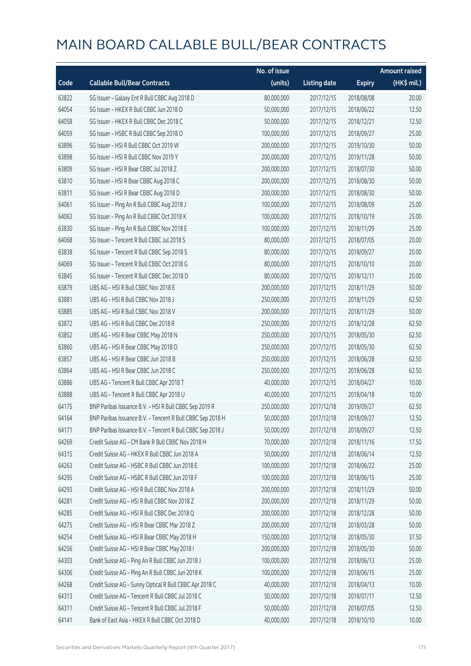|       |                                                            | No. of issue |                     |               | <b>Amount raised</b> |
|-------|------------------------------------------------------------|--------------|---------------------|---------------|----------------------|
| Code  | <b>Callable Bull/Bear Contracts</b>                        | (units)      | <b>Listing date</b> | <b>Expiry</b> | (HK\$ mil.)          |
| 63822 | SG Issuer - Galaxy Ent R Bull CBBC Aug 2018 D              | 80,000,000   | 2017/12/15          | 2018/08/08    | 20.00                |
| 64054 | SG Issuer - HKEX R Bull CBBC Jun 2018 O                    | 50,000,000   | 2017/12/15          | 2018/06/22    | 12.50                |
| 64058 | SG Issuer - HKEX R Bull CBBC Dec 2018 C                    | 50,000,000   | 2017/12/15          | 2018/12/21    | 12.50                |
| 64059 | SG Issuer - HSBC R Bull CBBC Sep 2018 O                    | 100,000,000  | 2017/12/15          | 2018/09/27    | 25.00                |
| 63896 | SG Issuer - HSI R Bull CBBC Oct 2019 W                     | 200,000,000  | 2017/12/15          | 2019/10/30    | 50.00                |
| 63898 | SG Issuer - HSI R Bull CBBC Nov 2019 Y                     | 200,000,000  | 2017/12/15          | 2019/11/28    | 50.00                |
| 63809 | SG Issuer - HSI R Bear CBBC Jul 2018 Z                     | 200,000,000  | 2017/12/15          | 2018/07/30    | 50.00                |
| 63810 | SG Issuer - HSI R Bear CBBC Aug 2018 C                     | 200,000,000  | 2017/12/15          | 2018/08/30    | 50.00                |
| 63811 | SG Issuer - HSI R Bear CBBC Aug 2018 D                     | 200,000,000  | 2017/12/15          | 2018/08/30    | 50.00                |
| 64061 | SG Issuer - Ping An R Bull CBBC Aug 2018 J                 | 100,000,000  | 2017/12/15          | 2018/08/09    | 25.00                |
| 64063 | SG Issuer - Ping An R Bull CBBC Oct 2018 K                 | 100,000,000  | 2017/12/15          | 2018/10/19    | 25.00                |
| 63830 | SG Issuer - Ping An R Bull CBBC Nov 2018 E                 | 100,000,000  | 2017/12/15          | 2018/11/29    | 25.00                |
| 64068 | SG Issuer - Tencent R Bull CBBC Jul 2018 S                 | 80,000,000   | 2017/12/15          | 2018/07/05    | 20.00                |
| 63838 | SG Issuer - Tencent R Bull CBBC Sep 2018 S                 | 80,000,000   | 2017/12/15          | 2018/09/27    | 20.00                |
| 64069 | SG Issuer - Tencent R Bull CBBC Oct 2018 G                 | 80,000,000   | 2017/12/15          | 2018/10/10    | 20.00                |
| 63845 | SG Issuer - Tencent R Bull CBBC Dec 2018 D                 | 80,000,000   | 2017/12/15          | 2018/12/11    | 20.00                |
| 63879 | UBS AG - HSI R Bull CBBC Nov 2018 E                        | 200,000,000  | 2017/12/15          | 2018/11/29    | 50.00                |
| 63881 | UBS AG - HSI R Bull CBBC Nov 2018 J                        | 250,000,000  | 2017/12/15          | 2018/11/29    | 62.50                |
| 63885 | UBS AG - HSI R Bull CBBC Nov 2018 V                        | 200,000,000  | 2017/12/15          | 2018/11/29    | 50.00                |
| 63872 | UBS AG - HSI R Bull CBBC Dec 2018 R                        | 250,000,000  | 2017/12/15          | 2018/12/28    | 62.50                |
| 63852 | UBS AG - HSI R Bear CBBC May 2018 N                        | 250,000,000  | 2017/12/15          | 2018/05/30    | 62.50                |
| 63860 | UBS AG - HSI R Bear CBBC May 2018 O                        | 250,000,000  | 2017/12/15          | 2018/05/30    | 62.50                |
| 63857 | UBS AG - HSI R Bear CBBC Jun 2018 B                        | 250,000,000  | 2017/12/15          | 2018/06/28    | 62.50                |
| 63864 | UBS AG - HSI R Bear CBBC Jun 2018 C                        | 250,000,000  | 2017/12/15          | 2018/06/28    | 62.50                |
| 63886 | UBS AG - Tencent R Bull CBBC Apr 2018 T                    | 40,000,000   | 2017/12/15          | 2018/04/27    | 10.00                |
| 63888 | UBS AG - Tencent R Bull CBBC Apr 2018 U                    | 40,000,000   | 2017/12/15          | 2018/04/18    | 10.00                |
| 64175 | BNP Paribas Issuance B.V. - HSI R Bull CBBC Sep 2019 R     | 250,000,000  | 2017/12/18          | 2019/09/27    | 62.50                |
| 64164 | BNP Paribas Issuance B.V. - Tencent R Bull CBBC Sep 2018 H | 50,000,000   | 2017/12/18          | 2018/09/27    | 12.50                |
| 64171 | BNP Paribas Issuance B.V. - Tencent R Bull CBBC Sep 2018 J | 50,000,000   | 2017/12/18          | 2018/09/27    | 12.50                |
| 64269 | Credit Suisse AG - CM Bank R Bull CBBC Nov 2018 H          | 70,000,000   | 2017/12/18          | 2018/11/16    | 17.50                |
| 64315 | Credit Suisse AG - HKEX R Bull CBBC Jun 2018 A             | 50,000,000   | 2017/12/18          | 2018/06/14    | 12.50                |
| 64263 | Credit Suisse AG - HSBC R Bull CBBC Jun 2018 E             | 100,000,000  | 2017/12/18          | 2018/06/22    | 25.00                |
| 64295 | Credit Suisse AG - HSBC R Bull CBBC Jun 2018 F             | 100,000,000  | 2017/12/18          | 2018/06/15    | 25.00                |
| 64293 | Credit Suisse AG - HSI R Bull CBBC Nov 2018 A              | 200,000,000  | 2017/12/18          | 2018/11/29    | 50.00                |
| 64281 | Credit Suisse AG - HSI R Bull CBBC Nov 2018 Z              | 200,000,000  | 2017/12/18          | 2018/11/29    | 50.00                |
| 64285 | Credit Suisse AG - HSI R Bull CBBC Dec 2018 Q              | 200,000,000  | 2017/12/18          | 2018/12/28    | 50.00                |
| 64275 | Credit Suisse AG - HSI R Bear CBBC Mar 2018 Z              | 200,000,000  | 2017/12/18          | 2018/03/28    | 50.00                |
| 64254 | Credit Suisse AG - HSI R Bear CBBC May 2018 H              | 150,000,000  | 2017/12/18          | 2018/05/30    | 37.50                |
| 64256 | Credit Suisse AG - HSI R Bear CBBC May 2018 I              | 200,000,000  | 2017/12/18          | 2018/05/30    | 50.00                |
| 64303 | Credit Suisse AG - Ping An R Bull CBBC Jun 2018 J          | 100,000,000  | 2017/12/18          | 2018/06/13    | 25.00                |
| 64306 | Credit Suisse AG - Ping An R Bull CBBC Jun 2018 K          | 100,000,000  | 2017/12/18          | 2018/06/15    | 25.00                |
| 64268 | Credit Suisse AG - Sunny Optical R Bull CBBC Apr 2018 C    | 40,000,000   | 2017/12/18          | 2018/04/13    | 10.00                |
| 64313 | Credit Suisse AG - Tencent R Bull CBBC Jul 2018 C          | 50,000,000   | 2017/12/18          | 2018/07/11    | 12.50                |
| 64311 | Credit Suisse AG - Tencent R Bull CBBC Jul 2018 F          | 50,000,000   | 2017/12/18          | 2018/07/05    | 12.50                |
| 64141 | Bank of East Asia - HKEX R Bull CBBC Oct 2018 D            | 40,000,000   | 2017/12/18          | 2018/10/10    | 10.00                |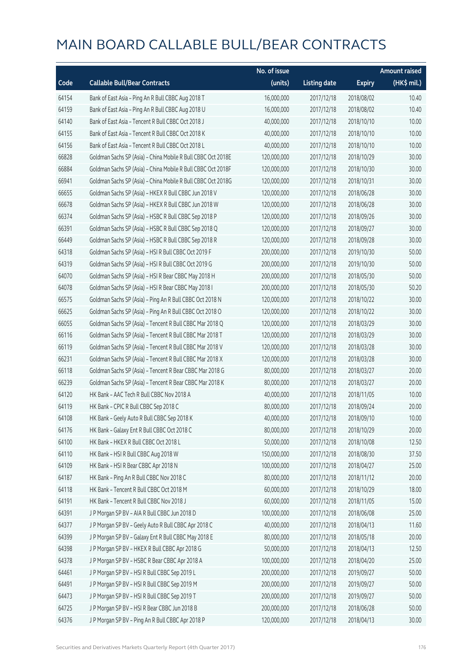|       |                                                              | No. of issue |                     |               | <b>Amount raised</b> |
|-------|--------------------------------------------------------------|--------------|---------------------|---------------|----------------------|
| Code  | <b>Callable Bull/Bear Contracts</b>                          | (units)      | <b>Listing date</b> | <b>Expiry</b> | (HK\$ mil.)          |
| 64154 | Bank of East Asia - Ping An R Bull CBBC Aug 2018 T           | 16,000,000   | 2017/12/18          | 2018/08/02    | 10.40                |
| 64159 | Bank of East Asia - Ping An R Bull CBBC Aug 2018 U           | 16,000,000   | 2017/12/18          | 2018/08/02    | 10.40                |
| 64140 | Bank of East Asia - Tencent R Bull CBBC Oct 2018 J           | 40,000,000   | 2017/12/18          | 2018/10/10    | 10.00                |
| 64155 | Bank of East Asia - Tencent R Bull CBBC Oct 2018 K           | 40,000,000   | 2017/12/18          | 2018/10/10    | 10.00                |
| 64156 | Bank of East Asia - Tencent R Bull CBBC Oct 2018 L           | 40,000,000   | 2017/12/18          | 2018/10/10    | 10.00                |
| 66828 | Goldman Sachs SP (Asia) - China Mobile R Bull CBBC Oct 2018E | 120,000,000  | 2017/12/18          | 2018/10/29    | 30.00                |
| 66884 | Goldman Sachs SP (Asia) - China Mobile R Bull CBBC Oct 2018F | 120,000,000  | 2017/12/18          | 2018/10/30    | 30.00                |
| 66941 | Goldman Sachs SP (Asia) - China Mobile R Bull CBBC Oct 2018G | 120,000,000  | 2017/12/18          | 2018/10/31    | 30.00                |
| 66655 | Goldman Sachs SP (Asia) - HKEX R Bull CBBC Jun 2018 V        | 120,000,000  | 2017/12/18          | 2018/06/28    | 30.00                |
| 66678 | Goldman Sachs SP (Asia) - HKEX R Bull CBBC Jun 2018 W        | 120,000,000  | 2017/12/18          | 2018/06/28    | 30.00                |
| 66374 | Goldman Sachs SP (Asia) - HSBC R Bull CBBC Sep 2018 P        | 120,000,000  | 2017/12/18          | 2018/09/26    | 30.00                |
| 66391 | Goldman Sachs SP (Asia) - HSBC R Bull CBBC Sep 2018 Q        | 120,000,000  | 2017/12/18          | 2018/09/27    | 30.00                |
| 66449 | Goldman Sachs SP (Asia) - HSBC R Bull CBBC Sep 2018 R        | 120,000,000  | 2017/12/18          | 2018/09/28    | 30.00                |
| 64318 | Goldman Sachs SP (Asia) - HSI R Bull CBBC Oct 2019 F         | 200,000,000  | 2017/12/18          | 2019/10/30    | 50.00                |
| 64319 | Goldman Sachs SP (Asia) - HSI R Bull CBBC Oct 2019 G         | 200,000,000  | 2017/12/18          | 2019/10/30    | 50.00                |
| 64070 | Goldman Sachs SP (Asia) - HSI R Bear CBBC May 2018 H         | 200,000,000  | 2017/12/18          | 2018/05/30    | 50.00                |
| 64078 | Goldman Sachs SP (Asia) - HSI R Bear CBBC May 2018 I         | 200,000,000  | 2017/12/18          | 2018/05/30    | 50.20                |
| 66575 | Goldman Sachs SP (Asia) - Ping An R Bull CBBC Oct 2018 N     | 120,000,000  | 2017/12/18          | 2018/10/22    | 30.00                |
| 66625 | Goldman Sachs SP (Asia) - Ping An R Bull CBBC Oct 2018 O     | 120,000,000  | 2017/12/18          | 2018/10/22    | 30.00                |
| 66055 | Goldman Sachs SP (Asia) - Tencent R Bull CBBC Mar 2018 Q     | 120,000,000  | 2017/12/18          | 2018/03/29    | 30.00                |
| 66116 | Goldman Sachs SP (Asia) - Tencent R Bull CBBC Mar 2018 T     | 120,000,000  | 2017/12/18          | 2018/03/29    | 30.00                |
| 66119 | Goldman Sachs SP (Asia) - Tencent R Bull CBBC Mar 2018 V     | 120,000,000  | 2017/12/18          | 2018/03/28    | 30.00                |
| 66231 | Goldman Sachs SP (Asia) - Tencent R Bull CBBC Mar 2018 X     | 120,000,000  | 2017/12/18          | 2018/03/28    | 30.00                |
| 66118 | Goldman Sachs SP (Asia) - Tencent R Bear CBBC Mar 2018 G     | 80,000,000   | 2017/12/18          | 2018/03/27    | 20.00                |
| 66239 | Goldman Sachs SP (Asia) - Tencent R Bear CBBC Mar 2018 K     | 80,000,000   | 2017/12/18          | 2018/03/27    | 20.00                |
| 64120 | HK Bank - AAC Tech R Bull CBBC Nov 2018 A                    | 40,000,000   | 2017/12/18          | 2018/11/05    | 10.00                |
| 64119 | HK Bank - CPIC R Bull CBBC Sep 2018 C                        | 80,000,000   | 2017/12/18          | 2018/09/24    | 20.00                |
| 64108 | HK Bank - Geely Auto R Bull CBBC Sep 2018 K                  | 40,000,000   | 2017/12/18          | 2018/09/10    | 10.00                |
| 64176 | HK Bank - Galaxy Ent R Bull CBBC Oct 2018 C                  | 80,000,000   | 2017/12/18          | 2018/10/29    | 20.00                |
| 64100 | HK Bank - HKEX R Bull CBBC Oct 2018 L                        | 50,000,000   | 2017/12/18          | 2018/10/08    | 12.50                |
| 64110 | HK Bank - HSI R Bull CBBC Aug 2018 W                         | 150,000,000  | 2017/12/18          | 2018/08/30    | 37.50                |
| 64109 | HK Bank - HSI R Bear CBBC Apr 2018 N                         | 100,000,000  | 2017/12/18          | 2018/04/27    | 25.00                |
| 64187 | HK Bank - Ping An R Bull CBBC Nov 2018 C                     | 80,000,000   | 2017/12/18          | 2018/11/12    | 20.00                |
| 64118 | HK Bank - Tencent R Bull CBBC Oct 2018 M                     | 60,000,000   | 2017/12/18          | 2018/10/29    | 18.00                |
| 64191 | HK Bank - Tencent R Bull CBBC Nov 2018 J                     | 60,000,000   | 2017/12/18          | 2018/11/05    | 15.00                |
| 64391 | J P Morgan SP BV - AIA R Bull CBBC Jun 2018 D                | 100,000,000  | 2017/12/18          | 2018/06/08    | 25.00                |
| 64377 | J P Morgan SP BV - Geely Auto R Bull CBBC Apr 2018 C         | 40,000,000   | 2017/12/18          | 2018/04/13    | 11.60                |
| 64399 | J P Morgan SP BV - Galaxy Ent R Bull CBBC May 2018 E         | 80,000,000   | 2017/12/18          | 2018/05/18    | 20.00                |
| 64398 | J P Morgan SP BV - HKEX R Bull CBBC Apr 2018 G               | 50,000,000   | 2017/12/18          | 2018/04/13    | 12.50                |
| 64378 | J P Morgan SP BV - HSBC R Bear CBBC Apr 2018 A               | 100,000,000  | 2017/12/18          | 2018/04/20    | 25.00                |
| 64461 | J P Morgan SP BV - HSI R Bull CBBC Sep 2019 L                | 200,000,000  | 2017/12/18          | 2019/09/27    | 50.00                |
| 64491 | J P Morgan SP BV - HSI R Bull CBBC Sep 2019 M                | 200,000,000  | 2017/12/18          | 2019/09/27    | 50.00                |
| 64473 | J P Morgan SP BV - HSI R Bull CBBC Sep 2019 T                | 200,000,000  | 2017/12/18          | 2019/09/27    | 50.00                |
| 64725 | J P Morgan SP BV - HSI R Bear CBBC Jun 2018 B                | 200,000,000  | 2017/12/18          | 2018/06/28    | 50.00                |
| 64376 | J P Morgan SP BV - Ping An R Bull CBBC Apr 2018 P            | 120,000,000  | 2017/12/18          | 2018/04/13    | 30.00                |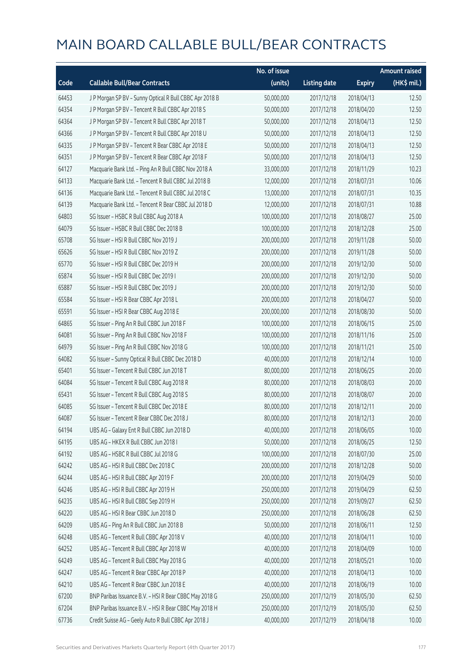|       |                                                         | No. of issue |                     |               | <b>Amount raised</b>  |
|-------|---------------------------------------------------------|--------------|---------------------|---------------|-----------------------|
| Code  | <b>Callable Bull/Bear Contracts</b>                     | (units)      | <b>Listing date</b> | <b>Expiry</b> | $(HK\frac{1}{2}mil.)$ |
| 64453 | J P Morgan SP BV - Sunny Optical R Bull CBBC Apr 2018 B | 50,000,000   | 2017/12/18          | 2018/04/13    | 12.50                 |
| 64354 | J P Morgan SP BV - Tencent R Bull CBBC Apr 2018 S       | 50,000,000   | 2017/12/18          | 2018/04/20    | 12.50                 |
| 64364 | J P Morgan SP BV - Tencent R Bull CBBC Apr 2018 T       | 50,000,000   | 2017/12/18          | 2018/04/13    | 12.50                 |
| 64366 | J P Morgan SP BV - Tencent R Bull CBBC Apr 2018 U       | 50,000,000   | 2017/12/18          | 2018/04/13    | 12.50                 |
| 64335 | JP Morgan SP BV - Tencent R Bear CBBC Apr 2018 E        | 50,000,000   | 2017/12/18          | 2018/04/13    | 12.50                 |
| 64351 | JP Morgan SP BV - Tencent R Bear CBBC Apr 2018 F        | 50,000,000   | 2017/12/18          | 2018/04/13    | 12.50                 |
| 64127 | Macquarie Bank Ltd. - Ping An R Bull CBBC Nov 2018 A    | 33,000,000   | 2017/12/18          | 2018/11/29    | 10.23                 |
| 64133 | Macquarie Bank Ltd. - Tencent R Bull CBBC Jul 2018 B    | 12,000,000   | 2017/12/18          | 2018/07/31    | 10.06                 |
| 64136 | Macquarie Bank Ltd. - Tencent R Bull CBBC Jul 2018 C    | 13,000,000   | 2017/12/18          | 2018/07/31    | 10.35                 |
| 64139 | Macquarie Bank Ltd. - Tencent R Bear CBBC Jul 2018 D    | 12,000,000   | 2017/12/18          | 2018/07/31    | 10.88                 |
| 64803 | SG Issuer - HSBC R Bull CBBC Aug 2018 A                 | 100,000,000  | 2017/12/18          | 2018/08/27    | 25.00                 |
| 64079 | SG Issuer - HSBC R Bull CBBC Dec 2018 B                 | 100,000,000  | 2017/12/18          | 2018/12/28    | 25.00                 |
| 65708 | SG Issuer - HSI R Bull CBBC Nov 2019 J                  | 200,000,000  | 2017/12/18          | 2019/11/28    | 50.00                 |
| 65626 | SG Issuer - HSI R Bull CBBC Nov 2019 Z                  | 200,000,000  | 2017/12/18          | 2019/11/28    | 50.00                 |
| 65770 | SG Issuer - HSI R Bull CBBC Dec 2019 H                  | 200,000,000  | 2017/12/18          | 2019/12/30    | 50.00                 |
| 65874 | SG Issuer - HSI R Bull CBBC Dec 2019 I                  | 200,000,000  | 2017/12/18          | 2019/12/30    | 50.00                 |
| 65887 | SG Issuer - HSI R Bull CBBC Dec 2019 J                  | 200,000,000  | 2017/12/18          | 2019/12/30    | 50.00                 |
| 65584 | SG Issuer - HSI R Bear CBBC Apr 2018 L                  | 200,000,000  | 2017/12/18          | 2018/04/27    | 50.00                 |
| 65591 | SG Issuer - HSI R Bear CBBC Aug 2018 E                  | 200,000,000  | 2017/12/18          | 2018/08/30    | 50.00                 |
| 64865 | SG Issuer - Ping An R Bull CBBC Jun 2018 F              | 100,000,000  | 2017/12/18          | 2018/06/15    | 25.00                 |
| 64081 | SG Issuer - Ping An R Bull CBBC Nov 2018 F              | 100,000,000  | 2017/12/18          | 2018/11/16    | 25.00                 |
| 64979 | SG Issuer - Ping An R Bull CBBC Nov 2018 G              | 100,000,000  | 2017/12/18          | 2018/11/21    | 25.00                 |
| 64082 | SG Issuer - Sunny Optical R Bull CBBC Dec 2018 D        | 40,000,000   | 2017/12/18          | 2018/12/14    | 10.00                 |
| 65401 | SG Issuer - Tencent R Bull CBBC Jun 2018 T              | 80,000,000   | 2017/12/18          | 2018/06/25    | 20.00                 |
| 64084 | SG Issuer - Tencent R Bull CBBC Aug 2018 R              | 80,000,000   | 2017/12/18          | 2018/08/03    | 20.00                 |
| 65431 | SG Issuer - Tencent R Bull CBBC Aug 2018 S              | 80,000,000   | 2017/12/18          | 2018/08/07    | 20.00                 |
| 64085 | SG Issuer - Tencent R Bull CBBC Dec 2018 E              | 80,000,000   | 2017/12/18          | 2018/12/11    | 20.00                 |
| 64087 | SG Issuer - Tencent R Bear CBBC Dec 2018 J              | 80,000,000   | 2017/12/18          | 2018/12/13    | 20.00                 |
| 64194 | UBS AG - Galaxy Ent R Bull CBBC Jun 2018 D              | 40,000,000   | 2017/12/18          | 2018/06/05    | 10.00                 |
| 64195 | UBS AG - HKEX R Bull CBBC Jun 2018 I                    | 50,000,000   | 2017/12/18          | 2018/06/25    | 12.50                 |
| 64192 | UBS AG - HSBC R Bull CBBC Jul 2018 G                    | 100,000,000  | 2017/12/18          | 2018/07/30    | 25.00                 |
| 64242 | UBS AG - HSI R Bull CBBC Dec 2018 C                     | 200,000,000  | 2017/12/18          | 2018/12/28    | 50.00                 |
| 64244 | UBS AG - HSI R Bull CBBC Apr 2019 F                     | 200,000,000  | 2017/12/18          | 2019/04/29    | 50.00                 |
| 64246 | UBS AG - HSI R Bull CBBC Apr 2019 H                     | 250,000,000  | 2017/12/18          | 2019/04/29    | 62.50                 |
| 64235 | UBS AG - HSI R Bull CBBC Sep 2019 H                     | 250,000,000  | 2017/12/18          | 2019/09/27    | 62.50                 |
| 64220 | UBS AG - HSI R Bear CBBC Jun 2018 D                     | 250,000,000  | 2017/12/18          | 2018/06/28    | 62.50                 |
| 64209 | UBS AG - Ping An R Bull CBBC Jun 2018 B                 | 50,000,000   | 2017/12/18          | 2018/06/11    | 12.50                 |
| 64248 | UBS AG - Tencent R Bull CBBC Apr 2018 V                 | 40,000,000   | 2017/12/18          | 2018/04/11    | 10.00                 |
| 64252 | UBS AG - Tencent R Bull CBBC Apr 2018 W                 | 40,000,000   | 2017/12/18          | 2018/04/09    | 10.00                 |
| 64249 | UBS AG - Tencent R Bull CBBC May 2018 G                 | 40,000,000   | 2017/12/18          | 2018/05/21    | 10.00                 |
| 64247 | UBS AG - Tencent R Bear CBBC Apr 2018 P                 | 40,000,000   | 2017/12/18          | 2018/04/13    | 10.00                 |
| 64210 | UBS AG - Tencent R Bear CBBC Jun 2018 E                 | 40,000,000   | 2017/12/18          | 2018/06/19    | 10.00                 |
| 67200 | BNP Paribas Issuance B.V. - HSI R Bear CBBC May 2018 G  | 250,000,000  | 2017/12/19          | 2018/05/30    | 62.50                 |
| 67204 | BNP Paribas Issuance B.V. - HSI R Bear CBBC May 2018 H  | 250,000,000  | 2017/12/19          | 2018/05/30    | 62.50                 |
| 67736 | Credit Suisse AG - Geely Auto R Bull CBBC Apr 2018 J    | 40,000,000   | 2017/12/19          | 2018/04/18    | 10.00                 |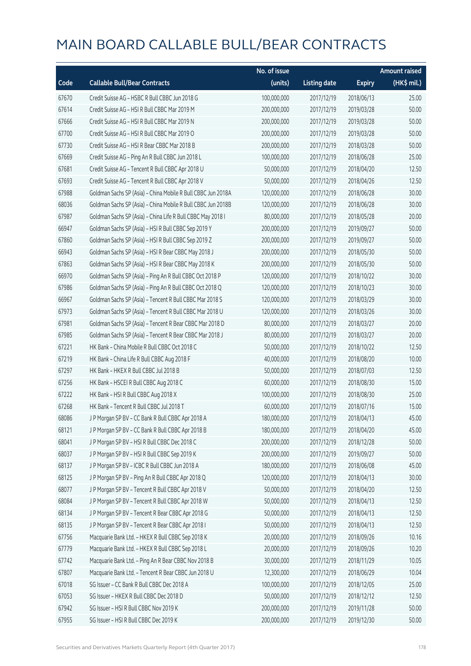|       |                                                              | No. of issue |                     |               | <b>Amount raised</b> |
|-------|--------------------------------------------------------------|--------------|---------------------|---------------|----------------------|
| Code  | <b>Callable Bull/Bear Contracts</b>                          | (units)      | <b>Listing date</b> | <b>Expiry</b> | (HK\$ mil.)          |
| 67670 | Credit Suisse AG - HSBC R Bull CBBC Jun 2018 G               | 100,000,000  | 2017/12/19          | 2018/06/13    | 25.00                |
| 67614 | Credit Suisse AG - HSI R Bull CBBC Mar 2019 M                | 200,000,000  | 2017/12/19          | 2019/03/28    | 50.00                |
| 67666 | Credit Suisse AG - HSI R Bull CBBC Mar 2019 N                | 200,000,000  | 2017/12/19          | 2019/03/28    | 50.00                |
| 67700 | Credit Suisse AG - HSI R Bull CBBC Mar 2019 O                | 200,000,000  | 2017/12/19          | 2019/03/28    | 50.00                |
| 67730 | Credit Suisse AG - HSI R Bear CBBC Mar 2018 B                | 200,000,000  | 2017/12/19          | 2018/03/28    | 50.00                |
| 67669 | Credit Suisse AG - Ping An R Bull CBBC Jun 2018 L            | 100,000,000  | 2017/12/19          | 2018/06/28    | 25.00                |
| 67681 | Credit Suisse AG - Tencent R Bull CBBC Apr 2018 U            | 50,000,000   | 2017/12/19          | 2018/04/20    | 12.50                |
| 67693 | Credit Suisse AG - Tencent R Bull CBBC Apr 2018 V            | 50,000,000   | 2017/12/19          | 2018/04/26    | 12.50                |
| 67988 | Goldman Sachs SP (Asia) - China Mobile R Bull CBBC Jun 2018A | 120,000,000  | 2017/12/19          | 2018/06/28    | 30.00                |
| 68036 | Goldman Sachs SP (Asia) - China Mobile R Bull CBBC Jun 2018B | 120,000,000  | 2017/12/19          | 2018/06/28    | 30.00                |
| 67987 | Goldman Sachs SP (Asia) - China Life R Bull CBBC May 2018 I  | 80,000,000   | 2017/12/19          | 2018/05/28    | 20.00                |
| 66947 | Goldman Sachs SP (Asia) - HSI R Bull CBBC Sep 2019 Y         | 200,000,000  | 2017/12/19          | 2019/09/27    | 50.00                |
| 67860 | Goldman Sachs SP (Asia) - HSI R Bull CBBC Sep 2019 Z         | 200,000,000  | 2017/12/19          | 2019/09/27    | 50.00                |
| 66943 | Goldman Sachs SP (Asia) - HSI R Bear CBBC May 2018 J         | 200,000,000  | 2017/12/19          | 2018/05/30    | 50.00                |
| 67863 | Goldman Sachs SP (Asia) - HSI R Bear CBBC May 2018 K         | 200,000,000  | 2017/12/19          | 2018/05/30    | 50.00                |
| 66970 | Goldman Sachs SP (Asia) - Ping An R Bull CBBC Oct 2018 P     | 120,000,000  | 2017/12/19          | 2018/10/22    | 30.00                |
| 67986 | Goldman Sachs SP (Asia) - Ping An R Bull CBBC Oct 2018 Q     | 120,000,000  | 2017/12/19          | 2018/10/23    | 30.00                |
| 66967 | Goldman Sachs SP (Asia) - Tencent R Bull CBBC Mar 2018 S     | 120,000,000  | 2017/12/19          | 2018/03/29    | 30.00                |
| 67973 | Goldman Sachs SP (Asia) - Tencent R Bull CBBC Mar 2018 U     | 120,000,000  | 2017/12/19          | 2018/03/26    | 30.00                |
| 67981 | Goldman Sachs SP (Asia) - Tencent R Bear CBBC Mar 2018 D     | 80,000,000   | 2017/12/19          | 2018/03/27    | 20.00                |
| 67985 | Goldman Sachs SP (Asia) - Tencent R Bear CBBC Mar 2018 J     | 80,000,000   | 2017/12/19          | 2018/03/27    | 20.00                |
| 67221 | HK Bank - China Mobile R Bull CBBC Oct 2018 C                | 50,000,000   | 2017/12/19          | 2018/10/22    | 12.50                |
| 67219 | HK Bank - China Life R Bull CBBC Aug 2018 F                  | 40,000,000   | 2017/12/19          | 2018/08/20    | 10.00                |
| 67297 | HK Bank - HKEX R Bull CBBC Jul 2018 B                        | 50,000,000   | 2017/12/19          | 2018/07/03    | 12.50                |
| 67256 | HK Bank - HSCEI R Bull CBBC Aug 2018 C                       | 60,000,000   | 2017/12/19          | 2018/08/30    | 15.00                |
| 67222 | HK Bank - HSI R Bull CBBC Aug 2018 X                         | 100,000,000  | 2017/12/19          | 2018/08/30    | 25.00                |
| 67268 | HK Bank - Tencent R Bull CBBC Jul 2018 T                     | 60,000,000   | 2017/12/19          | 2018/07/16    | 15.00                |
| 68086 | J P Morgan SP BV - CC Bank R Bull CBBC Apr 2018 A            | 180,000,000  | 2017/12/19          | 2018/04/13    | 45.00                |
| 68121 | J P Morgan SP BV - CC Bank R Bull CBBC Apr 2018 B            | 180,000,000  | 2017/12/19          | 2018/04/20    | 45.00                |
| 68041 | J P Morgan SP BV - HSI R Bull CBBC Dec 2018 C                | 200,000,000  | 2017/12/19          | 2018/12/28    | 50.00                |
| 68037 | J P Morgan SP BV - HSI R Bull CBBC Sep 2019 K                | 200,000,000  | 2017/12/19          | 2019/09/27    | 50.00                |
| 68137 | J P Morgan SP BV - ICBC R Bull CBBC Jun 2018 A               | 180,000,000  | 2017/12/19          | 2018/06/08    | 45.00                |
| 68125 | J P Morgan SP BV - Ping An R Bull CBBC Apr 2018 Q            | 120,000,000  | 2017/12/19          | 2018/04/13    | 30.00                |
| 68077 | J P Morgan SP BV - Tencent R Bull CBBC Apr 2018 V            | 50,000,000   | 2017/12/19          | 2018/04/20    | 12.50                |
| 68084 | J P Morgan SP BV - Tencent R Bull CBBC Apr 2018 W            | 50,000,000   | 2017/12/19          | 2018/04/13    | 12.50                |
| 68134 | J P Morgan SP BV - Tencent R Bear CBBC Apr 2018 G            | 50,000,000   | 2017/12/19          | 2018/04/13    | 12.50                |
| 68135 | J P Morgan SP BV - Tencent R Bear CBBC Apr 2018 I            | 50,000,000   | 2017/12/19          | 2018/04/13    | 12.50                |
| 67756 | Macquarie Bank Ltd. - HKEX R Bull CBBC Sep 2018 K            | 20,000,000   | 2017/12/19          | 2018/09/26    | 10.16                |
| 67779 | Macquarie Bank Ltd. - HKEX R Bull CBBC Sep 2018 L            | 20,000,000   | 2017/12/19          | 2018/09/26    | 10.20                |
| 67742 | Macquarie Bank Ltd. - Ping An R Bear CBBC Nov 2018 B         | 30,000,000   | 2017/12/19          | 2018/11/29    | 10.05                |
| 67807 | Macquarie Bank Ltd. - Tencent R Bear CBBC Jun 2018 U         | 12,300,000   | 2017/12/19          | 2018/06/29    | 10.04                |
| 67018 | SG Issuer - CC Bank R Bull CBBC Dec 2018 A                   | 100,000,000  | 2017/12/19          | 2018/12/05    | 25.00                |
| 67053 | SG Issuer - HKEX R Bull CBBC Dec 2018 D                      | 50,000,000   | 2017/12/19          | 2018/12/12    | 12.50                |
| 67942 | SG Issuer - HSI R Bull CBBC Nov 2019 K                       | 200,000,000  | 2017/12/19          | 2019/11/28    | 50.00                |
| 67955 | SG Issuer - HSI R Bull CBBC Dec 2019 K                       | 200,000,000  | 2017/12/19          | 2019/12/30    | 50.00                |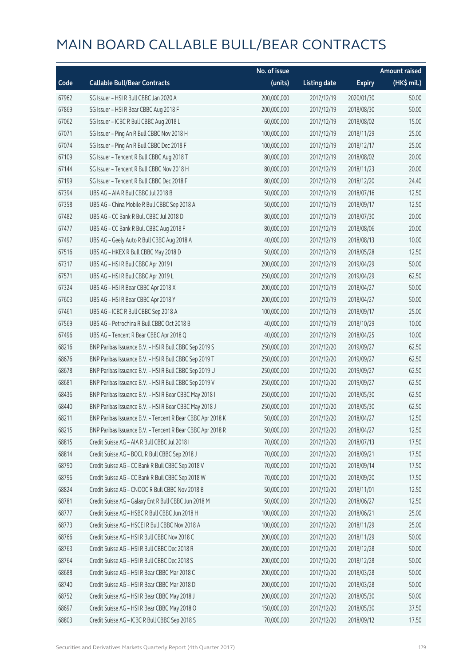|       |                                                            | No. of issue |                     |               | <b>Amount raised</b> |
|-------|------------------------------------------------------------|--------------|---------------------|---------------|----------------------|
| Code  | <b>Callable Bull/Bear Contracts</b>                        | (units)      | <b>Listing date</b> | <b>Expiry</b> | (HK\$ mil.)          |
| 67962 | SG Issuer - HSI R Bull CBBC Jan 2020 A                     | 200,000,000  | 2017/12/19          | 2020/01/30    | 50.00                |
| 67869 | SG Issuer - HSI R Bear CBBC Aug 2018 F                     | 200,000,000  | 2017/12/19          | 2018/08/30    | 50.00                |
| 67062 | SG Issuer - ICBC R Bull CBBC Aug 2018 L                    | 60,000,000   | 2017/12/19          | 2018/08/02    | 15.00                |
| 67071 | SG Issuer - Ping An R Bull CBBC Nov 2018 H                 | 100,000,000  | 2017/12/19          | 2018/11/29    | 25.00                |
| 67074 | SG Issuer - Ping An R Bull CBBC Dec 2018 F                 | 100,000,000  | 2017/12/19          | 2018/12/17    | 25.00                |
| 67109 | SG Issuer - Tencent R Bull CBBC Aug 2018 T                 | 80,000,000   | 2017/12/19          | 2018/08/02    | 20.00                |
| 67144 | SG Issuer - Tencent R Bull CBBC Nov 2018 H                 | 80,000,000   | 2017/12/19          | 2018/11/23    | 20.00                |
| 67199 | SG Issuer - Tencent R Bull CBBC Dec 2018 F                 | 80,000,000   | 2017/12/19          | 2018/12/20    | 24.40                |
| 67394 | UBS AG - AIA R Bull CBBC Jul 2018 B                        | 50,000,000   | 2017/12/19          | 2018/07/16    | 12.50                |
| 67358 | UBS AG - China Mobile R Bull CBBC Sep 2018 A               | 50,000,000   | 2017/12/19          | 2018/09/17    | 12.50                |
| 67482 | UBS AG - CC Bank R Bull CBBC Jul 2018 D                    | 80,000,000   | 2017/12/19          | 2018/07/30    | 20.00                |
| 67477 | UBS AG - CC Bank R Bull CBBC Aug 2018 F                    | 80,000,000   | 2017/12/19          | 2018/08/06    | 20.00                |
| 67497 | UBS AG - Geely Auto R Bull CBBC Aug 2018 A                 | 40,000,000   | 2017/12/19          | 2018/08/13    | 10.00                |
| 67516 | UBS AG - HKEX R Bull CBBC May 2018 D                       | 50,000,000   | 2017/12/19          | 2018/05/28    | 12.50                |
| 67317 | UBS AG - HSI R Bull CBBC Apr 2019 I                        | 200,000,000  | 2017/12/19          | 2019/04/29    | 50.00                |
| 67571 | UBS AG - HSI R Bull CBBC Apr 2019 L                        | 250,000,000  | 2017/12/19          | 2019/04/29    | 62.50                |
| 67324 | UBS AG - HSI R Bear CBBC Apr 2018 X                        | 200,000,000  | 2017/12/19          | 2018/04/27    | 50.00                |
| 67603 | UBS AG - HSI R Bear CBBC Apr 2018 Y                        | 200,000,000  | 2017/12/19          | 2018/04/27    | 50.00                |
| 67461 | UBS AG - ICBC R Bull CBBC Sep 2018 A                       | 100,000,000  | 2017/12/19          | 2018/09/17    | 25.00                |
| 67569 | UBS AG - Petrochina R Bull CBBC Oct 2018 B                 | 40,000,000   | 2017/12/19          | 2018/10/29    | 10.00                |
| 67496 | UBS AG - Tencent R Bear CBBC Apr 2018 Q                    | 40,000,000   | 2017/12/19          | 2018/04/25    | 10.00                |
| 68216 | BNP Paribas Issuance B.V. - HSI R Bull CBBC Sep 2019 S     | 250,000,000  | 2017/12/20          | 2019/09/27    | 62.50                |
| 68676 | BNP Paribas Issuance B.V. - HSI R Bull CBBC Sep 2019 T     | 250,000,000  | 2017/12/20          | 2019/09/27    | 62.50                |
| 68678 | BNP Paribas Issuance B.V. - HSI R Bull CBBC Sep 2019 U     | 250,000,000  | 2017/12/20          | 2019/09/27    | 62.50                |
| 68681 | BNP Paribas Issuance B.V. - HSI R Bull CBBC Sep 2019 V     | 250,000,000  | 2017/12/20          | 2019/09/27    | 62.50                |
| 68436 | BNP Paribas Issuance B.V. - HSI R Bear CBBC May 2018 I     | 250,000,000  | 2017/12/20          | 2018/05/30    | 62.50                |
| 68440 | BNP Paribas Issuance B.V. - HSI R Bear CBBC May 2018 J     | 250,000,000  | 2017/12/20          | 2018/05/30    | 62.50                |
| 68211 | BNP Paribas Issuance B.V. - Tencent R Bear CBBC Apr 2018 K | 50,000,000   | 2017/12/20          | 2018/04/27    | 12.50                |
| 68215 | BNP Paribas Issuance B.V. - Tencent R Bear CBBC Apr 2018 R | 50,000,000   | 2017/12/20          | 2018/04/27    | 12.50                |
| 68815 | Credit Suisse AG - AIA R Bull CBBC Jul 2018 I              | 70,000,000   | 2017/12/20          | 2018/07/13    | 17.50                |
| 68814 | Credit Suisse AG - BOCL R Bull CBBC Sep 2018 J             | 70,000,000   | 2017/12/20          | 2018/09/21    | 17.50                |
| 68790 | Credit Suisse AG - CC Bank R Bull CBBC Sep 2018 V          | 70,000,000   | 2017/12/20          | 2018/09/14    | 17.50                |
| 68796 | Credit Suisse AG - CC Bank R Bull CBBC Sep 2018 W          | 70,000,000   | 2017/12/20          | 2018/09/20    | 17.50                |
| 68824 | Credit Suisse AG - CNOOC R Bull CBBC Nov 2018 B            | 50,000,000   | 2017/12/20          | 2018/11/01    | 12.50                |
| 68781 | Credit Suisse AG - Galaxy Ent R Bull CBBC Jun 2018 M       | 50,000,000   | 2017/12/20          | 2018/06/27    | 12.50                |
| 68777 | Credit Suisse AG - HSBC R Bull CBBC Jun 2018 H             | 100,000,000  | 2017/12/20          | 2018/06/21    | 25.00                |
| 68773 | Credit Suisse AG - HSCEI R Bull CBBC Nov 2018 A            | 100,000,000  | 2017/12/20          | 2018/11/29    | 25.00                |
| 68766 | Credit Suisse AG - HSI R Bull CBBC Nov 2018 C              | 200,000,000  | 2017/12/20          | 2018/11/29    | 50.00                |
| 68763 | Credit Suisse AG - HSI R Bull CBBC Dec 2018 R              | 200,000,000  | 2017/12/20          | 2018/12/28    | 50.00                |
| 68764 | Credit Suisse AG - HSI R Bull CBBC Dec 2018 S              | 200,000,000  | 2017/12/20          | 2018/12/28    | 50.00                |
| 68688 | Credit Suisse AG - HSI R Bear CBBC Mar 2018 C              | 200,000,000  | 2017/12/20          | 2018/03/28    | 50.00                |
| 68740 | Credit Suisse AG - HSI R Bear CBBC Mar 2018 D              | 200,000,000  | 2017/12/20          | 2018/03/28    | 50.00                |
| 68752 | Credit Suisse AG - HSI R Bear CBBC May 2018 J              | 200,000,000  | 2017/12/20          | 2018/05/30    | 50.00                |
| 68697 | Credit Suisse AG - HSI R Bear CBBC May 2018 O              | 150,000,000  | 2017/12/20          | 2018/05/30    | 37.50                |
| 68803 | Credit Suisse AG - ICBC R Bull CBBC Sep 2018 S             | 70,000,000   | 2017/12/20          | 2018/09/12    | 17.50                |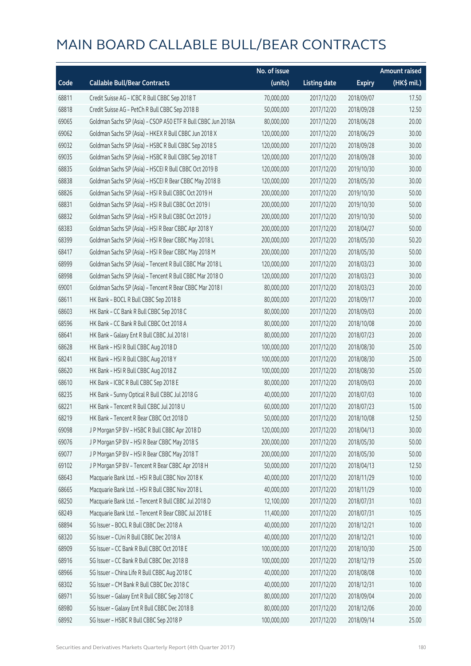|       |                                                              | No. of issue |                     |               | <b>Amount raised</b> |
|-------|--------------------------------------------------------------|--------------|---------------------|---------------|----------------------|
| Code  | <b>Callable Bull/Bear Contracts</b>                          | (units)      | <b>Listing date</b> | <b>Expiry</b> | (HK\$ mil.)          |
| 68811 | Credit Suisse AG - ICBC R Bull CBBC Sep 2018 T               | 70,000,000   | 2017/12/20          | 2018/09/07    | 17.50                |
| 68818 | Credit Suisse AG - PetCh R Bull CBBC Sep 2018 B              | 50,000,000   | 2017/12/20          | 2018/09/28    | 12.50                |
| 69065 | Goldman Sachs SP (Asia) - CSOP A50 ETF R Bull CBBC Jun 2018A | 80,000,000   | 2017/12/20          | 2018/06/28    | 20.00                |
| 69062 | Goldman Sachs SP (Asia) - HKEX R Bull CBBC Jun 2018 X        | 120,000,000  | 2017/12/20          | 2018/06/29    | 30.00                |
| 69032 | Goldman Sachs SP (Asia) - HSBC R Bull CBBC Sep 2018 S        | 120,000,000  | 2017/12/20          | 2018/09/28    | 30.00                |
| 69035 | Goldman Sachs SP (Asia) - HSBC R Bull CBBC Sep 2018 T        | 120,000,000  | 2017/12/20          | 2018/09/28    | 30.00                |
| 68835 | Goldman Sachs SP (Asia) - HSCEI R Bull CBBC Oct 2019 B       | 120,000,000  | 2017/12/20          | 2019/10/30    | 30.00                |
| 68838 | Goldman Sachs SP (Asia) - HSCEI R Bear CBBC May 2018 B       | 120,000,000  | 2017/12/20          | 2018/05/30    | 30.00                |
| 68826 | Goldman Sachs SP (Asia) - HSI R Bull CBBC Oct 2019 H         | 200,000,000  | 2017/12/20          | 2019/10/30    | 50.00                |
| 68831 | Goldman Sachs SP (Asia) - HSI R Bull CBBC Oct 2019 I         | 200,000,000  | 2017/12/20          | 2019/10/30    | 50.00                |
| 68832 | Goldman Sachs SP (Asia) - HSI R Bull CBBC Oct 2019 J         | 200,000,000  | 2017/12/20          | 2019/10/30    | 50.00                |
| 68383 | Goldman Sachs SP (Asia) - HSI R Bear CBBC Apr 2018 Y         | 200,000,000  | 2017/12/20          | 2018/04/27    | 50.00                |
| 68399 | Goldman Sachs SP (Asia) - HSI R Bear CBBC May 2018 L         | 200,000,000  | 2017/12/20          | 2018/05/30    | 50.20                |
| 68417 | Goldman Sachs SP (Asia) - HSI R Bear CBBC May 2018 M         | 200,000,000  | 2017/12/20          | 2018/05/30    | 50.00                |
| 68999 | Goldman Sachs SP (Asia) - Tencent R Bull CBBC Mar 2018 L     | 120,000,000  | 2017/12/20          | 2018/03/23    | 30.00                |
| 68998 | Goldman Sachs SP (Asia) - Tencent R Bull CBBC Mar 2018 O     | 120,000,000  | 2017/12/20          | 2018/03/23    | 30.00                |
| 69001 | Goldman Sachs SP (Asia) - Tencent R Bear CBBC Mar 2018 I     | 80,000,000   | 2017/12/20          | 2018/03/23    | 20.00                |
| 68611 | HK Bank - BOCL R Bull CBBC Sep 2018 B                        | 80,000,000   | 2017/12/20          | 2018/09/17    | 20.00                |
| 68603 | HK Bank - CC Bank R Bull CBBC Sep 2018 C                     | 80,000,000   | 2017/12/20          | 2018/09/03    | 20.00                |
| 68596 | HK Bank - CC Bank R Bull CBBC Oct 2018 A                     | 80,000,000   | 2017/12/20          | 2018/10/08    | 20.00                |
| 68641 | HK Bank - Galaxy Ent R Bull CBBC Jul 2018 I                  | 80,000,000   | 2017/12/20          | 2018/07/23    | 20.00                |
| 68628 | HK Bank - HSI R Bull CBBC Aug 2018 D                         | 100,000,000  | 2017/12/20          | 2018/08/30    | 25.00                |
| 68241 | HK Bank - HSI R Bull CBBC Aug 2018 Y                         | 100,000,000  | 2017/12/20          | 2018/08/30    | 25.00                |
| 68620 | HK Bank - HSI R Bull CBBC Aug 2018 Z                         | 100,000,000  | 2017/12/20          | 2018/08/30    | 25.00                |
| 68610 | HK Bank - ICBC R Bull CBBC Sep 2018 E                        | 80,000,000   | 2017/12/20          | 2018/09/03    | 20.00                |
| 68235 | HK Bank - Sunny Optical R Bull CBBC Jul 2018 G               | 40,000,000   | 2017/12/20          | 2018/07/03    | 10.00                |
| 68221 | HK Bank - Tencent R Bull CBBC Jul 2018 U                     | 60,000,000   | 2017/12/20          | 2018/07/23    | 15.00                |
| 68219 | HK Bank - Tencent R Bear CBBC Oct 2018 D                     | 50,000,000   | 2017/12/20          | 2018/10/08    | 12.50                |
| 69098 | J P Morgan SP BV - HSBC R Bull CBBC Apr 2018 D               | 120,000,000  | 2017/12/20          | 2018/04/13    | 30.00                |
| 69076 | J P Morgan SP BV - HSI R Bear CBBC May 2018 S                | 200,000,000  | 2017/12/20          | 2018/05/30    | 50.00                |
| 69077 | J P Morgan SP BV - HSI R Bear CBBC May 2018 T                | 200,000,000  | 2017/12/20          | 2018/05/30    | 50.00                |
| 69102 | J P Morgan SP BV - Tencent R Bear CBBC Apr 2018 H            | 50,000,000   | 2017/12/20          | 2018/04/13    | 12.50                |
| 68643 | Macquarie Bank Ltd. - HSI R Bull CBBC Nov 2018 K             | 40,000,000   | 2017/12/20          | 2018/11/29    | 10.00                |
| 68665 | Macquarie Bank Ltd. - HSI R Bull CBBC Nov 2018 L             | 40,000,000   | 2017/12/20          | 2018/11/29    | 10.00                |
| 68250 | Macquarie Bank Ltd. - Tencent R Bull CBBC Jul 2018 D         | 12,100,000   | 2017/12/20          | 2018/07/31    | 10.03                |
| 68249 | Macquarie Bank Ltd. - Tencent R Bear CBBC Jul 2018 E         | 11,400,000   | 2017/12/20          | 2018/07/31    | 10.05                |
| 68894 | SG Issuer - BOCL R Bull CBBC Dec 2018 A                      | 40,000,000   | 2017/12/20          | 2018/12/21    | 10.00                |
| 68320 | SG Issuer - CUni R Bull CBBC Dec 2018 A                      | 40,000,000   | 2017/12/20          | 2018/12/21    | 10.00                |
| 68909 | SG Issuer - CC Bank R Bull CBBC Oct 2018 E                   | 100,000,000  | 2017/12/20          | 2018/10/30    | 25.00                |
| 68916 | SG Issuer - CC Bank R Bull CBBC Dec 2018 B                   | 100,000,000  | 2017/12/20          | 2018/12/19    | 25.00                |
| 68966 | SG Issuer - China Life R Bull CBBC Aug 2018 C                | 40,000,000   | 2017/12/20          | 2018/08/08    | 10.00                |
| 68302 | SG Issuer - CM Bank R Bull CBBC Dec 2018 C                   | 40,000,000   | 2017/12/20          | 2018/12/31    | 10.00                |
| 68971 | SG Issuer - Galaxy Ent R Bull CBBC Sep 2018 C                | 80,000,000   | 2017/12/20          | 2018/09/04    | 20.00                |
| 68980 | SG Issuer - Galaxy Ent R Bull CBBC Dec 2018 B                | 80,000,000   | 2017/12/20          | 2018/12/06    | 20.00                |
| 68992 | SG Issuer - HSBC R Bull CBBC Sep 2018 P                      | 100,000,000  | 2017/12/20          | 2018/09/14    | 25.00                |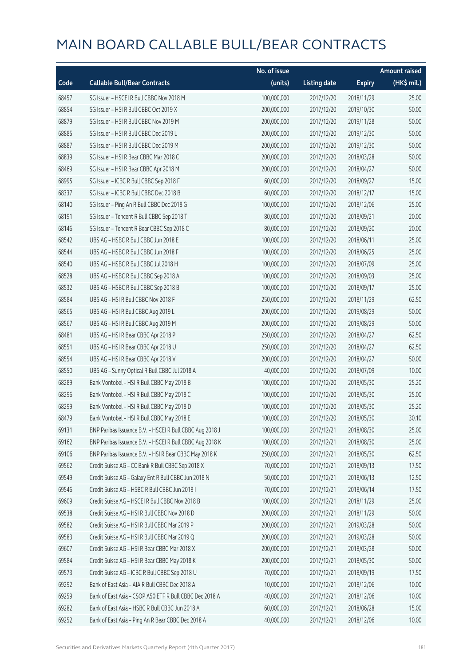|       |                                                          | No. of issue |                     |               | <b>Amount raised</b> |
|-------|----------------------------------------------------------|--------------|---------------------|---------------|----------------------|
| Code  | <b>Callable Bull/Bear Contracts</b>                      | (units)      | <b>Listing date</b> | <b>Expiry</b> | (HK\$ mil.)          |
| 68457 | SG Issuer - HSCEI R Bull CBBC Nov 2018 M                 | 100,000,000  | 2017/12/20          | 2018/11/29    | 25.00                |
| 68854 | SG Issuer - HSI R Bull CBBC Oct 2019 X                   | 200,000,000  | 2017/12/20          | 2019/10/30    | 50.00                |
| 68879 | SG Issuer - HSI R Bull CBBC Nov 2019 M                   | 200,000,000  | 2017/12/20          | 2019/11/28    | 50.00                |
| 68885 | SG Issuer - HSI R Bull CBBC Dec 2019 L                   | 200,000,000  | 2017/12/20          | 2019/12/30    | 50.00                |
| 68887 | SG Issuer - HSI R Bull CBBC Dec 2019 M                   | 200,000,000  | 2017/12/20          | 2019/12/30    | 50.00                |
| 68839 | SG Issuer - HSI R Bear CBBC Mar 2018 C                   | 200,000,000  | 2017/12/20          | 2018/03/28    | 50.00                |
| 68469 | SG Issuer - HSI R Bear CBBC Apr 2018 M                   | 200,000,000  | 2017/12/20          | 2018/04/27    | 50.00                |
| 68995 | SG Issuer - ICBC R Bull CBBC Sep 2018 F                  | 60,000,000   | 2017/12/20          | 2018/09/27    | 15.00                |
| 68337 | SG Issuer - ICBC R Bull CBBC Dec 2018 B                  | 60,000,000   | 2017/12/20          | 2018/12/17    | 15.00                |
| 68140 | SG Issuer - Ping An R Bull CBBC Dec 2018 G               | 100,000,000  | 2017/12/20          | 2018/12/06    | 25.00                |
| 68191 | SG Issuer - Tencent R Bull CBBC Sep 2018 T               | 80,000,000   | 2017/12/20          | 2018/09/21    | 20.00                |
| 68146 | SG Issuer - Tencent R Bear CBBC Sep 2018 C               | 80,000,000   | 2017/12/20          | 2018/09/20    | 20.00                |
| 68542 | UBS AG - HSBC R Bull CBBC Jun 2018 E                     | 100,000,000  | 2017/12/20          | 2018/06/11    | 25.00                |
| 68544 | UBS AG - HSBC R Bull CBBC Jun 2018 F                     | 100,000,000  | 2017/12/20          | 2018/06/25    | 25.00                |
| 68540 | UBS AG - HSBC R Bull CBBC Jul 2018 H                     | 100,000,000  | 2017/12/20          | 2018/07/09    | 25.00                |
| 68528 | UBS AG - HSBC R Bull CBBC Sep 2018 A                     | 100,000,000  | 2017/12/20          | 2018/09/03    | 25.00                |
| 68532 | UBS AG - HSBC R Bull CBBC Sep 2018 B                     | 100,000,000  | 2017/12/20          | 2018/09/17    | 25.00                |
| 68584 | UBS AG - HSI R Bull CBBC Nov 2018 F                      | 250,000,000  | 2017/12/20          | 2018/11/29    | 62.50                |
| 68565 | UBS AG - HSI R Bull CBBC Aug 2019 L                      | 200,000,000  | 2017/12/20          | 2019/08/29    | 50.00                |
| 68567 | UBS AG - HSI R Bull CBBC Aug 2019 M                      | 200,000,000  | 2017/12/20          | 2019/08/29    | 50.00                |
| 68481 | UBS AG - HSI R Bear CBBC Apr 2018 P                      | 250,000,000  | 2017/12/20          | 2018/04/27    | 62.50                |
| 68551 | UBS AG - HSI R Bear CBBC Apr 2018 U                      | 250,000,000  | 2017/12/20          | 2018/04/27    | 62.50                |
| 68554 | UBS AG - HSI R Bear CBBC Apr 2018 V                      | 200,000,000  | 2017/12/20          | 2018/04/27    | 50.00                |
| 68550 | UBS AG - Sunny Optical R Bull CBBC Jul 2018 A            | 40,000,000   | 2017/12/20          | 2018/07/09    | 10.00                |
| 68289 | Bank Vontobel - HSI R Bull CBBC May 2018 B               | 100,000,000  | 2017/12/20          | 2018/05/30    | 25.20                |
| 68296 | Bank Vontobel - HSI R Bull CBBC May 2018 C               | 100,000,000  | 2017/12/20          | 2018/05/30    | 25.00                |
| 68299 | Bank Vontobel - HSI R Bull CBBC May 2018 D               | 100,000,000  | 2017/12/20          | 2018/05/30    | 25.20                |
| 68479 | Bank Vontobel - HSI R Bull CBBC May 2018 E               | 100,000,000  | 2017/12/20          | 2018/05/30    | 30.10                |
| 69131 | BNP Paribas Issuance B.V. - HSCEI R Bull CBBC Aug 2018 J | 100,000,000  | 2017/12/21          | 2018/08/30    | 25.00                |
| 69162 | BNP Paribas Issuance B.V. - HSCEI R Bull CBBC Aug 2018 K | 100,000,000  | 2017/12/21          | 2018/08/30    | 25.00                |
| 69106 | BNP Paribas Issuance B.V. - HSI R Bear CBBC May 2018 K   | 250,000,000  | 2017/12/21          | 2018/05/30    | 62.50                |
| 69562 | Credit Suisse AG - CC Bank R Bull CBBC Sep 2018 X        | 70,000,000   | 2017/12/21          | 2018/09/13    | 17.50                |
| 69549 | Credit Suisse AG - Galaxy Ent R Bull CBBC Jun 2018 N     | 50,000,000   | 2017/12/21          | 2018/06/13    | 12.50                |
| 69546 | Credit Suisse AG - HSBC R Bull CBBC Jun 2018 I           | 70,000,000   | 2017/12/21          | 2018/06/14    | 17.50                |
| 69609 | Credit Suisse AG - HSCEI R Bull CBBC Nov 2018 B          | 100,000,000  | 2017/12/21          | 2018/11/29    | 25.00                |
| 69538 | Credit Suisse AG - HSI R Bull CBBC Nov 2018 D            | 200,000,000  | 2017/12/21          | 2018/11/29    | 50.00                |
| 69582 | Credit Suisse AG - HSI R Bull CBBC Mar 2019 P            | 200,000,000  | 2017/12/21          | 2019/03/28    | 50.00                |
| 69583 | Credit Suisse AG - HSI R Bull CBBC Mar 2019 Q            | 200,000,000  | 2017/12/21          | 2019/03/28    | 50.00                |
| 69607 | Credit Suisse AG - HSI R Bear CBBC Mar 2018 X            | 200,000,000  | 2017/12/21          | 2018/03/28    | 50.00                |
| 69584 | Credit Suisse AG - HSI R Bear CBBC May 2018 K            | 200,000,000  | 2017/12/21          | 2018/05/30    | 50.00                |
| 69573 | Credit Suisse AG - ICBC R Bull CBBC Sep 2018 U           | 70,000,000   | 2017/12/21          | 2018/09/19    | 17.50                |
| 69292 | Bank of East Asia - AIA R Bull CBBC Dec 2018 A           | 10,000,000   | 2017/12/21          | 2018/12/06    | 10.00                |
| 69259 | Bank of East Asia - CSOP A50 ETF R Bull CBBC Dec 2018 A  | 40,000,000   | 2017/12/21          | 2018/12/06    | 10.00                |
| 69282 | Bank of East Asia - HSBC R Bull CBBC Jun 2018 A          | 60,000,000   | 2017/12/21          | 2018/06/28    | 15.00                |
| 69252 | Bank of East Asia - Ping An R Bear CBBC Dec 2018 A       | 40,000,000   | 2017/12/21          | 2018/12/06    | 10.00                |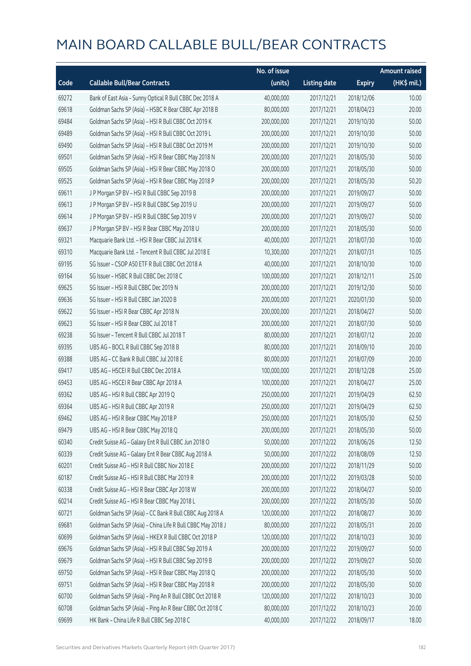|       |                                                             | No. of issue |                     |               | Amount raised |
|-------|-------------------------------------------------------------|--------------|---------------------|---------------|---------------|
| Code  | <b>Callable Bull/Bear Contracts</b>                         | (units)      | <b>Listing date</b> | <b>Expiry</b> | (HK\$ mil.)   |
| 69272 | Bank of East Asia - Sunny Optical R Bull CBBC Dec 2018 A    | 40,000,000   | 2017/12/21          | 2018/12/06    | 10.00         |
| 69618 | Goldman Sachs SP (Asia) - HSBC R Bear CBBC Apr 2018 B       | 80,000,000   | 2017/12/21          | 2018/04/23    | 20.00         |
| 69484 | Goldman Sachs SP (Asia) - HSI R Bull CBBC Oct 2019 K        | 200,000,000  | 2017/12/21          | 2019/10/30    | 50.00         |
| 69489 | Goldman Sachs SP (Asia) - HSI R Bull CBBC Oct 2019 L        | 200,000,000  | 2017/12/21          | 2019/10/30    | 50.00         |
| 69490 | Goldman Sachs SP (Asia) - HSI R Bull CBBC Oct 2019 M        | 200,000,000  | 2017/12/21          | 2019/10/30    | 50.00         |
| 69501 | Goldman Sachs SP (Asia) - HSI R Bear CBBC May 2018 N        | 200,000,000  | 2017/12/21          | 2018/05/30    | 50.00         |
| 69505 | Goldman Sachs SP (Asia) - HSI R Bear CBBC May 2018 O        | 200,000,000  | 2017/12/21          | 2018/05/30    | 50.00         |
| 69525 | Goldman Sachs SP (Asia) - HSI R Bear CBBC May 2018 P        | 200,000,000  | 2017/12/21          | 2018/05/30    | 50.20         |
| 69611 | J P Morgan SP BV - HSI R Bull CBBC Sep 2019 B               | 200,000,000  | 2017/12/21          | 2019/09/27    | 50.00         |
| 69613 | J P Morgan SP BV - HSI R Bull CBBC Sep 2019 U               | 200,000,000  | 2017/12/21          | 2019/09/27    | 50.00         |
| 69614 | J P Morgan SP BV - HSI R Bull CBBC Sep 2019 V               | 200,000,000  | 2017/12/21          | 2019/09/27    | 50.00         |
| 69637 | J P Morgan SP BV - HSI R Bear CBBC May 2018 U               | 200,000,000  | 2017/12/21          | 2018/05/30    | 50.00         |
| 69321 | Macquarie Bank Ltd. - HSI R Bear CBBC Jul 2018 K            | 40,000,000   | 2017/12/21          | 2018/07/30    | 10.00         |
| 69310 | Macquarie Bank Ltd. - Tencent R Bull CBBC Jul 2018 E        | 10,300,000   | 2017/12/21          | 2018/07/31    | 10.05         |
| 69195 | SG Issuer - CSOP A50 ETF R Bull CBBC Oct 2018 A             | 40,000,000   | 2017/12/21          | 2018/10/30    | 10.00         |
| 69164 | SG Issuer - HSBC R Bull CBBC Dec 2018 C                     | 100,000,000  | 2017/12/21          | 2018/12/11    | 25.00         |
| 69625 | SG Issuer - HSI R Bull CBBC Dec 2019 N                      | 200,000,000  | 2017/12/21          | 2019/12/30    | 50.00         |
| 69636 | SG Issuer - HSI R Bull CBBC Jan 2020 B                      | 200,000,000  | 2017/12/21          | 2020/01/30    | 50.00         |
| 69622 | SG Issuer - HSI R Bear CBBC Apr 2018 N                      | 200,000,000  | 2017/12/21          | 2018/04/27    | 50.00         |
| 69623 | SG Issuer - HSI R Bear CBBC Jul 2018 T                      | 200,000,000  | 2017/12/21          | 2018/07/30    | 50.00         |
| 69238 | SG Issuer - Tencent R Bull CBBC Jul 2018 T                  | 80,000,000   | 2017/12/21          | 2018/07/12    | 20.00         |
| 69395 | UBS AG - BOCL R Bull CBBC Sep 2018 B                        | 80,000,000   | 2017/12/21          | 2018/09/10    | 20.00         |
| 69388 | UBS AG - CC Bank R Bull CBBC Jul 2018 E                     | 80,000,000   | 2017/12/21          | 2018/07/09    | 20.00         |
| 69417 | UBS AG - HSCEI R Bull CBBC Dec 2018 A                       | 100,000,000  | 2017/12/21          | 2018/12/28    | 25.00         |
| 69453 | UBS AG - HSCEI R Bear CBBC Apr 2018 A                       | 100,000,000  | 2017/12/21          | 2018/04/27    | 25.00         |
| 69362 | UBS AG - HSI R Bull CBBC Apr 2019 Q                         | 250,000,000  | 2017/12/21          | 2019/04/29    | 62.50         |
| 69364 | UBS AG - HSI R Bull CBBC Apr 2019 R                         | 250,000,000  | 2017/12/21          | 2019/04/29    | 62.50         |
| 69462 | UBS AG - HSI R Bear CBBC May 2018 P                         | 250,000,000  | 2017/12/21          | 2018/05/30    | 62.50         |
| 69479 | UBS AG - HSI R Bear CBBC May 2018 Q                         | 200,000,000  | 2017/12/21          | 2018/05/30    | 50.00         |
| 60340 | Credit Suisse AG - Galaxy Ent R Bull CBBC Jun 2018 O        | 50,000,000   | 2017/12/22          | 2018/06/26    | 12.50         |
| 60339 | Credit Suisse AG - Galaxy Ent R Bear CBBC Aug 2018 A        | 50,000,000   | 2017/12/22          | 2018/08/09    | 12.50         |
| 60201 | Credit Suisse AG - HSI R Bull CBBC Nov 2018 E               | 200,000,000  | 2017/12/22          | 2018/11/29    | 50.00         |
| 60187 | Credit Suisse AG - HSI R Bull CBBC Mar 2019 R               | 200,000,000  | 2017/12/22          | 2019/03/28    | 50.00         |
| 60338 | Credit Suisse AG - HSI R Bear CBBC Apr 2018 W               | 200,000,000  | 2017/12/22          | 2018/04/27    | 50.00         |
| 60214 | Credit Suisse AG - HSI R Bear CBBC May 2018 L               | 200,000,000  | 2017/12/22          | 2018/05/30    | 50.00         |
| 60721 | Goldman Sachs SP (Asia) - CC Bank R Bull CBBC Aug 2018 A    | 120,000,000  | 2017/12/22          | 2018/08/27    | 30.00         |
| 69681 | Goldman Sachs SP (Asia) - China Life R Bull CBBC May 2018 J | 80,000,000   | 2017/12/22          | 2018/05/31    | 20.00         |
| 60699 | Goldman Sachs SP (Asia) - HKEX R Bull CBBC Oct 2018 P       | 120,000,000  | 2017/12/22          | 2018/10/23    | 30.00         |
| 69676 | Goldman Sachs SP (Asia) - HSI R Bull CBBC Sep 2019 A        | 200,000,000  | 2017/12/22          | 2019/09/27    | 50.00         |
| 69679 | Goldman Sachs SP (Asia) - HSI R Bull CBBC Sep 2019 B        | 200,000,000  | 2017/12/22          | 2019/09/27    | 50.00         |
| 69750 | Goldman Sachs SP (Asia) - HSI R Bear CBBC May 2018 Q        | 200,000,000  | 2017/12/22          | 2018/05/30    | 50.00         |
| 69751 | Goldman Sachs SP (Asia) - HSI R Bear CBBC May 2018 R        | 200,000,000  | 2017/12/22          | 2018/05/30    | 50.00         |
| 60700 | Goldman Sachs SP (Asia) - Ping An R Bull CBBC Oct 2018 R    | 120,000,000  | 2017/12/22          | 2018/10/23    | 30.00         |
| 60708 | Goldman Sachs SP (Asia) - Ping An R Bear CBBC Oct 2018 C    | 80,000,000   | 2017/12/22          | 2018/10/23    | 20.00         |
| 69699 | HK Bank - China Life R Bull CBBC Sep 2018 C                 | 40,000,000   | 2017/12/22          | 2018/09/17    | 18.00         |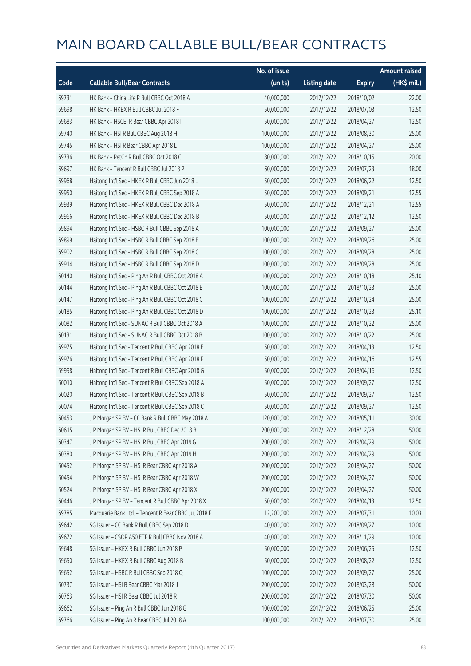|       |                                                      | No. of issue |                     |               | <b>Amount raised</b> |
|-------|------------------------------------------------------|--------------|---------------------|---------------|----------------------|
| Code  | <b>Callable Bull/Bear Contracts</b>                  | (units)      | <b>Listing date</b> | <b>Expiry</b> | (HK\$ mil.)          |
| 69731 | HK Bank - China Life R Bull CBBC Oct 2018 A          | 40,000,000   | 2017/12/22          | 2018/10/02    | 22.00                |
| 69698 | HK Bank - HKEX R Bull CBBC Jul 2018 F                | 50,000,000   | 2017/12/22          | 2018/07/03    | 12.50                |
| 69683 | HK Bank - HSCEI R Bear CBBC Apr 2018 I               | 50,000,000   | 2017/12/22          | 2018/04/27    | 12.50                |
| 69740 | HK Bank - HSI R Bull CBBC Aug 2018 H                 | 100,000,000  | 2017/12/22          | 2018/08/30    | 25.00                |
| 69745 | HK Bank - HSI R Bear CBBC Apr 2018 L                 | 100,000,000  | 2017/12/22          | 2018/04/27    | 25.00                |
| 69736 | HK Bank - PetCh R Bull CBBC Oct 2018 C               | 80,000,000   | 2017/12/22          | 2018/10/15    | 20.00                |
| 69697 | HK Bank - Tencent R Bull CBBC Jul 2018 P             | 60,000,000   | 2017/12/22          | 2018/07/23    | 18.00                |
| 69968 | Haitong Int'l Sec - HKEX R Bull CBBC Jun 2018 L      | 50,000,000   | 2017/12/22          | 2018/06/22    | 12.50                |
| 69950 | Haitong Int'l Sec - HKEX R Bull CBBC Sep 2018 A      | 50,000,000   | 2017/12/22          | 2018/09/21    | 12.55                |
| 69939 | Haitong Int'l Sec - HKEX R Bull CBBC Dec 2018 A      | 50,000,000   | 2017/12/22          | 2018/12/21    | 12.55                |
| 69966 | Haitong Int'l Sec - HKEX R Bull CBBC Dec 2018 B      | 50,000,000   | 2017/12/22          | 2018/12/12    | 12.50                |
| 69894 | Haitong Int'l Sec - HSBC R Bull CBBC Sep 2018 A      | 100,000,000  | 2017/12/22          | 2018/09/27    | 25.00                |
| 69899 | Haitong Int'l Sec - HSBC R Bull CBBC Sep 2018 B      | 100,000,000  | 2017/12/22          | 2018/09/26    | 25.00                |
| 69902 | Haitong Int'l Sec - HSBC R Bull CBBC Sep 2018 C      | 100,000,000  | 2017/12/22          | 2018/09/28    | 25.00                |
| 69914 | Haitong Int'l Sec - HSBC R Bull CBBC Sep 2018 D      | 100,000,000  | 2017/12/22          | 2018/09/28    | 25.00                |
| 60140 | Haitong Int'l Sec - Ping An R Bull CBBC Oct 2018 A   | 100,000,000  | 2017/12/22          | 2018/10/18    | 25.10                |
| 60144 | Haitong Int'l Sec - Ping An R Bull CBBC Oct 2018 B   | 100,000,000  | 2017/12/22          | 2018/10/23    | 25.00                |
| 60147 | Haitong Int'l Sec - Ping An R Bull CBBC Oct 2018 C   | 100,000,000  | 2017/12/22          | 2018/10/24    | 25.00                |
| 60185 | Haitong Int'l Sec - Ping An R Bull CBBC Oct 2018 D   | 100,000,000  | 2017/12/22          | 2018/10/23    | 25.10                |
| 60082 | Haitong Int'l Sec - SUNAC R Bull CBBC Oct 2018 A     | 100,000,000  | 2017/12/22          | 2018/10/22    | 25.00                |
| 60131 | Haitong Int'l Sec - SUNAC R Bull CBBC Oct 2018 B     | 100,000,000  | 2017/12/22          | 2018/10/22    | 25.00                |
| 69975 | Haitong Int'l Sec - Tencent R Bull CBBC Apr 2018 E   | 50,000,000   | 2017/12/22          | 2018/04/13    | 12.50                |
| 69976 | Haitong Int'l Sec - Tencent R Bull CBBC Apr 2018 F   | 50,000,000   | 2017/12/22          | 2018/04/16    | 12.55                |
| 69998 | Haitong Int'l Sec - Tencent R Bull CBBC Apr 2018 G   | 50,000,000   | 2017/12/22          | 2018/04/16    | 12.50                |
| 60010 | Haitong Int'l Sec - Tencent R Bull CBBC Sep 2018 A   | 50,000,000   | 2017/12/22          | 2018/09/27    | 12.50                |
| 60020 | Haitong Int'l Sec - Tencent R Bull CBBC Sep 2018 B   | 50,000,000   | 2017/12/22          | 2018/09/27    | 12.50                |
| 60074 | Haitong Int'l Sec - Tencent R Bull CBBC Sep 2018 C   | 50,000,000   | 2017/12/22          | 2018/09/27    | 12.50                |
| 60453 | J P Morgan SP BV - CC Bank R Bull CBBC May 2018 A    | 120,000,000  | 2017/12/22          | 2018/05/11    | 30.00                |
| 60615 | J P Morgan SP BV - HSI R Bull CBBC Dec 2018 B        | 200,000,000  | 2017/12/22          | 2018/12/28    | 50.00                |
| 60347 | J P Morgan SP BV - HSI R Bull CBBC Apr 2019 G        | 200,000,000  | 2017/12/22          | 2019/04/29    | 50.00                |
| 60380 | J P Morgan SP BV - HSI R Bull CBBC Apr 2019 H        | 200,000,000  | 2017/12/22          | 2019/04/29    | 50.00                |
| 60452 | J P Morgan SP BV - HSI R Bear CBBC Apr 2018 A        | 200,000,000  | 2017/12/22          | 2018/04/27    | 50.00                |
| 60454 | J P Morgan SP BV - HSI R Bear CBBC Apr 2018 W        | 200,000,000  | 2017/12/22          | 2018/04/27    | 50.00                |
| 60524 | J P Morgan SP BV - HSI R Bear CBBC Apr 2018 X        | 200,000,000  | 2017/12/22          | 2018/04/27    | 50.00                |
| 60446 | J P Morgan SP BV - Tencent R Bull CBBC Apr 2018 X    | 50,000,000   | 2017/12/22          | 2018/04/13    | 12.50                |
| 69785 | Macquarie Bank Ltd. - Tencent R Bear CBBC Jul 2018 F | 12,200,000   | 2017/12/22          | 2018/07/31    | 10.03                |
| 69642 | SG Issuer - CC Bank R Bull CBBC Sep 2018 D           | 40,000,000   | 2017/12/22          | 2018/09/27    | 10.00                |
| 69672 | SG Issuer - CSOP A50 ETF R Bull CBBC Nov 2018 A      | 40,000,000   | 2017/12/22          | 2018/11/29    | 10.00                |
| 69648 | SG Issuer - HKEX R Bull CBBC Jun 2018 P              | 50,000,000   | 2017/12/22          | 2018/06/25    | 12.50                |
| 69650 | SG Issuer - HKEX R Bull CBBC Aug 2018 B              | 50,000,000   | 2017/12/22          | 2018/08/22    | 12.50                |
| 69652 | SG Issuer - HSBC R Bull CBBC Sep 2018 Q              | 100,000,000  | 2017/12/22          | 2018/09/27    | 25.00                |
| 60737 | SG Issuer - HSI R Bear CBBC Mar 2018 J               | 200,000,000  | 2017/12/22          | 2018/03/28    | 50.00                |
| 60763 | SG Issuer - HSI R Bear CBBC Jul 2018 R               | 200,000,000  | 2017/12/22          | 2018/07/30    | 50.00                |
| 69662 | SG Issuer - Ping An R Bull CBBC Jun 2018 G           | 100,000,000  | 2017/12/22          | 2018/06/25    | 25.00                |
| 69766 | SG Issuer - Ping An R Bear CBBC Jul 2018 A           | 100,000,000  | 2017/12/22          | 2018/07/30    | 25.00                |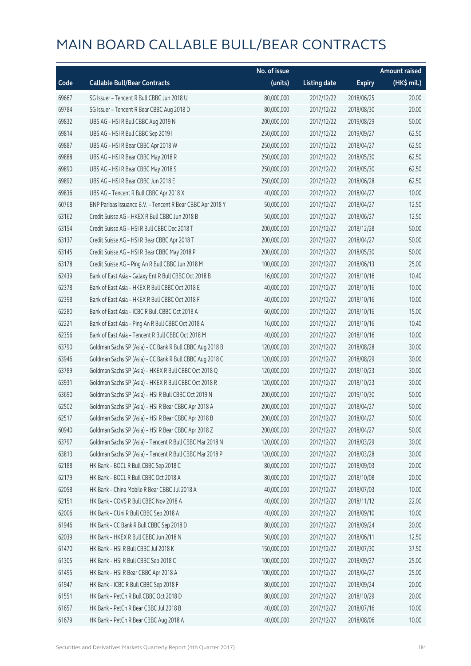|       |                                                            | No. of issue |                     |               | <b>Amount raised</b> |
|-------|------------------------------------------------------------|--------------|---------------------|---------------|----------------------|
| Code  | <b>Callable Bull/Bear Contracts</b>                        | (units)      | <b>Listing date</b> | <b>Expiry</b> | (HK\$ mil.)          |
| 69667 | SG Issuer - Tencent R Bull CBBC Jun 2018 U                 | 80,000,000   | 2017/12/22          | 2018/06/25    | 20.00                |
| 69784 | SG Issuer - Tencent R Bear CBBC Aug 2018 D                 | 80,000,000   | 2017/12/22          | 2018/08/30    | 20.00                |
| 69832 | UBS AG - HSI R Bull CBBC Aug 2019 N                        | 200,000,000  | 2017/12/22          | 2019/08/29    | 50.00                |
| 69814 | UBS AG - HSI R Bull CBBC Sep 2019 I                        | 250,000,000  | 2017/12/22          | 2019/09/27    | 62.50                |
| 69887 | UBS AG - HSI R Bear CBBC Apr 2018 W                        | 250,000,000  | 2017/12/22          | 2018/04/27    | 62.50                |
| 69888 | UBS AG - HSI R Bear CBBC May 2018 R                        | 250,000,000  | 2017/12/22          | 2018/05/30    | 62.50                |
| 69890 | UBS AG - HSI R Bear CBBC May 2018 S                        | 250,000,000  | 2017/12/22          | 2018/05/30    | 62.50                |
| 69892 | UBS AG - HSI R Bear CBBC Jun 2018 E                        | 250,000,000  | 2017/12/22          | 2018/06/28    | 62.50                |
| 69836 | UBS AG - Tencent R Bull CBBC Apr 2018 X                    | 40,000,000   | 2017/12/22          | 2018/04/27    | 10.00                |
| 60768 | BNP Paribas Issuance B.V. - Tencent R Bear CBBC Apr 2018 Y | 50,000,000   | 2017/12/27          | 2018/04/27    | 12.50                |
| 63162 | Credit Suisse AG - HKEX R Bull CBBC Jun 2018 B             | 50,000,000   | 2017/12/27          | 2018/06/27    | 12.50                |
| 63154 | Credit Suisse AG - HSI R Bull CBBC Dec 2018 T              | 200,000,000  | 2017/12/27          | 2018/12/28    | 50.00                |
| 63137 | Credit Suisse AG - HSI R Bear CBBC Apr 2018 T              | 200,000,000  | 2017/12/27          | 2018/04/27    | 50.00                |
| 63145 | Credit Suisse AG - HSI R Bear CBBC May 2018 P              | 200,000,000  | 2017/12/27          | 2018/05/30    | 50.00                |
| 63178 | Credit Suisse AG - Ping An R Bull CBBC Jun 2018 M          | 100,000,000  | 2017/12/27          | 2018/06/13    | 25.00                |
| 62439 | Bank of East Asia - Galaxy Ent R Bull CBBC Oct 2018 B      | 16,000,000   | 2017/12/27          | 2018/10/16    | 10.40                |
| 62378 | Bank of East Asia - HKEX R Bull CBBC Oct 2018 E            | 40,000,000   | 2017/12/27          | 2018/10/16    | 10.00                |
| 62398 | Bank of East Asia - HKEX R Bull CBBC Oct 2018 F            | 40,000,000   | 2017/12/27          | 2018/10/16    | 10.00                |
| 62280 | Bank of East Asia - ICBC R Bull CBBC Oct 2018 A            | 60,000,000   | 2017/12/27          | 2018/10/16    | 15.00                |
| 62221 | Bank of East Asia - Ping An R Bull CBBC Oct 2018 A         | 16,000,000   | 2017/12/27          | 2018/10/16    | 10.40                |
| 62356 | Bank of East Asia - Tencent R Bull CBBC Oct 2018 M         | 40,000,000   | 2017/12/27          | 2018/10/16    | 10.00                |
| 63790 | Goldman Sachs SP (Asia) - CC Bank R Bull CBBC Aug 2018 B   | 120,000,000  | 2017/12/27          | 2018/08/28    | 30.00                |
| 63946 | Goldman Sachs SP (Asia) - CC Bank R Bull CBBC Aug 2018 C   | 120,000,000  | 2017/12/27          | 2018/08/29    | 30.00                |
| 63789 | Goldman Sachs SP (Asia) - HKEX R Bull CBBC Oct 2018 Q      | 120,000,000  | 2017/12/27          | 2018/10/23    | 30.00                |
| 63931 | Goldman Sachs SP (Asia) - HKEX R Bull CBBC Oct 2018 R      | 120,000,000  | 2017/12/27          | 2018/10/23    | 30.00                |
| 63690 | Goldman Sachs SP (Asia) - HSI R Bull CBBC Oct 2019 N       | 200,000,000  | 2017/12/27          | 2019/10/30    | 50.00                |
| 62502 | Goldman Sachs SP (Asia) - HSI R Bear CBBC Apr 2018 A       | 200,000,000  | 2017/12/27          | 2018/04/27    | 50.00                |
| 62517 | Goldman Sachs SP (Asia) - HSI R Bear CBBC Apr 2018 B       | 200,000,000  | 2017/12/27          | 2018/04/27    | 50.00                |
| 60940 | Goldman Sachs SP (Asia) - HSI R Bear CBBC Apr 2018 Z       | 200,000,000  | 2017/12/27          | 2018/04/27    | 50.00                |
| 63797 | Goldman Sachs SP (Asia) - Tencent R Bull CBBC Mar 2018 N   | 120,000,000  | 2017/12/27          | 2018/03/29    | 30.00                |
| 63813 | Goldman Sachs SP (Asia) - Tencent R Bull CBBC Mar 2018 P   | 120,000,000  | 2017/12/27          | 2018/03/28    | 30.00                |
| 62188 | HK Bank - BOCL R Bull CBBC Sep 2018 C                      | 80,000,000   | 2017/12/27          | 2018/09/03    | 20.00                |
| 62179 | HK Bank - BOCL R Bull CBBC Oct 2018 A                      | 80,000,000   | 2017/12/27          | 2018/10/08    | 20.00                |
| 62058 | HK Bank - China Mobile R Bear CBBC Jul 2018 A              | 40,000,000   | 2017/12/27          | 2018/07/03    | 10.00                |
| 62151 | HK Bank - COVS R Bull CBBC Nov 2018 A                      | 40,000,000   | 2017/12/27          | 2018/11/12    | 22.00                |
| 62006 | HK Bank - CUni R Bull CBBC Sep 2018 A                      | 40,000,000   | 2017/12/27          | 2018/09/10    | 10.00                |
| 61946 | HK Bank - CC Bank R Bull CBBC Sep 2018 D                   | 80,000,000   | 2017/12/27          | 2018/09/24    | 20.00                |
| 62039 | HK Bank - HKEX R Bull CBBC Jun 2018 N                      | 50,000,000   | 2017/12/27          | 2018/06/11    | 12.50                |
| 61470 | HK Bank - HSI R Bull CBBC Jul 2018 K                       | 150,000,000  | 2017/12/27          | 2018/07/30    | 37.50                |
| 61305 | HK Bank - HSI R Bull CBBC Sep 2018 C                       | 100,000,000  | 2017/12/27          | 2018/09/27    | 25.00                |
| 61495 | HK Bank - HSI R Bear CBBC Apr 2018 A                       | 100,000,000  | 2017/12/27          | 2018/04/27    | 25.00                |
| 61947 | HK Bank - ICBC R Bull CBBC Sep 2018 F                      | 80,000,000   | 2017/12/27          | 2018/09/24    | 20.00                |
| 61551 | HK Bank - PetCh R Bull CBBC Oct 2018 D                     | 80,000,000   | 2017/12/27          | 2018/10/29    | 20.00                |
| 61657 | HK Bank - PetCh R Bear CBBC Jul 2018 B                     | 40,000,000   | 2017/12/27          | 2018/07/16    | 10.00                |
| 61679 | HK Bank - PetCh R Bear CBBC Aug 2018 A                     | 40,000,000   | 2017/12/27          | 2018/08/06    | 10.00                |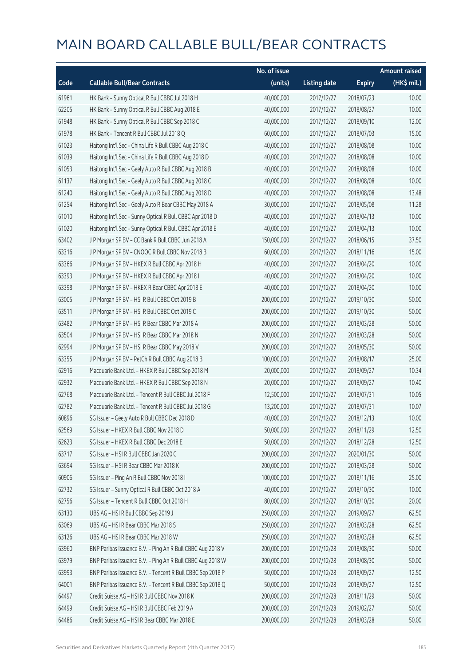|       |                                                            | No. of issue |                     |               | <b>Amount raised</b> |
|-------|------------------------------------------------------------|--------------|---------------------|---------------|----------------------|
| Code  | <b>Callable Bull/Bear Contracts</b>                        | (units)      | <b>Listing date</b> | <b>Expiry</b> | (HK\$ mil.)          |
| 61961 | HK Bank - Sunny Optical R Bull CBBC Jul 2018 H             | 40,000,000   | 2017/12/27          | 2018/07/23    | 10.00                |
| 62205 | HK Bank - Sunny Optical R Bull CBBC Aug 2018 E             | 40,000,000   | 2017/12/27          | 2018/08/27    | 10.00                |
| 61948 | HK Bank - Sunny Optical R Bull CBBC Sep 2018 C             | 40,000,000   | 2017/12/27          | 2018/09/10    | 12.00                |
| 61978 | HK Bank - Tencent R Bull CBBC Jul 2018 Q                   | 60,000,000   | 2017/12/27          | 2018/07/03    | 15.00                |
| 61023 | Haitong Int'l Sec - China Life R Bull CBBC Aug 2018 C      | 40,000,000   | 2017/12/27          | 2018/08/08    | 10.00                |
| 61039 | Haitong Int'l Sec - China Life R Bull CBBC Aug 2018 D      | 40,000,000   | 2017/12/27          | 2018/08/08    | 10.00                |
| 61053 | Haitong Int'l Sec - Geely Auto R Bull CBBC Aug 2018 B      | 40,000,000   | 2017/12/27          | 2018/08/08    | 10.00                |
| 61137 | Haitong Int'l Sec - Geely Auto R Bull CBBC Aug 2018 C      | 40,000,000   | 2017/12/27          | 2018/08/08    | 10.00                |
| 61240 | Haitong Int'l Sec - Geely Auto R Bull CBBC Aug 2018 D      | 40,000,000   | 2017/12/27          | 2018/08/08    | 13.48                |
| 61254 | Haitong Int'l Sec - Geely Auto R Bear CBBC May 2018 A      | 30,000,000   | 2017/12/27          | 2018/05/08    | 11.28                |
| 61010 | Haitong Int'l Sec - Sunny Optical R Bull CBBC Apr 2018 D   | 40,000,000   | 2017/12/27          | 2018/04/13    | 10.00                |
| 61020 | Haitong Int'l Sec - Sunny Optical R Bull CBBC Apr 2018 E   | 40,000,000   | 2017/12/27          | 2018/04/13    | 10.00                |
| 63402 | J P Morgan SP BV - CC Bank R Bull CBBC Jun 2018 A          | 150,000,000  | 2017/12/27          | 2018/06/15    | 37.50                |
| 63316 | J P Morgan SP BV - CNOOC R Bull CBBC Nov 2018 B            | 60,000,000   | 2017/12/27          | 2018/11/16    | 15.00                |
| 63366 | J P Morgan SP BV - HKEX R Bull CBBC Apr 2018 H             | 40,000,000   | 2017/12/27          | 2018/04/20    | 10.00                |
| 63393 | J P Morgan SP BV - HKEX R Bull CBBC Apr 2018 I             | 40,000,000   | 2017/12/27          | 2018/04/20    | 10.00                |
| 63398 | J P Morgan SP BV - HKEX R Bear CBBC Apr 2018 E             | 40,000,000   | 2017/12/27          | 2018/04/20    | 10.00                |
| 63005 | J P Morgan SP BV - HSI R Bull CBBC Oct 2019 B              | 200,000,000  | 2017/12/27          | 2019/10/30    | 50.00                |
| 63511 | J P Morgan SP BV - HSI R Bull CBBC Oct 2019 C              | 200,000,000  | 2017/12/27          | 2019/10/30    | 50.00                |
| 63482 | J P Morgan SP BV - HSI R Bear CBBC Mar 2018 A              | 200,000,000  | 2017/12/27          | 2018/03/28    | 50.00                |
| 63504 | J P Morgan SP BV - HSI R Bear CBBC Mar 2018 N              | 200,000,000  | 2017/12/27          | 2018/03/28    | 50.00                |
| 62994 | J P Morgan SP BV - HSI R Bear CBBC May 2018 V              | 200,000,000  | 2017/12/27          | 2018/05/30    | 50.00                |
| 63355 | J P Morgan SP BV - PetCh R Bull CBBC Aug 2018 B            | 100,000,000  | 2017/12/27          | 2018/08/17    | 25.00                |
| 62916 | Macquarie Bank Ltd. - HKEX R Bull CBBC Sep 2018 M          | 20,000,000   | 2017/12/27          | 2018/09/27    | 10.34                |
| 62932 | Macquarie Bank Ltd. - HKEX R Bull CBBC Sep 2018 N          | 20,000,000   | 2017/12/27          | 2018/09/27    | 10.40                |
| 62768 | Macquarie Bank Ltd. - Tencent R Bull CBBC Jul 2018 F       | 12,500,000   | 2017/12/27          | 2018/07/31    | 10.05                |
| 62782 | Macquarie Bank Ltd. - Tencent R Bull CBBC Jul 2018 G       | 13,200,000   | 2017/12/27          | 2018/07/31    | 10.07                |
| 60896 | SG Issuer - Geely Auto R Bull CBBC Dec 2018 D              | 40,000,000   | 2017/12/27          | 2018/12/13    | 10.00                |
| 62569 | SG Issuer - HKEX R Bull CBBC Nov 2018 D                    | 50,000,000   | 2017/12/27          | 2018/11/29    | 12.50                |
| 62623 | SG Issuer - HKEX R Bull CBBC Dec 2018 E                    | 50,000,000   | 2017/12/27          | 2018/12/28    | 12.50                |
| 63717 | SG Issuer - HSI R Bull CBBC Jan 2020 C                     | 200,000,000  | 2017/12/27          | 2020/01/30    | 50.00                |
| 63694 | SG Issuer - HSI R Bear CBBC Mar 2018 K                     | 200,000,000  | 2017/12/27          | 2018/03/28    | 50.00                |
| 60906 | SG Issuer - Ping An R Bull CBBC Nov 2018 I                 | 100,000,000  | 2017/12/27          | 2018/11/16    | 25.00                |
| 62732 | SG Issuer - Sunny Optical R Bull CBBC Oct 2018 A           | 40,000,000   | 2017/12/27          | 2018/10/30    | 10.00                |
| 62756 | SG Issuer - Tencent R Bull CBBC Oct 2018 H                 | 80,000,000   | 2017/12/27          | 2018/10/30    | 20.00                |
| 63130 | UBS AG - HSI R Bull CBBC Sep 2019 J                        | 250,000,000  | 2017/12/27          | 2019/09/27    | 62.50                |
| 63069 | UBS AG - HSI R Bear CBBC Mar 2018 S                        | 250,000,000  | 2017/12/27          | 2018/03/28    | 62.50                |
| 63126 | UBS AG - HSI R Bear CBBC Mar 2018 W                        | 250,000,000  | 2017/12/27          | 2018/03/28    | 62.50                |
| 63960 | BNP Paribas Issuance B.V. - Ping An R Bull CBBC Aug 2018 V | 200,000,000  | 2017/12/28          | 2018/08/30    | 50.00                |
| 63979 | BNP Paribas Issuance B.V. - Ping An R Bull CBBC Aug 2018 W | 200,000,000  | 2017/12/28          | 2018/08/30    | 50.00                |
| 63993 | BNP Paribas Issuance B.V. - Tencent R Bull CBBC Sep 2018 P | 50,000,000   | 2017/12/28          | 2018/09/27    | 12.50                |
| 64001 | BNP Paribas Issuance B.V. - Tencent R Bull CBBC Sep 2018 Q | 50,000,000   | 2017/12/28          | 2018/09/27    | 12.50                |
| 64497 | Credit Suisse AG - HSI R Bull CBBC Nov 2018 K              | 200,000,000  | 2017/12/28          | 2018/11/29    | 50.00                |
| 64499 | Credit Suisse AG - HSI R Bull CBBC Feb 2019 A              | 200,000,000  | 2017/12/28          | 2019/02/27    | 50.00                |
| 64486 | Credit Suisse AG - HSI R Bear CBBC Mar 2018 E              | 200,000,000  | 2017/12/28          | 2018/03/28    | 50.00                |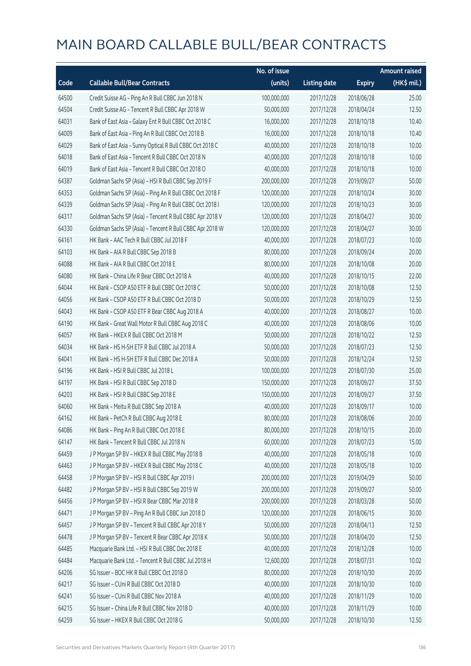|       |                                                          | No. of issue |                     |               | <b>Amount raised</b> |
|-------|----------------------------------------------------------|--------------|---------------------|---------------|----------------------|
| Code  | <b>Callable Bull/Bear Contracts</b>                      | (units)      | <b>Listing date</b> | <b>Expiry</b> | (HK\$ mil.)          |
| 64500 | Credit Suisse AG - Ping An R Bull CBBC Jun 2018 N        | 100,000,000  | 2017/12/28          | 2018/06/28    | 25.00                |
| 64504 | Credit Suisse AG - Tencent R Bull CBBC Apr 2018 W        | 50,000,000   | 2017/12/28          | 2018/04/24    | 12.50                |
| 64031 | Bank of East Asia - Galaxy Ent R Bull CBBC Oct 2018 C    | 16,000,000   | 2017/12/28          | 2018/10/18    | 10.40                |
| 64009 | Bank of East Asia - Ping An R Bull CBBC Oct 2018 B       | 16,000,000   | 2017/12/28          | 2018/10/18    | 10.40                |
| 64029 | Bank of East Asia - Sunny Optical R Bull CBBC Oct 2018 C | 40,000,000   | 2017/12/28          | 2018/10/18    | 10.00                |
| 64018 | Bank of East Asia - Tencent R Bull CBBC Oct 2018 N       | 40,000,000   | 2017/12/28          | 2018/10/18    | 10.00                |
| 64019 | Bank of East Asia - Tencent R Bull CBBC Oct 2018 O       | 40,000,000   | 2017/12/28          | 2018/10/18    | 10.00                |
| 64387 | Goldman Sachs SP (Asia) - HSI R Bull CBBC Sep 2019 F     | 200,000,000  | 2017/12/28          | 2019/09/27    | 50.00                |
| 64353 | Goldman Sachs SP (Asia) - Ping An R Bull CBBC Oct 2018 F | 120,000,000  | 2017/12/28          | 2018/10/24    | 30.00                |
| 64339 | Goldman Sachs SP (Asia) - Ping An R Bull CBBC Oct 2018 I | 120,000,000  | 2017/12/28          | 2018/10/23    | 30.00                |
| 64317 | Goldman Sachs SP (Asia) - Tencent R Bull CBBC Apr 2018 V | 120,000,000  | 2017/12/28          | 2018/04/27    | 30.00                |
| 64330 | Goldman Sachs SP (Asia) - Tencent R Bull CBBC Apr 2018 W | 120,000,000  | 2017/12/28          | 2018/04/27    | 30.00                |
| 64161 | HK Bank - AAC Tech R Bull CBBC Jul 2018 F                | 40,000,000   | 2017/12/28          | 2018/07/23    | 10.00                |
| 64103 | HK Bank - AIA R Bull CBBC Sep 2018 B                     | 80,000,000   | 2017/12/28          | 2018/09/24    | 20.00                |
| 64088 | HK Bank - AIA R Bull CBBC Oct 2018 E                     | 80,000,000   | 2017/12/28          | 2018/10/08    | 20.00                |
| 64080 | HK Bank - China Life R Bear CBBC Oct 2018 A              | 40,000,000   | 2017/12/28          | 2018/10/15    | 22.00                |
| 64044 | HK Bank - CSOP A50 ETF R Bull CBBC Oct 2018 C            | 50,000,000   | 2017/12/28          | 2018/10/08    | 12.50                |
| 64056 | HK Bank - CSOP A50 ETF R Bull CBBC Oct 2018 D            | 50,000,000   | 2017/12/28          | 2018/10/29    | 12.50                |
| 64043 | HK Bank - CSOP A50 ETF R Bear CBBC Aug 2018 A            | 40,000,000   | 2017/12/28          | 2018/08/27    | 10.00                |
| 64190 | HK Bank - Great Wall Motor R Bull CBBC Aug 2018 C        | 40,000,000   | 2017/12/28          | 2018/08/06    | 10.00                |
| 64057 | HK Bank - HKEX R Bull CBBC Oct 2018 M                    | 50,000,000   | 2017/12/28          | 2018/10/22    | 12.50                |
| 64034 | HK Bank - HS H-SH ETF R Bull CBBC Jul 2018 A             | 50,000,000   | 2017/12/28          | 2018/07/23    | 12.50                |
| 64041 | HK Bank - HS H-SH ETF R Bull CBBC Dec 2018 A             | 50,000,000   | 2017/12/28          | 2018/12/24    | 12.50                |
| 64196 | HK Bank - HSI R Bull CBBC Jul 2018 L                     | 100,000,000  | 2017/12/28          | 2018/07/30    | 25.00                |
| 64197 | HK Bank - HSI R Bull CBBC Sep 2018 D                     | 150,000,000  | 2017/12/28          | 2018/09/27    | 37.50                |
| 64203 | HK Bank - HSI R Bull CBBC Sep 2018 E                     | 150,000,000  | 2017/12/28          | 2018/09/27    | 37.50                |
| 64060 | HK Bank - Meitu R Bull CBBC Sep 2018 A                   | 40,000,000   | 2017/12/28          | 2018/09/17    | 10.00                |
| 64162 | HK Bank - PetCh R Bull CBBC Aug 2018 E                   | 80,000,000   | 2017/12/28          | 2018/08/06    | 20.00                |
| 64086 | HK Bank - Ping An R Bull CBBC Oct 2018 E                 | 80,000,000   | 2017/12/28          | 2018/10/15    | 20.00                |
| 64147 | HK Bank - Tencent R Bull CBBC Jul 2018 N                 | 60,000,000   | 2017/12/28          | 2018/07/23    | 15.00                |
| 64459 | J P Morgan SP BV - HKEX R Bull CBBC May 2018 B           | 40,000,000   | 2017/12/28          | 2018/05/18    | 10.00                |
| 64463 | J P Morgan SP BV - HKEX R Bull CBBC May 2018 C           | 40,000,000   | 2017/12/28          | 2018/05/18    | 10.00                |
| 64458 | J P Morgan SP BV - HSI R Bull CBBC Apr 2019 I            | 200,000,000  | 2017/12/28          | 2019/04/29    | 50.00                |
| 64482 | J P Morgan SP BV - HSI R Bull CBBC Sep 2019 W            | 200,000,000  | 2017/12/28          | 2019/09/27    | 50.00                |
| 64456 | J P Morgan SP BV - HSI R Bear CBBC Mar 2018 R            | 200,000,000  | 2017/12/28          | 2018/03/28    | 50.00                |
| 64471 | J P Morgan SP BV - Ping An R Bull CBBC Jun 2018 D        | 120,000,000  | 2017/12/28          | 2018/06/15    | 30.00                |
| 64457 | J P Morgan SP BV - Tencent R Bull CBBC Apr 2018 Y        | 50,000,000   | 2017/12/28          | 2018/04/13    | 12.50                |
| 64478 | J P Morgan SP BV - Tencent R Bear CBBC Apr 2018 K        | 50,000,000   | 2017/12/28          | 2018/04/20    | 12.50                |
| 64485 | Macquarie Bank Ltd. - HSI R Bull CBBC Dec 2018 E         | 40,000,000   | 2017/12/28          | 2018/12/28    | 10.00                |
| 64484 | Macquarie Bank Ltd. - Tencent R Bull CBBC Jul 2018 H     | 12,600,000   | 2017/12/28          | 2018/07/31    | 10.02                |
| 64206 | SG Issuer - BOC HK R Bull CBBC Oct 2018 D                | 80,000,000   | 2017/12/28          | 2018/10/30    | 20.00                |
| 64217 | SG Issuer - CUni R Bull CBBC Oct 2018 D                  | 40,000,000   | 2017/12/28          | 2018/10/30    | 10.00                |
| 64241 | SG Issuer - CUni R Bull CBBC Nov 2018 A                  | 40,000,000   | 2017/12/28          | 2018/11/29    | 10.00                |
| 64215 | SG Issuer - China Life R Bull CBBC Nov 2018 D            | 40,000,000   | 2017/12/28          | 2018/11/29    | 10.00                |
| 64259 | SG Issuer - HKEX R Bull CBBC Oct 2018 G                  | 50,000,000   | 2017/12/28          | 2018/10/30    | 12.50                |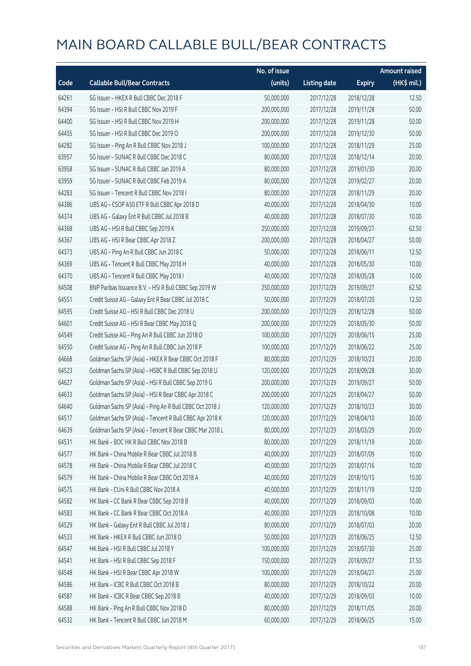|       |                                                          | No. of issue |                     |               | <b>Amount raised</b> |
|-------|----------------------------------------------------------|--------------|---------------------|---------------|----------------------|
| Code  | <b>Callable Bull/Bear Contracts</b>                      | (units)      | <b>Listing date</b> | <b>Expiry</b> | (HK\$ mil.)          |
| 64261 | SG Issuer - HKEX R Bull CBBC Dec 2018 F                  | 50,000,000   | 2017/12/28          | 2018/12/28    | 12.50                |
| 64394 | SG Issuer - HSI R Bull CBBC Nov 2019 F                   | 200,000,000  | 2017/12/28          | 2019/11/28    | 50.00                |
| 64400 | SG Issuer - HSI R Bull CBBC Nov 2019 H                   | 200,000,000  | 2017/12/28          | 2019/11/28    | 50.00                |
| 64455 | SG Issuer - HSI R Bull CBBC Dec 2019 O                   | 200,000,000  | 2017/12/28          | 2019/12/30    | 50.00                |
| 64282 | SG Issuer - Ping An R Bull CBBC Nov 2018 J               | 100,000,000  | 2017/12/28          | 2018/11/29    | 25.00                |
| 63957 | SG Issuer - SUNAC R Bull CBBC Dec 2018 C                 | 80,000,000   | 2017/12/28          | 2018/12/14    | 20.00                |
| 63958 | SG Issuer - SUNAC R Bull CBBC Jan 2019 A                 | 80,000,000   | 2017/12/28          | 2019/01/30    | 20.00                |
| 63959 | SG Issuer - SUNAC R Bull CBBC Feb 2019 A                 | 80,000,000   | 2017/12/28          | 2019/02/27    | 20.00                |
| 64283 | SG Issuer - Tencent R Bull CBBC Nov 2018 I               | 80,000,000   | 2017/12/28          | 2018/11/29    | 20.00                |
| 64386 | UBS AG - CSOP A50 ETF R Bull CBBC Apr 2018 D             | 40,000,000   | 2017/12/28          | 2018/04/30    | 10.00                |
| 64374 | UBS AG - Galaxy Ent R Bull CBBC Jul 2018 B               | 40,000,000   | 2017/12/28          | 2018/07/30    | 10.00                |
| 64368 | UBS AG - HSI R Bull CBBC Sep 2019 K                      | 250,000,000  | 2017/12/28          | 2019/09/27    | 62.50                |
| 64367 | UBS AG - HSI R Bear CBBC Apr 2018 Z                      | 200,000,000  | 2017/12/28          | 2018/04/27    | 50.00                |
| 64373 | UBS AG - Ping An R Bull CBBC Jun 2018 C                  | 50,000,000   | 2017/12/28          | 2018/06/11    | 12.50                |
| 64369 | UBS AG - Tencent R Bull CBBC May 2018 H                  | 40,000,000   | 2017/12/28          | 2018/05/30    | 10.00                |
| 64370 | UBS AG - Tencent R Bull CBBC May 2018 I                  | 40,000,000   | 2017/12/28          | 2018/05/28    | 10.00                |
| 64508 | BNP Paribas Issuance B.V. - HSI R Bull CBBC Sep 2019 W   | 250,000,000  | 2017/12/29          | 2019/09/27    | 62.50                |
| 64551 | Credit Suisse AG - Galaxy Ent R Bear CBBC Jul 2018 C     | 50,000,000   | 2017/12/29          | 2018/07/20    | 12.50                |
| 64595 | Credit Suisse AG - HSI R Bull CBBC Dec 2018 U            | 200,000,000  | 2017/12/29          | 2018/12/28    | 50.00                |
| 64601 | Credit Suisse AG - HSI R Bear CBBC May 2018 Q            | 200,000,000  | 2017/12/29          | 2018/05/30    | 50.00                |
| 64549 | Credit Suisse AG - Ping An R Bull CBBC Jun 2018 O        | 100,000,000  | 2017/12/29          | 2018/06/15    | 25.00                |
| 64550 | Credit Suisse AG - Ping An R Bull CBBC Jun 2018 P        | 100,000,000  | 2017/12/29          | 2018/06/22    | 25.00                |
| 64668 | Goldman Sachs SP (Asia) - HKEX R Bear CBBC Oct 2018 F    | 80,000,000   | 2017/12/29          | 2018/10/23    | 20.00                |
| 64523 | Goldman Sachs SP (Asia) - HSBC R Bull CBBC Sep 2018 U    | 120,000,000  | 2017/12/29          | 2018/09/28    | 30.00                |
| 64627 | Goldman Sachs SP (Asia) - HSI R Bull CBBC Sep 2019 G     | 200,000,000  | 2017/12/29          | 2019/09/27    | 50.00                |
| 64633 | Goldman Sachs SP (Asia) - HSI R Bear CBBC Apr 2018 C     | 200,000,000  | 2017/12/29          | 2018/04/27    | 50.00                |
| 64640 | Goldman Sachs SP (Asia) - Ping An R Bull CBBC Oct 2018 J | 120,000,000  | 2017/12/29          | 2018/10/23    | 30.00                |
| 64517 | Goldman Sachs SP (Asia) - Tencent R Bull CBBC Apr 2018 K | 120,000,000  | 2017/12/29          | 2018/04/10    | 30.00                |
| 64639 | Goldman Sachs SP (Asia) - Tencent R Bear CBBC Mar 2018 L | 80,000,000   | 2017/12/29          | 2018/03/29    | 20.00                |
| 64531 | HK Bank - BOC HK R Bull CBBC Nov 2018 B                  | 80,000,000   | 2017/12/29          | 2018/11/19    | 20.00                |
| 64577 | HK Bank - China Mobile R Bear CBBC Jul 2018 B            | 40,000,000   | 2017/12/29          | 2018/07/09    | 10.00                |
| 64578 | HK Bank - China Mobile R Bear CBBC Jul 2018 C            | 40,000,000   | 2017/12/29          | 2018/07/16    | 10.00                |
| 64579 | HK Bank - China Mobile R Bear CBBC Oct 2018 A            | 40,000,000   | 2017/12/29          | 2018/10/15    | 10.00                |
| 64575 | HK Bank - CUni R Bull CBBC Nov 2018 A                    | 40,000,000   | 2017/12/29          | 2018/11/19    | 12.00                |
| 64582 | HK Bank - CC Bank R Bear CBBC Sep 2018 B                 | 40,000,000   | 2017/12/29          | 2018/09/03    | 10.00                |
| 64583 | HK Bank - CC Bank R Bear CBBC Oct 2018 A                 | 40,000,000   | 2017/12/29          | 2018/10/08    | 10.00                |
| 64529 | HK Bank - Galaxy Ent R Bull CBBC Jul 2018 J              | 80,000,000   | 2017/12/29          | 2018/07/03    | 20.00                |
| 64533 | HK Bank - HKEX R Bull CBBC Jun 2018 O                    | 50,000,000   | 2017/12/29          | 2018/06/25    | 12.50                |
| 64547 | HK Bank - HSI R Bull CBBC Jul 2018 Y                     | 100,000,000  | 2017/12/29          | 2018/07/30    | 25.00                |
| 64541 | HK Bank - HSI R Bull CBBC Sep 2018 F                     | 150,000,000  | 2017/12/29          | 2018/09/27    | 37.50                |
| 64548 | HK Bank - HSI R Bear CBBC Apr 2018 W                     | 100,000,000  | 2017/12/29          | 2018/04/27    | 25.00                |
| 64586 | HK Bank - ICBC R Bull CBBC Oct 2018 B                    | 80,000,000   | 2017/12/29          | 2018/10/22    | 20.00                |
| 64587 | HK Bank - ICBC R Bear CBBC Sep 2018 B                    | 40,000,000   | 2017/12/29          | 2018/09/03    | 10.00                |
| 64588 | HK Bank - Ping An R Bull CBBC Nov 2018 D                 | 80,000,000   | 2017/12/29          | 2018/11/05    | 20.00                |
| 64532 | HK Bank - Tencent R Bull CBBC Jun 2018 M                 | 60,000,000   | 2017/12/29          | 2018/06/25    | 15.00                |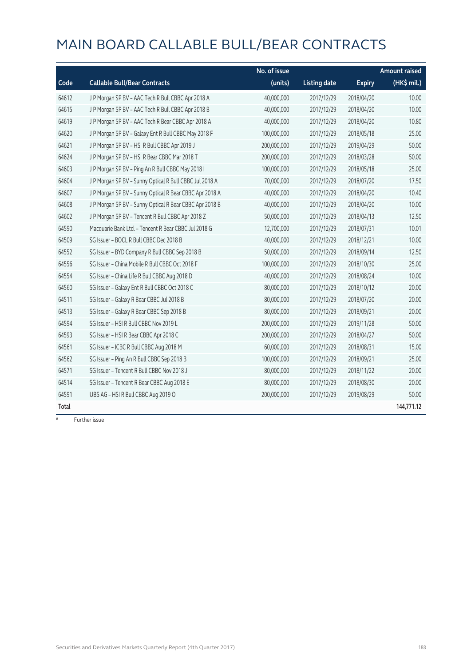|       |                                                         | No. of issue |                     |               | <b>Amount raised</b> |
|-------|---------------------------------------------------------|--------------|---------------------|---------------|----------------------|
| Code  | <b>Callable Bull/Bear Contracts</b>                     | (units)      | <b>Listing date</b> | <b>Expiry</b> | (HK\$ mil.)          |
| 64612 | J P Morgan SP BV - AAC Tech R Bull CBBC Apr 2018 A      | 40,000,000   | 2017/12/29          | 2018/04/20    | 10.00                |
| 64615 | J P Morgan SP BV - AAC Tech R Bull CBBC Apr 2018 B      | 40,000,000   | 2017/12/29          | 2018/04/20    | 10.00                |
| 64619 | J P Morgan SP BV - AAC Tech R Bear CBBC Apr 2018 A      | 40,000,000   | 2017/12/29          | 2018/04/20    | 10.80                |
| 64620 | J P Morgan SP BV - Galaxy Ent R Bull CBBC May 2018 F    | 100,000,000  | 2017/12/29          | 2018/05/18    | 25.00                |
| 64621 | J P Morgan SP BV - HSI R Bull CBBC Apr 2019 J           | 200,000,000  | 2017/12/29          | 2019/04/29    | 50.00                |
| 64624 | J P Morgan SP BV - HSI R Bear CBBC Mar 2018 T           | 200,000,000  | 2017/12/29          | 2018/03/28    | 50.00                |
| 64603 | J P Morgan SP BV - Ping An R Bull CBBC May 2018 I       | 100,000,000  | 2017/12/29          | 2018/05/18    | 25.00                |
| 64604 | J P Morgan SP BV - Sunny Optical R Bull CBBC Jul 2018 A | 70,000,000   | 2017/12/29          | 2018/07/20    | 17.50                |
| 64607 | J P Morgan SP BV - Sunny Optical R Bear CBBC Apr 2018 A | 40,000,000   | 2017/12/29          | 2018/04/20    | 10.40                |
| 64608 | J P Morgan SP BV - Sunny Optical R Bear CBBC Apr 2018 B | 40,000,000   | 2017/12/29          | 2018/04/20    | 10.00                |
| 64602 | J P Morgan SP BV - Tencent R Bull CBBC Apr 2018 Z       | 50,000,000   | 2017/12/29          | 2018/04/13    | 12.50                |
| 64590 | Macquarie Bank Ltd. - Tencent R Bear CBBC Jul 2018 G    | 12,700,000   | 2017/12/29          | 2018/07/31    | 10.01                |
| 64509 | SG Issuer - BOCL R Bull CBBC Dec 2018 B                 | 40,000,000   | 2017/12/29          | 2018/12/21    | 10.00                |
| 64552 | SG Issuer - BYD Company R Bull CBBC Sep 2018 B          | 50,000,000   | 2017/12/29          | 2018/09/14    | 12.50                |
| 64556 | SG Issuer - China Mobile R Bull CBBC Oct 2018 F         | 100,000,000  | 2017/12/29          | 2018/10/30    | 25.00                |
| 64554 | SG Issuer - China Life R Bull CBBC Aug 2018 D           | 40,000,000   | 2017/12/29          | 2018/08/24    | 10.00                |
| 64560 | SG Issuer - Galaxy Ent R Bull CBBC Oct 2018 C           | 80,000,000   | 2017/12/29          | 2018/10/12    | 20.00                |
| 64511 | SG Issuer - Galaxy R Bear CBBC Jul 2018 B               | 80,000,000   | 2017/12/29          | 2018/07/20    | 20.00                |
| 64513 | SG Issuer - Galaxy R Bear CBBC Sep 2018 B               | 80,000,000   | 2017/12/29          | 2018/09/21    | 20.00                |
| 64594 | SG Issuer - HSI R Bull CBBC Nov 2019 L                  | 200,000,000  | 2017/12/29          | 2019/11/28    | 50.00                |
| 64593 | SG Issuer - HSI R Bear CBBC Apr 2018 C                  | 200,000,000  | 2017/12/29          | 2018/04/27    | 50.00                |
| 64561 | SG Issuer - ICBC R Bull CBBC Aug 2018 M                 | 60,000,000   | 2017/12/29          | 2018/08/31    | 15.00                |
| 64562 | SG Issuer - Ping An R Bull CBBC Sep 2018 B              | 100,000,000  | 2017/12/29          | 2018/09/21    | 25.00                |
| 64571 | SG Issuer - Tencent R Bull CBBC Nov 2018 J              | 80,000,000   | 2017/12/29          | 2018/11/22    | 20.00                |
| 64514 | SG Issuer - Tencent R Bear CBBC Aug 2018 E              | 80,000,000   | 2017/12/29          | 2018/08/30    | 20.00                |
| 64591 | UBS AG - HSI R Bull CBBC Aug 2019 O                     | 200,000,000  | 2017/12/29          | 2019/08/29    | 50.00                |
| Total |                                                         |              |                     |               | 144,771.12           |

# Further issue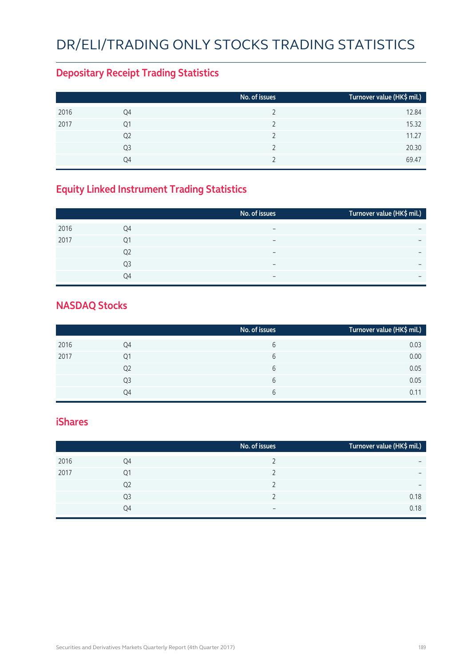# DR/ELI/TRADING ONLY STOCKS TRADING STATISTICS

### **Depositary Receipt Trading Statistics**

|      |                | No. of issues | Turnover value (HK\$ mil.) |
|------|----------------|---------------|----------------------------|
| 2016 | Q4             |               | 12.84                      |
| 2017 | Q1             |               | 15.32                      |
|      | Q <sub>2</sub> |               | 11.27                      |
|      | Q3             |               | 20.30                      |
|      | Q4             |               | 69.47                      |

### **Equity Linked Instrument Trading Statistics**

|                | No. of issues            | Turnover value (HK\$ mil.) |
|----------------|--------------------------|----------------------------|
| Q4             | $\overline{\phantom{0}}$ | $\overline{\phantom{0}}$   |
| Q1             | $\overline{\phantom{0}}$ | $\overline{\phantom{0}}$   |
| Q <sub>2</sub> | -                        | -                          |
| Q <sub>3</sub> | $\overline{\phantom{m}}$ | $\overline{\phantom{0}}$   |
| O <sub>4</sub> | $\overline{\phantom{0}}$ | $\overline{\phantom{0}}$   |
|                |                          |                            |

#### **NASDAQ Stocks**

|      |                | No. of issues | Turnover value (HK\$ mil.) |
|------|----------------|---------------|----------------------------|
| 2016 | Q4             | b             | 0.03                       |
| 2017 | Q1             | 6             | 0.00                       |
|      | Q <sub>2</sub> | 6             | 0.05                       |
|      | Q3             | b             | 0.05                       |
|      | Q4             | b             | 0.11                       |

#### **iShares**

|      |                | No. of issues            | Turnover value (HK\$ mil.) |
|------|----------------|--------------------------|----------------------------|
| 2016 | Q4             |                          | -                          |
| 2017 | Q1             |                          | $\overline{\phantom{0}}$   |
|      | Q <sub>2</sub> |                          | $\overline{\phantom{0}}$   |
|      | Q3             |                          | 0.18                       |
|      | Q4             | $\overline{\phantom{m}}$ | 0.18                       |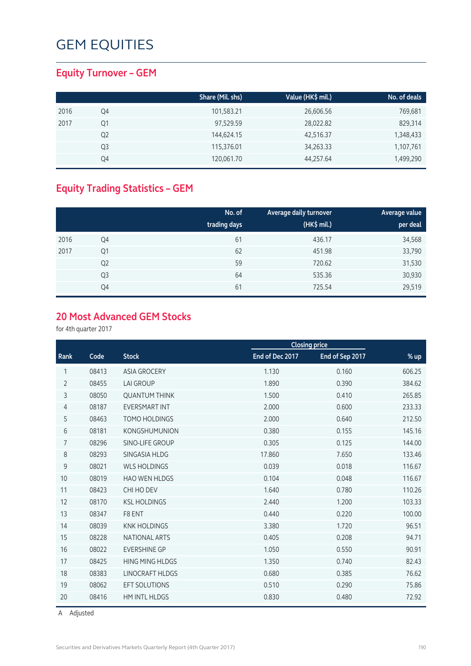### **Equity Turnover – GEM**

|      |                | Share (Mil. shs) | Value (HK\$ mil.) | No. of deals |
|------|----------------|------------------|-------------------|--------------|
| 2016 | Q4             | 101,583.21       | 26,606.56         | 769,681      |
| 2017 | Q1             | 97,529.59        | 28,022.82         | 829,314      |
|      | Q <sub>2</sub> | 144,624.15       | 42,516.37         | 1,348,433    |
|      | Q3             | 115,376.01       | 34,263.33         | 1,107,761    |
|      | Q4             | 120,061.70       | 44,257.64         | 1,499,290    |

### **Equity Trading Statistics – GEM**

|      |                | No. of<br>trading days | Average daily turnover<br>(HK\$ mil.) | Average value<br>per deal |
|------|----------------|------------------------|---------------------------------------|---------------------------|
| 2016 | Q4             | 61                     | 436.17                                | 34,568                    |
| 2017 | Q1             | 62                     | 451.98                                | 33,790                    |
|      | Q <sub>2</sub> | 59                     | 720.62                                | 31,530                    |
|      | Q <sub>3</sub> | 64                     | 535.36                                | 30,930                    |
|      | Q4             | 61                     | 725.54                                | 29,519                    |

#### **20 Most Advanced GEM Stocks**

for 4th quarter 2017

|                |       |                        |                 | <b>Closing price</b> |        |  |
|----------------|-------|------------------------|-----------------|----------------------|--------|--|
| Rank           | Code  | <b>Stock</b>           | End of Dec 2017 | End of Sep 2017      | % up   |  |
| 1              | 08413 | <b>ASIA GROCERY</b>    | 1.130           | 0.160                | 606.25 |  |
| $\overline{2}$ | 08455 | <b>LAI GROUP</b>       | 1.890           | 0.390                | 384.62 |  |
| 3              | 08050 | <b>QUANTUM THINK</b>   | 1.500           | 0.410                | 265.85 |  |
| 4              | 08187 | <b>EVERSMART INT</b>   | 2.000           | 0.600                | 233.33 |  |
| 5              | 08463 | <b>TOMO HOLDINGS</b>   | 2.000           | 0.640                | 212.50 |  |
| 6              | 08181 | <b>KONGSHUMUNION</b>   | 0.380           | 0.155                | 145.16 |  |
| $\overline{7}$ | 08296 | SINO-LIFE GROUP        | 0.305           | 0.125                | 144.00 |  |
| 8              | 08293 | SINGASIA HLDG          | 17.860          | 7.650                | 133.46 |  |
| 9              | 08021 | <b>WLS HOLDINGS</b>    | 0.039           | 0.018                | 116.67 |  |
| 10             | 08019 | <b>HAO WEN HLDGS</b>   | 0.104           | 0.048                | 116.67 |  |
| 11             | 08423 | CHI HO DEV             | 1.640           | 0.780                | 110.26 |  |
| 12             | 08170 | <b>KSL HOLDINGS</b>    | 2.440           | 1.200                | 103.33 |  |
| 13             | 08347 | F8 ENT                 | 0.440           | 0.220                | 100.00 |  |
| 14             | 08039 | <b>KNK HOLDINGS</b>    | 3.380           | 1.720                | 96.51  |  |
| 15             | 08228 | <b>NATIONAL ARTS</b>   | 0.405           | 0.208                | 94.71  |  |
| 16             | 08022 | <b>EVERSHINE GP</b>    | 1.050           | 0.550                | 90.91  |  |
| 17             | 08425 | <b>HING MING HLDGS</b> | 1.350           | 0.740                | 82.43  |  |
| 18             | 08383 | <b>LINOCRAFT HLDGS</b> | 0.680           | 0.385                | 76.62  |  |
| 19             | 08062 | <b>EFT SOLUTIONS</b>   | 0.510           | 0.290                | 75.86  |  |
| 20             | 08416 | <b>HM INTL HLDGS</b>   | 0.830           | 0.480                | 72.92  |  |

A Adjusted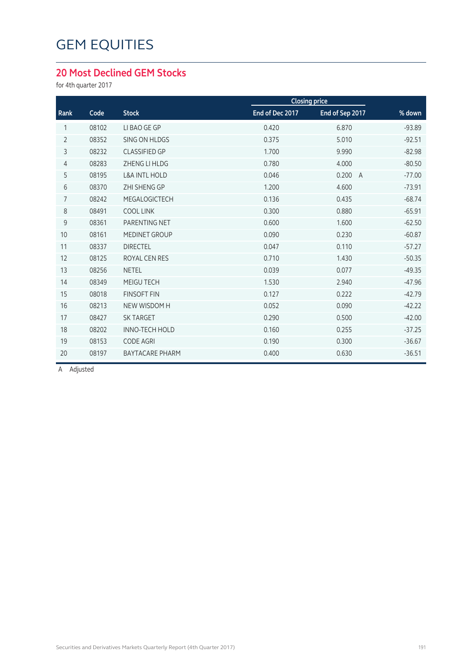### **20 Most Declined GEM Stocks**

for 4th quarter 2017

|                |       |                          |                 | <b>Closing price</b>    |          |
|----------------|-------|--------------------------|-----------------|-------------------------|----------|
| Rank           | Code  | <b>Stock</b>             | End of Dec 2017 | End of Sep 2017         | % down   |
| 1              | 08102 | LI BAO GE GP             | 0.420           | 6.870                   | $-93.89$ |
| $\overline{2}$ | 08352 | SING ON HLDGS            | 0.375           | 5.010                   | $-92.51$ |
| 3              | 08232 | <b>CLASSIFIED GP</b>     | 1.700           | 9.990                   | $-82.98$ |
| 4              | 08283 | ZHENG LI HLDG            | 0.780           | 4.000                   | $-80.50$ |
| 5              | 08195 | <b>L&amp;A INTL HOLD</b> | 0.046           | 0.200<br>$\overline{A}$ | $-77.00$ |
| 6              | 08370 | <b>ZHI SHENG GP</b>      | 1.200           | 4.600                   | $-73.91$ |
| $\overline{7}$ | 08242 | MEGALOGICTECH            | 0.136           | 0.435                   | $-68.74$ |
| 8              | 08491 | <b>COOL LINK</b>         | 0.300           | 0.880                   | $-65.91$ |
| 9              | 08361 | PARENTING NET            | 0.600           | 1.600                   | $-62.50$ |
| 10             | 08161 | MEDINET GROUP            | 0.090           | 0.230                   | $-60.87$ |
| 11             | 08337 | <b>DIRECTEL</b>          | 0.047           | 0.110                   | $-57.27$ |
| 12             | 08125 | ROYAL CEN RES            | 0.710           | 1.430                   | $-50.35$ |
| 13             | 08256 | <b>NETEL</b>             | 0.039           | 0.077                   | $-49.35$ |
| 14             | 08349 | MEIGU TECH               | 1.530           | 2.940                   | $-47.96$ |
| 15             | 08018 | <b>FINSOFT FIN</b>       | 0.127           | 0.222                   | $-42.79$ |
| 16             | 08213 | <b>NEW WISDOM H</b>      | 0.052           | 0.090                   | $-42.22$ |
| 17             | 08427 | <b>SK TARGET</b>         | 0.290           | 0.500                   | $-42.00$ |
| 18             | 08202 | <b>INNO-TECH HOLD</b>    | 0.160           | 0.255                   | $-37.25$ |
| 19             | 08153 | <b>CODE AGRI</b>         | 0.190           | 0.300                   | $-36.67$ |
| 20             | 08197 | <b>BAYTACARE PHARM</b>   | 0.400           | 0.630                   | $-36.51$ |
|                |       |                          |                 |                         |          |

A Adjusted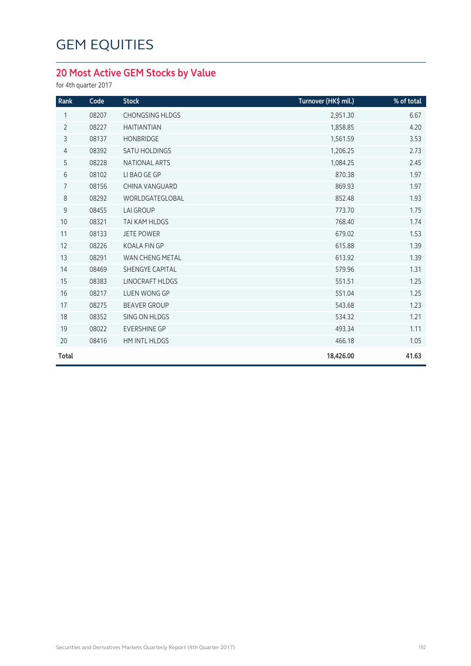### **20 Most Active GEM Stocks by Value**

for 4th quarter 2017

| Rank           | Code  | <b>Stock</b>           | Turnover (HK\$ mil.) | % of total |
|----------------|-------|------------------------|----------------------|------------|
| 1              | 08207 | <b>CHONGSING HLDGS</b> | 2,951.30             | 6.67       |
| $\overline{2}$ | 08227 | <b>HAITIANTIAN</b>     | 1,858.85             | 4.20       |
| 3              | 08137 | <b>HONBRIDGE</b>       | 1,561.59             | 3.53       |
| $\overline{4}$ | 08392 | <b>SATU HOLDINGS</b>   | 1,206.25             | 2.73       |
| 5              | 08228 | NATIONAL ARTS          | 1,084.25             | 2.45       |
| $\sqrt{6}$     | 08102 | LI BAO GE GP           | 870.38               | 1.97       |
| $\overline{7}$ | 08156 | CHINA VANGUARD         | 869.93               | 1.97       |
| $\,8\,$        | 08292 | WORLDGATEGLOBAL        | 852.48               | 1.93       |
| $\mathsf 9$    | 08455 | <b>LAI GROUP</b>       | 773.70               | 1.75       |
| 10             | 08321 | TAI KAM HLDGS          | 768.40               | 1.74       |
| 11             | 08133 | <b>JETE POWER</b>      | 679.02               | 1.53       |
| 12             | 08226 | <b>KOALA FIN GP</b>    | 615.88               | 1.39       |
| 13             | 08291 | <b>WAN CHENG METAL</b> | 613.92               | 1.39       |
| 14             | 08469 | <b>SHENGYE CAPITAL</b> | 579.96               | 1.31       |
| 15             | 08383 | <b>LINOCRAFT HLDGS</b> | 551.51               | 1.25       |
| 16             | 08217 | <b>LUEN WONG GP</b>    | 551.04               | 1.25       |
| 17             | 08275 | <b>BEAVER GROUP</b>    | 543.68               | 1.23       |
| 18             | 08352 | SING ON HLDGS          | 534.32               | 1.21       |
| 19             | 08022 | <b>EVERSHINE GP</b>    | 493.34               | 1.11       |
| 20             | 08416 | <b>HM INTL HLDGS</b>   | 466.18               | 1.05       |
| <b>Total</b>   |       |                        | 18,426.00            | 41.63      |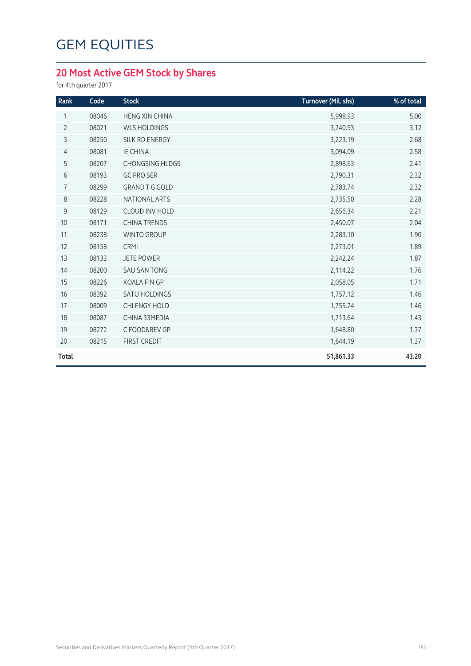### **20 Most Active GEM Stock by Shares**

for 4th quarter 2017

| Rank           | Code  | <b>Stock</b>           | Turnover (Mil. shs) | % of total |
|----------------|-------|------------------------|---------------------|------------|
| 1              | 08046 | <b>HENG XIN CHINA</b>  | 5,998.93            | 5.00       |
| $\overline{2}$ | 08021 | <b>WLS HOLDINGS</b>    | 3,740.93            | 3.12       |
| 3              | 08250 | SILK RD ENERGY         | 3,223.19            | 2.68       |
| $\overline{4}$ | 08081 | <b>IE CHINA</b>        | 3,094.09            | 2.58       |
| 5              | 08207 | <b>CHONGSING HLDGS</b> | 2,898.63            | 2.41       |
| $6\,$          | 08193 | <b>GC PRO SER</b>      | 2,790.31            | 2.32       |
| 7              | 08299 | <b>GRAND T G GOLD</b>  | 2,783.74            | 2.32       |
| $\,8\,$        | 08228 | NATIONAL ARTS          | 2,735.50            | 2.28       |
| $\mathsf 9$    | 08129 | <b>CLOUD INV HOLD</b>  | 2,656.34            | 2.21       |
| 10             | 08171 | <b>CHINA TRENDS</b>    | 2,450.07            | 2.04       |
| 11             | 08238 | <b>WINTO GROUP</b>     | 2,283.10            | 1.90       |
| 12             | 08158 | CRMI                   | 2,273.01            | 1.89       |
| 13             | 08133 | <b>JETE POWER</b>      | 2,242.24            | 1.87       |
| 14             | 08200 | <b>SAU SAN TONG</b>    | 2,114.22            | 1.76       |
| 15             | 08226 | KOALA FIN GP           | 2,058.05            | 1.71       |
| 16             | 08392 | <b>SATU HOLDINGS</b>   | 1,757.12            | 1.46       |
| 17             | 08009 | CHI ENGY HOLD          | 1,755.24            | 1.46       |
| 18             | 08087 | CHINA 33MEDIA          | 1,713.64            | 1.43       |
| 19             | 08272 | C FOOD&BEV GP          | 1,648.80            | 1.37       |
| 20             | 08215 | <b>FIRST CREDIT</b>    | 1,644.19            | 1.37       |
| <b>Total</b>   |       |                        | 51,861.33           | 43.20      |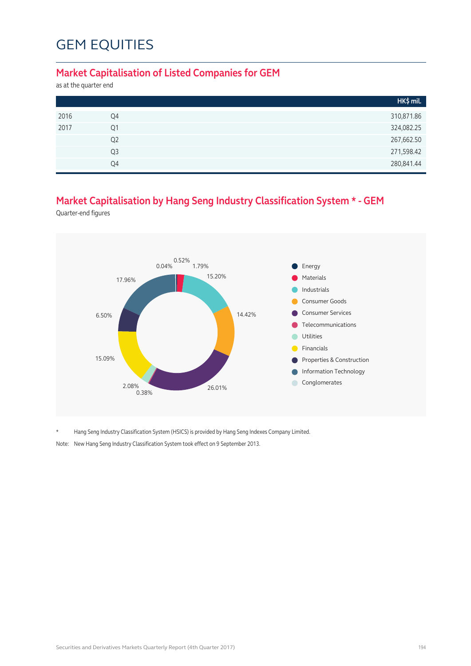#### **Market Capitalisation of Listed Companies for GEM**

as at the quarter end

|      |                | HK\$ mil.  |
|------|----------------|------------|
| 2016 | Q4             | 310,871.86 |
| 2017 | Q1             | 324,082.25 |
|      | Q <sub>2</sub> | 267,662.50 |
|      | Q3             | 271,598.42 |
|      | Q4             | 280,841.44 |

### **Market Capitalisation by Hang Seng Industry Classification System \* - GEM**

Quarter-end figures



\* Hang Seng Industry Classification System (HSICS) is provided by Hang Seng Indexes Company Limited.

Note: New Hang Seng Industry Classification System took effect on 9 September 2013.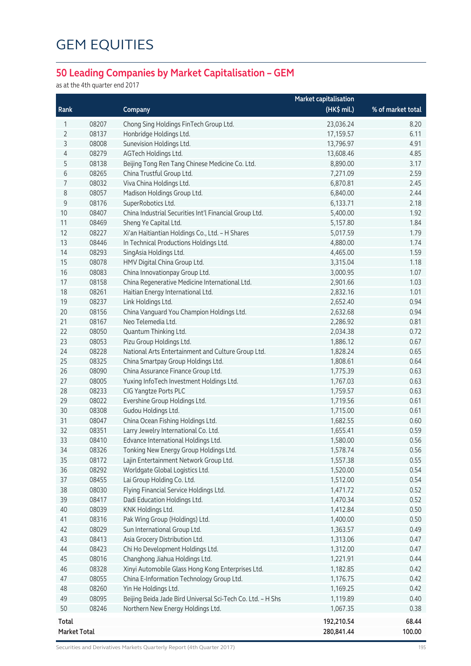### **50 Leading Companies by Market Capitalisation – GEM**

as at the 4th quarter end 2017

|                     |       |                                                             | <b>Market capitalisation</b> |                   |
|---------------------|-------|-------------------------------------------------------------|------------------------------|-------------------|
| Rank                |       | Company                                                     | $(HK$$ mil.)                 | % of market total |
| 1                   | 08207 | Chong Sing Holdings FinTech Group Ltd.                      | 23,036.24                    | 8.20              |
| 2                   | 08137 | Honbridge Holdings Ltd.                                     | 17,159.57                    | 6.11              |
| 3                   | 08008 | Sunevision Holdings Ltd.                                    | 13,796.97                    | 4.91              |
| 4                   | 08279 | AGTech Holdings Ltd.                                        | 13,608.46                    | 4.85              |
| 5                   | 08138 | Beijing Tong Ren Tang Chinese Medicine Co. Ltd.             | 8,890.00                     | 3.17              |
| 6                   | 08265 | China Trustful Group Ltd.                                   | 7,271.09                     | 2.59              |
| 7                   | 08032 | Viva China Holdings Ltd.                                    | 6,870.81                     | 2.45              |
| 8                   | 08057 | Madison Holdings Group Ltd.                                 | 6,840.00                     | 2.44              |
| 9                   | 08176 | SuperRobotics Ltd.                                          | 6,133.71                     | 2.18              |
| $10$                | 08407 | China Industrial Securities Int'l Financial Group Ltd.      | 5,400.00                     | 1.92              |
| 11                  | 08469 | Sheng Ye Capital Ltd.                                       | 5,157.80                     | 1.84              |
| 12                  | 08227 | Xi'an Haitiantian Holdings Co., Ltd. - H Shares             | 5,017.59                     | 1.79              |
| 13                  | 08446 | In Technical Productions Holdings Ltd.                      | 4,880.00                     | 1.74              |
| 14                  | 08293 | SingAsia Holdings Ltd.                                      | 4,465.00                     | 1.59              |
| 15                  | 08078 | HMV Digital China Group Ltd.                                | 3,315.04                     | 1.18              |
| 16                  | 08083 | China Innovationpay Group Ltd.                              | 3,000.95                     | 1.07              |
| 17                  | 08158 | China Regenerative Medicine International Ltd.              | 2,901.66                     | 1.03              |
| 18                  | 08261 | Haitian Energy International Ltd.                           | 2,832.16                     | 1.01              |
| 19                  | 08237 | Link Holdings Ltd.                                          | 2,652.40                     | 0.94              |
| 20                  | 08156 | China Vanguard You Champion Holdings Ltd.                   | 2,632.68                     | 0.94              |
| 21                  | 08167 | Neo Telemedia Ltd.                                          | 2,286.92                     | 0.81              |
| 22                  | 08050 | Quantum Thinking Ltd.                                       | 2,034.38                     | 0.72              |
| 23                  | 08053 | Pizu Group Holdings Ltd.                                    | 1,886.12                     | 0.67              |
| 24                  | 08228 | National Arts Entertainment and Culture Group Ltd.          | 1,828.24                     | 0.65              |
| 25                  | 08325 | China Smartpay Group Holdings Ltd.                          | 1,808.61                     | 0.64              |
| 26                  | 08090 | China Assurance Finance Group Ltd.                          | 1,775.39                     | 0.63              |
| 27                  | 08005 | Yuxing InfoTech Investment Holdings Ltd.                    | 1,767.03                     | 0.63              |
| 28                  | 08233 | CIG Yangtze Ports PLC                                       | 1,759.57                     | 0.63              |
| 29                  | 08022 | Evershine Group Holdings Ltd.                               | 1,719.56                     | 0.61              |
| 30                  | 08308 | Gudou Holdings Ltd.                                         | 1,715.00                     | 0.61              |
| 31                  | 08047 | China Ocean Fishing Holdings Ltd.                           | 1,682.55                     | 0.60              |
| 32                  | 08351 | Larry Jewelry International Co. Ltd.                        | 1,655.41                     | 0.59              |
| 33                  | 08410 | Edvance International Holdings Ltd.                         | 1,580.00                     | 0.56              |
| 34                  | 08326 | Tonking New Energy Group Holdings Ltd.                      | 1,578.74                     | 0.56              |
| 35                  | 08172 | Lajin Entertainment Network Group Ltd.                      | 1,557.38                     | 0.55              |
| 36                  | 08292 | Worldgate Global Logistics Ltd.                             | 1,520.00                     | 0.54              |
| 37                  | 08455 | Lai Group Holding Co. Ltd.                                  | 1,512.00                     | 0.54              |
| 38                  | 08030 | Flying Financial Service Holdings Ltd.                      | 1,471.72                     | 0.52              |
| 39                  | 08417 | Dadi Education Holdings Ltd.                                | 1,470.34                     | 0.52              |
| 40                  | 08039 | KNK Holdings Ltd.                                           | 1,412.84                     | 0.50              |
| 41                  | 08316 | Pak Wing Group (Holdings) Ltd.                              | 1,400.00                     | 0.50              |
| 42                  | 08029 | Sun International Group Ltd.                                | 1,363.57                     | 0.49              |
| 43                  | 08413 | Asia Grocery Distribution Ltd.                              | 1,313.06                     | 0.47              |
| 44                  | 08423 | Chi Ho Development Holdings Ltd.                            | 1,312.00                     | 0.47              |
| 45                  | 08016 | Changhong Jiahua Holdings Ltd.                              | 1,221.91                     | 0.44              |
| 46                  | 08328 | Xinyi Automobile Glass Hong Kong Enterprises Ltd.           | 1,182.85                     | 0.42              |
| 47                  | 08055 | China E-Information Technology Group Ltd.                   | 1,176.75                     | 0.42              |
| 48                  | 08260 | Yin He Holdings Ltd.                                        | 1,169.25                     | 0.42              |
| 49                  | 08095 | Beijing Beida Jade Bird Universal Sci-Tech Co. Ltd. - H Shs | 1,119.89                     | 0.40              |
| 50                  | 08246 | Northern New Energy Holdings Ltd.                           | 1,067.35                     | 0.38              |
| <b>Total</b>        |       |                                                             | 192,210.54                   | 68.44             |
| <b>Market Total</b> |       |                                                             | 280,841.44                   | 100.00            |

Securities and Derivatives Markets Quarterly Report (4th Quarter 2017) 195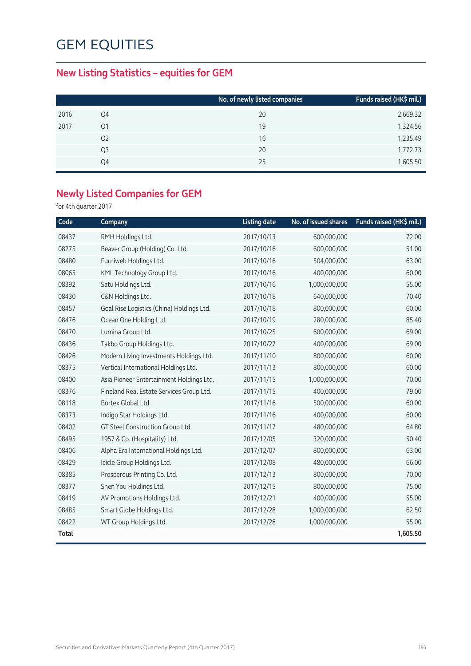### **New Listing Statistics – equities for GEM**

|      |                | No. of newly listed companies | Funds raised (HK\$ mil.) |
|------|----------------|-------------------------------|--------------------------|
| 2016 | Q4             | 20                            | 2,669.32                 |
| 2017 | Q1             | 19                            | 1,324.56                 |
|      | Q <sub>2</sub> | 16                            | 1,235.49                 |
|      | Q <sub>3</sub> | 20                            | 1,772.73                 |
|      | Q4             | 25                            | 1,605.50                 |

### **Newly Listed Companies for GEM**

for 4th quarter 2017

| Code  | Company                                   | <b>Listing date</b> | No. of issued shares | Funds raised (HK\$ mil.) |
|-------|-------------------------------------------|---------------------|----------------------|--------------------------|
| 08437 | RMH Holdings Ltd.                         | 2017/10/13          | 600,000,000          | 72.00                    |
| 08275 | Beaver Group (Holding) Co. Ltd.           | 2017/10/16          | 600,000,000          | 51.00                    |
| 08480 | Furniweb Holdings Ltd.                    | 2017/10/16          | 504,000,000          | 63.00                    |
| 08065 | KML Technology Group Ltd.                 | 2017/10/16          | 400,000,000          | 60.00                    |
| 08392 | Satu Holdings Ltd.                        | 2017/10/16          | 1,000,000,000        | 55.00                    |
| 08430 | C&N Holdings Ltd.                         | 2017/10/18          | 640,000,000          | 70.40                    |
| 08457 | Goal Rise Logistics (China) Holdings Ltd. | 2017/10/18          | 800,000,000          | 60.00                    |
| 08476 | Ocean One Holding Ltd.                    | 2017/10/19          | 280,000,000          | 85.40                    |
| 08470 | Lumina Group Ltd.                         | 2017/10/25          | 600,000,000          | 69.00                    |
| 08436 | Takbo Group Holdings Ltd.                 | 2017/10/27          | 400,000,000          | 69.00                    |
| 08426 | Modern Living Investments Holdings Ltd.   | 2017/11/10          | 800,000,000          | 60.00                    |
| 08375 | Vertical International Holdings Ltd.      | 2017/11/13          | 800,000,000          | 60.00                    |
| 08400 | Asia Pioneer Entertainment Holdings Ltd.  | 2017/11/15          | 1,000,000,000        | 70.00                    |
| 08376 | Fineland Real Estate Services Group Ltd.  | 2017/11/15          | 400,000,000          | 79.00                    |
| 08118 | Bortex Global Ltd.                        | 2017/11/16          | 500,000,000          | 60.00                    |
| 08373 | Indigo Star Holdings Ltd.                 | 2017/11/16          | 400,000,000          | 60.00                    |
| 08402 | GT Steel Construction Group Ltd.          | 2017/11/17          | 480,000,000          | 64.80                    |
| 08495 | 1957 & Co. (Hospitality) Ltd.             | 2017/12/05          | 320,000,000          | 50.40                    |
| 08406 | Alpha Era International Holdings Ltd.     | 2017/12/07          | 800,000,000          | 63.00                    |
| 08429 | Icicle Group Holdings Ltd.                | 2017/12/08          | 480,000,000          | 66.00                    |
| 08385 | Prosperous Printing Co. Ltd.              | 2017/12/13          | 800,000,000          | 70.00                    |
| 08377 | Shen You Holdings Ltd.                    | 2017/12/15          | 800,000,000          | 75.00                    |
| 08419 | AV Promotions Holdings Ltd.               | 2017/12/21          | 400,000,000          | 55.00                    |
| 08485 | Smart Globe Holdings Ltd.                 | 2017/12/28          | 1,000,000,000        | 62.50                    |
| 08422 | WT Group Holdings Ltd.                    | 2017/12/28          | 1,000,000,000        | 55.00                    |
| Total |                                           |                     |                      | 1,605.50                 |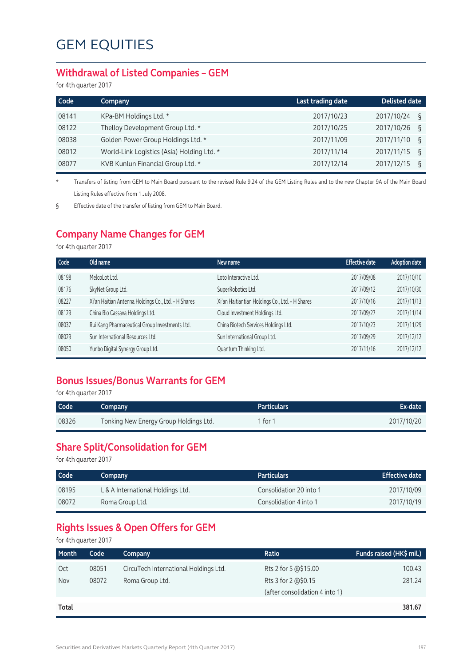#### **Withdrawal of Listed Companies – GEM**

for 4th quarter 2017

| Code  | Company                                    | Last trading date | <b>Delisted date</b> |
|-------|--------------------------------------------|-------------------|----------------------|
| 08141 | KPa-BM Holdings Ltd. *                     | 2017/10/23        | 2017/10/24<br>୍ବ     |
| 08122 | Thelloy Development Group Ltd. *           | 2017/10/25        | 2017/10/26<br>ξ      |
| 08038 | Golden Power Group Holdings Ltd. *         | 2017/11/09        | 2017/11/10<br>ξ      |
| 08012 | World-Link Logistics (Asia) Holding Ltd. * | 2017/11/14        | 2017/11/15<br>୍ବ     |
| 08077 | KVB Kunlun Financial Group Ltd. *          | 2017/12/14        | 2017/12/15<br>ξ      |

\* Transfers of listing from GEM to Main Board pursuant to the revised Rule 9.24 of the GEM Listing Rules and to the new Chapter 9A of the Main Board Listing Rules effective from 1 July 2008.

§ Effective date of the transfer of listing from GEM to Main Board.

### **Company Name Changes for GEM**

for 4th quarter 2017

| <b>Effective date</b> | <b>Adoption date</b> |
|-----------------------|----------------------|
| 2017/09/08            | 2017/10/10           |
| 2017/09/12            | 2017/10/30           |
| 2017/10/16            | 2017/11/13           |
| 2017/09/27            | 2017/11/14           |
| 2017/10/23            | 2017/11/29           |
| 2017/09/29            | 2017/12/12           |
| 2017/11/16            | 2017/12/12           |
|                       |                      |

### **Bonus Issues/Bonus Warrants for GEM**

for 4th quarter 2017

| Code  | Company                                | <b>Particulars</b> | Ex-date    |
|-------|----------------------------------------|--------------------|------------|
| 08326 | Tonking New Energy Group Holdings Ltd. | 1 for 1            | 2017/10/20 |

#### **Share Split/Consolidation for GEM**

for 4th quarter 2017

| Code  | Company                           | <b>Particulars</b>      | <b>Effective date</b> |
|-------|-----------------------------------|-------------------------|-----------------------|
| 08195 | L & A International Holdings Ltd. | Consolidation 20 into 1 | 2017/10/09            |
| 08072 | Roma Group Ltd.                   | Consolidation 4 into 1  | 2017/10/19            |

### **Rights Issues & Open Offers for GEM**

for 4th quarter 2017

| <b>Month</b> | Code  | Company                               | Ratio                          | Funds raised (HK\$ mil.) |
|--------------|-------|---------------------------------------|--------------------------------|--------------------------|
| Oct          | 08051 | CircuTech International Holdings Ltd. | Rts 2 for 5 @\$15.00           | 100.43                   |
| Nov          | 08072 | Roma Group Ltd.                       | Rts 3 for 2 @\$0.15            | 281.24                   |
|              |       |                                       | (after consolidation 4 into 1) |                          |
| Total        |       |                                       |                                | 381.67                   |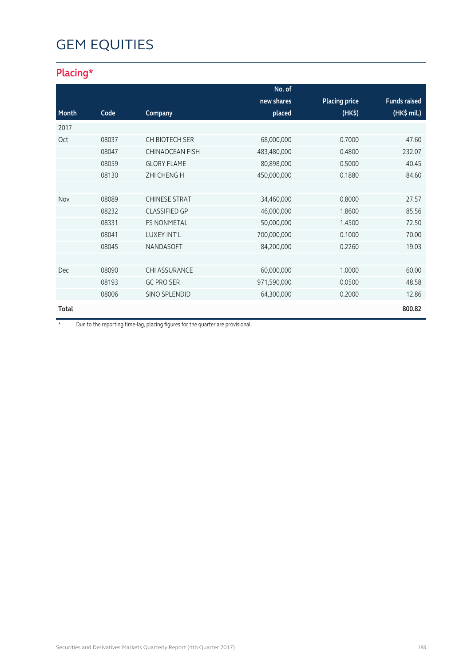### **Placing\***

|       |       |                        | No. of      |                      |                     |
|-------|-------|------------------------|-------------|----------------------|---------------------|
|       |       |                        | new shares  | <b>Placing price</b> | <b>Funds raised</b> |
| Month | Code  | Company                | placed      | (HK <sub>5</sub> )   | (HK\$ mil.)         |
| 2017  |       |                        |             |                      |                     |
| Oct   | 08037 | CH BIOTECH SER         | 68,000,000  | 0.7000               | 47.60               |
|       | 08047 | <b>CHINAOCEAN FISH</b> | 483,480,000 | 0.4800               | 232.07              |
|       | 08059 | <b>GLORY FLAME</b>     | 80,898,000  | 0.5000               | 40.45               |
|       | 08130 | <b>ZHI CHENG H</b>     | 450,000,000 | 0.1880               | 84.60               |
|       |       |                        |             |                      |                     |
| Nov   | 08089 | <b>CHINESE STRAT</b>   | 34,460,000  | 0.8000               | 27.57               |
|       | 08232 | <b>CLASSIFIED GP</b>   | 46,000,000  | 1.8600               | 85.56               |
|       | 08331 | <b>FS NONMETAL</b>     | 50,000,000  | 1.4500               | 72.50               |
|       | 08041 | <b>LUXEY INT'L</b>     | 700,000,000 | 0.1000               | 70.00               |
|       | 08045 | <b>NANDASOFT</b>       | 84,200,000  | 0.2260               | 19.03               |
|       |       |                        |             |                      |                     |
| Dec   | 08090 | <b>CHI ASSURANCE</b>   | 60,000,000  | 1.0000               | 60.00               |
|       | 08193 | <b>GC PRO SER</b>      | 971,590,000 | 0.0500               | 48.58               |
|       | 08006 | SINO SPLENDID          | 64,300,000  | 0.2000               | 12.86               |
| Total |       |                        |             |                      | 800.82              |

\* Due to the reporting time-lag, placing figures for the quarter are provisional.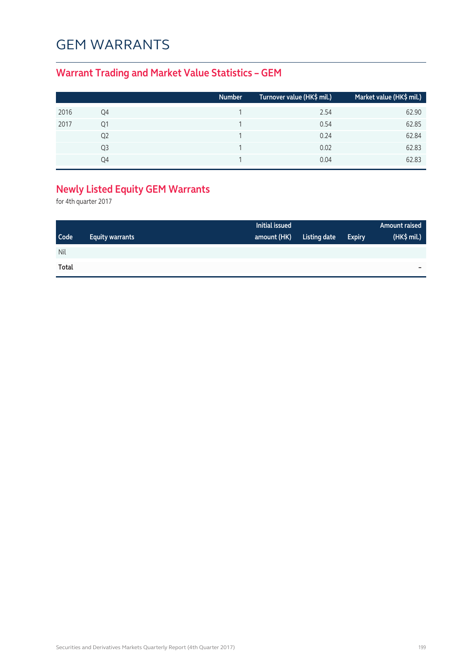## GEM WARRANTS

### **Warrant Trading and Market Value Statistics – GEM**

|      |    | <b>Number</b> | Turnover value (HK\$ mil.) | Market value (HK\$ mil.) |
|------|----|---------------|----------------------------|--------------------------|
| 2016 | Q4 |               | 2.54                       | 62.90                    |
| 2017 | Q1 |               | 0.54                       | 62.85                    |
|      | Q2 |               | 0.24                       | 62.84                    |
|      | Q3 |               | 0.02                       | 62.83                    |
|      | O4 |               | 0.04                       | 62.83                    |

## **Newly Listed Equity GEM Warrants**

for 4th quarter 2017

|             |                        | Initial issued |              |               | Amount raised |
|-------------|------------------------|----------------|--------------|---------------|---------------|
| <b>Code</b> | <b>Equity warrants</b> | amount (HK)    | Listing date | <b>Expiry</b> | (HK\$ mil.)   |
| Nil         |                        |                |              |               |               |
| Total       |                        |                |              |               | -             |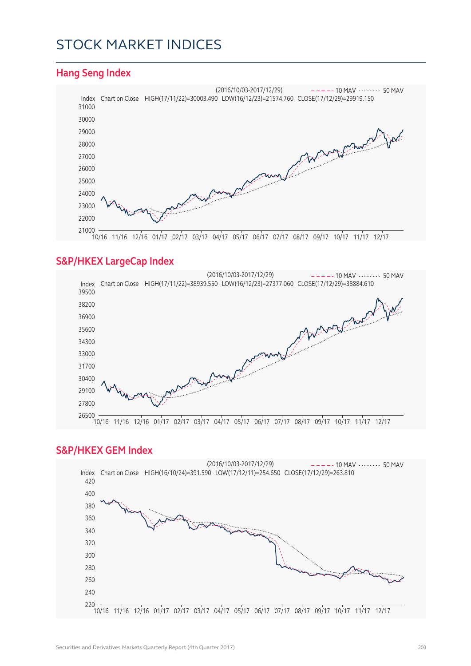## STOCK MARKET INDICES

#### **Hang Seng Index**



#### **S&P/HKEX LargeCap Index**



#### **S&P/HKEX GEM Index**

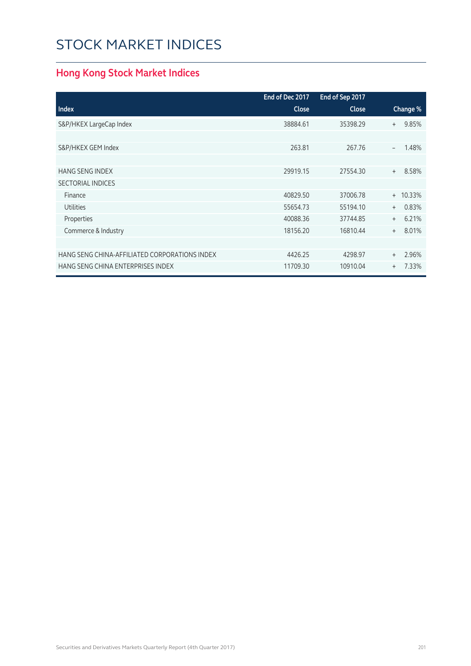# STOCK MARKET INDICES

### **Hong Kong Stock Market Indices**

|                                               | End of Dec 2017 | End of Sep 2017 |                                   |
|-----------------------------------------------|-----------------|-----------------|-----------------------------------|
| <b>Index</b>                                  | <b>Close</b>    | <b>Close</b>    | Change %                          |
| S&P/HKEX LargeCap Index                       | 38884.61        | 35398.29        | 9.85%<br>$+$                      |
|                                               |                 |                 |                                   |
| S&P/HKEX GEM Index                            | 263.81          | 267.76          | 1.48%<br>$\overline{\phantom{a}}$ |
|                                               |                 |                 |                                   |
| <b>HANG SENG INDEX</b>                        | 29919.15        | 27554.30        | 8.58%<br>$+$                      |
| <b>SECTORIAL INDICES</b>                      |                 |                 |                                   |
| Finance                                       | 40829.50        | 37006.78        | $+ 10.33%$                        |
| <b>Utilities</b>                              | 55654.73        | 55194.10        | 0.83%<br>$+$                      |
| Properties                                    | 40088.36        | 37744.85        | 6.21%<br>$+$                      |
| Commerce & Industry                           | 18156.20        | 16810.44        | 8.01%<br>$+$                      |
|                                               |                 |                 |                                   |
| HANG SENG CHINA-AFFILIATED CORPORATIONS INDEX | 4426.25         | 4298.97         | 2.96%<br>$+$                      |
| HANG SENG CHINA ENTERPRISES INDEX             | 11709.30        | 10910.04        | 7.33%<br>$^{+}$                   |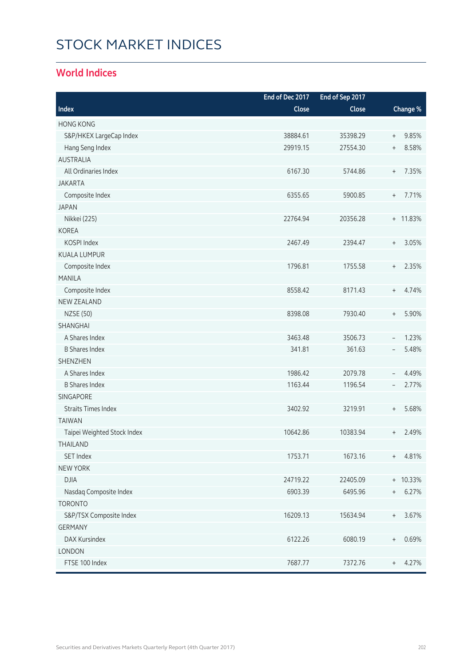# STOCK MARKET INDICES

### **World Indices**

|                             | End of Dec 2017 | End of Sep 2017 |                                           |
|-----------------------------|-----------------|-----------------|-------------------------------------------|
| Index                       | Close           | Close           | Change %                                  |
| <b>HONG KONG</b>            |                 |                 |                                           |
| S&P/HKEX LargeCap Index     | 38884.61        | 35398.29        | 9.85%<br>$\begin{array}{c} + \end{array}$ |
| Hang Seng Index             | 29919.15        | 27554.30        | 8.58%<br>$\begin{array}{c} + \end{array}$ |
| <b>AUSTRALIA</b>            |                 |                 |                                           |
| All Ordinaries Index        | 6167.30         | 5744.86         | 7.35%<br>$^{+}$                           |
| <b>JAKARTA</b>              |                 |                 |                                           |
| Composite Index             | 6355.65         | 5900.85         | 7.71%<br>$\begin{array}{c} + \end{array}$ |
| <b>JAPAN</b>                |                 |                 |                                           |
| Nikkei (225)                | 22764.94        | 20356.28        | + 11.83%                                  |
| <b>KOREA</b>                |                 |                 |                                           |
| KOSPI Index                 | 2467.49         | 2394.47         | 3.05%<br>$^{+}$                           |
| <b>KUALA LUMPUR</b>         |                 |                 |                                           |
| Composite Index             | 1796.81         | 1755.58         | 2.35%<br>$^{+}$                           |
| <b>MANILA</b>               |                 |                 |                                           |
| Composite Index             | 8558.42         | 8171.43         | 4.74%<br>$+$                              |
| <b>NEW ZEALAND</b>          |                 |                 |                                           |
| <b>NZSE (50)</b>            | 8398.08         | 7930.40         | 5.90%<br>$\, +$                           |
| SHANGHAI                    |                 |                 |                                           |
| A Shares Index              | 3463.48         | 3506.73         | 1.23%<br>$\qquad \qquad -$                |
| <b>B Shares Index</b>       | 341.81          | 361.63          | 5.48%<br>$\overline{\phantom{a}}$         |
| <b>SHENZHEN</b>             |                 |                 |                                           |
| A Shares Index              | 1986.42         | 2079.78         | 4.49%<br>$\overline{\phantom{a}}$         |
| <b>B Shares Index</b>       | 1163.44         | 1196.54         | 2.77%<br>$\qquad \qquad -$                |
| SINGAPORE                   |                 |                 |                                           |
| <b>Straits Times Index</b>  | 3402.92         | 3219.91         | 5.68%<br>$\begin{array}{c} + \end{array}$ |
| <b>TAIWAN</b>               |                 |                 |                                           |
| Taipei Weighted Stock Index | 10642.86        | 10383.94        | 2.49%<br>$^{+}$                           |
| THAILAND                    |                 |                 |                                           |
| SET Index                   | 1753.71         | 1673.16         | 4.81%<br>$+$                              |
| <b>NEW YORK</b>             |                 |                 |                                           |
| <b>DJIA</b>                 | 24719.22        | 22405.09        | + 10.33%                                  |
| Nasdaq Composite Index      | 6903.39         | 6495.96         | 6.27%<br>$^{+}$                           |
| <b>TORONTO</b>              |                 |                 |                                           |
| S&P/TSX Composite Index     | 16209.13        | 15634.94        | 3.67%<br>$^{+}$                           |
| <b>GERMANY</b>              |                 |                 |                                           |
| DAX Kursindex               | 6122.26         | 6080.19         | 0.69%<br>$^{+}$                           |
| LONDON                      |                 |                 |                                           |
| FTSE 100 Index              | 7687.77         | 7372.76         | 4.27%<br>$\begin{array}{c} + \end{array}$ |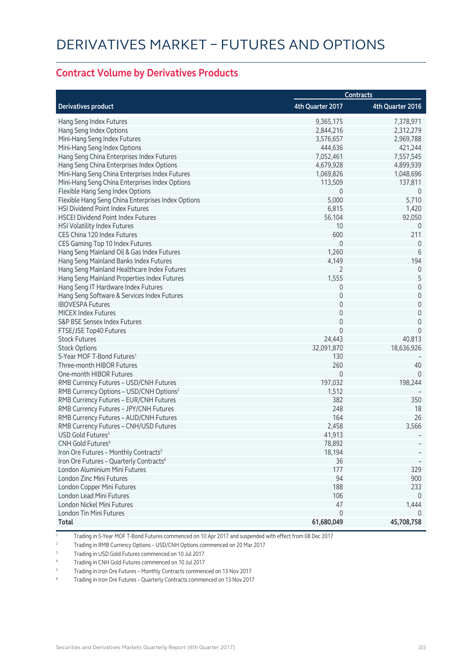#### **Contract Volume by Derivatives Products**

|                                                     |                  | <b>Contracts</b> |
|-----------------------------------------------------|------------------|------------------|
| <b>Derivatives product</b>                          | 4th Quarter 2017 | 4th Quarter 2016 |
| Hang Seng Index Futures                             | 9,365,175        | 7,378,971        |
| Hang Seng Index Options                             | 2,844,216        | 2,312,279        |
| Mini-Hang Seng Index Futures                        | 3,576,657        | 2,969,788        |
| Mini-Hang Seng Index Options                        | 444,636          | 421,244          |
| Hang Seng China Enterprises Index Futures           | 7,052,461        | 7,557,545        |
| Hang Seng China Enterprises Index Options           | 4,679,928        | 4,899,939        |
| Mini-Hang Seng China Enterprises Index Futures      | 1,069,826        | 1,048,696        |
| Mini-Hang Seng China Enterprises Index Options      | 113,509          | 137,811          |
| Flexible Hang Seng Index Options                    | 0                | 0                |
| Flexible Hang Seng China Enterprises Index Options  | 5,000            | 5,710            |
| HSI Dividend Point Index Futures                    | 6,815            | 1,420            |
| <b>HSCEI Dividend Point Index Futures</b>           | 56,104           | 92,050           |
| HSI Volatility Index Futures                        | 10               | 0                |
| CES China 120 Index Futures                         | 600              | 211              |
| CES Gaming Top 10 Index Futures                     | $\mathbf 0$      | $\theta$         |
| Hang Seng Mainland Oil & Gas Index Futures          | 1,260            | 6                |
| Hang Seng Mainland Banks Index Futures              | 4,149            | 194              |
| Hang Seng Mainland Healthcare Index Futures         | 2                | 0                |
| Hang Seng Mainland Properties Index Futures         | 1,555            | 5                |
| Hang Seng IT Hardware Index Futures                 | 0                | $\mathbf 0$      |
| Hang Seng Software & Services Index Futures         | 0                | $\mathbf 0$      |
| <b>IBOVESPA Futures</b>                             | 0                | $\mathbf 0$      |
| <b>MICEX Index Futures</b>                          | $\mathbf 0$      | $\mathbf 0$      |
| S&P BSE Sensex Index Futures                        | 0                | $\mathbf 0$      |
| FTSE/JSE Top40 Futures                              | $\Omega$         | $\Omega$         |
| <b>Stock Futures</b>                                | 24,443           | 40,813           |
| <b>Stock Options</b>                                | 32,091,870       | 18,636,926       |
| 5-Year MOF T-Bond Futures <sup>1</sup>              | 130              |                  |
| Three-month HIBOR Futures                           | 260              | 40               |
| One-month HIBOR Futures                             | 0                | $\Omega$         |
| RMB Currency Futures - USD/CNH Futures              | 197,032          | 198,244          |
| RMB Currency Options - USD/CNH Options <sup>2</sup> | 1,512            |                  |
| RMB Currency Futures - EUR/CNH Futures              | 382              | 350              |
| RMB Currency Futures - JPY/CNH Futures              | 248              | 18               |
| RMB Currency Futures - AUD/CNH Futures              | 164              | 26               |
| RMB Currency Futures - CNH/USD Futures              | 2,458            | 3,566            |
| USD Gold Futures <sup>3</sup>                       | 41,913           |                  |
| CNH Gold Futures <sup>4</sup>                       | 78,892           |                  |
| Iron Ore Futures - Monthly Contracts <sup>5</sup>   | 18,194           |                  |
| Iron Ore Futures - Quarterly Contracts <sup>6</sup> | 36               |                  |
| London Aluminium Mini Futures                       | 177              | 329              |
| London Zinc Mini Futures                            | 94               | 900              |
| London Copper Mini Futures                          | 188              | 233              |
| London Lead Mini Futures                            | 106              | $\mathbf 0$      |
| London Nickel Mini Futures                          | 47               | 1,444            |
| London Tin Mini Futures                             | $\mathbf{0}$     | $\Omega$         |
| <b>Total</b>                                        | 61,680,049       | 45,708,758       |

1 Trading in 5-Year MOF T-Bond Futures commenced on 10 Apr 2017 and suspended with effect from 08 Dec 2017

2 Trading in RMB Currency Options – USD/CNH Options commenced on 20 Mar 2017

3 Trading in USD Gold Futures commenced on 10 Jul 2017

4 Trading in CNH Gold Futures commenced on 10 Jul 2017

5 Trading in Iron Ore Futures – Monthly Contracts commenced on 13 Nov 2017

6 Trading in Iron Ore Futures – Quarterly Contracts commenced on 13 Nov 2017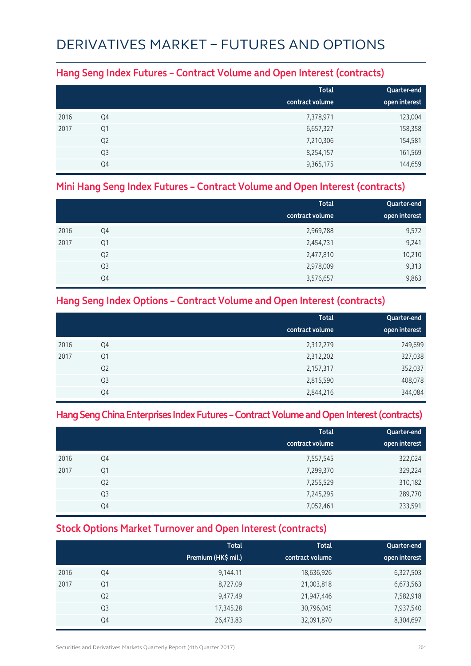## DERIVATIVES MARKET – FUTURES AND OPTIONS

#### **Hang Seng Index Futures – Contract Volume and Open Interest (contracts)**

|      |                | <b>Total</b><br>contract volume | Quarter-end<br>open interest |
|------|----------------|---------------------------------|------------------------------|
| 2016 | Q4             | 7,378,971                       | 123,004                      |
| 2017 | Q1             | 6,657,327                       | 158,358                      |
|      | Q <sub>2</sub> | 7,210,306                       | 154,581                      |
|      | Q <sub>3</sub> | 8,254,157                       | 161,569                      |
|      | Q4             | 9,365,175                       | 144,659                      |

#### **Mini Hang Seng Index Futures – Contract Volume and Open Interest (contracts)**

|      |                | <b>Total</b>    | Quarter-end   |
|------|----------------|-----------------|---------------|
|      |                | contract volume | open interest |
| 2016 | Q4             | 2,969,788       | 9,572         |
| 2017 | Q1             | 2,454,731       | 9,241         |
|      | Q <sub>2</sub> | 2,477,810       | 10,210        |
|      | Q <sub>3</sub> | 2,978,009       | 9,313         |
|      | Q4             | 3,576,657       | 9,863         |

#### **Hang Seng Index Options – Contract Volume and Open Interest (contracts)**

|      |                | <b>Total</b>    | Quarter-end   |
|------|----------------|-----------------|---------------|
|      |                | contract volume | open interest |
| 2016 | Q4             | 2,312,279       | 249,699       |
| 2017 | Q <sub>1</sub> | 2,312,202       | 327,038       |
|      | Q <sub>2</sub> | 2,157,317       | 352,037       |
|      | Q <sub>3</sub> | 2,815,590       | 408,078       |
|      | Q4             | 2,844,216       | 344,084       |

#### **Hang Seng China Enterprises Index Futures – Contract Volume and Open Interest (contracts)**

|      |                | <b>Total</b><br>contract volume | Quarter-end<br>open interest |
|------|----------------|---------------------------------|------------------------------|
| 2016 | Q4             | 7,557,545                       | 322,024                      |
| 2017 | Q1             | 7,299,370                       | 329,224                      |
|      | Q <sub>2</sub> | 7,255,529                       | 310,182                      |
|      | Q <sub>3</sub> | 7,245,295                       | 289,770                      |
|      | Q4             | 7,052,461                       | 233,591                      |

### **Stock Options Market Turnover and Open Interest (contracts)**

|      |                | <b>Total</b><br>Premium (HK\$ mil.) | <b>Total</b><br>contract volume | Quarter-end<br>open interest |
|------|----------------|-------------------------------------|---------------------------------|------------------------------|
| 2016 | Q4             | 9,144.11                            | 18,636,926                      | 6,327,503                    |
| 2017 | Q <sub>1</sub> | 8,727.09                            | 21,003,818                      | 6,673,563                    |
|      | Q <sub>2</sub> | 9,477.49                            | 21,947,446                      | 7,582,918                    |
|      | Q <sub>3</sub> | 17,345.28                           | 30,796,045                      | 7,937,540                    |
|      | Q4             | 26,473.83                           | 32,091,870                      | 8,304,697                    |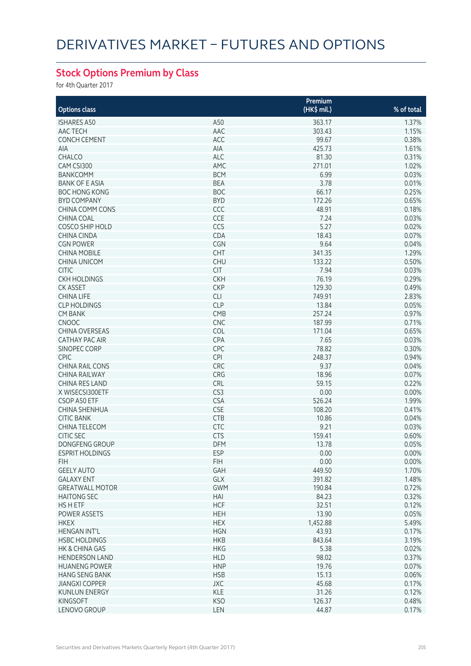### **Stock Options Premium by Class**

for 4th Quarter 2017

|                        |                 | Premium      |            |
|------------------------|-----------------|--------------|------------|
| <b>Options class</b>   |                 | $(HK\$ mil.) | % of total |
| <b>ISHARES A50</b>     | A50             | 363.17       | 1.37%      |
| AAC TECH               | AAC             | 303.43       | 1.15%      |
| <b>CONCH CEMENT</b>    | ACC             | 99.67        | 0.38%      |
| AIA                    | AIA             | 425.73       | 1.61%      |
| <b>CHALCO</b>          | <b>ALC</b>      | 81.30        | 0.31%      |
| CAM CSI300             | AMC             | 271.01       | 1.02%      |
| <b>BANKCOMM</b>        | <b>BCM</b>      | 6.99         | 0.03%      |
| <b>BANK OF E ASIA</b>  | <b>BEA</b>      | 3.78         | 0.01%      |
| <b>BOC HONG KONG</b>   | <b>BOC</b>      | 66.17        | 0.25%      |
| <b>BYD COMPANY</b>     | <b>BYD</b>      | 172.26       | 0.65%      |
| <b>CHINA COMM CONS</b> | CCC             | 48.91        | 0.18%      |
| <b>CHINA COAL</b>      | CCE             | 7.24         | 0.03%      |
| <b>COSCO SHIP HOLD</b> | CCS             | 5.27         | 0.02%      |
| CHINA CINDA            | CDA             | 18.43        | 0.07%      |
| <b>CGN POWER</b>       | CGN             | 9.64         | 0.04%      |
| <b>CHINA MOBILE</b>    | CHT             | 341.35       | 1.29%      |
| CHINA UNICOM           | <b>CHU</b>      | 133.22       | 0.50%      |
| <b>CITIC</b>           | <b>CIT</b>      | 7.94         | 0.03%      |
| <b>CKH HOLDINGS</b>    | <b>CKH</b>      | 76.19        | 0.29%      |
| <b>CK ASSET</b>        |                 |              | 0.49%      |
|                        | <b>CKP</b>      | 129.30       |            |
| <b>CHINA LIFE</b>      | <b>CLI</b>      | 749.91       | 2.83%      |
| <b>CLP HOLDINGS</b>    | <b>CLP</b>      | 13.84        | 0.05%      |
| <b>CM BANK</b>         | CMB             | 257.24       | 0.97%      |
| <b>CNOOC</b>           | <b>CNC</b>      | 187.99       | 0.71%      |
| <b>CHINA OVERSEAS</b>  | COL             | 171.04       | 0.65%      |
| <b>CATHAY PAC AIR</b>  | CPA             | 7.65         | 0.03%      |
| SINOPEC CORP           | CPC             | 78.82        | 0.30%      |
| <b>CPIC</b>            | CPI             | 248.37       | 0.94%      |
| <b>CHINA RAIL CONS</b> | CRC             | 9.37         | 0.04%      |
| <b>CHINA RAILWAY</b>   | CRG             | 18.96        | 0.07%      |
| CHINA RES LAND         | CRL             | 59.15        | 0.22%      |
| X WISECSI300ETF        | CS <sub>3</sub> | 0.00         | 0.00%      |
| CSOP A50 ETF           | <b>CSA</b>      | 526.24       | 1.99%      |
| CHINA SHENHUA          | <b>CSE</b>      | 108.20       | 0.41%      |
| <b>CITIC BANK</b>      | CTB             | 10.86        | 0.04%      |
| CHINA TELECOM          | CTC             | 9.21         | 0.03%      |
| <b>CITIC SEC</b>       | <b>CTS</b>      | 159.41       | 0.60%      |
| <b>DONGFENG GROUP</b>  | <b>DFM</b>      | 13.78        | 0.05%      |
| <b>ESPRIT HOLDINGS</b> | ESP.            | 0.00         | 0.00%      |
| <b>FIH</b>             | <b>FIH</b>      | 0.00         | 0.00%      |
| <b>GEELY AUTO</b>      | GAH             | 449.50       | 1.70%      |
| <b>GALAXY ENT</b>      | GLX             | 391.82       | 1.48%      |
| <b>GREATWALL MOTOR</b> | <b>GWM</b>      | 190.84       | 0.72%      |
| <b>HAITONG SEC</b>     | HAI             | 84.23        | 0.32%      |
| <b>HSHETF</b>          | <b>HCF</b>      | 32.51        | 0.12%      |
| POWER ASSETS           | <b>HEH</b>      | 13.90        | 0.05%      |
| <b>HKEX</b>            | <b>HEX</b>      | 1,452.88     | 5.49%      |
| <b>HENGAN INT'L</b>    | <b>HGN</b>      | 43.93        | 0.17%      |
| <b>HSBC HOLDINGS</b>   | <b>HKB</b>      | 843.64       | 3.19%      |
| HK & CHINA GAS         | <b>HKG</b>      | 5.38         | 0.02%      |
| <b>HENDERSON LAND</b>  | <b>HLD</b>      | 98.02        | 0.37%      |
| <b>HUANENG POWER</b>   | <b>HNP</b>      | 19.76        | 0.07%      |
| <b>HANG SENG BANK</b>  | <b>HSB</b>      | 15.13        | 0.06%      |
| <b>JIANGXI COPPER</b>  | <b>JXC</b>      | 45.68        | 0.17%      |
| <b>KUNLUN ENERGY</b>   | <b>KLE</b>      | 31.26        | 0.12%      |
| <b>KINGSOFT</b>        | <b>KSO</b>      | 126.37       | 0.48%      |
| LENOVO GROUP           | LEN             | 44.87        | 0.17%      |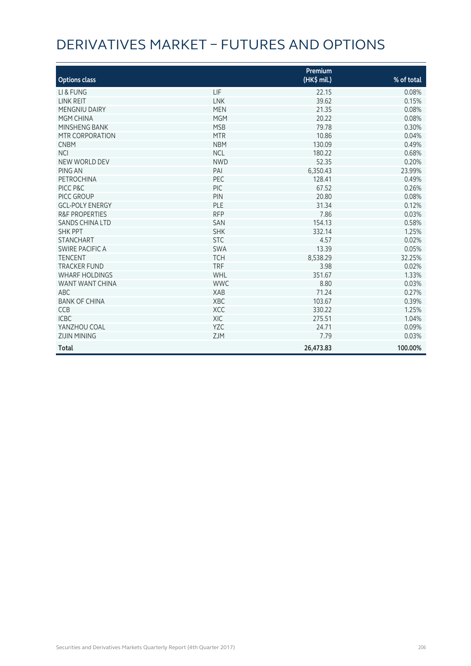## DERIVATIVES MARKET – FUTURES AND OPTIONS

| <b>Options class</b>      |            | Premium<br>(HK\$ mil.) | % of total |
|---------------------------|------------|------------------------|------------|
| LI & FUNG                 | LIF        | 22.15                  | 0.08%      |
| <b>LINK REIT</b>          | <b>LNK</b> | 39.62                  | 0.15%      |
| <b>MENGNIU DAIRY</b>      | <b>MEN</b> | 21.35                  | 0.08%      |
| MGM CHINA                 | <b>MGM</b> | 20.22                  | 0.08%      |
| MINSHENG BANK             | <b>MSB</b> | 79.78                  | 0.30%      |
| MTR CORPORATION           | <b>MTR</b> | 10.86                  | 0.04%      |
| <b>CNBM</b>               | <b>NBM</b> | 130.09                 | 0.49%      |
| <b>NCI</b>                | <b>NCL</b> | 180.22                 | 0.68%      |
| NEW WORLD DEV             | <b>NWD</b> | 52.35                  | 0.20%      |
| PING AN                   | PAI        | 6,350.43               | 23.99%     |
| PETROCHINA                | PEC        | 128.41                 | 0.49%      |
| PICC P&C                  | PIC        | 67.52                  | 0.26%      |
| PICC GROUP                | PIN        | 20.80                  | 0.08%      |
| <b>GCL-POLY ENERGY</b>    | PLE        | 31.34                  | 0.12%      |
| <b>R&amp;F PROPERTIES</b> | <b>RFP</b> | 7.86                   | 0.03%      |
| <b>SANDS CHINA LTD</b>    | SAN        | 154.13                 | 0.58%      |
| <b>SHK PPT</b>            | <b>SHK</b> | 332.14                 | 1.25%      |
| <b>STANCHART</b>          | <b>STC</b> | 4.57                   | 0.02%      |
| SWIRE PACIFIC A           | <b>SWA</b> | 13.39                  | 0.05%      |
| <b>TENCENT</b>            | <b>TCH</b> | 8,538.29               | 32.25%     |
| <b>TRACKER FUND</b>       | <b>TRF</b> | 3.98                   | 0.02%      |
| <b>WHARF HOLDINGS</b>     | WHL        | 351.67                 | 1.33%      |
| WANT WANT CHINA           | <b>WWC</b> | 8.80                   | 0.03%      |
| <b>ABC</b>                | XAB        | 71.24                  | 0.27%      |
| <b>BANK OF CHINA</b>      | XBC        | 103.67                 | 0.39%      |
| <b>CCB</b>                | <b>XCC</b> | 330.22                 | 1.25%      |
| <b>ICBC</b>               | <b>XIC</b> | 275.51                 | 1.04%      |
| YANZHOU COAL              | <b>YZC</b> | 24.71                  | 0.09%      |
| <b>ZIJIN MINING</b>       | <b>ZJM</b> | 7.79                   | 0.03%      |
| <b>Total</b>              |            | 26,473.83              | 100.00%    |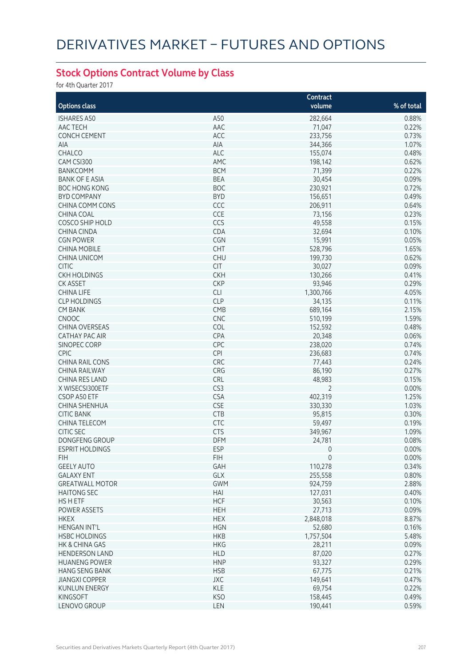### **Stock Options Contract Volume by Class**

for 4th Quarter 2017

|                                       |                          | Contract            |                |
|---------------------------------------|--------------------------|---------------------|----------------|
| <b>Options class</b>                  |                          | volume              | % of total     |
| <b>ISHARES A50</b>                    | A50                      | 282,664             | 0.88%          |
| AAC TECH                              | AAC                      | 71,047              | 0.22%          |
| <b>CONCH CEMENT</b>                   | ACC                      | 233,756             | 0.73%          |
| AIA                                   | AIA                      | 344,366             | 1.07%          |
| CHALCO                                | <b>ALC</b>               | 155,074             | 0.48%          |
| CAM CSI300                            | AMC                      | 198,142             | 0.62%          |
| <b>BANKCOMM</b>                       | <b>BCM</b>               | 71,399              | 0.22%          |
| <b>BANK OF E ASIA</b>                 | <b>BEA</b>               | 30,454              | 0.09%          |
| <b>BOC HONG KONG</b>                  | <b>BOC</b>               | 230,921             | 0.72%          |
| <b>BYD COMPANY</b>                    | <b>BYD</b>               | 156,651             | 0.49%          |
| <b>CHINA COMM CONS</b>                | CCC                      | 206,911             | 0.64%          |
| <b>CHINA COAL</b>                     | CCE                      | 73,156              | 0.23%          |
| <b>COSCO SHIP HOLD</b>                | CCS                      | 49,558              | 0.15%          |
| CHINA CINDA                           | CDA                      | 32,694              | 0.10%          |
| <b>CGN POWER</b>                      | CGN                      | 15,991              | 0.05%          |
| <b>CHINA MOBILE</b>                   | <b>CHT</b>               | 528,796             | 1.65%          |
| <b>CHINA UNICOM</b>                   | <b>CHU</b>               | 199,730             | 0.62%          |
| <b>CITIC</b>                          | <b>CIT</b>               | 30,027              | 0.09%          |
| <b>CKH HOLDINGS</b>                   | <b>CKH</b>               | 130,266             | 0.41%          |
| <b>CK ASSET</b>                       | <b>CKP</b>               | 93,946              | 0.29%          |
|                                       |                          |                     | 4.05%          |
| <b>CHINA LIFE</b>                     | <b>CLI</b><br><b>CLP</b> | 1,300,766           | 0.11%          |
| <b>CLP HOLDINGS</b>                   | CMB                      | 34,135              | 2.15%          |
| <b>CM BANK</b>                        | <b>CNC</b>               | 689,164<br>510,199  |                |
| <b>CNOOC</b><br><b>CHINA OVERSEAS</b> | COL                      |                     | 1.59%<br>0.48% |
|                                       |                          | 152,592             |                |
| <b>CATHAY PAC AIR</b>                 | CPA                      | 20,348              | 0.06%          |
| SINOPEC CORP                          | CPC                      | 238,020             | 0.74%          |
| <b>CPIC</b>                           | <b>CPI</b>               | 236,683             | 0.74%          |
| <b>CHINA RAIL CONS</b>                | CRC                      | 77,443              | 0.24%          |
| <b>CHINA RAILWAY</b>                  | CRG                      | 86,190              | 0.27%          |
| <b>CHINA RES LAND</b>                 | CRL                      | 48,983              | 0.15%          |
| X WISECSI300ETF                       | CS3                      | $\overline{2}$      | 0.00%          |
| CSOP A50 ETF                          | <b>CSA</b>               | 402,319             | 1.25%          |
| CHINA SHENHUA                         | <b>CSE</b>               | 330,330             | 1.03%          |
| <b>CITIC BANK</b>                     | CTB                      | 95,815              | 0.30%          |
| CHINA TELECOM                         | <b>CTC</b>               | 59,497              | 0.19%          |
| <b>CITIC SEC</b>                      | <b>CTS</b>               | 349,967             | 1.09%          |
| <b>DONGFENG GROUP</b>                 | <b>DFM</b>               | 24,781              | 0.08%          |
| <b>ESPRIT HOLDINGS</b>                | ESP                      | U                   | 0.00%          |
| <b>FIH</b>                            | <b>FIH</b>               | $\mathsf{O}\xspace$ | 0.00%          |
| <b>GEELY AUTO</b>                     | GAH                      | 110,278             | 0.34%          |
| <b>GALAXY ENT</b>                     | GLX                      | 255,558             | 0.80%          |
| <b>GREATWALL MOTOR</b>                | <b>GWM</b>               | 924,759             | 2.88%          |
| <b>HAITONG SEC</b>                    | HAI                      | 127,031             | 0.40%          |
| HS H ETF                              | <b>HCF</b>               | 30,563              | 0.10%          |
| POWER ASSETS                          | <b>HEH</b>               | 27,713              | 0.09%          |
| <b>HKEX</b>                           | <b>HEX</b>               | 2,848,018           | 8.87%          |
| <b>HENGAN INT'L</b>                   | <b>HGN</b>               | 52,680              | 0.16%          |
| <b>HSBC HOLDINGS</b>                  | <b>HKB</b>               | 1,757,504           | 5.48%          |
| HK & CHINA GAS                        | <b>HKG</b>               | 28,211              | 0.09%          |
| <b>HENDERSON LAND</b>                 | <b>HLD</b>               | 87,020              | 0.27%          |
| <b>HUANENG POWER</b>                  | <b>HNP</b>               | 93,327              | 0.29%          |
| <b>HANG SENG BANK</b>                 | <b>HSB</b>               | 67,775              | 0.21%          |
| <b>JIANGXI COPPER</b>                 | JXC                      | 149,641             | 0.47%          |
| <b>KUNLUN ENERGY</b>                  | <b>KLE</b>               | 69,754              | 0.22%          |
| <b>KINGSOFT</b>                       | <b>KSO</b>               | 158,445             | 0.49%          |
| LENOVO GROUP                          | LEN                      | 190,441             | 0.59%          |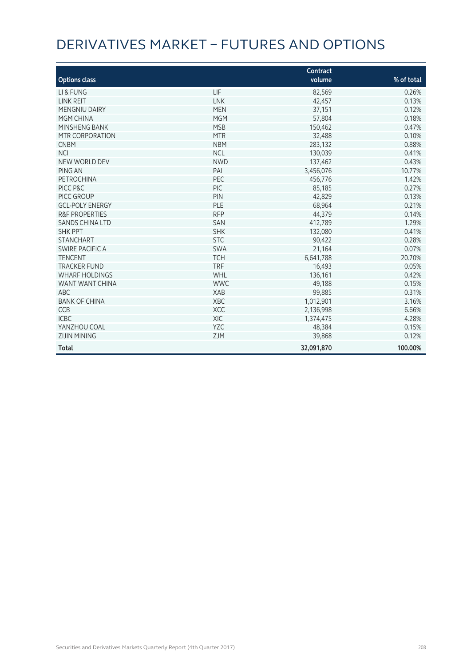# DERIVATIVES MARKET – FUTURES AND OPTIONS

| <b>Options class</b>      |            | Contract<br>volume | % of total |
|---------------------------|------------|--------------------|------------|
|                           |            |                    |            |
| LI & FUNG                 | LIF        | 82,569             | 0.26%      |
| <b>LINK REIT</b>          | <b>LNK</b> | 42,457             | 0.13%      |
| <b>MENGNIU DAIRY</b>      | <b>MEN</b> | 37,151             | 0.12%      |
| MGM CHINA                 | <b>MGM</b> | 57,804             | 0.18%      |
| MINSHENG BANK             | <b>MSB</b> | 150,462            | 0.47%      |
| MTR CORPORATION           | <b>MTR</b> | 32,488             | 0.10%      |
| <b>CNBM</b>               | <b>NBM</b> | 283,132            | 0.88%      |
| <b>NCI</b>                | <b>NCL</b> | 130,039            | 0.41%      |
| NEW WORLD DEV             | <b>NWD</b> | 137,462            | 0.43%      |
| PING AN                   | PAI        | 3,456,076          | 10.77%     |
| PETROCHINA                | PEC        | 456,776            | 1.42%      |
| PICC P&C                  | PIC        | 85,185             | 0.27%      |
| PICC GROUP                | PIN        | 42,829             | 0.13%      |
| <b>GCL-POLY ENERGY</b>    | PLE        | 68.964             | 0.21%      |
| <b>R&amp;F PROPERTIES</b> | <b>RFP</b> | 44,379             | 0.14%      |
| <b>SANDS CHINA LTD</b>    | SAN        | 412,789            | 1.29%      |
| <b>SHK PPT</b>            | <b>SHK</b> | 132,080            | 0.41%      |
| <b>STANCHART</b>          | <b>STC</b> | 90,422             | 0.28%      |
| SWIRE PACIFIC A           | <b>SWA</b> | 21,164             | 0.07%      |
| <b>TENCENT</b>            | <b>TCH</b> | 6,641,788          | 20.70%     |
| <b>TRACKER FUND</b>       | <b>TRF</b> | 16,493             | 0.05%      |
| <b>WHARF HOLDINGS</b>     | WHL        | 136,161            | 0.42%      |
| WANT WANT CHINA           | <b>WWC</b> | 49,188             | 0.15%      |
| <b>ABC</b>                | XAB        | 99,885             | 0.31%      |
| <b>BANK OF CHINA</b>      | <b>XBC</b> | 1,012,901          | 3.16%      |
| <b>CCB</b>                | <b>XCC</b> | 2,136,998          | 6.66%      |
| <b>ICBC</b>               | XIC        | 1,374,475          | 4.28%      |
| YANZHOU COAL              | <b>YZC</b> | 48,384             | 0.15%      |
| <b>ZIJIN MINING</b>       | <b>ZJM</b> | 39,868             | 0.12%      |
| <b>Total</b>              |            | 32,091,870         | 100.00%    |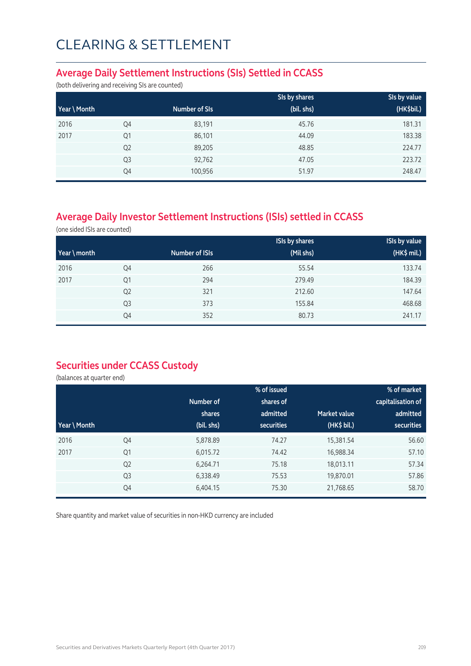#### **Average Daily Settlement Instructions (SIs) Settled in CCASS**

(both delivering and receiving SIs are counted)

|              |                |               | SIs by shares | SIs by value |
|--------------|----------------|---------------|---------------|--------------|
| Year \ Month |                | Number of SIs | (bil. shs)    | (HK\$bil.)   |
| 2016         | Q4             | 83,191        | 45.76         | 181.31       |
| 2017         | Q <sub>1</sub> | 86,101        | 44.09         | 183.38       |
|              | Q <sub>2</sub> | 89,205        | 48.85         | 224.77       |
|              | Q <sub>3</sub> | 92,762        | 47.05         | 223.72       |
|              | Q4             | 100,956       | 51.97         | 248.47       |

### **Average Daily Investor Settlement Instructions (ISIs) settled in CCASS**

(one sided ISIs are counted)

|                       |                |                       | <b>ISIs by shares</b> | <b>ISIs by value</b> |
|-----------------------|----------------|-----------------------|-----------------------|----------------------|
| $\forall$ ear \ month |                | <b>Number of ISIs</b> | (Mil shs)             | (HK\$ mil.)          |
| 2016                  | Q4             | 266                   | 55.54                 | 133.74               |
| 2017                  | Q1             | 294                   | 279.49                | 184.39               |
|                       | Q <sub>2</sub> | 321                   | 212.60                | 147.64               |
|                       | Q <sub>3</sub> | 373                   | 155.84                | 468.68               |
|                       | Q4             | 352                   | 80.73                 | 241.17               |

### **Securities under CCASS Custody**

(balances at quarter end)

|              |                |            | % of issued       |                     | % of market       |
|--------------|----------------|------------|-------------------|---------------------|-------------------|
|              |                | Number of  | shares of         |                     | capitalisation of |
|              |                | shares     | admitted          | <b>Market value</b> | admitted          |
| Year \ Month |                | (bil. shs) | <b>securities</b> | (HK\$ bil.)         | securities        |
| 2016         | Q4             | 5,878.89   | 74.27             | 15,381.54           | 56.60             |
| 2017         | Q <sub>1</sub> | 6,015.72   | 74.42             | 16,988.34           | 57.10             |
|              | Q <sub>2</sub> | 6,264.71   | 75.18             | 18,013.11           | 57.34             |
|              | Q <sub>3</sub> | 6,338.49   | 75.53             | 19,870.01           | 57.86             |
|              | Q4             | 6,404.15   | 75.30             | 21,768.65           | 58.70             |

Share quantity and market value of securities in non-HKD currency are included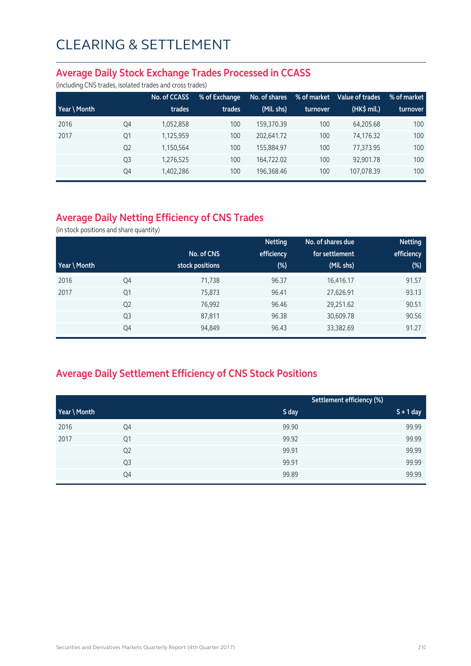#### **Average Daily Stock Exchange Trades Processed in CCASS**

(including CNS trades, isolated trades and cross trades)

|              |                | No. of CCASS | % of Exchange | No. of shares | % of market | Value of trades | % of market |
|--------------|----------------|--------------|---------------|---------------|-------------|-----------------|-------------|
| Year \ Month |                | trades       | trades        | (Mil. shs)    | turnover    | (HK\$ mil.)     | turnover    |
| 2016         | Q4             | 1,052,858    | 100           | 159.370.39    | 100         | 64.205.68       | 100         |
| 2017         | Q1             | 1,125,959    | 100           | 202.641.72    | 100         | 74.176.32       | 100         |
|              | Q <sub>2</sub> | 1,150,564    | 100           | 155.884.97    | 100         | 77.373.95       | 100         |
|              | Q <sub>3</sub> | 1,276,525    | 100           | 164.722.02    | 100         | 92,901.78       | 100         |
|              | Q4             | 1,402,286    | 100           | 196,368.46    | 100         | 107,078.39      | 100         |

### **Average Daily Netting Efficiency of CNS Trades**

(in stock positions and share quantity)

|              |                |                 | <b>Netting</b> | No. of shares due | <b>Netting</b> |
|--------------|----------------|-----------------|----------------|-------------------|----------------|
|              |                | No. of CNS      | efficiency     | for settlement    | efficiency     |
| Year \ Month |                | stock positions | $(\%)$         | (Mil. shs)        | $(\%)$         |
| 2016         | Q4             | 71,738          | 96.37          | 16,416.17         | 91.57          |
| 2017         | Q1             | 75,873          | 96.41          | 27,626.91         | 93.13          |
|              | Q <sub>2</sub> | 76,992          | 96.46          | 29,251.62         | 90.51          |
|              | Q <sub>3</sub> | 87,811          | 96.38          | 30,609.78         | 90.56          |
|              | Q4             | 94,849          | 96.43          | 33,382.69         | 91.27          |

### **Average Daily Settlement Efficiency of CNS Stock Positions**

|              |                |       | Settlement efficiency (%) |
|--------------|----------------|-------|---------------------------|
| Year \ Month |                | S day | $S + 1$ day               |
| 2016         | Q4             | 99.90 | 99.99                     |
| 2017         | Q1             | 99.92 | 99.99                     |
|              | Q <sub>2</sub> | 99.91 | 99.99                     |
|              | Q3             | 99.91 | 99.99                     |
|              | Q4             | 99.89 | 99.99                     |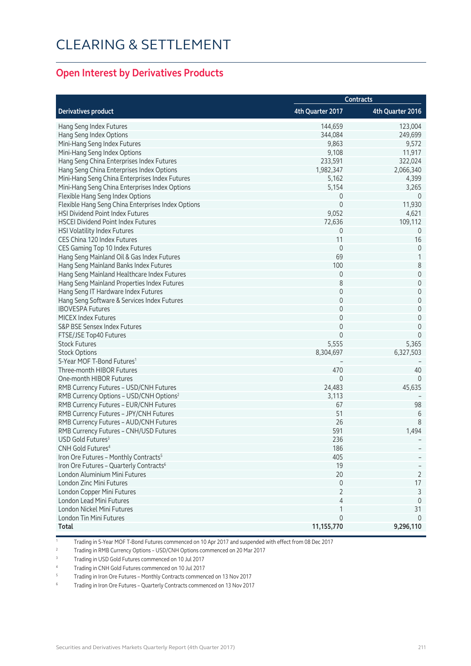#### **Open Interest by Derivatives Products**

|                                                                         | <b>Contracts</b> |                  |  |
|-------------------------------------------------------------------------|------------------|------------------|--|
| <b>Derivatives product</b>                                              | 4th Quarter 2017 | 4th Quarter 2016 |  |
| Hang Seng Index Futures                                                 | 144,659          | 123,004          |  |
| Hang Seng Index Options                                                 | 344,084          | 249,699          |  |
| Mini-Hang Seng Index Futures                                            | 9,863            | 9,572            |  |
| Mini-Hang Seng Index Options                                            | 9,108            | 11,917           |  |
| Hang Seng China Enterprises Index Futures                               | 233,591          | 322,024          |  |
| Hang Seng China Enterprises Index Options                               | 1,982,347        | 2,066,340        |  |
| Mini-Hang Seng China Enterprises Index Futures                          | 5,162            | 4,399            |  |
| Mini-Hang Seng China Enterprises Index Options                          | 5,154            | 3,265            |  |
| Flexible Hang Seng Index Options                                        | 0                | $\overline{0}$   |  |
| Flexible Hang Seng China Enterprises Index Options                      | $\mathbf 0$      | 11,930           |  |
| HSI Dividend Point Index Futures                                        | 9,052            | 4,621            |  |
| <b>HSCEI Dividend Point Index Futures</b>                               | 72,636           | 109,112          |  |
| HSI Volatility Index Futures                                            | 0                | $\overline{0}$   |  |
| CES China 120 Index Futures                                             | 11               | 16               |  |
| CES Gaming Top 10 Index Futures                                         | $\mathbf 0$      | $\mathbf 0$      |  |
| Hang Seng Mainland Oil & Gas Index Futures                              | 69               | 1                |  |
| Hang Seng Mainland Banks Index Futures                                  | 100              | 8                |  |
| Hang Seng Mainland Healthcare Index Futures                             | $\mathbf 0$      | $\mathbf 0$      |  |
| Hang Seng Mainland Properties Index Futures                             | 8                | $\mathbf 0$      |  |
| Hang Seng IT Hardware Index Futures                                     | $\mathbf 0$      | $\mathbf 0$      |  |
| Hang Seng Software & Services Index Futures                             | $\mathbf 0$      | $\mathbf 0$      |  |
| <b>IBOVESPA Futures</b>                                                 | 0                | $\mathbf 0$      |  |
| <b>MICEX Index Futures</b>                                              | $\mathbf 0$      | $\mathbf 0$      |  |
| S&P BSE Sensex Index Futures                                            | $\mathbf 0$      | $\mathbf 0$      |  |
| FTSE/JSE Top40 Futures                                                  | $\Omega$         | $\mathbf{0}$     |  |
| <b>Stock Futures</b>                                                    | 5,555            | 5,365            |  |
| <b>Stock Options</b>                                                    | 8,304,697        | 6,327,503        |  |
| 5-Year MOF T-Bond Futures <sup>1</sup>                                  |                  |                  |  |
| Three-month HIBOR Futures                                               | 470              | 40               |  |
| One-month HIBOR Futures                                                 | 0                | $\Omega$         |  |
| RMB Currency Futures - USD/CNH Futures                                  | 24,483           | 45,635           |  |
| RMB Currency Options - USD/CNH Options <sup>2</sup>                     | 3,113            |                  |  |
| RMB Currency Futures - EUR/CNH Futures                                  | 67               | 98               |  |
| RMB Currency Futures - JPY/CNH Futures                                  | 51               | 6                |  |
| RMB Currency Futures - AUD/CNH Futures                                  | 26               | 8                |  |
|                                                                         | 591              |                  |  |
| RMB Currency Futures - CNH/USD Futures<br>USD Gold Futures <sup>3</sup> | 236              | 1,494            |  |
|                                                                         |                  |                  |  |
| CNH Gold Futures <sup>4</sup>                                           | 186              |                  |  |
| Iron Ore Futures - Monthly Contracts <sup>5</sup>                       | 405              |                  |  |
| Iron Ore Futures - Quarterly Contracts <sup>6</sup>                     | 19               |                  |  |
| London Aluminium Mini Futures                                           | 20               | 2                |  |
| London Zinc Mini Futures                                                | $\mathbf 0$      | 17               |  |
| London Copper Mini Futures                                              | $\overline{2}$   | 3                |  |
| London Lead Mini Futures                                                | 4                | $\overline{0}$   |  |
| London Nickel Mini Futures                                              |                  | 31               |  |
| London Tin Mini Futures                                                 | $\mathbf{0}$     | $\Omega$         |  |
| <b>Total</b>                                                            | 11,155,770       | 9,296,110        |  |

1 Trading in 5-Year MOF T-Bond Futures commenced on 10 Apr 2017 and suspended with effect from 08 Dec 2017

2 Trading in RMB Currency Options – USD/CNH Options commenced on 20 Mar 2017

3 Trading in USD Gold Futures commenced on 10 Jul 2017

4 Trading in CNH Gold Futures commenced on 10 Jul 2017

5 Trading in Iron Ore Futures – Monthly Contracts commenced on 13 Nov 2017

6 Trading in Iron Ore Futures – Quarterly Contracts commenced on 13 Nov 2017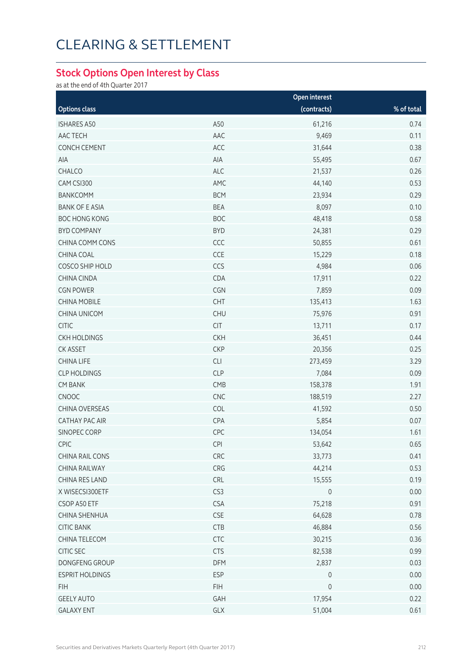### **Stock Options Open Interest by Class**

as at the end of 4th Quarter 2017

|                        |            | Open interest       |            |  |
|------------------------|------------|---------------------|------------|--|
| <b>Options class</b>   |            | (contracts)         | % of total |  |
| <b>ISHARES A50</b>     | A50        | 61,216              | 0.74       |  |
| AAC TECH               | AAC        | 9,469               | 0.11       |  |
| <b>CONCH CEMENT</b>    | ACC        | 31,644              | 0.38       |  |
| AIA                    | AIA        | 55,495              | 0.67       |  |
| CHALCO                 | <b>ALC</b> | 21,537              | 0.26       |  |
| CAM CSI300             | AMC        | 44,140              | 0.53       |  |
| BANKCOMM               | <b>BCM</b> | 23,934              | 0.29       |  |
| <b>BANK OF E ASIA</b>  | <b>BEA</b> | 8,097               | 0.10       |  |
| <b>BOC HONG KONG</b>   | <b>BOC</b> | 48,418              | 0.58       |  |
| <b>BYD COMPANY</b>     | <b>BYD</b> | 24,381              | 0.29       |  |
| CHINA COMM CONS        | CCC        | 50,855              | 0.61       |  |
| CHINA COAL             | CCE        | 15,229              | 0.18       |  |
| COSCO SHIP HOLD        | CCS        | 4,984               | 0.06       |  |
| CHINA CINDA            | CDA        | 17,911              | 0.22       |  |
| <b>CGN POWER</b>       | CGN        | 7,859               | 0.09       |  |
| <b>CHINA MOBILE</b>    | CHT        | 135,413             | 1.63       |  |
| <b>CHINA UNICOM</b>    | <b>CHU</b> | 75,976              | 0.91       |  |
| <b>CITIC</b>           | CIT        | 13,711              | 0.17       |  |
| <b>CKH HOLDINGS</b>    | <b>CKH</b> | 36,451              | 0.44       |  |
| CK ASSET               | <b>CKP</b> | 20,356              | 0.25       |  |
| <b>CHINA LIFE</b>      | CLI        | 273,459             | 3.29       |  |
| <b>CLP HOLDINGS</b>    | <b>CLP</b> | 7,084               | 0.09       |  |
| <b>CM BANK</b>         | CMB        | 158,378             | 1.91       |  |
| CNOOC                  | CNC        | 188,519             | 2.27       |  |
| CHINA OVERSEAS         | COL        | 41,592              | 0.50       |  |
| <b>CATHAY PAC AIR</b>  | CPA        | 5,854               | 0.07       |  |
| SINOPEC CORP           | CPC        | 134,054             | 1.61       |  |
| <b>CPIC</b>            | <b>CPI</b> | 53,642              | 0.65       |  |
| CHINA RAIL CONS        | CRC        | 33,773              | 0.41       |  |
| CHINA RAILWAY          | CRG        | 44,214              | 0.53       |  |
| CHINA RES LAND         | CRL        | 15,555              | 0.19       |  |
| X WISECSI300ETF        | CS3        | 0                   | 0.00       |  |
| CSOP A50 ETF           | <b>CSA</b> | 75,218              | 0.91       |  |
| CHINA SHENHUA          | CSE        | 64,628              | 0.78       |  |
| <b>CITIC BANK</b>      | <b>CTB</b> | 46,884              | 0.56       |  |
| CHINA TELECOM          | <b>CTC</b> | 30,215              | 0.36       |  |
| CITIC SEC              | <b>CTS</b> | 82,538              | 0.99       |  |
| DONGFENG GROUP         | DFM        | 2,837               | 0.03       |  |
| <b>ESPRIT HOLDINGS</b> | <b>ESP</b> | $\mathsf{O}$        | 0.00       |  |
| <b>FIH</b>             | <b>FIH</b> | $\mathsf{O}\xspace$ | 0.00       |  |
| <b>GEELY AUTO</b>      | GAH        | 17,954              | 0.22       |  |
| <b>GALAXY ENT</b>      | GLX        | 51,004              | 0.61       |  |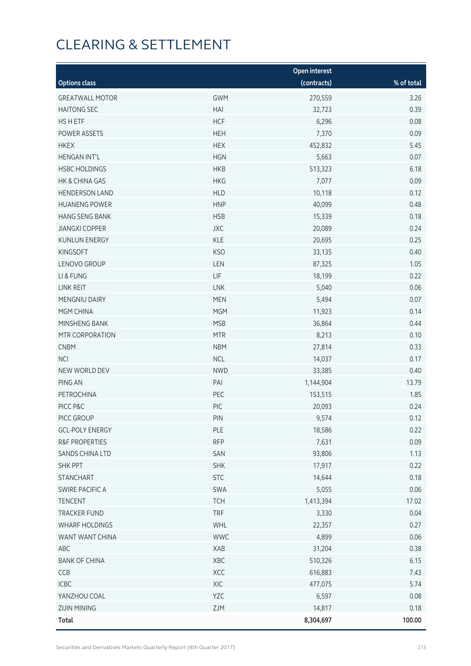| <b>Open interest</b>   |            |             |            |  |
|------------------------|------------|-------------|------------|--|
| <b>Options class</b>   |            | (contracts) | % of total |  |
| <b>GREATWALL MOTOR</b> | <b>GWM</b> | 270,559     | 3.26       |  |
| <b>HAITONG SEC</b>     | HAI        | 32,723      | 0.39       |  |
| HS H ETF               | <b>HCF</b> | 6,296       | 0.08       |  |
| POWER ASSETS           | <b>HEH</b> | 7,370       | 0.09       |  |
| <b>HKEX</b>            | <b>HEX</b> | 452,832     | 5.45       |  |
| <b>HENGAN INT'L</b>    | <b>HGN</b> | 5,663       | 0.07       |  |
| <b>HSBC HOLDINGS</b>   | <b>HKB</b> | 513,323     | 6.18       |  |
| HK & CHINA GAS         | <b>HKG</b> | 7,077       | 0.09       |  |
| <b>HENDERSON LAND</b>  | <b>HLD</b> | 10,118      | 0.12       |  |
| <b>HUANENG POWER</b>   | <b>HNP</b> | 40,099      | 0.48       |  |
| <b>HANG SENG BANK</b>  | <b>HSB</b> | 15,339      | 0.18       |  |
| <b>JIANGXI COPPER</b>  | <b>JXC</b> | 20,089      | 0.24       |  |
| <b>KUNLUN ENERGY</b>   | KLE        | 20,695      | 0.25       |  |
| <b>KINGSOFT</b>        | <b>KSO</b> | 33,135      | 0.40       |  |
| LENOVO GROUP           | LEN        | 87,325      | 1.05       |  |
| LI & FUNG              | LIF        | 18,199      | 0.22       |  |
| LINK REIT              | LNK        | 5,040       | 0.06       |  |
| MENGNIU DAIRY          | <b>MEN</b> | 5,494       | 0.07       |  |
| MGM CHINA              | <b>MGM</b> | 11,923      | 0.14       |  |
| MINSHENG BANK          | <b>MSB</b> | 36,864      | 0.44       |  |
| MTR CORPORATION        | <b>MTR</b> | 8,213       | 0.10       |  |
| <b>CNBM</b>            | <b>NBM</b> | 27,814      | 0.33       |  |
| <b>NCI</b>             | <b>NCL</b> | 14,037      | 0.17       |  |
| NEW WORLD DEV          | <b>NWD</b> | 33,385      | 0.40       |  |
| PING AN                | PAI        | 1,144,904   | 13.79      |  |
| PETROCHINA             | PEC        | 153,515     | 1.85       |  |
| PICC P&C               | PIC        | 20,093      | 0.24       |  |
| PICC GROUP             | PIN        | 9,574       | 0.12       |  |
| <b>GCL-POLY ENERGY</b> | PLE        | 18,586      | 0.22       |  |
| R&F PROPERTIES         | <b>RFP</b> | 7,631       | 0.09       |  |
| SANDS CHINA LTD        | SAN        | 93,806      | 1.13       |  |
| <b>SHK PPT</b>         | <b>SHK</b> | 17,917      | 0.22       |  |
| STANCHART              | <b>STC</b> | 14,644      | 0.18       |  |
| SWIRE PACIFIC A        | SWA        | 5,055       | 0.06       |  |
| <b>TENCENT</b>         | <b>TCH</b> | 1,413,394   | 17.02      |  |
| <b>TRACKER FUND</b>    | <b>TRF</b> | 3,330       | 0.04       |  |
| WHARF HOLDINGS         | WHL        | 22,357      | 0.27       |  |
| WANT WANT CHINA        | <b>WWC</b> | 4,899       | 0.06       |  |
| ABC                    | XAB        | 31,204      | 0.38       |  |
| <b>BANK OF CHINA</b>   | XBC        | 510,326     | 6.15       |  |
| CCB                    | XCC        | 616,883     | 7.43       |  |
| ICBC                   | XIC        | 477,075     | 5.74       |  |
| YANZHOU COAL           | YZC        | 6,597       | 0.08       |  |
| <b>ZIJIN MINING</b>    | ZJM        | 14,817      | 0.18       |  |
| <b>Total</b>           |            | 8,304,697   | 100.00     |  |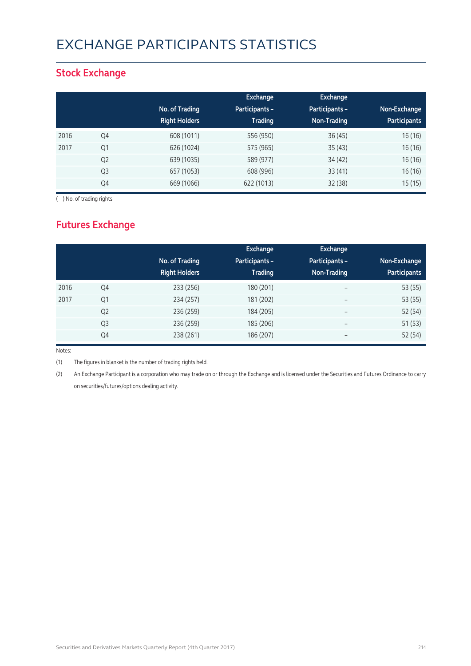## EXCHANGE PARTICIPANTS STATISTICS

### **Stock Exchange**

|      |                | No. of Trading<br><b>Right Holders</b> | Exchange<br><b>Participants -</b><br><b>Trading</b> | <b>Exchange</b><br>Participants -<br>Non-Trading | Non-Exchange<br><b>Participants</b> |
|------|----------------|----------------------------------------|-----------------------------------------------------|--------------------------------------------------|-------------------------------------|
| 2016 | Q4             | 608 (1011)                             | 556 (950)                                           | 36(45)                                           | 16 (16)                             |
| 2017 | Q1             | 626 (1024)                             | 575 (965)                                           | 35(43)                                           | 16 (16)                             |
|      | Q <sub>2</sub> | 639 (1035)                             | 589 (977)                                           | 34(42)                                           | 16(16)                              |
|      | Q3             | 657 (1053)                             | 608 (996)                                           | 33(41)                                           | 16(16)                              |
|      | Q4             | 669 (1066)                             | 622 (1013)                                          | 32(38)                                           | 15(15)                              |

( ) No. of trading rights

### **Futures Exchange**

|      |                | No. of Trading<br><b>Right Holders</b> | Exchange<br><b>Participants -</b><br><b>Trading</b> | Exchange<br>Participants -<br>Non-Trading | Non-Exchange<br><b>Participants</b> |
|------|----------------|----------------------------------------|-----------------------------------------------------|-------------------------------------------|-------------------------------------|
| 2016 | Q4             | 233 (256)                              | 180 (201)                                           | $\overline{\phantom{a}}$                  | 53 (55)                             |
| 2017 | Q1             | 234 (257)                              | 181 (202)                                           | $\overline{\phantom{a}}$                  | 53 (55)                             |
|      | Q <sub>2</sub> | 236 (259)                              | 184 (205)                                           | $\overline{\phantom{m}}$                  | 52 (54)                             |
|      | Q3             | 236 (259)                              | 185 (206)                                           | $\overline{\phantom{m}}$                  | 51(53)                              |
|      | Q4             | 238 (261)                              | 186 (207)                                           | $\overline{\phantom{m}}$                  | 52 (54)                             |

Notes:

(1) The figures in blanket is the number of trading rights held.

(2) An Exchange Participant is a corporation who may trade on or through the Exchange and is licensed under the Securities and Futures Ordinance to carry on securities/futures/options dealing activity.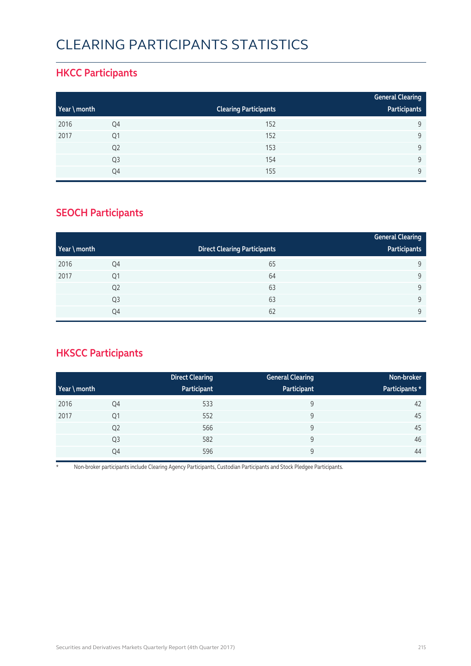## CLEARING PARTICIPANTS STATISTICS

### **HKCC Participants**

|              |                |                              | <b>General Clearing</b> |
|--------------|----------------|------------------------------|-------------------------|
| Year \ month |                | <b>Clearing Participants</b> | Participants            |
| 2016         | Q4             | 152                          | 9                       |
| 2017         | Q1             | 152                          | 9                       |
|              | Q <sub>2</sub> | 153                          | 9                       |
|              | Q <sub>3</sub> | 154                          | 9                       |
|              | Q4             | 155                          | Q                       |

### **SEOCH Participants**

|              |                |                                     | <b>General Clearing</b> |
|--------------|----------------|-------------------------------------|-------------------------|
| Year \ month |                | <b>Direct Clearing Participants</b> | Participants            |
| 2016         | Q4             | 65                                  | 9                       |
| 2017         | Q1             | 64                                  | 9                       |
|              | Q <sub>2</sub> | 63                                  | 9                       |
|              | Q <sub>3</sub> | 63                                  | 9                       |
|              | Q4             | 62                                  | 9                       |

### **HKSCC Participants**

|           |                | <b>Direct Clearing</b> | <b>General Clearing</b> | Non-broker     |
|-----------|----------------|------------------------|-------------------------|----------------|
| $Year \n$ |                | Participant            | Participant             | Participants * |
| 2016      | Q4             | 533                    | 9                       | 42             |
| 2017      | Q <sub>1</sub> | 552                    | 9                       | 45             |
|           | Q <sub>2</sub> | 566                    | 9                       | 45             |
|           | Q <sub>3</sub> | 582                    | 9                       | 46             |
|           | Q4             | 596                    | 9                       | 44             |

\* Non-broker participants include Clearing Agency Participants, Custodian Participants and Stock Pledgee Participants.